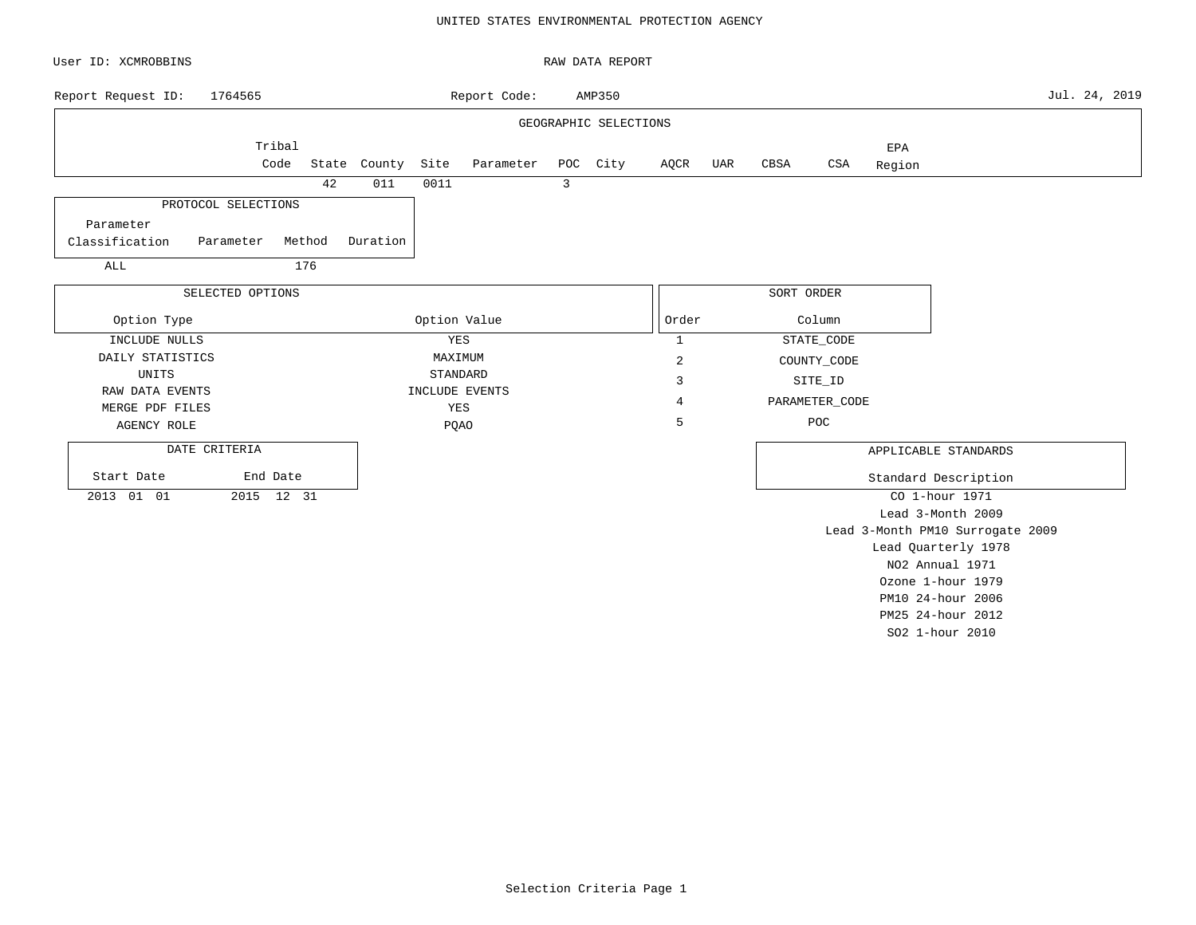### UNITED STATES ENVIRONMENTAL PROTECTION AGENCY

| User ID: XCMROBBINS                   |                                | RAW DATA REPORT       |                |     |                |        |                                                         |               |
|---------------------------------------|--------------------------------|-----------------------|----------------|-----|----------------|--------|---------------------------------------------------------|---------------|
| Report Request ID:<br>1764565         | Report Code:                   | AMP350                |                |     |                |        |                                                         | Jul. 24, 2019 |
|                                       |                                | GEOGRAPHIC SELECTIONS |                |     |                |        |                                                         |               |
| Tribal                                |                                |                       |                |     |                | EPA    |                                                         |               |
| Code                                  | State County Site<br>Parameter | POC City              | AQCR           | UAR | CBSA<br>CSA    | Region |                                                         |               |
| 42                                    | 011<br>0011                    | $\overline{3}$        |                |     |                |        |                                                         |               |
| PROTOCOL SELECTIONS                   |                                |                       |                |     |                |        |                                                         |               |
| Parameter                             |                                |                       |                |     |                |        |                                                         |               |
| Classification<br>Method<br>Parameter | Duration                       |                       |                |     |                |        |                                                         |               |
| 176<br>ALL                            |                                |                       |                |     |                |        |                                                         |               |
| SELECTED OPTIONS                      |                                |                       |                |     | SORT ORDER     |        |                                                         |               |
| Option Type                           | Option Value                   |                       | Order          |     | Column         |        |                                                         |               |
| INCLUDE NULLS                         | YES                            |                       | $\mathbf{1}$   |     | STATE_CODE     |        |                                                         |               |
| DAILY STATISTICS                      | MAXIMUM                        |                       | $\overline{c}$ |     | COUNTY_CODE    |        |                                                         |               |
| UNITS                                 | STANDARD                       |                       | 3              |     | SITE_ID        |        |                                                         |               |
| RAW DATA EVENTS<br>MERGE PDF FILES    | INCLUDE EVENTS<br>YES          |                       | 4              |     | PARAMETER_CODE |        |                                                         |               |
| <b>AGENCY ROLE</b>                    | <b>PQAO</b>                    |                       | 5              |     | POC            |        |                                                         |               |
| DATE CRITERIA                         |                                |                       |                |     |                |        | APPLICABLE STANDARDS                                    |               |
|                                       |                                |                       |                |     |                |        |                                                         |               |
| Start Date<br>End Date                |                                |                       |                |     |                |        | Standard Description                                    |               |
| 2013 01 01<br>2015 12 31              |                                |                       |                |     |                |        | CO 1-hour 1971                                          |               |
|                                       |                                |                       |                |     |                |        | Lead 3-Month 2009                                       |               |
|                                       |                                |                       |                |     |                |        | Lead 3-Month PM10 Surrogate 2009<br>Lead Quarterly 1978 |               |
|                                       |                                |                       |                |     |                |        | NO2 Annual 1971                                         |               |

Ozone 1-hour 1979 PM10 24-hour 2006 PM25 24-hour 2012 SO2 1-hour 2010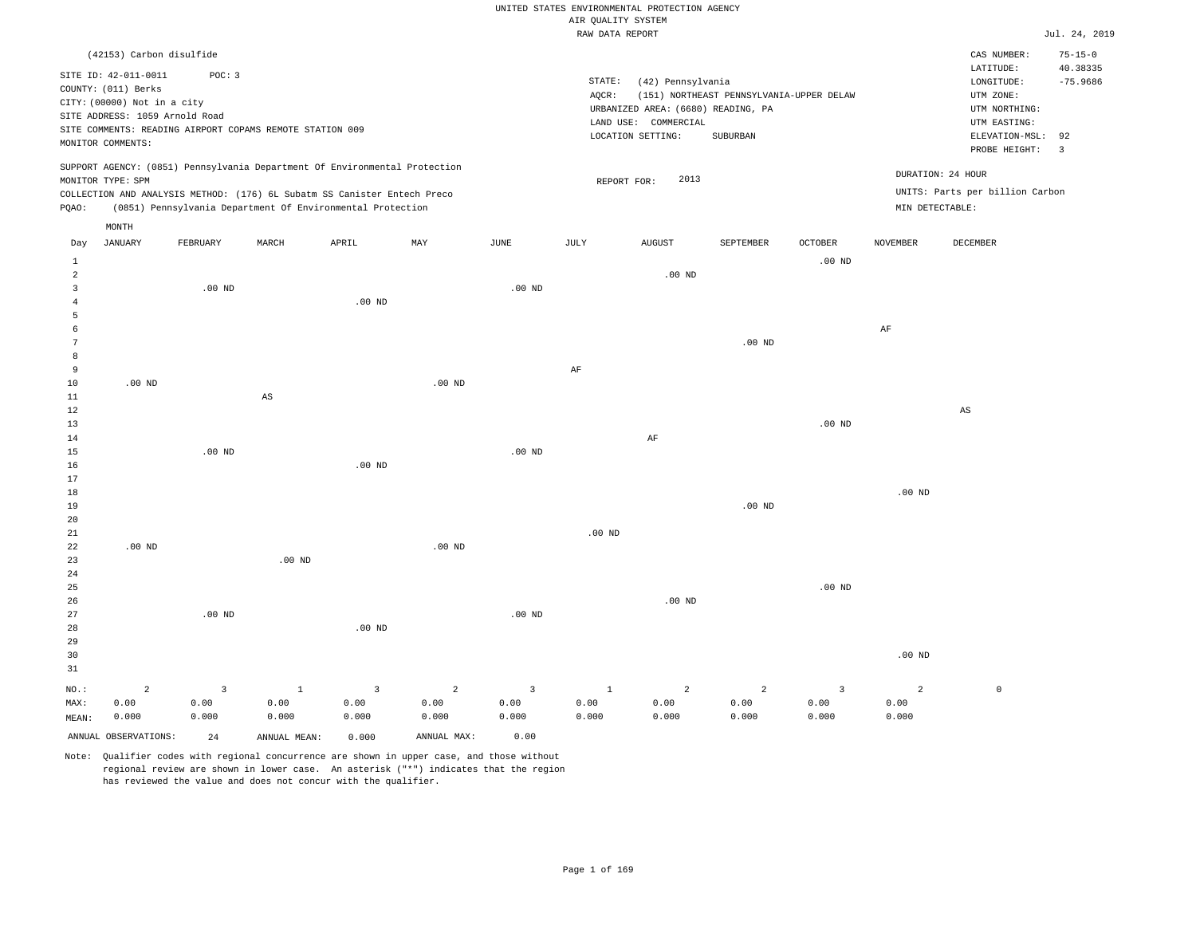| UNITED STATES ENVIRONMENTAL PROTECTION AGENCY |                   |
|-----------------------------------------------|-------------------|
| AIR OUALITY SYSTEM                            |                   |
| RAW DATA REPORT                               |                   |
|                                               |                   |
|                                               |                   |
| STATE:                                        | (42) Pennsylvania |

LAND USE: COMMERCIAL

REPORT FOR: 2013

LOCATION SETTING: SUBURBAN

AQCR: (151) NORTHEAST PENNSYLVANIA-UPPER DELAW

(6680) READING, PA UTM NORTHING: URBANIZED AREA:

Jul. 24, 2019

CAS NUMBER: 75-15-0

LONGITUDE: -75.9686 LATITUDE: 40.38335

PROBE HEIGHT: 3 ELEVATION-MSL: 92

UTM EASTING: UTM ZONE:

UNITS: Parts per billion Carbon

DURATION: 24 HOUR

| STTE TD: 42-011-0011                                     | POC: 3 |
|----------------------------------------------------------|--------|
| COUNTY: (011) Berks                                      |        |
| CITY: (00000) Not in a city                              |        |
| SITE ADDRESS: 1059 Arnold Road                           |        |
| SITE COMMENTS: READING AIRPORT COPAMS REMOTE STATION 009 |        |
| MONITOR COMMENTS:                                        |        |

(42153) Carbon disulfide

SUPPORT AGENCY: (0851) Pennsylvania Department Of Environmental Protection MONITOR TYPE: SPM COLLECTION AND ANALYSIS METHOD: (176) 6L Subatm SS Canister Entech Preco

PQAO: (0851) Pennsylvania Department Of Environmental Protection MIN DETECTABLE:

| Day<br>$\mathbf{1}$                                 | JANUARY                         | FEBRUARY                              | MARCH                                   | APRIL                                             |                                                |                                                  |                         |                                 |                                 |                                          |                                 |                        |
|-----------------------------------------------------|---------------------------------|---------------------------------------|-----------------------------------------|---------------------------------------------------|------------------------------------------------|--------------------------------------------------|-------------------------|---------------------------------|---------------------------------|------------------------------------------|---------------------------------|------------------------|
|                                                     |                                 |                                       |                                         |                                                   | MAY                                            | JUNE                                             | JULY                    | AUGUST                          | SEPTEMBER                       | OCTOBER                                  | NOVEMBER                        | DECEMBER               |
| $\overline{\mathbf{c}}$<br>3<br>$\overline{4}$<br>5 |                                 | $.00$ ND                              |                                         | $.00$ ND                                          |                                                | $.00$ ND                                         |                         | $.00$ ND                        |                                 | $.00$ ND                                 |                                 |                        |
| 6<br>7<br>8<br>9<br>10                              | $.00$ ND                        |                                       |                                         |                                                   | $.00$ ND                                       |                                                  | $\rm{AF}$               |                                 | $.00$ ND                        |                                          | $\rm{AF}$                       |                        |
| $11\,$<br>$12\,$<br>13<br>14                        |                                 |                                       | $\mathbb{A}\mathbb{S}$                  |                                                   |                                                |                                                  |                         | $\rm AF$                        |                                 | $.00$ ND                                 |                                 | $\mathbb{A}\mathbb{S}$ |
| 15<br>16<br>17<br>18<br>19                          |                                 | $.00$ ND                              |                                         | $.00$ ND                                          |                                                | $.00$ ND                                         |                         |                                 | $.00$ ND                        |                                          | .00 $ND$                        |                        |
| 20<br>21<br>22<br>23                                | $.00$ ND                        |                                       | .00 <sub>ND</sub>                       |                                                   | $.00$ ND                                       |                                                  | $.00$ ND                |                                 |                                 |                                          |                                 |                        |
| $2\sqrt{4}$<br>25<br>26<br>27<br>28                 |                                 | .00 $ND$                              |                                         | .00 $ND$                                          |                                                | $.00~\mathrm{ND}$                                |                         | $.00$ ND                        |                                 | $.00$ ND                                 |                                 |                        |
| 29<br>30<br>31                                      |                                 |                                       |                                         |                                                   |                                                |                                                  |                         |                                 |                                 |                                          | $.00{\rm ~ND}$                  |                        |
| $NO.$ :<br>MAX:<br>MEAN:<br>ANNUAL OBSERVATIONS:    | $\overline{a}$<br>0.00<br>0.000 | $\overline{3}$<br>0.00<br>0.000<br>24 | $\,$ 1<br>0.00<br>0.000<br>ANNUAL MEAN: | $\overline{\mathbf{3}}$<br>0.00<br>0.000<br>0.000 | $\overline{a}$<br>0.00<br>0.000<br>ANNUAL MAX: | $\overline{\mathbf{3}}$<br>0.00<br>0.000<br>0.00 | $\,$ 1<br>0.00<br>0.000 | $\overline{a}$<br>0.00<br>0.000 | $\overline{a}$<br>0.00<br>0.000 | $\overline{\mathbf{3}}$<br>0.00<br>0.000 | $\overline{a}$<br>0.00<br>0.000 | $\mathbb O$            |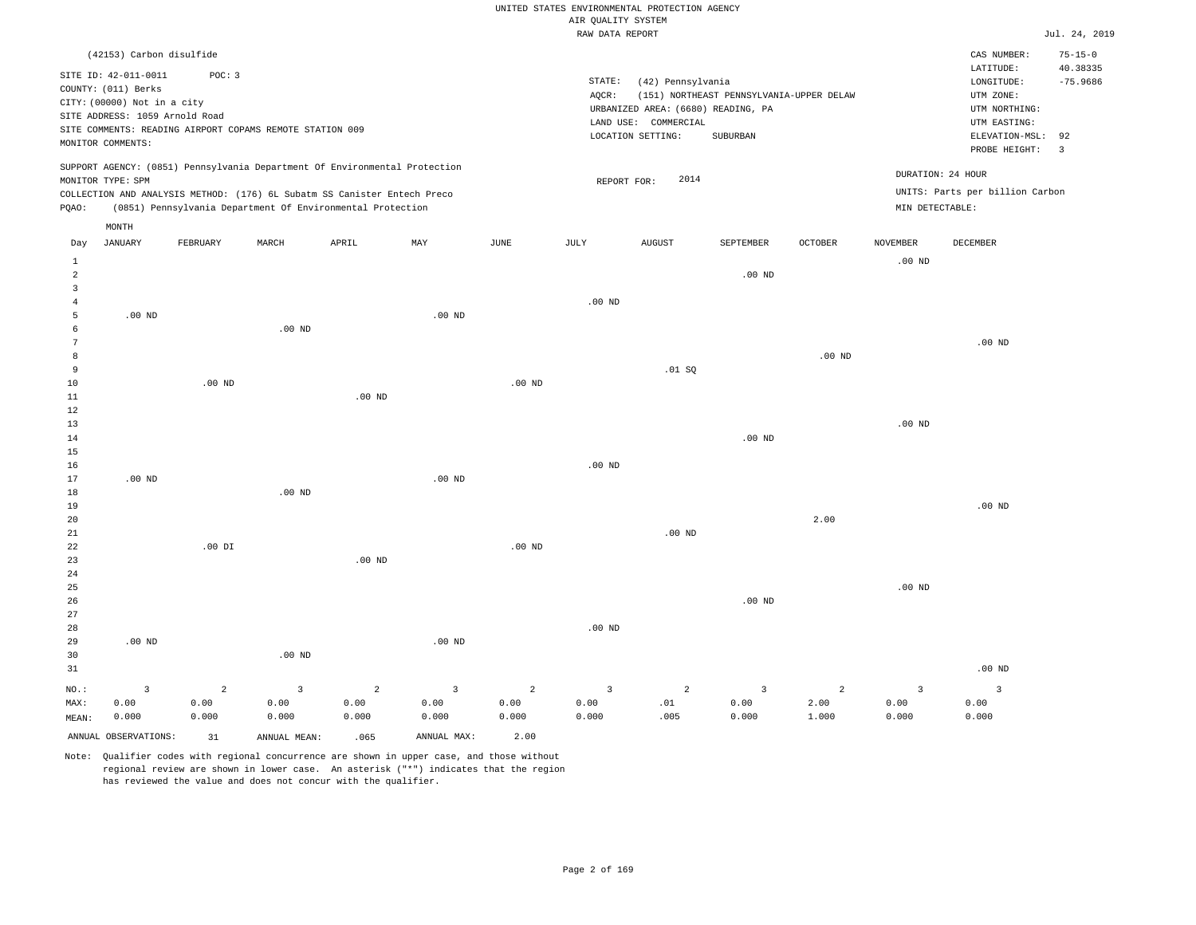|                                       |                                                                                                              |                                 |                                                          |                                                                                                                                                                                                                      |                                          |                                 |                                          | UNITED STATES ENVIRONMENTAL PROTECTION AGENCY                                                        |                                                      |                                 |                                          |                                                                            |                           |
|---------------------------------------|--------------------------------------------------------------------------------------------------------------|---------------------------------|----------------------------------------------------------|----------------------------------------------------------------------------------------------------------------------------------------------------------------------------------------------------------------------|------------------------------------------|---------------------------------|------------------------------------------|------------------------------------------------------------------------------------------------------|------------------------------------------------------|---------------------------------|------------------------------------------|----------------------------------------------------------------------------|---------------------------|
|                                       |                                                                                                              |                                 |                                                          |                                                                                                                                                                                                                      |                                          |                                 | AIR OUALITY SYSTEM<br>RAW DATA REPORT    |                                                                                                      |                                                      |                                 |                                          |                                                                            | Jul. 24, 2019             |
|                                       | (42153) Carbon disulfide                                                                                     |                                 |                                                          |                                                                                                                                                                                                                      |                                          |                                 |                                          |                                                                                                      |                                                      |                                 |                                          | CAS NUMBER:<br>LATITUDE:                                                   | $75 - 15 - 0$<br>40.38335 |
|                                       | SITE ID: 42-011-0011<br>COUNTY: (011) Berks<br>CITY: (00000) Not in a city<br>SITE ADDRESS: 1059 Arnold Road | POC: 3                          | SITE COMMENTS: READING AIRPORT COPAMS REMOTE STATION 009 |                                                                                                                                                                                                                      |                                          |                                 | STATE:<br>AQCR:                          | (42) Pennsylvania<br>URBANIZED AREA: (6680) READING, PA<br>LAND USE: COMMERCIAL<br>LOCATION SETTING: | (151) NORTHEAST PENNSYLVANIA-UPPER DELAW<br>SUBURBAN |                                 |                                          | LONGITUDE:<br>UTM ZONE:<br>UTM NORTHING:<br>UTM EASTING:<br>ELEVATION-MSL: | $-75.9686$<br>92          |
|                                       | MONITOR COMMENTS:                                                                                            |                                 |                                                          |                                                                                                                                                                                                                      |                                          |                                 |                                          |                                                                                                      |                                                      |                                 |                                          | PROBE HEIGHT:                                                              | $\overline{3}$            |
| PQAO:                                 | MONITOR TYPE: SPM                                                                                            |                                 |                                                          | SUPPORT AGENCY: (0851) Pennsylvania Department Of Environmental Protection<br>COLLECTION AND ANALYSIS METHOD: (176) 6L Subatm SS Canister Entech Preco<br>(0851) Pennsylvania Department Of Environmental Protection |                                          |                                 | REPORT FOR:                              | 2014                                                                                                 |                                                      |                                 | MIN DETECTABLE:                          | DURATION: 24 HOUR<br>UNITS: Parts per billion Carbon                       |                           |
| Day                                   | MONTH<br><b>JANUARY</b>                                                                                      | FEBRUARY                        | MARCH                                                    | APRIL                                                                                                                                                                                                                | MAY                                      | <b>JUNE</b>                     | JULY                                     | <b>AUGUST</b>                                                                                        | SEPTEMBER                                            | <b>OCTOBER</b>                  | <b>NOVEMBER</b>                          | <b>DECEMBER</b>                                                            |                           |
| $\mathbf{1}$<br>$\overline{a}$        |                                                                                                              |                                 |                                                          |                                                                                                                                                                                                                      |                                          |                                 |                                          |                                                                                                      | $.00$ ND                                             |                                 | $.00$ ND                                 |                                                                            |                           |
| $\overline{3}$<br>$\overline{4}$<br>5 | .00 <sub>ND</sub>                                                                                            |                                 |                                                          |                                                                                                                                                                                                                      | $.00$ ND                                 |                                 | .00 <sub>ND</sub>                        |                                                                                                      |                                                      |                                 |                                          |                                                                            |                           |
| 6<br>7<br>8                           |                                                                                                              |                                 | $.00$ ND                                                 |                                                                                                                                                                                                                      |                                          |                                 |                                          |                                                                                                      |                                                      | $.00$ ND                        |                                          | $.00$ ND                                                                   |                           |
| 9<br>$10$<br>11                       |                                                                                                              | .00 <sub>ND</sub>               |                                                          | $.00$ ND                                                                                                                                                                                                             |                                          | $.00$ ND                        |                                          | .01 S0                                                                                               |                                                      |                                 |                                          |                                                                            |                           |
| 12<br>13<br>14                        |                                                                                                              |                                 |                                                          |                                                                                                                                                                                                                      |                                          |                                 |                                          |                                                                                                      | $.00$ ND                                             |                                 | $.00$ ND                                 |                                                                            |                           |
| 15<br>16<br>17                        | $.00$ ND                                                                                                     |                                 |                                                          |                                                                                                                                                                                                                      | $.00$ ND                                 |                                 | .00 <sub>ND</sub>                        |                                                                                                      |                                                      |                                 |                                          |                                                                            |                           |
| 18<br>19<br>20                        |                                                                                                              |                                 | $.00$ ND                                                 |                                                                                                                                                                                                                      |                                          |                                 |                                          |                                                                                                      |                                                      | 2.00                            |                                          | $.00$ ND                                                                   |                           |
| 21<br>${\bf 22}$<br>23<br>24          |                                                                                                              | $.00$ DI                        |                                                          | $.00$ ND                                                                                                                                                                                                             |                                          | .00 <sub>ND</sub>               |                                          | $.00$ ND                                                                                             |                                                      |                                 |                                          |                                                                            |                           |
| 25<br>26<br>27                        |                                                                                                              |                                 |                                                          |                                                                                                                                                                                                                      |                                          |                                 |                                          |                                                                                                      | $.00$ ND                                             |                                 | $.00$ ND                                 |                                                                            |                           |
| 28<br>29<br>30                        | $.00$ ND                                                                                                     |                                 | $.00$ ND                                                 |                                                                                                                                                                                                                      | .00 <sub>ND</sub>                        |                                 | .00 <sub>ND</sub>                        |                                                                                                      |                                                      |                                 |                                          |                                                                            |                           |
| 31                                    |                                                                                                              |                                 |                                                          |                                                                                                                                                                                                                      |                                          |                                 |                                          |                                                                                                      |                                                      |                                 |                                          | $.00$ ND                                                                   |                           |
| NO.:<br>MAX:<br>MEAN:                 | $\overline{\mathbf{3}}$<br>0.00<br>0.000                                                                     | $\overline{a}$<br>0.00<br>0.000 | $\overline{3}$<br>0.00<br>0.000                          | $\overline{a}$<br>0.00<br>0.000                                                                                                                                                                                      | $\overline{\mathbf{3}}$<br>0.00<br>0.000 | $\overline{a}$<br>0.00<br>0.000 | $\overline{\mathbf{3}}$<br>0.00<br>0.000 | $\overline{a}$<br>.01<br>.005                                                                        | $\overline{3}$<br>0.00<br>0.000                      | $\overline{a}$<br>2.00<br>1.000 | $\overline{\mathbf{3}}$<br>0.00<br>0.000 | $\overline{\mathbf{3}}$<br>0.00<br>0.000                                   |                           |
|                                       | ANNUAL OBSERVATIONS:                                                                                         | 31                              | ANNUAL, MEAN:                                            | .065                                                                                                                                                                                                                 | ANNUAL MAX:                              | 2.00                            |                                          |                                                                                                      |                                                      |                                 |                                          |                                                                            |                           |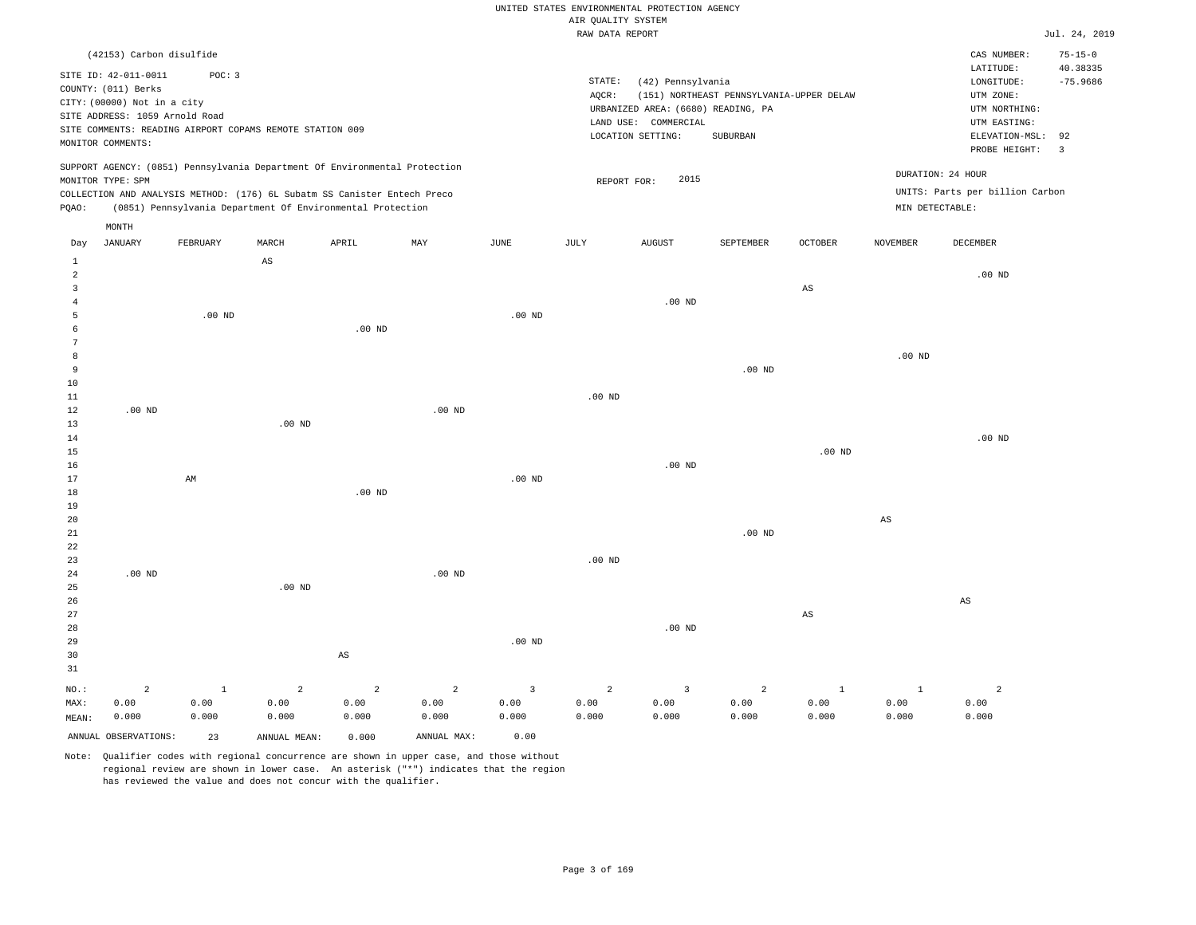## UNITED STATES ENVIRONMENTAL PROTECTION AGENCY AIR QUALITY SYSTEM

|                     |                                |          |                                                          |                                                                            |                |                | RAW DATA REPORT |                                    |                                          |                        |                 |                                 | Jul. 24, 2019           |
|---------------------|--------------------------------|----------|----------------------------------------------------------|----------------------------------------------------------------------------|----------------|----------------|-----------------|------------------------------------|------------------------------------------|------------------------|-----------------|---------------------------------|-------------------------|
|                     | (42153) Carbon disulfide       |          |                                                          |                                                                            |                |                |                 |                                    |                                          |                        |                 | CAS NUMBER:                     | $75 - 15 - 0$           |
|                     | SITE ID: 42-011-0011           | POC: 3   |                                                          |                                                                            |                |                | STATE:          | (42) Pennsylvania                  |                                          |                        |                 | LATITUDE:<br>LONGITUDE:         | 40.38335<br>$-75.9686$  |
|                     | COUNTY: (011) Berks            |          |                                                          |                                                                            |                |                | AQCR:           |                                    | (151) NORTHEAST PENNSYLVANIA-UPPER DELAW |                        |                 | UTM ZONE:                       |                         |
|                     | CITY: (00000) Not in a city    |          |                                                          |                                                                            |                |                |                 | URBANIZED AREA: (6680) READING, PA |                                          |                        |                 | UTM NORTHING:                   |                         |
|                     | SITE ADDRESS: 1059 Arnold Road |          |                                                          |                                                                            |                |                |                 | LAND USE: COMMERCIAL               |                                          |                        |                 | UTM EASTING:                    |                         |
|                     |                                |          | SITE COMMENTS: READING AIRPORT COPAMS REMOTE STATION 009 |                                                                            |                |                |                 | LOCATION SETTING:                  | SUBURBAN                                 |                        |                 | ELEVATION-MSL:                  | 92                      |
|                     | MONITOR COMMENTS:              |          |                                                          |                                                                            |                |                |                 |                                    |                                          |                        |                 | PROBE HEIGHT:                   | $\overline{\mathbf{3}}$ |
|                     |                                |          |                                                          | SUPPORT AGENCY: (0851) Pennsylvania Department Of Environmental Protection |                |                |                 |                                    |                                          |                        |                 | DURATION: 24 HOUR               |                         |
|                     | MONITOR TYPE: SPM              |          |                                                          |                                                                            |                |                | REPORT FOR:     | 2015                               |                                          |                        |                 |                                 |                         |
|                     |                                |          |                                                          | COLLECTION AND ANALYSIS METHOD: (176) 6L Subatm SS Canister Entech Preco   |                |                |                 |                                    |                                          |                        |                 | UNITS: Parts per billion Carbon |                         |
| PQAO:               |                                |          |                                                          | (0851) Pennsylvania Department Of Environmental Protection                 |                |                |                 |                                    |                                          |                        | MIN DETECTABLE: |                                 |                         |
|                     | MONTH                          |          |                                                          |                                                                            |                |                |                 |                                    |                                          |                        |                 |                                 |                         |
| Day                 | <b>JANUARY</b>                 | FEBRUARY | MARCH                                                    | APRIL                                                                      | MAY            | <b>JUNE</b>    | <b>JULY</b>     | <b>AUGUST</b>                      | SEPTEMBER                                | <b>OCTOBER</b>         | <b>NOVEMBER</b> | DECEMBER                        |                         |
| $\mathbf{1}$        |                                |          | AS                                                       |                                                                            |                |                |                 |                                    |                                          |                        |                 |                                 |                         |
| $\overline{a}$<br>3 |                                |          |                                                          |                                                                            |                |                |                 |                                    |                                          | $_{\rm AS}$            |                 | $.00$ ND                        |                         |
| $\overline{4}$      |                                |          |                                                          |                                                                            |                |                |                 | .00 <sub>ND</sub>                  |                                          |                        |                 |                                 |                         |
| 5                   |                                | $.00$ ND |                                                          |                                                                            |                | $.00$ ND       |                 |                                    |                                          |                        |                 |                                 |                         |
| 6                   |                                |          |                                                          | $.00$ ND                                                                   |                |                |                 |                                    |                                          |                        |                 |                                 |                         |
| $\overline{7}$      |                                |          |                                                          |                                                                            |                |                |                 |                                    |                                          |                        |                 |                                 |                         |
| 8                   |                                |          |                                                          |                                                                            |                |                |                 |                                    |                                          |                        | $.00$ ND        |                                 |                         |
| 9                   |                                |          |                                                          |                                                                            |                |                |                 |                                    | $.00$ ND                                 |                        |                 |                                 |                         |
| 10                  |                                |          |                                                          |                                                                            |                |                |                 |                                    |                                          |                        |                 |                                 |                         |
| 11                  |                                |          |                                                          |                                                                            |                |                | $.00$ ND        |                                    |                                          |                        |                 |                                 |                         |
| 12                  | $.00$ ND                       |          |                                                          |                                                                            | $.00$ ND       |                |                 |                                    |                                          |                        |                 |                                 |                         |
| 13                  |                                |          | $.00$ ND                                                 |                                                                            |                |                |                 |                                    |                                          |                        |                 |                                 |                         |
| 14                  |                                |          |                                                          |                                                                            |                |                |                 |                                    |                                          |                        |                 | $.00$ ND                        |                         |
| 15                  |                                |          |                                                          |                                                                            |                |                |                 |                                    |                                          | .00 <sub>ND</sub>      |                 |                                 |                         |
| 16                  |                                |          |                                                          |                                                                            |                |                |                 | $.00$ ND                           |                                          |                        |                 |                                 |                         |
| 17                  |                                | AM       |                                                          |                                                                            |                | $.00$ ND       |                 |                                    |                                          |                        |                 |                                 |                         |
| 18                  |                                |          |                                                          | .00 <sub>ND</sub>                                                          |                |                |                 |                                    |                                          |                        |                 |                                 |                         |
| 19                  |                                |          |                                                          |                                                                            |                |                |                 |                                    |                                          |                        |                 |                                 |                         |
| 20                  |                                |          |                                                          |                                                                            |                |                |                 |                                    | .00 <sub>ND</sub>                        |                        | $_{\rm AS}$     |                                 |                         |
| 21<br>22            |                                |          |                                                          |                                                                            |                |                |                 |                                    |                                          |                        |                 |                                 |                         |
| 23                  |                                |          |                                                          |                                                                            |                |                | $.00$ ND        |                                    |                                          |                        |                 |                                 |                         |
| 24                  | $.00$ ND                       |          |                                                          |                                                                            | $.00$ ND       |                |                 |                                    |                                          |                        |                 |                                 |                         |
| 25                  |                                |          | $.00$ ND                                                 |                                                                            |                |                |                 |                                    |                                          |                        |                 |                                 |                         |
| 26                  |                                |          |                                                          |                                                                            |                |                |                 |                                    |                                          |                        |                 | AS                              |                         |
| 27                  |                                |          |                                                          |                                                                            |                |                |                 |                                    |                                          | $\mathbb{A}\mathbb{S}$ |                 |                                 |                         |
| 28                  |                                |          |                                                          |                                                                            |                |                |                 | $.00$ ND                           |                                          |                        |                 |                                 |                         |
| 29                  |                                |          |                                                          |                                                                            |                | $.00$ ND       |                 |                                    |                                          |                        |                 |                                 |                         |
| 30                  |                                |          |                                                          | $\mathbb{A}\mathbb{S}$                                                     |                |                |                 |                                    |                                          |                        |                 |                                 |                         |
| 31                  |                                |          |                                                          |                                                                            |                |                |                 |                                    |                                          |                        |                 |                                 |                         |
| NO.:                | $\overline{a}$                 | $\,$ 1   | $\overline{a}$                                           | $\overline{a}$                                                             | $\overline{a}$ | $\overline{3}$ | $\overline{a}$  | $\overline{\mathbf{3}}$            | $\overline{c}$                           | $\mathbf{1}$           | $\mathbf{1}$    | $\overline{a}$                  |                         |
| MAX:                | 0.00                           | 0.00     | 0.00                                                     | 0.00                                                                       | 0.00           | 0.00           | 0.00            | 0.00                               | 0.00                                     | 0.00                   | 0.00            | 0.00                            |                         |
| MEAN:               | 0.000                          | 0.000    | 0.000                                                    | 0.000                                                                      | 0.000          | 0.000          | 0.000           | 0.000                              | 0.000                                    | 0.000                  | 0.000           | 0.000                           |                         |
|                     | ANNUAL OBSERVATIONS:           | 23       | ANNUAL MEAN:                                             | 0.000                                                                      | ANNUAL MAX:    | 0.00           |                 |                                    |                                          |                        |                 |                                 |                         |
|                     |                                |          |                                                          |                                                                            |                |                |                 |                                    |                                          |                        |                 |                                 |                         |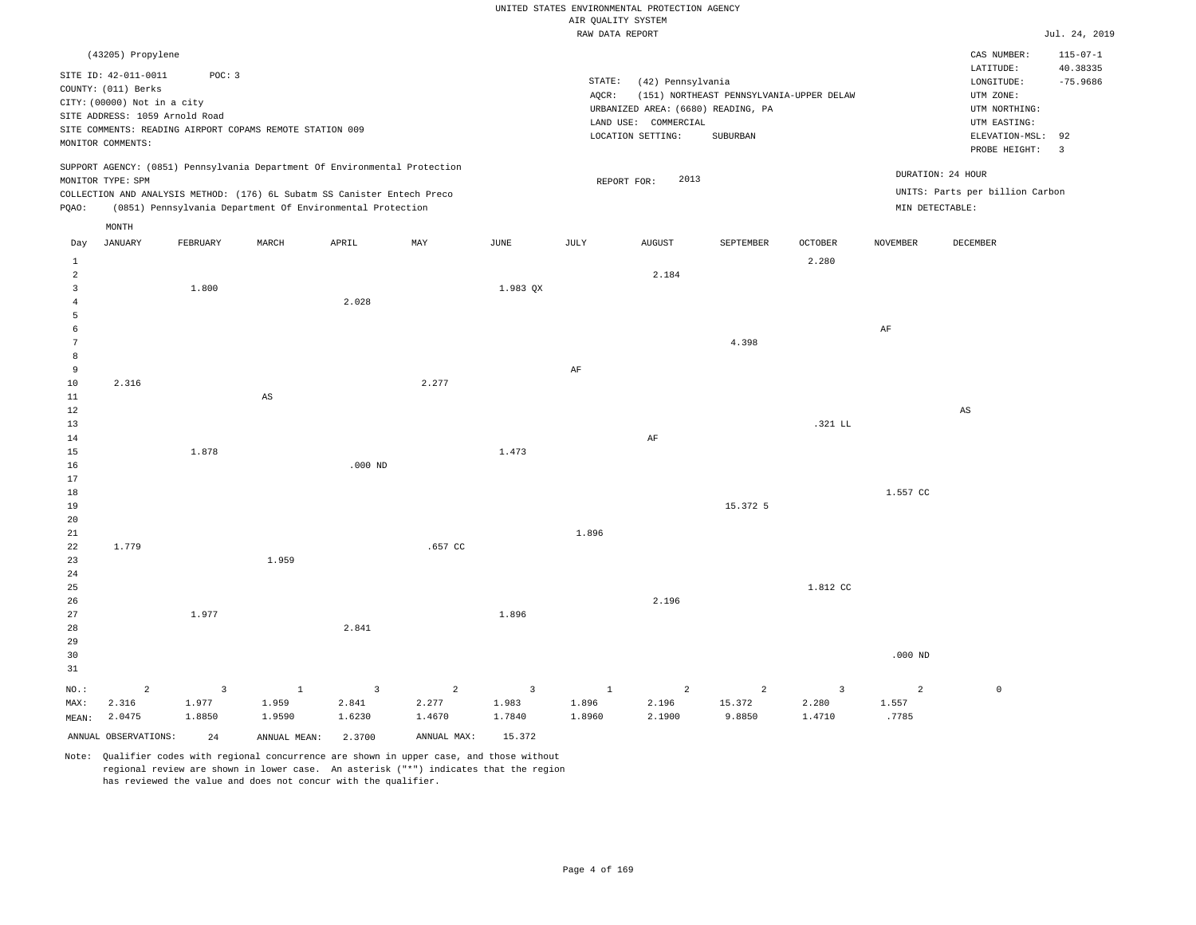|                   |                                |                |                                                                            |                |                |                |                    | UNITED STATES ENVIRONMENTAL PROTECTION AGENCY |                                          |                |                   |                                 |                            |
|-------------------|--------------------------------|----------------|----------------------------------------------------------------------------|----------------|----------------|----------------|--------------------|-----------------------------------------------|------------------------------------------|----------------|-------------------|---------------------------------|----------------------------|
|                   |                                |                |                                                                            |                |                |                | AIR QUALITY SYSTEM |                                               |                                          |                |                   |                                 |                            |
|                   |                                |                |                                                                            |                |                |                | RAW DATA REPORT    |                                               |                                          |                |                   |                                 | Jul. 24, 2019              |
|                   | (43205) Propylene              |                |                                                                            |                |                |                |                    |                                               |                                          |                |                   | CAS NUMBER:<br>LATITUDE:        | $115 - 07 - 1$<br>40.38335 |
|                   | SITE ID: 42-011-0011           | POC: 3         |                                                                            |                |                |                | STATE:             | (42) Pennsylvania                             |                                          |                |                   | LONGITUDE:                      | $-75.9686$                 |
|                   | COUNTY: (011) Berks            |                |                                                                            |                |                |                | AOCR:              |                                               | (151) NORTHEAST PENNSYLVANIA-UPPER DELAW |                |                   | UTM ZONE:                       |                            |
|                   | CITY: (00000) Not in a city    |                |                                                                            |                |                |                |                    | URBANIZED AREA: (6680) READING, PA            |                                          |                |                   | UTM NORTHING:                   |                            |
|                   | SITE ADDRESS: 1059 Arnold Road |                | SITE COMMENTS: READING AIRPORT COPAMS REMOTE STATION 009                   |                |                |                |                    | LAND USE: COMMERCIAL                          |                                          |                |                   | UTM EASTING:                    |                            |
|                   | MONITOR COMMENTS:              |                |                                                                            |                |                |                |                    | LOCATION SETTING:                             | SUBURBAN                                 |                |                   | ELEVATION-MSL:                  | 92                         |
|                   |                                |                |                                                                            |                |                |                |                    |                                               |                                          |                |                   | PROBE HEIGHT:                   | $\overline{\mathbf{3}}$    |
|                   |                                |                | SUPPORT AGENCY: (0851) Pennsylvania Department Of Environmental Protection |                |                |                |                    |                                               |                                          |                |                   |                                 |                            |
|                   | MONITOR TYPE: SPM              |                |                                                                            |                |                |                | REPORT FOR:        | 2013                                          |                                          |                | DURATION: 24 HOUR |                                 |                            |
|                   |                                |                | COLLECTION AND ANALYSIS METHOD: (176) 6L Subatm SS Canister Entech Preco   |                |                |                |                    |                                               |                                          |                |                   | UNITS: Parts per billion Carbon |                            |
| PQAO:             |                                |                | (0851) Pennsylvania Department Of Environmental Protection                 |                |                |                |                    |                                               |                                          |                | MIN DETECTABLE:   |                                 |                            |
|                   | MONTH                          |                |                                                                            |                |                |                |                    |                                               |                                          |                |                   |                                 |                            |
| Day               | JANUARY                        | FEBRUARY       | MARCH                                                                      | APRIL          | MAY            | JUNE           | JULY               | <b>AUGUST</b>                                 | SEPTEMBER                                | <b>OCTOBER</b> | NOVEMBER          | DECEMBER                        |                            |
| $\mathbf{1}$      |                                |                |                                                                            |                |                |                |                    |                                               |                                          | 2.280          |                   |                                 |                            |
| $\overline{a}$    |                                |                |                                                                            |                |                |                |                    | 2.184                                         |                                          |                |                   |                                 |                            |
| 3                 |                                | 1.800          |                                                                            |                |                | 1.983 QX       |                    |                                               |                                          |                |                   |                                 |                            |
| $\overline{4}$    |                                |                |                                                                            | 2.028          |                |                |                    |                                               |                                          |                |                   |                                 |                            |
| 5                 |                                |                |                                                                            |                |                |                |                    |                                               |                                          |                |                   |                                 |                            |
| 6                 |                                |                |                                                                            |                |                |                |                    |                                               |                                          |                | AF                |                                 |                            |
| 7                 |                                |                |                                                                            |                |                |                |                    |                                               | 4.398                                    |                |                   |                                 |                            |
| 8                 |                                |                |                                                                            |                |                |                |                    |                                               |                                          |                |                   |                                 |                            |
| 9                 |                                |                |                                                                            |                |                |                | AF                 |                                               |                                          |                |                   |                                 |                            |
| $10$              | 2.316                          |                |                                                                            |                | 2.277          |                |                    |                                               |                                          |                |                   |                                 |                            |
| 11<br>12          |                                |                | $\mathbb{A}\mathbb{S}$                                                     |                |                |                |                    |                                               |                                          |                |                   |                                 |                            |
| 13                |                                |                |                                                                            |                |                |                |                    |                                               |                                          | .321 LL        |                   | $_{\rm AS}$                     |                            |
| 14                |                                |                |                                                                            |                |                |                |                    | AF                                            |                                          |                |                   |                                 |                            |
| $15$              |                                | 1.878          |                                                                            |                |                | 1.473          |                    |                                               |                                          |                |                   |                                 |                            |
| 16                |                                |                |                                                                            | $.000$ ND      |                |                |                    |                                               |                                          |                |                   |                                 |                            |
| 17                |                                |                |                                                                            |                |                |                |                    |                                               |                                          |                |                   |                                 |                            |
| 18                |                                |                |                                                                            |                |                |                |                    |                                               |                                          |                | 1.557 CC          |                                 |                            |
| 19                |                                |                |                                                                            |                |                |                |                    |                                               | 15.372 5                                 |                |                   |                                 |                            |
| 20                |                                |                |                                                                            |                |                |                |                    |                                               |                                          |                |                   |                                 |                            |
| 21                |                                |                |                                                                            |                |                |                | 1.896              |                                               |                                          |                |                   |                                 |                            |
| 22                | 1.779                          |                |                                                                            |                | .657 CC        |                |                    |                                               |                                          |                |                   |                                 |                            |
| 23                |                                |                | 1.959                                                                      |                |                |                |                    |                                               |                                          |                |                   |                                 |                            |
| $2\sqrt{4}$<br>25 |                                |                |                                                                            |                |                |                |                    |                                               |                                          | 1.812 CC       |                   |                                 |                            |
| 26                |                                |                |                                                                            |                |                |                |                    | 2.196                                         |                                          |                |                   |                                 |                            |
| 27                |                                | 1.977          |                                                                            |                |                | 1.896          |                    |                                               |                                          |                |                   |                                 |                            |
| 28                |                                |                |                                                                            | 2.841          |                |                |                    |                                               |                                          |                |                   |                                 |                            |
| 29                |                                |                |                                                                            |                |                |                |                    |                                               |                                          |                |                   |                                 |                            |
| 30                |                                |                |                                                                            |                |                |                |                    |                                               |                                          |                | $.000$ ND         |                                 |                            |
| 31                |                                |                |                                                                            |                |                |                |                    |                                               |                                          |                |                   |                                 |                            |
| NO.:              | $\overline{a}$                 | $\overline{3}$ | <sup>1</sup>                                                               | $\overline{3}$ | $\overline{a}$ | $\overline{3}$ | <sup>1</sup>       | 2                                             | $\overline{2}$                           | $\overline{3}$ | $\overline{a}$    | $\mathbb O$                     |                            |
| MAX:              | 2.316                          | 1.977          | 1.959                                                                      | 2.841          | 2.277          | 1.983          | 1.896              | 2.196                                         | 15.372                                   | 2.280          | 1.557             |                                 |                            |
| MEAN:             | 2.0475                         | 1.8850         | 1.9590                                                                     | 1.6230         | 1.4670         | 1.7840         | 1.8960             | 2.1900                                        | 9.8850                                   | 1.4710         | .7785             |                                 |                            |
|                   | ANNUAL OBSERVATIONS:           | 24             | ANNUAL MEAN:                                                               | 2.3700         | ANNUAL MAX:    | 15.372         |                    |                                               |                                          |                |                   |                                 |                            |
|                   |                                |                |                                                                            |                |                |                |                    |                                               |                                          |                |                   |                                 |                            |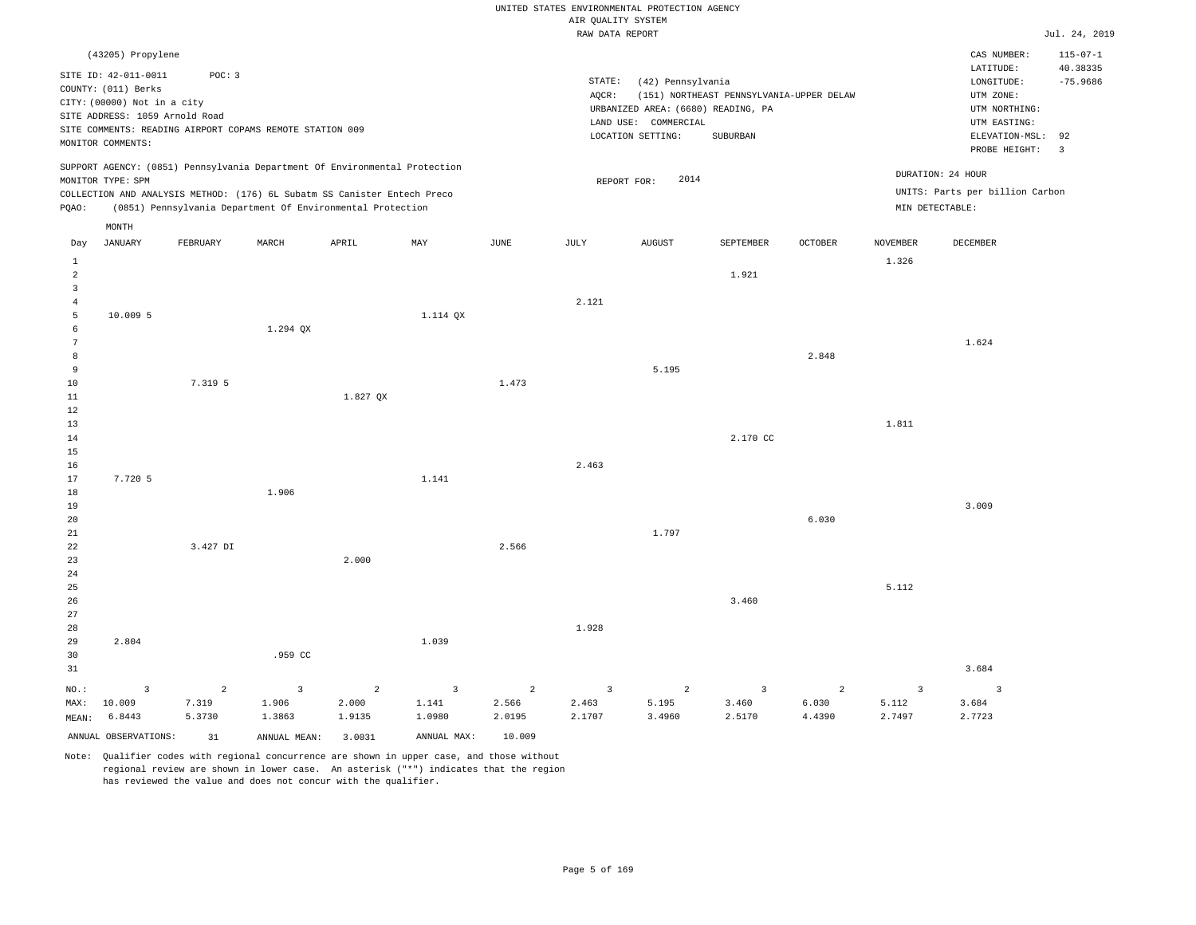|                                                                                                                                                                                                                              |                      |                |                                                                                                                                        |                |                         |                |                         | UNITED STATES ENVIRONMENTAL PROTECTION AGENCY                                                        |                                                      |                |                 |                                                                                                                         |                                                                           |
|------------------------------------------------------------------------------------------------------------------------------------------------------------------------------------------------------------------------------|----------------------|----------------|----------------------------------------------------------------------------------------------------------------------------------------|----------------|-------------------------|----------------|-------------------------|------------------------------------------------------------------------------------------------------|------------------------------------------------------|----------------|-----------------|-------------------------------------------------------------------------------------------------------------------------|---------------------------------------------------------------------------|
|                                                                                                                                                                                                                              |                      |                |                                                                                                                                        |                |                         |                | AIR QUALITY SYSTEM      |                                                                                                      |                                                      |                |                 |                                                                                                                         |                                                                           |
|                                                                                                                                                                                                                              |                      |                |                                                                                                                                        |                |                         |                | RAW DATA REPORT         |                                                                                                      |                                                      |                |                 |                                                                                                                         | Jul. 24, 2019                                                             |
| (43205) Propylene<br>SITE ID: 42-011-0011<br>POC: 3<br>COUNTY: (011) Berks<br>CITY: (00000) Not in a city<br>SITE ADDRESS: 1059 Arnold Road<br>SITE COMMENTS: READING AIRPORT COPAMS REMOTE STATION 009<br>MONITOR COMMENTS: |                      |                |                                                                                                                                        |                |                         |                | STATE:<br>AOCR:         | (42) Pennsylvania<br>URBANIZED AREA: (6680) READING, PA<br>LAND USE: COMMERCIAL<br>LOCATION SETTING: | (151) NORTHEAST PENNSYLVANIA-UPPER DELAW<br>SUBURBAN |                |                 | CAS NUMBER:<br>LATITUDE:<br>LONGITUDE:<br>UTM ZONE:<br>UTM NORTHING:<br>UTM EASTING:<br>ELEVATION-MSL:<br>PROBE HEIGHT: | $115 - 07 - 1$<br>40.38335<br>$-75.9686$<br>92<br>$\overline{\mathbf{3}}$ |
|                                                                                                                                                                                                                              |                      |                | SUPPORT AGENCY: (0851) Pennsylvania Department Of Environmental Protection                                                             |                |                         |                |                         |                                                                                                      |                                                      |                |                 |                                                                                                                         |                                                                           |
|                                                                                                                                                                                                                              | MONITOR TYPE: SPM    |                |                                                                                                                                        |                |                         |                |                         | 2014<br>REPORT FOR:                                                                                  |                                                      |                |                 | DURATION: 24 HOUR                                                                                                       |                                                                           |
| PQAO:                                                                                                                                                                                                                        |                      |                | COLLECTION AND ANALYSIS METHOD: (176) 6L Subatm SS Canister Entech Preco<br>(0851) Pennsylvania Department Of Environmental Protection |                |                         |                |                         |                                                                                                      |                                                      |                | MIN DETECTABLE: | UNITS: Parts per billion Carbon                                                                                         |                                                                           |
|                                                                                                                                                                                                                              | MONTH                |                |                                                                                                                                        |                |                         |                |                         |                                                                                                      |                                                      |                |                 |                                                                                                                         |                                                                           |
| Day                                                                                                                                                                                                                          | <b>JANUARY</b>       | FEBRUARY       | MARCH                                                                                                                                  | APRIL          | MAY                     | $_{\rm JUNE}$  | JULY                    | <b>AUGUST</b>                                                                                        | SEPTEMBER                                            | OCTOBER        | NOVEMBER        | DECEMBER                                                                                                                |                                                                           |
| 1<br>$\overline{a}$                                                                                                                                                                                                          |                      |                |                                                                                                                                        |                |                         |                |                         |                                                                                                      | 1.921                                                |                | 1.326           |                                                                                                                         |                                                                           |
| $\overline{3}$                                                                                                                                                                                                               |                      |                |                                                                                                                                        |                |                         |                |                         |                                                                                                      |                                                      |                |                 |                                                                                                                         |                                                                           |
| $\overline{4}$                                                                                                                                                                                                               |                      |                |                                                                                                                                        |                |                         |                | 2.121                   |                                                                                                      |                                                      |                |                 |                                                                                                                         |                                                                           |
| 5                                                                                                                                                                                                                            | 10.009 5             |                |                                                                                                                                        |                | 1.114 QX                |                |                         |                                                                                                      |                                                      |                |                 |                                                                                                                         |                                                                           |
| 6                                                                                                                                                                                                                            |                      |                | 1.294 QX                                                                                                                               |                |                         |                |                         |                                                                                                      |                                                      |                |                 |                                                                                                                         |                                                                           |
| $7\phantom{.0}$                                                                                                                                                                                                              |                      |                |                                                                                                                                        |                |                         |                |                         |                                                                                                      |                                                      |                |                 | 1.624                                                                                                                   |                                                                           |
| 8                                                                                                                                                                                                                            |                      |                |                                                                                                                                        |                |                         |                |                         |                                                                                                      |                                                      | 2.848          |                 |                                                                                                                         |                                                                           |
| 9                                                                                                                                                                                                                            |                      |                |                                                                                                                                        |                |                         |                |                         | 5.195                                                                                                |                                                      |                |                 |                                                                                                                         |                                                                           |
| $10$                                                                                                                                                                                                                         |                      | 7.319 5        |                                                                                                                                        |                |                         | 1.473          |                         |                                                                                                      |                                                      |                |                 |                                                                                                                         |                                                                           |
| $1\,1$<br>12                                                                                                                                                                                                                 |                      |                |                                                                                                                                        | 1.827 QX       |                         |                |                         |                                                                                                      |                                                      |                |                 |                                                                                                                         |                                                                           |
| 13                                                                                                                                                                                                                           |                      |                |                                                                                                                                        |                |                         |                |                         |                                                                                                      |                                                      |                | 1.811           |                                                                                                                         |                                                                           |
| 14                                                                                                                                                                                                                           |                      |                |                                                                                                                                        |                |                         |                |                         |                                                                                                      | 2.170 CC                                             |                |                 |                                                                                                                         |                                                                           |
| 15                                                                                                                                                                                                                           |                      |                |                                                                                                                                        |                |                         |                |                         |                                                                                                      |                                                      |                |                 |                                                                                                                         |                                                                           |
| 16                                                                                                                                                                                                                           |                      |                |                                                                                                                                        |                |                         |                | 2.463                   |                                                                                                      |                                                      |                |                 |                                                                                                                         |                                                                           |
| 17                                                                                                                                                                                                                           | 7.720 5              |                |                                                                                                                                        |                | 1.141                   |                |                         |                                                                                                      |                                                      |                |                 |                                                                                                                         |                                                                           |
| 18                                                                                                                                                                                                                           |                      |                | 1.906                                                                                                                                  |                |                         |                |                         |                                                                                                      |                                                      |                |                 |                                                                                                                         |                                                                           |
| 19                                                                                                                                                                                                                           |                      |                |                                                                                                                                        |                |                         |                |                         |                                                                                                      |                                                      |                |                 | 3.009                                                                                                                   |                                                                           |
| 20                                                                                                                                                                                                                           |                      |                |                                                                                                                                        |                |                         |                |                         |                                                                                                      |                                                      | 6.030          |                 |                                                                                                                         |                                                                           |
| 21<br>$2\sqrt{2}$                                                                                                                                                                                                            |                      | 3.427 DI       |                                                                                                                                        |                |                         | 2.566          |                         | 1.797                                                                                                |                                                      |                |                 |                                                                                                                         |                                                                           |
| 23                                                                                                                                                                                                                           |                      |                |                                                                                                                                        | 2.000          |                         |                |                         |                                                                                                      |                                                      |                |                 |                                                                                                                         |                                                                           |
| 24                                                                                                                                                                                                                           |                      |                |                                                                                                                                        |                |                         |                |                         |                                                                                                      |                                                      |                |                 |                                                                                                                         |                                                                           |
| 25                                                                                                                                                                                                                           |                      |                |                                                                                                                                        |                |                         |                |                         |                                                                                                      |                                                      |                | 5.112           |                                                                                                                         |                                                                           |
| 26                                                                                                                                                                                                                           |                      |                |                                                                                                                                        |                |                         |                |                         |                                                                                                      | 3.460                                                |                |                 |                                                                                                                         |                                                                           |
| 27                                                                                                                                                                                                                           |                      |                |                                                                                                                                        |                |                         |                |                         |                                                                                                      |                                                      |                |                 |                                                                                                                         |                                                                           |
| 28                                                                                                                                                                                                                           |                      |                |                                                                                                                                        |                |                         |                | 1.928                   |                                                                                                      |                                                      |                |                 |                                                                                                                         |                                                                           |
| 29                                                                                                                                                                                                                           | 2.804                |                |                                                                                                                                        |                | 1.039                   |                |                         |                                                                                                      |                                                      |                |                 |                                                                                                                         |                                                                           |
| 30                                                                                                                                                                                                                           |                      |                | .959 CC                                                                                                                                |                |                         |                |                         |                                                                                                      |                                                      |                |                 |                                                                                                                         |                                                                           |
| 31                                                                                                                                                                                                                           |                      |                |                                                                                                                                        |                |                         |                |                         |                                                                                                      |                                                      |                |                 | 3.684                                                                                                                   |                                                                           |
| NO.:                                                                                                                                                                                                                         | $\overline{3}$       | $\overline{a}$ | $\overline{3}$                                                                                                                         | $\overline{c}$ | $\overline{\mathbf{3}}$ | $\overline{a}$ | $\overline{\mathbf{3}}$ | $\overline{a}$                                                                                       | $\overline{\mathbf{3}}$                              | $\overline{a}$ | $\overline{3}$  | $\overline{3}$                                                                                                          |                                                                           |
| MAX:                                                                                                                                                                                                                         | 10.009               | 7.319          | 1.906                                                                                                                                  | 2.000          | 1.141                   | 2.566          | 2.463                   | 5.195                                                                                                | 3.460                                                | 6.030          | 5.112           | 3.684                                                                                                                   |                                                                           |
| MEAN:                                                                                                                                                                                                                        | 6.8443               | 5.3730         | 1.3863                                                                                                                                 | 1.9135         | 1.0980                  | 2.0195         | 2.1707                  | 3.4960                                                                                               | 2.5170                                               | 4.4390         | 2.7497          | 2.7723                                                                                                                  |                                                                           |
|                                                                                                                                                                                                                              | ANNUAL OBSERVATIONS: | 31             | ANNUAL MEAN:                                                                                                                           | 3.0031         | ANNUAL MAX:             | 10.009         |                         |                                                                                                      |                                                      |                |                 |                                                                                                                         |                                                                           |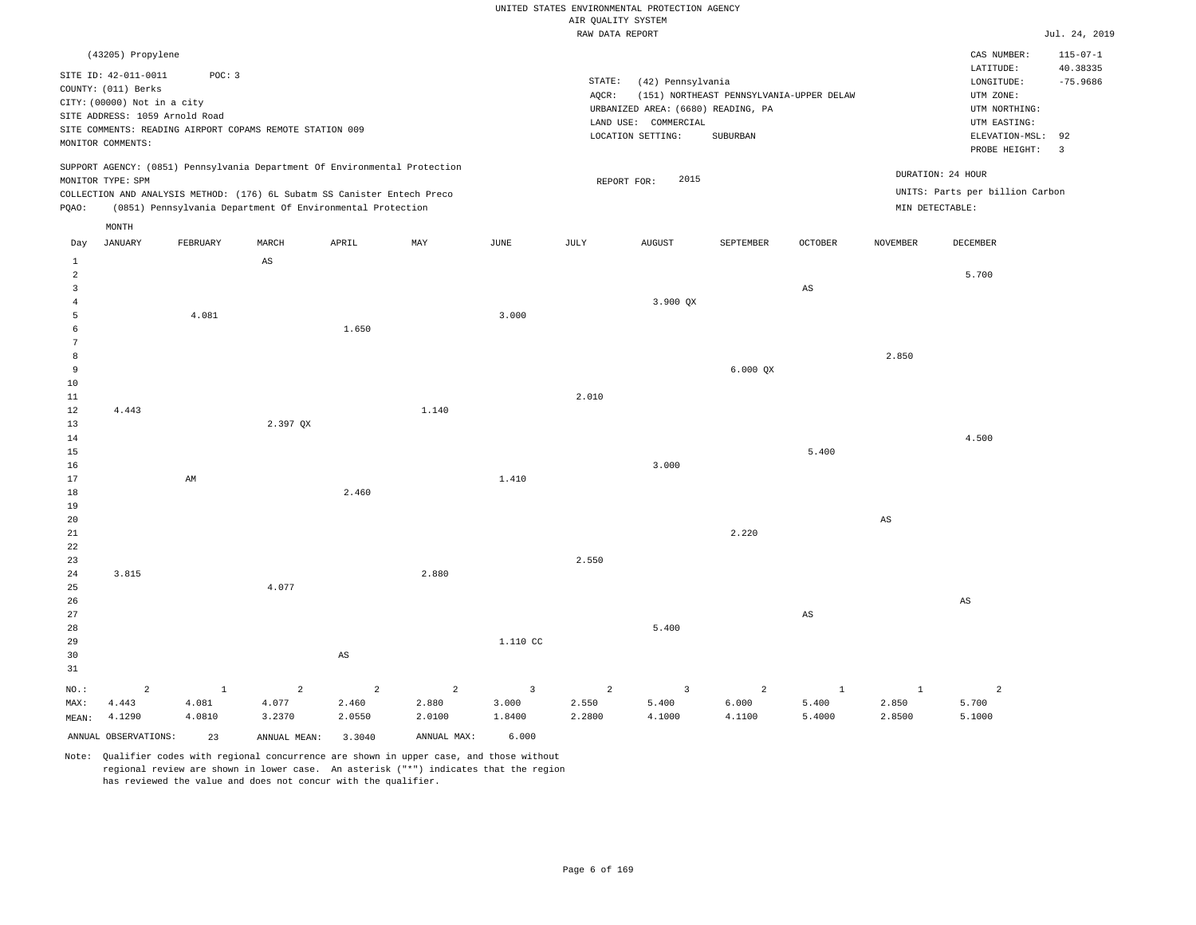# UNITED STATES ENVIRONMENTAL PROTECTION AGENCY AIR QUALITY SYSTEM

|                |                                                               |              |                                                                            |                        |                |                | RAW DATA REPORT |                                    |                                          |                        |                 |                                 | Jul. 24, 2019  |
|----------------|---------------------------------------------------------------|--------------|----------------------------------------------------------------------------|------------------------|----------------|----------------|-----------------|------------------------------------|------------------------------------------|------------------------|-----------------|---------------------------------|----------------|
|                | (43205) Propylene                                             |              |                                                                            |                        |                |                |                 |                                    |                                          |                        |                 | CAS NUMBER:                     | $115 - 07 - 1$ |
|                |                                                               |              |                                                                            |                        |                |                |                 |                                    |                                          |                        |                 | LATITUDE:                       | 40.38335       |
|                | SITE ID: 42-011-0011                                          | POC: 3       |                                                                            |                        |                |                | STATE:          | (42) Pennsylvania                  |                                          |                        |                 | LONGITUDE:                      | $-75.9686$     |
|                | COUNTY: (011) Berks                                           |              |                                                                            |                        |                |                | AQCR:           |                                    | (151) NORTHEAST PENNSYLVANIA-UPPER DELAW |                        |                 | UTM ZONE:                       |                |
|                | CITY: (00000) Not in a city<br>SITE ADDRESS: 1059 Arnold Road |              |                                                                            |                        |                |                |                 | URBANIZED AREA: (6680) READING, PA |                                          |                        |                 | UTM NORTHING:                   |                |
|                |                                                               |              |                                                                            |                        |                |                |                 | LAND USE: COMMERCIAL               |                                          |                        |                 | UTM EASTING:                    |                |
|                | MONITOR COMMENTS:                                             |              | SITE COMMENTS: READING AIRPORT COPAMS REMOTE STATION 009                   |                        |                |                |                 | LOCATION SETTING:                  | SUBURBAN                                 |                        |                 | ELEVATION-MSL: 92               |                |
|                |                                                               |              |                                                                            |                        |                |                |                 |                                    |                                          |                        |                 | PROBE HEIGHT:                   | $\overline{3}$ |
|                |                                                               |              | SUPPORT AGENCY: (0851) Pennsylvania Department Of Environmental Protection |                        |                |                |                 |                                    |                                          |                        |                 |                                 |                |
|                | MONITOR TYPE: SPM                                             |              |                                                                            |                        |                |                | REPORT FOR:     | 2015                               |                                          |                        |                 | DURATION: 24 HOUR               |                |
|                |                                                               |              | COLLECTION AND ANALYSIS METHOD: (176) 6L Subatm SS Canister Entech Preco   |                        |                |                |                 |                                    |                                          |                        |                 | UNITS: Parts per billion Carbon |                |
| PQAO:          |                                                               |              | (0851) Pennsylvania Department Of Environmental Protection                 |                        |                |                |                 |                                    |                                          |                        | MIN DETECTABLE: |                                 |                |
|                | MONTH                                                         |              |                                                                            |                        |                |                |                 |                                    |                                          |                        |                 |                                 |                |
| Day            | JANUARY                                                       | FEBRUARY     | MARCH                                                                      | APRIL                  | MAY            | JUNE           | $_{\rm JULY}$   | AUGUST                             | SEPTEMBER                                | <b>OCTOBER</b>         | <b>NOVEMBER</b> | DECEMBER                        |                |
| $\mathbf{1}$   |                                                               |              | $\mathbb{A}\mathbb{S}$                                                     |                        |                |                |                 |                                    |                                          |                        |                 |                                 |                |
| 2              |                                                               |              |                                                                            |                        |                |                |                 |                                    |                                          |                        |                 | 5.700                           |                |
| 3              |                                                               |              |                                                                            |                        |                |                |                 |                                    |                                          | $_{\rm AS}$            |                 |                                 |                |
| $\overline{4}$ |                                                               |              |                                                                            |                        |                |                |                 | 3.900 QX                           |                                          |                        |                 |                                 |                |
| 5              |                                                               | 4.081        |                                                                            |                        |                | 3.000          |                 |                                    |                                          |                        |                 |                                 |                |
| 6              |                                                               |              |                                                                            | 1.650                  |                |                |                 |                                    |                                          |                        |                 |                                 |                |
| 7              |                                                               |              |                                                                            |                        |                |                |                 |                                    |                                          |                        |                 |                                 |                |
| 8              |                                                               |              |                                                                            |                        |                |                |                 |                                    |                                          |                        | 2.850           |                                 |                |
| 9              |                                                               |              |                                                                            |                        |                |                |                 |                                    | 6.000 QX                                 |                        |                 |                                 |                |
| 10             |                                                               |              |                                                                            |                        |                |                |                 |                                    |                                          |                        |                 |                                 |                |
| 11             |                                                               |              |                                                                            |                        |                |                | 2.010           |                                    |                                          |                        |                 |                                 |                |
| 12             | 4.443                                                         |              |                                                                            |                        | 1.140          |                |                 |                                    |                                          |                        |                 |                                 |                |
| 13             |                                                               |              | 2.397 QX                                                                   |                        |                |                |                 |                                    |                                          |                        |                 |                                 |                |
| 14             |                                                               |              |                                                                            |                        |                |                |                 |                                    |                                          |                        |                 | 4.500                           |                |
| 15             |                                                               |              |                                                                            |                        |                |                |                 |                                    |                                          | 5.400                  |                 |                                 |                |
| 16<br>17       |                                                               | AM           |                                                                            |                        |                | 1.410          |                 | 3.000                              |                                          |                        |                 |                                 |                |
| 18             |                                                               |              |                                                                            | 2.460                  |                |                |                 |                                    |                                          |                        |                 |                                 |                |
| 19             |                                                               |              |                                                                            |                        |                |                |                 |                                    |                                          |                        |                 |                                 |                |
| 20             |                                                               |              |                                                                            |                        |                |                |                 |                                    |                                          |                        | AS              |                                 |                |
| 21             |                                                               |              |                                                                            |                        |                |                |                 |                                    | 2.220                                    |                        |                 |                                 |                |
| 22             |                                                               |              |                                                                            |                        |                |                |                 |                                    |                                          |                        |                 |                                 |                |
| 23             |                                                               |              |                                                                            |                        |                |                | 2.550           |                                    |                                          |                        |                 |                                 |                |
| 24             | 3.815                                                         |              |                                                                            |                        | 2.880          |                |                 |                                    |                                          |                        |                 |                                 |                |
| 25             |                                                               |              | 4.077                                                                      |                        |                |                |                 |                                    |                                          |                        |                 |                                 |                |
| 26             |                                                               |              |                                                                            |                        |                |                |                 |                                    |                                          |                        |                 | $\mathbb{A}\mathbb{S}$          |                |
| 27             |                                                               |              |                                                                            |                        |                |                |                 |                                    |                                          | $\mathbb{A}\mathbb{S}$ |                 |                                 |                |
| 28             |                                                               |              |                                                                            |                        |                |                |                 | 5.400                              |                                          |                        |                 |                                 |                |
| 29             |                                                               |              |                                                                            |                        |                | 1.110 CC       |                 |                                    |                                          |                        |                 |                                 |                |
| 30             |                                                               |              |                                                                            | $\mathbb{A}\mathbb{S}$ |                |                |                 |                                    |                                          |                        |                 |                                 |                |
| 31             |                                                               |              |                                                                            |                        |                |                |                 |                                    |                                          |                        |                 |                                 |                |
| $NO.$ :        | 2                                                             | $\mathbf{1}$ | $\overline{a}$                                                             | $\overline{a}$         | $\overline{c}$ | $\overline{3}$ | $\overline{a}$  | $\overline{3}$                     | $\overline{c}$                           | $\mathbf{1}$           | $\mathbf{1}$    | $\overline{a}$                  |                |
| MAX:           | 4.443                                                         | 4.081        | 4.077                                                                      | 2.460                  | 2.880          | 3.000          | 2.550           | 5.400                              | 6.000                                    | 5.400                  | 2.850           | 5.700                           |                |
| MEAN:          | 4.1290                                                        | 4.0810       | 3.2370                                                                     | 2.0550                 | 2.0100         | 1.8400         | 2.2800          | 4.1000                             | 4.1100                                   | 5.4000                 | 2.8500          | 5.1000                          |                |
|                | ANNUAL OBSERVATIONS:                                          | 23           | ANNUAL MEAN:                                                               | 3.3040                 | ANNUAL MAX:    | 6.000          |                 |                                    |                                          |                        |                 |                                 |                |
|                |                                                               |              |                                                                            |                        |                |                |                 |                                    |                                          |                        |                 |                                 |                |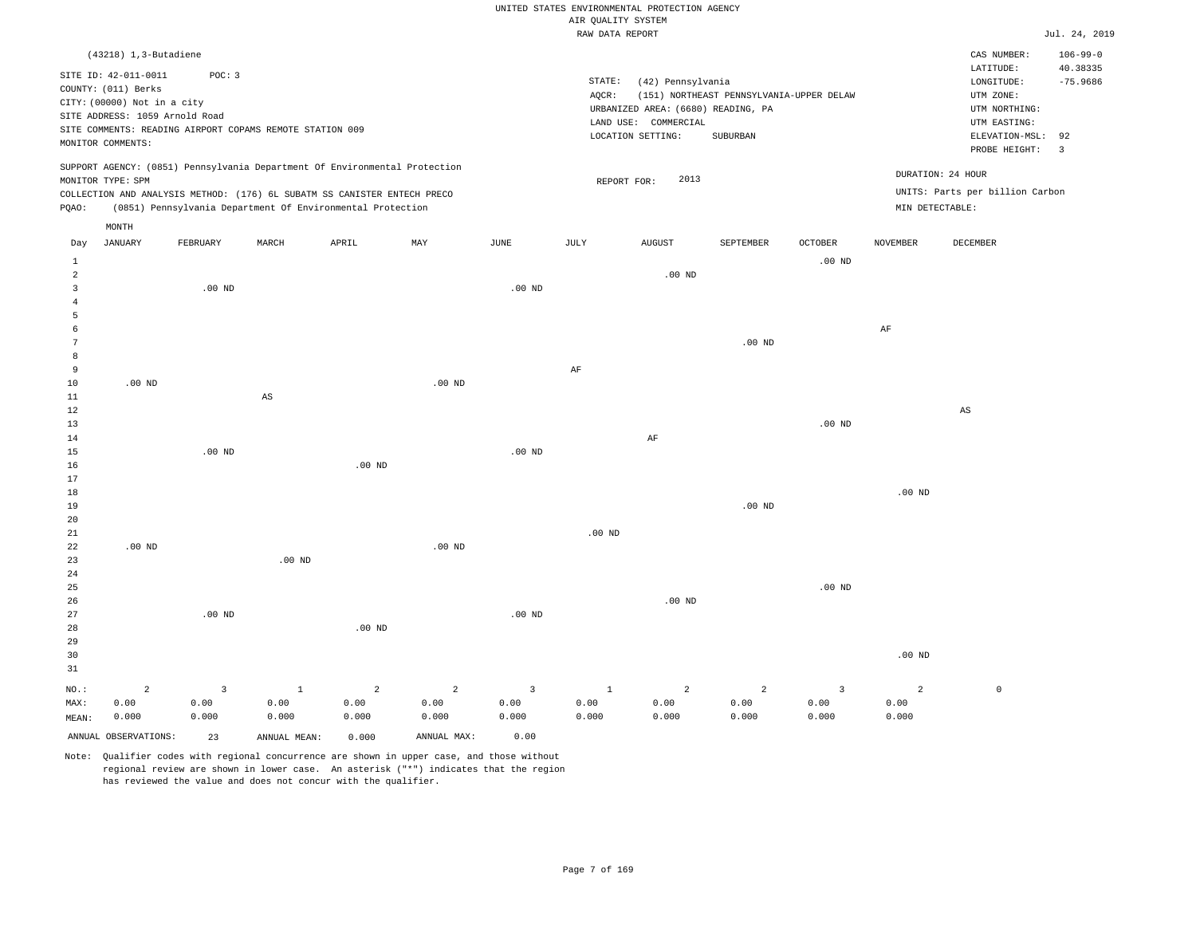|                                       |                                                                                                                                   |                    |                                                                                                                                                        |                    |                                 |                                 | AIR QUALITY SYSTEM            | UNITED STATES ENVIRONMENTAL PROTECTION AGENCY                                                        |                                                      |                                          |                                 |                                                                                                          |                                                |
|---------------------------------------|-----------------------------------------------------------------------------------------------------------------------------------|--------------------|--------------------------------------------------------------------------------------------------------------------------------------------------------|--------------------|---------------------------------|---------------------------------|-------------------------------|------------------------------------------------------------------------------------------------------|------------------------------------------------------|------------------------------------------|---------------------------------|----------------------------------------------------------------------------------------------------------|------------------------------------------------|
|                                       |                                                                                                                                   |                    |                                                                                                                                                        |                    |                                 |                                 | RAW DATA REPORT               |                                                                                                      |                                                      |                                          |                                 |                                                                                                          | Jul. 24, 2019                                  |
|                                       | (43218) 1,3-Butadiene                                                                                                             |                    |                                                                                                                                                        |                    |                                 |                                 |                               |                                                                                                      |                                                      |                                          |                                 | CAS NUMBER:                                                                                              | $106 - 99 - 0$                                 |
|                                       | SITE ID: 42-011-0011<br>COUNTY: (011) Berks<br>CITY: (00000) Not in a city<br>SITE ADDRESS: 1059 Arnold Road<br>MONITOR COMMENTS: | POC: 3             | SITE COMMENTS: READING AIRPORT COPAMS REMOTE STATION 009                                                                                               |                    |                                 |                                 | STATE:<br>AQCR:               | (42) Pennsylvania<br>URBANIZED AREA: (6680) READING, PA<br>LAND USE: COMMERCIAL<br>LOCATION SETTING: | (151) NORTHEAST PENNSYLVANIA-UPPER DELAW<br>SUBURBAN |                                          |                                 | LATITUDE:<br>LONGITUDE:<br>UTM ZONE:<br>UTM NORTHING:<br>UTM EASTING:<br>ELEVATION-MSL:<br>PROBE HEIGHT: | 40.38335<br>$-75.9686$<br>92<br>$\overline{3}$ |
|                                       | MONITOR TYPE: SPM                                                                                                                 |                    | SUPPORT AGENCY: (0851) Pennsylvania Department Of Environmental Protection<br>COLLECTION AND ANALYSIS METHOD: (176) 6L SUBATM SS CANISTER ENTECH PRECO |                    |                                 |                                 | REPORT FOR:                   | 2013                                                                                                 |                                                      |                                          |                                 | DURATION: 24 HOUR<br>UNITS: Parts per billion Carbon                                                     |                                                |
| PQAO:                                 |                                                                                                                                   |                    | (0851) Pennsylvania Department Of Environmental Protection                                                                                             |                    |                                 |                                 |                               |                                                                                                      |                                                      |                                          | MIN DETECTABLE:                 |                                                                                                          |                                                |
| Day                                   | MONTH<br><b>JANUARY</b>                                                                                                           | FEBRUARY           | MARCH                                                                                                                                                  | APRIL              | MAY                             | JUNE                            | JULY                          | <b>AUGUST</b>                                                                                        | SEPTEMBER                                            | OCTOBER                                  | NOVEMBER                        | DECEMBER                                                                                                 |                                                |
| $\mathbf{1}$<br>$\overline{a}$        |                                                                                                                                   |                    |                                                                                                                                                        |                    |                                 |                                 |                               | $.00$ ND                                                                                             |                                                      | $.00$ ND                                 |                                 |                                                                                                          |                                                |
| $\overline{3}$<br>$\overline{4}$<br>5 |                                                                                                                                   | $.00$ ND           |                                                                                                                                                        |                    |                                 | $.00$ ND                        |                               |                                                                                                      |                                                      |                                          |                                 |                                                                                                          |                                                |
| 6<br>$\overline{7}$<br>8              |                                                                                                                                   |                    |                                                                                                                                                        |                    |                                 |                                 |                               |                                                                                                      | .00 <sub>ND</sub>                                    |                                          | $\rm AF$                        |                                                                                                          |                                                |
| 9<br>10                               | $.00$ ND                                                                                                                          |                    |                                                                                                                                                        |                    | $.00$ ND                        |                                 | AF                            |                                                                                                      |                                                      |                                          |                                 |                                                                                                          |                                                |
| $1\,1$<br>12<br>13                    |                                                                                                                                   |                    | $\mathbb{A}\mathbb{S}$                                                                                                                                 |                    |                                 |                                 |                               |                                                                                                      |                                                      | .00 <sub>ND</sub>                        |                                 | AS                                                                                                       |                                                |
| $1\,4$<br>15<br>16                    |                                                                                                                                   | $.00$ ND           |                                                                                                                                                        | $.00$ ND           |                                 | $.00$ ND                        |                               | $\rm AF$                                                                                             |                                                      |                                          |                                 |                                                                                                          |                                                |
| 17<br>18<br>19                        |                                                                                                                                   |                    |                                                                                                                                                        |                    |                                 |                                 |                               |                                                                                                      | $.00$ ND                                             |                                          | $.00$ ND                        |                                                                                                          |                                                |
| 20<br>21<br>22<br>23                  | $.00$ ND                                                                                                                          |                    | $.00$ ND                                                                                                                                               |                    | .00 <sub>ND</sub>               |                                 | $.00$ ND                      |                                                                                                      |                                                      |                                          |                                 |                                                                                                          |                                                |
| 24<br>25<br>26                        |                                                                                                                                   |                    |                                                                                                                                                        |                    |                                 |                                 |                               | $.00$ ND                                                                                             |                                                      | $.00$ ND                                 |                                 |                                                                                                          |                                                |
| 27<br>28<br>29<br>30<br>31            |                                                                                                                                   | $.00$ ND           |                                                                                                                                                        | .00 <sub>ND</sub>  |                                 | $.00$ ND                        |                               |                                                                                                      |                                                      |                                          | $.00$ ND                        |                                                                                                          |                                                |
| NO.:<br>MAX:<br>MEAN:                 | $\overline{a}$<br>0.00<br>0.000                                                                                                   | 3<br>0.00<br>0.000 | $\mathbf{1}$<br>0.00<br>0.000                                                                                                                          | 2<br>0.00<br>0.000 | $\overline{a}$<br>0.00<br>0.000 | $\overline{3}$<br>0.00<br>0.000 | $\mathbf{1}$<br>0.00<br>0.000 | 2<br>0.00<br>0.000                                                                                   | $\overline{2}$<br>0.00<br>0.000                      | $\overline{\mathbf{3}}$<br>0.00<br>0.000 | $\overline{a}$<br>0.00<br>0.000 | $\mathbb O$                                                                                              |                                                |
|                                       | ANNUAL OBSERVATIONS:                                                                                                              | 23                 | ANNUAL MEAN:                                                                                                                                           | 0.000              | ANNUAL MAX:                     | 0.00                            |                               |                                                                                                      |                                                      |                                          |                                 |                                                                                                          |                                                |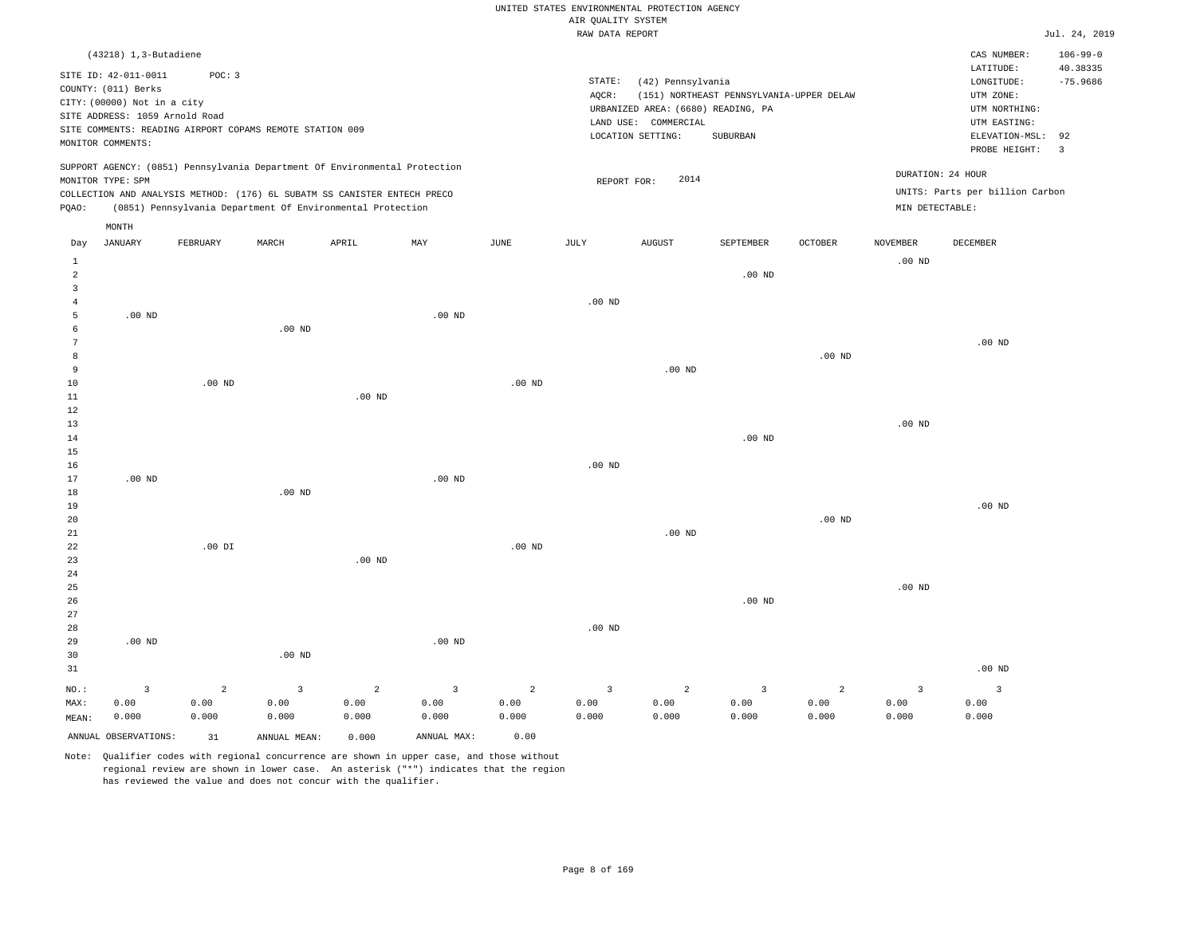|                                |                                                                                                              |                |                                                                            |                   |                         |                   |                    | UNITED STATES ENVIRONMENTAL PROTECTION AGENCY                                   |                                          |                   |                   |                                                                                   |                         |
|--------------------------------|--------------------------------------------------------------------------------------------------------------|----------------|----------------------------------------------------------------------------|-------------------|-------------------------|-------------------|--------------------|---------------------------------------------------------------------------------|------------------------------------------|-------------------|-------------------|-----------------------------------------------------------------------------------|-------------------------|
|                                |                                                                                                              |                |                                                                            |                   |                         |                   | AIR QUALITY SYSTEM |                                                                                 |                                          |                   |                   |                                                                                   |                         |
|                                |                                                                                                              |                |                                                                            |                   |                         |                   | RAW DATA REPORT    |                                                                                 |                                          |                   |                   |                                                                                   | Jul. 24, 2019           |
|                                | $(43218)$ 1, 3-Butadiene                                                                                     |                |                                                                            |                   |                         |                   |                    |                                                                                 |                                          |                   |                   | CAS NUMBER:                                                                       | $106 - 99 - 0$          |
|                                | SITE ID: 42-011-0011<br>COUNTY: (011) Berks<br>CITY: (00000) Not in a city<br>SITE ADDRESS: 1059 Arnold Road | POC: 3         |                                                                            |                   |                         |                   | STATE:<br>AOCR:    | (42) Pennsylvania<br>URBANIZED AREA: (6680) READING, PA<br>LAND USE: COMMERCIAL | (151) NORTHEAST PENNSYLVANIA-UPPER DELAW |                   |                   | LATITUDE:<br>$\texttt{LONGITUDE}$ :<br>UTM ZONE:<br>UTM NORTHING:<br>UTM EASTING: | 40.38335<br>$-75.9686$  |
|                                |                                                                                                              |                | SITE COMMENTS: READING AIRPORT COPAMS REMOTE STATION 009                   |                   |                         |                   |                    | LOCATION SETTING:                                                               | SUBURBAN                                 |                   |                   | ELEVATION-MSL:                                                                    | 92                      |
|                                | MONITOR COMMENTS:                                                                                            |                |                                                                            |                   |                         |                   |                    |                                                                                 |                                          |                   |                   | PROBE HEIGHT:                                                                     | $\overline{\mathbf{3}}$ |
|                                | MONITOR TYPE: SPM                                                                                            |                | SUPPORT AGENCY: (0851) Pennsylvania Department Of Environmental Protection |                   |                         |                   | REPORT FOR:        | 2014                                                                            |                                          |                   |                   | DURATION: 24 HOUR                                                                 |                         |
|                                |                                                                                                              |                | COLLECTION AND ANALYSIS METHOD: (176) 6L SUBATM SS CANISTER ENTECH PRECO   |                   |                         |                   |                    |                                                                                 |                                          |                   |                   | UNITS: Parts per billion Carbon                                                   |                         |
| PQAO:                          |                                                                                                              |                | (0851) Pennsylvania Department Of Environmental Protection                 |                   |                         |                   |                    |                                                                                 |                                          |                   | MIN DETECTABLE:   |                                                                                   |                         |
|                                | $\texttt{MONTH}$                                                                                             |                |                                                                            |                   |                         |                   |                    |                                                                                 |                                          |                   |                   |                                                                                   |                         |
| Day                            | <b>JANUARY</b>                                                                                               | FEBRUARY       | MARCH                                                                      | APRIL             | MAY                     | $_{\rm JUNE}$     | <b>JULY</b>        | <b>AUGUST</b>                                                                   | SEPTEMBER                                | <b>OCTOBER</b>    | <b>NOVEMBER</b>   | DECEMBER                                                                          |                         |
| $\mathbf{1}$<br>$\overline{a}$ |                                                                                                              |                |                                                                            |                   |                         |                   |                    |                                                                                 | $.00$ ND                                 |                   | $.00$ ND          |                                                                                   |                         |
| $\overline{3}$                 |                                                                                                              |                |                                                                            |                   |                         |                   |                    |                                                                                 |                                          |                   |                   |                                                                                   |                         |
| 4                              |                                                                                                              |                |                                                                            |                   |                         |                   | $.00$ ND           |                                                                                 |                                          |                   |                   |                                                                                   |                         |
| 5<br>6                         | .00 <sub>ND</sub>                                                                                            |                | .00 <sub>ND</sub>                                                          |                   | $.00$ ND                |                   |                    |                                                                                 |                                          |                   |                   |                                                                                   |                         |
| 7                              |                                                                                                              |                |                                                                            |                   |                         |                   |                    |                                                                                 |                                          |                   |                   | $.00$ ND                                                                          |                         |
| 8                              |                                                                                                              |                |                                                                            |                   |                         |                   |                    |                                                                                 |                                          | .00 <sub>ND</sub> |                   |                                                                                   |                         |
| 9                              |                                                                                                              |                |                                                                            |                   |                         |                   |                    | $.00$ ND                                                                        |                                          |                   |                   |                                                                                   |                         |
| $10$                           |                                                                                                              | $.00$ ND       |                                                                            |                   |                         | .00 <sub>ND</sub> |                    |                                                                                 |                                          |                   |                   |                                                                                   |                         |
| 11<br>12                       |                                                                                                              |                |                                                                            | .00 <sub>ND</sub> |                         |                   |                    |                                                                                 |                                          |                   |                   |                                                                                   |                         |
| 13                             |                                                                                                              |                |                                                                            |                   |                         |                   |                    |                                                                                 |                                          |                   | $.00$ ND          |                                                                                   |                         |
| 14                             |                                                                                                              |                |                                                                            |                   |                         |                   |                    |                                                                                 | $.00$ ND                                 |                   |                   |                                                                                   |                         |
| 15                             |                                                                                                              |                |                                                                            |                   |                         |                   |                    |                                                                                 |                                          |                   |                   |                                                                                   |                         |
| 16<br>17                       | .00 <sub>ND</sub>                                                                                            |                |                                                                            |                   | .00 <sub>ND</sub>       |                   | $.00$ ND           |                                                                                 |                                          |                   |                   |                                                                                   |                         |
| 18                             |                                                                                                              |                | $.00$ ND                                                                   |                   |                         |                   |                    |                                                                                 |                                          |                   |                   |                                                                                   |                         |
| 19                             |                                                                                                              |                |                                                                            |                   |                         |                   |                    |                                                                                 |                                          |                   |                   | $.00$ ND                                                                          |                         |
| 20                             |                                                                                                              |                |                                                                            |                   |                         |                   |                    |                                                                                 |                                          | .00 <sub>ND</sub> |                   |                                                                                   |                         |
| 21<br>22                       |                                                                                                              | $.00$ DI       |                                                                            |                   |                         | $.00$ ND          |                    | $.00$ ND                                                                        |                                          |                   |                   |                                                                                   |                         |
| 23                             |                                                                                                              |                |                                                                            | $.00$ ND          |                         |                   |                    |                                                                                 |                                          |                   |                   |                                                                                   |                         |
| 24                             |                                                                                                              |                |                                                                            |                   |                         |                   |                    |                                                                                 |                                          |                   |                   |                                                                                   |                         |
| 25                             |                                                                                                              |                |                                                                            |                   |                         |                   |                    |                                                                                 |                                          |                   | .00 <sub>ND</sub> |                                                                                   |                         |
| 26<br>27                       |                                                                                                              |                |                                                                            |                   |                         |                   |                    |                                                                                 | $.00$ ND                                 |                   |                   |                                                                                   |                         |
| 28                             |                                                                                                              |                |                                                                            |                   |                         |                   | .00 <sub>ND</sub>  |                                                                                 |                                          |                   |                   |                                                                                   |                         |
| 29                             | $.00$ ND                                                                                                     |                |                                                                            |                   | $.00$ ND                |                   |                    |                                                                                 |                                          |                   |                   |                                                                                   |                         |
| 30                             |                                                                                                              |                | $.00$ ND                                                                   |                   |                         |                   |                    |                                                                                 |                                          |                   |                   |                                                                                   |                         |
| 31                             |                                                                                                              |                |                                                                            |                   |                         |                   |                    |                                                                                 |                                          |                   |                   | $.00$ ND                                                                          |                         |
| NO.:                           | $\overline{3}$                                                                                               | $\overline{a}$ | $\overline{3}$                                                             | $\overline{a}$    | $\overline{\mathbf{3}}$ | $\overline{a}$    | $\overline{3}$     | $\overline{a}$                                                                  | $\overline{3}$                           | $\overline{a}$    | $\overline{3}$    | $\overline{\mathbf{3}}$                                                           |                         |
| MAX:                           | 0.00                                                                                                         | 0.00           | 0.00                                                                       | 0.00              | 0.00                    | 0.00              | 0.00               | 0.00                                                                            | 0.00                                     | 0.00              | 0.00              | 0.00                                                                              |                         |
| MEAN:                          | 0.000                                                                                                        | 0.000          | 0.000                                                                      | 0.000             | 0.000                   | 0.000             | 0.000              | 0.000                                                                           | 0.000                                    | 0.000             | 0.000             | 0.000                                                                             |                         |
|                                | ANNUAL OBSERVATIONS:                                                                                         | 31             | ANNUAL, MEAN:                                                              | 0.000             | ANNUAL MAX:             | 0.00              |                    |                                                                                 |                                          |                   |                   |                                                                                   |                         |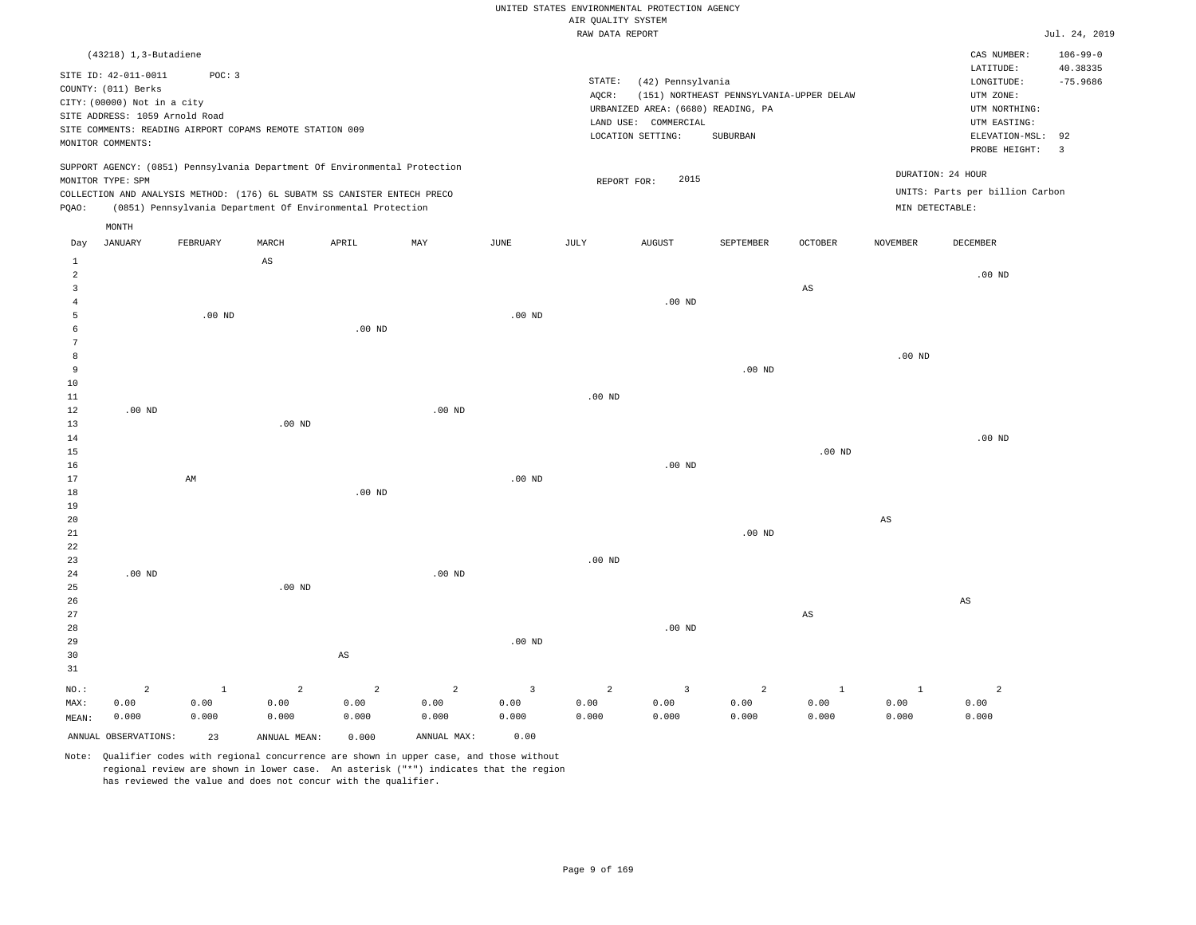# UNITED STATES ENVIRONMENTAL PROTECTION AGENCY AIR QUALITY SYSTEM

|  | RAW DATA REPORT |  |
|--|-----------------|--|

|                |                                                                            |              |              |                                                            |                   |                   | RAW DATA REPORT    |                                    |                                          |                |                        |                                 | Jul. 24, 2019           |
|----------------|----------------------------------------------------------------------------|--------------|--------------|------------------------------------------------------------|-------------------|-------------------|--------------------|------------------------------------|------------------------------------------|----------------|------------------------|---------------------------------|-------------------------|
|                | (43218) 1,3-Butadiene                                                      |              |              |                                                            |                   |                   |                    |                                    |                                          |                |                        | CAS NUMBER:                     | $106 - 99 - 0$          |
|                |                                                                            | POC: 3       |              |                                                            |                   |                   |                    |                                    |                                          |                |                        | LATITUDE:                       | 40.38335                |
|                | SITE ID: 42-011-0011<br>COUNTY: (011) Berks                                |              |              |                                                            |                   |                   | $\texttt{STATE}$ : | (42) Pennsylvania                  |                                          |                |                        | LONGITUDE:                      | $-75.9686$              |
|                | CITY: (00000) Not in a city                                                |              |              |                                                            |                   |                   | AQCR:              |                                    | (151) NORTHEAST PENNSYLVANIA-UPPER DELAW |                |                        | UTM ZONE:                       |                         |
|                | SITE ADDRESS: 1059 Arnold Road                                             |              |              |                                                            |                   |                   |                    | URBANIZED AREA: (6680) READING, PA |                                          |                |                        | UTM NORTHING:                   |                         |
|                | SITE COMMENTS: READING AIRPORT COPAMS REMOTE STATION 009                   |              |              |                                                            |                   |                   |                    | LAND USE: COMMERCIAL               |                                          |                |                        | UTM EASTING:                    |                         |
|                | MONITOR COMMENTS:                                                          |              |              |                                                            |                   |                   |                    | LOCATION SETTING:                  | SUBURBAN                                 |                |                        | ELEVATION-MSL:                  | 92                      |
|                |                                                                            |              |              |                                                            |                   |                   |                    |                                    |                                          |                |                        | PROBE HEIGHT:                   | $\overline{\mathbf{3}}$ |
|                | SUPPORT AGENCY: (0851) Pennsylvania Department Of Environmental Protection |              |              |                                                            |                   |                   |                    |                                    |                                          |                |                        | DURATION: 24 HOUR               |                         |
|                | MONITOR TYPE: SPM                                                          |              |              |                                                            |                   |                   | REPORT FOR:        | 2015                               |                                          |                |                        |                                 |                         |
|                | COLLECTION AND ANALYSIS METHOD: (176) 6L SUBATM SS CANISTER ENTECH PRECO   |              |              |                                                            |                   |                   |                    |                                    |                                          |                |                        | UNITS: Parts per billion Carbon |                         |
| PQAO:          |                                                                            |              |              | (0851) Pennsylvania Department Of Environmental Protection |                   |                   |                    |                                    |                                          |                | MIN DETECTABLE:        |                                 |                         |
|                | MONTH                                                                      |              |              |                                                            |                   |                   |                    |                                    |                                          |                |                        |                                 |                         |
| Day            | <b>JANUARY</b>                                                             | FEBRUARY     | MARCH        | APRIL                                                      | MAY               | <b>JUNE</b>       | JULY               | <b>AUGUST</b>                      | SEPTEMBER                                | <b>OCTOBER</b> | <b>NOVEMBER</b>        | <b>DECEMBER</b>                 |                         |
| $\mathbf{1}$   |                                                                            |              | AS           |                                                            |                   |                   |                    |                                    |                                          |                |                        |                                 |                         |
| $\overline{a}$ |                                                                            |              |              |                                                            |                   |                   |                    |                                    |                                          |                |                        | $.00$ ND                        |                         |
| 3              |                                                                            |              |              |                                                            |                   |                   |                    |                                    |                                          | $_{\rm AS}$    |                        |                                 |                         |
| 4              |                                                                            |              |              |                                                            |                   |                   |                    | $.00$ ND                           |                                          |                |                        |                                 |                         |
| 5              |                                                                            | $.00$ ND     |              |                                                            |                   | .00 <sub>ND</sub> |                    |                                    |                                          |                |                        |                                 |                         |
| 6<br>7         |                                                                            |              |              | $.00$ ND                                                   |                   |                   |                    |                                    |                                          |                |                        |                                 |                         |
| 8              |                                                                            |              |              |                                                            |                   |                   |                    |                                    |                                          |                | $.00$ ND               |                                 |                         |
| 9              |                                                                            |              |              |                                                            |                   |                   |                    |                                    | $.00$ ND                                 |                |                        |                                 |                         |
| 10             |                                                                            |              |              |                                                            |                   |                   |                    |                                    |                                          |                |                        |                                 |                         |
| $11\,$         |                                                                            |              |              |                                                            |                   |                   | .00 <sub>ND</sub>  |                                    |                                          |                |                        |                                 |                         |
| 12             | $.00$ ND                                                                   |              |              |                                                            | $.00$ ND          |                   |                    |                                    |                                          |                |                        |                                 |                         |
| 13             |                                                                            |              | $.00$ ND     |                                                            |                   |                   |                    |                                    |                                          |                |                        |                                 |                         |
| 14             |                                                                            |              |              |                                                            |                   |                   |                    |                                    |                                          |                |                        | $.00$ ND                        |                         |
| 15             |                                                                            |              |              |                                                            |                   |                   |                    |                                    |                                          | $.00$ ND       |                        |                                 |                         |
| 16             |                                                                            |              |              |                                                            |                   |                   |                    | $.00$ ND                           |                                          |                |                        |                                 |                         |
| 17             |                                                                            | AM           |              |                                                            |                   | .00 <sub>ND</sub> |                    |                                    |                                          |                |                        |                                 |                         |
| 18             |                                                                            |              |              | $.00$ ND                                                   |                   |                   |                    |                                    |                                          |                |                        |                                 |                         |
| 19             |                                                                            |              |              |                                                            |                   |                   |                    |                                    |                                          |                | $\mathbb{A}\mathbb{S}$ |                                 |                         |
| 20<br>21       |                                                                            |              |              |                                                            |                   |                   |                    |                                    | .00 <sub>ND</sub>                        |                |                        |                                 |                         |
| 22             |                                                                            |              |              |                                                            |                   |                   |                    |                                    |                                          |                |                        |                                 |                         |
| 23             |                                                                            |              |              |                                                            |                   |                   | .00 <sub>ND</sub>  |                                    |                                          |                |                        |                                 |                         |
| 24             | $.00$ ND                                                                   |              |              |                                                            | .00 <sub>ND</sub> |                   |                    |                                    |                                          |                |                        |                                 |                         |
| 25             |                                                                            |              | $.00$ ND     |                                                            |                   |                   |                    |                                    |                                          |                |                        |                                 |                         |
| 26             |                                                                            |              |              |                                                            |                   |                   |                    |                                    |                                          |                |                        | $\mathbb{A}\mathbb{S}$          |                         |
| 27             |                                                                            |              |              |                                                            |                   |                   |                    |                                    |                                          | $_{\rm AS}$    |                        |                                 |                         |
| 28             |                                                                            |              |              |                                                            |                   |                   |                    | $.00$ ND                           |                                          |                |                        |                                 |                         |
| 29             |                                                                            |              |              |                                                            |                   | $.00$ ND          |                    |                                    |                                          |                |                        |                                 |                         |
| 30             |                                                                            |              |              | AS                                                         |                   |                   |                    |                                    |                                          |                |                        |                                 |                         |
| 31             |                                                                            |              |              |                                                            |                   |                   |                    |                                    |                                          |                |                        |                                 |                         |
| NO.:           | 2                                                                          | $\mathbf{1}$ | 2            | $\overline{2}$                                             | $\overline{a}$    | $\overline{3}$    | 2                  | 3                                  | $\overline{a}$                           | $\mathbf{1}$   | $\mathbf{1}$           | $\overline{a}$                  |                         |
| MAX:           | 0.00                                                                       | 0.00         | 0.00         | 0.00                                                       | 0.00              | 0.00              | 0.00               | 0.00                               | 0.00                                     | 0.00           | 0.00                   | 0.00                            |                         |
| MEAN:          | 0.000                                                                      | 0.000        | 0.000        | 0.000                                                      | 0.000             | 0.000             | 0.000              | 0.000                              | 0.000                                    | 0.000          | 0.000                  | 0.000                           |                         |
|                | ANNUAL OBSERVATIONS:                                                       | 23           | ANNUAL MEAN: | 0.000                                                      | ANNUAL MAX:       | 0.00              |                    |                                    |                                          |                |                        |                                 |                         |
|                |                                                                            |              |              |                                                            |                   |                   |                    |                                    |                                          |                |                        |                                 |                         |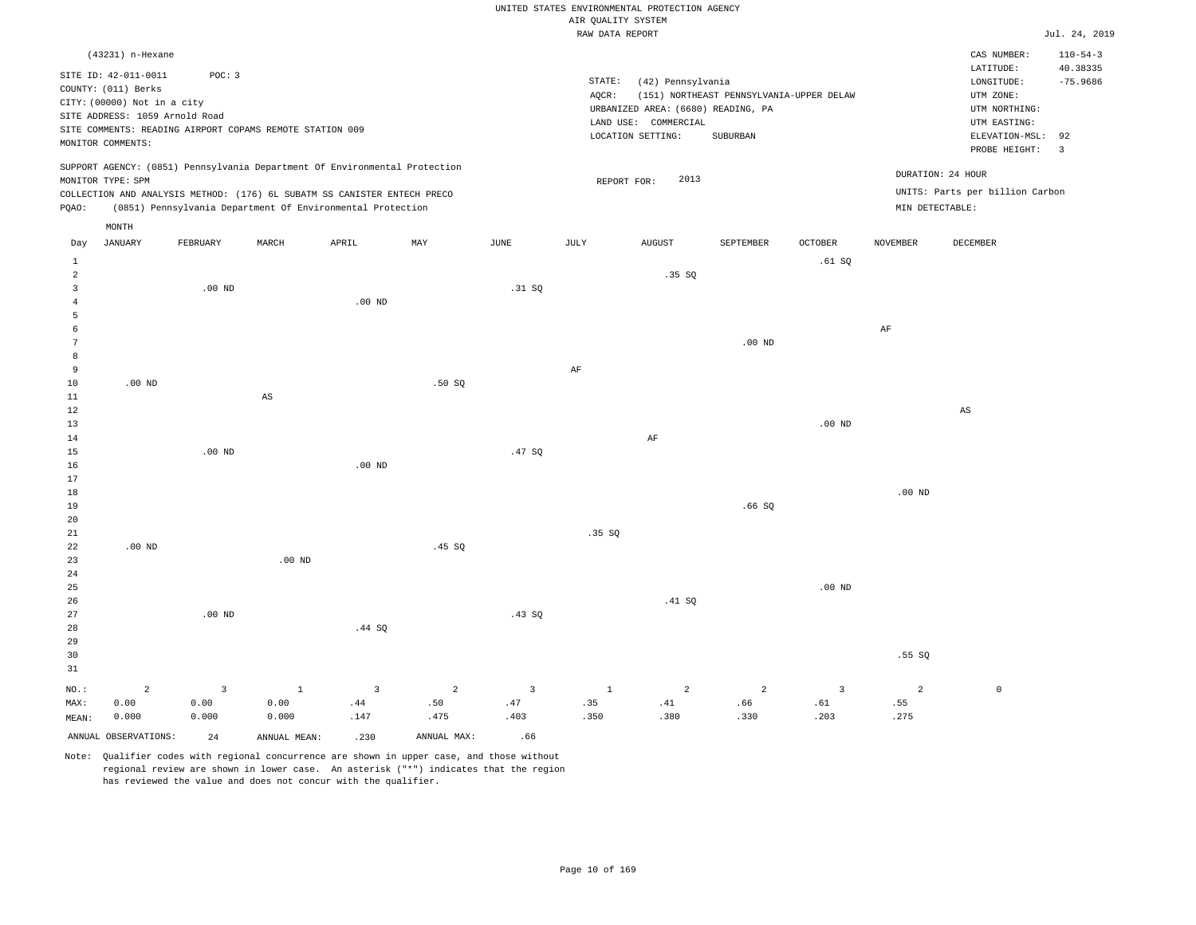|                                |                                                               |                   |                                                                                                                                        |                   |                |                |                    | UNITED STATES ENVIRONMENTAL PROTECTION AGENCY |                                          |                         |                   |                                 |                               |
|--------------------------------|---------------------------------------------------------------|-------------------|----------------------------------------------------------------------------------------------------------------------------------------|-------------------|----------------|----------------|--------------------|-----------------------------------------------|------------------------------------------|-------------------------|-------------------|---------------------------------|-------------------------------|
|                                |                                                               |                   |                                                                                                                                        |                   |                |                | AIR QUALITY SYSTEM |                                               |                                          |                         |                   |                                 |                               |
|                                |                                                               |                   |                                                                                                                                        |                   |                |                | RAW DATA REPORT    |                                               |                                          |                         |                   |                                 | Jul. 24, 2019                 |
|                                | (43231) n-Hexane                                              |                   |                                                                                                                                        |                   |                |                |                    |                                               |                                          |                         |                   | CAS NUMBER:<br>LATITUDE:        | $110 - 54 - 3$<br>40.38335    |
|                                | SITE ID: 42-011-0011                                          | POC: 3            |                                                                                                                                        |                   |                |                | STATE:             | (42) Pennsylvania                             |                                          |                         |                   | $\texttt{LONGITUDE}$ :          | $-75.9686$                    |
|                                | COUNTY: (011) Berks                                           |                   |                                                                                                                                        |                   |                |                | AOCR:              |                                               | (151) NORTHEAST PENNSYLVANIA-UPPER DELAW |                         |                   | UTM ZONE:                       |                               |
|                                | CITY: (00000) Not in a city<br>SITE ADDRESS: 1059 Arnold Road |                   |                                                                                                                                        |                   |                |                |                    | URBANIZED AREA: (6680) READING, PA            |                                          |                         |                   | UTM NORTHING:                   |                               |
|                                |                                                               |                   | SITE COMMENTS: READING AIRPORT COPAMS REMOTE STATION 009                                                                               |                   |                |                |                    | LAND USE: COMMERCIAL                          |                                          |                         |                   | UTM EASTING:                    |                               |
|                                | MONITOR COMMENTS:                                             |                   |                                                                                                                                        |                   |                |                |                    | LOCATION SETTING:                             | SUBURBAN                                 |                         |                   | ELEVATION-MSL:<br>PROBE HEIGHT: | 92<br>$\overline{\mathbf{3}}$ |
|                                |                                                               |                   | SUPPORT AGENCY: (0851) Pennsylvania Department Of Environmental Protection                                                             |                   |                |                |                    |                                               |                                          |                         |                   | DURATION: 24 HOUR               |                               |
|                                | MONITOR TYPE: SPM                                             |                   |                                                                                                                                        |                   |                |                | REPORT FOR:        | 2013                                          |                                          |                         |                   | UNITS: Parts per billion Carbon |                               |
| PQAO:                          |                                                               |                   | COLLECTION AND ANALYSIS METHOD: (176) 6L SUBATM SS CANISTER ENTECH PRECO<br>(0851) Pennsylvania Department Of Environmental Protection |                   |                |                |                    |                                               |                                          |                         | MIN DETECTABLE:   |                                 |                               |
|                                | $\texttt{MONTH}$                                              |                   |                                                                                                                                        |                   |                |                |                    |                                               |                                          |                         |                   |                                 |                               |
| Day                            | <b>JANUARY</b>                                                | FEBRUARY          | MARCH                                                                                                                                  | APRIL             | MAY            | <b>JUNE</b>    | <b>JULY</b>        | <b>AUGUST</b>                                 | SEPTEMBER                                | <b>OCTOBER</b>          | <b>NOVEMBER</b>   | DECEMBER                        |                               |
| $\mathbf{1}$<br>$\overline{a}$ |                                                               |                   |                                                                                                                                        |                   |                |                |                    | .35SQ                                         |                                          | .61SQ                   |                   |                                 |                               |
| $\overline{3}$                 |                                                               | $.00$ ND          |                                                                                                                                        |                   |                | .31 SQ         |                    |                                               |                                          |                         |                   |                                 |                               |
| 4                              |                                                               |                   |                                                                                                                                        | $.00$ ND          |                |                |                    |                                               |                                          |                         |                   |                                 |                               |
| 5                              |                                                               |                   |                                                                                                                                        |                   |                |                |                    |                                               |                                          |                         |                   |                                 |                               |
| 6                              |                                                               |                   |                                                                                                                                        |                   |                |                |                    |                                               |                                          |                         | AF                |                                 |                               |
| 7                              |                                                               |                   |                                                                                                                                        |                   |                |                |                    |                                               | $.00$ ND                                 |                         |                   |                                 |                               |
| 8                              |                                                               |                   |                                                                                                                                        |                   |                |                |                    |                                               |                                          |                         |                   |                                 |                               |
| 9                              |                                                               |                   |                                                                                                                                        |                   |                |                | AF                 |                                               |                                          |                         |                   |                                 |                               |
| 10                             | $.00$ ND                                                      |                   |                                                                                                                                        |                   | .50SQ          |                |                    |                                               |                                          |                         |                   |                                 |                               |
| 11<br>12                       |                                                               |                   | AS                                                                                                                                     |                   |                |                |                    |                                               |                                          |                         |                   | AS                              |                               |
| 13                             |                                                               |                   |                                                                                                                                        |                   |                |                |                    |                                               |                                          | $.00$ ND                |                   |                                 |                               |
| 14                             |                                                               |                   |                                                                                                                                        |                   |                |                |                    | AF                                            |                                          |                         |                   |                                 |                               |
| 15                             |                                                               | .00 <sub>ND</sub> |                                                                                                                                        |                   |                | .47SQ          |                    |                                               |                                          |                         |                   |                                 |                               |
| 16                             |                                                               |                   |                                                                                                                                        | .00 <sub>ND</sub> |                |                |                    |                                               |                                          |                         |                   |                                 |                               |
| 17                             |                                                               |                   |                                                                                                                                        |                   |                |                |                    |                                               |                                          |                         |                   |                                 |                               |
| 18                             |                                                               |                   |                                                                                                                                        |                   |                |                |                    |                                               |                                          |                         | .00 <sub>ND</sub> |                                 |                               |
| 19                             |                                                               |                   |                                                                                                                                        |                   |                |                |                    |                                               | .66S                                     |                         |                   |                                 |                               |
| 20<br>21                       |                                                               |                   |                                                                                                                                        |                   |                |                | .35S               |                                               |                                          |                         |                   |                                 |                               |
| 22                             | $.00$ ND                                                      |                   |                                                                                                                                        |                   | .45 SQ         |                |                    |                                               |                                          |                         |                   |                                 |                               |
| 23                             |                                                               |                   | .00 <sub>ND</sub>                                                                                                                      |                   |                |                |                    |                                               |                                          |                         |                   |                                 |                               |
| 24                             |                                                               |                   |                                                                                                                                        |                   |                |                |                    |                                               |                                          |                         |                   |                                 |                               |
| 25                             |                                                               |                   |                                                                                                                                        |                   |                |                |                    |                                               |                                          | .00 <sub>ND</sub>       |                   |                                 |                               |
| 26                             |                                                               |                   |                                                                                                                                        |                   |                |                |                    | .41 SQ                                        |                                          |                         |                   |                                 |                               |
| 27                             |                                                               | $.00$ ND          |                                                                                                                                        |                   |                | .43S           |                    |                                               |                                          |                         |                   |                                 |                               |
| 28                             |                                                               |                   |                                                                                                                                        | .44 SQ            |                |                |                    |                                               |                                          |                         |                   |                                 |                               |
| 29<br>30                       |                                                               |                   |                                                                                                                                        |                   |                |                |                    |                                               |                                          |                         | .55S              |                                 |                               |
| 31                             |                                                               |                   |                                                                                                                                        |                   |                |                |                    |                                               |                                          |                         |                   |                                 |                               |
|                                |                                                               |                   |                                                                                                                                        |                   |                |                |                    |                                               |                                          |                         |                   |                                 |                               |
| NO.:                           | $\overline{a}$                                                | $\overline{3}$    | $\mathbf 1$                                                                                                                            | $\overline{3}$    | $\overline{a}$ | $\overline{3}$ | $1\,$              | $\overline{a}$                                | $\overline{a}$                           | $\overline{\mathbf{3}}$ | $\overline{2}$    | $\mathbb O$                     |                               |
| MAX:<br>MEAN:                  | 0.00<br>0.000                                                 | 0.00<br>0.000     | 0.00<br>0.000                                                                                                                          | .44<br>.147       | .50<br>.475    | .47<br>.403    | .35<br>.350        | .41<br>.380                                   | .66<br>.330                              | .61<br>.203             | .55<br>.275       |                                 |                               |
|                                |                                                               |                   |                                                                                                                                        |                   |                |                |                    |                                               |                                          |                         |                   |                                 |                               |
|                                | ANNUAL OBSERVATIONS:                                          | 2.4               | ANNUAL, MEAN:                                                                                                                          | .230              | ANNUAL MAX:    | .66            |                    |                                               |                                          |                         |                   |                                 |                               |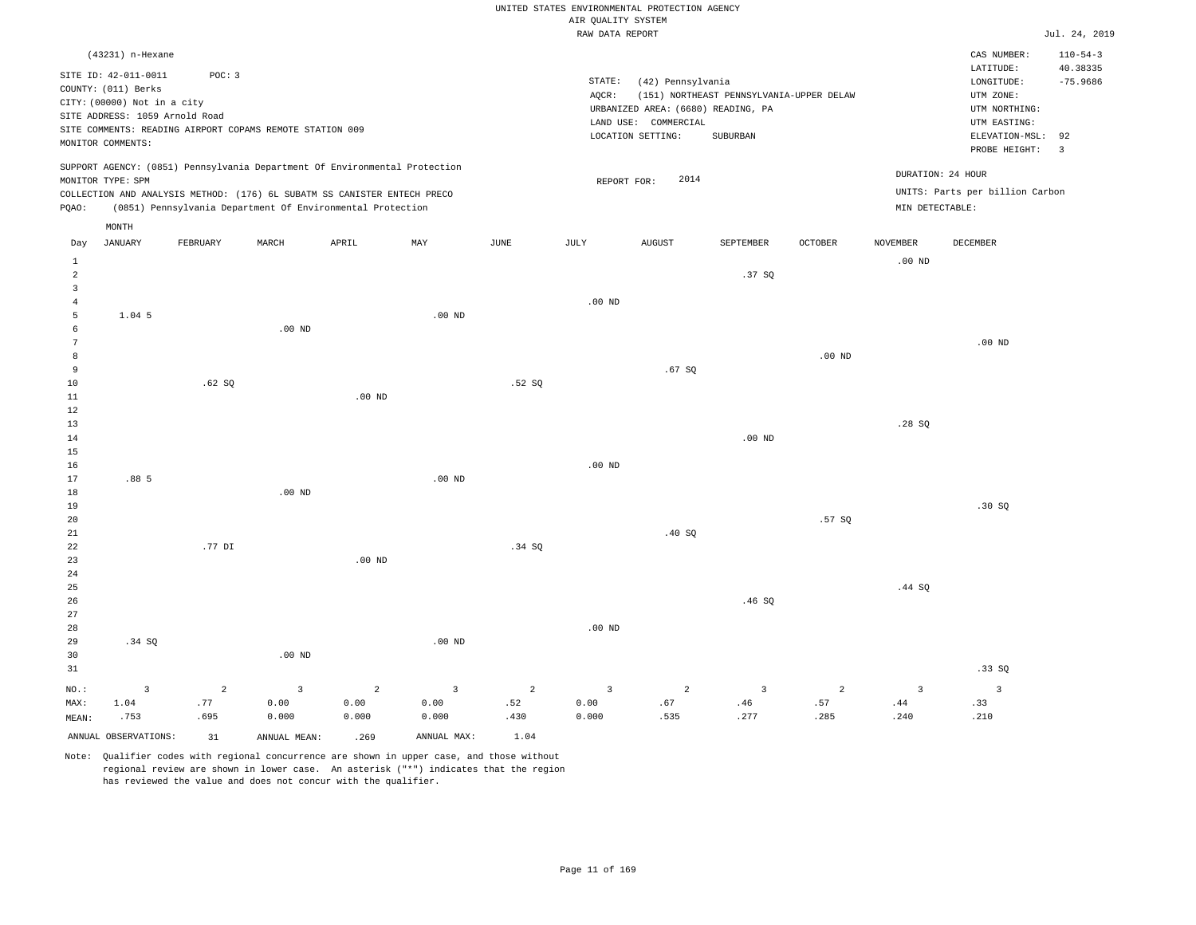|                                       |                                                                                                           |                               |                                                                                                                                        |                                 |                                 |                  | AIR QUALITY SYSTEM              | UNITED STATES ENVIRONMENTAL PROTECTION AGENCY                                   |                                                      |                               |                                      |                                                                               |                                          |
|---------------------------------------|-----------------------------------------------------------------------------------------------------------|-------------------------------|----------------------------------------------------------------------------------------------------------------------------------------|---------------------------------|---------------------------------|------------------|---------------------------------|---------------------------------------------------------------------------------|------------------------------------------------------|-------------------------------|--------------------------------------|-------------------------------------------------------------------------------|------------------------------------------|
|                                       |                                                                                                           |                               |                                                                                                                                        |                                 |                                 |                  | RAW DATA REPORT                 |                                                                                 |                                                      |                               |                                      |                                                                               | Jul. 24, 2019                            |
|                                       | (43231) n-Hexane<br>SITE ID: 42-011-0011                                                                  | POC: 3                        |                                                                                                                                        |                                 |                                 |                  | STATE:                          | (42) Pennsylvania                                                               |                                                      |                               |                                      | CAS NUMBER:<br>LATITUDE:<br>LONGITUDE:                                        | $110 - 54 - 3$<br>40.38335<br>$-75.9686$ |
|                                       | COUNTY: (011) Berks<br>CITY: (00000) Not in a city<br>SITE ADDRESS: 1059 Arnold Road<br>MONITOR COMMENTS: |                               | SITE COMMENTS: READING AIRPORT COPAMS REMOTE STATION 009                                                                               |                                 |                                 |                  | AQCR:                           | URBANIZED AREA: (6680) READING, PA<br>LAND USE: COMMERCIAL<br>LOCATION SETTING: | (151) NORTHEAST PENNSYLVANIA-UPPER DELAW<br>SUBURBAN |                               |                                      | UTM ZONE:<br>UTM NORTHING:<br>UTM EASTING:<br>ELEVATION-MSL:<br>PROBE HEIGHT: | 92<br>$\overline{\mathbf{3}}$            |
|                                       | MONITOR TYPE: SPM                                                                                         |                               | SUPPORT AGENCY: (0851) Pennsylvania Department Of Environmental Protection                                                             |                                 |                                 |                  |                                 | 2014<br>REPORT FOR:                                                             |                                                      |                               |                                      | DURATION: 24 HOUR                                                             |                                          |
| PQAO:                                 |                                                                                                           |                               | COLLECTION AND ANALYSIS METHOD: (176) 6L SUBATM SS CANISTER ENTECH PRECO<br>(0851) Pennsylvania Department Of Environmental Protection |                                 |                                 |                  |                                 |                                                                                 |                                                      |                               | MIN DETECTABLE:                      | UNITS: Parts per billion Carbon                                               |                                          |
|                                       | MONTH                                                                                                     |                               |                                                                                                                                        |                                 |                                 |                  |                                 |                                                                                 |                                                      |                               |                                      |                                                                               |                                          |
| Day<br>$\mathbf{1}$                   | JANUARY                                                                                                   | FEBRUARY                      | MARCH                                                                                                                                  | APRIL                           | MAY                             | JUNE             | JULY                            | <b>AUGUST</b>                                                                   | SEPTEMBER                                            | OCTOBER                       | <b>NOVEMBER</b><br>.00 <sub>ND</sub> | DECEMBER                                                                      |                                          |
| $\sqrt{2}$<br>$\overline{\mathbf{3}}$ |                                                                                                           |                               |                                                                                                                                        |                                 |                                 |                  |                                 |                                                                                 | .37SQ                                                |                               |                                      |                                                                               |                                          |
| $\overline{4}$<br>5                   | 1.04 5                                                                                                    |                               |                                                                                                                                        |                                 | $.00$ ND                        |                  | $.00$ ND                        |                                                                                 |                                                      |                               |                                      |                                                                               |                                          |
| 6<br>$\overline{7}$                   |                                                                                                           |                               | $.00$ ND                                                                                                                               |                                 |                                 |                  |                                 |                                                                                 |                                                      |                               |                                      | $.00$ ND                                                                      |                                          |
| 8                                     |                                                                                                           |                               |                                                                                                                                        |                                 |                                 |                  |                                 |                                                                                 |                                                      | $.00$ ND                      |                                      |                                                                               |                                          |
| 9<br>10                               |                                                                                                           | .62SQ                         |                                                                                                                                        |                                 |                                 | .52S             |                                 | .67S                                                                            |                                                      |                               |                                      |                                                                               |                                          |
| $1\,1$<br>12                          |                                                                                                           |                               |                                                                                                                                        | .00 <sub>ND</sub>               |                                 |                  |                                 |                                                                                 |                                                      |                               |                                      |                                                                               |                                          |
| 13<br>14                              |                                                                                                           |                               |                                                                                                                                        |                                 |                                 |                  |                                 |                                                                                 | .00 <sub>ND</sub>                                    |                               | .28SQ                                |                                                                               |                                          |
| 15<br>16                              |                                                                                                           |                               |                                                                                                                                        |                                 |                                 |                  | $.00$ ND                        |                                                                                 |                                                      |                               |                                      |                                                                               |                                          |
| 17<br>18                              | .88 5                                                                                                     |                               | $.00$ ND                                                                                                                               |                                 | $.00$ ND                        |                  |                                 |                                                                                 |                                                      |                               |                                      |                                                                               |                                          |
| 19<br>20                              |                                                                                                           |                               |                                                                                                                                        |                                 |                                 |                  |                                 |                                                                                 |                                                      | .57SQ                         |                                      | .30S                                                                          |                                          |
| 21<br>22                              |                                                                                                           | .77 DI                        |                                                                                                                                        |                                 |                                 | .34 SQ           |                                 | .40S                                                                            |                                                      |                               |                                      |                                                                               |                                          |
| 23<br>$2\sqrt{4}$                     |                                                                                                           |                               |                                                                                                                                        | $.00$ ND                        |                                 |                  |                                 |                                                                                 |                                                      |                               |                                      |                                                                               |                                          |
| 25<br>26                              |                                                                                                           |                               |                                                                                                                                        |                                 |                                 |                  |                                 |                                                                                 | .46SQ                                                |                               | .44 SQ                               |                                                                               |                                          |
| 27<br>28<br>29<br>30                  | .34 SQ                                                                                                    |                               | .00 <sub>ND</sub>                                                                                                                      |                                 | $.00$ ND                        |                  | .00 <sub>ND</sub>               |                                                                                 |                                                      |                               |                                      |                                                                               |                                          |
| 31                                    |                                                                                                           |                               |                                                                                                                                        |                                 |                                 |                  |                                 |                                                                                 |                                                      |                               |                                      | .33SQ                                                                         |                                          |
| NO.:<br>MAX:<br>MEAN:                 | $\overline{3}$<br>1.04<br>.753                                                                            | $\overline{a}$<br>.77<br>.695 | $\overline{3}$<br>0.00<br>0.000                                                                                                        | $\overline{2}$<br>0.00<br>0.000 | $\overline{3}$<br>0.00<br>0.000 | 2<br>.52<br>.430 | $\overline{3}$<br>0.00<br>0.000 | $\overline{a}$<br>.67<br>.535                                                   | $\overline{3}$<br>.46<br>.277                        | $\overline{a}$<br>.57<br>.285 | $\overline{3}$<br>.44<br>.240        | $\overline{3}$<br>.33<br>.210                                                 |                                          |
|                                       | ANNUAL OBSERVATIONS:                                                                                      | 31                            | ANNUAL MEAN:                                                                                                                           | .269                            | ANNUAL MAX:                     | 1.04             |                                 |                                                                                 |                                                      |                               |                                      |                                                                               |                                          |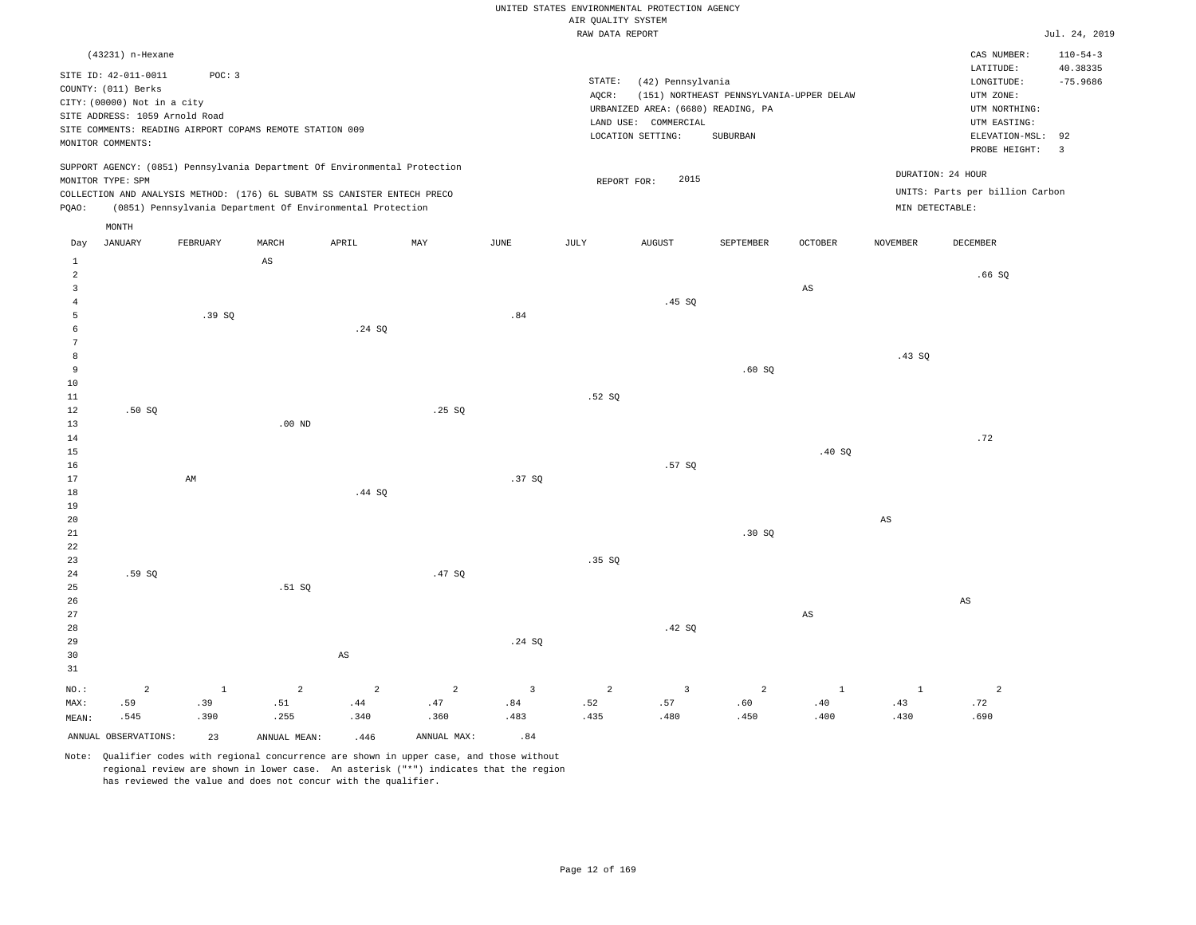### RAW DATA REPORT JUL. 24, 2019 UNITED STATES ENVIRONMENTAL PROTECTION AGENCY AIR QUALITY SYSTEM

|                         | (43231) n-Hexane                                                                                                                  |                                                                    |              |                                                                                                                                                        |                |               |                 |                                                                                                      |                                                      |              |                 | CAS NUMBER:                                                                                                          | $110 - 54 - 3$                                 |
|-------------------------|-----------------------------------------------------------------------------------------------------------------------------------|--------------------------------------------------------------------|--------------|--------------------------------------------------------------------------------------------------------------------------------------------------------|----------------|---------------|-----------------|------------------------------------------------------------------------------------------------------|------------------------------------------------------|--------------|-----------------|----------------------------------------------------------------------------------------------------------------------|------------------------------------------------|
|                         | SITE ID: 42-011-0011<br>COUNTY: (011) Berks<br>CITY: (00000) Not in a city<br>SITE ADDRESS: 1059 Arnold Road<br>MONITOR COMMENTS: | POC: 3<br>SITE COMMENTS: READING AIRPORT COPAMS REMOTE STATION 009 |              |                                                                                                                                                        |                |               | STATE:<br>AQCR: | (42) Pennsylvania<br>URBANIZED AREA: (6680) READING, PA<br>LAND USE: COMMERCIAL<br>LOCATION SETTING: | (151) NORTHEAST PENNSYLVANIA-UPPER DELAW<br>SUBURBAN |              |                 | LATITUDE:<br>$\texttt{LONGITUDE}$ :<br>UTM ZONE:<br>UTM NORTHING:<br>UTM EASTING:<br>ELEVATION-MSL:<br>PROBE HEIGHT: | 40.38335<br>$-75.9686$<br>92<br>$\overline{3}$ |
|                         | MONITOR TYPE: SPM                                                                                                                 |                                                                    |              | SUPPORT AGENCY: (0851) Pennsylvania Department Of Environmental Protection<br>COLLECTION AND ANALYSIS METHOD: (176) 6L SUBATM SS CANISTER ENTECH PRECO |                |               | REPORT FOR:     | 2015                                                                                                 |                                                      |              |                 | DURATION: 24 HOUR<br>UNITS: Parts per billion Carbon                                                                 |                                                |
| PQAO:                   |                                                                                                                                   |                                                                    |              | (0851) Pennsylvania Department Of Environmental Protection                                                                                             |                |               |                 |                                                                                                      |                                                      |              | MIN DETECTABLE: |                                                                                                                      |                                                |
|                         | MONTH                                                                                                                             |                                                                    |              |                                                                                                                                                        |                |               |                 |                                                                                                      |                                                      |              |                 |                                                                                                                      |                                                |
| Day                     | <b>JANUARY</b>                                                                                                                    | FEBRUARY                                                           | MARCH        | APRIL                                                                                                                                                  | MAY            | $_{\rm JUNE}$ | JULY            | <b>AUGUST</b>                                                                                        | SEPTEMBER                                            | OCTOBER      | <b>NOVEMBER</b> | DECEMBER                                                                                                             |                                                |
| $\mathbf{1}$<br>2       |                                                                                                                                   |                                                                    | $_{\rm AS}$  |                                                                                                                                                        |                |               |                 |                                                                                                      |                                                      |              |                 | .66SQ                                                                                                                |                                                |
| $\overline{\mathbf{3}}$ |                                                                                                                                   |                                                                    |              |                                                                                                                                                        |                |               |                 |                                                                                                      |                                                      | AS           |                 |                                                                                                                      |                                                |
| $\overline{4}$<br>5     |                                                                                                                                   | .39SQ                                                              |              |                                                                                                                                                        |                | .84           |                 | .45 SQ                                                                                               |                                                      |              |                 |                                                                                                                      |                                                |
| 6                       |                                                                                                                                   |                                                                    |              | .24 SQ                                                                                                                                                 |                |               |                 |                                                                                                      |                                                      |              |                 |                                                                                                                      |                                                |
| $\overline{7}$          |                                                                                                                                   |                                                                    |              |                                                                                                                                                        |                |               |                 |                                                                                                      |                                                      |              |                 |                                                                                                                      |                                                |
| 8<br>9                  |                                                                                                                                   |                                                                    |              |                                                                                                                                                        |                |               |                 |                                                                                                      |                                                      |              | .43SQ           |                                                                                                                      |                                                |
| 10                      |                                                                                                                                   |                                                                    |              |                                                                                                                                                        |                |               |                 |                                                                                                      | .60SQ                                                |              |                 |                                                                                                                      |                                                |
| 11                      |                                                                                                                                   |                                                                    |              |                                                                                                                                                        |                |               | .52S            |                                                                                                      |                                                      |              |                 |                                                                                                                      |                                                |
| 12                      | .50S                                                                                                                              |                                                                    |              |                                                                                                                                                        | .25 S          |               |                 |                                                                                                      |                                                      |              |                 |                                                                                                                      |                                                |
| 13                      |                                                                                                                                   |                                                                    | $.00$ ND     |                                                                                                                                                        |                |               |                 |                                                                                                      |                                                      |              |                 |                                                                                                                      |                                                |
| 14                      |                                                                                                                                   |                                                                    |              |                                                                                                                                                        |                |               |                 |                                                                                                      |                                                      |              |                 | .72                                                                                                                  |                                                |
| 15<br>16                |                                                                                                                                   |                                                                    |              |                                                                                                                                                        |                |               |                 | .57 SO                                                                                               |                                                      | .40SQ        |                 |                                                                                                                      |                                                |
| 17                      |                                                                                                                                   | AM                                                                 |              |                                                                                                                                                        |                | .37SQ         |                 |                                                                                                      |                                                      |              |                 |                                                                                                                      |                                                |
| 18                      |                                                                                                                                   |                                                                    |              | .44 SQ                                                                                                                                                 |                |               |                 |                                                                                                      |                                                      |              |                 |                                                                                                                      |                                                |
| 19                      |                                                                                                                                   |                                                                    |              |                                                                                                                                                        |                |               |                 |                                                                                                      |                                                      |              |                 |                                                                                                                      |                                                |
| 20                      |                                                                                                                                   |                                                                    |              |                                                                                                                                                        |                |               |                 |                                                                                                      |                                                      |              | $_{\rm AS}$     |                                                                                                                      |                                                |
| $2\sqrt{1}$<br>22       |                                                                                                                                   |                                                                    |              |                                                                                                                                                        |                |               |                 |                                                                                                      | .30 SQ                                               |              |                 |                                                                                                                      |                                                |
| 23                      |                                                                                                                                   |                                                                    |              |                                                                                                                                                        |                |               | .35S            |                                                                                                      |                                                      |              |                 |                                                                                                                      |                                                |
| 24                      | .59SQ                                                                                                                             |                                                                    |              |                                                                                                                                                        | .47SQ          |               |                 |                                                                                                      |                                                      |              |                 |                                                                                                                      |                                                |
| 25                      |                                                                                                                                   |                                                                    | .51 SQ       |                                                                                                                                                        |                |               |                 |                                                                                                      |                                                      |              |                 |                                                                                                                      |                                                |
| 26                      |                                                                                                                                   |                                                                    |              |                                                                                                                                                        |                |               |                 |                                                                                                      |                                                      |              |                 | $\mathbb{A}\mathbb{S}$                                                                                               |                                                |
| 27<br>28                |                                                                                                                                   |                                                                    |              |                                                                                                                                                        |                |               |                 | .42 SQ                                                                                               |                                                      | $_{\rm AS}$  |                 |                                                                                                                      |                                                |
| 29                      |                                                                                                                                   |                                                                    |              |                                                                                                                                                        |                | .24 SQ        |                 |                                                                                                      |                                                      |              |                 |                                                                                                                      |                                                |
| 30                      |                                                                                                                                   |                                                                    |              | $\mathbb{A}\mathbb{S}$                                                                                                                                 |                |               |                 |                                                                                                      |                                                      |              |                 |                                                                                                                      |                                                |
| 31                      |                                                                                                                                   |                                                                    |              |                                                                                                                                                        |                |               |                 |                                                                                                      |                                                      |              |                 |                                                                                                                      |                                                |
| NO.:                    | $\overline{2}$                                                                                                                    | $\mathbf{1}$                                                       | 2            | 2                                                                                                                                                      | $\overline{a}$ | 3             | 2               | $\overline{3}$                                                                                       | $\overline{a}$                                       | <sup>1</sup> | <sup>1</sup>    | $\overline{a}$                                                                                                       |                                                |
| MAX:                    | .59                                                                                                                               | .39                                                                | .51          | .44                                                                                                                                                    | .47            | .84           | .52             | .57                                                                                                  | .60                                                  | .40          | .43             | .72                                                                                                                  |                                                |
| MEAN:                   | .545                                                                                                                              | .390                                                               | .255         | .340                                                                                                                                                   | .360           | .483          | .435            | .480                                                                                                 | .450                                                 | .400         | .430            | .690                                                                                                                 |                                                |
|                         | ANNUAL OBSERVATIONS:                                                                                                              | 23                                                                 | ANNUAL MEAN: | .446                                                                                                                                                   | ANNUAL MAX:    | .84           |                 |                                                                                                      |                                                      |              |                 |                                                                                                                      |                                                |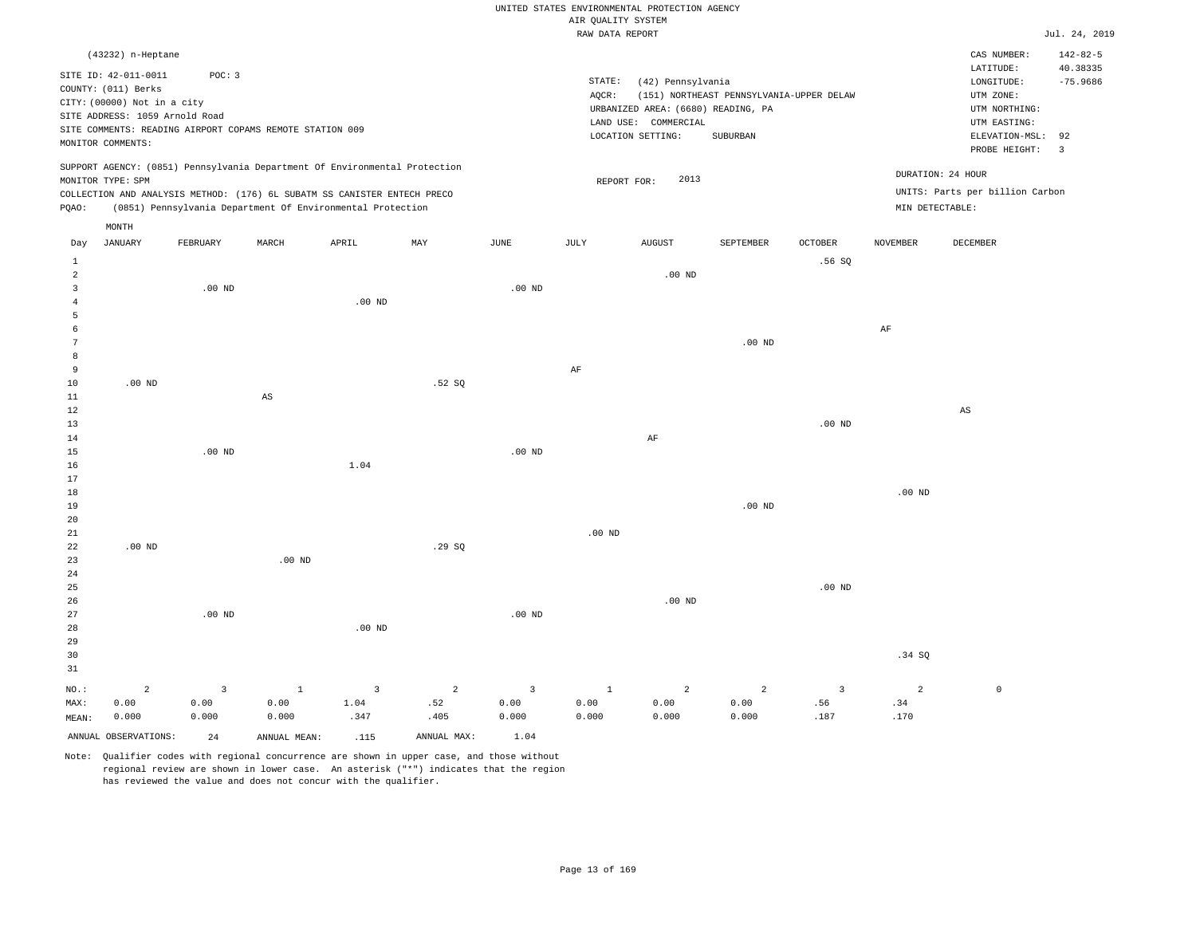|                             |                                                                                                                                   |                                                                    |                               |                                                                                                                                                                                                                      |                               |                                 |                                       | UNITED STATES ENVIRONMENTAL PROTECTION AGENCY                                                        |                                                      |                  |                                      |                                                                                                          |                                                |
|-----------------------------|-----------------------------------------------------------------------------------------------------------------------------------|--------------------------------------------------------------------|-------------------------------|----------------------------------------------------------------------------------------------------------------------------------------------------------------------------------------------------------------------|-------------------------------|---------------------------------|---------------------------------------|------------------------------------------------------------------------------------------------------|------------------------------------------------------|------------------|--------------------------------------|----------------------------------------------------------------------------------------------------------|------------------------------------------------|
|                             |                                                                                                                                   |                                                                    |                               |                                                                                                                                                                                                                      |                               |                                 | AIR QUALITY SYSTEM<br>RAW DATA REPORT |                                                                                                      |                                                      |                  |                                      |                                                                                                          | Jul. 24, 2019                                  |
|                             | (43232) n-Heptane                                                                                                                 |                                                                    |                               |                                                                                                                                                                                                                      |                               |                                 |                                       |                                                                                                      |                                                      |                  |                                      | CAS NUMBER:                                                                                              | $142 - 82 - 5$                                 |
|                             | SITE ID: 42-011-0011<br>COUNTY: (011) Berks<br>CITY: (00000) Not in a city<br>SITE ADDRESS: 1059 Arnold Road<br>MONITOR COMMENTS: | POC: 3<br>SITE COMMENTS: READING AIRPORT COPAMS REMOTE STATION 009 |                               |                                                                                                                                                                                                                      |                               |                                 | STATE:<br>AQCR:                       | (42) Pennsylvania<br>URBANIZED AREA: (6680) READING, PA<br>LAND USE: COMMERCIAL<br>LOCATION SETTING: | (151) NORTHEAST PENNSYLVANIA-UPPER DELAW<br>SUBURBAN |                  |                                      | LATITUDE:<br>LONGITUDE:<br>UTM ZONE:<br>UTM NORTHING:<br>UTM EASTING:<br>ELEVATION-MSL:<br>PROBE HEIGHT: | 40.38335<br>$-75.9686$<br>92<br>$\overline{3}$ |
| PQAO:                       | MONITOR TYPE: SPM                                                                                                                 |                                                                    |                               | SUPPORT AGENCY: (0851) Pennsylvania Department Of Environmental Protection<br>COLLECTION AND ANALYSIS METHOD: (176) 6L SUBATM SS CANISTER ENTECH PRECO<br>(0851) Pennsylvania Department Of Environmental Protection |                               |                                 |                                       | 2013<br>REPORT FOR:                                                                                  |                                                      |                  | DURATION: 24 HOUR<br>MIN DETECTABLE: | UNITS: Parts per billion Carbon                                                                          |                                                |
|                             | MONTH                                                                                                                             |                                                                    |                               |                                                                                                                                                                                                                      |                               |                                 |                                       |                                                                                                      |                                                      |                  |                                      |                                                                                                          |                                                |
| Day                         | <b>JANUARY</b>                                                                                                                    | FEBRUARY                                                           | MARCH                         | APRIL                                                                                                                                                                                                                | MAY                           | JUNE                            | JULY                                  | <b>AUGUST</b>                                                                                        | SEPTEMBER                                            | <b>OCTOBER</b>   | <b>NOVEMBER</b>                      | DECEMBER                                                                                                 |                                                |
| 1<br>$\overline{a}$         |                                                                                                                                   |                                                                    |                               |                                                                                                                                                                                                                      |                               |                                 |                                       | $.00$ ND                                                                                             |                                                      | .56SQ            |                                      |                                                                                                          |                                                |
| 3                           |                                                                                                                                   | $.00$ ND                                                           |                               |                                                                                                                                                                                                                      |                               | .00 <sub>ND</sub>               |                                       |                                                                                                      |                                                      |                  |                                      |                                                                                                          |                                                |
| $\overline{4}$              |                                                                                                                                   |                                                                    |                               | $.00$ ND                                                                                                                                                                                                             |                               |                                 |                                       |                                                                                                      |                                                      |                  |                                      |                                                                                                          |                                                |
| 5<br>6<br>7                 |                                                                                                                                   |                                                                    |                               |                                                                                                                                                                                                                      |                               |                                 |                                       |                                                                                                      | $.00$ ND                                             |                  | AF                                   |                                                                                                          |                                                |
| 8                           |                                                                                                                                   |                                                                    |                               |                                                                                                                                                                                                                      |                               |                                 |                                       |                                                                                                      |                                                      |                  |                                      |                                                                                                          |                                                |
| 9<br>10                     | $.00$ ND                                                                                                                          |                                                                    |                               |                                                                                                                                                                                                                      | .52S                          |                                 | AF                                    |                                                                                                      |                                                      |                  |                                      |                                                                                                          |                                                |
| 11                          |                                                                                                                                   |                                                                    | $_{\rm AS}$                   |                                                                                                                                                                                                                      |                               |                                 |                                       |                                                                                                      |                                                      |                  |                                      |                                                                                                          |                                                |
| 12                          |                                                                                                                                   |                                                                    |                               |                                                                                                                                                                                                                      |                               |                                 |                                       |                                                                                                      |                                                      |                  |                                      | $_{\rm AS}$                                                                                              |                                                |
| 13                          |                                                                                                                                   |                                                                    |                               |                                                                                                                                                                                                                      |                               |                                 |                                       |                                                                                                      |                                                      | $.00$ ND         |                                      |                                                                                                          |                                                |
| 14<br>15                    |                                                                                                                                   | $.00$ ND                                                           |                               |                                                                                                                                                                                                                      |                               | .00 <sub>ND</sub>               |                                       | AF                                                                                                   |                                                      |                  |                                      |                                                                                                          |                                                |
| 16                          |                                                                                                                                   |                                                                    |                               | 1.04                                                                                                                                                                                                                 |                               |                                 |                                       |                                                                                                      |                                                      |                  |                                      |                                                                                                          |                                                |
| 17                          |                                                                                                                                   |                                                                    |                               |                                                                                                                                                                                                                      |                               |                                 |                                       |                                                                                                      |                                                      |                  |                                      |                                                                                                          |                                                |
| 18<br>19<br>20              |                                                                                                                                   |                                                                    |                               |                                                                                                                                                                                                                      |                               |                                 |                                       |                                                                                                      | $.00$ ND                                             |                  | $.00$ ND                             |                                                                                                          |                                                |
| 21<br>22<br>23              | $.00$ ND                                                                                                                          |                                                                    | $.00$ ND                      |                                                                                                                                                                                                                      | .29SQ                         |                                 | $.00$ ND                              |                                                                                                      |                                                      |                  |                                      |                                                                                                          |                                                |
| 24                          |                                                                                                                                   |                                                                    |                               |                                                                                                                                                                                                                      |                               |                                 |                                       |                                                                                                      |                                                      |                  |                                      |                                                                                                          |                                                |
| 25<br>26<br>27<br>28<br>29  |                                                                                                                                   | $.00$ ND                                                           |                               | $.00$ ND                                                                                                                                                                                                             |                               | $.00$ ND                        |                                       | $.00$ ND                                                                                             |                                                      | $.00$ ND         |                                      |                                                                                                          |                                                |
| 30                          |                                                                                                                                   |                                                                    |                               |                                                                                                                                                                                                                      |                               |                                 |                                       |                                                                                                      |                                                      |                  | .34 SQ                               |                                                                                                          |                                                |
| 31<br>NO.:<br>MAX:<br>MFAN: | $\overline{a}$<br>0.00<br>0.000                                                                                                   | $\overline{3}$<br>0.00<br>0.000                                    | $\mathbf{1}$<br>0.00<br>0.000 | $\overline{3}$<br>1.04<br>.347                                                                                                                                                                                       | $\overline{a}$<br>.52<br>.405 | $\overline{3}$<br>0.00<br>0.000 | $\mathbf{1}$<br>0.00<br>0.000         | $\overline{a}$<br>0.00<br>0.000                                                                      | $\overline{a}$<br>0.00<br>0.000                      | 3<br>.56<br>.187 | $\overline{2}$<br>.34<br>.170        | $\mathbb O$                                                                                              |                                                |

ANNUAL OBSERVATIONS: 24 ANNUAL MEAN: .115 ANNUAL MAX: 1.04

0.000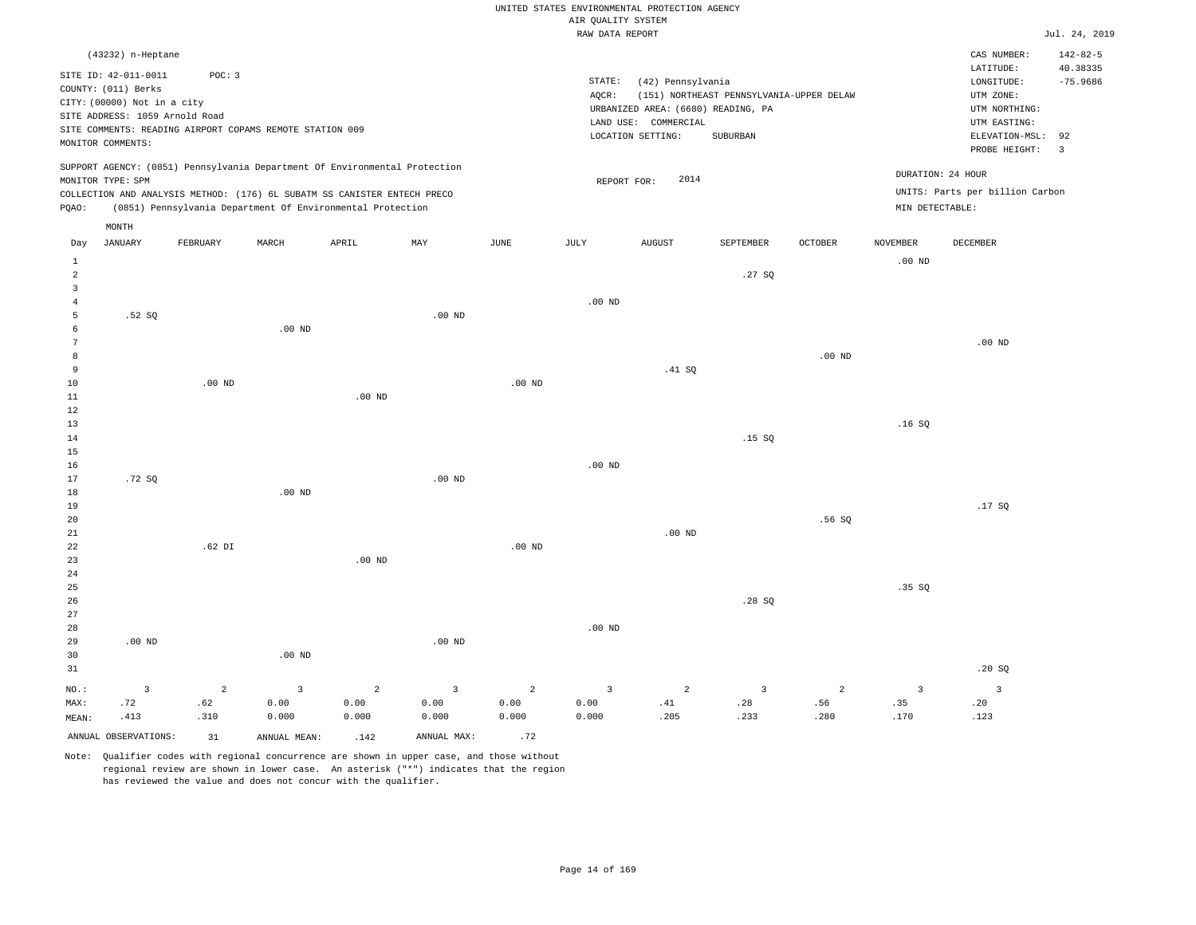|                                  |                                                                                                           |                       |                                                                                                                                        |                        |                        |                        | AIR QUALITY SYSTEM           | UNITED STATES ENVIRONMENTAL PROTECTION AGENCY                                                        |                                                      |          |                       |                                                                                             |                                    |
|----------------------------------|-----------------------------------------------------------------------------------------------------------|-----------------------|----------------------------------------------------------------------------------------------------------------------------------------|------------------------|------------------------|------------------------|------------------------------|------------------------------------------------------------------------------------------------------|------------------------------------------------------|----------|-----------------------|---------------------------------------------------------------------------------------------|------------------------------------|
|                                  |                                                                                                           |                       |                                                                                                                                        |                        |                        |                        | RAW DATA REPORT              |                                                                                                      |                                                      |          |                       |                                                                                             | Jul. 24, 2019                      |
|                                  | (43232) n-Heptane<br>SITE ID: 42-011-0011                                                                 | POC: 3                |                                                                                                                                        |                        |                        |                        |                              |                                                                                                      |                                                      |          |                       | CAS NUMBER:<br>LATITUDE:                                                                    | $142 - 82 - 5$<br>40.38335         |
|                                  | COUNTY: (011) Berks<br>CITY: (00000) Not in a city<br>SITE ADDRESS: 1059 Arnold Road<br>MONITOR COMMENTS: |                       | SITE COMMENTS: READING AIRPORT COPAMS REMOTE STATION 009                                                                               |                        |                        |                        | $\texttt{STATE}{}:$<br>AQCR: | (42) Pennsylvania<br>URBANIZED AREA: (6680) READING, PA<br>LAND USE: COMMERCIAL<br>LOCATION SETTING: | (151) NORTHEAST PENNSYLVANIA-UPPER DELAW<br>SUBURBAN |          |                       | LONGITUDE:<br>UTM ZONE:<br>UTM NORTHING:<br>UTM EASTING:<br>ELEVATION-MSL:<br>PROBE HEIGHT: | $-75.9686$<br>92<br>$\overline{3}$ |
|                                  | MONITOR TYPE: SPM                                                                                         |                       | SUPPORT AGENCY: (0851) Pennsylvania Department Of Environmental Protection                                                             |                        |                        |                        |                              | 2014<br>REPORT FOR:                                                                                  |                                                      |          |                       | DURATION: 24 HOUR                                                                           |                                    |
| PQAO:                            |                                                                                                           |                       | COLLECTION AND ANALYSIS METHOD: (176) 6L SUBATM SS CANISTER ENTECH PRECO<br>(0851) Pennsylvania Department Of Environmental Protection |                        |                        |                        |                              |                                                                                                      |                                                      |          | MIN DETECTABLE:       | UNITS: Parts per billion Carbon                                                             |                                    |
| Day                              | MONTH<br><b>JANUARY</b>                                                                                   | FEBRUARY              | MARCH                                                                                                                                  | APRIL                  | MAY                    | JUNE                   | JULY                         | <b>AUGUST</b>                                                                                        | SEPTEMBER                                            | OCTOBER  | NOVEMBER              | DECEMBER                                                                                    |                                    |
| <sup>1</sup>                     |                                                                                                           |                       |                                                                                                                                        |                        |                        |                        |                              |                                                                                                      |                                                      |          | .00 <sub>ND</sub>     |                                                                                             |                                    |
| $\overline{a}$<br>$\overline{3}$ |                                                                                                           |                       |                                                                                                                                        |                        |                        |                        |                              |                                                                                                      | .27SQ                                                |          |                       |                                                                                             |                                    |
| $\overline{4}$<br>5              | .52 SO                                                                                                    |                       |                                                                                                                                        |                        | $.00$ ND               |                        | $.00$ ND                     |                                                                                                      |                                                      |          |                       |                                                                                             |                                    |
| 6<br>$7\phantom{.0}$             |                                                                                                           |                       | $.00$ ND                                                                                                                               |                        |                        |                        |                              |                                                                                                      |                                                      |          |                       | $.00$ ND                                                                                    |                                    |
| $^{\rm 8}$<br>9                  |                                                                                                           |                       |                                                                                                                                        |                        |                        |                        |                              | .41 SQ                                                                                               |                                                      | $.00$ ND |                       |                                                                                             |                                    |
| $10$<br>11                       |                                                                                                           | $.00$ ND              |                                                                                                                                        | $.00$ ND               |                        | .00 <sub>ND</sub>      |                              |                                                                                                      |                                                      |          |                       |                                                                                             |                                    |
| 12<br>13<br>14                   |                                                                                                           |                       |                                                                                                                                        |                        |                        |                        |                              |                                                                                                      | .15S                                                 |          | .16S                  |                                                                                             |                                    |
| 15<br>16                         |                                                                                                           |                       |                                                                                                                                        |                        |                        |                        | $.00$ ND                     |                                                                                                      |                                                      |          |                       |                                                                                             |                                    |
| 17<br>18<br>19                   | .72S                                                                                                      |                       | .00 <sub>ND</sub>                                                                                                                      |                        | $.00$ ND               |                        |                              |                                                                                                      |                                                      |          |                       | .17S                                                                                        |                                    |
| 20<br>21                         |                                                                                                           |                       |                                                                                                                                        |                        |                        |                        |                              | $.00$ ND                                                                                             |                                                      | .56 SO   |                       |                                                                                             |                                    |
| $2\sqrt{2}$<br>23<br>$2\sqrt{4}$ |                                                                                                           | $.62$ DI              |                                                                                                                                        | .00 <sub>ND</sub>      |                        | $.00$ ND               |                              |                                                                                                      |                                                      |          |                       |                                                                                             |                                    |
| 25<br>26                         |                                                                                                           |                       |                                                                                                                                        |                        |                        |                        |                              |                                                                                                      | .28SQ                                                |          | .35 SQ                |                                                                                             |                                    |
| 27<br>28<br>29<br>30<br>31       | .00 <sub>ND</sub>                                                                                         |                       | .00 <sub>ND</sub>                                                                                                                      |                        | $.00$ ND               |                        | $.00$ ND                     |                                                                                                      |                                                      |          |                       | .20S                                                                                        |                                    |
| NO.:<br>MAX:                     | $\overline{3}$<br>.72                                                                                     | $\overline{a}$<br>.62 | $\overline{3}$<br>0.00                                                                                                                 | $\overline{2}$<br>0.00 | $\overline{3}$<br>0.00 | $\overline{2}$<br>0.00 | $\overline{3}$<br>0.00       | $\overline{a}$<br>.41                                                                                | $\overline{3}$<br>.28                                | 2<br>.56 | $\overline{3}$<br>.35 | $\overline{3}$<br>.20                                                                       |                                    |
| MEAN:                            | .413                                                                                                      | .310                  | 0.000                                                                                                                                  | 0.000                  | 0.000                  | 0.000                  | 0.000                        | .205                                                                                                 | .233                                                 | .280     | .170                  | .123                                                                                        |                                    |
|                                  | ANNUAL OBSERVATIONS:                                                                                      | 31                    | ANNUAL MEAN:                                                                                                                           | .142                   | ANNUAL MAX:            | .72                    |                              |                                                                                                      |                                                      |          |                       |                                                                                             |                                    |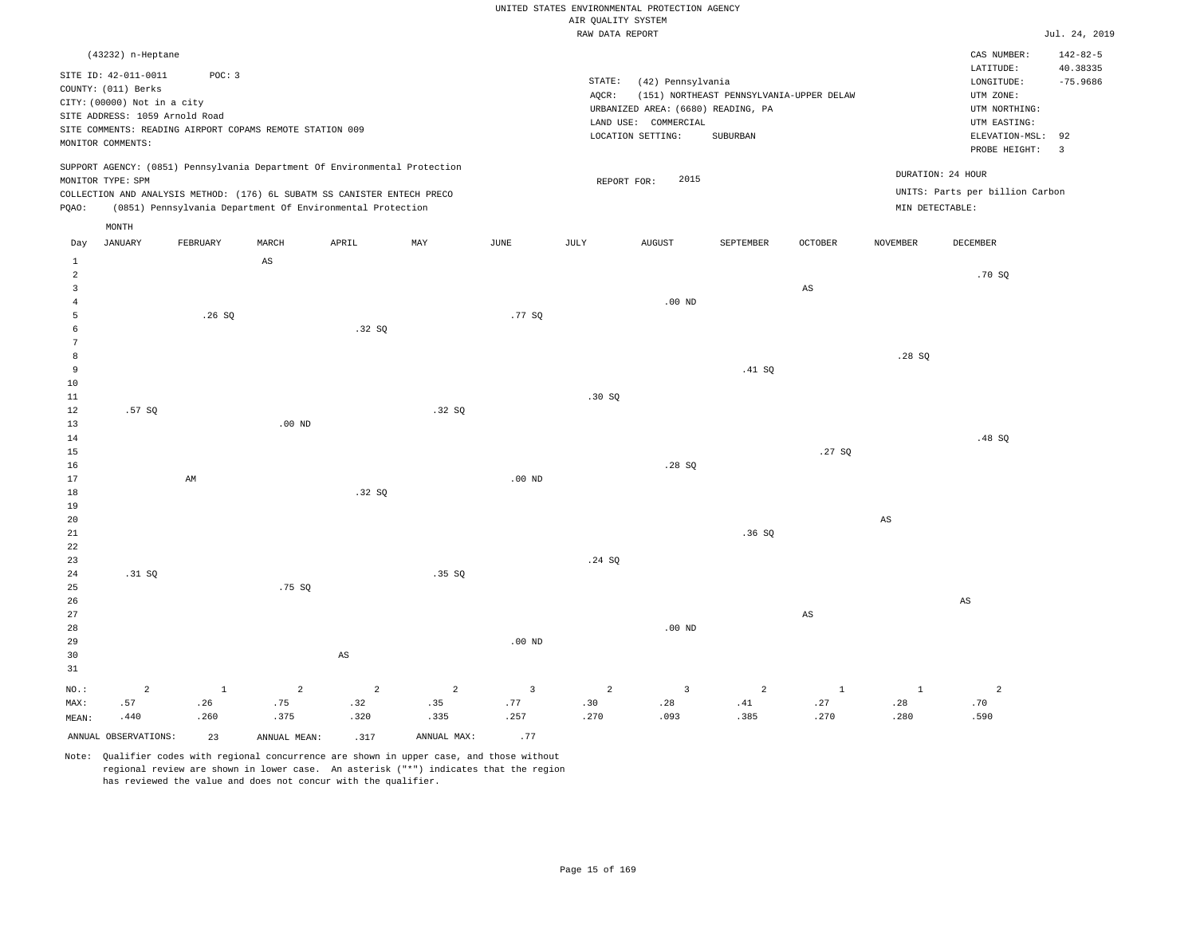# UNITED STATES ENVIRONMENTAL PROTECTION AGENCY AIR QUALITY SYSTEM

|                |                                |                                                                            |                        |                        |                |                         | RAW DATA REPORT |                                    |                                          |                |                 |                                 | Jul. 24, 2019  |
|----------------|--------------------------------|----------------------------------------------------------------------------|------------------------|------------------------|----------------|-------------------------|-----------------|------------------------------------|------------------------------------------|----------------|-----------------|---------------------------------|----------------|
|                | (43232) n-Heptane              |                                                                            |                        |                        |                |                         |                 |                                    |                                          |                |                 | CAS NUMBER:                     | $142 - 82 - 5$ |
|                | SITE ID: 42-011-0011           |                                                                            |                        |                        |                |                         |                 |                                    |                                          |                |                 | LATITUDE:                       | 40.38335       |
|                |                                | POC: 3                                                                     |                        |                        |                |                         | STATE:          | (42) Pennsylvania                  |                                          |                |                 | LONGITUDE:                      | $-75.9686$     |
|                | COUNTY: (011) Berks            |                                                                            |                        |                        |                |                         | AQCR:           |                                    | (151) NORTHEAST PENNSYLVANIA-UPPER DELAW |                |                 | UTM ZONE:                       |                |
|                | CITY: (00000) Not in a city    |                                                                            |                        |                        |                |                         |                 | URBANIZED AREA: (6680) READING, PA |                                          |                |                 | UTM NORTHING:                   |                |
|                | SITE ADDRESS: 1059 Arnold Road |                                                                            |                        |                        |                |                         |                 | LAND USE: COMMERCIAL               |                                          |                |                 | UTM EASTING:                    |                |
|                |                                | SITE COMMENTS: READING AIRPORT COPAMS REMOTE STATION 009                   |                        |                        |                |                         |                 | LOCATION SETTING:                  | SUBURBAN                                 |                |                 | ELEVATION-MSL:                  | 92             |
|                | MONITOR COMMENTS:              |                                                                            |                        |                        |                |                         |                 |                                    |                                          |                |                 | PROBE HEIGHT:                   | $\overline{3}$ |
|                |                                | SUPPORT AGENCY: (0851) Pennsylvania Department Of Environmental Protection |                        |                        |                |                         |                 |                                    |                                          |                |                 |                                 |                |
|                | MONITOR TYPE: SPM              |                                                                            |                        |                        |                |                         | REPORT FOR:     | 2015                               |                                          |                |                 | DURATION: 24 HOUR               |                |
|                |                                | COLLECTION AND ANALYSIS METHOD: (176) 6L SUBATM SS CANISTER ENTECH PRECO   |                        |                        |                |                         |                 |                                    |                                          |                |                 | UNITS: Parts per billion Carbon |                |
| PQAO:          |                                | (0851) Pennsylvania Department Of Environmental Protection                 |                        |                        |                |                         |                 |                                    |                                          |                |                 | MIN DETECTABLE:                 |                |
|                | MONTH                          |                                                                            |                        |                        |                |                         |                 |                                    |                                          |                |                 |                                 |                |
| Day            | <b>JANUARY</b>                 | FEBRUARY                                                                   | MARCH                  | APRIL                  | MAY            | JUNE                    | JULY            | <b>AUGUST</b>                      | SEPTEMBER                                | <b>OCTOBER</b> | <b>NOVEMBER</b> | <b>DECEMBER</b>                 |                |
| $\mathbf{1}$   |                                |                                                                            | $\mathbb{A}\mathbb{S}$ |                        |                |                         |                 |                                    |                                          |                |                 |                                 |                |
| $\overline{a}$ |                                |                                                                            |                        |                        |                |                         |                 |                                    |                                          |                |                 | .70SQ                           |                |
| 3              |                                |                                                                            |                        |                        |                |                         |                 |                                    |                                          | AS             |                 |                                 |                |
| $\overline{4}$ |                                |                                                                            |                        |                        |                |                         |                 | $.00$ ND                           |                                          |                |                 |                                 |                |
| 5              |                                | .26S                                                                       |                        |                        |                | .77 SQ                  |                 |                                    |                                          |                |                 |                                 |                |
| 6              |                                |                                                                            |                        | .32S                   |                |                         |                 |                                    |                                          |                |                 |                                 |                |
| 7              |                                |                                                                            |                        |                        |                |                         |                 |                                    |                                          |                |                 |                                 |                |
| 8              |                                |                                                                            |                        |                        |                |                         |                 |                                    |                                          |                | .28SQ           |                                 |                |
| $\overline{9}$ |                                |                                                                            |                        |                        |                |                         |                 |                                    | .41 SQ                                   |                |                 |                                 |                |
| 10             |                                |                                                                            |                        |                        |                |                         |                 |                                    |                                          |                |                 |                                 |                |
| $11\,$         |                                |                                                                            |                        |                        |                |                         | .30 SQ          |                                    |                                          |                |                 |                                 |                |
| 12             | .57SQ                          |                                                                            |                        |                        | .32SQ          |                         |                 |                                    |                                          |                |                 |                                 |                |
| 13             |                                |                                                                            | $.00$ ND               |                        |                |                         |                 |                                    |                                          |                |                 |                                 |                |
| 14             |                                |                                                                            |                        |                        |                |                         |                 |                                    |                                          |                |                 | .48 SO                          |                |
| 15             |                                |                                                                            |                        |                        |                |                         |                 |                                    |                                          | .27SQ          |                 |                                 |                |
| 16             |                                |                                                                            |                        |                        |                |                         |                 | .28S                               |                                          |                |                 |                                 |                |
| 17             |                                | AM                                                                         |                        |                        |                | $.00$ ND                |                 |                                    |                                          |                |                 |                                 |                |
| 18             |                                |                                                                            |                        | .32SQ                  |                |                         |                 |                                    |                                          |                |                 |                                 |                |
| 19             |                                |                                                                            |                        |                        |                |                         |                 |                                    |                                          |                |                 |                                 |                |
| 20             |                                |                                                                            |                        |                        |                |                         |                 |                                    |                                          |                | $_{\rm AS}$     |                                 |                |
| 21             |                                |                                                                            |                        |                        |                |                         |                 |                                    | .36SQ                                    |                |                 |                                 |                |
| 22             |                                |                                                                            |                        |                        |                |                         |                 |                                    |                                          |                |                 |                                 |                |
| 23             |                                |                                                                            |                        |                        |                |                         | .24 S0          |                                    |                                          |                |                 |                                 |                |
| 24             | .31 SQ                         |                                                                            |                        |                        | .35 SO         |                         |                 |                                    |                                          |                |                 |                                 |                |
| 25             |                                |                                                                            | .75SQ                  |                        |                |                         |                 |                                    |                                          |                |                 |                                 |                |
| 26             |                                |                                                                            |                        |                        |                |                         |                 |                                    |                                          |                |                 | AS                              |                |
| 27             |                                |                                                                            |                        |                        |                |                         |                 |                                    |                                          | $_{\rm AS}$    |                 |                                 |                |
| 28             |                                |                                                                            |                        |                        |                |                         |                 | .00 <sub>ND</sub>                  |                                          |                |                 |                                 |                |
| 29             |                                |                                                                            |                        |                        |                | $.00$ ND                |                 |                                    |                                          |                |                 |                                 |                |
| 30             |                                |                                                                            |                        | $\mathbb{A}\mathbb{S}$ |                |                         |                 |                                    |                                          |                |                 |                                 |                |
| 31             |                                |                                                                            |                        |                        |                |                         |                 |                                    |                                          |                |                 |                                 |                |
| $NO.$ :        | $\overline{a}$                 | $\mathbf{1}$                                                               | $\overline{2}$         | $\overline{a}$         | $\overline{a}$ | $\overline{\mathbf{3}}$ | $\overline{a}$  | $\overline{3}$                     | $\overline{a}$                           | $\,1\,$        | $\mathbf{1}$    | $\overline{a}$                  |                |
| MAX:           | .57                            | .26                                                                        | .75                    | .32                    | .35            | .77                     | .30             | .28                                | .41                                      | .27            | .28             | .70                             |                |
| MEAN:          | .440                           | .260                                                                       | .375                   | .320                   | .335           | .257                    | .270            | .093                               | .385                                     | .270           | .280            | .590                            |                |

Note: Qualifier codes with regional concurrence are shown in upper case, and those without regional review are shown in lower case. An asterisk ("\*") indicates that the region has reviewed the value and does not concur with the qualifier.

ANNUAL OBSERVATIONS:  $23$  ANNUAL MEAN: .317 ANNUAL MAX: .77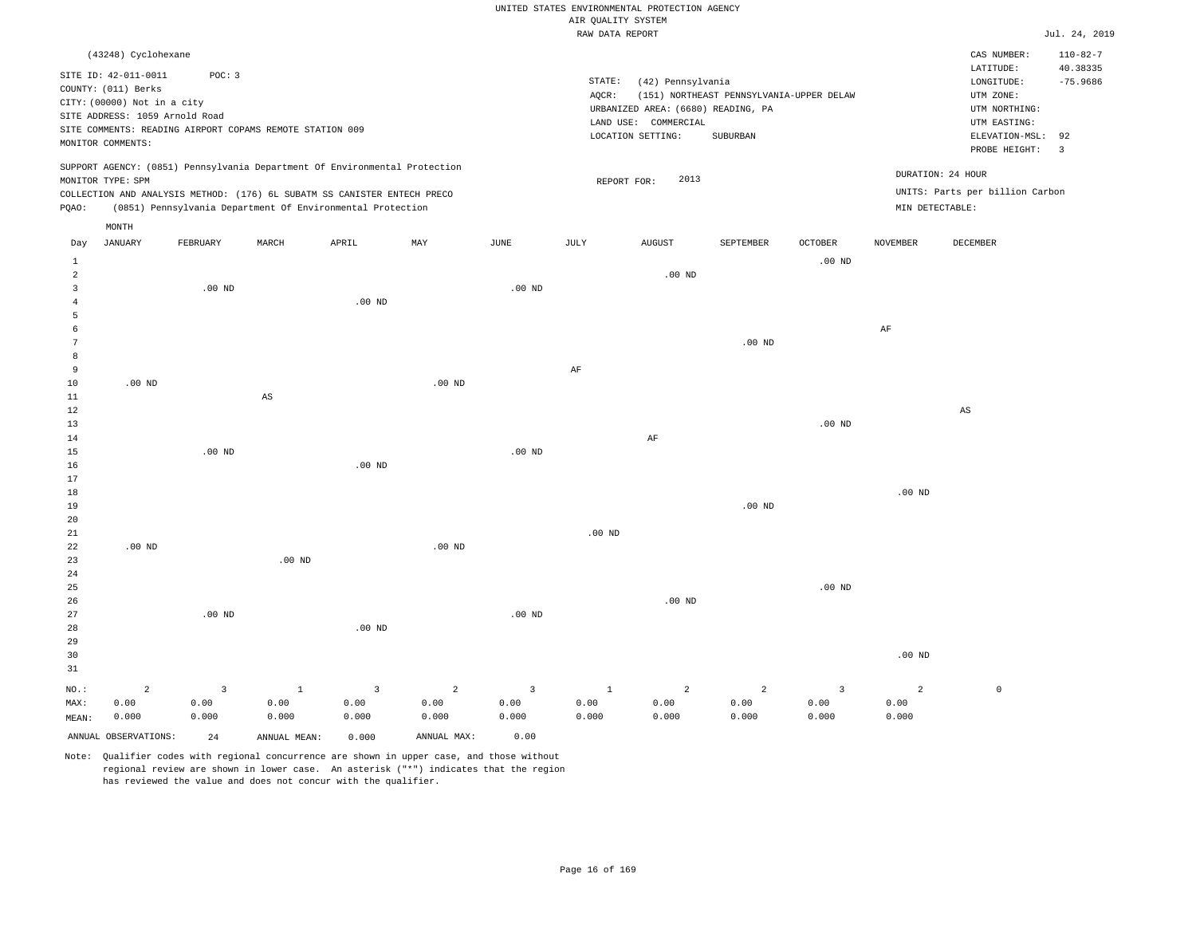|                |                                |              |                                                                            |                   |                   |                   |                    | UNITED STATES ENVIRONMENTAL PROTECTION AGENCY |                                          |                   |                   |                                 |                      |
|----------------|--------------------------------|--------------|----------------------------------------------------------------------------|-------------------|-------------------|-------------------|--------------------|-----------------------------------------------|------------------------------------------|-------------------|-------------------|---------------------------------|----------------------|
|                |                                |              |                                                                            |                   |                   |                   | AIR QUALITY SYSTEM |                                               |                                          |                   |                   |                                 |                      |
|                |                                |              |                                                                            |                   |                   |                   | RAW DATA REPORT    |                                               |                                          |                   |                   |                                 | Jul. 24, 2019        |
|                | (43248) Cyclohexane            |              |                                                                            |                   |                   |                   |                    |                                               |                                          |                   |                   | CAS NUMBER:                     | $110 - 82 - 7$       |
|                | SITE ID: 42-011-0011           | POC: 3       |                                                                            |                   |                   |                   |                    |                                               |                                          |                   |                   | LATITUDE:                       | 40.38335             |
|                | COUNTY: (011) Berks            |              |                                                                            |                   |                   |                   | STATE:             | (42) Pennsylvania                             |                                          |                   |                   | LONGITUDE:                      | $-75.9686$           |
|                | CITY: (00000) Not in a city    |              |                                                                            |                   |                   |                   | $AQCR$ :           |                                               | (151) NORTHEAST PENNSYLVANIA-UPPER DELAW |                   |                   | UTM ZONE:                       |                      |
|                | SITE ADDRESS: 1059 Arnold Road |              |                                                                            |                   |                   |                   |                    | URBANIZED AREA: (6680) READING, PA            |                                          |                   |                   | UTM NORTHING:                   |                      |
|                |                                |              | SITE COMMENTS: READING AIRPORT COPAMS REMOTE STATION 009                   |                   |                   |                   |                    | LAND USE: COMMERCIAL                          |                                          |                   |                   | UTM EASTING:                    |                      |
|                | MONITOR COMMENTS:              |              |                                                                            |                   |                   |                   |                    | LOCATION SETTING:                             | SUBURBAN                                 |                   |                   | ELEVATION-MSL:<br>PROBE HEIGHT: | 92<br>$\overline{3}$ |
|                |                                |              | SUPPORT AGENCY: (0851) Pennsylvania Department Of Environmental Protection |                   |                   |                   |                    |                                               |                                          |                   |                   |                                 |                      |
|                | MONITOR TYPE: SPM              |              |                                                                            |                   |                   |                   | REPORT FOR:        | 2013                                          |                                          |                   | DURATION: 24 HOUR |                                 |                      |
|                |                                |              | COLLECTION AND ANALYSIS METHOD: (176) 6L SUBATM SS CANISTER ENTECH PRECO   |                   |                   |                   |                    |                                               |                                          |                   |                   | UNITS: Parts per billion Carbon |                      |
| PQAO:          |                                |              | (0851) Pennsylvania Department Of Environmental Protection                 |                   |                   |                   |                    |                                               |                                          |                   | MIN DETECTABLE:   |                                 |                      |
|                | MONTH                          |              |                                                                            |                   |                   |                   |                    |                                               |                                          |                   |                   |                                 |                      |
| Day            | <b>JANUARY</b>                 | FEBRUARY     | MARCH                                                                      | APRIL             | MAY               | JUNE              | JULY               | <b>AUGUST</b>                                 | SEPTEMBER                                | OCTOBER           | NOVEMBER          | DECEMBER                        |                      |
| $\mathbf{1}$   |                                |              |                                                                            |                   |                   |                   |                    |                                               |                                          | .00 <sub>ND</sub> |                   |                                 |                      |
| $\overline{a}$ |                                |              |                                                                            |                   |                   |                   |                    | $.00$ ND                                      |                                          |                   |                   |                                 |                      |
| $\overline{3}$ |                                | $.00$ ND     |                                                                            |                   |                   | $.00$ ND          |                    |                                               |                                          |                   |                   |                                 |                      |
| $\overline{4}$ |                                |              |                                                                            | $.00$ ND          |                   |                   |                    |                                               |                                          |                   |                   |                                 |                      |
| 5<br>6         |                                |              |                                                                            |                   |                   |                   |                    |                                               |                                          |                   |                   |                                 |                      |
|                |                                |              |                                                                            |                   |                   |                   |                    |                                               |                                          |                   | $\rm AF$          |                                 |                      |
| 7              |                                |              |                                                                            |                   |                   |                   |                    |                                               | $.00$ ND                                 |                   |                   |                                 |                      |
| 8<br>9         |                                |              |                                                                            |                   |                   |                   |                    |                                               |                                          |                   |                   |                                 |                      |
|                | $.00$ ND                       |              |                                                                            |                   | .00 <sub>ND</sub> |                   | AF                 |                                               |                                          |                   |                   |                                 |                      |
| 10<br>11       |                                |              | AS                                                                         |                   |                   |                   |                    |                                               |                                          |                   |                   |                                 |                      |
| $1\,2$         |                                |              |                                                                            |                   |                   |                   |                    |                                               |                                          |                   |                   | $\mathbb{A}\mathbb{S}$          |                      |
| 13             |                                |              |                                                                            |                   |                   |                   |                    |                                               |                                          | $.00$ ND          |                   |                                 |                      |
| 14             |                                |              |                                                                            |                   |                   |                   |                    | AF                                            |                                          |                   |                   |                                 |                      |
| 15             |                                | $.00$ ND     |                                                                            |                   |                   | .00 <sub>ND</sub> |                    |                                               |                                          |                   |                   |                                 |                      |
| 16             |                                |              |                                                                            | $.00$ ND          |                   |                   |                    |                                               |                                          |                   |                   |                                 |                      |
| 17             |                                |              |                                                                            |                   |                   |                   |                    |                                               |                                          |                   |                   |                                 |                      |
| 18             |                                |              |                                                                            |                   |                   |                   |                    |                                               |                                          |                   | $.00$ ND          |                                 |                      |
| 19             |                                |              |                                                                            |                   |                   |                   |                    |                                               | $.00$ ND                                 |                   |                   |                                 |                      |
| 20             |                                |              |                                                                            |                   |                   |                   |                    |                                               |                                          |                   |                   |                                 |                      |
| 21             |                                |              |                                                                            |                   |                   |                   | $.00$ ND           |                                               |                                          |                   |                   |                                 |                      |
| 22             | .00 <sub>ND</sub>              |              |                                                                            |                   | $.00$ ND          |                   |                    |                                               |                                          |                   |                   |                                 |                      |
| 23             |                                |              | $.00$ ND                                                                   |                   |                   |                   |                    |                                               |                                          |                   |                   |                                 |                      |
| 24             |                                |              |                                                                            |                   |                   |                   |                    |                                               |                                          |                   |                   |                                 |                      |
| 25             |                                |              |                                                                            |                   |                   |                   |                    |                                               |                                          | $.00$ ND          |                   |                                 |                      |
| 26             |                                |              |                                                                            |                   |                   |                   |                    | .00 <sub>ND</sub>                             |                                          |                   |                   |                                 |                      |
| 27             |                                | $.00$ ND     |                                                                            |                   |                   | $.00$ ND          |                    |                                               |                                          |                   |                   |                                 |                      |
| 28             |                                |              |                                                                            | .00 <sub>ND</sub> |                   |                   |                    |                                               |                                          |                   |                   |                                 |                      |
| 29             |                                |              |                                                                            |                   |                   |                   |                    |                                               |                                          |                   |                   |                                 |                      |
| 30             |                                |              |                                                                            |                   |                   |                   |                    |                                               |                                          |                   | $.00$ ND          |                                 |                      |
| 31             |                                |              |                                                                            |                   |                   |                   |                    |                                               |                                          |                   |                   |                                 |                      |
| NO.:           | $\overline{a}$                 | $\mathbf{3}$ | $\mathbf{1}$                                                               | $\overline{3}$    | $\overline{c}$    | $\overline{3}$    | $\mathbf{1}$       | $\overline{a}$                                | $\overline{a}$                           | $\overline{3}$    | $\overline{a}$    | $\mathbb O$                     |                      |
| MAX:           | 0.00                           | 0.00         | 0.00                                                                       | 0.00              | 0.00              | 0.00              | 0.00               | 0.00                                          | 0.00                                     | 0.00              | 0.00              |                                 |                      |
| MEAN:          | 0.000                          | 0.000        | 0.000                                                                      | 0.000             | 0.000             | 0.000             | 0.000              | 0.000                                         | 0.000                                    | 0.000             | 0.000             |                                 |                      |
|                | ANNUAL OBSERVATIONS:           | 2.4          | ANNUAL MEAN:                                                               | 0.000             | ANNUAL MAX:       | 0.00              |                    |                                               |                                          |                   |                   |                                 |                      |
|                |                                |              |                                                                            |                   |                   |                   |                    |                                               |                                          |                   |                   |                                 |                      |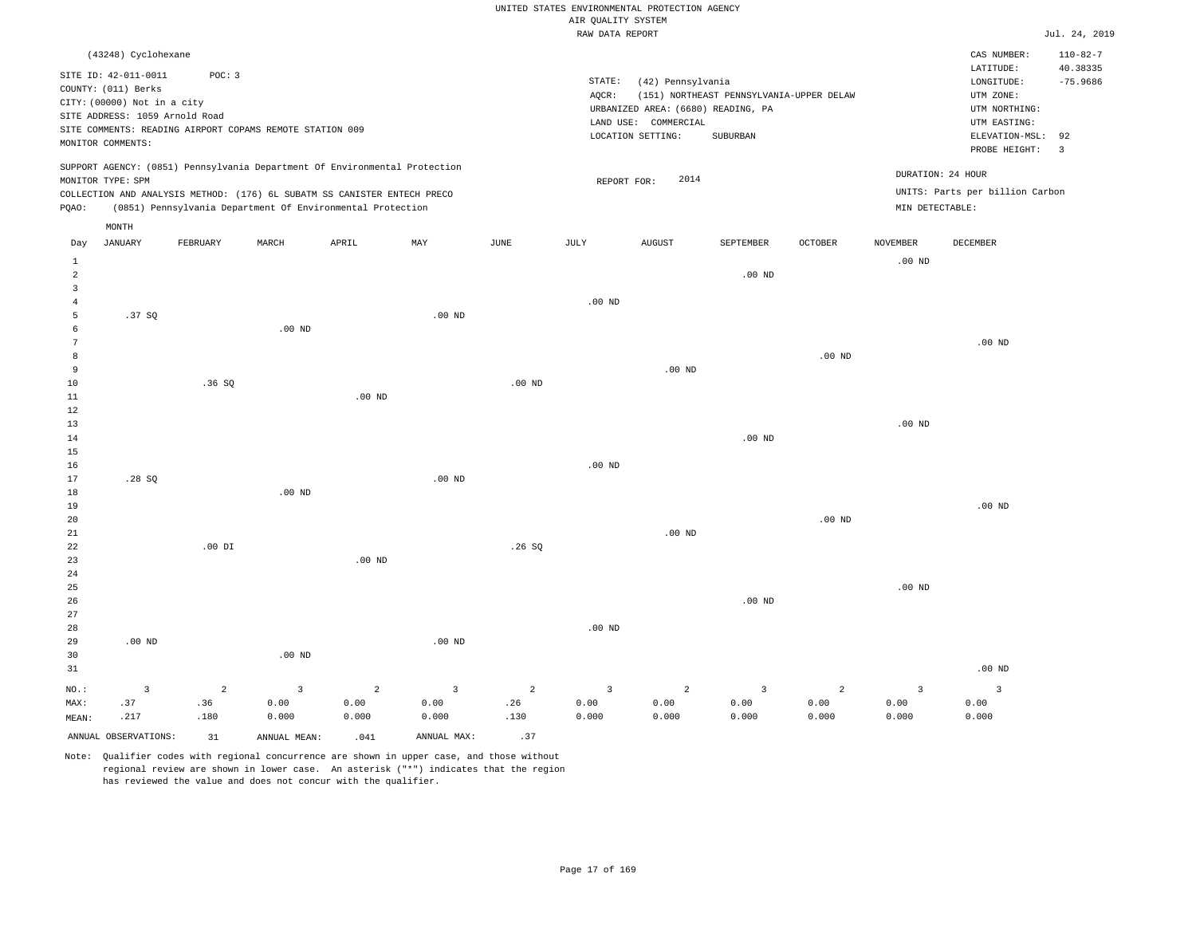|                     |                                                                                                                                                          |                |                                                                                                                                        |                   |                         |                   |                                       | UNITED STATES ENVIRONMENTAL PROTECTION AGENCY                                                        |                                                      |                   |                      |                                                                                                                         |                                                                  |
|---------------------|----------------------------------------------------------------------------------------------------------------------------------------------------------|----------------|----------------------------------------------------------------------------------------------------------------------------------------|-------------------|-------------------------|-------------------|---------------------------------------|------------------------------------------------------------------------------------------------------|------------------------------------------------------|-------------------|----------------------|-------------------------------------------------------------------------------------------------------------------------|------------------------------------------------------------------|
|                     |                                                                                                                                                          |                |                                                                                                                                        |                   |                         |                   | AIR QUALITY SYSTEM<br>RAW DATA REPORT |                                                                                                      |                                                      |                   |                      |                                                                                                                         | Jul. 24, 2019                                                    |
|                     |                                                                                                                                                          |                |                                                                                                                                        |                   |                         |                   |                                       |                                                                                                      |                                                      |                   |                      |                                                                                                                         |                                                                  |
|                     | (43248) Cyclohexane<br>SITE ID: 42-011-0011<br>COUNTY: (011) Berks<br>CITY: (00000) Not in a city<br>SITE ADDRESS: 1059 Arnold Road<br>MONITOR COMMENTS: | POC: 3         | SITE COMMENTS: READING AIRPORT COPAMS REMOTE STATION 009                                                                               |                   |                         |                   | STATE:<br>AOCR:                       | (42) Pennsylvania<br>URBANIZED AREA: (6680) READING, PA<br>LAND USE: COMMERCIAL<br>LOCATION SETTING: | (151) NORTHEAST PENNSYLVANIA-UPPER DELAW<br>SUBURBAN |                   |                      | CAS NUMBER:<br>LATITUDE:<br>LONGITUDE:<br>UTM ZONE:<br>UTM NORTHING:<br>UTM EASTING:<br>ELEVATION-MSL:<br>PROBE HEIGHT: | $110 - 82 - 7$<br>40.38335<br>$-75.9686$<br>92<br>$\overline{3}$ |
|                     | MONITOR TYPE: SPM                                                                                                                                        |                | SUPPORT AGENCY: (0851) Pennsylvania Department Of Environmental Protection                                                             |                   |                         |                   | REPORT FOR:                           | 2014                                                                                                 |                                                      |                   |                      | DURATION: 24 HOUR                                                                                                       |                                                                  |
| PQAO:               |                                                                                                                                                          |                | COLLECTION AND ANALYSIS METHOD: (176) 6L SUBATM SS CANISTER ENTECH PRECO<br>(0851) Pennsylvania Department Of Environmental Protection |                   |                         |                   |                                       |                                                                                                      |                                                      |                   | MIN DETECTABLE:      | UNITS: Parts per billion Carbon                                                                                         |                                                                  |
|                     | MONTH                                                                                                                                                    |                |                                                                                                                                        |                   |                         |                   |                                       |                                                                                                      |                                                      |                   |                      |                                                                                                                         |                                                                  |
| Day<br>$\mathbf{1}$ | <b>JANUARY</b>                                                                                                                                           | FEBRUARY       | MARCH                                                                                                                                  | APRIL             | MAY                     | $_{\rm JUNE}$     | JULY                                  | <b>AUGUST</b>                                                                                        | SEPTEMBER                                            | OCTOBER           | NOVEMBER<br>$.00$ ND | DECEMBER                                                                                                                |                                                                  |
| $\overline{a}$<br>3 |                                                                                                                                                          |                |                                                                                                                                        |                   |                         |                   |                                       |                                                                                                      | .00 <sub>ND</sub>                                    |                   |                      |                                                                                                                         |                                                                  |
| $\overline{4}$      |                                                                                                                                                          |                |                                                                                                                                        |                   |                         |                   | $.00$ ND                              |                                                                                                      |                                                      |                   |                      |                                                                                                                         |                                                                  |
| 5                   | .37SQ                                                                                                                                                    |                |                                                                                                                                        |                   | $.00$ ND                |                   |                                       |                                                                                                      |                                                      |                   |                      |                                                                                                                         |                                                                  |
| 6                   |                                                                                                                                                          |                | $.00$ ND                                                                                                                               |                   |                         |                   |                                       |                                                                                                      |                                                      |                   |                      |                                                                                                                         |                                                                  |
| $\overline{7}$      |                                                                                                                                                          |                |                                                                                                                                        |                   |                         |                   |                                       |                                                                                                      |                                                      |                   |                      | $.00$ ND                                                                                                                |                                                                  |
| 8<br>9              |                                                                                                                                                          |                |                                                                                                                                        |                   |                         |                   |                                       | $.00$ ND                                                                                             |                                                      | .00 <sub>ND</sub> |                      |                                                                                                                         |                                                                  |
| 10                  |                                                                                                                                                          | .36S           |                                                                                                                                        |                   |                         | .00 <sub>ND</sub> |                                       |                                                                                                      |                                                      |                   |                      |                                                                                                                         |                                                                  |
| $1\,1$              |                                                                                                                                                          |                |                                                                                                                                        | .00 <sub>ND</sub> |                         |                   |                                       |                                                                                                      |                                                      |                   |                      |                                                                                                                         |                                                                  |
| $1\,2$              |                                                                                                                                                          |                |                                                                                                                                        |                   |                         |                   |                                       |                                                                                                      |                                                      |                   |                      |                                                                                                                         |                                                                  |
| 13                  |                                                                                                                                                          |                |                                                                                                                                        |                   |                         |                   |                                       |                                                                                                      |                                                      |                   | .00 <sub>ND</sub>    |                                                                                                                         |                                                                  |
| 14                  |                                                                                                                                                          |                |                                                                                                                                        |                   |                         |                   |                                       |                                                                                                      | $.00$ ND                                             |                   |                      |                                                                                                                         |                                                                  |
| 15                  |                                                                                                                                                          |                |                                                                                                                                        |                   |                         |                   |                                       |                                                                                                      |                                                      |                   |                      |                                                                                                                         |                                                                  |
| 16                  |                                                                                                                                                          |                |                                                                                                                                        |                   |                         |                   | $.00$ ND                              |                                                                                                      |                                                      |                   |                      |                                                                                                                         |                                                                  |
| 17<br>18            | .28SQ                                                                                                                                                    |                | $.00$ ND                                                                                                                               |                   | $.00$ ND                |                   |                                       |                                                                                                      |                                                      |                   |                      |                                                                                                                         |                                                                  |
| 19                  |                                                                                                                                                          |                |                                                                                                                                        |                   |                         |                   |                                       |                                                                                                      |                                                      |                   |                      | $.00$ ND                                                                                                                |                                                                  |
| 20                  |                                                                                                                                                          |                |                                                                                                                                        |                   |                         |                   |                                       |                                                                                                      |                                                      | .00 <sub>ND</sub> |                      |                                                                                                                         |                                                                  |
| 21                  |                                                                                                                                                          |                |                                                                                                                                        |                   |                         |                   |                                       | $.00$ ND                                                                                             |                                                      |                   |                      |                                                                                                                         |                                                                  |
| 22                  |                                                                                                                                                          | $.00$ DI       |                                                                                                                                        |                   |                         | .26S              |                                       |                                                                                                      |                                                      |                   |                      |                                                                                                                         |                                                                  |
| 23                  |                                                                                                                                                          |                |                                                                                                                                        | .00 <sub>ND</sub> |                         |                   |                                       |                                                                                                      |                                                      |                   |                      |                                                                                                                         |                                                                  |
| 24                  |                                                                                                                                                          |                |                                                                                                                                        |                   |                         |                   |                                       |                                                                                                      |                                                      |                   |                      |                                                                                                                         |                                                                  |
| 25                  |                                                                                                                                                          |                |                                                                                                                                        |                   |                         |                   |                                       |                                                                                                      |                                                      |                   | .00 <sub>ND</sub>    |                                                                                                                         |                                                                  |
| 26<br>27            |                                                                                                                                                          |                |                                                                                                                                        |                   |                         |                   |                                       |                                                                                                      | .00 <sub>ND</sub>                                    |                   |                      |                                                                                                                         |                                                                  |
| 28                  |                                                                                                                                                          |                |                                                                                                                                        |                   |                         |                   | $.00$ ND                              |                                                                                                      |                                                      |                   |                      |                                                                                                                         |                                                                  |
| 29                  | $.00$ ND                                                                                                                                                 |                |                                                                                                                                        |                   | $.00$ ND                |                   |                                       |                                                                                                      |                                                      |                   |                      |                                                                                                                         |                                                                  |
| 30                  |                                                                                                                                                          |                | $.00$ ND                                                                                                                               |                   |                         |                   |                                       |                                                                                                      |                                                      |                   |                      |                                                                                                                         |                                                                  |
| 31                  |                                                                                                                                                          |                |                                                                                                                                        |                   |                         |                   |                                       |                                                                                                      |                                                      |                   |                      | $.00$ ND                                                                                                                |                                                                  |
| $NO.$ :             | 3                                                                                                                                                        | $\overline{a}$ | $\overline{3}$                                                                                                                         | $\overline{a}$    | $\overline{\mathbf{3}}$ | $\overline{a}$    | $\overline{\mathbf{3}}$               | 2                                                                                                    | $\overline{3}$                                       | $\overline{a}$    | $\overline{3}$       | $\overline{3}$                                                                                                          |                                                                  |
| MAX:                | .37                                                                                                                                                      | .36            | 0.00                                                                                                                                   | 0.00              | 0.00                    | .26               | 0.00                                  | 0.00                                                                                                 | 0.00                                                 | 0.00              | 0.00                 | 0.00                                                                                                                    |                                                                  |
| MEAN:               | .217                                                                                                                                                     | .180           | 0.000                                                                                                                                  | 0.000             | 0.000                   | .130              | 0.000                                 | 0.000                                                                                                | 0.000                                                | 0.000             | 0.000                | 0.000                                                                                                                   |                                                                  |
|                     | ANNUAL OBSERVATIONS:                                                                                                                                     | 31             | ANNUAL MEAN:                                                                                                                           | .041              | ANNUAL MAX:             | .37               |                                       |                                                                                                      |                                                      |                   |                      |                                                                                                                         |                                                                  |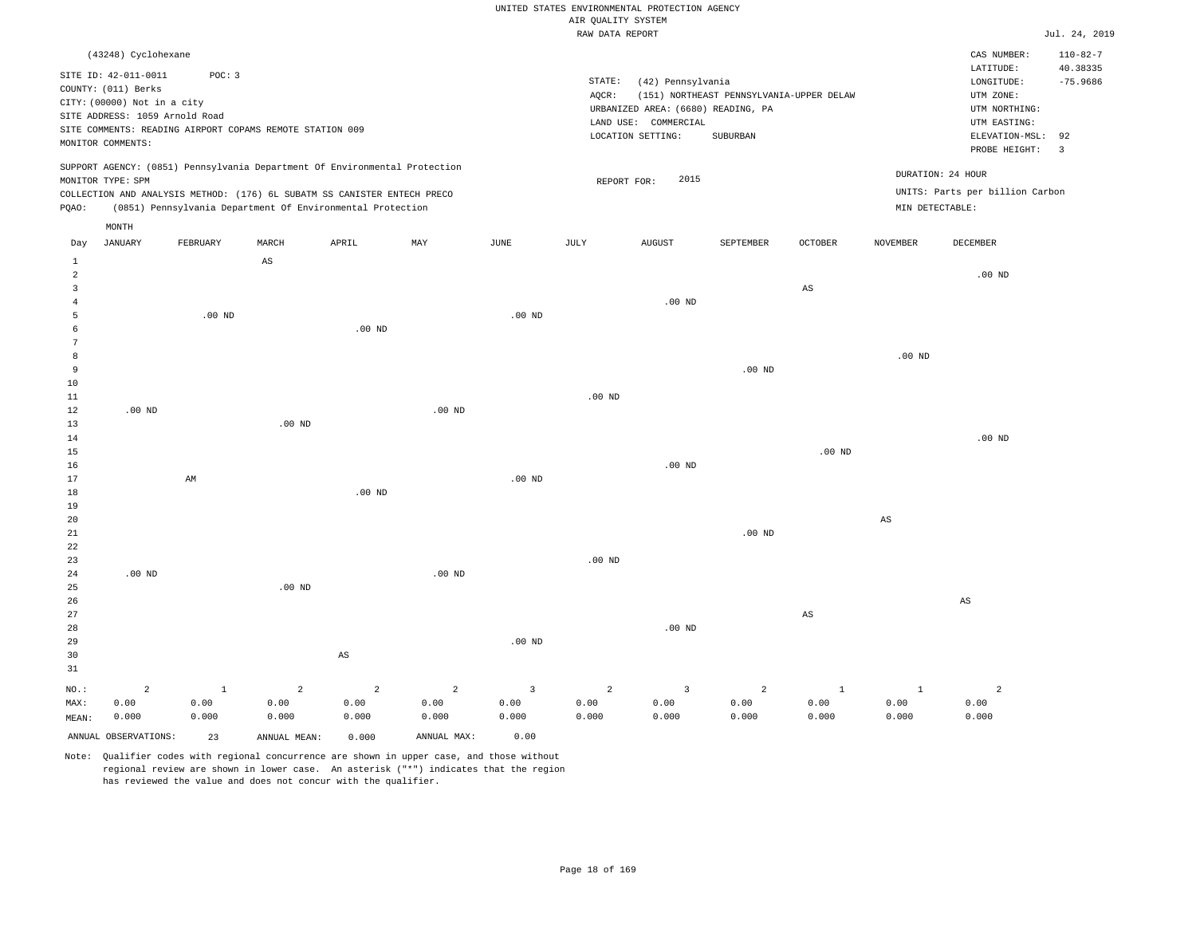### RAW DATA REPORT JUL. 24, 2019 UNITED STATES ENVIRONMENTAL PROTECTION AGENCY AIR QUALITY SYSTEM

| (43248) Cyclohexane                                                                                                                                                                                                                                |                                                                                                                                                                                 | $110 - 82 - 7$<br>CAS NUMBER:                                                                                                           |
|----------------------------------------------------------------------------------------------------------------------------------------------------------------------------------------------------------------------------------------------------|---------------------------------------------------------------------------------------------------------------------------------------------------------------------------------|-----------------------------------------------------------------------------------------------------------------------------------------|
| SITE ID: 42-011-0011<br>POC: 3<br>COUNTY: (011) Berks<br>CITY: (00000) Not in a city<br>SITE ADDRESS: 1059 Arnold Road<br>SITE COMMENTS: READING AIRPORT COPAMS REMOTE STATION 009<br>MONITOR COMMENTS:                                            | STATE:<br>(42) Pennsylvania<br>AOCR:<br>(151) NORTHEAST PENNSYLVANIA-UPPER DELAW<br>URBANIZED AREA: (6680) READING, PA<br>LAND USE: COMMERCIAL<br>LOCATION SETTING:<br>SUBURBAN | 40.38335<br>LATITUDE:<br>LONGITUDE:<br>$-75.9686$<br>UTM ZONE:<br>UTM NORTHING:<br>UTM EASTING:<br>ELEVATION-MSL: 92<br>PROBE HEIGHT: 3 |
| SUPPORT AGENCY: (0851) Pennsylvania Department Of Environmental Protection<br>MONITOR TYPE: SPM<br>COLLECTION AND ANALYSIS METHOD: (176) 6L SUBATM SS CANISTER ENTECH PRECO<br>(0851) Pennsylvania Department Of Environmental Protection<br>POAO: | 2015<br>REPORT FOR:                                                                                                                                                             | DURATION: 24 HOUR<br>UNITS: Parts per billion Carbon<br>MIN DETECTABLE:                                                                 |
| MONTH                                                                                                                                                                                                                                              |                                                                                                                                                                                 |                                                                                                                                         |

| Day            | JANUARY              | FEBRUARY               | MARCH                  | APRIL      | MAY                     | JUNE                    | JULY                   | AUGUST                  | SEPTEMBER      | OCTOBER                | NOVEMBER               | DECEMBER       |
|----------------|----------------------|------------------------|------------------------|------------|-------------------------|-------------------------|------------------------|-------------------------|----------------|------------------------|------------------------|----------------|
| $\mathbf{1}$   |                      |                        | $\mathbb{A}\mathbb{S}$ |            |                         |                         |                        |                         |                |                        |                        |                |
| $\overline{a}$ |                      |                        |                        |            |                         |                         |                        |                         |                |                        |                        | $.00$ ND       |
| 3              |                      |                        |                        |            |                         |                         |                        |                         |                | $\mathbb{A}\mathbb{S}$ |                        |                |
| $\overline{4}$ |                      |                        |                        |            |                         |                         |                        | $.00$ ND                |                |                        |                        |                |
| 5              |                      | $.00$ ND               |                        |            |                         | $.00$ ND                |                        |                         |                |                        |                        |                |
| 6              |                      |                        |                        | $.00$ ND   |                         |                         |                        |                         |                |                        |                        |                |
| 7              |                      |                        |                        |            |                         |                         |                        |                         |                |                        |                        |                |
| 8              |                      |                        |                        |            |                         |                         |                        |                         |                |                        | $.00$ ND               |                |
| 9              |                      |                        |                        |            |                         |                         |                        |                         | $.00$ ND       |                        |                        |                |
| 10             |                      |                        |                        |            |                         |                         |                        |                         |                |                        |                        |                |
| $11\,$         |                      |                        |                        |            |                         |                         | $.00$ ND               |                         |                |                        |                        |                |
| 12             | $.00$ ND             |                        |                        |            | $.00$ ND                |                         |                        |                         |                |                        |                        |                |
| 13             |                      |                        | $.00$ ND               |            |                         |                         |                        |                         |                |                        |                        |                |
| 14             |                      |                        |                        |            |                         |                         |                        |                         |                |                        |                        | $.00$ ND       |
| 15             |                      |                        |                        |            |                         |                         |                        |                         |                | $.00$ ND               |                        |                |
| 16             |                      |                        |                        |            |                         |                         |                        | .00 $ND$                |                |                        |                        |                |
| 17             |                      | $\mathbb{A}\mathbb{M}$ |                        |            |                         | .00 $ND$                |                        |                         |                |                        |                        |                |
| 18             |                      |                        |                        | $.00$ ND   |                         |                         |                        |                         |                |                        |                        |                |
| 19             |                      |                        |                        |            |                         |                         |                        |                         |                |                        |                        |                |
| $20\,$         |                      |                        |                        |            |                         |                         |                        |                         |                |                        | $\mathbb{A}\mathbb{S}$ |                |
| $21\,$         |                      |                        |                        |            |                         |                         |                        |                         | .00 $ND$       |                        |                        |                |
| $^{\rm 22}$    |                      |                        |                        |            |                         |                         |                        |                         |                |                        |                        |                |
| 23             |                      |                        |                        |            |                         |                         | .00 $ND$               |                         |                |                        |                        |                |
| $2\sqrt{4}$    | .00 $ND$             |                        |                        |            | $.00$ ND                |                         |                        |                         |                |                        |                        |                |
| $25\,$         |                      |                        | .00 <sub>ND</sub>      |            |                         |                         |                        |                         |                |                        |                        |                |
| 26             |                      |                        |                        |            |                         |                         |                        |                         |                |                        |                        | AS             |
| 27             |                      |                        |                        |            |                         |                         |                        |                         |                | $_{\rm AS}$            |                        |                |
| 28             |                      |                        |                        |            |                         |                         |                        | $.00$ ND                |                |                        |                        |                |
| 29             |                      |                        |                        |            |                         | .00 $ND$                |                        |                         |                |                        |                        |                |
| 30             |                      |                        |                        | AS         |                         |                         |                        |                         |                |                        |                        |                |
| 31             |                      |                        |                        |            |                         |                         |                        |                         |                |                        |                        |                |
| $_{\rm NO.}$ : | $\mathbf 2$          | $\,$ 1                 | $\mathbf 2$            | $\sqrt{2}$ | $\overline{\mathbf{c}}$ | $\overline{\mathbf{3}}$ | $\sqrt{2}$             | $\overline{\mathbf{3}}$ | $\overline{a}$ | $\,$ 1                 | $\mathbf{1}$           | $\overline{a}$ |
| MAX:           | 0.00                 | 0.00                   | 0.00                   | 0.00       | 0.00                    | 0.00                    | ${\bf 0}$ . ${\bf 00}$ | 0.00                    | 0.00           | 0.00                   | 0.00                   | 0.00           |
| MEAN:          | 0.000                | 0.000                  | 0.000                  | 0.000      | 0.000                   | 0.000                   | 0.000                  | 0.000                   | 0.000          | 0.000                  | 0.000                  | 0.000          |
|                | ANNUAL OBSERVATIONS: | 23                     | ANNUAL MEAN:           | 0.000      | ANNUAL MAX:             | 0.00                    |                        |                         |                |                        |                        |                |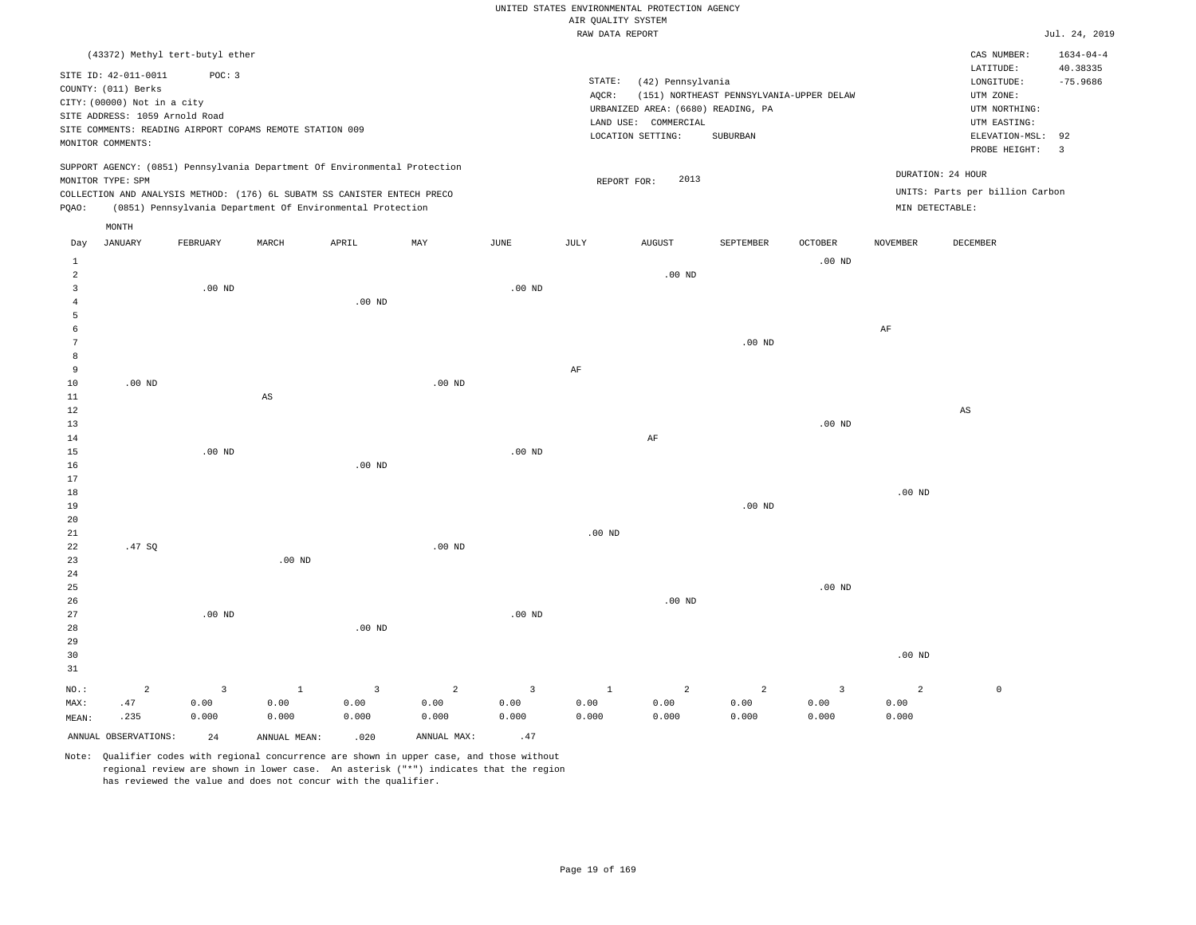|                                       |                                                                                                                                   |          |                                                                                                                                                                                                                      |                   |                |                | AIR QUALITY SYSTEM | UNITED STATES ENVIRONMENTAL PROTECTION AGENCY                                                        |                                                      |                         |                 |                                                                                                          |                                                |
|---------------------------------------|-----------------------------------------------------------------------------------------------------------------------------------|----------|----------------------------------------------------------------------------------------------------------------------------------------------------------------------------------------------------------------------|-------------------|----------------|----------------|--------------------|------------------------------------------------------------------------------------------------------|------------------------------------------------------|-------------------------|-----------------|----------------------------------------------------------------------------------------------------------|------------------------------------------------|
|                                       |                                                                                                                                   |          |                                                                                                                                                                                                                      |                   |                |                | RAW DATA REPORT    |                                                                                                      |                                                      |                         |                 |                                                                                                          | Jul. 24, 2019                                  |
|                                       | (43372) Methyl tert-butyl ether                                                                                                   |          |                                                                                                                                                                                                                      |                   |                |                |                    |                                                                                                      |                                                      |                         |                 | CAS NUMBER:                                                                                              | $1634 - 04 - 4$                                |
|                                       | SITE ID: 42-011-0011<br>COUNTY: (011) Berks<br>CITY: (00000) Not in a city<br>SITE ADDRESS: 1059 Arnold Road<br>MONITOR COMMENTS: | POC: 3   | SITE COMMENTS: READING AIRPORT COPAMS REMOTE STATION 009                                                                                                                                                             |                   |                |                | STATE:<br>AQCR:    | (42) Pennsylvania<br>URBANIZED AREA: (6680) READING, PA<br>LAND USE: COMMERCIAL<br>LOCATION SETTING: | (151) NORTHEAST PENNSYLVANIA-UPPER DELAW<br>SUBURBAN |                         |                 | LATITUDE:<br>LONGITUDE:<br>UTM ZONE:<br>UTM NORTHING:<br>UTM EASTING:<br>ELEVATION-MSL:<br>PROBE HEIGHT: | 40.38335<br>$-75.9686$<br>92<br>$\overline{3}$ |
| PQAO:                                 | MONITOR TYPE: SPM                                                                                                                 |          | SUPPORT AGENCY: (0851) Pennsylvania Department Of Environmental Protection<br>COLLECTION AND ANALYSIS METHOD: (176) 6L SUBATM SS CANISTER ENTECH PRECO<br>(0851) Pennsylvania Department Of Environmental Protection |                   |                |                |                    | 2013<br>REPORT FOR:                                                                                  |                                                      |                         | MIN DETECTABLE: | DURATION: 24 HOUR<br>UNITS: Parts per billion Carbon                                                     |                                                |
|                                       | MONTH                                                                                                                             |          |                                                                                                                                                                                                                      |                   |                |                |                    |                                                                                                      |                                                      |                         |                 |                                                                                                          |                                                |
| Day                                   | <b>JANUARY</b>                                                                                                                    | FEBRUARY | MARCH                                                                                                                                                                                                                | APRIL             | MAY            | JUNE           | JULY               | <b>AUGUST</b>                                                                                        | SEPTEMBER                                            | OCTOBER                 | NOVEMBER        | DECEMBER                                                                                                 |                                                |
| $\mathbf{1}$<br>$\overline{a}$        |                                                                                                                                   |          |                                                                                                                                                                                                                      |                   |                |                |                    | $.00$ ND                                                                                             |                                                      | $.00$ ND                |                 |                                                                                                          |                                                |
| $\overline{3}$<br>$\overline{4}$<br>5 |                                                                                                                                   | $.00$ ND |                                                                                                                                                                                                                      | $.00$ ND          |                | $.00$ ND       |                    |                                                                                                      |                                                      |                         |                 |                                                                                                          |                                                |
| 6                                     |                                                                                                                                   |          |                                                                                                                                                                                                                      |                   |                |                |                    |                                                                                                      |                                                      |                         | $\rm AF$        |                                                                                                          |                                                |
| $\overline{7}$                        |                                                                                                                                   |          |                                                                                                                                                                                                                      |                   |                |                |                    |                                                                                                      | .00 <sub>ND</sub>                                    |                         |                 |                                                                                                          |                                                |
| 8                                     |                                                                                                                                   |          |                                                                                                                                                                                                                      |                   |                |                |                    |                                                                                                      |                                                      |                         |                 |                                                                                                          |                                                |
| 9<br>10                               | $.00$ ND                                                                                                                          |          |                                                                                                                                                                                                                      |                   | $.00$ ND       |                | $\rm AF$           |                                                                                                      |                                                      |                         |                 |                                                                                                          |                                                |
| $1\,1$                                |                                                                                                                                   |          | $\mathbb{A}\mathbb{S}$                                                                                                                                                                                               |                   |                |                |                    |                                                                                                      |                                                      |                         |                 |                                                                                                          |                                                |
| 12                                    |                                                                                                                                   |          |                                                                                                                                                                                                                      |                   |                |                |                    |                                                                                                      |                                                      |                         |                 | AS                                                                                                       |                                                |
| 13                                    |                                                                                                                                   |          |                                                                                                                                                                                                                      |                   |                |                |                    |                                                                                                      |                                                      | .00 <sub>ND</sub>       |                 |                                                                                                          |                                                |
| $1\,4$<br>15                          |                                                                                                                                   | $.00$ ND |                                                                                                                                                                                                                      |                   |                | $.00$ ND       |                    | $\rm AF$                                                                                             |                                                      |                         |                 |                                                                                                          |                                                |
| 16                                    |                                                                                                                                   |          |                                                                                                                                                                                                                      | $.00$ ND          |                |                |                    |                                                                                                      |                                                      |                         |                 |                                                                                                          |                                                |
| 17                                    |                                                                                                                                   |          |                                                                                                                                                                                                                      |                   |                |                |                    |                                                                                                      |                                                      |                         |                 |                                                                                                          |                                                |
| 18                                    |                                                                                                                                   |          |                                                                                                                                                                                                                      |                   |                |                |                    |                                                                                                      |                                                      |                         | $.00$ ND        |                                                                                                          |                                                |
| 19<br>20                              |                                                                                                                                   |          |                                                                                                                                                                                                                      |                   |                |                |                    |                                                                                                      | $.00$ ND                                             |                         |                 |                                                                                                          |                                                |
| 21                                    |                                                                                                                                   |          |                                                                                                                                                                                                                      |                   |                |                | $.00$ ND           |                                                                                                      |                                                      |                         |                 |                                                                                                          |                                                |
| 22<br>23<br>24                        | .47SQ                                                                                                                             |          | $.00$ ND                                                                                                                                                                                                             |                   | $.00$ ND       |                |                    |                                                                                                      |                                                      |                         |                 |                                                                                                          |                                                |
| 25<br>26<br>27                        |                                                                                                                                   | $.00$ ND |                                                                                                                                                                                                                      |                   |                | $.00$ ND       |                    | $.00$ ND                                                                                             |                                                      | $.00$ ND                |                 |                                                                                                          |                                                |
| 28                                    |                                                                                                                                   |          |                                                                                                                                                                                                                      | .00 <sub>ND</sub> |                |                |                    |                                                                                                      |                                                      |                         |                 |                                                                                                          |                                                |
| 29<br>30<br>31                        |                                                                                                                                   |          |                                                                                                                                                                                                                      |                   |                |                |                    |                                                                                                      |                                                      |                         | $.00$ ND        |                                                                                                          |                                                |
| NO.:                                  | $\overline{a}$                                                                                                                    | 3        | $\mathbf{1}$                                                                                                                                                                                                         | $\overline{3}$    | $\overline{a}$ | $\overline{3}$ | $\,$ 1             | 2                                                                                                    | $\overline{2}$                                       | $\overline{\mathbf{3}}$ | $\overline{a}$  | $\mathbb O$                                                                                              |                                                |
| MAX:                                  | .47                                                                                                                               | 0.00     | 0.00                                                                                                                                                                                                                 | 0.00              | 0.00           | 0.00           | 0.00               | 0.00                                                                                                 | 0.00                                                 | 0.00                    | 0.00            |                                                                                                          |                                                |
| MEAN:                                 | .235                                                                                                                              | 0.000    | 0.000                                                                                                                                                                                                                | 0.000             | 0.000          | 0.000          | 0.000              | 0.000                                                                                                | 0.000                                                | 0.000                   | 0.000           |                                                                                                          |                                                |
|                                       | ANNUAL OBSERVATIONS:                                                                                                              | 2.4      | ANNUAL MEAN:                                                                                                                                                                                                         | .020              | ANNUAL MAX:    | .47            |                    |                                                                                                      |                                                      |                         |                 |                                                                                                          |                                                |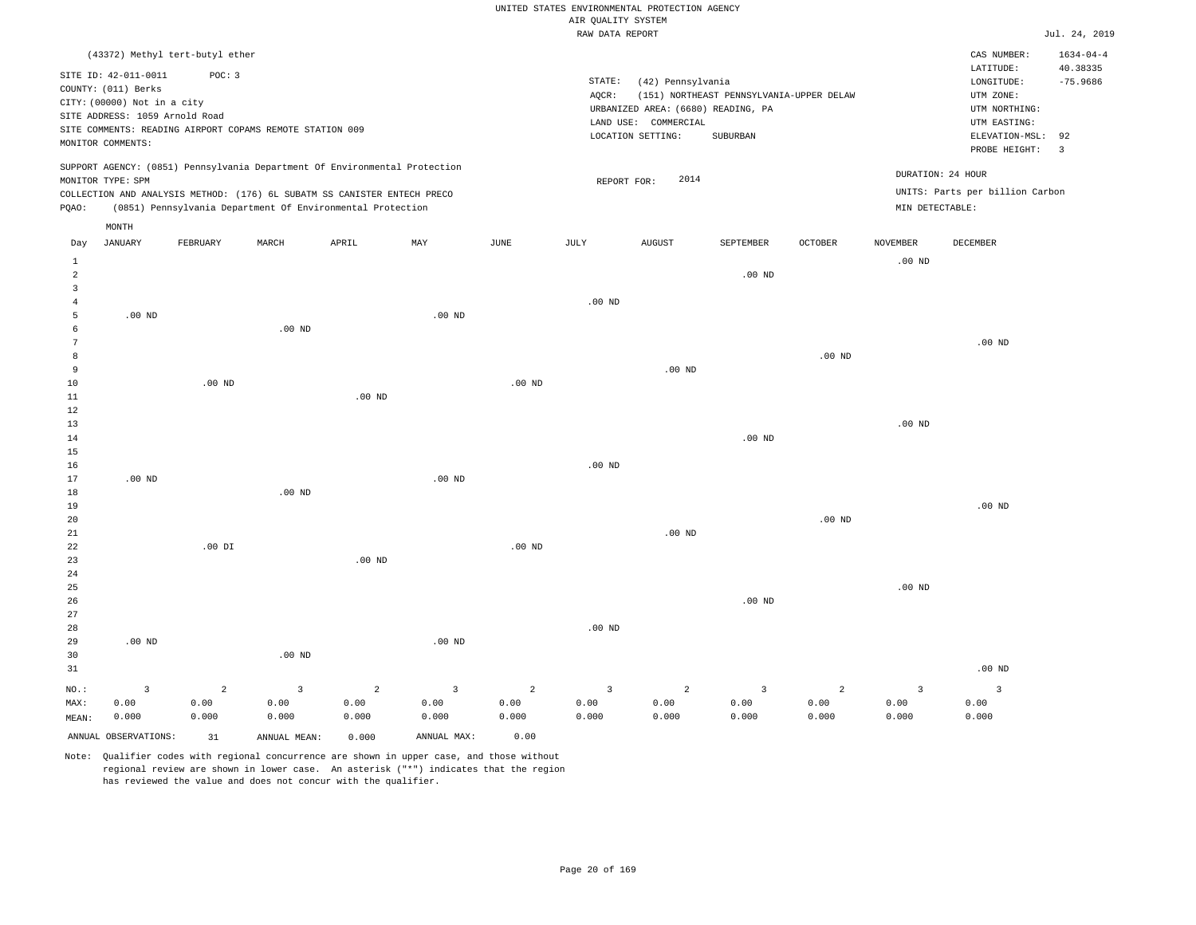|                                           |                                                                                                                                   |                |                                                                            |                |                   |                | AIR QUALITY SYSTEM | UNITED STATES ENVIRONMENTAL PROTECTION AGENCY                                                        |                                                      |                   |                 |                                                                                                          |                                                |
|-------------------------------------------|-----------------------------------------------------------------------------------------------------------------------------------|----------------|----------------------------------------------------------------------------|----------------|-------------------|----------------|--------------------|------------------------------------------------------------------------------------------------------|------------------------------------------------------|-------------------|-----------------|----------------------------------------------------------------------------------------------------------|------------------------------------------------|
|                                           |                                                                                                                                   |                |                                                                            |                |                   |                | RAW DATA REPORT    |                                                                                                      |                                                      |                   |                 |                                                                                                          | Jul. 24, 2019                                  |
|                                           | (43372) Methyl tert-butyl ether                                                                                                   |                |                                                                            |                |                   |                |                    |                                                                                                      |                                                      |                   |                 | CAS NUMBER:                                                                                              | $1634 - 04 - 4$                                |
|                                           | SITE ID: 42-011-0011<br>COUNTY: (011) Berks<br>CITY: (00000) Not in a city<br>SITE ADDRESS: 1059 Arnold Road<br>MONITOR COMMENTS: | POC: 3         | SITE COMMENTS: READING AIRPORT COPAMS REMOTE STATION 009                   |                |                   |                | STATE:<br>AQCR:    | (42) Pennsylvania<br>URBANIZED AREA: (6680) READING, PA<br>LAND USE: COMMERCIAL<br>LOCATION SETTING: | (151) NORTHEAST PENNSYLVANIA-UPPER DELAW<br>SUBURBAN |                   |                 | LATITUDE:<br>LONGITUDE:<br>UTM ZONE:<br>UTM NORTHING:<br>UTM EASTING:<br>ELEVATION-MSL:<br>PROBE HEIGHT: | 40.38335<br>$-75.9686$<br>92<br>$\overline{3}$ |
|                                           |                                                                                                                                   |                | SUPPORT AGENCY: (0851) Pennsylvania Department Of Environmental Protection |                |                   |                |                    |                                                                                                      |                                                      |                   |                 | DURATION: 24 HOUR                                                                                        |                                                |
|                                           | MONITOR TYPE: SPM                                                                                                                 |                | COLLECTION AND ANALYSIS METHOD: (176) 6L SUBATM SS CANISTER ENTECH PRECO   |                |                   |                | REPORT FOR:        | 2014                                                                                                 |                                                      |                   |                 | UNITS: Parts per billion Carbon                                                                          |                                                |
| PQAO:                                     |                                                                                                                                   |                | (0851) Pennsylvania Department Of Environmental Protection                 |                |                   |                |                    |                                                                                                      |                                                      |                   | MIN DETECTABLE: |                                                                                                          |                                                |
|                                           | MONTH                                                                                                                             |                |                                                                            |                |                   |                |                    |                                                                                                      |                                                      |                   |                 |                                                                                                          |                                                |
| Day                                       | <b>JANUARY</b>                                                                                                                    | FEBRUARY       | MARCH                                                                      | APRIL          | MAY               | $_{\rm JUNE}$  | <b>JULY</b>        | <b>AUGUST</b>                                                                                        | SEPTEMBER                                            | <b>OCTOBER</b>    | <b>NOVEMBER</b> | DECEMBER                                                                                                 |                                                |
| 1                                         |                                                                                                                                   |                |                                                                            |                |                   |                |                    |                                                                                                      |                                                      |                   | $.00$ ND        |                                                                                                          |                                                |
| $\overline{a}$                            |                                                                                                                                   |                |                                                                            |                |                   |                |                    |                                                                                                      | .00 <sub>ND</sub>                                    |                   |                 |                                                                                                          |                                                |
| $\overline{\mathbf{3}}$<br>$\overline{4}$ |                                                                                                                                   |                |                                                                            |                |                   |                | $.00$ ND           |                                                                                                      |                                                      |                   |                 |                                                                                                          |                                                |
| 5                                         | .00 <sub>ND</sub>                                                                                                                 |                |                                                                            |                | $.00$ ND          |                |                    |                                                                                                      |                                                      |                   |                 |                                                                                                          |                                                |
| 6                                         |                                                                                                                                   |                | .00 <sub>ND</sub>                                                          |                |                   |                |                    |                                                                                                      |                                                      |                   |                 |                                                                                                          |                                                |
| $7\phantom{.0}$                           |                                                                                                                                   |                |                                                                            |                |                   |                |                    |                                                                                                      |                                                      |                   |                 | $.00$ ND                                                                                                 |                                                |
| 8                                         |                                                                                                                                   |                |                                                                            |                |                   |                |                    |                                                                                                      |                                                      | .00 <sub>ND</sub> |                 |                                                                                                          |                                                |
| 9                                         |                                                                                                                                   |                |                                                                            |                |                   |                |                    | .00 <sub>ND</sub>                                                                                    |                                                      |                   |                 |                                                                                                          |                                                |
| 10                                        |                                                                                                                                   | $.00$ ND       |                                                                            |                |                   | $.00$ ND       |                    |                                                                                                      |                                                      |                   |                 |                                                                                                          |                                                |
| $1\,1$                                    |                                                                                                                                   |                |                                                                            | $.00$ ND       |                   |                |                    |                                                                                                      |                                                      |                   |                 |                                                                                                          |                                                |
| 12                                        |                                                                                                                                   |                |                                                                            |                |                   |                |                    |                                                                                                      |                                                      |                   |                 |                                                                                                          |                                                |
| 13                                        |                                                                                                                                   |                |                                                                            |                |                   |                |                    |                                                                                                      |                                                      |                   | $.00$ ND        |                                                                                                          |                                                |
| 14                                        |                                                                                                                                   |                |                                                                            |                |                   |                |                    |                                                                                                      | $.00$ ND                                             |                   |                 |                                                                                                          |                                                |
| 15                                        |                                                                                                                                   |                |                                                                            |                |                   |                |                    |                                                                                                      |                                                      |                   |                 |                                                                                                          |                                                |
| 16                                        |                                                                                                                                   |                |                                                                            |                |                   |                | .00 <sub>ND</sub>  |                                                                                                      |                                                      |                   |                 |                                                                                                          |                                                |
| 17                                        | .00 <sub>ND</sub>                                                                                                                 |                | $.00$ ND                                                                   |                | .00 <sub>ND</sub> |                |                    |                                                                                                      |                                                      |                   |                 |                                                                                                          |                                                |
| 18<br>19                                  |                                                                                                                                   |                |                                                                            |                |                   |                |                    |                                                                                                      |                                                      |                   |                 | $.00$ ND                                                                                                 |                                                |
| 20                                        |                                                                                                                                   |                |                                                                            |                |                   |                |                    |                                                                                                      |                                                      | .00 <sub>ND</sub> |                 |                                                                                                          |                                                |
| 21                                        |                                                                                                                                   |                |                                                                            |                |                   |                |                    | $.00$ ND                                                                                             |                                                      |                   |                 |                                                                                                          |                                                |
| 22                                        |                                                                                                                                   | $.00$ DI       |                                                                            |                |                   | $.00$ ND       |                    |                                                                                                      |                                                      |                   |                 |                                                                                                          |                                                |
| 23                                        |                                                                                                                                   |                |                                                                            | $.00$ ND       |                   |                |                    |                                                                                                      |                                                      |                   |                 |                                                                                                          |                                                |
| 24                                        |                                                                                                                                   |                |                                                                            |                |                   |                |                    |                                                                                                      |                                                      |                   |                 |                                                                                                          |                                                |
| 25                                        |                                                                                                                                   |                |                                                                            |                |                   |                |                    |                                                                                                      |                                                      |                   | $.00$ ND        |                                                                                                          |                                                |
| 26                                        |                                                                                                                                   |                |                                                                            |                |                   |                |                    |                                                                                                      | $.00$ ND                                             |                   |                 |                                                                                                          |                                                |
| 27                                        |                                                                                                                                   |                |                                                                            |                |                   |                |                    |                                                                                                      |                                                      |                   |                 |                                                                                                          |                                                |
| 28                                        |                                                                                                                                   |                |                                                                            |                |                   |                | $.00$ ND           |                                                                                                      |                                                      |                   |                 |                                                                                                          |                                                |
| 29                                        | $.00$ ND                                                                                                                          |                |                                                                            |                | .00 <sub>ND</sub> |                |                    |                                                                                                      |                                                      |                   |                 |                                                                                                          |                                                |
| 30                                        |                                                                                                                                   |                | $.00$ ND                                                                   |                |                   |                |                    |                                                                                                      |                                                      |                   |                 |                                                                                                          |                                                |
| 31                                        |                                                                                                                                   |                |                                                                            |                |                   |                |                    |                                                                                                      |                                                      |                   |                 | $.00$ ND                                                                                                 |                                                |
| NO.:                                      | $\overline{3}$                                                                                                                    | $\overline{a}$ | $\overline{3}$                                                             | $\overline{2}$ | $\overline{3}$    | $\overline{2}$ | $\overline{3}$     | 2                                                                                                    | 3                                                    | 2                 | $\overline{3}$  | $\overline{3}$                                                                                           |                                                |
| MAX:                                      | 0.00                                                                                                                              | 0.00           | 0.00                                                                       | 0.00           | 0.00              | 0.00           | 0.00               | 0.00                                                                                                 | 0.00                                                 | 0.00              | 0.00            | 0.00                                                                                                     |                                                |
| MEAN:                                     | 0.000                                                                                                                             | 0.000          | 0.000                                                                      | 0.000          | 0.000             | 0.000          | 0.000              | 0.000                                                                                                | 0.000                                                | 0.000             | 0.000           | 0.000                                                                                                    |                                                |
|                                           | ANNUAL OBSERVATIONS:                                                                                                              | 31             | ANNUAL MEAN:                                                               | 0.000          | ANNUAL MAX:       | 0.00           |                    |                                                                                                      |                                                      |                   |                 |                                                                                                          |                                                |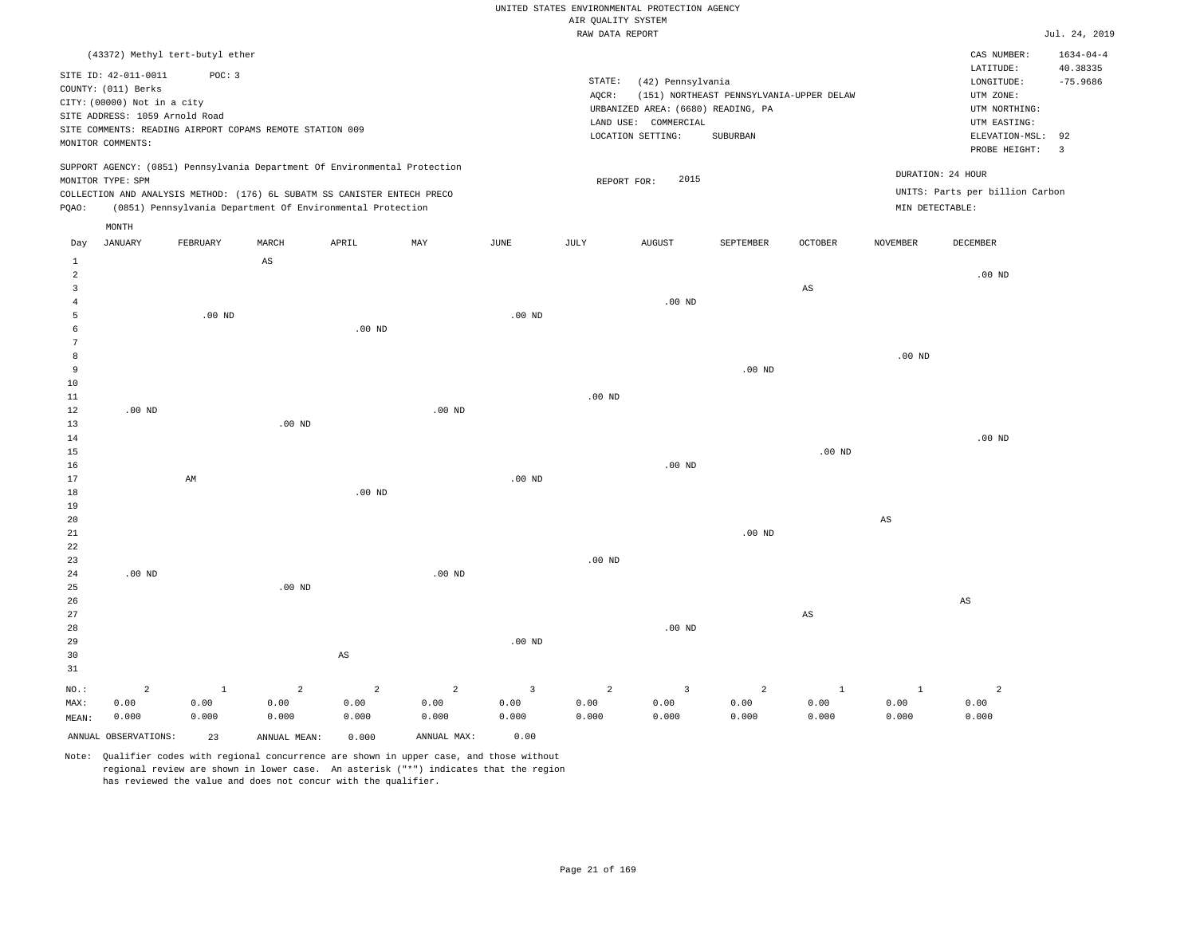| UNITED STATES ENVIRONMENTAL PROTECTION AGENCY |  |               |
|-----------------------------------------------|--|---------------|
| AIR OUALITY SYSTEM                            |  |               |
| RAW DATA REPORT                               |  | Jul. 24, 2019 |

|          | (43372) Methyl tert-butyl ether |              |                                                          |                                                                            |             |                         |                   |                                    |                                          |                        |                        | CAS NUMBER:                     | $1634 - 04 - 4$         |
|----------|---------------------------------|--------------|----------------------------------------------------------|----------------------------------------------------------------------------|-------------|-------------------------|-------------------|------------------------------------|------------------------------------------|------------------------|------------------------|---------------------------------|-------------------------|
|          | SITE ID: 42-011-0011            | POC: 3       |                                                          |                                                                            |             |                         |                   |                                    |                                          |                        |                        | LATITUDE:                       | 40.38335                |
|          | COUNTY: (011) Berks             |              |                                                          |                                                                            |             |                         | STATE:            | (42) Pennsylvania                  |                                          |                        |                        | $\texttt{LONGITUDE}$ :          | $-75.9686$              |
|          | CITY: (00000) Not in a city     |              |                                                          |                                                                            |             |                         | AQCR:             |                                    | (151) NORTHEAST PENNSYLVANIA-UPPER DELAW |                        |                        | UTM ZONE:                       |                         |
|          | SITE ADDRESS: 1059 Arnold Road  |              |                                                          |                                                                            |             |                         |                   | URBANIZED AREA: (6680) READING, PA |                                          |                        |                        | UTM NORTHING:                   |                         |
|          |                                 |              | SITE COMMENTS: READING AIRPORT COPAMS REMOTE STATION 009 |                                                                            |             |                         |                   | LAND USE: COMMERCIAL               |                                          |                        |                        | UTM EASTING:                    |                         |
|          | MONITOR COMMENTS:               |              |                                                          |                                                                            |             |                         |                   | LOCATION SETTING:                  | SUBURBAN                                 |                        |                        | ELEVATION-MSL:                  | 92                      |
|          | MONITOR TYPE: SPM               |              |                                                          | SUPPORT AGENCY: (0851) Pennsylvania Department Of Environmental Protection |             |                         | REPORT FOR:       | 2015                               |                                          |                        | DURATION: 24 HOUR      | PROBE HEIGHT:                   | $\overline{\mathbf{3}}$ |
|          |                                 |              |                                                          | COLLECTION AND ANALYSIS METHOD: (176) 6L SUBATM SS CANISTER ENTECH PRECO   |             |                         |                   |                                    |                                          |                        |                        | UNITS: Parts per billion Carbon |                         |
| PQAO:    |                                 |              |                                                          | (0851) Pennsylvania Department Of Environmental Protection                 |             |                         |                   |                                    |                                          |                        | MIN DETECTABLE:        |                                 |                         |
|          | MONTH                           |              |                                                          |                                                                            |             |                         |                   |                                    |                                          |                        |                        |                                 |                         |
| Day      | JANUARY                         | FEBRUARY     | MARCH                                                    | ${\tt APRIL}$                                                              | MAY         | $\operatorname{JUNE}$   | JULY              | AUGUST                             | SEPTEMBER                                | OCTOBER                | <b>NOVEMBER</b>        | DECEMBER                        |                         |
| $\,1\,$  |                                 |              | $_{\rm AS}$                                              |                                                                            |             |                         |                   |                                    |                                          |                        |                        |                                 |                         |
| 2        |                                 |              |                                                          |                                                                            |             |                         |                   |                                    |                                          |                        |                        | $.00$ ND                        |                         |
| 3        |                                 |              |                                                          |                                                                            |             |                         |                   |                                    |                                          | $\mathbb{A}\mathbb{S}$ |                        |                                 |                         |
| 4        |                                 |              |                                                          |                                                                            |             |                         |                   | .00 <sub>ND</sub>                  |                                          |                        |                        |                                 |                         |
| 5        |                                 | $.00$ ND     |                                                          |                                                                            |             | $.00$ ND                |                   |                                    |                                          |                        |                        |                                 |                         |
| 6        |                                 |              |                                                          | $.00$ ND                                                                   |             |                         |                   |                                    |                                          |                        |                        |                                 |                         |
| 7        |                                 |              |                                                          |                                                                            |             |                         |                   |                                    |                                          |                        |                        |                                 |                         |
| 8        |                                 |              |                                                          |                                                                            |             |                         |                   |                                    |                                          |                        | $.00$ ND               |                                 |                         |
| 9<br>10  |                                 |              |                                                          |                                                                            |             |                         |                   |                                    | $.00$ ND                                 |                        |                        |                                 |                         |
| 11       |                                 |              |                                                          |                                                                            |             |                         | .00 <sub>ND</sub> |                                    |                                          |                        |                        |                                 |                         |
| 12       | $.00$ ND                        |              |                                                          |                                                                            | $.00$ ND    |                         |                   |                                    |                                          |                        |                        |                                 |                         |
| 13       |                                 |              | $.00$ ND                                                 |                                                                            |             |                         |                   |                                    |                                          |                        |                        |                                 |                         |
| 14       |                                 |              |                                                          |                                                                            |             |                         |                   |                                    |                                          |                        |                        | .00 $ND$                        |                         |
| 15       |                                 |              |                                                          |                                                                            |             |                         |                   |                                    |                                          | .00 <sub>ND</sub>      |                        |                                 |                         |
| 16       |                                 |              |                                                          |                                                                            |             |                         |                   | $.00$ ND                           |                                          |                        |                        |                                 |                         |
| 17       |                                 | AM           |                                                          |                                                                            |             | $.00$ ND                |                   |                                    |                                          |                        |                        |                                 |                         |
| 18       |                                 |              |                                                          | .00 <sub>ND</sub>                                                          |             |                         |                   |                                    |                                          |                        |                        |                                 |                         |
| 19       |                                 |              |                                                          |                                                                            |             |                         |                   |                                    |                                          |                        |                        |                                 |                         |
| 20       |                                 |              |                                                          |                                                                            |             |                         |                   |                                    |                                          |                        | $\mathbb{A}\mathbb{S}$ |                                 |                         |
| $21\,$   |                                 |              |                                                          |                                                                            |             |                         |                   |                                    | .00 <sub>ND</sub>                        |                        |                        |                                 |                         |
| 22       |                                 |              |                                                          |                                                                            |             |                         |                   |                                    |                                          |                        |                        |                                 |                         |
| 23       |                                 |              |                                                          |                                                                            |             |                         | $.00$ ND          |                                    |                                          |                        |                        |                                 |                         |
| 24       | $.00$ ND                        |              |                                                          |                                                                            | $.00$ ND    |                         |                   |                                    |                                          |                        |                        |                                 |                         |
| 25       |                                 |              | $.00$ ND                                                 |                                                                            |             |                         |                   |                                    |                                          |                        |                        |                                 |                         |
| 26       |                                 |              |                                                          |                                                                            |             |                         |                   |                                    |                                          |                        |                        | $\mathbb{A}\mathbb{S}$          |                         |
| 27       |                                 |              |                                                          |                                                                            |             |                         |                   |                                    |                                          | $\mathbb{A}\mathbb{S}$ |                        |                                 |                         |
| 28<br>29 |                                 |              |                                                          |                                                                            |             | $.00$ ND                |                   | .00 <sub>ND</sub>                  |                                          |                        |                        |                                 |                         |
| 30       |                                 |              |                                                          | $\mathbb{A}\mathbb{S}$                                                     |             |                         |                   |                                    |                                          |                        |                        |                                 |                         |
| 31       |                                 |              |                                                          |                                                                            |             |                         |                   |                                    |                                          |                        |                        |                                 |                         |
| NO.:     | 2                               | $\mathbf{1}$ | 2                                                        | 2                                                                          | 2           | $\overline{\mathbf{3}}$ | 2                 | $\overline{3}$                     | 2                                        | <sup>1</sup>           | <sup>1</sup>           | 2                               |                         |
| MAX:     | 0.00                            | 0.00         | 0.00                                                     | 0.00                                                                       | 0.00        | 0.00                    | 0.00              | 0.00                               | 0.00                                     | 0.00                   | 0.00                   | 0.00                            |                         |
| MEAN:    | 0.000                           | 0.000        | 0.000                                                    | 0.000                                                                      | 0.000       | 0.000                   | 0.000             | 0.000                              | 0.000                                    | 0.000                  | 0.000                  | 0.000                           |                         |
|          | ANNUAL OBSERVATIONS:            | 23           | ANNUAL MEAN:                                             | 0.000                                                                      | ANNUAL MAX: | 0.00                    |                   |                                    |                                          |                        |                        |                                 |                         |
|          |                                 |              |                                                          |                                                                            |             |                         |                   |                                    |                                          |                        |                        |                                 |                         |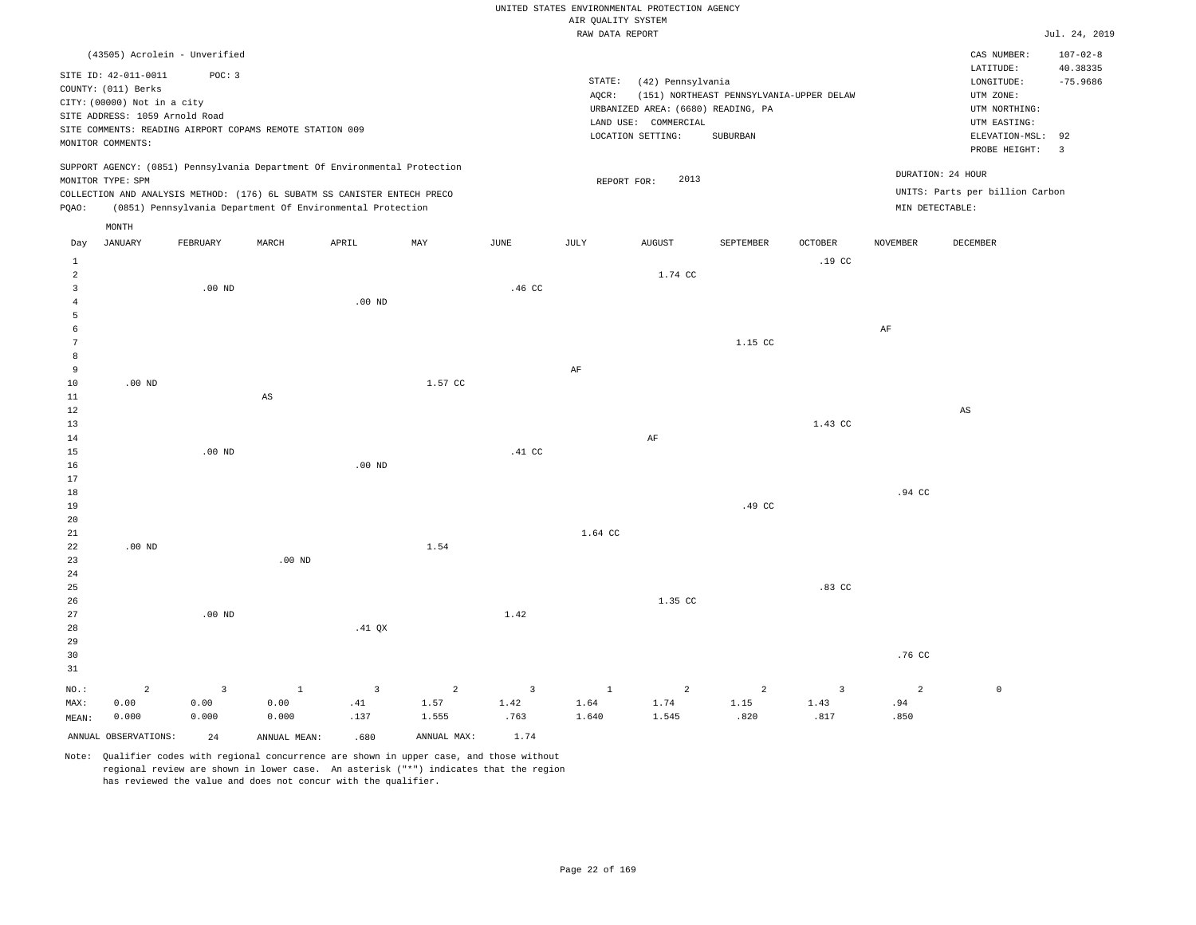|                |                                |                                                          |                        |                                                                            |                |                |                                       | UNITED STATES ENVIRONMENTAL PROTECTION AGENCY |                                          |                  |                 |                                 |                         |
|----------------|--------------------------------|----------------------------------------------------------|------------------------|----------------------------------------------------------------------------|----------------|----------------|---------------------------------------|-----------------------------------------------|------------------------------------------|------------------|-----------------|---------------------------------|-------------------------|
|                |                                |                                                          |                        |                                                                            |                |                | AIR QUALITY SYSTEM<br>RAW DATA REPORT |                                               |                                          |                  |                 |                                 | Jul. 24, 2019           |
|                |                                |                                                          |                        |                                                                            |                |                |                                       |                                               |                                          |                  |                 |                                 |                         |
|                |                                | (43505) Acrolein - Unverified                            |                        |                                                                            |                |                |                                       |                                               |                                          |                  |                 | CAS NUMBER:                     | $107 - 02 - 8$          |
|                | SITE ID: 42-011-0011           | POC: 3                                                   |                        |                                                                            |                |                |                                       |                                               |                                          |                  |                 | LATITUDE:                       | 40.38335                |
|                | COUNTY: (011) Berks            |                                                          |                        |                                                                            |                |                | STATE:                                | (42) Pennsylvania                             |                                          |                  |                 | $\texttt{LONGITUDE}$ :          | $-75.9686$              |
|                | CITY: (00000) Not in a city    |                                                          |                        |                                                                            |                |                | AQCR:                                 |                                               | (151) NORTHEAST PENNSYLVANIA-UPPER DELAW |                  |                 | UTM ZONE:                       |                         |
|                | SITE ADDRESS: 1059 Arnold Road |                                                          |                        |                                                                            |                |                |                                       | URBANIZED AREA: (6680) READING, PA            |                                          |                  |                 | UTM NORTHING:                   |                         |
|                |                                | SITE COMMENTS: READING AIRPORT COPAMS REMOTE STATION 009 |                        |                                                                            |                |                |                                       | LAND USE: COMMERCIAL                          |                                          |                  |                 | UTM EASTING:                    |                         |
|                | MONITOR COMMENTS:              |                                                          |                        |                                                                            |                |                |                                       | LOCATION SETTING:                             | SUBURBAN                                 |                  |                 | ELEVATION-MSL:                  | 92                      |
|                |                                |                                                          |                        |                                                                            |                |                |                                       |                                               |                                          |                  |                 | PROBE HEIGHT:                   | $\overline{\mathbf{3}}$ |
|                |                                |                                                          |                        | SUPPORT AGENCY: (0851) Pennsylvania Department Of Environmental Protection |                |                |                                       |                                               |                                          |                  |                 |                                 |                         |
|                | MONITOR TYPE: SPM              |                                                          |                        |                                                                            |                |                | REPORT FOR:                           | 2013                                          |                                          |                  |                 | DURATION: 24 HOUR               |                         |
|                |                                |                                                          |                        | COLLECTION AND ANALYSIS METHOD: (176) 6L SUBATM SS CANISTER ENTECH PRECO   |                |                |                                       |                                               |                                          |                  |                 | UNITS: Parts per billion Carbon |                         |
| PQAO:          |                                |                                                          |                        | (0851) Pennsylvania Department Of Environmental Protection                 |                |                |                                       |                                               |                                          |                  | MIN DETECTABLE: |                                 |                         |
|                | MONTH                          |                                                          |                        |                                                                            |                |                |                                       |                                               |                                          |                  |                 |                                 |                         |
| Day            | <b>JANUARY</b>                 | FEBRUARY                                                 | MARCH                  | APRIL                                                                      | MAY            | JUNE           | JULY                                  | <b>AUGUST</b>                                 | SEPTEMBER                                | <b>OCTOBER</b>   | <b>NOVEMBER</b> | DECEMBER                        |                         |
| $\mathbf{1}$   |                                |                                                          |                        |                                                                            |                |                |                                       |                                               |                                          | .19 <sub>c</sub> |                 |                                 |                         |
| $\overline{2}$ |                                |                                                          |                        |                                                                            |                |                |                                       | 1.74 CC                                       |                                          |                  |                 |                                 |                         |
| 3              |                                | $.00$ ND                                                 |                        |                                                                            |                | .46 CC         |                                       |                                               |                                          |                  |                 |                                 |                         |
| $\overline{4}$ |                                |                                                          |                        | $.00$ ND                                                                   |                |                |                                       |                                               |                                          |                  |                 |                                 |                         |
| 5              |                                |                                                          |                        |                                                                            |                |                |                                       |                                               |                                          |                  |                 |                                 |                         |
| 6              |                                |                                                          |                        |                                                                            |                |                |                                       |                                               |                                          |                  | $\rm{AF}$       |                                 |                         |
| 7              |                                |                                                          |                        |                                                                            |                |                |                                       |                                               | 1.15 CC                                  |                  |                 |                                 |                         |
| 8              |                                |                                                          |                        |                                                                            |                |                |                                       |                                               |                                          |                  |                 |                                 |                         |
| 9              |                                |                                                          |                        |                                                                            |                |                | $\rm{AF}$                             |                                               |                                          |                  |                 |                                 |                         |
| 10             | $.00$ ND                       |                                                          |                        |                                                                            | 1.57 CC        |                |                                       |                                               |                                          |                  |                 |                                 |                         |
| 11             |                                |                                                          | $\mathbb{A}\mathbb{S}$ |                                                                            |                |                |                                       |                                               |                                          |                  |                 |                                 |                         |
| 12             |                                |                                                          |                        |                                                                            |                |                |                                       |                                               |                                          |                  |                 | $\mathbb{A}\mathbb{S}$          |                         |
| 13             |                                |                                                          |                        |                                                                            |                |                |                                       |                                               |                                          | 1.43 CC          |                 |                                 |                         |
| 14             |                                |                                                          |                        |                                                                            |                |                |                                       | $\rm{AF}$                                     |                                          |                  |                 |                                 |                         |
| 15             |                                | $.00$ ND                                                 |                        |                                                                            |                | .41 CC         |                                       |                                               |                                          |                  |                 |                                 |                         |
| 16             |                                |                                                          |                        | .00 <sub>ND</sub>                                                          |                |                |                                       |                                               |                                          |                  |                 |                                 |                         |
| 17             |                                |                                                          |                        |                                                                            |                |                |                                       |                                               |                                          |                  |                 |                                 |                         |
| 18             |                                |                                                          |                        |                                                                            |                |                |                                       |                                               |                                          |                  | .94 CC          |                                 |                         |
| 19             |                                |                                                          |                        |                                                                            |                |                |                                       |                                               | .49 CC                                   |                  |                 |                                 |                         |
| 20             |                                |                                                          |                        |                                                                            |                |                |                                       |                                               |                                          |                  |                 |                                 |                         |
| 21             |                                |                                                          |                        |                                                                            |                |                | 1.64 CC                               |                                               |                                          |                  |                 |                                 |                         |
| 22             | $.00$ ND                       |                                                          |                        |                                                                            | 1.54           |                |                                       |                                               |                                          |                  |                 |                                 |                         |
| 23             |                                |                                                          | .00 <sub>ND</sub>      |                                                                            |                |                |                                       |                                               |                                          |                  |                 |                                 |                         |
| 24             |                                |                                                          |                        |                                                                            |                |                |                                       |                                               |                                          |                  |                 |                                 |                         |
| 25             |                                |                                                          |                        |                                                                            |                |                |                                       |                                               |                                          | $.83$ CC         |                 |                                 |                         |
| 26             |                                |                                                          |                        |                                                                            |                |                |                                       | 1.35 CC                                       |                                          |                  |                 |                                 |                         |
| 27             |                                | $.00$ ND                                                 |                        |                                                                            |                | 1.42           |                                       |                                               |                                          |                  |                 |                                 |                         |
| 28             |                                |                                                          |                        | $.41$ QX                                                                   |                |                |                                       |                                               |                                          |                  |                 |                                 |                         |
| 29             |                                |                                                          |                        |                                                                            |                |                |                                       |                                               |                                          |                  |                 |                                 |                         |
| 30             |                                |                                                          |                        |                                                                            |                |                |                                       |                                               |                                          |                  | .76 CC          |                                 |                         |
| 31             |                                |                                                          |                        |                                                                            |                |                |                                       |                                               |                                          |                  |                 |                                 |                         |
| NO.:           | $\overline{a}$                 | 3                                                        | $\mathbf{1}$           | $\overline{3}$                                                             | $\overline{a}$ | $\overline{3}$ | $1\,$                                 | $\overline{a}$                                | 2                                        | $\overline{3}$   | $\overline{2}$  | $\mathbb O$                     |                         |
| MAX:           | 0.00                           | 0.00                                                     | 0.00                   | .41                                                                        | 1.57           | 1.42           | 1.64                                  | 1.74                                          | 1.15                                     | 1.43             | .94             |                                 |                         |
| MEAN:          | 0.000                          | 0.000                                                    | 0.000                  | .137                                                                       | 1.555          | .763           | 1.640                                 | 1.545                                         | .820                                     | .817             | .850            |                                 |                         |

ANNUAL OBSERVATIONS: 24 ANNUAL MEAN: .680 ANNUAL MAX: 1.74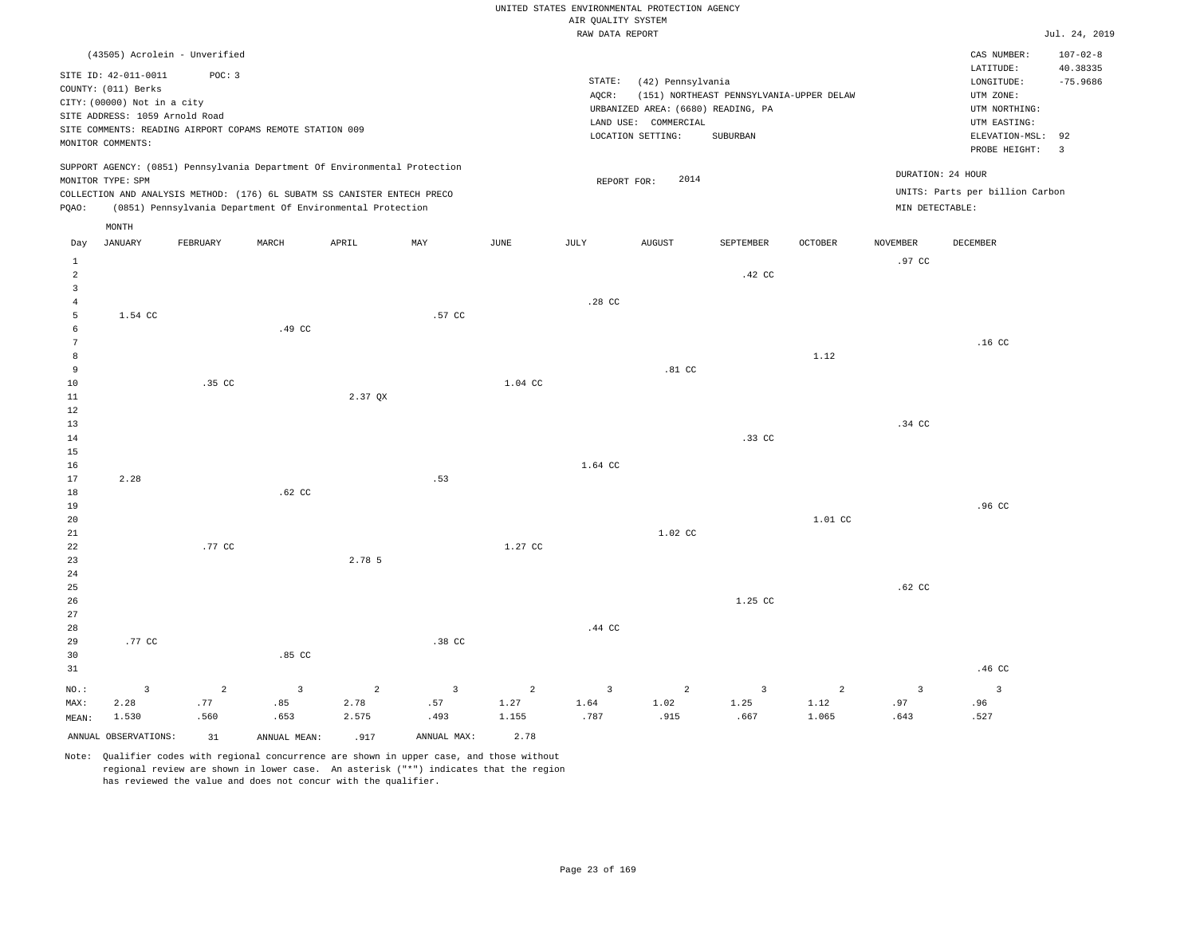| UNITED STATES ENVIRONMENTAL PROTECTION AGENCY |                    |  |
|-----------------------------------------------|--------------------|--|
|                                               | AIR OUALITY SYSTEM |  |
|                                               | RAW DATA REPORT    |  |

|                 |                                |                               |                                                          |                                                                            |                |                | RAW DATA REPORT  |                                    |                                          |                |                 |                                 | Jul. 24, 2019              |
|-----------------|--------------------------------|-------------------------------|----------------------------------------------------------|----------------------------------------------------------------------------|----------------|----------------|------------------|------------------------------------|------------------------------------------|----------------|-----------------|---------------------------------|----------------------------|
|                 |                                | (43505) Acrolein - Unverified |                                                          |                                                                            |                |                |                  |                                    |                                          |                |                 | CAS NUMBER:<br>LATITUDE:        | $107 - 02 - 8$<br>40.38335 |
|                 | SITE ID: 42-011-0011           | POC: 3                        |                                                          |                                                                            |                |                | STATE:           | (42) Pennsylvania                  |                                          |                |                 | LONGITUDE:                      | $-75.9686$                 |
|                 | COUNTY: (011) Berks            |                               |                                                          |                                                                            |                |                | AQCR:            |                                    | (151) NORTHEAST PENNSYLVANIA-UPPER DELAW |                |                 | UTM ZONE:                       |                            |
|                 | CITY: (00000) Not in a city    |                               |                                                          |                                                                            |                |                |                  | URBANIZED AREA: (6680) READING, PA |                                          |                |                 | UTM NORTHING:                   |                            |
|                 | SITE ADDRESS: 1059 Arnold Road |                               |                                                          |                                                                            |                |                |                  | LAND USE: COMMERCIAL               |                                          |                |                 | UTM EASTING:                    |                            |
|                 |                                |                               | SITE COMMENTS: READING AIRPORT COPAMS REMOTE STATION 009 |                                                                            |                |                |                  | LOCATION SETTING:                  | SUBURBAN                                 |                |                 | ELEVATION-MSL: 92               |                            |
|                 | MONITOR COMMENTS:              |                               |                                                          |                                                                            |                |                |                  |                                    |                                          |                |                 | PROBE HEIGHT:                   | $\overline{3}$             |
|                 | MONITOR TYPE: SPM              |                               |                                                          | SUPPORT AGENCY: (0851) Pennsylvania Department Of Environmental Protection |                |                | REPORT FOR:      | 2014                               |                                          |                |                 | DURATION: 24 HOUR               |                            |
|                 |                                |                               |                                                          | COLLECTION AND ANALYSIS METHOD: (176) 6L SUBATM SS CANISTER ENTECH PRECO   |                |                |                  |                                    |                                          |                |                 | UNITS: Parts per billion Carbon |                            |
| PQAO:           |                                |                               |                                                          | (0851) Pennsylvania Department Of Environmental Protection                 |                |                |                  |                                    |                                          |                | MIN DETECTABLE: |                                 |                            |
|                 | MONTH                          |                               |                                                          |                                                                            |                |                |                  |                                    |                                          |                |                 |                                 |                            |
| Day             | <b>JANUARY</b>                 | FEBRUARY                      | MARCH                                                    | APRIL                                                                      | MAY            | JUNE           | <b>JULY</b>      | <b>AUGUST</b>                      | SEPTEMBER                                | <b>OCTOBER</b> | <b>NOVEMBER</b> | <b>DECEMBER</b>                 |                            |
| $\mathbf{1}$    |                                |                               |                                                          |                                                                            |                |                |                  |                                    |                                          |                | .97 CC          |                                 |                            |
| $\overline{2}$  |                                |                               |                                                          |                                                                            |                |                |                  |                                    | .42 CC                                   |                |                 |                                 |                            |
| $\overline{3}$  |                                |                               |                                                          |                                                                            |                |                |                  |                                    |                                          |                |                 |                                 |                            |
| $\overline{4}$  |                                |                               |                                                          |                                                                            |                |                | .28 <sub>C</sub> |                                    |                                          |                |                 |                                 |                            |
| 5               | 1.54 CC                        |                               |                                                          |                                                                            | .57 CC         |                |                  |                                    |                                          |                |                 |                                 |                            |
| 6               |                                |                               | .49 CC                                                   |                                                                            |                |                |                  |                                    |                                          |                |                 |                                 |                            |
| $7\phantom{.0}$ |                                |                               |                                                          |                                                                            |                |                |                  |                                    |                                          |                |                 | .16 <sub>c</sub>                |                            |
| 8               |                                |                               |                                                          |                                                                            |                |                |                  |                                    |                                          | 1.12           |                 |                                 |                            |
| 9<br>10         |                                | .35 CC                        |                                                          |                                                                            |                | 1.04 CC        |                  | $.81$ CC                           |                                          |                |                 |                                 |                            |
| 11              |                                |                               |                                                          | 2.37 OX                                                                    |                |                |                  |                                    |                                          |                |                 |                                 |                            |
| 12              |                                |                               |                                                          |                                                                            |                |                |                  |                                    |                                          |                |                 |                                 |                            |
| 13              |                                |                               |                                                          |                                                                            |                |                |                  |                                    |                                          |                | .34 CC          |                                 |                            |
| 14              |                                |                               |                                                          |                                                                            |                |                |                  |                                    | .33 CC                                   |                |                 |                                 |                            |
| 15              |                                |                               |                                                          |                                                                            |                |                |                  |                                    |                                          |                |                 |                                 |                            |
| 16              |                                |                               |                                                          |                                                                            |                |                | 1.64 CC          |                                    |                                          |                |                 |                                 |                            |
| 17              | 2.28                           |                               |                                                          |                                                                            | .53            |                |                  |                                    |                                          |                |                 |                                 |                            |
| 18              |                                |                               | $.62$ CC                                                 |                                                                            |                |                |                  |                                    |                                          |                |                 |                                 |                            |
| 19              |                                |                               |                                                          |                                                                            |                |                |                  |                                    |                                          |                |                 | .96 CC                          |                            |
| 20              |                                |                               |                                                          |                                                                            |                |                |                  |                                    |                                          | 1.01 CC        |                 |                                 |                            |
| 21              |                                |                               |                                                          |                                                                            |                |                |                  | 1.02 CC                            |                                          |                |                 |                                 |                            |
| 22              |                                | .77 CC                        |                                                          |                                                                            |                | 1.27 CC        |                  |                                    |                                          |                |                 |                                 |                            |
| 23              |                                |                               |                                                          | 2.78 5                                                                     |                |                |                  |                                    |                                          |                |                 |                                 |                            |
| 24              |                                |                               |                                                          |                                                                            |                |                |                  |                                    |                                          |                | $.62$ CC        |                                 |                            |
| 25<br>26        |                                |                               |                                                          |                                                                            |                |                |                  |                                    | 1.25 CC                                  |                |                 |                                 |                            |
| 27              |                                |                               |                                                          |                                                                            |                |                |                  |                                    |                                          |                |                 |                                 |                            |
| 28              |                                |                               |                                                          |                                                                            |                |                | .44 CC           |                                    |                                          |                |                 |                                 |                            |
| 29              | .77 CC                         |                               |                                                          |                                                                            | .38 CC         |                |                  |                                    |                                          |                |                 |                                 |                            |
| 30              |                                |                               | .85 <sub>c</sub>                                         |                                                                            |                |                |                  |                                    |                                          |                |                 |                                 |                            |
| 31              |                                |                               |                                                          |                                                                            |                |                |                  |                                    |                                          |                |                 | .46 CC                          |                            |
|                 |                                |                               |                                                          |                                                                            |                |                |                  |                                    |                                          |                |                 |                                 |                            |
| NO.:            | $\overline{3}$                 | 2                             | $\overline{3}$                                           | 2                                                                          | $\overline{3}$ | $\overline{2}$ | $\overline{3}$   | 2                                  | $\overline{3}$                           | 2              | $\overline{3}$  | $\overline{3}$                  |                            |
| MAX:            | 2.28<br>1.530                  | .77<br>.560                   | .85<br>.653                                              | 2.78<br>2.575                                                              | .57<br>.493    | 1.27<br>1.155  | 1.64<br>.787     | 1.02<br>.915                       | 1.25<br>.667                             | 1.12<br>1.065  | .97<br>.643     | .96<br>.527                     |                            |
| MEAN:           |                                |                               |                                                          |                                                                            |                |                |                  |                                    |                                          |                |                 |                                 |                            |
|                 | ANNUAL OBSERVATIONS:           | 31                            | ANNUAL MEAN:                                             | .917                                                                       | ANNUAL MAX:    | 2.78           |                  |                                    |                                          |                |                 |                                 |                            |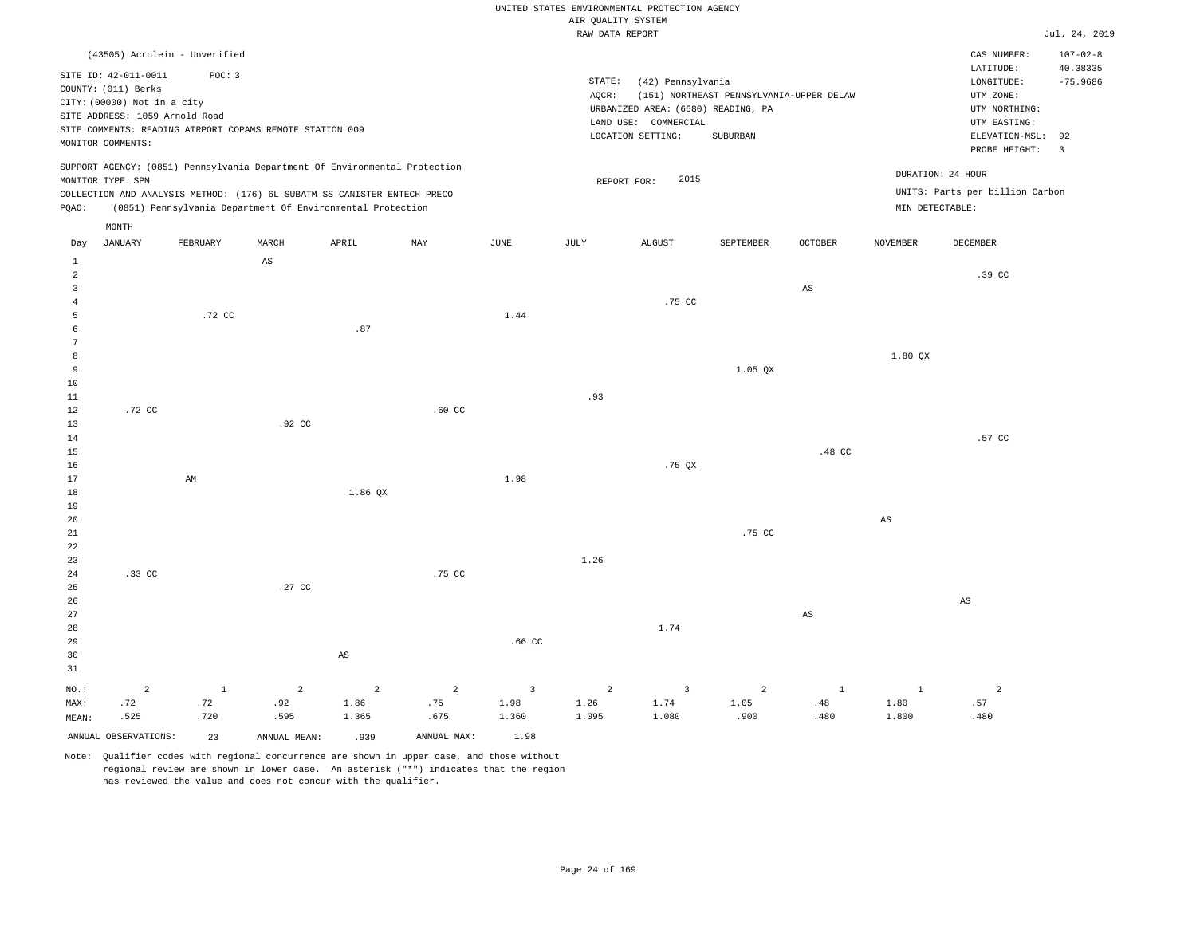## UNITED STATES ENVIRONMENTAL PROTECTION AGENCY AIR QUALITY SYSTEM

Jul. 24, 2019

CAS NUMBER: 107-02-8

 $LONGITUDE:$   $-75.9686$ LATITUDE: 40.38335

PROBE HEIGHT: 3 ELEVATION-MSL: 92

UTM EASTING: UTM ZONE:

| RAW DATA REPORT          |
|--------------------------|
|                          |
| STATE: (42) Pennsylvania |

AQCR: (151) NORTHEAST PENNSYLVANIA-UPPER DELAW COUNTY: (011) Berks CITY: (00000) Not in a city LOCATION SETTING: SUBURBAN SITE ADDRESS: 1059 Arnold Road LAND USE: COMMERCIAL SITE COMMENTS: READING AIRPORT COPAMS REMOTE STATION 009 MONITOR COMMENTS: (6680) READING, PA UTM NORTHING: URBANIZED AREA: SUPPORT AGENCY: (0851) Pennsylvania Department Of Environmental Protection

(43505) Acrolein - Unverified

SITE ID: 42-011-0011 POC: 3

MONITOR TYPE: SPM COLLECTION AND ANALYSIS METHOD: (176) 6L SUBATM SS CANISTER ENTECH PRECO REPORT FOR: 2015 UNITS: Parts per billion Carbon PQAO: (0851) Pennsylvania Department Of Environmental Protection MIN DETECTABLE: DURATION: 24 HOUR MONTH

| Day             | $_{\rm JANUARY}$     | ${\tt FEBRUARY}$       | $\tt MARCH$            | APRIL                           | MAY         | $_{\rm JUNE}$           | $\mathtt{JULY}$ | AUGUST                  | SEPTEMBER      | OCTOBER                       | $\,$ NOVEMBER          | DECEMBER                 |
|-----------------|----------------------|------------------------|------------------------|---------------------------------|-------------|-------------------------|-----------------|-------------------------|----------------|-------------------------------|------------------------|--------------------------|
| $1\,$           |                      |                        | $\mathbb{A}\mathbb{S}$ |                                 |             |                         |                 |                         |                |                               |                        |                          |
| $\overline{a}$  |                      |                        |                        |                                 |             |                         |                 |                         |                |                               |                        | .39 CC                   |
| 3               |                      |                        |                        |                                 |             |                         |                 |                         |                | $\mathbb{A}\mathbb{S}$        |                        |                          |
| $\overline{4}$  |                      |                        |                        |                                 |             |                         |                 | .75 CC                  |                |                               |                        |                          |
| 5               |                      | .72 CC                 |                        |                                 |             | 1.44                    |                 |                         |                |                               |                        |                          |
| 6               |                      |                        |                        | $\boldsymbol{\mathsf{.}}\,8\,7$ |             |                         |                 |                         |                |                               |                        |                          |
| $7\phantom{.0}$ |                      |                        |                        |                                 |             |                         |                 |                         |                |                               |                        |                          |
| 8               |                      |                        |                        |                                 |             |                         |                 |                         |                |                               | $1.80$ QX              |                          |
| 9               |                      |                        |                        |                                 |             |                         |                 |                         | $1.05$ QX      |                               |                        |                          |
| $10$            |                      |                        |                        |                                 |             |                         |                 |                         |                |                               |                        |                          |
| $11\,$          |                      |                        |                        |                                 |             |                         | .93             |                         |                |                               |                        |                          |
| 12              | .72 CC               |                        |                        |                                 | $.60$ CC    |                         |                 |                         |                |                               |                        |                          |
| 13              |                      |                        | .92 CC                 |                                 |             |                         |                 |                         |                |                               |                        |                          |
| 14              |                      |                        |                        |                                 |             |                         |                 |                         |                |                               |                        | .57 CC                   |
| 15              |                      |                        |                        |                                 |             |                         |                 |                         |                | .48 CC                        |                        |                          |
| 16              |                      |                        |                        |                                 |             |                         |                 | .75 QX                  |                |                               |                        |                          |
| 17              |                      | $\mathbb{A}\mathbb{M}$ |                        |                                 |             | 1.98                    |                 |                         |                |                               |                        |                          |
| 18              |                      |                        |                        | 1.86 QX                         |             |                         |                 |                         |                |                               |                        |                          |
| 19              |                      |                        |                        |                                 |             |                         |                 |                         |                |                               |                        |                          |
| 20              |                      |                        |                        |                                 |             |                         |                 |                         |                |                               | $\mathbb{A}\mathbb{S}$ |                          |
| $2\sqrt{1}$     |                      |                        |                        |                                 |             |                         |                 |                         | .75 CC         |                               |                        |                          |
| ${\bf 22}$      |                      |                        |                        |                                 |             |                         |                 |                         |                |                               |                        |                          |
| 23              |                      |                        |                        |                                 |             |                         | 1.26            |                         |                |                               |                        |                          |
| $2\sqrt{4}$     | $.33$ CC             |                        |                        |                                 | .75 CC      |                         |                 |                         |                |                               |                        |                          |
| 25              |                      |                        | .27 CC                 |                                 |             |                         |                 |                         |                |                               |                        |                          |
| $26\,$          |                      |                        |                        |                                 |             |                         |                 |                         |                |                               |                        | AS                       |
| 27              |                      |                        |                        |                                 |             |                         |                 |                         |                | $\mathbb{A}\mathbb{S}$        |                        |                          |
| 28<br>29        |                      |                        |                        |                                 |             | .66 CC                  |                 | 1.74                    |                |                               |                        |                          |
| 30              |                      |                        |                        |                                 |             |                         |                 |                         |                |                               |                        |                          |
| 31              |                      |                        |                        | $\mathbb{A}\mathbb{S}$          |             |                         |                 |                         |                |                               |                        |                          |
|                 |                      |                        |                        |                                 |             |                         |                 |                         |                |                               |                        |                          |
| $_{\rm NO.}$ :  | $\overline{a}$       | $\mathbf{1}$           | $\overline{a}$         | $\overline{a}$                  | $\sqrt{2}$  | $\overline{\mathbf{3}}$ | $\overline{a}$  | $\overline{\mathbf{3}}$ | $\overline{a}$ | $\mathbf{1}$                  | $\mathbf{1}$           | $\overline{\phantom{a}}$ |
| MAX:            | .72                  | .72                    | .92                    | 1.86                            | .75         | 1.98                    | 1.26            | 1.74                    | 1.05           | $\footnotesize{\texttt{.48}}$ | 1.80                   | .57                      |
| MEAN:           | .525                 | .720                   | .595                   | 1.365                           | .675        | 1.360                   | 1.095           | 1.080                   | .900           | .480                          | 1.800                  | .480                     |
|                 | ANNUAL OBSERVATIONS: | 23                     | ANNUAL MEAN:           | .939                            | ANNUAL MAX: | 1.98                    |                 |                         |                |                               |                        |                          |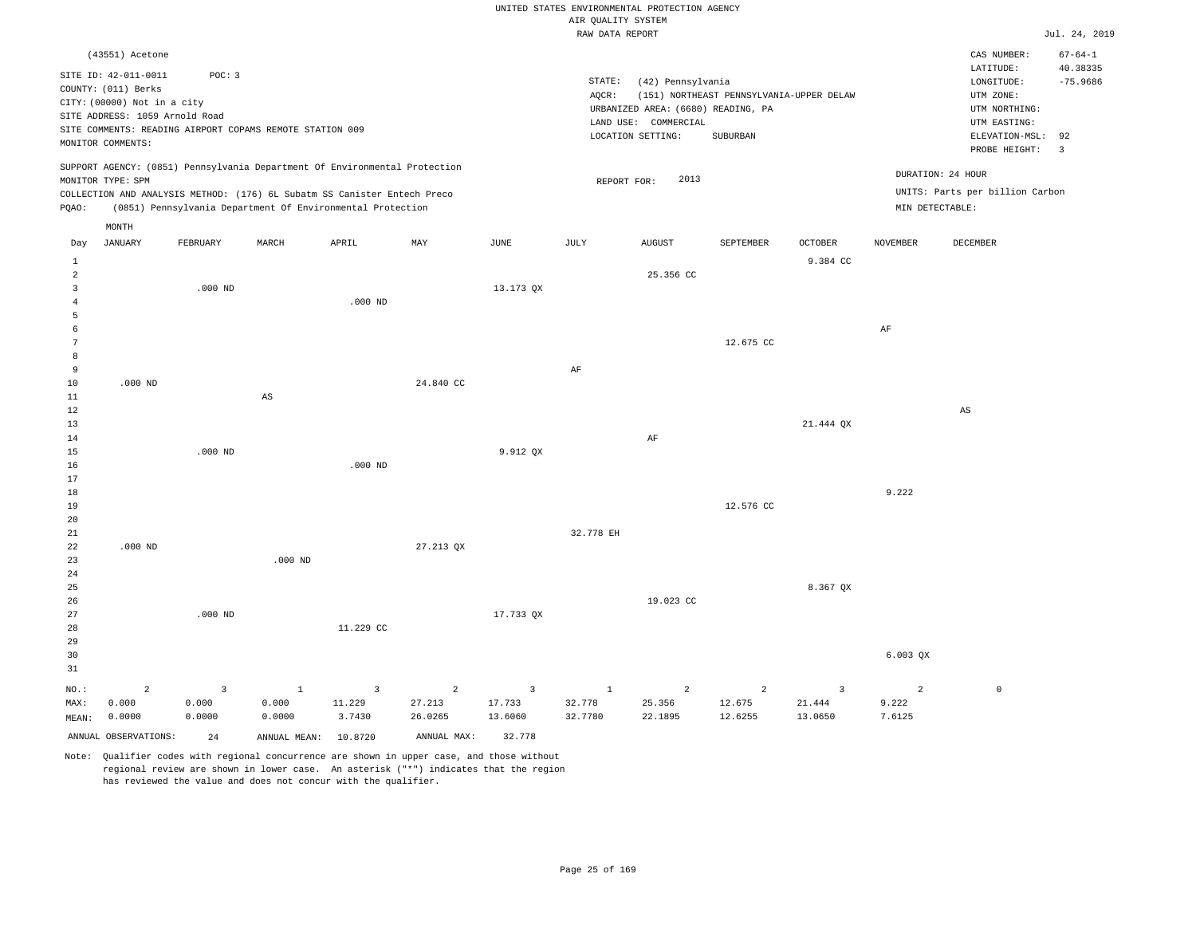|                                |                                                    |                |                                                                            |                         |                |                         | UNITED STATES ENVIRONMENTAL PROTECTION AGENCY |                                    |                                          |                |                   |                                 |                                |
|--------------------------------|----------------------------------------------------|----------------|----------------------------------------------------------------------------|-------------------------|----------------|-------------------------|-----------------------------------------------|------------------------------------|------------------------------------------|----------------|-------------------|---------------------------------|--------------------------------|
|                                |                                                    |                |                                                                            |                         |                |                         | AIR QUALITY SYSTEM                            |                                    |                                          |                |                   |                                 |                                |
|                                |                                                    |                |                                                                            |                         |                |                         | RAW DATA REPORT                               |                                    |                                          |                |                   |                                 | Jul. 24, 2019                  |
|                                | (43551) Acetone                                    |                |                                                                            |                         |                |                         |                                               |                                    |                                          |                |                   | CAS NUMBER:<br>LATITUDE:        | $67 - 64 - 1$<br>40.38335      |
|                                | SITE ID: 42-011-0011                               | POC: 3         |                                                                            |                         |                |                         | STATE:                                        | (42) Pennsylvania                  |                                          |                |                   | LONGITUDE:                      | $-75.9686$                     |
|                                | COUNTY: (011) Berks<br>CITY: (00000) Not in a city |                |                                                                            |                         |                |                         | AOCR:                                         |                                    | (151) NORTHEAST PENNSYLVANIA-UPPER DELAW |                |                   | UTM ZONE:                       |                                |
|                                | SITE ADDRESS: 1059 Arnold Road                     |                |                                                                            |                         |                |                         |                                               | URBANIZED AREA: (6680) READING, PA |                                          |                |                   | UTM NORTHING:                   |                                |
|                                |                                                    |                | SITE COMMENTS: READING AIRPORT COPAMS REMOTE STATION 009                   |                         |                |                         |                                               | LAND USE: COMMERCIAL               |                                          |                |                   | UTM EASTING:                    |                                |
|                                | MONITOR COMMENTS:                                  |                |                                                                            |                         |                |                         |                                               | LOCATION SETTING:                  | SUBURBAN                                 |                |                   | ELEVATION-MSL:<br>PROBE HEIGHT: | 92<br>$\overline{\phantom{a}}$ |
|                                | MONITOR TYPE: SPM                                  |                | SUPPORT AGENCY: (0851) Pennsylvania Department Of Environmental Protection |                         |                |                         | REPORT FOR:                                   | 2013                               |                                          |                | DURATION: 24 HOUR |                                 |                                |
|                                |                                                    |                | COLLECTION AND ANALYSIS METHOD: (176) 6L Subatm SS Canister Entech Preco   |                         |                |                         |                                               |                                    |                                          |                |                   | UNITS: Parts per billion Carbon |                                |
| PQAO:                          |                                                    |                | (0851) Pennsylvania Department Of Environmental Protection                 |                         |                |                         |                                               |                                    |                                          |                | MIN DETECTABLE:   |                                 |                                |
| Day                            | $\texttt{MONTH}$<br><b>JANUARY</b>                 | FEBRUARY       | MARCH                                                                      | APRIL                   | MAY            | JUNE                    | JULY                                          | <b>AUGUST</b>                      | SEPTEMBER                                | <b>OCTOBER</b> | <b>NOVEMBER</b>   | DECEMBER                        |                                |
| $\mathbf{1}$<br>$\overline{a}$ |                                                    |                |                                                                            |                         |                |                         |                                               | 25.356 CC                          |                                          | 9.384 CC       |                   |                                 |                                |
| $\overline{3}$                 |                                                    | $.000$ ND      |                                                                            |                         |                | 13.173 OX               |                                               |                                    |                                          |                |                   |                                 |                                |
| $\overline{4}$                 |                                                    |                |                                                                            | $.000$ ND               |                |                         |                                               |                                    |                                          |                |                   |                                 |                                |
| 5                              |                                                    |                |                                                                            |                         |                |                         |                                               |                                    |                                          |                |                   |                                 |                                |
| 6                              |                                                    |                |                                                                            |                         |                |                         |                                               |                                    |                                          |                | $\rm{AF}$         |                                 |                                |
| 7<br>8                         |                                                    |                |                                                                            |                         |                |                         |                                               |                                    | 12.675 CC                                |                |                   |                                 |                                |
| 9                              |                                                    |                |                                                                            |                         |                |                         | AF                                            |                                    |                                          |                |                   |                                 |                                |
| 10                             | $.000$ ND                                          |                |                                                                            |                         | 24.840 CC      |                         |                                               |                                    |                                          |                |                   |                                 |                                |
| $11\,$                         |                                                    |                | $_{\rm AS}$                                                                |                         |                |                         |                                               |                                    |                                          |                |                   |                                 |                                |
| 12                             |                                                    |                |                                                                            |                         |                |                         |                                               |                                    |                                          |                |                   | $\mathbb{A}\mathbb{S}$          |                                |
| 13                             |                                                    |                |                                                                            |                         |                |                         |                                               |                                    |                                          | 21.444 QX      |                   |                                 |                                |
| 14                             |                                                    |                |                                                                            |                         |                |                         |                                               | AF                                 |                                          |                |                   |                                 |                                |
| 15<br>16                       |                                                    | $.000$ ND      |                                                                            | $.000$ ND               |                | 9.912 QX                |                                               |                                    |                                          |                |                   |                                 |                                |
| 17                             |                                                    |                |                                                                            |                         |                |                         |                                               |                                    |                                          |                |                   |                                 |                                |
| 18                             |                                                    |                |                                                                            |                         |                |                         |                                               |                                    |                                          |                | 9.222             |                                 |                                |
| 19                             |                                                    |                |                                                                            |                         |                |                         |                                               |                                    | 12.576 CC                                |                |                   |                                 |                                |
| 20                             |                                                    |                |                                                                            |                         |                |                         |                                               |                                    |                                          |                |                   |                                 |                                |
| $2\sqrt{1}$                    |                                                    |                |                                                                            |                         |                |                         | 32.778 EH                                     |                                    |                                          |                |                   |                                 |                                |
| 22                             | $.000$ ND                                          |                | $.000$ ND                                                                  |                         | 27.213 QX      |                         |                                               |                                    |                                          |                |                   |                                 |                                |
| 23<br>24                       |                                                    |                |                                                                            |                         |                |                         |                                               |                                    |                                          |                |                   |                                 |                                |
| 25                             |                                                    |                |                                                                            |                         |                |                         |                                               |                                    |                                          | 8.367 OX       |                   |                                 |                                |
| 26                             |                                                    |                |                                                                            |                         |                |                         |                                               | 19.023 CC                          |                                          |                |                   |                                 |                                |
| 27                             |                                                    | $.000$ ND      |                                                                            |                         |                | 17.733 QX               |                                               |                                    |                                          |                |                   |                                 |                                |
| 28                             |                                                    |                |                                                                            | 11.229 CC               |                |                         |                                               |                                    |                                          |                |                   |                                 |                                |
| 29                             |                                                    |                |                                                                            |                         |                |                         |                                               |                                    |                                          |                |                   |                                 |                                |
| 30                             |                                                    |                |                                                                            |                         |                |                         |                                               |                                    |                                          |                | 6.003 QX          |                                 |                                |
| 31                             |                                                    |                |                                                                            |                         |                |                         |                                               |                                    |                                          |                |                   |                                 |                                |
| NO.:                           | 2                                                  | $\overline{3}$ | $\mathbf{1}$                                                               | $\overline{\mathbf{3}}$ | $\overline{a}$ | $\overline{\mathbf{3}}$ | $\mathbf{1}$                                  | $\overline{c}$                     | $\overline{a}$                           | 3              | $\overline{2}$    | $\mathbb O$                     |                                |
| MAX:                           | 0.000                                              | 0.000          | 0.000                                                                      | 11.229                  | 27.213         | 17.733                  | 32.778                                        | 25.356                             | 12.675                                   | 21.444         | 9.222             |                                 |                                |
| MEAN:                          | 0.0000                                             | 0.0000         | 0.0000                                                                     | 3.7430                  | 26.0265        | 13.6060                 | 32.7780                                       | 22.1895                            | 12.6255                                  | 13.0650        | 7.6125            |                                 |                                |
|                                | ANNUAL OBSERVATIONS:                               | 24             | ANNUAL MEAN:                                                               | 10.8720                 | ANNUAL MAX:    | 32.778                  |                                               |                                    |                                          |                |                   |                                 |                                |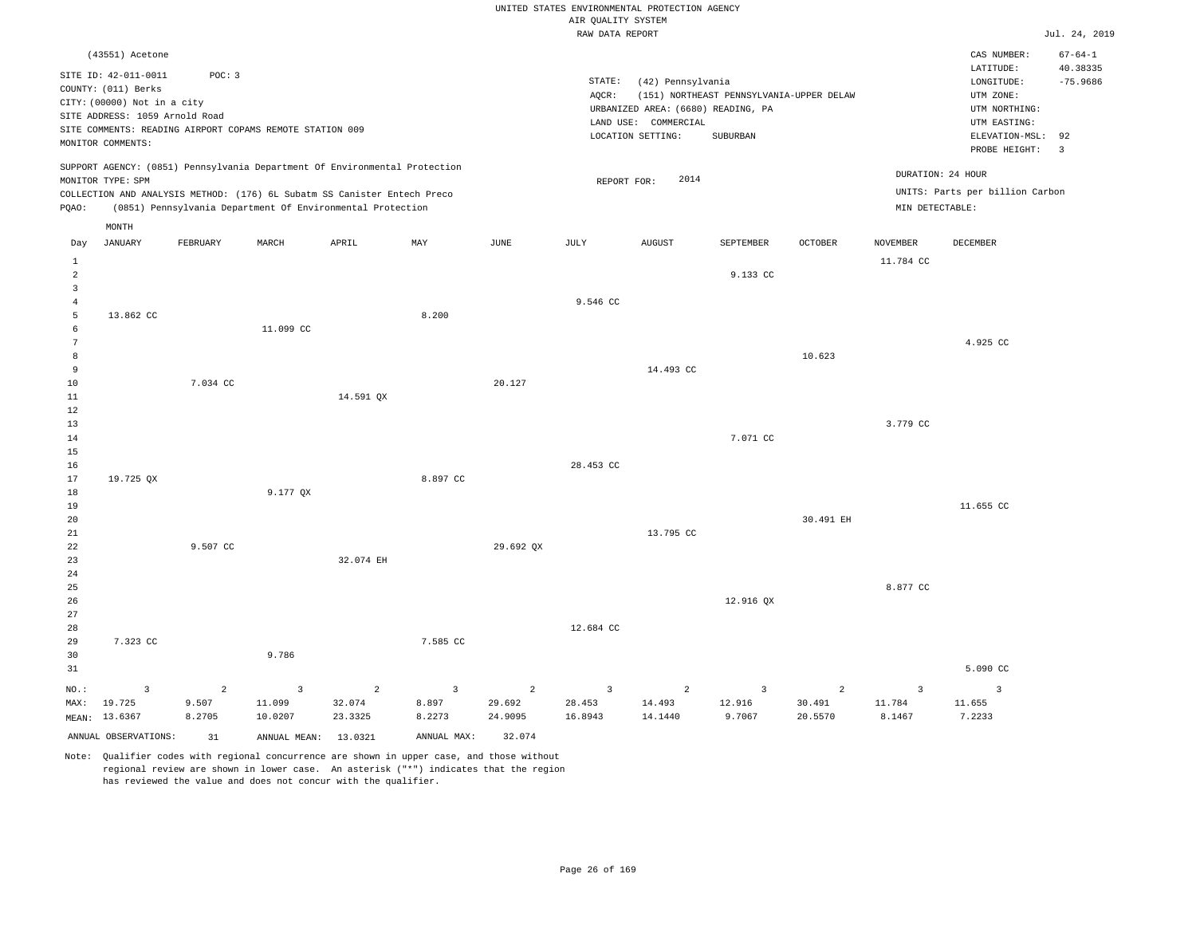|                         |                                                               |                |                                                                            |                |                |                | UNITED STATES ENVIRONMENTAL PROTECTION AGENCY |                                                            |                                          |                |                   |                                      |                        |
|-------------------------|---------------------------------------------------------------|----------------|----------------------------------------------------------------------------|----------------|----------------|----------------|-----------------------------------------------|------------------------------------------------------------|------------------------------------------|----------------|-------------------|--------------------------------------|------------------------|
|                         |                                                               |                |                                                                            |                |                |                | AIR QUALITY SYSTEM                            |                                                            |                                          |                |                   |                                      |                        |
|                         |                                                               |                |                                                                            |                |                |                | RAW DATA REPORT                               |                                                            |                                          |                |                   |                                      | Jul. 24, 2019          |
|                         | (43551) Acetone                                               |                |                                                                            |                |                |                |                                               |                                                            |                                          |                |                   | CAS NUMBER:                          | $67 - 64 - 1$          |
|                         | SITE ID: 42-011-0011<br>COUNTY: (011) Berks                   | POC: 3         |                                                                            |                |                |                | STATE:<br>AQCR:                               | (42) Pennsylvania                                          | (151) NORTHEAST PENNSYLVANIA-UPPER DELAW |                |                   | LATITUDE:<br>LONGITUDE:<br>UTM ZONE: | 40.38335<br>$-75.9686$ |
|                         | CITY: (00000) Not in a city<br>SITE ADDRESS: 1059 Arnold Road |                |                                                                            |                |                |                |                                               | URBANIZED AREA: (6680) READING, PA<br>LAND USE: COMMERCIAL |                                          |                |                   | UTM NORTHING:<br>UTM EASTING:        |                        |
|                         |                                                               |                | SITE COMMENTS: READING AIRPORT COPAMS REMOTE STATION 009                   |                |                |                |                                               | LOCATION SETTING:                                          | SUBURBAN                                 |                |                   | ELEVATION-MSL: 92                    |                        |
|                         | MONITOR COMMENTS:                                             |                |                                                                            |                |                |                |                                               |                                                            |                                          |                |                   | PROBE HEIGHT:                        | $\overline{3}$         |
|                         | MONITOR TYPE: SPM                                             |                | SUPPORT AGENCY: (0851) Pennsylvania Department Of Environmental Protection |                |                |                | REPORT FOR:                                   | 2014                                                       |                                          |                | DURATION: 24 HOUR |                                      |                        |
|                         |                                                               |                | COLLECTION AND ANALYSIS METHOD: (176) 6L Subatm SS Canister Entech Preco   |                |                |                |                                               |                                                            |                                          |                |                   | UNITS: Parts per billion Carbon      |                        |
| PQAO:                   |                                                               |                | (0851) Pennsylvania Department Of Environmental Protection                 |                |                |                |                                               |                                                            |                                          |                | MIN DETECTABLE:   |                                      |                        |
|                         | MONTH                                                         |                |                                                                            |                |                |                |                                               |                                                            |                                          |                |                   |                                      |                        |
| Day                     | <b>JANUARY</b>                                                | FEBRUARY       | MARCH                                                                      | APRIL          | MAY            | <b>JUNE</b>    | JULY                                          | <b>AUGUST</b>                                              | SEPTEMBER                                | OCTOBER        | <b>NOVEMBER</b>   | DECEMBER                             |                        |
| $\mathbf{1}$            |                                                               |                |                                                                            |                |                |                |                                               |                                                            |                                          |                | 11.784 CC         |                                      |                        |
| $\overline{a}$          |                                                               |                |                                                                            |                |                |                |                                               |                                                            | 9.133 CC                                 |                |                   |                                      |                        |
| $\overline{\mathbf{3}}$ |                                                               |                |                                                                            |                |                |                |                                               |                                                            |                                          |                |                   |                                      |                        |
| $\overline{4}$          |                                                               |                |                                                                            |                |                |                | 9.546 CC                                      |                                                            |                                          |                |                   |                                      |                        |
| 5                       | 13.862 CC                                                     |                |                                                                            |                | 8.200          |                |                                               |                                                            |                                          |                |                   |                                      |                        |
| $\epsilon$              |                                                               |                | 11.099 CC                                                                  |                |                |                |                                               |                                                            |                                          |                |                   |                                      |                        |
| $7\phantom{.0}$         |                                                               |                |                                                                            |                |                |                |                                               |                                                            |                                          |                |                   | 4.925 CC                             |                        |
| 8<br>9                  |                                                               |                |                                                                            |                |                |                |                                               | 14.493 CC                                                  |                                          | 10.623         |                   |                                      |                        |
| 10                      |                                                               | 7.034 CC       |                                                                            |                |                | 20.127         |                                               |                                                            |                                          |                |                   |                                      |                        |
| 11                      |                                                               |                |                                                                            | 14.591 QX      |                |                |                                               |                                                            |                                          |                |                   |                                      |                        |
| 12                      |                                                               |                |                                                                            |                |                |                |                                               |                                                            |                                          |                |                   |                                      |                        |
| 13                      |                                                               |                |                                                                            |                |                |                |                                               |                                                            |                                          |                | 3.779 CC          |                                      |                        |
| 14                      |                                                               |                |                                                                            |                |                |                |                                               |                                                            | 7.071 CC                                 |                |                   |                                      |                        |
| 15                      |                                                               |                |                                                                            |                |                |                |                                               |                                                            |                                          |                |                   |                                      |                        |
| 16                      |                                                               |                |                                                                            |                |                |                | 28.453 CC                                     |                                                            |                                          |                |                   |                                      |                        |
| 17                      | 19.725 QX                                                     |                |                                                                            |                | 8.897 CC       |                |                                               |                                                            |                                          |                |                   |                                      |                        |
| 18                      |                                                               |                | 9.177 QX                                                                   |                |                |                |                                               |                                                            |                                          |                |                   |                                      |                        |
| 19                      |                                                               |                |                                                                            |                |                |                |                                               |                                                            |                                          |                |                   | 11.655 CC                            |                        |
| 20                      |                                                               |                |                                                                            |                |                |                |                                               | 13.795 CC                                                  |                                          | 30.491 EH      |                   |                                      |                        |
| 21<br>22                |                                                               | 9.507 CC       |                                                                            |                |                | 29.692 QX      |                                               |                                                            |                                          |                |                   |                                      |                        |
| 23                      |                                                               |                |                                                                            | 32.074 EH      |                |                |                                               |                                                            |                                          |                |                   |                                      |                        |
| 24                      |                                                               |                |                                                                            |                |                |                |                                               |                                                            |                                          |                |                   |                                      |                        |
| 25                      |                                                               |                |                                                                            |                |                |                |                                               |                                                            |                                          |                | 8.877 CC          |                                      |                        |
| 26                      |                                                               |                |                                                                            |                |                |                |                                               |                                                            | 12.916 QX                                |                |                   |                                      |                        |
| 27                      |                                                               |                |                                                                            |                |                |                |                                               |                                                            |                                          |                |                   |                                      |                        |
| 28                      |                                                               |                |                                                                            |                |                |                | 12.684 CC                                     |                                                            |                                          |                |                   |                                      |                        |
| 29                      | 7.323 CC                                                      |                |                                                                            |                | 7.585 CC       |                |                                               |                                                            |                                          |                |                   |                                      |                        |
| 30                      |                                                               |                | 9.786                                                                      |                |                |                |                                               |                                                            |                                          |                |                   |                                      |                        |
| 31                      |                                                               |                |                                                                            |                |                |                |                                               |                                                            |                                          |                |                   | 5.090 CC                             |                        |
| NO.:                    | $\overline{\mathbf{3}}$                                       | $\overline{a}$ | $\overline{3}$                                                             | $\overline{a}$ | $\overline{3}$ | $\overline{a}$ | $\overline{3}$                                | $\overline{a}$                                             | $\overline{\mathbf{3}}$                  | $\overline{a}$ | 3                 | $\overline{3}$                       |                        |
| MAX:                    | 19.725                                                        | 9.507          | 11.099                                                                     | 32.074         | 8.897          | 29.692         | 28.453                                        | 14.493                                                     | 12.916                                   | 30.491         | 11.784            | 11.655                               |                        |
|                         | MEAN: 13.6367                                                 | 8.2705         | 10.0207                                                                    | 23.3325        | 8.2273         | 24.9095        | 16.8943                                       | 14.1440                                                    | 9.7067                                   | 20.5570        | 8.1467            | 7.2233                               |                        |
|                         | ANNUAL OBSERVATIONS:                                          | 31             | ANNUAL MEAN: 13.0321                                                       |                | ANNUAL MAX:    | 32.074         |                                               |                                                            |                                          |                |                   |                                      |                        |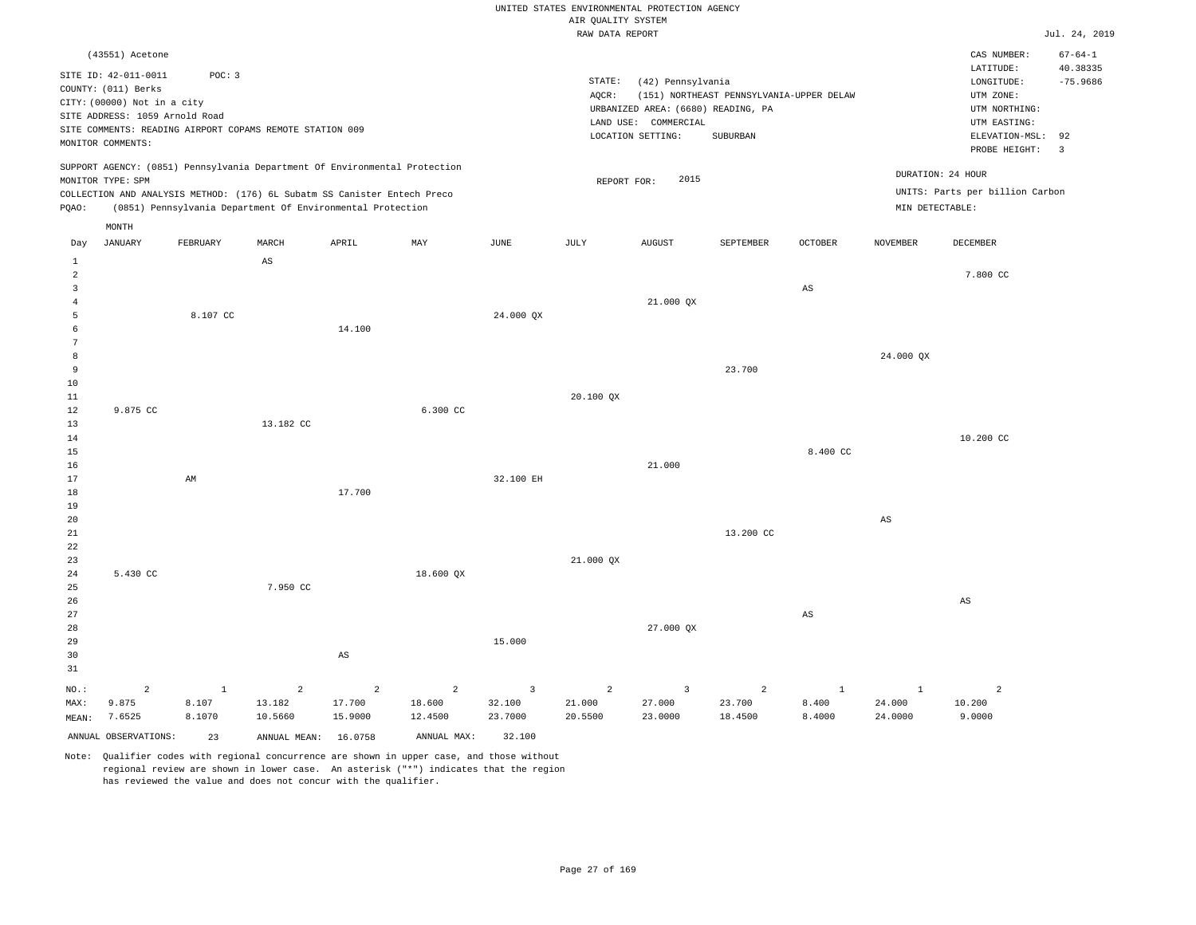|                                                                           |                                                                                                                                                      |                                 |                                                                                                                                                                                                                      |                        |                        |                                     | UNITED STATES ENVIRONMENTAL PROTECTION AGENCY |                                                                                                      |                                                      |                                 |                                      |                                                                                                                         |                                                                          |
|---------------------------------------------------------------------------|------------------------------------------------------------------------------------------------------------------------------------------------------|---------------------------------|----------------------------------------------------------------------------------------------------------------------------------------------------------------------------------------------------------------------|------------------------|------------------------|-------------------------------------|-----------------------------------------------|------------------------------------------------------------------------------------------------------|------------------------------------------------------|---------------------------------|--------------------------------------|-------------------------------------------------------------------------------------------------------------------------|--------------------------------------------------------------------------|
|                                                                           |                                                                                                                                                      |                                 |                                                                                                                                                                                                                      |                        |                        |                                     | AIR QUALITY SYSTEM                            |                                                                                                      |                                                      |                                 |                                      |                                                                                                                         |                                                                          |
|                                                                           |                                                                                                                                                      |                                 |                                                                                                                                                                                                                      |                        |                        |                                     | RAW DATA REPORT                               |                                                                                                      |                                                      |                                 |                                      |                                                                                                                         | Jul. 24, 2019                                                            |
|                                                                           | (43551) Acetone<br>SITE ID: 42-011-0011<br>COUNTY: (011) Berks<br>CITY: (00000) Not in a city<br>SITE ADDRESS: 1059 Arnold Road<br>MONITOR COMMENTS: | POC: 3                          | SITE COMMENTS: READING AIRPORT COPAMS REMOTE STATION 009                                                                                                                                                             |                        |                        |                                     | STATE:<br>AOCR:                               | (42) Pennsylvania<br>URBANIZED AREA: (6680) READING, PA<br>LAND USE: COMMERCIAL<br>LOCATION SETTING: | (151) NORTHEAST PENNSYLVANIA-UPPER DELAW<br>SUBURBAN |                                 |                                      | CAS NUMBER:<br>LATITUDE:<br>LONGITUDE:<br>UTM ZONE:<br>UTM NORTHING:<br>UTM EASTING:<br>ELEVATION-MSL:<br>PROBE HEIGHT: | $67 - 64 - 1$<br>40.38335<br>$-75.9686$<br>92<br>$\overline{\mathbf{3}}$ |
| PQAO:                                                                     | MONITOR TYPE: SPM                                                                                                                                    |                                 | SUPPORT AGENCY: (0851) Pennsylvania Department Of Environmental Protection<br>COLLECTION AND ANALYSIS METHOD: (176) 6L Subatm SS Canister Entech Preco<br>(0851) Pennsylvania Department Of Environmental Protection |                        |                        |                                     | REPORT FOR:                                   | 2015                                                                                                 |                                                      |                                 | DURATION: 24 HOUR<br>MIN DETECTABLE: | UNITS: Parts per billion Carbon                                                                                         |                                                                          |
|                                                                           | MONTH<br><b>JANUARY</b>                                                                                                                              | FEBRUARY                        | MARCH                                                                                                                                                                                                                | APRIL                  | MAY                    | JUNE                                | JULY                                          | <b>AUGUST</b>                                                                                        | SEPTEMBER                                            | OCTOBER                         | NOVEMBER                             | DECEMBER                                                                                                                |                                                                          |
| Day<br>1                                                                  |                                                                                                                                                      |                                 | AS                                                                                                                                                                                                                   |                        |                        |                                     |                                               |                                                                                                      |                                                      |                                 |                                      |                                                                                                                         |                                                                          |
| $\overline{a}$<br>$\overline{3}$<br>$\overline{4}$<br>$\overline{5}$<br>6 |                                                                                                                                                      | 8.107 CC                        |                                                                                                                                                                                                                      |                        |                        | 24.000 QX                           |                                               | 21.000 QX                                                                                            |                                                      | AS                              |                                      | 7.800 CC                                                                                                                |                                                                          |
| $\overline{7}$<br>8<br>9<br>$10$<br>11                                    |                                                                                                                                                      |                                 |                                                                                                                                                                                                                      | 14.100                 |                        |                                     | 20.100 QX                                     |                                                                                                      | 23.700                                               |                                 | 24.000 QX                            |                                                                                                                         |                                                                          |
| $1\,2$<br>13<br>14<br>$15$<br>16                                          | 9.875 CC                                                                                                                                             |                                 | 13.182 CC                                                                                                                                                                                                            |                        | 6.300 CC               |                                     |                                               | 21.000                                                                                               |                                                      | 8.400 CC                        |                                      | 10.200 CC                                                                                                               |                                                                          |
| 17<br>18<br>19<br>20<br>21<br>22                                          |                                                                                                                                                      | AM                              |                                                                                                                                                                                                                      | 17.700                 |                        | 32.100 EH                           |                                               |                                                                                                      | 13.200 CC                                            |                                 | $_{\rm AS}$                          |                                                                                                                         |                                                                          |
| 23<br>$2\sqrt{4}$<br>25<br>26<br>27                                       | 5.430 CC                                                                                                                                             |                                 | 7.950 CC                                                                                                                                                                                                             |                        | 18.600 QX              |                                     | 21.000 QX                                     |                                                                                                      |                                                      | $\mathbb{A}\mathbb{S}$          |                                      | $\mathbb{A}\mathbb{S}$                                                                                                  |                                                                          |
| 28<br>29<br>30<br>31                                                      |                                                                                                                                                      |                                 |                                                                                                                                                                                                                      | AS                     |                        | 15.000                              |                                               | 27.000 QX                                                                                            |                                                      |                                 |                                      |                                                                                                                         |                                                                          |
| NO.:<br>MAX:<br>MEAN:                                                     | 2<br>9.875<br>7.6525                                                                                                                                 | $\mathbf{1}$<br>8.107<br>8.1070 | $\overline{2}$<br>13.182<br>10.5660                                                                                                                                                                                  | 2<br>17.700<br>15.9000 | 2<br>18.600<br>12.4500 | $\overline{3}$<br>32.100<br>23.7000 | 2<br>21.000<br>20.5500                        | $\overline{3}$<br>27.000<br>23.0000                                                                  | $\overline{2}$<br>23.700<br>18.4500                  | $\mathbf{1}$<br>8.400<br>8.4000 | $\mathbf{1}$<br>24.000<br>24.0000    | $\overline{2}$<br>10.200<br>9.0000                                                                                      |                                                                          |
|                                                                           | ANNUAL OBSERVATIONS:                                                                                                                                 | 23                              | ANNUAL MEAN: 16.0758                                                                                                                                                                                                 |                        | ANNUAL MAX:            | 32.100                              |                                               |                                                                                                      |                                                      |                                 |                                      |                                                                                                                         |                                                                          |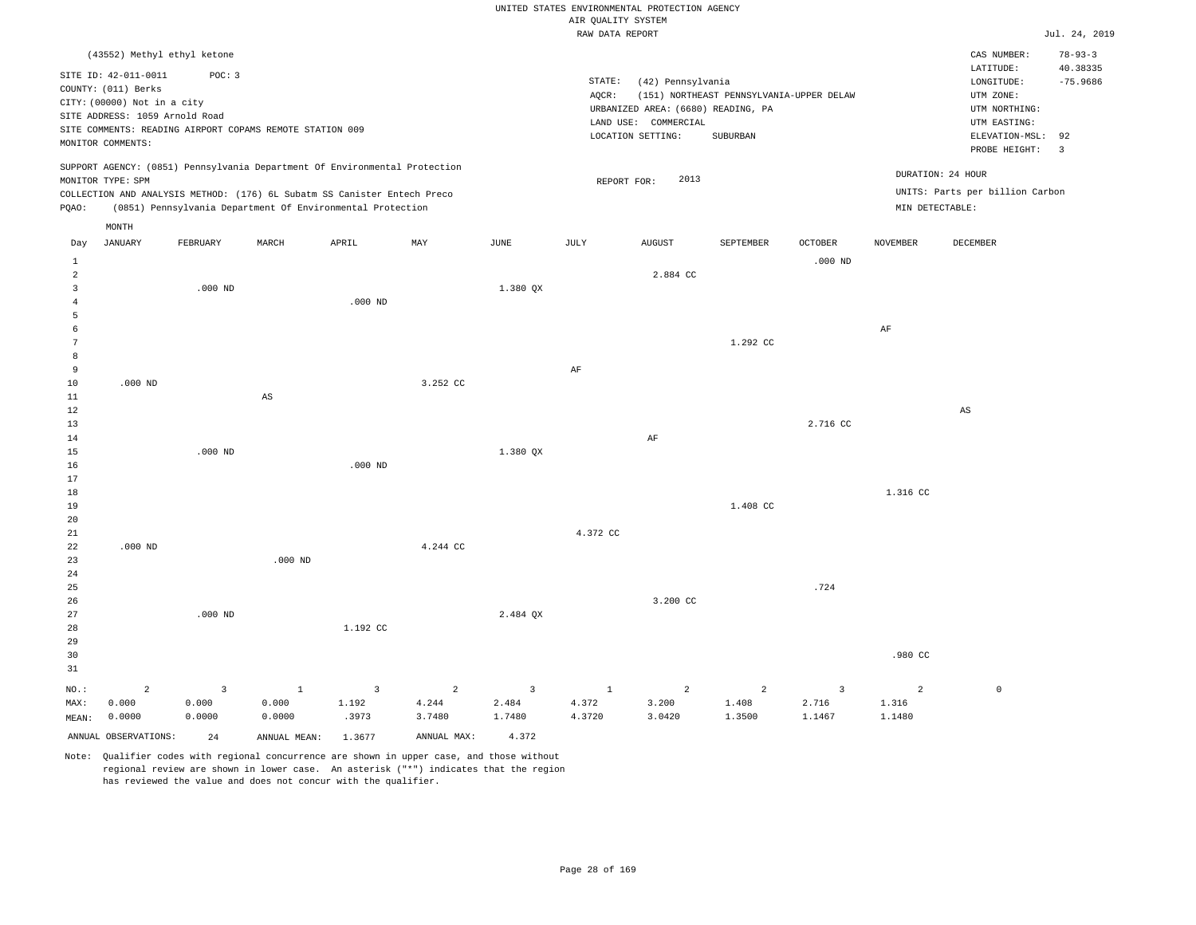|                                       |                                                                                                                                   |                                   |                                                                                                                                        |                                  |                                   |                      | UNITED STATES ENVIRONMENTAL PROTECTION AGENCY<br>AIR QUALITY SYSTEM |                                                                                                      |                                                      |                                   |                      |                                                                                                          |                                                |
|---------------------------------------|-----------------------------------------------------------------------------------------------------------------------------------|-----------------------------------|----------------------------------------------------------------------------------------------------------------------------------------|----------------------------------|-----------------------------------|----------------------|---------------------------------------------------------------------|------------------------------------------------------------------------------------------------------|------------------------------------------------------|-----------------------------------|----------------------|----------------------------------------------------------------------------------------------------------|------------------------------------------------|
|                                       |                                                                                                                                   |                                   |                                                                                                                                        |                                  |                                   |                      | RAW DATA REPORT                                                     |                                                                                                      |                                                      |                                   |                      |                                                                                                          | Jul. 24, 2019                                  |
|                                       | (43552) Methyl ethyl ketone                                                                                                       |                                   |                                                                                                                                        |                                  |                                   |                      |                                                                     |                                                                                                      |                                                      |                                   |                      | CAS NUMBER:                                                                                              | $78 - 93 - 3$                                  |
|                                       | SITE ID: 42-011-0011<br>COUNTY: (011) Berks<br>CITY: (00000) Not in a city<br>SITE ADDRESS: 1059 Arnold Road<br>MONITOR COMMENTS: | POC: 3                            | SITE COMMENTS: READING AIRPORT COPAMS REMOTE STATION 009                                                                               |                                  |                                   |                      | STATE:<br>AQCR:                                                     | (42) Pennsylvania<br>URBANIZED AREA: (6680) READING, PA<br>LAND USE: COMMERCIAL<br>LOCATION SETTING: | (151) NORTHEAST PENNSYLVANIA-UPPER DELAW<br>SUBURBAN |                                   |                      | LATITUDE:<br>LONGITUDE:<br>UTM ZONE:<br>UTM NORTHING:<br>UTM EASTING:<br>ELEVATION-MSL:<br>PROBE HEIGHT: | 40.38335<br>$-75.9686$<br>92<br>$\overline{3}$ |
|                                       | MONITOR TYPE: SPM                                                                                                                 |                                   | SUPPORT AGENCY: (0851) Pennsylvania Department Of Environmental Protection                                                             |                                  |                                   |                      | REPORT FOR:                                                         | 2013                                                                                                 |                                                      |                                   | DURATION: 24 HOUR    |                                                                                                          |                                                |
| PQAO:                                 |                                                                                                                                   |                                   | COLLECTION AND ANALYSIS METHOD: (176) 6L Subatm SS Canister Entech Preco<br>(0851) Pennsylvania Department Of Environmental Protection |                                  |                                   |                      |                                                                     |                                                                                                      |                                                      |                                   | MIN DETECTABLE:      | UNITS: Parts per billion Carbon                                                                          |                                                |
|                                       |                                                                                                                                   |                                   |                                                                                                                                        |                                  |                                   |                      |                                                                     |                                                                                                      |                                                      |                                   |                      |                                                                                                          |                                                |
| Day                                   | MONTH<br><b>JANUARY</b>                                                                                                           | FEBRUARY                          | MARCH                                                                                                                                  | APRIL                            | MAY                               | <b>JUNE</b>          | JULY                                                                | <b>AUGUST</b>                                                                                        | SEPTEMBER                                            | <b>OCTOBER</b>                    | <b>NOVEMBER</b>      | DECEMBER                                                                                                 |                                                |
| $\mathbf{1}$<br>$\sqrt{2}$            |                                                                                                                                   |                                   |                                                                                                                                        |                                  |                                   |                      |                                                                     | 2.884 CC                                                                                             |                                                      | $.000$ ND                         |                      |                                                                                                          |                                                |
| $\overline{3}$<br>$\overline{4}$<br>5 |                                                                                                                                   | $.000$ ND                         |                                                                                                                                        | $.000$ ND                        |                                   | 1.380 QX             |                                                                     |                                                                                                      |                                                      |                                   |                      |                                                                                                          |                                                |
| $\epsilon$<br>$7\phantom{.0}$         |                                                                                                                                   |                                   |                                                                                                                                        |                                  |                                   |                      |                                                                     |                                                                                                      | 1.292 CC                                             |                                   | $\rm AF$             |                                                                                                          |                                                |
| 8<br>9<br>10                          | $.000$ ND                                                                                                                         |                                   |                                                                                                                                        |                                  | 3.252 CC                          |                      | $\rm AF$                                                            |                                                                                                      |                                                      |                                   |                      |                                                                                                          |                                                |
| 11<br>12                              |                                                                                                                                   |                                   | $\mathbb{A}\mathbb{S}$                                                                                                                 |                                  |                                   |                      |                                                                     |                                                                                                      |                                                      |                                   |                      | AS                                                                                                       |                                                |
| 13<br>14                              |                                                                                                                                   |                                   |                                                                                                                                        |                                  |                                   |                      |                                                                     | AF                                                                                                   |                                                      | 2.716 CC                          |                      |                                                                                                          |                                                |
| 15<br>16<br>17                        |                                                                                                                                   | $.000$ ND                         |                                                                                                                                        | $.000$ ND                        |                                   | 1.380 QX             |                                                                     |                                                                                                      |                                                      |                                   |                      |                                                                                                          |                                                |
| 18<br>19                              |                                                                                                                                   |                                   |                                                                                                                                        |                                  |                                   |                      |                                                                     |                                                                                                      | 1.408 CC                                             |                                   | 1.316 CC             |                                                                                                          |                                                |
| 20<br>21<br>22                        | $.000$ ND                                                                                                                         |                                   |                                                                                                                                        |                                  | 4.244 CC                          |                      | 4.372 CC                                                            |                                                                                                      |                                                      |                                   |                      |                                                                                                          |                                                |
| 23<br>24                              |                                                                                                                                   |                                   | $.000$ ND                                                                                                                              |                                  |                                   |                      |                                                                     |                                                                                                      |                                                      |                                   |                      |                                                                                                          |                                                |
| 25<br>26<br>27                        |                                                                                                                                   | $.000$ ND                         |                                                                                                                                        |                                  |                                   | 2.484 OX             |                                                                     | 3.200 CC                                                                                             |                                                      | .724                              |                      |                                                                                                          |                                                |
| 28<br>29                              |                                                                                                                                   |                                   |                                                                                                                                        | 1.192 CC                         |                                   |                      |                                                                     |                                                                                                      |                                                      |                                   |                      |                                                                                                          |                                                |
| 30<br>31                              |                                                                                                                                   |                                   |                                                                                                                                        |                                  |                                   |                      |                                                                     |                                                                                                      |                                                      |                                   | .980 CC              |                                                                                                          |                                                |
| NO.:<br>MAX:<br>MEAN:                 | $\overline{2}$<br>0.000<br>0.0000                                                                                                 | $\overline{3}$<br>0.000<br>0.0000 | $\mathbf{1}$<br>0.000<br>0.0000                                                                                                        | $\overline{3}$<br>1.192<br>.3973 | $\overline{2}$<br>4.244<br>3.7480 | 3<br>2.484<br>1.7480 | $\mathbf{1}$<br>4.372<br>4.3720                                     | $\overline{a}$<br>3.200<br>3.0420                                                                    | $\overline{2}$<br>1.408<br>1.3500                    | $\overline{3}$<br>2.716<br>1.1467 | 2<br>1.316<br>1.1480 | $\mathbb O$                                                                                              |                                                |
|                                       | ANNUAL OBSERVATIONS:                                                                                                              | 24                                | ANNUAL MEAN:                                                                                                                           | 1.3677                           | ANNUAL MAX:                       | 4.372                |                                                                     |                                                                                                      |                                                      |                                   |                      |                                                                                                          |                                                |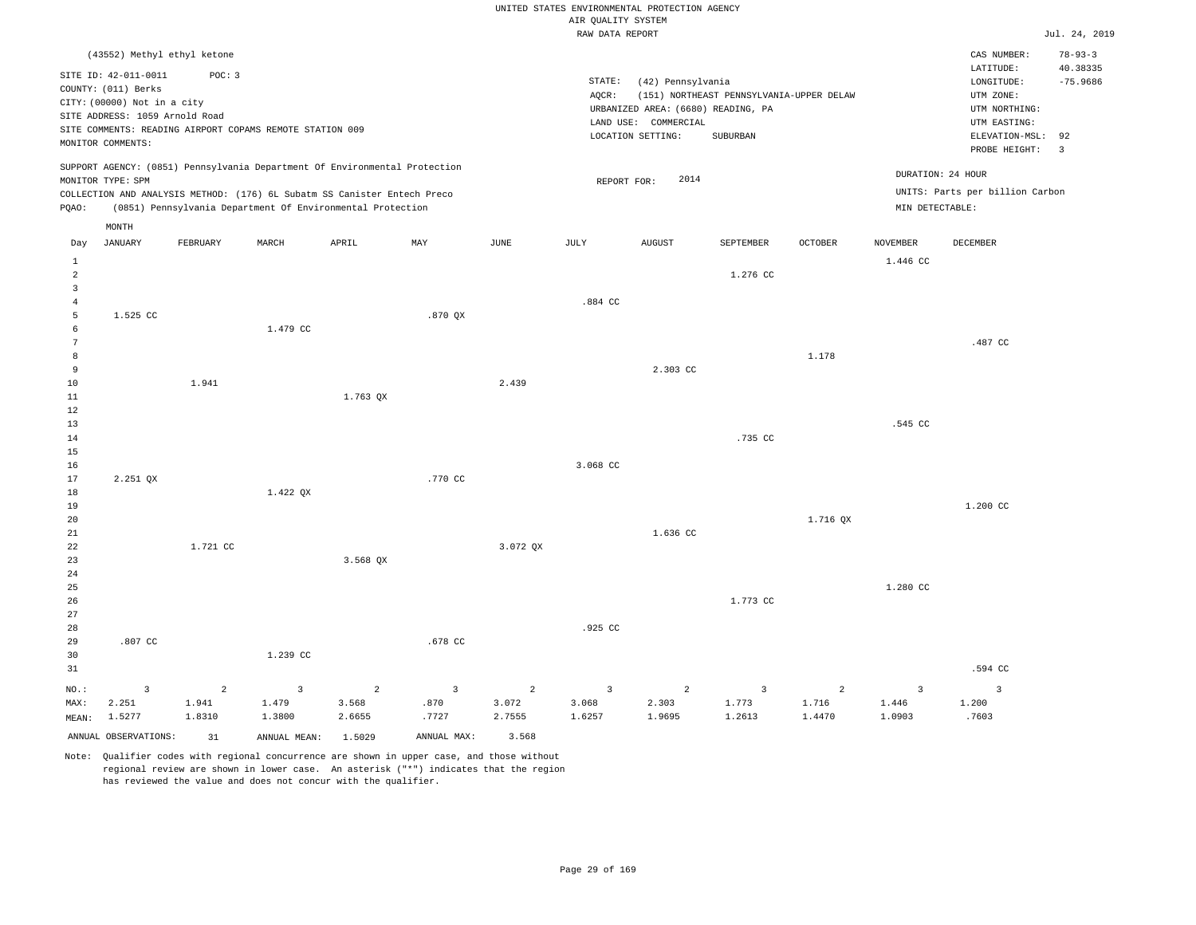|                                |                                                                                                                                   |                |                                                                            |            |             |                | AIR QUALITY SYSTEM | UNITED STATES ENVIRONMENTAL PROTECTION AGENCY                                                        |                                                      |                |                   |                                                                                             |                                    |
|--------------------------------|-----------------------------------------------------------------------------------------------------------------------------------|----------------|----------------------------------------------------------------------------|------------|-------------|----------------|--------------------|------------------------------------------------------------------------------------------------------|------------------------------------------------------|----------------|-------------------|---------------------------------------------------------------------------------------------|------------------------------------|
|                                |                                                                                                                                   |                |                                                                            |            |             |                | RAW DATA REPORT    |                                                                                                      |                                                      |                |                   |                                                                                             | Jul. 24, 2019                      |
|                                | (43552) Methyl ethyl ketone                                                                                                       |                |                                                                            |            |             |                |                    |                                                                                                      |                                                      |                |                   | CAS NUMBER:<br>LATITUDE:                                                                    | $78 - 93 - 3$<br>40.38335          |
|                                | SITE ID: 42-011-0011<br>COUNTY: (011) Berks<br>CITY: (00000) Not in a city<br>SITE ADDRESS: 1059 Arnold Road<br>MONITOR COMMENTS: | POC: 3         | SITE COMMENTS: READING AIRPORT COPAMS REMOTE STATION 009                   |            |             |                | STATE:<br>AQCR:    | (42) Pennsylvania<br>URBANIZED AREA: (6680) READING, PA<br>LAND USE: COMMERCIAL<br>LOCATION SETTING: | (151) NORTHEAST PENNSYLVANIA-UPPER DELAW<br>SUBURBAN |                |                   | LONGITUDE:<br>UTM ZONE:<br>UTM NORTHING:<br>UTM EASTING:<br>ELEVATION-MSL:<br>PROBE HEIGHT: | $-75.9686$<br>92<br>$\overline{3}$ |
|                                | MONITOR TYPE: SPM                                                                                                                 |                | SUPPORT AGENCY: (0851) Pennsylvania Department Of Environmental Protection |            |             |                | REPORT FOR:        | 2014                                                                                                 |                                                      |                | DURATION: 24 HOUR |                                                                                             |                                    |
|                                |                                                                                                                                   |                | COLLECTION AND ANALYSIS METHOD: (176) 6L Subatm SS Canister Entech Preco   |            |             |                |                    |                                                                                                      |                                                      |                |                   | UNITS: Parts per billion Carbon                                                             |                                    |
| PQAO:                          |                                                                                                                                   |                | (0851) Pennsylvania Department Of Environmental Protection                 |            |             |                |                    |                                                                                                      |                                                      |                | MIN DETECTABLE:   |                                                                                             |                                    |
|                                | MONTH                                                                                                                             |                |                                                                            |            |             |                |                    |                                                                                                      |                                                      |                |                   |                                                                                             |                                    |
| Day                            | <b>JANUARY</b>                                                                                                                    | FEBRUARY       | MARCH                                                                      | APRIL      | MAY         | $_{\rm JUNE}$  | <b>JULY</b>        | <b>AUGUST</b>                                                                                        | SEPTEMBER                                            | <b>OCTOBER</b> | <b>NOVEMBER</b>   | DECEMBER                                                                                    |                                    |
| $\mathbf{1}$                   |                                                                                                                                   |                |                                                                            |            |             |                |                    |                                                                                                      |                                                      |                | 1.446 CC          |                                                                                             |                                    |
| $\overline{a}$                 |                                                                                                                                   |                |                                                                            |            |             |                |                    |                                                                                                      | 1.276 CC                                             |                |                   |                                                                                             |                                    |
| $\mathbf{3}$<br>$\overline{4}$ |                                                                                                                                   |                |                                                                            |            |             |                | .884 CC            |                                                                                                      |                                                      |                |                   |                                                                                             |                                    |
| 5                              | 1.525 CC                                                                                                                          |                |                                                                            |            | $.870$ QX   |                |                    |                                                                                                      |                                                      |                |                   |                                                                                             |                                    |
| 6                              |                                                                                                                                   |                | 1.479 CC                                                                   |            |             |                |                    |                                                                                                      |                                                      |                |                   |                                                                                             |                                    |
| $7\phantom{.0}$                |                                                                                                                                   |                |                                                                            |            |             |                |                    |                                                                                                      |                                                      |                |                   | .487 CC                                                                                     |                                    |
| 8                              |                                                                                                                                   |                |                                                                            |            |             |                |                    |                                                                                                      |                                                      | 1.178          |                   |                                                                                             |                                    |
| 9                              |                                                                                                                                   |                |                                                                            |            |             |                |                    | 2.303 CC                                                                                             |                                                      |                |                   |                                                                                             |                                    |
| 10                             |                                                                                                                                   | 1.941          |                                                                            |            |             | 2.439          |                    |                                                                                                      |                                                      |                |                   |                                                                                             |                                    |
| 11<br>12                       |                                                                                                                                   |                |                                                                            | 1.763 QX   |             |                |                    |                                                                                                      |                                                      |                |                   |                                                                                             |                                    |
| 13                             |                                                                                                                                   |                |                                                                            |            |             |                |                    |                                                                                                      |                                                      |                | .545 CC           |                                                                                             |                                    |
| 14                             |                                                                                                                                   |                |                                                                            |            |             |                |                    |                                                                                                      | .735 CC                                              |                |                   |                                                                                             |                                    |
| 15                             |                                                                                                                                   |                |                                                                            |            |             |                |                    |                                                                                                      |                                                      |                |                   |                                                                                             |                                    |
| 16                             |                                                                                                                                   |                |                                                                            |            |             |                | 3.068 CC           |                                                                                                      |                                                      |                |                   |                                                                                             |                                    |
| 17                             | 2.251 QX                                                                                                                          |                |                                                                            |            | .770 CC     |                |                    |                                                                                                      |                                                      |                |                   |                                                                                             |                                    |
| 18                             |                                                                                                                                   |                | 1.422 QX                                                                   |            |             |                |                    |                                                                                                      |                                                      |                |                   |                                                                                             |                                    |
| 19<br>20                       |                                                                                                                                   |                |                                                                            |            |             |                |                    |                                                                                                      |                                                      | 1.716 OX       |                   | 1.200 CC                                                                                    |                                    |
| 21                             |                                                                                                                                   |                |                                                                            |            |             |                |                    | 1.636 CC                                                                                             |                                                      |                |                   |                                                                                             |                                    |
| 22                             |                                                                                                                                   | 1.721 CC       |                                                                            |            |             | 3.072 OX       |                    |                                                                                                      |                                                      |                |                   |                                                                                             |                                    |
| 23                             |                                                                                                                                   |                |                                                                            | $3.568$ QX |             |                |                    |                                                                                                      |                                                      |                |                   |                                                                                             |                                    |
| 24                             |                                                                                                                                   |                |                                                                            |            |             |                |                    |                                                                                                      |                                                      |                |                   |                                                                                             |                                    |
| 25                             |                                                                                                                                   |                |                                                                            |            |             |                |                    |                                                                                                      |                                                      |                | 1.280 CC          |                                                                                             |                                    |
| 26                             |                                                                                                                                   |                |                                                                            |            |             |                |                    |                                                                                                      | 1,773 CC                                             |                |                   |                                                                                             |                                    |
| 27                             |                                                                                                                                   |                |                                                                            |            |             |                |                    |                                                                                                      |                                                      |                |                   |                                                                                             |                                    |
| 28<br>29                       | .807 CC                                                                                                                           |                |                                                                            |            | .678 CC     |                | .925 CC            |                                                                                                      |                                                      |                |                   |                                                                                             |                                    |
| 30                             |                                                                                                                                   |                | 1.239 CC                                                                   |            |             |                |                    |                                                                                                      |                                                      |                |                   |                                                                                             |                                    |
| 31                             |                                                                                                                                   |                |                                                                            |            |             |                |                    |                                                                                                      |                                                      |                |                   | .594 CC                                                                                     |                                    |
| NO.:                           | 3                                                                                                                                 | $\overline{a}$ | $\overline{3}$                                                             | 2          | 3           | $\overline{a}$ | $\overline{3}$     | 2                                                                                                    | $\overline{3}$                                       | 2              | $\overline{3}$    | $\overline{3}$                                                                              |                                    |
| MAX:                           | 2.251                                                                                                                             | 1.941          | 1.479                                                                      | 3.568      | .870        | 3.072          | 3.068              | 2.303                                                                                                | 1.773                                                | 1.716          | 1.446             | 1.200                                                                                       |                                    |
| MEAN:                          | 1.5277                                                                                                                            | 1.8310         | 1.3800                                                                     | 2.6655     | .7727       | 2.7555         | 1.6257             | 1.9695                                                                                               | 1.2613                                               | 1.4470         | 1.0903            | .7603                                                                                       |                                    |
|                                | ANNUAL OBSERVATIONS:                                                                                                              | 31             | ANNUAL MEAN:                                                               | 1.5029     | ANNUAL MAX: | 3.568          |                    |                                                                                                      |                                                      |                |                   |                                                                                             |                                    |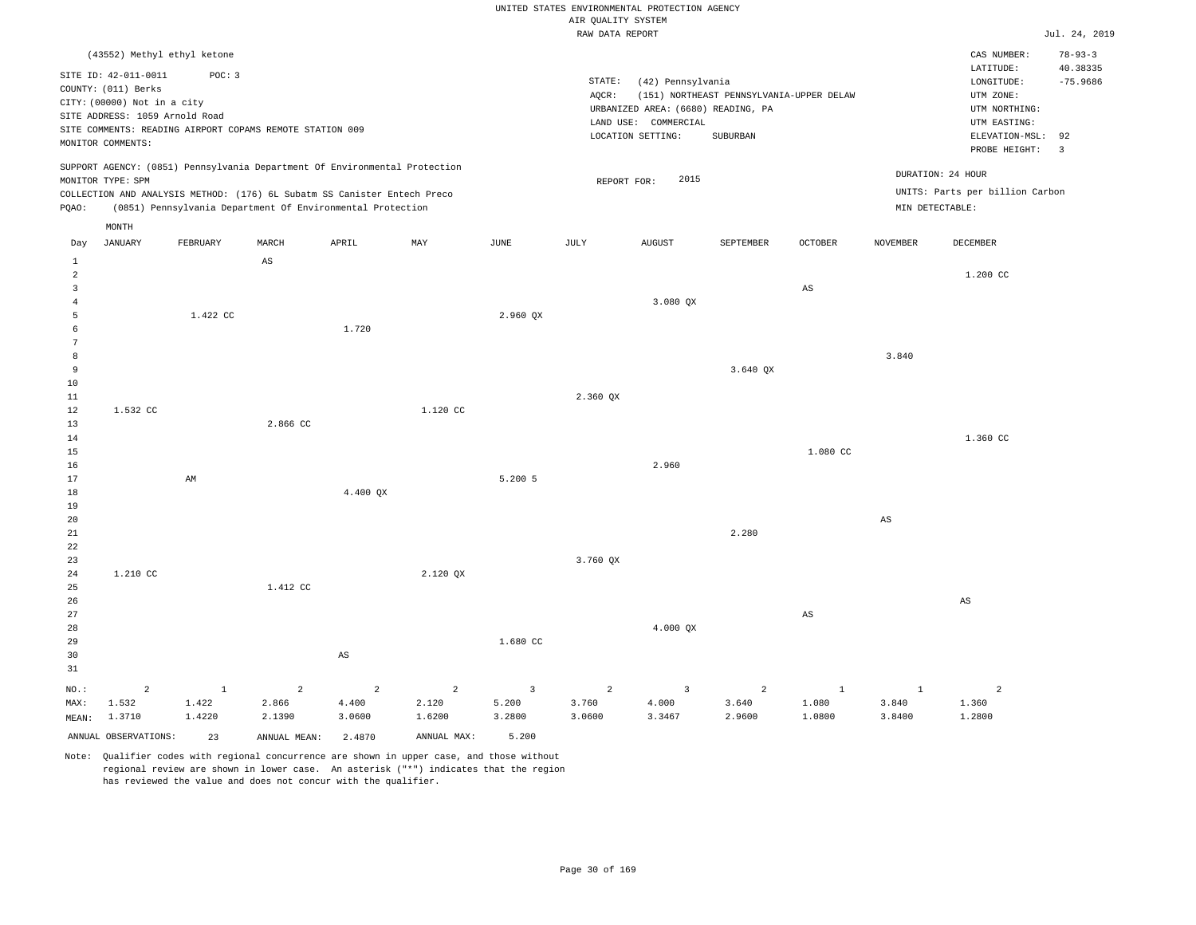|                                                |                                                                                                                                   |                            |                                                                                                                                                                                                                      |                                   |                                   |                                            | UNITED STATES ENVIRONMENTAL PROTECTION AGENCY |                                                                                                      |                                                             |                          |                            |                                                                                                          |                                                |
|------------------------------------------------|-----------------------------------------------------------------------------------------------------------------------------------|----------------------------|----------------------------------------------------------------------------------------------------------------------------------------------------------------------------------------------------------------------|-----------------------------------|-----------------------------------|--------------------------------------------|-----------------------------------------------|------------------------------------------------------------------------------------------------------|-------------------------------------------------------------|--------------------------|----------------------------|----------------------------------------------------------------------------------------------------------|------------------------------------------------|
|                                                |                                                                                                                                   |                            |                                                                                                                                                                                                                      |                                   |                                   |                                            | AIR QUALITY SYSTEM<br>RAW DATA REPORT         |                                                                                                      |                                                             |                          |                            |                                                                                                          | Jul. 24, 2019                                  |
|                                                | (43552) Methyl ethyl ketone                                                                                                       |                            |                                                                                                                                                                                                                      |                                   |                                   |                                            |                                               |                                                                                                      |                                                             |                          |                            | CAS NUMBER:                                                                                              | $78 - 93 - 3$                                  |
|                                                | SITE ID: 42-011-0011<br>COUNTY: (011) Berks<br>CITY: (00000) Not in a city<br>SITE ADDRESS: 1059 Arnold Road<br>MONITOR COMMENTS: | POC: 3                     | SITE COMMENTS: READING AIRPORT COPAMS REMOTE STATION 009                                                                                                                                                             |                                   |                                   |                                            | STATE:<br>AOCR:                               | (42) Pennsylvania<br>URBANIZED AREA: (6680) READING, PA<br>LAND USE: COMMERCIAL<br>LOCATION SETTING: | (151) NORTHEAST PENNSYLVANIA-UPPER DELAW<br><b>SUBURBAN</b> |                          |                            | LATITUDE:<br>LONGITUDE:<br>UTM ZONE:<br>UTM NORTHING:<br>UTM EASTING:<br>ELEVATION-MSL:<br>PROBE HEIGHT: | 40.38335<br>$-75.9686$<br>92<br>$\overline{3}$ |
| $_{\rm PQAO}$ :                                | MONITOR TYPE: SPM                                                                                                                 |                            | SUPPORT AGENCY: (0851) Pennsylvania Department Of Environmental Protection<br>COLLECTION AND ANALYSIS METHOD: (176) 6L Subatm SS Canister Entech Preco<br>(0851) Pennsylvania Department Of Environmental Protection |                                   |                                   |                                            | REPORT FOR:                                   | 2015                                                                                                 |                                                             |                          | MIN DETECTABLE:            | DURATION: 24 HOUR<br>UNITS: Parts per billion Carbon                                                     |                                                |
|                                                | MONTH                                                                                                                             |                            |                                                                                                                                                                                                                      |                                   |                                   |                                            |                                               |                                                                                                      |                                                             |                          |                            |                                                                                                          |                                                |
| Day                                            | <b>JANUARY</b>                                                                                                                    | FEBRUARY                   | MARCH                                                                                                                                                                                                                | APRIL                             | MAX                               | JUNE                                       | $\mathtt{JULY}$                               | <b>AUGUST</b>                                                                                        | SEPTEMBER                                                   | OCTOBER                  | <b>NOVEMBER</b>            | <b>DECEMBER</b>                                                                                          |                                                |
| $\mathbf{1}$<br>$\overline{a}$<br>$\mathbf{R}$ |                                                                                                                                   |                            | $\mathbb{A}\mathbb{S}$                                                                                                                                                                                               |                                   |                                   |                                            |                                               |                                                                                                      |                                                             | $\mathbb{A}\mathbb{S}$   |                            | 1.200 CC                                                                                                 |                                                |
| 4<br>5<br>6<br>7                               |                                                                                                                                   | 1.422 CC                   |                                                                                                                                                                                                                      | 1.720                             |                                   | 2.960 OX                                   |                                               | 3.080 QX                                                                                             |                                                             |                          |                            |                                                                                                          |                                                |
| 8<br>9<br>10                                   |                                                                                                                                   |                            |                                                                                                                                                                                                                      |                                   |                                   |                                            |                                               |                                                                                                      | 3.640 QX                                                    |                          | 3.840                      |                                                                                                          |                                                |
| 11<br>12<br>13                                 | 1.532 CC                                                                                                                          |                            | 2.866 CC                                                                                                                                                                                                             |                                   | 1.120 CC                          |                                            | 2.360 QX                                      |                                                                                                      |                                                             |                          |                            |                                                                                                          |                                                |
| 14<br>15<br>16<br>17                           |                                                                                                                                   | AM                         |                                                                                                                                                                                                                      |                                   |                                   | 5.200 5                                    |                                               | 2.960                                                                                                |                                                             | 1.080 CC                 |                            | 1.360 CC                                                                                                 |                                                |
| 18<br>19<br>20                                 |                                                                                                                                   |                            |                                                                                                                                                                                                                      | 4.400 OX                          |                                   |                                            |                                               |                                                                                                      |                                                             |                          | $_{\rm AS}$                |                                                                                                          |                                                |
| 21<br>22<br>23                                 |                                                                                                                                   |                            |                                                                                                                                                                                                                      |                                   |                                   |                                            | 3.760 QX                                      |                                                                                                      | 2.280                                                       |                          |                            |                                                                                                          |                                                |
| 24<br>25<br>26                                 | 1,210 CC                                                                                                                          |                            | 1.412 CC                                                                                                                                                                                                             |                                   | 2.120 OX                          |                                            |                                               |                                                                                                      |                                                             |                          |                            | $_{\rm AS}$                                                                                              |                                                |
| 27<br>28<br>29<br>30<br>31                     |                                                                                                                                   |                            |                                                                                                                                                                                                                      | $\mathbb{A}\mathbb{S}$            |                                   | 1.680 CC                                   |                                               | 4.000 QX                                                                                             |                                                             | $_{\rm AS}$              |                            |                                                                                                          |                                                |
| NO.:<br>MAX:<br>MEAN:                          | $\overline{a}$<br>1.532<br>1.3710                                                                                                 | $\,1\,$<br>1.422<br>1.4220 | $\overline{a}$<br>2.866<br>2.1390                                                                                                                                                                                    | $\overline{a}$<br>4.400<br>3.0600 | $\overline{a}$<br>2.120<br>1.6200 | $\overline{\mathbf{3}}$<br>5.200<br>3.2800 | $\overline{a}$<br>3.760<br>3.0600             | $\overline{3}$<br>4.000<br>3.3467                                                                    | $\overline{a}$<br>3.640<br>2.9600                           | $1\,$<br>1.080<br>1.0800 | $\,1\,$<br>3.840<br>3.8400 | $\overline{a}$<br>1.360<br>1.2800                                                                        |                                                |
|                                                | ANNUAL OBSERVATIONS:                                                                                                              | 23                         | ANNUAL MEAN:                                                                                                                                                                                                         | 2.4870                            | ANNUAL MAX:                       | 5.200                                      |                                               |                                                                                                      |                                                             |                          |                            |                                                                                                          |                                                |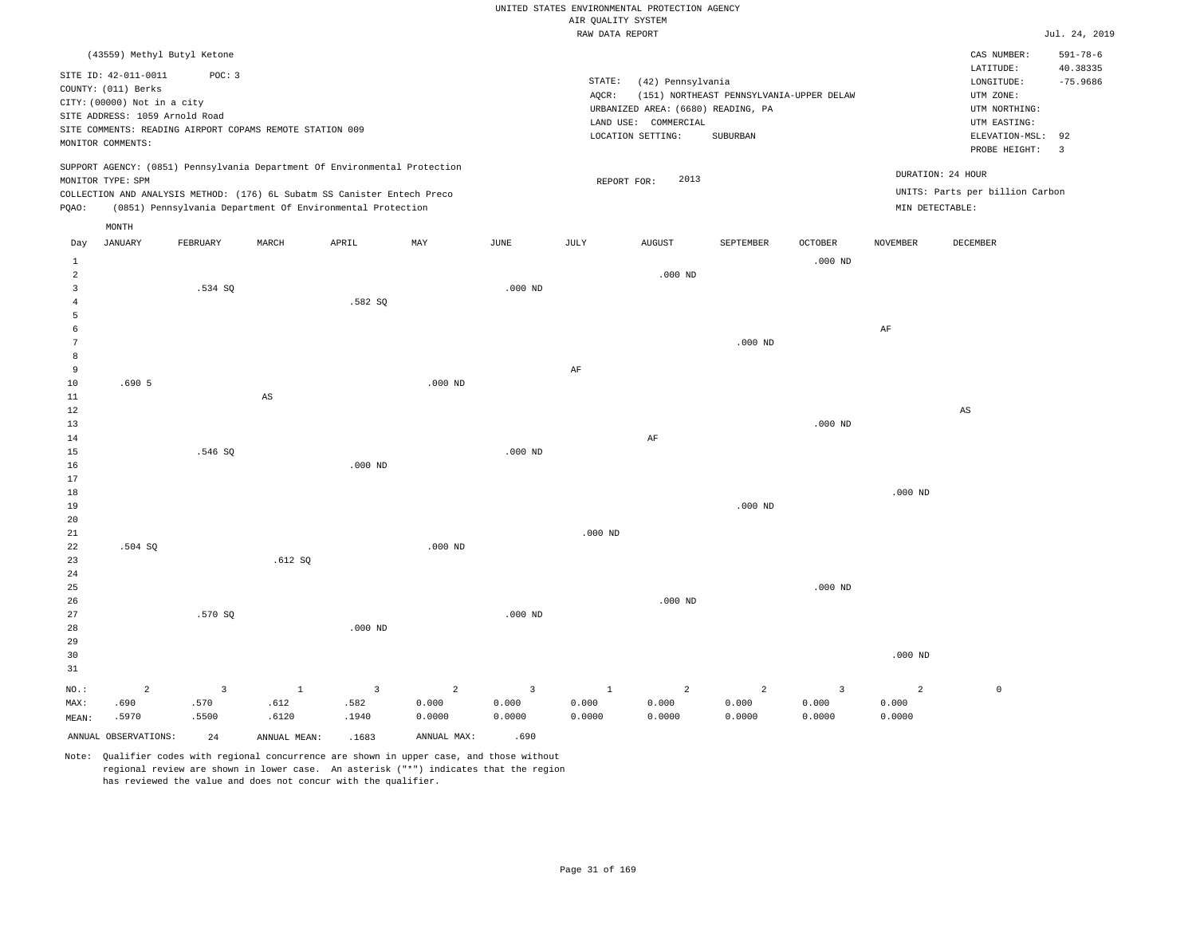|                |                                |                                                          |                        |                                                                            |           |                |                    | UNITED STATES ENVIRONMENTAL PROTECTION AGENCY |                                          |                |                 |                                 |                            |
|----------------|--------------------------------|----------------------------------------------------------|------------------------|----------------------------------------------------------------------------|-----------|----------------|--------------------|-----------------------------------------------|------------------------------------------|----------------|-----------------|---------------------------------|----------------------------|
|                |                                |                                                          |                        |                                                                            |           |                | AIR OUALITY SYSTEM |                                               |                                          |                |                 |                                 |                            |
|                |                                |                                                          |                        |                                                                            |           |                | RAW DATA REPORT    |                                               |                                          |                |                 |                                 | Jul. 24, 2019              |
|                |                                | (43559) Methyl Butyl Ketone                              |                        |                                                                            |           |                |                    |                                               |                                          |                |                 | CAS NUMBER:<br>LATITUDE:        | $591 - 78 - 6$<br>40.38335 |
|                | SITE ID: 42-011-0011           | POC: 3                                                   |                        |                                                                            |           |                | STATE:             | (42) Pennsylvania                             |                                          |                |                 | LONGITUDE:                      | $-75.9686$                 |
|                | COUNTY: (011) Berks            |                                                          |                        |                                                                            |           |                | AOCR:              |                                               | (151) NORTHEAST PENNSYLVANIA-UPPER DELAW |                |                 | UTM ZONE:                       |                            |
|                | CITY: (00000) Not in a city    |                                                          |                        |                                                                            |           |                |                    | URBANIZED AREA: (6680) READING, PA            |                                          |                |                 | UTM NORTHING:                   |                            |
|                | SITE ADDRESS: 1059 Arnold Road | SITE COMMENTS: READING AIRPORT COPAMS REMOTE STATION 009 |                        |                                                                            |           |                |                    | LAND USE: COMMERCIAL                          |                                          |                |                 | UTM EASTING:                    |                            |
|                | MONITOR COMMENTS:              |                                                          |                        |                                                                            |           |                |                    | LOCATION SETTING:                             | SUBURBAN                                 |                |                 | ELEVATION-MSL:<br>PROBE HEIGHT: | 92<br>$\overline{3}$       |
|                | MONITOR TYPE: SPM              |                                                          |                        | SUPPORT AGENCY: (0851) Pennsylvania Department Of Environmental Protection |           |                |                    | 2013                                          |                                          |                |                 | DURATION: 24 HOUR               |                            |
|                |                                |                                                          |                        | COLLECTION AND ANALYSIS METHOD: (176) 6L Subatm SS Canister Entech Preco   |           |                | REPORT FOR:        |                                               |                                          |                |                 | UNITS: Parts per billion Carbon |                            |
| PQAO:          |                                |                                                          |                        | (0851) Pennsylvania Department Of Environmental Protection                 |           |                |                    |                                               |                                          |                | MIN DETECTABLE: |                                 |                            |
| Day            | MONTH<br><b>JANUARY</b>        | FEBRUARY                                                 | MARCH                  | APRIL                                                                      | MAY       | <b>JUNE</b>    | JULY               | <b>AUGUST</b>                                 | SEPTEMBER                                | <b>OCTOBER</b> | <b>NOVEMBER</b> | DECEMBER                        |                            |
| $1\,$          |                                |                                                          |                        |                                                                            |           |                |                    |                                               |                                          | $.000$ ND      |                 |                                 |                            |
| 2              |                                |                                                          |                        |                                                                            |           |                |                    | $.000$ ND                                     |                                          |                |                 |                                 |                            |
| $\overline{3}$ |                                | .534 SQ                                                  |                        |                                                                            |           | $.000$ ND      |                    |                                               |                                          |                |                 |                                 |                            |
| $\overline{4}$ |                                |                                                          |                        | .582 SQ                                                                    |           |                |                    |                                               |                                          |                |                 |                                 |                            |
| 5              |                                |                                                          |                        |                                                                            |           |                |                    |                                               |                                          |                |                 |                                 |                            |
| 6              |                                |                                                          |                        |                                                                            |           |                |                    |                                               |                                          |                | AF              |                                 |                            |
| $\overline{7}$ |                                |                                                          |                        |                                                                            |           |                |                    |                                               | $.000$ ND                                |                |                 |                                 |                            |
| 8              |                                |                                                          |                        |                                                                            |           |                |                    |                                               |                                          |                |                 |                                 |                            |
| 9              |                                |                                                          |                        |                                                                            |           |                | AF                 |                                               |                                          |                |                 |                                 |                            |
| 10             | .6905                          |                                                          |                        |                                                                            | $.000$ ND |                |                    |                                               |                                          |                |                 |                                 |                            |
| $1\,1$         |                                |                                                          | $\mathbb{A}\mathbb{S}$ |                                                                            |           |                |                    |                                               |                                          |                |                 |                                 |                            |
| 12             |                                |                                                          |                        |                                                                            |           |                |                    |                                               |                                          |                |                 | $\mathbb{A}\mathbb{S}$          |                            |
| 13             |                                |                                                          |                        |                                                                            |           |                |                    |                                               |                                          | $.000$ ND      |                 |                                 |                            |
| 14<br>15       |                                | .546 SQ                                                  |                        |                                                                            |           | $.000$ ND      |                    | AF                                            |                                          |                |                 |                                 |                            |
| 16             |                                |                                                          |                        | $.000$ ND                                                                  |           |                |                    |                                               |                                          |                |                 |                                 |                            |
| 17             |                                |                                                          |                        |                                                                            |           |                |                    |                                               |                                          |                |                 |                                 |                            |
| $18$           |                                |                                                          |                        |                                                                            |           |                |                    |                                               |                                          |                | $.000$ ND       |                                 |                            |
| 19             |                                |                                                          |                        |                                                                            |           |                |                    |                                               | $.000$ ND                                |                |                 |                                 |                            |
| 20             |                                |                                                          |                        |                                                                            |           |                |                    |                                               |                                          |                |                 |                                 |                            |
| 21             |                                |                                                          |                        |                                                                            |           |                | $.000$ ND          |                                               |                                          |                |                 |                                 |                            |
| 22             | .504 SQ                        |                                                          |                        |                                                                            | $.000$ ND |                |                    |                                               |                                          |                |                 |                                 |                            |
| 23             |                                |                                                          | .612S                  |                                                                            |           |                |                    |                                               |                                          |                |                 |                                 |                            |
| 24             |                                |                                                          |                        |                                                                            |           |                |                    |                                               |                                          |                |                 |                                 |                            |
| 25             |                                |                                                          |                        |                                                                            |           |                |                    |                                               |                                          | $.000$ ND      |                 |                                 |                            |
| 26             |                                |                                                          |                        |                                                                            |           |                |                    | $.000$ ND                                     |                                          |                |                 |                                 |                            |
| 27             |                                | .570 SO                                                  |                        |                                                                            |           | $.000$ ND      |                    |                                               |                                          |                |                 |                                 |                            |
| 28             |                                |                                                          |                        | $.000$ ND                                                                  |           |                |                    |                                               |                                          |                |                 |                                 |                            |
| 29             |                                |                                                          |                        |                                                                            |           |                |                    |                                               |                                          |                |                 |                                 |                            |
| 30<br>31       |                                |                                                          |                        |                                                                            |           |                |                    |                                               |                                          |                | $.000$ ND       |                                 |                            |
|                |                                |                                                          |                        |                                                                            |           |                |                    |                                               |                                          |                |                 |                                 |                            |
| NO.:           | $\overline{a}$                 | $\overline{\mathbf{3}}$                                  | $\mathbf{1}$           | $\mathbf{3}$                                                               | 2         | $\overline{3}$ | $\mathbf{1}$       | $\overline{a}$                                | 2                                        | $\overline{3}$ | $\overline{a}$  | $\mathbb O$                     |                            |
| MAX:           | .690                           | .570                                                     | .612                   | .582                                                                       | 0.000     | 0.000          | 0.000              | 0.000                                         | 0.000                                    | 0.000          | 0.000           |                                 |                            |
| MEAN:          | .5970                          | .5500                                                    | .6120                  | .1940                                                                      | 0.0000    | 0.0000         | 0.0000             | 0.0000                                        | 0.0000                                   | 0.0000         | 0.0000          |                                 |                            |

ANNUAL OBSERVATIONS: 24 ANNUAL MEAN: .1683 ANNUAL MAX: .690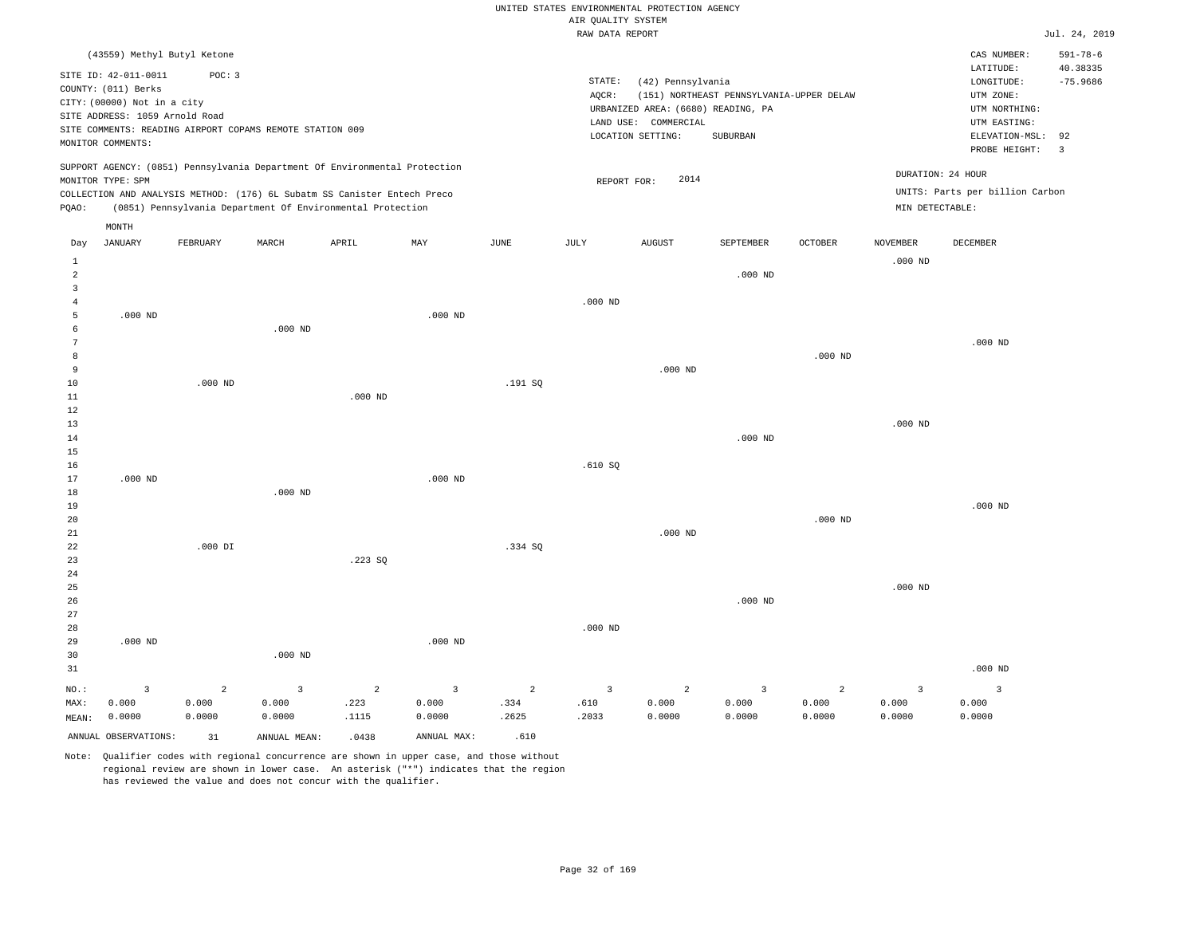|                     |                                |           |                                                                            |                |                         |                |                         | UNITED STATES ENVIRONMENTAL PROTECTION AGENCY              |                                          |                |                 |                                 |                |
|---------------------|--------------------------------|-----------|----------------------------------------------------------------------------|----------------|-------------------------|----------------|-------------------------|------------------------------------------------------------|------------------------------------------|----------------|-----------------|---------------------------------|----------------|
|                     |                                |           |                                                                            |                |                         |                | AIR OUALITY SYSTEM      |                                                            |                                          |                |                 |                                 |                |
|                     |                                |           |                                                                            |                |                         |                | RAW DATA REPORT         |                                                            |                                          |                |                 |                                 | Jul. 24, 2019  |
|                     | (43559) Methyl Butyl Ketone    |           |                                                                            |                |                         |                |                         |                                                            |                                          |                |                 | CAS NUMBER:                     | $591 - 78 - 6$ |
|                     | SITE ID: 42-011-0011           | POC: 3    |                                                                            |                |                         |                |                         |                                                            |                                          |                |                 | LATITUDE:                       | 40.38335       |
|                     | COUNTY: (011) Berks            |           |                                                                            |                |                         |                | STATE:                  | (42) Pennsylvania                                          |                                          |                |                 | LONGITUDE:                      | $-75.9686$     |
|                     | CITY: (00000) Not in a city    |           |                                                                            |                |                         |                | AQCR:                   |                                                            | (151) NORTHEAST PENNSYLVANIA-UPPER DELAW |                |                 | UTM ZONE:                       |                |
|                     | SITE ADDRESS: 1059 Arnold Road |           |                                                                            |                |                         |                |                         | URBANIZED AREA: (6680) READING, PA<br>LAND USE: COMMERCIAL |                                          |                |                 | UTM NORTHING:<br>UTM EASTING:   |                |
|                     |                                |           | SITE COMMENTS: READING AIRPORT COPAMS REMOTE STATION 009                   |                |                         |                |                         | LOCATION SETTING:                                          | SUBURBAN                                 |                |                 | ELEVATION-MSL:                  | 92             |
|                     | MONITOR COMMENTS:              |           |                                                                            |                |                         |                |                         |                                                            |                                          |                |                 | PROBE HEIGHT:                   | $\overline{3}$ |
|                     |                                |           | SUPPORT AGENCY: (0851) Pennsylvania Department Of Environmental Protection |                |                         |                |                         |                                                            |                                          |                |                 |                                 |                |
|                     | MONITOR TYPE: SPM              |           |                                                                            |                |                         |                | REPORT FOR:             | 2014                                                       |                                          |                |                 | DURATION: 24 HOUR               |                |
|                     |                                |           | COLLECTION AND ANALYSIS METHOD: (176) 6L Subatm SS Canister Entech Preco   |                |                         |                |                         |                                                            |                                          |                |                 | UNITS: Parts per billion Carbon |                |
| PQAO:               |                                |           | (0851) Pennsylvania Department Of Environmental Protection                 |                |                         |                |                         |                                                            |                                          |                | MIN DETECTABLE: |                                 |                |
|                     | MONTH                          |           |                                                                            |                |                         |                |                         |                                                            |                                          |                |                 |                                 |                |
| Day                 | <b>JANUARY</b>                 | FEBRUARY  | MARCH                                                                      | APRIL          | MAY                     | <b>JUNE</b>    | JULY                    | <b>AUGUST</b>                                              | SEPTEMBER                                | <b>OCTOBER</b> | <b>NOVEMBER</b> | DECEMBER                        |                |
| $\mathbf{1}$        |                                |           |                                                                            |                |                         |                |                         |                                                            |                                          |                | $.000$ ND       |                                 |                |
| 2<br>$\overline{3}$ |                                |           |                                                                            |                |                         |                |                         |                                                            | $.000$ ND                                |                |                 |                                 |                |
| 4                   |                                |           |                                                                            |                |                         |                | $.000$ ND               |                                                            |                                          |                |                 |                                 |                |
| 5                   | $.000$ ND                      |           |                                                                            |                | $.000$ ND               |                |                         |                                                            |                                          |                |                 |                                 |                |
| 6                   |                                |           | $.000$ ND                                                                  |                |                         |                |                         |                                                            |                                          |                |                 |                                 |                |
| 7                   |                                |           |                                                                            |                |                         |                |                         |                                                            |                                          |                |                 | $.000$ ND                       |                |
| 8                   |                                |           |                                                                            |                |                         |                |                         |                                                            |                                          | $.000$ ND      |                 |                                 |                |
| 9                   |                                |           |                                                                            |                |                         |                |                         | $.000$ ND                                                  |                                          |                |                 |                                 |                |
| 10                  |                                | $.000$ ND |                                                                            |                |                         | .191 SO        |                         |                                                            |                                          |                |                 |                                 |                |
| $11\,$              |                                |           |                                                                            | $.000$ ND      |                         |                |                         |                                                            |                                          |                |                 |                                 |                |
| 12<br>13            |                                |           |                                                                            |                |                         |                |                         |                                                            |                                          |                | $.000$ ND       |                                 |                |
| 14                  |                                |           |                                                                            |                |                         |                |                         |                                                            | $.000$ ND                                |                |                 |                                 |                |
| 15                  |                                |           |                                                                            |                |                         |                |                         |                                                            |                                          |                |                 |                                 |                |
| 16                  |                                |           |                                                                            |                |                         |                | .610 SQ                 |                                                            |                                          |                |                 |                                 |                |
| 17                  | $.000$ ND                      |           |                                                                            |                | $.000$ ND               |                |                         |                                                            |                                          |                |                 |                                 |                |
| 18                  |                                |           | $.000$ ND                                                                  |                |                         |                |                         |                                                            |                                          |                |                 |                                 |                |
| 19                  |                                |           |                                                                            |                |                         |                |                         |                                                            |                                          |                |                 | $.000$ ND                       |                |
| 20                  |                                |           |                                                                            |                |                         |                |                         |                                                            |                                          | $.000$ ND      |                 |                                 |                |
| 21                  |                                |           |                                                                            |                |                         |                |                         | $.000$ ND                                                  |                                          |                |                 |                                 |                |
| 22<br>23            |                                | $.000$ DI |                                                                            | .223 SO        |                         | .334 SQ        |                         |                                                            |                                          |                |                 |                                 |                |
| 24                  |                                |           |                                                                            |                |                         |                |                         |                                                            |                                          |                |                 |                                 |                |
| 25                  |                                |           |                                                                            |                |                         |                |                         |                                                            |                                          |                | $.000$ ND       |                                 |                |
| 26                  |                                |           |                                                                            |                |                         |                |                         |                                                            | $.000$ ND                                |                |                 |                                 |                |
| 27                  |                                |           |                                                                            |                |                         |                |                         |                                                            |                                          |                |                 |                                 |                |
| $2\,8$              |                                |           |                                                                            |                |                         |                | $.000$ ND               |                                                            |                                          |                |                 |                                 |                |
| 29                  | $.000$ ND                      |           |                                                                            |                | $.000$ ND               |                |                         |                                                            |                                          |                |                 |                                 |                |
| 30                  |                                |           | $.000$ ND                                                                  |                |                         |                |                         |                                                            |                                          |                |                 |                                 |                |
| 31                  |                                |           |                                                                            |                |                         |                |                         |                                                            |                                          |                |                 | $.000$ ND                       |                |
| $NO.$ :             | $\overline{\mathbf{3}}$        | 2         | $\overline{3}$                                                             | $\overline{a}$ | $\overline{\mathbf{3}}$ | $\overline{a}$ | $\overline{\mathbf{3}}$ | $\overline{a}$                                             | 3                                        | $\overline{a}$ | $\overline{3}$  | $\overline{\mathbf{3}}$         |                |
| MAX:                | 0.000                          | 0.000     | 0.000                                                                      | .223           | 0.000                   | .334           | .610                    | 0.000                                                      | 0.000                                    | 0.000          | 0.000           | 0.000                           |                |
| MEAN:               | 0.0000                         | 0.0000    | 0.0000                                                                     | .1115          | 0.0000                  | .2625          | .2033                   | 0.0000                                                     | 0.0000                                   | 0.0000         | 0.0000          | 0.0000                          |                |
|                     | ANNUAL OBSERVATIONS:           | 31        | ANNUAL, MEAN:                                                              | .0438          | ANNUAL MAX:             | .610           |                         |                                                            |                                          |                |                 |                                 |                |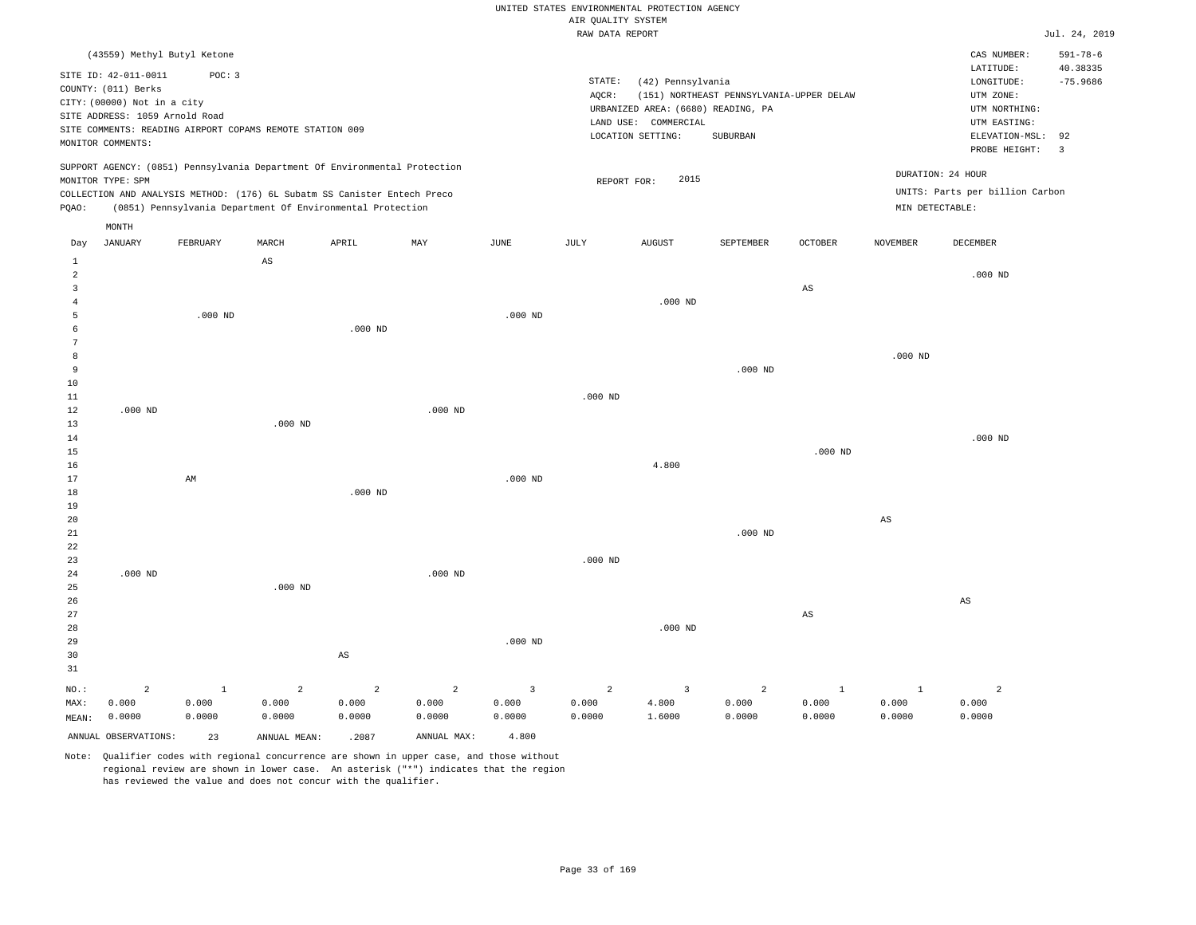# UNITED STATES ENVIRONMENTAL PROTECTION AGENCY AIR QUALITY SYSTEM

|                                                          |                                                                                                                                   |                                                                                                   |           |                                                                                                                                                                                                                      |           |           | RAW DATA REPORT |                                                                                                      |                                                      |                |                                      |                                                                                                                              | Jul. 24, 2019                            |
|----------------------------------------------------------|-----------------------------------------------------------------------------------------------------------------------------------|---------------------------------------------------------------------------------------------------|-----------|----------------------------------------------------------------------------------------------------------------------------------------------------------------------------------------------------------------------|-----------|-----------|-----------------|------------------------------------------------------------------------------------------------------|------------------------------------------------------|----------------|--------------------------------------|------------------------------------------------------------------------------------------------------------------------------|------------------------------------------|
|                                                          | SITE ID: 42-011-0011<br>COUNTY: (011) Berks<br>CITY: (00000) Not in a city<br>SITE ADDRESS: 1059 Arnold Road<br>MONITOR COMMENTS: | (43559) Methyl Butyl Ketone<br>POC: 3<br>SITE COMMENTS: READING AIRPORT COPAMS REMOTE STATION 009 |           |                                                                                                                                                                                                                      |           |           | STATE:<br>AQCR: | (42) Pennsylvania<br>URBANIZED AREA: (6680) READING, PA<br>LAND USE: COMMERCIAL<br>LOCATION SETTING: | (151) NORTHEAST PENNSYLVANIA-UPPER DELAW<br>SUBURBAN |                |                                      | CAS NUMBER:<br>LATITUDE:<br>LONGITUDE:<br>UTM ZONE:<br>UTM NORTHING:<br>UTM EASTING:<br>ELEVATION-MSL: 92<br>PROBE HEIGHT: 3 | $591 - 78 - 6$<br>40.38335<br>$-75.9686$ |
| POAO:                                                    | MONITOR TYPE: SPM<br>MONTH                                                                                                        |                                                                                                   |           | SUPPORT AGENCY: (0851) Pennsylvania Department Of Environmental Protection<br>COLLECTION AND ANALYSIS METHOD: (176) 6L Subatm SS Canister Entech Preco<br>(0851) Pennsylvania Department Of Environmental Protection |           |           |                 | 2015<br>REPORT FOR:                                                                                  |                                                      |                | DURATION: 24 HOUR<br>MIN DETECTABLE: | UNITS: Parts per billion Carbon                                                                                              |                                          |
| Day                                                      | JANUARY                                                                                                                           | FEBRUARY                                                                                          | MARCH     | APRIL                                                                                                                                                                                                                | MAY       | JUNE      | JULY            | <b>AUGUST</b>                                                                                        | SEPTEMBER                                            | <b>OCTOBER</b> | <b>NOVEMBER</b>                      | DECEMBER                                                                                                                     |                                          |
| $\mathbf{1}$<br>$\mathfrak{D}$<br>3<br>5<br>6<br>8<br>9  |                                                                                                                                   | $.000$ ND                                                                                         | AS        | $.000$ ND                                                                                                                                                                                                            |           | $.000$ ND |                 | $.000$ ND                                                                                            | $.000$ ND                                            | $_{\rm AS}$    | $.000$ ND                            | $.000$ ND                                                                                                                    |                                          |
| 10<br>11<br>12<br>13<br>14<br>15<br>16<br>17<br>18<br>19 | $.000$ ND                                                                                                                         | AM                                                                                                | $.000$ ND | $.000$ ND                                                                                                                                                                                                            | $.000$ ND | $.000$ ND | $.000$ ND       | 4.800                                                                                                |                                                      | $.000$ ND      |                                      | $.000$ ND                                                                                                                    |                                          |
| 20                                                       |                                                                                                                                   |                                                                                                   |           |                                                                                                                                                                                                                      |           |           |                 |                                                                                                      |                                                      |                | AS                                   |                                                                                                                              |                                          |

21 22 23 24 25 26 27 .000 ND .000 ND .000 ND .000 ND .000 ND .000 ND AS AS

| 28    |        |        |        |        |                |           |                | $.000$ ND |        |        |        |        |
|-------|--------|--------|--------|--------|----------------|-----------|----------------|-----------|--------|--------|--------|--------|
| 29    |        |        |        |        |                | $.000$ ND |                |           |        |        |        |        |
| 30    |        |        |        | AS     |                |           |                |           |        |        |        |        |
| 31    |        |        |        |        |                |           |                |           |        |        |        |        |
| NO.:  |        |        | 2      | -2     | $\overline{a}$ |           | $\overline{a}$ |           | 2      |        |        |        |
| MAX:  | 0.000  | 0.000  | 0.000  | 0.000  | 0.000          | 0.000     | 0.000          | 4.800     | 0.000  | 0.000  | 0.000  | 0.000  |
| MEAN: | 0.0000 | 0.0000 | 0.0000 | 0.0000 | 0.0000         | 0.0000    | 0.0000         | 1.6000    | 0.0000 | 0.0000 | 0.0000 | 0.0000 |
|       |        |        |        |        |                |           |                |           |        |        |        |        |

ANNUAL OBSERVATIONS: 23 ANNUAL MEAN: .2087 ANNUAL MAX: 4.800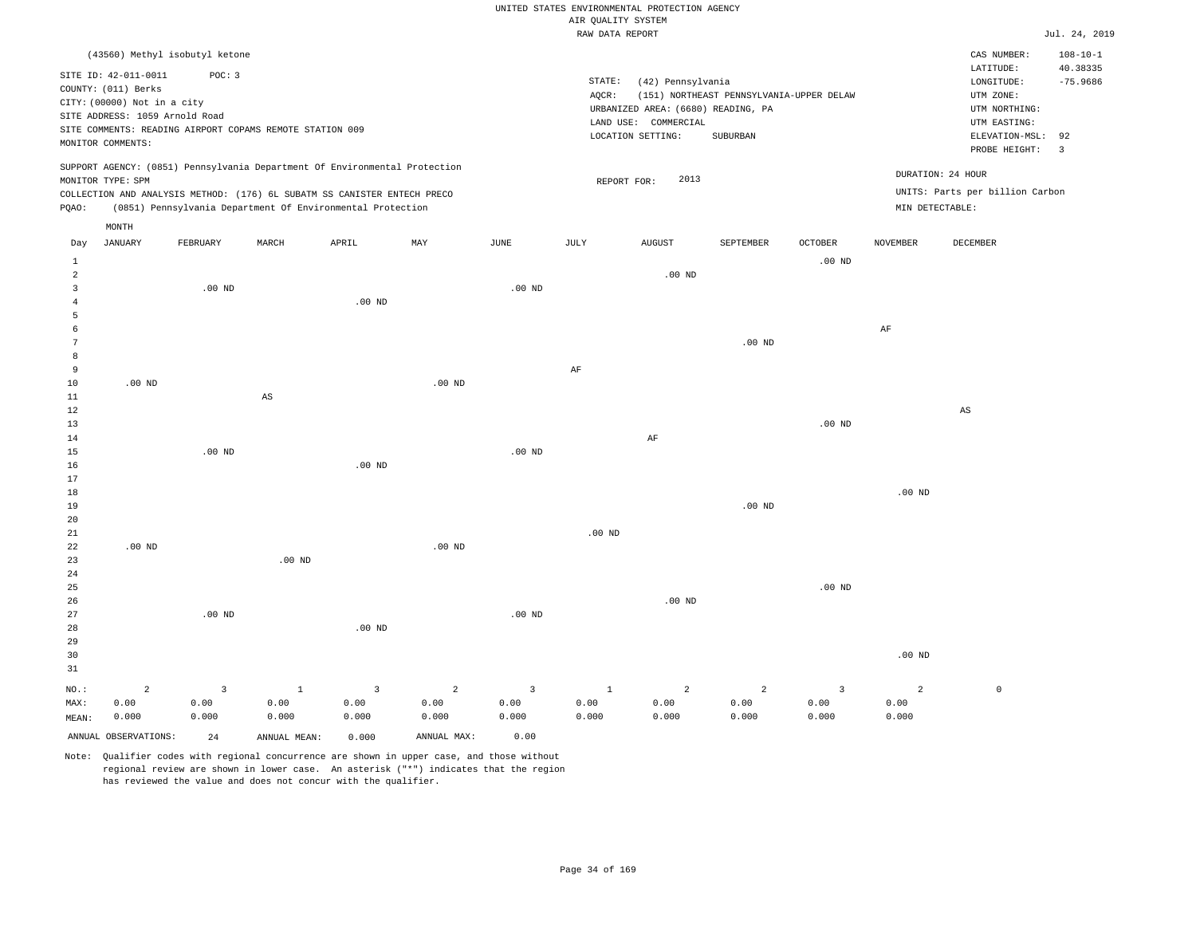### RAW DATA REPORT JUL. 24, 2019 UNITED STATES ENVIRONMENTAL PROTECTION AGENCY AIR QUALITY SYSTEM

| (43560) Methyl isobutyl ketone                                                                                                                                                                                                                              |              |                                                                                                                            |                                                      |         |                                      | CAS NUMBER:                                                                                                 | $108 - 10 - 1$                                    |
|-------------------------------------------------------------------------------------------------------------------------------------------------------------------------------------------------------------------------------------------------------------|--------------|----------------------------------------------------------------------------------------------------------------------------|------------------------------------------------------|---------|--------------------------------------|-------------------------------------------------------------------------------------------------------------|---------------------------------------------------|
| SITE ID: 42-011-0011<br>POC: 3<br>COUNTY: (011) Berks<br>CITY: (00000) Not in a city<br>SITE ADDRESS: 1059 Arnold Road<br>SITE COMMENTS: READING AIRPORT COPAMS REMOTE STATION 009<br>MONITOR COMMENTS:                                                     |              | STATE:<br>(42) Pennsylvania<br>AOCR:<br>URBANIZED AREA: (6680) READING, PA<br>LAND USE:<br>COMMERCIAL<br>LOCATION SETTING: | (151) NORTHEAST PENNSYLVANIA-UPPER DELAW<br>SUBURBAN |         |                                      | LATITUDE:<br>LONGITUDE:<br>UTM ZONE:<br>UTM NORTHING:<br>UTM EASTING:<br>ELEVATION-MSL: 92<br>PROBE HEIGHT: | 40.38335<br>$-75.9686$<br>$\overline{\mathbf{3}}$ |
| SUPPORT AGENCY: (0851) Pennsylvania Department Of Environmental Protection<br>MONITOR TYPE: SPM<br>COLLECTION AND ANALYSIS METHOD: (176) 6L SUBATM SS CANISTER ENTECH PRECO<br>(0851) Pennsylvania Department Of Environmental Protection<br>POAO:<br>MONTH |              | 2013<br>REPORT FOR:                                                                                                        |                                                      |         | DURATION: 24 HOUR<br>MIN DETECTABLE: | UNITS: Parts per billion Carbon                                                                             |                                                   |
| APRIL<br>MAY<br>JANUARY<br>MARCH<br>FEBRUARY<br>Day                                                                                                                                                                                                         | JUNE<br>JULY | <b>AUGUST</b>                                                                                                              | SEPTEMBER                                            | OCTOBER | <b>NOVEMBER</b>                      | DECEMBER                                                                                                    |                                                   |

| MEAN:                   | 0.000    | 0.000                   | 0.000                  | 0.000                   | 0.000          | 0.000          | 0.000                  | 0.000      | 0.000             | 0.000                   | 0.000          |                        |
|-------------------------|----------|-------------------------|------------------------|-------------------------|----------------|----------------|------------------------|------------|-------------------|-------------------------|----------------|------------------------|
| MAX:                    | 0.00     | 0.00                    | 0.00                   | 0.00                    | 0.00           | 0.00           | ${\bf 0}$ . ${\bf 00}$ | 0.00       | 0.00              | 0.00                    | 0.00           |                        |
| $_{\rm NO.}$ :          | $\,2$    | $\overline{\mathbf{3}}$ | $\,$ 1                 | $\overline{\mathbf{3}}$ | $\overline{a}$ | $\overline{3}$ | $\,$ 1                 | $\sqrt{2}$ | $\overline{a}$    | $\overline{\mathbf{3}}$ | $\overline{a}$ | $\mathsf{O}$           |
| $31\,$                  |          |                         |                        |                         |                |                |                        |            |                   |                         |                |                        |
| 30                      |          |                         |                        |                         |                |                |                        |            |                   |                         | $.00$ ND       |                        |
| 29                      |          |                         |                        |                         |                |                |                        |            |                   |                         |                |                        |
| 28                      |          |                         |                        | .00 $ND$                |                |                |                        |            |                   |                         |                |                        |
| 27                      |          | $.00~\mathrm{ND}$       |                        |                         |                | $.00$ ND       |                        |            |                   |                         |                |                        |
| $26\,$                  |          |                         |                        |                         |                |                |                        | .00 $ND$   |                   |                         |                |                        |
| $25\,$                  |          |                         |                        |                         |                |                |                        |            |                   | $.00$ ND                |                |                        |
| $2\,4$                  |          |                         |                        |                         |                |                |                        |            |                   |                         |                |                        |
| 23                      |          |                         | $.00$ ND               |                         |                |                |                        |            |                   |                         |                |                        |
| ${\bf 22}$              | $.00$ ND |                         |                        |                         | $.00$ ND       |                |                        |            |                   |                         |                |                        |
| 21                      |          |                         |                        |                         |                |                | $.00$ ND               |            |                   |                         |                |                        |
| $20\,$                  |          |                         |                        |                         |                |                |                        |            |                   |                         |                |                        |
| $19$                    |          |                         |                        |                         |                |                |                        |            | .00 <sub>ND</sub> |                         |                |                        |
| 18                      |          |                         |                        |                         |                |                |                        |            |                   |                         | .00 $ND$       |                        |
| $17\,$                  |          |                         |                        |                         |                |                |                        |            |                   |                         |                |                        |
| $16$                    |          |                         |                        | $.00$ ND                |                |                |                        |            |                   |                         |                |                        |
| $14\,$<br>15            |          | .00 $ND$                |                        |                         |                | .00 $ND$       |                        | $\rm AF$   |                   |                         |                |                        |
| 13                      |          |                         |                        |                         |                |                |                        |            |                   | $.00$ ND                |                |                        |
| $12\,$                  |          |                         |                        |                         |                |                |                        |            |                   |                         |                | $\mathbb{A}\mathbb{S}$ |
| $11\,$                  |          |                         | $\mathbb{A}\mathbb{S}$ |                         |                |                |                        |            |                   |                         |                |                        |
| 10                      | .00 $ND$ |                         |                        |                         | $.00$ ND       |                |                        |            |                   |                         |                |                        |
| 9                       |          |                         |                        |                         |                |                | $\rm{AF}$              |            |                   |                         |                |                        |
| 8                       |          |                         |                        |                         |                |                |                        |            |                   |                         |                |                        |
| 7                       |          |                         |                        |                         |                |                |                        |            | .00 <sub>ND</sub> |                         |                |                        |
| 6                       |          |                         |                        |                         |                |                |                        |            |                   |                         | $\rm{AF}$      |                        |
| 5                       |          |                         |                        |                         |                |                |                        |            |                   |                         |                |                        |
| $\overline{4}$          |          |                         |                        | $.00$ ND                |                |                |                        |            |                   |                         |                |                        |
| $\overline{\mathbf{3}}$ |          | .00 $ND$                |                        |                         |                | .00 $ND$       |                        |            |                   |                         |                |                        |
| $\overline{a}$          |          |                         |                        |                         |                |                |                        | $.00$ ND   |                   |                         |                |                        |
| $\,$ 1                  |          |                         |                        |                         |                |                |                        |            |                   | $.00$ ND                |                |                        |

ANNUAL OBSERVATIONS: 24 ANNUAL MEAN: 0.000 ANNUAL MAX: 0.00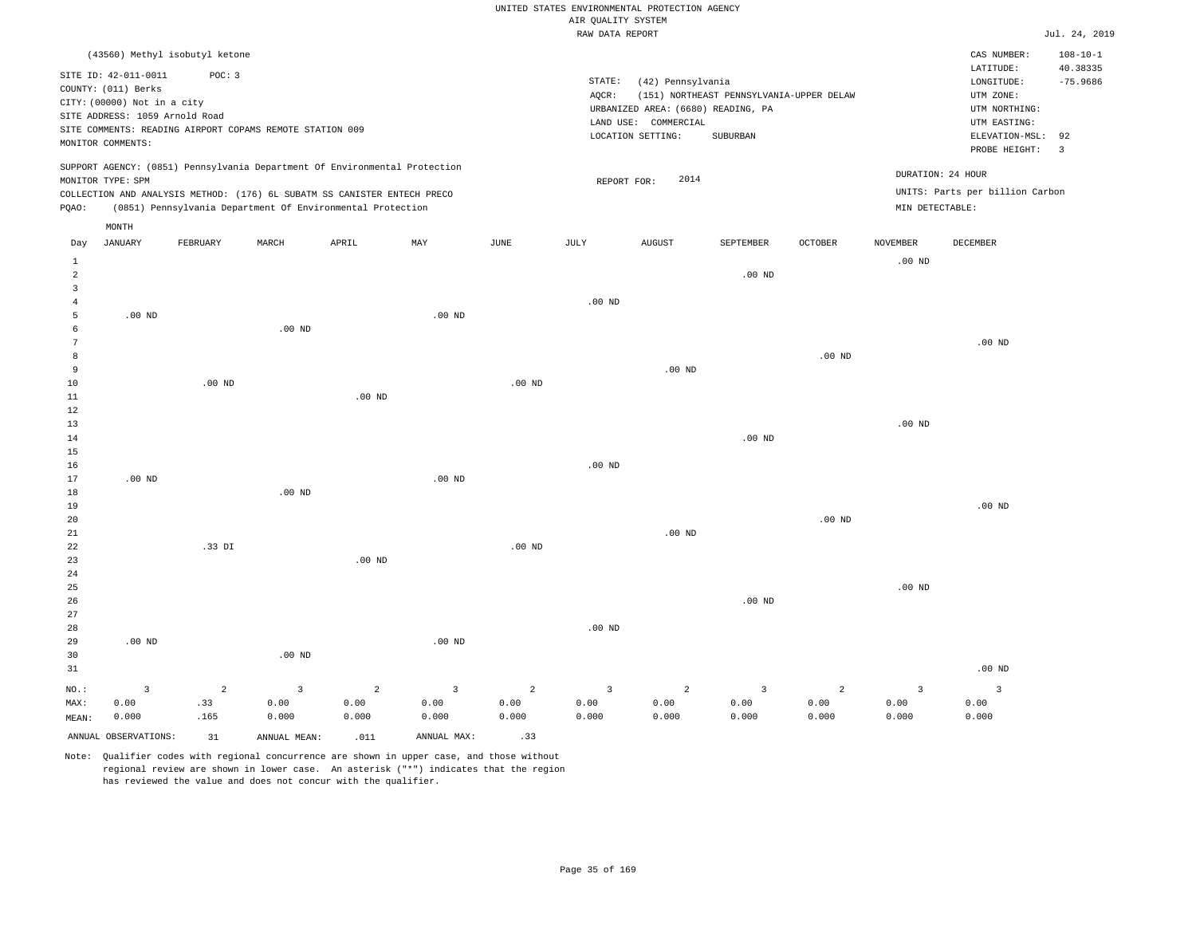|                |                                |                                                                            |          |                   |          |                   |                    | UNITED STATES ENVIRONMENTAL PROTECTION AGENCY |                                          |                   |                   |                                 |                         |
|----------------|--------------------------------|----------------------------------------------------------------------------|----------|-------------------|----------|-------------------|--------------------|-----------------------------------------------|------------------------------------------|-------------------|-------------------|---------------------------------|-------------------------|
|                |                                |                                                                            |          |                   |          |                   | AIR QUALITY SYSTEM |                                               |                                          |                   |                   |                                 |                         |
|                |                                |                                                                            |          |                   |          |                   | RAW DATA REPORT    |                                               |                                          |                   |                   |                                 | Jul.                    |
|                |                                | (43560) Methyl isobutyl ketone                                             |          |                   |          |                   |                    |                                               |                                          |                   |                   | CAS NUMBER:                     | 101                     |
|                | SITE ID: 42-011-0011           | POC: 3                                                                     |          |                   |          |                   |                    |                                               |                                          |                   |                   | LATITUDE:                       | 40                      |
|                | COUNTY: (011) Berks            |                                                                            |          |                   |          |                   | STATE:             | (42) Pennsylvania                             |                                          |                   |                   | LONGITUDE:                      | $-7!$                   |
|                |                                |                                                                            |          |                   |          |                   | AQCR:              |                                               | (151) NORTHEAST PENNSYLVANIA-UPPER DELAW |                   |                   | UTM ZONE:                       |                         |
|                | CITY: (00000) Not in a city    |                                                                            |          |                   |          |                   |                    | URBANIZED AREA: (6680) READING, PA            |                                          |                   |                   | UTM NORTHING:                   |                         |
|                | SITE ADDRESS: 1059 Arnold Road |                                                                            |          |                   |          |                   |                    | LAND USE: COMMERCIAL                          |                                          |                   |                   | UTM EASTING:                    |                         |
|                |                                | SITE COMMENTS: READING AIRPORT COPAMS REMOTE STATION 009                   |          |                   |          |                   |                    | LOCATION SETTING:                             | SUBURBAN                                 |                   |                   | ELEVATION-MSL: 92               |                         |
|                | MONITOR COMMENTS:              |                                                                            |          |                   |          |                   |                    |                                               |                                          |                   |                   | PROBE HEIGHT:                   | $\overline{\mathbf{3}}$ |
|                |                                | SUPPORT AGENCY: (0851) Pennsylvania Department Of Environmental Protection |          |                   |          |                   |                    |                                               |                                          |                   |                   |                                 |                         |
|                | MONITOR TYPE: SPM              |                                                                            |          |                   |          |                   |                    | 2014<br>REPORT FOR:                           |                                          |                   |                   | DURATION: 24 HOUR               |                         |
|                |                                | COLLECTION AND ANALYSIS METHOD: (176) 6L SUBATM SS CANISTER ENTECH PRECO   |          |                   |          |                   |                    |                                               |                                          |                   |                   | UNITS: Parts per billion Carbon |                         |
| PQAO:          |                                | (0851) Pennsylvania Department Of Environmental Protection                 |          |                   |          |                   |                    |                                               |                                          |                   | MIN DETECTABLE:   |                                 |                         |
|                | MONTH                          |                                                                            |          |                   |          |                   |                    |                                               |                                          |                   |                   |                                 |                         |
| Day            | JANUARY                        | FEBRUARY                                                                   | MARCH    | APRIL             | MAY      | JUNE              | JULY               | <b>AUGUST</b>                                 | SEPTEMBER                                | <b>OCTOBER</b>    | <b>NOVEMBER</b>   | DECEMBER                        |                         |
| 1              |                                |                                                                            |          |                   |          |                   |                    |                                               |                                          |                   | .00 <sub>ND</sub> |                                 |                         |
| $\overline{a}$ |                                |                                                                            |          |                   |          |                   |                    |                                               | $.00$ ND                                 |                   |                   |                                 |                         |
| 3              |                                |                                                                            |          |                   |          |                   |                    |                                               |                                          |                   |                   |                                 |                         |
| $\overline{4}$ |                                |                                                                            |          |                   |          |                   | $.00$ ND           |                                               |                                          |                   |                   |                                 |                         |
| 5              | $.00$ ND                       |                                                                            |          |                   | $.00$ ND |                   |                    |                                               |                                          |                   |                   |                                 |                         |
| 6              |                                |                                                                            | $.00$ ND |                   |          |                   |                    |                                               |                                          |                   |                   |                                 |                         |
|                |                                |                                                                            |          |                   |          |                   |                    |                                               |                                          |                   |                   | $.00$ ND                        |                         |
| 8              |                                |                                                                            |          |                   |          |                   |                    |                                               |                                          | .00 <sub>ND</sub> |                   |                                 |                         |
| 9              |                                |                                                                            |          |                   |          |                   |                    | $.00$ ND                                      |                                          |                   |                   |                                 |                         |
| 10             |                                | $.00$ ND                                                                   |          |                   |          | .00 <sub>ND</sub> |                    |                                               |                                          |                   |                   |                                 |                         |
| 11             |                                |                                                                            |          | .00 <sub>ND</sub> |          |                   |                    |                                               |                                          |                   |                   |                                 |                         |
| 12             |                                |                                                                            |          |                   |          |                   |                    |                                               |                                          |                   |                   |                                 |                         |
| 13             |                                |                                                                            |          |                   |          |                   |                    |                                               |                                          |                   | .00 <sub>ND</sub> |                                 |                         |
| 14             |                                |                                                                            |          |                   |          |                   |                    |                                               | $.00$ ND                                 |                   |                   |                                 |                         |
| 15             |                                |                                                                            |          |                   |          |                   |                    |                                               |                                          |                   |                   |                                 |                         |
| 16             |                                |                                                                            |          |                   |          |                   | $.00$ ND           |                                               |                                          |                   |                   |                                 |                         |
| 17             | $.00$ ND                       |                                                                            |          |                   | $.00$ ND |                   |                    |                                               |                                          |                   |                   |                                 |                         |
| 18             |                                |                                                                            | $.00$ ND |                   |          |                   |                    |                                               |                                          |                   |                   |                                 |                         |
| 19             |                                |                                                                            |          |                   |          |                   |                    |                                               |                                          |                   |                   | $.00$ ND                        |                         |
| 20             |                                |                                                                            |          |                   |          |                   |                    |                                               |                                          | .00 <sub>ND</sub> |                   |                                 |                         |
| 21             |                                |                                                                            |          |                   |          |                   |                    | .00 <sub>ND</sub>                             |                                          |                   |                   |                                 |                         |

Jul. 24, 2019

 $108 - 10 - 1$ 

 $-75.9686$ LATITUDE: 40.38335

| 22             |          | .33 DI |          |                |                | $.00$ ND       |          |                |          |      |          |                         |
|----------------|----------|--------|----------|----------------|----------------|----------------|----------|----------------|----------|------|----------|-------------------------|
| 23             |          |        |          | $.00$ ND       |                |                |          |                |          |      |          |                         |
| $2\sqrt{4}$    |          |        |          |                |                |                |          |                |          |      |          |                         |
| $25\,$         |          |        |          |                |                |                |          |                |          |      | $.00$ ND |                         |
| 26             |          |        |          |                |                |                |          |                | $.00$ ND |      |          |                         |
| 27             |          |        |          |                |                |                |          |                |          |      |          |                         |
| $_{\rm 28}$    |          |        |          |                |                |                | $.00$ ND |                |          |      |          |                         |
| 29             | $.00$ ND |        |          |                | $.00$ ND       |                |          |                |          |      |          |                         |
| 30             |          |        | $.00$ ND |                |                |                |          |                |          |      |          |                         |
| 31             |          |        |          |                |                |                |          |                |          |      |          | $.00$ ND                |
| $_{\rm NO.}$ : |          | 2      | 3        | $\overline{2}$ | $\overline{3}$ | $\overline{2}$ | 3        | $\overline{a}$ | 3        | 2    | 3        | $\overline{\mathbf{3}}$ |
| MAX:           | 0.00     | .33    | 0.00     | 0.00           | 0.00           | 0.00           | 0.00     | 0.00           | 0.00     | 0.00 | 0.00     | 0.00                    |

0.000

Note: Qualifier codes with regional concurrence are shown in upper case, and those without regional review are shown in lower case. An asterisk ("\*") indicates that the region has reviewed the value and does not concur with the qualifier.

ANNUAL OBSERVATIONS:  $31$  ANNUAL MEAN: .011 ANNUAL MAX: .33

0.000

0.000

0.000

MEAN:

0.000

.165

0.000

0.000

0.000

0.000

0.000

0.000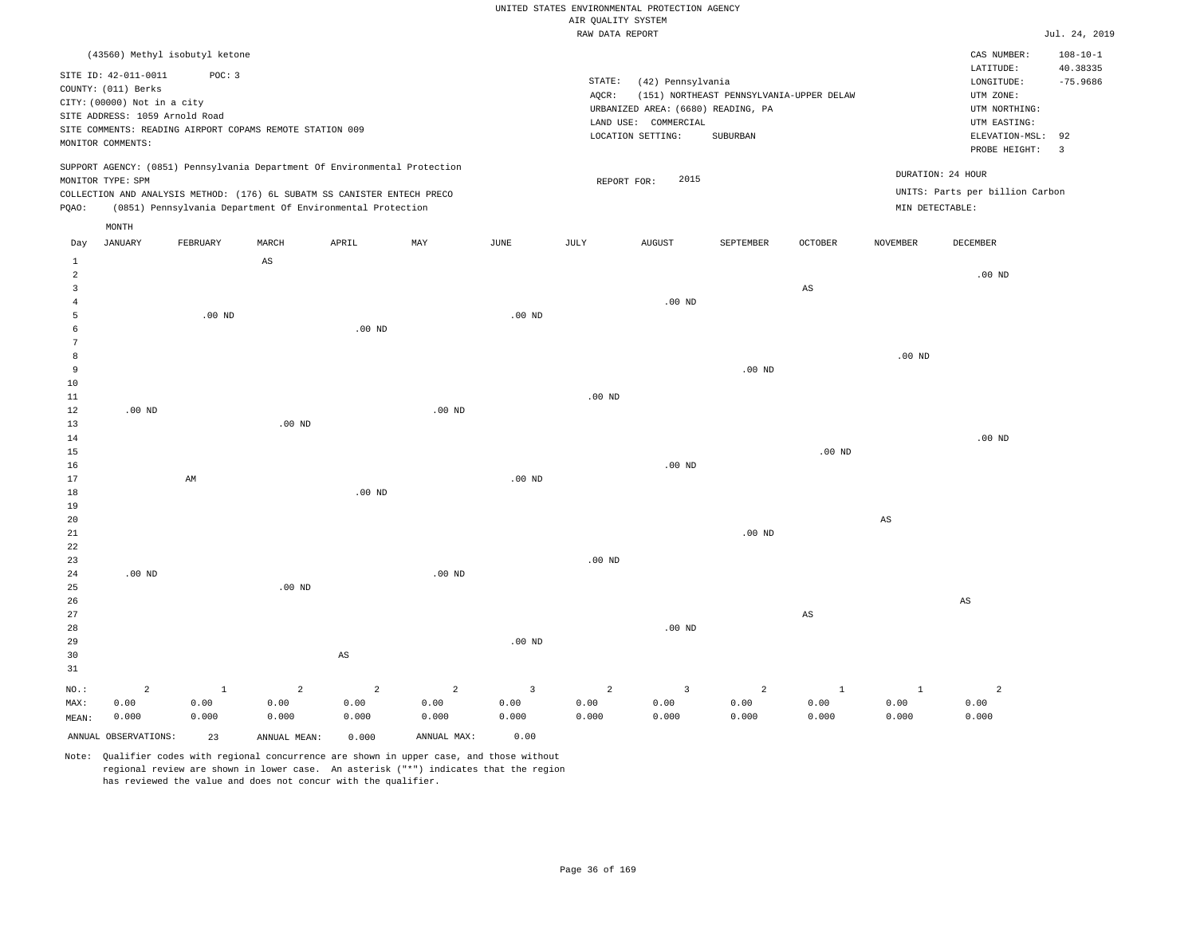#### UNITED STATES ENVIRONMENTAL PROTECTION AGENCY ATE OUNT TTY SYSTEM

|                |                                |              |                                                          |                                                                            |                   |                | AIK QUALIII SISIEM<br>RAW DATA REPORT |                                    |                                          |                        |                        |                                 | Jul. 24, 2019                 |
|----------------|--------------------------------|--------------|----------------------------------------------------------|----------------------------------------------------------------------------|-------------------|----------------|---------------------------------------|------------------------------------|------------------------------------------|------------------------|------------------------|---------------------------------|-------------------------------|
|                | (43560) Methyl isobutyl ketone |              |                                                          |                                                                            |                   |                |                                       |                                    |                                          |                        |                        | CAS NUMBER:                     | $108 - 10 - 1$                |
|                | SITE ID: 42-011-0011           | POC: 3       |                                                          |                                                                            |                   |                |                                       |                                    |                                          |                        |                        | LATITUDE:                       | 40.38335                      |
|                | COUNTY: (011) Berks            |              |                                                          |                                                                            |                   |                | $\texttt{STATE}{}:$                   | (42) Pennsylvania                  |                                          |                        |                        | LONGITUDE:                      | $-75.9686$                    |
|                | CITY: (00000) Not in a city    |              |                                                          |                                                                            |                   |                | AOCR:                                 |                                    | (151) NORTHEAST PENNSYLVANIA-UPPER DELAW |                        |                        | UTM ZONE:                       |                               |
|                | SITE ADDRESS: 1059 Arnold Road |              |                                                          |                                                                            |                   |                |                                       | URBANIZED AREA: (6680) READING, PA |                                          |                        |                        | UTM NORTHING:                   |                               |
|                |                                |              | SITE COMMENTS: READING AIRPORT COPAMS REMOTE STATION 009 |                                                                            |                   |                |                                       | LAND USE: COMMERCIAL               |                                          |                        |                        | UTM EASTING:                    |                               |
|                | MONITOR COMMENTS:              |              |                                                          |                                                                            |                   |                |                                       | LOCATION SETTING:                  | SUBURBAN                                 |                        |                        | ELEVATION-MSL:<br>PROBE HEIGHT: | 92<br>$\overline{\mathbf{3}}$ |
|                |                                |              |                                                          | SUPPORT AGENCY: (0851) Pennsylvania Department Of Environmental Protection |                   |                |                                       |                                    |                                          |                        |                        |                                 |                               |
|                | MONITOR TYPE: SPM              |              |                                                          |                                                                            |                   |                | REPORT FOR:                           | 2015                               |                                          |                        |                        | DURATION: 24 HOUR               |                               |
|                |                                |              |                                                          | COLLECTION AND ANALYSIS METHOD: (176) 6L SUBATM SS CANISTER ENTECH PRECO   |                   |                |                                       |                                    |                                          |                        |                        | UNITS: Parts per billion Carbon |                               |
| PQAO:          |                                |              |                                                          | (0851) Pennsylvania Department Of Environmental Protection                 |                   |                |                                       |                                    |                                          |                        |                        | MIN DETECTABLE:                 |                               |
|                | MONTH                          |              |                                                          |                                                                            |                   |                |                                       |                                    |                                          |                        |                        |                                 |                               |
| Day            | <b>JANUARY</b>                 | FEBRUARY     | MARCH                                                    | APRIL                                                                      | MAY               | JUNE           | JULY                                  | <b>AUGUST</b>                      | SEPTEMBER                                | <b>OCTOBER</b>         | <b>NOVEMBER</b>        | DECEMBER                        |                               |
| $1\,$<br>2     |                                |              | $\mathbb{A}\mathbb{S}$                                   |                                                                            |                   |                |                                       |                                    |                                          |                        |                        | $.00$ ND                        |                               |
| $\overline{3}$ |                                |              |                                                          |                                                                            |                   |                |                                       |                                    |                                          | $_{\rm AS}$            |                        |                                 |                               |
| $\overline{4}$ |                                |              |                                                          |                                                                            |                   |                |                                       | $.00$ ND                           |                                          |                        |                        |                                 |                               |
| 5              |                                | $.00$ ND     |                                                          |                                                                            |                   | $.00$ ND       |                                       |                                    |                                          |                        |                        |                                 |                               |
| 6              |                                |              |                                                          | $.00$ ND                                                                   |                   |                |                                       |                                    |                                          |                        |                        |                                 |                               |
| 7              |                                |              |                                                          |                                                                            |                   |                |                                       |                                    |                                          |                        |                        |                                 |                               |
| 8              |                                |              |                                                          |                                                                            |                   |                |                                       |                                    |                                          |                        | $.00$ ND               |                                 |                               |
| 9              |                                |              |                                                          |                                                                            |                   |                |                                       |                                    | $.00$ ND                                 |                        |                        |                                 |                               |
| $10$           |                                |              |                                                          |                                                                            |                   |                |                                       |                                    |                                          |                        |                        |                                 |                               |
| 11             |                                |              |                                                          |                                                                            |                   |                | $.00$ ND                              |                                    |                                          |                        |                        |                                 |                               |
| 12             | $.00$ ND                       |              |                                                          |                                                                            | .00 <sub>ND</sub> |                |                                       |                                    |                                          |                        |                        |                                 |                               |
| 13             |                                |              | $.00$ ND                                                 |                                                                            |                   |                |                                       |                                    |                                          |                        |                        |                                 |                               |
| 14             |                                |              |                                                          |                                                                            |                   |                |                                       |                                    |                                          |                        |                        | $.00$ ND                        |                               |
| 15             |                                |              |                                                          |                                                                            |                   |                |                                       |                                    |                                          | $.00$ ND               |                        |                                 |                               |
| 16             |                                |              |                                                          |                                                                            |                   |                |                                       | $.00$ ND                           |                                          |                        |                        |                                 |                               |
| 17             |                                | AM           |                                                          |                                                                            |                   | $.00$ ND       |                                       |                                    |                                          |                        |                        |                                 |                               |
| 18             |                                |              |                                                          | $.00$ ND                                                                   |                   |                |                                       |                                    |                                          |                        |                        |                                 |                               |
| 19             |                                |              |                                                          |                                                                            |                   |                |                                       |                                    |                                          |                        |                        |                                 |                               |
| 20             |                                |              |                                                          |                                                                            |                   |                |                                       |                                    |                                          |                        | $\mathbb{A}\mathbb{S}$ |                                 |                               |
| 21             |                                |              |                                                          |                                                                            |                   |                |                                       |                                    | $.00$ ND                                 |                        |                        |                                 |                               |
| 22             |                                |              |                                                          |                                                                            |                   |                |                                       |                                    |                                          |                        |                        |                                 |                               |
| 23             |                                |              |                                                          |                                                                            |                   |                | $.00$ ND                              |                                    |                                          |                        |                        |                                 |                               |
| 24             | .00 <sub>ND</sub>              |              |                                                          |                                                                            | $.00$ ND          |                |                                       |                                    |                                          |                        |                        |                                 |                               |
| 25             |                                |              | .00 <sub>ND</sub>                                        |                                                                            |                   |                |                                       |                                    |                                          |                        |                        |                                 |                               |
| 26             |                                |              |                                                          |                                                                            |                   |                |                                       |                                    |                                          |                        |                        | $\mathbb{A}\mathbb{S}$          |                               |
| 27             |                                |              |                                                          |                                                                            |                   |                |                                       |                                    |                                          | $\mathbb{A}\mathbb{S}$ |                        |                                 |                               |
| 28             |                                |              |                                                          |                                                                            |                   |                |                                       | .00 <sub>ND</sub>                  |                                          |                        |                        |                                 |                               |
| 29             |                                |              |                                                          |                                                                            |                   | $.00$ ND       |                                       |                                    |                                          |                        |                        |                                 |                               |
| 30             |                                |              |                                                          | $_{\rm AS}$                                                                |                   |                |                                       |                                    |                                          |                        |                        |                                 |                               |
| 31             |                                |              |                                                          |                                                                            |                   |                |                                       |                                    |                                          |                        |                        |                                 |                               |
| NO.:           | $\overline{a}$                 | $\mathbf{1}$ | $\overline{a}$                                           | 2                                                                          | $\overline{c}$    | $\overline{3}$ | $\overline{a}$                        | $\overline{\mathbf{3}}$            | $\overline{a}$                           | $\mathbf{1}$           | $\mathbf{1}$           | $\overline{c}$                  |                               |
| MAX:           | 0.00                           | 0.00         | 0.00                                                     | 0.00                                                                       | 0.00              | 0.00           | 0.00                                  | 0.00                               | 0.00                                     | 0.00                   | 0.00                   | 0.00                            |                               |
| MEAN:          | 0.000                          | 0.000        | 0.000                                                    | 0.000                                                                      | 0.000             | 0.000          | 0.000                                 | 0.000                              | 0.000                                    | 0.000                  | 0.000                  | 0.000                           |                               |
|                | ANNUAL OBSERVATIONS:           | 23           | ANNUAL MEAN:                                             | 0.000                                                                      | ANNUAL MAX:       | 0.00           |                                       |                                    |                                          |                        |                        |                                 |                               |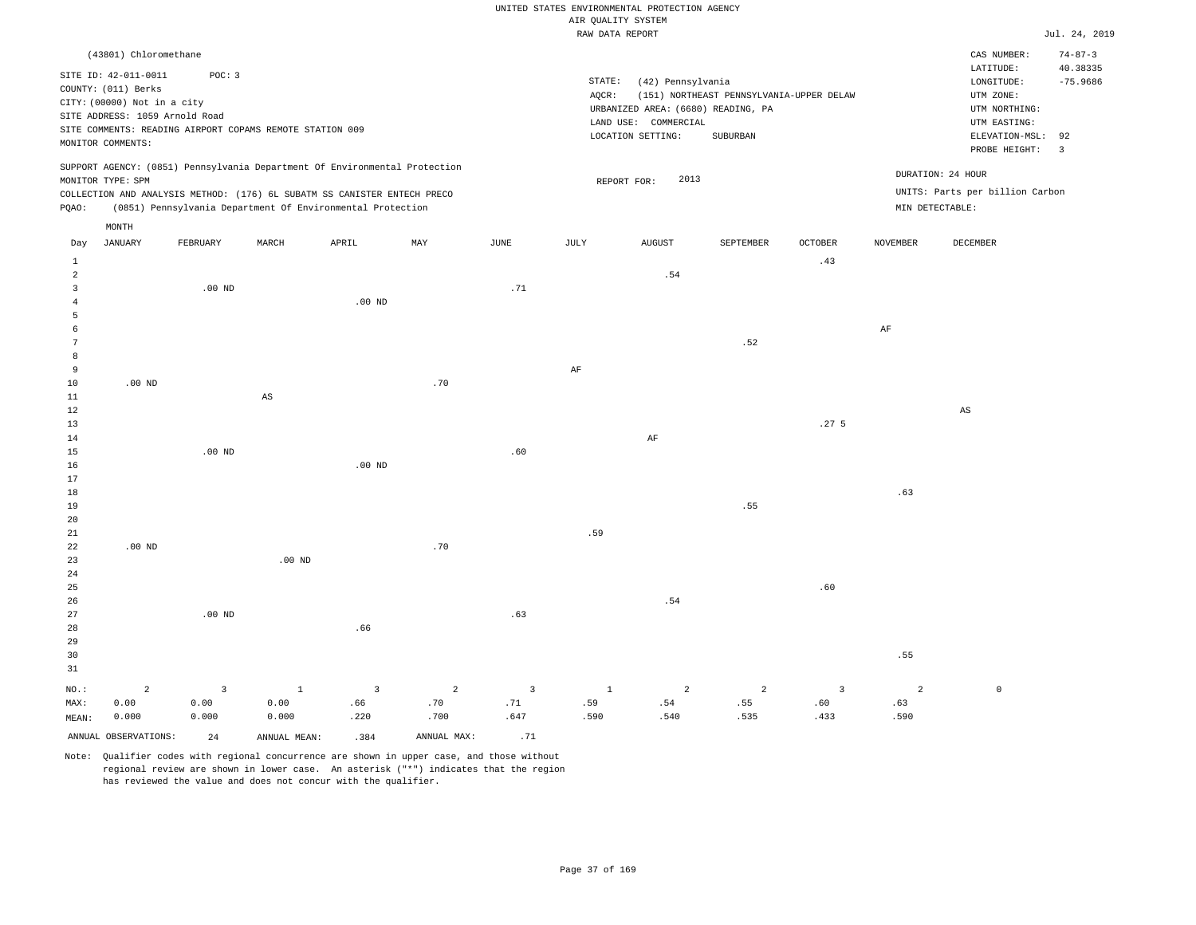|                                                                                                                                                                                                                                                             | RAW DATA REPORT                                                                                                                                                                    | Jul. 24, 2019                                                                                                                                                              |
|-------------------------------------------------------------------------------------------------------------------------------------------------------------------------------------------------------------------------------------------------------------|------------------------------------------------------------------------------------------------------------------------------------------------------------------------------------|----------------------------------------------------------------------------------------------------------------------------------------------------------------------------|
| (43801) Chloromethane<br>SITE ID: 42-011-0011<br>POC: 3<br>COUNTY: (011) Berks<br>CITY: (00000) Not in a city<br>SITE ADDRESS: 1059 Arnold Road<br>SITE COMMENTS: READING AIRPORT COPAMS REMOTE STATION 009<br>MONITOR COMMENTS:                            | STATE:<br>(42) Pennsylvania<br>(151) NORTHEAST PENNSYLVANIA-UPPER DELAW<br>AOCR:<br>URBANIZED AREA: (6680) READING, PA<br>COMMERCIAL<br>LAND USE:<br>SUBURBAN<br>LOCATION SETTING: | $74 - 87 - 3$<br>CAS NUMBER:<br>LATITUDE:<br>40.38335<br>$-75.9686$<br>LONGITUDE:<br>UTM ZONE:<br>UTM NORTHING:<br>UTM EASTING:<br>ELEVATION-MSL: 92<br>PROBE HEIGHT:<br>3 |
| SUPPORT AGENCY: (0851) Pennsylvania Department Of Environmental Protection<br>MONITOR TYPE: SPM<br>COLLECTION AND ANALYSIS METHOD: (176) 6L SUBATM SS CANISTER ENTECH PRECO<br>(0851) Pennsylvania Department Of Environmental Protection<br>POAO:<br>MONTH | 2013<br>REPORT FOR:                                                                                                                                                                | DURATION: 24 HOUR<br>UNITS: Parts per billion Carbon<br>MIN DETECTABLE:                                                                                                    |

| Day            | JANUARY              | FEBRUARY                | MARCH                  | APRIL                   | MAY         | JUNE                           | JULY                         | AUGUST                        | SEPTEMBER                    | OCTOBER                                                                                                                                                                                                                                                                 | NOVEMBER       | DECEMBER               |
|----------------|----------------------|-------------------------|------------------------|-------------------------|-------------|--------------------------------|------------------------------|-------------------------------|------------------------------|-------------------------------------------------------------------------------------------------------------------------------------------------------------------------------------------------------------------------------------------------------------------------|----------------|------------------------|
| $\mathbf{1}$   |                      |                         |                        |                         |             |                                |                              |                               |                              | .43                                                                                                                                                                                                                                                                     |                |                        |
| $\sqrt{2}$     |                      |                         |                        |                         |             |                                |                              | $\footnotesize\substack{54}$  |                              |                                                                                                                                                                                                                                                                         |                |                        |
| 3              |                      | .00 $ND$                |                        |                         |             | .71                            |                              |                               |                              |                                                                                                                                                                                                                                                                         |                |                        |
| $\overline{4}$ |                      |                         |                        | $.00$ ND                |             |                                |                              |                               |                              |                                                                                                                                                                                                                                                                         |                |                        |
| 5              |                      |                         |                        |                         |             |                                |                              |                               |                              |                                                                                                                                                                                                                                                                         |                |                        |
| 6              |                      |                         |                        |                         |             |                                |                              |                               |                              |                                                                                                                                                                                                                                                                         | $\rm{AF}$      |                        |
| 7              |                      |                         |                        |                         |             |                                |                              |                               | .52                          |                                                                                                                                                                                                                                                                         |                |                        |
| 8              |                      |                         |                        |                         |             |                                |                              |                               |                              |                                                                                                                                                                                                                                                                         |                |                        |
| 9              |                      |                         |                        |                         |             |                                | $\rm AF$                     |                               |                              |                                                                                                                                                                                                                                                                         |                |                        |
| 10             | .00 $ND$             |                         |                        |                         | .70         |                                |                              |                               |                              |                                                                                                                                                                                                                                                                         |                |                        |
| 11             |                      |                         | $\mathbb{A}\mathbb{S}$ |                         |             |                                |                              |                               |                              |                                                                                                                                                                                                                                                                         |                |                        |
| $12\,$         |                      |                         |                        |                         |             |                                |                              |                               |                              |                                                                                                                                                                                                                                                                         |                | $\mathbb{A}\mathbb{S}$ |
| 13             |                      |                         |                        |                         |             |                                |                              |                               |                              | .27 <sub>5</sub>                                                                                                                                                                                                                                                        |                |                        |
| $14\,$         |                      |                         |                        |                         |             |                                |                              | $\rm AF$                      |                              |                                                                                                                                                                                                                                                                         |                |                        |
| 15             |                      | .00 $ND$                |                        |                         |             | .60                            |                              |                               |                              |                                                                                                                                                                                                                                                                         |                |                        |
| $16$           |                      |                         |                        | .00 $ND$                |             |                                |                              |                               |                              |                                                                                                                                                                                                                                                                         |                |                        |
| $17\,$         |                      |                         |                        |                         |             |                                |                              |                               |                              |                                                                                                                                                                                                                                                                         |                |                        |
| 18             |                      |                         |                        |                         |             |                                |                              |                               |                              |                                                                                                                                                                                                                                                                         | .63            |                        |
| $19$           |                      |                         |                        |                         |             |                                |                              |                               | .55                          |                                                                                                                                                                                                                                                                         |                |                        |
| $20\,$         |                      |                         |                        |                         |             |                                |                              |                               |                              |                                                                                                                                                                                                                                                                         |                |                        |
| $2\sqrt{1}$    |                      |                         |                        |                         |             |                                | .59                          |                               |                              |                                                                                                                                                                                                                                                                         |                |                        |
| 22             | .00 $ND$             |                         |                        |                         | .70         |                                |                              |                               |                              |                                                                                                                                                                                                                                                                         |                |                        |
| 23             |                      |                         | .00 <sub>ND</sub>      |                         |             |                                |                              |                               |                              |                                                                                                                                                                                                                                                                         |                |                        |
| 24             |                      |                         |                        |                         |             |                                |                              |                               |                              |                                                                                                                                                                                                                                                                         |                |                        |
| 25             |                      |                         |                        |                         |             |                                |                              |                               |                              | $\footnotesize\substack{~~\cdots\\ \phantom{.} \phantom{.} \phantom{.} \phantom{.} \phantom{.} \phantom{.} \phantom{.} \phantom{.} \phantom{.} \phantom{.} \phantom{.} \phantom{.} \phantom{.} \phantom{.} \phantom{.} \phantom{.} \phantom{.} \phantom{.} \phantom{.}$ |                |                        |
| 26             |                      |                         |                        |                         |             |                                |                              | .54                           |                              |                                                                                                                                                                                                                                                                         |                |                        |
| 27             |                      | $.00$ ND                |                        |                         |             | .63                            |                              |                               |                              |                                                                                                                                                                                                                                                                         |                |                        |
| 28             |                      |                         |                        | .66                     |             |                                |                              |                               |                              |                                                                                                                                                                                                                                                                         |                |                        |
| 29             |                      |                         |                        |                         |             |                                |                              |                               |                              |                                                                                                                                                                                                                                                                         |                |                        |
| 30             |                      |                         |                        |                         |             |                                |                              |                               |                              |                                                                                                                                                                                                                                                                         | .55            |                        |
| 31             |                      |                         |                        |                         |             |                                |                              |                               |                              |                                                                                                                                                                                                                                                                         |                |                        |
| $_{\rm NO.}$ : | $\overline{a}$       | $\overline{\mathbf{3}}$ | $\mathbf{1}$           | $\overline{\mathbf{3}}$ | $\sqrt{2}$  | $\overline{\mathbf{3}}$        | $\,$ 1                       | $\sqrt{2}$                    | $\overline{a}$               | $\overline{\mathbf{3}}$                                                                                                                                                                                                                                                 | $\overline{a}$ | $\,0\,$                |
| MAX:           | 0.00                 | 0.00                    | 0.00                   | .66                     | .70         | $\footnotesize\substack{+ 71}$ | $\footnotesize\substack{59}$ | $\footnotesize\substack{+54}$ | $\footnotesize\substack{55}$ | $\footnotesize{\textbf{.60}}$                                                                                                                                                                                                                                           | .63            |                        |
| MEAN:          | 0.000                | 0.000                   | 0.000                  | .220                    | .700        | .647                           | .590                         | .540                          | .535                         | .433                                                                                                                                                                                                                                                                    | .590           |                        |
|                | ANNUAL OBSERVATIONS: | 24                      | ANNUAL MEAN:           | .384                    | ANNUAL MAX: | .71                            |                              |                               |                              |                                                                                                                                                                                                                                                                         |                |                        |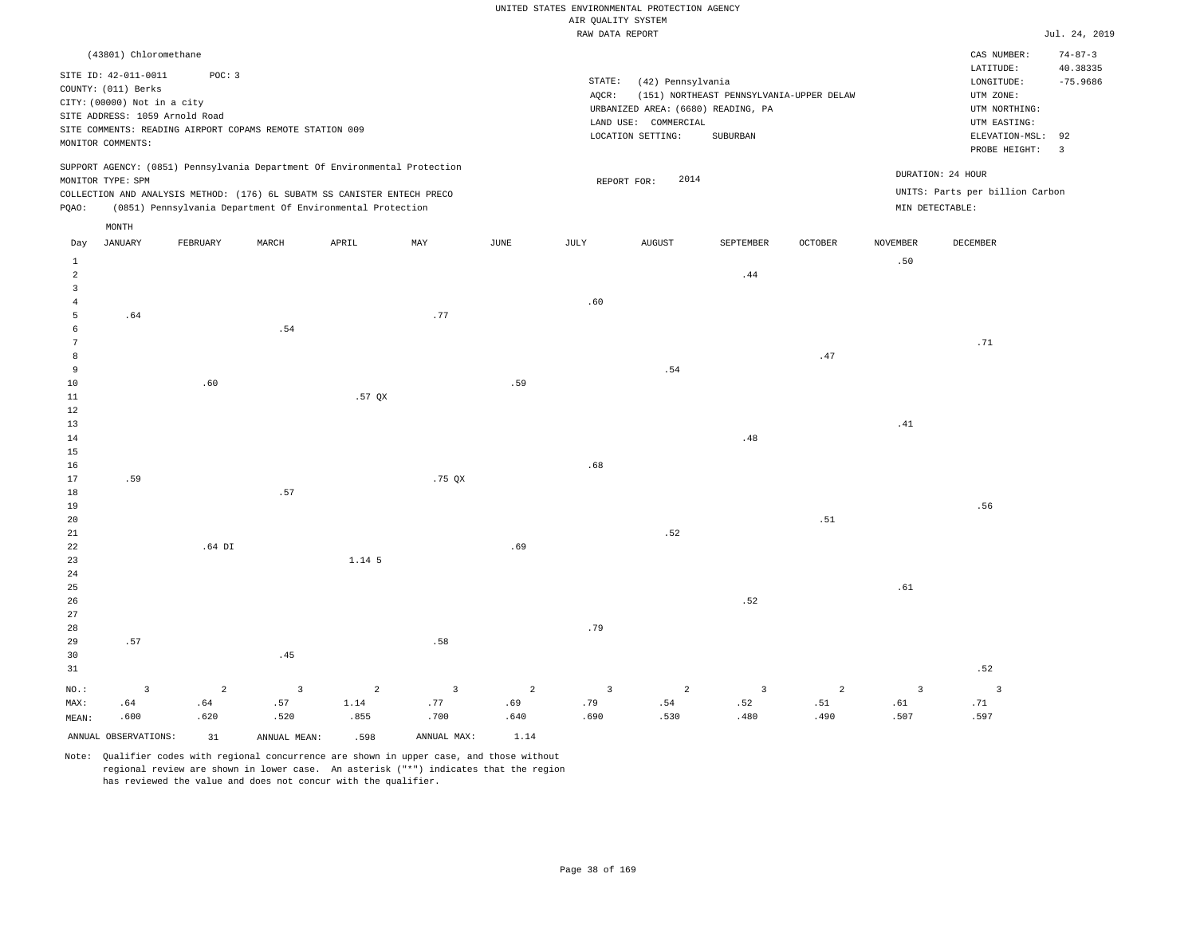|                                           |                                                                                                                                   |          |                                                                            |        |                |                       | RAW DATA REPORT |                                                                                                      |                                                      |                |                 |                                                                               | Jul. 24, 2019             |
|-------------------------------------------|-----------------------------------------------------------------------------------------------------------------------------------|----------|----------------------------------------------------------------------------|--------|----------------|-----------------------|-----------------|------------------------------------------------------------------------------------------------------|------------------------------------------------------|----------------|-----------------|-------------------------------------------------------------------------------|---------------------------|
|                                           | (43801) Chloromethane                                                                                                             |          |                                                                            |        |                |                       |                 |                                                                                                      |                                                      |                |                 | CAS NUMBER:<br>LATITUDE:                                                      | $74 - 87 - 3$<br>40.38335 |
|                                           | SITE ID: 42-011-0011<br>COUNTY: (011) Berks<br>CITY: (00000) Not in a city<br>SITE ADDRESS: 1059 Arnold Road<br>MONITOR COMMENTS: | POC: 3   | SITE COMMENTS: READING AIRPORT COPAMS REMOTE STATION 009                   |        |                |                       | STATE:<br>AQCR: | (42) Pennsylvania<br>URBANIZED AREA: (6680) READING, PA<br>LAND USE: COMMERCIAL<br>LOCATION SETTING: | (151) NORTHEAST PENNSYLVANIA-UPPER DELAW<br>SUBURBAN |                |                 | LONGITUDE:<br>UTM ZONE:<br>UTM NORTHING:<br>UTM EASTING:<br>ELEVATION-MSL: 92 | $-75.9686$                |
|                                           |                                                                                                                                   |          |                                                                            |        |                |                       |                 |                                                                                                      |                                                      |                |                 | PROBE HEIGHT:                                                                 | $\overline{3}$            |
|                                           | MONITOR TYPE: SPM                                                                                                                 |          | SUPPORT AGENCY: (0851) Pennsylvania Department Of Environmental Protection |        |                |                       |                 | 2014<br>REPORT FOR:                                                                                  |                                                      |                |                 | DURATION: 24 HOUR                                                             |                           |
|                                           |                                                                                                                                   |          | COLLECTION AND ANALYSIS METHOD: (176) 6L SUBATM SS CANISTER ENTECH PRECO   |        |                |                       |                 |                                                                                                      |                                                      |                |                 | UNITS: Parts per billion Carbon                                               |                           |
| PQAO:                                     |                                                                                                                                   |          | (0851) Pennsylvania Department Of Environmental Protection                 |        |                |                       |                 |                                                                                                      |                                                      |                |                 | MIN DETECTABLE:                                                               |                           |
|                                           | MONTH                                                                                                                             |          |                                                                            |        |                |                       |                 |                                                                                                      |                                                      |                |                 |                                                                               |                           |
| Day                                       | <b>JANUARY</b>                                                                                                                    | FEBRUARY | MARCH                                                                      | APRIL  | MAY            | <b>JUNE</b>           | <b>JULY</b>     | ${\tt AUGUST}$                                                                                       | SEPTEMBER                                            | <b>OCTOBER</b> | <b>NOVEMBER</b> | DECEMBER                                                                      |                           |
| $\mathbf{1}$                              |                                                                                                                                   |          |                                                                            |        |                |                       |                 |                                                                                                      |                                                      |                | .50             |                                                                               |                           |
| 2                                         |                                                                                                                                   |          |                                                                            |        |                |                       |                 |                                                                                                      | .44                                                  |                |                 |                                                                               |                           |
| $\overline{\mathbf{3}}$<br>$\overline{4}$ |                                                                                                                                   |          |                                                                            |        |                |                       | .60             |                                                                                                      |                                                      |                |                 |                                                                               |                           |
| 5                                         | .64                                                                                                                               |          |                                                                            |        | .77            |                       |                 |                                                                                                      |                                                      |                |                 |                                                                               |                           |
| $\epsilon$                                |                                                                                                                                   |          | .54                                                                        |        |                |                       |                 |                                                                                                      |                                                      |                |                 |                                                                               |                           |
| $7\phantom{.0}$                           |                                                                                                                                   |          |                                                                            |        |                |                       |                 |                                                                                                      |                                                      |                |                 | .71                                                                           |                           |
| 8<br>9                                    |                                                                                                                                   |          |                                                                            |        |                |                       |                 | .54                                                                                                  |                                                      | .47            |                 |                                                                               |                           |
| $10$                                      |                                                                                                                                   | .60      |                                                                            |        |                | .59                   |                 |                                                                                                      |                                                      |                |                 |                                                                               |                           |
| 11                                        |                                                                                                                                   |          |                                                                            | .57QX  |                |                       |                 |                                                                                                      |                                                      |                |                 |                                                                               |                           |
| 12                                        |                                                                                                                                   |          |                                                                            |        |                |                       |                 |                                                                                                      |                                                      |                |                 |                                                                               |                           |
| 13<br>14                                  |                                                                                                                                   |          |                                                                            |        |                |                       |                 |                                                                                                      | .48                                                  |                | .41             |                                                                               |                           |
| 15                                        |                                                                                                                                   |          |                                                                            |        |                |                       |                 |                                                                                                      |                                                      |                |                 |                                                                               |                           |
| 16                                        |                                                                                                                                   |          |                                                                            |        |                |                       | .68             |                                                                                                      |                                                      |                |                 |                                                                               |                           |
| 17                                        | .59                                                                                                                               |          |                                                                            |        | .75QX          |                       |                 |                                                                                                      |                                                      |                |                 |                                                                               |                           |
| $1\,8$                                    |                                                                                                                                   |          | .57                                                                        |        |                |                       |                 |                                                                                                      |                                                      |                |                 |                                                                               |                           |
| 19<br>20                                  |                                                                                                                                   |          |                                                                            |        |                |                       |                 |                                                                                                      |                                                      | .51            |                 | .56                                                                           |                           |
| 21                                        |                                                                                                                                   |          |                                                                            |        |                |                       |                 | .52                                                                                                  |                                                      |                |                 |                                                                               |                           |
| 22                                        |                                                                                                                                   | $.64$ DI |                                                                            |        |                | .69                   |                 |                                                                                                      |                                                      |                |                 |                                                                               |                           |
| 23                                        |                                                                                                                                   |          |                                                                            | 1.14 5 |                |                       |                 |                                                                                                      |                                                      |                |                 |                                                                               |                           |
| 24<br>25                                  |                                                                                                                                   |          |                                                                            |        |                |                       |                 |                                                                                                      |                                                      |                | .61             |                                                                               |                           |
| 26                                        |                                                                                                                                   |          |                                                                            |        |                |                       |                 |                                                                                                      | .52                                                  |                |                 |                                                                               |                           |
| 27                                        |                                                                                                                                   |          |                                                                            |        |                |                       |                 |                                                                                                      |                                                      |                |                 |                                                                               |                           |
| 28                                        |                                                                                                                                   |          |                                                                            |        |                |                       | .79             |                                                                                                      |                                                      |                |                 |                                                                               |                           |
| 29                                        | .57                                                                                                                               |          |                                                                            |        | .58            |                       |                 |                                                                                                      |                                                      |                |                 |                                                                               |                           |
| 30<br>31                                  |                                                                                                                                   |          | .45                                                                        |        |                |                       |                 |                                                                                                      |                                                      |                |                 | .52                                                                           |                           |
| NO.:                                      | $\overline{3}$                                                                                                                    | 2        |                                                                            | 2      | $\overline{3}$ |                       | $\overline{3}$  | 2                                                                                                    | $\overline{3}$                                       | 2              | $\overline{3}$  | $\overline{3}$                                                                |                           |
| MAX:                                      | .64                                                                                                                               | .64      | $\overline{\mathbf{3}}$<br>.57                                             | 1.14   | .77            | $\overline{a}$<br>.69 | .79             | .54                                                                                                  | .52                                                  | .51            | .61             | .71                                                                           |                           |
| MEAN:                                     | .600                                                                                                                              | .620     | .520                                                                       | .855   | .700           | .640                  | .690            | .530                                                                                                 | .480                                                 | .490           | .507            | .597                                                                          |                           |
|                                           | ANNUAL OBSERVATIONS:                                                                                                              | 31       | ANNUAL MEAN:                                                               | .598   | ANNUAL MAX:    | 1.14                  |                 |                                                                                                      |                                                      |                |                 |                                                                               |                           |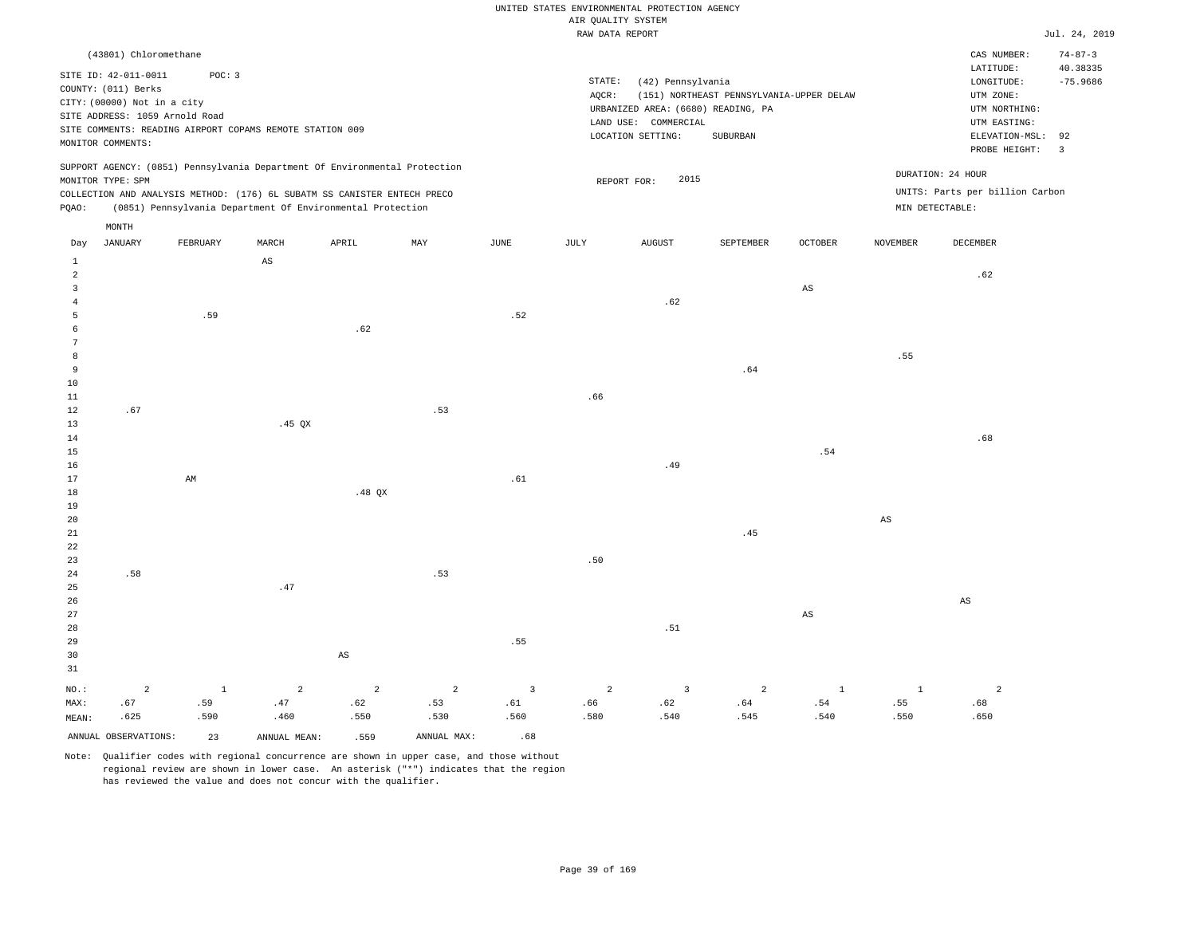|                                                                                                                                                                                                                                                             | RAW DATA REPORT                                                                                                                                                                    | Jul. 24, 2019                                                                                                                                                              |
|-------------------------------------------------------------------------------------------------------------------------------------------------------------------------------------------------------------------------------------------------------------|------------------------------------------------------------------------------------------------------------------------------------------------------------------------------------|----------------------------------------------------------------------------------------------------------------------------------------------------------------------------|
| (43801) Chloromethane<br>SITE ID: 42-011-0011<br>POC: 3<br>COUNTY: (011) Berks<br>CITY: (00000) Not in a city<br>SITE ADDRESS: 1059 Arnold Road<br>SITE COMMENTS: READING AIRPORT COPAMS REMOTE STATION 009<br>MONITOR COMMENTS:                            | STATE:<br>(42) Pennsylvania<br>AOCR:<br>(151) NORTHEAST PENNSYLVANIA-UPPER DELAW<br>URBANIZED AREA: (6680) READING, PA<br>COMMERCIAL<br>LAND USE:<br>LOCATION SETTING:<br>SUBURBAN | $74 - 87 - 3$<br>CAS NUMBER:<br>LATITUDE:<br>40.38335<br>$-75.9686$<br>LONGITUDE:<br>UTM ZONE:<br>UTM NORTHING:<br>UTM EASTING:<br>ELEVATION-MSL: 92<br>PROBE HEIGHT:<br>3 |
| SUPPORT AGENCY: (0851) Pennsylvania Department Of Environmental Protection<br>MONITOR TYPE: SPM<br>COLLECTION AND ANALYSIS METHOD: (176) 6L SUBATM SS CANISTER ENTECH PRECO<br>(0851) Pennsylvania Department Of Environmental Protection<br>POAO:<br>MONTH | 2015<br>REPORT FOR:                                                                                                                                                                | DURATION: 24 HOUR<br>UNITS: Parts per billion Carbon<br>MIN DETECTABLE:                                                                                                    |

| Day            | JANUARY              | FEBRUARY               | MARCH                         | APRIL                  | MAY            | JUNE           | JULY           | AUGUST                        | SEPTEMBER                                 | OCTOBER                      | NOVEMBER               | DECEMBER               |
|----------------|----------------------|------------------------|-------------------------------|------------------------|----------------|----------------|----------------|-------------------------------|-------------------------------------------|------------------------------|------------------------|------------------------|
| $\mathbf{1}$   |                      |                        | $\mathbb{A}\mathbb{S}$        |                        |                |                |                |                               |                                           |                              |                        |                        |
| $\sqrt{2}$     |                      |                        |                               |                        |                |                |                |                               |                                           |                              |                        | .62                    |
| 3              |                      |                        |                               |                        |                |                |                |                               |                                           | $_{\rm AS}$                  |                        |                        |
| 4              |                      |                        |                               |                        |                |                |                | .62                           |                                           |                              |                        |                        |
| 5              |                      | .59                    |                               |                        |                | .52            |                |                               |                                           |                              |                        |                        |
| 6              |                      |                        |                               | .62                    |                |                |                |                               |                                           |                              |                        |                        |
| 7              |                      |                        |                               |                        |                |                |                |                               |                                           |                              |                        |                        |
| 8              |                      |                        |                               |                        |                |                |                |                               |                                           |                              | .55                    |                        |
| 9              |                      |                        |                               |                        |                |                |                |                               | .64                                       |                              |                        |                        |
| $10$           |                      |                        |                               |                        |                |                |                |                               |                                           |                              |                        |                        |
| $11\,$         |                      |                        |                               |                        |                |                | .66            |                               |                                           |                              |                        |                        |
| $12$           | .67                  |                        |                               |                        | .53            |                |                |                               |                                           |                              |                        |                        |
| 13             |                      |                        | .45 $QX$                      |                        |                |                |                |                               |                                           |                              |                        |                        |
| $14\,$         |                      |                        |                               |                        |                |                |                |                               |                                           |                              |                        | .68                    |
| 15<br>$16\,$   |                      |                        |                               |                        |                |                |                | .49                           |                                           | $\, . \, 54$                 |                        |                        |
| $17\,$         |                      | $\mathbb{A}\mathbb{M}$ |                               |                        |                | $.61\,$        |                |                               |                                           |                              |                        |                        |
| 18             |                      |                        |                               | .48 $QX$               |                |                |                |                               |                                           |                              |                        |                        |
| $19$           |                      |                        |                               |                        |                |                |                |                               |                                           |                              |                        |                        |
| $20\,$         |                      |                        |                               |                        |                |                |                |                               |                                           |                              | $\mathbb{A}\mathbb{S}$ |                        |
| $2\sqrt{1}$    |                      |                        |                               |                        |                |                |                |                               | .45                                       |                              |                        |                        |
| $_{\rm 22}$    |                      |                        |                               |                        |                |                |                |                               |                                           |                              |                        |                        |
| 23             |                      |                        |                               |                        |                |                | $.50\,$        |                               |                                           |                              |                        |                        |
| $2\sqrt{4}$    | .58                  |                        |                               |                        | .53            |                |                |                               |                                           |                              |                        |                        |
| 25             |                      |                        | .47                           |                        |                |                |                |                               |                                           |                              |                        |                        |
| 26             |                      |                        |                               |                        |                |                |                |                               |                                           |                              |                        | $\mathbb{A}\mathbb{S}$ |
| $2\,7$         |                      |                        |                               |                        |                |                |                |                               |                                           | $_{\rm AS}$                  |                        |                        |
| $_{\rm 28}$    |                      |                        |                               |                        |                |                |                | $\footnotesize\substack{51}$  |                                           |                              |                        |                        |
| $29$           |                      |                        |                               |                        |                | .55            |                |                               |                                           |                              |                        |                        |
| 30             |                      |                        |                               | $\mathbb{A}\mathbb{S}$ |                |                |                |                               |                                           |                              |                        |                        |
| 31             |                      |                        |                               |                        |                |                |                |                               |                                           |                              |                        |                        |
| $_{\rm NO.}$ : | $\overline{a}$       | $\mathbf{1}$           | $\overline{a}$                | $\overline{a}$         | $\overline{a}$ | $\overline{3}$ | $\overline{a}$ | $\overline{\mathbf{3}}$       | $\sqrt{2}$                                | $\,$ 1 $\,$                  | $\mathbf 1$            | $\overline{a}$         |
| MAX:           | .67                  | .59                    | $\footnotesize{\texttt{.47}}$ | .62                    | .53            | .61            | .66            | $\footnotesize{\texttt{.62}}$ | $% \left( \left( 4\right) \right)$ . $64$ | $\footnotesize\substack{54}$ | .55                    | .68                    |
| MEAN:          | .625                 | .590                   | .460                          | .550                   | .530           | .560           | .580           | .540                          | .545                                      | .540                         | .550                   | .650                   |
|                | ANNUAL OBSERVATIONS: | 23                     | ANNUAL MEAN:                  | .559                   | ANNUAL MAX:    | .68            |                |                               |                                           |                              |                        |                        |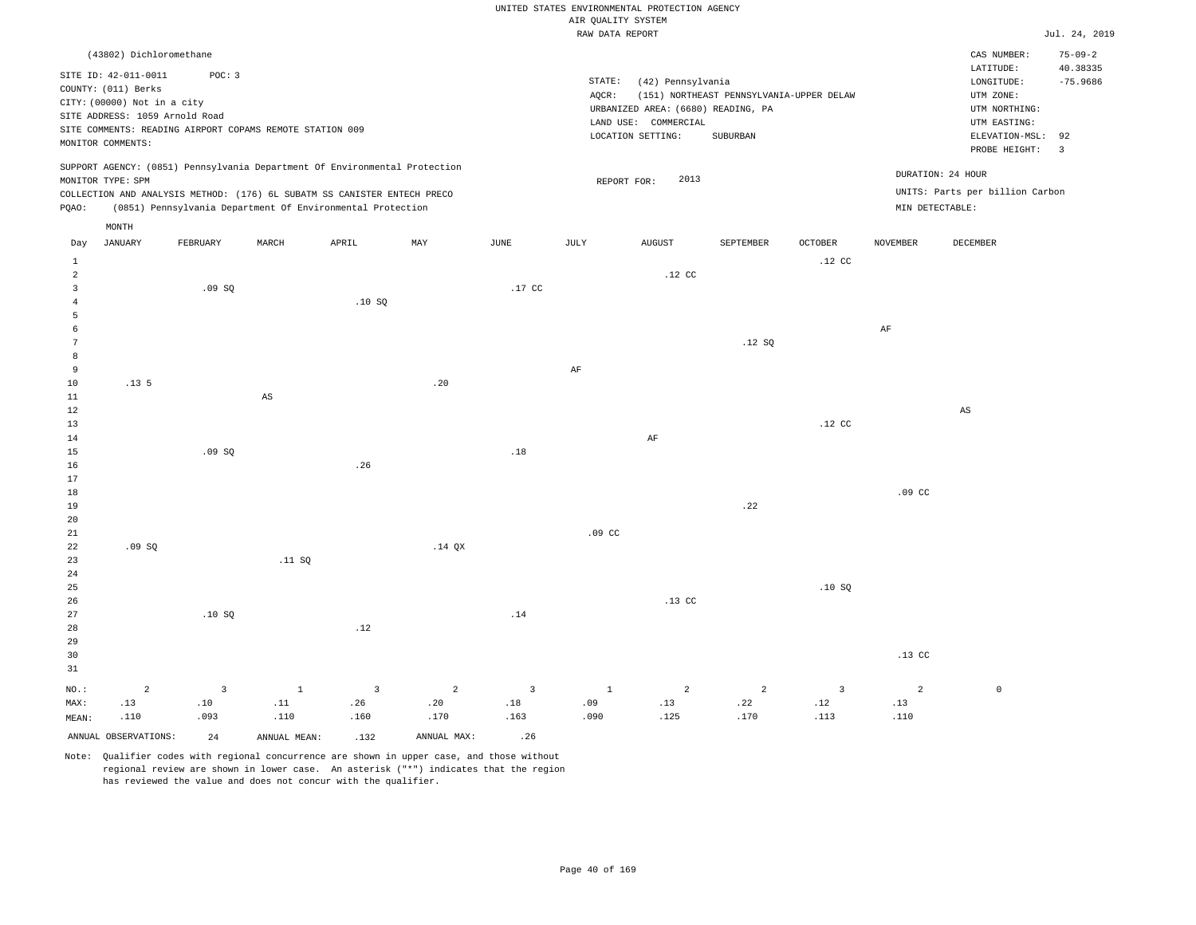|                         |                                                    |                |                                                                            |                         |                |                         |                    | UNITED STATES ENVIRONMENTAL PROTECTION AGENCY |                                          |                  |                  |                                     |                               |
|-------------------------|----------------------------------------------------|----------------|----------------------------------------------------------------------------|-------------------------|----------------|-------------------------|--------------------|-----------------------------------------------|------------------------------------------|------------------|------------------|-------------------------------------|-------------------------------|
|                         |                                                    |                |                                                                            |                         |                |                         | AIR QUALITY SYSTEM |                                               |                                          |                  |                  |                                     |                               |
|                         |                                                    |                |                                                                            |                         |                |                         | RAW DATA REPORT    |                                               |                                          |                  |                  |                                     | Jul. 24, 2019                 |
|                         | (43802) Dichloromethane                            |                |                                                                            |                         |                |                         |                    |                                               |                                          |                  |                  | CAS NUMBER:                         | $75 - 09 - 2$                 |
|                         | SITE ID: 42-011-0011                               | POC: 3         |                                                                            |                         |                |                         | STATE:             | (42) Pennsylvania                             |                                          |                  |                  | LATITUDE:<br>$\texttt{LONGITUDE}$ : | 40.38335<br>$-75.9686$        |
|                         | COUNTY: (011) Berks<br>CITY: (00000) Not in a city |                |                                                                            |                         |                |                         | AOCR:              |                                               | (151) NORTHEAST PENNSYLVANIA-UPPER DELAW |                  |                  | UTM ZONE:                           |                               |
|                         | SITE ADDRESS: 1059 Arnold Road                     |                |                                                                            |                         |                |                         |                    | URBANIZED AREA: (6680) READING, PA            |                                          |                  |                  | UTM NORTHING:                       |                               |
|                         |                                                    |                | SITE COMMENTS: READING AIRPORT COPAMS REMOTE STATION 009                   |                         |                |                         |                    | LAND USE: COMMERCIAL                          |                                          |                  |                  | UTM EASTING:                        |                               |
|                         | MONITOR COMMENTS:                                  |                |                                                                            |                         |                |                         |                    | LOCATION SETTING:                             | SUBURBAN                                 |                  |                  | ELEVATION-MSL:<br>PROBE HEIGHT:     | 92<br>$\overline{\mathbf{3}}$ |
|                         |                                                    |                | SUPPORT AGENCY: (0851) Pennsylvania Department Of Environmental Protection |                         |                |                         |                    |                                               |                                          |                  |                  |                                     |                               |
|                         | MONITOR TYPE: SPM                                  |                |                                                                            |                         |                |                         | REPORT FOR:        | 2013                                          |                                          |                  |                  | DURATION: 24 HOUR                   |                               |
|                         |                                                    |                | COLLECTION AND ANALYSIS METHOD: (176) 6L SUBATM SS CANISTER ENTECH PRECO   |                         |                |                         |                    |                                               |                                          |                  |                  | UNITS: Parts per billion Carbon     |                               |
| PQAO:                   |                                                    |                | (0851) Pennsylvania Department Of Environmental Protection                 |                         |                |                         |                    |                                               |                                          |                  | MIN DETECTABLE:  |                                     |                               |
|                         | MONTH<br><b>JANUARY</b>                            | FEBRUARY       | MARCH                                                                      | APRIL                   | MAX            | $\operatorname{JUNE}$   | $\mathtt{JULY}$    | <b>AUGUST</b>                                 | SEPTEMBER                                | OCTOBER          | <b>NOVEMBER</b>  | DECEMBER                            |                               |
| Day<br>$\mathbf{1}$     |                                                    |                |                                                                            |                         |                |                         |                    |                                               |                                          | .12 <sub>c</sub> |                  |                                     |                               |
| 2                       |                                                    |                |                                                                            |                         |                |                         |                    | .12 <sub>c</sub>                              |                                          |                  |                  |                                     |                               |
| $\overline{\mathbf{3}}$ |                                                    | .09SQ          |                                                                            |                         |                | .17 CC                  |                    |                                               |                                          |                  |                  |                                     |                               |
| 4                       |                                                    |                |                                                                            | .10S                    |                |                         |                    |                                               |                                          |                  |                  |                                     |                               |
| 5                       |                                                    |                |                                                                            |                         |                |                         |                    |                                               |                                          |                  |                  |                                     |                               |
| 6                       |                                                    |                |                                                                            |                         |                |                         |                    |                                               |                                          |                  | $\rm{AF}$        |                                     |                               |
| 7                       |                                                    |                |                                                                            |                         |                |                         |                    |                                               | .12S                                     |                  |                  |                                     |                               |
| 8<br>9                  |                                                    |                |                                                                            |                         |                |                         | AF                 |                                               |                                          |                  |                  |                                     |                               |
| $10$                    | .13.5                                              |                |                                                                            |                         | .20            |                         |                    |                                               |                                          |                  |                  |                                     |                               |
| 11                      |                                                    |                | $\mathbb{A}\mathbb{S}$                                                     |                         |                |                         |                    |                                               |                                          |                  |                  |                                     |                               |
| 12                      |                                                    |                |                                                                            |                         |                |                         |                    |                                               |                                          |                  |                  | $\mathbb{A}\mathbb{S}$              |                               |
| $13$                    |                                                    |                |                                                                            |                         |                |                         |                    |                                               |                                          | $.12$ CC         |                  |                                     |                               |
| 14                      |                                                    |                |                                                                            |                         |                |                         |                    | AF                                            |                                          |                  |                  |                                     |                               |
| 15                      |                                                    | .09 SQ         |                                                                            |                         |                | $.18\,$                 |                    |                                               |                                          |                  |                  |                                     |                               |
| 16<br>17                |                                                    |                |                                                                            | .26                     |                |                         |                    |                                               |                                          |                  |                  |                                     |                               |
| $1\,8$                  |                                                    |                |                                                                            |                         |                |                         |                    |                                               |                                          |                  | .09 <sub>c</sub> |                                     |                               |
| 19                      |                                                    |                |                                                                            |                         |                |                         |                    |                                               | .22                                      |                  |                  |                                     |                               |
| 20                      |                                                    |                |                                                                            |                         |                |                         |                    |                                               |                                          |                  |                  |                                     |                               |
| 21                      |                                                    |                |                                                                            |                         |                |                         | .09 <sub>c</sub>   |                                               |                                          |                  |                  |                                     |                               |
| 22                      | .09SQ                                              |                |                                                                            |                         | $.14$ QX       |                         |                    |                                               |                                          |                  |                  |                                     |                               |
| 23                      |                                                    |                | .11 SQ                                                                     |                         |                |                         |                    |                                               |                                          |                  |                  |                                     |                               |
| 24                      |                                                    |                |                                                                            |                         |                |                         |                    |                                               |                                          |                  |                  |                                     |                               |
| 25<br>26                |                                                    |                |                                                                            |                         |                |                         |                    | .13 <sub>c</sub>                              |                                          | .10SQ            |                  |                                     |                               |
| 27                      |                                                    | .10SQ          |                                                                            |                         |                | .14                     |                    |                                               |                                          |                  |                  |                                     |                               |
| 28                      |                                                    |                |                                                                            | .12                     |                |                         |                    |                                               |                                          |                  |                  |                                     |                               |
| 29                      |                                                    |                |                                                                            |                         |                |                         |                    |                                               |                                          |                  |                  |                                     |                               |
| 30                      |                                                    |                |                                                                            |                         |                |                         |                    |                                               |                                          |                  | .13 <sub>c</sub> |                                     |                               |
| 31                      |                                                    |                |                                                                            |                         |                |                         |                    |                                               |                                          |                  |                  |                                     |                               |
| NO.:                    | $\overline{a}$                                     | $\overline{3}$ | $\mathbf 1$                                                                | $\overline{\mathbf{3}}$ | $\overline{a}$ | $\overline{\mathbf{3}}$ | $1\,$              | $\overline{a}$                                | $\overline{a}$                           | $\mathbf{3}$     | $\overline{2}$   | $\mathbb O$                         |                               |
| MAX:                    | .13                                                | .10            | .11                                                                        | .26                     | .20            | .18                     | .09                | .13                                           | .22                                      | .12              | .13              |                                     |                               |
| MEAN:                   | .110                                               | .093           | .110                                                                       | .160                    | .170           | .163                    | .090               | .125                                          | .170                                     | .113             | .110             |                                     |                               |
|                         | ANNUAL OBSERVATIONS:                               | 2.4            | ANNUAL MEAN:                                                               | .132                    | ANNUAL MAX:    | .26                     |                    |                                               |                                          |                  |                  |                                     |                               |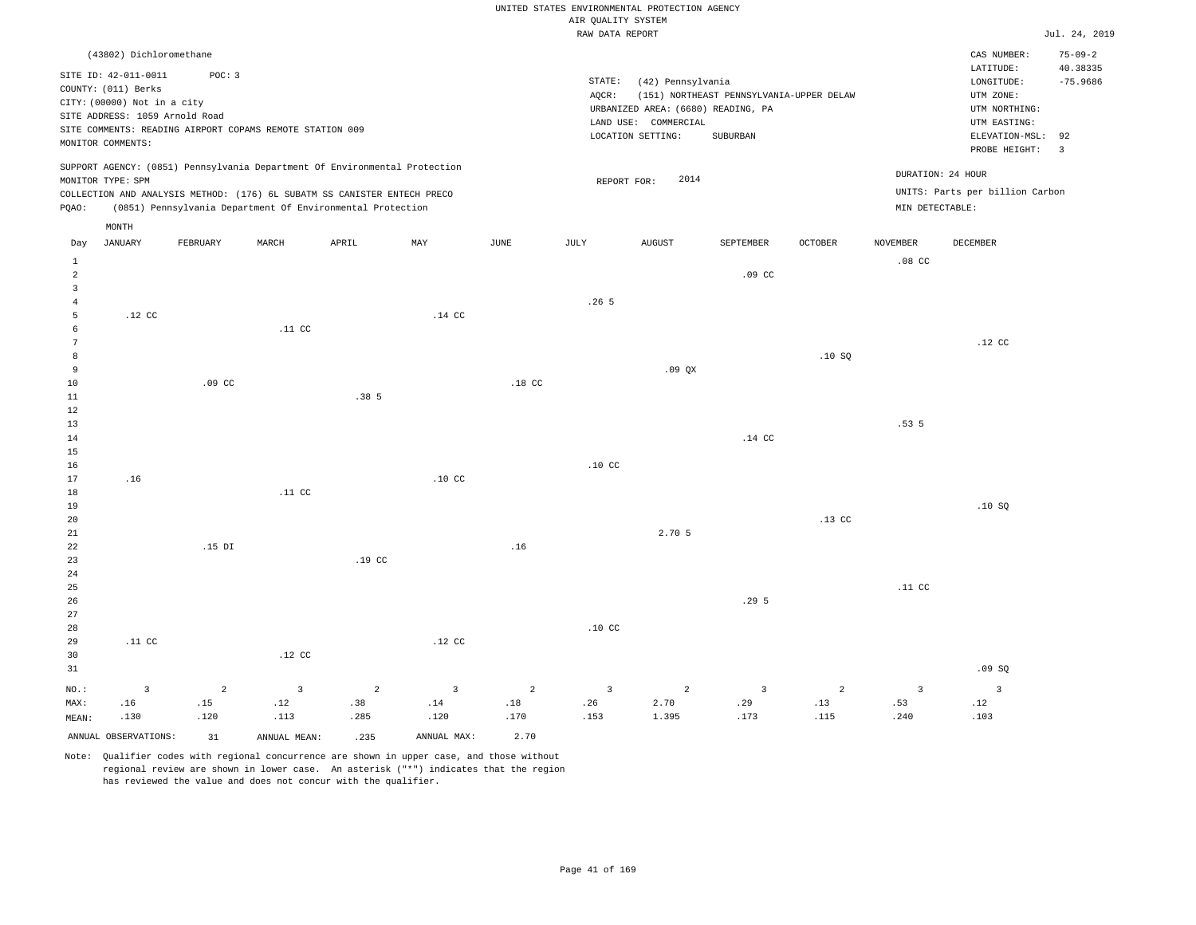|                                           |                                                                                                                                                              |                               |                                                          |                                                                                                                                                                                                                      |                               |                  | AIR QUALITY SYSTEM            | UNITED STATES ENVIRONMENTAL PROTECTION AGENCY                                                        |                                                      |                  |                               |                                                                                                                         |                                                                          |
|-------------------------------------------|--------------------------------------------------------------------------------------------------------------------------------------------------------------|-------------------------------|----------------------------------------------------------|----------------------------------------------------------------------------------------------------------------------------------------------------------------------------------------------------------------------|-------------------------------|------------------|-------------------------------|------------------------------------------------------------------------------------------------------|------------------------------------------------------|------------------|-------------------------------|-------------------------------------------------------------------------------------------------------------------------|--------------------------------------------------------------------------|
|                                           |                                                                                                                                                              |                               |                                                          |                                                                                                                                                                                                                      |                               |                  | RAW DATA REPORT               |                                                                                                      |                                                      |                  |                               |                                                                                                                         | Jul. 24, 2019                                                            |
|                                           | (43802) Dichloromethane<br>SITE ID: 42-011-0011<br>COUNTY: (011) Berks<br>CITY: (00000) Not in a city<br>SITE ADDRESS: 1059 Arnold Road<br>MONITOR COMMENTS: | POC: 3                        | SITE COMMENTS: READING AIRPORT COPAMS REMOTE STATION 009 |                                                                                                                                                                                                                      |                               |                  | STATE:<br>AQCR:               | (42) Pennsylvania<br>URBANIZED AREA: (6680) READING, PA<br>LAND USE: COMMERCIAL<br>LOCATION SETTING: | (151) NORTHEAST PENNSYLVANIA-UPPER DELAW<br>SUBURBAN |                  |                               | CAS NUMBER:<br>LATITUDE:<br>LONGITUDE:<br>UTM ZONE:<br>UTM NORTHING:<br>UTM EASTING:<br>ELEVATION-MSL:<br>PROBE HEIGHT: | $75 - 09 - 2$<br>40.38335<br>$-75.9686$<br>92<br>$\overline{\mathbf{3}}$ |
| PQAO:                                     | MONITOR TYPE: SPM                                                                                                                                            |                               |                                                          | SUPPORT AGENCY: (0851) Pennsylvania Department Of Environmental Protection<br>COLLECTION AND ANALYSIS METHOD: (176) 6L SUBATM SS CANISTER ENTECH PRECO<br>(0851) Pennsylvania Department Of Environmental Protection |                               |                  |                               | 2014<br>REPORT FOR:                                                                                  |                                                      |                  | MIN DETECTABLE:               | DURATION: 24 HOUR<br>UNITS: Parts per billion Carbon                                                                    |                                                                          |
|                                           | MONTH                                                                                                                                                        |                               |                                                          |                                                                                                                                                                                                                      |                               |                  |                               |                                                                                                      |                                                      |                  |                               |                                                                                                                         |                                                                          |
| Day<br>$\mathbf{1}$                       | <b>JANUARY</b>                                                                                                                                               | FEBRUARY                      | MARCH                                                    | APRIL                                                                                                                                                                                                                | MAY                           | JUNE             | JULY                          | <b>AUGUST</b>                                                                                        | SEPTEMBER                                            | <b>OCTOBER</b>   | <b>NOVEMBER</b><br>$.08$ CC   | DECEMBER                                                                                                                |                                                                          |
| $\overline{a}$<br>$\overline{\mathbf{3}}$ |                                                                                                                                                              |                               |                                                          |                                                                                                                                                                                                                      |                               |                  |                               |                                                                                                      | .09 <sub>c</sub>                                     |                  |                               |                                                                                                                         |                                                                          |
| $\overline{4}$<br>5<br>6                  | .12 <sub>c</sub>                                                                                                                                             |                               | .11 <sub>c</sub>                                         |                                                                                                                                                                                                                      | .14 <sub>c</sub>              |                  | .265                          |                                                                                                      |                                                      |                  |                               |                                                                                                                         |                                                                          |
| $7\phantom{.0}$<br>$^{\rm 8}$             |                                                                                                                                                              |                               |                                                          |                                                                                                                                                                                                                      |                               |                  |                               |                                                                                                      |                                                      | .10SQ            |                               | $.12$ CC                                                                                                                |                                                                          |
| $\overline{9}$<br>10<br>11                |                                                                                                                                                              | .09 <sub>c</sub>              |                                                          | .385                                                                                                                                                                                                                 |                               | .18 <sub>c</sub> |                               | .09QX                                                                                                |                                                      |                  |                               |                                                                                                                         |                                                                          |
| 12<br>13<br>14<br>15                      |                                                                                                                                                              |                               |                                                          |                                                                                                                                                                                                                      |                               |                  |                               |                                                                                                      | .14 CC                                               |                  | .535                          |                                                                                                                         |                                                                          |
| 16<br>17                                  | .16                                                                                                                                                          |                               |                                                          |                                                                                                                                                                                                                      | .10 <sub>c</sub>              |                  | .10 <sub>C</sub>              |                                                                                                      |                                                      |                  |                               |                                                                                                                         |                                                                          |
| $18$<br>19<br>20                          |                                                                                                                                                              |                               | .11 <sub>c</sub>                                         |                                                                                                                                                                                                                      |                               |                  |                               |                                                                                                      |                                                      | .13 <sub>c</sub> |                               | .10S                                                                                                                    |                                                                          |
| 21<br>22<br>23<br>24                      |                                                                                                                                                              | $.15$ DI                      |                                                          | .19 <sub>c</sub>                                                                                                                                                                                                     |                               | .16              |                               | 2.70 5                                                                                               |                                                      |                  |                               |                                                                                                                         |                                                                          |
| 25<br>26                                  |                                                                                                                                                              |                               |                                                          |                                                                                                                                                                                                                      |                               |                  |                               |                                                                                                      | .29 <sub>5</sub>                                     |                  | .11 CC                        |                                                                                                                         |                                                                          |
| 27<br>28<br>29<br>30<br>31                | .11 <sub>c</sub>                                                                                                                                             |                               | $.12$ CC                                                 |                                                                                                                                                                                                                      | $.12$ CC                      |                  | .10 <sub>c</sub>              |                                                                                                      |                                                      |                  |                               | .09SQ                                                                                                                   |                                                                          |
| $NO.$ :<br>MAX:<br>MEAN:                  | $\overline{3}$<br>.16<br>.130                                                                                                                                | $\overline{a}$<br>.15<br>.120 | $\overline{3}$<br>.12<br>.113                            | 2<br>.38<br>.285                                                                                                                                                                                                     | $\overline{3}$<br>.14<br>.120 | 2<br>.18<br>.170 | $\overline{3}$<br>.26<br>.153 | $\overline{a}$<br>2.70<br>1.395                                                                      | 3<br>.29<br>.173                                     | 2<br>.13<br>.115 | $\overline{3}$<br>.53<br>.240 | $\overline{3}$<br>.12<br>.103                                                                                           |                                                                          |
|                                           | ANNUAL OBSERVATIONS:                                                                                                                                         | 31                            | ANNUAL MEAN:                                             | .235                                                                                                                                                                                                                 | ANNUAL MAX:                   | 2.70             |                               |                                                                                                      |                                                      |                  |                               |                                                                                                                         |                                                                          |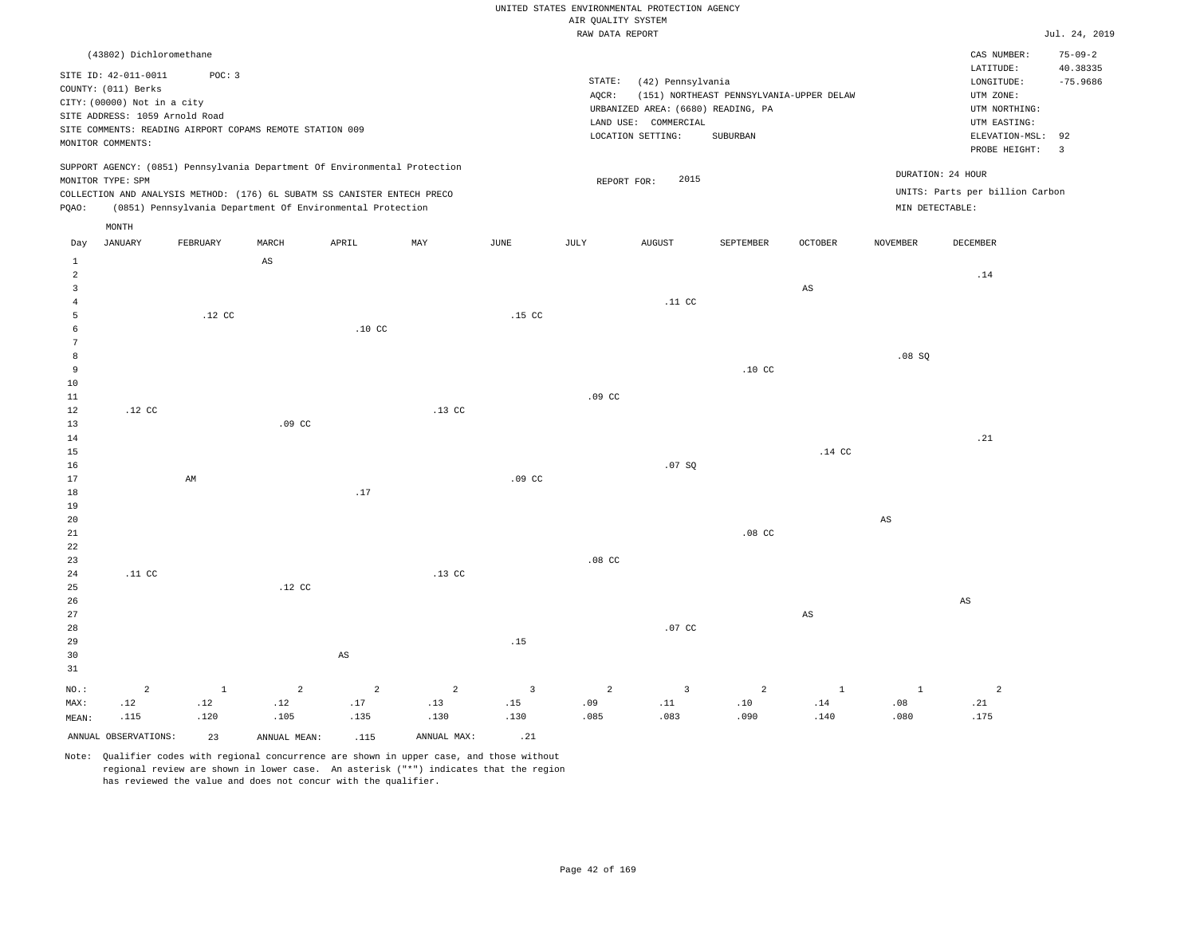|                                                                                                                                                                                                                                                    | RAW DATA REPORT                                                                                                                                                                 | Jul. 24, 2019                                                                                                                                                         |
|----------------------------------------------------------------------------------------------------------------------------------------------------------------------------------------------------------------------------------------------------|---------------------------------------------------------------------------------------------------------------------------------------------------------------------------------|-----------------------------------------------------------------------------------------------------------------------------------------------------------------------|
| (43802) Dichloromethane<br>POC: 3<br>SITE ID: 42-011-0011<br>COUNTY: (011) Berks<br>CITY: (00000) Not in a city<br>SITE ADDRESS: 1059 Arnold Road<br>SITE COMMENTS: READING AIRPORT COPAMS REMOTE STATION 009<br>MONITOR COMMENTS:                 | STATE:<br>(42) Pennsylvania<br>AOCR:<br>(151) NORTHEAST PENNSYLVANIA-UPPER DELAW<br>URBANIZED AREA: (6680) READING, PA<br>LAND USE: COMMERCIAL<br>LOCATION SETTING:<br>SUBURBAN | $75 - 09 - 2$<br>CAS NUMBER:<br>40.38335<br>LATITUDE:<br>$-75.9686$<br>LONGITUDE:<br>UTM ZONE:<br>UTM NORTHING:<br>UTM EASTING:<br>ELEVATION-MSL: 92<br>PROBE HEIGHT: |
| SUPPORT AGENCY: (0851) Pennsylvania Department Of Environmental Protection<br>MONITOR TYPE: SPM<br>COLLECTION AND ANALYSIS METHOD: (176) 6L SUBATM SS CANISTER ENTECH PRECO<br>(0851) Pennsylvania Department Of Environmental Protection<br>POAO: | 2015<br>REPORT FOR:                                                                                                                                                             | DURATION: 24 HOUR<br>UNITS: Parts per billion Carbon<br>MIN DETECTABLE:                                                                                               |

|                | $\texttt{MONTH}$ |             |                         |                              |                |                         |                  |                              |                              |                        |                        |                             |
|----------------|------------------|-------------|-------------------------|------------------------------|----------------|-------------------------|------------------|------------------------------|------------------------------|------------------------|------------------------|-----------------------------|
| Day            | <b>JANUARY</b>   | FEBRUARY    | MARCH                   | APRIL                        | MAY            | $_{\rm JUNE}$           | JULY             | <b>AUGUST</b>                | SEPTEMBER                    | OCTOBER                | NOVEMBER               | DECEMBER                    |
| $\mathbf{1}$   |                  |             | $\mathbb{A}\mathbb{S}$  |                              |                |                         |                  |                              |                              |                        |                        |                             |
| $\overline{a}$ |                  |             |                         |                              |                |                         |                  |                              |                              |                        |                        | $.14\,$                     |
| $\overline{3}$ |                  |             |                         |                              |                |                         |                  |                              |                              | $\mathbb{A}\mathbb{S}$ |                        |                             |
| 4              |                  |             |                         |                              |                |                         |                  | .11 $cc$                     |                              |                        |                        |                             |
| 5              |                  | $.12$ CC    |                         |                              |                | $.15$ CC                |                  |                              |                              |                        |                        |                             |
| 6              |                  |             |                         | $.10$ CC                     |                |                         |                  |                              |                              |                        |                        |                             |
| 7              |                  |             |                         |                              |                |                         |                  |                              |                              |                        |                        |                             |
| $^{\rm 8}$     |                  |             |                         |                              |                |                         |                  |                              |                              |                        | .08 SQ                 |                             |
| 9              |                  |             |                         |                              |                |                         |                  |                              | $.10$ CC                     |                        |                        |                             |
| $10$           |                  |             |                         |                              |                |                         |                  |                              |                              |                        |                        |                             |
| $11\,$         |                  |             |                         |                              |                |                         | $.09$ CC         |                              |                              |                        |                        |                             |
| 12             | $.12$ CC         |             |                         |                              | $.13$ CC       |                         |                  |                              |                              |                        |                        |                             |
| 13             |                  |             | $.09$ CC                |                              |                |                         |                  |                              |                              |                        |                        |                             |
| 14             |                  |             |                         |                              |                |                         |                  |                              |                              |                        |                        | .21                         |
| 15             |                  |             |                         |                              |                |                         |                  |                              |                              | $.14$ CC               |                        |                             |
| 16             |                  |             |                         |                              |                |                         |                  | .07 SQ                       |                              |                        |                        |                             |
| 17             |                  | $\mbox{AM}$ |                         |                              |                | .09 <sub>c</sub>        |                  |                              |                              |                        |                        |                             |
| 18             |                  |             |                         | $.17$                        |                |                         |                  |                              |                              |                        |                        |                             |
| 19             |                  |             |                         |                              |                |                         |                  |                              |                              |                        |                        |                             |
| 20             |                  |             |                         |                              |                |                         |                  |                              |                              |                        | $\mathbb{A}\mathbb{S}$ |                             |
| $2\sqrt{1}$    |                  |             |                         |                              |                |                         |                  |                              | $.08$ CC                     |                        |                        |                             |
| $2\sqrt{2}$    |                  |             |                         |                              |                |                         |                  |                              |                              |                        |                        |                             |
| $23\,$         |                  |             |                         |                              |                |                         | .08 <sub>C</sub> |                              |                              |                        |                        |                             |
| $2\,4$         | .11 $cc$         |             |                         |                              | $.13$ CC       |                         |                  |                              |                              |                        |                        |                             |
| $25\,$         |                  |             | $.12$ CC                |                              |                |                         |                  |                              |                              |                        |                        |                             |
| 26<br>27       |                  |             |                         |                              |                |                         |                  |                              |                              | $\mathbb{A}\mathbb{S}$ |                        | $\mathbb{A}\mathbb{S}$      |
| 28             |                  |             |                         |                              |                |                         |                  | $.07$ CC                     |                              |                        |                        |                             |
| 29             |                  |             |                         |                              |                | $.15\,$                 |                  |                              |                              |                        |                        |                             |
| 30             |                  |             |                         | $\mathbb{A}\mathbb{S}$       |                |                         |                  |                              |                              |                        |                        |                             |
| 31             |                  |             |                         |                              |                |                         |                  |                              |                              |                        |                        |                             |
|                |                  |             |                         |                              |                |                         |                  |                              |                              |                        |                        |                             |
| $_{\rm NO.}$ : | $\sqrt{2}$       | $1\,$       | $\overline{\mathbf{c}}$ | $\sqrt{2}$                   | $\overline{a}$ | $\overline{\mathbf{3}}$ | $\overline{a}$   | $\overline{\mathbf{3}}$      | $\overline{a}$               | $\mathbf{1}$           | $\,$ 1                 | $\overline{2}$              |
| MAX:           | .12              | .12         | .12                     | $\footnotesize\substack{17}$ | .13            | .15                     | .09              | $\footnotesize\substack{11}$ | $\footnotesize\substack{10}$ | $.14\,$                | $.08$                  | $\boldsymbol{\mathsf{.21}}$ |
| MEAN:          | .115             | .120        | .105                    | .135                         | .130           | .130                    | .085             | .083                         | .090                         | .140                   | .080                   | .175                        |

Note: Qualifier codes with regional concurrence are shown in upper case, and those without regional review are shown in lower case. An asterisk ("\*") indicates that the region has reviewed the value and does not concur with the qualifier.

ANNUAL OBSERVATIONS: 23 ANNUAL MEAN: .115 ANNUAL MAX: .21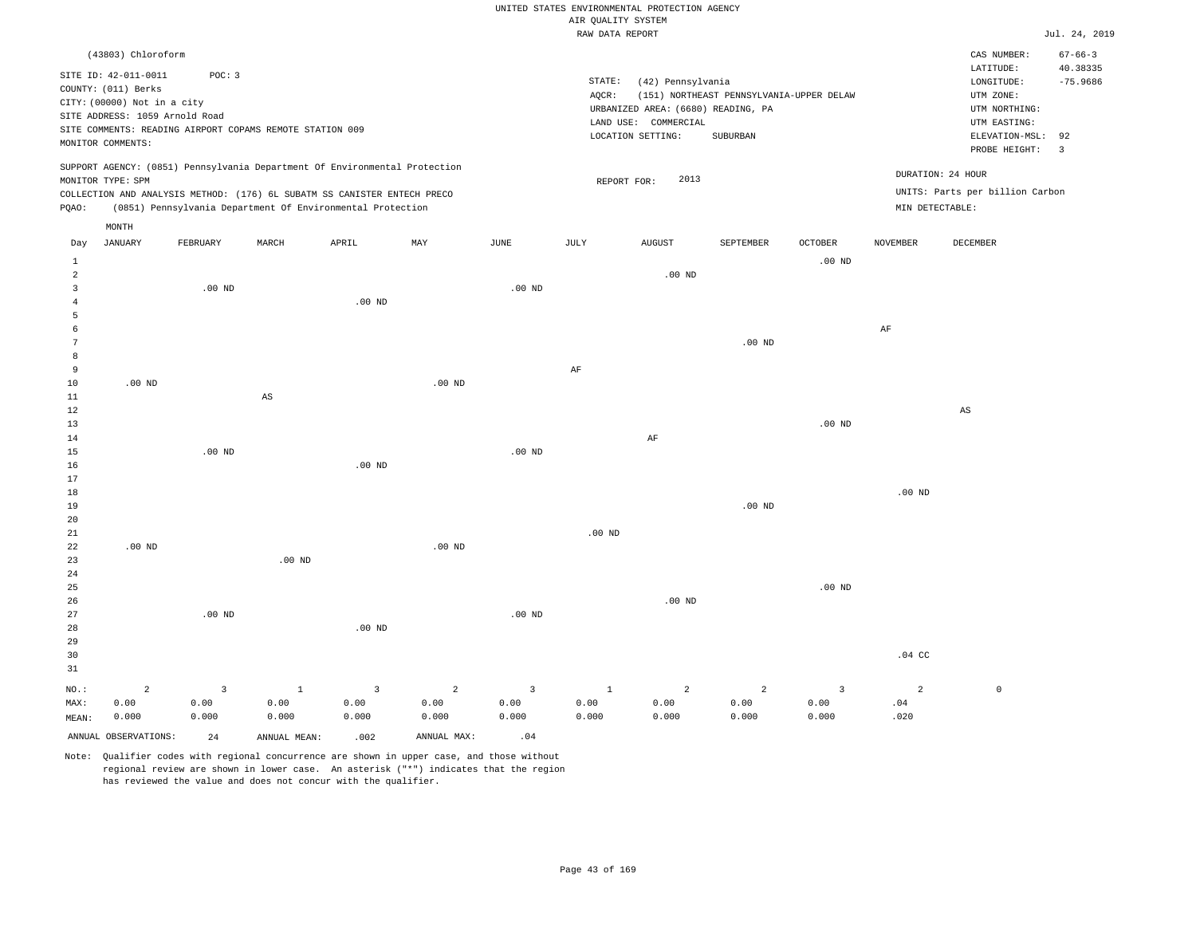|                         |                                |          |                                                                            |                   |                |                   | AIR OUALITY SYSTEM | UNITED STATES ENVIRONMENTAL PROTECTION AGENCY |                                          |                         |                  |                                 |                      |
|-------------------------|--------------------------------|----------|----------------------------------------------------------------------------|-------------------|----------------|-------------------|--------------------|-----------------------------------------------|------------------------------------------|-------------------------|------------------|---------------------------------|----------------------|
|                         |                                |          |                                                                            |                   |                |                   | RAW DATA REPORT    |                                               |                                          |                         |                  |                                 | Jul. 24, 2019        |
|                         |                                |          |                                                                            |                   |                |                   |                    |                                               |                                          |                         |                  |                                 |                      |
|                         | (43803) Chloroform             |          |                                                                            |                   |                |                   |                    |                                               |                                          |                         |                  | $CAS$ NUMBER:                   | $67 - 66 - 3$        |
|                         | SITE ID: 42-011-0011           | POC: 3   |                                                                            |                   |                |                   |                    |                                               |                                          |                         |                  | LATITUDE:                       | 40.38335             |
|                         | COUNTY: (011) Berks            |          |                                                                            |                   |                |                   | STATE:             | (42) Pennsylvania                             |                                          |                         |                  | LONGITUDE:                      | $-75.9686$           |
|                         | CITY: (00000) Not in a city    |          |                                                                            |                   |                |                   | $AQCR$ :           |                                               | (151) NORTHEAST PENNSYLVANIA-UPPER DELAW |                         |                  | UTM ZONE:                       |                      |
|                         | SITE ADDRESS: 1059 Arnold Road |          |                                                                            |                   |                |                   |                    | URBANIZED AREA: (6680) READING, PA            |                                          |                         |                  | UTM NORTHING:                   |                      |
|                         |                                |          | SITE COMMENTS: READING AIRPORT COPAMS REMOTE STATION 009                   |                   |                |                   |                    | LAND USE: COMMERCIAL                          |                                          |                         |                  | UTM EASTING:                    |                      |
|                         | MONITOR COMMENTS:              |          |                                                                            |                   |                |                   |                    | LOCATION SETTING:                             | SUBURBAN                                 |                         |                  | ELEVATION-MSL:<br>PROBE HEIGHT: | 92<br>$\overline{3}$ |
|                         |                                |          | SUPPORT AGENCY: (0851) Pennsylvania Department Of Environmental Protection |                   |                |                   |                    |                                               |                                          |                         |                  |                                 |                      |
|                         | MONITOR TYPE: SPM              |          |                                                                            |                   |                |                   |                    | 2013<br>REPORT FOR:                           |                                          |                         |                  | DURATION: 24 HOUR               |                      |
|                         |                                |          | COLLECTION AND ANALYSIS METHOD: (176) 6L SUBATM SS CANISTER ENTECH PRECO   |                   |                |                   |                    |                                               |                                          |                         |                  | UNITS: Parts per billion Carbon |                      |
| PQAO:                   |                                |          | (0851) Pennsylvania Department Of Environmental Protection                 |                   |                |                   |                    |                                               |                                          |                         | MIN DETECTABLE:  |                                 |                      |
|                         | MONTH                          |          |                                                                            |                   |                |                   |                    |                                               |                                          |                         |                  |                                 |                      |
| Day                     | <b>JANUARY</b>                 | FEBRUARY | MARCH                                                                      | APRIL             | MAY            | $_{\rm JUNE}$     | <b>JULY</b>        | <b>AUGUST</b>                                 | SEPTEMBER                                | <b>OCTOBER</b>          | <b>NOVEMBER</b>  | DECEMBER                        |                      |
| $1\,$                   |                                |          |                                                                            |                   |                |                   |                    |                                               |                                          | .00 <sub>ND</sub>       |                  |                                 |                      |
| 2                       |                                |          |                                                                            |                   |                |                   |                    | $.00$ ND                                      |                                          |                         |                  |                                 |                      |
| $\overline{\mathbf{3}}$ |                                | $.00$ ND |                                                                            |                   |                | .00 <sub>ND</sub> |                    |                                               |                                          |                         |                  |                                 |                      |
| $\overline{4}$          |                                |          |                                                                            | $.00$ ND          |                |                   |                    |                                               |                                          |                         |                  |                                 |                      |
| 5                       |                                |          |                                                                            |                   |                |                   |                    |                                               |                                          |                         |                  |                                 |                      |
| 6                       |                                |          |                                                                            |                   |                |                   |                    |                                               |                                          |                         | $\rm AF$         |                                 |                      |
| 7                       |                                |          |                                                                            |                   |                |                   |                    |                                               | $.00$ ND                                 |                         |                  |                                 |                      |
| 8                       |                                |          |                                                                            |                   |                |                   |                    |                                               |                                          |                         |                  |                                 |                      |
| 9                       |                                |          |                                                                            |                   |                |                   | AF                 |                                               |                                          |                         |                  |                                 |                      |
| 10                      | $.00$ ND                       |          |                                                                            |                   | $.00$ ND       |                   |                    |                                               |                                          |                         |                  |                                 |                      |
| $1\,1$<br>12            |                                |          | AS                                                                         |                   |                |                   |                    |                                               |                                          |                         |                  | $_{\rm AS}$                     |                      |
| 13                      |                                |          |                                                                            |                   |                |                   |                    |                                               |                                          | .00 <sub>ND</sub>       |                  |                                 |                      |
| 14                      |                                |          |                                                                            |                   |                |                   |                    | $\rm AF$                                      |                                          |                         |                  |                                 |                      |
| 15                      |                                | $.00$ ND |                                                                            |                   |                | $.00$ ND          |                    |                                               |                                          |                         |                  |                                 |                      |
| 16                      |                                |          |                                                                            | .00 <sub>ND</sub> |                |                   |                    |                                               |                                          |                         |                  |                                 |                      |
| 17                      |                                |          |                                                                            |                   |                |                   |                    |                                               |                                          |                         |                  |                                 |                      |
| $18$                    |                                |          |                                                                            |                   |                |                   |                    |                                               |                                          |                         | $.00$ ND         |                                 |                      |
| 19                      |                                |          |                                                                            |                   |                |                   |                    |                                               | .00 <sub>ND</sub>                        |                         |                  |                                 |                      |
| 20                      |                                |          |                                                                            |                   |                |                   |                    |                                               |                                          |                         |                  |                                 |                      |
| $2\sqrt{1}$             |                                |          |                                                                            |                   |                |                   | $.00$ ND           |                                               |                                          |                         |                  |                                 |                      |
| 22                      | $.00$ ND                       |          |                                                                            |                   | $.00$ ND       |                   |                    |                                               |                                          |                         |                  |                                 |                      |
| 23                      |                                |          | $.00$ ND                                                                   |                   |                |                   |                    |                                               |                                          |                         |                  |                                 |                      |
| 24                      |                                |          |                                                                            |                   |                |                   |                    |                                               |                                          |                         |                  |                                 |                      |
| 25                      |                                |          |                                                                            |                   |                |                   |                    |                                               |                                          | $.00$ ND                |                  |                                 |                      |
| 26                      |                                |          |                                                                            |                   |                |                   |                    | $.00$ ND                                      |                                          |                         |                  |                                 |                      |
| 27                      |                                | $.00$ ND |                                                                            |                   |                | $.00$ ND          |                    |                                               |                                          |                         |                  |                                 |                      |
| 28                      |                                |          |                                                                            | $.00$ ND          |                |                   |                    |                                               |                                          |                         |                  |                                 |                      |
| 29                      |                                |          |                                                                            |                   |                |                   |                    |                                               |                                          |                         |                  |                                 |                      |
| 30<br>31                |                                |          |                                                                            |                   |                |                   |                    |                                               |                                          |                         | .04 <sub>c</sub> |                                 |                      |
|                         |                                |          |                                                                            |                   |                |                   |                    |                                               |                                          |                         |                  |                                 |                      |
| NO.:                    | $\overline{a}$                 | 3        | $\mathbf{1}$                                                               | $\overline{3}$    | $\overline{a}$ | $\overline{3}$    | $\mathbf{1}$       | 2                                             | 2                                        | $\overline{\mathbf{3}}$ | $\overline{a}$   | $\mathbb O$                     |                      |
| MAX:                    | 0.00                           | 0.00     | 0.00                                                                       | 0.00              | 0.00           | 0.00              | 0.00               | 0.00                                          | 0.00                                     | 0.00                    | .04              |                                 |                      |
| MEAN:                   | 0.000                          | 0.000    | 0.000                                                                      | 0.000             | 0.000          | 0.000             | 0.000              | 0.000                                         | 0.000                                    | 0.000                   | .020             |                                 |                      |
|                         | ANNUAL OBSERVATIONS:           | 2.4      | ANNUAL MEAN:                                                               | .002              | ANNUAL MAX:    | .04               |                    |                                               |                                          |                         |                  |                                 |                      |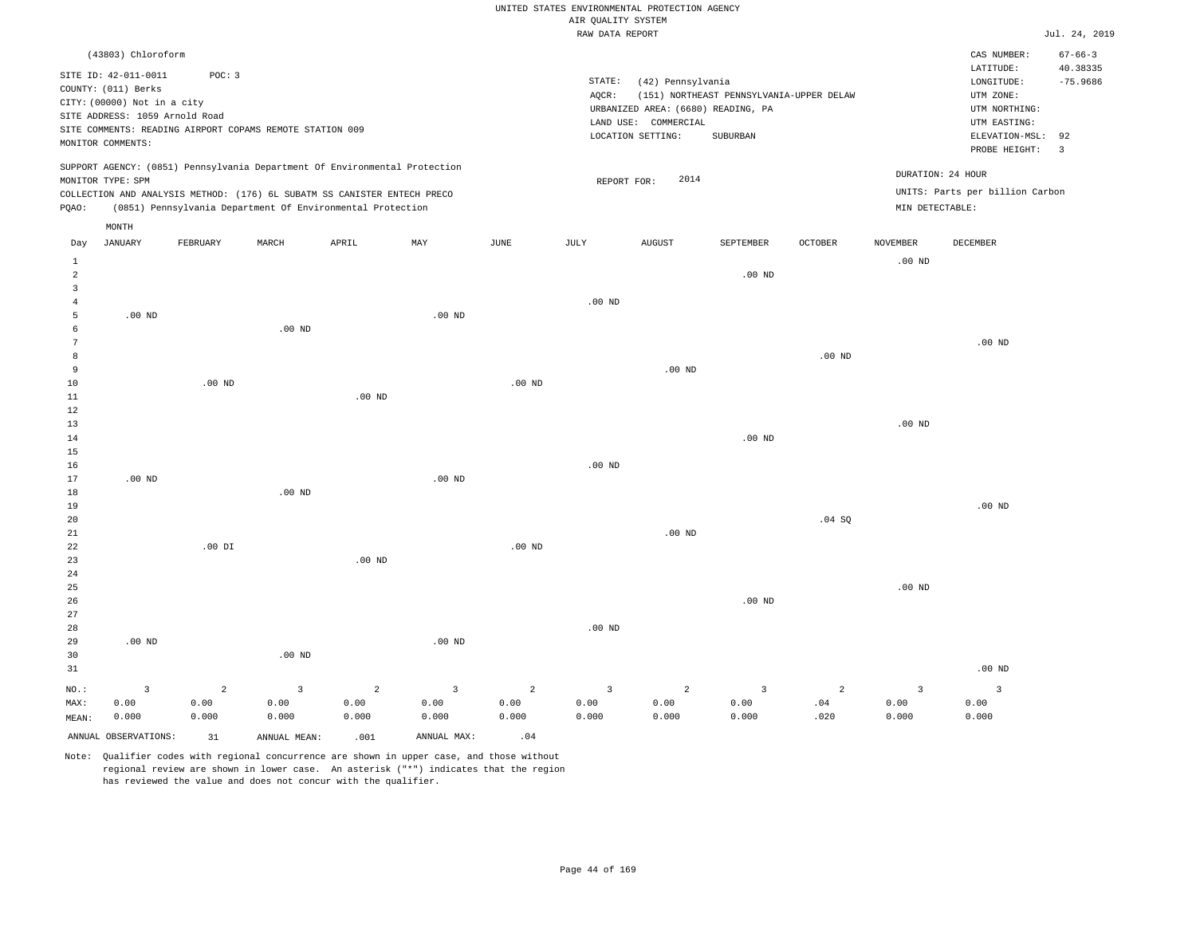|                                           |                                                                                                                                   |                |                                                                                                                                        |          |                |                   | AIR QUALITY SYSTEM | UNITED STATES ENVIRONMENTAL PROTECTION AGENCY                                                        |                                                      |          |                   |                                                                                             |                                             |
|-------------------------------------------|-----------------------------------------------------------------------------------------------------------------------------------|----------------|----------------------------------------------------------------------------------------------------------------------------------------|----------|----------------|-------------------|--------------------|------------------------------------------------------------------------------------------------------|------------------------------------------------------|----------|-------------------|---------------------------------------------------------------------------------------------|---------------------------------------------|
|                                           |                                                                                                                                   |                |                                                                                                                                        |          |                |                   | RAW DATA REPORT    |                                                                                                      |                                                      |          |                   |                                                                                             | Jul. 24, 2019                               |
|                                           | (43803) Chloroform                                                                                                                |                |                                                                                                                                        |          |                |                   |                    |                                                                                                      |                                                      |          |                   | CAS NUMBER:<br>LATITUDE:                                                                    | $67 - 66 - 3$<br>40.38335                   |
|                                           | SITE ID: 42-011-0011<br>COUNTY: (011) Berks<br>CITY: (00000) Not in a city<br>SITE ADDRESS: 1059 Arnold Road<br>MONITOR COMMENTS: | POC: 3         | SITE COMMENTS: READING AIRPORT COPAMS REMOTE STATION 009                                                                               |          |                |                   | STATE:<br>AQCR:    | (42) Pennsylvania<br>URBANIZED AREA: (6680) READING, PA<br>LAND USE: COMMERCIAL<br>LOCATION SETTING: | (151) NORTHEAST PENNSYLVANIA-UPPER DELAW<br>SUBURBAN |          |                   | LONGITUDE:<br>UTM ZONE:<br>UTM NORTHING:<br>UTM EASTING:<br>ELEVATION-MSL:<br>PROBE HEIGHT: | $-75.9686$<br>92<br>$\overline{\mathbf{3}}$ |
|                                           | MONITOR TYPE: SPM                                                                                                                 |                | SUPPORT AGENCY: (0851) Pennsylvania Department Of Environmental Protection                                                             |          |                |                   | REPORT FOR:        | 2014                                                                                                 |                                                      |          |                   | DURATION: 24 HOUR                                                                           |                                             |
| PQAO:                                     |                                                                                                                                   |                | COLLECTION AND ANALYSIS METHOD: (176) 6L SUBATM SS CANISTER ENTECH PRECO<br>(0851) Pennsylvania Department Of Environmental Protection |          |                |                   |                    |                                                                                                      |                                                      |          | MIN DETECTABLE:   | UNITS: Parts per billion Carbon                                                             |                                             |
|                                           | MONTH                                                                                                                             |                |                                                                                                                                        |          |                |                   |                    |                                                                                                      |                                                      |          |                   |                                                                                             |                                             |
| Day                                       | JANUARY                                                                                                                           | FEBRUARY       | MARCH                                                                                                                                  | APRIL    | MAY            | JUNE              | JULY               | <b>AUGUST</b>                                                                                        | SEPTEMBER                                            | OCTOBER  | NOVEMBER          | DECEMBER                                                                                    |                                             |
| $\mathbf{1}$<br>$\sqrt{2}$                |                                                                                                                                   |                |                                                                                                                                        |          |                |                   |                    |                                                                                                      | .00 <sub>ND</sub>                                    |          | .00 <sub>ND</sub> |                                                                                             |                                             |
| $\overline{\mathbf{3}}$<br>$\overline{4}$ |                                                                                                                                   |                |                                                                                                                                        |          |                |                   | $.00$ ND           |                                                                                                      |                                                      |          |                   |                                                                                             |                                             |
| $\overline{5}$                            | $.00$ ND                                                                                                                          |                |                                                                                                                                        |          | $.00$ ND       |                   |                    |                                                                                                      |                                                      |          |                   |                                                                                             |                                             |
| 6                                         |                                                                                                                                   |                | $.00$ ND                                                                                                                               |          |                |                   |                    |                                                                                                      |                                                      |          |                   |                                                                                             |                                             |
| $\overline{7}$                            |                                                                                                                                   |                |                                                                                                                                        |          |                |                   |                    |                                                                                                      |                                                      |          |                   | $.00$ ND                                                                                    |                                             |
| 8<br>9                                    |                                                                                                                                   |                |                                                                                                                                        |          |                |                   |                    | $.00$ ND                                                                                             |                                                      | $.00$ ND |                   |                                                                                             |                                             |
| 10                                        |                                                                                                                                   | $.00$ ND       |                                                                                                                                        |          |                | .00 <sub>ND</sub> |                    |                                                                                                      |                                                      |          |                   |                                                                                             |                                             |
| $1\,1$                                    |                                                                                                                                   |                |                                                                                                                                        | $.00$ ND |                |                   |                    |                                                                                                      |                                                      |          |                   |                                                                                             |                                             |
| 12                                        |                                                                                                                                   |                |                                                                                                                                        |          |                |                   |                    |                                                                                                      |                                                      |          |                   |                                                                                             |                                             |
| 13                                        |                                                                                                                                   |                |                                                                                                                                        |          |                |                   |                    |                                                                                                      |                                                      |          | .00 <sub>ND</sub> |                                                                                             |                                             |
| 14<br>15                                  |                                                                                                                                   |                |                                                                                                                                        |          |                |                   |                    |                                                                                                      | .00 <sub>ND</sub>                                    |          |                   |                                                                                             |                                             |
| 16                                        |                                                                                                                                   |                |                                                                                                                                        |          |                |                   | $.00$ ND           |                                                                                                      |                                                      |          |                   |                                                                                             |                                             |
| 17                                        | $.00$ ND                                                                                                                          |                |                                                                                                                                        |          | $.00$ ND       |                   |                    |                                                                                                      |                                                      |          |                   |                                                                                             |                                             |
| 18                                        |                                                                                                                                   |                | $.00$ ND                                                                                                                               |          |                |                   |                    |                                                                                                      |                                                      |          |                   |                                                                                             |                                             |
| 19                                        |                                                                                                                                   |                |                                                                                                                                        |          |                |                   |                    |                                                                                                      |                                                      |          |                   | $.00$ ND                                                                                    |                                             |
| 20<br>21                                  |                                                                                                                                   |                |                                                                                                                                        |          |                |                   |                    | $.00$ ND                                                                                             |                                                      | .04 SQ   |                   |                                                                                             |                                             |
| 22                                        |                                                                                                                                   | $.00$ DI       |                                                                                                                                        |          |                | $.00$ ND          |                    |                                                                                                      |                                                      |          |                   |                                                                                             |                                             |
| 23                                        |                                                                                                                                   |                |                                                                                                                                        | $.00$ ND |                |                   |                    |                                                                                                      |                                                      |          |                   |                                                                                             |                                             |
| $2\sqrt{4}$                               |                                                                                                                                   |                |                                                                                                                                        |          |                |                   |                    |                                                                                                      |                                                      |          |                   |                                                                                             |                                             |
| 25                                        |                                                                                                                                   |                |                                                                                                                                        |          |                |                   |                    |                                                                                                      |                                                      |          | $.00$ ND          |                                                                                             |                                             |
| 26<br>27                                  |                                                                                                                                   |                |                                                                                                                                        |          |                |                   |                    |                                                                                                      | .00 <sub>ND</sub>                                    |          |                   |                                                                                             |                                             |
| 28                                        |                                                                                                                                   |                |                                                                                                                                        |          |                |                   | .00 <sub>ND</sub>  |                                                                                                      |                                                      |          |                   |                                                                                             |                                             |
| 29                                        | .00 <sub>ND</sub>                                                                                                                 |                |                                                                                                                                        |          | $.00$ ND       |                   |                    |                                                                                                      |                                                      |          |                   |                                                                                             |                                             |
| 30                                        |                                                                                                                                   |                | $.00$ ND                                                                                                                               |          |                |                   |                    |                                                                                                      |                                                      |          |                   |                                                                                             |                                             |
| 31                                        |                                                                                                                                   |                |                                                                                                                                        |          |                |                   |                    |                                                                                                      |                                                      |          |                   | $.00$ ND                                                                                    |                                             |
| $NO.$ :                                   | $\overline{3}$                                                                                                                    | $\overline{a}$ | $\overline{3}$                                                                                                                         | 2        | $\overline{3}$ | $\overline{2}$    | $\overline{3}$     | 2                                                                                                    | 3                                                    | 2        | $\overline{3}$    | $\overline{3}$                                                                              |                                             |
| MAX:                                      | 0.00                                                                                                                              | 0.00           | 0.00                                                                                                                                   | 0.00     | 0.00           | 0.00              | 0.00               | 0.00                                                                                                 | 0.00                                                 | .04      | 0.00              | 0.00                                                                                        |                                             |
| MEAN:                                     | 0.000                                                                                                                             | 0.000          | 0.000                                                                                                                                  | 0.000    | 0.000          | 0.000             | 0.000              | 0.000                                                                                                | 0.000                                                | .020     | 0.000             | 0.000                                                                                       |                                             |
|                                           | ANNUAL OBSERVATIONS:                                                                                                              | 31             | ANNUAL MEAN:                                                                                                                           | .001     | ANNUAL MAX:    | .04               |                    |                                                                                                      |                                                      |          |                   |                                                                                             |                                             |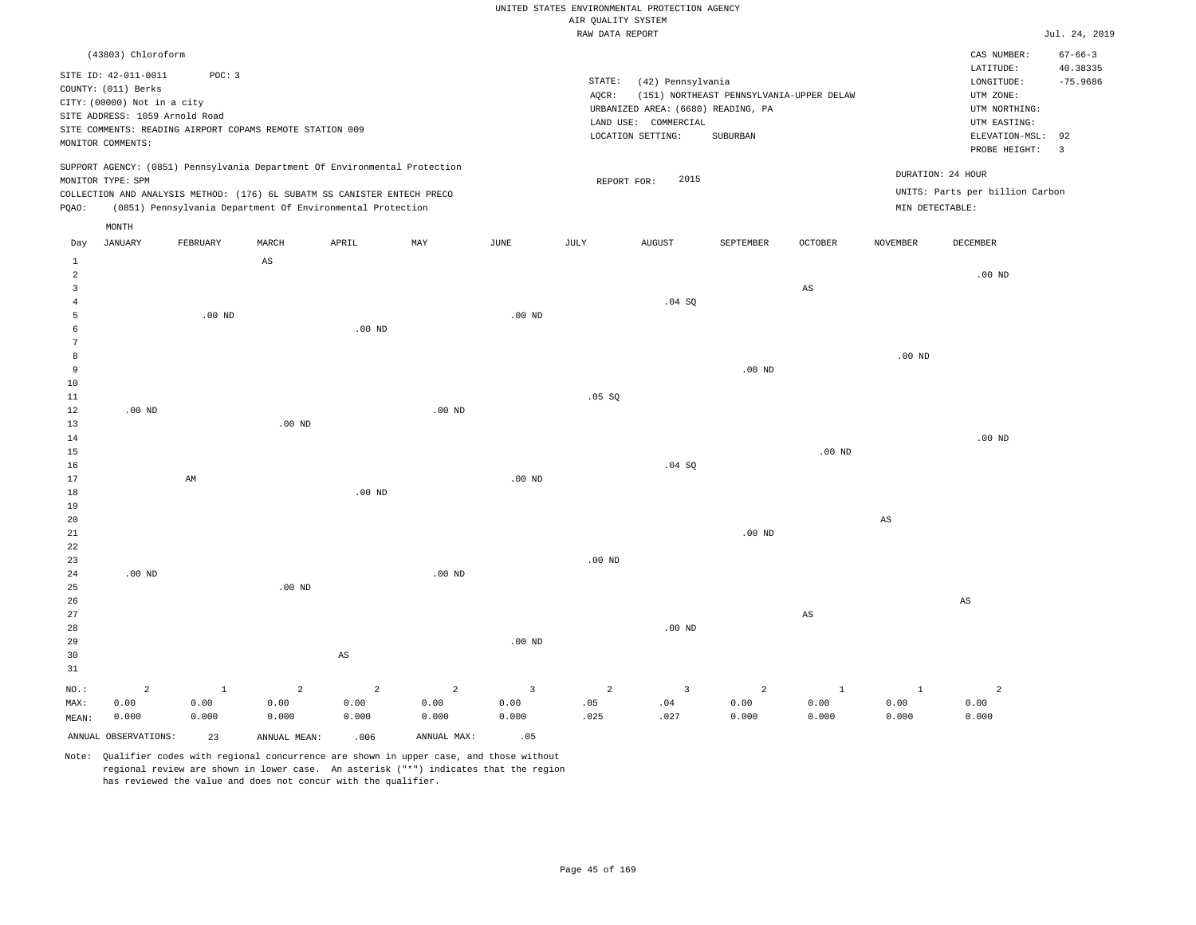|                |                                |              |                                                                            |                        |                   |                | RAW DATA REPORT   |                                    |                                          |                        |                        |                                 | Jul. 24, 2019  |
|----------------|--------------------------------|--------------|----------------------------------------------------------------------------|------------------------|-------------------|----------------|-------------------|------------------------------------|------------------------------------------|------------------------|------------------------|---------------------------------|----------------|
|                | (43803) Chloroform             |              |                                                                            |                        |                   |                |                   |                                    |                                          |                        |                        | CAS NUMBER:                     | $67 - 66 - 3$  |
|                |                                |              |                                                                            |                        |                   |                |                   |                                    |                                          |                        |                        | LATITUDE:                       | 40.38335       |
|                | SITE ID: 42-011-0011           | POC: 3       |                                                                            |                        |                   |                | STATE:            | (42) Pennsylvania                  |                                          |                        |                        | LONGITUDE:                      | $-75.9686$     |
|                | COUNTY: (011) Berks            |              |                                                                            |                        |                   |                | AQCR:             |                                    | (151) NORTHEAST PENNSYLVANIA-UPPER DELAW |                        |                        | UTM ZONE:                       |                |
|                | CITY: (00000) Not in a city    |              |                                                                            |                        |                   |                |                   | URBANIZED AREA: (6680) READING, PA |                                          |                        |                        | UTM NORTHING:                   |                |
|                | SITE ADDRESS: 1059 Arnold Road |              |                                                                            |                        |                   |                |                   | LAND USE: COMMERCIAL               |                                          |                        |                        | UTM EASTING:                    |                |
|                |                                |              | SITE COMMENTS: READING AIRPORT COPAMS REMOTE STATION 009                   |                        |                   |                |                   | LOCATION SETTING:                  | SUBURBAN                                 |                        |                        | ELEVATION-MSL:                  | 92             |
|                | MONITOR COMMENTS:              |              |                                                                            |                        |                   |                |                   |                                    |                                          |                        |                        | PROBE HEIGHT:                   | $\overline{3}$ |
|                |                                |              | SUPPORT AGENCY: (0851) Pennsylvania Department Of Environmental Protection |                        |                   |                |                   |                                    |                                          |                        |                        |                                 |                |
|                | MONITOR TYPE: SPM              |              |                                                                            |                        |                   |                | REPORT FOR:       | 2015                               |                                          |                        |                        | DURATION: 24 HOUR               |                |
|                |                                |              | COLLECTION AND ANALYSIS METHOD: (176) 6L SUBATM SS CANISTER ENTECH PRECO   |                        |                   |                |                   |                                    |                                          |                        |                        | UNITS: Parts per billion Carbon |                |
| PQAO:          |                                |              | (0851) Pennsylvania Department Of Environmental Protection                 |                        |                   |                |                   |                                    |                                          |                        | MIN DETECTABLE:        |                                 |                |
|                | MONTH                          |              |                                                                            |                        |                   |                |                   |                                    |                                          |                        |                        |                                 |                |
| Day            | <b>JANUARY</b>                 | FEBRUARY     | MARCH                                                                      | APRIL                  | MAY               | JUNE           | <b>JULY</b>       | <b>AUGUST</b>                      | <b>SEPTEMBER</b>                         | <b>OCTOBER</b>         | <b>NOVEMBER</b>        | <b>DECEMBER</b>                 |                |
| $\mathbf{1}$   |                                |              | $_{\rm AS}$                                                                |                        |                   |                |                   |                                    |                                          |                        |                        |                                 |                |
| $\overline{a}$ |                                |              |                                                                            |                        |                   |                |                   |                                    |                                          |                        |                        | $.00$ ND                        |                |
| $\overline{3}$ |                                |              |                                                                            |                        |                   |                |                   |                                    |                                          | $\mathbb{A}\mathbb{S}$ |                        |                                 |                |
| 4              |                                |              |                                                                            |                        |                   |                |                   | .04 SQ                             |                                          |                        |                        |                                 |                |
| 5              |                                | $.00$ ND     |                                                                            |                        |                   | $.00$ ND       |                   |                                    |                                          |                        |                        |                                 |                |
| 6              |                                |              |                                                                            | $.00$ ND               |                   |                |                   |                                    |                                          |                        |                        |                                 |                |
| 7              |                                |              |                                                                            |                        |                   |                |                   |                                    |                                          |                        |                        |                                 |                |
| 8              |                                |              |                                                                            |                        |                   |                |                   |                                    |                                          |                        | .00 <sub>ND</sub>      |                                 |                |
| 9              |                                |              |                                                                            |                        |                   |                |                   |                                    | $.00$ ND                                 |                        |                        |                                 |                |
| 10             |                                |              |                                                                            |                        |                   |                |                   |                                    |                                          |                        |                        |                                 |                |
| $11\,$         |                                |              |                                                                            |                        |                   |                | .05 SQ            |                                    |                                          |                        |                        |                                 |                |
| 12             | $.00$ ND                       |              |                                                                            |                        | $.00$ ND          |                |                   |                                    |                                          |                        |                        |                                 |                |
| 13             |                                |              | $.00$ ND                                                                   |                        |                   |                |                   |                                    |                                          |                        |                        |                                 |                |
| $14\,$         |                                |              |                                                                            |                        |                   |                |                   |                                    |                                          |                        |                        | $.00$ ND                        |                |
| 15             |                                |              |                                                                            |                        |                   |                |                   |                                    |                                          | $.00$ ND               |                        |                                 |                |
| 16             |                                |              |                                                                            |                        |                   |                |                   | .04 SQ                             |                                          |                        |                        |                                 |                |
| 17             |                                | AM           |                                                                            |                        |                   | $.00$ ND       |                   |                                    |                                          |                        |                        |                                 |                |
| 18             |                                |              |                                                                            | $.00$ ND               |                   |                |                   |                                    |                                          |                        |                        |                                 |                |
| 19             |                                |              |                                                                            |                        |                   |                |                   |                                    |                                          |                        |                        |                                 |                |
| 20             |                                |              |                                                                            |                        |                   |                |                   |                                    |                                          |                        | $\mathbb{A}\mathbb{S}$ |                                 |                |
| 21             |                                |              |                                                                            |                        |                   |                |                   |                                    | $.00$ ND                                 |                        |                        |                                 |                |
| 22             |                                |              |                                                                            |                        |                   |                |                   |                                    |                                          |                        |                        |                                 |                |
| 23             |                                |              |                                                                            |                        |                   |                | .00 <sub>ND</sub> |                                    |                                          |                        |                        |                                 |                |
| 24             | $.00$ ND                       |              |                                                                            |                        | .00 <sub>ND</sub> |                |                   |                                    |                                          |                        |                        |                                 |                |
| 25             |                                |              | .00 <sub>ND</sub>                                                          |                        |                   |                |                   |                                    |                                          |                        |                        |                                 |                |
| 26             |                                |              |                                                                            |                        |                   |                |                   |                                    |                                          |                        |                        | AS                              |                |
| 27             |                                |              |                                                                            |                        |                   |                |                   |                                    |                                          | $\mathbb{A}\mathbb{S}$ |                        |                                 |                |
| 28             |                                |              |                                                                            |                        |                   |                |                   | $.00$ ND                           |                                          |                        |                        |                                 |                |
| 29             |                                |              |                                                                            |                        |                   | $.00$ ND       |                   |                                    |                                          |                        |                        |                                 |                |
| 30             |                                |              |                                                                            | $\mathbb{A}\mathbb{S}$ |                   |                |                   |                                    |                                          |                        |                        |                                 |                |
| 31             |                                |              |                                                                            |                        |                   |                |                   |                                    |                                          |                        |                        |                                 |                |
| NO.:           | $\overline{a}$                 | $\mathbf{1}$ | $\overline{a}$                                                             | $\overline{a}$         | 2                 | $\overline{3}$ | $\overline{a}$    | $\overline{3}$                     | $\overline{2}$                           | $1\,$                  | $\mathbf{1}$           | $\sqrt{2}$                      |                |
| MAX:           | 0.00                           | 0.00         | 0.00                                                                       | 0.00                   | 0.00              | 0.00           | .05               | .04                                | 0.00                                     | 0.00                   | 0.00                   | 0.00                            |                |
| MEAN:          | 0.000                          | 0.000        | 0.000                                                                      | 0.000                  | 0.000             | 0.000          | .025              | .027                               | 0.000                                    | 0.000                  | 0.000                  | 0.000                           |                |
|                | ANNUAL OBSERVATIONS:           | 23           | ANNUAL MEAN:                                                               | .006                   | ANNUAL MAX:       | .05            |                   |                                    |                                          |                        |                        |                                 |                |
|                |                                |              |                                                                            |                        |                   |                |                   |                                    |                                          |                        |                        |                                 |                |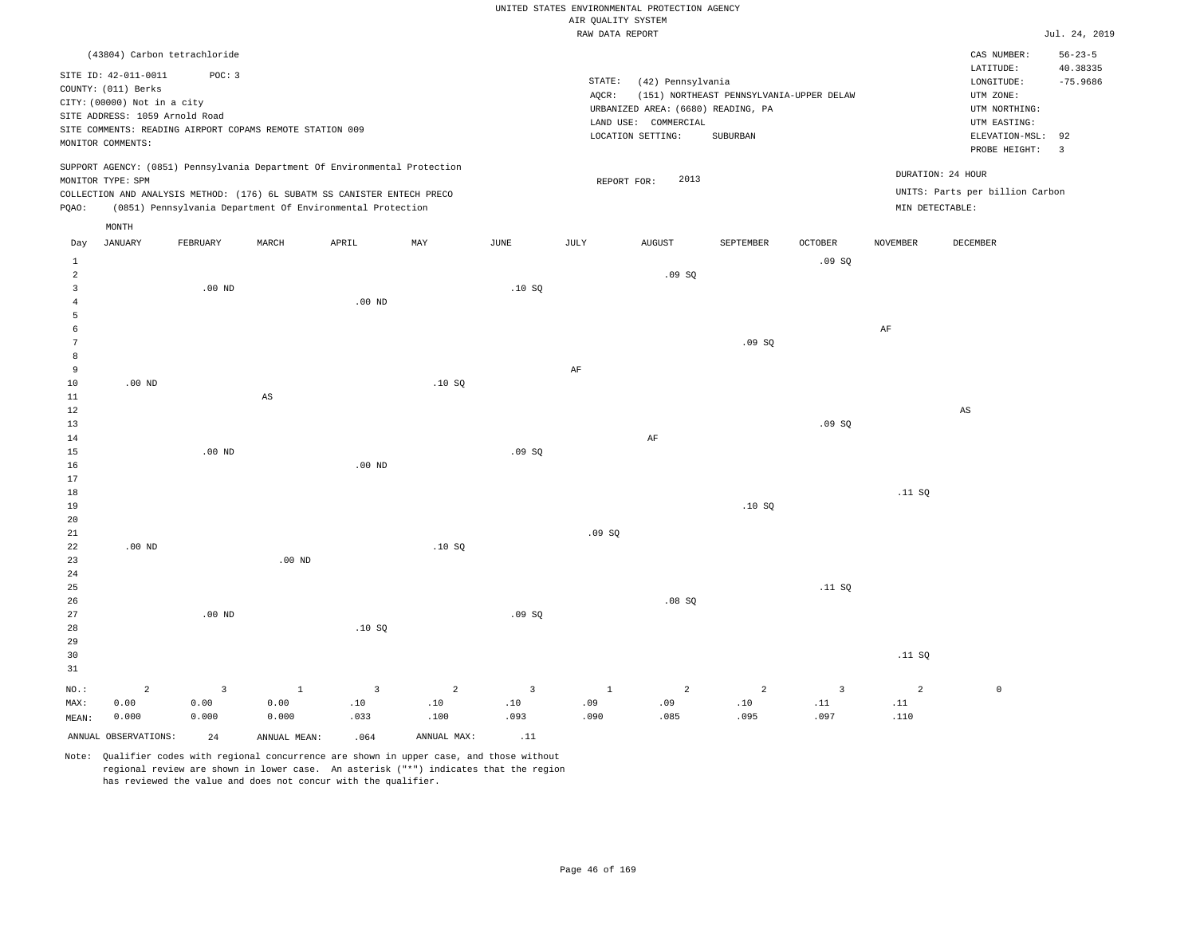| UNITED STATES ENVIRONMENTAL PROTECTION AGENCY |  |
|-----------------------------------------------|--|
| AIR OUALITY SYSTEM                            |  |
| RAW DATA REPORT                               |  |
|                                               |  |

.09 SQ

Jul. 24, 2019

|       |                                | (43804) Carbon tetrachloride                             |       |                                                                            |     |      |        |                                    |                                          |                |                 | CAS NUMBER:                     | $56 - 23 - 5$             |
|-------|--------------------------------|----------------------------------------------------------|-------|----------------------------------------------------------------------------|-----|------|--------|------------------------------------|------------------------------------------|----------------|-----------------|---------------------------------|---------------------------|
|       | SITE ID: 42-011-0011           | POC: 3                                                   |       |                                                                            |     |      |        |                                    |                                          |                |                 | LATITUDE:                       | 40.38335                  |
|       |                                |                                                          |       |                                                                            |     |      | STATE: | (42) Pennsylvania                  |                                          |                |                 | LONGITUDE:                      | $-75.9686$                |
|       | COUNTY: (011) Berks            |                                                          |       |                                                                            |     |      | AOCR:  |                                    | (151) NORTHEAST PENNSYLVANIA-UPPER DELAW |                |                 | UTM ZONE:                       |                           |
|       | CITY: (00000) Not in a city    |                                                          |       |                                                                            |     |      |        | URBANIZED AREA: (6680) READING, PA |                                          |                |                 | UTM NORTHING:                   |                           |
|       | SITE ADDRESS: 1059 Arnold Road |                                                          |       |                                                                            |     |      |        | COMMERCIAL<br>LAND USE:            |                                          |                |                 | UTM EASTING:                    |                           |
|       |                                | SITE COMMENTS: READING AIRPORT COPAMS REMOTE STATION 009 |       |                                                                            |     |      |        | LOCATION SETTING:                  | SUBURBAN                                 |                |                 | ELEVATION-MSL: 92               |                           |
|       | MONITOR COMMENTS:              |                                                          |       |                                                                            |     |      |        |                                    |                                          |                |                 | PROBE HEIGHT:                   | $\overline{\phantom{a}3}$ |
|       |                                |                                                          |       |                                                                            |     |      |        |                                    |                                          |                |                 |                                 |                           |
|       |                                |                                                          |       | SUPPORT AGENCY: (0851) Pennsylvania Department Of Environmental Protection |     |      |        |                                    |                                          |                |                 | DURATION: 24 HOUR               |                           |
|       | MONITOR TYPE: SPM              |                                                          |       |                                                                            |     |      |        | 2013<br>REPORT FOR:                |                                          |                |                 |                                 |                           |
|       |                                |                                                          |       | COLLECTION AND ANALYSIS METHOD: (176) 6L SUBATM SS CANISTER ENTECH PRECO   |     |      |        |                                    |                                          |                |                 | UNITS: Parts per billion Carbon |                           |
| POAO: |                                |                                                          |       | (0851) Pennsylvania Department Of Environmental Protection                 |     |      |        |                                    |                                          |                | MIN DETECTABLE: |                                 |                           |
|       | MONTH                          |                                                          |       |                                                                            |     |      |        |                                    |                                          |                |                 |                                 |                           |
| Day   | <b>JANUARY</b>                 | FEBRUARY                                                 | MARCH | APRIL                                                                      | MAY | JUNE | JULY   | <b>AUGUST</b>                      | SEPTEMBER                                | <b>OCTOBER</b> | <b>NOVEMBER</b> | DECEMBER                        |                           |
|       |                                |                                                          |       |                                                                            |     |      |        |                                    |                                          | .09SQ          |                 |                                 |                           |
| 2     |                                |                                                          |       |                                                                            |     |      |        | .09SQ                              |                                          |                |                 |                                 |                           |
|       |                                | $.00$ ND                                                 |       |                                                                            |     | .10S |        |                                    |                                          |                |                 |                                 |                           |
|       |                                |                                                          |       | $.00$ ND                                                                   |     |      |        |                                    |                                          |                |                 |                                 |                           |
|       |                                |                                                          |       |                                                                            |     |      |        |                                    |                                          |                |                 |                                 |                           |
|       |                                |                                                          |       |                                                                            |     |      |        |                                    |                                          |                |                 |                                 |                           |
| 6     |                                |                                                          |       |                                                                            |     |      |        |                                    |                                          |                | AF              |                                 |                           |

| 8           |          |          |          |       |       |    |          |       |       |        |    |
|-------------|----------|----------|----------|-------|-------|----|----------|-------|-------|--------|----|
| $\,9$       |          |          |          |       |       | AF |          |       |       |        |    |
| 10          | $.00$ ND |          |          | .10SQ |       |    |          |       |       |        |    |
| $11\,$      |          | AS       |          |       |       |    |          |       |       |        |    |
| $1\,2$      |          |          |          |       |       |    |          |       |       |        | AS |
| $1\sqrt{3}$ |          |          |          |       |       |    |          |       | .09SQ |        |    |
| $1\,4$      |          |          |          |       |       |    | $\rm AF$ |       |       |        |    |
| $15\,$      |          | $.00$ ND |          |       | .09SQ |    |          |       |       |        |    |
| $16\,$      |          |          | $.00$ ND |       |       |    |          |       |       |        |    |
| $17\,$      |          |          |          |       |       |    |          |       |       |        |    |
| $1\,8$      |          |          |          |       |       |    |          |       |       | .11 SQ |    |
| 19          |          |          |          |       |       |    |          | .10SQ |       |        |    |
| 20          |          |          |          |       |       |    |          |       |       |        |    |

| 21             |          |          |          |                |                |                | .09SQ                   |                |                |                |                |         |
|----------------|----------|----------|----------|----------------|----------------|----------------|-------------------------|----------------|----------------|----------------|----------------|---------|
| $2\sqrt{2}$    | $.00$ ND |          |          |                | .10S           |                |                         |                |                |                |                |         |
| 23             |          |          | $.00$ ND |                |                |                |                         |                |                |                |                |         |
| $2\sqrt{4}$    |          |          |          |                |                |                |                         |                |                |                |                |         |
| $25\,$         |          |          |          |                |                |                |                         |                |                | .11SQ          |                |         |
| $26\,$         |          |          |          |                |                |                |                         | .08SQ          |                |                |                |         |
| $2\,7$         |          | $.00$ ND |          |                |                | .09SQ          |                         |                |                |                |                |         |
| 28             |          |          |          | .10SQ          |                |                |                         |                |                |                |                |         |
| 29             |          |          |          |                |                |                |                         |                |                |                |                |         |
| 30             |          |          |          |                |                |                |                         |                |                |                | .11 SQ         |         |
| $31\,$         |          |          |          |                |                |                |                         |                |                |                |                |         |
| $_{\rm NO.}$ : | 2        | 3        | - 4      | $\overline{3}$ | $\overline{2}$ | $\overline{3}$ | $\mathbf{1}$<br>$\perp$ | $\overline{a}$ | $\overline{2}$ | $\overline{3}$ | $\overline{2}$ | $\circ$ |
| MAX:           | 0.00     | 0.00     | 0.00     | .10            | .10            | .10            | .09                     | .09            | .10            | .11            | .11            |         |
| MEAN:          | 0.000    | 0.000    | 0.000    | .033           | .100           | .093           | .090                    | .085           | .095           | .097           | .110           |         |

Note: Qualifier codes with regional concurrence are shown in upper case, and those without regional review are shown in lower case. An asterisk ("\*") indicates that the region has reviewed the value and does not concur with the qualifier.

ANNUAL OBSERVATIONS:  $24$  ANNUAL MEAN: .064 ANNUAL MAX: .11

7

MEAN: 0.000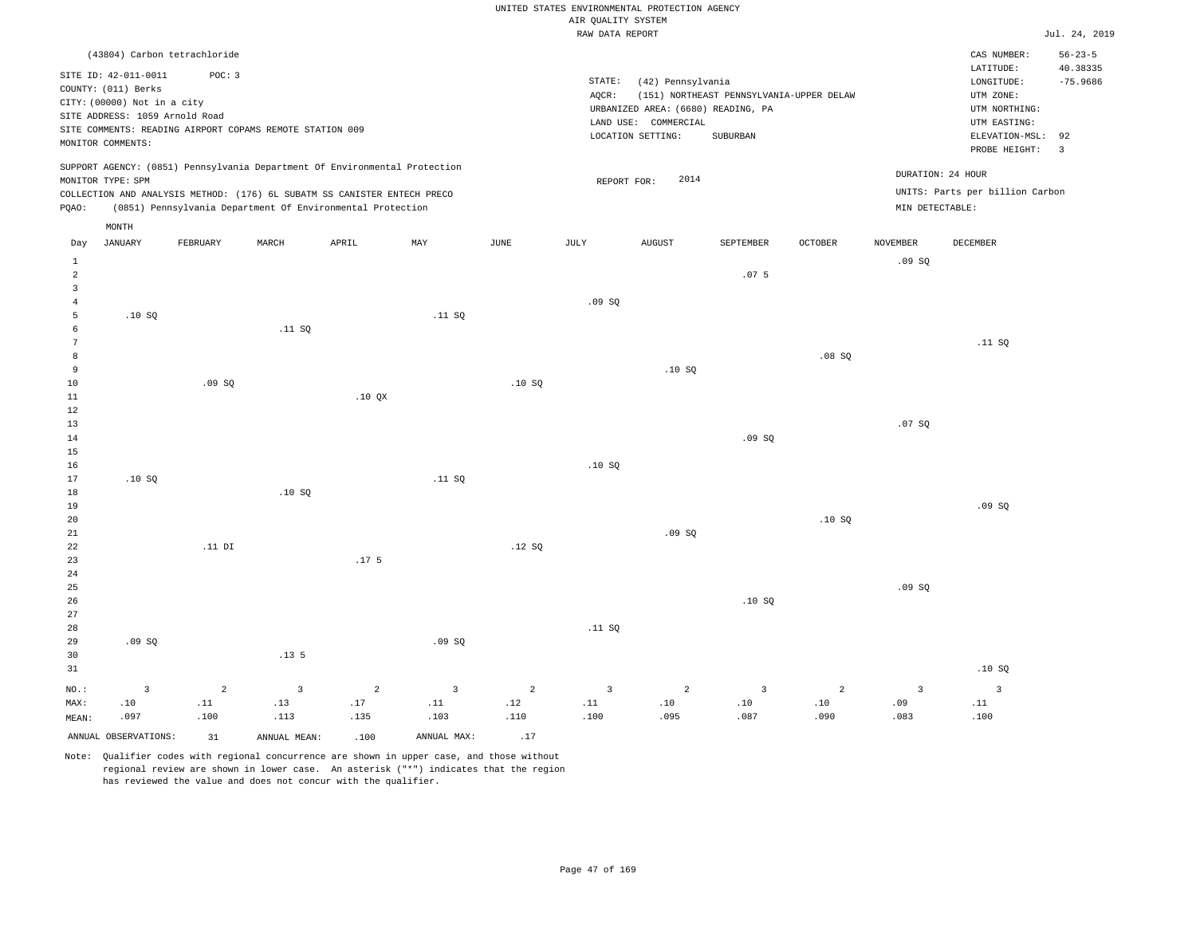|                                  |                                                                                                                                   |                              |                                                                                                                                        |                       |                       |                       | AIR QUALITY SYSTEM           | UNITED STATES ENVIRONMENTAL PROTECTION AGENCY                                                        |                                                      |                       |                       |                                                                                             |                                    |
|----------------------------------|-----------------------------------------------------------------------------------------------------------------------------------|------------------------------|----------------------------------------------------------------------------------------------------------------------------------------|-----------------------|-----------------------|-----------------------|------------------------------|------------------------------------------------------------------------------------------------------|------------------------------------------------------|-----------------------|-----------------------|---------------------------------------------------------------------------------------------|------------------------------------|
|                                  |                                                                                                                                   |                              |                                                                                                                                        |                       |                       |                       | RAW DATA REPORT              |                                                                                                      |                                                      |                       |                       |                                                                                             | Jul. 24, 2019                      |
|                                  |                                                                                                                                   | (43804) Carbon tetrachloride |                                                                                                                                        |                       |                       |                       |                              |                                                                                                      |                                                      |                       |                       | CAS NUMBER:<br>LATITUDE:                                                                    | $56 - 23 - 5$<br>40.38335          |
|                                  | SITE ID: 42-011-0011<br>COUNTY: (011) Berks<br>CITY: (00000) Not in a city<br>SITE ADDRESS: 1059 Arnold Road<br>MONITOR COMMENTS: | POC: 3                       | SITE COMMENTS: READING AIRPORT COPAMS REMOTE STATION 009                                                                               |                       |                       |                       | $\texttt{STATE}{}:$<br>AQCR: | (42) Pennsylvania<br>URBANIZED AREA: (6680) READING, PA<br>LAND USE: COMMERCIAL<br>LOCATION SETTING: | (151) NORTHEAST PENNSYLVANIA-UPPER DELAW<br>SUBURBAN |                       |                       | LONGITUDE:<br>UTM ZONE:<br>UTM NORTHING:<br>UTM EASTING:<br>ELEVATION-MSL:<br>PROBE HEIGHT: | $-75.9686$<br>92<br>$\overline{3}$ |
|                                  | MONITOR TYPE: SPM                                                                                                                 |                              | SUPPORT AGENCY: (0851) Pennsylvania Department Of Environmental Protection                                                             |                       |                       |                       |                              | 2014<br>REPORT FOR:                                                                                  |                                                      |                       |                       | DURATION: 24 HOUR                                                                           |                                    |
| PQAO:                            |                                                                                                                                   |                              | COLLECTION AND ANALYSIS METHOD: (176) 6L SUBATM SS CANISTER ENTECH PRECO<br>(0851) Pennsylvania Department Of Environmental Protection |                       |                       |                       |                              |                                                                                                      |                                                      |                       | MIN DETECTABLE:       | UNITS: Parts per billion Carbon                                                             |                                    |
| Day                              | MONTH<br><b>JANUARY</b>                                                                                                           | FEBRUARY                     | MARCH                                                                                                                                  | APRIL                 | MAY                   | JUNE                  | JULY                         | <b>AUGUST</b>                                                                                        | SEPTEMBER                                            | OCTOBER               | NOVEMBER              | DECEMBER                                                                                    |                                    |
| <sup>1</sup>                     |                                                                                                                                   |                              |                                                                                                                                        |                       |                       |                       |                              |                                                                                                      |                                                      |                       | .09S                  |                                                                                             |                                    |
| $\overline{a}$<br>$\overline{3}$ |                                                                                                                                   |                              |                                                                                                                                        |                       |                       |                       |                              |                                                                                                      | .07 <sub>5</sub>                                     |                       |                       |                                                                                             |                                    |
| $\overline{4}$                   |                                                                                                                                   |                              |                                                                                                                                        |                       |                       |                       | .09SQ                        |                                                                                                      |                                                      |                       |                       |                                                                                             |                                    |
| 5                                | .10S                                                                                                                              |                              |                                                                                                                                        |                       | .11 S0                |                       |                              |                                                                                                      |                                                      |                       |                       |                                                                                             |                                    |
| 6<br>$7\phantom{.0}$             |                                                                                                                                   |                              | .11 SQ                                                                                                                                 |                       |                       |                       |                              |                                                                                                      |                                                      |                       |                       | .11 SQ                                                                                      |                                    |
| $^{\rm 8}$                       |                                                                                                                                   |                              |                                                                                                                                        |                       |                       |                       |                              |                                                                                                      |                                                      | .08SQ                 |                       |                                                                                             |                                    |
| 9                                |                                                                                                                                   |                              |                                                                                                                                        |                       |                       |                       |                              | .10SQ                                                                                                |                                                      |                       |                       |                                                                                             |                                    |
| $10$                             |                                                                                                                                   | .09SQ                        |                                                                                                                                        |                       |                       | .10SQ                 |                              |                                                                                                      |                                                      |                       |                       |                                                                                             |                                    |
| 11<br>12                         |                                                                                                                                   |                              |                                                                                                                                        | .10 QX                |                       |                       |                              |                                                                                                      |                                                      |                       |                       |                                                                                             |                                    |
| 13                               |                                                                                                                                   |                              |                                                                                                                                        |                       |                       |                       |                              |                                                                                                      |                                                      |                       | .07SQ                 |                                                                                             |                                    |
| 14                               |                                                                                                                                   |                              |                                                                                                                                        |                       |                       |                       |                              |                                                                                                      | .09SQ                                                |                       |                       |                                                                                             |                                    |
| 15                               |                                                                                                                                   |                              |                                                                                                                                        |                       |                       |                       |                              |                                                                                                      |                                                      |                       |                       |                                                                                             |                                    |
| 16                               |                                                                                                                                   |                              |                                                                                                                                        |                       |                       |                       | .10SQ                        |                                                                                                      |                                                      |                       |                       |                                                                                             |                                    |
| 17<br>18                         | .10S                                                                                                                              |                              | .10S                                                                                                                                   |                       | .11 S0                |                       |                              |                                                                                                      |                                                      |                       |                       |                                                                                             |                                    |
| 19                               |                                                                                                                                   |                              |                                                                                                                                        |                       |                       |                       |                              |                                                                                                      |                                                      |                       |                       | .09S                                                                                        |                                    |
| 20                               |                                                                                                                                   |                              |                                                                                                                                        |                       |                       |                       |                              |                                                                                                      |                                                      | .10S                  |                       |                                                                                             |                                    |
| 21                               |                                                                                                                                   |                              |                                                                                                                                        |                       |                       |                       |                              | .09S                                                                                                 |                                                      |                       |                       |                                                                                             |                                    |
| $2\sqrt{2}$                      |                                                                                                                                   | $.11$ DI                     |                                                                                                                                        |                       |                       | .12SQ                 |                              |                                                                                                      |                                                      |                       |                       |                                                                                             |                                    |
| 23<br>$2\sqrt{4}$                |                                                                                                                                   |                              |                                                                                                                                        | .17 <sub>5</sub>      |                       |                       |                              |                                                                                                      |                                                      |                       |                       |                                                                                             |                                    |
| 25                               |                                                                                                                                   |                              |                                                                                                                                        |                       |                       |                       |                              |                                                                                                      |                                                      |                       | .09SQ                 |                                                                                             |                                    |
| 26                               |                                                                                                                                   |                              |                                                                                                                                        |                       |                       |                       |                              |                                                                                                      | .10S                                                 |                       |                       |                                                                                             |                                    |
| 27                               |                                                                                                                                   |                              |                                                                                                                                        |                       |                       |                       |                              |                                                                                                      |                                                      |                       |                       |                                                                                             |                                    |
| 28                               |                                                                                                                                   |                              |                                                                                                                                        |                       |                       |                       | .11 SQ                       |                                                                                                      |                                                      |                       |                       |                                                                                             |                                    |
| 29                               | .09SQ                                                                                                                             |                              | .13 <sub>5</sub>                                                                                                                       |                       | .09SQ                 |                       |                              |                                                                                                      |                                                      |                       |                       |                                                                                             |                                    |
| 30<br>31                         |                                                                                                                                   |                              |                                                                                                                                        |                       |                       |                       |                              |                                                                                                      |                                                      |                       |                       | .10S                                                                                        |                                    |
|                                  |                                                                                                                                   |                              |                                                                                                                                        |                       |                       |                       |                              |                                                                                                      |                                                      |                       |                       |                                                                                             |                                    |
| NO.:<br>MAX:                     | $\overline{3}$<br>.10                                                                                                             | $\overline{a}$<br>.11        | $\overline{3}$<br>.13                                                                                                                  | $\overline{2}$<br>.17 | $\overline{3}$<br>.11 | $\overline{2}$<br>.12 | $\overline{3}$<br>.11        | 2<br>.10                                                                                             | 3<br>.10                                             | $\overline{a}$<br>.10 | $\overline{3}$<br>.09 | $\overline{3}$<br>.11                                                                       |                                    |
| MEAN:                            | .097                                                                                                                              | .100                         | .113                                                                                                                                   | .135                  | .103                  | .110                  | .100                         | .095                                                                                                 | .087                                                 | .090                  | .083                  | .100                                                                                        |                                    |
|                                  | ANNUAL OBSERVATIONS:                                                                                                              | 31                           | ANNUAL MEAN:                                                                                                                           | .100                  | ANNUAL MAX:           | .17                   |                              |                                                                                                      |                                                      |                       |                       |                                                                                             |                                    |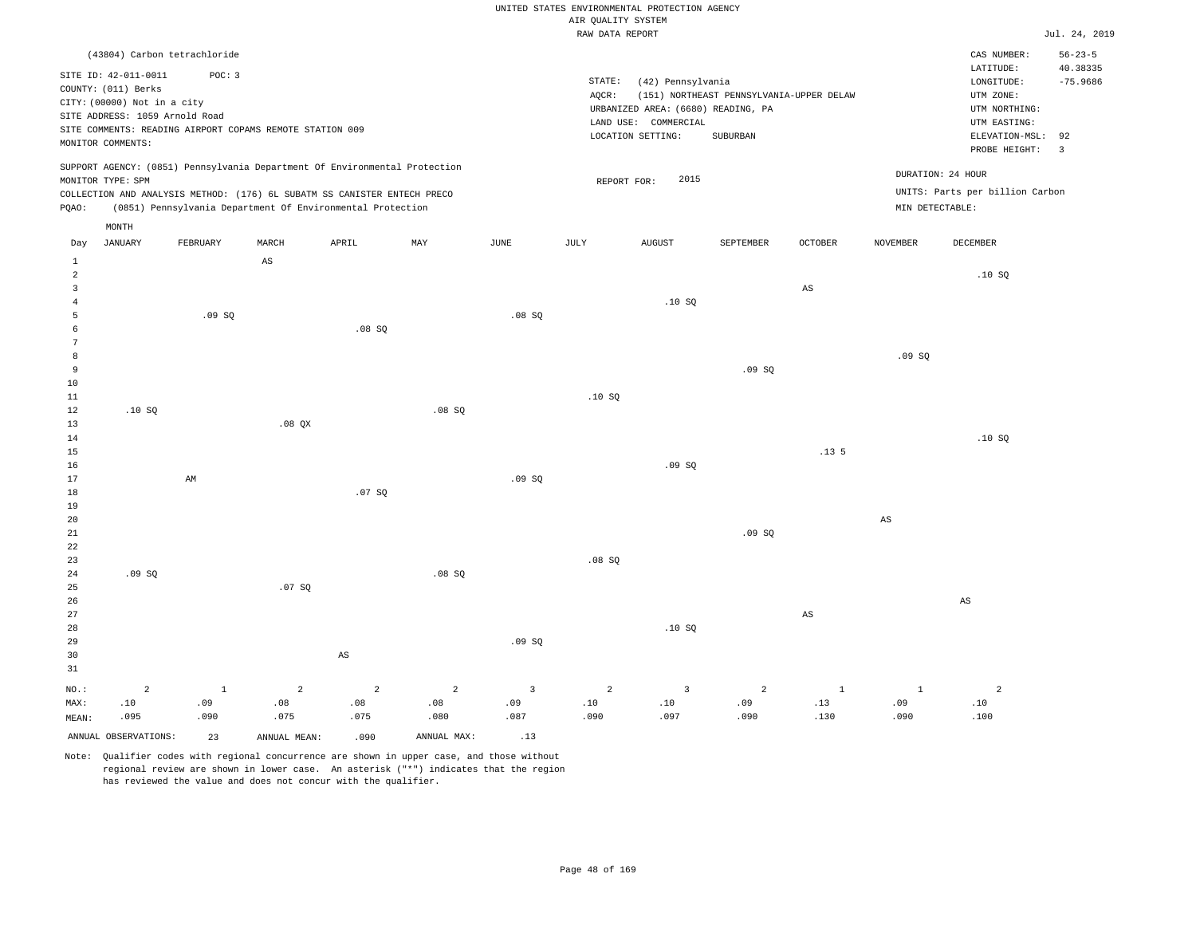#### RAW DATA REPORT JUL. 24, 2019 UNITED STATES ENVIRONMENTAL PROTECTION AGENCY AIR QUALITY SYSTEM

|                |                                                               | (43804) Carbon tetrachloride                             |       |                                                                                                                                                                                                                      |     |      |        |                                                            |                                          |                |                 | CAS NUMBER:                                          | $56 - 23 - 5$          |
|----------------|---------------------------------------------------------------|----------------------------------------------------------|-------|----------------------------------------------------------------------------------------------------------------------------------------------------------------------------------------------------------------------|-----|------|--------|------------------------------------------------------------|------------------------------------------|----------------|-----------------|------------------------------------------------------|------------------------|
|                | SITE ID: 42-011-0011<br>COUNTY: (011) Berks                   | POC: 3                                                   |       |                                                                                                                                                                                                                      |     |      | STATE: | (42) Pennsylvania                                          |                                          |                |                 | LATITUDE:<br>LONGITUDE:                              | 40.38335<br>$-75.9686$ |
|                | CITY: (00000) Not in a city<br>SITE ADDRESS: 1059 Arnold Road | SITE COMMENTS: READING AIRPORT COPAMS REMOTE STATION 009 |       |                                                                                                                                                                                                                      |     |      | AOCR:  | URBANIZED AREA: (6680) READING, PA<br>LAND USE: COMMERCIAL | (151) NORTHEAST PENNSYLVANIA-UPPER DELAW |                |                 | UTM ZONE:<br>UTM NORTHING:<br>UTM EASTING:           |                        |
|                | MONITOR COMMENTS:                                             |                                                          |       |                                                                                                                                                                                                                      |     |      |        | LOCATION SETTING:                                          | SUBURBAN                                 |                |                 | ELEVATION-MSL:<br>PROBE HEIGHT:                      | 92<br>$\mathbf{3}$     |
| POAO:          | MONITOR TYPE: SPM                                             |                                                          |       | SUPPORT AGENCY: (0851) Pennsylvania Department Of Environmental Protection<br>COLLECTION AND ANALYSIS METHOD: (176) 6L SUBATM SS CANISTER ENTECH PRECO<br>(0851) Pennsylvania Department Of Environmental Protection |     |      |        | 2015<br>REPORT FOR:                                        |                                          |                | MIN DETECTABLE: | DURATION: 24 HOUR<br>UNITS: Parts per billion Carbon |                        |
|                | MONTH                                                         |                                                          |       |                                                                                                                                                                                                                      |     |      |        |                                                            |                                          |                |                 |                                                      |                        |
| Day            | JANUARY                                                       | FEBRUARY                                                 | MARCH | APRIL                                                                                                                                                                                                                | MAY | JUNE | JULY   | AUGUST                                                     | SEPTEMBER                                | <b>OCTOBER</b> | <b>NOVEMBER</b> | DECEMBER                                             |                        |
|                |                                                               |                                                          | AS    |                                                                                                                                                                                                                      |     |      |        |                                                            |                                          |                |                 |                                                      |                        |
| $\overline{a}$ |                                                               |                                                          |       |                                                                                                                                                                                                                      |     |      |        |                                                            |                                          |                |                 | .10 SQ                                               |                        |
| $\overline{3}$ |                                                               |                                                          |       |                                                                                                                                                                                                                      |     |      |        |                                                            |                                          | AS             |                 |                                                      |                        |
|                |                                                               |                                                          |       |                                                                                                                                                                                                                      |     |      |        | .10S                                                       |                                          |                |                 |                                                      |                        |

| 6               |       |    |          | .08SQ  |        |       |      |       |       |                  |       |      |
|-----------------|-------|----|----------|--------|--------|-------|------|-------|-------|------------------|-------|------|
| $7\phantom{.0}$ |       |    |          |        |        |       |      |       |       |                  |       |      |
| 8               |       |    |          |        |        |       |      |       |       |                  | .09SQ |      |
| 9               |       |    |          |        |        |       |      |       | .09SQ |                  |       |      |
| $10\,$          |       |    |          |        |        |       |      |       |       |                  |       |      |
| $11\,$          |       |    |          |        |        |       | .10S |       |       |                  |       |      |
| 12              | .10SQ |    |          |        | .08 SQ |       |      |       |       |                  |       |      |
| 13              |       |    | $.08$ QX |        |        |       |      |       |       |                  |       |      |
| $14\,$          |       |    |          |        |        |       |      |       |       |                  |       | .10S |
| $15\,$          |       |    |          |        |        |       |      |       |       | .13 <sub>5</sub> |       |      |
| $16\,$          |       |    |          |        |        |       |      | .09SQ |       |                  |       |      |
| $17\,$          |       | AM |          |        |        | .09SQ |      |       |       |                  |       |      |
| $18\,$          |       |    |          | .07 SQ |        |       |      |       |       |                  |       |      |
| $19$            |       |    |          |        |        |       |      |       |       |                  |       |      |
| $20\,$          |       |    |          |        |        |       |      |       |       |                  | AS    |      |
| 21              |       |    |          |        |        |       |      |       | .09SQ |                  |       |      |

.08 SQ

22 23 24 25 26 27 28 29 30 31 .09 SQ NO.: 2 .07 SQ AS .08 SQ .09 SQ .08 SQ .10 SQ AS AS 1 2 2 2 3 2 3 2 1 1 2

|                         | .010 090 .090 .130 .091 .091 .091 .097 .090 .087 .097 .097 .097 .099 .097 .090 .095 .099 .099 .099 . |      |                 |  |  |  |  |
|-------------------------|------------------------------------------------------------------------------------------------------|------|-----------------|--|--|--|--|
| ANNUAL OBSERVATIONS: 23 | ANNUAL MEAN:                                                                                         | .090 | ANNUAL MAX: .13 |  |  |  |  |

Note: Qualifier codes with regional concurrence are shown in upper case, and those without regional review are shown in lower case. An asterisk ("\*") indicates that the region has reviewed the value and does not concur with the qualifier.

5

.09 SQ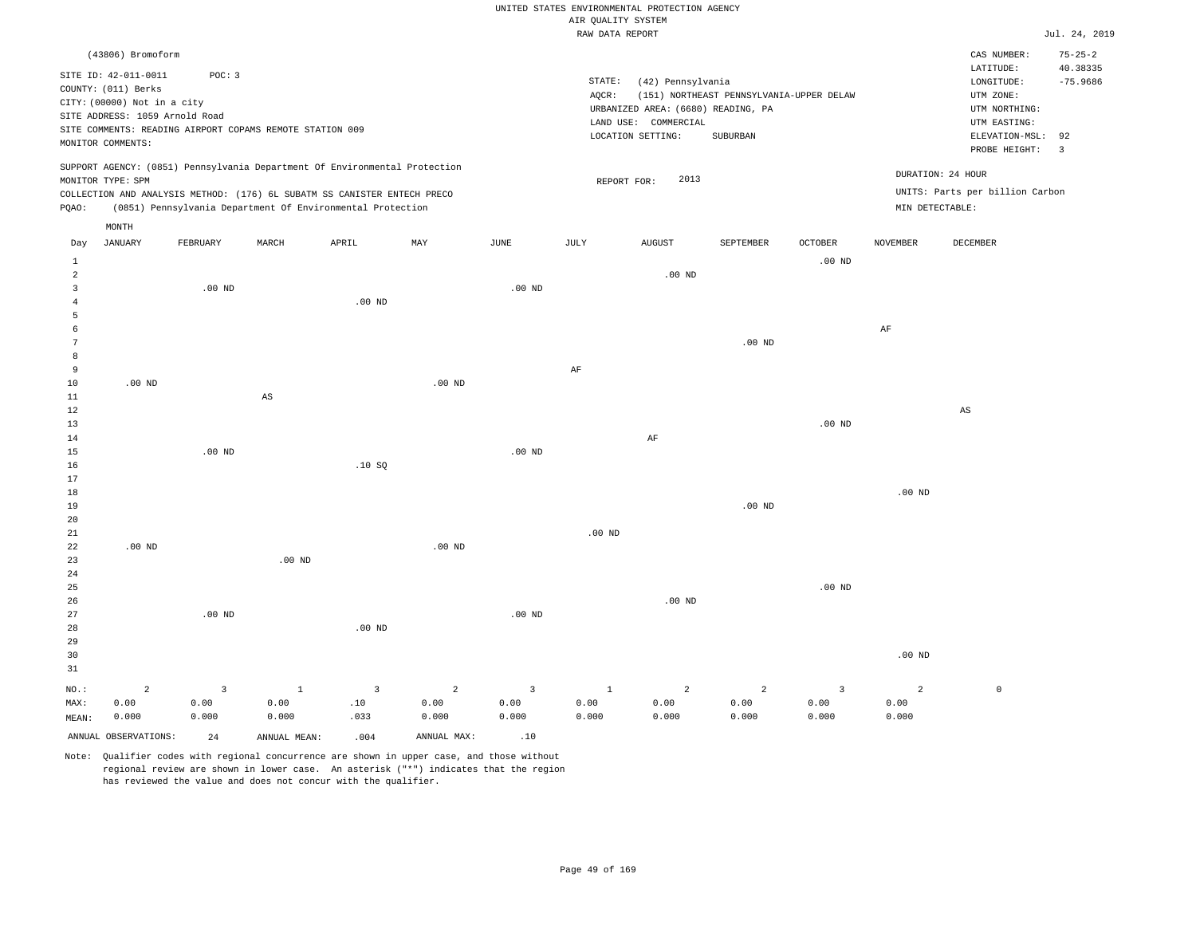|                     |                                |          |                                                                            |                   |                |                |                    | UNITED STATES ENVIRONMENTAL PROTECTION AGENCY              |                                          |                   |                   |                                 |                         |
|---------------------|--------------------------------|----------|----------------------------------------------------------------------------|-------------------|----------------|----------------|--------------------|------------------------------------------------------------|------------------------------------------|-------------------|-------------------|---------------------------------|-------------------------|
|                     |                                |          |                                                                            |                   |                |                | AIR QUALITY SYSTEM |                                                            |                                          |                   |                   |                                 |                         |
|                     |                                |          |                                                                            |                   |                |                | RAW DATA REPORT    |                                                            |                                          |                   |                   |                                 | Jul. 24, 2019           |
|                     | (43806) Bromoform              |          |                                                                            |                   |                |                |                    |                                                            |                                          |                   |                   | CAS NUMBER:                     | $75 - 25 - 2$           |
|                     | SITE ID: 42-011-0011           | POC: 3   |                                                                            |                   |                |                |                    |                                                            |                                          |                   |                   | LATITUDE:                       | 40.38335                |
|                     | COUNTY: (011) Berks            |          |                                                                            |                   |                |                | STATE:             | (42) Pennsylvania                                          |                                          |                   |                   | LONGITUDE:                      | $-75.9686$              |
|                     | CITY: (00000) Not in a city    |          |                                                                            |                   |                |                | AQCR:              |                                                            | (151) NORTHEAST PENNSYLVANIA-UPPER DELAW |                   |                   | UTM ZONE:                       |                         |
|                     | SITE ADDRESS: 1059 Arnold Road |          |                                                                            |                   |                |                |                    | URBANIZED AREA: (6680) READING, PA<br>LAND USE: COMMERCIAL |                                          |                   |                   | UTM NORTHING:<br>UTM EASTING:   |                         |
|                     |                                |          | SITE COMMENTS: READING AIRPORT COPAMS REMOTE STATION 009                   |                   |                |                |                    | LOCATION SETTING:                                          | SUBURBAN                                 |                   |                   | ELEVATION-MSL:                  | 92                      |
|                     | MONITOR COMMENTS:              |          |                                                                            |                   |                |                |                    |                                                            |                                          |                   |                   | PROBE HEIGHT:                   | $\overline{\mathbf{3}}$ |
|                     |                                |          | SUPPORT AGENCY: (0851) Pennsylvania Department Of Environmental Protection |                   |                |                |                    |                                                            |                                          |                   |                   |                                 |                         |
|                     | MONITOR TYPE: SPM              |          |                                                                            |                   |                |                |                    | 2013<br>REPORT FOR:                                        |                                          |                   |                   | DURATION: 24 HOUR               |                         |
|                     |                                |          | COLLECTION AND ANALYSIS METHOD: (176) 6L SUBATM SS CANISTER ENTECH PRECO   |                   |                |                |                    |                                                            |                                          |                   |                   | UNITS: Parts per billion Carbon |                         |
| PQAO:               |                                |          | (0851) Pennsylvania Department Of Environmental Protection                 |                   |                |                |                    |                                                            |                                          |                   | MIN DETECTABLE:   |                                 |                         |
|                     | MONTH                          |          |                                                                            |                   |                |                |                    |                                                            |                                          |                   |                   |                                 |                         |
| Day                 | <b>JANUARY</b>                 | FEBRUARY | MARCH                                                                      | APRIL             | MAY            | JUNE           | JULY               | <b>AUGUST</b>                                              | SEPTEMBER                                | <b>OCTOBER</b>    | <b>NOVEMBER</b>   | DECEMBER                        |                         |
| 1                   |                                |          |                                                                            |                   |                |                |                    |                                                            |                                          | .00 <sub>ND</sub> |                   |                                 |                         |
| $\overline{a}$      |                                |          |                                                                            |                   |                |                |                    | $.00$ ND                                                   |                                          |                   |                   |                                 |                         |
| $\overline{3}$      |                                | $.00$ ND |                                                                            |                   |                | $.00$ ND       |                    |                                                            |                                          |                   |                   |                                 |                         |
| $\overline{4}$      |                                |          |                                                                            | .00 <sub>ND</sub> |                |                |                    |                                                            |                                          |                   |                   |                                 |                         |
| 5                   |                                |          |                                                                            |                   |                |                |                    |                                                            |                                          |                   |                   |                                 |                         |
| 6<br>$\overline{7}$ |                                |          |                                                                            |                   |                |                |                    |                                                            |                                          |                   | AF                |                                 |                         |
|                     |                                |          |                                                                            |                   |                |                |                    |                                                            | .00 <sub>ND</sub>                        |                   |                   |                                 |                         |
| 8<br>9              |                                |          |                                                                            |                   |                |                | AF                 |                                                            |                                          |                   |                   |                                 |                         |
| $10$                | $.00$ ND                       |          |                                                                            |                   | $.00$ ND       |                |                    |                                                            |                                          |                   |                   |                                 |                         |
| $1\,1$              |                                |          | $\mathbb{A}\mathbb{S}$                                                     |                   |                |                |                    |                                                            |                                          |                   |                   |                                 |                         |
| 12                  |                                |          |                                                                            |                   |                |                |                    |                                                            |                                          |                   |                   | $\mathbb{A}\mathbb{S}$          |                         |
| 13                  |                                |          |                                                                            |                   |                |                |                    |                                                            |                                          | .00 <sub>ND</sub> |                   |                                 |                         |
| 14                  |                                |          |                                                                            |                   |                |                |                    | AF                                                         |                                          |                   |                   |                                 |                         |
| 15                  |                                | $.00$ ND |                                                                            |                   |                | $.00$ ND       |                    |                                                            |                                          |                   |                   |                                 |                         |
| 16                  |                                |          |                                                                            | .10S              |                |                |                    |                                                            |                                          |                   |                   |                                 |                         |
| 17                  |                                |          |                                                                            |                   |                |                |                    |                                                            |                                          |                   |                   |                                 |                         |
| $18$                |                                |          |                                                                            |                   |                |                |                    |                                                            |                                          |                   | .00 <sub>ND</sub> |                                 |                         |
| 19                  |                                |          |                                                                            |                   |                |                |                    |                                                            | .00 <sub>ND</sub>                        |                   |                   |                                 |                         |
| 20                  |                                |          |                                                                            |                   |                |                |                    |                                                            |                                          |                   |                   |                                 |                         |
| 21                  |                                |          |                                                                            |                   |                |                | $.00$ ND           |                                                            |                                          |                   |                   |                                 |                         |
| 22                  | $.00$ ND                       |          |                                                                            |                   | $.00$ ND       |                |                    |                                                            |                                          |                   |                   |                                 |                         |
| 23                  |                                |          | .00 <sub>ND</sub>                                                          |                   |                |                |                    |                                                            |                                          |                   |                   |                                 |                         |
| 24<br>25            |                                |          |                                                                            |                   |                |                |                    |                                                            |                                          | $.00$ ND          |                   |                                 |                         |
| 26                  |                                |          |                                                                            |                   |                |                |                    | $.00$ ND                                                   |                                          |                   |                   |                                 |                         |
| 27                  |                                | $.00$ ND |                                                                            |                   |                | $.00$ ND       |                    |                                                            |                                          |                   |                   |                                 |                         |
| 28                  |                                |          |                                                                            | .00 <sub>ND</sub> |                |                |                    |                                                            |                                          |                   |                   |                                 |                         |
| 29                  |                                |          |                                                                            |                   |                |                |                    |                                                            |                                          |                   |                   |                                 |                         |
| 30                  |                                |          |                                                                            |                   |                |                |                    |                                                            |                                          |                   | $.00$ ND          |                                 |                         |
| 31                  |                                |          |                                                                            |                   |                |                |                    |                                                            |                                          |                   |                   |                                 |                         |
| NO.:                | $\overline{a}$                 | 3        | <sup>1</sup>                                                               | $\overline{3}$    | $\overline{c}$ | $\overline{3}$ | $\mathbf{1}$       | 2                                                          | $\overline{2}$                           | $\overline{3}$    | $\overline{a}$    | $\mathbb O$                     |                         |
| MAX:                | 0.00                           | 0.00     | 0.00                                                                       | .10               | 0.00           | 0.00           | 0.00               | 0.00                                                       | 0.00                                     | 0.00              | 0.00              |                                 |                         |
| MEAN:               | 0.000                          | 0.000    | 0.000                                                                      | .033              | 0.000          | 0.000          | 0.000              | 0.000                                                      | 0.000                                    | 0.000             | 0.000             |                                 |                         |
|                     | ANNUAL OBSERVATIONS:           | 2.4      | ANNUAL, MEAN:                                                              | .004              | ANNUAL MAX:    | .10            |                    |                                                            |                                          |                   |                   |                                 |                         |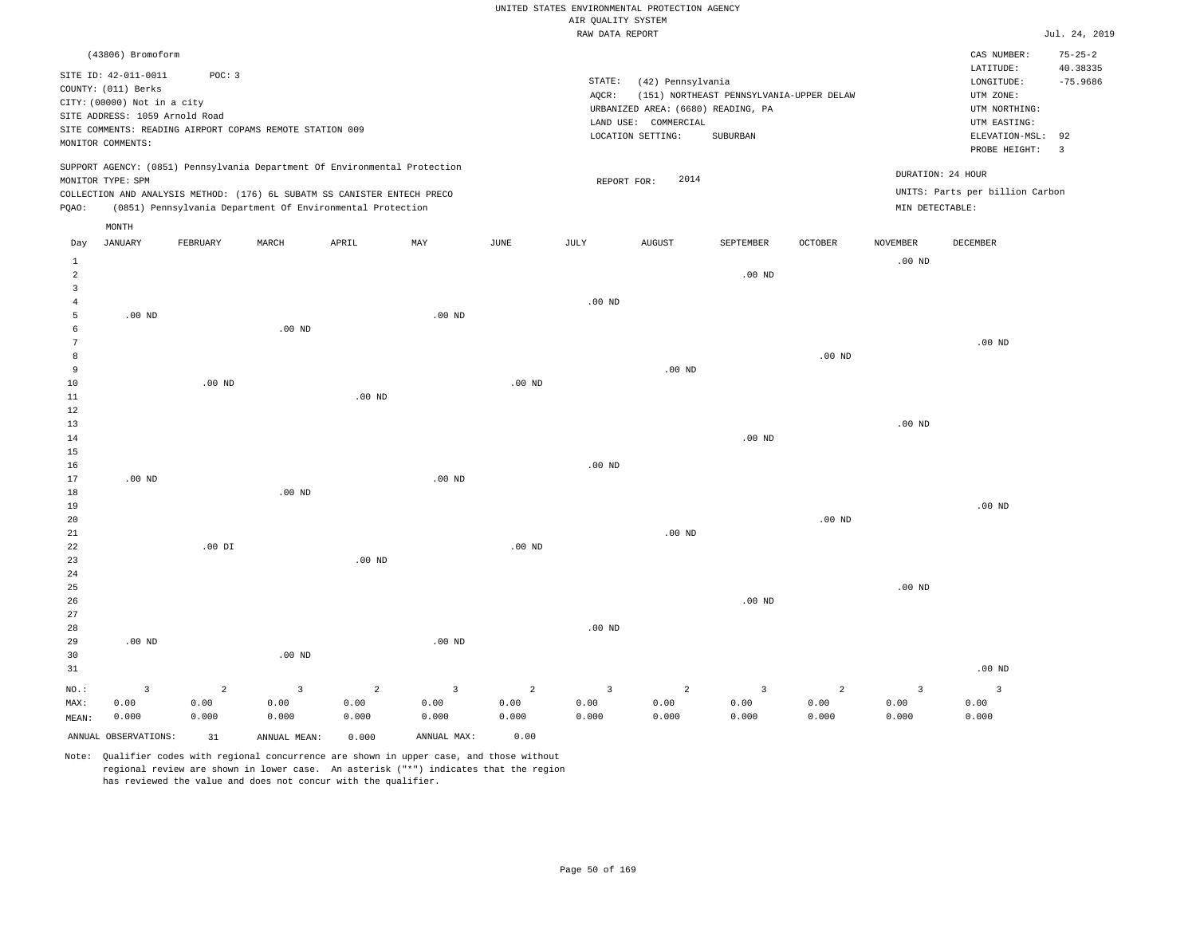|                                                  |                                                                                                                                                        |                                 |                                                                                                                                                                                                                      |                                 |                                 |                                 | AIR QUALITY SYSTEM              | UNITED STATES ENVIRONMENTAL PROTECTION AGENCY                                                        |                                                      |                    |                                 |                                                                                                                         |                                                                          |
|--------------------------------------------------|--------------------------------------------------------------------------------------------------------------------------------------------------------|---------------------------------|----------------------------------------------------------------------------------------------------------------------------------------------------------------------------------------------------------------------|---------------------------------|---------------------------------|---------------------------------|---------------------------------|------------------------------------------------------------------------------------------------------|------------------------------------------------------|--------------------|---------------------------------|-------------------------------------------------------------------------------------------------------------------------|--------------------------------------------------------------------------|
|                                                  |                                                                                                                                                        |                                 |                                                                                                                                                                                                                      |                                 |                                 |                                 | RAW DATA REPORT                 |                                                                                                      |                                                      |                    |                                 |                                                                                                                         | Jul. 24, 2019                                                            |
|                                                  | (43806) Bromoform<br>SITE ID: 42-011-0011<br>COUNTY: (011) Berks<br>CITY: (00000) Not in a city<br>SITE ADDRESS: 1059 Arnold Road<br>MONITOR COMMENTS: | POC: 3                          | SITE COMMENTS: READING AIRPORT COPAMS REMOTE STATION 009                                                                                                                                                             |                                 |                                 |                                 | STATE:<br>AQCR:                 | (42) Pennsylvania<br>URBANIZED AREA: (6680) READING, PA<br>LAND USE: COMMERCIAL<br>LOCATION SETTING: | (151) NORTHEAST PENNSYLVANIA-UPPER DELAW<br>SUBURBAN |                    |                                 | CAS NUMBER:<br>LATITUDE:<br>LONGITUDE:<br>UTM ZONE:<br>UTM NORTHING:<br>UTM EASTING:<br>ELEVATION-MSL:<br>PROBE HEIGHT: | $75 - 25 - 2$<br>40.38335<br>$-75.9686$<br>92<br>$\overline{\mathbf{3}}$ |
| PQAO:                                            | MONITOR TYPE: SPM                                                                                                                                      |                                 | SUPPORT AGENCY: (0851) Pennsylvania Department Of Environmental Protection<br>COLLECTION AND ANALYSIS METHOD: (176) 6L SUBATM SS CANISTER ENTECH PRECO<br>(0851) Pennsylvania Department Of Environmental Protection |                                 |                                 |                                 | REPORT FOR:                     | 2014                                                                                                 |                                                      |                    | MIN DETECTABLE:                 | DURATION: 24 HOUR<br>UNITS: Parts per billion Carbon                                                                    |                                                                          |
|                                                  | MONTH                                                                                                                                                  |                                 |                                                                                                                                                                                                                      |                                 |                                 |                                 |                                 |                                                                                                      |                                                      |                    |                                 |                                                                                                                         |                                                                          |
| Day                                              | <b>JANUARY</b>                                                                                                                                         | FEBRUARY                        | MARCH                                                                                                                                                                                                                | APRIL                           | MAY                             | JUNE                            | JULY                            | <b>AUGUST</b>                                                                                        | SEPTEMBER                                            | OCTOBER            | NOVEMBER                        | DECEMBER                                                                                                                |                                                                          |
| $\mathbf{1}$<br>$\overline{a}$<br>$\overline{3}$ |                                                                                                                                                        |                                 |                                                                                                                                                                                                                      |                                 |                                 |                                 |                                 |                                                                                                      | .00 <sub>ND</sub>                                    |                    | $.00$ ND                        |                                                                                                                         |                                                                          |
| $\overline{4}$<br>5<br>6                         | $.00$ ND                                                                                                                                               |                                 | .00 <sub>ND</sub>                                                                                                                                                                                                    |                                 | $.00$ ND                        |                                 | $.00$ ND                        |                                                                                                      |                                                      |                    |                                 |                                                                                                                         |                                                                          |
| $7\phantom{.0}$<br>8<br>9                        |                                                                                                                                                        |                                 |                                                                                                                                                                                                                      |                                 |                                 |                                 |                                 | $.00$ ND                                                                                             |                                                      | $.00$ ND           |                                 | $.00$ ND                                                                                                                |                                                                          |
| $10$<br>$1\,1$<br>12                             |                                                                                                                                                        | $.00$ ND                        |                                                                                                                                                                                                                      | $.00$ ND                        |                                 | $.00$ ND                        |                                 |                                                                                                      |                                                      |                    |                                 |                                                                                                                         |                                                                          |
| 13<br>14<br>15                                   |                                                                                                                                                        |                                 |                                                                                                                                                                                                                      |                                 |                                 |                                 |                                 |                                                                                                      | .00 <sub>ND</sub>                                    |                    | $.00$ ND                        |                                                                                                                         |                                                                          |
| 16<br>17<br>$18$                                 | $.00$ ND                                                                                                                                               |                                 | .00 <sub>ND</sub>                                                                                                                                                                                                    |                                 | $.00$ ND                        |                                 | .00 <sub>ND</sub>               |                                                                                                      |                                                      |                    |                                 |                                                                                                                         |                                                                          |
| 19<br>20<br>21                                   |                                                                                                                                                        |                                 |                                                                                                                                                                                                                      |                                 |                                 |                                 |                                 | $.00$ ND                                                                                             |                                                      | .00 <sub>ND</sub>  |                                 | $.00$ ND                                                                                                                |                                                                          |
| 22<br>23<br>24                                   |                                                                                                                                                        | $.00$ DI                        |                                                                                                                                                                                                                      | $.00$ ND                        |                                 | .00 <sub>ND</sub>               |                                 |                                                                                                      |                                                      |                    |                                 |                                                                                                                         |                                                                          |
| 25<br>26<br>27                                   |                                                                                                                                                        |                                 |                                                                                                                                                                                                                      |                                 |                                 |                                 |                                 |                                                                                                      | .00 <sub>ND</sub>                                    |                    | $.00$ ND                        |                                                                                                                         |                                                                          |
| 28<br>29<br>30<br>31                             | $.00$ ND                                                                                                                                               |                                 | .00 <sub>ND</sub>                                                                                                                                                                                                    |                                 | $.00$ ND                        |                                 | $.00$ ND                        |                                                                                                      |                                                      |                    |                                 | $.00$ ND                                                                                                                |                                                                          |
| NO.:<br>MAX:<br>MEAN:                            | $\overline{3}$<br>0.00<br>0.000                                                                                                                        | $\overline{a}$<br>0.00<br>0.000 | 3<br>0.00<br>0.000                                                                                                                                                                                                   | $\overline{2}$<br>0.00<br>0.000 | $\overline{3}$<br>0.00<br>0.000 | $\overline{2}$<br>0.00<br>0.000 | $\overline{3}$<br>0.00<br>0.000 | $\overline{a}$<br>0.00<br>0.000                                                                      | 3<br>0.00<br>0.000                                   | 2<br>0.00<br>0.000 | $\overline{3}$<br>0.00<br>0.000 | $\overline{3}$<br>0.00<br>0.000                                                                                         |                                                                          |
|                                                  | ANNUAL OBSERVATIONS:                                                                                                                                   | 31                              | ANNUAL MEAN:                                                                                                                                                                                                         | 0.000                           | ANNUAL MAX:                     | 0.00                            |                                 |                                                                                                      |                                                      |                    |                                 |                                                                                                                         |                                                                          |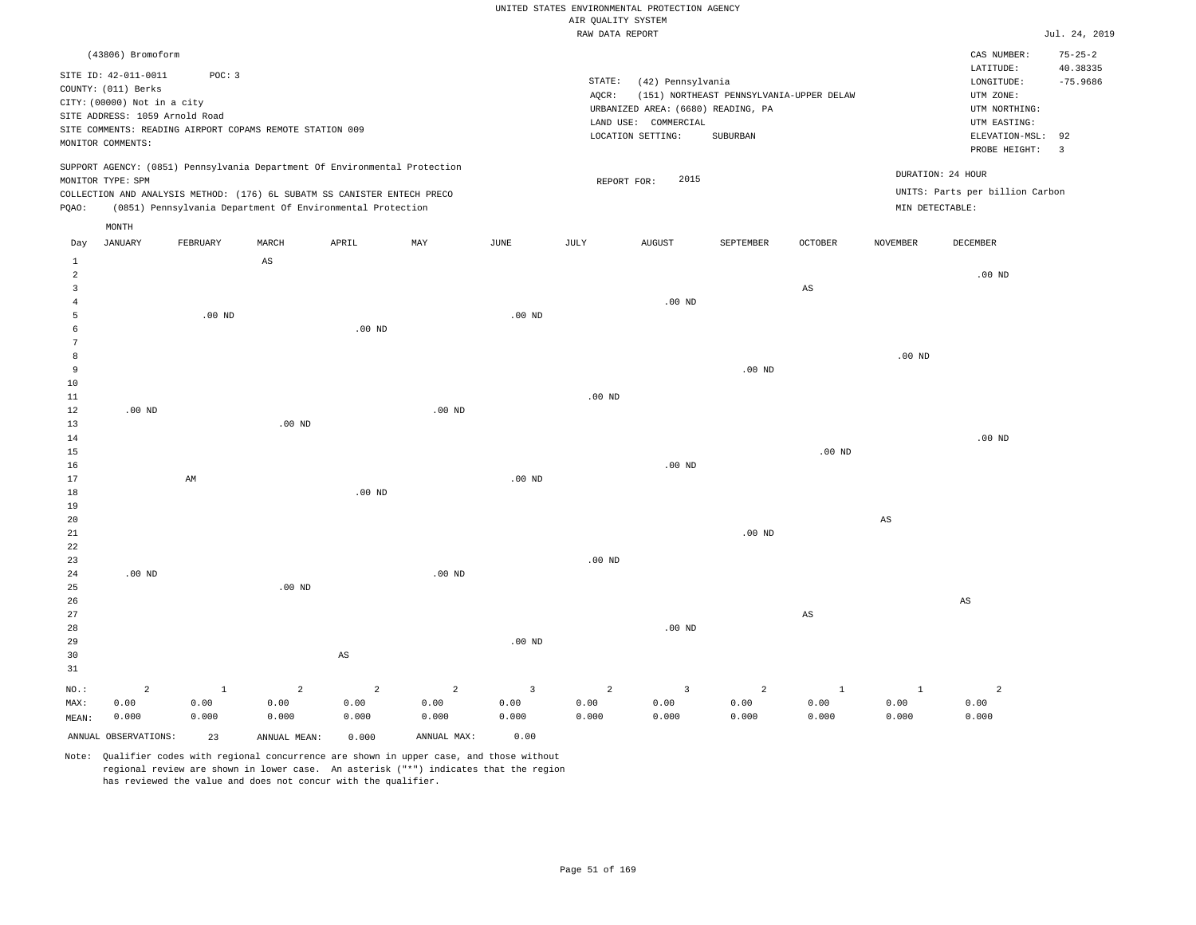#### RAW DATA REPORT JUL. 24, 2019 UNITED STATES ENVIRONMENTAL PROTECTION AGENCY AIR QUALITY SYSTEM

|                | (43806) Bromoform              |                                                          |          |                                                                            |          |          |                   |                                    |                                          |                        |                 | CAS NUMBER:                     | $75 - 25 - 2$ |
|----------------|--------------------------------|----------------------------------------------------------|----------|----------------------------------------------------------------------------|----------|----------|-------------------|------------------------------------|------------------------------------------|------------------------|-----------------|---------------------------------|---------------|
|                | SITE ID: 42-011-0011           | POC: 3                                                   |          |                                                                            |          |          |                   |                                    |                                          |                        |                 | LATITUDE:                       | 40.38335      |
|                | COUNTY: (011) Berks            |                                                          |          |                                                                            |          |          | STATE:            | (42) Pennsylvania                  |                                          |                        |                 | LONGITUDE:                      | $-75.9686$    |
|                | CITY: (00000) Not in a city    |                                                          |          |                                                                            |          |          | AQCR:             |                                    | (151) NORTHEAST PENNSYLVANIA-UPPER DELAW |                        |                 | UTM ZONE:                       |               |
|                | SITE ADDRESS: 1059 Arnold Road |                                                          |          |                                                                            |          |          |                   | URBANIZED AREA: (6680) READING, PA |                                          |                        |                 | UTM NORTHING:                   |               |
|                |                                | SITE COMMENTS: READING AIRPORT COPAMS REMOTE STATION 009 |          |                                                                            |          |          |                   | LAND USE: COMMERCIAL               |                                          |                        |                 | UTM EASTING:                    |               |
|                | MONITOR COMMENTS:              |                                                          |          |                                                                            |          |          |                   | LOCATION SETTING:                  | SUBURBAN                                 |                        |                 | ELEVATION-MSL: 92               |               |
|                |                                |                                                          |          |                                                                            |          |          |                   |                                    |                                          |                        |                 | PROBE HEIGHT: 3                 |               |
|                |                                |                                                          |          | SUPPORT AGENCY: (0851) Pennsylvania Department Of Environmental Protection |          |          |                   |                                    |                                          |                        |                 |                                 |               |
|                | MONITOR TYPE: SPM              |                                                          |          |                                                                            |          |          |                   | 2015<br>REPORT FOR:                |                                          |                        |                 | DURATION: 24 HOUR               |               |
|                |                                |                                                          |          | COLLECTION AND ANALYSIS METHOD: (176) 6L SUBATM SS CANISTER ENTECH PRECO   |          |          |                   |                                    |                                          |                        |                 | UNITS: Parts per billion Carbon |               |
| PQAO:          |                                |                                                          |          | (0851) Pennsylvania Department Of Environmental Protection                 |          |          |                   |                                    |                                          |                        | MIN DETECTABLE: |                                 |               |
|                | MONTH                          |                                                          |          |                                                                            |          |          |                   |                                    |                                          |                        |                 |                                 |               |
|                |                                |                                                          |          |                                                                            |          |          |                   |                                    |                                          |                        |                 |                                 |               |
| Day            | <b>JANUARY</b>                 | FEBRUARY                                                 | MARCH    | APRIL                                                                      | MAY      | JUNE     | JULY              | <b>AUGUST</b>                      | SEPTEMBER                                | <b>OCTOBER</b>         | <b>NOVEMBER</b> | <b>DECEMBER</b>                 |               |
| 1              |                                |                                                          | AS       |                                                                            |          |          |                   |                                    |                                          |                        |                 |                                 |               |
| 2              |                                |                                                          |          |                                                                            |          |          |                   |                                    |                                          |                        |                 | $.00$ ND                        |               |
| $\overline{3}$ |                                |                                                          |          |                                                                            |          |          |                   |                                    |                                          | $\mathbb{A}\mathbb{S}$ |                 |                                 |               |
|                |                                |                                                          |          |                                                                            |          |          |                   | $.00$ ND                           |                                          |                        |                 |                                 |               |
| 5              |                                | $.00$ ND                                                 |          |                                                                            |          | $.00$ ND |                   |                                    |                                          |                        |                 |                                 |               |
| 6              |                                |                                                          |          | .00 <sub>ND</sub>                                                          |          |          |                   |                                    |                                          |                        |                 |                                 |               |
|                |                                |                                                          |          |                                                                            |          |          |                   |                                    |                                          |                        |                 |                                 |               |
| 8              |                                |                                                          |          |                                                                            |          |          |                   |                                    |                                          |                        | $.00$ ND        |                                 |               |
| 9              |                                |                                                          |          |                                                                            |          |          |                   |                                    | $.00$ ND                                 |                        |                 |                                 |               |
| 10             |                                |                                                          |          |                                                                            |          |          |                   |                                    |                                          |                        |                 |                                 |               |
| 11             |                                |                                                          |          |                                                                            |          |          | .00 <sub>ND</sub> |                                    |                                          |                        |                 |                                 |               |
| 12             | $.00$ ND                       |                                                          |          |                                                                            | $.00$ ND |          |                   |                                    |                                          |                        |                 |                                 |               |
| 13             |                                |                                                          | $.00$ ND |                                                                            |          |          |                   |                                    |                                          |                        |                 |                                 |               |
| 14             |                                |                                                          |          |                                                                            |          |          |                   |                                    |                                          |                        |                 | $.00$ ND                        |               |
| 15             |                                |                                                          |          |                                                                            |          |          |                   |                                    |                                          | $.00$ ND               |                 |                                 |               |
| 16             |                                |                                                          |          |                                                                            |          |          |                   | $.00$ ND                           |                                          |                        |                 |                                 |               |
| 17             |                                | AM                                                       |          |                                                                            |          | $.00$ ND |                   |                                    |                                          |                        |                 |                                 |               |

18 19 20 21 22 23 24 25 .00 ND .00 ND .00 ND .00 ND .00 ND .00 ND AS

26 27 28 29 30 31 NO.: MAX: MEAN: 2 0.00 0.000 AS .00 ND .00 ND AS AS 1 0.00 0.000 2 0.00 0.000 2 0.00 0.000 2 0.00 0.000 3 0.00 0.000 2 0.00 0.000 3 0.00 0.000 2 0.00 0.000 1 0.00 0.000  $1$  0.00 0.000 2 0.00 0.000

ANNUAL OBSERVATIONS: 23 ANNUAL MEAN: 0.000 ANNUAL MAX: 0.00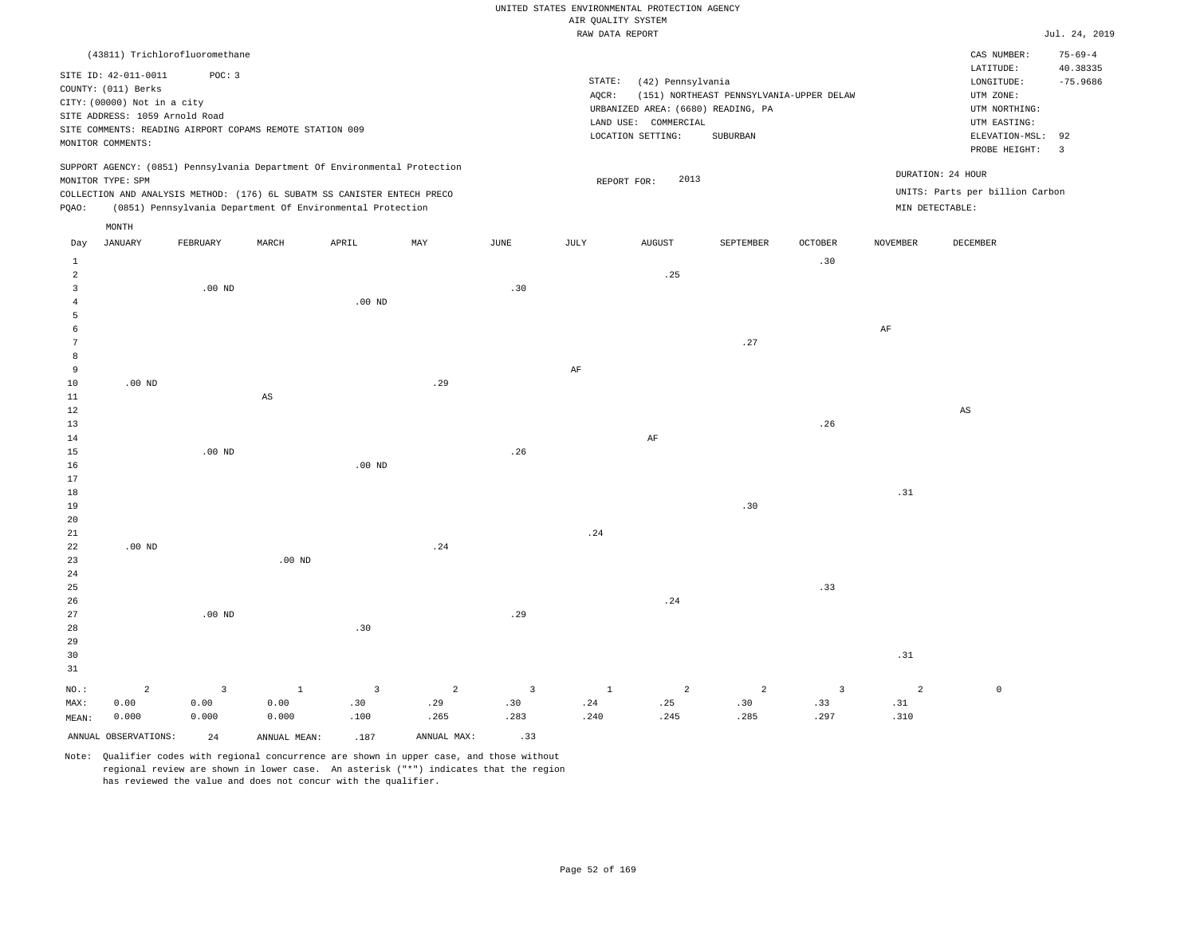| RAW DATA REPORT<br>and the control of the control of |
|------------------------------------------------------|
|------------------------------------------------------|

|                         |                                                               |                |                                                                            |                   |                |                | RAW DATA REPORT |                                    |                                          |                         |                 |                                 | Jul. 24, 2019  |
|-------------------------|---------------------------------------------------------------|----------------|----------------------------------------------------------------------------|-------------------|----------------|----------------|-----------------|------------------------------------|------------------------------------------|-------------------------|-----------------|---------------------------------|----------------|
|                         | (43811) Trichlorofluoromethane                                |                |                                                                            |                   |                |                |                 |                                    |                                          |                         |                 | CAS NUMBER:                     | $75 - 69 - 4$  |
|                         |                                                               |                |                                                                            |                   |                |                |                 |                                    |                                          |                         |                 | LATITUDE:                       | 40.38335       |
|                         | SITE ID: 42-011-0011<br>COUNTY: (011) Berks                   | POC: 3         |                                                                            |                   |                |                | STATE:          | (42) Pennsylvania                  |                                          |                         |                 | LONGITUDE:                      | $-75.9686$     |
|                         |                                                               |                |                                                                            |                   |                |                | AQCR:           |                                    | (151) NORTHEAST PENNSYLVANIA-UPPER DELAW |                         |                 | UTM ZONE:                       |                |
|                         | CITY: (00000) Not in a city<br>SITE ADDRESS: 1059 Arnold Road |                |                                                                            |                   |                |                |                 | URBANIZED AREA: (6680) READING, PA |                                          |                         |                 | UTM NORTHING:                   |                |
|                         |                                                               |                | SITE COMMENTS: READING AIRPORT COPAMS REMOTE STATION 009                   |                   |                |                |                 | LAND USE: COMMERCIAL               |                                          |                         |                 | UTM EASTING:                    |                |
|                         | MONITOR COMMENTS:                                             |                |                                                                            |                   |                |                |                 | LOCATION SETTING:                  | SUBURBAN                                 |                         |                 | ELEVATION-MSL:                  | 92             |
|                         |                                                               |                |                                                                            |                   |                |                |                 |                                    |                                          |                         |                 | PROBE HEIGHT:                   | $\overline{3}$ |
|                         |                                                               |                | SUPPORT AGENCY: (0851) Pennsylvania Department Of Environmental Protection |                   |                |                |                 |                                    |                                          |                         |                 | DURATION: 24 HOUR               |                |
|                         | MONITOR TYPE: SPM                                             |                |                                                                            |                   |                |                |                 | 2013<br>REPORT FOR:                |                                          |                         |                 | UNITS: Parts per billion Carbon |                |
|                         |                                                               |                | COLLECTION AND ANALYSIS METHOD: (176) 6L SUBATM SS CANISTER ENTECH PRECO   |                   |                |                |                 |                                    |                                          |                         |                 |                                 |                |
| PQAO:                   |                                                               |                | (0851) Pennsylvania Department Of Environmental Protection                 |                   |                |                |                 |                                    |                                          |                         | MIN DETECTABLE: |                                 |                |
|                         | MONTH                                                         |                |                                                                            |                   |                |                |                 |                                    |                                          |                         |                 |                                 |                |
| Day                     | <b>JANUARY</b>                                                | FEBRUARY       | MARCH                                                                      | APRIL             | MAY            | $_{\rm JUNE}$  | JULY            | <b>AUGUST</b>                      | SEPTEMBER                                | <b>OCTOBER</b>          | <b>NOVEMBER</b> | DECEMBER                        |                |
| $\mathbf{1}$            |                                                               |                |                                                                            |                   |                |                |                 |                                    |                                          | .30                     |                 |                                 |                |
| $\overline{a}$          |                                                               |                |                                                                            |                   |                |                |                 | .25                                |                                          |                         |                 |                                 |                |
| $\overline{\mathbf{3}}$ |                                                               | $.00$ ND       |                                                                            |                   |                | .30            |                 |                                    |                                          |                         |                 |                                 |                |
| $\overline{4}$          |                                                               |                |                                                                            | $.00$ ND          |                |                |                 |                                    |                                          |                         |                 |                                 |                |
| 5                       |                                                               |                |                                                                            |                   |                |                |                 |                                    |                                          |                         |                 |                                 |                |
| 6                       |                                                               |                |                                                                            |                   |                |                |                 |                                    |                                          |                         | AF              |                                 |                |
| $7\phantom{.0}$         |                                                               |                |                                                                            |                   |                |                |                 |                                    | .27                                      |                         |                 |                                 |                |
| 8                       |                                                               |                |                                                                            |                   |                |                |                 |                                    |                                          |                         |                 |                                 |                |
| $\overline{9}$          |                                                               |                |                                                                            |                   |                |                | AF              |                                    |                                          |                         |                 |                                 |                |
| 10<br>11                | $.00$ ND                                                      |                | $_{\rm AS}$                                                                |                   | .29            |                |                 |                                    |                                          |                         |                 |                                 |                |
| 12                      |                                                               |                |                                                                            |                   |                |                |                 |                                    |                                          |                         |                 | $_{\rm AS}$                     |                |
| 13                      |                                                               |                |                                                                            |                   |                |                |                 |                                    |                                          | .26                     |                 |                                 |                |
| 14                      |                                                               |                |                                                                            |                   |                |                |                 | AF                                 |                                          |                         |                 |                                 |                |
| 15                      |                                                               | $.00$ ND       |                                                                            |                   |                | .26            |                 |                                    |                                          |                         |                 |                                 |                |
| 16                      |                                                               |                |                                                                            | .00 <sub>ND</sub> |                |                |                 |                                    |                                          |                         |                 |                                 |                |
| 17                      |                                                               |                |                                                                            |                   |                |                |                 |                                    |                                          |                         |                 |                                 |                |
| 18                      |                                                               |                |                                                                            |                   |                |                |                 |                                    |                                          |                         | .31             |                                 |                |
| 19                      |                                                               |                |                                                                            |                   |                |                |                 |                                    | .30                                      |                         |                 |                                 |                |
| 20                      |                                                               |                |                                                                            |                   |                |                |                 |                                    |                                          |                         |                 |                                 |                |
| 21                      |                                                               |                |                                                                            |                   |                |                | .24             |                                    |                                          |                         |                 |                                 |                |
| 22<br>23                | $.00$ ND                                                      |                | $.00$ ND                                                                   |                   | .24            |                |                 |                                    |                                          |                         |                 |                                 |                |
| 24                      |                                                               |                |                                                                            |                   |                |                |                 |                                    |                                          |                         |                 |                                 |                |
| 25                      |                                                               |                |                                                                            |                   |                |                |                 |                                    |                                          | .33                     |                 |                                 |                |
| 26                      |                                                               |                |                                                                            |                   |                |                |                 | .24                                |                                          |                         |                 |                                 |                |
| 27                      |                                                               | $.00$ ND       |                                                                            |                   |                | .29            |                 |                                    |                                          |                         |                 |                                 |                |
| 28                      |                                                               |                |                                                                            | .30               |                |                |                 |                                    |                                          |                         |                 |                                 |                |
| 29                      |                                                               |                |                                                                            |                   |                |                |                 |                                    |                                          |                         |                 |                                 |                |
| 30                      |                                                               |                |                                                                            |                   |                |                |                 |                                    |                                          |                         | .31             |                                 |                |
| 31                      |                                                               |                |                                                                            |                   |                |                |                 |                                    |                                          |                         |                 |                                 |                |
| NO.:                    | $\overline{c}$                                                | $\overline{3}$ | $\mathbf{1}$                                                               | $\overline{3}$    | $\overline{a}$ | $\overline{3}$ | $\mathbf{1}$    | $\overline{a}$                     | $\overline{a}$                           | $\overline{\mathbf{3}}$ | $\overline{a}$  | $\mathbb O$                     |                |
| MAX:                    | 0.00                                                          | 0.00           | 0.00                                                                       | .30               | .29            | .30            | .24             | .25                                | .30                                      | .33                     | .31             |                                 |                |
| MEAN:                   | 0.000                                                         | 0.000          | 0.000                                                                      | .100              | .265           | .283           | .240            | .245                               | .285                                     | .297                    | .310            |                                 |                |
|                         | ANNUAL OBSERVATIONS:                                          | 24             | ANNUAL MEAN:                                                               | .187              | ANNUAL MAX:    | .33            |                 |                                    |                                          |                         |                 |                                 |                |
|                         |                                                               |                |                                                                            |                   |                |                |                 |                                    |                                          |                         |                 |                                 |                |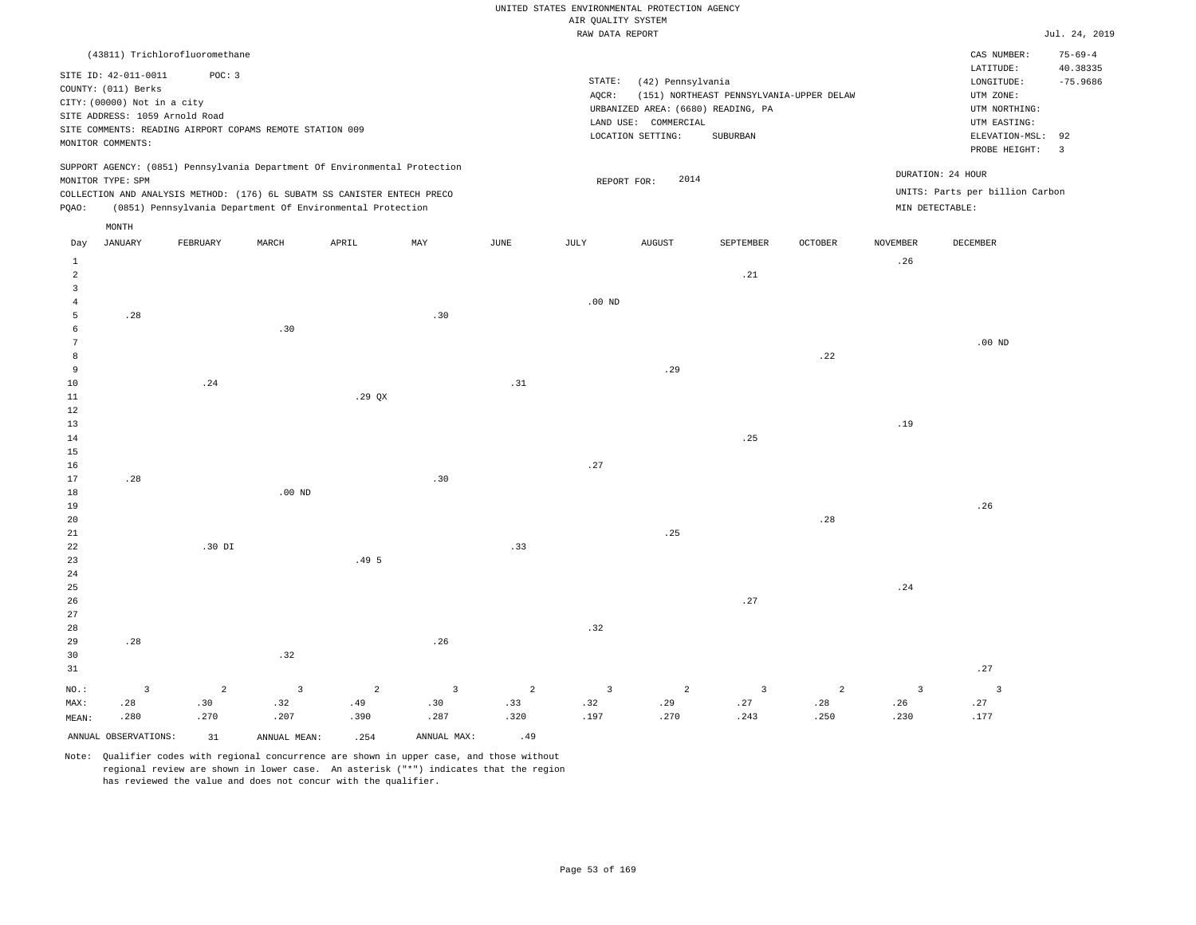|  |  |                    | UNITED STATES ENVIRONMENTAL PROTECTION AGENCY |  |
|--|--|--------------------|-----------------------------------------------|--|
|  |  | AIR OUALITY SYSTEM |                                               |  |

|              |                             |                                                                                                                                        |                   |       |     |      | RAW DATA REPORT |                      |                                          |                |                 |                                 | Jul. 24, 2019             |
|--------------|-----------------------------|----------------------------------------------------------------------------------------------------------------------------------------|-------------------|-------|-----|------|-----------------|----------------------|------------------------------------------|----------------|-----------------|---------------------------------|---------------------------|
|              |                             | (43811) Trichlorofluoromethane                                                                                                         |                   |       |     |      |                 |                      |                                          |                |                 | CAS NUMBER:<br>LATITUDE:        | $75 - 69 - 4$<br>40.38335 |
|              | SITE ID: 42-011-0011        | POC: 3                                                                                                                                 |                   |       |     |      | STATE:          | (42) Pennsylvania    |                                          |                |                 | LONGITUDE:                      | $-75.9686$                |
|              | COUNTY: (011) Berks         |                                                                                                                                        |                   |       |     |      | AOCR:           |                      | (151) NORTHEAST PENNSYLVANIA-UPPER DELAW |                |                 | UTM ZONE:                       |                           |
|              | CITY: (00000) Not in a city |                                                                                                                                        |                   |       |     |      |                 |                      | URBANIZED AREA: (6680) READING, PA       |                |                 | UTM NORTHING:                   |                           |
|              |                             | SITE ADDRESS: 1059 Arnold Road                                                                                                         |                   |       |     |      |                 | LAND USE: COMMERCIAL |                                          |                |                 | UTM EASTING:                    |                           |
|              |                             | SITE COMMENTS: READING AIRPORT COPAMS REMOTE STATION 009                                                                               |                   |       |     |      |                 | LOCATION SETTING:    | SUBURBAN                                 |                |                 | ELEVATION-MSL: 92               |                           |
|              | MONITOR COMMENTS:           |                                                                                                                                        |                   |       |     |      |                 |                      |                                          |                |                 | PROBE HEIGHT:                   | $\overline{\mathbf{3}}$   |
|              |                             | SUPPORT AGENCY: (0851) Pennsylvania Department Of Environmental Protection                                                             |                   |       |     |      |                 | 2014                 |                                          |                |                 | DURATION: 24 HOUR               |                           |
|              | MONITOR TYPE: SPM           |                                                                                                                                        |                   |       |     |      |                 | REPORT FOR:          |                                          |                |                 | UNITS: Parts per billion Carbon |                           |
| PQAO:        |                             | COLLECTION AND ANALYSIS METHOD: (176) 6L SUBATM SS CANISTER ENTECH PRECO<br>(0851) Pennsylvania Department Of Environmental Protection |                   |       |     |      |                 |                      |                                          |                |                 | MIN DETECTABLE:                 |                           |
|              |                             |                                                                                                                                        |                   |       |     |      |                 |                      |                                          |                |                 |                                 |                           |
|              | MONTH                       |                                                                                                                                        |                   |       |     |      |                 |                      |                                          |                |                 |                                 |                           |
| Day          | <b>JANUARY</b>              | FEBRUARY                                                                                                                               | MARCH             | APRIL | MAY | JUNE | JULY            | <b>AUGUST</b>        | SEPTEMBER                                | <b>OCTOBER</b> | <b>NOVEMBER</b> | DECEMBER                        |                           |
| $\mathbf{1}$ |                             |                                                                                                                                        |                   |       |     |      |                 |                      |                                          |                | .26             |                                 |                           |
| 2            |                             |                                                                                                                                        |                   |       |     |      |                 |                      | .21                                      |                |                 |                                 |                           |
| 3            |                             |                                                                                                                                        |                   |       |     |      |                 |                      |                                          |                |                 |                                 |                           |
| 4            |                             |                                                                                                                                        |                   |       |     |      | $.00$ ND        |                      |                                          |                |                 |                                 |                           |
| 5            | .28                         |                                                                                                                                        |                   |       | .30 |      |                 |                      |                                          |                |                 |                                 |                           |
| 6            |                             |                                                                                                                                        | .30               |       |     |      |                 |                      |                                          |                |                 |                                 |                           |
|              |                             |                                                                                                                                        |                   |       |     |      |                 |                      |                                          |                |                 | $.00$ ND                        |                           |
| 8            |                             |                                                                                                                                        |                   |       |     |      |                 |                      |                                          | .22            |                 |                                 |                           |
| 9            |                             |                                                                                                                                        |                   |       |     |      |                 | .29                  |                                          |                |                 |                                 |                           |
| 10           |                             | .24                                                                                                                                    |                   |       |     | .31  |                 |                      |                                          |                |                 |                                 |                           |
| 11<br>12     |                             |                                                                                                                                        |                   | .29QX |     |      |                 |                      |                                          |                |                 |                                 |                           |
| 13           |                             |                                                                                                                                        |                   |       |     |      |                 |                      |                                          |                | .19             |                                 |                           |
| 14           |                             |                                                                                                                                        |                   |       |     |      |                 |                      | .25                                      |                |                 |                                 |                           |
| 15           |                             |                                                                                                                                        |                   |       |     |      |                 |                      |                                          |                |                 |                                 |                           |
| 16           |                             |                                                                                                                                        |                   |       |     |      | .27             |                      |                                          |                |                 |                                 |                           |
| 17           | .28                         |                                                                                                                                        |                   |       | .30 |      |                 |                      |                                          |                |                 |                                 |                           |
| 18           |                             |                                                                                                                                        | .00 <sub>ND</sub> |       |     |      |                 |                      |                                          |                |                 |                                 |                           |

19 20 21 22 23 24 .30 DI .49 5 .33 .25 .28 .26

25 26 27 28 29 30 31 .28 NO.: 3 .32 .26 .32 .27 .24 .27 2 .30 3 .32 2 .49 3 .30 2 .33 3 .32 2 .29 3 .27 2 .28 3 .26 3 .27

MAX: MEAN: .28 .280 .270 .207 .390 .287 .320 .197 .270 .243 .250 .230 .177 ANNUAL OBSERVATIONS:  $31$  ANNUAL MEAN: .254 ANNUAL MAX: .49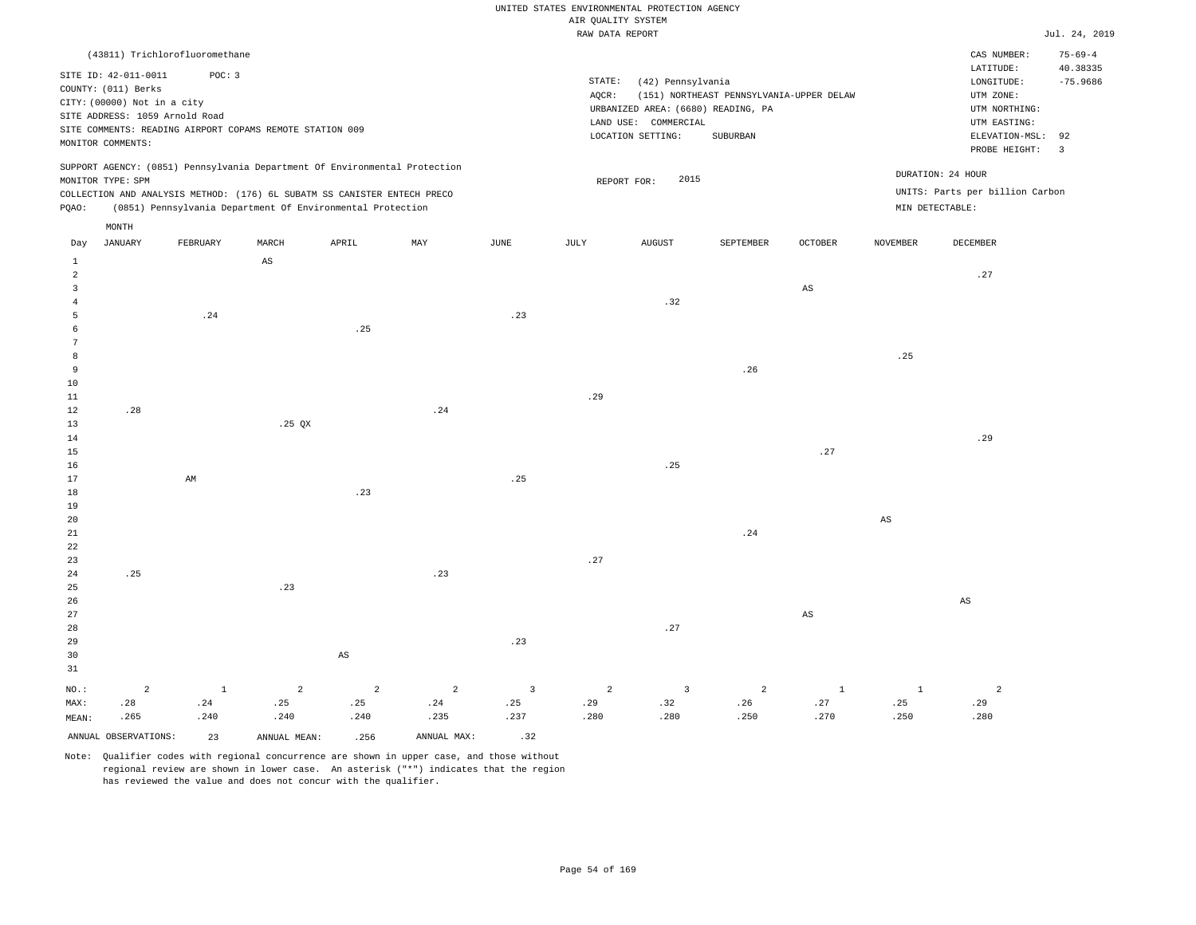|                |                                |                                |                                                                            |                        |                |                | RAW DATA REPORT |                                    |                                          |                        |              |                                 | Jul. 24, 2019           |
|----------------|--------------------------------|--------------------------------|----------------------------------------------------------------------------|------------------------|----------------|----------------|-----------------|------------------------------------|------------------------------------------|------------------------|--------------|---------------------------------|-------------------------|
|                |                                | (43811) Trichlorofluoromethane |                                                                            |                        |                |                |                 |                                    |                                          |                        |              | CAS NUMBER:                     | $75 - 69 - 4$           |
|                |                                |                                |                                                                            |                        |                |                |                 |                                    |                                          |                        |              | LATITUDE:                       | 40.38335                |
|                | SITE ID: 42-011-0011           | POC: 3                         |                                                                            |                        |                |                | STATE:          | (42) Pennsylvania                  |                                          |                        |              | LONGITUDE:                      | $-75.9686$              |
|                | COUNTY: (011) Berks            |                                |                                                                            |                        |                |                | AQCR:           |                                    | (151) NORTHEAST PENNSYLVANIA-UPPER DELAW |                        |              | UTM ZONE:                       |                         |
|                | CITY: (00000) Not in a city    |                                |                                                                            |                        |                |                |                 | URBANIZED AREA: (6680) READING, PA |                                          |                        |              | UTM NORTHING:                   |                         |
|                | SITE ADDRESS: 1059 Arnold Road |                                |                                                                            |                        |                |                |                 | LAND USE: COMMERCIAL               |                                          |                        |              | UTM EASTING:                    |                         |
|                |                                |                                | SITE COMMENTS: READING AIRPORT COPAMS REMOTE STATION 009                   |                        |                |                |                 | LOCATION SETTING:                  | <b>SUBURBAN</b>                          |                        |              | ELEVATION-MSL:                  | 92                      |
|                | MONITOR COMMENTS:              |                                |                                                                            |                        |                |                |                 |                                    |                                          |                        |              | PROBE HEIGHT:                   | $\overline{\mathbf{3}}$ |
|                |                                |                                | SUPPORT AGENCY: (0851) Pennsylvania Department Of Environmental Protection |                        |                |                |                 |                                    |                                          |                        |              | DURATION: 24 HOUR               |                         |
|                | MONITOR TYPE: SPM              |                                |                                                                            |                        |                |                |                 | 2015<br>REPORT FOR:                |                                          |                        |              |                                 |                         |
|                |                                |                                | COLLECTION AND ANALYSIS METHOD: (176) 6L SUBATM SS CANISTER ENTECH PRECO   |                        |                |                |                 |                                    |                                          |                        |              | UNITS: Parts per billion Carbon |                         |
| PQAO:          |                                |                                | (0851) Pennsylvania Department Of Environmental Protection                 |                        |                |                |                 |                                    |                                          |                        |              | MIN DETECTABLE:                 |                         |
|                | MONTH                          |                                |                                                                            |                        |                |                |                 |                                    |                                          |                        |              |                                 |                         |
| Day            | <b>JANUARY</b>                 | FEBRUARY                       | MARCH                                                                      | APRIL                  | MAY            | JUNE           | JULY            | <b>AUGUST</b>                      | SEPTEMBER                                | OCTOBER                | NOVEMBER     | DECEMBER                        |                         |
| $\mathbf{1}$   |                                |                                | AS                                                                         |                        |                |                |                 |                                    |                                          |                        |              |                                 |                         |
| $\overline{a}$ |                                |                                |                                                                            |                        |                |                |                 |                                    |                                          |                        |              | .27                             |                         |
| $\overline{3}$ |                                |                                |                                                                            |                        |                |                |                 |                                    |                                          | $\mathbb{A}\mathbb{S}$ |              |                                 |                         |
| $\overline{4}$ |                                |                                |                                                                            |                        |                |                |                 | .32                                |                                          |                        |              |                                 |                         |
| 5              |                                | .24                            |                                                                            |                        |                | .23            |                 |                                    |                                          |                        |              |                                 |                         |
| 6              |                                |                                |                                                                            | .25                    |                |                |                 |                                    |                                          |                        |              |                                 |                         |
| 7              |                                |                                |                                                                            |                        |                |                |                 |                                    |                                          |                        |              |                                 |                         |
| 8              |                                |                                |                                                                            |                        |                |                |                 |                                    |                                          |                        | .25          |                                 |                         |
| 9              |                                |                                |                                                                            |                        |                |                |                 |                                    | .26                                      |                        |              |                                 |                         |
| 10             |                                |                                |                                                                            |                        |                |                |                 |                                    |                                          |                        |              |                                 |                         |
| 11<br>12       | .28                            |                                |                                                                            |                        | .24            |                | .29             |                                    |                                          |                        |              |                                 |                         |
| 13             |                                |                                | $.25$ QX                                                                   |                        |                |                |                 |                                    |                                          |                        |              |                                 |                         |
| 14             |                                |                                |                                                                            |                        |                |                |                 |                                    |                                          |                        |              | .29                             |                         |
| 15             |                                |                                |                                                                            |                        |                |                |                 |                                    |                                          | .27                    |              |                                 |                         |
| 16             |                                |                                |                                                                            |                        |                |                |                 | .25                                |                                          |                        |              |                                 |                         |
| 17             |                                | AM                             |                                                                            |                        |                | .25            |                 |                                    |                                          |                        |              |                                 |                         |
| 18             |                                |                                |                                                                            | .23                    |                |                |                 |                                    |                                          |                        |              |                                 |                         |
| 19             |                                |                                |                                                                            |                        |                |                |                 |                                    |                                          |                        |              |                                 |                         |
| 20             |                                |                                |                                                                            |                        |                |                |                 |                                    |                                          |                        | $_{\rm AS}$  |                                 |                         |
| 21             |                                |                                |                                                                            |                        |                |                |                 |                                    | .24                                      |                        |              |                                 |                         |
| 22             |                                |                                |                                                                            |                        |                |                |                 |                                    |                                          |                        |              |                                 |                         |
| 23             |                                |                                |                                                                            |                        |                |                | .27             |                                    |                                          |                        |              |                                 |                         |
| 24             | .25                            |                                |                                                                            |                        | .23            |                |                 |                                    |                                          |                        |              |                                 |                         |
| 25             |                                |                                | .23                                                                        |                        |                |                |                 |                                    |                                          |                        |              |                                 |                         |
| 26             |                                |                                |                                                                            |                        |                |                |                 |                                    |                                          |                        |              | AS                              |                         |
| 27             |                                |                                |                                                                            |                        |                |                |                 |                                    |                                          | $_{\rm AS}$            |              |                                 |                         |
| 28             |                                |                                |                                                                            |                        |                |                |                 | .27                                |                                          |                        |              |                                 |                         |
| 29             |                                |                                |                                                                            |                        |                | .23            |                 |                                    |                                          |                        |              |                                 |                         |
| 30             |                                |                                |                                                                            | $\mathbb{A}\mathbb{S}$ |                |                |                 |                                    |                                          |                        |              |                                 |                         |
| 31             |                                |                                |                                                                            |                        |                |                |                 |                                    |                                          |                        |              |                                 |                         |
| NO.:           | $\overline{a}$                 | $\mathbf{1}$                   | $\overline{2}$                                                             | $\overline{a}$         | $\overline{a}$ | $\overline{3}$ | $\overline{a}$  | $\overline{3}$                     | $\overline{a}$                           | $\mathbf{1}$           | $\mathbf{1}$ | $\overline{c}$                  |                         |
| MAX:           | .28                            | .24                            | .25                                                                        | .25                    | .24            | .25            | .29             | .32                                | .26                                      | .27                    | .25          | .29                             |                         |
| MEAN:          | .265                           | .240                           | .240                                                                       | .240                   | .235           | .237           | .280            | .280                               | .250                                     | .270                   | .250         | .280                            |                         |
|                | ANNUAL OBSERVATIONS:           | 23                             | ANNUAL MEAN:                                                               | .256                   | ANNUAL MAX:    | .32            |                 |                                    |                                          |                        |              |                                 |                         |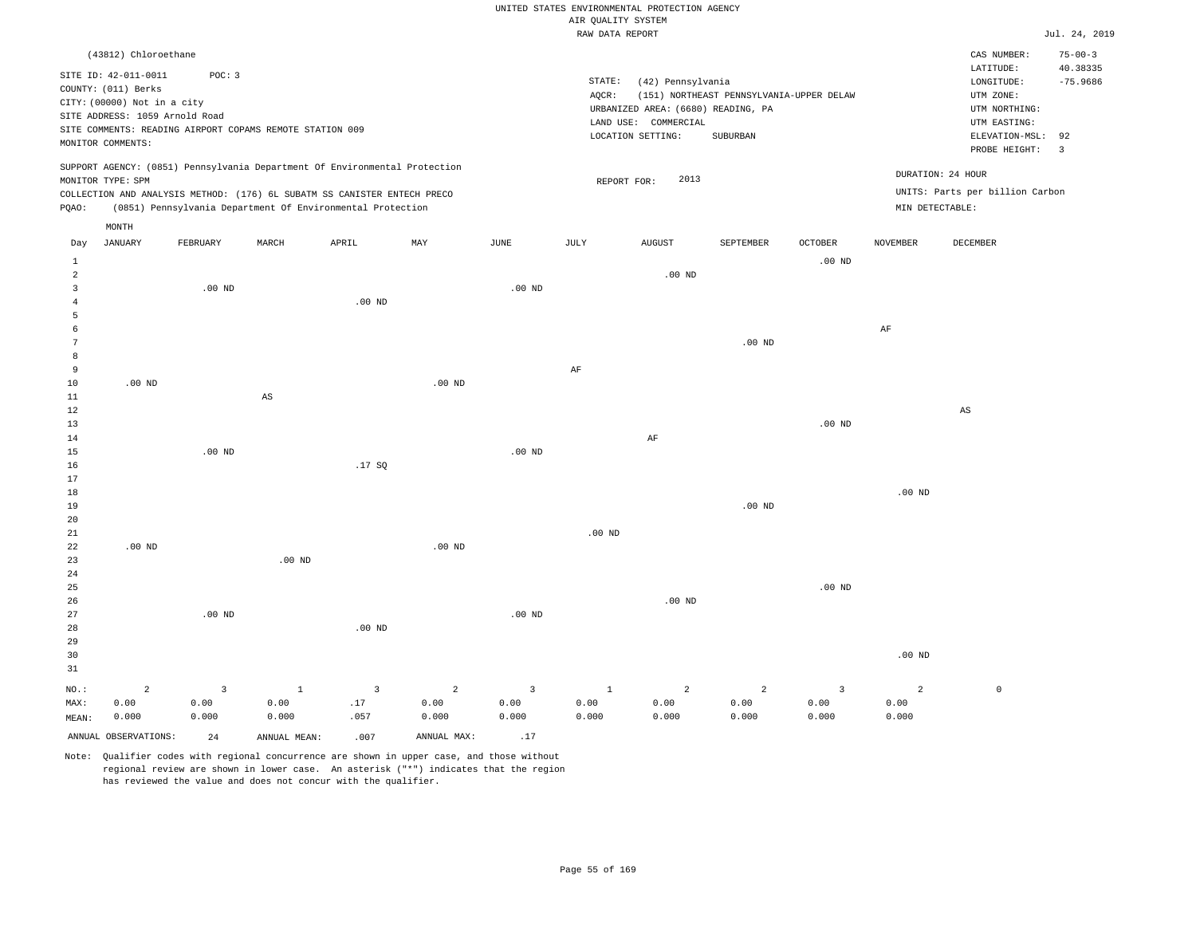|                |                                              |          |                                                                            |                |                |                   | AIR QUALITY SYSTEM | UNITED STATES ENVIRONMENTAL PROTECTION AGENCY |                                          |                         |                 |                                        |                                         |
|----------------|----------------------------------------------|----------|----------------------------------------------------------------------------|----------------|----------------|-------------------|--------------------|-----------------------------------------------|------------------------------------------|-------------------------|-----------------|----------------------------------------|-----------------------------------------|
|                |                                              |          |                                                                            |                |                |                   | RAW DATA REPORT    |                                               |                                          |                         |                 |                                        | Jul. 24, 2019                           |
|                |                                              |          |                                                                            |                |                |                   |                    |                                               |                                          |                         |                 |                                        |                                         |
|                | (43812) Chloroethane<br>SITE ID: 42-011-0011 | POC: 3   |                                                                            |                |                |                   | STATE:             | (42) Pennsylvania                             |                                          |                         |                 | CAS NUMBER:<br>LATITUDE:<br>LONGITUDE: | $75 - 00 - 3$<br>40.38335<br>$-75.9686$ |
|                | COUNTY: (011) Berks                          |          |                                                                            |                |                |                   | AQCR:              |                                               | (151) NORTHEAST PENNSYLVANIA-UPPER DELAW |                         |                 | UTM ZONE:                              |                                         |
|                | CITY: (00000) Not in a city                  |          |                                                                            |                |                |                   |                    | URBANIZED AREA: (6680) READING, PA            |                                          |                         |                 | UTM NORTHING:                          |                                         |
|                | SITE ADDRESS: 1059 Arnold Road               |          |                                                                            |                |                |                   |                    | LAND USE: COMMERCIAL                          |                                          |                         |                 | UTM EASTING:                           |                                         |
|                |                                              |          | SITE COMMENTS: READING AIRPORT COPAMS REMOTE STATION 009                   |                |                |                   |                    | LOCATION SETTING:                             | SUBURBAN                                 |                         |                 | ELEVATION-MSL:                         | 92                                      |
|                | MONITOR COMMENTS:                            |          |                                                                            |                |                |                   |                    |                                               |                                          |                         |                 | PROBE HEIGHT:                          | $\overline{\mathbf{3}}$                 |
|                |                                              |          | SUPPORT AGENCY: (0851) Pennsylvania Department Of Environmental Protection |                |                |                   |                    | 2013                                          |                                          |                         |                 | DURATION: 24 HOUR                      |                                         |
|                | MONITOR TYPE: SPM                            |          | COLLECTION AND ANALYSIS METHOD: (176) 6L SUBATM SS CANISTER ENTECH PRECO   |                |                |                   |                    | REPORT FOR:                                   |                                          |                         |                 | UNITS: Parts per billion Carbon        |                                         |
| PQAO:          |                                              |          | (0851) Pennsylvania Department Of Environmental Protection                 |                |                |                   |                    |                                               |                                          |                         | MIN DETECTABLE: |                                        |                                         |
|                | MONTH                                        |          |                                                                            |                |                |                   |                    |                                               |                                          |                         |                 |                                        |                                         |
| Day            | <b>JANUARY</b>                               | FEBRUARY | MARCH                                                                      | APRIL          | MAY            | JUNE              | JULY               | <b>AUGUST</b>                                 | SEPTEMBER                                | <b>OCTOBER</b>          | NOVEMBER        | DECEMBER                               |                                         |
| 1              |                                              |          |                                                                            |                |                |                   |                    |                                               |                                          | $.00$ ND                |                 |                                        |                                         |
| $\overline{a}$ |                                              |          |                                                                            |                |                |                   |                    | $.00$ ND                                      |                                          |                         |                 |                                        |                                         |
| $\overline{3}$ |                                              | $.00$ ND |                                                                            |                |                | .00 <sub>ND</sub> |                    |                                               |                                          |                         |                 |                                        |                                         |
| $\overline{4}$ |                                              |          |                                                                            | $.00$ ND       |                |                   |                    |                                               |                                          |                         |                 |                                        |                                         |
| 5<br>6         |                                              |          |                                                                            |                |                |                   |                    |                                               |                                          |                         | AF              |                                        |                                         |
| 7              |                                              |          |                                                                            |                |                |                   |                    |                                               | .00 <sub>ND</sub>                        |                         |                 |                                        |                                         |
| 8              |                                              |          |                                                                            |                |                |                   |                    |                                               |                                          |                         |                 |                                        |                                         |
| $\mathbf{q}$   |                                              |          |                                                                            |                |                |                   | AF                 |                                               |                                          |                         |                 |                                        |                                         |
| 10             | $.00$ ND                                     |          |                                                                            |                | $.00$ ND       |                   |                    |                                               |                                          |                         |                 |                                        |                                         |
| $1\,1$         |                                              |          | $\mathbb{A}\mathbb{S}$                                                     |                |                |                   |                    |                                               |                                          |                         |                 |                                        |                                         |
| $1\,2$         |                                              |          |                                                                            |                |                |                   |                    |                                               |                                          |                         |                 | $\mathbb{A}\mathbb{S}$                 |                                         |
| 13             |                                              |          |                                                                            |                |                |                   |                    |                                               |                                          | $.00$ ND                |                 |                                        |                                         |
| 14             |                                              |          |                                                                            |                |                |                   |                    | $\rm AF$                                      |                                          |                         |                 |                                        |                                         |
| 15             |                                              | $.00$ ND |                                                                            |                |                | .00 <sub>ND</sub> |                    |                                               |                                          |                         |                 |                                        |                                         |
| 16<br>17       |                                              |          |                                                                            | .17SQ          |                |                   |                    |                                               |                                          |                         |                 |                                        |                                         |
| 18             |                                              |          |                                                                            |                |                |                   |                    |                                               |                                          |                         | $.00$ ND        |                                        |                                         |
| 19             |                                              |          |                                                                            |                |                |                   |                    |                                               | .00 <sub>ND</sub>                        |                         |                 |                                        |                                         |
| 20             |                                              |          |                                                                            |                |                |                   |                    |                                               |                                          |                         |                 |                                        |                                         |
| 21             |                                              |          |                                                                            |                |                |                   | $.00$ ND           |                                               |                                          |                         |                 |                                        |                                         |
| 22             | $.00$ ND                                     |          |                                                                            |                | $.00$ ND       |                   |                    |                                               |                                          |                         |                 |                                        |                                         |
| 23             |                                              |          | .00 <sub>ND</sub>                                                          |                |                |                   |                    |                                               |                                          |                         |                 |                                        |                                         |
| 24             |                                              |          |                                                                            |                |                |                   |                    |                                               |                                          |                         |                 |                                        |                                         |
| 25             |                                              |          |                                                                            |                |                |                   |                    |                                               |                                          | $.00$ ND                |                 |                                        |                                         |
| 26             |                                              |          |                                                                            |                |                |                   |                    | $.00$ ND                                      |                                          |                         |                 |                                        |                                         |
| 27             |                                              | $.00$ ND |                                                                            |                |                | $.00$ ND          |                    |                                               |                                          |                         |                 |                                        |                                         |
| 28<br>29       |                                              |          |                                                                            | $.00$ ND       |                |                   |                    |                                               |                                          |                         |                 |                                        |                                         |
| 30             |                                              |          |                                                                            |                |                |                   |                    |                                               |                                          |                         | $.00$ ND        |                                        |                                         |
| 31             |                                              |          |                                                                            |                |                |                   |                    |                                               |                                          |                         |                 |                                        |                                         |
| NO.:           | $\overline{a}$                               | 3        | $\mathbf{1}$                                                               | $\overline{3}$ | $\overline{a}$ | $\overline{3}$    | $\mathbf{1}$       | $\overline{a}$                                | $\overline{2}$                           | $\overline{\mathbf{3}}$ | $\overline{a}$  | $\mathbb O$                            |                                         |
| MAX:           | 0.00                                         | 0.00     | 0.00                                                                       | .17            | 0.00           | 0.00              | 0.00               | 0.00                                          | 0.00                                     | 0.00                    | 0.00            |                                        |                                         |
| MEAN:          | 0.000                                        | 0.000    | 0.000                                                                      | .057           | 0.000          | 0.000             | 0.000              | 0.000                                         | 0.000                                    | 0.000                   | 0.000           |                                        |                                         |
|                | ANNUAL OBSERVATIONS:                         | 2.4      | ANNUAL MEAN:                                                               | .007           | ANNUAL MAX:    | .17               |                    |                                               |                                          |                         |                 |                                        |                                         |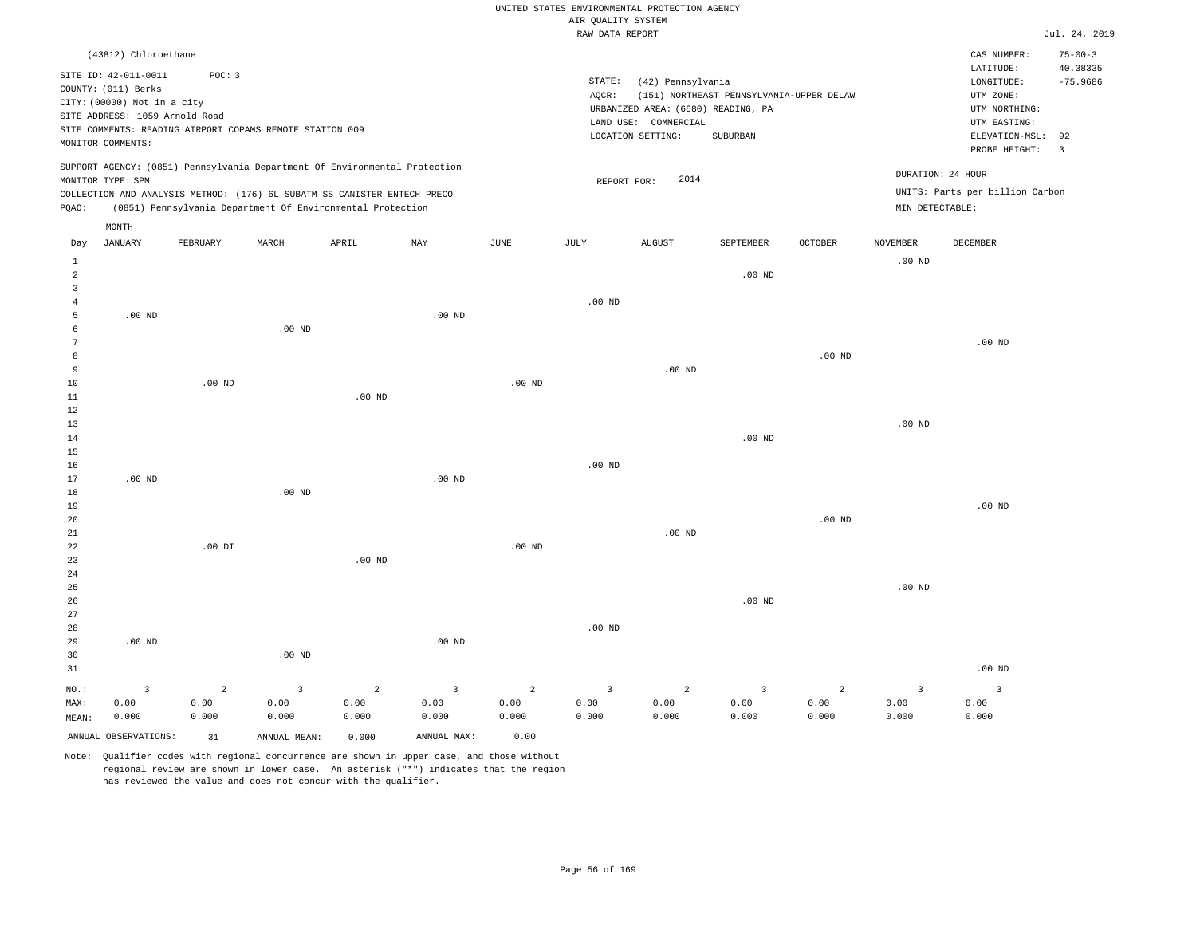|                                |                                                                                                                                   |                                 |                                                                                                                                                        |                    |                                 |                                 | AIR QUALITY SYSTEM              | UNITED STATES ENVIRONMENTAL PROTECTION AGENCY                                                        |                                                      |                    |                                 |                                                                                             |                                    |
|--------------------------------|-----------------------------------------------------------------------------------------------------------------------------------|---------------------------------|--------------------------------------------------------------------------------------------------------------------------------------------------------|--------------------|---------------------------------|---------------------------------|---------------------------------|------------------------------------------------------------------------------------------------------|------------------------------------------------------|--------------------|---------------------------------|---------------------------------------------------------------------------------------------|------------------------------------|
|                                |                                                                                                                                   |                                 |                                                                                                                                                        |                    |                                 |                                 | RAW DATA REPORT                 |                                                                                                      |                                                      |                    |                                 |                                                                                             | Jul. 24, 2019                      |
|                                | (43812) Chloroethane                                                                                                              |                                 |                                                                                                                                                        |                    |                                 |                                 |                                 |                                                                                                      |                                                      |                    |                                 | CAS NUMBER:<br>LATITUDE:                                                                    | $75 - 00 - 3$<br>40.38335          |
|                                | SITE ID: 42-011-0011<br>COUNTY: (011) Berks<br>CITY: (00000) Not in a city<br>SITE ADDRESS: 1059 Arnold Road<br>MONITOR COMMENTS: | POC: 3                          | SITE COMMENTS: READING AIRPORT COPAMS REMOTE STATION 009                                                                                               |                    |                                 |                                 | STATE:<br>AQCR:                 | (42) Pennsylvania<br>URBANIZED AREA: (6680) READING, PA<br>LAND USE: COMMERCIAL<br>LOCATION SETTING: | (151) NORTHEAST PENNSYLVANIA-UPPER DELAW<br>SUBURBAN |                    |                                 | LONGITUDE:<br>UTM ZONE:<br>UTM NORTHING:<br>UTM EASTING:<br>ELEVATION-MSL:<br>PROBE HEIGHT: | $-75.9686$<br>92<br>$\overline{3}$ |
|                                | MONITOR TYPE: SPM                                                                                                                 |                                 | SUPPORT AGENCY: (0851) Pennsylvania Department Of Environmental Protection<br>COLLECTION AND ANALYSIS METHOD: (176) 6L SUBATM SS CANISTER ENTECH PRECO |                    |                                 |                                 | REPORT FOR:                     | 2014                                                                                                 |                                                      |                    | DURATION: 24 HOUR               | UNITS: Parts per billion Carbon                                                             |                                    |
| PQAO:                          |                                                                                                                                   |                                 | (0851) Pennsylvania Department Of Environmental Protection                                                                                             |                    |                                 |                                 |                                 |                                                                                                      |                                                      |                    | MIN DETECTABLE:                 |                                                                                             |                                    |
| Day                            | MONTH<br><b>JANUARY</b>                                                                                                           | FEBRUARY                        | MARCH                                                                                                                                                  | APRIL              | MAY                             | JUNE                            | <b>JULY</b>                     | <b>AUGUST</b>                                                                                        | SEPTEMBER                                            | <b>OCTOBER</b>     | <b>NOVEMBER</b>                 | DECEMBER                                                                                    |                                    |
| $\mathbf{1}$<br>$\overline{a}$ |                                                                                                                                   |                                 |                                                                                                                                                        |                    |                                 |                                 |                                 |                                                                                                      | $.00$ ND                                             |                    | $.00$ ND                        |                                                                                             |                                    |
| $\overline{3}$                 |                                                                                                                                   |                                 |                                                                                                                                                        |                    |                                 |                                 |                                 |                                                                                                      |                                                      |                    |                                 |                                                                                             |                                    |
| $\,4\,$<br>$\overline{5}$      | .00 <sub>ND</sub>                                                                                                                 |                                 |                                                                                                                                                        |                    | $.00$ ND                        |                                 | $.00$ ND                        |                                                                                                      |                                                      |                    |                                 |                                                                                             |                                    |
| 6<br>$7\phantom{.0}$           |                                                                                                                                   |                                 | $.00$ ND                                                                                                                                               |                    |                                 |                                 |                                 |                                                                                                      |                                                      |                    |                                 | $.00$ ND                                                                                    |                                    |
| 8<br>9                         |                                                                                                                                   |                                 |                                                                                                                                                        |                    |                                 |                                 |                                 | $.00$ ND                                                                                             |                                                      | $.00$ ND           |                                 |                                                                                             |                                    |
| 10                             |                                                                                                                                   | $.00$ ND                        |                                                                                                                                                        |                    |                                 | $.00$ ND                        |                                 |                                                                                                      |                                                      |                    |                                 |                                                                                             |                                    |
| $1\,1$<br>$1\,2$               |                                                                                                                                   |                                 |                                                                                                                                                        | .00 <sub>ND</sub>  |                                 |                                 |                                 |                                                                                                      |                                                      |                    |                                 |                                                                                             |                                    |
| 13<br>14                       |                                                                                                                                   |                                 |                                                                                                                                                        |                    |                                 |                                 |                                 |                                                                                                      | .00 <sub>ND</sub>                                    |                    | $.00$ ND                        |                                                                                             |                                    |
| $15$<br>16                     |                                                                                                                                   |                                 |                                                                                                                                                        |                    |                                 |                                 | $.00$ ND                        |                                                                                                      |                                                      |                    |                                 |                                                                                             |                                    |
| 17<br>18                       | $.00$ ND                                                                                                                          |                                 | $.00$ ND                                                                                                                                               |                    | $.00$ ND                        |                                 |                                 |                                                                                                      |                                                      |                    |                                 |                                                                                             |                                    |
| 19                             |                                                                                                                                   |                                 |                                                                                                                                                        |                    |                                 |                                 |                                 |                                                                                                      |                                                      |                    |                                 | $.00$ ND                                                                                    |                                    |
| 20<br>21                       |                                                                                                                                   |                                 |                                                                                                                                                        |                    |                                 |                                 |                                 | $.00$ ND                                                                                             |                                                      | .00 <sub>ND</sub>  |                                 |                                                                                             |                                    |
| 22<br>23                       |                                                                                                                                   | $.00$ DI                        |                                                                                                                                                        | $.00$ ND           |                                 | $.00$ ND                        |                                 |                                                                                                      |                                                      |                    |                                 |                                                                                             |                                    |
| 24<br>25<br>26                 |                                                                                                                                   |                                 |                                                                                                                                                        |                    |                                 |                                 |                                 |                                                                                                      | .00 <sub>ND</sub>                                    |                    | $.00$ ND                        |                                                                                             |                                    |
| 27<br>28                       |                                                                                                                                   |                                 |                                                                                                                                                        |                    |                                 |                                 | $.00$ ND                        |                                                                                                      |                                                      |                    |                                 |                                                                                             |                                    |
| 29<br>30                       | $.00$ ND                                                                                                                          |                                 | $.00$ ND                                                                                                                                               |                    | .00 <sub>ND</sub>               |                                 |                                 |                                                                                                      |                                                      |                    |                                 |                                                                                             |                                    |
| 31                             |                                                                                                                                   |                                 |                                                                                                                                                        |                    |                                 |                                 |                                 |                                                                                                      |                                                      |                    |                                 | $.00$ ND                                                                                    |                                    |
| NO.:<br>MAX:                   | $\overline{3}$<br>0.00<br>0.000                                                                                                   | $\overline{a}$<br>0.00<br>0.000 | $\overline{3}$<br>0.00<br>0.000                                                                                                                        | 2<br>0.00<br>0.000 | $\overline{3}$<br>0.00<br>0.000 | $\overline{2}$<br>0.00<br>0.000 | $\overline{3}$<br>0.00<br>0.000 | 2<br>0.00<br>0.000                                                                                   | $\overline{3}$<br>0.00<br>0.000                      | 2<br>0.00<br>0.000 | $\overline{3}$<br>0.00<br>0.000 | $\overline{3}$<br>0.00<br>0.000                                                             |                                    |
| MEAN:                          | ANNUAL OBSERVATIONS:                                                                                                              | 31                              | ANNUAL MEAN:                                                                                                                                           | 0.000              | ANNUAL MAX:                     | 0.00                            |                                 |                                                                                                      |                                                      |                    |                                 |                                                                                             |                                    |
|                                |                                                                                                                                   |                                 |                                                                                                                                                        |                    |                                 |                                 |                                 |                                                                                                      |                                                      |                    |                                 |                                                                                             |                                    |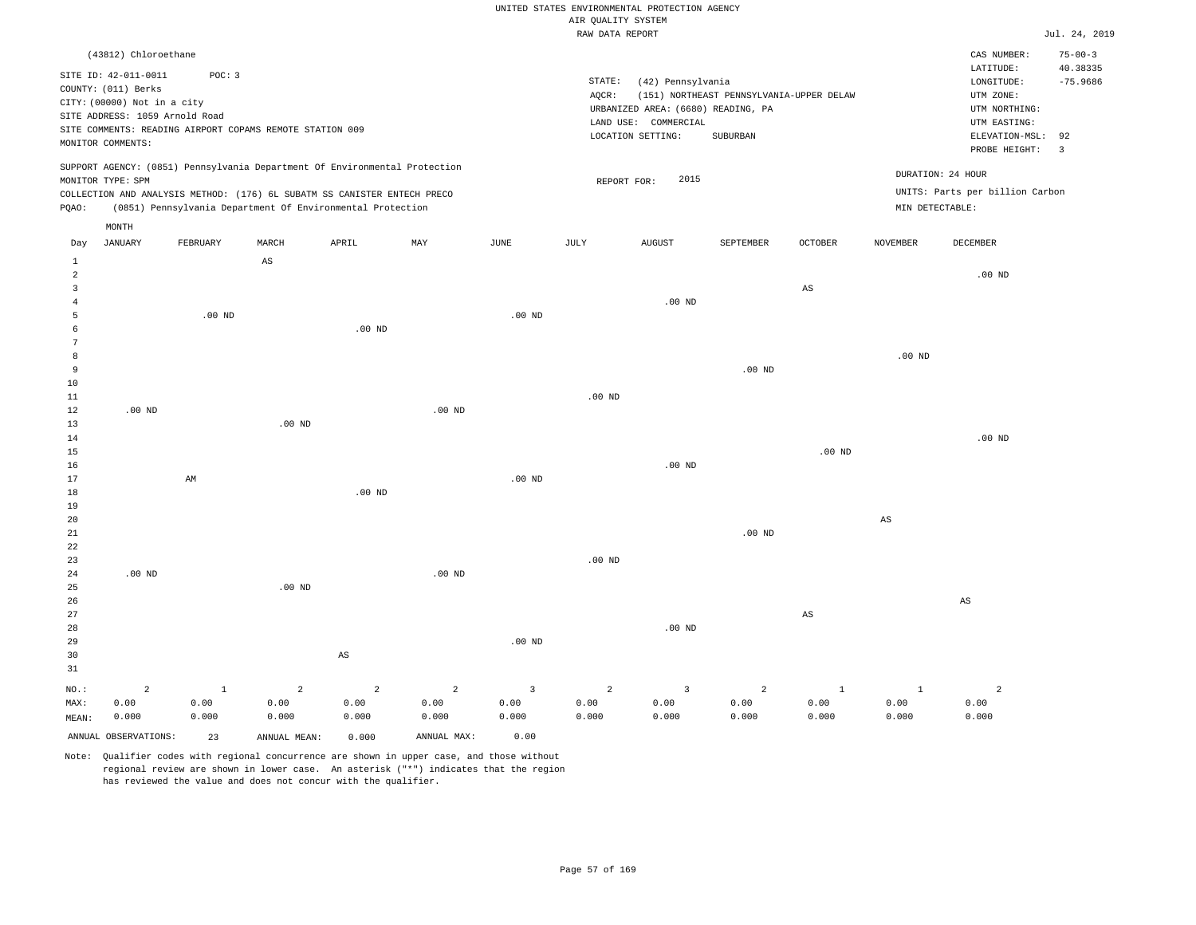|                                                                                                                                                                                                                                                    | RAW DATA REPORT                                                                                                                                   | Jul. 24, 2019                                                                                                                   |
|----------------------------------------------------------------------------------------------------------------------------------------------------------------------------------------------------------------------------------------------------|---------------------------------------------------------------------------------------------------------------------------------------------------|---------------------------------------------------------------------------------------------------------------------------------|
| (43812) Chloroethane<br>SITE ID: 42-011-0011<br>POC: 3<br>COUNTY: (011) Berks<br>CITY: (00000) Not in a city<br>SITE ADDRESS: 1059 Arnold Road                                                                                                     | STATE:<br>(42) Pennsylvania<br>(151) NORTHEAST PENNSYLVANIA-UPPER DELAW<br>AOCR:<br>URBANIZED AREA: (6680) READING, PA<br>COMMERCIAL<br>LAND USE: | $75 - 00 - 3$<br>CAS NUMBER:<br>40.38335<br>LATITUDE:<br>$-75.9686$<br>LONGITUDE:<br>UTM ZONE:<br>UTM NORTHING:<br>UTM EASTING: |
| SITE COMMENTS: READING AIRPORT COPAMS REMOTE STATION 009<br>MONITOR COMMENTS:                                                                                                                                                                      | LOCATION SETTING:<br>SUBURBAN                                                                                                                     | ELEVATION-MSL: 92<br>PROBE HEIGHT:                                                                                              |
| SUPPORT AGENCY: (0851) Pennsylvania Department Of Environmental Protection<br>MONITOR TYPE: SPM<br>COLLECTION AND ANALYSIS METHOD: (176) 6L SUBATM SS CANISTER ENTECH PRECO<br>POAO:<br>(0851) Pennsylvania Department Of Environmental Protection | 2015<br>REPORT FOR:                                                                                                                               | DURATION: 24 HOUR<br>UNITS: Parts per billion Carbon<br>MIN DETECTABLE:                                                         |

|            | MONTH   |          |       |          |     |          |      |          |           |         |          |          |
|------------|---------|----------|-------|----------|-----|----------|------|----------|-----------|---------|----------|----------|
| Day        | JANUARY | FEBRUARY | MARCH | APRIL    | MAY | JUNE     | JULY | AUGUST   | SEPTEMBER | OCTOBER | NOVEMBER | DECEMBER |
| ᆂ          |         |          | AS    |          |     |          |      |          |           |         |          |          |
| 2          |         |          |       |          |     |          |      |          |           |         |          | $.00$ ND |
| 3          |         |          |       |          |     |          |      |          |           | AS      |          |          |
| 4          |         |          |       |          |     |          |      | $.00$ ND |           |         |          |          |
| b          |         | $.00$ ND |       |          |     | $.00$ ND |      |          |           |         |          |          |
| b          |         |          |       | $.00$ ND |     |          |      |          |           |         |          |          |
| $\sqrt{2}$ |         |          |       |          |     |          |      |          |           |         |          |          |
|            |         |          |       |          |     |          |      |          |           |         | $.00$ ND |          |

| 9               |          |    |          |          |          |          |          |          | $.00$ ND |          |    |          |
|-----------------|----------|----|----------|----------|----------|----------|----------|----------|----------|----------|----|----------|
| $10$            |          |    |          |          |          |          |          |          |          |          |    |          |
| $1\,1$          |          |    |          |          |          |          | $.00$ ND |          |          |          |    |          |
| $1\,2$          | $.00$ ND |    |          |          | $.00$ ND |          |          |          |          |          |    |          |
| 13              |          |    | $.00$ ND |          |          |          |          |          |          |          |    |          |
| $1\,4$          |          |    |          |          |          |          |          |          |          |          |    | $.00$ ND |
| $1\,5$          |          |    |          |          |          |          |          |          |          | $.00$ ND |    |          |
| $16\,$          |          |    |          |          |          |          |          | $.00$ ND |          |          |    |          |
| $17\,$          |          | AM |          |          |          | $.00$ ND |          |          |          |          |    |          |
| $1\,8$          |          |    |          | $.00$ ND |          |          |          |          |          |          |    |          |
| 19              |          |    |          |          |          |          |          |          |          |          |    |          |
| 20 <sub>o</sub> |          |    |          |          |          |          |          |          |          |          | AS |          |



Note: Qualifier codes with regional concurrence are shown in upper case, and those without regional review are shown in lower case. An asterisk ("\*") indicates that the region has reviewed the value and does not concur with the qualifier.

ANNUAL OBSERVATIONS: 23 ANNUAL MEAN: 0.000 ANNUAL MAX: 0.00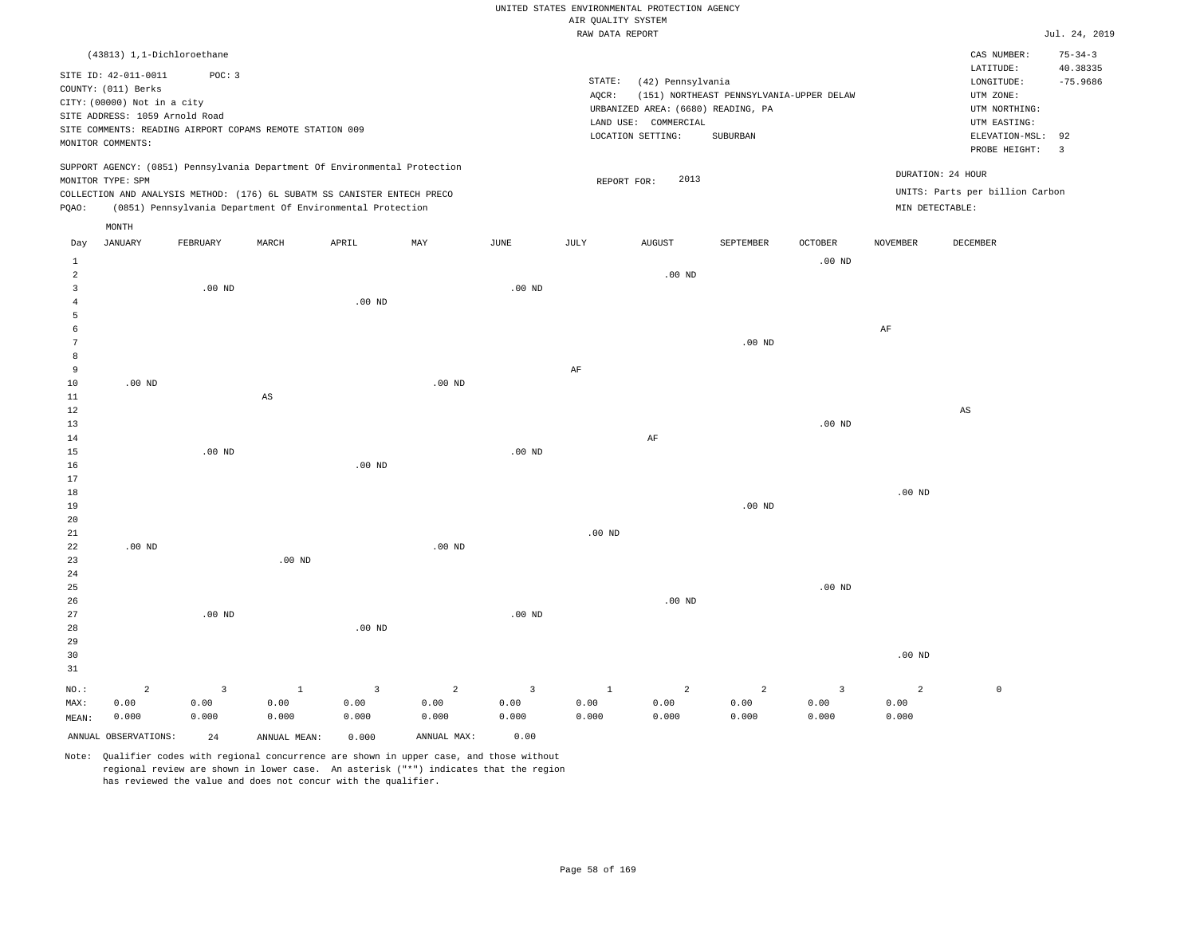|  |  |                    | UNITED STATES ENVIRONMENTAL PROTECTION AGENCY |  |
|--|--|--------------------|-----------------------------------------------|--|
|  |  | AIR OUALITY SYSTEM |                                               |  |
|  |  |                    |                                               |  |

|                                  |                                                                                                                                   |                |                                                                            |                |                |                | RAW DATA REPORT   |                                                                                                      |                                                      |                         |                 |                                                                                                          | Jul. 24, 2019                                  |
|----------------------------------|-----------------------------------------------------------------------------------------------------------------------------------|----------------|----------------------------------------------------------------------------|----------------|----------------|----------------|-------------------|------------------------------------------------------------------------------------------------------|------------------------------------------------------|-------------------------|-----------------|----------------------------------------------------------------------------------------------------------|------------------------------------------------|
|                                  | (43813) 1,1-Dichloroethane                                                                                                        |                |                                                                            |                |                |                |                   |                                                                                                      |                                                      |                         |                 | CAS NUMBER:                                                                                              | $75 - 34 - 3$                                  |
|                                  | SITE ID: 42-011-0011<br>COUNTY: (011) Berks<br>CITY: (00000) Not in a city<br>SITE ADDRESS: 1059 Arnold Road<br>MONITOR COMMENTS: | POC: 3         | SITE COMMENTS: READING AIRPORT COPAMS REMOTE STATION 009                   |                |                |                | STATE:<br>AQCR:   | (42) Pennsylvania<br>URBANIZED AREA: (6680) READING, PA<br>LAND USE: COMMERCIAL<br>LOCATION SETTING: | (151) NORTHEAST PENNSYLVANIA-UPPER DELAW<br>SUBURBAN |                         |                 | LATITUDE:<br>LONGITUDE:<br>UTM ZONE:<br>UTM NORTHING:<br>UTM EASTING:<br>ELEVATION-MSL:<br>PROBE HEIGHT: | 40.38335<br>$-75.9686$<br>92<br>$\overline{3}$ |
|                                  |                                                                                                                                   |                | SUPPORT AGENCY: (0851) Pennsylvania Department Of Environmental Protection |                |                |                |                   |                                                                                                      |                                                      |                         |                 | DURATION: 24 HOUR                                                                                        |                                                |
|                                  | MONITOR TYPE: SPM                                                                                                                 |                | COLLECTION AND ANALYSIS METHOD: (176) 6L SUBATM SS CANISTER ENTECH PRECO   |                |                |                | REPORT FOR:       | 2013                                                                                                 |                                                      |                         |                 | UNITS: Parts per billion Carbon                                                                          |                                                |
| PQAO:                            |                                                                                                                                   |                | (0851) Pennsylvania Department Of Environmental Protection                 |                |                |                |                   |                                                                                                      |                                                      |                         | MIN DETECTABLE: |                                                                                                          |                                                |
|                                  | MONTH                                                                                                                             |                |                                                                            |                |                |                |                   |                                                                                                      |                                                      |                         |                 |                                                                                                          |                                                |
| Day                              | <b>JANUARY</b>                                                                                                                    | FEBRUARY       | MARCH                                                                      | APRIL          | MAY            | JUNE           | JULY              | <b>AUGUST</b>                                                                                        | SEPTEMBER                                            | <b>OCTOBER</b>          | <b>NOVEMBER</b> | DECEMBER                                                                                                 |                                                |
| 1                                |                                                                                                                                   |                |                                                                            |                |                |                |                   |                                                                                                      |                                                      | $.00$ ND                |                 |                                                                                                          |                                                |
| $\overline{2}$<br>$\overline{3}$ |                                                                                                                                   | $.00$ ND       |                                                                            |                |                | $.00$ ND       |                   | $.00$ ND                                                                                             |                                                      |                         |                 |                                                                                                          |                                                |
| $\overline{4}$                   |                                                                                                                                   |                |                                                                            | $.00$ ND       |                |                |                   |                                                                                                      |                                                      |                         |                 |                                                                                                          |                                                |
| -5                               |                                                                                                                                   |                |                                                                            |                |                |                |                   |                                                                                                      |                                                      |                         |                 |                                                                                                          |                                                |
| 6                                |                                                                                                                                   |                |                                                                            |                |                |                |                   |                                                                                                      |                                                      |                         | AF              |                                                                                                          |                                                |
| 7                                |                                                                                                                                   |                |                                                                            |                |                |                |                   |                                                                                                      | $.00$ ND                                             |                         |                 |                                                                                                          |                                                |
| 8<br>9                           |                                                                                                                                   |                |                                                                            |                |                |                | AF                |                                                                                                      |                                                      |                         |                 |                                                                                                          |                                                |
| 10                               | $.00$ ND                                                                                                                          |                |                                                                            |                | $.00$ ND       |                |                   |                                                                                                      |                                                      |                         |                 |                                                                                                          |                                                |
| 11                               |                                                                                                                                   |                | $_{\rm AS}$                                                                |                |                |                |                   |                                                                                                      |                                                      |                         |                 |                                                                                                          |                                                |
| 12                               |                                                                                                                                   |                |                                                                            |                |                |                |                   |                                                                                                      |                                                      |                         |                 | $\mathbb{A}\mathbb{S}$                                                                                   |                                                |
| 13                               |                                                                                                                                   |                |                                                                            |                |                |                |                   |                                                                                                      |                                                      | $.00$ ND                |                 |                                                                                                          |                                                |
| 14                               |                                                                                                                                   |                |                                                                            |                |                |                |                   | AF                                                                                                   |                                                      |                         |                 |                                                                                                          |                                                |
| 15<br>16                         |                                                                                                                                   | $.00$ ND       |                                                                            | $.00$ ND       |                | $.00$ ND       |                   |                                                                                                      |                                                      |                         |                 |                                                                                                          |                                                |
| 17                               |                                                                                                                                   |                |                                                                            |                |                |                |                   |                                                                                                      |                                                      |                         |                 |                                                                                                          |                                                |
| 18                               |                                                                                                                                   |                |                                                                            |                |                |                |                   |                                                                                                      |                                                      |                         | $.00$ ND        |                                                                                                          |                                                |
| 19                               |                                                                                                                                   |                |                                                                            |                |                |                |                   |                                                                                                      | $.00$ ND                                             |                         |                 |                                                                                                          |                                                |
| 20                               |                                                                                                                                   |                |                                                                            |                |                |                |                   |                                                                                                      |                                                      |                         |                 |                                                                                                          |                                                |
| $21\,$<br>22                     | $.00$ ND                                                                                                                          |                |                                                                            |                | $.00$ ND       |                | .00 <sub>ND</sub> |                                                                                                      |                                                      |                         |                 |                                                                                                          |                                                |
| 23                               |                                                                                                                                   |                | .00 <sub>ND</sub>                                                          |                |                |                |                   |                                                                                                      |                                                      |                         |                 |                                                                                                          |                                                |
| 24                               |                                                                                                                                   |                |                                                                            |                |                |                |                   |                                                                                                      |                                                      |                         |                 |                                                                                                          |                                                |
| 25                               |                                                                                                                                   |                |                                                                            |                |                |                |                   |                                                                                                      |                                                      | $.00$ ND                |                 |                                                                                                          |                                                |
| 26                               |                                                                                                                                   |                |                                                                            |                |                |                |                   | $.00$ ND                                                                                             |                                                      |                         |                 |                                                                                                          |                                                |
| 27                               |                                                                                                                                   | $.00$ ND       |                                                                            |                |                | $.00$ ND       |                   |                                                                                                      |                                                      |                         |                 |                                                                                                          |                                                |
| 28<br>29                         |                                                                                                                                   |                |                                                                            | $.00$ ND       |                |                |                   |                                                                                                      |                                                      |                         |                 |                                                                                                          |                                                |
| 30                               |                                                                                                                                   |                |                                                                            |                |                |                |                   |                                                                                                      |                                                      |                         | $.00$ ND        |                                                                                                          |                                                |
| 31                               |                                                                                                                                   |                |                                                                            |                |                |                |                   |                                                                                                      |                                                      |                         |                 |                                                                                                          |                                                |
| NO.:                             | $\overline{2}$                                                                                                                    | $\overline{3}$ | $\mathbf{1}$                                                               | $\overline{3}$ | $\overline{a}$ | $\overline{3}$ | $\mathbf{1}$      | $\overline{a}$                                                                                       | 2                                                    | $\overline{\mathbf{3}}$ | $\overline{a}$  | $\mathbb O$                                                                                              |                                                |
| MAX:                             | 0.00                                                                                                                              | 0.00           | 0.00                                                                       | 0.00           | 0.00           | 0.00           | 0.00              | 0.00                                                                                                 | 0.00                                                 | 0.00                    | 0.00            |                                                                                                          |                                                |
| MEAN:                            | 0.000                                                                                                                             | 0.000          | 0.000                                                                      | 0.000          | 0.000          | 0.000          | 0.000             | 0.000                                                                                                | 0.000                                                | 0.000                   | 0.000           |                                                                                                          |                                                |
|                                  | ANNUAL OBSERVATIONS:                                                                                                              | 24             | ANNUAL MEAN:                                                               | 0.000          | ANNUAL MAX:    | 0.00           |                   |                                                                                                      |                                                      |                         |                 |                                                                                                          |                                                |
|                                  |                                                                                                                                   |                |                                                                            |                |                |                |                   |                                                                                                      |                                                      |                         |                 |                                                                                                          |                                                |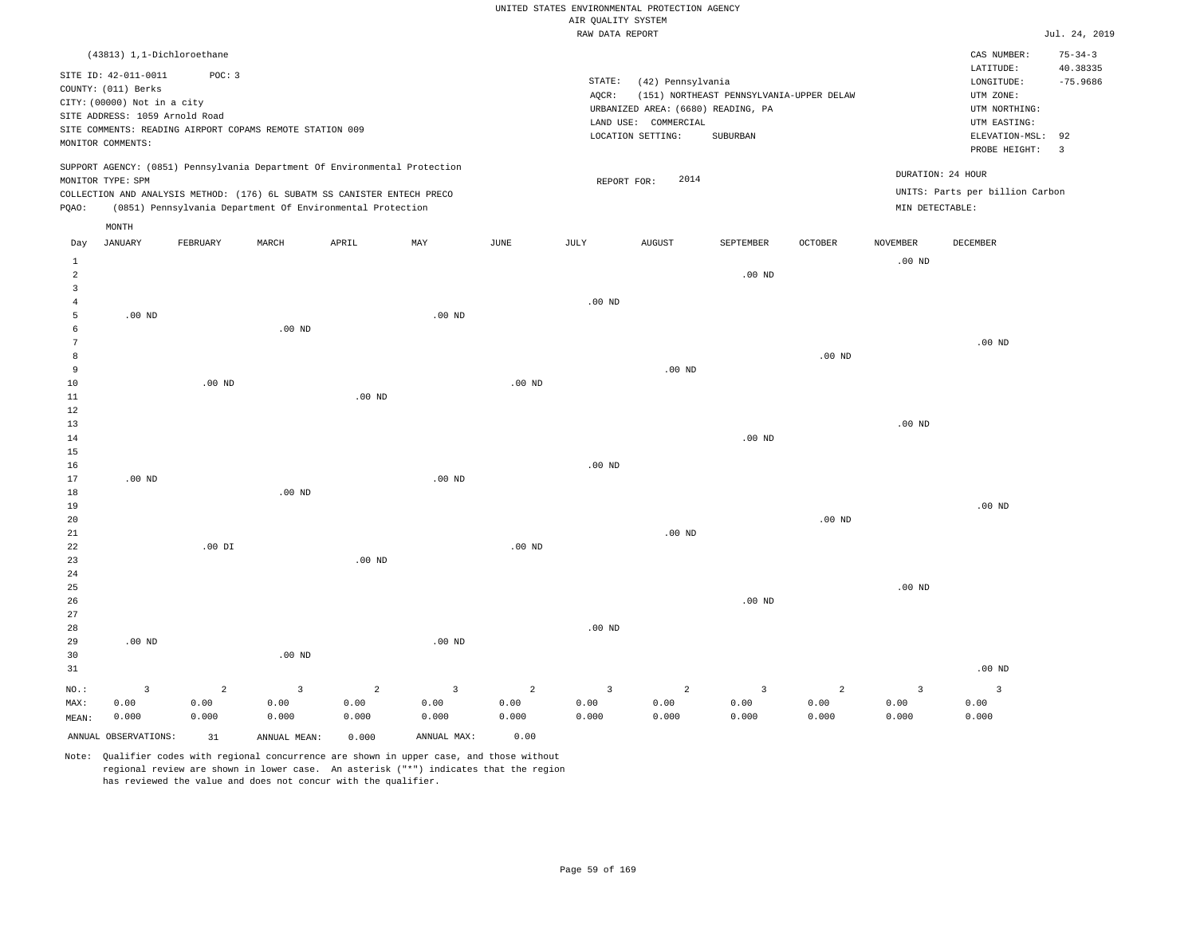|                     |                                                               |                |                                                          |                                                                            |                         |                   |                    | UNITED STATES ENVIRONMENTAL PROTECTION AGENCY |                                          |                   |                         |                                 |                               |
|---------------------|---------------------------------------------------------------|----------------|----------------------------------------------------------|----------------------------------------------------------------------------|-------------------------|-------------------|--------------------|-----------------------------------------------|------------------------------------------|-------------------|-------------------------|---------------------------------|-------------------------------|
|                     |                                                               |                |                                                          |                                                                            |                         |                   | AIR QUALITY SYSTEM |                                               |                                          |                   |                         |                                 |                               |
|                     |                                                               |                |                                                          |                                                                            |                         |                   | RAW DATA REPORT    |                                               |                                          |                   |                         |                                 | Jul. 24, 2019                 |
|                     | (43813) 1,1-Dichloroethane                                    |                |                                                          |                                                                            |                         |                   |                    |                                               |                                          |                   |                         | CAS NUMBER:<br>LATITUDE:        | $75 - 34 - 3$<br>40.38335     |
|                     | SITE ID: 42-011-0011                                          | POC: 3         |                                                          |                                                                            |                         |                   | STATE:             | (42) Pennsylvania                             |                                          |                   |                         | $\texttt{LONGITUDE}$ :          | $-75.9686$                    |
|                     | COUNTY: (011) Berks                                           |                |                                                          |                                                                            |                         |                   | AOCR:              |                                               | (151) NORTHEAST PENNSYLVANIA-UPPER DELAW |                   |                         | UTM ZONE:                       |                               |
|                     | CITY: (00000) Not in a city<br>SITE ADDRESS: 1059 Arnold Road |                |                                                          |                                                                            |                         |                   |                    | URBANIZED AREA: (6680) READING, PA            |                                          |                   |                         | UTM NORTHING:                   |                               |
|                     |                                                               |                | SITE COMMENTS: READING AIRPORT COPAMS REMOTE STATION 009 |                                                                            |                         |                   |                    | LAND USE: COMMERCIAL                          |                                          |                   |                         | UTM EASTING:                    |                               |
|                     | MONITOR COMMENTS:                                             |                |                                                          |                                                                            |                         |                   |                    | LOCATION SETTING:                             | SUBURBAN                                 |                   |                         | ELEVATION-MSL:<br>PROBE HEIGHT: | 92<br>$\overline{\mathbf{3}}$ |
|                     |                                                               |                |                                                          | SUPPORT AGENCY: (0851) Pennsylvania Department Of Environmental Protection |                         |                   |                    |                                               |                                          |                   |                         | DURATION: 24 HOUR               |                               |
|                     | MONITOR TYPE: SPM                                             |                |                                                          | COLLECTION AND ANALYSIS METHOD: (176) 6L SUBATM SS CANISTER ENTECH PRECO   |                         |                   | REPORT FOR:        | 2014                                          |                                          |                   |                         | UNITS: Parts per billion Carbon |                               |
| PQAO:               |                                                               |                |                                                          | (0851) Pennsylvania Department Of Environmental Protection                 |                         |                   |                    |                                               |                                          |                   | MIN DETECTABLE:         |                                 |                               |
|                     | $\texttt{MONTH}$<br><b>JANUARY</b>                            |                |                                                          | APRIL                                                                      | MAY                     | $_{\rm JUNE}$     | <b>JULY</b>        | <b>AUGUST</b>                                 | SEPTEMBER                                | <b>OCTOBER</b>    | <b>NOVEMBER</b>         | DECEMBER                        |                               |
| Day<br>$\mathbf{1}$ |                                                               | FEBRUARY       | MARCH                                                    |                                                                            |                         |                   |                    |                                               |                                          |                   | $.00$ ND                |                                 |                               |
| $\overline{a}$      |                                                               |                |                                                          |                                                                            |                         |                   |                    |                                               | $.00$ ND                                 |                   |                         |                                 |                               |
| $\overline{3}$      |                                                               |                |                                                          |                                                                            |                         |                   |                    |                                               |                                          |                   |                         |                                 |                               |
| 4                   |                                                               |                |                                                          |                                                                            |                         |                   | $.00$ ND           |                                               |                                          |                   |                         |                                 |                               |
| $\overline{5}$      | $.00$ ND                                                      |                |                                                          |                                                                            | $.00$ ND                |                   |                    |                                               |                                          |                   |                         |                                 |                               |
| 6<br>7              |                                                               |                | .00 <sub>ND</sub>                                        |                                                                            |                         |                   |                    |                                               |                                          |                   |                         | $.00$ ND                        |                               |
| 8                   |                                                               |                |                                                          |                                                                            |                         |                   |                    |                                               |                                          | .00 <sub>ND</sub> |                         |                                 |                               |
| 9                   |                                                               |                |                                                          |                                                                            |                         |                   |                    | $.00$ ND                                      |                                          |                   |                         |                                 |                               |
| $10$                |                                                               | $.00$ ND       |                                                          |                                                                            |                         | .00 <sub>ND</sub> |                    |                                               |                                          |                   |                         |                                 |                               |
| 11                  |                                                               |                |                                                          | .00 <sub>ND</sub>                                                          |                         |                   |                    |                                               |                                          |                   |                         |                                 |                               |
| 12                  |                                                               |                |                                                          |                                                                            |                         |                   |                    |                                               |                                          |                   |                         |                                 |                               |
| 13                  |                                                               |                |                                                          |                                                                            |                         |                   |                    |                                               |                                          |                   | $.00$ ND                |                                 |                               |
| 14                  |                                                               |                |                                                          |                                                                            |                         |                   |                    |                                               | $.00$ ND                                 |                   |                         |                                 |                               |
| 15                  |                                                               |                |                                                          |                                                                            |                         |                   | $.00$ ND           |                                               |                                          |                   |                         |                                 |                               |
| 16<br>17            | .00 <sub>ND</sub>                                             |                |                                                          |                                                                            | .00 <sub>ND</sub>       |                   |                    |                                               |                                          |                   |                         |                                 |                               |
| 18                  |                                                               |                | $.00$ ND                                                 |                                                                            |                         |                   |                    |                                               |                                          |                   |                         |                                 |                               |
| 19                  |                                                               |                |                                                          |                                                                            |                         |                   |                    |                                               |                                          |                   |                         | $.00$ ND                        |                               |
| 20                  |                                                               |                |                                                          |                                                                            |                         |                   |                    |                                               |                                          | .00 <sub>ND</sub> |                         |                                 |                               |
| 21                  |                                                               |                |                                                          |                                                                            |                         |                   |                    | $.00$ ND                                      |                                          |                   |                         |                                 |                               |
| 22                  |                                                               | $.00$ DI       |                                                          |                                                                            |                         | $.00$ ND          |                    |                                               |                                          |                   |                         |                                 |                               |
| 23                  |                                                               |                |                                                          | $.00$ ND                                                                   |                         |                   |                    |                                               |                                          |                   |                         |                                 |                               |
| 24<br>25            |                                                               |                |                                                          |                                                                            |                         |                   |                    |                                               |                                          |                   | .00 <sub>ND</sub>       |                                 |                               |
| 26                  |                                                               |                |                                                          |                                                                            |                         |                   |                    |                                               | $.00$ ND                                 |                   |                         |                                 |                               |
| 27                  |                                                               |                |                                                          |                                                                            |                         |                   |                    |                                               |                                          |                   |                         |                                 |                               |
| 28                  |                                                               |                |                                                          |                                                                            |                         |                   | .00 <sub>ND</sub>  |                                               |                                          |                   |                         |                                 |                               |
| 29                  | $.00$ ND                                                      |                |                                                          |                                                                            | $.00$ ND                |                   |                    |                                               |                                          |                   |                         |                                 |                               |
| 30                  |                                                               |                | $.00$ ND                                                 |                                                                            |                         |                   |                    |                                               |                                          |                   |                         |                                 |                               |
| 31                  |                                                               |                |                                                          |                                                                            |                         |                   |                    |                                               |                                          |                   |                         | $.00$ ND                        |                               |
| NO.:                | $\overline{3}$                                                | $\overline{a}$ | $\overline{3}$                                           | $\overline{a}$                                                             | $\overline{\mathbf{3}}$ | $\overline{a}$    | $\overline{3}$     | $\overline{a}$                                | $\overline{3}$                           | $\overline{a}$    | $\overline{\mathbf{3}}$ | $\overline{\mathbf{3}}$         |                               |
| MAX:                | 0.00                                                          | 0.00           | 0.00                                                     | 0.00                                                                       | 0.00                    | 0.00              | 0.00               | 0.00                                          | 0.00                                     | 0.00              | 0.00                    | 0.00                            |                               |
| MEAN:               | 0.000                                                         | 0.000          | 0.000                                                    | 0.000                                                                      | 0.000                   | 0.000             | 0.000              | 0.000                                         | 0.000                                    | 0.000             | 0.000                   | 0.000                           |                               |
|                     | ANNUAL OBSERVATIONS:                                          | 31             | ANNUAL, MEAN:                                            | 0.000                                                                      | ANNUAL MAX:             | 0.00              |                    |                                               |                                          |                   |                         |                                 |                               |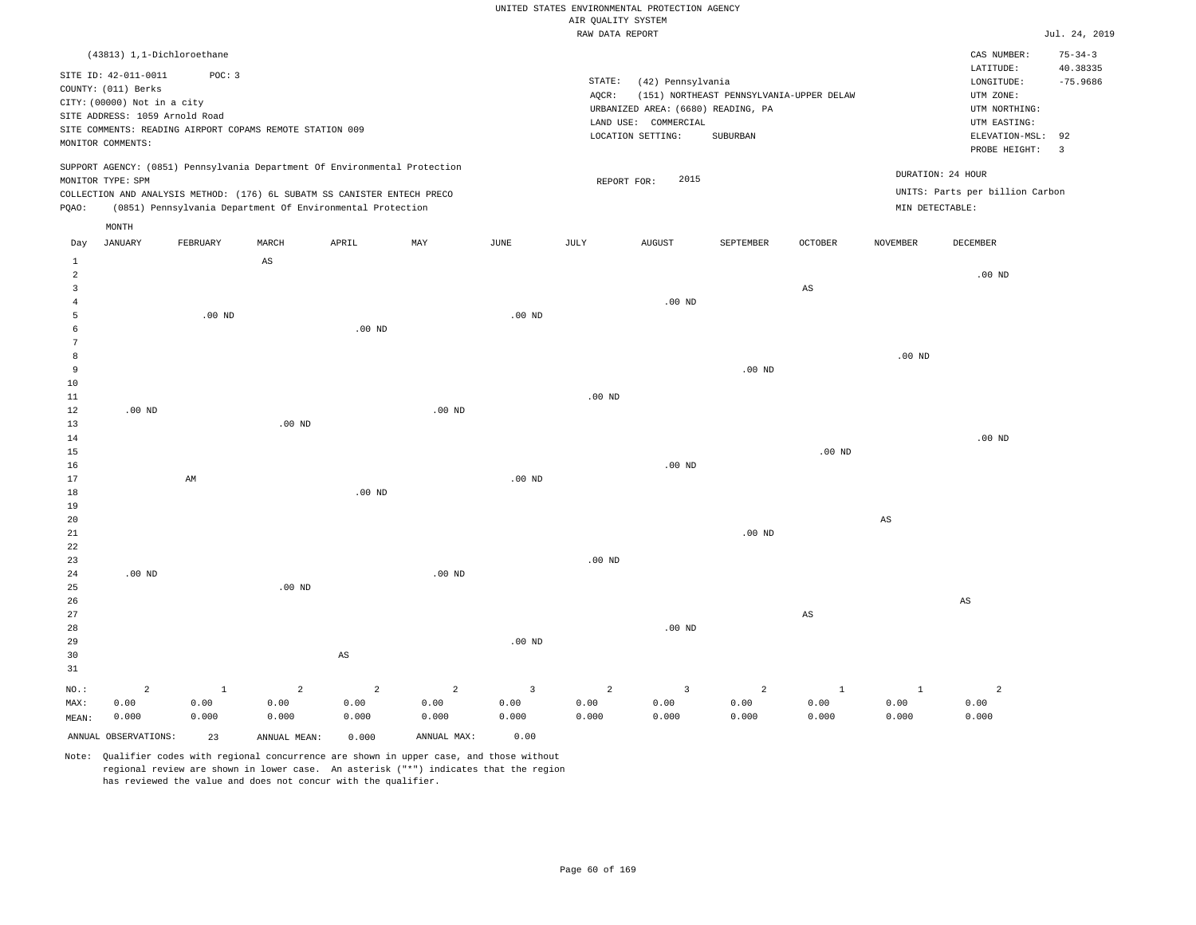|  | RAW DATA REPORT |  |
|--|-----------------|--|

|                   |                                             |              |                                                                            |                |                |                         | RAW DATA REPORT   |                                    |                                          |                        |                        |                                 | Jul. 24, 2019                 |
|-------------------|---------------------------------------------|--------------|----------------------------------------------------------------------------|----------------|----------------|-------------------------|-------------------|------------------------------------|------------------------------------------|------------------------|------------------------|---------------------------------|-------------------------------|
|                   | (43813) 1,1-Dichloroethane                  |              |                                                                            |                |                |                         |                   |                                    |                                          |                        |                        | CAS NUMBER:                     | $75 - 34 - 3$                 |
|                   |                                             |              |                                                                            |                |                |                         |                   |                                    |                                          |                        |                        | LATITUDE:                       | 40.38335                      |
|                   | SITE ID: 42-011-0011<br>COUNTY: (011) Berks | POC: 3       |                                                                            |                |                |                         | STATE:            | (42) Pennsylvania                  |                                          |                        |                        | LONGITUDE:                      | $-75.9686$                    |
|                   | CITY: (00000) Not in a city                 |              |                                                                            |                |                |                         | AQCR:             |                                    | (151) NORTHEAST PENNSYLVANIA-UPPER DELAW |                        |                        | UTM ZONE:                       |                               |
|                   | SITE ADDRESS: 1059 Arnold Road              |              |                                                                            |                |                |                         |                   | URBANIZED AREA: (6680) READING, PA |                                          |                        |                        | UTM NORTHING:                   |                               |
|                   |                                             |              | SITE COMMENTS: READING AIRPORT COPAMS REMOTE STATION 009                   |                |                |                         |                   | LAND USE: COMMERCIAL               |                                          |                        |                        | UTM EASTING:                    |                               |
|                   | MONITOR COMMENTS:                           |              |                                                                            |                |                |                         |                   | LOCATION SETTING:                  | SUBURBAN                                 |                        |                        | ELEVATION-MSL:                  | 92<br>$\overline{\mathbf{3}}$ |
|                   |                                             |              | SUPPORT AGENCY: (0851) Pennsylvania Department Of Environmental Protection |                |                |                         |                   |                                    |                                          |                        |                        | PROBE HEIGHT:                   |                               |
|                   | MONITOR TYPE: SPM                           |              |                                                                            |                |                |                         | REPORT FOR:       | 2015                               |                                          |                        |                        | DURATION: 24 HOUR               |                               |
|                   |                                             |              | COLLECTION AND ANALYSIS METHOD: (176) 6L SUBATM SS CANISTER ENTECH PRECO   |                |                |                         |                   |                                    |                                          |                        |                        | UNITS: Parts per billion Carbon |                               |
| PQAO:             |                                             |              | (0851) Pennsylvania Department Of Environmental Protection                 |                |                |                         |                   |                                    |                                          |                        |                        | MIN DETECTABLE:                 |                               |
|                   | MONTH                                       |              |                                                                            |                |                |                         |                   |                                    |                                          |                        |                        |                                 |                               |
| Day               | <b>JANUARY</b>                              | FEBRUARY     | MARCH                                                                      | APRIL          | MAY            | JUNE                    | JULY              | <b>AUGUST</b>                      | SEPTEMBER                                | OCTOBER                | NOVEMBER               | DECEMBER                        |                               |
| $\mathbf{1}$<br>2 |                                             |              | $_{\rm AS}$                                                                |                |                |                         |                   |                                    |                                          |                        |                        | .00 <sub>ND</sub>               |                               |
| $\overline{3}$    |                                             |              |                                                                            |                |                |                         |                   |                                    |                                          | $\mathbb{A}\mathbb{S}$ |                        |                                 |                               |
| $\overline{4}$    |                                             |              |                                                                            |                |                |                         |                   | $.00$ ND                           |                                          |                        |                        |                                 |                               |
| $\overline{5}$    |                                             | $.00$ ND     |                                                                            |                |                | $.00$ ND                |                   |                                    |                                          |                        |                        |                                 |                               |
| 6                 |                                             |              |                                                                            | $.00$ ND       |                |                         |                   |                                    |                                          |                        |                        |                                 |                               |
| 7                 |                                             |              |                                                                            |                |                |                         |                   |                                    |                                          |                        |                        |                                 |                               |
| 8                 |                                             |              |                                                                            |                |                |                         |                   |                                    |                                          |                        | .00 <sub>ND</sub>      |                                 |                               |
| 9                 |                                             |              |                                                                            |                |                |                         |                   |                                    | $.00$ ND                                 |                        |                        |                                 |                               |
| 10<br>11          |                                             |              |                                                                            |                |                |                         | .00 <sub>ND</sub> |                                    |                                          |                        |                        |                                 |                               |
| 12                | .00 <sub>ND</sub>                           |              |                                                                            |                | $.00$ ND       |                         |                   |                                    |                                          |                        |                        |                                 |                               |
| 13                |                                             |              | $.00$ ND                                                                   |                |                |                         |                   |                                    |                                          |                        |                        |                                 |                               |
| 14                |                                             |              |                                                                            |                |                |                         |                   |                                    |                                          |                        |                        | $.00$ ND                        |                               |
| 15                |                                             |              |                                                                            |                |                |                         |                   |                                    |                                          | $.00$ ND               |                        |                                 |                               |
| 16                |                                             |              |                                                                            |                |                |                         |                   | $.00$ ND                           |                                          |                        |                        |                                 |                               |
| 17                |                                             | AM           |                                                                            |                |                | $.00$ ND                |                   |                                    |                                          |                        |                        |                                 |                               |
| 18                |                                             |              |                                                                            | $.00$ ND       |                |                         |                   |                                    |                                          |                        |                        |                                 |                               |
| 19                |                                             |              |                                                                            |                |                |                         |                   |                                    |                                          |                        |                        |                                 |                               |
| 20                |                                             |              |                                                                            |                |                |                         |                   |                                    |                                          |                        | $\mathbb{A}\mathbb{S}$ |                                 |                               |
| 21                |                                             |              |                                                                            |                |                |                         |                   |                                    | $.00$ ND                                 |                        |                        |                                 |                               |
| 22                |                                             |              |                                                                            |                |                |                         |                   |                                    |                                          |                        |                        |                                 |                               |
| 23<br>24          | $.00$ ND                                    |              |                                                                            |                | $.00$ ND       |                         | .00 <sub>ND</sub> |                                    |                                          |                        |                        |                                 |                               |
| 25                |                                             |              | .00 <sub>ND</sub>                                                          |                |                |                         |                   |                                    |                                          |                        |                        |                                 |                               |
| 26                |                                             |              |                                                                            |                |                |                         |                   |                                    |                                          |                        |                        | $\mathbb{A}\mathbb{S}$          |                               |
| 27                |                                             |              |                                                                            |                |                |                         |                   |                                    |                                          | $_{\rm AS}$            |                        |                                 |                               |
| 28                |                                             |              |                                                                            |                |                |                         |                   | $.00$ ND                           |                                          |                        |                        |                                 |                               |
| 29                |                                             |              |                                                                            |                |                | $.00$ ND                |                   |                                    |                                          |                        |                        |                                 |                               |
| 30                |                                             |              |                                                                            | AS             |                |                         |                   |                                    |                                          |                        |                        |                                 |                               |
| 31                |                                             |              |                                                                            |                |                |                         |                   |                                    |                                          |                        |                        |                                 |                               |
| $NO.$ :           | $\overline{a}$                              | $\mathbf{1}$ | $\overline{a}$                                                             | $\overline{a}$ | $\overline{a}$ | $\overline{\mathbf{3}}$ | $\overline{a}$    | $\overline{\mathbf{3}}$            | $\overline{a}$                           | $\mathbf{1}$           | $\mathbf{1}$           | $\overline{a}$                  |                               |
| MAX:              | 0.00                                        | 0.00         | 0.00                                                                       | 0.00           | 0.00           | 0.00                    | 0.00<br>0.000     | 0.00<br>0.000                      | 0.00<br>0.000                            | 0.00<br>0.000          | 0.00                   | 0.00                            |                               |
| MEAN:             | 0.000                                       | 0.000        | 0.000                                                                      | 0.000          | 0.000          | 0.000                   |                   |                                    |                                          |                        | 0.000                  | 0.000                           |                               |
|                   | ANNUAL OBSERVATIONS:                        | 23           | ANNUAL MEAN:                                                               | 0.000          | ANNUAL MAX:    | 0.00                    |                   |                                    |                                          |                        |                        |                                 |                               |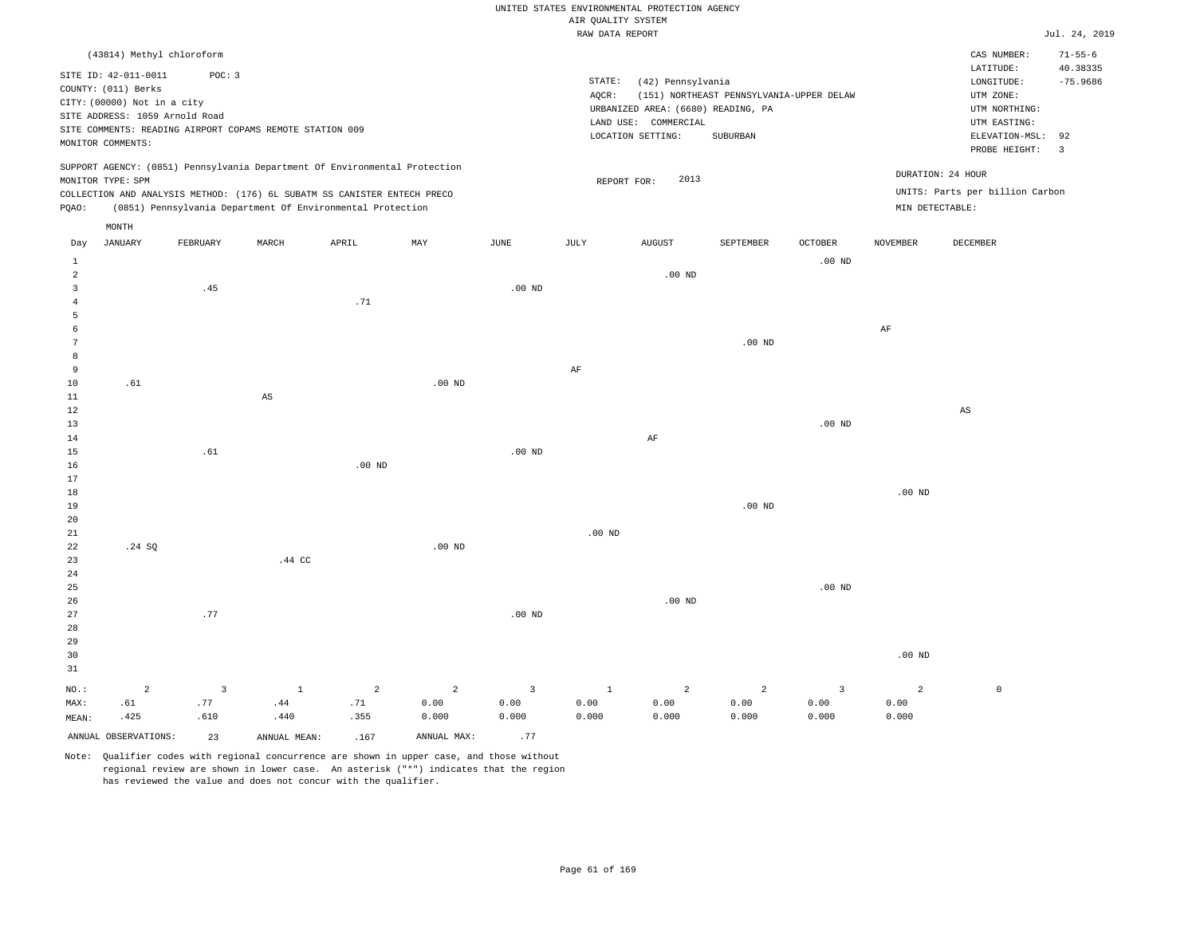|       |                                |                                                          |                        |                                                                            |          |          |        | RAW DATA REPORT                    |                                          |                   |          |                                 | Jul. 24, 2019            |
|-------|--------------------------------|----------------------------------------------------------|------------------------|----------------------------------------------------------------------------|----------|----------|--------|------------------------------------|------------------------------------------|-------------------|----------|---------------------------------|--------------------------|
|       | (43814) Methyl chloroform      |                                                          |                        |                                                                            |          |          |        |                                    |                                          |                   |          | CAS NUMBER:                     | $71 - 55 - 6$            |
|       | SITE ID: 42-011-0011           | POC: 3                                                   |                        |                                                                            |          |          |        |                                    |                                          |                   |          | LATITUDE:                       | 40.38335                 |
|       | COUNTY: (011) Berks            |                                                          |                        |                                                                            |          |          | STATE: | (42) Pennsylvania                  |                                          |                   |          | LONGITUDE:                      | $-75.9686$               |
|       | CITY: (00000) Not in a city    |                                                          |                        |                                                                            |          |          | AQCR:  |                                    | (151) NORTHEAST PENNSYLVANIA-UPPER DELAW |                   |          | UTM ZONE:                       |                          |
|       | SITE ADDRESS: 1059 Arnold Road |                                                          |                        |                                                                            |          |          |        | URBANIZED AREA: (6680) READING, PA |                                          |                   |          | UTM NORTHING:                   |                          |
|       |                                | SITE COMMENTS: READING AIRPORT COPAMS REMOTE STATION 009 |                        |                                                                            |          |          |        | LAND USE: COMMERCIAL               |                                          |                   |          | UTM EASTING:                    |                          |
|       | MONITOR COMMENTS:              |                                                          |                        |                                                                            |          |          |        | LOCATION SETTING:                  | <b>SUBURBAN</b>                          |                   |          | ELEVATION-MSL: 92               |                          |
|       |                                |                                                          |                        |                                                                            |          |          |        |                                    |                                          |                   |          | PROBE HEIGHT:                   | $\overline{\phantom{a}}$ |
|       | MONITOR TYPE: SPM              |                                                          |                        | SUPPORT AGENCY: (0851) Pennsylvania Department Of Environmental Protection |          |          |        | 2013<br>REPORT FOR:                |                                          |                   |          | DURATION: 24 HOUR               |                          |
|       |                                |                                                          |                        | COLLECTION AND ANALYSIS METHOD: (176) 6L SUBATM SS CANISTER ENTECH PRECO   |          |          |        |                                    |                                          |                   |          | UNITS: Parts per billion Carbon |                          |
| POAO: |                                |                                                          |                        | (0851) Pennsylvania Department Of Environmental Protection                 |          |          |        |                                    |                                          |                   |          | MIN DETECTABLE:                 |                          |
|       | MONTH                          |                                                          |                        |                                                                            |          |          |        |                                    |                                          |                   |          |                                 |                          |
| Day   | JANUARY                        | FEBRUARY                                                 | MARCH                  | APRIL                                                                      | MAY      | JUNE     | JULY   | <b>AUGUST</b>                      | SEPTEMBER                                | <b>OCTOBER</b>    | NOVEMBER | DECEMBER                        |                          |
|       |                                |                                                          |                        |                                                                            |          |          |        |                                    |                                          | $.00$ ND          |          |                                 |                          |
|       |                                |                                                          |                        |                                                                            |          |          |        | $.00$ ND                           |                                          |                   |          |                                 |                          |
|       |                                | .45                                                      |                        |                                                                            |          | $.00$ ND |        |                                    |                                          |                   |          |                                 |                          |
|       |                                |                                                          |                        | .71                                                                        |          |          |        |                                    |                                          |                   |          |                                 |                          |
|       |                                |                                                          |                        |                                                                            |          |          |        |                                    |                                          |                   |          |                                 |                          |
|       |                                |                                                          |                        |                                                                            |          |          |        |                                    |                                          |                   | AF       |                                 |                          |
|       |                                |                                                          |                        |                                                                            |          |          |        |                                    | $.00$ ND                                 |                   |          |                                 |                          |
|       |                                |                                                          |                        |                                                                            |          |          |        |                                    |                                          |                   |          |                                 |                          |
| 9     |                                |                                                          |                        |                                                                            |          |          | AF     |                                    |                                          |                   |          |                                 |                          |
| 10    | .61                            |                                                          |                        |                                                                            | $.00$ ND |          |        |                                    |                                          |                   |          |                                 |                          |
| 11    |                                |                                                          | $\mathbb{A}\mathbb{S}$ |                                                                            |          |          |        |                                    |                                          |                   |          |                                 |                          |
| 12    |                                |                                                          |                        |                                                                            |          |          |        |                                    |                                          |                   |          | AS                              |                          |
| 13    |                                |                                                          |                        |                                                                            |          |          |        |                                    |                                          | .00 <sub>ND</sub> |          |                                 |                          |
| 14    |                                |                                                          |                        |                                                                            |          |          |        | AF                                 |                                          |                   |          |                                 |                          |

17 18 19 20 21 22 23 24 .24 SQ .44 CC .00 ND .00 ND .00 ND .00 ND

.00 ND

25 26 27 28 29 30 31 NO.: MAX: 2 .61 .77 .00 ND .00 ND .00 ND .00 ND 3 .77 .610 1 .44 2 .71 2 0.00 0.000 3 0.00 0.000 1 0.00 0.000 2 0.00 0.000 2 0.00 0.000 3 0.00 0.000 2 0.00 0.000  $\mathbf 0$ 

Note: Qualifier codes with regional concurrence are shown in upper case, and those without regional review are shown in lower case. An asterisk ("\*") indicates that the region has reviewed the value and does not concur with the qualifier.

.355

.440

ANNUAL OBSERVATIONS:  $23$  ANNUAL MEAN: .167 ANNUAL MAX: .77

.00 ND

15 16

MEAN:

.425

.61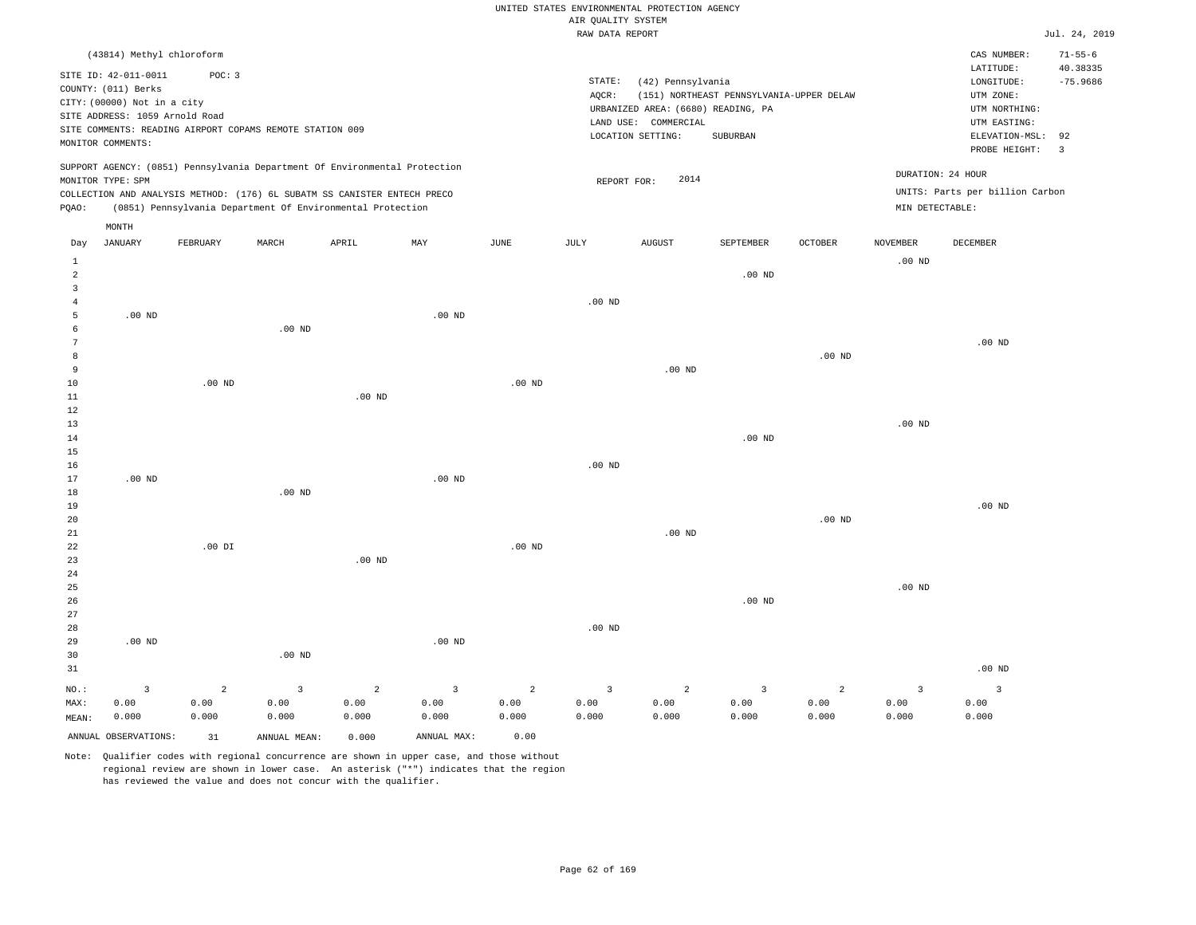|                                  |                                                                                                              |                        |                                                                                                                                                        |                        |                                 |                        | UNITED STATES ENVIRONMENTAL PROTECTION AGENCY<br>AIR OUALITY SYSTEM |                                                                                 |                                          |                        |                                 |                                                          |                               |
|----------------------------------|--------------------------------------------------------------------------------------------------------------|------------------------|--------------------------------------------------------------------------------------------------------------------------------------------------------|------------------------|---------------------------------|------------------------|---------------------------------------------------------------------|---------------------------------------------------------------------------------|------------------------------------------|------------------------|---------------------------------|----------------------------------------------------------|-------------------------------|
|                                  |                                                                                                              |                        |                                                                                                                                                        |                        |                                 |                        | RAW DATA REPORT                                                     |                                                                                 |                                          |                        |                                 |                                                          | Jul. 24, 2019                 |
|                                  | (43814) Methyl chloroform                                                                                    |                        |                                                                                                                                                        |                        |                                 |                        |                                                                     |                                                                                 |                                          |                        |                                 | CAS NUMBER:<br>LATITUDE:                                 | $71 - 55 - 6$<br>40.38335     |
|                                  | SITE ID: 42-011-0011<br>COUNTY: (011) Berks<br>CITY: (00000) Not in a city<br>SITE ADDRESS: 1059 Arnold Road | POC: 3                 | SITE COMMENTS: READING AIRPORT COPAMS REMOTE STATION 009                                                                                               |                        |                                 |                        | STATE:<br>AQCR:                                                     | (42) Pennsylvania<br>URBANIZED AREA: (6680) READING, PA<br>LAND USE: COMMERCIAL | (151) NORTHEAST PENNSYLVANIA-UPPER DELAW |                        |                                 | LONGITUDE:<br>UTM ZONE:<br>UTM NORTHING:<br>UTM EASTING: | $-75.9686$                    |
|                                  | MONITOR COMMENTS:                                                                                            |                        |                                                                                                                                                        |                        |                                 |                        |                                                                     | LOCATION SETTING:                                                               | SUBURBAN                                 |                        |                                 | ELEVATION-MSL:<br>PROBE HEIGHT:                          | 92<br>$\overline{\mathbf{3}}$ |
|                                  | MONITOR TYPE: SPM                                                                                            |                        | SUPPORT AGENCY: (0851) Pennsylvania Department Of Environmental Protection<br>COLLECTION AND ANALYSIS METHOD: (176) 6L SUBATM SS CANISTER ENTECH PRECO |                        |                                 |                        | REPORT FOR:                                                         | 2014                                                                            |                                          |                        | DURATION: 24 HOUR               | UNITS: Parts per billion Carbon                          |                               |
| PQAO:                            |                                                                                                              |                        | (0851) Pennsylvania Department Of Environmental Protection                                                                                             |                        |                                 |                        |                                                                     |                                                                                 |                                          |                        | MIN DETECTABLE:                 |                                                          |                               |
|                                  | MONTH                                                                                                        |                        |                                                                                                                                                        |                        |                                 |                        |                                                                     |                                                                                 |                                          |                        |                                 |                                                          |                               |
| Day<br>$\mathbf{1}$              | <b>JANUARY</b>                                                                                               | FEBRUARY               | MARCH                                                                                                                                                  | APRIL                  | MAY                             | <b>JUNE</b>            | JULY                                                                | <b>AUGUST</b>                                                                   | SEPTEMBER                                | <b>OCTOBER</b>         | <b>NOVEMBER</b><br>$.00$ ND     | <b>DECEMBER</b>                                          |                               |
| $\overline{a}$<br>$\overline{3}$ |                                                                                                              |                        |                                                                                                                                                        |                        |                                 |                        |                                                                     |                                                                                 | $.00$ ND                                 |                        |                                 |                                                          |                               |
| $\overline{4}$                   |                                                                                                              |                        |                                                                                                                                                        |                        |                                 |                        | .00 <sub>ND</sub>                                                   |                                                                                 |                                          |                        |                                 |                                                          |                               |
| 5                                | .00 <sub>ND</sub>                                                                                            |                        |                                                                                                                                                        |                        | .00 <sub>ND</sub>               |                        |                                                                     |                                                                                 |                                          |                        |                                 |                                                          |                               |
| 6<br>7                           |                                                                                                              |                        | $.00$ ND                                                                                                                                               |                        |                                 |                        |                                                                     |                                                                                 |                                          |                        |                                 | $.00$ ND                                                 |                               |
| 8                                |                                                                                                              |                        |                                                                                                                                                        |                        |                                 |                        |                                                                     |                                                                                 |                                          | $.00$ ND               |                                 |                                                          |                               |
| 9                                |                                                                                                              |                        |                                                                                                                                                        |                        |                                 |                        |                                                                     | $.00$ ND                                                                        |                                          |                        |                                 |                                                          |                               |
| $10$                             |                                                                                                              | .00 <sub>ND</sub>      |                                                                                                                                                        |                        |                                 | $.00$ ND               |                                                                     |                                                                                 |                                          |                        |                                 |                                                          |                               |
| 11                               |                                                                                                              |                        |                                                                                                                                                        | $.00$ ND               |                                 |                        |                                                                     |                                                                                 |                                          |                        |                                 |                                                          |                               |
| 12<br>13                         |                                                                                                              |                        |                                                                                                                                                        |                        |                                 |                        |                                                                     |                                                                                 |                                          |                        | $.00$ ND                        |                                                          |                               |
| 14                               |                                                                                                              |                        |                                                                                                                                                        |                        |                                 |                        |                                                                     |                                                                                 | $.00$ ND                                 |                        |                                 |                                                          |                               |
| 15                               |                                                                                                              |                        |                                                                                                                                                        |                        |                                 |                        |                                                                     |                                                                                 |                                          |                        |                                 |                                                          |                               |
| 16                               |                                                                                                              |                        |                                                                                                                                                        |                        |                                 |                        | .00 <sub>ND</sub>                                                   |                                                                                 |                                          |                        |                                 |                                                          |                               |
| 17                               | .00 <sub>ND</sub>                                                                                            |                        |                                                                                                                                                        |                        | .00 <sub>ND</sub>               |                        |                                                                     |                                                                                 |                                          |                        |                                 |                                                          |                               |
| 18<br>19                         |                                                                                                              |                        | $.00$ ND                                                                                                                                               |                        |                                 |                        |                                                                     |                                                                                 |                                          |                        |                                 | $.00$ ND                                                 |                               |
| 20                               |                                                                                                              |                        |                                                                                                                                                        |                        |                                 |                        |                                                                     |                                                                                 |                                          | $.00$ ND               |                                 |                                                          |                               |
| 21                               |                                                                                                              |                        |                                                                                                                                                        |                        |                                 |                        |                                                                     | $.00$ ND                                                                        |                                          |                        |                                 |                                                          |                               |
| ${\bf 22}$                       |                                                                                                              | $.00$ DI               |                                                                                                                                                        |                        |                                 | .00 <sub>ND</sub>      |                                                                     |                                                                                 |                                          |                        |                                 |                                                          |                               |
| 23<br>24                         |                                                                                                              |                        |                                                                                                                                                        | $.00$ ND               |                                 |                        |                                                                     |                                                                                 |                                          |                        |                                 |                                                          |                               |
| 25                               |                                                                                                              |                        |                                                                                                                                                        |                        |                                 |                        |                                                                     |                                                                                 |                                          |                        | $.00$ ND                        |                                                          |                               |
| 26                               |                                                                                                              |                        |                                                                                                                                                        |                        |                                 |                        |                                                                     |                                                                                 | $.00$ ND                                 |                        |                                 |                                                          |                               |
| 27                               |                                                                                                              |                        |                                                                                                                                                        |                        |                                 |                        |                                                                     |                                                                                 |                                          |                        |                                 |                                                          |                               |
| 28                               |                                                                                                              |                        |                                                                                                                                                        |                        |                                 |                        | .00 <sub>ND</sub>                                                   |                                                                                 |                                          |                        |                                 |                                                          |                               |
| 29                               | .00 <sub>ND</sub>                                                                                            |                        |                                                                                                                                                        |                        | .00 <sub>ND</sub>               |                        |                                                                     |                                                                                 |                                          |                        |                                 |                                                          |                               |
| 30<br>31                         |                                                                                                              |                        | $.00$ ND                                                                                                                                               |                        |                                 |                        |                                                                     |                                                                                 |                                          |                        |                                 | .00 <sub>ND</sub>                                        |                               |
|                                  |                                                                                                              |                        |                                                                                                                                                        |                        |                                 |                        |                                                                     |                                                                                 |                                          |                        |                                 |                                                          |                               |
| NO.:<br>MAX:                     | $\overline{\mathbf{3}}$<br>0.00                                                                              | $\overline{a}$<br>0.00 | $\overline{3}$<br>0.00                                                                                                                                 | $\overline{a}$<br>0.00 | $\overline{\mathbf{3}}$<br>0.00 | $\overline{a}$<br>0.00 | $\overline{\mathbf{3}}$<br>0.00                                     | $\overline{a}$<br>0.00                                                          | $\overline{3}$<br>0.00                   | $\overline{a}$<br>0.00 | $\overline{\mathbf{3}}$<br>0.00 | $\overline{\mathbf{3}}$<br>0.00                          |                               |
| MEAN:                            | 0.000                                                                                                        | 0.000                  | 0.000                                                                                                                                                  | 0.000                  | 0.000                           | 0.000                  | 0.000                                                               | 0.000                                                                           | 0.000                                    | 0.000                  | 0.000                           | 0.000                                                    |                               |
|                                  | ANNUAL OBSERVATIONS:                                                                                         | 31                     | ANNUAL, MEAN:                                                                                                                                          | 0.000                  | ANNUAL MAX:                     | 0.00                   |                                                                     |                                                                                 |                                          |                        |                                 |                                                          |                               |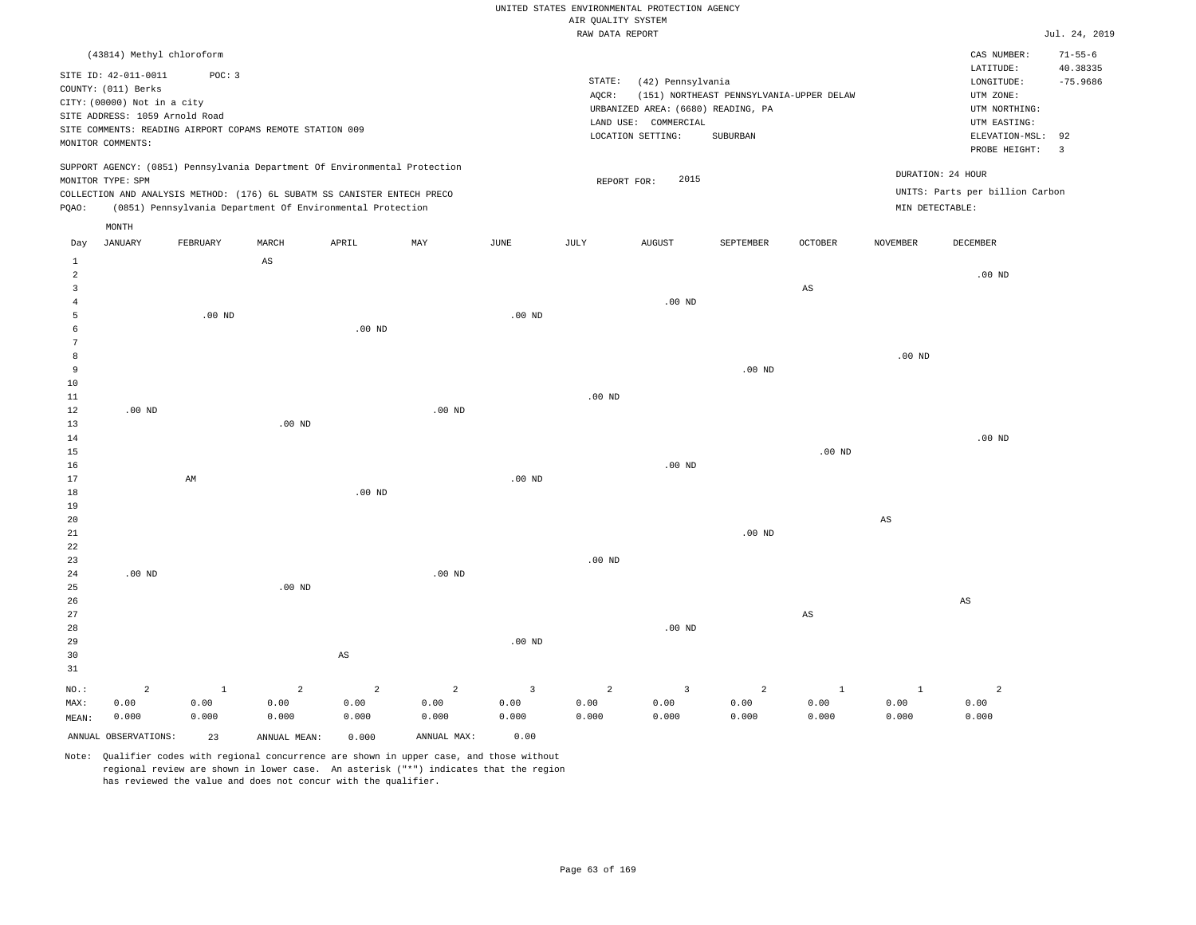|  | RAW DATA REPORT |  |
|--|-----------------|--|

|                     |                                |                        |                                                                            |                |                |               | RAW DATA REPORT |                                    |                                          |                        |                   |                                 | Jul. 24, 2019        |
|---------------------|--------------------------------|------------------------|----------------------------------------------------------------------------|----------------|----------------|---------------|-----------------|------------------------------------|------------------------------------------|------------------------|-------------------|---------------------------------|----------------------|
|                     | (43814) Methyl chloroform      |                        |                                                                            |                |                |               |                 |                                    |                                          |                        |                   | CAS NUMBER:                     | $71 - 55 - 6$        |
|                     | SITE ID: 42-011-0011           | POC: 3                 |                                                                            |                |                |               |                 |                                    |                                          |                        |                   | LATITUDE:                       | 40.38335             |
|                     | COUNTY: (011) Berks            |                        |                                                                            |                |                |               | STATE:          | (42) Pennsylvania                  |                                          |                        |                   | LONGITUDE:                      | $-75.9686$           |
|                     | CITY: (00000) Not in a city    |                        |                                                                            |                |                |               | AQCR:           |                                    | (151) NORTHEAST PENNSYLVANIA-UPPER DELAW |                        |                   | UTM ZONE:                       |                      |
|                     | SITE ADDRESS: 1059 Arnold Road |                        |                                                                            |                |                |               |                 | URBANIZED AREA: (6680) READING, PA |                                          |                        |                   | UTM NORTHING:                   |                      |
|                     |                                |                        | SITE COMMENTS: READING AIRPORT COPAMS REMOTE STATION 009                   |                |                |               |                 | LAND USE: COMMERCIAL               |                                          |                        |                   | UTM EASTING:                    |                      |
|                     | MONITOR COMMENTS:              |                        |                                                                            |                |                |               |                 | LOCATION SETTING:                  | <b>SUBURBAN</b>                          |                        |                   | ELEVATION-MSL:<br>PROBE HEIGHT: | 92<br>$\overline{3}$ |
|                     |                                |                        | SUPPORT AGENCY: (0851) Pennsylvania Department Of Environmental Protection |                |                |               |                 |                                    |                                          |                        |                   |                                 |                      |
|                     | MONITOR TYPE: SPM              |                        |                                                                            |                |                |               | REPORT FOR:     | 2015                               |                                          |                        |                   | DURATION: 24 HOUR               |                      |
|                     |                                |                        | COLLECTION AND ANALYSIS METHOD: (176) 6L SUBATM SS CANISTER ENTECH PRECO   |                |                |               |                 |                                    |                                          |                        |                   | UNITS: Parts per billion Carbon |                      |
| PQAO:               |                                |                        | (0851) Pennsylvania Department Of Environmental Protection                 |                |                |               |                 |                                    |                                          |                        | MIN DETECTABLE:   |                                 |                      |
|                     | MONTH                          |                        |                                                                            |                |                |               |                 |                                    |                                          |                        |                   |                                 |                      |
| Day<br>$\mathbf{1}$ | <b>JANUARY</b>                 | FEBRUARY               | MARCH<br>$\mathbb{A}\mathbb{S}$                                            | APRIL          | MAY            | $_{\rm JUNE}$ | JULY            | <b>AUGUST</b>                      | SEPTEMBER                                | OCTOBER                | <b>NOVEMBER</b>   | DECEMBER                        |                      |
| 2                   |                                |                        |                                                                            |                |                |               |                 |                                    |                                          |                        |                   | .00 <sub>ND</sub>               |                      |
| $\overline{3}$      |                                |                        |                                                                            |                |                |               |                 |                                    |                                          | $_{\rm AS}$            |                   |                                 |                      |
| $\overline{4}$      |                                |                        |                                                                            |                |                |               |                 | $.00$ ND                           |                                          |                        |                   |                                 |                      |
| 5                   |                                | $.00$ ND               |                                                                            |                |                | $.00$ ND      |                 |                                    |                                          |                        |                   |                                 |                      |
| 6                   |                                |                        |                                                                            | $.00$ ND       |                |               |                 |                                    |                                          |                        |                   |                                 |                      |
| 7                   |                                |                        |                                                                            |                |                |               |                 |                                    |                                          |                        |                   |                                 |                      |
| 8                   |                                |                        |                                                                            |                |                |               |                 |                                    |                                          |                        | .00 <sub>ND</sub> |                                 |                      |
| 9                   |                                |                        |                                                                            |                |                |               |                 |                                    | $.00$ ND                                 |                        |                   |                                 |                      |
| 10                  |                                |                        |                                                                            |                |                |               |                 |                                    |                                          |                        |                   |                                 |                      |
| 11<br>12            | $.00$ ND                       |                        |                                                                            |                | $.00$ ND       |               | $.00$ ND        |                                    |                                          |                        |                   |                                 |                      |
| 13                  |                                |                        | $.00$ ND                                                                   |                |                |               |                 |                                    |                                          |                        |                   |                                 |                      |
| 14                  |                                |                        |                                                                            |                |                |               |                 |                                    |                                          |                        |                   | $.00$ ND                        |                      |
| 15                  |                                |                        |                                                                            |                |                |               |                 |                                    |                                          | $.00$ ND               |                   |                                 |                      |
| 16                  |                                |                        |                                                                            |                |                |               |                 | $.00$ ND                           |                                          |                        |                   |                                 |                      |
| 17                  |                                | $\mathbb{A}\mathbb{M}$ |                                                                            |                |                | $.00$ ND      |                 |                                    |                                          |                        |                   |                                 |                      |
| 18                  |                                |                        |                                                                            | $.00$ ND       |                |               |                 |                                    |                                          |                        |                   |                                 |                      |
| 19                  |                                |                        |                                                                            |                |                |               |                 |                                    |                                          |                        |                   |                                 |                      |
| 20                  |                                |                        |                                                                            |                |                |               |                 |                                    |                                          |                        | AS                |                                 |                      |
| 21                  |                                |                        |                                                                            |                |                |               |                 |                                    | $.00$ ND                                 |                        |                   |                                 |                      |
| 22<br>23            |                                |                        |                                                                            |                |                |               | $.00$ ND        |                                    |                                          |                        |                   |                                 |                      |
| 24                  | $.00$ ND                       |                        |                                                                            |                | $.00$ ND       |               |                 |                                    |                                          |                        |                   |                                 |                      |
| 25                  |                                |                        | .00 <sub>ND</sub>                                                          |                |                |               |                 |                                    |                                          |                        |                   |                                 |                      |
| 26                  |                                |                        |                                                                            |                |                |               |                 |                                    |                                          |                        |                   | $\mathbb{A}\mathbb{S}$          |                      |
| 27                  |                                |                        |                                                                            |                |                |               |                 |                                    |                                          | $\mathbb{A}\mathbb{S}$ |                   |                                 |                      |
| 28                  |                                |                        |                                                                            |                |                |               |                 | $.00$ ND                           |                                          |                        |                   |                                 |                      |
| 29                  |                                |                        |                                                                            |                |                | $.00$ ND      |                 |                                    |                                          |                        |                   |                                 |                      |
| 30<br>31            |                                |                        |                                                                            | AS             |                |               |                 |                                    |                                          |                        |                   |                                 |                      |
| NO.:                | $\overline{2}$                 | $\mathbf{1}$           | $\overline{a}$                                                             | $\overline{a}$ | $\overline{a}$ | 3             | $\overline{a}$  | $\overline{3}$                     | 2                                        | $\mathbf{1}$           | $\mathbf{1}$      | $\overline{a}$                  |                      |
| MAX:                | 0.00                           | 0.00                   | 0.00                                                                       | 0.00           | 0.00           | 0.00          | 0.00            | 0.00                               | 0.00                                     | 0.00                   | 0.00              | 0.00                            |                      |
| MEAN:               | 0.000                          | 0.000                  | 0.000                                                                      | 0.000          | 0.000          | 0.000         | 0.000           | 0.000                              | 0.000                                    | 0.000                  | 0.000             | 0.000                           |                      |
|                     | ANNUAL OBSERVATIONS:           | 23                     | ANNUAL MEAN:                                                               | 0.000          | ANNUAL MAX:    | 0.00          |                 |                                    |                                          |                        |                   |                                 |                      |
|                     |                                |                        |                                                                            |                |                |               |                 |                                    |                                          |                        |                   |                                 |                      |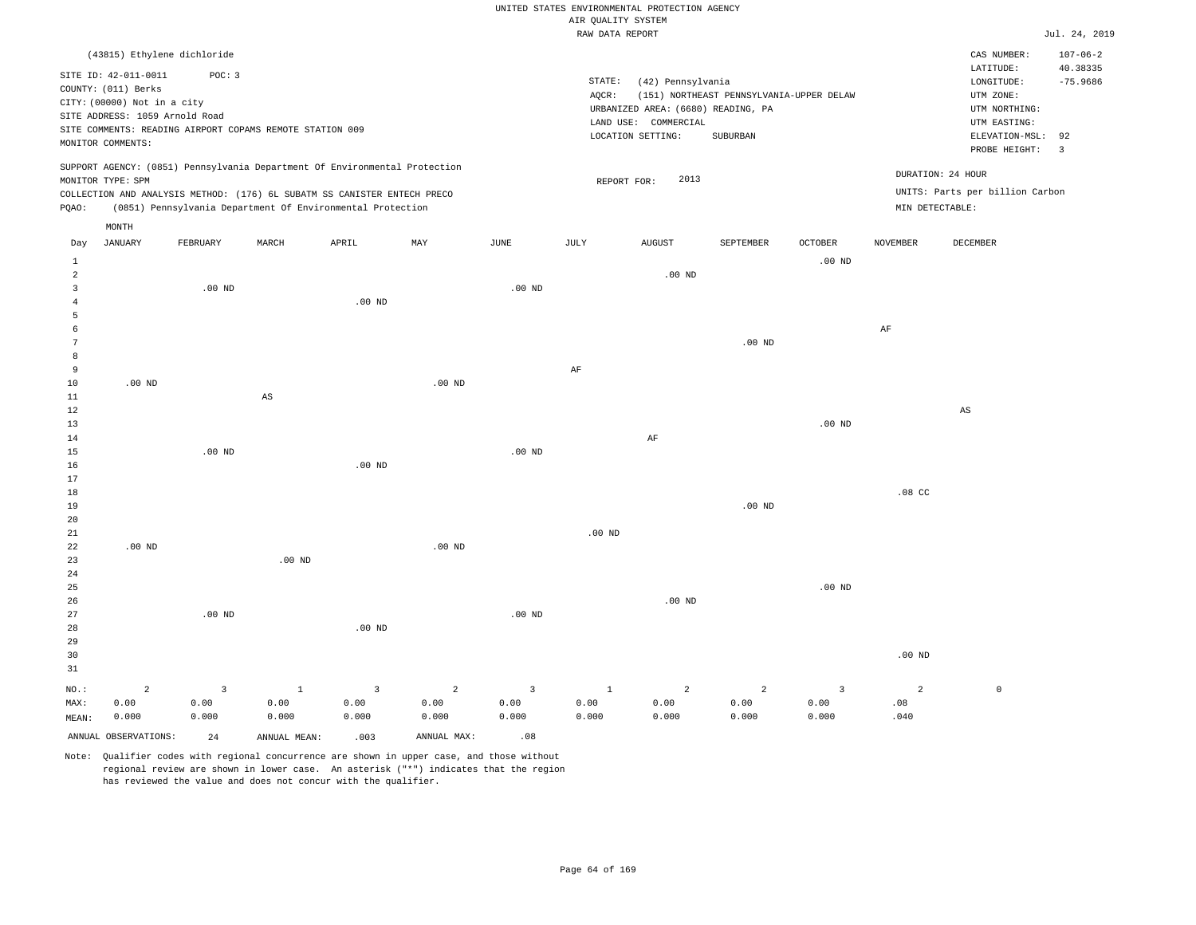#### RAW DATA REPORT JUL. 24, 2019 UNITED STATES ENVIRONMENTAL PROTECTION AGENCY AIR QUALITY SYSTEM

|                | (43815) Ethylene dichloride    |                   |                                                                            |                   |                |                   |              |                                           |                                          |                   |                    | CAS NUMBER:                     | $107 - 06 - 2$          |
|----------------|--------------------------------|-------------------|----------------------------------------------------------------------------|-------------------|----------------|-------------------|--------------|-------------------------------------------|------------------------------------------|-------------------|--------------------|---------------------------------|-------------------------|
|                | SITE ID: 42-011-0011           | POC: 3            |                                                                            |                   |                |                   |              |                                           |                                          |                   |                    | LATITUDE:                       | 40.38335                |
|                | COUNTY: (011) Berks            |                   |                                                                            |                   |                |                   | STATE:       | (42) Pennsylvania                         |                                          |                   |                    | LONGITUDE:                      | $-75.9686$              |
|                | CITY: (00000) Not in a city    |                   |                                                                            |                   |                |                   | AQCR:        |                                           | (151) NORTHEAST PENNSYLVANIA-UPPER DELAW |                   |                    | UTM ZONE:                       |                         |
|                | SITE ADDRESS: 1059 Arnold Road |                   |                                                                            |                   |                |                   |              | URBANIZED AREA: (6680) READING, PA        |                                          |                   |                    | UTM NORTHING:                   |                         |
|                |                                |                   | SITE COMMENTS: READING AIRPORT COPAMS REMOTE STATION 009                   |                   |                |                   |              | LAND USE: COMMERCIAL<br>LOCATION SETTING: | SUBURBAN                                 |                   |                    | UTM EASTING:<br>ELEVATION-MSL:  | 92                      |
|                | MONITOR COMMENTS:              |                   |                                                                            |                   |                |                   |              |                                           |                                          |                   |                    | PROBE HEIGHT:                   | $\overline{\mathbf{3}}$ |
|                | MONITOR TYPE: SPM              |                   | SUPPORT AGENCY: (0851) Pennsylvania Department Of Environmental Protection |                   |                |                   |              | 2013<br>REPORT FOR:                       |                                          |                   |                    | DURATION: 24 HOUR               |                         |
|                |                                |                   | COLLECTION AND ANALYSIS METHOD: (176) 6L SUBATM SS CANISTER ENTECH PRECO   |                   |                |                   |              |                                           |                                          |                   |                    | UNITS: Parts per billion Carbon |                         |
| PQAO:          |                                |                   | (0851) Pennsylvania Department Of Environmental Protection                 |                   |                |                   |              |                                           |                                          |                   | $MIN$ DETECTABLE : |                                 |                         |
|                | MONTH                          |                   |                                                                            |                   |                |                   |              |                                           |                                          |                   |                    |                                 |                         |
| Day            | <b>JANUARY</b>                 | FEBRUARY          | MARCH                                                                      | APRIL             | MAY            | $_{\rm JUNE}$     | JULY         | <b>AUGUST</b>                             | SEPTEMBER                                | OCTOBER           | <b>NOVEMBER</b>    | <b>DECEMBER</b>                 |                         |
| 1              |                                |                   |                                                                            |                   |                |                   |              |                                           |                                          | .00 <sub>ND</sub> |                    |                                 |                         |
| $\overline{a}$ |                                |                   |                                                                            |                   |                |                   |              | .00 <sub>ND</sub>                         |                                          |                   |                    |                                 |                         |
| $\overline{3}$ |                                | .00 <sub>ND</sub> |                                                                            |                   |                | .00 <sub>ND</sub> |              |                                           |                                          |                   |                    |                                 |                         |
| $\overline{4}$ |                                |                   |                                                                            | .00 <sub>ND</sub> |                |                   |              |                                           |                                          |                   |                    |                                 |                         |
| 5              |                                |                   |                                                                            |                   |                |                   |              |                                           |                                          |                   |                    |                                 |                         |
| 6              |                                |                   |                                                                            |                   |                |                   |              |                                           |                                          |                   | $\rm{AF}$          |                                 |                         |
| 7              |                                |                   |                                                                            |                   |                |                   |              |                                           | $.00$ ND                                 |                   |                    |                                 |                         |
| 8              |                                |                   |                                                                            |                   |                |                   |              |                                           |                                          |                   |                    |                                 |                         |
| 9              |                                |                   |                                                                            |                   |                |                   | $\rm AF$     |                                           |                                          |                   |                    |                                 |                         |
| $10$<br>$1\,1$ | $.00$ ND                       |                   |                                                                            |                   | $.00$ ND       |                   |              |                                           |                                          |                   |                    |                                 |                         |
| 12             |                                |                   | AS                                                                         |                   |                |                   |              |                                           |                                          |                   |                    | $\mathbb{A}\mathbb{S}$          |                         |
| 13             |                                |                   |                                                                            |                   |                |                   |              |                                           |                                          | $.00$ ND          |                    |                                 |                         |
| 14             |                                |                   |                                                                            |                   |                |                   |              | $\rm AF$                                  |                                          |                   |                    |                                 |                         |
| 15             |                                | $.00$ ND          |                                                                            |                   |                | .00 <sub>ND</sub> |              |                                           |                                          |                   |                    |                                 |                         |
| 16             |                                |                   |                                                                            | .00 <sub>ND</sub> |                |                   |              |                                           |                                          |                   |                    |                                 |                         |
| $17$           |                                |                   |                                                                            |                   |                |                   |              |                                           |                                          |                   |                    |                                 |                         |
| 18             |                                |                   |                                                                            |                   |                |                   |              |                                           |                                          |                   | .08 <sub>c</sub>   |                                 |                         |
| 19             |                                |                   |                                                                            |                   |                |                   |              |                                           | $.00$ ND                                 |                   |                    |                                 |                         |
| 20             |                                |                   |                                                                            |                   |                |                   |              |                                           |                                          |                   |                    |                                 |                         |
| 21             |                                |                   |                                                                            |                   |                |                   | $.00$ ND     |                                           |                                          |                   |                    |                                 |                         |
| 22             | .00 <sub>ND</sub>              |                   |                                                                            |                   | $.00$ ND       |                   |              |                                           |                                          |                   |                    |                                 |                         |
| 23             |                                |                   | $.00$ ND                                                                   |                   |                |                   |              |                                           |                                          |                   |                    |                                 |                         |
| 24<br>25       |                                |                   |                                                                            |                   |                |                   |              |                                           |                                          | .00 <sub>ND</sub> |                    |                                 |                         |
| 26             |                                |                   |                                                                            |                   |                |                   |              | $.00$ ND                                  |                                          |                   |                    |                                 |                         |
| 27             |                                | $.00$ ND          |                                                                            |                   |                | $.00$ ND          |              |                                           |                                          |                   |                    |                                 |                         |
| 28             |                                |                   |                                                                            | $.00$ ND          |                |                   |              |                                           |                                          |                   |                    |                                 |                         |
| 29             |                                |                   |                                                                            |                   |                |                   |              |                                           |                                          |                   |                    |                                 |                         |
| 30             |                                |                   |                                                                            |                   |                |                   |              |                                           |                                          |                   | $.00$ ND           |                                 |                         |
| 31             |                                |                   |                                                                            |                   |                |                   |              |                                           |                                          |                   |                    |                                 |                         |
| NO.:           | $\overline{a}$                 | 3                 | $\mathbf{1}$                                                               | $\overline{3}$    | $\overline{a}$ | $\overline{3}$    | <sup>1</sup> | $\overline{a}$                            | $\overline{a}$                           | $\overline{3}$    | 2                  | $\mathbb O$                     |                         |
| MAX:           | 0.00                           | 0.00              | 0.00                                                                       | 0.00              | 0.00           | 0.00              | 0.00         | 0.00                                      | 0.00                                     | 0.00              | .08                |                                 |                         |
| MEAN:          | 0.000                          | 0.000             | 0.000                                                                      | 0.000             | 0.000          | 0.000             | 0.000        | 0.000                                     | 0.000                                    | 0.000             | .040               |                                 |                         |
|                | ANNUAL OBSERVATIONS:           | 24                | ANNUAL MEAN:                                                               | .003              | ANNUAL MAX:    | .08               |              |                                           |                                          |                   |                    |                                 |                         |
|                |                                |                   |                                                                            |                   |                |                   |              |                                           |                                          |                   |                    |                                 |                         |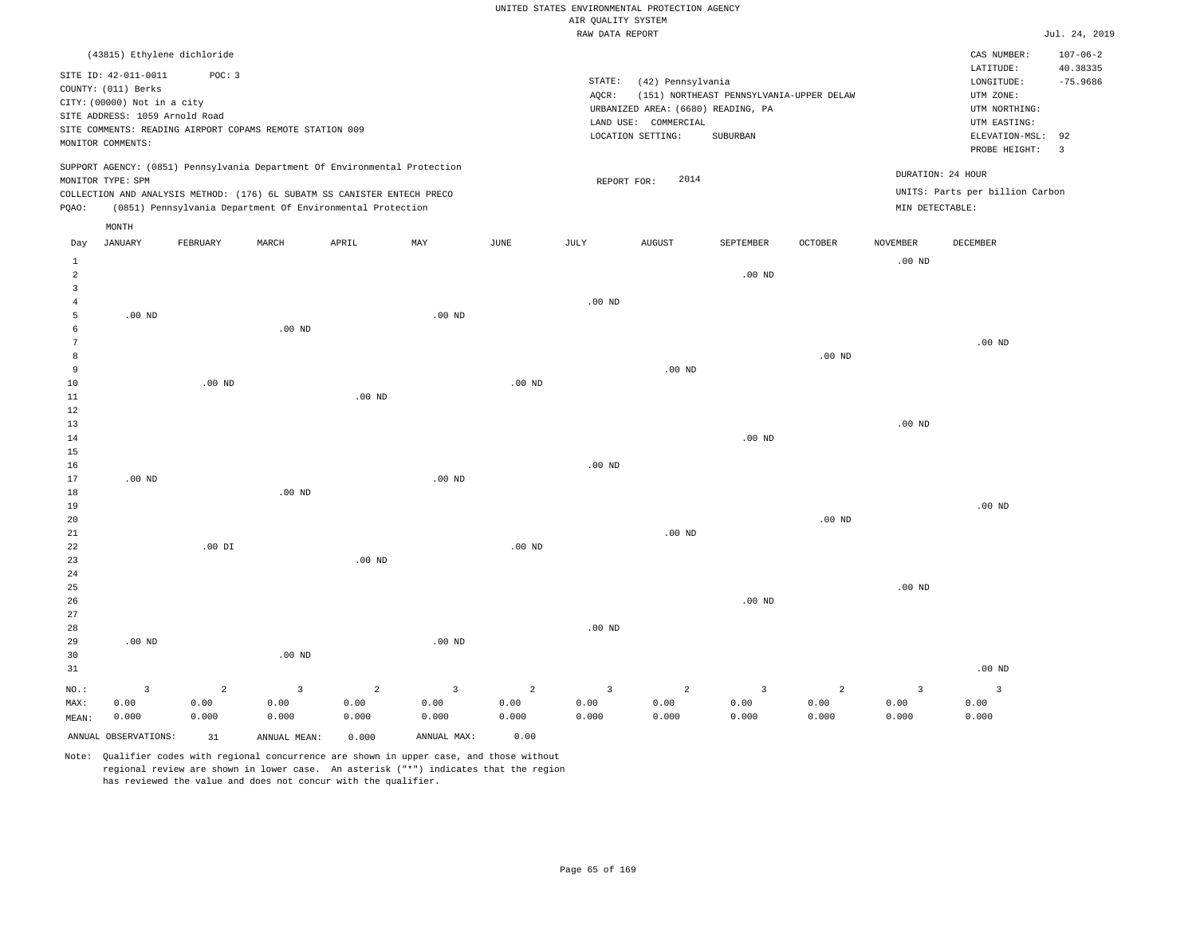|  |  |                    | UNITED STATES ENVIRONMENTAL PROTECTION AGENCY |  |
|--|--|--------------------|-----------------------------------------------|--|
|  |  | AIR OUALITY SYSTEM |                                               |  |

|                     |                                                                            |                |                         |                                                            |                         |                | RAW DATA REPORT   |                                    |                                          |                |                 |                                 | Jul. 24, 2019  |
|---------------------|----------------------------------------------------------------------------|----------------|-------------------------|------------------------------------------------------------|-------------------------|----------------|-------------------|------------------------------------|------------------------------------------|----------------|-----------------|---------------------------------|----------------|
|                     | (43815) Ethylene dichloride                                                |                |                         |                                                            |                         |                |                   |                                    |                                          |                |                 | CAS NUMBER:                     | $107 - 06 - 2$ |
|                     |                                                                            |                |                         |                                                            |                         |                |                   |                                    |                                          |                |                 | LATITUDE:                       | 40.38335       |
|                     | SITE ID: 42-011-0011                                                       | POC: 3         |                         |                                                            |                         |                | STATE:            | (42) Pennsylvania                  |                                          |                |                 | LONGITUDE:                      | $-75.9686$     |
|                     | COUNTY: (011) Berks                                                        |                |                         |                                                            |                         |                | AQCR:             |                                    | (151) NORTHEAST PENNSYLVANIA-UPPER DELAW |                |                 | UTM ZONE:                       |                |
|                     | CITY: (00000) Not in a city                                                |                |                         |                                                            |                         |                |                   | URBANIZED AREA: (6680) READING, PA |                                          |                |                 | UTM NORTHING:                   |                |
|                     | SITE ADDRESS: 1059 Arnold Road                                             |                |                         |                                                            |                         |                |                   | LAND USE: COMMERCIAL               |                                          |                |                 | UTM EASTING:                    |                |
|                     | SITE COMMENTS: READING AIRPORT COPAMS REMOTE STATION 009                   |                |                         |                                                            |                         |                |                   | LOCATION SETTING:                  | SUBURBAN                                 |                |                 | ELEVATION-MSL:                  | 92             |
|                     | MONITOR COMMENTS:                                                          |                |                         |                                                            |                         |                |                   |                                    |                                          |                |                 | PROBE HEIGHT:                   | $\overline{3}$ |
|                     | SUPPORT AGENCY: (0851) Pennsylvania Department Of Environmental Protection |                |                         |                                                            |                         |                |                   |                                    |                                          |                |                 | DURATION: 24 HOUR               |                |
|                     | MONITOR TYPE: SPM                                                          |                |                         |                                                            |                         |                | REPORT FOR:       | 2014                               |                                          |                |                 |                                 |                |
|                     | COLLECTION AND ANALYSIS METHOD: (176) 6L SUBATM SS CANISTER ENTECH PRECO   |                |                         |                                                            |                         |                |                   |                                    |                                          |                |                 | UNITS: Parts per billion Carbon |                |
| PQAO:               |                                                                            |                |                         | (0851) Pennsylvania Department Of Environmental Protection |                         |                |                   |                                    |                                          |                | MIN DETECTABLE: |                                 |                |
|                     | MONTH                                                                      |                |                         |                                                            |                         |                |                   |                                    |                                          |                |                 |                                 |                |
| Day                 | <b>JANUARY</b>                                                             | FEBRUARY       | MARCH                   | APRIL                                                      | MAY                     | <b>JUNE</b>    | JULY              | <b>AUGUST</b>                      | SEPTEMBER                                | <b>OCTOBER</b> | <b>NOVEMBER</b> | DECEMBER                        |                |
| $\mathbf{1}$        |                                                                            |                |                         |                                                            |                         |                |                   |                                    |                                          |                | $.00$ ND        |                                 |                |
| $\overline{a}$      |                                                                            |                |                         |                                                            |                         |                |                   |                                    | $.00$ ND                                 |                |                 |                                 |                |
| $\overline{3}$      |                                                                            |                |                         |                                                            |                         |                |                   |                                    |                                          |                |                 |                                 |                |
| $\overline{4}$      |                                                                            |                |                         |                                                            |                         |                | .00 <sub>ND</sub> |                                    |                                          |                |                 |                                 |                |
| 5                   | $.00$ ND                                                                   |                |                         |                                                            | $.00$ ND                |                |                   |                                    |                                          |                |                 |                                 |                |
| 6                   |                                                                            |                | $.00$ ND                |                                                            |                         |                |                   |                                    |                                          |                |                 |                                 |                |
| $\overline{7}$<br>8 |                                                                            |                |                         |                                                            |                         |                |                   |                                    |                                          | $.00$ ND       |                 | .00 <sub>ND</sub>               |                |
| 9                   |                                                                            |                |                         |                                                            |                         |                |                   | $.00$ ND                           |                                          |                |                 |                                 |                |
| 10                  |                                                                            | $.00$ ND       |                         |                                                            |                         | $.00$ ND       |                   |                                    |                                          |                |                 |                                 |                |
| $11\,$              |                                                                            |                |                         | .00 <sub>ND</sub>                                          |                         |                |                   |                                    |                                          |                |                 |                                 |                |
| 12                  |                                                                            |                |                         |                                                            |                         |                |                   |                                    |                                          |                |                 |                                 |                |
| 13                  |                                                                            |                |                         |                                                            |                         |                |                   |                                    |                                          |                | $.00$ ND        |                                 |                |
| 14                  |                                                                            |                |                         |                                                            |                         |                |                   |                                    | $.00$ ND                                 |                |                 |                                 |                |
| 15                  |                                                                            |                |                         |                                                            |                         |                |                   |                                    |                                          |                |                 |                                 |                |
| 16                  |                                                                            |                |                         |                                                            |                         |                | $.00$ ND          |                                    |                                          |                |                 |                                 |                |
| 17                  | $.00$ ND                                                                   |                |                         |                                                            | $.00$ ND                |                |                   |                                    |                                          |                |                 |                                 |                |
| 18                  |                                                                            |                | $.00$ ND                |                                                            |                         |                |                   |                                    |                                          |                |                 |                                 |                |
| 19                  |                                                                            |                |                         |                                                            |                         |                |                   |                                    |                                          |                |                 | $.00$ ND                        |                |
| 20                  |                                                                            |                |                         |                                                            |                         |                |                   |                                    |                                          | $.00$ ND       |                 |                                 |                |
| 21                  |                                                                            |                |                         |                                                            |                         |                |                   | $.00$ ND                           |                                          |                |                 |                                 |                |
| 22                  |                                                                            | $.00$ DI       |                         |                                                            |                         | $.00$ ND       |                   |                                    |                                          |                |                 |                                 |                |
| 23                  |                                                                            |                |                         | .00 <sub>ND</sub>                                          |                         |                |                   |                                    |                                          |                |                 |                                 |                |
| 24                  |                                                                            |                |                         |                                                            |                         |                |                   |                                    |                                          |                |                 |                                 |                |
| 25                  |                                                                            |                |                         |                                                            |                         |                |                   |                                    |                                          |                | $.00$ ND        |                                 |                |
| 26                  |                                                                            |                |                         |                                                            |                         |                |                   |                                    | $.00$ ND                                 |                |                 |                                 |                |
| 27                  |                                                                            |                |                         |                                                            |                         |                |                   |                                    |                                          |                |                 |                                 |                |
| 28                  |                                                                            |                |                         |                                                            |                         |                | $.00$ ND          |                                    |                                          |                |                 |                                 |                |
| 29                  | $.00$ ND                                                                   |                |                         |                                                            | .00 <sub>ND</sub>       |                |                   |                                    |                                          |                |                 |                                 |                |
| 30                  |                                                                            |                | $.00$ ND                |                                                            |                         |                |                   |                                    |                                          |                |                 |                                 |                |
| 31                  |                                                                            |                |                         |                                                            |                         |                |                   |                                    |                                          |                |                 | $.00$ ND                        |                |
| NO.:                | $\overline{3}$                                                             | $\overline{a}$ | $\overline{\mathbf{3}}$ | $\overline{a}$                                             | $\overline{\mathbf{3}}$ | $\overline{a}$ | $\overline{3}$    | $\overline{a}$                     | $\overline{3}$                           | $\overline{a}$ | $\overline{3}$  | $\overline{\mathbf{3}}$         |                |
| MAX:                | 0.00                                                                       | 0.00           | 0.00                    | 0.00                                                       | 0.00                    | 0.00           | 0.00              | 0.00                               | 0.00                                     | 0.00           | 0.00            | 0.00                            |                |
| MEAN:               | 0.000                                                                      | 0.000          | 0.000                   | 0.000                                                      | 0.000                   | 0.000          | 0.000             | 0.000                              | 0.000                                    | 0.000          | 0.000           | 0.000                           |                |
|                     | ANNUAL OBSERVATIONS:                                                       | 31             | ANNUAL MEAN:            | 0.000                                                      | ANNUAL MAX:             | 0.00           |                   |                                    |                                          |                |                 |                                 |                |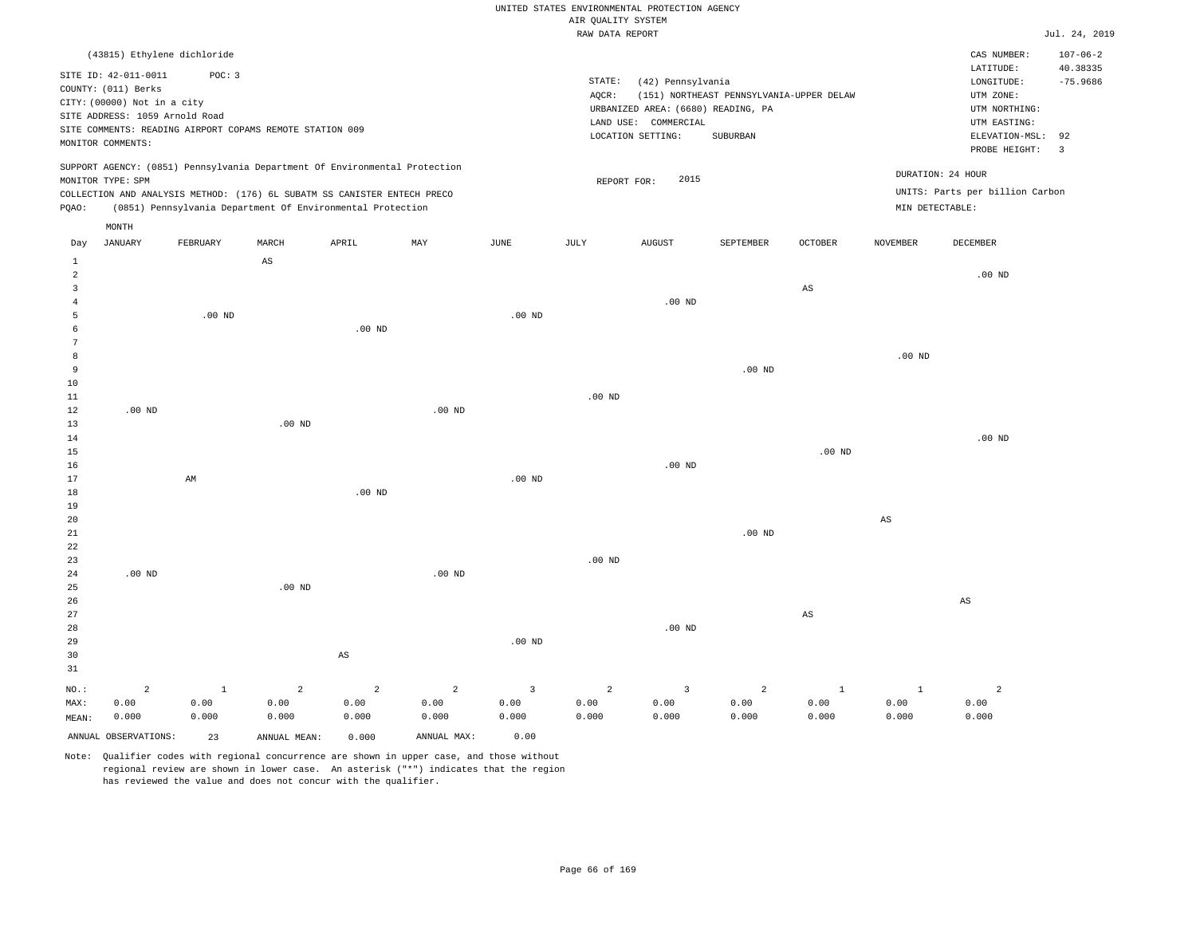| RAW DATA REPORT |
|-----------------|
|-----------------|

|                |                                             |                   |                                                                            |                        |                   |                         | RAW DATA REPORT |                                    |                                          |                |                   |                                 | Jul. 24, 2019           |
|----------------|---------------------------------------------|-------------------|----------------------------------------------------------------------------|------------------------|-------------------|-------------------------|-----------------|------------------------------------|------------------------------------------|----------------|-------------------|---------------------------------|-------------------------|
|                | (43815) Ethylene dichloride                 |                   |                                                                            |                        |                   |                         |                 |                                    |                                          |                |                   | CAS NUMBER:                     | $107 - 06 - 2$          |
|                |                                             |                   |                                                                            |                        |                   |                         |                 |                                    |                                          |                |                   | LATITUDE:                       | 40.38335                |
|                | SITE ID: 42-011-0011<br>COUNTY: (011) Berks | POC: 3            |                                                                            |                        |                   |                         | STATE:          | (42) Pennsylvania                  |                                          |                |                   | LONGITUDE:                      | $-75.9686$              |
|                | CITY: (00000) Not in a city                 |                   |                                                                            |                        |                   |                         | AQCR:           |                                    | (151) NORTHEAST PENNSYLVANIA-UPPER DELAW |                |                   | UTM ZONE:                       |                         |
|                | SITE ADDRESS: 1059 Arnold Road              |                   |                                                                            |                        |                   |                         |                 | URBANIZED AREA: (6680) READING, PA |                                          |                |                   | UTM NORTHING:                   |                         |
|                |                                             |                   | SITE COMMENTS: READING AIRPORT COPAMS REMOTE STATION 009                   |                        |                   |                         |                 | LAND USE: COMMERCIAL               |                                          |                |                   | UTM EASTING:                    |                         |
|                | MONITOR COMMENTS:                           |                   |                                                                            |                        |                   |                         |                 | LOCATION SETTING:                  | SUBURBAN                                 |                |                   | ELEVATION-MSL:                  | 92                      |
|                |                                             |                   |                                                                            |                        |                   |                         |                 |                                    |                                          |                |                   | PROBE HEIGHT:                   | $\overline{\mathbf{3}}$ |
|                |                                             |                   | SUPPORT AGENCY: (0851) Pennsylvania Department Of Environmental Protection |                        |                   |                         |                 |                                    |                                          |                |                   |                                 |                         |
|                | MONITOR TYPE: SPM                           |                   |                                                                            |                        |                   |                         | REPORT FOR:     | 2015                               |                                          |                |                   | DURATION: 24 HOUR               |                         |
|                |                                             |                   | COLLECTION AND ANALYSIS METHOD: (176) 6L SUBATM SS CANISTER ENTECH PRECO   |                        |                   |                         |                 |                                    |                                          |                |                   | UNITS: Parts per billion Carbon |                         |
| PQAO:          |                                             |                   | (0851) Pennsylvania Department Of Environmental Protection                 |                        |                   |                         |                 |                                    |                                          |                | MIN DETECTABLE:   |                                 |                         |
|                | MONTH                                       |                   |                                                                            |                        |                   |                         |                 |                                    |                                          |                |                   |                                 |                         |
| Day            | <b>JANUARY</b>                              | FEBRUARY          | MARCH                                                                      | APRIL                  | MAY               | JUNE                    | JULY            | <b>AUGUST</b>                      | SEPTEMBER                                | <b>OCTOBER</b> | <b>NOVEMBER</b>   | <b>DECEMBER</b>                 |                         |
| $\mathbf{1}$   |                                             |                   | $\mathbb{A}\mathbb{S}$                                                     |                        |                   |                         |                 |                                    |                                          |                |                   |                                 |                         |
| $\overline{2}$ |                                             |                   |                                                                            |                        |                   |                         |                 |                                    |                                          |                |                   | $.00$ ND                        |                         |
| 3              |                                             |                   |                                                                            |                        |                   |                         |                 |                                    |                                          | $_{\rm AS}$    |                   |                                 |                         |
| $\overline{4}$ |                                             |                   |                                                                            |                        |                   |                         |                 | $.00$ ND                           |                                          |                |                   |                                 |                         |
| 5              |                                             | .00 <sub>ND</sub> |                                                                            |                        |                   | $.00$ ND                |                 |                                    |                                          |                |                   |                                 |                         |
| 6              |                                             |                   |                                                                            | $.00$ ND               |                   |                         |                 |                                    |                                          |                |                   |                                 |                         |
| 7              |                                             |                   |                                                                            |                        |                   |                         |                 |                                    |                                          |                |                   |                                 |                         |
| 8              |                                             |                   |                                                                            |                        |                   |                         |                 |                                    |                                          |                | .00 <sub>ND</sub> |                                 |                         |
| 9              |                                             |                   |                                                                            |                        |                   |                         |                 |                                    | .00 <sub>ND</sub>                        |                |                   |                                 |                         |
| $10$           |                                             |                   |                                                                            |                        |                   |                         |                 |                                    |                                          |                |                   |                                 |                         |
| 11             |                                             |                   |                                                                            |                        |                   |                         | $.00$ ND        |                                    |                                          |                |                   |                                 |                         |
| $1\,2$         | $.00$ ND                                    |                   |                                                                            |                        | .00 <sub>ND</sub> |                         |                 |                                    |                                          |                |                   |                                 |                         |
| 13             |                                             |                   | .00 <sub>ND</sub>                                                          |                        |                   |                         |                 |                                    |                                          |                |                   |                                 |                         |
| 14             |                                             |                   |                                                                            |                        |                   |                         |                 |                                    |                                          |                |                   | $.00$ ND                        |                         |
| 15             |                                             |                   |                                                                            |                        |                   |                         |                 | $.00$ ND                           |                                          | $.00$ ND       |                   |                                 |                         |
| 16<br>17       |                                             | AM                |                                                                            |                        |                   | $.00$ ND                |                 |                                    |                                          |                |                   |                                 |                         |
| 18             |                                             |                   |                                                                            | $.00$ ND               |                   |                         |                 |                                    |                                          |                |                   |                                 |                         |
| 19             |                                             |                   |                                                                            |                        |                   |                         |                 |                                    |                                          |                |                   |                                 |                         |
| 20             |                                             |                   |                                                                            |                        |                   |                         |                 |                                    |                                          |                | $_{\rm AS}$       |                                 |                         |
| 21             |                                             |                   |                                                                            |                        |                   |                         |                 |                                    | $.00$ ND                                 |                |                   |                                 |                         |
| 22             |                                             |                   |                                                                            |                        |                   |                         |                 |                                    |                                          |                |                   |                                 |                         |
| 23             |                                             |                   |                                                                            |                        |                   |                         | $.00$ ND        |                                    |                                          |                |                   |                                 |                         |
| 24             | $.00$ ND                                    |                   |                                                                            |                        | $.00$ ND          |                         |                 |                                    |                                          |                |                   |                                 |                         |
| 25             |                                             |                   | $.00$ ND                                                                   |                        |                   |                         |                 |                                    |                                          |                |                   |                                 |                         |
| 26             |                                             |                   |                                                                            |                        |                   |                         |                 |                                    |                                          |                |                   | $\mathbb{A}\mathbb{S}$          |                         |
| 27             |                                             |                   |                                                                            |                        |                   |                         |                 |                                    |                                          | AS             |                   |                                 |                         |
| 28             |                                             |                   |                                                                            |                        |                   |                         |                 | $.00$ ND                           |                                          |                |                   |                                 |                         |
| 29             |                                             |                   |                                                                            |                        |                   | .00 <sub>ND</sub>       |                 |                                    |                                          |                |                   |                                 |                         |
| 30             |                                             |                   |                                                                            | $\mathbb{A}\mathbb{S}$ |                   |                         |                 |                                    |                                          |                |                   |                                 |                         |
| 31             |                                             |                   |                                                                            |                        |                   |                         |                 |                                    |                                          |                |                   |                                 |                         |
| NO.:           | $\overline{2}$                              | $\mathbf{1}$      | $\overline{a}$                                                             | $\overline{2}$         | $\overline{a}$    | $\overline{\mathbf{3}}$ | $\overline{a}$  | $\overline{3}$                     | $\overline{a}$                           | $\mathbf{1}$   | $\mathbf{1}$      | $\overline{a}$                  |                         |
| MAX:           | 0.00                                        | 0.00              | 0.00                                                                       | 0.00                   | 0.00              | 0.00                    | 0.00            | 0.00                               | 0.00                                     | 0.00           | 0.00              | 0.00                            |                         |
| MEAN:          | 0.000                                       | 0.000             | 0.000                                                                      | 0.000                  | 0.000             | 0.000                   | 0.000           | 0.000                              | 0.000                                    | 0.000          | 0.000             | 0.000                           |                         |
|                | ANNUAL OBSERVATIONS:                        | 23                | ANNUAL MEAN:                                                               | 0.000                  | ANNUAL MAX:       | 0.00                    |                 |                                    |                                          |                |                   |                                 |                         |
|                |                                             |                   |                                                                            |                        |                   |                         |                 |                                    |                                          |                |                   |                                 |                         |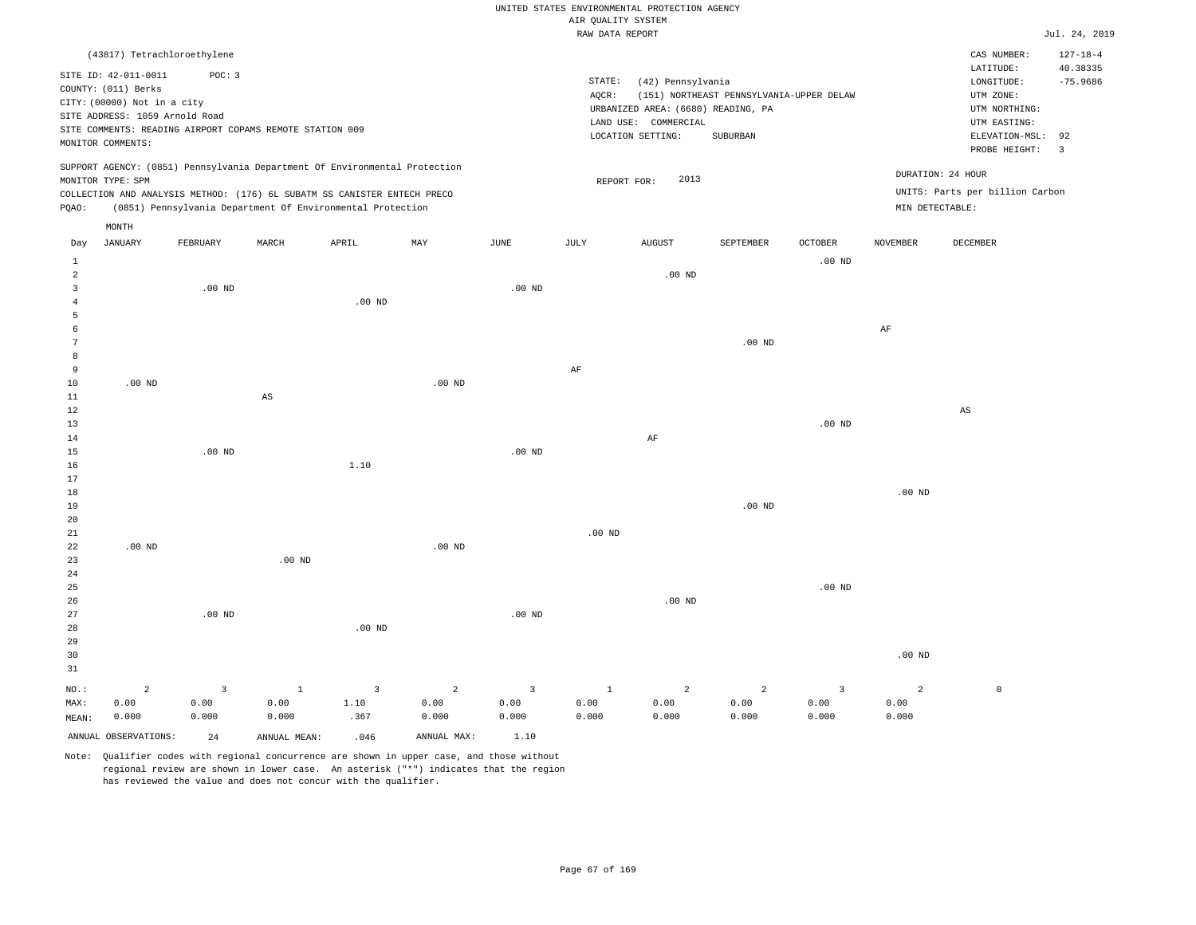| UNITED STATES ENVIRONMENTAL PROTECTION AGENCY |  |               |
|-----------------------------------------------|--|---------------|
| AIR OUALITY SYSTEM                            |  |               |
| RAW DATA REPORT                               |  | Jul. 24, 2019 |

|                                       |                                                          |                |              |                                                                            |                |                         | ----- ------ ---- ---- |                                    |                                          |                         |                             |                                      | $    -$                 |
|---------------------------------------|----------------------------------------------------------|----------------|--------------|----------------------------------------------------------------------------|----------------|-------------------------|------------------------|------------------------------------|------------------------------------------|-------------------------|-----------------------------|--------------------------------------|-------------------------|
|                                       | (43817) Tetrachloroethylene                              |                |              |                                                                            |                |                         |                        |                                    |                                          |                         |                             | CAS NUMBER:                          | $127 - 18 - 4$          |
|                                       | SITE ID: 42-011-0011<br>COUNTY: (011) Berks              | POC: 3         |              |                                                                            |                |                         | STATE:<br>AQCR:        | (42) Pennsylvania                  | (151) NORTHEAST PENNSYLVANIA-UPPER DELAW |                         |                             | LATITUDE:<br>LONGITUDE:<br>UTM ZONE: | 40.38335<br>$-75.9686$  |
|                                       | CITY: (00000) Not in a city                              |                |              |                                                                            |                |                         |                        | URBANIZED AREA: (6680) READING, PA |                                          |                         |                             | UTM NORTHING:                        |                         |
|                                       | SITE ADDRESS: 1059 Arnold Road                           |                |              |                                                                            |                |                         |                        | LAND USE: COMMERCIAL               |                                          |                         |                             | UTM EASTING:                         |                         |
|                                       | SITE COMMENTS: READING AIRPORT COPAMS REMOTE STATION 009 |                |              |                                                                            |                |                         |                        | LOCATION SETTING:                  | SUBURBAN                                 |                         |                             | ELEVATION-MSL:                       | 92                      |
|                                       | MONITOR COMMENTS:                                        |                |              |                                                                            |                |                         |                        |                                    |                                          |                         |                             | PROBE HEIGHT:                        | $\overline{\mathbf{3}}$ |
|                                       | MONITOR TYPE: SPM                                        |                |              | SUPPORT AGENCY: (0851) Pennsylvania Department Of Environmental Protection |                |                         |                        | 2013<br>REPORT FOR:                |                                          |                         |                             | DURATION: 24 HOUR                    |                         |
|                                       |                                                          |                |              | COLLECTION AND ANALYSIS METHOD: (176) 6L SUBATM SS CANISTER ENTECH PRECO   |                |                         |                        |                                    |                                          |                         | $\texttt{MIN}$ DETECTABLE : | UNITS: Parts per billion Carbon      |                         |
| PQAO:                                 |                                                          |                |              | (0851) Pennsylvania Department Of Environmental Protection                 |                |                         |                        |                                    |                                          |                         |                             |                                      |                         |
|                                       | MONTH                                                    |                |              |                                                                            |                |                         |                        |                                    |                                          |                         |                             |                                      |                         |
| Day                                   | JANUARY                                                  | FEBRUARY       | MARCH        | APRIL                                                                      | MAY            | JUNE                    | JULY                   | <b>AUGUST</b>                      | SEPTEMBER                                | OCTOBER                 | <b>NOVEMBER</b>             | <b>DECEMBER</b>                      |                         |
| $\mathbf{1}$                          |                                                          |                |              |                                                                            |                |                         |                        |                                    |                                          | $.00$ ND                |                             |                                      |                         |
| $\sqrt{2}$<br>$\overline{\mathbf{3}}$ |                                                          |                |              |                                                                            |                | .00 <sub>ND</sub>       |                        | .00 <sub>ND</sub>                  |                                          |                         |                             |                                      |                         |
| $\overline{4}$                        |                                                          | $.00$ ND       |              | $.00$ ND                                                                   |                |                         |                        |                                    |                                          |                         |                             |                                      |                         |
| 5                                     |                                                          |                |              |                                                                            |                |                         |                        |                                    |                                          |                         |                             |                                      |                         |
| 6                                     |                                                          |                |              |                                                                            |                |                         |                        |                                    |                                          |                         | $\rm{AF}$                   |                                      |                         |
| $\overline{7}$                        |                                                          |                |              |                                                                            |                |                         |                        |                                    | $.00$ ND                                 |                         |                             |                                      |                         |
| 8                                     |                                                          |                |              |                                                                            |                |                         |                        |                                    |                                          |                         |                             |                                      |                         |
| 9                                     |                                                          |                |              |                                                                            |                |                         | $\rm{AF}$              |                                    |                                          |                         |                             |                                      |                         |
| $10$                                  | $.00$ ND                                                 |                |              |                                                                            | $.00$ ND       |                         |                        |                                    |                                          |                         |                             |                                      |                         |
| $11\,$                                |                                                          |                | AS           |                                                                            |                |                         |                        |                                    |                                          |                         |                             |                                      |                         |
| 12                                    |                                                          |                |              |                                                                            |                |                         |                        |                                    |                                          |                         |                             | $\mathbb{A}\mathbb{S}$               |                         |
| 13                                    |                                                          |                |              |                                                                            |                |                         |                        |                                    |                                          | $.00$ ND                |                             |                                      |                         |
| 14<br>15                              |                                                          | $.00$ ND       |              |                                                                            |                | .00 <sub>ND</sub>       |                        | AF                                 |                                          |                         |                             |                                      |                         |
| 16                                    |                                                          |                |              | 1.10                                                                       |                |                         |                        |                                    |                                          |                         |                             |                                      |                         |
| 17                                    |                                                          |                |              |                                                                            |                |                         |                        |                                    |                                          |                         |                             |                                      |                         |
| 18                                    |                                                          |                |              |                                                                            |                |                         |                        |                                    |                                          |                         | $.00$ ND                    |                                      |                         |
| 19                                    |                                                          |                |              |                                                                            |                |                         |                        |                                    | .00 <sub>ND</sub>                        |                         |                             |                                      |                         |
| 20                                    |                                                          |                |              |                                                                            |                |                         |                        |                                    |                                          |                         |                             |                                      |                         |
| 21                                    |                                                          |                |              |                                                                            |                |                         | .00 <sub>ND</sub>      |                                    |                                          |                         |                             |                                      |                         |
| 22                                    | $.00$ ND                                                 |                |              |                                                                            | $.00$ ND       |                         |                        |                                    |                                          |                         |                             |                                      |                         |
| 23                                    |                                                          |                | $.00$ ND     |                                                                            |                |                         |                        |                                    |                                          |                         |                             |                                      |                         |
| 24<br>25                              |                                                          |                |              |                                                                            |                |                         |                        |                                    |                                          | .00 <sub>ND</sub>       |                             |                                      |                         |
| 26                                    |                                                          |                |              |                                                                            |                |                         |                        | $.00$ ND                           |                                          |                         |                             |                                      |                         |
| 27                                    |                                                          | $.00$ ND       |              |                                                                            |                | $.00$ ND                |                        |                                    |                                          |                         |                             |                                      |                         |
| 28                                    |                                                          |                |              | $.00$ ND                                                                   |                |                         |                        |                                    |                                          |                         |                             |                                      |                         |
| 29                                    |                                                          |                |              |                                                                            |                |                         |                        |                                    |                                          |                         |                             |                                      |                         |
| 30                                    |                                                          |                |              |                                                                            |                |                         |                        |                                    |                                          |                         | .00 <sub>ND</sub>           |                                      |                         |
| 31                                    |                                                          |                |              |                                                                            |                |                         |                        |                                    |                                          |                         |                             |                                      |                         |
| NO.:                                  | $\overline{a}$                                           | $\overline{3}$ | $\mathbf{1}$ | $\overline{3}$                                                             | $\overline{a}$ | $\overline{\mathbf{3}}$ | $1\,$                  | $\overline{a}$                     | $\overline{a}$                           | $\overline{\mathbf{3}}$ | $\overline{2}$              | $\mathbb O$                          |                         |
| MAX:                                  | 0.00                                                     | 0.00           | 0.00         | 1.10                                                                       | 0.00           | 0.00                    | 0.00                   | 0.00                               | 0.00                                     | 0.00                    | 0.00                        |                                      |                         |
| MEAN:                                 | 0.000                                                    | 0.000          | 0.000        | .367                                                                       | 0.000          | 0.000                   | 0.000                  | 0.000                              | 0.000                                    | 0.000                   | 0.000                       |                                      |                         |
|                                       | ANNUAL OBSERVATIONS:                                     | 24             | ANNUAL MEAN: | .046                                                                       | ANNUAL MAX:    | 1.10                    |                        |                                    |                                          |                         |                             |                                      |                         |
|                                       |                                                          |                |              |                                                                            |                |                         |                        |                                    |                                          |                         |                             |                                      |                         |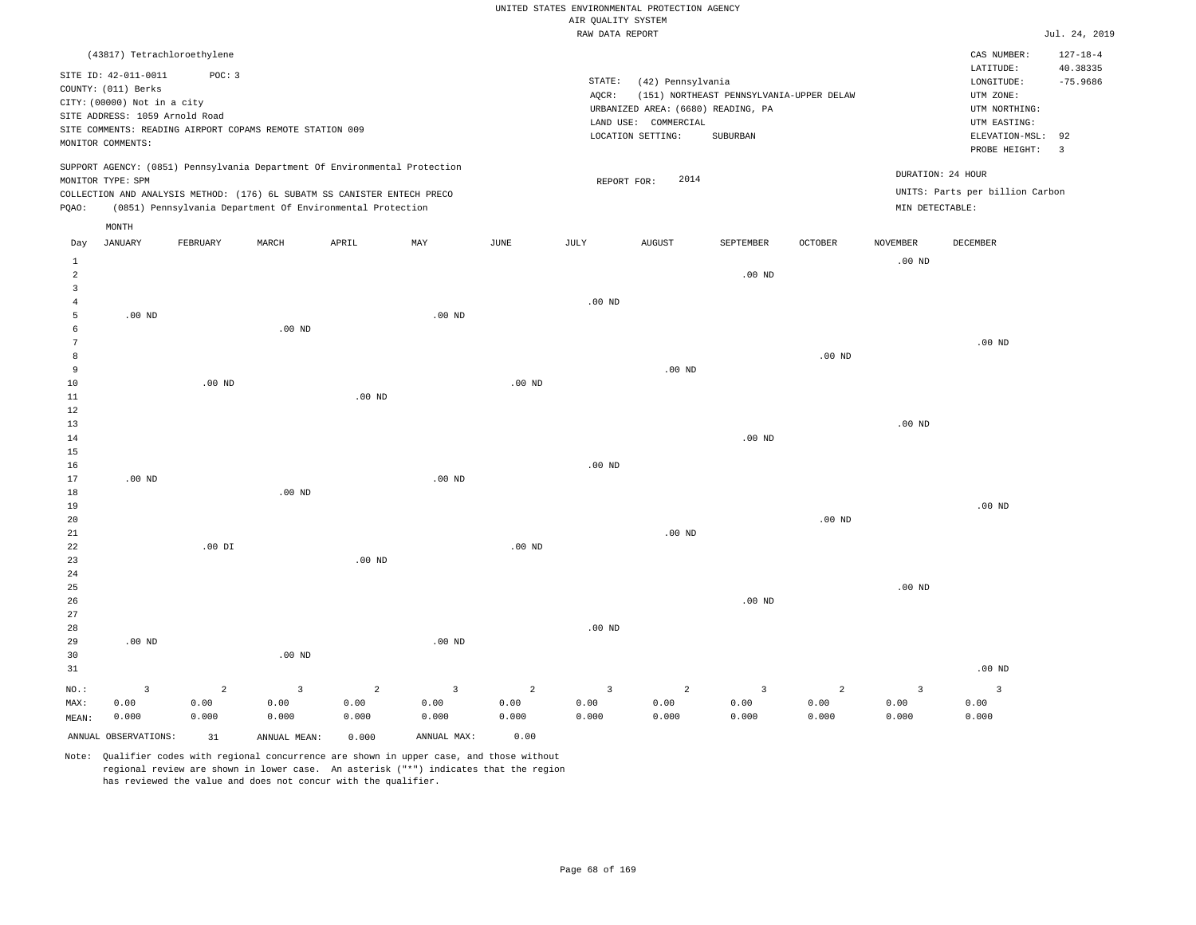|                |                                |          |                                                                                                                                        |                   |                         |                   |                         | UNITED STATES ENVIRONMENTAL PROTECTION AGENCY |                                          |                   |                 |                                 |                        |
|----------------|--------------------------------|----------|----------------------------------------------------------------------------------------------------------------------------------------|-------------------|-------------------------|-------------------|-------------------------|-----------------------------------------------|------------------------------------------|-------------------|-----------------|---------------------------------|------------------------|
|                |                                |          |                                                                                                                                        |                   |                         |                   | AIR QUALITY SYSTEM      |                                               |                                          |                   |                 |                                 |                        |
|                |                                |          |                                                                                                                                        |                   |                         |                   | RAW DATA REPORT         |                                               |                                          |                   |                 |                                 | Jul. 24, 2019          |
|                | (43817) Tetrachloroethylene    |          |                                                                                                                                        |                   |                         |                   |                         |                                               |                                          |                   |                 | CAS NUMBER:                     | $127 - 18 - 4$         |
|                | SITE ID: 42-011-0011           | POC: 3   |                                                                                                                                        |                   |                         |                   | STATE:                  |                                               |                                          |                   |                 | LATITUDE:<br>LONGITUDE:         | 40.38335<br>$-75.9686$ |
|                | COUNTY: (011) Berks            |          |                                                                                                                                        |                   |                         |                   | AOCR:                   | (42) Pennsylvania                             | (151) NORTHEAST PENNSYLVANIA-UPPER DELAW |                   |                 | UTM ZONE:                       |                        |
|                | CITY: (00000) Not in a city    |          |                                                                                                                                        |                   |                         |                   |                         | URBANIZED AREA: (6680) READING, PA            |                                          |                   |                 | UTM NORTHING:                   |                        |
|                | SITE ADDRESS: 1059 Arnold Road |          |                                                                                                                                        |                   |                         |                   |                         | LAND USE: COMMERCIAL                          |                                          |                   |                 | UTM EASTING:                    |                        |
|                |                                |          | SITE COMMENTS: READING AIRPORT COPAMS REMOTE STATION 009                                                                               |                   |                         |                   |                         | LOCATION SETTING:                             | <b>SUBURBAN</b>                          |                   |                 | ELEVATION-MSL:                  | 92                     |
|                | MONITOR COMMENTS:              |          |                                                                                                                                        |                   |                         |                   |                         |                                               |                                          |                   |                 | PROBE HEIGHT:                   | $\overline{3}$         |
|                |                                |          | SUPPORT AGENCY: (0851) Pennsylvania Department Of Environmental Protection                                                             |                   |                         |                   |                         |                                               |                                          |                   |                 | DURATION: 24 HOUR               |                        |
|                | MONITOR TYPE: SPM              |          |                                                                                                                                        |                   |                         |                   | REPORT FOR:             | 2014                                          |                                          |                   |                 | UNITS: Parts per billion Carbon |                        |
| PQAO:          |                                |          | COLLECTION AND ANALYSIS METHOD: (176) 6L SUBATM SS CANISTER ENTECH PRECO<br>(0851) Pennsylvania Department Of Environmental Protection |                   |                         |                   |                         |                                               |                                          |                   | MIN DETECTABLE: |                                 |                        |
|                | MONTH                          |          |                                                                                                                                        |                   |                         |                   |                         |                                               |                                          |                   |                 |                                 |                        |
| Day            | <b>JANUARY</b>                 | FEBRUARY | MARCH                                                                                                                                  | APRIL             | MAX                     | $_{\rm JUNE}$     | $\mathtt{JULY}$         | <b>AUGUST</b>                                 | SEPTEMBER                                | OCTOBER           | <b>NOVEMBER</b> | DECEMBER                        |                        |
| $\mathbf{1}$   |                                |          |                                                                                                                                        |                   |                         |                   |                         |                                               |                                          |                   | $.00$ ND        |                                 |                        |
| 2              |                                |          |                                                                                                                                        |                   |                         |                   |                         |                                               | $.00$ ND                                 |                   |                 |                                 |                        |
| $\overline{3}$ |                                |          |                                                                                                                                        |                   |                         |                   |                         |                                               |                                          |                   |                 |                                 |                        |
| 4              |                                |          |                                                                                                                                        |                   |                         |                   | $.00$ ND                |                                               |                                          |                   |                 |                                 |                        |
| 5<br>6         | $.00$ ND                       |          | .00 <sub>ND</sub>                                                                                                                      |                   | $.00$ ND                |                   |                         |                                               |                                          |                   |                 |                                 |                        |
| 7              |                                |          |                                                                                                                                        |                   |                         |                   |                         |                                               |                                          |                   |                 | $.00$ ND                        |                        |
| 8              |                                |          |                                                                                                                                        |                   |                         |                   |                         |                                               |                                          | .00 <sub>ND</sub> |                 |                                 |                        |
| 9              |                                |          |                                                                                                                                        |                   |                         |                   |                         | $.00$ ND                                      |                                          |                   |                 |                                 |                        |
| $10$           |                                | $.00$ ND |                                                                                                                                        |                   |                         | .00 <sub>ND</sub> |                         |                                               |                                          |                   |                 |                                 |                        |
| 11             |                                |          |                                                                                                                                        | .00 <sub>ND</sub> |                         |                   |                         |                                               |                                          |                   |                 |                                 |                        |
| 12             |                                |          |                                                                                                                                        |                   |                         |                   |                         |                                               |                                          |                   |                 |                                 |                        |
| $13$           |                                |          |                                                                                                                                        |                   |                         |                   |                         |                                               |                                          |                   | $.00$ ND        |                                 |                        |
| 14             |                                |          |                                                                                                                                        |                   |                         |                   |                         |                                               | $.00$ ND                                 |                   |                 |                                 |                        |
| 15             |                                |          |                                                                                                                                        |                   |                         |                   |                         |                                               |                                          |                   |                 |                                 |                        |
| 16<br>17       | .00 <sub>ND</sub>              |          |                                                                                                                                        |                   | $.00$ ND                |                   | .00 <sub>ND</sub>       |                                               |                                          |                   |                 |                                 |                        |
| $1\,8$         |                                |          | $.00$ ND                                                                                                                               |                   |                         |                   |                         |                                               |                                          |                   |                 |                                 |                        |
| 19             |                                |          |                                                                                                                                        |                   |                         |                   |                         |                                               |                                          |                   |                 | $.00$ ND                        |                        |
| 20             |                                |          |                                                                                                                                        |                   |                         |                   |                         |                                               |                                          | $.00$ ND          |                 |                                 |                        |
| 21             |                                |          |                                                                                                                                        |                   |                         |                   |                         | $.00$ ND                                      |                                          |                   |                 |                                 |                        |
| 22             |                                | $.00$ DI |                                                                                                                                        |                   |                         | $.00$ ND          |                         |                                               |                                          |                   |                 |                                 |                        |
| 23             |                                |          |                                                                                                                                        | $.00$ ND          |                         |                   |                         |                                               |                                          |                   |                 |                                 |                        |
| 24             |                                |          |                                                                                                                                        |                   |                         |                   |                         |                                               |                                          |                   |                 |                                 |                        |
| 25             |                                |          |                                                                                                                                        |                   |                         |                   |                         |                                               |                                          |                   | $.00$ ND        |                                 |                        |
| 26<br>27       |                                |          |                                                                                                                                        |                   |                         |                   |                         |                                               | $.00$ ND                                 |                   |                 |                                 |                        |
| 28             |                                |          |                                                                                                                                        |                   |                         |                   | .00 <sub>ND</sub>       |                                               |                                          |                   |                 |                                 |                        |
| 29             | $.00$ ND                       |          |                                                                                                                                        |                   | .00 <sub>ND</sub>       |                   |                         |                                               |                                          |                   |                 |                                 |                        |
| 30             |                                |          | $.00$ ND                                                                                                                               |                   |                         |                   |                         |                                               |                                          |                   |                 |                                 |                        |
| 31             |                                |          |                                                                                                                                        |                   |                         |                   |                         |                                               |                                          |                   |                 | $.00$ ND                        |                        |
| $NO.$ :        | $\overline{\mathbf{3}}$        | 2        | $\overline{3}$                                                                                                                         | $\overline{a}$    | $\overline{\mathbf{3}}$ | $\overline{a}$    | $\overline{\mathbf{3}}$ | $\overline{a}$                                | $\overline{3}$                           | $\overline{a}$    | $\overline{3}$  | $\overline{\mathbf{3}}$         |                        |
| MAX:           | 0.00                           | 0.00     | 0.00                                                                                                                                   | 0.00              | 0.00                    | 0.00              | 0.00                    | 0.00                                          | 0.00                                     | 0.00              | 0.00            | 0.00                            |                        |
| MEAN:          | 0.000                          | 0.000    | 0.000                                                                                                                                  | 0.000             | 0.000                   | 0.000             | 0.000                   | 0.000                                         | 0.000                                    | 0.000             | 0.000           | 0.000                           |                        |
|                | ANNUAL OBSERVATIONS:           | 31       | ANNUAL, MEAN:                                                                                                                          | 0.000             | ANNUAL MAX:             | 0.00              |                         |                                               |                                          |                   |                 |                                 |                        |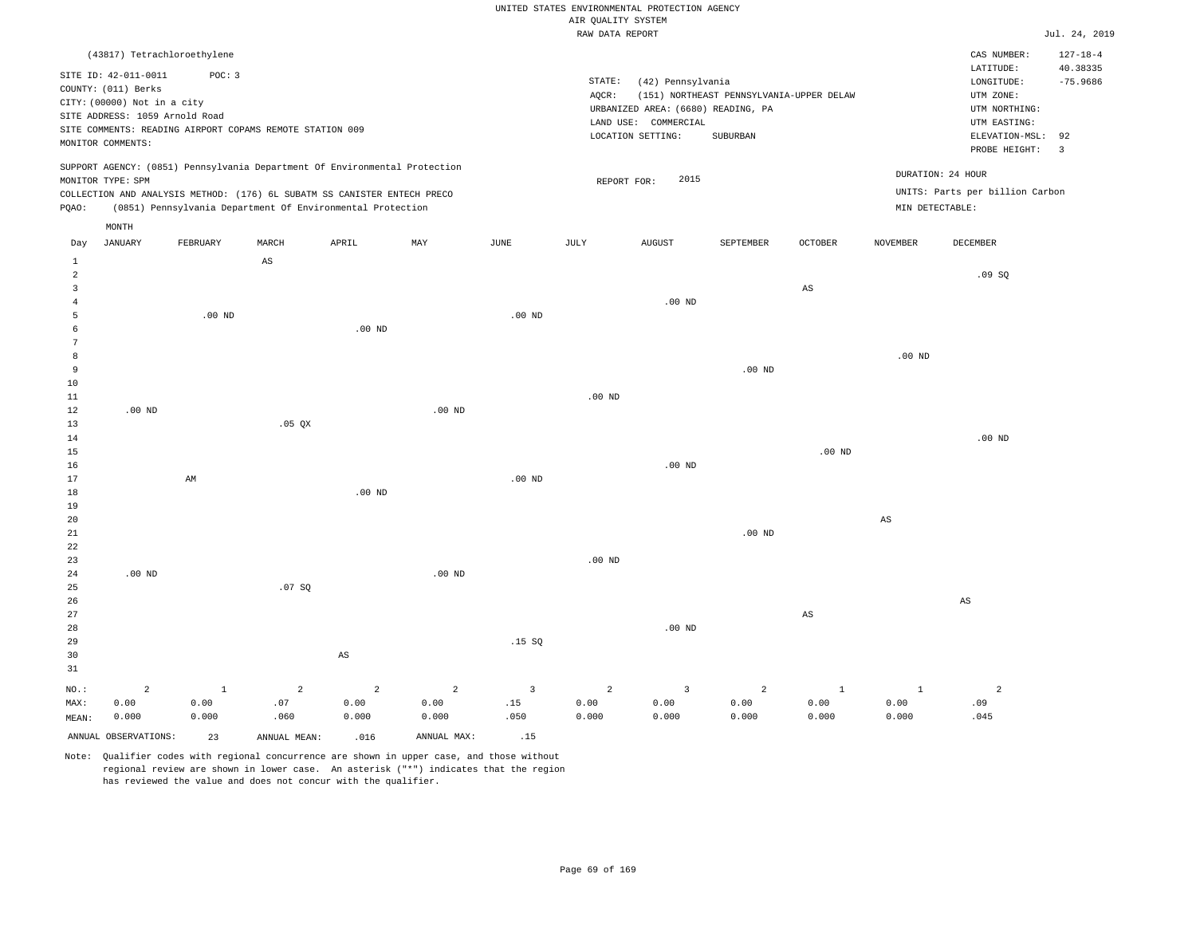|                                                                                                                                                                                                                                                             | RAW DATA REPORT                                                                                                                                                                 |                                                                                                                            | Jul. 24, 2019                                                       |
|-------------------------------------------------------------------------------------------------------------------------------------------------------------------------------------------------------------------------------------------------------------|---------------------------------------------------------------------------------------------------------------------------------------------------------------------------------|----------------------------------------------------------------------------------------------------------------------------|---------------------------------------------------------------------|
| (43817) Tetrachloroethylene<br>POC: 3<br>SITE ID: 42-011-0011<br>COUNTY: (011) Berks<br>CITY: (00000) Not in a city<br>SITE ADDRESS: 1059 Arnold Road<br>SITE COMMENTS: READING AIRPORT COPAMS REMOTE STATION 009<br>MONITOR COMMENTS:                      | STATE:<br>(42) Pennsylvania<br>AOCR:<br>(151) NORTHEAST PENNSYLVANIA-UPPER DELAW<br>URBANIZED AREA: (6680) READING, PA<br>LAND USE: COMMERCIAL<br>LOCATION SETTING:<br>SUBURBAN | CAS NUMBER:<br>LATITUDE:<br>LONGITUDE:<br>UTM ZONE:<br>UTM NORTHING:<br>UTM EASTING:<br>ELEVATION-MSL: 92<br>PROBE HEIGHT: | $127 - 18 - 4$<br>40.38335<br>$-75.9686$<br>$\overline{\mathbf{3}}$ |
| SUPPORT AGENCY: (0851) Pennsylvania Department Of Environmental Protection<br>MONITOR TYPE: SPM<br>COLLECTION AND ANALYSIS METHOD: (176) 6L SUBATM SS CANISTER ENTECH PRECO<br>(0851) Pennsylvania Department Of Environmental Protection<br>POAO:<br>MONTH | 2015<br>REPORT FOR:                                                                                                                                                             | DURATION: 24 HOUR<br>UNITS: Parts per billion Carbon<br>MIN DETECTABLE:                                                    |                                                                     |

| $\mathbf{1}$            |                      |              | AS           |                        |                |                         |            |                         |                |                        |                        |                          |
|-------------------------|----------------------|--------------|--------------|------------------------|----------------|-------------------------|------------|-------------------------|----------------|------------------------|------------------------|--------------------------|
| $\overline{\mathbf{c}}$ |                      |              |              |                        |                |                         |            |                         |                |                        |                        | .09SQ                    |
| 3                       |                      |              |              |                        |                |                         |            |                         |                | $_{\rm AS}$            |                        |                          |
| $\overline{4}$          |                      |              |              |                        |                |                         |            | $.00$ ND                |                |                        |                        |                          |
| 5                       |                      | $.00$ ND     |              |                        |                | $.00$ ND                |            |                         |                |                        |                        |                          |
| 6                       |                      |              |              | $.00$ ND               |                |                         |            |                         |                |                        |                        |                          |
| $7\phantom{.0}$         |                      |              |              |                        |                |                         |            |                         |                |                        |                        |                          |
| 8                       |                      |              |              |                        |                |                         |            |                         |                |                        | .00 <sub>ND</sub>      |                          |
| 9                       |                      |              |              |                        |                |                         |            |                         | $.00$ ND       |                        |                        |                          |
| 10                      |                      |              |              |                        |                |                         |            |                         |                |                        |                        |                          |
| 11                      |                      |              |              |                        |                |                         | $.00$ ND   |                         |                |                        |                        |                          |
| 12                      | $.00$ ND             |              |              |                        | $.00$ ND       |                         |            |                         |                |                        |                        |                          |
| 13                      |                      |              | .05 QX       |                        |                |                         |            |                         |                |                        |                        |                          |
| 14                      |                      |              |              |                        |                |                         |            |                         |                |                        |                        | .00 $ND$                 |
| 15                      |                      |              |              |                        |                |                         |            |                         |                | $.00$ ND               |                        |                          |
| 16                      |                      |              |              |                        |                |                         |            | $.00$ ND                |                |                        |                        |                          |
| 17                      |                      | $\mbox{AM}$  |              |                        |                | $.00$ ND                |            |                         |                |                        |                        |                          |
| 18                      |                      |              |              | .00 $ND$               |                |                         |            |                         |                |                        |                        |                          |
| 19                      |                      |              |              |                        |                |                         |            |                         |                |                        |                        |                          |
| 20                      |                      |              |              |                        |                |                         |            |                         |                |                        | $\mathbb{A}\mathbb{S}$ |                          |
| 21                      |                      |              |              |                        |                |                         |            |                         | $.00$ ND       |                        |                        |                          |
| 22                      |                      |              |              |                        |                |                         |            |                         |                |                        |                        |                          |
| 23                      |                      |              |              |                        |                |                         | $.00$ ND   |                         |                |                        |                        |                          |
| 24                      | .00 $ND$             |              |              |                        | $.00$ ND       |                         |            |                         |                |                        |                        |                          |
| 25                      |                      |              | .07 $SQ$     |                        |                |                         |            |                         |                |                        |                        |                          |
| 26                      |                      |              |              |                        |                |                         |            |                         |                |                        |                        | $\mathbb{A}\mathbb{S}$   |
| 27                      |                      |              |              |                        |                |                         |            |                         |                | $\mathbb{A}\mathbb{S}$ |                        |                          |
| 28                      |                      |              |              |                        |                |                         |            | $.00$ ND                |                |                        |                        |                          |
| 29                      |                      |              |              |                        |                | .15 SQ                  |            |                         |                |                        |                        |                          |
| 30                      |                      |              |              | $\mathbb{A}\mathbb{S}$ |                |                         |            |                         |                |                        |                        |                          |
| 31                      |                      |              |              |                        |                |                         |            |                         |                |                        |                        |                          |
| $_{\rm NO.}$ :          | $\mathbf{2}$         | $\mathbf{1}$ | $\sqrt{2}$   | $\overline{a}$         | $\overline{a}$ | $\overline{\mathbf{3}}$ | $\sqrt{2}$ | $\overline{\mathbf{3}}$ | $\overline{a}$ | $\mathbf{1}$           | $\mathbf{1}$           | $\overline{\phantom{a}}$ |
| MAX:                    | 0.00                 | 0.00         | $.07$        | 0.00                   | 0.00           | .15                     | 0.00       | 0.00                    | 0.00           | 0.00                   | 0.00                   | .09                      |
| MEAN:                   | 0.000                | 0.000        | .060         | 0.000                  | 0.000          | .050                    | 0.000      | 0.000                   | 0.000          | 0.000                  | 0.000                  | .045                     |
|                         | ANNUAL OBSERVATIONS: | 23           | ANNUAL MEAN: | .016                   | ANNUAL MAX:    | .15                     |            |                         |                |                        |                        |                          |

Day JANUARY FEBRUARY MARCH APRIL MAY JUNE JULY AUGUST SEPTEMBER OCTOBER NOVEMBER DECEMBER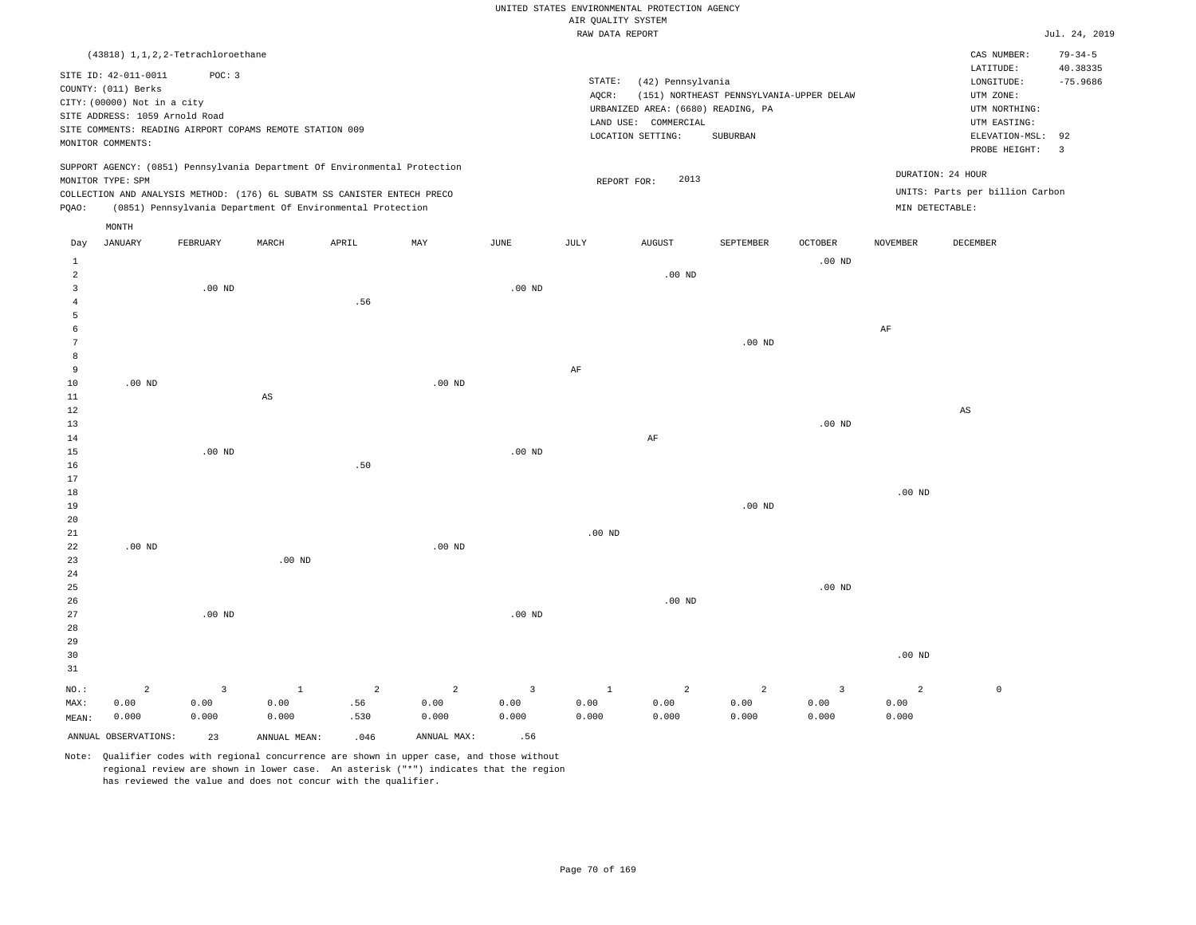|                                  |                                                               |                |                                                                                                                                        |            |                           |                   |                     | UNITED STATES ENVIRONMENTAL PROTECTION AGENCY |                                          |                   |                   |                                 |                           |
|----------------------------------|---------------------------------------------------------------|----------------|----------------------------------------------------------------------------------------------------------------------------------------|------------|---------------------------|-------------------|---------------------|-----------------------------------------------|------------------------------------------|-------------------|-------------------|---------------------------------|---------------------------|
|                                  |                                                               |                |                                                                                                                                        |            |                           |                   | AIR QUALITY SYSTEM  |                                               |                                          |                   |                   |                                 |                           |
|                                  |                                                               |                |                                                                                                                                        |            |                           |                   | RAW DATA REPORT     |                                               |                                          |                   |                   |                                 | Jul. 24, 2019             |
|                                  | $(43818)$ 1, 1, 2, 2-Tetrachloroethane                        |                |                                                                                                                                        |            |                           |                   |                     |                                               |                                          |                   |                   | CAS NUMBER:<br>LATITUDE:        | $79 - 34 - 5$<br>40.38335 |
|                                  | SITE ID: 42-011-0011                                          | POC: 3         |                                                                                                                                        |            |                           |                   | $\texttt{STATE}{}:$ | (42) Pennsylvania                             |                                          |                   |                   | LONGITUDE:                      | $-75.9686$                |
|                                  | COUNTY: (011) Berks                                           |                |                                                                                                                                        |            |                           |                   | AOCR:               |                                               | (151) NORTHEAST PENNSYLVANIA-UPPER DELAW |                   |                   | UTM ZONE:                       |                           |
|                                  | CITY: (00000) Not in a city<br>SITE ADDRESS: 1059 Arnold Road |                |                                                                                                                                        |            |                           |                   |                     | URBANIZED AREA: (6680) READING, PA            |                                          |                   |                   | UTM NORTHING:                   |                           |
|                                  |                                                               |                | SITE COMMENTS: READING AIRPORT COPAMS REMOTE STATION 009                                                                               |            |                           |                   |                     | LAND USE: COMMERCIAL                          |                                          |                   |                   | UTM EASTING:                    |                           |
|                                  | MONITOR COMMENTS:                                             |                |                                                                                                                                        |            |                           |                   |                     | LOCATION SETTING:                             | SUBURBAN                                 |                   |                   | ELEVATION-MSL:<br>PROBE HEIGHT: | 92<br>$\overline{3}$      |
|                                  |                                                               |                | SUPPORT AGENCY: (0851) Pennsylvania Department Of Environmental Protection                                                             |            |                           |                   |                     |                                               |                                          |                   |                   | DURATION: 24 HOUR               |                           |
|                                  | MONITOR TYPE: SPM                                             |                |                                                                                                                                        |            |                           |                   |                     | 2013<br>REPORT FOR:                           |                                          |                   |                   | UNITS: Parts per billion Carbon |                           |
| PQAO:                            |                                                               |                | COLLECTION AND ANALYSIS METHOD: (176) 6L SUBATM SS CANISTER ENTECH PRECO<br>(0851) Pennsylvania Department Of Environmental Protection |            |                           |                   |                     |                                               |                                          |                   | MIN DETECTABLE:   |                                 |                           |
|                                  | MONTH                                                         |                |                                                                                                                                        |            |                           |                   |                     |                                               |                                          |                   |                   |                                 |                           |
| Day                              | <b>JANUARY</b>                                                | FEBRUARY       | MARCH                                                                                                                                  | APRIL      | $\ensuremath{\text{MAX}}$ | $_{\rm JUNE}$     | JULY                | <b>AUGUST</b>                                 | SEPTEMBER                                | OCTOBER           | <b>NOVEMBER</b>   | DECEMBER                        |                           |
| 1                                |                                                               |                |                                                                                                                                        |            |                           |                   |                     |                                               |                                          | $.00$ ND          |                   |                                 |                           |
| $\overline{a}$<br>$\overline{3}$ |                                                               | $.00$ ND       |                                                                                                                                        |            |                           | $.00$ ND          |                     | $.00$ ND                                      |                                          |                   |                   |                                 |                           |
| $\overline{4}$                   |                                                               |                |                                                                                                                                        | .56        |                           |                   |                     |                                               |                                          |                   |                   |                                 |                           |
| 5                                |                                                               |                |                                                                                                                                        |            |                           |                   |                     |                                               |                                          |                   |                   |                                 |                           |
| 6                                |                                                               |                |                                                                                                                                        |            |                           |                   |                     |                                               |                                          |                   | $\rm{AF}$         |                                 |                           |
| $\overline{7}$                   |                                                               |                |                                                                                                                                        |            |                           |                   |                     |                                               | $.00$ ND                                 |                   |                   |                                 |                           |
| 8                                |                                                               |                |                                                                                                                                        |            |                           |                   |                     |                                               |                                          |                   |                   |                                 |                           |
| 9                                |                                                               |                |                                                                                                                                        |            |                           |                   | $\rm AF$            |                                               |                                          |                   |                   |                                 |                           |
| 10<br>$11\,$                     | $.00$ ND                                                      |                | $\mathbb{A}\mathbb{S}$                                                                                                                 |            | $.00$ ND                  |                   |                     |                                               |                                          |                   |                   |                                 |                           |
| 12                               |                                                               |                |                                                                                                                                        |            |                           |                   |                     |                                               |                                          |                   |                   | $\mathbb{A}\mathbb{S}$          |                           |
| 13                               |                                                               |                |                                                                                                                                        |            |                           |                   |                     |                                               |                                          | .00 <sub>ND</sub> |                   |                                 |                           |
| 14                               |                                                               |                |                                                                                                                                        |            |                           |                   |                     | AF                                            |                                          |                   |                   |                                 |                           |
| 15                               |                                                               | $.00$ ND       |                                                                                                                                        |            |                           | .00 <sub>ND</sub> |                     |                                               |                                          |                   |                   |                                 |                           |
| 16                               |                                                               |                |                                                                                                                                        | .50        |                           |                   |                     |                                               |                                          |                   |                   |                                 |                           |
| $17$                             |                                                               |                |                                                                                                                                        |            |                           |                   |                     |                                               |                                          |                   |                   |                                 |                           |
| 18<br>19                         |                                                               |                |                                                                                                                                        |            |                           |                   |                     |                                               | $.00$ ND                                 |                   | .00 <sub>ND</sub> |                                 |                           |
| 20                               |                                                               |                |                                                                                                                                        |            |                           |                   |                     |                                               |                                          |                   |                   |                                 |                           |
| 21                               |                                                               |                |                                                                                                                                        |            |                           |                   | $.00$ ND            |                                               |                                          |                   |                   |                                 |                           |
| 22                               | $.00$ ND                                                      |                |                                                                                                                                        |            | $.00$ ND                  |                   |                     |                                               |                                          |                   |                   |                                 |                           |
| 23                               |                                                               |                | .00 <sub>ND</sub>                                                                                                                      |            |                           |                   |                     |                                               |                                          |                   |                   |                                 |                           |
| 24                               |                                                               |                |                                                                                                                                        |            |                           |                   |                     |                                               |                                          |                   |                   |                                 |                           |
| 25                               |                                                               |                |                                                                                                                                        |            |                           |                   |                     |                                               |                                          | $.00$ ND          |                   |                                 |                           |
| 26<br>27                         |                                                               | $.00$ ND       |                                                                                                                                        |            |                           | $.00$ ND          |                     | $.00$ ND                                      |                                          |                   |                   |                                 |                           |
| 28                               |                                                               |                |                                                                                                                                        |            |                           |                   |                     |                                               |                                          |                   |                   |                                 |                           |
| 29                               |                                                               |                |                                                                                                                                        |            |                           |                   |                     |                                               |                                          |                   |                   |                                 |                           |
| 30                               |                                                               |                |                                                                                                                                        |            |                           |                   |                     |                                               |                                          |                   | $.00$ ND          |                                 |                           |
| 31                               |                                                               |                |                                                                                                                                        |            |                           |                   |                     |                                               |                                          |                   |                   |                                 |                           |
| NO.:                             | $\overline{a}$                                                | $\overline{3}$ | $\,$ 1                                                                                                                                 | $\sqrt{2}$ | $\overline{a}$            | $\overline{3}$    | $1\,$               | $\overline{a}$                                | $\overline{a}$                           | $\overline{3}$    | $\overline{a}$    | $\mathbb O$                     |                           |
| MAX:                             | 0.00                                                          | 0.00           | 0.00                                                                                                                                   | .56        | 0.00                      | 0.00              | 0.00                | 0.00                                          | 0.00                                     | 0.00              | 0.00              |                                 |                           |
| MEAN:                            | 0.000                                                         | 0.000          | 0.000                                                                                                                                  | .530       | 0.000                     | 0.000             | 0.000               | 0.000                                         | 0.000                                    | 0.000             | 0.000             |                                 |                           |
|                                  | ANNUAL OBSERVATIONS:                                          | 23             | ANNUAL, MEAN:                                                                                                                          | .046       | ANNUAL MAX:               | .56               |                     |                                               |                                          |                   |                   |                                 |                           |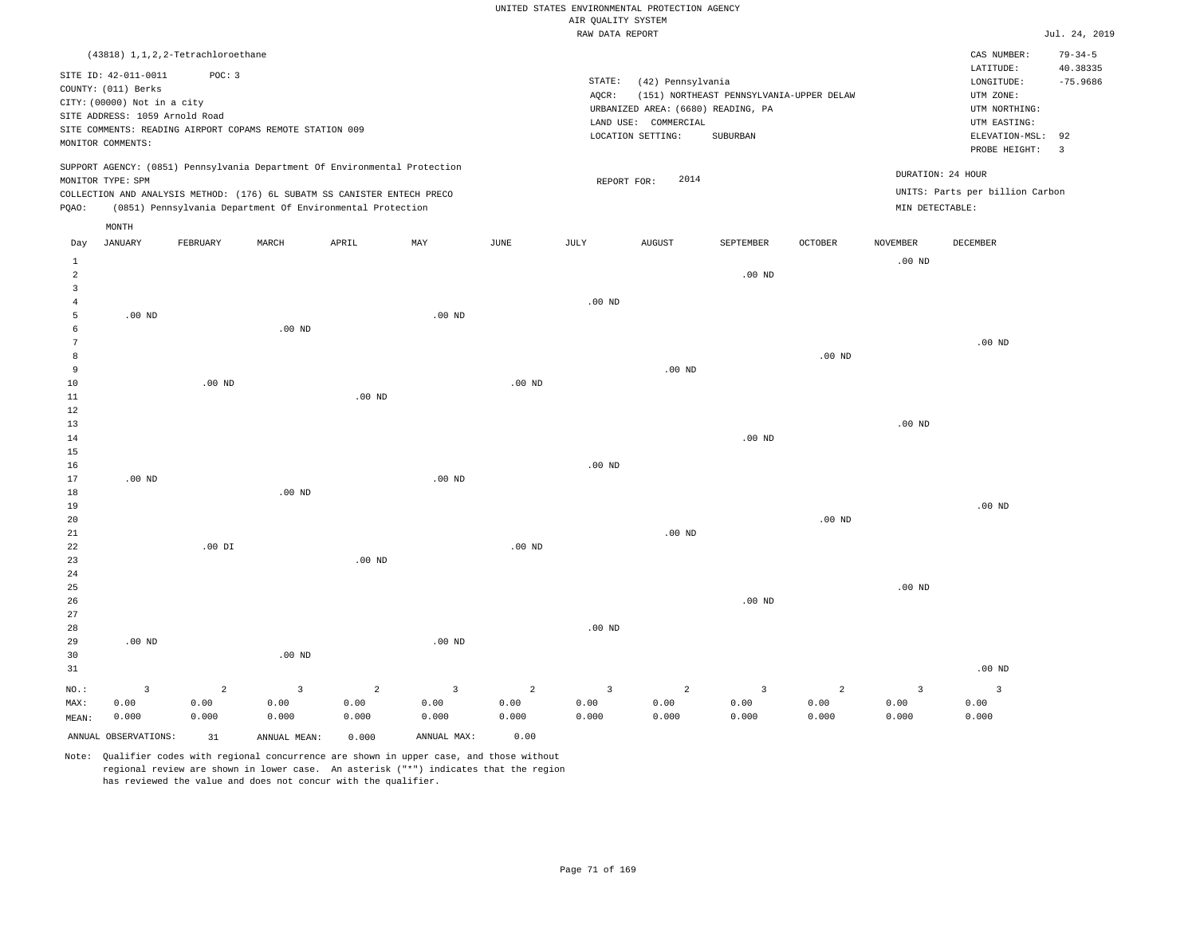|                                                                                                                                                                             |                                                                                                                                   |                                 |                                                            |                                 |                                          |                                 | UNITED STATES ENVIRONMENTAL PROTECTION AGENCY<br>AIR QUALITY SYSTEM                            |                                                                                                      |                                                      |                                 |                                          |                                                                                             |                                    |
|-----------------------------------------------------------------------------------------------------------------------------------------------------------------------------|-----------------------------------------------------------------------------------------------------------------------------------|---------------------------------|------------------------------------------------------------|---------------------------------|------------------------------------------|---------------------------------|------------------------------------------------------------------------------------------------|------------------------------------------------------------------------------------------------------|------------------------------------------------------|---------------------------------|------------------------------------------|---------------------------------------------------------------------------------------------|------------------------------------|
|                                                                                                                                                                             |                                                                                                                                   |                                 |                                                            |                                 |                                          |                                 | RAW DATA REPORT                                                                                |                                                                                                      |                                                      |                                 |                                          |                                                                                             | Jul. 24, 2019                      |
|                                                                                                                                                                             | (43818) 1, 1, 2, 2-Tetrachloroethane                                                                                              |                                 |                                                            |                                 |                                          |                                 |                                                                                                |                                                                                                      |                                                      |                                 |                                          | CAS NUMBER:<br>LATITUDE:                                                                    | $79 - 34 - 5$<br>40.38335          |
|                                                                                                                                                                             | SITE ID: 42-011-0011<br>COUNTY: (011) Berks<br>CITY: (00000) Not in a city<br>SITE ADDRESS: 1059 Arnold Road<br>MONITOR COMMENTS: | POC: 3                          | SITE COMMENTS: READING AIRPORT COPAMS REMOTE STATION 009   |                                 |                                          |                                 | STATE:<br>AQCR:                                                                                | (42) Pennsylvania<br>URBANIZED AREA: (6680) READING, PA<br>LAND USE: COMMERCIAL<br>LOCATION SETTING: | (151) NORTHEAST PENNSYLVANIA-UPPER DELAW<br>SUBURBAN |                                 |                                          | LONGITUDE:<br>UTM ZONE:<br>UTM NORTHING:<br>UTM EASTING:<br>ELEVATION-MSL:<br>PROBE HEIGHT: | $-75.9686$<br>92<br>$\overline{3}$ |
| SUPPORT AGENCY: (0851) Pennsylvania Department Of Environmental Protection<br>MONITOR TYPE: SPM<br>COLLECTION AND ANALYSIS METHOD: (176) 6L SUBATM SS CANISTER ENTECH PRECO |                                                                                                                                   |                                 |                                                            |                                 |                                          |                                 | DURATION: 24 HOUR<br>2014<br>REPORT FOR:<br>UNITS: Parts per billion Carbon<br>MIN DETECTABLE: |                                                                                                      |                                                      |                                 |                                          |                                                                                             |                                    |
| PQAO:                                                                                                                                                                       |                                                                                                                                   |                                 | (0851) Pennsylvania Department Of Environmental Protection |                                 |                                          |                                 |                                                                                                |                                                                                                      |                                                      |                                 |                                          |                                                                                             |                                    |
| Day                                                                                                                                                                         | MONTH<br><b>JANUARY</b>                                                                                                           | FEBRUARY                        | MARCH                                                      | APRIL                           | MAX                                      | <b>JUNE</b>                     | <b>JULY</b>                                                                                    | <b>AUGUST</b>                                                                                        | SEPTEMBER                                            | <b>OCTOBER</b>                  | <b>NOVEMBER</b>                          | DECEMBER                                                                                    |                                    |
| $\mathbf 1$<br>2                                                                                                                                                            |                                                                                                                                   |                                 |                                                            |                                 |                                          |                                 |                                                                                                |                                                                                                      | $.00$ ND                                             |                                 | $.00$ ND                                 |                                                                                             |                                    |
| $\overline{3}$<br>$\overline{4}$<br>5                                                                                                                                       | $.00$ ND                                                                                                                          |                                 |                                                            |                                 | .00 <sub>ND</sub>                        |                                 | $.00$ ND                                                                                       |                                                                                                      |                                                      |                                 |                                          |                                                                                             |                                    |
| 6<br>$\overline{7}$                                                                                                                                                         |                                                                                                                                   |                                 | $.00$ ND                                                   |                                 |                                          |                                 |                                                                                                |                                                                                                      |                                                      |                                 |                                          | .00 <sub>ND</sub>                                                                           |                                    |
| 8<br>9<br>$10$                                                                                                                                                              |                                                                                                                                   | $.00$ ND                        |                                                            |                                 |                                          | $.00$ ND                        |                                                                                                | $.00$ ND                                                                                             |                                                      | .00 <sub>ND</sub>               |                                          |                                                                                             |                                    |
| $1\,1$<br>12                                                                                                                                                                |                                                                                                                                   |                                 |                                                            | .00 <sub>ND</sub>               |                                          |                                 |                                                                                                |                                                                                                      |                                                      |                                 |                                          |                                                                                             |                                    |
| 13<br>14<br>15                                                                                                                                                              |                                                                                                                                   |                                 |                                                            |                                 |                                          |                                 |                                                                                                |                                                                                                      | .00 <sub>ND</sub>                                    |                                 | $.00$ ND                                 |                                                                                             |                                    |
| 16<br>17                                                                                                                                                                    | $.00$ ND                                                                                                                          |                                 |                                                            |                                 | $.00$ ND                                 |                                 | $.00$ ND                                                                                       |                                                                                                      |                                                      |                                 |                                          |                                                                                             |                                    |
| $1\,8$<br>19<br>20                                                                                                                                                          |                                                                                                                                   |                                 | .00 <sub>ND</sub>                                          |                                 |                                          |                                 |                                                                                                |                                                                                                      |                                                      | $.00$ ND                        |                                          | $.00$ ND                                                                                    |                                    |
| 21<br>$\bf{22}$                                                                                                                                                             |                                                                                                                                   | $.00$ DI                        |                                                            |                                 |                                          | $.00$ ND                        |                                                                                                | .00 <sub>ND</sub>                                                                                    |                                                      |                                 |                                          |                                                                                             |                                    |
| 23<br>24<br>25                                                                                                                                                              |                                                                                                                                   |                                 |                                                            | $.00$ ND                        |                                          |                                 |                                                                                                |                                                                                                      |                                                      |                                 | $.00$ ND                                 |                                                                                             |                                    |
| 26<br>27                                                                                                                                                                    |                                                                                                                                   |                                 |                                                            |                                 |                                          |                                 |                                                                                                |                                                                                                      | $.00$ ND                                             |                                 |                                          |                                                                                             |                                    |
| 28<br>29<br>30                                                                                                                                                              | $.00$ ND                                                                                                                          |                                 | $.00$ ND                                                   |                                 | .00 <sub>ND</sub>                        |                                 | .00 <sub>ND</sub>                                                                              |                                                                                                      |                                                      |                                 |                                          |                                                                                             |                                    |
| 31                                                                                                                                                                          |                                                                                                                                   |                                 |                                                            |                                 |                                          |                                 |                                                                                                |                                                                                                      |                                                      |                                 |                                          | $.00$ ND                                                                                    |                                    |
| $NO.$ :<br>MAX:<br>MEAN:                                                                                                                                                    | $\overline{\mathbf{3}}$<br>0.00<br>0.000                                                                                          | $\overline{a}$<br>0.00<br>0.000 | $\overline{3}$<br>0.00<br>0.000                            | $\overline{a}$<br>0.00<br>0.000 | $\overline{\mathbf{3}}$<br>0.00<br>0.000 | $\overline{a}$<br>0.00<br>0.000 | $\overline{\mathbf{3}}$<br>0.00<br>0.000                                                       | $\overline{a}$<br>0.00<br>0.000                                                                      | $\overline{3}$<br>0.00<br>0.000                      | $\overline{a}$<br>0.00<br>0.000 | $\overline{\mathbf{3}}$<br>0.00<br>0.000 | $\overline{\mathbf{3}}$<br>0.00<br>0.000                                                    |                                    |
|                                                                                                                                                                             | ANNUAL OBSERVATIONS:                                                                                                              | 31                              | ANNUAL, MEAN:                                              | 0.000                           | ANNUAL MAX:                              | 0.00                            |                                                                                                |                                                                                                      |                                                      |                                 |                                          |                                                                                             |                                    |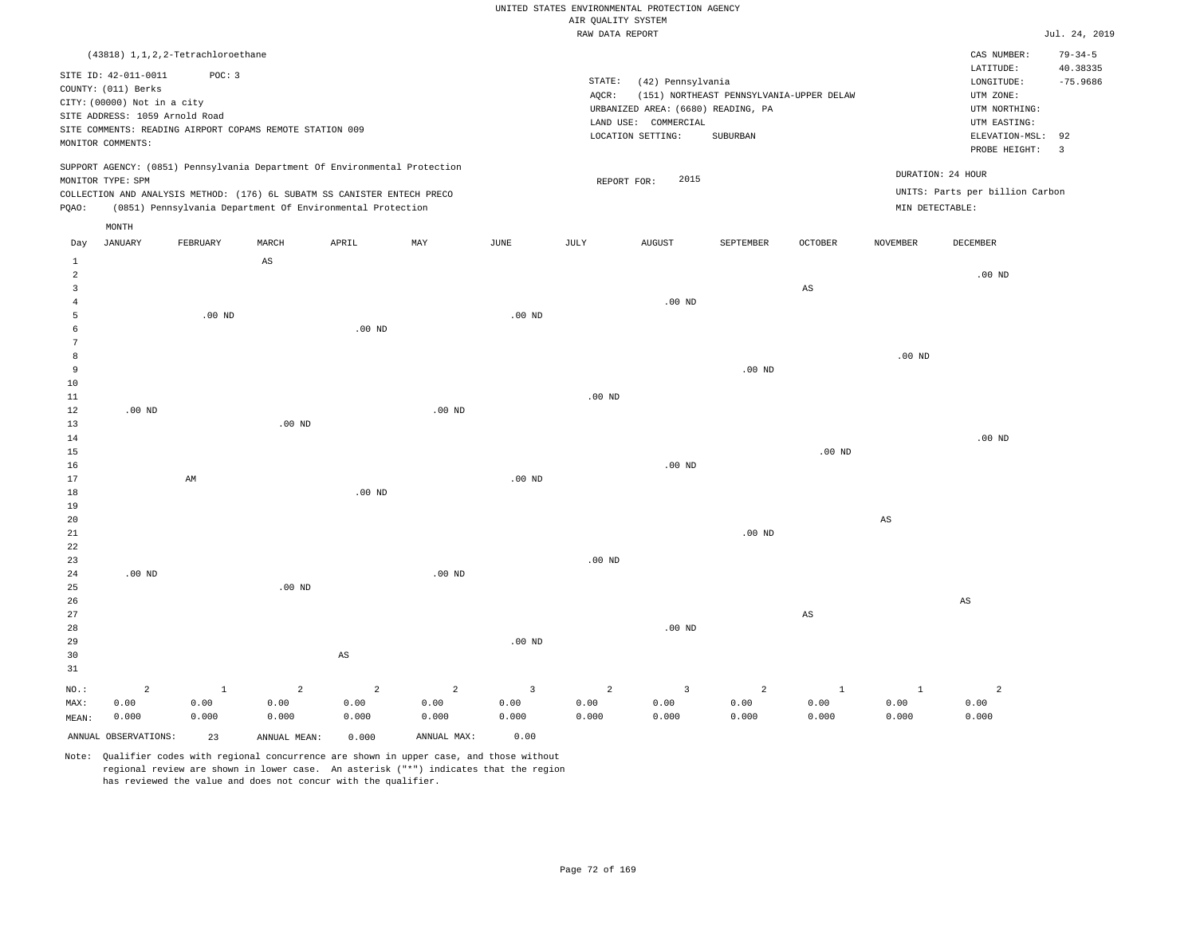UNITED STATES ENVIRONMENTAL PROTECTION AGENCY AIR QUALITY SYSTEM

|                                                                    |                                                                                                                                   |                                        |                                                                                                                                                                                                                      |                   |          |                   | RAW DATA REPORT |                                                                                                      |                                                      |                   |                        |                                                                                             | Jul. 24, 2019                                |
|--------------------------------------------------------------------|-----------------------------------------------------------------------------------------------------------------------------------|----------------------------------------|----------------------------------------------------------------------------------------------------------------------------------------------------------------------------------------------------------------------|-------------------|----------|-------------------|-----------------|------------------------------------------------------------------------------------------------------|------------------------------------------------------|-------------------|------------------------|---------------------------------------------------------------------------------------------|----------------------------------------------|
|                                                                    |                                                                                                                                   | $(43818)$ 1, 1, 2, 2-Tetrachloroethane |                                                                                                                                                                                                                      |                   |          |                   |                 |                                                                                                      |                                                      |                   |                        | CAS NUMBER:<br>LATITUDE:                                                                    | $79 - 34 - 5$<br>40.38335                    |
|                                                                    | SITE ID: 42-011-0011<br>COUNTY: (011) Berks<br>CITY: (00000) Not in a city<br>SITE ADDRESS: 1059 Arnold Road<br>MONITOR COMMENTS: | POC: 3                                 | SITE COMMENTS: READING AIRPORT COPAMS REMOTE STATION 009                                                                                                                                                             |                   |          |                   | STATE:<br>AQCR: | (42) Pennsylvania<br>URBANIZED AREA: (6680) READING, PA<br>LAND USE: COMMERCIAL<br>LOCATION SETTING: | (151) NORTHEAST PENNSYLVANIA-UPPER DELAW<br>SUBURBAN |                   |                        | LONGITUDE:<br>UTM ZONE:<br>UTM NORTHING:<br>UTM EASTING:<br>ELEVATION-MSL:<br>PROBE HEIGHT: | $-75.9686$<br>92<br>$\overline{\phantom{a}}$ |
| PQAO:                                                              | MONITOR TYPE: SPM                                                                                                                 |                                        | SUPPORT AGENCY: (0851) Pennsylvania Department Of Environmental Protection<br>COLLECTION AND ANALYSIS METHOD: (176) 6L SUBATM SS CANISTER ENTECH PRECO<br>(0851) Pennsylvania Department Of Environmental Protection |                   |          |                   | REPORT FOR:     | 2015                                                                                                 |                                                      |                   | MIN DETECTABLE:        | DURATION: 24 HOUR<br>UNITS: Parts per billion Carbon                                        |                                              |
|                                                                    | MONTH                                                                                                                             |                                        |                                                                                                                                                                                                                      |                   |          |                   |                 |                                                                                                      |                                                      |                   |                        |                                                                                             |                                              |
| Day                                                                | JANUARY                                                                                                                           | FEBRUARY                               | MARCH                                                                                                                                                                                                                | APRIL             | MAY      | JUNE              | JULY            | <b>AUGUST</b>                                                                                        | SEPTEMBER                                            | <b>OCTOBER</b>    | <b>NOVEMBER</b>        | <b>DECEMBER</b>                                                                             |                                              |
| $\mathbf{1}$<br>$\overline{a}$<br>$\overline{3}$<br>$\overline{4}$ |                                                                                                                                   |                                        | $\mathbb{A}\mathbb{S}$                                                                                                                                                                                               |                   |          |                   |                 | $.00$ ND                                                                                             |                                                      | AS                |                        | $.00$ ND                                                                                    |                                              |
| 5<br>6<br>7                                                        |                                                                                                                                   | $.00$ ND                               |                                                                                                                                                                                                                      | .00 <sub>ND</sub> |          | $.00$ ND          |                 |                                                                                                      |                                                      |                   |                        |                                                                                             |                                              |
| 8<br>9<br>10                                                       |                                                                                                                                   |                                        |                                                                                                                                                                                                                      |                   |          |                   |                 |                                                                                                      | $.00$ ND                                             |                   | $.00$ ND               |                                                                                             |                                              |
| 11<br>12<br>13                                                     | $.00$ ND                                                                                                                          |                                        | $.00$ ND                                                                                                                                                                                                             |                   | $.00$ ND |                   | $.00$ ND        |                                                                                                      |                                                      |                   |                        |                                                                                             |                                              |
| 14<br>15<br>16                                                     |                                                                                                                                   |                                        |                                                                                                                                                                                                                      |                   |          |                   |                 | $.00$ ND                                                                                             |                                                      | .00 <sub>ND</sub> |                        | $.00$ ND                                                                                    |                                              |
| 17<br>18<br>19                                                     |                                                                                                                                   | AM                                     |                                                                                                                                                                                                                      | $.00$ ND          |          | .00 <sub>ND</sub> |                 |                                                                                                      |                                                      |                   |                        |                                                                                             |                                              |
| 20<br>21<br>22<br>23                                               |                                                                                                                                   |                                        |                                                                                                                                                                                                                      |                   |          |                   | $.00$ ND        |                                                                                                      | $.00$ ND                                             |                   | $\mathbb{A}\mathbb{S}$ |                                                                                             |                                              |
| 24<br>25<br>26                                                     | $.00$ ND                                                                                                                          |                                        | $.00$ ND                                                                                                                                                                                                             |                   | $.00$ ND |                   |                 |                                                                                                      |                                                      |                   |                        | $\mathbb{A}\mathbb{S}$                                                                      |                                              |
| 27<br>28<br>29                                                     |                                                                                                                                   |                                        |                                                                                                                                                                                                                      |                   |          | $.00$ ND          |                 | $.00$ ND                                                                                             |                                                      | $_{\rm AS}$       |                        |                                                                                             |                                              |
| 30<br>31                                                           |                                                                                                                                   |                                        |                                                                                                                                                                                                                      | AS                |          |                   |                 |                                                                                                      |                                                      |                   |                        |                                                                                             |                                              |

NO.: MAX: MEAN: 2 0.00 0.000 1 0.00 0.000 2 0.00 0.000 2 0.00 0.000 2 0.00 0.000 3 0.00 0.000 2 0.00 0.000 3 0.00 0.000 2 0.00 0.000 1 0.00 0.000  $1$  0.00 0.000 2 0.00 0.000 ANNUAL OBSERVATIONS: 23 ANNUAL MEAN: 0.000 ANNUAL MAX: 0.00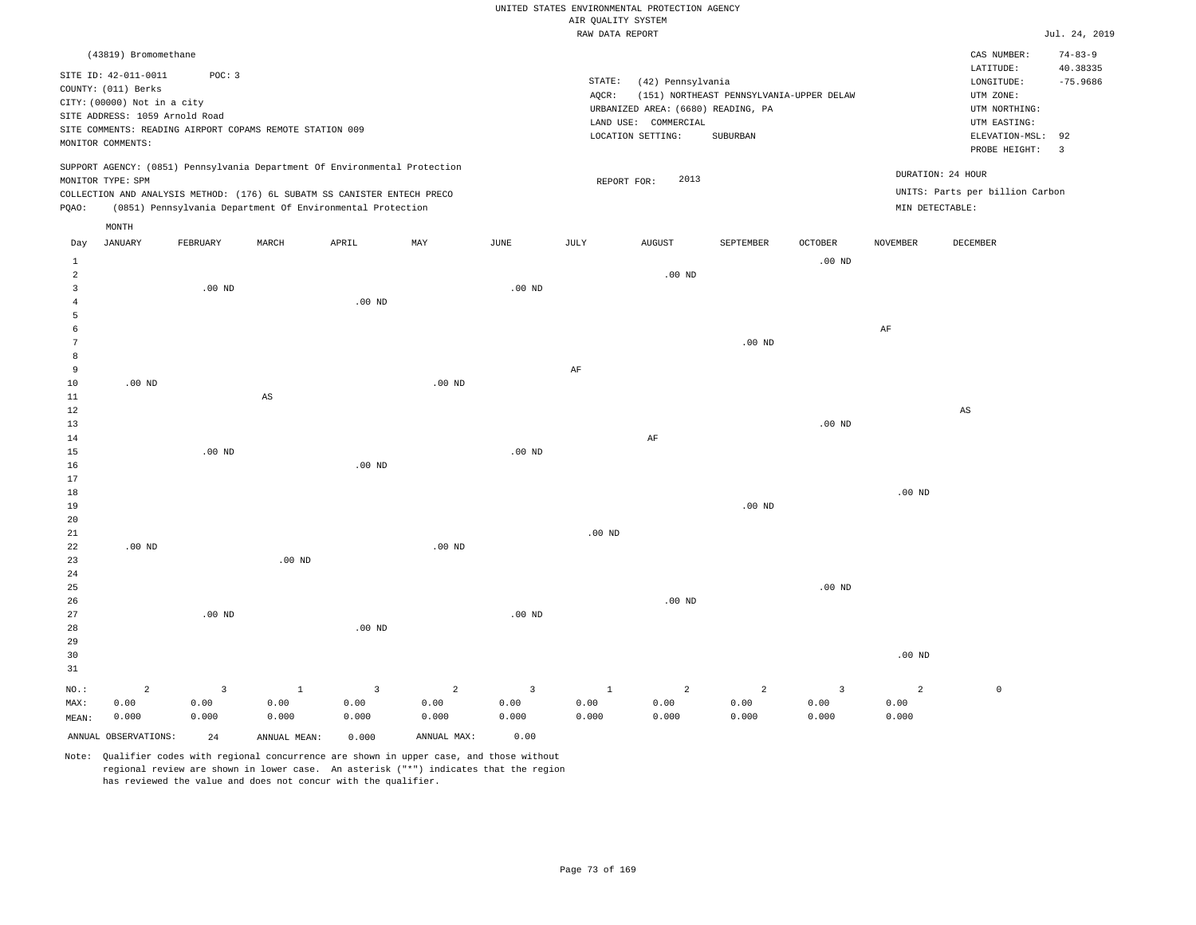|                |                                |          |                                                                            |                   |                |                |                    | UNITED STATES ENVIRONMENTAL PROTECTION AGENCY |                                          |                   |                 |                                 |                |
|----------------|--------------------------------|----------|----------------------------------------------------------------------------|-------------------|----------------|----------------|--------------------|-----------------------------------------------|------------------------------------------|-------------------|-----------------|---------------------------------|----------------|
|                |                                |          |                                                                            |                   |                |                | AIR QUALITY SYSTEM |                                               |                                          |                   |                 |                                 |                |
|                |                                |          |                                                                            |                   |                |                | RAW DATA REPORT    |                                               |                                          |                   |                 |                                 | Jul. 24, 2019  |
|                | (43819) Bromomethane           |          |                                                                            |                   |                |                |                    |                                               |                                          |                   |                 | CAS NUMBER:                     | $74 - 83 - 9$  |
|                | SITE ID: 42-011-0011           | POC: 3   |                                                                            |                   |                |                |                    |                                               |                                          |                   |                 | LATITUDE:                       | 40.38335       |
|                | COUNTY: (011) Berks            |          |                                                                            |                   |                |                | STATE:             | (42) Pennsylvania                             |                                          |                   |                 | LONGITUDE:                      | $-75.9686$     |
|                | CITY: (00000) Not in a city    |          |                                                                            |                   |                |                | AQCR:              | URBANIZED AREA: (6680) READING, PA            | (151) NORTHEAST PENNSYLVANIA-UPPER DELAW |                   |                 | UTM ZONE:<br>UTM NORTHING:      |                |
|                | SITE ADDRESS: 1059 Arnold Road |          |                                                                            |                   |                |                |                    | LAND USE: COMMERCIAL                          |                                          |                   |                 | UTM EASTING:                    |                |
|                |                                |          | SITE COMMENTS: READING AIRPORT COPAMS REMOTE STATION 009                   |                   |                |                |                    | LOCATION SETTING:                             | SUBURBAN                                 |                   |                 | ELEVATION-MSL:                  | 92             |
|                | MONITOR COMMENTS:              |          |                                                                            |                   |                |                |                    |                                               |                                          |                   |                 | PROBE HEIGHT:                   | $\overline{3}$ |
|                |                                |          | SUPPORT AGENCY: (0851) Pennsylvania Department Of Environmental Protection |                   |                |                |                    |                                               |                                          |                   |                 |                                 |                |
|                | MONITOR TYPE: SPM              |          |                                                                            |                   |                |                |                    | 2013<br>REPORT FOR:                           |                                          |                   |                 | DURATION: 24 HOUR               |                |
|                |                                |          | COLLECTION AND ANALYSIS METHOD: (176) 6L SUBATM SS CANISTER ENTECH PRECO   |                   |                |                |                    |                                               |                                          |                   |                 | UNITS: Parts per billion Carbon |                |
| PQAO:          |                                |          | (0851) Pennsylvania Department Of Environmental Protection                 |                   |                |                |                    |                                               |                                          |                   | MIN DETECTABLE: |                                 |                |
|                | MONTH                          |          |                                                                            |                   |                |                |                    |                                               |                                          |                   |                 |                                 |                |
| Day            | <b>JANUARY</b>                 | FEBRUARY | MARCH                                                                      | APRIL             | MAY            | JUNE           | JULY               | <b>AUGUST</b>                                 | SEPTEMBER                                | <b>OCTOBER</b>    | <b>NOVEMBER</b> | DECEMBER                        |                |
| 1              |                                |          |                                                                            |                   |                |                |                    |                                               |                                          | .00 <sub>ND</sub> |                 |                                 |                |
| $\overline{a}$ |                                |          |                                                                            |                   |                |                |                    | $.00$ ND                                      |                                          |                   |                 |                                 |                |
| $\overline{3}$ |                                | $.00$ ND |                                                                            |                   |                | $.00$ ND       |                    |                                               |                                          |                   |                 |                                 |                |
| $\overline{4}$ |                                |          |                                                                            | .00 <sub>ND</sub> |                |                |                    |                                               |                                          |                   |                 |                                 |                |
| 5              |                                |          |                                                                            |                   |                |                |                    |                                               |                                          |                   |                 |                                 |                |
| 6              |                                |          |                                                                            |                   |                |                |                    |                                               |                                          |                   | AF              |                                 |                |
| $\overline{7}$ |                                |          |                                                                            |                   |                |                |                    |                                               | .00 <sub>ND</sub>                        |                   |                 |                                 |                |
| 8              |                                |          |                                                                            |                   |                |                |                    |                                               |                                          |                   |                 |                                 |                |
| 9<br>$10$      | $.00$ ND                       |          |                                                                            |                   | $.00$ ND       |                | AF                 |                                               |                                          |                   |                 |                                 |                |
| $1\,1$         |                                |          | $\mathbb{A}\mathbb{S}$                                                     |                   |                |                |                    |                                               |                                          |                   |                 |                                 |                |
| 12             |                                |          |                                                                            |                   |                |                |                    |                                               |                                          |                   |                 | $\mathbb{A}\mathbb{S}$          |                |
| 13             |                                |          |                                                                            |                   |                |                |                    |                                               |                                          | .00 <sub>ND</sub> |                 |                                 |                |
| 14             |                                |          |                                                                            |                   |                |                |                    | AF                                            |                                          |                   |                 |                                 |                |
| 15             |                                | $.00$ ND |                                                                            |                   |                | $.00$ ND       |                    |                                               |                                          |                   |                 |                                 |                |
| 16             |                                |          |                                                                            | $.00$ ND          |                |                |                    |                                               |                                          |                   |                 |                                 |                |
| 17             |                                |          |                                                                            |                   |                |                |                    |                                               |                                          |                   |                 |                                 |                |
| $18$           |                                |          |                                                                            |                   |                |                |                    |                                               |                                          |                   | $.00$ ND        |                                 |                |
| 19             |                                |          |                                                                            |                   |                |                |                    |                                               | .00 <sub>ND</sub>                        |                   |                 |                                 |                |
| 20             |                                |          |                                                                            |                   |                |                |                    |                                               |                                          |                   |                 |                                 |                |
| 21             |                                |          |                                                                            |                   |                |                | $.00$ ND           |                                               |                                          |                   |                 |                                 |                |
| 22             | $.00$ ND                       |          |                                                                            |                   | $.00$ ND       |                |                    |                                               |                                          |                   |                 |                                 |                |
| 23             |                                |          | .00 <sub>ND</sub>                                                          |                   |                |                |                    |                                               |                                          |                   |                 |                                 |                |
| 24             |                                |          |                                                                            |                   |                |                |                    |                                               |                                          |                   |                 |                                 |                |
| 25             |                                |          |                                                                            |                   |                |                |                    |                                               |                                          | $.00$ ND          |                 |                                 |                |
| 26<br>27       |                                | $.00$ ND |                                                                            |                   |                | $.00$ ND       |                    | $.00$ ND                                      |                                          |                   |                 |                                 |                |
| 28             |                                |          |                                                                            | .00 <sub>ND</sub> |                |                |                    |                                               |                                          |                   |                 |                                 |                |
| 29             |                                |          |                                                                            |                   |                |                |                    |                                               |                                          |                   |                 |                                 |                |
| 30             |                                |          |                                                                            |                   |                |                |                    |                                               |                                          |                   | $.00$ ND        |                                 |                |
| 31             |                                |          |                                                                            |                   |                |                |                    |                                               |                                          |                   |                 |                                 |                |
| NO.:           | $\overline{a}$                 | 3        | $\mathbf{1}$                                                               | $\overline{3}$    | $\overline{c}$ | $\overline{3}$ | $\mathbf{1}$       | 2                                             | $\overline{2}$                           | $\overline{3}$    | $\overline{a}$  | $\mathbb O$                     |                |
| MAX:           | 0.00                           | 0.00     | 0.00                                                                       | 0.00              | 0.00           | 0.00           | 0.00               | 0.00                                          | 0.00                                     | 0.00              | 0.00            |                                 |                |
| MEAN:          | 0.000                          | 0.000    | 0.000                                                                      | 0.000             | 0.000          | 0.000          | 0.000              | 0.000                                         | 0.000                                    | 0.000             | 0.000           |                                 |                |
|                | ANNUAL OBSERVATIONS:           |          |                                                                            |                   | ANNUAL MAX:    | 0.00           |                    |                                               |                                          |                   |                 |                                 |                |
|                |                                | 2.4      | ANNUAL MEAN:                                                               | 0.000             |                |                |                    |                                               |                                          |                   |                 |                                 |                |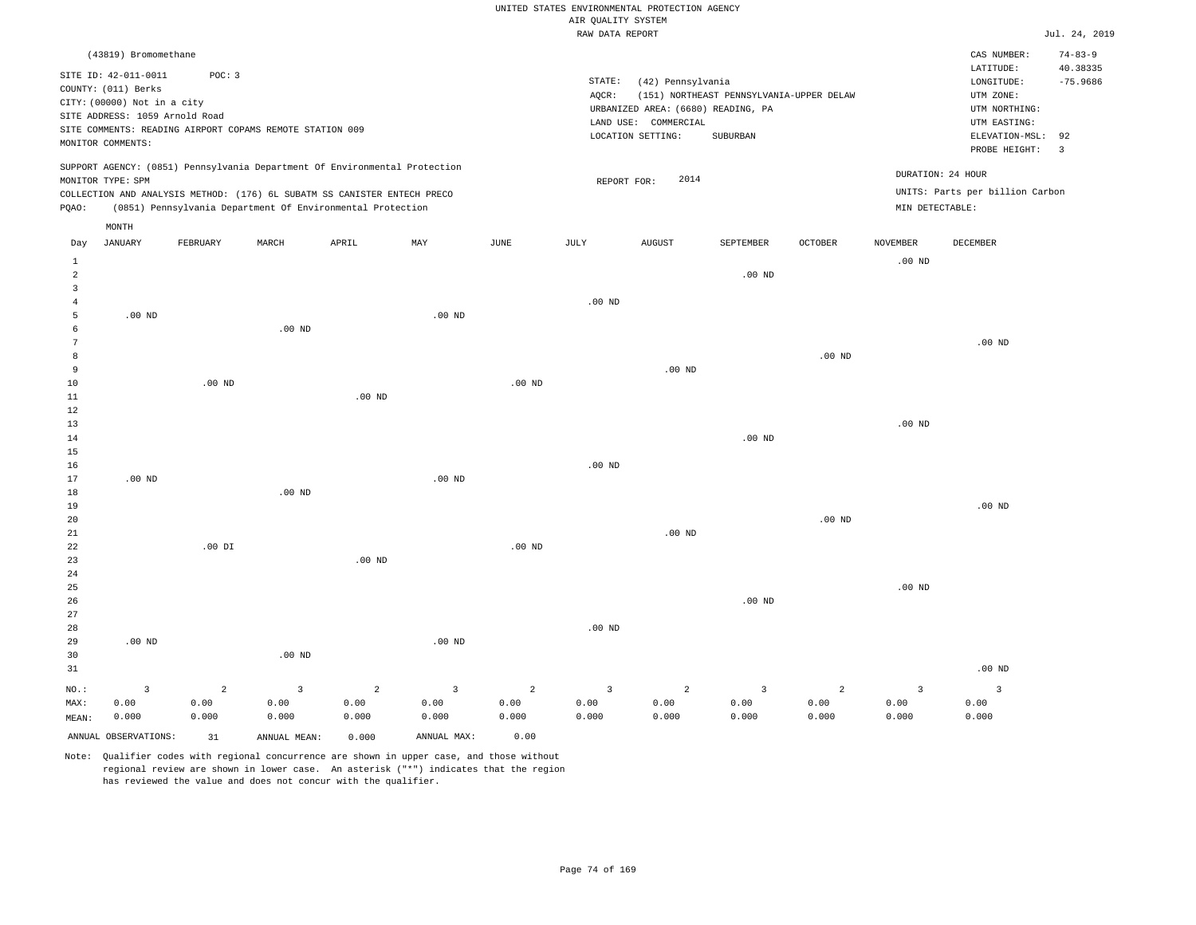|                                  |                                                                                                                                   |                |                                                                                                                                        |                   |                   |                   | AIR QUALITY SYSTEM              | UNITED STATES ENVIRONMENTAL PROTECTION AGENCY                                                        |                                                      |                   |                   |                                                                                             |                                    |
|----------------------------------|-----------------------------------------------------------------------------------------------------------------------------------|----------------|----------------------------------------------------------------------------------------------------------------------------------------|-------------------|-------------------|-------------------|---------------------------------|------------------------------------------------------------------------------------------------------|------------------------------------------------------|-------------------|-------------------|---------------------------------------------------------------------------------------------|------------------------------------|
|                                  |                                                                                                                                   |                |                                                                                                                                        |                   |                   |                   | RAW DATA REPORT                 |                                                                                                      |                                                      |                   |                   |                                                                                             | Jul. 24, 2019                      |
|                                  | (43819) Bromomethane                                                                                                              |                |                                                                                                                                        |                   |                   |                   |                                 |                                                                                                      |                                                      |                   |                   | CAS NUMBER:<br>LATITUDE:                                                                    | $74 - 83 - 9$<br>40.38335          |
|                                  | SITE ID: 42-011-0011<br>COUNTY: (011) Berks<br>CITY: (00000) Not in a city<br>SITE ADDRESS: 1059 Arnold Road<br>MONITOR COMMENTS: | POC: 3         | SITE COMMENTS: READING AIRPORT COPAMS REMOTE STATION 009                                                                               |                   |                   |                   | $\texttt{STATE}{}:$<br>$AQCR$ : | (42) Pennsylvania<br>URBANIZED AREA: (6680) READING, PA<br>LAND USE: COMMERCIAL<br>LOCATION SETTING: | (151) NORTHEAST PENNSYLVANIA-UPPER DELAW<br>SUBURBAN |                   |                   | LONGITUDE:<br>UTM ZONE:<br>UTM NORTHING:<br>UTM EASTING:<br>ELEVATION-MSL:<br>PROBE HEIGHT: | $-75.9686$<br>92<br>$\overline{3}$ |
|                                  | MONITOR TYPE: SPM                                                                                                                 |                | SUPPORT AGENCY: (0851) Pennsylvania Department Of Environmental Protection                                                             |                   |                   |                   | REPORT FOR:                     | 2014                                                                                                 |                                                      |                   |                   | DURATION: 24 HOUR                                                                           |                                    |
| PQAO:                            |                                                                                                                                   |                | COLLECTION AND ANALYSIS METHOD: (176) 6L SUBATM SS CANISTER ENTECH PRECO<br>(0851) Pennsylvania Department Of Environmental Protection |                   |                   |                   |                                 |                                                                                                      |                                                      |                   | MIN DETECTABLE:   | UNITS: Parts per billion Carbon                                                             |                                    |
| Day                              | MONTH<br><b>JANUARY</b>                                                                                                           | FEBRUARY       | MARCH                                                                                                                                  | APRIL             | MAY               | JUNE              | JULY                            | <b>AUGUST</b>                                                                                        | SEPTEMBER                                            | OCTOBER           | NOVEMBER          | DECEMBER                                                                                    |                                    |
| <sup>1</sup>                     |                                                                                                                                   |                |                                                                                                                                        |                   |                   |                   |                                 |                                                                                                      |                                                      |                   | .00 <sub>ND</sub> |                                                                                             |                                    |
| $\overline{a}$<br>$\overline{3}$ |                                                                                                                                   |                |                                                                                                                                        |                   |                   |                   |                                 |                                                                                                      | .00 <sub>ND</sub>                                    |                   |                   |                                                                                             |                                    |
| $\overline{4}$                   |                                                                                                                                   |                |                                                                                                                                        |                   |                   |                   | $.00$ ND                        |                                                                                                      |                                                      |                   |                   |                                                                                             |                                    |
| 5                                | $.00$ ND                                                                                                                          |                |                                                                                                                                        |                   | .00 <sub>ND</sub> |                   |                                 |                                                                                                      |                                                      |                   |                   |                                                                                             |                                    |
| 6                                |                                                                                                                                   |                | $.00$ ND                                                                                                                               |                   |                   |                   |                                 |                                                                                                      |                                                      |                   |                   |                                                                                             |                                    |
| 7                                |                                                                                                                                   |                |                                                                                                                                        |                   |                   |                   |                                 |                                                                                                      |                                                      |                   |                   | .00 <sub>ND</sub>                                                                           |                                    |
| $^{\rm 8}$<br>9                  |                                                                                                                                   |                |                                                                                                                                        |                   |                   |                   |                                 | $.00$ ND                                                                                             |                                                      | $.00$ ND          |                   |                                                                                             |                                    |
| $10$                             |                                                                                                                                   | $.00$ ND       |                                                                                                                                        |                   |                   | .00 <sub>ND</sub> |                                 |                                                                                                      |                                                      |                   |                   |                                                                                             |                                    |
| 11                               |                                                                                                                                   |                |                                                                                                                                        | $.00$ ND          |                   |                   |                                 |                                                                                                      |                                                      |                   |                   |                                                                                             |                                    |
| 12                               |                                                                                                                                   |                |                                                                                                                                        |                   |                   |                   |                                 |                                                                                                      |                                                      |                   |                   |                                                                                             |                                    |
| 13                               |                                                                                                                                   |                |                                                                                                                                        |                   |                   |                   |                                 |                                                                                                      |                                                      |                   | $.00$ ND          |                                                                                             |                                    |
| 14                               |                                                                                                                                   |                |                                                                                                                                        |                   |                   |                   |                                 |                                                                                                      | .00 <sub>ND</sub>                                    |                   |                   |                                                                                             |                                    |
| 15                               |                                                                                                                                   |                |                                                                                                                                        |                   |                   |                   |                                 |                                                                                                      |                                                      |                   |                   |                                                                                             |                                    |
| 16                               |                                                                                                                                   |                |                                                                                                                                        |                   |                   |                   | $.00$ ND                        |                                                                                                      |                                                      |                   |                   |                                                                                             |                                    |
| 17<br>18                         | $.00$ ND                                                                                                                          |                | .00 <sub>ND</sub>                                                                                                                      |                   | $.00$ ND          |                   |                                 |                                                                                                      |                                                      |                   |                   |                                                                                             |                                    |
| 19                               |                                                                                                                                   |                |                                                                                                                                        |                   |                   |                   |                                 |                                                                                                      |                                                      |                   |                   | $.00$ ND                                                                                    |                                    |
| 20                               |                                                                                                                                   |                |                                                                                                                                        |                   |                   |                   |                                 |                                                                                                      |                                                      | .00 <sub>ND</sub> |                   |                                                                                             |                                    |
| 21                               |                                                                                                                                   |                |                                                                                                                                        |                   |                   |                   |                                 | $.00$ ND                                                                                             |                                                      |                   |                   |                                                                                             |                                    |
| $2\sqrt{2}$                      |                                                                                                                                   | $.00$ DI       |                                                                                                                                        |                   |                   | $.00$ ND          |                                 |                                                                                                      |                                                      |                   |                   |                                                                                             |                                    |
| 23                               |                                                                                                                                   |                |                                                                                                                                        | .00 <sub>ND</sub> |                   |                   |                                 |                                                                                                      |                                                      |                   |                   |                                                                                             |                                    |
| $2\sqrt{4}$                      |                                                                                                                                   |                |                                                                                                                                        |                   |                   |                   |                                 |                                                                                                      |                                                      |                   |                   |                                                                                             |                                    |
| 25                               |                                                                                                                                   |                |                                                                                                                                        |                   |                   |                   |                                 |                                                                                                      |                                                      |                   | $.00$ ND          |                                                                                             |                                    |
| 26<br>27                         |                                                                                                                                   |                |                                                                                                                                        |                   |                   |                   |                                 |                                                                                                      | .00 <sub>ND</sub>                                    |                   |                   |                                                                                             |                                    |
| 28                               |                                                                                                                                   |                |                                                                                                                                        |                   |                   |                   | $.00$ ND                        |                                                                                                      |                                                      |                   |                   |                                                                                             |                                    |
| 29                               | .00 <sub>ND</sub>                                                                                                                 |                |                                                                                                                                        |                   | $.00$ ND          |                   |                                 |                                                                                                      |                                                      |                   |                   |                                                                                             |                                    |
| 30                               |                                                                                                                                   |                | $.00$ ND                                                                                                                               |                   |                   |                   |                                 |                                                                                                      |                                                      |                   |                   |                                                                                             |                                    |
| 31                               |                                                                                                                                   |                |                                                                                                                                        |                   |                   |                   |                                 |                                                                                                      |                                                      |                   |                   | $.00$ ND                                                                                    |                                    |
| NO.:                             | $\overline{3}$                                                                                                                    | $\overline{a}$ | $\overline{3}$                                                                                                                         | $\overline{2}$    | $\overline{3}$    | $\overline{2}$    | $\overline{3}$                  | 2                                                                                                    | 3                                                    | 2                 | $\overline{3}$    | $\overline{3}$                                                                              |                                    |
| MAX:                             | 0.00                                                                                                                              | 0.00           | 0.00                                                                                                                                   | 0.00              | 0.00              | 0.00              | 0.00                            | 0.00                                                                                                 | 0.00                                                 | 0.00              | 0.00              | 0.00                                                                                        |                                    |
| MEAN:                            | 0.000                                                                                                                             | 0.000          | 0.000                                                                                                                                  | 0.000             | 0.000             | 0.000             | 0.000                           | 0.000                                                                                                | 0.000                                                | 0.000             | 0.000             | 0.000                                                                                       |                                    |
|                                  | ANNUAL OBSERVATIONS:                                                                                                              | 31             | ANNUAL MEAN:                                                                                                                           | 0.000             | ANNUAL MAX:       | 0.00              |                                 |                                                                                                      |                                                      |                   |                   |                                                                                             |                                    |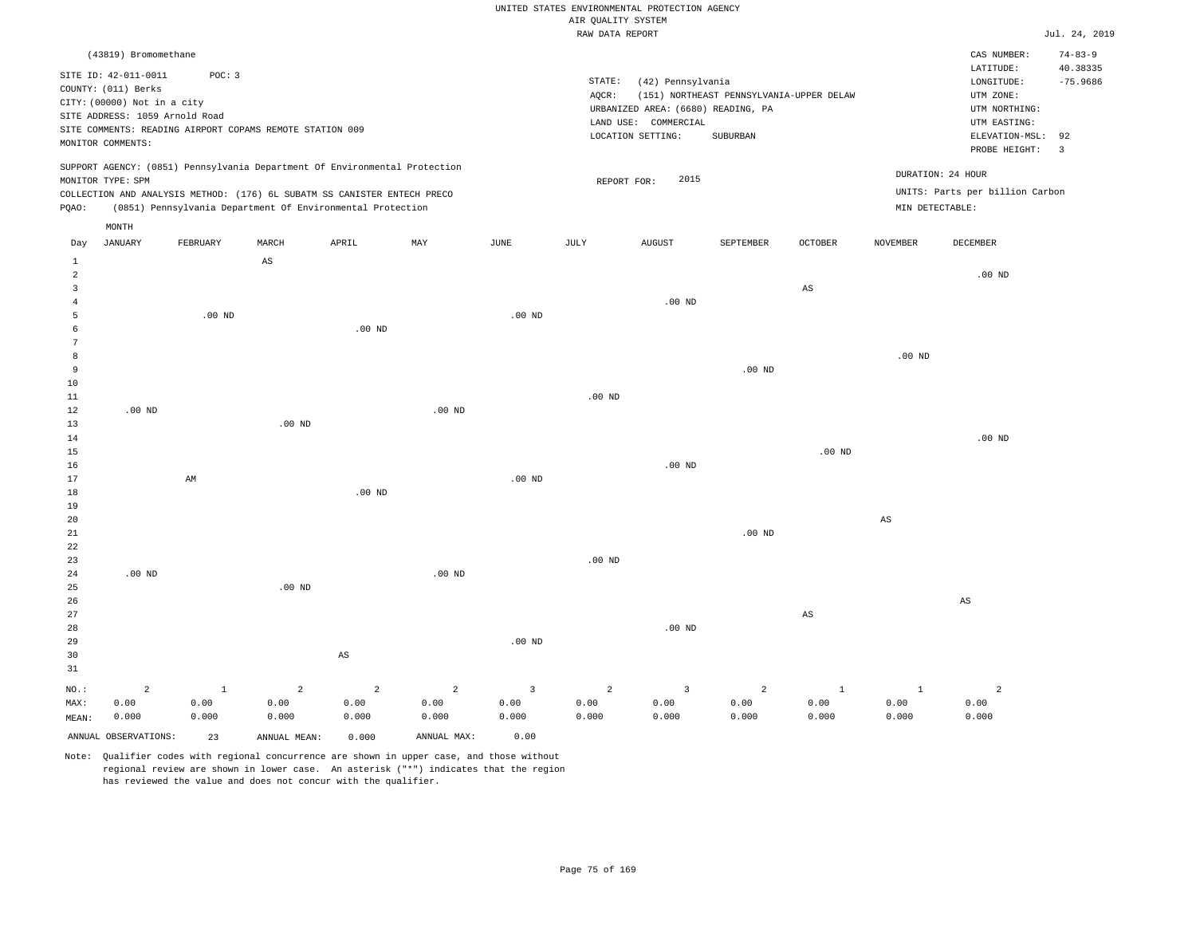#### RAW DATA REPORT JUL. 24, 2019 UNITED STATES ENVIRONMENTAL PROTECTION AGENCY AIR QUALITY SYSTEM

|              | (43819) Bromomethane           |                                                          |          |                                                                            |          |          |          |                                    |                                          |         |                   | CAS NUMBER:                     | $74 - 83 - 9$            |
|--------------|--------------------------------|----------------------------------------------------------|----------|----------------------------------------------------------------------------|----------|----------|----------|------------------------------------|------------------------------------------|---------|-------------------|---------------------------------|--------------------------|
|              | SITE ID: 42-011-0011           | POC: 3                                                   |          |                                                                            |          |          |          |                                    |                                          |         |                   | LATITUDE:                       | 40.38335                 |
|              | COUNTY: (011) Berks            |                                                          |          |                                                                            |          |          | STATE:   | (42) Pennsylvania                  |                                          |         |                   | LONGITUDE:                      | $-75.9686$               |
|              | CITY: (00000) Not in a city    |                                                          |          |                                                                            |          |          | AOCR:    |                                    | (151) NORTHEAST PENNSYLVANIA-UPPER DELAW |         |                   | UTM ZONE:                       |                          |
|              | SITE ADDRESS: 1059 Arnold Road |                                                          |          |                                                                            |          |          |          | URBANIZED AREA: (6680) READING, PA |                                          |         |                   | UTM NORTHING:                   |                          |
|              |                                | SITE COMMENTS: READING AIRPORT COPAMS REMOTE STATION 009 |          |                                                                            |          |          |          | LAND USE: COMMERCIAL               |                                          |         |                   | UTM EASTING:                    |                          |
|              |                                |                                                          |          |                                                                            |          |          |          | LOCATION SETTING:                  | SUBURBAN                                 |         |                   | ELEVATION-MSL: 92               |                          |
|              | MONITOR COMMENTS:              |                                                          |          |                                                                            |          |          |          |                                    |                                          |         |                   | PROBE HEIGHT:                   | $\overline{\phantom{a}}$ |
|              | MONITOR TYPE: SPM              |                                                          |          | SUPPORT AGENCY: (0851) Pennsylvania Department Of Environmental Protection |          |          |          | 2015<br>REPORT FOR:                |                                          |         | DURATION: 24 HOUR |                                 |                          |
|              |                                |                                                          |          | COLLECTION AND ANALYSIS METHOD: (176) 6L SUBATM SS CANISTER ENTECH PRECO   |          |          |          |                                    |                                          |         |                   | UNITS: Parts per billion Carbon |                          |
| POAO:        |                                |                                                          |          | (0851) Pennsylvania Department Of Environmental Protection                 |          |          |          |                                    |                                          |         | MIN DETECTABLE:   |                                 |                          |
|              |                                |                                                          |          |                                                                            |          |          |          |                                    |                                          |         |                   |                                 |                          |
|              | MONTH                          |                                                          |          |                                                                            |          |          |          |                                    |                                          |         |                   |                                 |                          |
| Day          | JANUARY                        | FEBRUARY                                                 | MARCH    | APRIL                                                                      | MAY      | JUNE     | JULY     | AUGUST                             | SEPTEMBER                                | OCTOBER | NOVEMBER          | DECEMBER                        |                          |
| $\mathbf{1}$ |                                |                                                          | AS       |                                                                            |          |          |          |                                    |                                          |         |                   |                                 |                          |
| 2            |                                |                                                          |          |                                                                            |          |          |          |                                    |                                          |         |                   | $.00$ ND                        |                          |
| 3            |                                |                                                          |          |                                                                            |          |          |          |                                    |                                          | AS      |                   |                                 |                          |
|              |                                |                                                          |          |                                                                            |          |          |          | $.00$ ND                           |                                          |         |                   |                                 |                          |
|              |                                | $.00$ ND                                                 |          |                                                                            |          | $.00$ ND |          |                                    |                                          |         |                   |                                 |                          |
|              |                                |                                                          |          | $.00$ ND                                                                   |          |          |          |                                    |                                          |         |                   |                                 |                          |
|              |                                |                                                          |          |                                                                            |          |          |          |                                    |                                          |         |                   |                                 |                          |
|              |                                |                                                          |          |                                                                            |          |          |          |                                    |                                          |         | .00 <sub>ND</sub> |                                 |                          |
| 9            |                                |                                                          |          |                                                                            |          |          |          |                                    | $.00$ ND                                 |         |                   |                                 |                          |
| 10           |                                |                                                          |          |                                                                            |          |          |          |                                    |                                          |         |                   |                                 |                          |
| 11           |                                |                                                          |          |                                                                            |          |          | $.00$ ND |                                    |                                          |         |                   |                                 |                          |
| 12           | $.00$ ND                       |                                                          |          |                                                                            | $.00$ ND |          |          |                                    |                                          |         |                   |                                 |                          |
| 13           |                                |                                                          | $.00$ ND |                                                                            |          |          |          |                                    |                                          |         |                   |                                 |                          |
| 14           |                                |                                                          |          |                                                                            |          |          |          |                                    |                                          |         |                   | .00 <sub>ND</sub>               |                          |
|              |                                |                                                          |          |                                                                            |          |          |          |                                    |                                          |         |                   |                                 |                          |

15 16 17 18 19 20 AM .00 ND .00 ND .00 ND .00 ND AS

21 22 23 24 25 26 27 28 29 30 31 .00 ND NO.: MAX: 2 0.00 .00 ND AS .00 ND .00 ND .00 ND .00 ND .00 ND AS AS 1 0.00 0.000 2 0.00 2 0.00 2 0.00 0.000 3 0.00 0.000 2 0.00 0.000 3 0.00 0.000 2 0.00 0.000 1 0.00 0.000  $1$  0.00 0.000 2 0.00 0.000

Note: Qualifier codes with regional concurrence are shown in upper case, and those without regional review are shown in lower case. An asterisk ("\*") indicates that the region has reviewed the value and does not concur with the qualifier.

ANNUAL OBSERVATIONS: 23 ANNUAL MEAN: 0.000 ANNUAL MAX: 0.00

0.000

0.000

MEAN:

0.000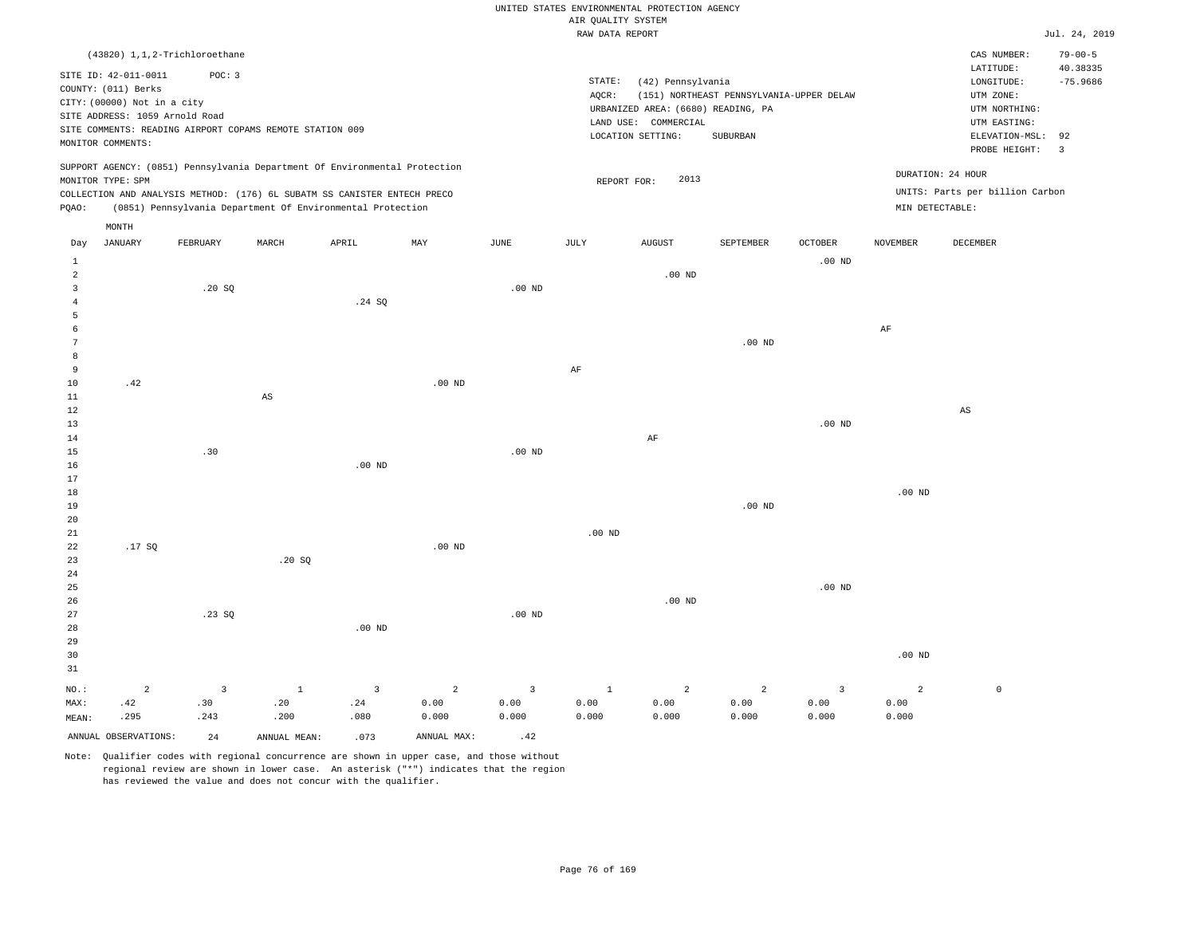|  |  |                    | UNITED STATES ENVIRONMENTAL PROTECTION AGENCY |  |
|--|--|--------------------|-----------------------------------------------|--|
|  |  | AIR OUALITY SYSTEM |                                               |  |

|                     |                                                                                                              |                               |                                                                            |                   |                |                         | RAW DATA REPORT   |                                                                                 |                                          |          |                   |                                                                       | Jul. 24, 2019                 |
|---------------------|--------------------------------------------------------------------------------------------------------------|-------------------------------|----------------------------------------------------------------------------|-------------------|----------------|-------------------------|-------------------|---------------------------------------------------------------------------------|------------------------------------------|----------|-------------------|-----------------------------------------------------------------------|-------------------------------|
|                     |                                                                                                              | (43820) 1,1,2-Trichloroethane |                                                                            |                   |                |                         |                   |                                                                                 |                                          |          |                   | CAS NUMBER:                                                           | $79 - 00 - 5$                 |
|                     | SITE ID: 42-011-0011<br>COUNTY: (011) Berks<br>CITY: (00000) Not in a city<br>SITE ADDRESS: 1059 Arnold Road | POC: 3                        |                                                                            |                   |                |                         | STATE:<br>AQCR:   | (42) Pennsylvania<br>URBANIZED AREA: (6680) READING, PA<br>LAND USE: COMMERCIAL | (151) NORTHEAST PENNSYLVANIA-UPPER DELAW |          |                   | LATITUDE:<br>LONGITUDE:<br>UTM ZONE:<br>UTM NORTHING:<br>UTM EASTING: | 40.38335<br>$-75.9686$        |
|                     | MONITOR COMMENTS:                                                                                            |                               | SITE COMMENTS: READING AIRPORT COPAMS REMOTE STATION 009                   |                   |                |                         |                   | LOCATION SETTING:                                                               | SUBURBAN                                 |          |                   | ELEVATION-MSL:<br>PROBE HEIGHT:                                       | 92<br>$\overline{\mathbf{3}}$ |
|                     |                                                                                                              |                               | SUPPORT AGENCY: (0851) Pennsylvania Department Of Environmental Protection |                   |                |                         |                   |                                                                                 |                                          |          |                   | DURATION: 24 HOUR                                                     |                               |
|                     | MONITOR TYPE: SPM                                                                                            |                               |                                                                            |                   |                |                         | REPORT FOR:       | 2013                                                                            |                                          |          |                   |                                                                       |                               |
| PQAO:               |                                                                                                              |                               | COLLECTION AND ANALYSIS METHOD: (176) 6L SUBATM SS CANISTER ENTECH PRECO   |                   |                |                         |                   |                                                                                 |                                          |          | MIN DETECTABLE:   | UNITS: Parts per billion Carbon                                       |                               |
|                     |                                                                                                              |                               | (0851) Pennsylvania Department Of Environmental Protection                 |                   |                |                         |                   |                                                                                 |                                          |          |                   |                                                                       |                               |
|                     | MONTH                                                                                                        |                               |                                                                            |                   |                |                         |                   |                                                                                 |                                          |          |                   |                                                                       |                               |
| Day                 | JANUARY                                                                                                      | FEBRUARY                      | MARCH                                                                      | APRIL             | MAY            | JUNE                    | JULY              | AUGUST                                                                          | SEPTEMBER                                | OCTOBER  | <b>NOVEMBER</b>   | DECEMBER                                                              |                               |
| 1                   |                                                                                                              |                               |                                                                            |                   |                |                         |                   |                                                                                 |                                          | $.00$ ND |                   |                                                                       |                               |
| $\overline{2}$      |                                                                                                              |                               |                                                                            |                   |                |                         |                   | $.00$ ND                                                                        |                                          |          |                   |                                                                       |                               |
| 3<br>$\overline{4}$ |                                                                                                              | .20S                          |                                                                            | .24S              |                | .00 <sub>ND</sub>       |                   |                                                                                 |                                          |          |                   |                                                                       |                               |
| 5                   |                                                                                                              |                               |                                                                            |                   |                |                         |                   |                                                                                 |                                          |          |                   |                                                                       |                               |
| 6                   |                                                                                                              |                               |                                                                            |                   |                |                         |                   |                                                                                 |                                          |          | AF                |                                                                       |                               |
| 7                   |                                                                                                              |                               |                                                                            |                   |                |                         |                   |                                                                                 | $.00$ ND                                 |          |                   |                                                                       |                               |
| 8                   |                                                                                                              |                               |                                                                            |                   |                |                         |                   |                                                                                 |                                          |          |                   |                                                                       |                               |
| 9                   |                                                                                                              |                               |                                                                            |                   |                |                         | $\rm AF$          |                                                                                 |                                          |          |                   |                                                                       |                               |
| 10                  | .42                                                                                                          |                               |                                                                            |                   | $.00$ ND       |                         |                   |                                                                                 |                                          |          |                   |                                                                       |                               |
| 11                  |                                                                                                              |                               | $_{\rm AS}$                                                                |                   |                |                         |                   |                                                                                 |                                          |          |                   |                                                                       |                               |
| 12                  |                                                                                                              |                               |                                                                            |                   |                |                         |                   |                                                                                 |                                          |          |                   | $\mathbb{A}\mathbb{S}$                                                |                               |
| 13                  |                                                                                                              |                               |                                                                            |                   |                |                         |                   | AF                                                                              |                                          | $.00$ ND |                   |                                                                       |                               |
| 14<br>15            |                                                                                                              | .30                           |                                                                            |                   |                | $.00$ ND                |                   |                                                                                 |                                          |          |                   |                                                                       |                               |
| 16                  |                                                                                                              |                               |                                                                            | .00 <sub>ND</sub> |                |                         |                   |                                                                                 |                                          |          |                   |                                                                       |                               |
| 17                  |                                                                                                              |                               |                                                                            |                   |                |                         |                   |                                                                                 |                                          |          |                   |                                                                       |                               |
| 18                  |                                                                                                              |                               |                                                                            |                   |                |                         |                   |                                                                                 |                                          |          | .00 <sub>ND</sub> |                                                                       |                               |
| 19                  |                                                                                                              |                               |                                                                            |                   |                |                         |                   |                                                                                 | $.00$ ND                                 |          |                   |                                                                       |                               |
| 20                  |                                                                                                              |                               |                                                                            |                   |                |                         |                   |                                                                                 |                                          |          |                   |                                                                       |                               |
| $2\sqrt{1}$         |                                                                                                              |                               |                                                                            |                   |                |                         | .00 <sub>ND</sub> |                                                                                 |                                          |          |                   |                                                                       |                               |
| 22                  | .17SQ                                                                                                        |                               |                                                                            |                   | $.00$ ND       |                         |                   |                                                                                 |                                          |          |                   |                                                                       |                               |
| 23                  |                                                                                                              |                               | .20S                                                                       |                   |                |                         |                   |                                                                                 |                                          |          |                   |                                                                       |                               |
| 24                  |                                                                                                              |                               |                                                                            |                   |                |                         |                   |                                                                                 |                                          |          |                   |                                                                       |                               |
| 25                  |                                                                                                              |                               |                                                                            |                   |                |                         |                   |                                                                                 |                                          | $.00$ ND |                   |                                                                       |                               |
| 26<br>27            |                                                                                                              | .23SQ                         |                                                                            |                   |                | $.00$ ND                |                   | $.00$ ND                                                                        |                                          |          |                   |                                                                       |                               |
| 28                  |                                                                                                              |                               |                                                                            | $.00$ ND          |                |                         |                   |                                                                                 |                                          |          |                   |                                                                       |                               |
| 29                  |                                                                                                              |                               |                                                                            |                   |                |                         |                   |                                                                                 |                                          |          |                   |                                                                       |                               |
| 30                  |                                                                                                              |                               |                                                                            |                   |                |                         |                   |                                                                                 |                                          |          | .00 <sub>ND</sub> |                                                                       |                               |
| 31                  |                                                                                                              |                               |                                                                            |                   |                |                         |                   |                                                                                 |                                          |          |                   |                                                                       |                               |
| NO.:                | $\overline{2}$                                                                                               | $\overline{3}$                | $\mathbf{1}$                                                               | $\overline{3}$    | $\overline{a}$ | $\overline{\mathbf{3}}$ | $\mathbf{1}$      | $\overline{a}$                                                                  | $\overline{a}$                           | 3        | $\overline{2}$    | $\mathbb O$                                                           |                               |
| MAX:                | .42                                                                                                          | .30                           | .20                                                                        | .24               | 0.00           | 0.00                    | 0.00              | 0.00                                                                            | 0.00                                     | 0.00     | 0.00              |                                                                       |                               |
| MEAN:               | .295                                                                                                         | .243                          | .200                                                                       | .080              | 0.000          | 0.000                   | 0.000             | 0.000                                                                           | 0.000                                    | 0.000    | 0.000             |                                                                       |                               |
|                     | ANNUAL OBSERVATIONS:                                                                                         | 24                            | ANNUAL MEAN:                                                               | .073              | ANNUAL MAX:    | .42                     |                   |                                                                                 |                                          |          |                   |                                                                       |                               |
|                     |                                                                                                              |                               |                                                                            |                   |                |                         |                   |                                                                                 |                                          |          |                   |                                                                       |                               |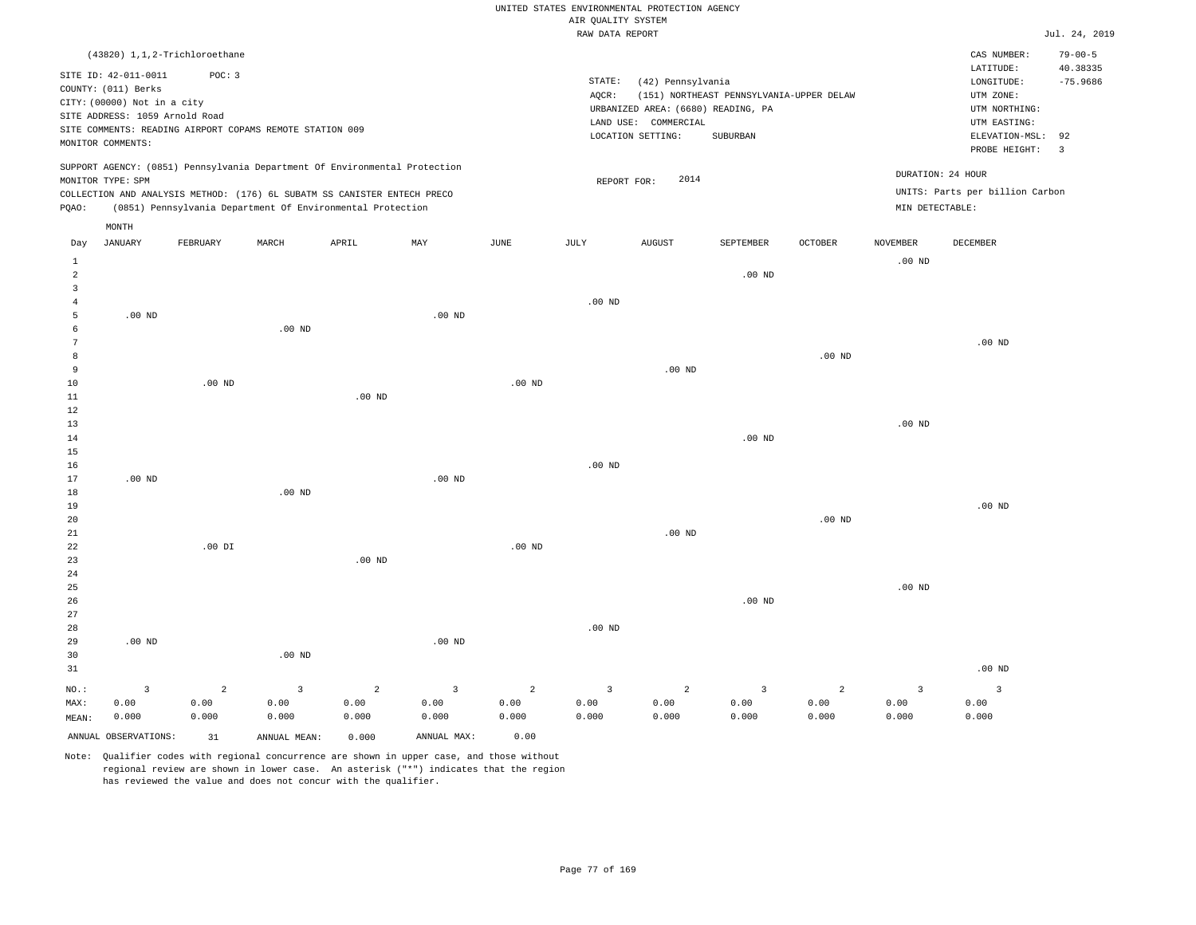| UNITED STATES ENVIRONMENTAL PROTECTION AGENCY |
|-----------------------------------------------|
| AIR OUALITY SYSTEM                            |
| RAW DATA REPORT                               |
|                                               |

Jul. 24, 2019

|                | (43820) 1,1,2-Trichloroethane                                                                                                                                                                 |                |                   |                                                                            |                   |               |                   |                                                                                                      |                                                      |                   |                   | CAS NUMBER:                                                                             | $79 - 00 - 5$                |
|----------------|-----------------------------------------------------------------------------------------------------------------------------------------------------------------------------------------------|----------------|-------------------|----------------------------------------------------------------------------|-------------------|---------------|-------------------|------------------------------------------------------------------------------------------------------|------------------------------------------------------|-------------------|-------------------|-----------------------------------------------------------------------------------------|------------------------------|
|                | SITE ID: 42-011-0011<br>COUNTY: (011) Berks<br>CITY: (00000) Not in a city<br>SITE ADDRESS: 1059 Arnold Road<br>SITE COMMENTS: READING AIRPORT COPAMS REMOTE STATION 009<br>MONITOR COMMENTS: | POC: 3         |                   |                                                                            |                   |               | STATE:<br>AQCR:   | (42) Pennsylvania<br>URBANIZED AREA: (6680) READING, PA<br>LAND USE: COMMERCIAL<br>LOCATION SETTING: | (151) NORTHEAST PENNSYLVANIA-UPPER DELAW<br>SUBURBAN |                   |                   | LATITUDE:<br>LONGITUDE:<br>UTM ZONE:<br>UTM NORTHING:<br>UTM EASTING:<br>ELEVATION-MSL: | 40.38335<br>$-75.9686$<br>92 |
|                |                                                                                                                                                                                               |                |                   |                                                                            |                   |               |                   |                                                                                                      |                                                      |                   |                   | PROBE HEIGHT:                                                                           | $\overline{3}$               |
|                | MONITOR TYPE: SPM                                                                                                                                                                             |                |                   | SUPPORT AGENCY: (0851) Pennsylvania Department Of Environmental Protection |                   |               | REPORT FOR:       | 2014                                                                                                 |                                                      |                   | DURATION: 24 HOUR |                                                                                         |                              |
|                |                                                                                                                                                                                               |                |                   | COLLECTION AND ANALYSIS METHOD: (176) 6L SUBATM SS CANISTER ENTECH PRECO   |                   |               |                   |                                                                                                      |                                                      |                   |                   | UNITS: Parts per billion Carbon                                                         |                              |
| PQAO:          |                                                                                                                                                                                               |                |                   | (0851) Pennsylvania Department Of Environmental Protection                 |                   |               |                   |                                                                                                      |                                                      |                   | MIN DETECTABLE:   |                                                                                         |                              |
|                | MONTH                                                                                                                                                                                         |                |                   |                                                                            |                   |               |                   |                                                                                                      |                                                      |                   |                   |                                                                                         |                              |
| Day            | <b>JANUARY</b>                                                                                                                                                                                | FEBRUARY       | MARCH             | APRIL                                                                      | MAY               | $_{\rm JUNE}$ | $_{\rm JULY}$     | AUGUST                                                                                               | SEPTEMBER                                            | <b>OCTOBER</b>    | <b>NOVEMBER</b>   | <b>DECEMBER</b>                                                                         |                              |
| $\mathbf{1}$   |                                                                                                                                                                                               |                |                   |                                                                            |                   |               |                   |                                                                                                      |                                                      |                   | $.00$ ND          |                                                                                         |                              |
| 2              |                                                                                                                                                                                               |                |                   |                                                                            |                   |               |                   |                                                                                                      | $.00$ ND                                             |                   |                   |                                                                                         |                              |
| 3              |                                                                                                                                                                                               |                |                   |                                                                            |                   |               |                   |                                                                                                      |                                                      |                   |                   |                                                                                         |                              |
| $\overline{4}$ |                                                                                                                                                                                               |                |                   |                                                                            |                   |               | $.00$ ND          |                                                                                                      |                                                      |                   |                   |                                                                                         |                              |
| 5              | $.00$ ND                                                                                                                                                                                      |                |                   |                                                                            | .00 <sub>ND</sub> |               |                   |                                                                                                      |                                                      |                   |                   |                                                                                         |                              |
| 6<br>7         |                                                                                                                                                                                               |                | $.00$ ND          |                                                                            |                   |               |                   |                                                                                                      |                                                      |                   |                   | $.00$ ND                                                                                |                              |
| 8              |                                                                                                                                                                                               |                |                   |                                                                            |                   |               |                   |                                                                                                      |                                                      | .00 <sub>ND</sub> |                   |                                                                                         |                              |
| 9              |                                                                                                                                                                                               |                |                   |                                                                            |                   |               |                   | $.00$ ND                                                                                             |                                                      |                   |                   |                                                                                         |                              |
| 10             |                                                                                                                                                                                               | $.00$ ND       |                   |                                                                            |                   | $.00$ ND      |                   |                                                                                                      |                                                      |                   |                   |                                                                                         |                              |
| 11             |                                                                                                                                                                                               |                |                   | $.00$ ND                                                                   |                   |               |                   |                                                                                                      |                                                      |                   |                   |                                                                                         |                              |
| 12             |                                                                                                                                                                                               |                |                   |                                                                            |                   |               |                   |                                                                                                      |                                                      |                   |                   |                                                                                         |                              |
| 13             |                                                                                                                                                                                               |                |                   |                                                                            |                   |               |                   |                                                                                                      |                                                      |                   | $.00$ ND          |                                                                                         |                              |
| 14             |                                                                                                                                                                                               |                |                   |                                                                            |                   |               |                   |                                                                                                      | .00 <sub>ND</sub>                                    |                   |                   |                                                                                         |                              |
| 15<br>16       |                                                                                                                                                                                               |                |                   |                                                                            |                   |               | $.00$ ND          |                                                                                                      |                                                      |                   |                   |                                                                                         |                              |
| 17             | $.00$ ND                                                                                                                                                                                      |                |                   |                                                                            | $.00$ ND          |               |                   |                                                                                                      |                                                      |                   |                   |                                                                                         |                              |
| 18             |                                                                                                                                                                                               |                | .00 <sub>ND</sub> |                                                                            |                   |               |                   |                                                                                                      |                                                      |                   |                   |                                                                                         |                              |
| 19             |                                                                                                                                                                                               |                |                   |                                                                            |                   |               |                   |                                                                                                      |                                                      |                   |                   | $.00$ ND                                                                                |                              |
| 20             |                                                                                                                                                                                               |                |                   |                                                                            |                   |               |                   |                                                                                                      |                                                      | .00 <sub>ND</sub> |                   |                                                                                         |                              |
| 21             |                                                                                                                                                                                               |                |                   |                                                                            |                   |               |                   | .00 <sub>ND</sub>                                                                                    |                                                      |                   |                   |                                                                                         |                              |
| 22             |                                                                                                                                                                                               | $.00$ DI       |                   |                                                                            |                   | $.00$ ND      |                   |                                                                                                      |                                                      |                   |                   |                                                                                         |                              |
| 23<br>24       |                                                                                                                                                                                               |                |                   | .00 <sub>ND</sub>                                                          |                   |               |                   |                                                                                                      |                                                      |                   |                   |                                                                                         |                              |
| 25             |                                                                                                                                                                                               |                |                   |                                                                            |                   |               |                   |                                                                                                      |                                                      |                   | $.00$ ND          |                                                                                         |                              |
| 26             |                                                                                                                                                                                               |                |                   |                                                                            |                   |               |                   |                                                                                                      | $.00$ ND                                             |                   |                   |                                                                                         |                              |
| 27             |                                                                                                                                                                                               |                |                   |                                                                            |                   |               |                   |                                                                                                      |                                                      |                   |                   |                                                                                         |                              |
| 28             |                                                                                                                                                                                               |                |                   |                                                                            |                   |               | .00 <sub>ND</sub> |                                                                                                      |                                                      |                   |                   |                                                                                         |                              |
| 29             | $.00$ ND                                                                                                                                                                                      |                |                   |                                                                            | $.00$ ND          |               |                   |                                                                                                      |                                                      |                   |                   |                                                                                         |                              |
| 30             |                                                                                                                                                                                               |                | .00 <sub>ND</sub> |                                                                            |                   |               |                   |                                                                                                      |                                                      |                   |                   |                                                                                         |                              |
| 31             |                                                                                                                                                                                               |                |                   |                                                                            |                   |               |                   |                                                                                                      |                                                      |                   |                   | $.00$ ND                                                                                |                              |
| NO.:           | $\overline{3}$                                                                                                                                                                                | $\overline{a}$ | $\overline{3}$    | $\overline{a}$                                                             | $\overline{3}$    | 2             | $\overline{3}$    | 2                                                                                                    | $\overline{3}$                                       | $\overline{a}$    | $\overline{3}$    | $\overline{3}$                                                                          |                              |
| MAX:           | 0.00                                                                                                                                                                                          | 0.00           | 0.00              | 0.00                                                                       | 0.00              | 0.00          | 0.00              | 0.00                                                                                                 | 0.00                                                 | 0.00              | 0.00              | 0.00                                                                                    |                              |
| MEAN:          | 0.000                                                                                                                                                                                         | 0.000          | 0.000             | 0.000                                                                      | 0.000             | 0.000         | 0.000             | 0.000                                                                                                | 0.000                                                | 0.000             | 0.000             | 0.000                                                                                   |                              |
|                | ANNUAL OBSERVATIONS:                                                                                                                                                                          | 31             | ANNUAL MEAN:      | 0.000                                                                      | ANNUAL MAX:       | 0.00          |                   |                                                                                                      |                                                      |                   |                   |                                                                                         |                              |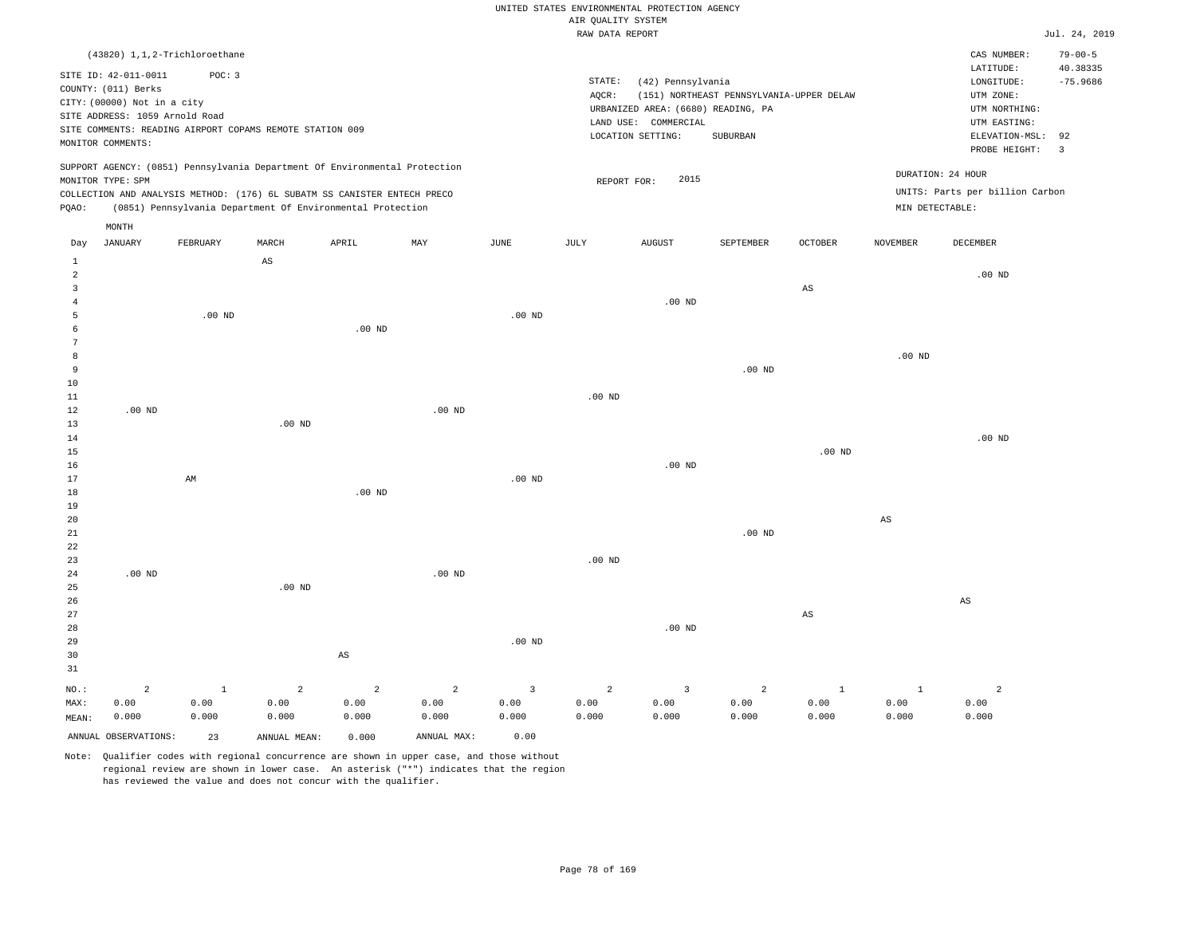### UNITED STATES ENVIRONMENTAL PROTECTION AGENCY AIR QUALITY SYSTEM

|                                |                                |              |                                                                                                                                        |                |                |                   | RAW DATA REPORT |                                    |                                          |                   |                        |                                 | Jul. 24, 2019 |
|--------------------------------|--------------------------------|--------------|----------------------------------------------------------------------------------------------------------------------------------------|----------------|----------------|-------------------|-----------------|------------------------------------|------------------------------------------|-------------------|------------------------|---------------------------------|---------------|
|                                | (43820) 1,1,2-Trichloroethane  |              |                                                                                                                                        |                |                |                   |                 |                                    |                                          |                   |                        | CAS NUMBER:                     | $79 - 00 - 5$ |
|                                | SITE ID: 42-011-0011           | POC: 3       |                                                                                                                                        |                |                |                   |                 |                                    |                                          |                   |                        | LATITUDE:                       | 40.38335      |
|                                | COUNTY: (011) Berks            |              |                                                                                                                                        |                |                |                   | STATE:          | (42) Pennsylvania                  |                                          |                   |                        | LONGITUDE:                      | $-75.9686$    |
|                                | CITY: (00000) Not in a city    |              |                                                                                                                                        |                |                |                   | AQCR:           |                                    | (151) NORTHEAST PENNSYLVANIA-UPPER DELAW |                   |                        | UTM ZONE:                       |               |
|                                | SITE ADDRESS: 1059 Arnold Road |              |                                                                                                                                        |                |                |                   |                 | URBANIZED AREA: (6680) READING, PA |                                          |                   |                        | UTM NORTHING:                   |               |
|                                |                                |              | SITE COMMENTS: READING AIRPORT COPAMS REMOTE STATION 009                                                                               |                |                |                   |                 | LAND USE: COMMERCIAL               |                                          |                   |                        | UTM EASTING:                    |               |
|                                | MONITOR COMMENTS:              |              |                                                                                                                                        |                |                |                   |                 | LOCATION SETTING:                  | SUBURBAN                                 |                   |                        | ELEVATION-MSL:                  | 92            |
|                                |                                |              |                                                                                                                                        |                |                |                   |                 |                                    |                                          |                   |                        | PROBE HEIGHT:                   | 3             |
|                                |                                |              | SUPPORT AGENCY: (0851) Pennsylvania Department Of Environmental Protection                                                             |                |                |                   |                 | 2015                               |                                          |                   |                        | DURATION: 24 HOUR               |               |
|                                | MONITOR TYPE: SPM              |              |                                                                                                                                        |                |                |                   | REPORT FOR:     |                                    |                                          |                   |                        | UNITS: Parts per billion Carbon |               |
| PQAO:                          |                                |              | COLLECTION AND ANALYSIS METHOD: (176) 6L SUBATM SS CANISTER ENTECH PRECO<br>(0851) Pennsylvania Department Of Environmental Protection |                |                |                   |                 |                                    |                                          |                   |                        | MIN DETECTABLE:                 |               |
|                                |                                |              |                                                                                                                                        |                |                |                   |                 |                                    |                                          |                   |                        |                                 |               |
| Day                            | MONTH<br><b>JANUARY</b>        | FEBRUARY     | MARCH                                                                                                                                  | APRIL          | $_{\rm MAY}$   | JUNE              | JULY            | <b>AUGUST</b>                      | SEPTEMBER                                | OCTOBER           | NOVEMBER               | DECEMBER                        |               |
|                                |                                |              |                                                                                                                                        |                |                |                   |                 |                                    |                                          |                   |                        |                                 |               |
| $\mathbf{1}$<br>$\overline{a}$ |                                |              | AS                                                                                                                                     |                |                |                   |                 |                                    |                                          |                   |                        | $.00$ ND                        |               |
| 3                              |                                |              |                                                                                                                                        |                |                |                   |                 |                                    |                                          | AS                |                        |                                 |               |
| $\bf 4$                        |                                |              |                                                                                                                                        |                |                |                   |                 | $.00$ ND                           |                                          |                   |                        |                                 |               |
| 5                              |                                | $.00$ ND     |                                                                                                                                        |                |                | $.00$ ND          |                 |                                    |                                          |                   |                        |                                 |               |
| 6                              |                                |              |                                                                                                                                        | $.00$ ND       |                |                   |                 |                                    |                                          |                   |                        |                                 |               |
| $\overline{7}$                 |                                |              |                                                                                                                                        |                |                |                   |                 |                                    |                                          |                   |                        |                                 |               |
| 8                              |                                |              |                                                                                                                                        |                |                |                   |                 |                                    |                                          |                   | $.00$ ND               |                                 |               |
| 9                              |                                |              |                                                                                                                                        |                |                |                   |                 |                                    | $.00$ ND                                 |                   |                        |                                 |               |
| 10                             |                                |              |                                                                                                                                        |                |                |                   |                 |                                    |                                          |                   |                        |                                 |               |
| $11\,$                         |                                |              |                                                                                                                                        |                |                |                   | $.00$ ND        |                                    |                                          |                   |                        |                                 |               |
| 12                             | $.00$ ND                       |              |                                                                                                                                        |                | $.00$ ND       |                   |                 |                                    |                                          |                   |                        |                                 |               |
| 13                             |                                |              | $.00$ ND                                                                                                                               |                |                |                   |                 |                                    |                                          |                   |                        |                                 |               |
| 14                             |                                |              |                                                                                                                                        |                |                |                   |                 |                                    |                                          |                   |                        | $.00$ ND                        |               |
| 15                             |                                |              |                                                                                                                                        |                |                |                   |                 |                                    |                                          | .00 <sub>ND</sub> |                        |                                 |               |
| 16                             |                                |              |                                                                                                                                        |                |                |                   |                 | $.00$ ND                           |                                          |                   |                        |                                 |               |
| 17                             |                                | AM           |                                                                                                                                        |                |                | $.00$ ND          |                 |                                    |                                          |                   |                        |                                 |               |
| 18                             |                                |              |                                                                                                                                        | $.00$ ND       |                |                   |                 |                                    |                                          |                   |                        |                                 |               |
| 19                             |                                |              |                                                                                                                                        |                |                |                   |                 |                                    |                                          |                   |                        |                                 |               |
| 20                             |                                |              |                                                                                                                                        |                |                |                   |                 |                                    |                                          |                   | $\mathbb{A}\mathbb{S}$ |                                 |               |
| 21                             |                                |              |                                                                                                                                        |                |                |                   |                 |                                    | $.00$ ND                                 |                   |                        |                                 |               |
| 22                             |                                |              |                                                                                                                                        |                |                |                   |                 |                                    |                                          |                   |                        |                                 |               |
| 23                             |                                |              |                                                                                                                                        |                |                |                   | $.00$ ND        |                                    |                                          |                   |                        |                                 |               |
| 24                             | $.00$ ND                       |              |                                                                                                                                        |                | $.00$ ND       |                   |                 |                                    |                                          |                   |                        |                                 |               |
| 25                             |                                |              | $.00$ ND                                                                                                                               |                |                |                   |                 |                                    |                                          |                   |                        |                                 |               |
| 26                             |                                |              |                                                                                                                                        |                |                |                   |                 |                                    |                                          |                   |                        | AS                              |               |
| 27                             |                                |              |                                                                                                                                        |                |                |                   |                 |                                    |                                          | AS                |                        |                                 |               |
| 28                             |                                |              |                                                                                                                                        |                |                |                   |                 | $.00$ ND                           |                                          |                   |                        |                                 |               |
| 29                             |                                |              |                                                                                                                                        |                |                | .00 <sub>ND</sub> |                 |                                    |                                          |                   |                        |                                 |               |
| 30                             |                                |              |                                                                                                                                        | AS             |                |                   |                 |                                    |                                          |                   |                        |                                 |               |
| 31                             |                                |              |                                                                                                                                        |                |                |                   |                 |                                    |                                          |                   |                        |                                 |               |
| NO.:                           | $\overline{a}$                 | $\mathbf{1}$ | $\overline{a}$                                                                                                                         | $\overline{a}$ | $\overline{a}$ | $\overline{3}$    | $\overline{a}$  | $\overline{3}$                     | $\overline{c}$                           | $\mathbf{1}$      | $\mathbf{1}$           | $\overline{c}$                  |               |
| MAX:                           | 0.00                           | 0.00         | 0.00                                                                                                                                   | 0.00           | 0.00           | 0.00              | 0.00            | 0.00                               | 0.00                                     | 0.00              | 0.00                   | 0.00                            |               |
| MEAN:                          | 0.000                          | 0.000        | 0.000                                                                                                                                  | 0.000          | 0.000          | 0.000             | 0.000           | 0.000                              | 0.000                                    | 0.000             | 0.000                  | 0.000                           |               |
|                                | ANNUAL OBSERVATIONS:           | 23           | ANNUAL MEAN:                                                                                                                           | 0.000          | ANNUAL MAX:    | 0.00              |                 |                                    |                                          |                   |                        |                                 |               |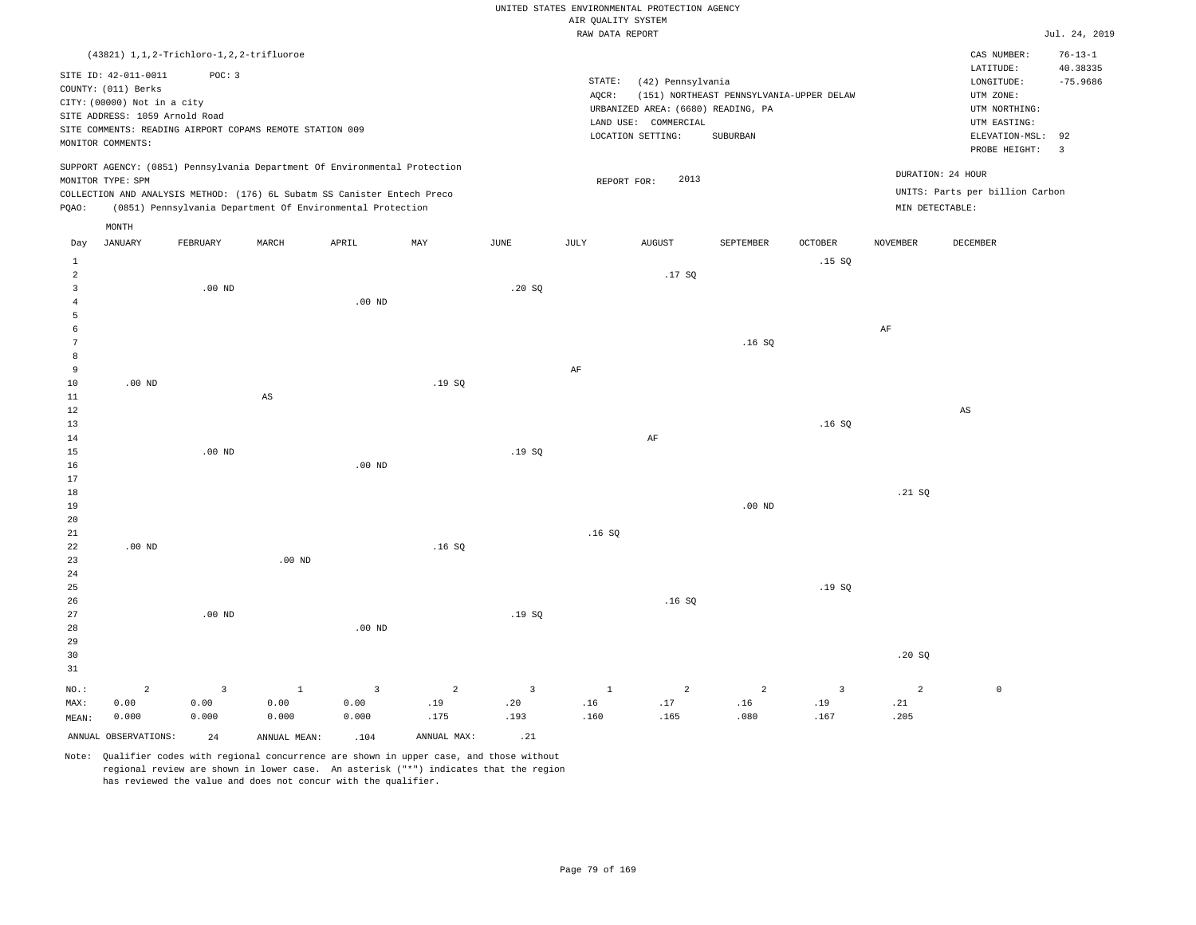|                |                                              |                         |                                                                            |                |                |                |                                       | UNITED STATES ENVIRONMENTAL PROTECTION AGENCY |                                          |                |                 |                                 |                      |
|----------------|----------------------------------------------|-------------------------|----------------------------------------------------------------------------|----------------|----------------|----------------|---------------------------------------|-----------------------------------------------|------------------------------------------|----------------|-----------------|---------------------------------|----------------------|
|                |                                              |                         |                                                                            |                |                |                | AIR QUALITY SYSTEM<br>RAW DATA REPORT |                                               |                                          |                |                 |                                 | Jul. 24, 2019        |
|                | (43821) 1, 1, 2-Trichloro-1, 2, 2-trifluoroe |                         |                                                                            |                |                |                |                                       |                                               |                                          |                |                 | CAS NUMBER:                     | $76 - 13 - 1$        |
|                | SITE ID: 42-011-0011                         | POC: 3                  |                                                                            |                |                |                |                                       |                                               |                                          |                |                 | LATITUDE:                       | 40.38335             |
|                | COUNTY: (011) Berks                          |                         |                                                                            |                |                |                | STATE:<br>AQCR:                       | (42) Pennsylvania                             | (151) NORTHEAST PENNSYLVANIA-UPPER DELAW |                |                 | LONGITUDE:<br>UTM ZONE:         | $-75.9686$           |
|                | CITY: (00000) Not in a city                  |                         |                                                                            |                |                |                |                                       | URBANIZED AREA: (6680) READING, PA            |                                          |                |                 | UTM NORTHING:                   |                      |
|                | SITE ADDRESS: 1059 Arnold Road               |                         |                                                                            |                |                |                |                                       | LAND USE: COMMERCIAL                          |                                          |                |                 | UTM EASTING:                    |                      |
|                | MONITOR COMMENTS:                            |                         | SITE COMMENTS: READING AIRPORT COPAMS REMOTE STATION 009                   |                |                |                |                                       | LOCATION SETTING:                             | SUBURBAN                                 |                |                 | ELEVATION-MSL:<br>PROBE HEIGHT: | 92<br>$\overline{3}$ |
|                |                                              |                         | SUPPORT AGENCY: (0851) Pennsylvania Department Of Environmental Protection |                |                |                |                                       |                                               |                                          |                |                 | DURATION: 24 HOUR               |                      |
|                | MONITOR TYPE: SPM                            |                         | COLLECTION AND ANALYSIS METHOD: (176) 6L Subatm SS Canister Entech Preco   |                |                |                |                                       | 2013<br>REPORT FOR:                           |                                          |                |                 | UNITS: Parts per billion Carbon |                      |
| PQAO:          |                                              |                         | (0851) Pennsylvania Department Of Environmental Protection                 |                |                |                |                                       |                                               |                                          |                | MIN DETECTABLE: |                                 |                      |
| Day            | MONTH<br><b>JANUARY</b>                      | FEBRUARY                | MARCH                                                                      | APRIL          | MAX            | <b>JUNE</b>    | JULY                                  | <b>AUGUST</b>                                 | SEPTEMBER                                | OCTOBER        | <b>NOVEMBER</b> | DECEMBER                        |                      |
| $\mathbf{1}$   |                                              |                         |                                                                            |                |                |                |                                       |                                               |                                          | .15S           |                 |                                 |                      |
| $\overline{a}$ |                                              |                         |                                                                            |                |                |                |                                       | .17SQ                                         |                                          |                |                 |                                 |                      |
| $\overline{3}$ |                                              | $.00$ ND                |                                                                            |                |                | .20SQ          |                                       |                                               |                                          |                |                 |                                 |                      |
| $\overline{4}$ |                                              |                         |                                                                            | $.00$ ND       |                |                |                                       |                                               |                                          |                |                 |                                 |                      |
| 5              |                                              |                         |                                                                            |                |                |                |                                       |                                               |                                          |                |                 |                                 |                      |
| 6              |                                              |                         |                                                                            |                |                |                |                                       |                                               |                                          |                | $\rm{AF}$       |                                 |                      |
| 7              |                                              |                         |                                                                            |                |                |                |                                       |                                               | .16S                                     |                |                 |                                 |                      |
| 8<br>9         |                                              |                         |                                                                            |                |                |                | $\rm AF$                              |                                               |                                          |                |                 |                                 |                      |
| 10             | $.00$ ND                                     |                         |                                                                            |                | .19S           |                |                                       |                                               |                                          |                |                 |                                 |                      |
| $11\,$         |                                              |                         | $_{\rm AS}$                                                                |                |                |                |                                       |                                               |                                          |                |                 |                                 |                      |
| 12             |                                              |                         |                                                                            |                |                |                |                                       |                                               |                                          |                |                 | $_{\rm AS}$                     |                      |
| 13             |                                              |                         |                                                                            |                |                |                |                                       |                                               |                                          | .16SQ          |                 |                                 |                      |
| 14             |                                              |                         |                                                                            |                |                |                |                                       | AF                                            |                                          |                |                 |                                 |                      |
| 15             |                                              | $.00$ ND                |                                                                            |                |                | .19 SO         |                                       |                                               |                                          |                |                 |                                 |                      |
| 16<br>17       |                                              |                         |                                                                            | $.00$ ND       |                |                |                                       |                                               |                                          |                |                 |                                 |                      |
| 18             |                                              |                         |                                                                            |                |                |                |                                       |                                               |                                          |                | .21 SQ          |                                 |                      |
| 19             |                                              |                         |                                                                            |                |                |                |                                       |                                               | $.00$ ND                                 |                |                 |                                 |                      |
| 20             |                                              |                         |                                                                            |                |                |                |                                       |                                               |                                          |                |                 |                                 |                      |
| 21             |                                              |                         |                                                                            |                |                |                | .16S                                  |                                               |                                          |                |                 |                                 |                      |
| 22             | $.00$ ND                                     |                         |                                                                            |                | .16SQ          |                |                                       |                                               |                                          |                |                 |                                 |                      |
| 23             |                                              |                         | $.00$ ND                                                                   |                |                |                |                                       |                                               |                                          |                |                 |                                 |                      |
| 24             |                                              |                         |                                                                            |                |                |                |                                       |                                               |                                          |                |                 |                                 |                      |
| 25<br>26       |                                              |                         |                                                                            |                |                |                |                                       | .16S                                          |                                          | .19S           |                 |                                 |                      |
| 27             |                                              | $.00$ ND                |                                                                            |                |                | .19SQ          |                                       |                                               |                                          |                |                 |                                 |                      |
| 28             |                                              |                         |                                                                            | $.00$ ND       |                |                |                                       |                                               |                                          |                |                 |                                 |                      |
| 29             |                                              |                         |                                                                            |                |                |                |                                       |                                               |                                          |                |                 |                                 |                      |
| 30             |                                              |                         |                                                                            |                |                |                |                                       |                                               |                                          |                | .20SQ           |                                 |                      |
| 31             |                                              |                         |                                                                            |                |                |                |                                       |                                               |                                          |                |                 |                                 |                      |
| NO.:           | $\overline{a}$                               | $\overline{\mathbf{3}}$ | $\,$ 1                                                                     | $\overline{3}$ | $\overline{a}$ | $\overline{3}$ | $1\,$                                 | $\overline{a}$                                | $\overline{a}$                           | $\overline{3}$ | $\sqrt{2}$      | $\mathbb O$                     |                      |
| MAX:           | 0.00                                         | 0.00                    | 0.00                                                                       | 0.00           | .19            | .20            | .16                                   | .17                                           | .16                                      | .19            | .21             |                                 |                      |
| MEAN:          | 0.000                                        | 0.000                   | 0.000                                                                      | 0.000          | .175           | .193           | .160                                  | .165                                          | .080                                     | .167           | .205            |                                 |                      |
|                | ANNUAL OBSERVATIONS:                         | 2.4                     | ANNUAL MEAN:                                                               | .104           | ANNUAL MAX:    | .21            |                                       |                                               |                                          |                |                 |                                 |                      |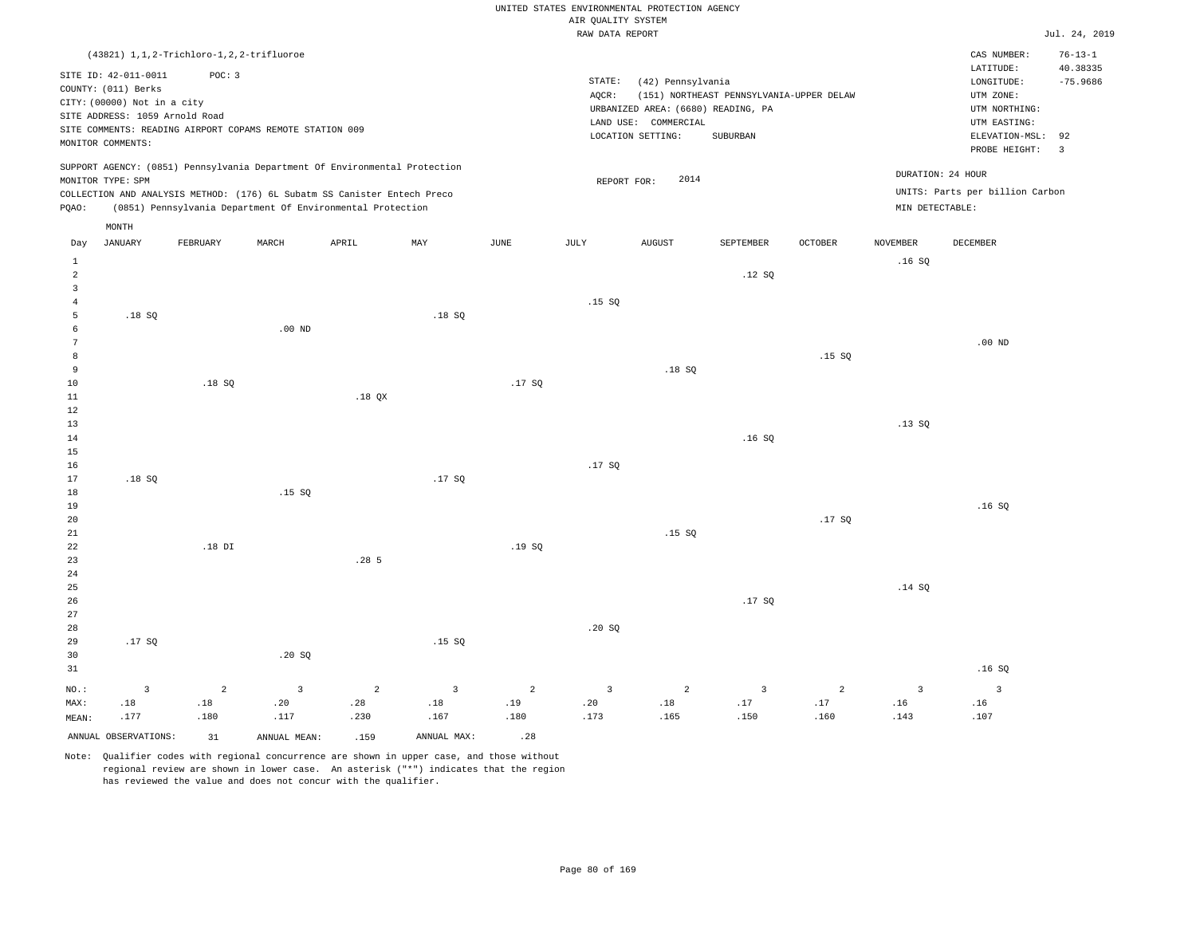|                                  |                                                                                                                            |                |                                                          |                                                                            |                |                |                                       | UNITED STATES ENVIRONMENTAL PROTECTION AGENCY |                                          |                |                 |                                                     |                                         |
|----------------------------------|----------------------------------------------------------------------------------------------------------------------------|----------------|----------------------------------------------------------|----------------------------------------------------------------------------|----------------|----------------|---------------------------------------|-----------------------------------------------|------------------------------------------|----------------|-----------------|-----------------------------------------------------|-----------------------------------------|
|                                  |                                                                                                                            |                |                                                          |                                                                            |                |                | AIR QUALITY SYSTEM<br>RAW DATA REPORT |                                               |                                          |                |                 |                                                     | Jul. 24, 2019                           |
|                                  |                                                                                                                            |                |                                                          |                                                                            |                |                |                                       |                                               |                                          |                |                 |                                                     |                                         |
|                                  | (43821) 1, 1, 2-Trichloro-1, 2, 2-trifluoroe<br>SITE ID: 42-011-0011<br>COUNTY: (011) Berks<br>CITY: (00000) Not in a city | POC: 3         |                                                          |                                                                            |                |                | STATE:<br>AOCR:                       | (42) Pennsylvania                             | (151) NORTHEAST PENNSYLVANIA-UPPER DELAW |                |                 | CAS NUMBER:<br>LATITUDE:<br>LONGITUDE:<br>UTM ZONE: | $76 - 13 - 1$<br>40.38335<br>$-75.9686$ |
|                                  | SITE ADDRESS: 1059 Arnold Road                                                                                             |                |                                                          |                                                                            |                |                |                                       | URBANIZED AREA: (6680) READING, PA            |                                          |                |                 | UTM NORTHING:                                       |                                         |
|                                  |                                                                                                                            |                | SITE COMMENTS: READING AIRPORT COPAMS REMOTE STATION 009 |                                                                            |                |                |                                       | LAND USE: COMMERCIAL                          |                                          |                |                 | UTM EASTING:                                        |                                         |
|                                  | MONITOR COMMENTS:                                                                                                          |                |                                                          |                                                                            |                |                |                                       | LOCATION SETTING:                             | SUBURBAN                                 |                |                 | ELEVATION-MSL:<br>PROBE HEIGHT:                     | 92<br>$\overline{\mathbf{3}}$           |
|                                  | MONITOR TYPE: SPM                                                                                                          |                |                                                          | SUPPORT AGENCY: (0851) Pennsylvania Department Of Environmental Protection |                |                | REPORT FOR:                           | 2014                                          |                                          |                |                 | DURATION: 24 HOUR                                   |                                         |
|                                  |                                                                                                                            |                |                                                          | COLLECTION AND ANALYSIS METHOD: (176) 6L Subatm SS Canister Entech Preco   |                |                |                                       |                                               |                                          |                |                 | UNITS: Parts per billion Carbon                     |                                         |
| PQAO:                            |                                                                                                                            |                |                                                          | (0851) Pennsylvania Department Of Environmental Protection                 |                |                |                                       |                                               |                                          |                | MIN DETECTABLE: |                                                     |                                         |
|                                  | MONTH<br><b>JANUARY</b>                                                                                                    | FEBRUARY       | MARCH                                                    | APRIL                                                                      | MAY            | <b>JUNE</b>    | JULY                                  | <b>AUGUST</b>                                 | <b>SEPTEMBER</b>                         | <b>OCTOBER</b> | <b>NOVEMBER</b> | <b>DECEMBER</b>                                     |                                         |
| Day                              |                                                                                                                            |                |                                                          |                                                                            |                |                |                                       |                                               |                                          |                |                 |                                                     |                                         |
| $\mathbf{1}$<br>$\overline{a}$   |                                                                                                                            |                |                                                          |                                                                            |                |                |                                       |                                               | .12S                                     |                | .16SQ           |                                                     |                                         |
| $\overline{3}$<br>$\overline{4}$ |                                                                                                                            |                |                                                          |                                                                            |                |                | .15S                                  |                                               |                                          |                |                 |                                                     |                                         |
| $\overline{5}$                   | .18SQ                                                                                                                      |                |                                                          |                                                                            | .18SQ          |                |                                       |                                               |                                          |                |                 |                                                     |                                         |
| 6                                |                                                                                                                            |                | $.00$ ND                                                 |                                                                            |                |                |                                       |                                               |                                          |                |                 |                                                     |                                         |
| $\overline{7}$                   |                                                                                                                            |                |                                                          |                                                                            |                |                |                                       |                                               |                                          |                |                 | $.00$ ND                                            |                                         |
| 8                                |                                                                                                                            |                |                                                          |                                                                            |                |                |                                       |                                               |                                          | .15S           |                 |                                                     |                                         |
| 9                                |                                                                                                                            |                |                                                          |                                                                            |                |                |                                       | .18SQ                                         |                                          |                |                 |                                                     |                                         |
| $10$                             |                                                                                                                            | .18SQ          |                                                          |                                                                            |                | .17SQ          |                                       |                                               |                                          |                |                 |                                                     |                                         |
| 11                               |                                                                                                                            |                |                                                          | $.18$ QX                                                                   |                |                |                                       |                                               |                                          |                |                 |                                                     |                                         |
| 12                               |                                                                                                                            |                |                                                          |                                                                            |                |                |                                       |                                               |                                          |                |                 |                                                     |                                         |
| 13<br>14                         |                                                                                                                            |                |                                                          |                                                                            |                |                |                                       |                                               | .16S                                     |                | .13SQ           |                                                     |                                         |
| 15                               |                                                                                                                            |                |                                                          |                                                                            |                |                |                                       |                                               |                                          |                |                 |                                                     |                                         |
| 16                               |                                                                                                                            |                |                                                          |                                                                            |                |                | .17S                                  |                                               |                                          |                |                 |                                                     |                                         |
| 17                               | .18SQ                                                                                                                      |                |                                                          |                                                                            | .17SQ          |                |                                       |                                               |                                          |                |                 |                                                     |                                         |
| 18                               |                                                                                                                            |                | .15S                                                     |                                                                            |                |                |                                       |                                               |                                          |                |                 |                                                     |                                         |
| 19                               |                                                                                                                            |                |                                                          |                                                                            |                |                |                                       |                                               |                                          |                |                 | .16SQ                                               |                                         |
| 20                               |                                                                                                                            |                |                                                          |                                                                            |                |                |                                       |                                               |                                          | .17SQ          |                 |                                                     |                                         |
| 21                               |                                                                                                                            |                |                                                          |                                                                            |                |                |                                       | .15S                                          |                                          |                |                 |                                                     |                                         |
| 22                               |                                                                                                                            | $.18$ DI       |                                                          |                                                                            |                | .19SQ          |                                       |                                               |                                          |                |                 |                                                     |                                         |
| 23                               |                                                                                                                            |                |                                                          | .285                                                                       |                |                |                                       |                                               |                                          |                |                 |                                                     |                                         |
| 24<br>25                         |                                                                                                                            |                |                                                          |                                                                            |                |                |                                       |                                               |                                          |                | .14S            |                                                     |                                         |
| 26                               |                                                                                                                            |                |                                                          |                                                                            |                |                |                                       |                                               | .17SQ                                    |                |                 |                                                     |                                         |
| 27                               |                                                                                                                            |                |                                                          |                                                                            |                |                |                                       |                                               |                                          |                |                 |                                                     |                                         |
| 28                               |                                                                                                                            |                |                                                          |                                                                            |                |                | .20S                                  |                                               |                                          |                |                 |                                                     |                                         |
| 29                               | .17SQ                                                                                                                      |                |                                                          |                                                                            | .15SQ          |                |                                       |                                               |                                          |                |                 |                                                     |                                         |
| 30                               |                                                                                                                            |                | .20SQ                                                    |                                                                            |                |                |                                       |                                               |                                          |                |                 |                                                     |                                         |
| 31                               |                                                                                                                            |                |                                                          |                                                                            |                |                |                                       |                                               |                                          |                |                 | .16SQ                                               |                                         |
| NO.:                             | $\overline{3}$                                                                                                             | $\overline{a}$ | $\overline{3}$                                           | 2                                                                          | $\overline{3}$ | $\overline{2}$ | $\overline{3}$                        | 2                                             | $\overline{3}$                           | 2              | $\overline{3}$  | $\overline{3}$                                      |                                         |
| MAX:                             | .18                                                                                                                        | $.18\,$        | .20                                                      | .28                                                                        | $.18\,$        | .19            | .20                                   | .18                                           | .17                                      | .17            | .16             | .16                                                 |                                         |
| MEAN:                            | .177                                                                                                                       | .180           | .117                                                     | .230                                                                       | .167           | .180           | .173                                  | .165                                          | .150                                     | .160           | .143            | .107                                                |                                         |
|                                  | ANNUAL OBSERVATIONS:                                                                                                       | 31             | ANNUAL MEAN:                                             | .159                                                                       | ANNUAL MAX:    | .28            |                                       |                                               |                                          |                |                 |                                                     |                                         |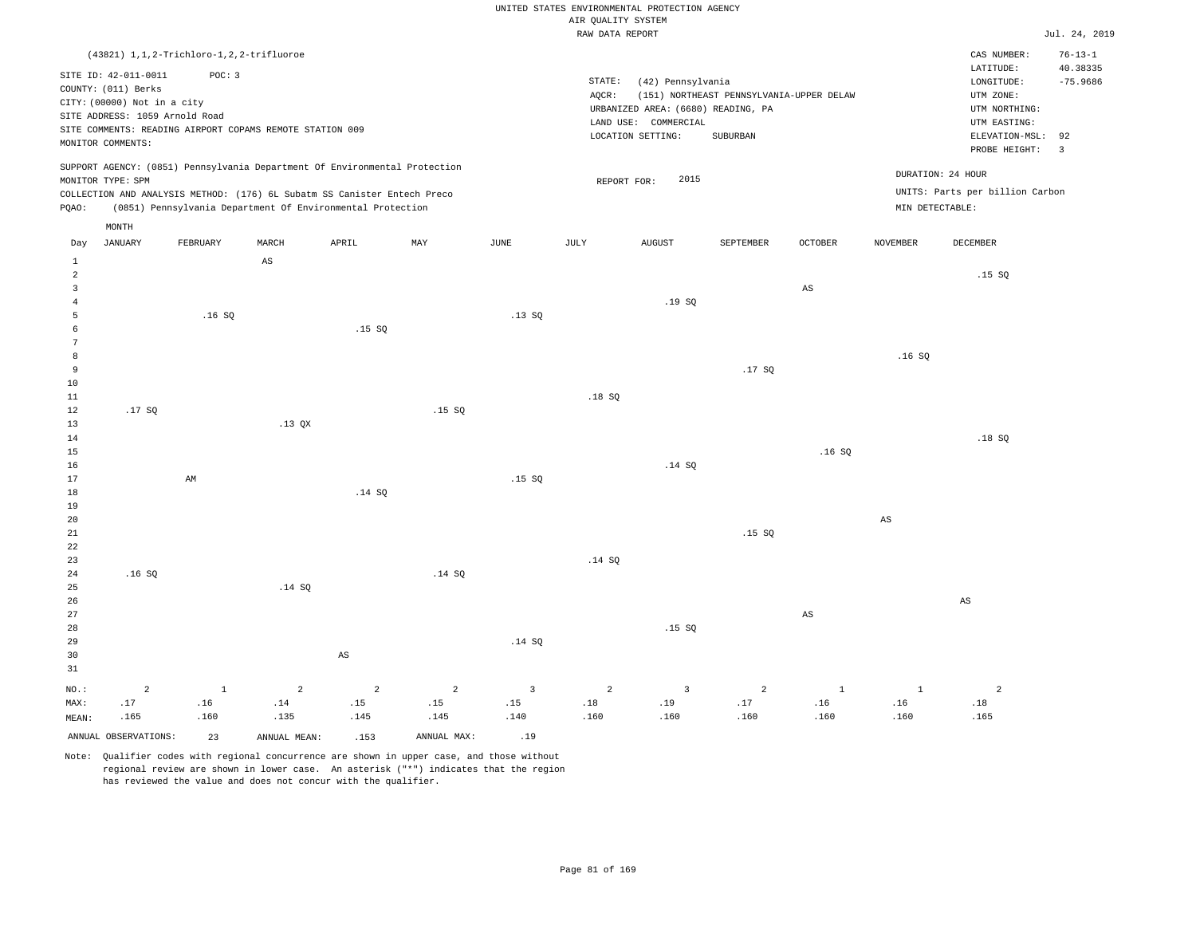UNITED STATES ENVIRONMENTAL PROTECTION AGENCY AIR OUALITY SYSTEM

|                                                                              |                                                                                                                                   |                                                                                                                    |             |                                                                                                                                                                                                                      |        |             | und Kountry arathu<br>RAW DATA REPORT |                                                                |                                                                                                   |                        |                                      |                                                                                                                         | Jul. 24, 2019                                                             |
|------------------------------------------------------------------------------|-----------------------------------------------------------------------------------------------------------------------------------|--------------------------------------------------------------------------------------------------------------------|-------------|----------------------------------------------------------------------------------------------------------------------------------------------------------------------------------------------------------------------|--------|-------------|---------------------------------------|----------------------------------------------------------------|---------------------------------------------------------------------------------------------------|------------------------|--------------------------------------|-------------------------------------------------------------------------------------------------------------------------|---------------------------------------------------------------------------|
|                                                                              |                                                                                                                                   |                                                                                                                    |             |                                                                                                                                                                                                                      |        |             |                                       |                                                                |                                                                                                   |                        |                                      |                                                                                                                         |                                                                           |
|                                                                              | SITE ID: 42-011-0011<br>COUNTY: (011) Berks<br>CITY: (00000) Not in a city<br>SITE ADDRESS: 1059 Arnold Road<br>MONITOR COMMENTS: | (43821) 1, 1, 2-Trichloro-1, 2, 2-trifluoroe<br>POC: 3<br>SITE COMMENTS: READING AIRPORT COPAMS REMOTE STATION 009 |             |                                                                                                                                                                                                                      |        |             | STATE:<br>AQCR:                       | (42) Pennsylvania<br>LAND USE: COMMERCIAL<br>LOCATION SETTING: | (151) NORTHEAST PENNSYLVANIA-UPPER DELAW<br>URBANIZED AREA: (6680) READING, PA<br><b>SUBURBAN</b> |                        |                                      | CAS NUMBER:<br>LATITUDE:<br>LONGITUDE:<br>UTM ZONE:<br>UTM NORTHING:<br>UTM EASTING:<br>ELEVATION-MSL:<br>PROBE HEIGHT: | $76 - 13 - 1$<br>40.38335<br>$-75.9686$<br>92<br>$\overline{\phantom{a}}$ |
| PQAO:                                                                        | MONITOR TYPE: SPM                                                                                                                 |                                                                                                                    |             | SUPPORT AGENCY: (0851) Pennsylvania Department Of Environmental Protection<br>COLLECTION AND ANALYSIS METHOD: (176) 6L Subatm SS Canister Entech Preco<br>(0851) Pennsylvania Department Of Environmental Protection |        |             | REPORT FOR:                           | 2015                                                           |                                                                                                   |                        | DURATION: 24 HOUR<br>MIN DETECTABLE: | UNITS: Parts per billion Carbon                                                                                         |                                                                           |
| Day                                                                          | MONTH<br><b>JANUARY</b>                                                                                                           | FEBRUARY                                                                                                           | MARCH       | APRIL                                                                                                                                                                                                                | MAY    | <b>JUNE</b> | <b>JULY</b>                           | <b>AUGUST</b>                                                  | SEPTEMBER                                                                                         | <b>OCTOBER</b>         | <b>NOVEMBER</b>                      | <b>DECEMBER</b>                                                                                                         |                                                                           |
| $\mathbf{1}$<br>$\overline{a}$<br>$\overline{3}$<br>$\overline{4}$<br>5<br>6 |                                                                                                                                   | .16S                                                                                                               | $_{\rm AS}$ | .15S                                                                                                                                                                                                                 |        | .13SQ       |                                       | .19SQ                                                          |                                                                                                   | $\mathbb{A}\mathbb{S}$ |                                      | .15SQ                                                                                                                   |                                                                           |
| 7<br>8<br>9<br>10<br>11                                                      |                                                                                                                                   |                                                                                                                    |             |                                                                                                                                                                                                                      |        |             | .18S                                  |                                                                | .17SQ                                                                                             |                        | .16S                                 |                                                                                                                         |                                                                           |
| 12<br>13<br>14<br>15<br>16                                                   | .17SQ                                                                                                                             |                                                                                                                    | $.13$ QX    |                                                                                                                                                                                                                      | .15S   |             |                                       | .14 S0                                                         |                                                                                                   | .16SQ                  |                                      | .18S                                                                                                                    |                                                                           |
| 17<br>18<br>19<br>20<br>21                                                   |                                                                                                                                   | AM                                                                                                                 |             | .14SQ                                                                                                                                                                                                                |        | .15S        |                                       |                                                                | .15S                                                                                              |                        | AS                                   |                                                                                                                         |                                                                           |
| 22<br>23<br>24<br>25<br>26                                                   | .16S                                                                                                                              |                                                                                                                    | .14 SQ      |                                                                                                                                                                                                                      | .14 SQ |             | .14 SQ                                |                                                                |                                                                                                   |                        |                                      | AS                                                                                                                      |                                                                           |

27 28 29 30 31 NO.: MAX: MEAN: 2 .17 .165 AS .14 SQ .15 SQ AS 1 .16 .160 2 .14 .135 2 .15 .145 2 .15 .145 3 .15 .140 2 .18 .160 3 .19 .160 2 .17 .160 1 .16 .160 1 .16 .160 2 .18 .165 ANNUAL OBSERVATIONS: 23 ANNUAL MEAN: .153 ANNUAL MAX: .19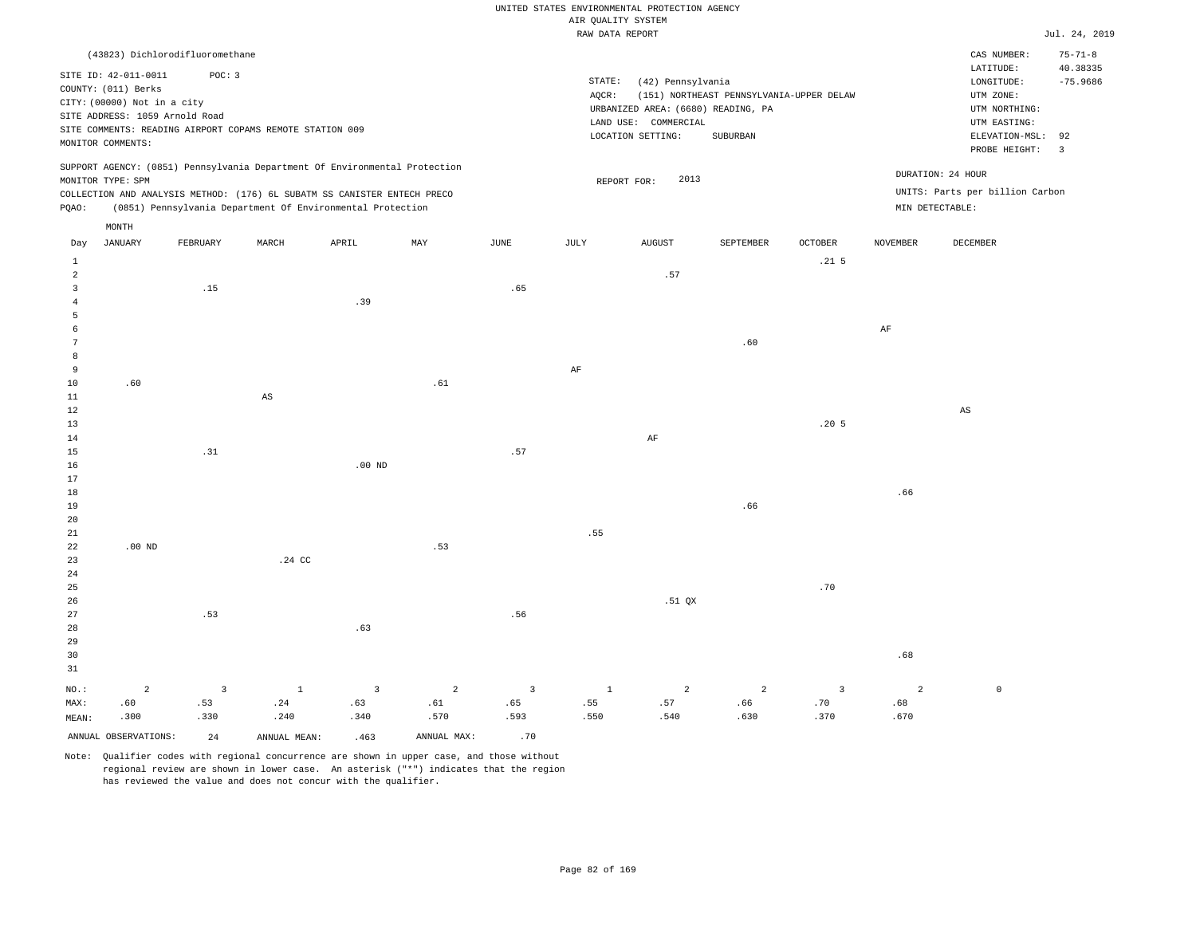# UNITED STATES ENVIRONMENTAL PROTECTION AGENCY AIR QUALITY SYSTEM

|                                  |                                                                            |                                 |                                                          |                                                                                                                                        |     |               |                 | RAW DATA REPORT                                         |                                          |                  |                 |                                                       | Jul. 24, 2019            |
|----------------------------------|----------------------------------------------------------------------------|---------------------------------|----------------------------------------------------------|----------------------------------------------------------------------------------------------------------------------------------------|-----|---------------|-----------------|---------------------------------------------------------|------------------------------------------|------------------|-----------------|-------------------------------------------------------|--------------------------|
|                                  |                                                                            | (43823) Dichlorodifluoromethane |                                                          |                                                                                                                                        |     |               |                 |                                                         |                                          |                  |                 | CAS NUMBER:                                           | $75 - 71 - 8$            |
|                                  | SITE ID: 42-011-0011<br>COUNTY: (011) Berks<br>CITY: (00000) Not in a city | POC: 3                          |                                                          |                                                                                                                                        |     |               | STATE:<br>AQCR: | (42) Pennsylvania<br>URBANIZED AREA: (6680) READING, PA | (151) NORTHEAST PENNSYLVANIA-UPPER DELAW |                  |                 | LATITUDE:<br>LONGITUDE:<br>UTM ZONE:<br>UTM NORTHING: | 40.38335<br>$-75.9686$   |
|                                  | SITE ADDRESS: 1059 Arnold Road                                             |                                 |                                                          |                                                                                                                                        |     |               |                 | LAND USE: COMMERCIAL                                    |                                          |                  |                 | UTM EASTING:                                          |                          |
|                                  |                                                                            |                                 | SITE COMMENTS: READING AIRPORT COPAMS REMOTE STATION 009 |                                                                                                                                        |     |               |                 | LOCATION SETTING:                                       | SUBURBAN                                 |                  |                 | ELEVATION-MSL:                                        | 92                       |
|                                  | MONITOR COMMENTS:                                                          |                                 |                                                          |                                                                                                                                        |     |               |                 |                                                         |                                          |                  |                 | PROBE HEIGHT:                                         | $\overline{\phantom{a}}$ |
|                                  |                                                                            |                                 |                                                          | SUPPORT AGENCY: (0851) Pennsylvania Department Of Environmental Protection                                                             |     |               |                 |                                                         |                                          |                  |                 | DURATION: 24 HOUR                                     |                          |
|                                  | MONITOR TYPE: SPM                                                          |                                 |                                                          |                                                                                                                                        |     |               |                 | 2013<br>REPORT FOR:                                     |                                          |                  |                 | UNITS: Parts per billion Carbon                       |                          |
| PQAO:                            |                                                                            |                                 |                                                          | COLLECTION AND ANALYSIS METHOD: (176) 6L SUBATM SS CANISTER ENTECH PRECO<br>(0851) Pennsylvania Department Of Environmental Protection |     |               |                 |                                                         |                                          |                  |                 | MIN DETECTABLE:                                       |                          |
|                                  | MONTH                                                                      |                                 |                                                          |                                                                                                                                        |     |               |                 |                                                         |                                          |                  |                 |                                                       |                          |
| Day                              | JANUARY                                                                    | FEBRUARY                        | MARCH                                                    | APRIL                                                                                                                                  | MAY | $_{\rm JUNE}$ | JULY            | AUGUST                                                  | SEPTEMBER                                | <b>OCTOBER</b>   | <b>NOVEMBER</b> | DECEMBER                                              |                          |
| $1\,$                            |                                                                            |                                 |                                                          |                                                                                                                                        |     |               |                 |                                                         |                                          | .21 <sub>5</sub> |                 |                                                       |                          |
| $\overline{2}$                   |                                                                            |                                 |                                                          |                                                                                                                                        |     |               |                 | .57                                                     |                                          |                  |                 |                                                       |                          |
| $\overline{3}$<br>$\overline{4}$ |                                                                            | .15                             |                                                          | .39                                                                                                                                    |     | .65           |                 |                                                         |                                          |                  |                 |                                                       |                          |
| 5                                |                                                                            |                                 |                                                          |                                                                                                                                        |     |               |                 |                                                         |                                          |                  |                 |                                                       |                          |
| 6                                |                                                                            |                                 |                                                          |                                                                                                                                        |     |               |                 |                                                         |                                          |                  | $\rm{AF}$       |                                                       |                          |
| 7                                |                                                                            |                                 |                                                          |                                                                                                                                        |     |               |                 |                                                         | .60                                      |                  |                 |                                                       |                          |
| 8                                |                                                                            |                                 |                                                          |                                                                                                                                        |     |               |                 |                                                         |                                          |                  |                 |                                                       |                          |
| $\overline{9}$                   |                                                                            |                                 |                                                          |                                                                                                                                        |     |               | $\rm{AF}$       |                                                         |                                          |                  |                 |                                                       |                          |
| 10                               | .60                                                                        |                                 |                                                          |                                                                                                                                        | .61 |               |                 |                                                         |                                          |                  |                 |                                                       |                          |
| 11                               |                                                                            |                                 | $\mathbb{A}\mathbb{S}$                                   |                                                                                                                                        |     |               |                 |                                                         |                                          |                  |                 |                                                       |                          |
| 12                               |                                                                            |                                 |                                                          |                                                                                                                                        |     |               |                 |                                                         |                                          |                  |                 | $\mathbb{A}\mathbb{S}$                                |                          |
| 13                               |                                                                            |                                 |                                                          |                                                                                                                                        |     |               |                 |                                                         |                                          | .205             |                 |                                                       |                          |
| 14                               |                                                                            |                                 |                                                          |                                                                                                                                        |     | .57           |                 | AF                                                      |                                          |                  |                 |                                                       |                          |
| 15<br>16                         |                                                                            | .31                             |                                                          | $.00$ ND                                                                                                                               |     |               |                 |                                                         |                                          |                  |                 |                                                       |                          |
| 17                               |                                                                            |                                 |                                                          |                                                                                                                                        |     |               |                 |                                                         |                                          |                  |                 |                                                       |                          |
| $18\,$                           |                                                                            |                                 |                                                          |                                                                                                                                        |     |               |                 |                                                         |                                          |                  | .66             |                                                       |                          |
| 19                               |                                                                            |                                 |                                                          |                                                                                                                                        |     |               |                 |                                                         | .66                                      |                  |                 |                                                       |                          |
| 20                               |                                                                            |                                 |                                                          |                                                                                                                                        |     |               |                 |                                                         |                                          |                  |                 |                                                       |                          |
| 21                               |                                                                            |                                 |                                                          |                                                                                                                                        |     |               | .55             |                                                         |                                          |                  |                 |                                                       |                          |
| 22                               | $.00$ ND                                                                   |                                 |                                                          |                                                                                                                                        | .53 |               |                 |                                                         |                                          |                  |                 |                                                       |                          |
| 23                               |                                                                            |                                 | .24 CC                                                   |                                                                                                                                        |     |               |                 |                                                         |                                          |                  |                 |                                                       |                          |
| 24                               |                                                                            |                                 |                                                          |                                                                                                                                        |     |               |                 |                                                         |                                          |                  |                 |                                                       |                          |
| 25                               |                                                                            |                                 |                                                          |                                                                                                                                        |     |               |                 |                                                         |                                          | .70              |                 |                                                       |                          |
| 26                               |                                                                            |                                 |                                                          |                                                                                                                                        |     |               |                 | .51 QX                                                  |                                          |                  |                 |                                                       |                          |
| 27<br>28                         |                                                                            | .53                             |                                                          | .63                                                                                                                                    |     | .56           |                 |                                                         |                                          |                  |                 |                                                       |                          |
| 29                               |                                                                            |                                 |                                                          |                                                                                                                                        |     |               |                 |                                                         |                                          |                  |                 |                                                       |                          |
| 30                               |                                                                            |                                 |                                                          |                                                                                                                                        |     |               |                 |                                                         |                                          |                  | .68             |                                                       |                          |
| 31                               |                                                                            |                                 |                                                          |                                                                                                                                        |     |               |                 |                                                         |                                          |                  |                 |                                                       |                          |

NO.: MAX: MEAN: 2 .60 .300 3 .53 .330 1 .24 .240 3 .63 .340 2 .61 .570 3 .65 .593 1 .55 .550 2 .57 .540 2 .66 .630 3 .70 .370 2 .68 .670  $\mathbf 0$ 

ANNUAL OBSERVATIONS:  $24$  ANNUAL MEAN: .463 ANNUAL MAX: .70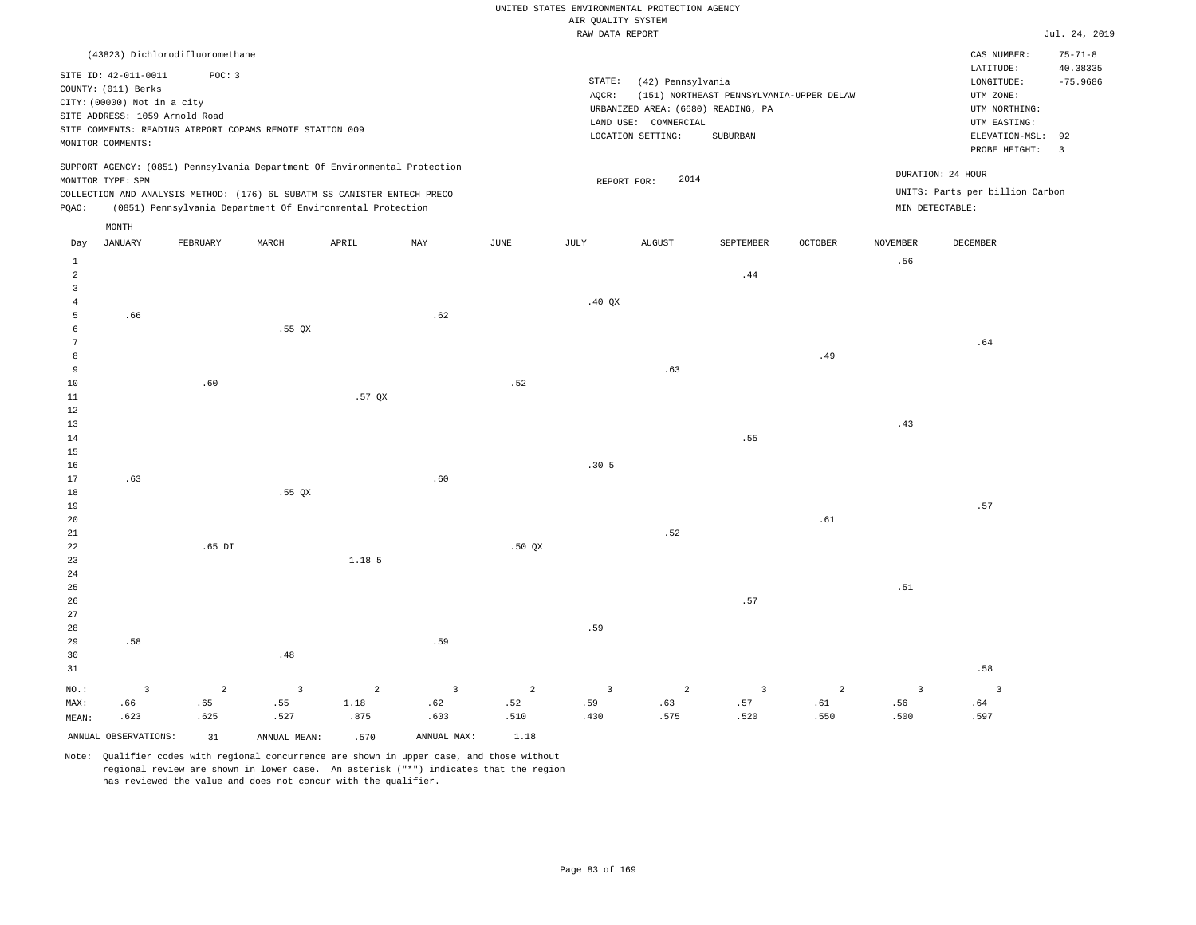|  |  |                    | UNITED STATES ENVIRONMENTAL PROTECTION AGENCY |  |
|--|--|--------------------|-----------------------------------------------|--|
|  |  | AIR OUALITY SYSTEM |                                               |  |

|                 |                                |                                 |                                                                            |                |                         |                       | RAW DATA REPORT |                                    |                                          |                |                 |                                 | Jul. 24, 2019  |
|-----------------|--------------------------------|---------------------------------|----------------------------------------------------------------------------|----------------|-------------------------|-----------------------|-----------------|------------------------------------|------------------------------------------|----------------|-----------------|---------------------------------|----------------|
|                 |                                | (43823) Dichlorodifluoromethane |                                                                            |                |                         |                       |                 |                                    |                                          |                |                 | CAS NUMBER:                     | $75 - 71 - 8$  |
|                 |                                |                                 |                                                                            |                |                         |                       |                 |                                    |                                          |                |                 | LATITUDE:                       | 40.38335       |
|                 | SITE ID: 42-011-0011           | POC: 3                          |                                                                            |                |                         |                       | STATE:          | (42) Pennsylvania                  |                                          |                |                 | LONGITUDE:                      | $-75.9686$     |
|                 | COUNTY: (011) Berks            |                                 |                                                                            |                |                         |                       | AQCR:           |                                    | (151) NORTHEAST PENNSYLVANIA-UPPER DELAW |                |                 | UTM ZONE:                       |                |
|                 | CITY: (00000) Not in a city    |                                 |                                                                            |                |                         |                       |                 | URBANIZED AREA: (6680) READING, PA |                                          |                |                 | UTM NORTHING:                   |                |
|                 | SITE ADDRESS: 1059 Arnold Road |                                 |                                                                            |                |                         |                       |                 | LAND USE: COMMERCIAL               |                                          |                |                 | UTM EASTING:                    |                |
|                 |                                |                                 | SITE COMMENTS: READING AIRPORT COPAMS REMOTE STATION 009                   |                |                         |                       |                 | LOCATION SETTING:                  | SUBURBAN                                 |                |                 | ELEVATION-MSL: 92               |                |
|                 | MONITOR COMMENTS:              |                                 |                                                                            |                |                         |                       |                 |                                    |                                          |                |                 | PROBE HEIGHT:                   | $\overline{3}$ |
|                 |                                |                                 | SUPPORT AGENCY: (0851) Pennsylvania Department Of Environmental Protection |                |                         |                       |                 |                                    |                                          |                |                 |                                 |                |
|                 | MONITOR TYPE: SPM              |                                 |                                                                            |                |                         |                       | REPORT FOR:     | 2014                               |                                          |                |                 | DURATION: 24 HOUR               |                |
|                 |                                |                                 | COLLECTION AND ANALYSIS METHOD: (176) 6L SUBATM SS CANISTER ENTECH PRECO   |                |                         |                       |                 |                                    |                                          |                |                 | UNITS: Parts per billion Carbon |                |
| PQAO:           |                                |                                 | (0851) Pennsylvania Department Of Environmental Protection                 |                |                         |                       |                 |                                    |                                          |                |                 | MIN DETECTABLE:                 |                |
|                 | MONTH                          |                                 |                                                                            |                |                         |                       |                 |                                    |                                          |                |                 |                                 |                |
| Day             | <b>JANUARY</b>                 | FEBRUARY                        | MARCH                                                                      | APRIL          | MAY                     | $\operatorname{JUNE}$ | $\mathtt{JULY}$ | <b>AUGUST</b>                      | SEPTEMBER                                | OCTOBER        | <b>NOVEMBER</b> | DECEMBER                        |                |
| 1               |                                |                                 |                                                                            |                |                         |                       |                 |                                    |                                          |                | .56             |                                 |                |
| $\overline{a}$  |                                |                                 |                                                                            |                |                         |                       |                 |                                    | .44                                      |                |                 |                                 |                |
| 3               |                                |                                 |                                                                            |                |                         |                       |                 |                                    |                                          |                |                 |                                 |                |
| $\overline{4}$  |                                |                                 |                                                                            |                |                         |                       | .40QX           |                                    |                                          |                |                 |                                 |                |
| 5               | .66                            |                                 |                                                                            |                | .62                     |                       |                 |                                    |                                          |                |                 |                                 |                |
| 6               |                                |                                 | $.55$ QX                                                                   |                |                         |                       |                 |                                    |                                          |                |                 |                                 |                |
| $7\phantom{.0}$ |                                |                                 |                                                                            |                |                         |                       |                 |                                    |                                          |                |                 | .64                             |                |
| 8               |                                |                                 |                                                                            |                |                         |                       |                 |                                    |                                          | .49            |                 |                                 |                |
| 9               |                                |                                 |                                                                            |                |                         |                       |                 | .63                                |                                          |                |                 |                                 |                |
| 10              |                                | .60                             |                                                                            |                |                         | .52                   |                 |                                    |                                          |                |                 |                                 |                |
| 11              |                                |                                 |                                                                            | .57 OX         |                         |                       |                 |                                    |                                          |                |                 |                                 |                |
| $1\,2$          |                                |                                 |                                                                            |                |                         |                       |                 |                                    |                                          |                |                 |                                 |                |
| 13              |                                |                                 |                                                                            |                |                         |                       |                 |                                    |                                          |                | .43             |                                 |                |
| 14              |                                |                                 |                                                                            |                |                         |                       |                 |                                    | .55                                      |                |                 |                                 |                |
| 15              |                                |                                 |                                                                            |                |                         |                       |                 |                                    |                                          |                |                 |                                 |                |
| 16              |                                |                                 |                                                                            |                |                         |                       | .305            |                                    |                                          |                |                 |                                 |                |
| 17              | .63                            |                                 |                                                                            |                | .60                     |                       |                 |                                    |                                          |                |                 |                                 |                |
| 18              |                                |                                 | $.55$ QX                                                                   |                |                         |                       |                 |                                    |                                          |                |                 |                                 |                |
| 19<br>20        |                                |                                 |                                                                            |                |                         |                       |                 |                                    |                                          | .61            |                 | .57                             |                |
| 21              |                                |                                 |                                                                            |                |                         |                       |                 | .52                                |                                          |                |                 |                                 |                |
| 22              |                                | $.65$ DI                        |                                                                            |                |                         | $.50$ $OX$            |                 |                                    |                                          |                |                 |                                 |                |
| 23              |                                |                                 |                                                                            | 1.18 5         |                         |                       |                 |                                    |                                          |                |                 |                                 |                |
| 24              |                                |                                 |                                                                            |                |                         |                       |                 |                                    |                                          |                |                 |                                 |                |
| 25              |                                |                                 |                                                                            |                |                         |                       |                 |                                    |                                          |                | .51             |                                 |                |
| 26              |                                |                                 |                                                                            |                |                         |                       |                 |                                    | .57                                      |                |                 |                                 |                |
| 27              |                                |                                 |                                                                            |                |                         |                       |                 |                                    |                                          |                |                 |                                 |                |
| 28              |                                |                                 |                                                                            |                |                         |                       | .59             |                                    |                                          |                |                 |                                 |                |
| 29              | .58                            |                                 |                                                                            |                | .59                     |                       |                 |                                    |                                          |                |                 |                                 |                |
| 30              |                                |                                 | .48                                                                        |                |                         |                       |                 |                                    |                                          |                |                 |                                 |                |
| 31              |                                |                                 |                                                                            |                |                         |                       |                 |                                    |                                          |                |                 | .58                             |                |
| $NO.$ :         | $\overline{\mathbf{3}}$        | $\overline{2}$                  | $\overline{\mathbf{3}}$                                                    | $\overline{a}$ | $\overline{\mathbf{3}}$ | $\overline{2}$        | $\overline{3}$  | 2                                  | $\overline{3}$                           | $\overline{a}$ | $\overline{3}$  | $\overline{3}$                  |                |
| MAX:            | .66                            | .65                             | .55                                                                        | 1.18           | .62                     | .52                   | .59             | .63                                | .57                                      | .61            | .56             | .64                             |                |
| MEAN:           | .623                           | .625                            | .527                                                                       | .875           | .603                    | .510                  | .430            | .575                               | .520                                     | .550           | .500            | .597                            |                |
|                 | ANNUAL OBSERVATIONS:           | 31                              | ANNUAL MEAN:                                                               | .570           | ANNUAL MAX:             | 1.18                  |                 |                                    |                                          |                |                 |                                 |                |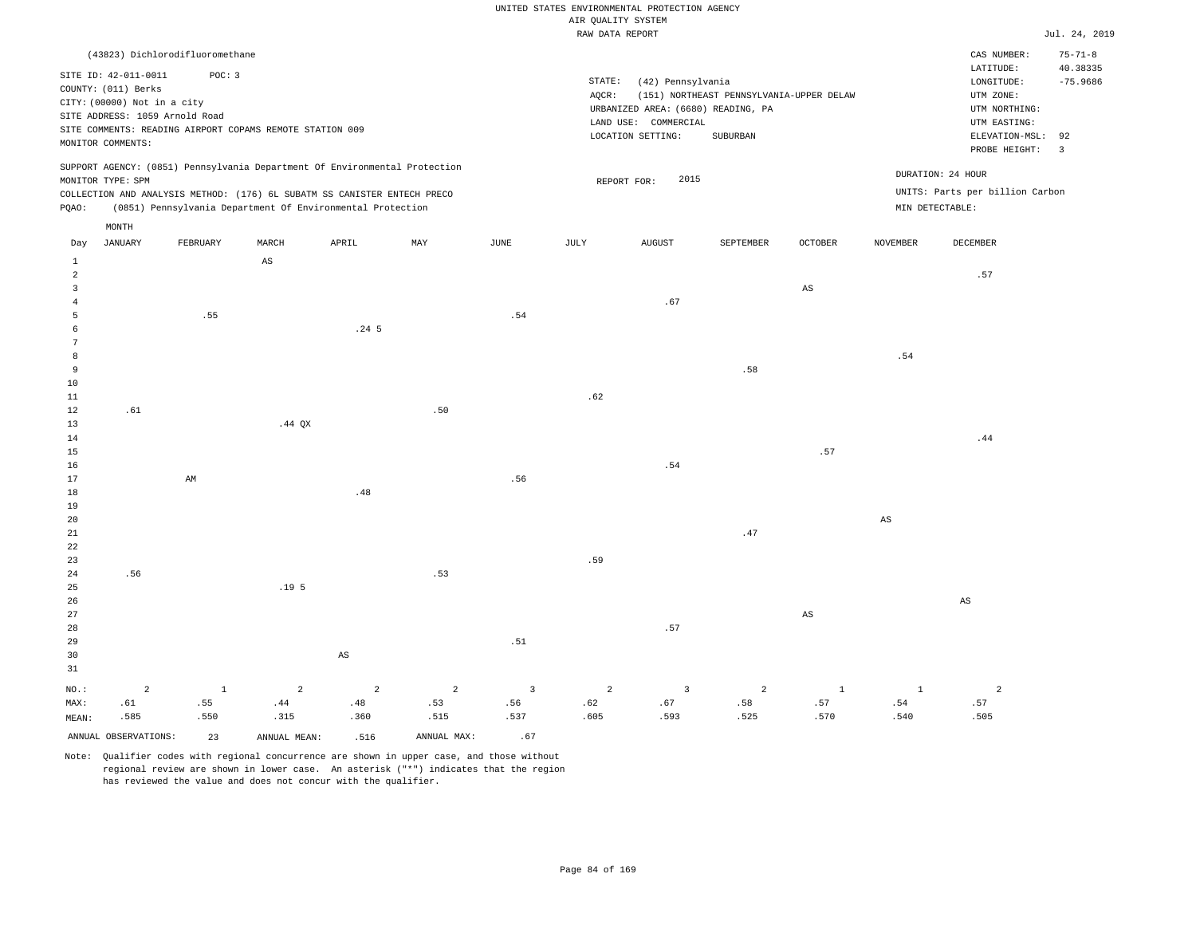#### RAW DATA REPORT JUL. 24, 2019 UNITED STATES ENVIRONMENTAL PROTECTION AGENCY AIR QUALITY SYSTEM

| (43823) Dichlorodifluoromethane                                                                                                                                                                                                                    |                                                                                                                                                                                 | $75 - 71 - 8$<br>CAS NUMBER:                                                                                                               |
|----------------------------------------------------------------------------------------------------------------------------------------------------------------------------------------------------------------------------------------------------|---------------------------------------------------------------------------------------------------------------------------------------------------------------------------------|--------------------------------------------------------------------------------------------------------------------------------------------|
| SITE ID: 42-011-0011<br>POC: 3<br>COUNTY: (011) Berks<br>CITY: (00000) Not in a city<br>SITE ADDRESS: 1059 Arnold Road<br>SITE COMMENTS: READING AIRPORT COPAMS REMOTE STATION 009<br>MONITOR COMMENTS:                                            | STATE:<br>(42) Pennsylvania<br>(151) NORTHEAST PENNSYLVANIA-UPPER DELAW<br>AOCR:<br>URBANIZED AREA: (6680) READING, PA<br>LAND USE: COMMERCIAL<br>LOCATION SETTING:<br>SUBURBAN | LATITUDE:<br>40.38335<br>$-75.9686$<br>LONGITUDE:<br>UTM ZONE:<br>UTM NORTHING:<br>UTM EASTING:<br>ELEVATION-MSL: 92<br>PROBE HEIGHT:<br>3 |
| SUPPORT AGENCY: (0851) Pennsylvania Department Of Environmental Protection<br>MONITOR TYPE: SPM<br>COLLECTION AND ANALYSIS METHOD: (176) 6L SUBATM SS CANISTER ENTECH PRECO<br>(0851) Pennsylvania Department Of Environmental Protection<br>POAO: | DURATION: 24 HOUR<br>2015<br>REPORT FOR:<br>MIN DETECTABLE:                                                                                                                     | UNITS: Parts per billion Carbon                                                                                                            |

|                | $\texttt{MONTH}$     |          |                  |                        |                           |                         |                |                         |                              |                        |                        |                        |
|----------------|----------------------|----------|------------------|------------------------|---------------------------|-------------------------|----------------|-------------------------|------------------------------|------------------------|------------------------|------------------------|
| Day            | JANUARY              | FEBRUARY | MARCH            | APRIL                  | $\ensuremath{\text{MAX}}$ | $_{\rm JUNE}$           | JULY           | AUGUST                  | SEPTEMBER                    | OCTOBER                | NOVEMBER               | DECEMBER               |
| $\mathbf{1}$   |                      |          | AS               |                        |                           |                         |                |                         |                              |                        |                        |                        |
| $\overline{a}$ |                      |          |                  |                        |                           |                         |                |                         |                              |                        |                        | .57                    |
| 3              |                      |          |                  |                        |                           |                         |                |                         |                              | $\mathbb{A}\mathbb{S}$ |                        |                        |
| $\overline{4}$ |                      |          |                  |                        |                           |                         |                | .67                     |                              |                        |                        |                        |
| 5              |                      | .55      |                  |                        |                           | .54                     |                |                         |                              |                        |                        |                        |
| 6              |                      |          |                  | .24 <sub>5</sub>       |                           |                         |                |                         |                              |                        |                        |                        |
| 7              |                      |          |                  |                        |                           |                         |                |                         |                              |                        |                        |                        |
| 8              |                      |          |                  |                        |                           |                         |                |                         |                              |                        | .54                    |                        |
| 9              |                      |          |                  |                        |                           |                         |                |                         | .58                          |                        |                        |                        |
| $10$           |                      |          |                  |                        |                           |                         |                |                         |                              |                        |                        |                        |
| $11\,$         |                      |          |                  |                        |                           |                         | .62            |                         |                              |                        |                        |                        |
| 12             | .61                  |          |                  |                        | .50                       |                         |                |                         |                              |                        |                        |                        |
| 13             |                      |          | .44 QX           |                        |                           |                         |                |                         |                              |                        |                        |                        |
| 14             |                      |          |                  |                        |                           |                         |                |                         |                              |                        |                        | .44                    |
| 15             |                      |          |                  |                        |                           |                         |                |                         |                              | .57                    |                        |                        |
| 16             |                      |          |                  |                        |                           |                         |                | $.54\,$                 |                              |                        |                        |                        |
| 17             |                      | AM       |                  |                        |                           | .56                     |                |                         |                              |                        |                        |                        |
| 18             |                      |          |                  | $.48\,$                |                           |                         |                |                         |                              |                        |                        |                        |
| 19             |                      |          |                  |                        |                           |                         |                |                         |                              |                        |                        |                        |
| $20\,$         |                      |          |                  |                        |                           |                         |                |                         |                              |                        | $\mathbb{A}\mathbb{S}$ |                        |
| $2\sqrt{1}$    |                      |          |                  |                        |                           |                         |                |                         | .47                          |                        |                        |                        |
| $_{\rm 22}$    |                      |          |                  |                        |                           |                         |                |                         |                              |                        |                        |                        |
| 23             |                      |          |                  |                        |                           |                         | .59            |                         |                              |                        |                        |                        |
| 24             | .56                  |          |                  |                        | .53                       |                         |                |                         |                              |                        |                        |                        |
| 25             |                      |          | .19 <sub>5</sub> |                        |                           |                         |                |                         |                              |                        |                        |                        |
| 26             |                      |          |                  |                        |                           |                         |                |                         |                              |                        |                        | $\mathbb{A}\mathbb{S}$ |
| 27             |                      |          |                  |                        |                           |                         |                |                         |                              | $\mathbb{A}\mathbb{S}$ |                        |                        |
| 28             |                      |          |                  |                        |                           |                         |                | .57                     |                              |                        |                        |                        |
| 29             |                      |          |                  |                        |                           | .51                     |                |                         |                              |                        |                        |                        |
| 30             |                      |          |                  | $\mathbb{A}\mathbb{S}$ |                           |                         |                |                         |                              |                        |                        |                        |
| 31             |                      |          |                  |                        |                           |                         |                |                         |                              |                        |                        |                        |
| $NO.$ :        | $\overline{a}$       | $\,$ 1   | $\overline{a}$   | $\overline{a}$         | $\overline{a}$            | $\overline{\mathbf{3}}$ | $\overline{a}$ | $\overline{\mathbf{3}}$ | $\overline{a}$               | $\mathbf{1}$           | $\,$ 1                 | $\overline{a}$         |
| MAX:           | .61                  | .55      | .44              | .48                    | .53                       | .56                     | .62            | .67                     | $\footnotesize\substack{58}$ | .57                    | .54                    | .57                    |
| MEAN:          | .585                 | .550     | .315             | .360                   | .515                      | .537                    | .605           | .593                    | .525                         | .570                   | .540                   | .505                   |
|                | ANNUAL OBSERVATIONS: | 23       | ANNUAL MEAN:     | .516                   | ANNUAL MAX:               | .67                     |                |                         |                              |                        |                        |                        |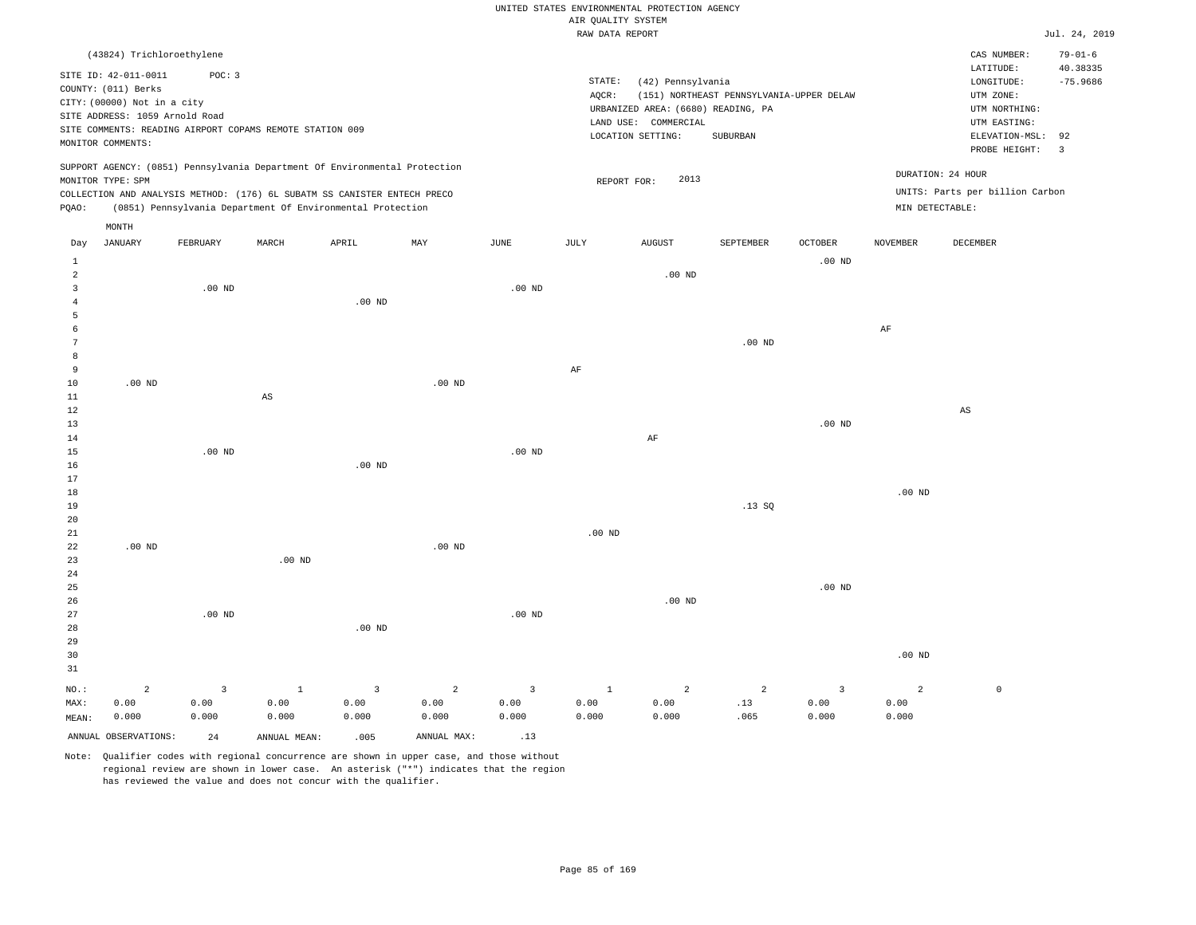|                |                                                                                                                                   |                                                                    |          |                                                                            |          |          |                    | UNITED STATES ENVIRONMENTAL PROTECTION AGENCY                                                        |                                                      |          |                 |                                                                            |                           |
|----------------|-----------------------------------------------------------------------------------------------------------------------------------|--------------------------------------------------------------------|----------|----------------------------------------------------------------------------|----------|----------|--------------------|------------------------------------------------------------------------------------------------------|------------------------------------------------------|----------|-----------------|----------------------------------------------------------------------------|---------------------------|
|                |                                                                                                                                   |                                                                    |          |                                                                            |          |          | AIR OUALITY SYSTEM |                                                                                                      |                                                      |          |                 |                                                                            |                           |
|                |                                                                                                                                   |                                                                    |          |                                                                            |          |          | RAW DATA REPORT    |                                                                                                      |                                                      |          |                 |                                                                            | Jul. 24, 2019             |
|                | (43824) Trichloroethylene                                                                                                         |                                                                    |          |                                                                            |          |          |                    |                                                                                                      |                                                      |          |                 | CAS NUMBER:<br>LATITUDE:                                                   | $79 - 01 - 6$<br>40.38335 |
|                | SITE ID: 42-011-0011<br>COUNTY: (011) Berks<br>CITY: (00000) Not in a city<br>SITE ADDRESS: 1059 Arnold Road<br>MONITOR COMMENTS: | POC: 3<br>SITE COMMENTS: READING AIRPORT COPAMS REMOTE STATION 009 |          |                                                                            |          |          | STATE:<br>AQCR:    | (42) Pennsylvania<br>URBANIZED AREA: (6680) READING, PA<br>LAND USE: COMMERCIAL<br>LOCATION SETTING: | (151) NORTHEAST PENNSYLVANIA-UPPER DELAW<br>SUBURBAN |          |                 | LONGITUDE:<br>UTM ZONE:<br>UTM NORTHING:<br>UTM EASTING:<br>ELEVATION-MSL: | $-75.9686$<br>92          |
|                |                                                                                                                                   |                                                                    |          |                                                                            |          |          |                    |                                                                                                      |                                                      |          |                 | PROBE HEIGHT:                                                              | $\overline{3}$            |
|                | MONITOR TYPE: SPM                                                                                                                 |                                                                    |          | SUPPORT AGENCY: (0851) Pennsylvania Department Of Environmental Protection |          |          |                    | 2013<br>REPORT FOR:                                                                                  |                                                      |          |                 | DURATION: 24 HOUR                                                          |                           |
|                |                                                                                                                                   |                                                                    |          | COLLECTION AND ANALYSIS METHOD: (176) 6L SUBATM SS CANISTER ENTECH PRECO   |          |          |                    |                                                                                                      |                                                      |          |                 | UNITS: Parts per billion Carbon                                            |                           |
| PQAO:          |                                                                                                                                   |                                                                    |          | (0851) Pennsylvania Department Of Environmental Protection                 |          |          |                    |                                                                                                      |                                                      |          | MIN DETECTABLE: |                                                                            |                           |
|                | MONTH                                                                                                                             |                                                                    |          |                                                                            |          |          |                    |                                                                                                      |                                                      |          |                 |                                                                            |                           |
| Day            | <b>JANUARY</b>                                                                                                                    | FEBRUARY                                                           | MARCH    | APRIL                                                                      | MAX      | JUNE     | JULY               | <b>AUGUST</b>                                                                                        | SEPTEMBER                                            | OCTOBER  | <b>NOVEMBER</b> | <b>DECEMBER</b>                                                            |                           |
| $\mathbf{1}$   |                                                                                                                                   |                                                                    |          |                                                                            |          |          |                    |                                                                                                      |                                                      | $.00$ ND |                 |                                                                            |                           |
| $\overline{2}$ |                                                                                                                                   |                                                                    |          |                                                                            |          |          |                    | $.00$ ND                                                                                             |                                                      |          |                 |                                                                            |                           |
| 3              |                                                                                                                                   | $.00$ ND                                                           |          |                                                                            |          | $.00$ ND |                    |                                                                                                      |                                                      |          |                 |                                                                            |                           |
| $\overline{4}$ |                                                                                                                                   |                                                                    |          | $.00$ ND                                                                   |          |          |                    |                                                                                                      |                                                      |          |                 |                                                                            |                           |
| 5              |                                                                                                                                   |                                                                    |          |                                                                            |          |          |                    |                                                                                                      |                                                      |          |                 |                                                                            |                           |
| 6              |                                                                                                                                   |                                                                    |          |                                                                            |          |          |                    |                                                                                                      |                                                      |          | AF              |                                                                            |                           |
| 7              |                                                                                                                                   |                                                                    |          |                                                                            |          |          |                    |                                                                                                      | .00 <sub>ND</sub>                                    |          |                 |                                                                            |                           |
| 8              |                                                                                                                                   |                                                                    |          |                                                                            |          |          |                    |                                                                                                      |                                                      |          |                 |                                                                            |                           |
| 9              |                                                                                                                                   |                                                                    |          |                                                                            |          |          | AF                 |                                                                                                      |                                                      |          |                 |                                                                            |                           |
| 10             | $.00$ ND                                                                                                                          |                                                                    |          |                                                                            | $.00$ ND |          |                    |                                                                                                      |                                                      |          |                 |                                                                            |                           |
| 11             |                                                                                                                                   |                                                                    | AS       |                                                                            |          |          |                    |                                                                                                      |                                                      |          |                 |                                                                            |                           |
| 12             |                                                                                                                                   |                                                                    |          |                                                                            |          |          |                    |                                                                                                      |                                                      |          |                 | $\mathbb{A}\mathbb{S}$                                                     |                           |
| 13             |                                                                                                                                   |                                                                    |          |                                                                            |          |          |                    |                                                                                                      |                                                      | $.00$ ND |                 |                                                                            |                           |
| 14             |                                                                                                                                   |                                                                    |          |                                                                            |          |          |                    | AF                                                                                                   |                                                      |          |                 |                                                                            |                           |
| 15             |                                                                                                                                   | $.00$ ND                                                           |          |                                                                            |          | $.00$ ND |                    |                                                                                                      |                                                      |          |                 |                                                                            |                           |
| 16             |                                                                                                                                   |                                                                    |          | .00 <sub>ND</sub>                                                          |          |          |                    |                                                                                                      |                                                      |          |                 |                                                                            |                           |
| 17             |                                                                                                                                   |                                                                    |          |                                                                            |          |          |                    |                                                                                                      |                                                      |          |                 |                                                                            |                           |
| 18             |                                                                                                                                   |                                                                    |          |                                                                            |          |          |                    |                                                                                                      |                                                      |          | $.00$ ND        |                                                                            |                           |
| 19             |                                                                                                                                   |                                                                    |          |                                                                            |          |          |                    |                                                                                                      | .13SQ                                                |          |                 |                                                                            |                           |
| 20             |                                                                                                                                   |                                                                    |          |                                                                            |          |          |                    |                                                                                                      |                                                      |          |                 |                                                                            |                           |
| 21             |                                                                                                                                   |                                                                    |          |                                                                            |          |          | $.00$ ND           |                                                                                                      |                                                      |          |                 |                                                                            |                           |
| 22             | $.00$ ND                                                                                                                          |                                                                    |          |                                                                            | $.00$ ND |          |                    |                                                                                                      |                                                      |          |                 |                                                                            |                           |
| 23<br>24       |                                                                                                                                   |                                                                    | $.00$ ND |                                                                            |          |          |                    |                                                                                                      |                                                      |          |                 |                                                                            |                           |
|                |                                                                                                                                   |                                                                    |          |                                                                            |          |          |                    |                                                                                                      |                                                      | $.00$ ND |                 |                                                                            |                           |
| 25<br>26       |                                                                                                                                   |                                                                    |          |                                                                            |          |          |                    | $.00$ ND                                                                                             |                                                      |          |                 |                                                                            |                           |
| 27             |                                                                                                                                   | $.00$ ND                                                           |          |                                                                            |          | $.00$ ND |                    |                                                                                                      |                                                      |          |                 |                                                                            |                           |
| 28             |                                                                                                                                   |                                                                    |          | $.00$ ND                                                                   |          |          |                    |                                                                                                      |                                                      |          |                 |                                                                            |                           |
| 29             |                                                                                                                                   |                                                                    |          |                                                                            |          |          |                    |                                                                                                      |                                                      |          |                 |                                                                            |                           |
| 30             |                                                                                                                                   |                                                                    |          |                                                                            |          |          |                    |                                                                                                      |                                                      |          | $.00$ ND        |                                                                            |                           |
|                |                                                                                                                                   |                                                                    |          |                                                                            |          |          |                    |                                                                                                      |                                                      |          |                 |                                                                            |                           |

| 31    |                      |       |                                                                          |       |             |       |       |       |      |       |       |  |
|-------|----------------------|-------|--------------------------------------------------------------------------|-------|-------------|-------|-------|-------|------|-------|-------|--|
|       | $NO.:$ 2             |       | $\begin{array}{ccccccccccccccccc} 3 & 1 & 3 & 2 & 3 & 1 & 2 \end{array}$ |       |             |       |       |       |      |       |       |  |
| MAX:  | 0.00                 | 0.00  | 0.00                                                                     | 0.00  | 0.00        | 0.00  | 0.00  | 0.00  |      | 0.00  | 0.00  |  |
| MEAN: | 0.000                | 0.000 | 0.000                                                                    | 0.000 | 0.000       | 0.000 | 0.000 | 0.000 | .065 | 0.000 | 0.000 |  |
|       | ANNUAL OBSERVATIONS: | 24    | ANNUAL MEAN:                                                             | .005  | ANNUAL MAX: | .13   |       |       |      |       |       |  |

Note: Qualifier codes with regional concurrence are shown in upper case, and those without regional review are shown in lower case. An asterisk ("\*") indicates that the region  $\mathbf 0$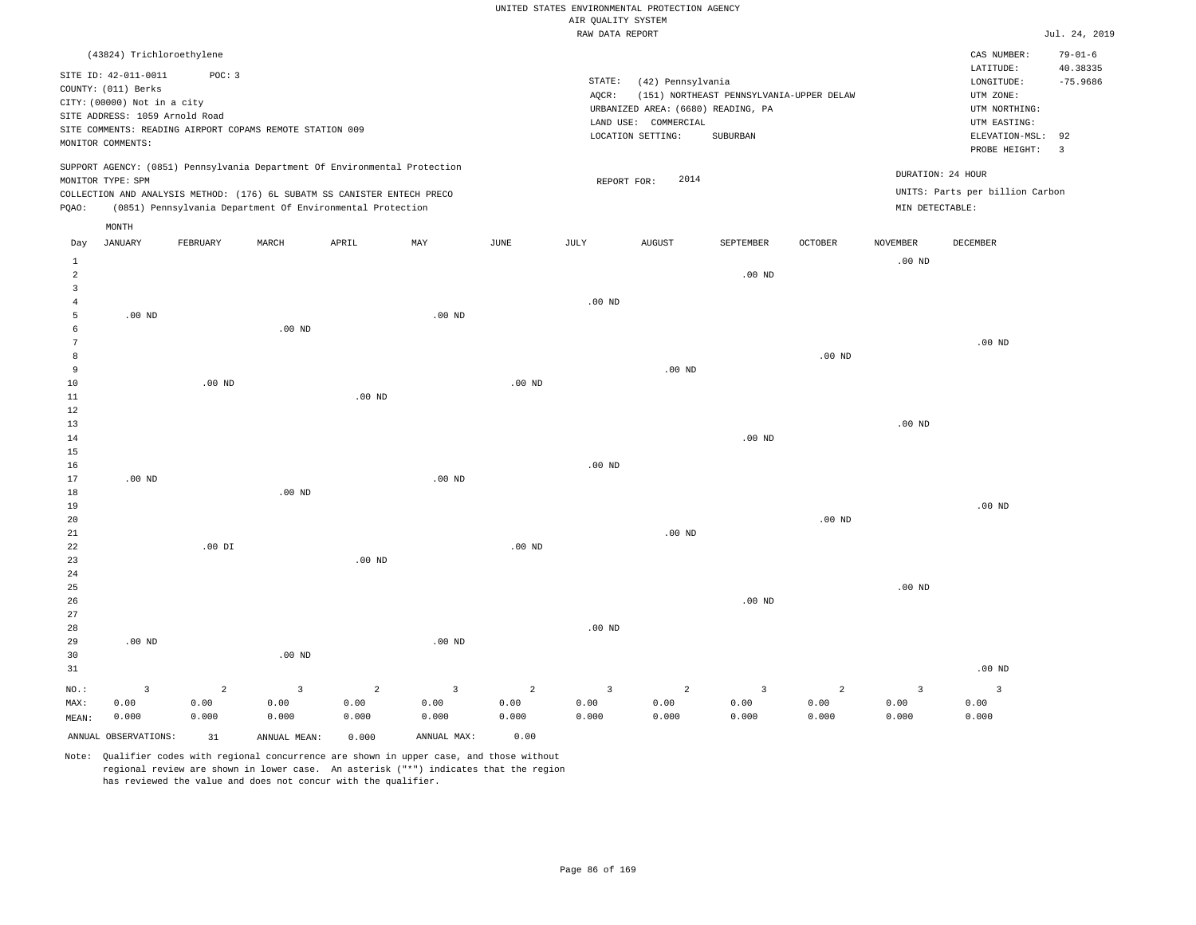|                                       |                                                                                                                                   |                                 |                                                                                                                                                        |                    |                                 |                                 | UNITED STATES ENVIRONMENTAL PROTECTION AGENCY<br>AIR QUALITY SYSTEM |                                                                                                      |                                                      |                    |                                 |                                                                                                          |                                                |
|---------------------------------------|-----------------------------------------------------------------------------------------------------------------------------------|---------------------------------|--------------------------------------------------------------------------------------------------------------------------------------------------------|--------------------|---------------------------------|---------------------------------|---------------------------------------------------------------------|------------------------------------------------------------------------------------------------------|------------------------------------------------------|--------------------|---------------------------------|----------------------------------------------------------------------------------------------------------|------------------------------------------------|
|                                       |                                                                                                                                   |                                 |                                                                                                                                                        |                    |                                 |                                 | RAW DATA REPORT                                                     |                                                                                                      |                                                      |                    |                                 |                                                                                                          | Jul. 24, 2019                                  |
|                                       | (43824) Trichloroethylene                                                                                                         |                                 |                                                                                                                                                        |                    |                                 |                                 |                                                                     |                                                                                                      |                                                      |                    |                                 | CAS NUMBER:                                                                                              | $79 - 01 - 6$                                  |
|                                       | SITE ID: 42-011-0011<br>COUNTY: (011) Berks<br>CITY: (00000) Not in a city<br>SITE ADDRESS: 1059 Arnold Road<br>MONITOR COMMENTS: | POC: 3                          | SITE COMMENTS: READING AIRPORT COPAMS REMOTE STATION 009                                                                                               |                    |                                 |                                 | STATE:<br>AQCR:                                                     | (42) Pennsylvania<br>URBANIZED AREA: (6680) READING, PA<br>LAND USE: COMMERCIAL<br>LOCATION SETTING: | (151) NORTHEAST PENNSYLVANIA-UPPER DELAW<br>SUBURBAN |                    |                                 | LATITUDE:<br>LONGITUDE:<br>UTM ZONE:<br>UTM NORTHING:<br>UTM EASTING:<br>ELEVATION-MSL:<br>PROBE HEIGHT: | 40.38335<br>$-75.9686$<br>92<br>$\overline{3}$ |
|                                       | MONITOR TYPE: SPM                                                                                                                 |                                 | SUPPORT AGENCY: (0851) Pennsylvania Department Of Environmental Protection<br>COLLECTION AND ANALYSIS METHOD: (176) 6L SUBATM SS CANISTER ENTECH PRECO |                    |                                 |                                 | REPORT FOR:                                                         | 2014                                                                                                 |                                                      |                    |                                 | DURATION: 24 HOUR<br>UNITS: Parts per billion Carbon                                                     |                                                |
| PQAO:                                 |                                                                                                                                   |                                 | (0851) Pennsylvania Department Of Environmental Protection                                                                                             |                    |                                 |                                 |                                                                     |                                                                                                      |                                                      |                    | MIN DETECTABLE:                 |                                                                                                          |                                                |
| Day                                   | MONTH<br><b>JANUARY</b>                                                                                                           | FEBRUARY                        | MARCH                                                                                                                                                  | APRIL              | MAY                             | JUNE                            | JULY                                                                | <b>AUGUST</b>                                                                                        | SEPTEMBER                                            | OCTOBER            | NOVEMBER                        | DECEMBER                                                                                                 |                                                |
| 1<br>$\overline{a}$                   |                                                                                                                                   |                                 |                                                                                                                                                        |                    |                                 |                                 |                                                                     |                                                                                                      | .00 <sub>ND</sub>                                    |                    | $.00$ ND                        |                                                                                                          |                                                |
| $\overline{3}$<br>$\overline{4}$<br>5 | $.00$ ND                                                                                                                          |                                 |                                                                                                                                                        |                    | $.00$ ND                        |                                 | $.00$ ND                                                            |                                                                                                      |                                                      |                    |                                 |                                                                                                          |                                                |
| 6<br>$\overline{7}$<br>8              |                                                                                                                                   |                                 | .00 <sub>ND</sub>                                                                                                                                      |                    |                                 |                                 |                                                                     |                                                                                                      |                                                      | .00 <sub>ND</sub>  |                                 | $.00$ ND                                                                                                 |                                                |
| $\overline{9}$<br>10<br>$1\,1$        |                                                                                                                                   | $.00$ ND                        |                                                                                                                                                        | .00 <sub>ND</sub>  |                                 | $.00$ ND                        |                                                                     | $.00$ ND                                                                                             |                                                      |                    |                                 |                                                                                                          |                                                |
| 12<br>13<br>$1\,4$                    |                                                                                                                                   |                                 |                                                                                                                                                        |                    |                                 |                                 |                                                                     |                                                                                                      | .00 <sub>ND</sub>                                    |                    | .00 <sub>ND</sub>               |                                                                                                          |                                                |
| 15<br>16<br>17<br>18                  | $.00$ ND                                                                                                                          |                                 | $.00$ ND                                                                                                                                               |                    | .00 <sub>ND</sub>               |                                 | $.00$ ND                                                            |                                                                                                      |                                                      |                    |                                 |                                                                                                          |                                                |
| 19<br>20<br>21                        |                                                                                                                                   |                                 |                                                                                                                                                        |                    |                                 |                                 |                                                                     | $.00$ ND                                                                                             |                                                      | $.00$ ND           |                                 | $.00$ ND                                                                                                 |                                                |
| 22<br>23<br>24                        |                                                                                                                                   | $.00$ DI                        |                                                                                                                                                        | $.00$ ND           |                                 | .00 <sub>ND</sub>               |                                                                     |                                                                                                      |                                                      |                    |                                 |                                                                                                          |                                                |
| 25<br>26<br>27                        |                                                                                                                                   |                                 |                                                                                                                                                        |                    |                                 |                                 |                                                                     |                                                                                                      | $.00$ ND                                             |                    | $.00$ ND                        |                                                                                                          |                                                |
| 28<br>29<br>30<br>31                  | $.00$ ND                                                                                                                          |                                 | $.00$ ND                                                                                                                                               |                    | $.00$ ND                        |                                 | $.00$ ND                                                            |                                                                                                      |                                                      |                    |                                 | $.00$ ND                                                                                                 |                                                |
| NO.:<br>MAX:<br>MEAN:                 | $\overline{3}$<br>0.00<br>0.000                                                                                                   | $\overline{a}$<br>0.00<br>0.000 | $\overline{3}$<br>0.00<br>0.000                                                                                                                        | 2<br>0.00<br>0.000 | $\overline{3}$<br>0.00<br>0.000 | $\overline{2}$<br>0.00<br>0.000 | $\overline{\mathbf{3}}$<br>0.00<br>0.000                            | 2<br>0.00<br>0.000                                                                                   | $\overline{3}$<br>0.00<br>0.000                      | 2<br>0.00<br>0.000 | $\overline{3}$<br>0.00<br>0.000 | $\overline{3}$<br>0.00<br>0.000                                                                          |                                                |
|                                       | ANNUAL OBSERVATIONS:                                                                                                              | 31                              | ANNUAL MEAN:                                                                                                                                           | 0.000              | ANNUAL MAX:                     | 0.00                            |                                                                     |                                                                                                      |                                                      |                    |                                 |                                                                                                          |                                                |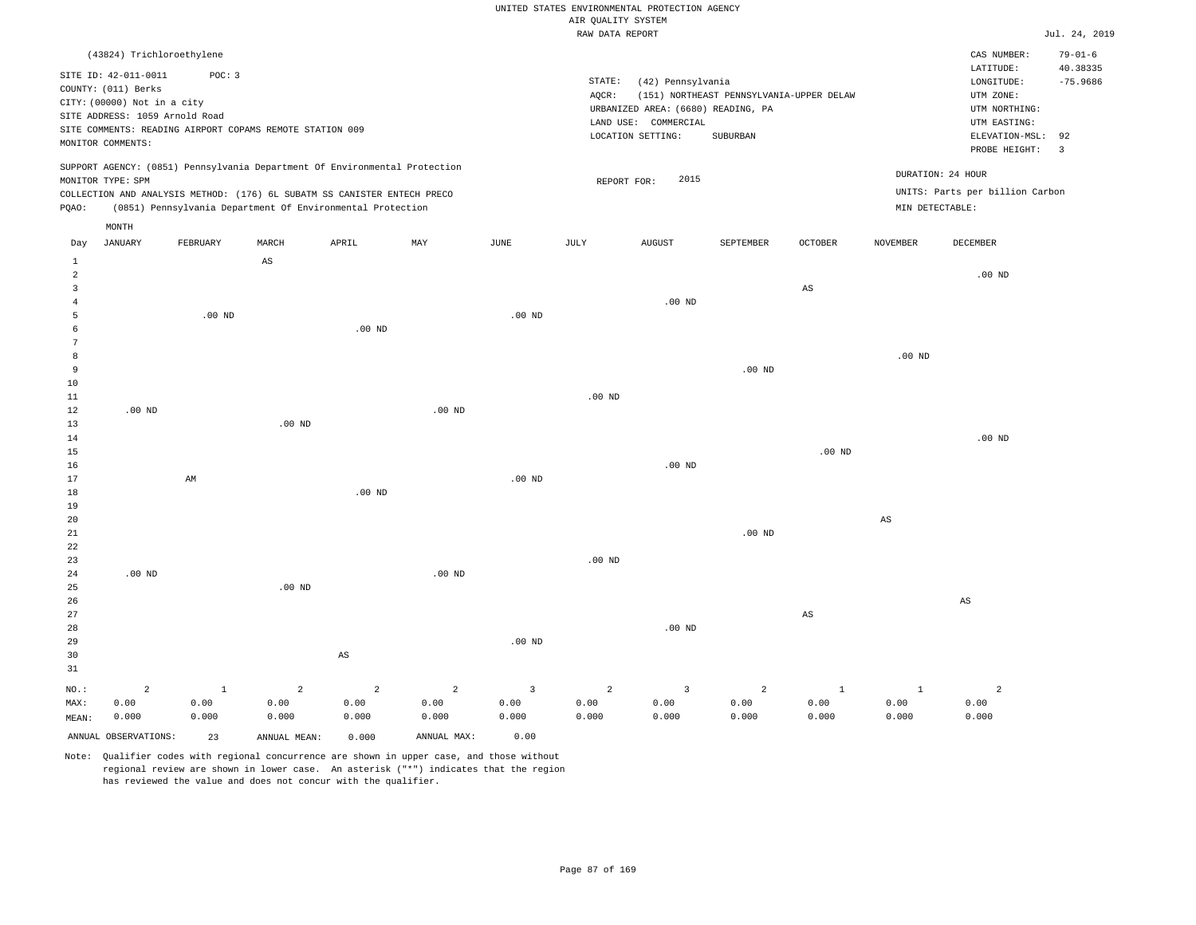### UNITED STATES ENVIRONMENTAL PROTECTION AGENCY AIR QUALITY SYSTEM

|  | RAW DATA REPORT |
|--|-----------------|

|                 |                                                          |                        |                   |                                                                            |                |                | RAW DATA REPORT |                                    |                                          |                        |                        |                                 | Jul. 24, 2019  |
|-----------------|----------------------------------------------------------|------------------------|-------------------|----------------------------------------------------------------------------|----------------|----------------|-----------------|------------------------------------|------------------------------------------|------------------------|------------------------|---------------------------------|----------------|
|                 | (43824) Trichloroethylene                                |                        |                   |                                                                            |                |                |                 |                                    |                                          |                        |                        | CAS NUMBER:                     | $79 - 01 - 6$  |
|                 |                                                          |                        |                   |                                                                            |                |                |                 |                                    |                                          |                        |                        | LATITUDE:                       | 40.38335       |
|                 | SITE ID: 42-011-0011                                     | POC: 3                 |                   |                                                                            |                |                | STATE:          | (42) Pennsylvania                  |                                          |                        |                        | $\texttt{LONGITUDE}$ :          | $-75.9686$     |
|                 | COUNTY: (011) Berks                                      |                        |                   |                                                                            |                |                | AOCR:           |                                    | (151) NORTHEAST PENNSYLVANIA-UPPER DELAW |                        |                        | UTM ZONE:                       |                |
|                 | CITY: (00000) Not in a city                              |                        |                   |                                                                            |                |                |                 | URBANIZED AREA: (6680) READING, PA |                                          |                        |                        | UTM NORTHING:                   |                |
|                 | SITE ADDRESS: 1059 Arnold Road                           |                        |                   |                                                                            |                |                |                 | LAND USE: COMMERCIAL               |                                          |                        |                        | UTM EASTING:                    |                |
|                 | SITE COMMENTS: READING AIRPORT COPAMS REMOTE STATION 009 |                        |                   |                                                                            |                |                |                 | LOCATION SETTING:                  | SUBURBAN                                 |                        |                        | ELEVATION-MSL:                  | 92             |
|                 | MONITOR COMMENTS:                                        |                        |                   |                                                                            |                |                |                 |                                    |                                          |                        |                        | PROBE HEIGHT:                   | $\overline{3}$ |
|                 |                                                          |                        |                   | SUPPORT AGENCY: (0851) Pennsylvania Department Of Environmental Protection |                |                |                 |                                    |                                          |                        |                        | DURATION: 24 HOUR               |                |
|                 | MONITOR TYPE: SPM                                        |                        |                   |                                                                            |                |                | REPORT FOR:     | 2015                               |                                          |                        |                        |                                 |                |
|                 |                                                          |                        |                   | COLLECTION AND ANALYSIS METHOD: (176) 6L SUBATM SS CANISTER ENTECH PRECO   |                |                |                 |                                    |                                          |                        |                        | UNITS: Parts per billion Carbon |                |
| PQAO:           |                                                          |                        |                   | (0851) Pennsylvania Department Of Environmental Protection                 |                |                |                 |                                    |                                          |                        |                        | MIN DETECTABLE:                 |                |
|                 | MONTH                                                    |                        |                   |                                                                            |                |                |                 |                                    |                                          |                        |                        |                                 |                |
| Day             | <b>JANUARY</b>                                           | FEBRUARY               | MARCH             | APRIL                                                                      | MAY            | JUNE           | JULY            | <b>AUGUST</b>                      | SEPTEMBER                                | OCTOBER                | NOVEMBER               | DECEMBER                        |                |
| 1               |                                                          |                        | $_{\rm AS}$       |                                                                            |                |                |                 |                                    |                                          |                        |                        |                                 |                |
| $\overline{a}$  |                                                          |                        |                   |                                                                            |                |                |                 |                                    |                                          |                        |                        | $.00$ ND                        |                |
| 3               |                                                          |                        |                   |                                                                            |                |                |                 |                                    |                                          | AS                     |                        |                                 |                |
| $\overline{4}$  |                                                          |                        |                   |                                                                            |                |                |                 | $.00$ ND                           |                                          |                        |                        |                                 |                |
| 5               |                                                          | $.00$ ND               |                   |                                                                            |                | $.00$ ND       |                 |                                    |                                          |                        |                        |                                 |                |
| 6               |                                                          |                        |                   | $.00$ ND                                                                   |                |                |                 |                                    |                                          |                        |                        |                                 |                |
| $7\phantom{.0}$ |                                                          |                        |                   |                                                                            |                |                |                 |                                    |                                          |                        |                        |                                 |                |
| 8               |                                                          |                        |                   |                                                                            |                |                |                 |                                    |                                          |                        | .00 <sub>ND</sub>      |                                 |                |
| 9               |                                                          |                        |                   |                                                                            |                |                |                 |                                    | $.00$ ND                                 |                        |                        |                                 |                |
| 10              |                                                          |                        |                   |                                                                            |                |                |                 |                                    |                                          |                        |                        |                                 |                |
| 11              |                                                          |                        |                   |                                                                            |                |                | $.00$ ND        |                                    |                                          |                        |                        |                                 |                |
| 12              | $.00$ ND                                                 |                        |                   |                                                                            | $.00$ ND       |                |                 |                                    |                                          |                        |                        |                                 |                |
| 13              |                                                          |                        | .00 <sub>ND</sub> |                                                                            |                |                |                 |                                    |                                          |                        |                        | $.00$ ND                        |                |
| 14<br>15        |                                                          |                        |                   |                                                                            |                |                |                 |                                    |                                          | $.00$ ND               |                        |                                 |                |
| 16              |                                                          |                        |                   |                                                                            |                |                |                 | $.00$ ND                           |                                          |                        |                        |                                 |                |
| 17              |                                                          | $\mathbb{A}\mathbb{M}$ |                   |                                                                            |                | $.00$ ND       |                 |                                    |                                          |                        |                        |                                 |                |
| 18              |                                                          |                        |                   | $.00$ ND                                                                   |                |                |                 |                                    |                                          |                        |                        |                                 |                |
| 19              |                                                          |                        |                   |                                                                            |                |                |                 |                                    |                                          |                        |                        |                                 |                |
| 20              |                                                          |                        |                   |                                                                            |                |                |                 |                                    |                                          |                        | $\mathbb{A}\mathbb{S}$ |                                 |                |
| 21              |                                                          |                        |                   |                                                                            |                |                |                 |                                    | $.00$ ND                                 |                        |                        |                                 |                |
| 22              |                                                          |                        |                   |                                                                            |                |                |                 |                                    |                                          |                        |                        |                                 |                |
| 23              |                                                          |                        |                   |                                                                            |                |                | $.00$ ND        |                                    |                                          |                        |                        |                                 |                |
| 24              | $.00$ ND                                                 |                        |                   |                                                                            | $.00$ ND       |                |                 |                                    |                                          |                        |                        |                                 |                |
| 25              |                                                          |                        | $.00$ ND          |                                                                            |                |                |                 |                                    |                                          |                        |                        |                                 |                |
| 26              |                                                          |                        |                   |                                                                            |                |                |                 |                                    |                                          |                        |                        | AS                              |                |
| 27              |                                                          |                        |                   |                                                                            |                |                |                 |                                    |                                          | $\mathbb{A}\mathbb{S}$ |                        |                                 |                |
| 28              |                                                          |                        |                   |                                                                            |                |                |                 | $.00$ ND                           |                                          |                        |                        |                                 |                |
| 29              |                                                          |                        |                   |                                                                            |                | $.00$ ND       |                 |                                    |                                          |                        |                        |                                 |                |
| 30              |                                                          |                        |                   | AS                                                                         |                |                |                 |                                    |                                          |                        |                        |                                 |                |
| 31              |                                                          |                        |                   |                                                                            |                |                |                 |                                    |                                          |                        |                        |                                 |                |
| $NO.$ :         | $\overline{a}$                                           | $\mathbf{1}$           | $\overline{a}$    | $\overline{a}$                                                             | $\overline{a}$ | $\overline{3}$ | $\overline{a}$  | $\overline{3}$                     | 2                                        | $\mathbf{1}$           | $\mathbf{1}$           | $\overline{c}$                  |                |
| MAX:            | 0.00                                                     | 0.00                   | 0.00              | 0.00                                                                       | 0.00           | 0.00           | 0.00            | 0.00                               | 0.00                                     | 0.00                   | 0.00                   | 0.00                            |                |
| MEAN:           | 0.000                                                    | 0.000                  | 0.000             | 0.000                                                                      | 0.000          | 0.000          | 0.000           | 0.000                              | 0.000                                    | 0.000                  | 0.000                  | 0.000                           |                |
|                 | ANNUAL OBSERVATIONS:                                     | 23                     | ANNUAL MEAN:      | 0.000                                                                      | ANNUAL MAX:    | 0.00           |                 |                                    |                                          |                        |                        |                                 |                |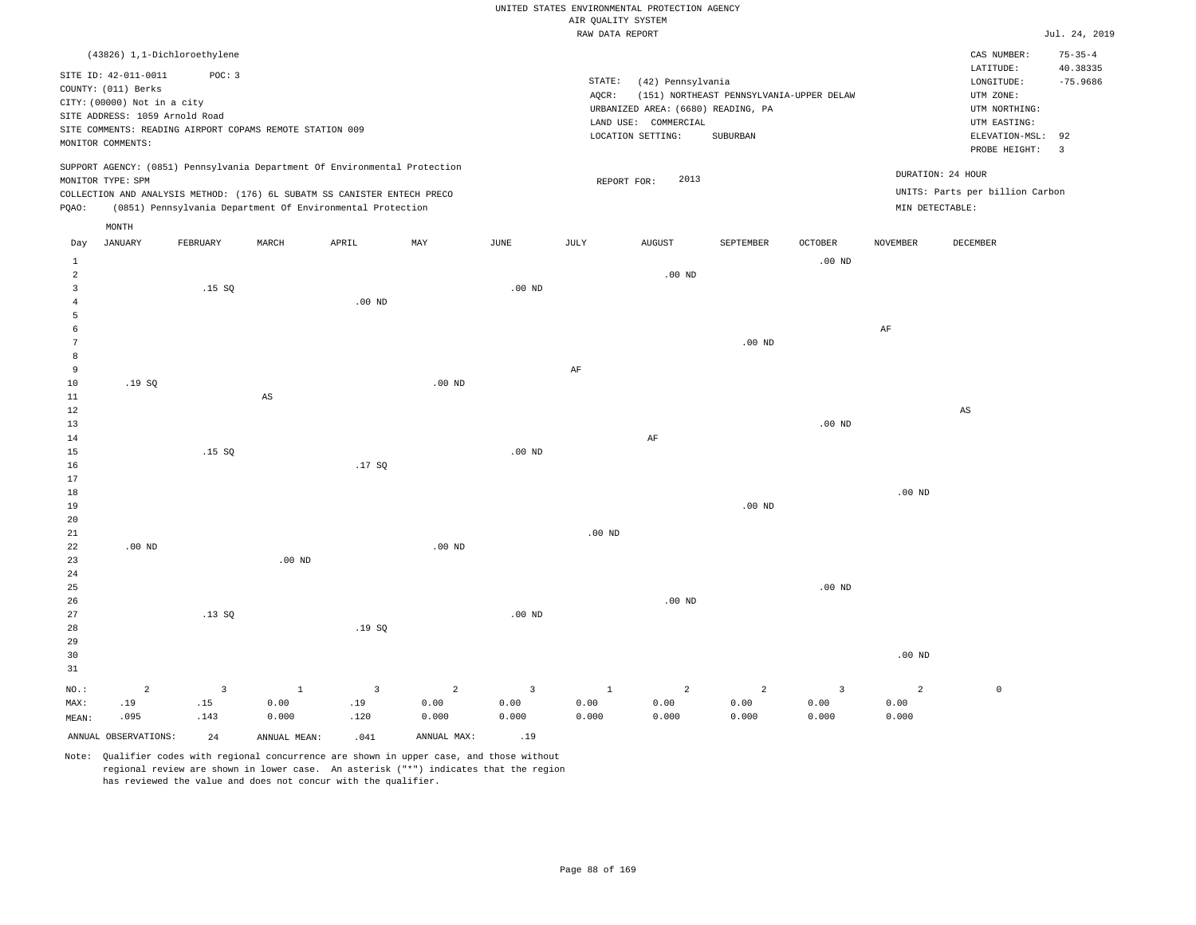|  |  |                    | UNITED STATES ENVIRONMENTAL PROTECTION AGENCY |  |
|--|--|--------------------|-----------------------------------------------|--|
|  |  | AIR OUALITY SYSTEM |                                               |  |

|              |                                |                |                                                                            |                |                   |                | RAW DATA REPORT   |                                    |                                          |                   |                   |                                 | Jul. 24, 2019 |
|--------------|--------------------------------|----------------|----------------------------------------------------------------------------|----------------|-------------------|----------------|-------------------|------------------------------------|------------------------------------------|-------------------|-------------------|---------------------------------|---------------|
|              | (43826) 1,1-Dichloroethylene   |                |                                                                            |                |                   |                |                   |                                    |                                          |                   |                   | CAS NUMBER:                     | $75 - 35 - 4$ |
|              | SITE ID: 42-011-0011           | POC: 3         |                                                                            |                |                   |                |                   |                                    |                                          |                   |                   | LATITUDE:                       | 40.38335      |
|              | COUNTY: (011) Berks            |                |                                                                            |                |                   |                | STATE:            | (42) Pennsylvania                  |                                          |                   |                   | LONGITUDE:                      | $-75.9686$    |
|              | CITY: (00000) Not in a city    |                |                                                                            |                |                   |                | AQCR:             |                                    | (151) NORTHEAST PENNSYLVANIA-UPPER DELAW |                   |                   | UTM ZONE:                       |               |
|              | SITE ADDRESS: 1059 Arnold Road |                |                                                                            |                |                   |                |                   | URBANIZED AREA: (6680) READING, PA |                                          |                   |                   | UTM NORTHING:                   |               |
|              |                                |                | SITE COMMENTS: READING AIRPORT COPAMS REMOTE STATION 009                   |                |                   |                |                   | LAND USE: COMMERCIAL               |                                          |                   |                   | UTM EASTING:                    |               |
|              | MONITOR COMMENTS:              |                |                                                                            |                |                   |                |                   | LOCATION SETTING:                  | SUBURBAN                                 |                   |                   | ELEVATION-MSL:                  | 92            |
|              |                                |                |                                                                            |                |                   |                |                   |                                    |                                          |                   |                   | PROBE HEIGHT:                   | 3             |
|              |                                |                | SUPPORT AGENCY: (0851) Pennsylvania Department Of Environmental Protection |                |                   |                |                   |                                    |                                          |                   |                   |                                 |               |
|              | MONITOR TYPE: SPM              |                |                                                                            |                |                   |                | REPORT FOR:       | 2013                               |                                          |                   |                   | DURATION: 24 HOUR               |               |
|              |                                |                | COLLECTION AND ANALYSIS METHOD: (176) 6L SUBATM SS CANISTER ENTECH PRECO   |                |                   |                |                   |                                    |                                          |                   |                   | UNITS: Parts per billion Carbon |               |
| PQAO:        |                                |                | (0851) Pennsylvania Department Of Environmental Protection                 |                |                   |                |                   |                                    |                                          |                   | MIN DETECTABLE:   |                                 |               |
|              | MONTH                          |                |                                                                            |                |                   |                |                   |                                    |                                          |                   |                   |                                 |               |
| Day          | JANUARY                        | FEBRUARY       | MARCH                                                                      | APRIL          | MAY               | JUNE           | JULY              | <b>AUGUST</b>                      | SEPTEMBER                                | OCTOBER           | <b>NOVEMBER</b>   | DECEMBER                        |               |
| $\mathbf{1}$ |                                |                |                                                                            |                |                   |                |                   |                                    |                                          | .00 <sub>ND</sub> |                   |                                 |               |
| 2            |                                |                |                                                                            |                |                   |                |                   | .00 <sub>ND</sub>                  |                                          |                   |                   |                                 |               |
| 3            |                                | .15S           |                                                                            |                |                   | $.00$ ND       |                   |                                    |                                          |                   |                   |                                 |               |
| 4            |                                |                |                                                                            | $.00$ ND       |                   |                |                   |                                    |                                          |                   |                   |                                 |               |
| 5            |                                |                |                                                                            |                |                   |                |                   |                                    |                                          |                   |                   |                                 |               |
| 6            |                                |                |                                                                            |                |                   |                |                   |                                    |                                          |                   | AF                |                                 |               |
| 7            |                                |                |                                                                            |                |                   |                |                   |                                    | $.00$ ND                                 |                   |                   |                                 |               |
| 8            |                                |                |                                                                            |                |                   |                |                   |                                    |                                          |                   |                   |                                 |               |
| 9            |                                |                |                                                                            |                |                   |                | AF                |                                    |                                          |                   |                   |                                 |               |
| $10$         | .19SQ                          |                |                                                                            |                | .00 <sub>ND</sub> |                |                   |                                    |                                          |                   |                   |                                 |               |
| $11\,$       |                                |                | $_{\rm AS}$                                                                |                |                   |                |                   |                                    |                                          |                   |                   |                                 |               |
| 12           |                                |                |                                                                            |                |                   |                |                   |                                    |                                          |                   |                   | AS                              |               |
| 13           |                                |                |                                                                            |                |                   |                |                   |                                    |                                          | .00 <sub>ND</sub> |                   |                                 |               |
| 14           |                                |                |                                                                            |                |                   |                |                   | $\rm{AF}$                          |                                          |                   |                   |                                 |               |
| 15           |                                | .15S           |                                                                            |                |                   | $.00$ ND       |                   |                                    |                                          |                   |                   |                                 |               |
| 16<br>17     |                                |                |                                                                            | .17SQ          |                   |                |                   |                                    |                                          |                   |                   |                                 |               |
| 18           |                                |                |                                                                            |                |                   |                |                   |                                    |                                          |                   | .00 <sub>ND</sub> |                                 |               |
| 19           |                                |                |                                                                            |                |                   |                |                   |                                    | $.00$ ND                                 |                   |                   |                                 |               |
| 20           |                                |                |                                                                            |                |                   |                |                   |                                    |                                          |                   |                   |                                 |               |
| 21           |                                |                |                                                                            |                |                   |                | .00 <sub>ND</sub> |                                    |                                          |                   |                   |                                 |               |
| 22           | $.00$ ND                       |                |                                                                            |                | $.00$ ND          |                |                   |                                    |                                          |                   |                   |                                 |               |
| 23           |                                |                | $.00$ ND                                                                   |                |                   |                |                   |                                    |                                          |                   |                   |                                 |               |
| 24           |                                |                |                                                                            |                |                   |                |                   |                                    |                                          |                   |                   |                                 |               |
| 25           |                                |                |                                                                            |                |                   |                |                   |                                    |                                          | $.00$ ND          |                   |                                 |               |
| 26           |                                |                |                                                                            |                |                   |                |                   | $.00$ ND                           |                                          |                   |                   |                                 |               |
| 27           |                                | .13SQ          |                                                                            |                |                   | $.00$ ND       |                   |                                    |                                          |                   |                   |                                 |               |
| $2\,8$       |                                |                |                                                                            | .19SQ          |                   |                |                   |                                    |                                          |                   |                   |                                 |               |
| 29           |                                |                |                                                                            |                |                   |                |                   |                                    |                                          |                   |                   |                                 |               |
| 30           |                                |                |                                                                            |                |                   |                |                   |                                    |                                          |                   | .00 <sub>ND</sub> |                                 |               |
| 31           |                                |                |                                                                            |                |                   |                |                   |                                    |                                          |                   |                   |                                 |               |
| NO.:         | $\overline{a}$                 | $\overline{3}$ | $\mathbf{1}$                                                               | $\overline{3}$ | $\overline{a}$    | $\overline{3}$ | $1\,$             | $\overline{a}$                     | $\overline{a}$                           | $\overline{3}$    | $\overline{2}$    | $\mathbb O$                     |               |
| MAX:         | .19                            | .15            | 0.00                                                                       | .19            | 0.00              | 0.00           | 0.00              | 0.00                               | 0.00                                     | 0.00              | 0.00              |                                 |               |
| MEAN:        | .095                           | .143           | 0.000                                                                      | .120           | 0.000             | 0.000          | 0.000             | 0.000                              | 0.000                                    | 0.000             | 0.000             |                                 |               |
|              | ANNUAL OBSERVATIONS:           | 24             | ANNUAL MEAN:                                                               | .041           | ANNUAL MAX:       | .19            |                   |                                    |                                          |                   |                   |                                 |               |
|              |                                |                |                                                                            |                |                   |                |                   |                                    |                                          |                   |                   |                                 |               |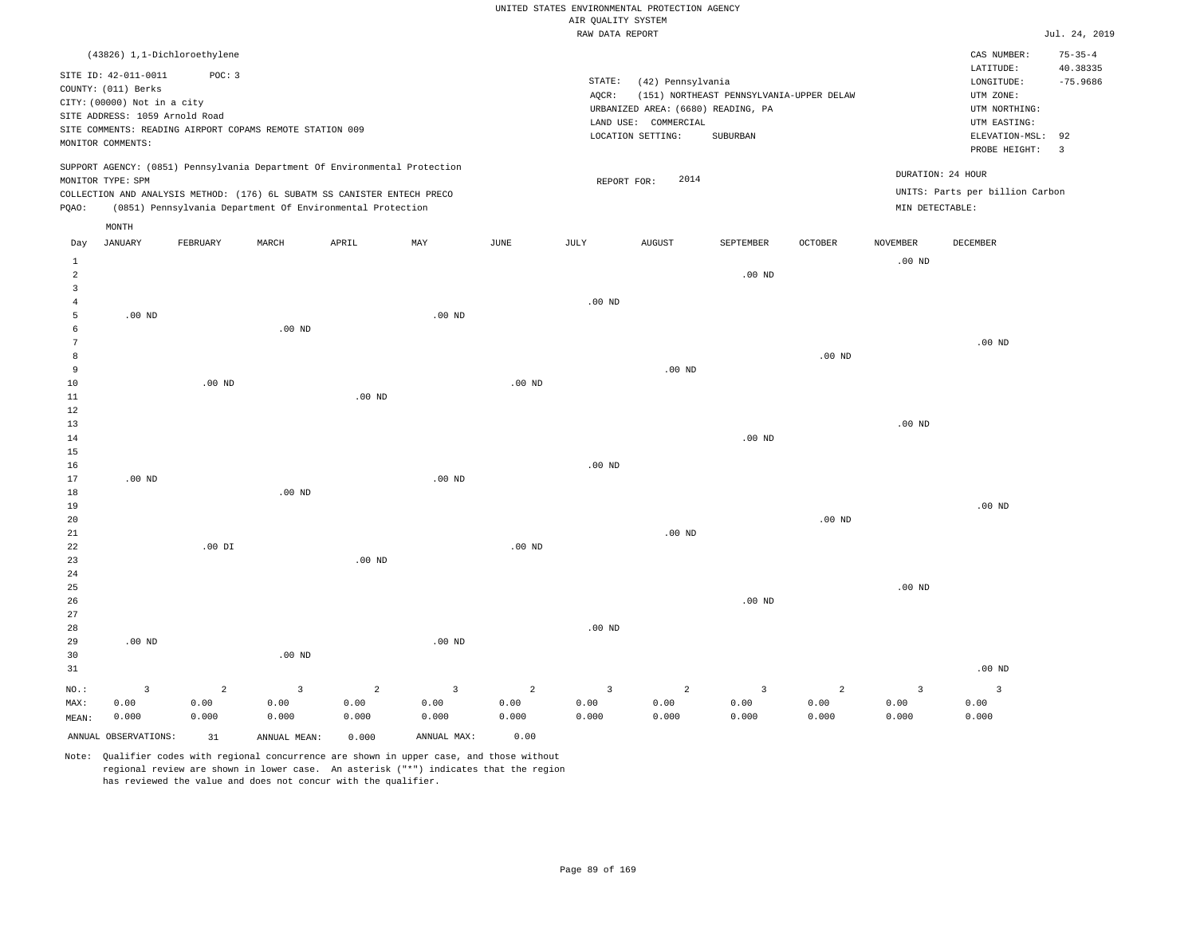|                |                                |                                                                                                                                        |                   |                   |                         |          |                    | UNITED STATES ENVIRONMENTAL PROTECTION AGENCY |                                          |                |                   |                                 |                      |
|----------------|--------------------------------|----------------------------------------------------------------------------------------------------------------------------------------|-------------------|-------------------|-------------------------|----------|--------------------|-----------------------------------------------|------------------------------------------|----------------|-------------------|---------------------------------|----------------------|
|                |                                |                                                                                                                                        |                   |                   |                         |          | AIR OUALITY SYSTEM |                                               |                                          |                |                   |                                 |                      |
|                |                                |                                                                                                                                        |                   |                   |                         |          | RAW DATA REPORT    |                                               |                                          |                |                   |                                 | Jul. 24, 2019        |
|                |                                | (43826) 1,1-Dichloroethylene                                                                                                           |                   |                   |                         |          |                    |                                               |                                          |                |                   | CAS NUMBER:                     | $75 - 35 - 4$        |
|                | SITE ID: 42-011-0011           | POC: 3                                                                                                                                 |                   |                   |                         |          |                    |                                               |                                          |                |                   | LATITUDE:                       | 40.38335             |
|                | COUNTY: (011) Berks            |                                                                                                                                        |                   |                   |                         |          | STATE:             | (42) Pennsylvania                             |                                          |                |                   | LONGITUDE:                      | $-75.9686$           |
|                | CITY: (00000) Not in a city    |                                                                                                                                        |                   |                   |                         |          | AQCR:              |                                               | (151) NORTHEAST PENNSYLVANIA-UPPER DELAW |                |                   | UTM ZONE:                       |                      |
|                | SITE ADDRESS: 1059 Arnold Road |                                                                                                                                        |                   |                   |                         |          |                    | URBANIZED AREA: (6680) READING, PA            |                                          |                |                   | UTM NORTHING:                   |                      |
|                |                                | SITE COMMENTS: READING AIRPORT COPAMS REMOTE STATION 009                                                                               |                   |                   |                         |          |                    | LAND USE: COMMERCIAL                          |                                          |                |                   | UTM EASTING:                    |                      |
|                | MONITOR COMMENTS:              |                                                                                                                                        |                   |                   |                         |          |                    | LOCATION SETTING:                             | SUBURBAN                                 |                |                   | ELEVATION-MSL:<br>PROBE HEIGHT: | 92<br>$\overline{3}$ |
|                |                                | SUPPORT AGENCY: (0851) Pennsylvania Department Of Environmental Protection                                                             |                   |                   |                         |          |                    |                                               |                                          |                |                   | DURATION: 24 HOUR               |                      |
|                | MONITOR TYPE: SPM              |                                                                                                                                        |                   |                   |                         |          | REPORT FOR:        | 2014                                          |                                          |                |                   |                                 |                      |
| PQAO:          |                                | COLLECTION AND ANALYSIS METHOD: (176) 6L SUBATM SS CANISTER ENTECH PRECO<br>(0851) Pennsylvania Department Of Environmental Protection |                   |                   |                         |          |                    |                                               |                                          |                | MIN DETECTABLE:   | UNITS: Parts per billion Carbon |                      |
|                | $\texttt{MONTH}$               |                                                                                                                                        |                   |                   |                         |          |                    |                                               |                                          |                |                   |                                 |                      |
| Day            | <b>JANUARY</b>                 | FEBRUARY                                                                                                                               | MARCH             | APRIL             | MAY                     | JUNE     | JULY               | <b>AUGUST</b>                                 | SEPTEMBER                                | OCTOBER        | <b>NOVEMBER</b>   | DECEMBER                        |                      |
| $\mathbf{1}$   |                                |                                                                                                                                        |                   |                   |                         |          |                    |                                               |                                          |                | $.00$ ND          |                                 |                      |
| $\overline{2}$ |                                |                                                                                                                                        |                   |                   |                         |          |                    |                                               | .00 <sub>ND</sub>                        |                |                   |                                 |                      |
| 3              |                                |                                                                                                                                        |                   |                   |                         |          |                    |                                               |                                          |                |                   |                                 |                      |
| $\overline{4}$ |                                |                                                                                                                                        |                   |                   |                         |          | $.00$ ND           |                                               |                                          |                |                   |                                 |                      |
| 5              | .00 <sub>ND</sub>              |                                                                                                                                        |                   |                   | .00 <sub>ND</sub>       |          |                    |                                               |                                          |                |                   |                                 |                      |
| 6              |                                |                                                                                                                                        | .00 <sub>ND</sub> |                   |                         |          |                    |                                               |                                          |                |                   |                                 |                      |
| 7              |                                |                                                                                                                                        |                   |                   |                         |          |                    |                                               |                                          |                |                   | $.00$ ND                        |                      |
| 8              |                                |                                                                                                                                        |                   |                   |                         |          |                    |                                               |                                          | $.00$ ND       |                   |                                 |                      |
| 9              |                                |                                                                                                                                        |                   |                   |                         |          |                    | .00 <sub>ND</sub>                             |                                          |                |                   |                                 |                      |
| $10$           |                                | $.00$ ND                                                                                                                               |                   |                   |                         | $.00$ ND |                    |                                               |                                          |                |                   |                                 |                      |
| $1\,1$         |                                |                                                                                                                                        |                   | .00 <sub>ND</sub> |                         |          |                    |                                               |                                          |                |                   |                                 |                      |
| 12             |                                |                                                                                                                                        |                   |                   |                         |          |                    |                                               |                                          |                |                   |                                 |                      |
| 13             |                                |                                                                                                                                        |                   |                   |                         |          |                    |                                               |                                          |                | .00 <sub>ND</sub> |                                 |                      |
| 14             |                                |                                                                                                                                        |                   |                   |                         |          |                    |                                               | $.00$ ND                                 |                |                   |                                 |                      |
| 15             |                                |                                                                                                                                        |                   |                   |                         |          |                    |                                               |                                          |                |                   |                                 |                      |
| 16             |                                |                                                                                                                                        |                   |                   |                         |          | .00 <sub>ND</sub>  |                                               |                                          |                |                   |                                 |                      |
| 17             | $.00$ ND                       |                                                                                                                                        |                   |                   | $.00$ ND                |          |                    |                                               |                                          |                |                   |                                 |                      |
| 18             |                                |                                                                                                                                        | .00 <sub>ND</sub> |                   |                         |          |                    |                                               |                                          |                |                   |                                 |                      |
| 19             |                                |                                                                                                                                        |                   |                   |                         |          |                    |                                               |                                          |                |                   | $.00$ ND                        |                      |
| 20             |                                |                                                                                                                                        |                   |                   |                         |          |                    |                                               |                                          | $.00$ ND       |                   |                                 |                      |
| 21             |                                |                                                                                                                                        |                   |                   |                         |          |                    | $.00$ ND                                      |                                          |                |                   |                                 |                      |
| 22             |                                | $.00$ DI                                                                                                                               |                   |                   |                         | $.00$ ND |                    |                                               |                                          |                |                   |                                 |                      |
| 23             |                                |                                                                                                                                        |                   | $.00$ ND          |                         |          |                    |                                               |                                          |                |                   |                                 |                      |
| 24             |                                |                                                                                                                                        |                   |                   |                         |          |                    |                                               |                                          |                |                   |                                 |                      |
| 25             |                                |                                                                                                                                        |                   |                   |                         |          |                    |                                               |                                          |                | .00 <sub>ND</sub> |                                 |                      |
| 26             |                                |                                                                                                                                        |                   |                   |                         |          |                    |                                               | $.00$ ND                                 |                |                   |                                 |                      |
| 27             |                                |                                                                                                                                        |                   |                   |                         |          |                    |                                               |                                          |                |                   |                                 |                      |
| 28             |                                |                                                                                                                                        |                   |                   |                         |          | .00 <sub>ND</sub>  |                                               |                                          |                |                   |                                 |                      |
| 29             | $.00$ ND                       |                                                                                                                                        |                   |                   | $.00$ ND                |          |                    |                                               |                                          |                |                   |                                 |                      |
| 30             |                                |                                                                                                                                        | $.00$ ND          |                   |                         |          |                    |                                               |                                          |                |                   |                                 |                      |
| 31             |                                |                                                                                                                                        |                   |                   |                         |          |                    |                                               |                                          |                |                   | $.00$ ND                        |                      |
| NO.:           | $\overline{3}$                 | $\overline{2}$                                                                                                                         | $\overline{3}$    | $\overline{2}$    | $\overline{\mathbf{3}}$ | 2        | $\overline{3}$     | $\overline{a}$                                | $\overline{3}$                           | $\overline{2}$ | $\overline{3}$    | $\overline{3}$                  |                      |
| MAX:           | 0.00                           | 0.00                                                                                                                                   | 0.00              | 0.00              | 0.00                    | 0.00     | 0.00               | 0.00                                          | 0.00                                     | 0.00           | 0.00              | 0.00                            |                      |
| MEAN:          | 0.000                          | 0.000                                                                                                                                  | 0.000             | 0.000             | 0.000                   | 0.000    | 0.000              | 0.000                                         | 0.000                                    | 0.000          | 0.000             | 0.000                           |                      |

ANNUAL OBSERVATIONS: 31 ANNUAL MEAN: 0.000 ANNUAL MAX: 0.00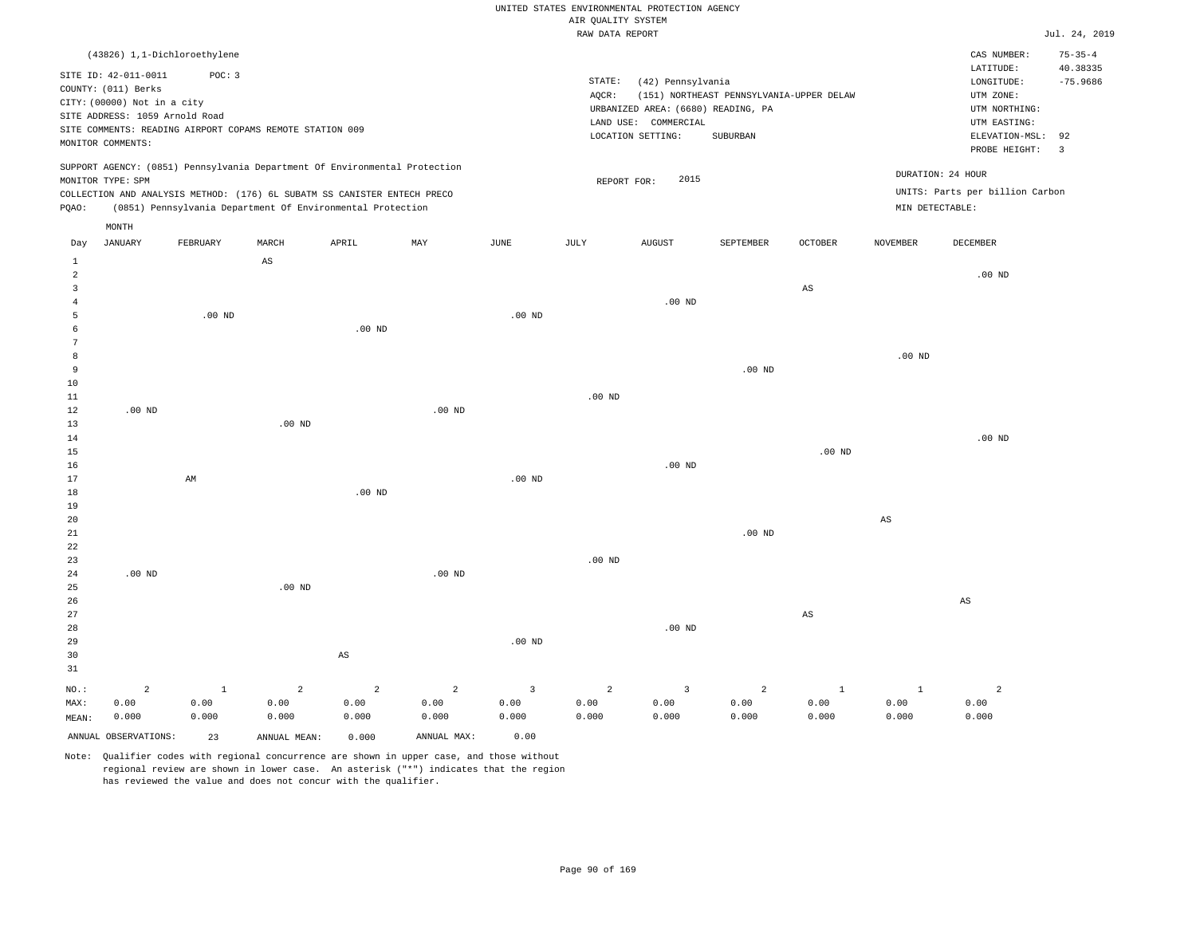### UNITED STATES ENVIRONMENTAL PROTECTION AGENCY AIR OUALITY SYSTEM

|                         |                                |              |                                                                            |                        |                   |                | utr Knutti pipipw<br>RAW DATA REPORT |                                    |                                          |                        |              |                                 | Jul. 24, 2019                 |
|-------------------------|--------------------------------|--------------|----------------------------------------------------------------------------|------------------------|-------------------|----------------|--------------------------------------|------------------------------------|------------------------------------------|------------------------|--------------|---------------------------------|-------------------------------|
|                         | (43826) 1,1-Dichloroethylene   |              |                                                                            |                        |                   |                |                                      |                                    |                                          |                        |              | CAS NUMBER:                     | $75 - 35 - 4$                 |
|                         | SITE ID: 42-011-0011           | POC: 3       |                                                                            |                        |                   |                |                                      |                                    |                                          |                        |              | LATITUDE:                       | 40.38335                      |
|                         | COUNTY: (011) Berks            |              |                                                                            |                        |                   |                | STATE:                               | (42) Pennsylvania                  |                                          |                        |              | LONGITUDE:                      | $-75.9686$                    |
|                         | CITY: (00000) Not in a city    |              |                                                                            |                        |                   |                | AQCR:                                |                                    | (151) NORTHEAST PENNSYLVANIA-UPPER DELAW |                        |              | UTM ZONE:                       |                               |
|                         | SITE ADDRESS: 1059 Arnold Road |              |                                                                            |                        |                   |                |                                      | URBANIZED AREA: (6680) READING, PA |                                          |                        |              | UTM NORTHING:                   |                               |
|                         |                                |              | SITE COMMENTS: READING AIRPORT COPAMS REMOTE STATION 009                   |                        |                   |                |                                      | LAND USE: COMMERCIAL               |                                          |                        |              | UTM EASTING:                    |                               |
|                         | MONITOR COMMENTS:              |              |                                                                            |                        |                   |                |                                      | LOCATION SETTING:                  | SUBURBAN                                 |                        |              | ELEVATION-MSL:<br>PROBE HEIGHT: | 92<br>$\overline{\mathbf{3}}$ |
|                         |                                |              | SUPPORT AGENCY: (0851) Pennsylvania Department Of Environmental Protection |                        |                   |                |                                      |                                    |                                          |                        |              |                                 |                               |
|                         | MONITOR TYPE: SPM              |              |                                                                            |                        |                   |                | REPORT FOR:                          | 2015                               |                                          |                        |              | DURATION: 24 HOUR               |                               |
|                         |                                |              | COLLECTION AND ANALYSIS METHOD: (176) 6L SUBATM SS CANISTER ENTECH PRECO   |                        |                   |                |                                      |                                    |                                          |                        |              | UNITS: Parts per billion Carbon |                               |
| PQAO:                   |                                |              | (0851) Pennsylvania Department Of Environmental Protection                 |                        |                   |                |                                      |                                    |                                          |                        |              | MIN DETECTABLE:                 |                               |
|                         | MONTH                          |              |                                                                            |                        |                   |                |                                      |                                    |                                          |                        |              |                                 |                               |
| Day                     | <b>JANUARY</b>                 | FEBRUARY     | MARCH                                                                      | APRIL                  | MAY               | JUNE           | JULY                                 | <b>AUGUST</b>                      | SEPTEMBER                                | <b>OCTOBER</b>         | NOVEMBER     | <b>DECEMBER</b>                 |                               |
| $1\,$<br>$\overline{a}$ |                                |              | $\mathbb{A}\mathbb{S}$                                                     |                        |                   |                |                                      |                                    |                                          |                        |              | .00 <sub>ND</sub>               |                               |
| $\overline{3}$          |                                |              |                                                                            |                        |                   |                |                                      |                                    |                                          | $\mathbb{A}\mathbb{S}$ |              |                                 |                               |
| $\overline{4}$          |                                |              |                                                                            |                        |                   |                |                                      | $.00$ ND                           |                                          |                        |              |                                 |                               |
| 5                       |                                | $.00$ ND     |                                                                            |                        |                   | $.00$ ND       |                                      |                                    |                                          |                        |              |                                 |                               |
| 6                       |                                |              |                                                                            | $.00$ ND               |                   |                |                                      |                                    |                                          |                        |              |                                 |                               |
| $7\phantom{.0}$         |                                |              |                                                                            |                        |                   |                |                                      |                                    |                                          |                        |              |                                 |                               |
| 8                       |                                |              |                                                                            |                        |                   |                |                                      |                                    |                                          |                        | $.00$ ND     |                                 |                               |
| 9                       |                                |              |                                                                            |                        |                   |                |                                      |                                    | .00 <sub>ND</sub>                        |                        |              |                                 |                               |
| $10$                    |                                |              |                                                                            |                        |                   |                |                                      |                                    |                                          |                        |              |                                 |                               |
| 11                      |                                |              |                                                                            |                        |                   |                | $.00$ ND                             |                                    |                                          |                        |              |                                 |                               |
| 12                      | $.00$ ND                       |              |                                                                            |                        | .00 <sub>ND</sub> |                |                                      |                                    |                                          |                        |              |                                 |                               |
| 13                      |                                |              | $.00$ ND                                                                   |                        |                   |                |                                      |                                    |                                          |                        |              |                                 |                               |
| 14                      |                                |              |                                                                            |                        |                   |                |                                      |                                    |                                          |                        |              | $.00$ ND                        |                               |
| 15                      |                                |              |                                                                            |                        |                   |                |                                      |                                    |                                          | $.00$ ND               |              |                                 |                               |
| 16                      |                                |              |                                                                            |                        |                   |                |                                      | $.00$ ND                           |                                          |                        |              |                                 |                               |
| 17                      |                                | AM           |                                                                            |                        |                   | $.00$ ND       |                                      |                                    |                                          |                        |              |                                 |                               |
| 18                      |                                |              |                                                                            | .00 <sub>ND</sub>      |                   |                |                                      |                                    |                                          |                        |              |                                 |                               |
| 19                      |                                |              |                                                                            |                        |                   |                |                                      |                                    |                                          |                        |              |                                 |                               |
| 20                      |                                |              |                                                                            |                        |                   |                |                                      |                                    |                                          |                        | $_{\rm AS}$  |                                 |                               |
| 21                      |                                |              |                                                                            |                        |                   |                |                                      |                                    | $.00$ ND                                 |                        |              |                                 |                               |
| 22                      |                                |              |                                                                            |                        |                   |                |                                      |                                    |                                          |                        |              |                                 |                               |
| 23                      |                                |              |                                                                            |                        |                   |                | $.00$ ND                             |                                    |                                          |                        |              |                                 |                               |
| 24                      | .00 <sub>ND</sub>              |              |                                                                            |                        | .00 <sub>ND</sub> |                |                                      |                                    |                                          |                        |              |                                 |                               |
| 25                      |                                |              | $.00$ ND                                                                   |                        |                   |                |                                      |                                    |                                          |                        |              |                                 |                               |
| 26<br>27                |                                |              |                                                                            |                        |                   |                |                                      |                                    |                                          |                        |              | AS                              |                               |
| 28                      |                                |              |                                                                            |                        |                   |                |                                      | $.00$ ND                           |                                          | $\mathbb{A}\mathbb{S}$ |              |                                 |                               |
|                         |                                |              |                                                                            |                        |                   | $.00$ ND       |                                      |                                    |                                          |                        |              |                                 |                               |
| 29<br>30                |                                |              |                                                                            | $\mathbb{A}\mathbb{S}$ |                   |                |                                      |                                    |                                          |                        |              |                                 |                               |
| 31                      |                                |              |                                                                            |                        |                   |                |                                      |                                    |                                          |                        |              |                                 |                               |
|                         |                                |              |                                                                            |                        |                   |                |                                      |                                    |                                          |                        |              |                                 |                               |
| $NO.$ :                 | $\overline{a}$                 | $\mathbf{1}$ | $\overline{a}$                                                             | $\overline{2}$         | $\overline{a}$    | $\overline{3}$ | 2                                    | $\overline{3}$                     | $\overline{a}$                           | $\mathbf{1}$           | $\mathbf{1}$ | $\overline{a}$                  |                               |
| MAX:                    | 0.00                           | 0.00         | 0.00                                                                       | 0.00                   | 0.00              | 0.00           | 0.00                                 | 0.00                               | 0.00                                     | 0.00                   | 0.00         | 0.00                            |                               |
| MEAN:                   | 0.000                          | 0.000        | 0.000                                                                      | 0.000                  | 0.000             | 0.000          | 0.000                                | 0.000                              | 0.000                                    | 0.000                  | 0.000        | 0.000                           |                               |
|                         | ANNUAL OBSERVATIONS:           | 23           | ANNUAL MEAN:                                                               | 0.000                  | ANNUAL MAX:       | 0.00           |                                      |                                    |                                          |                        |              |                                 |                               |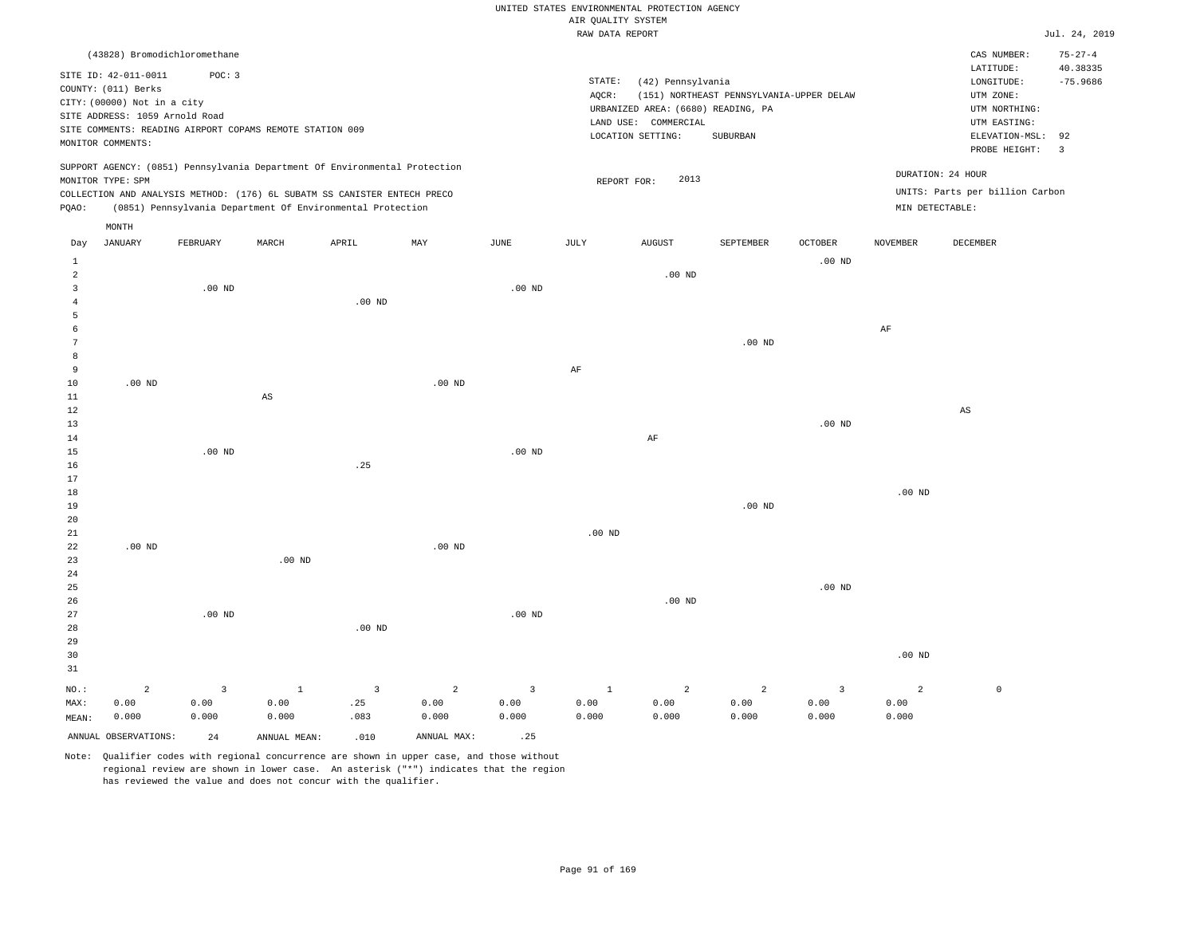|  |  |                    | UNITED STATES ENVIRONMENTAL PROTECTION AGENCY |  |
|--|--|--------------------|-----------------------------------------------|--|
|  |  | AIR OUALITY SYSTEM |                                               |  |
|  |  |                    |                                               |  |

|                     |                                                                                                              |                        |                                                                            |                                |                        |                                 | RAW DATA REPORT      |                                                         |                                          |                                 |                        |                                                       | Jul. 24, 2019          |
|---------------------|--------------------------------------------------------------------------------------------------------------|------------------------|----------------------------------------------------------------------------|--------------------------------|------------------------|---------------------------------|----------------------|---------------------------------------------------------|------------------------------------------|---------------------------------|------------------------|-------------------------------------------------------|------------------------|
|                     | (43828) Bromodichloromethane                                                                                 |                        |                                                                            |                                |                        |                                 |                      |                                                         |                                          |                                 |                        | CAS NUMBER:                                           | $75 - 27 - 4$          |
|                     | SITE ID: 42-011-0011<br>COUNTY: (011) Berks<br>CITY: (00000) Not in a city<br>SITE ADDRESS: 1059 Arnold Road | POC: 3                 |                                                                            |                                |                        |                                 | STATE:<br>AQCR:      | (42) Pennsylvania<br>URBANIZED AREA: (6680) READING, PA | (151) NORTHEAST PENNSYLVANIA-UPPER DELAW |                                 |                        | LATITUDE:<br>LONGITUDE:<br>UTM ZONE:<br>UTM NORTHING: | 40.38335<br>$-75.9686$ |
|                     | MONITOR COMMENTS:                                                                                            |                        | SITE COMMENTS: READING AIRPORT COPAMS REMOTE STATION 009                   |                                |                        |                                 |                      | LAND USE: COMMERCIAL<br>LOCATION SETTING:               | SUBURBAN                                 |                                 |                        | UTM EASTING:<br>ELEVATION-MSL:<br>PROBE HEIGHT:       | 92<br>$\overline{3}$   |
|                     | MONITOR TYPE: SPM                                                                                            |                        | SUPPORT AGENCY: (0851) Pennsylvania Department Of Environmental Protection |                                |                        |                                 | REPORT FOR:          | 2013                                                    |                                          |                                 | DURATION: 24 HOUR      |                                                       |                        |
|                     |                                                                                                              |                        | COLLECTION AND ANALYSIS METHOD: (176) 6L SUBATM SS CANISTER ENTECH PRECO   |                                |                        |                                 |                      |                                                         |                                          |                                 |                        | UNITS: Parts per billion Carbon                       |                        |
| PQAO:               |                                                                                                              |                        | (0851) Pennsylvania Department Of Environmental Protection                 |                                |                        |                                 |                      |                                                         |                                          |                                 | MIN DETECTABLE:        |                                                       |                        |
|                     | MONTH                                                                                                        |                        |                                                                            |                                |                        |                                 |                      |                                                         |                                          |                                 |                        |                                                       |                        |
| Day                 | <b>JANUARY</b>                                                                                               | FEBRUARY               | MARCH                                                                      | APRIL                          | MAY                    | $_{\rm JUNE}$                   | JULY                 | <b>AUGUST</b>                                           | SEPTEMBER                                | OCTOBER                         | <b>NOVEMBER</b>        | DECEMBER                                              |                        |
| $\mathbf{1}$        |                                                                                                              |                        |                                                                            |                                |                        |                                 |                      |                                                         |                                          | $.00$ ND                        |                        |                                                       |                        |
| $\overline{a}$      |                                                                                                              |                        |                                                                            |                                |                        |                                 |                      | $.00$ ND                                                |                                          |                                 |                        |                                                       |                        |
| 3                   |                                                                                                              | .00 <sub>ND</sub>      |                                                                            |                                |                        | .00 <sub>ND</sub>               |                      |                                                         |                                          |                                 |                        |                                                       |                        |
| $\overline{4}$<br>5 |                                                                                                              |                        |                                                                            | $.00$ ND                       |                        |                                 |                      |                                                         |                                          |                                 |                        |                                                       |                        |
| 6                   |                                                                                                              |                        |                                                                            |                                |                        |                                 |                      |                                                         |                                          |                                 | $\rm{AF}$              |                                                       |                        |
| $\overline{7}$      |                                                                                                              |                        |                                                                            |                                |                        |                                 |                      |                                                         | $.00$ ND                                 |                                 |                        |                                                       |                        |
| 8                   |                                                                                                              |                        |                                                                            |                                |                        |                                 |                      |                                                         |                                          |                                 |                        |                                                       |                        |
| 9                   |                                                                                                              |                        |                                                                            |                                |                        |                                 | $\rm{AF}$            |                                                         |                                          |                                 |                        |                                                       |                        |
| $10$                | $.00$ ND                                                                                                     |                        |                                                                            |                                | .00 <sub>ND</sub>      |                                 |                      |                                                         |                                          |                                 |                        |                                                       |                        |
| 11<br>$1\,2$        |                                                                                                              |                        | $\mathbb{A}\mathbb{S}$                                                     |                                |                        |                                 |                      |                                                         |                                          |                                 |                        | $\mathbb{A}\mathbb{S}$                                |                        |
| 13                  |                                                                                                              |                        |                                                                            |                                |                        |                                 |                      |                                                         |                                          | .00 <sub>ND</sub>               |                        |                                                       |                        |
| 14                  |                                                                                                              |                        |                                                                            |                                |                        |                                 |                      | $\rm AF$                                                |                                          |                                 |                        |                                                       |                        |
| 15                  |                                                                                                              | .00 <sub>ND</sub>      |                                                                            |                                |                        | .00 <sub>ND</sub>               |                      |                                                         |                                          |                                 |                        |                                                       |                        |
| 16                  |                                                                                                              |                        |                                                                            | .25                            |                        |                                 |                      |                                                         |                                          |                                 |                        |                                                       |                        |
| 17<br>$18\,$        |                                                                                                              |                        |                                                                            |                                |                        |                                 |                      |                                                         |                                          |                                 | .00 <sub>ND</sub>      |                                                       |                        |
| 19                  |                                                                                                              |                        |                                                                            |                                |                        |                                 |                      |                                                         | $.00$ ND                                 |                                 |                        |                                                       |                        |
| 20                  |                                                                                                              |                        |                                                                            |                                |                        |                                 |                      |                                                         |                                          |                                 |                        |                                                       |                        |
| 21                  |                                                                                                              |                        |                                                                            |                                |                        |                                 | .00 <sub>ND</sub>    |                                                         |                                          |                                 |                        |                                                       |                        |
| 22                  | $.00$ ND                                                                                                     |                        |                                                                            |                                | $.00$ ND               |                                 |                      |                                                         |                                          |                                 |                        |                                                       |                        |
| 23                  |                                                                                                              |                        | .00 <sub>ND</sub>                                                          |                                |                        |                                 |                      |                                                         |                                          |                                 |                        |                                                       |                        |
| 24<br>25            |                                                                                                              |                        |                                                                            |                                |                        |                                 |                      |                                                         |                                          | $.00$ ND                        |                        |                                                       |                        |
| 26                  |                                                                                                              |                        |                                                                            |                                |                        |                                 |                      | $.00$ ND                                                |                                          |                                 |                        |                                                       |                        |
| 27                  |                                                                                                              | $.00$ ND               |                                                                            |                                |                        | $.00$ ND                        |                      |                                                         |                                          |                                 |                        |                                                       |                        |
| 28                  |                                                                                                              |                        |                                                                            | $.00$ ND                       |                        |                                 |                      |                                                         |                                          |                                 |                        |                                                       |                        |
| 29                  |                                                                                                              |                        |                                                                            |                                |                        |                                 |                      |                                                         |                                          |                                 |                        |                                                       |                        |
| 30<br>31            |                                                                                                              |                        |                                                                            |                                |                        |                                 |                      |                                                         |                                          |                                 | .00 <sub>ND</sub>      |                                                       |                        |
|                     |                                                                                                              |                        |                                                                            |                                |                        |                                 |                      |                                                         |                                          |                                 |                        |                                                       |                        |
| NO.:<br>MAX:        | $\overline{a}$<br>0.00                                                                                       | $\overline{3}$<br>0.00 | $\mathbf{1}$<br>0.00                                                       | $\overline{\mathbf{3}}$<br>.25 | $\overline{a}$<br>0.00 | $\overline{\mathbf{3}}$<br>0.00 | $\mathbf{1}$<br>0.00 | $\overline{a}$<br>0.00                                  | $\overline{a}$<br>0.00                   | $\overline{\mathbf{3}}$<br>0.00 | $\overline{2}$<br>0.00 | $\mathbb O$                                           |                        |
| MEAN:               | 0.000                                                                                                        | 0.000                  | 0.000                                                                      | .083                           | 0.000                  | 0.000                           | 0.000                | 0.000                                                   | 0.000                                    | 0.000                           | 0.000                  |                                                       |                        |
|                     | ANNUAL OBSERVATIONS:                                                                                         | 24                     | ANNUAL MEAN:                                                               | .010                           | ANNUAL MAX:            | .25                             |                      |                                                         |                                          |                                 |                        |                                                       |                        |
|                     |                                                                                                              |                        |                                                                            |                                |                        |                                 |                      |                                                         |                                          |                                 |                        |                                                       |                        |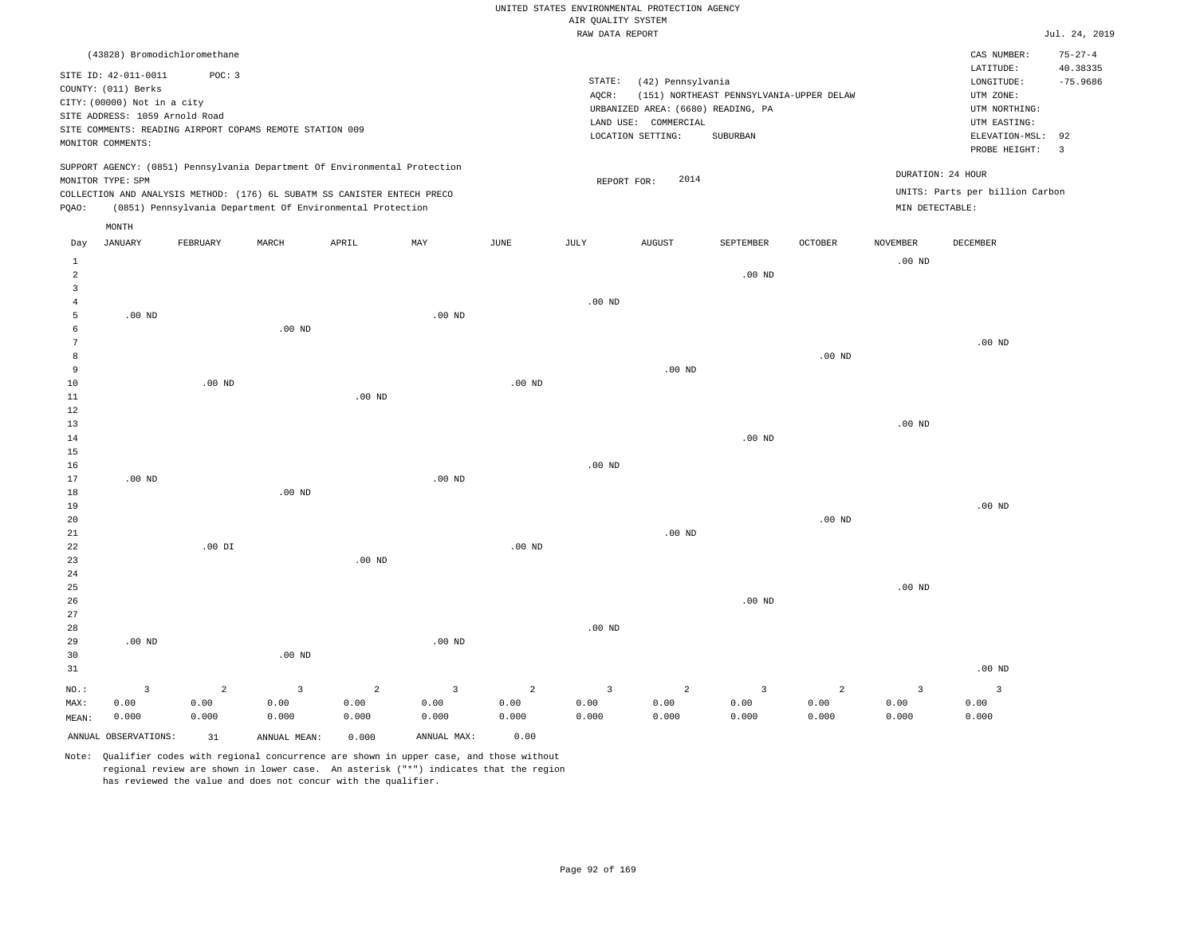|                     |                                                                            |                |                                                          |                                                                            |                         |                   |                    | UNITED STATES ENVIRONMENTAL PROTECTION AGENCY |                                          |                   |                                      |                                      |                        |
|---------------------|----------------------------------------------------------------------------|----------------|----------------------------------------------------------|----------------------------------------------------------------------------|-------------------------|-------------------|--------------------|-----------------------------------------------|------------------------------------------|-------------------|--------------------------------------|--------------------------------------|------------------------|
|                     |                                                                            |                |                                                          |                                                                            |                         |                   | AIR QUALITY SYSTEM |                                               |                                          |                   |                                      |                                      |                        |
|                     |                                                                            |                |                                                          |                                                                            |                         |                   | RAW DATA REPORT    |                                               |                                          |                   |                                      |                                      | Jul. 24, 2019          |
|                     | (43828) Bromodichloromethane                                               |                |                                                          |                                                                            |                         |                   |                    |                                               |                                          |                   |                                      | CAS NUMBER:                          | $75 - 27 - 4$          |
|                     | SITE ID: 42-011-0011<br>COUNTY: (011) Berks<br>CITY: (00000) Not in a city | POC: 3         |                                                          |                                                                            |                         |                   | STATE:<br>AQCR:    | (42) Pennsylvania                             | (151) NORTHEAST PENNSYLVANIA-UPPER DELAW |                   |                                      | LATITUDE:<br>LONGITUDE:<br>UTM ZONE: | 40.38335<br>$-75.9686$ |
|                     | SITE ADDRESS: 1059 Arnold Road                                             |                |                                                          |                                                                            |                         |                   |                    | URBANIZED AREA: (6680) READING, PA            |                                          |                   |                                      | UTM NORTHING:                        |                        |
|                     |                                                                            |                | SITE COMMENTS: READING AIRPORT COPAMS REMOTE STATION 009 |                                                                            |                         |                   |                    | LAND USE: COMMERCIAL                          |                                          |                   |                                      | UTM EASTING:                         |                        |
|                     | MONITOR COMMENTS:                                                          |                |                                                          |                                                                            |                         |                   |                    | LOCATION SETTING:                             | SUBURBAN                                 |                   |                                      | ELEVATION-MSL:<br>PROBE HEIGHT:      | 92<br>$\overline{3}$   |
|                     |                                                                            |                |                                                          | SUPPORT AGENCY: (0851) Pennsylvania Department Of Environmental Protection |                         |                   |                    | 2014                                          |                                          |                   | DURATION: 24 HOUR                    |                                      |                        |
|                     | MONITOR TYPE: SPM                                                          |                |                                                          | COLLECTION AND ANALYSIS METHOD: (176) 6L SUBATM SS CANISTER ENTECH PRECO   |                         |                   | REPORT FOR:        |                                               |                                          |                   |                                      | UNITS: Parts per billion Carbon      |                        |
| PQAO:               |                                                                            |                |                                                          | (0851) Pennsylvania Department Of Environmental Protection                 |                         |                   |                    |                                               |                                          |                   | MIN DETECTABLE:                      |                                      |                        |
|                     | MONTH                                                                      |                |                                                          |                                                                            |                         |                   |                    |                                               |                                          |                   |                                      |                                      |                        |
| Day<br>$\mathbf{1}$ | <b>JANUARY</b>                                                             | FEBRUARY       | MARCH                                                    | APRIL                                                                      | MAY                     | JUNE              | JULY               | <b>AUGUST</b>                                 | SEPTEMBER                                | OCTOBER           | <b>NOVEMBER</b><br>.00 <sub>ND</sub> | DECEMBER                             |                        |
| $\overline{a}$      |                                                                            |                |                                                          |                                                                            |                         |                   |                    |                                               | $.00$ ND                                 |                   |                                      |                                      |                        |
| $\overline{3}$      |                                                                            |                |                                                          |                                                                            |                         |                   |                    |                                               |                                          |                   |                                      |                                      |                        |
| 4                   |                                                                            |                |                                                          |                                                                            |                         |                   | $.00$ ND           |                                               |                                          |                   |                                      |                                      |                        |
| 5                   | $.00$ ND                                                                   |                |                                                          |                                                                            | $.00$ ND                |                   |                    |                                               |                                          |                   |                                      |                                      |                        |
| 6                   |                                                                            |                | $.00$ ND                                                 |                                                                            |                         |                   |                    |                                               |                                          |                   |                                      |                                      |                        |
| $\overline{7}$      |                                                                            |                |                                                          |                                                                            |                         |                   |                    |                                               |                                          |                   |                                      | $.00$ ND                             |                        |
| 8<br>$\overline{9}$ |                                                                            |                |                                                          |                                                                            |                         |                   |                    | $.00$ ND                                      |                                          | $.00$ ND          |                                      |                                      |                        |
| $10$                |                                                                            | $.00$ ND       |                                                          |                                                                            |                         | .00 <sub>ND</sub> |                    |                                               |                                          |                   |                                      |                                      |                        |
| 11                  |                                                                            |                |                                                          | $.00$ ND                                                                   |                         |                   |                    |                                               |                                          |                   |                                      |                                      |                        |
| 12                  |                                                                            |                |                                                          |                                                                            |                         |                   |                    |                                               |                                          |                   |                                      |                                      |                        |
| 13                  |                                                                            |                |                                                          |                                                                            |                         |                   |                    |                                               |                                          |                   | $.00$ ND                             |                                      |                        |
| 14                  |                                                                            |                |                                                          |                                                                            |                         |                   |                    |                                               | .00 <sub>ND</sub>                        |                   |                                      |                                      |                        |
| $15$                |                                                                            |                |                                                          |                                                                            |                         |                   |                    |                                               |                                          |                   |                                      |                                      |                        |
| 16                  |                                                                            |                |                                                          |                                                                            |                         |                   | $.00$ ND           |                                               |                                          |                   |                                      |                                      |                        |
| 17                  | $.00$ ND                                                                   |                | $.00$ ND                                                 |                                                                            | $.00$ ND                |                   |                    |                                               |                                          |                   |                                      |                                      |                        |
| 18<br>19            |                                                                            |                |                                                          |                                                                            |                         |                   |                    |                                               |                                          |                   |                                      | $.00$ ND                             |                        |
| 20                  |                                                                            |                |                                                          |                                                                            |                         |                   |                    |                                               |                                          | .00 <sub>ND</sub> |                                      |                                      |                        |
| 21                  |                                                                            |                |                                                          |                                                                            |                         |                   |                    | $.00$ ND                                      |                                          |                   |                                      |                                      |                        |
| 22                  |                                                                            | $.00$ DI       |                                                          |                                                                            |                         | $.00$ ND          |                    |                                               |                                          |                   |                                      |                                      |                        |
| 23                  |                                                                            |                |                                                          | $.00$ ND                                                                   |                         |                   |                    |                                               |                                          |                   |                                      |                                      |                        |
| 24                  |                                                                            |                |                                                          |                                                                            |                         |                   |                    |                                               |                                          |                   |                                      |                                      |                        |
| 25                  |                                                                            |                |                                                          |                                                                            |                         |                   |                    |                                               |                                          |                   | .00 <sub>ND</sub>                    |                                      |                        |
| 26                  |                                                                            |                |                                                          |                                                                            |                         |                   |                    |                                               | $.00$ ND                                 |                   |                                      |                                      |                        |
| 27<br>28            |                                                                            |                |                                                          |                                                                            |                         |                   | .00 <sub>ND</sub>  |                                               |                                          |                   |                                      |                                      |                        |
| 29                  | $.00$ ND                                                                   |                |                                                          |                                                                            | $.00$ ND                |                   |                    |                                               |                                          |                   |                                      |                                      |                        |
| 30                  |                                                                            |                | $.00$ ND                                                 |                                                                            |                         |                   |                    |                                               |                                          |                   |                                      |                                      |                        |
| 31                  |                                                                            |                |                                                          |                                                                            |                         |                   |                    |                                               |                                          |                   |                                      | .00 <sub>ND</sub>                    |                        |
| NO.:                | $\overline{\mathbf{3}}$                                                    | $\overline{a}$ | $\overline{3}$                                           | $\sqrt{2}$                                                                 | $\overline{\mathbf{3}}$ | $\overline{c}$    | $\overline{3}$     | $\overline{a}$                                | $\overline{3}$                           | $\overline{a}$    | $\overline{3}$                       | $\overline{\mathbf{3}}$              |                        |
| MAX:                | 0.00                                                                       | 0.00           | 0.00                                                     | 0.00                                                                       | 0.00                    | 0.00              | 0.00               | 0.00                                          | 0.00                                     | 0.00              | 0.00                                 | 0.00                                 |                        |
| MEAN:               | 0.000                                                                      | 0.000          | 0.000                                                    | 0.000                                                                      | 0.000                   | 0.000             | 0.000              | 0.000                                         | 0.000                                    | 0.000             | 0.000                                | 0.000                                |                        |
|                     | ANNUAL OBSERVATIONS:                                                       | 31             | ANNUAL, MEAN:                                            | 0.000                                                                      | ANNUAL MAX:             | 0.00              |                    |                                               |                                          |                   |                                      |                                      |                        |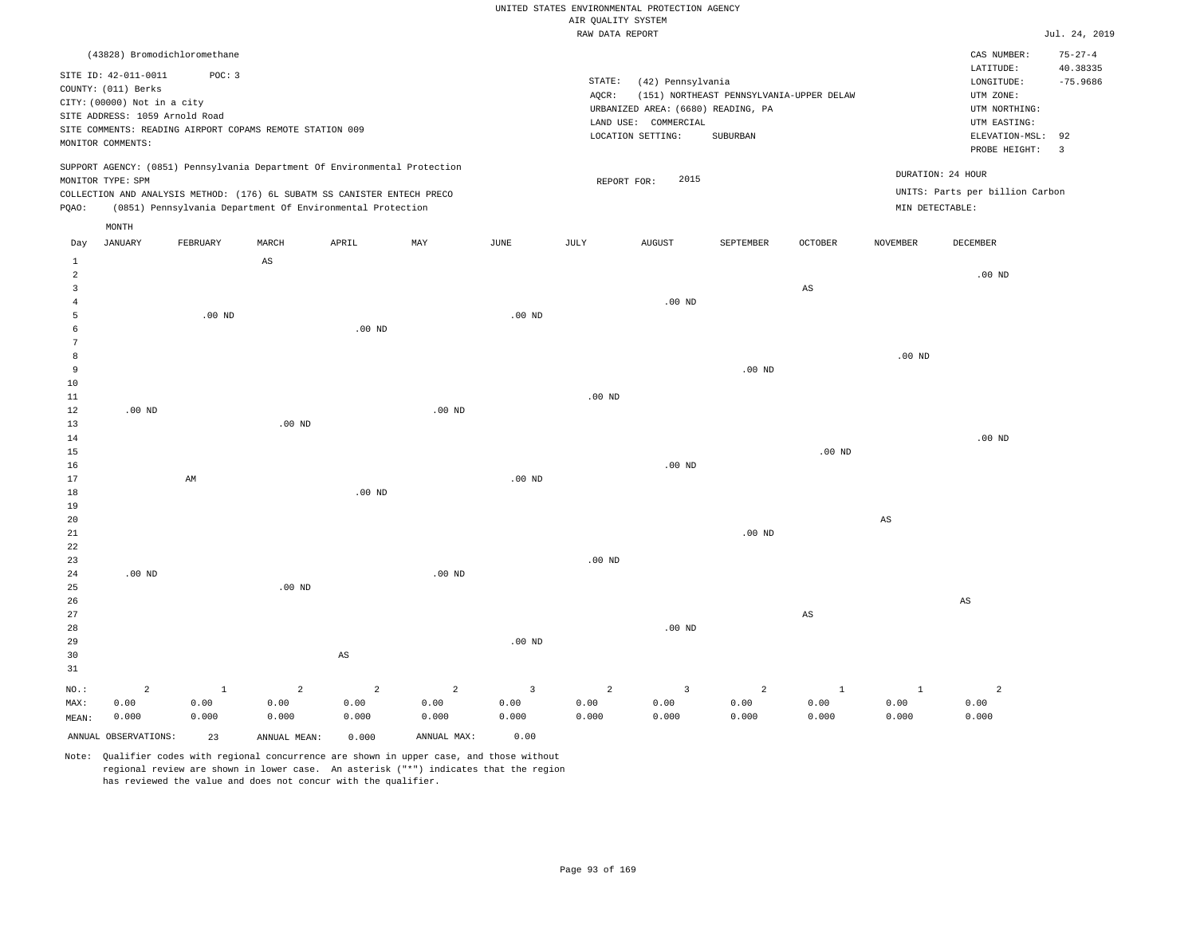### UNITED STATES ENVIRONMENTAL PROTECTION AGENCY AIR QUALITY SYSTEM

|                 |                                |                            |                                                          |                                                                                                                                        |                |                | i goi bibin<br>RAW DATA REPORT |                                           |                                          |                        |                   |                                                    | Jul. 24, 2019  |
|-----------------|--------------------------------|----------------------------|----------------------------------------------------------|----------------------------------------------------------------------------------------------------------------------------------------|----------------|----------------|--------------------------------|-------------------------------------------|------------------------------------------|------------------------|-------------------|----------------------------------------------------|----------------|
|                 | (43828) Bromodichloromethane   |                            |                                                          |                                                                                                                                        |                |                |                                |                                           |                                          |                        |                   | CAS NUMBER:                                        | $75 - 27 - 4$  |
|                 | SITE ID: 42-011-0011           | POC: 3                     |                                                          |                                                                                                                                        |                |                |                                |                                           |                                          |                        |                   | LATITUDE:                                          | 40.38335       |
|                 | COUNTY: (011) Berks            |                            |                                                          |                                                                                                                                        |                |                | STATE:                         | (42) Pennsylvania                         |                                          |                        |                   | LONGITUDE:                                         | $-75.9686$     |
|                 | CITY: (00000) Not in a city    |                            |                                                          |                                                                                                                                        |                |                | AQCR:                          |                                           | (151) NORTHEAST PENNSYLVANIA-UPPER DELAW |                        |                   | UTM ZONE:                                          |                |
|                 | SITE ADDRESS: 1059 Arnold Road |                            |                                                          |                                                                                                                                        |                |                |                                | URBANIZED AREA: (6680) READING, PA        |                                          |                        |                   | UTM NORTHING:<br>UTM EASTING:                      |                |
|                 |                                |                            | SITE COMMENTS: READING AIRPORT COPAMS REMOTE STATION 009 |                                                                                                                                        |                |                |                                | LAND USE: COMMERCIAL<br>LOCATION SETTING: | SUBURBAN                                 |                        |                   | ELEVATION-MSL:                                     | 92             |
|                 | MONITOR COMMENTS:              |                            |                                                          |                                                                                                                                        |                |                |                                |                                           |                                          |                        |                   | PROBE HEIGHT:                                      | $\overline{3}$ |
|                 |                                |                            |                                                          | SUPPORT AGENCY: (0851) Pennsylvania Department Of Environmental Protection                                                             |                |                |                                |                                           |                                          |                        |                   | DURATION: 24 HOUR                                  |                |
|                 | MONITOR TYPE: SPM              |                            |                                                          |                                                                                                                                        |                |                | REPORT FOR:                    | 2015                                      |                                          |                        |                   |                                                    |                |
| PQAO:           |                                |                            |                                                          | COLLECTION AND ANALYSIS METHOD: (176) 6L SUBATM SS CANISTER ENTECH PRECO<br>(0851) Pennsylvania Department Of Environmental Protection |                |                |                                |                                           |                                          |                        |                   | UNITS: Parts per billion Carbon<br>MIN DETECTABLE: |                |
|                 | MONTH                          |                            |                                                          |                                                                                                                                        |                |                |                                |                                           |                                          |                        |                   |                                                    |                |
| Day             | JANUARY                        | FEBRUARY                   | MARCH                                                    | APRIL                                                                                                                                  | MAY            | JUNE           | JULY                           | <b>AUGUST</b>                             | SEPTEMBER                                | OCTOBER                | NOVEMBER          | DECEMBER                                           |                |
| <sup>1</sup>    |                                |                            | $\mathbb{A}\mathbb{S}$                                   |                                                                                                                                        |                |                |                                |                                           |                                          |                        |                   |                                                    |                |
| $\overline{a}$  |                                |                            |                                                          |                                                                                                                                        |                |                |                                |                                           |                                          |                        |                   | .00 <sub>ND</sub>                                  |                |
| $\overline{3}$  |                                |                            |                                                          |                                                                                                                                        |                |                |                                |                                           |                                          | $\mathbb{A}\mathbb{S}$ |                   |                                                    |                |
| $\overline{4}$  |                                |                            |                                                          |                                                                                                                                        |                |                |                                | $.00$ ND                                  |                                          |                        |                   |                                                    |                |
| 5               |                                | $.00$ ND                   |                                                          |                                                                                                                                        |                | $.00$ ND       |                                |                                           |                                          |                        |                   |                                                    |                |
| 6               |                                |                            |                                                          | $.00$ ND                                                                                                                               |                |                |                                |                                           |                                          |                        |                   |                                                    |                |
| $7\phantom{.0}$ |                                |                            |                                                          |                                                                                                                                        |                |                |                                |                                           |                                          |                        |                   |                                                    |                |
| 8               |                                |                            |                                                          |                                                                                                                                        |                |                |                                |                                           |                                          |                        | .00 <sub>ND</sub> |                                                    |                |
| 9               |                                |                            |                                                          |                                                                                                                                        |                |                |                                |                                           | $.00$ ND                                 |                        |                   |                                                    |                |
| 10              |                                |                            |                                                          |                                                                                                                                        |                |                |                                |                                           |                                          |                        |                   |                                                    |                |
| $1\,1$          |                                |                            |                                                          |                                                                                                                                        | $.00$ ND       |                | $.00$ ND                       |                                           |                                          |                        |                   |                                                    |                |
| 12<br>13        | $.00$ ND                       |                            | $.00$ ND                                                 |                                                                                                                                        |                |                |                                |                                           |                                          |                        |                   |                                                    |                |
| 14              |                                |                            |                                                          |                                                                                                                                        |                |                |                                |                                           |                                          |                        |                   | $.00$ ND                                           |                |
| 15              |                                |                            |                                                          |                                                                                                                                        |                |                |                                |                                           |                                          | $.00$ ND               |                   |                                                    |                |
| 16              |                                |                            |                                                          |                                                                                                                                        |                |                |                                | $.00$ ND                                  |                                          |                        |                   |                                                    |                |
| 17              |                                | $\mathop{\rm AM}\nolimits$ |                                                          |                                                                                                                                        |                | $.00$ ND       |                                |                                           |                                          |                        |                   |                                                    |                |
| 18              |                                |                            |                                                          | $.00$ ND                                                                                                                               |                |                |                                |                                           |                                          |                        |                   |                                                    |                |
| 19              |                                |                            |                                                          |                                                                                                                                        |                |                |                                |                                           |                                          |                        |                   |                                                    |                |
| 20              |                                |                            |                                                          |                                                                                                                                        |                |                |                                |                                           |                                          |                        | $_{\rm AS}$       |                                                    |                |
| 21              |                                |                            |                                                          |                                                                                                                                        |                |                |                                |                                           | .00 <sub>ND</sub>                        |                        |                   |                                                    |                |
| 22              |                                |                            |                                                          |                                                                                                                                        |                |                |                                |                                           |                                          |                        |                   |                                                    |                |
| 23              |                                |                            |                                                          |                                                                                                                                        |                |                | $.00$ ND                       |                                           |                                          |                        |                   |                                                    |                |
| 24              | $.00$ ND                       |                            |                                                          |                                                                                                                                        | $.00$ ND       |                |                                |                                           |                                          |                        |                   |                                                    |                |
| 25              |                                |                            | $.00$ ND                                                 |                                                                                                                                        |                |                |                                |                                           |                                          |                        |                   |                                                    |                |
| 26              |                                |                            |                                                          |                                                                                                                                        |                |                |                                |                                           |                                          |                        |                   | AS                                                 |                |
| $2\,7$          |                                |                            |                                                          |                                                                                                                                        |                |                |                                |                                           |                                          | $\mathbb{A}\mathbb{S}$ |                   |                                                    |                |
| 28              |                                |                            |                                                          |                                                                                                                                        |                |                |                                | $.00$ ND                                  |                                          |                        |                   |                                                    |                |
| 29              |                                |                            |                                                          |                                                                                                                                        |                | $.00$ ND       |                                |                                           |                                          |                        |                   |                                                    |                |
| 30              |                                |                            |                                                          | $\mathbb{A}\mathbb{S}$                                                                                                                 |                |                |                                |                                           |                                          |                        |                   |                                                    |                |
| 31              |                                |                            |                                                          |                                                                                                                                        |                |                |                                |                                           |                                          |                        |                   |                                                    |                |
| NO.:            | $\overline{a}$                 | $\mathbf{1}$               | $\overline{a}$                                           | $\overline{c}$                                                                                                                         | $\overline{a}$ | $\overline{3}$ | $\overline{a}$                 | $\overline{\mathbf{3}}$                   | $\overline{a}$                           | $\mathbf{1}$           | $\mathbf{1}$      | $\overline{a}$                                     |                |
| MAX:            | 0.00                           | 0.00                       | 0.00                                                     | 0.00                                                                                                                                   | 0.00           | 0.00           | 0.00                           | 0.00                                      | 0.00                                     | 0.00                   | 0.00              | 0.00                                               |                |
| MEAN:           | 0.000                          | 0.000                      | 0.000                                                    | 0.000                                                                                                                                  | 0.000          | 0.000          | 0.000                          | 0.000                                     | 0.000                                    | 0.000                  | 0.000             | 0.000                                              |                |
|                 | ANNUAL OBSERVATIONS:           | 23                         | ANNUAL MEAN:                                             | 0.000                                                                                                                                  | ANNUAL MAX:    | 0.00           |                                |                                           |                                          |                        |                   |                                                    |                |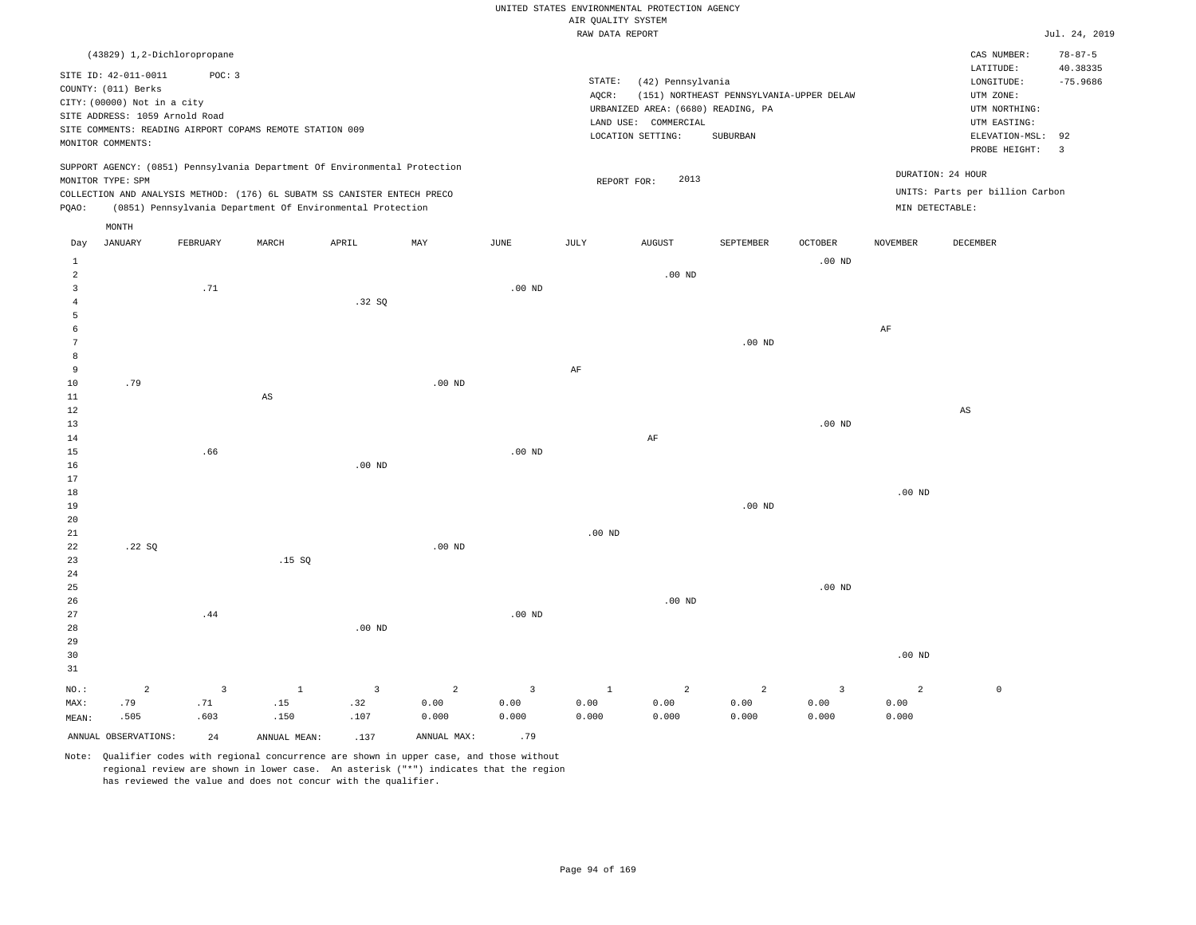# UNITED STATES ENVIRONMENTAL PROTECTION AGENCY AIR QUALITY SYSTEM

|                                        |                                                                                                                                                        |                                                                                                   |                        |                                                                                                                                        |          |                  |       | RAW DATA REPORT                                                                                                                       |                                                      |                            |          |                                                                                                                                                   | Jul. 24, 2019                           |
|----------------------------------------|--------------------------------------------------------------------------------------------------------------------------------------------------------|---------------------------------------------------------------------------------------------------|------------------------|----------------------------------------------------------------------------------------------------------------------------------------|----------|------------------|-------|---------------------------------------------------------------------------------------------------------------------------------------|------------------------------------------------------|----------------------------|----------|---------------------------------------------------------------------------------------------------------------------------------------------------|-----------------------------------------|
|                                        | SITE ID: 42-011-0011<br>COUNTY: (011) Berks<br>CITY: (00000) Not in a city<br>SITE ADDRESS: 1059 Arnold Road<br>MONITOR COMMENTS:<br>MONITOR TYPE: SPM | (43829) 1,2-Dichloropropane<br>POC: 3<br>SITE COMMENTS: READING AIRPORT COPAMS REMOTE STATION 009 |                        | SUPPORT AGENCY: (0851) Pennsylvania Department Of Environmental Protection                                                             |          |                  | AOCR: | STATE:<br>(42) Pennsylvania<br>URBANIZED AREA: (6680) READING, PA<br>LAND USE: COMMERCIAL<br>LOCATION SETTING:<br>2013<br>REPORT FOR: | (151) NORTHEAST PENNSYLVANIA-UPPER DELAW<br>SUBURBAN |                            |          | CAS NUMBER:<br>LATITUDE:<br>LONGITUDE:<br>UTM ZONE:<br>UTM NORTHING:<br>UTM EASTING:<br>ELEVATION-MSL: 92<br>PROBE HEIGHT: 3<br>DURATION: 24 HOUR | $78 - 87 - 5$<br>40.38335<br>$-75.9686$ |
| POAO:                                  | MONTH                                                                                                                                                  |                                                                                                   |                        | COLLECTION AND ANALYSIS METHOD: (176) 6L SUBATM SS CANISTER ENTECH PRECO<br>(0851) Pennsylvania Department Of Environmental Protection |          |                  |       |                                                                                                                                       |                                                      |                            |          | UNITS: Parts per billion Carbon<br>MIN DETECTABLE:                                                                                                |                                         |
| Day<br>1<br>2<br>3<br>5                | <b>JANUARY</b>                                                                                                                                         | FEBRUARY<br>.71                                                                                   | MARCH                  | APRIL<br>.32SQ                                                                                                                         | MAY      | JUNE<br>$.00$ ND | JULY  | <b>AUGUST</b><br>$.00$ ND                                                                                                             | SEPTEMBER                                            | <b>OCTOBER</b><br>$.00$ ND | NOVEMBER | DECEMBER                                                                                                                                          |                                         |
| 8<br>9<br>10                           | .79                                                                                                                                                    |                                                                                                   |                        |                                                                                                                                        | $.00$ ND |                  | AF    |                                                                                                                                       | $.00$ ND                                             |                            | AF       |                                                                                                                                                   |                                         |
| 11<br>12<br>13<br>14<br>15<br>16<br>17 |                                                                                                                                                        | .66                                                                                               | $\mathbb{A}\mathbb{S}$ | $.00$ ND                                                                                                                               |          | $.00$ ND         |       | AF                                                                                                                                    |                                                      | .00 <sub>ND</sub>          |          | AS                                                                                                                                                |                                         |

18 19 20 21 22 23 24 .22 SQ .15 SQ .00 ND .00 ND .00 ND .00 ND .00 ND

26 27 28 29 30 31 NO.: MAX: MEAN: 2 .79 .505 .44 .00 ND .00 ND .00 ND .00 ND 3 .71 .603 1 .15 .150 3 .32 .107 2 0.00 0.000 3 0.00 0.000 1 0.00 0.000 2 0.00 0.000 2 0.00 0.000 3 0.00 0.000 2 0.00 0.000  $\mathbf 0$ 

ANNUAL OBSERVATIONS: 24 ANNUAL MEAN: .137 ANNUAL MAX: .79

25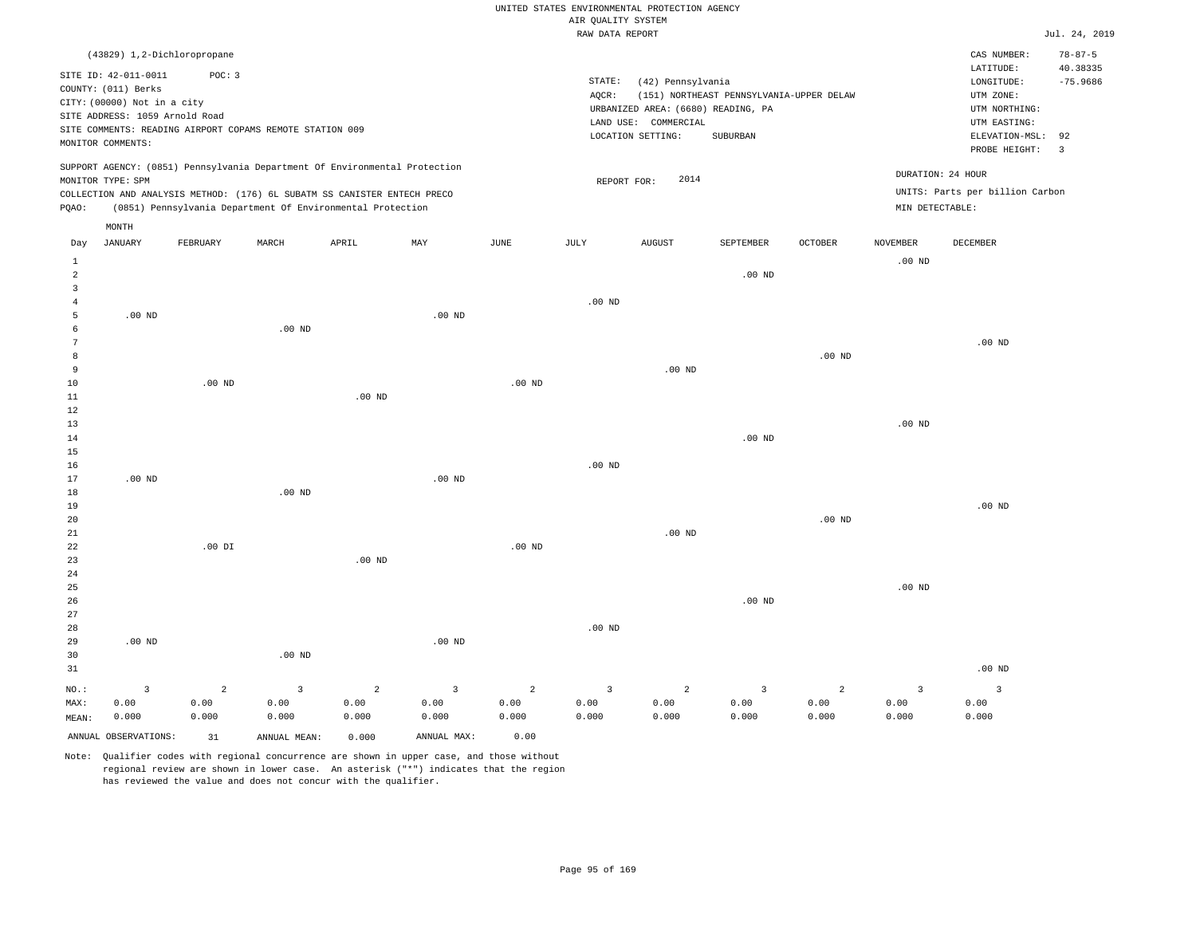|                                       |                                                                                                                                   |                                                                                                                                                        |                        |                        |                        |           | AIR QUALITY SYSTEM           | UNITED STATES ENVIRONMENTAL PROTECTION AGENCY                                              |                                                      |                        |                        |                                                                                                          |                                                |
|---------------------------------------|-----------------------------------------------------------------------------------------------------------------------------------|--------------------------------------------------------------------------------------------------------------------------------------------------------|------------------------|------------------------|------------------------|-----------|------------------------------|--------------------------------------------------------------------------------------------|------------------------------------------------------|------------------------|------------------------|----------------------------------------------------------------------------------------------------------|------------------------------------------------|
|                                       |                                                                                                                                   |                                                                                                                                                        |                        |                        |                        |           | RAW DATA REPORT              |                                                                                            |                                                      |                        |                        |                                                                                                          | Jul. 24, 2019                                  |
|                                       |                                                                                                                                   | (43829) 1,2-Dichloropropane                                                                                                                            |                        |                        |                        |           |                              |                                                                                            |                                                      |                        |                        | CAS NUMBER:                                                                                              | $78 - 87 - 5$                                  |
|                                       | SITE ID: 42-011-0011<br>COUNTY: (011) Berks<br>CITY: (00000) Not in a city<br>SITE ADDRESS: 1059 Arnold Road<br>MONITOR COMMENTS: | POC: 3<br>SITE COMMENTS: READING AIRPORT COPAMS REMOTE STATION 009                                                                                     |                        |                        |                        |           | STATE:<br>AQCR:<br>LAND USE: | (42) Pennsylvania<br>URBANIZED AREA: (6680) READING, PA<br>COMMERCIAL<br>LOCATION SETTING: | (151) NORTHEAST PENNSYLVANIA-UPPER DELAW<br>SUBURBAN |                        |                        | LATITUDE:<br>LONGITUDE:<br>UTM ZONE:<br>UTM NORTHING:<br>UTM EASTING:<br>ELEVATION-MSL:<br>PROBE HEIGHT: | 40.38335<br>$-75.9686$<br>92<br>$\overline{3}$ |
|                                       | MONITOR TYPE: SPM                                                                                                                 | SUPPORT AGENCY: (0851) Pennsylvania Department Of Environmental Protection<br>COLLECTION AND ANALYSIS METHOD: (176) 6L SUBATM SS CANISTER ENTECH PRECO |                        |                        |                        |           |                              | 2014<br>REPORT FOR:                                                                        |                                                      |                        |                        | DURATION: 24 HOUR<br>UNITS: Parts per billion Carbon                                                     |                                                |
| PQAO:                                 |                                                                                                                                   | (0851) Pennsylvania Department Of Environmental Protection                                                                                             |                        |                        |                        |           |                              |                                                                                            |                                                      |                        | MIN DETECTABLE:        |                                                                                                          |                                                |
| Day                                   | MONTH<br><b>JANUARY</b>                                                                                                           | FEBRUARY                                                                                                                                               | MARCH                  | APRIL                  | MAY                    | JUNE      | JULY                         | <b>AUGUST</b>                                                                              | SEPTEMBER                                            | <b>OCTOBER</b>         | <b>NOVEMBER</b>        | DECEMBER                                                                                                 |                                                |
| $\mathbf{1}$<br>$\overline{a}$        |                                                                                                                                   |                                                                                                                                                        |                        |                        |                        |           |                              |                                                                                            | $.00$ ND                                             |                        | $.00$ ND               |                                                                                                          |                                                |
| 3<br>$\overline{4}$<br>5<br>6         | $.00$ ND                                                                                                                          |                                                                                                                                                        | .00 <sub>ND</sub>      |                        | $.00$ ND               |           | .00 <sub>ND</sub>            |                                                                                            |                                                      |                        |                        |                                                                                                          |                                                |
| $\overline{7}$<br>8<br>$\overline{9}$ |                                                                                                                                   |                                                                                                                                                        |                        |                        |                        |           |                              | $.00$ ND                                                                                   |                                                      | $.00$ ND               |                        | $.00$ ND                                                                                                 |                                                |
| 10<br>11<br>12                        |                                                                                                                                   | $.00$ ND                                                                                                                                               |                        | $.00$ ND               |                        | $.00$ ND  |                              |                                                                                            |                                                      |                        |                        |                                                                                                          |                                                |
| 13<br>14<br>15                        |                                                                                                                                   |                                                                                                                                                        |                        |                        |                        |           |                              |                                                                                            | $.00$ ND                                             |                        | $.00$ ND               |                                                                                                          |                                                |
| 16<br>17<br>18                        | .00 $ND$                                                                                                                          |                                                                                                                                                        | .00 <sub>ND</sub>      |                        | $.00$ ND               |           | $.00$ ND                     |                                                                                            |                                                      |                        |                        |                                                                                                          |                                                |
| 19<br>20<br>21<br>22                  |                                                                                                                                   | $.00$ DI                                                                                                                                               |                        |                        |                        | $.00$ ND  |                              | $.00$ ND                                                                                   |                                                      | $.00$ ND               |                        | .00 <sub>ND</sub>                                                                                        |                                                |
| 23<br>24<br>25                        |                                                                                                                                   |                                                                                                                                                        |                        | $.00$ ND               |                        |           |                              |                                                                                            |                                                      |                        | $.00$ ND               |                                                                                                          |                                                |
| 26<br>27<br>28                        |                                                                                                                                   |                                                                                                                                                        |                        |                        |                        |           | $.00$ ND                     |                                                                                            | $.00$ ND                                             |                        |                        |                                                                                                          |                                                |
| 29<br>30<br>31                        | $.00$ ND                                                                                                                          |                                                                                                                                                        | $.00$ ND               |                        | $.00$ ND               |           |                              |                                                                                            |                                                      |                        |                        | .00 <sub>ND</sub>                                                                                        |                                                |
| NO.:<br>MAX:                          | $\overline{3}$<br>0.00                                                                                                            | $\overline{2}$<br>0.00                                                                                                                                 | $\overline{3}$<br>0.00 | $\overline{2}$<br>0.00 | $\overline{3}$<br>0.00 | 2<br>0.00 | $\overline{3}$<br>0.00       | $\overline{a}$<br>0.00                                                                     | $\overline{\mathbf{3}}$<br>0.00                      | $\overline{a}$<br>0.00 | $\overline{3}$<br>0.00 | $\overline{3}$<br>0.00                                                                                   |                                                |

 0.000 ANNUAL OBSERVATIONS: 31 ANNUAL MEAN: 0.000 ANNUAL MAX: 0.00

0.000

0.000

Note: Qualifier codes with regional concurrence are shown in upper case, and those without regional review are shown in lower case. An asterisk ("\*") indicates that the region has reviewed the value and does not concur with the qualifier.

0.000

NO.: MAX: MEAN:

0.000

0.000

0.000

0.000

0.000

0.000

0.000

0.000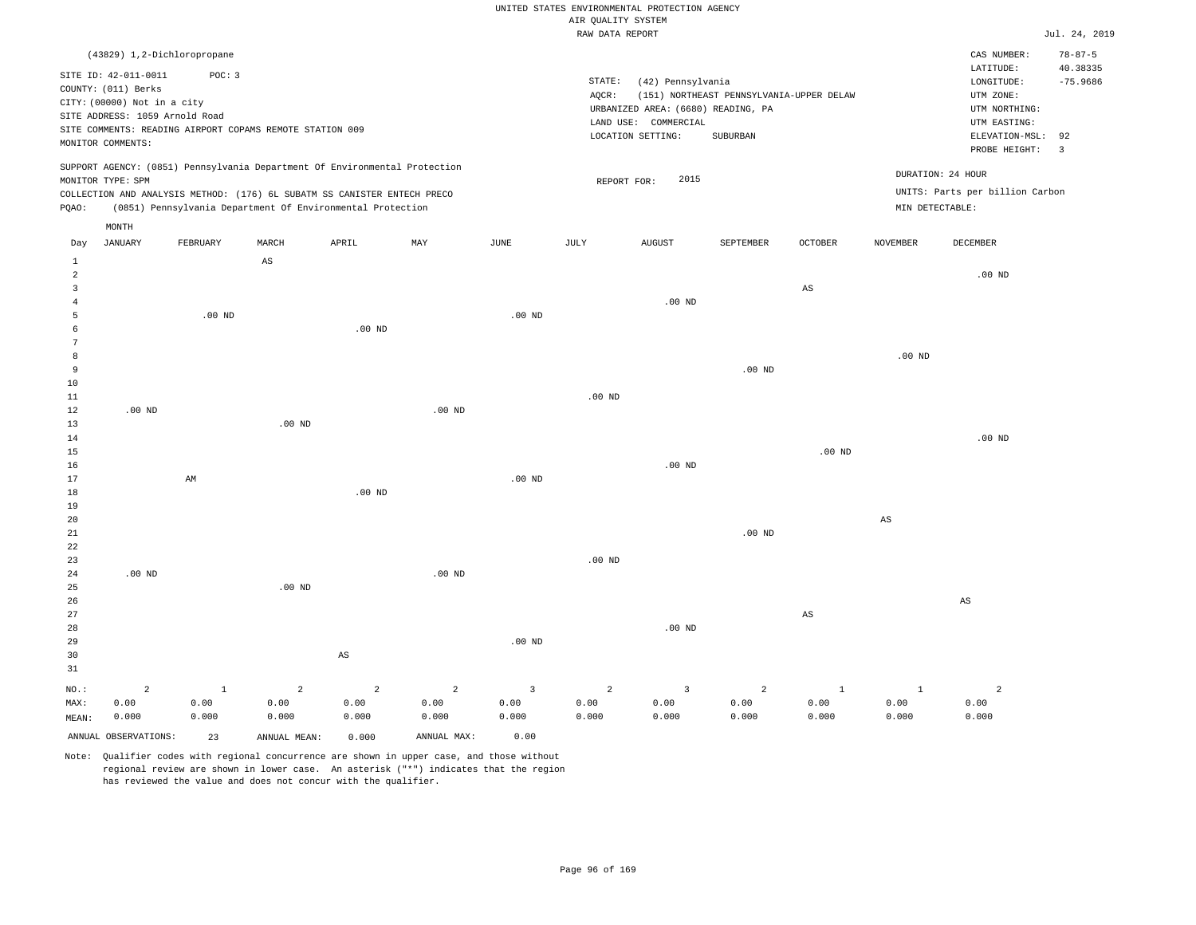#### RAW DATA REPORT JUL. 24, 2019 UNITED STATES ENVIRONMENTAL PROTECTION AGENCY AIR QUALITY SYSTEM

|                |                             | (43829) 1,2-Dichloropropane                                                |       |                   |     |                   |        |                                    |                                          |                |                   | CAS NUMBER:                     | $78 - 87 - 5$           |
|----------------|-----------------------------|----------------------------------------------------------------------------|-------|-------------------|-----|-------------------|--------|------------------------------------|------------------------------------------|----------------|-------------------|---------------------------------|-------------------------|
|                | SITE ID: 42-011-0011        | POC: 3                                                                     |       |                   |     |                   |        |                                    |                                          |                |                   | LATITUDE:                       | 40.38335                |
|                | COUNTY: (011) Berks         |                                                                            |       |                   |     |                   | STATE: | (42) Pennsylvania                  |                                          |                |                   | LONGITUDE:                      | $-75.9686$              |
|                | CITY: (00000) Not in a city |                                                                            |       |                   |     |                   | AOCR:  |                                    | (151) NORTHEAST PENNSYLVANIA-UPPER DELAW |                |                   | UTM ZONE:                       |                         |
|                |                             | SITE ADDRESS: 1059 Arnold Road                                             |       |                   |     |                   |        | URBANIZED AREA: (6680) READING, PA |                                          |                |                   | UTM NORTHING:                   |                         |
|                |                             | SITE COMMENTS: READING AIRPORT COPAMS REMOTE STATION 009                   |       |                   |     |                   |        | COMMERCIAL<br>LAND USE:            |                                          |                |                   | UTM EASTING:                    |                         |
|                | MONITOR COMMENTS:           |                                                                            |       |                   |     |                   |        | LOCATION SETTING:                  | SUBURBAN                                 |                |                   | ELEVATION-MSL: 92               |                         |
|                |                             |                                                                            |       |                   |     |                   |        |                                    |                                          |                |                   | PROBE HEIGHT:                   | $\overline{\mathbf{3}}$ |
|                |                             | SUPPORT AGENCY: (0851) Pennsylvania Department Of Environmental Protection |       |                   |     |                   |        |                                    |                                          |                |                   |                                 |                         |
|                | MONITOR TYPE: SPM           |                                                                            |       |                   |     |                   |        | 2015<br>REPORT FOR:                |                                          |                | DURATION: 24 HOUR |                                 |                         |
|                |                             | COLLECTION AND ANALYSIS METHOD: (176) 6L SUBATM SS CANISTER ENTECH PRECO   |       |                   |     |                   |        |                                    |                                          |                |                   | UNITS: Parts per billion Carbon |                         |
| POAO:          |                             | (0851) Pennsylvania Department Of Environmental Protection                 |       |                   |     |                   |        |                                    |                                          |                | MIN DETECTABLE:   |                                 |                         |
|                | MONTH                       |                                                                            |       |                   |     |                   |        |                                    |                                          |                |                   |                                 |                         |
|                |                             |                                                                            | MARCH | APRIL             | MAY | JUNE              | JULY   |                                    | <b>SEPTEMBER</b>                         |                |                   | DECEMBER                        |                         |
| Day            | <b>JANUARY</b>              | FEBRUARY                                                                   |       |                   |     |                   |        | <b>AUGUST</b>                      |                                          | <b>OCTOBER</b> | <b>NOVEMBER</b>   |                                 |                         |
|                |                             |                                                                            | AS    |                   |     |                   |        |                                    |                                          |                |                   |                                 |                         |
| $\overline{a}$ |                             |                                                                            |       |                   |     |                   |        |                                    |                                          |                |                   | $.00$ ND                        |                         |
|                |                             |                                                                            |       |                   |     |                   |        |                                    |                                          | AS             |                   |                                 |                         |
|                |                             |                                                                            |       |                   |     |                   |        | .00 <sub>ND</sub>                  |                                          |                |                   |                                 |                         |
|                |                             | .00 <sub>ND</sub>                                                          |       |                   |     | .00 <sub>ND</sub> |        |                                    |                                          |                |                   |                                 |                         |
|                |                             |                                                                            |       | .00 <sub>ND</sub> |     |                   |        |                                    |                                          |                |                   |                                 |                         |
|                |                             |                                                                            |       |                   |     |                   |        |                                    |                                          |                |                   |                                 |                         |
| 8              |                             |                                                                            |       |                   |     |                   |        |                                    |                                          |                | .00 <sub>ND</sub> |                                 |                         |

| 9      |          |    |          |          |          |          |          |          | $.00$ ND |          |    |          |
|--------|----------|----|----------|----------|----------|----------|----------|----------|----------|----------|----|----------|
| $10\,$ |          |    |          |          |          |          |          |          |          |          |    |          |
| $11\,$ |          |    |          |          |          |          | $.00$ ND |          |          |          |    |          |
| 12     | $.00$ ND |    |          |          | $.00$ ND |          |          |          |          |          |    |          |
| $13$   |          |    | $.00$ ND |          |          |          |          |          |          |          |    |          |
| $14\,$ |          |    |          |          |          |          |          |          |          |          |    | .00 $ND$ |
| $15\,$ |          |    |          |          |          |          |          |          |          | $.00$ ND |    |          |
| $16\,$ |          |    |          |          |          |          |          | $.00$ ND |          |          |    |          |
| $17$   |          | AM |          |          |          | $.00$ ND |          |          |          |          |    |          |
| $18\,$ |          |    |          | $.00$ ND |          |          |          |          |          |          |    |          |
| $19$   |          |    |          |          |          |          |          |          |          |          |    |          |
| $20\,$ |          |    |          |          |          |          |          |          |          |          | AS |          |
| 21     |          |    |          |          |          |          |          |          | $.00$ ND |          |    |          |

| 22             |                |         |                |                |                |          |                |          |                |         |       |       |
|----------------|----------------|---------|----------------|----------------|----------------|----------|----------------|----------|----------------|---------|-------|-------|
| 23             |                |         |                |                |                |          | $.00$ ND       |          |                |         |       |       |
| 24             | $.00$ ND       |         |                |                | $.00$ ND       |          |                |          |                |         |       |       |
| 25             |                |         | $.00$ ND       |                |                |          |                |          |                |         |       |       |
| 26             |                |         |                |                |                |          |                |          |                |         |       | AS    |
| 27             |                |         |                |                |                |          |                |          |                | AS      |       |       |
| 28             |                |         |                |                |                |          |                | $.00$ ND |                |         |       |       |
| 29             |                |         |                |                |                | $.00$ ND |                |          |                |         |       |       |
| $30$           |                |         |                | AS             |                |          |                |          |                |         |       |       |
| 31             |                |         |                |                |                |          |                |          |                |         |       |       |
| $_{\rm NO.}$ : | $\overline{a}$ | $\perp$ | $\overline{2}$ | $\overline{2}$ | $\overline{a}$ | 3        | $\overline{a}$ | 3        | $\overline{a}$ | $\perp$ |       | 2     |
| MAX:           | 0.00           | 0.00    | 0.00           | 0.00           | 0.00           | 0.00     | 0.00           | 0.00     | 0.00           | 0.00    | 0.00  | 0.00  |
| MEAN:          | 0.000          | 0.000   | 0.000          | 0.000          | 0.000          | 0.000    | 0.000          | 0.000    | 0.000          | 0.000   | 0.000 | 0.000 |

Note: Qualifier codes with regional concurrence are shown in upper case, and those without regional review are shown in lower case. An asterisk ("\*") indicates that the region has reviewed the value and does not concur with the qualifier.

ANNUAL OBSERVATIONS: 23 ANNUAL MEAN: 0.000 ANNUAL MAX: 0.00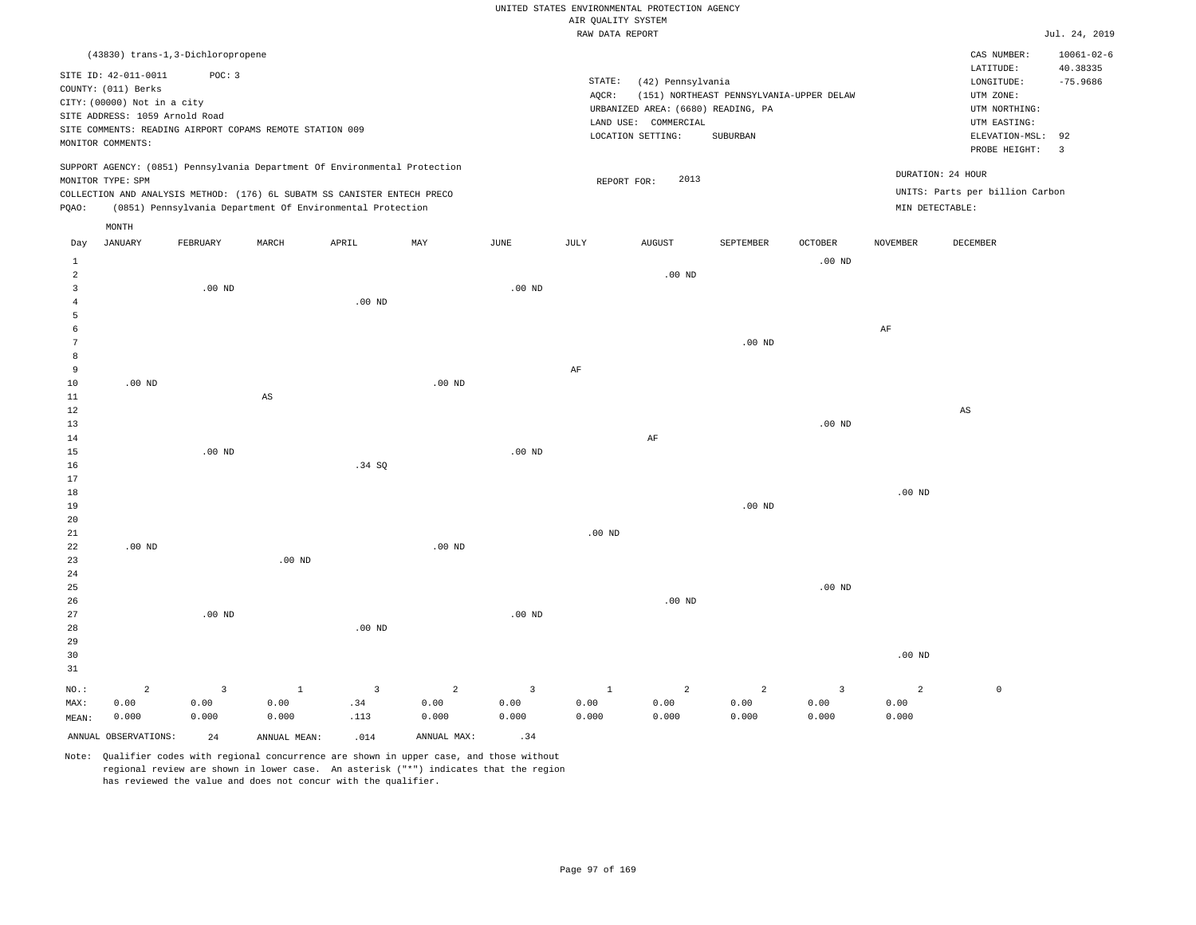|                |                                   |                         |                                                                            |                   |                |                 |                    | UNITED STATES ENVIRONMENTAL PROTECTION AGENCY |                                          |                   |                   |                                 |                  |
|----------------|-----------------------------------|-------------------------|----------------------------------------------------------------------------|-------------------|----------------|-----------------|--------------------|-----------------------------------------------|------------------------------------------|-------------------|-------------------|---------------------------------|------------------|
|                |                                   |                         |                                                                            |                   |                |                 | AIR QUALITY SYSTEM |                                               |                                          |                   |                   |                                 | Jul. 24, 2019    |
|                |                                   |                         |                                                                            |                   |                |                 | RAW DATA REPORT    |                                               |                                          |                   |                   |                                 |                  |
|                | (43830) trans-1,3-Dichloropropene |                         |                                                                            |                   |                |                 |                    |                                               |                                          |                   |                   | CAS NUMBER:                     | $10061 - 02 - 6$ |
|                | SITE ID: 42-011-0011              | POC: 3                  |                                                                            |                   |                |                 |                    |                                               |                                          |                   |                   | LATITUDE:                       | 40.38335         |
|                | COUNTY: (011) Berks               |                         |                                                                            |                   |                |                 | STATE:             | (42) Pennsylvania                             |                                          |                   |                   | LONGITUDE:                      | $-75.9686$       |
|                | CITY: (00000) Not in a city       |                         |                                                                            |                   |                |                 | AQCR:              |                                               | (151) NORTHEAST PENNSYLVANIA-UPPER DELAW |                   |                   | UTM ZONE:                       |                  |
|                | SITE ADDRESS: 1059 Arnold Road    |                         |                                                                            |                   |                |                 |                    | URBANIZED AREA: (6680) READING, PA            |                                          |                   |                   | UTM NORTHING:                   |                  |
|                |                                   |                         | SITE COMMENTS: READING AIRPORT COPAMS REMOTE STATION 009                   |                   |                |                 |                    | LAND USE: COMMERCIAL                          |                                          |                   |                   | UTM EASTING:                    |                  |
|                | MONITOR COMMENTS:                 |                         |                                                                            |                   |                |                 |                    | LOCATION SETTING:                             | SUBURBAN                                 |                   |                   | ELEVATION-MSL:                  | 92               |
|                |                                   |                         |                                                                            |                   |                |                 |                    |                                               |                                          |                   |                   | PROBE HEIGHT:                   | $\overline{3}$   |
|                |                                   |                         | SUPPORT AGENCY: (0851) Pennsylvania Department Of Environmental Protection |                   |                |                 |                    |                                               |                                          |                   |                   |                                 |                  |
|                | MONITOR TYPE: SPM                 |                         |                                                                            |                   |                |                 | REPORT FOR:        | 2013                                          |                                          |                   | DURATION: 24 HOUR |                                 |                  |
|                |                                   |                         | COLLECTION AND ANALYSIS METHOD: (176) 6L SUBATM SS CANISTER ENTECH PRECO   |                   |                |                 |                    |                                               |                                          |                   |                   | UNITS: Parts per billion Carbon |                  |
| PQAO:          |                                   |                         | (0851) Pennsylvania Department Of Environmental Protection                 |                   |                |                 |                    |                                               |                                          |                   | MIN DETECTABLE:   |                                 |                  |
|                | MONTH                             |                         |                                                                            |                   |                |                 |                    |                                               |                                          |                   |                   |                                 |                  |
| Day            | <b>JANUARY</b>                    | FEBRUARY                | MARCH                                                                      | APRIL             | MAY            | $\mathtt{JUNE}$ | JULY               | <b>AUGUST</b>                                 | SEPTEMBER                                | OCTOBER           | <b>NOVEMBER</b>   | DECEMBER                        |                  |
| <b>1</b>       |                                   |                         |                                                                            |                   |                |                 |                    |                                               |                                          | $.00$ ND          |                   |                                 |                  |
| $\overline{a}$ |                                   |                         |                                                                            |                   |                |                 |                    | $.00$ ND                                      |                                          |                   |                   |                                 |                  |
| $\overline{3}$ |                                   | $.00$ ND                |                                                                            |                   |                | $.00$ ND        |                    |                                               |                                          |                   |                   |                                 |                  |
| $\overline{4}$ |                                   |                         |                                                                            | .00 <sub>ND</sub> |                |                 |                    |                                               |                                          |                   |                   |                                 |                  |
| 5              |                                   |                         |                                                                            |                   |                |                 |                    |                                               |                                          |                   |                   |                                 |                  |
| 6              |                                   |                         |                                                                            |                   |                |                 |                    |                                               |                                          |                   | $\rm{AF}$         |                                 |                  |
| $\overline{7}$ |                                   |                         |                                                                            |                   |                |                 |                    |                                               | $.00$ ND                                 |                   |                   |                                 |                  |
| 8              |                                   |                         |                                                                            |                   |                |                 |                    |                                               |                                          |                   |                   |                                 |                  |
| 9              |                                   |                         |                                                                            |                   |                |                 | $\rm{AF}$          |                                               |                                          |                   |                   |                                 |                  |
| 10             | $.00$ ND                          |                         |                                                                            |                   | $.00$ ND       |                 |                    |                                               |                                          |                   |                   |                                 |                  |
| $1\,1$         |                                   |                         | $\mathbb{A}\mathbb{S}$                                                     |                   |                |                 |                    |                                               |                                          |                   |                   |                                 |                  |
| 12             |                                   |                         |                                                                            |                   |                |                 |                    |                                               |                                          |                   |                   | $_{\rm AS}$                     |                  |
| 13             |                                   |                         |                                                                            |                   |                |                 |                    |                                               |                                          | .00 <sub>ND</sub> |                   |                                 |                  |
| $1\,4$         |                                   |                         |                                                                            |                   |                |                 |                    | $\rm AF$                                      |                                          |                   |                   |                                 |                  |
| 15             |                                   | $.00$ ND                |                                                                            |                   |                | $.00$ ND        |                    |                                               |                                          |                   |                   |                                 |                  |
| 16             |                                   |                         |                                                                            | .34 SQ            |                |                 |                    |                                               |                                          |                   |                   |                                 |                  |
| 17             |                                   |                         |                                                                            |                   |                |                 |                    |                                               |                                          |                   |                   |                                 |                  |
| 18             |                                   |                         |                                                                            |                   |                |                 |                    |                                               |                                          |                   | $.00$ ND          |                                 |                  |
| 19             |                                   |                         |                                                                            |                   |                |                 |                    |                                               | $.00$ ND                                 |                   |                   |                                 |                  |
| 20             |                                   |                         |                                                                            |                   |                |                 |                    |                                               |                                          |                   |                   |                                 |                  |
| 21             |                                   |                         |                                                                            |                   |                |                 | .00 <sub>ND</sub>  |                                               |                                          |                   |                   |                                 |                  |
| 22             | $.00$ ND                          |                         |                                                                            |                   | $.00$ ND       |                 |                    |                                               |                                          |                   |                   |                                 |                  |
| 23             |                                   |                         | .00 <sub>ND</sub>                                                          |                   |                |                 |                    |                                               |                                          |                   |                   |                                 |                  |
| 24             |                                   |                         |                                                                            |                   |                |                 |                    |                                               |                                          |                   |                   |                                 |                  |
| 25             |                                   |                         |                                                                            |                   |                |                 |                    |                                               |                                          | $.00$ ND          |                   |                                 |                  |
| 26             |                                   |                         |                                                                            |                   |                |                 |                    | $.00$ ND                                      |                                          |                   |                   |                                 |                  |
| 27             |                                   | $.00$ ND                |                                                                            |                   |                | $.00$ ND        |                    |                                               |                                          |                   |                   |                                 |                  |
| 28             |                                   |                         |                                                                            | .00 <sub>ND</sub> |                |                 |                    |                                               |                                          |                   |                   |                                 |                  |
| 29             |                                   |                         |                                                                            |                   |                |                 |                    |                                               |                                          |                   |                   |                                 |                  |
| 30             |                                   |                         |                                                                            |                   |                |                 |                    |                                               |                                          |                   | $.00$ ND          |                                 |                  |
| 31             |                                   |                         |                                                                            |                   |                |                 |                    |                                               |                                          |                   |                   |                                 |                  |
| NO.:           | $\overline{a}$                    | $\overline{\mathbf{3}}$ | $\mathbf{1}$                                                               | $\overline{3}$    | $\overline{a}$ | $\overline{3}$  | $\mathbf{1}$       | $\overline{a}$                                | $\overline{a}$                           | $\overline{3}$    | 2                 | $\mathbb O$                     |                  |
| MAX:           | 0.00                              | 0.00                    | 0.00                                                                       | .34               | 0.00           | 0.00            | 0.00               | 0.00                                          | 0.00                                     | 0.00              | 0.00              |                                 |                  |
| MEAN:          | 0.000                             | 0.000                   | 0.000                                                                      | .113              | 0.000          | 0.000           | 0.000              | 0.000                                         | 0.000                                    | 0.000             | 0.000             |                                 |                  |
|                | ANNUAL OBSERVATIONS:              | 2.4                     | ANNUAL MEAN:                                                               | .014              | ANNUAL MAX:    | .34             |                    |                                               |                                          |                   |                   |                                 |                  |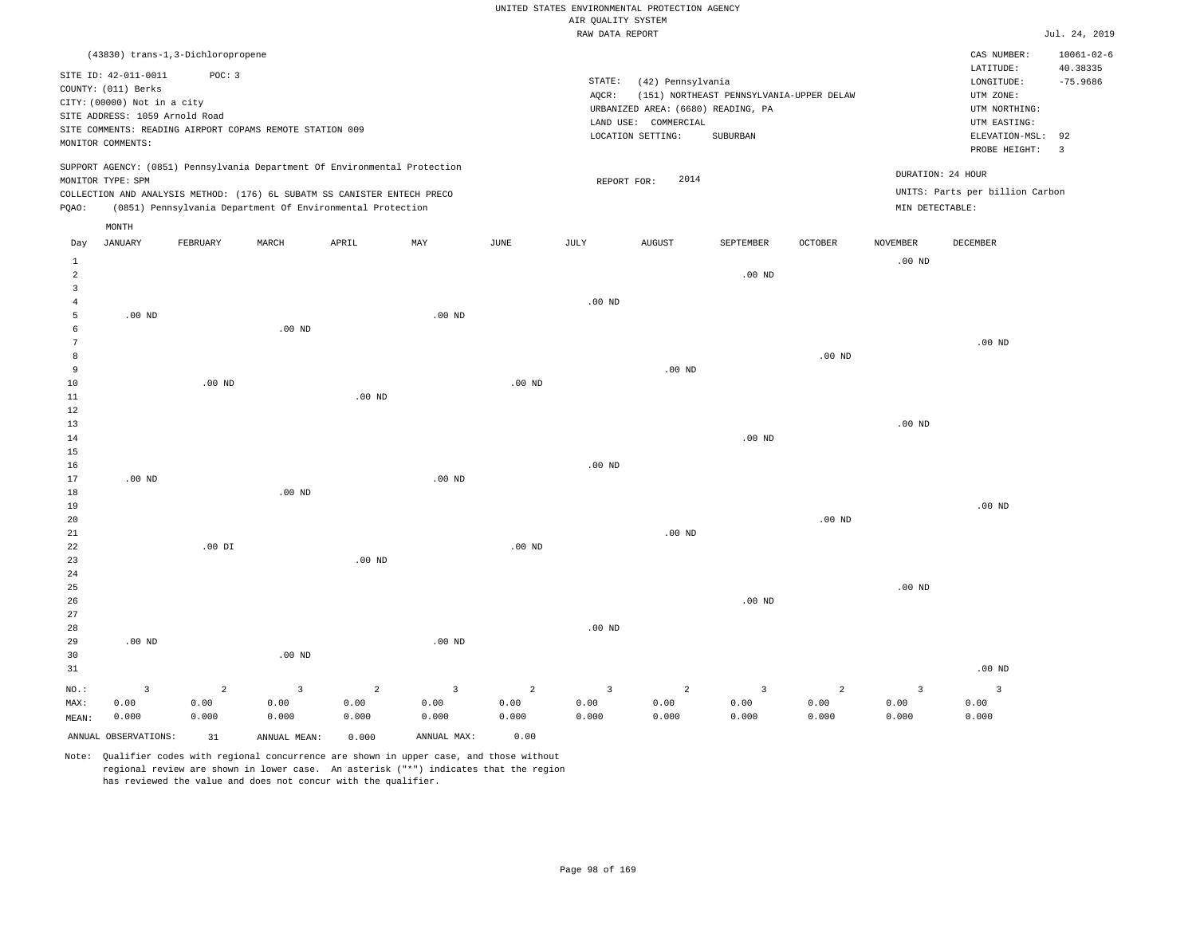|                                              |                                                                                                                                   |                                 |                                                                                                                                        |                                 |                                 |                    | AIR QUALITY SYSTEM | UNITED STATES ENVIRONMENTAL PROTECTION AGENCY                                                        |                                                      |                    |                                 |                                                                                             |                                             |
|----------------------------------------------|-----------------------------------------------------------------------------------------------------------------------------------|---------------------------------|----------------------------------------------------------------------------------------------------------------------------------------|---------------------------------|---------------------------------|--------------------|--------------------|------------------------------------------------------------------------------------------------------|------------------------------------------------------|--------------------|---------------------------------|---------------------------------------------------------------------------------------------|---------------------------------------------|
|                                              |                                                                                                                                   |                                 |                                                                                                                                        |                                 |                                 |                    | RAW DATA REPORT    |                                                                                                      |                                                      |                    |                                 |                                                                                             | Jul. 24, 2019                               |
|                                              | (43830) trans-1,3-Dichloropropene                                                                                                 |                                 |                                                                                                                                        |                                 |                                 |                    |                    |                                                                                                      |                                                      |                    |                                 | CAS NUMBER:<br>LATITUDE:                                                                    | $10061 - 02 - 6$<br>40.38335                |
|                                              | SITE ID: 42-011-0011<br>COUNTY: (011) Berks<br>CITY: (00000) Not in a city<br>SITE ADDRESS: 1059 Arnold Road<br>MONITOR COMMENTS: | POC: 3                          | SITE COMMENTS: READING AIRPORT COPAMS REMOTE STATION 009                                                                               |                                 |                                 |                    | STATE:<br>AQCR:    | (42) Pennsylvania<br>URBANIZED AREA: (6680) READING, PA<br>LAND USE: COMMERCIAL<br>LOCATION SETTING: | (151) NORTHEAST PENNSYLVANIA-UPPER DELAW<br>SUBURBAN |                    |                                 | LONGITUDE:<br>UTM ZONE:<br>UTM NORTHING:<br>UTM EASTING:<br>ELEVATION-MSL:<br>PROBE HEIGHT: | $-75.9686$<br>92<br>$\overline{\mathbf{3}}$ |
|                                              | MONITOR TYPE: SPM                                                                                                                 |                                 | SUPPORT AGENCY: (0851) Pennsylvania Department Of Environmental Protection                                                             |                                 |                                 |                    | REPORT FOR:        | 2014                                                                                                 |                                                      |                    |                                 | DURATION: 24 HOUR                                                                           |                                             |
| PQAO:                                        |                                                                                                                                   |                                 | COLLECTION AND ANALYSIS METHOD: (176) 6L SUBATM SS CANISTER ENTECH PRECO<br>(0851) Pennsylvania Department Of Environmental Protection |                                 |                                 |                    |                    |                                                                                                      |                                                      |                    | MIN DETECTABLE:                 | UNITS: Parts per billion Carbon                                                             |                                             |
|                                              | MONTH                                                                                                                             |                                 |                                                                                                                                        |                                 |                                 |                    |                    |                                                                                                      |                                                      |                    |                                 |                                                                                             |                                             |
| Day                                          | <b>JANUARY</b>                                                                                                                    | FEBRUARY                        | MARCH                                                                                                                                  | APRIL                           | MAY                             | $\mathtt{JUNE}$    | JULY               | <b>AUGUST</b>                                                                                        | SEPTEMBER                                            | OCTOBER            | <b>NOVEMBER</b>                 | DECEMBER                                                                                    |                                             |
| $\mathbf{1}$<br>$\sqrt{2}$<br>$\overline{3}$ |                                                                                                                                   |                                 |                                                                                                                                        |                                 |                                 |                    |                    |                                                                                                      | $.00$ ND                                             |                    | $.00$ ND                        |                                                                                             |                                             |
| $\overline{4}$<br>5                          | $.00$ ND                                                                                                                          |                                 |                                                                                                                                        |                                 | $.00$ ND                        |                    | $.00$ ND           |                                                                                                      |                                                      |                    |                                 |                                                                                             |                                             |
| 6<br>$7\phantom{.0}$                         |                                                                                                                                   |                                 | .00 <sub>ND</sub>                                                                                                                      |                                 |                                 |                    |                    |                                                                                                      |                                                      |                    |                                 | $.00$ ND                                                                                    |                                             |
| 8<br>9                                       |                                                                                                                                   |                                 |                                                                                                                                        |                                 |                                 |                    |                    | $.00$ ND                                                                                             |                                                      | $.00$ ND           |                                 |                                                                                             |                                             |
| $10$<br>$1\,1$                               |                                                                                                                                   | $.00$ ND                        |                                                                                                                                        | $.00$ ND                        |                                 | .00 <sub>ND</sub>  |                    |                                                                                                      |                                                      |                    |                                 |                                                                                             |                                             |
| 12<br>13                                     |                                                                                                                                   |                                 |                                                                                                                                        |                                 |                                 |                    |                    |                                                                                                      |                                                      |                    | $.00$ ND                        |                                                                                             |                                             |
| 14<br>15<br>16                               |                                                                                                                                   |                                 |                                                                                                                                        |                                 |                                 |                    | $.00$ ND           |                                                                                                      | .00 <sub>ND</sub>                                    |                    |                                 |                                                                                             |                                             |
| 17<br>18                                     | $.00$ ND                                                                                                                          |                                 | .00 <sub>ND</sub>                                                                                                                      |                                 | .00 <sub>ND</sub>               |                    |                    |                                                                                                      |                                                      |                    |                                 |                                                                                             |                                             |
| 19<br>20                                     |                                                                                                                                   |                                 |                                                                                                                                        |                                 |                                 |                    |                    |                                                                                                      |                                                      | .00 <sub>ND</sub>  |                                 | $.00$ ND                                                                                    |                                             |
| 21<br>22                                     |                                                                                                                                   | $.00$ DI                        |                                                                                                                                        |                                 |                                 | $.00$ ND           |                    | $.00$ ND                                                                                             |                                                      |                    |                                 |                                                                                             |                                             |
| 23<br>24                                     |                                                                                                                                   |                                 |                                                                                                                                        | .00 <sub>ND</sub>               |                                 |                    |                    |                                                                                                      |                                                      |                    |                                 |                                                                                             |                                             |
| 25<br>26                                     |                                                                                                                                   |                                 |                                                                                                                                        |                                 |                                 |                    |                    |                                                                                                      | $.00$ ND                                             |                    | .00 <sub>ND</sub>               |                                                                                             |                                             |
| 27<br>28<br>29<br>30                         | $.00$ ND                                                                                                                          |                                 | .00 <sub>ND</sub>                                                                                                                      |                                 | $.00$ ND                        |                    | $.00$ ND           |                                                                                                      |                                                      |                    |                                 |                                                                                             |                                             |
| 31                                           |                                                                                                                                   |                                 |                                                                                                                                        |                                 |                                 |                    |                    |                                                                                                      |                                                      |                    |                                 | $.00$ ND                                                                                    |                                             |
| NO.:<br>MAX:<br>MEAN:                        | $\overline{3}$<br>0.00<br>0.000                                                                                                   | $\overline{2}$<br>0.00<br>0.000 | 3<br>0.00<br>0.000                                                                                                                     | $\overline{2}$<br>0.00<br>0.000 | $\overline{3}$<br>0.00<br>0.000 | 2<br>0.00<br>0.000 | 3<br>0.00<br>0.000 | $\overline{a}$<br>0.00<br>0.000                                                                      | $\overline{3}$<br>0.00<br>0.000                      | 2<br>0.00<br>0.000 | $\overline{3}$<br>0.00<br>0.000 | $\overline{3}$<br>0.00<br>0.000                                                             |                                             |
|                                              | ANNUAL OBSERVATIONS:                                                                                                              | 31                              | ANNUAL MEAN:                                                                                                                           | 0.000                           | ANNUAL MAX:                     | 0.00               |                    |                                                                                                      |                                                      |                    |                                 |                                                                                             |                                             |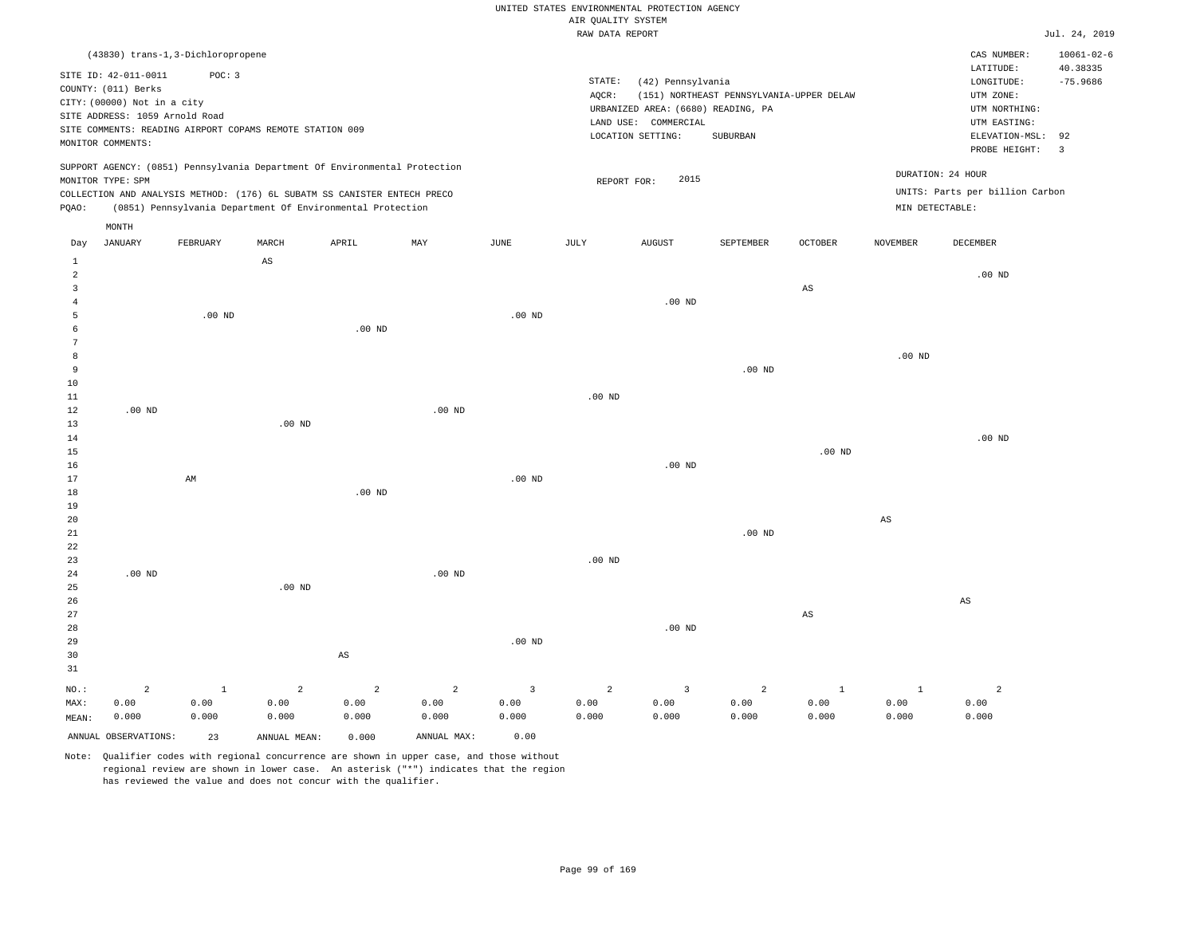|  |  |                    | UNITED STATES ENVIRONMENTAL PROTECTION AGENCY |  |
|--|--|--------------------|-----------------------------------------------|--|
|  |  | AIR OUALITY SYSTEM |                                               |  |

|                |                                |                                   |                                                                            |                         |                   |                   | RAW DATA REPORT |                                    |                                          |                        |                        |                                 | Jul. 24, 2019    |
|----------------|--------------------------------|-----------------------------------|----------------------------------------------------------------------------|-------------------------|-------------------|-------------------|-----------------|------------------------------------|------------------------------------------|------------------------|------------------------|---------------------------------|------------------|
|                |                                | (43830) trans-1,3-Dichloropropene |                                                                            |                         |                   |                   |                 |                                    |                                          |                        |                        | CAS NUMBER:                     | $10061 - 02 - 6$ |
|                |                                |                                   |                                                                            |                         |                   |                   |                 |                                    |                                          |                        |                        | LATITUDE:                       | 40.38335         |
|                | SITE ID: 42-011-0011           | POC: 3                            |                                                                            |                         |                   |                   | STATE:          | (42) Pennsylvania                  |                                          |                        |                        | LONGITUDE:                      | $-75.9686$       |
|                | COUNTY: (011) Berks            |                                   |                                                                            |                         |                   |                   | AQCR:           |                                    | (151) NORTHEAST PENNSYLVANIA-UPPER DELAW |                        |                        | UTM ZONE:                       |                  |
|                | CITY: (00000) Not in a city    |                                   |                                                                            |                         |                   |                   |                 | URBANIZED AREA: (6680) READING, PA |                                          |                        |                        | UTM NORTHING:                   |                  |
|                | SITE ADDRESS: 1059 Arnold Road |                                   |                                                                            |                         |                   |                   | LAND USE:       | COMMERCIAL                         |                                          |                        |                        | UTM EASTING:                    |                  |
|                |                                |                                   | SITE COMMENTS: READING AIRPORT COPAMS REMOTE STATION 009                   |                         |                   |                   |                 | LOCATION SETTING:                  | SUBURBAN                                 |                        |                        | ELEVATION-MSL:                  | 92               |
|                | MONITOR COMMENTS:              |                                   |                                                                            |                         |                   |                   |                 |                                    |                                          |                        |                        | PROBE HEIGHT:                   | $\overline{3}$   |
|                |                                |                                   | SUPPORT AGENCY: (0851) Pennsylvania Department Of Environmental Protection |                         |                   |                   |                 |                                    |                                          |                        |                        |                                 |                  |
|                | MONITOR TYPE: SPM              |                                   |                                                                            |                         |                   |                   | REPORT FOR:     | 2015                               |                                          |                        |                        | DURATION: 24 HOUR               |                  |
|                |                                |                                   | COLLECTION AND ANALYSIS METHOD: (176) 6L SUBATM SS CANISTER ENTECH PRECO   |                         |                   |                   |                 |                                    |                                          |                        |                        | UNITS: Parts per billion Carbon |                  |
| PQAO:          |                                |                                   | (0851) Pennsylvania Department Of Environmental Protection                 |                         |                   |                   |                 |                                    |                                          |                        |                        | MIN DETECTABLE:                 |                  |
|                | MONTH                          |                                   |                                                                            |                         |                   |                   |                 |                                    |                                          |                        |                        |                                 |                  |
| Day            | JANUARY                        | FEBRUARY                          | MARCH                                                                      | APRIL                   | MAY               | JUNE              | JULY            | <b>AUGUST</b>                      | SEPTEMBER                                | <b>OCTOBER</b>         | <b>NOVEMBER</b>        | DECEMBER                        |                  |
| $\mathbf{1}$   |                                |                                   | $_{\rm AS}$                                                                |                         |                   |                   |                 |                                    |                                          |                        |                        |                                 |                  |
| $\overline{a}$ |                                |                                   |                                                                            |                         |                   |                   |                 |                                    |                                          |                        |                        | $.00$ ND                        |                  |
| $\overline{3}$ |                                |                                   |                                                                            |                         |                   |                   |                 |                                    |                                          | $_{\rm AS}$            |                        |                                 |                  |
| $\overline{4}$ |                                |                                   |                                                                            |                         |                   |                   |                 | $.00$ ND                           |                                          |                        |                        |                                 |                  |
| 5              |                                | $.00$ ND                          |                                                                            |                         |                   | $.00$ ND          |                 |                                    |                                          |                        |                        |                                 |                  |
| 6              |                                |                                   |                                                                            | $.00$ ND                |                   |                   |                 |                                    |                                          |                        |                        |                                 |                  |
| 7              |                                |                                   |                                                                            |                         |                   |                   |                 |                                    |                                          |                        |                        |                                 |                  |
| 8              |                                |                                   |                                                                            |                         |                   |                   |                 |                                    |                                          |                        | .00 <sub>ND</sub>      |                                 |                  |
| 9              |                                |                                   |                                                                            |                         |                   |                   |                 |                                    | .00 <sub>ND</sub>                        |                        |                        |                                 |                  |
| 10             |                                |                                   |                                                                            |                         |                   |                   |                 |                                    |                                          |                        |                        |                                 |                  |
| 11             |                                |                                   |                                                                            |                         |                   |                   | $.00$ ND        |                                    |                                          |                        |                        |                                 |                  |
| 12             | $.00$ ND                       |                                   |                                                                            |                         | $.00$ ND          |                   |                 |                                    |                                          |                        |                        |                                 |                  |
| 13             |                                |                                   | $.00$ ND                                                                   |                         |                   |                   |                 |                                    |                                          |                        |                        |                                 |                  |
| 14             |                                |                                   |                                                                            |                         |                   |                   |                 |                                    |                                          |                        |                        | $.00$ ND                        |                  |
| $15$           |                                |                                   |                                                                            |                         |                   |                   |                 | $.00$ ND                           |                                          | .00 <sub>ND</sub>      |                        |                                 |                  |
| 16<br>17       |                                | AM                                |                                                                            |                         |                   | .00 <sub>ND</sub> |                 |                                    |                                          |                        |                        |                                 |                  |
| 18             |                                |                                   |                                                                            | $.00$ ND                |                   |                   |                 |                                    |                                          |                        |                        |                                 |                  |
| 19             |                                |                                   |                                                                            |                         |                   |                   |                 |                                    |                                          |                        |                        |                                 |                  |
| 20             |                                |                                   |                                                                            |                         |                   |                   |                 |                                    |                                          |                        | $\mathbb{A}\mathbb{S}$ |                                 |                  |
| 21             |                                |                                   |                                                                            |                         |                   |                   |                 |                                    | $.00$ ND                                 |                        |                        |                                 |                  |
| 22             |                                |                                   |                                                                            |                         |                   |                   |                 |                                    |                                          |                        |                        |                                 |                  |
| 23             |                                |                                   |                                                                            |                         |                   |                   | $.00$ ND        |                                    |                                          |                        |                        |                                 |                  |
| 24             | .00 <sub>ND</sub>              |                                   |                                                                            |                         | .00 <sub>ND</sub> |                   |                 |                                    |                                          |                        |                        |                                 |                  |
| 25             |                                |                                   | .00 <sub>ND</sub>                                                          |                         |                   |                   |                 |                                    |                                          |                        |                        |                                 |                  |
| 26             |                                |                                   |                                                                            |                         |                   |                   |                 |                                    |                                          |                        |                        | $_{\rm AS}$                     |                  |
| 27             |                                |                                   |                                                                            |                         |                   |                   |                 |                                    |                                          | $\mathbb{A}\mathbb{S}$ |                        |                                 |                  |
| 28             |                                |                                   |                                                                            |                         |                   |                   |                 | $.00$ ND                           |                                          |                        |                        |                                 |                  |
| 29             |                                |                                   |                                                                            |                         |                   | .00 <sub>ND</sub> |                 |                                    |                                          |                        |                        |                                 |                  |
| 30             |                                |                                   |                                                                            | AS                      |                   |                   |                 |                                    |                                          |                        |                        |                                 |                  |
| 31             |                                |                                   |                                                                            |                         |                   |                   |                 |                                    |                                          |                        |                        |                                 |                  |
| NO.:           | $\overline{2}$                 | $\mathbf 1$                       | $\overline{a}$                                                             | $\overline{\mathbf{c}}$ | $\overline{a}$    | $\overline{3}$    | $\overline{a}$  | $\overline{3}$                     | 2                                        | $1\,$                  | $\mathbf{1}$           | $\overline{2}$                  |                  |
| MAX:           | 0.00                           | 0.00                              | 0.00                                                                       | 0.00                    | 0.00              | 0.00              | 0.00            | 0.00                               | 0.00                                     | 0.00                   | 0.00                   | 0.00                            |                  |
| MEAN:          | 0.000                          | 0.000                             | 0.000                                                                      | 0.000                   | 0.000             | 0.000             | 0.000           | 0.000                              | 0.000                                    | 0.000                  | 0.000                  | 0.000                           |                  |
|                | ANNUAL OBSERVATIONS:           | 23                                | ANNUAL MEAN:                                                               | 0.000                   | ANNUAL MAX:       | 0.00              |                 |                                    |                                          |                        |                        |                                 |                  |
|                |                                |                                   |                                                                            |                         |                   |                   |                 |                                    |                                          |                        |                        |                                 |                  |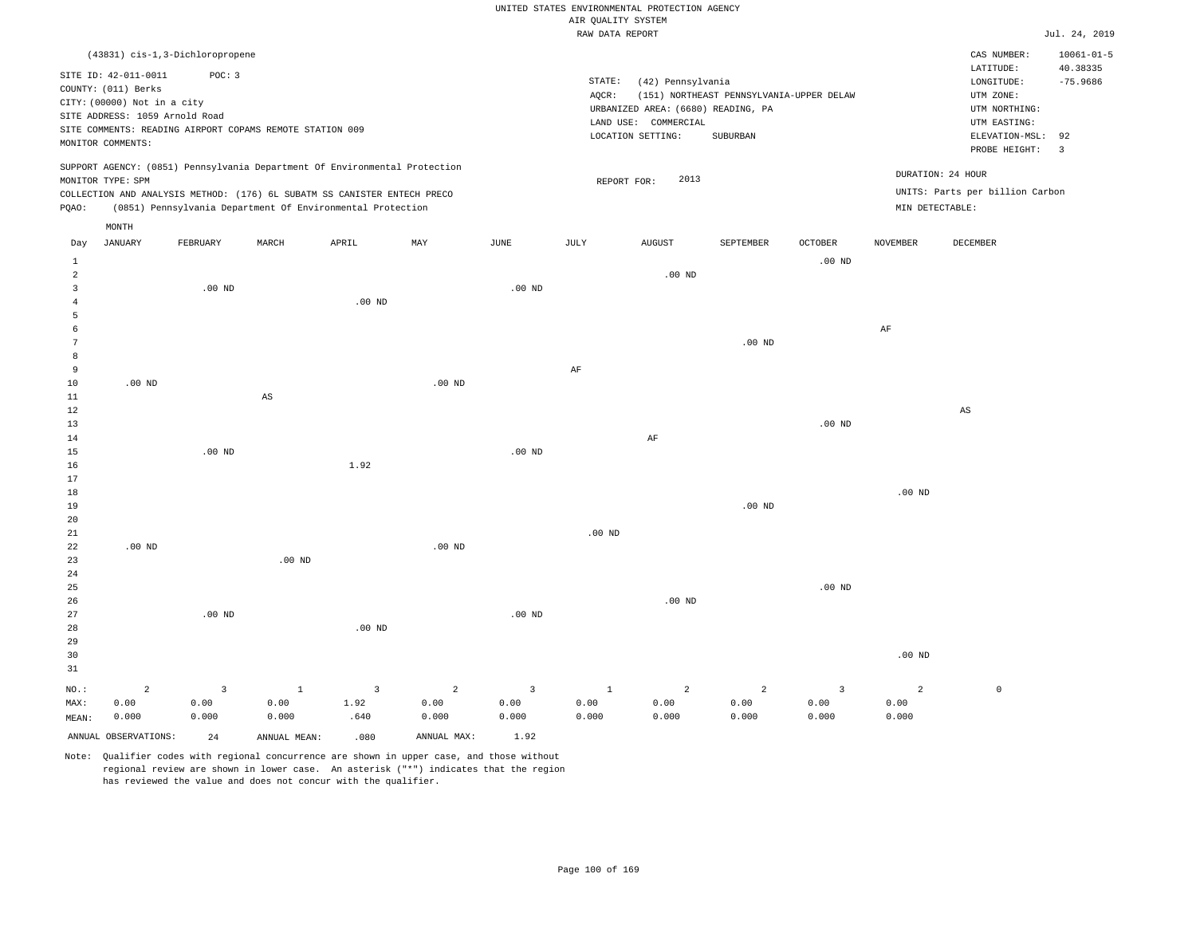|                |                                  |                |                                                                            |                   |             |                         |                    | UNITED STATES ENVIRONMENTAL PROTECTION AGENCY |                                          |                   |                   |                                 |                              |
|----------------|----------------------------------|----------------|----------------------------------------------------------------------------|-------------------|-------------|-------------------------|--------------------|-----------------------------------------------|------------------------------------------|-------------------|-------------------|---------------------------------|------------------------------|
|                |                                  |                |                                                                            |                   |             |                         | AIR QUALITY SYSTEM |                                               |                                          |                   |                   |                                 |                              |
|                |                                  |                |                                                                            |                   |             |                         | RAW DATA REPORT    |                                               |                                          |                   |                   |                                 | Jul. 24, 2019                |
|                | (43831) cis-1, 3-Dichloropropene |                |                                                                            |                   |             |                         |                    |                                               |                                          |                   |                   | CAS NUMBER:<br>LATITUDE:        | $10061 - 01 - 5$<br>40.38335 |
|                | SITE ID: 42-011-0011             | POC: 3         |                                                                            |                   |             |                         | STATE:             | (42) Pennsylvania                             |                                          |                   |                   | LONGITUDE:                      | $-75.9686$                   |
|                | COUNTY: (011) Berks              |                |                                                                            |                   |             |                         | AQCR:              |                                               | (151) NORTHEAST PENNSYLVANIA-UPPER DELAW |                   |                   | UTM ZONE:                       |                              |
|                | CITY: (00000) Not in a city      |                |                                                                            |                   |             |                         |                    | URBANIZED AREA: (6680) READING, PA            |                                          |                   |                   | UTM NORTHING:                   |                              |
|                | SITE ADDRESS: 1059 Arnold Road   |                |                                                                            |                   |             |                         |                    | LAND USE: COMMERCIAL                          |                                          |                   |                   | UTM EASTING:                    |                              |
|                |                                  |                | SITE COMMENTS: READING AIRPORT COPAMS REMOTE STATION 009                   |                   |             |                         |                    | LOCATION SETTING:                             | SUBURBAN                                 |                   |                   | ELEVATION-MSL:                  | 92                           |
|                | MONITOR COMMENTS:                |                |                                                                            |                   |             |                         |                    |                                               |                                          |                   |                   | PROBE HEIGHT:                   | $\overline{3}$               |
|                |                                  |                | SUPPORT AGENCY: (0851) Pennsylvania Department Of Environmental Protection |                   |             |                         |                    |                                               |                                          |                   |                   | DURATION: 24 HOUR               |                              |
|                | MONITOR TYPE: SPM                |                |                                                                            |                   |             |                         |                    | 2013<br>REPORT FOR:                           |                                          |                   |                   |                                 |                              |
|                |                                  |                | COLLECTION AND ANALYSIS METHOD: (176) 6L SUBATM SS CANISTER ENTECH PRECO   |                   |             |                         |                    |                                               |                                          |                   |                   | UNITS: Parts per billion Carbon |                              |
| PQAO:          |                                  |                | (0851) Pennsylvania Department Of Environmental Protection                 |                   |             |                         |                    |                                               |                                          |                   | MIN DETECTABLE:   |                                 |                              |
| Day            | MONTH<br><b>JANUARY</b>          | FEBRUARY       | MARCH                                                                      | APRIL             | MAY         | <b>JUNE</b>             | JULY               | <b>AUGUST</b>                                 | <b>SEPTEMBER</b>                         | <b>OCTOBER</b>    | <b>NOVEMBER</b>   | <b>DECEMBER</b>                 |                              |
| <b>1</b>       |                                  |                |                                                                            |                   |             |                         |                    |                                               |                                          | $.00$ ND          |                   |                                 |                              |
| $\overline{a}$ |                                  |                |                                                                            |                   |             |                         |                    | $.00$ ND                                      |                                          |                   |                   |                                 |                              |
| $\overline{3}$ |                                  | $.00$ ND       |                                                                            |                   |             | $.00$ ND                |                    |                                               |                                          |                   |                   |                                 |                              |
| 4              |                                  |                |                                                                            | .00 <sub>ND</sub> |             |                         |                    |                                               |                                          |                   |                   |                                 |                              |
| 5              |                                  |                |                                                                            |                   |             |                         |                    |                                               |                                          |                   |                   |                                 |                              |
| 6              |                                  |                |                                                                            |                   |             |                         |                    |                                               |                                          |                   | AF                |                                 |                              |
| $\overline{7}$ |                                  |                |                                                                            |                   |             |                         |                    |                                               | $.00$ ND                                 |                   |                   |                                 |                              |
| 8              |                                  |                |                                                                            |                   |             |                         |                    |                                               |                                          |                   |                   |                                 |                              |
| 9              |                                  |                |                                                                            |                   |             |                         | AF                 |                                               |                                          |                   |                   |                                 |                              |
| $10$           | $.00$ ND                         |                |                                                                            |                   | $.00$ ND    |                         |                    |                                               |                                          |                   |                   |                                 |                              |
| 11             |                                  |                | $_{\rm AS}$                                                                |                   |             |                         |                    |                                               |                                          |                   |                   |                                 |                              |
| $1\,2$<br>13   |                                  |                |                                                                            |                   |             |                         |                    |                                               |                                          | .00 <sub>ND</sub> |                   | $_{\rm AS}$                     |                              |
| 14             |                                  |                |                                                                            |                   |             |                         |                    | $\rm{AF}$                                     |                                          |                   |                   |                                 |                              |
| 15             |                                  | $.00$ ND       |                                                                            |                   |             | $.00$ ND                |                    |                                               |                                          |                   |                   |                                 |                              |
| 16             |                                  |                |                                                                            | 1.92              |             |                         |                    |                                               |                                          |                   |                   |                                 |                              |
| 17             |                                  |                |                                                                            |                   |             |                         |                    |                                               |                                          |                   |                   |                                 |                              |
| $18$           |                                  |                |                                                                            |                   |             |                         |                    |                                               |                                          |                   | .00 <sub>ND</sub> |                                 |                              |
| 19             |                                  |                |                                                                            |                   |             |                         |                    |                                               | $.00$ ND                                 |                   |                   |                                 |                              |
| 20             |                                  |                |                                                                            |                   |             |                         |                    |                                               |                                          |                   |                   |                                 |                              |
| 21             |                                  |                |                                                                            |                   |             |                         | $.00$ ND           |                                               |                                          |                   |                   |                                 |                              |
| 22             | $.00$ ND                         |                |                                                                            |                   | $.00$ ND    |                         |                    |                                               |                                          |                   |                   |                                 |                              |
| 23             |                                  |                | $.00$ ND                                                                   |                   |             |                         |                    |                                               |                                          |                   |                   |                                 |                              |
| 24             |                                  |                |                                                                            |                   |             |                         |                    |                                               |                                          |                   |                   |                                 |                              |
| 25<br>26       |                                  |                |                                                                            |                   |             |                         |                    | $.00$ ND                                      |                                          | $.00$ ND          |                   |                                 |                              |
| 27             |                                  | $.00$ ND       |                                                                            |                   |             | $.00$ ND                |                    |                                               |                                          |                   |                   |                                 |                              |
| 28             |                                  |                |                                                                            | .00 <sub>ND</sub> |             |                         |                    |                                               |                                          |                   |                   |                                 |                              |
| 29             |                                  |                |                                                                            |                   |             |                         |                    |                                               |                                          |                   |                   |                                 |                              |
| 30             |                                  |                |                                                                            |                   |             |                         |                    |                                               |                                          |                   | $.00$ ND          |                                 |                              |
| 31             |                                  |                |                                                                            |                   |             |                         |                    |                                               |                                          |                   |                   |                                 |                              |
| NO.:           | $\overline{a}$                   | $\overline{3}$ | $\mathbf{1}$                                                               | $\overline{3}$    | 2           | $\overline{\mathbf{3}}$ | $\mathbf{1}$       | 2                                             | 2                                        | $\overline{3}$    | 2                 | $\mathsf 0$                     |                              |
| MAX:           | 0.00                             | 0.00           | 0.00                                                                       | 1.92              | 0.00        | 0.00                    | 0.00               | 0.00                                          | 0.00                                     | 0.00              | 0.00              |                                 |                              |
| MEAN:          | 0.000                            | 0.000          | 0.000                                                                      | .640              | 0.000       | 0.000                   | 0.000              | 0.000                                         | 0.000                                    | 0.000             | 0.000             |                                 |                              |
|                | ANNUAL OBSERVATIONS:             | 2.4            | ANNUAL MEAN:                                                               | .080.             | ANNUAL MAX: | 1.92                    |                    |                                               |                                          |                   |                   |                                 |                              |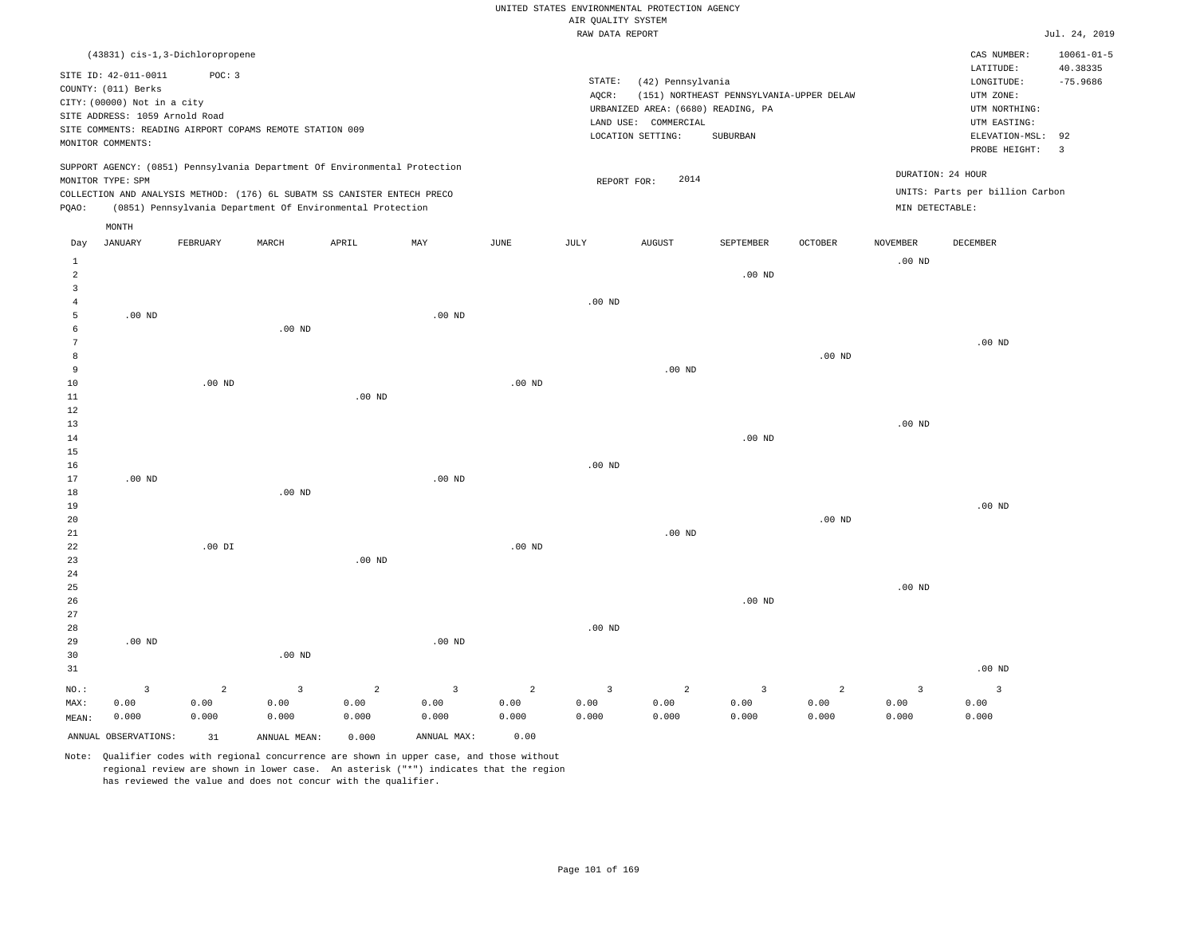|                                  |                                                                            |                |                                                                            |                   |                |                       |                    | UNITED STATES ENVIRONMENTAL PROTECTION AGENCY              |                                          |          |                   |                                      |                        |
|----------------------------------|----------------------------------------------------------------------------|----------------|----------------------------------------------------------------------------|-------------------|----------------|-----------------------|--------------------|------------------------------------------------------------|------------------------------------------|----------|-------------------|--------------------------------------|------------------------|
|                                  |                                                                            |                |                                                                            |                   |                |                       | AIR QUALITY SYSTEM |                                                            |                                          |          |                   |                                      |                        |
|                                  |                                                                            |                |                                                                            |                   |                |                       | RAW DATA REPORT    |                                                            |                                          |          |                   |                                      | Jul. 24, 2019          |
|                                  | (43831) cis-1,3-Dichloropropene                                            |                |                                                                            |                   |                |                       |                    |                                                            |                                          |          |                   | CAS NUMBER:                          | $10061 - 01 - 5$       |
|                                  | SITE ID: 42-011-0011<br>COUNTY: (011) Berks<br>CITY: (00000) Not in a city | POC: 3         |                                                                            |                   |                |                       | STATE:<br>AOCR:    | (42) Pennsylvania                                          | (151) NORTHEAST PENNSYLVANIA-UPPER DELAW |          |                   | LATITUDE:<br>LONGITUDE:<br>UTM ZONE: | 40.38335<br>$-75.9686$ |
|                                  | SITE ADDRESS: 1059 Arnold Road                                             |                | SITE COMMENTS: READING AIRPORT COPAMS REMOTE STATION 009                   |                   |                |                       |                    | URBANIZED AREA: (6680) READING, PA<br>LAND USE: COMMERCIAL |                                          |          |                   | UTM NORTHING:<br>UTM EASTING:        |                        |
|                                  | MONITOR COMMENTS:                                                          |                |                                                                            |                   |                |                       |                    | LOCATION SETTING:                                          | SUBURBAN                                 |          |                   | ELEVATION-MSL:<br>PROBE HEIGHT:      | 92<br>$\overline{3}$   |
|                                  | MONITOR TYPE: SPM                                                          |                | SUPPORT AGENCY: (0851) Pennsylvania Department Of Environmental Protection |                   |                |                       | REPORT FOR:        | 2014                                                       |                                          |          |                   | DURATION: 24 HOUR                    |                        |
|                                  |                                                                            |                | COLLECTION AND ANALYSIS METHOD: (176) 6L SUBATM SS CANISTER ENTECH PRECO   |                   |                |                       |                    |                                                            |                                          |          |                   | UNITS: Parts per billion Carbon      |                        |
| PQAO:                            |                                                                            |                | (0851) Pennsylvania Department Of Environmental Protection                 |                   |                |                       |                    |                                                            |                                          |          | MIN DETECTABLE:   |                                      |                        |
| Day                              | MONTH<br><b>JANUARY</b>                                                    | FEBRUARY       | MARCH                                                                      | APRIL             | MAY            | $\operatorname{JUNE}$ | $\mathtt{JULY}$    | <b>AUGUST</b>                                              | SEPTEMBER                                | OCTOBER  | <b>NOVEMBER</b>   | DECEMBER                             |                        |
| $\mathbf{1}$                     |                                                                            |                |                                                                            |                   |                |                       |                    |                                                            |                                          |          | $.00$ ND          |                                      |                        |
| $\overline{a}$<br>$\overline{3}$ |                                                                            |                |                                                                            |                   |                |                       |                    |                                                            | $.00$ ND                                 |          |                   |                                      |                        |
| $\overline{4}$                   |                                                                            |                |                                                                            |                   |                |                       | $.00$ ND           |                                                            |                                          |          |                   |                                      |                        |
| 5                                | $.00$ ND                                                                   |                |                                                                            |                   | $.00$ ND       |                       |                    |                                                            |                                          |          |                   |                                      |                        |
| 6                                |                                                                            |                | $.00$ ND                                                                   |                   |                |                       |                    |                                                            |                                          |          |                   |                                      |                        |
| $7\phantom{.0}$                  |                                                                            |                |                                                                            |                   |                |                       |                    |                                                            |                                          |          |                   | $.00$ ND                             |                        |
| 8                                |                                                                            |                |                                                                            |                   |                |                       |                    |                                                            |                                          | $.00$ ND |                   |                                      |                        |
| 9                                |                                                                            |                |                                                                            |                   |                |                       |                    | $.00$ ND                                                   |                                          |          |                   |                                      |                        |
| $10$                             |                                                                            | $.00$ ND       |                                                                            |                   |                | $.00$ ND              |                    |                                                            |                                          |          |                   |                                      |                        |
| $1\,1$                           |                                                                            |                |                                                                            | .00 <sub>ND</sub> |                |                       |                    |                                                            |                                          |          |                   |                                      |                        |
| $1\,2$<br>13                     |                                                                            |                |                                                                            |                   |                |                       |                    |                                                            |                                          |          | .00 <sub>ND</sub> |                                      |                        |
| 14                               |                                                                            |                |                                                                            |                   |                |                       |                    |                                                            | .00 <sub>ND</sub>                        |          |                   |                                      |                        |
| 15                               |                                                                            |                |                                                                            |                   |                |                       |                    |                                                            |                                          |          |                   |                                      |                        |
| 16                               |                                                                            |                |                                                                            |                   |                |                       | $.00$ ND           |                                                            |                                          |          |                   |                                      |                        |
| 17                               | .00 <sub>ND</sub>                                                          |                |                                                                            |                   | $.00$ ND       |                       |                    |                                                            |                                          |          |                   |                                      |                        |
| 18                               |                                                                            |                | $.00$ ND                                                                   |                   |                |                       |                    |                                                            |                                          |          |                   |                                      |                        |
| 19                               |                                                                            |                |                                                                            |                   |                |                       |                    |                                                            |                                          |          |                   | $.00$ ND                             |                        |
| 20                               |                                                                            |                |                                                                            |                   |                |                       |                    |                                                            |                                          | $.00$ ND |                   |                                      |                        |
| 21                               |                                                                            |                |                                                                            |                   |                |                       |                    | .00 <sub>ND</sub>                                          |                                          |          |                   |                                      |                        |
| 22                               |                                                                            | $.00$ DI       |                                                                            |                   |                | $.00$ ND              |                    |                                                            |                                          |          |                   |                                      |                        |
| 23                               |                                                                            |                |                                                                            | .00 <sub>ND</sub> |                |                       |                    |                                                            |                                          |          |                   |                                      |                        |
| 24                               |                                                                            |                |                                                                            |                   |                |                       |                    |                                                            |                                          |          |                   |                                      |                        |
| 25                               |                                                                            |                |                                                                            |                   |                |                       |                    |                                                            |                                          |          | .00 <sub>ND</sub> |                                      |                        |
| 26                               |                                                                            |                |                                                                            |                   |                |                       |                    |                                                            | $.00$ ND                                 |          |                   |                                      |                        |
| 27<br>28                         |                                                                            |                |                                                                            |                   |                |                       | $.00$ ND           |                                                            |                                          |          |                   |                                      |                        |
| 29                               | $.00$ ND                                                                   |                |                                                                            |                   | $.00$ ND       |                       |                    |                                                            |                                          |          |                   |                                      |                        |
| 30                               |                                                                            |                | $.00$ ND                                                                   |                   |                |                       |                    |                                                            |                                          |          |                   |                                      |                        |
| 31                               |                                                                            |                |                                                                            |                   |                |                       |                    |                                                            |                                          |          |                   | $.00$ ND                             |                        |
| NO.:                             | $\overline{3}$                                                             | $\overline{2}$ | 3                                                                          | $\overline{2}$    | $\overline{3}$ | $\overline{2}$        | 3                  | $\overline{a}$                                             | $\overline{3}$                           | 2        | $\overline{3}$    | $\overline{3}$                       |                        |
| MAX:                             | 0.00                                                                       | 0.00           | 0.00                                                                       | 0.00              | 0.00           | 0.00                  | 0.00               | 0.00                                                       | 0.00                                     | 0.00     | 0.00              | 0.00                                 |                        |
| MEAN:                            | 0.000                                                                      | 0.000          | 0.000                                                                      | 0.000             | 0.000          | 0.000                 | 0.000              | 0.000                                                      | 0.000                                    | 0.000    | 0.000             | 0.000                                |                        |
|                                  | ANNUAL OBSERVATIONS:                                                       | 31             | ANNUAL MEAN:                                                               | 0.000             | ANNUAL MAX:    | 0.00                  |                    |                                                            |                                          |          |                   |                                      |                        |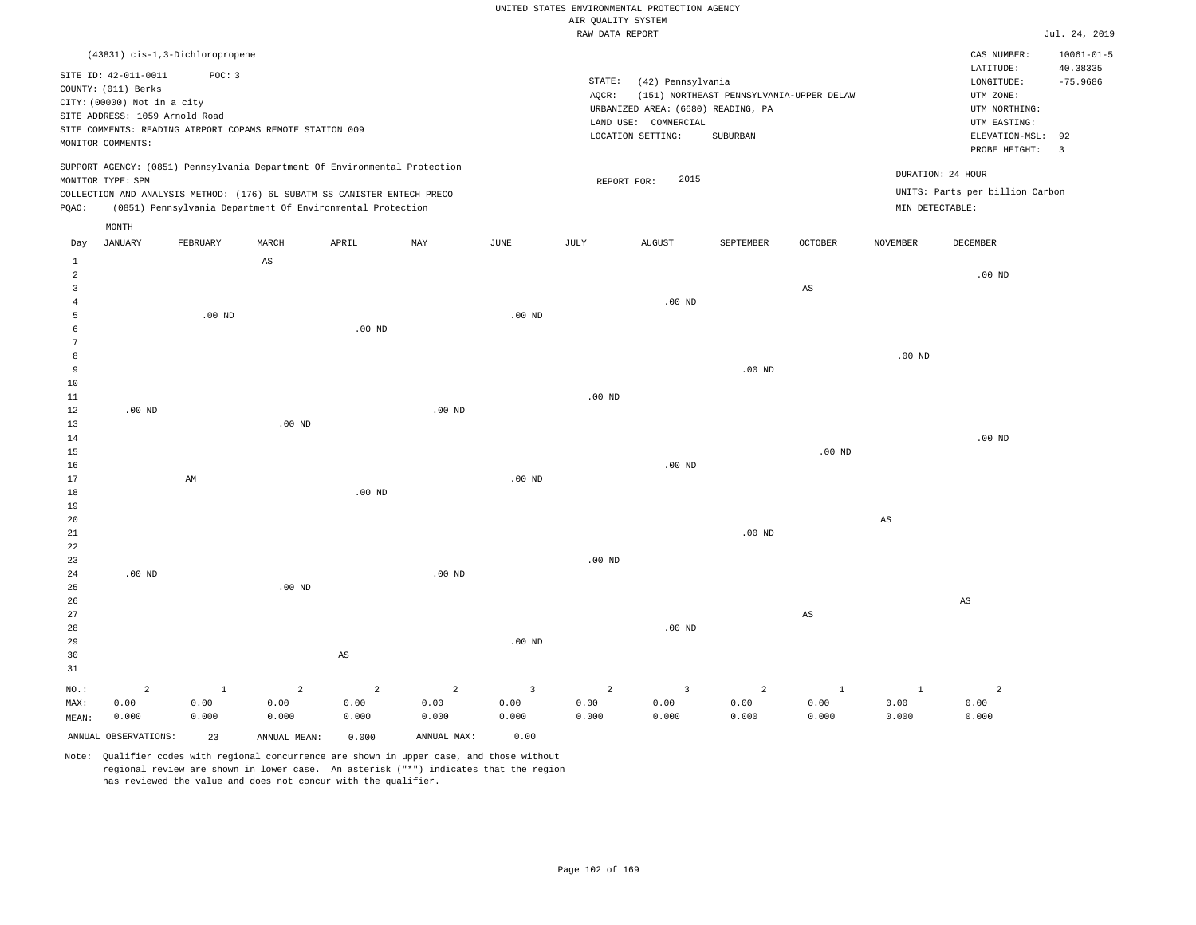| UNITED STATES ENVIRONMENTAL PROTECTION AGENCY |  |               |
|-----------------------------------------------|--|---------------|
| AIR OUALITY SYSTEM                            |  |               |
| RAW DATA REPORT                               |  | Jul. 24, 2019 |

|                | (43831) cis-1,3-Dichloropropene<br>SITE ID: 42-011-0011<br>COUNTY: (011) Berks<br>CITY: (00000) Not in a city<br>SITE ADDRESS: 1059 Arnold Road<br>SITE COMMENTS: READING AIRPORT COPAMS REMOTE STATION 009<br>MONITOR COMMENTS: | POC: 3       |                        |                                                                            |                   |                | STATE:<br>AQCR: | (42) Pennsylvania<br>URBANIZED AREA: (6680) READING, PA<br>LAND USE: COMMERCIAL<br>LOCATION SETTING: | (151) NORTHEAST PENNSYLVANIA-UPPER DELAW<br>SUBURBAN |                        |                        | CAS NUMBER:<br>LATITUDE:<br>LONGITUDE:<br>UTM ZONE:<br>UTM NORTHING:<br>UTM EASTING:<br>ELEVATION-MSL:<br>PROBE HEIGHT: | $10061 - 01 - 5$<br>40.38335<br>$-75.9686$<br>92<br>$\overline{3}$ |
|----------------|----------------------------------------------------------------------------------------------------------------------------------------------------------------------------------------------------------------------------------|--------------|------------------------|----------------------------------------------------------------------------|-------------------|----------------|-----------------|------------------------------------------------------------------------------------------------------|------------------------------------------------------|------------------------|------------------------|-------------------------------------------------------------------------------------------------------------------------|--------------------------------------------------------------------|
|                | MONITOR TYPE: SPM                                                                                                                                                                                                                |              |                        | SUPPORT AGENCY: (0851) Pennsylvania Department Of Environmental Protection |                   |                | REPORT FOR:     | 2015                                                                                                 |                                                      |                        | DURATION: 24 HOUR      |                                                                                                                         |                                                                    |
|                |                                                                                                                                                                                                                                  |              |                        | COLLECTION AND ANALYSIS METHOD: (176) 6L SUBATM SS CANISTER ENTECH PRECO   |                   |                |                 |                                                                                                      |                                                      |                        |                        | UNITS: Parts per billion Carbon                                                                                         |                                                                    |
| PQAO:          |                                                                                                                                                                                                                                  |              |                        | (0851) Pennsylvania Department Of Environmental Protection                 |                   |                |                 |                                                                                                      |                                                      |                        | MIN DETECTABLE:        |                                                                                                                         |                                                                    |
|                | $\texttt{MONTH}$                                                                                                                                                                                                                 |              |                        |                                                                            |                   |                |                 |                                                                                                      |                                                      |                        |                        |                                                                                                                         |                                                                    |
| Day            | <b>JANUARY</b>                                                                                                                                                                                                                   | FEBRUARY     | MARCH                  | APRIL                                                                      | MAY               | <b>JUNE</b>    | JULY            | <b>AUGUST</b>                                                                                        | SEPTEMBER                                            | <b>OCTOBER</b>         | <b>NOVEMBER</b>        | <b>DECEMBER</b>                                                                                                         |                                                                    |
| 1              |                                                                                                                                                                                                                                  |              | $\mathbb{A}\mathbb{S}$ |                                                                            |                   |                |                 |                                                                                                      |                                                      |                        |                        |                                                                                                                         |                                                                    |
| $\overline{a}$ |                                                                                                                                                                                                                                  |              |                        |                                                                            |                   |                |                 |                                                                                                      |                                                      |                        |                        | $.00$ ND                                                                                                                |                                                                    |
| $\overline{3}$ |                                                                                                                                                                                                                                  |              |                        |                                                                            |                   |                |                 |                                                                                                      |                                                      | $\mathbb{A}\mathbb{S}$ |                        |                                                                                                                         |                                                                    |
| $\overline{4}$ |                                                                                                                                                                                                                                  |              |                        |                                                                            |                   |                |                 | $.00$ ND                                                                                             |                                                      |                        |                        |                                                                                                                         |                                                                    |
| 5              |                                                                                                                                                                                                                                  | $.00$ ND     |                        |                                                                            |                   | $.00$ ND       |                 |                                                                                                      |                                                      |                        |                        |                                                                                                                         |                                                                    |
| 6              |                                                                                                                                                                                                                                  |              |                        | $.00$ ND                                                                   |                   |                |                 |                                                                                                      |                                                      |                        |                        |                                                                                                                         |                                                                    |
| 7              |                                                                                                                                                                                                                                  |              |                        |                                                                            |                   |                |                 |                                                                                                      |                                                      |                        |                        |                                                                                                                         |                                                                    |
| 8              |                                                                                                                                                                                                                                  |              |                        |                                                                            |                   |                |                 |                                                                                                      |                                                      |                        | $.00$ ND               |                                                                                                                         |                                                                    |
| 9<br>10        |                                                                                                                                                                                                                                  |              |                        |                                                                            |                   |                |                 |                                                                                                      | .00 <sub>ND</sub>                                    |                        |                        |                                                                                                                         |                                                                    |
| $11\,$         |                                                                                                                                                                                                                                  |              |                        |                                                                            |                   |                | $.00$ ND        |                                                                                                      |                                                      |                        |                        |                                                                                                                         |                                                                    |
| 12             | $.00$ ND                                                                                                                                                                                                                         |              |                        |                                                                            | $.00$ ND          |                |                 |                                                                                                      |                                                      |                        |                        |                                                                                                                         |                                                                    |
| 13             |                                                                                                                                                                                                                                  |              | $.00$ ND               |                                                                            |                   |                |                 |                                                                                                      |                                                      |                        |                        |                                                                                                                         |                                                                    |
| 14             |                                                                                                                                                                                                                                  |              |                        |                                                                            |                   |                |                 |                                                                                                      |                                                      |                        |                        | $.00$ ND                                                                                                                |                                                                    |
| 15             |                                                                                                                                                                                                                                  |              |                        |                                                                            |                   |                |                 |                                                                                                      |                                                      | .00 <sub>ND</sub>      |                        |                                                                                                                         |                                                                    |
| 16             |                                                                                                                                                                                                                                  |              |                        |                                                                            |                   |                |                 | $.00$ ND                                                                                             |                                                      |                        |                        |                                                                                                                         |                                                                    |
| 17             |                                                                                                                                                                                                                                  | AM           |                        |                                                                            |                   | $.00$ ND       |                 |                                                                                                      |                                                      |                        |                        |                                                                                                                         |                                                                    |
| 18             |                                                                                                                                                                                                                                  |              |                        | $.00$ ND                                                                   |                   |                |                 |                                                                                                      |                                                      |                        |                        |                                                                                                                         |                                                                    |
| 19             |                                                                                                                                                                                                                                  |              |                        |                                                                            |                   |                |                 |                                                                                                      |                                                      |                        |                        |                                                                                                                         |                                                                    |
| 20             |                                                                                                                                                                                                                                  |              |                        |                                                                            |                   |                |                 |                                                                                                      |                                                      |                        | $\mathbb{A}\mathbb{S}$ |                                                                                                                         |                                                                    |
| 21             |                                                                                                                                                                                                                                  |              |                        |                                                                            |                   |                |                 |                                                                                                      | $.00$ ND                                             |                        |                        |                                                                                                                         |                                                                    |
| 22             |                                                                                                                                                                                                                                  |              |                        |                                                                            |                   |                |                 |                                                                                                      |                                                      |                        |                        |                                                                                                                         |                                                                    |
| 23             |                                                                                                                                                                                                                                  |              |                        |                                                                            |                   |                | $.00$ ND        |                                                                                                      |                                                      |                        |                        |                                                                                                                         |                                                                    |
| 24             | $.00$ ND                                                                                                                                                                                                                         |              |                        |                                                                            | .00 <sub>ND</sub> |                |                 |                                                                                                      |                                                      |                        |                        |                                                                                                                         |                                                                    |
| 25             |                                                                                                                                                                                                                                  |              | $.00$ ND               |                                                                            |                   |                |                 |                                                                                                      |                                                      |                        |                        |                                                                                                                         |                                                                    |
| 26             |                                                                                                                                                                                                                                  |              |                        |                                                                            |                   |                |                 |                                                                                                      |                                                      |                        |                        | AS                                                                                                                      |                                                                    |
| 27             |                                                                                                                                                                                                                                  |              |                        |                                                                            |                   |                |                 |                                                                                                      |                                                      | $\mathbb{A}\mathbb{S}$ |                        |                                                                                                                         |                                                                    |
| 28             |                                                                                                                                                                                                                                  |              |                        |                                                                            |                   |                |                 | $.00$ ND                                                                                             |                                                      |                        |                        |                                                                                                                         |                                                                    |
| 29<br>30       |                                                                                                                                                                                                                                  |              |                        | AS                                                                         |                   | $.00$ ND       |                 |                                                                                                      |                                                      |                        |                        |                                                                                                                         |                                                                    |
| 31             |                                                                                                                                                                                                                                  |              |                        |                                                                            |                   |                |                 |                                                                                                      |                                                      |                        |                        |                                                                                                                         |                                                                    |
|                |                                                                                                                                                                                                                                  |              |                        |                                                                            |                   |                |                 |                                                                                                      |                                                      |                        |                        |                                                                                                                         |                                                                    |
| NO.:           | 2                                                                                                                                                                                                                                | $\mathbf{1}$ | $\overline{a}$         | 2                                                                          | $\overline{a}$    | $\overline{3}$ | $\overline{a}$  | $\overline{3}$                                                                                       | 2                                                    | $\mathbf{1}$           | $\mathbf{1}$           | $\overline{a}$                                                                                                          |                                                                    |
| MAX:           | 0.00                                                                                                                                                                                                                             | 0.00         | 0.00                   | 0.00                                                                       | 0.00              | 0.00           | 0.00            | 0.00                                                                                                 | 0.00                                                 | 0.00                   | 0.00                   | 0.00                                                                                                                    |                                                                    |
| MEAN:          | 0.000                                                                                                                                                                                                                            | 0.000        | 0.000                  | 0.000                                                                      | 0.000             | 0.000          | 0.000           | 0.000                                                                                                | 0.000                                                | 0.000                  | 0.000                  | 0.000                                                                                                                   |                                                                    |
|                | ANNUAL OBSERVATIONS:                                                                                                                                                                                                             | 23           | ANNUAL MEAN:           | 0.000                                                                      | ANNUAL MAX:       | 0.00           |                 |                                                                                                      |                                                      |                        |                        |                                                                                                                         |                                                                    |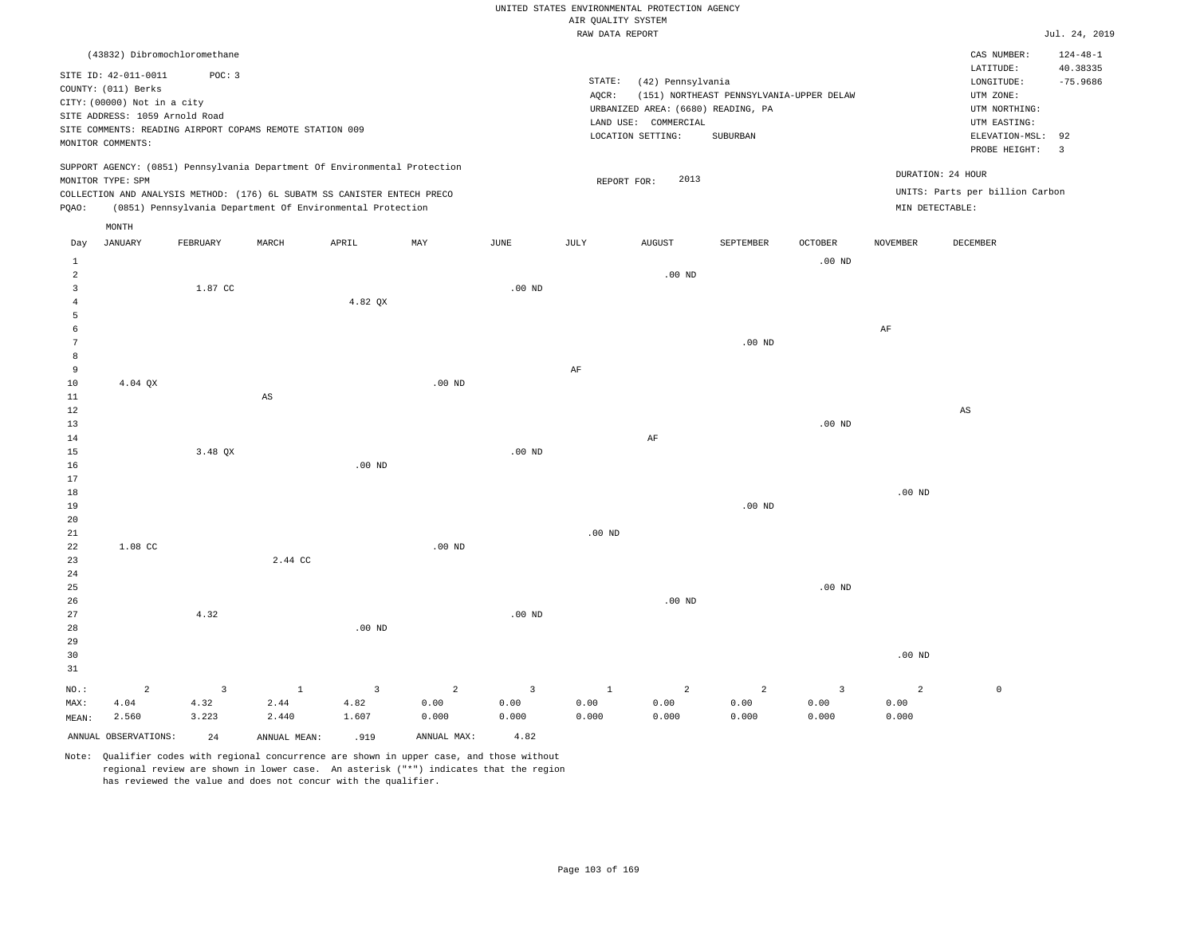## UNITED STATES ENVIRONMENTAL PROTECTION AGENCY AIR QUALITY SYSTEM

|                                                                                                                                                                                                                                                    | RAW DATA REPORT                                                                                                                                                                    | Jul. 24, 2019                                                                                                      |
|----------------------------------------------------------------------------------------------------------------------------------------------------------------------------------------------------------------------------------------------------|------------------------------------------------------------------------------------------------------------------------------------------------------------------------------------|--------------------------------------------------------------------------------------------------------------------|
| (43832) Dibromochloromethane                                                                                                                                                                                                                       |                                                                                                                                                                                    | $124 - 48 - 1$<br>CAS NUMBER:<br>LATITUDE:<br>40.38335                                                             |
| SITE ID: 42-011-0011<br>POC: 3<br>COUNTY: (011) Berks<br>CITY: (00000) Not in a city<br>SITE ADDRESS: 1059 Arnold Road<br>SITE COMMENTS: READING AIRPORT COPAMS REMOTE STATION 009<br>MONITOR COMMENTS:                                            | STATE:<br>(42) Pennsylvania<br>(151) NORTHEAST PENNSYLVANIA-UPPER DELAW<br>AOCR:<br>URBANIZED AREA: (6680) READING, PA<br>COMMERCIAL<br>LAND USE:<br>LOCATION SETTING:<br>SUBURBAN | $-75.9686$<br>LONGITUDE:<br>UTM ZONE:<br>UTM NORTHING:<br>UTM EASTING:<br>ELEVATION-MSL: 92<br>PROBE HEIGHT:<br>-3 |
| SUPPORT AGENCY: (0851) Pennsylvania Department Of Environmental Protection<br>MONITOR TYPE: SPM<br>COLLECTION AND ANALYSIS METHOD: (176) 6L SUBATM SS CANISTER ENTECH PRECO<br>(0851) Pennsylvania Department Of Environmental Protection<br>POAO: | 2013<br>REPORT FOR:                                                                                                                                                                | DURATION: 24 HOUR<br>UNITS: Parts per billion Carbon<br>MIN DETECTABLE:                                            |
| MONTH                                                                                                                                                                                                                                              |                                                                                                                                                                                    |                                                                                                                    |

| Day                     | JANUARY              | FEBRUARY                | MARCH                  | APRIL                   | MAY                     | JUNE           | JULY           | AUGUST         | SEPTEMBER         | OCTOBER                 | NOVEMBER       | DECEMBER               |
|-------------------------|----------------------|-------------------------|------------------------|-------------------------|-------------------------|----------------|----------------|----------------|-------------------|-------------------------|----------------|------------------------|
| $\mathbf{1}$            |                      |                         |                        |                         |                         |                |                |                |                   | .00 $ND$                |                |                        |
| $\overline{\mathbf{c}}$ |                      |                         |                        |                         |                         |                |                | .00 $ND$       |                   |                         |                |                        |
| 3                       |                      | 1.87 CC                 |                        |                         |                         | $.00$ ND       |                |                |                   |                         |                |                        |
| $\overline{4}$          |                      |                         |                        | 4.82 QX                 |                         |                |                |                |                   |                         |                |                        |
| 5                       |                      |                         |                        |                         |                         |                |                |                |                   |                         |                |                        |
| 6                       |                      |                         |                        |                         |                         |                |                |                |                   |                         | $\rm{AF}$      |                        |
| 7                       |                      |                         |                        |                         |                         |                |                |                | .00 <sub>ND</sub> |                         |                |                        |
| $^{\rm 8}$              |                      |                         |                        |                         |                         |                |                |                |                   |                         |                |                        |
| 9                       |                      |                         |                        |                         |                         |                | $\rm{AF}$      |                |                   |                         |                |                        |
| 10                      | 4.04 QX              |                         |                        |                         | $.00$ ND                |                |                |                |                   |                         |                |                        |
| $11\,$                  |                      |                         | $\mathbb{A}\mathbb{S}$ |                         |                         |                |                |                |                   |                         |                |                        |
| $12\,$                  |                      |                         |                        |                         |                         |                |                |                |                   |                         |                | $\mathbb{A}\mathbb{S}$ |
| 13                      |                      |                         |                        |                         |                         |                |                |                |                   | .00 $ND$                |                |                        |
| 14                      |                      |                         |                        |                         |                         |                |                | $\rm AF$       |                   |                         |                |                        |
| 15                      |                      | 3.48 QX                 |                        |                         |                         | $.00$ ND       |                |                |                   |                         |                |                        |
| 16                      |                      |                         |                        | $.00$ ND                |                         |                |                |                |                   |                         |                |                        |
| $17\,$                  |                      |                         |                        |                         |                         |                |                |                |                   |                         |                |                        |
| $18\,$                  |                      |                         |                        |                         |                         |                |                |                |                   |                         | .00 $ND$       |                        |
| 19                      |                      |                         |                        |                         |                         |                |                |                | .00 <sub>ND</sub> |                         |                |                        |
| $20\,$                  |                      |                         |                        |                         |                         |                |                |                |                   |                         |                |                        |
| $21\,$                  |                      |                         |                        |                         |                         |                | .00 $ND$       |                |                   |                         |                |                        |
| ${\bf 22}$<br>23        | $1.08$ CC            |                         | 2.44 CC                |                         | .00 <sub>ND</sub>       |                |                |                |                   |                         |                |                        |
| $2\sqrt{4}$             |                      |                         |                        |                         |                         |                |                |                |                   |                         |                |                        |
| 25                      |                      |                         |                        |                         |                         |                |                |                |                   | .00 $ND$                |                |                        |
| 26                      |                      |                         |                        |                         |                         |                |                | .00 $ND$       |                   |                         |                |                        |
| 27                      |                      | 4.32                    |                        |                         |                         | $.00$ ND       |                |                |                   |                         |                |                        |
| 28                      |                      |                         |                        | $.00$ ND                |                         |                |                |                |                   |                         |                |                        |
| 29                      |                      |                         |                        |                         |                         |                |                |                |                   |                         |                |                        |
| 30                      |                      |                         |                        |                         |                         |                |                |                |                   |                         | $.00$ ND       |                        |
| 31                      |                      |                         |                        |                         |                         |                |                |                |                   |                         |                |                        |
| $_{\rm NO.}$ :          | $\sqrt{2}$           | $\overline{\mathbf{3}}$ | $\mathbf{1}$           | $\overline{\mathbf{3}}$ | $\overline{\mathbf{c}}$ | $\overline{3}$ | $\overline{1}$ | $\overline{a}$ | $\sqrt{2}$        | $\overline{\mathbf{3}}$ | $\overline{a}$ | $\mathbb O$            |
| MAX:                    | 4.04                 | 4.32                    | 2.44                   | 4.82                    | 0.00                    | 0.00           | 0.00           | 0.00           | 0.00              | 0.00                    | 0.00           |                        |
| MEAN:                   | 2.560                | 3.223                   | 2.440                  | 1.607                   | 0.000                   | 0.000          | 0.000          | 0.000          | 0.000             | 0.000                   | 0.000          |                        |
|                         | ANNUAL OBSERVATIONS: | 24                      | ANNUAL MEAN:           | .919                    | ANNUAL MAX:             | 4.82           |                |                |                   |                         |                |                        |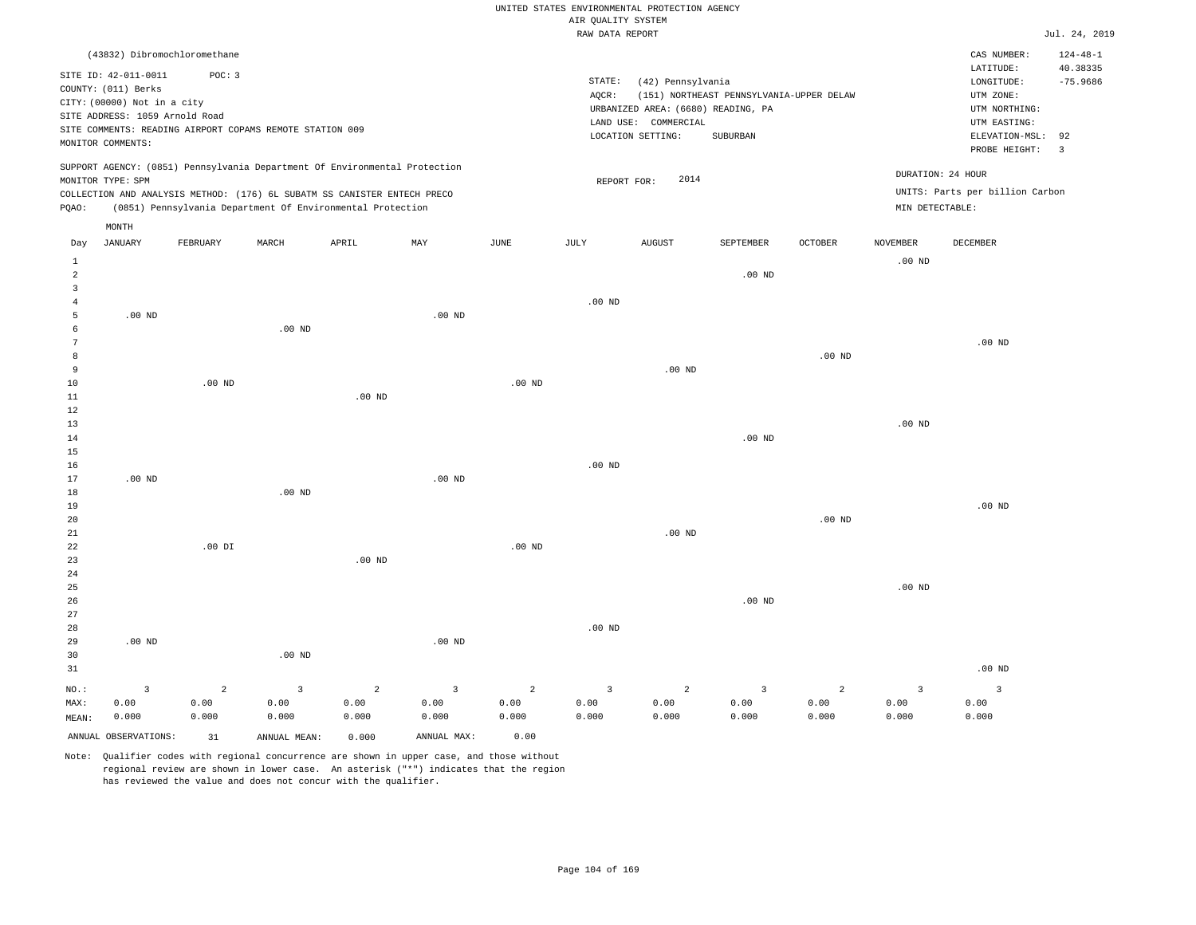|  |  |                    | UNITED STATES ENVIRONMENTAL PROTECTION AGENCY |  |
|--|--|--------------------|-----------------------------------------------|--|
|  |  | AIR OUALITY SYSTEM |                                               |  |

|                |                                                                            |                   |                                                            |                |                         |                   | RAW DATA REPORT         |                                    |                                          |                |                   |                                 | Jul. 24, 2019  |
|----------------|----------------------------------------------------------------------------|-------------------|------------------------------------------------------------|----------------|-------------------------|-------------------|-------------------------|------------------------------------|------------------------------------------|----------------|-------------------|---------------------------------|----------------|
|                | (43832) Dibromochloromethane                                               |                   |                                                            |                |                         |                   |                         |                                    |                                          |                |                   | CAS NUMBER:                     | $124 - 48 - 1$ |
|                |                                                                            | POC: 3            |                                                            |                |                         |                   |                         |                                    |                                          |                |                   | LATITUDE:                       | 40.38335       |
|                | SITE ID: 42-011-0011<br>COUNTY: (011) Berks                                |                   |                                                            |                |                         |                   | $\texttt{STATE}{}:$     | (42) Pennsylvania                  |                                          |                |                   | LONGITUDE:                      | $-75.9686$     |
|                | CITY: (00000) Not in a city                                                |                   |                                                            |                |                         |                   | AQCR:                   |                                    | (151) NORTHEAST PENNSYLVANIA-UPPER DELAW |                |                   | UTM ZONE:                       |                |
|                | SITE ADDRESS: 1059 Arnold Road                                             |                   |                                                            |                |                         |                   |                         | URBANIZED AREA: (6680) READING, PA |                                          |                |                   | UTM NORTHING:                   |                |
|                | SITE COMMENTS: READING AIRPORT COPAMS REMOTE STATION 009                   |                   |                                                            |                |                         |                   |                         | LAND USE: COMMERCIAL               |                                          |                |                   | UTM EASTING:                    |                |
|                | MONITOR COMMENTS:                                                          |                   |                                                            |                |                         |                   |                         | LOCATION SETTING:                  | <b>SUBURBAN</b>                          |                |                   | ELEVATION-MSL:                  | 92             |
|                |                                                                            |                   |                                                            |                |                         |                   |                         |                                    |                                          |                |                   | PROBE HEIGHT:                   | $\overline{3}$ |
|                | SUPPORT AGENCY: (0851) Pennsylvania Department Of Environmental Protection |                   |                                                            |                |                         |                   |                         |                                    |                                          |                |                   |                                 |                |
|                | MONITOR TYPE: SPM                                                          |                   |                                                            |                |                         |                   | REPORT FOR:             | 2014                               |                                          |                |                   | DURATION: 24 HOUR               |                |
|                | COLLECTION AND ANALYSIS METHOD: (176) 6L SUBATM SS CANISTER ENTECH PRECO   |                   |                                                            |                |                         |                   |                         |                                    |                                          |                |                   | UNITS: Parts per billion Carbon |                |
| PQAO:          |                                                                            |                   | (0851) Pennsylvania Department Of Environmental Protection |                |                         |                   |                         |                                    |                                          |                | MIN DETECTABLE:   |                                 |                |
|                | $\texttt{MONTH}$                                                           |                   |                                                            |                |                         |                   |                         |                                    |                                          |                |                   |                                 |                |
| Day            | <b>JANUARY</b>                                                             | FEBRUARY          | MARCH                                                      | APRIL          | MAY                     | JUNE              | JULY                    | <b>AUGUST</b>                      | SEPTEMBER                                | <b>OCTOBER</b> | <b>NOVEMBER</b>   | DECEMBER                        |                |
| $\mathbf{1}$   |                                                                            |                   |                                                            |                |                         |                   |                         |                                    |                                          |                | .00 <sub>ND</sub> |                                 |                |
| $\overline{a}$ |                                                                            |                   |                                                            |                |                         |                   |                         |                                    | $.00$ ND                                 |                |                   |                                 |                |
| $\overline{3}$ |                                                                            |                   |                                                            |                |                         |                   |                         |                                    |                                          |                |                   |                                 |                |
| 4              |                                                                            |                   |                                                            |                |                         |                   | .00 <sub>ND</sub>       |                                    |                                          |                |                   |                                 |                |
| 5              | $.00$ ND                                                                   |                   |                                                            |                | $.00$ ND                |                   |                         |                                    |                                          |                |                   |                                 |                |
| 6              |                                                                            |                   | .00 <sub>ND</sub>                                          |                |                         |                   |                         |                                    |                                          |                |                   |                                 |                |
| 7              |                                                                            |                   |                                                            |                |                         |                   |                         |                                    |                                          |                |                   | $.00$ ND                        |                |
| 8              |                                                                            |                   |                                                            |                |                         |                   |                         |                                    |                                          | $.00$ ND       |                   |                                 |                |
| 9              |                                                                            |                   |                                                            |                |                         |                   |                         | $.00$ ND                           |                                          |                |                   |                                 |                |
| 10             |                                                                            | .00 <sub>ND</sub> |                                                            |                |                         | .00 <sub>ND</sub> |                         |                                    |                                          |                |                   |                                 |                |
| $11\,$         |                                                                            |                   |                                                            | $.00$ ND       |                         |                   |                         |                                    |                                          |                |                   |                                 |                |
| 12             |                                                                            |                   |                                                            |                |                         |                   |                         |                                    |                                          |                |                   |                                 |                |
| 13             |                                                                            |                   |                                                            |                |                         |                   |                         |                                    |                                          |                | $.00$ ND          |                                 |                |
| 14             |                                                                            |                   |                                                            |                |                         |                   |                         |                                    | $.00$ ND                                 |                |                   |                                 |                |
| 15             |                                                                            |                   |                                                            |                |                         |                   |                         |                                    |                                          |                |                   |                                 |                |
| 16             |                                                                            |                   |                                                            |                |                         |                   | .00 <sub>ND</sub>       |                                    |                                          |                |                   |                                 |                |
| 17             | $.00$ ND                                                                   |                   | $.00$ ND                                                   |                | $.00$ ND                |                   |                         |                                    |                                          |                |                   |                                 |                |
| 18<br>19       |                                                                            |                   |                                                            |                |                         |                   |                         |                                    |                                          |                |                   | $.00$ ND                        |                |
| 20             |                                                                            |                   |                                                            |                |                         |                   |                         |                                    |                                          | $.00$ ND       |                   |                                 |                |
| 21             |                                                                            |                   |                                                            |                |                         |                   |                         | $.00$ ND                           |                                          |                |                   |                                 |                |
| 22             |                                                                            | $.00$ DI          |                                                            |                |                         | $.00$ ND          |                         |                                    |                                          |                |                   |                                 |                |
| 23             |                                                                            |                   |                                                            | $.00$ ND       |                         |                   |                         |                                    |                                          |                |                   |                                 |                |
| 24             |                                                                            |                   |                                                            |                |                         |                   |                         |                                    |                                          |                |                   |                                 |                |
| 25             |                                                                            |                   |                                                            |                |                         |                   |                         |                                    |                                          |                | $.00$ ND          |                                 |                |
| 26             |                                                                            |                   |                                                            |                |                         |                   |                         |                                    | $.00$ ND                                 |                |                   |                                 |                |
| 27             |                                                                            |                   |                                                            |                |                         |                   |                         |                                    |                                          |                |                   |                                 |                |
| 28             |                                                                            |                   |                                                            |                |                         |                   | .00 <sub>ND</sub>       |                                    |                                          |                |                   |                                 |                |
| 29             | $.00$ ND                                                                   |                   |                                                            |                | .00 <sub>ND</sub>       |                   |                         |                                    |                                          |                |                   |                                 |                |
| 30             |                                                                            |                   | $.00$ ND                                                   |                |                         |                   |                         |                                    |                                          |                |                   |                                 |                |
| 31             |                                                                            |                   |                                                            |                |                         |                   |                         |                                    |                                          |                |                   | $.00$ ND                        |                |
| NO.:           | $\overline{\mathbf{3}}$                                                    | $\overline{2}$    | $\overline{3}$                                             | $\overline{a}$ | $\overline{\mathbf{3}}$ | $\overline{a}$    | $\overline{\mathbf{3}}$ | $\overline{a}$                     | $\mathbf{3}$                             | $\overline{a}$ | $\overline{3}$    | $\overline{3}$                  |                |
| MAX:           | 0.00                                                                       | 0.00              | 0.00                                                       | 0.00           | 0.00                    | 0.00              | 0.00                    | 0.00                               | 0.00                                     | 0.00           | 0.00              | 0.00                            |                |
| MEAN:          | 0.000                                                                      | 0.000             | 0.000                                                      | 0.000          | 0.000                   | 0.000             | 0.000                   | 0.000                              | 0.000                                    | 0.000          | 0.000             | 0.000                           |                |
|                |                                                                            |                   |                                                            |                |                         |                   |                         |                                    |                                          |                |                   |                                 |                |
|                | ANNUAL OBSERVATIONS:                                                       | 31                | ANNUAL MEAN:                                               | 0.000          | ANNUAL MAX:             | 0.00              |                         |                                    |                                          |                |                   |                                 |                |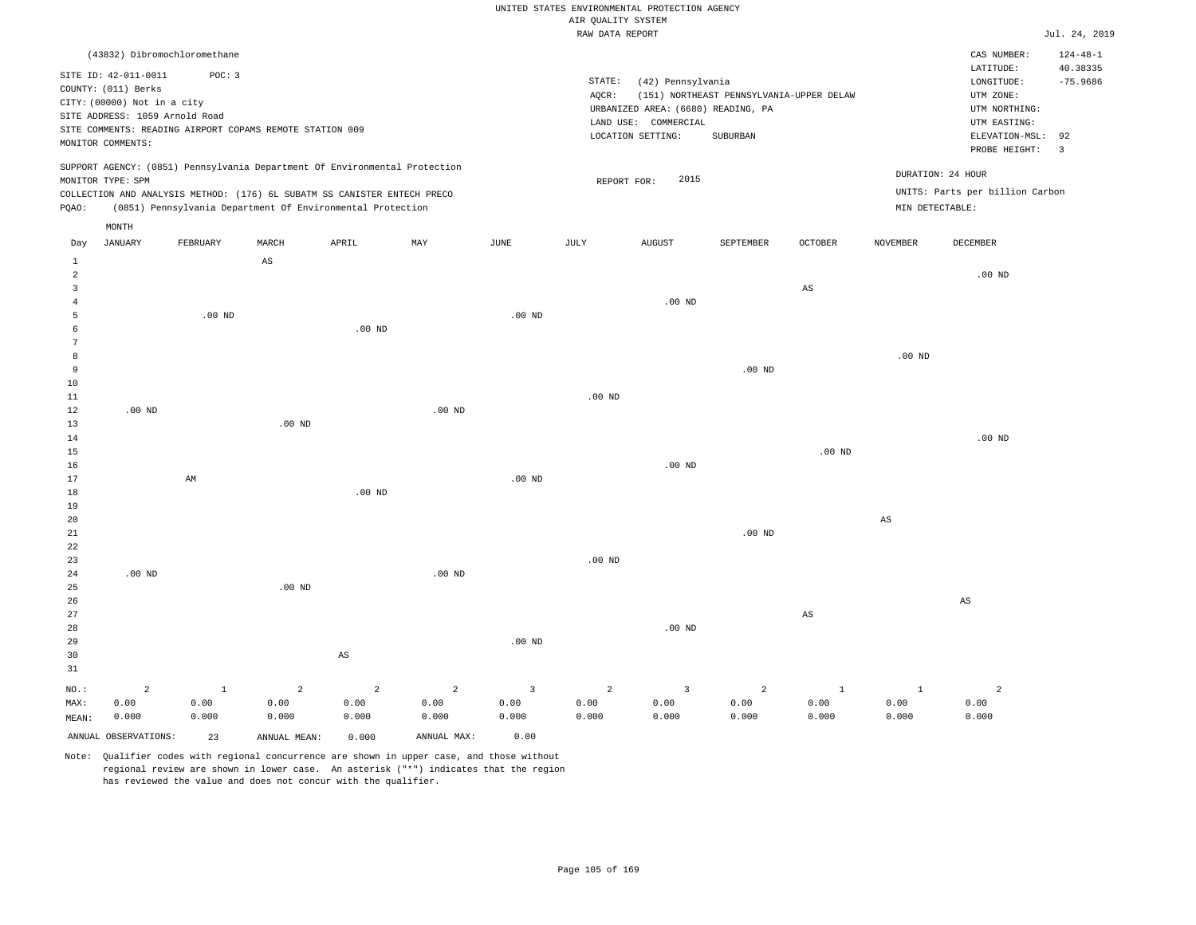#### RAW DATA REPORT JUL. 24, 2019 UNITED STATES ENVIRONMENTAL PROTECTION AGENCY AIR QUALITY SYSTEM

|                |                                | (43832) Dibromochloromethane                                               |                        |          |          |                   |             |                                    |                                          |                        |                        | CAS NUMBER:                     | $124 - 48 - 1$           |
|----------------|--------------------------------|----------------------------------------------------------------------------|------------------------|----------|----------|-------------------|-------------|------------------------------------|------------------------------------------|------------------------|------------------------|---------------------------------|--------------------------|
|                | SITE ID: 42-011-0011           | POC: 3                                                                     |                        |          |          |                   | STATE:      | (42) Pennsylvania                  |                                          |                        |                        | LATITUDE:<br>LONGITUDE:         | 40.38335<br>$-75.9686$   |
|                | COUNTY: (011) Berks            |                                                                            |                        |          |          |                   | AOCR:       |                                    | (151) NORTHEAST PENNSYLVANIA-UPPER DELAW |                        |                        | UTM ZONE:                       |                          |
|                | CITY: (00000) Not in a city    |                                                                            |                        |          |          |                   |             | URBANIZED AREA: (6680) READING, PA |                                          |                        |                        | UTM NORTHING:                   |                          |
|                | SITE ADDRESS: 1059 Arnold Road |                                                                            |                        |          |          |                   |             | LAND USE: COMMERCIAL               |                                          |                        |                        | UTM EASTING:                    |                          |
|                |                                | SITE COMMENTS: READING AIRPORT COPAMS REMOTE STATION 009                   |                        |          |          |                   |             | LOCATION SETTING:                  | SUBURBAN                                 |                        |                        | ELEVATION-MSL:                  | 92                       |
|                | MONITOR COMMENTS:              |                                                                            |                        |          |          |                   |             |                                    |                                          |                        |                        | PROBE HEIGHT:                   | $\overline{\phantom{a}}$ |
|                |                                | SUPPORT AGENCY: (0851) Pennsylvania Department Of Environmental Protection |                        |          |          |                   |             |                                    |                                          |                        |                        |                                 |                          |
|                | MONITOR TYPE: SPM              |                                                                            |                        |          |          |                   | REPORT FOR: | 2015                               |                                          |                        |                        | DURATION: 24 HOUR               |                          |
|                |                                | COLLECTION AND ANALYSIS METHOD: (176) 6L SUBATM SS CANISTER ENTECH PRECO   |                        |          |          |                   |             |                                    |                                          |                        |                        | UNITS: Parts per billion Carbon |                          |
| POAO:          |                                | (0851) Pennsylvania Department Of Environmental Protection                 |                        |          |          |                   |             |                                    |                                          |                        | MIN DETECTABLE:        |                                 |                          |
|                | MONTH                          |                                                                            |                        |          |          |                   |             |                                    |                                          |                        |                        |                                 |                          |
| Day            | <b>JANUARY</b>                 | FEBRUARY                                                                   | MARCH                  | APRIL    | MAY      | JUNE              | JULY        | <b>AUGUST</b>                      | SEPTEMBER                                | <b>OCTOBER</b>         | <b>NOVEMBER</b>        | <b>DECEMBER</b>                 |                          |
| $\mathbf{1}$   |                                |                                                                            | $\mathbb{A}\mathbb{S}$ |          |          |                   |             |                                    |                                          |                        |                        |                                 |                          |
| 2              |                                |                                                                            |                        |          |          |                   |             |                                    |                                          |                        |                        | $.00$ ND                        |                          |
| 3              |                                |                                                                            |                        |          |          |                   |             |                                    |                                          | $\mathbb{A}\mathbb{S}$ |                        |                                 |                          |
| $\overline{4}$ |                                |                                                                            |                        |          |          |                   |             | $.00$ ND                           |                                          |                        |                        |                                 |                          |
| 5              |                                | $.00$ ND                                                                   |                        |          |          | .00 <sub>ND</sub> |             |                                    |                                          |                        |                        |                                 |                          |
|                |                                |                                                                            |                        | $.00$ ND |          |                   |             |                                    |                                          |                        |                        |                                 |                          |
|                |                                |                                                                            |                        |          |          |                   |             |                                    |                                          |                        |                        |                                 |                          |
| 8              |                                |                                                                            |                        |          |          |                   |             |                                    |                                          |                        | $.00$ ND               |                                 |                          |
| 9<br>10        |                                |                                                                            |                        |          |          |                   |             |                                    | $.00$ ND                                 |                        |                        |                                 |                          |
| 11             |                                |                                                                            |                        |          |          |                   | $.00$ ND    |                                    |                                          |                        |                        |                                 |                          |
| 12             | $.00$ ND                       |                                                                            |                        |          | $.00$ ND |                   |             |                                    |                                          |                        |                        |                                 |                          |
| 13             |                                |                                                                            | $.00$ ND               |          |          |                   |             |                                    |                                          |                        |                        |                                 |                          |
| 14             |                                |                                                                            |                        |          |          |                   |             |                                    |                                          |                        |                        | $.00$ ND                        |                          |
| 15             |                                |                                                                            |                        |          |          |                   |             |                                    |                                          | $.00$ ND               |                        |                                 |                          |
| 16             |                                |                                                                            |                        |          |          |                   |             | $.00$ ND                           |                                          |                        |                        |                                 |                          |
| 17             |                                | AM                                                                         |                        |          |          | $.00$ ND          |             |                                    |                                          |                        |                        |                                 |                          |
| $1\,8$         |                                |                                                                            |                        | $.00$ ND |          |                   |             |                                    |                                          |                        |                        |                                 |                          |
| 19             |                                |                                                                            |                        |          |          |                   |             |                                    |                                          |                        |                        |                                 |                          |
| 20             |                                |                                                                            |                        |          |          |                   |             |                                    |                                          |                        | $\mathbb{A}\mathbb{S}$ |                                 |                          |
| 21             |                                |                                                                            |                        |          |          |                   |             |                                    | $.00$ ND                                 |                        |                        |                                 |                          |
| 22             |                                |                                                                            |                        |          |          |                   |             |                                    |                                          |                        |                        |                                 |                          |

23 24 25 26 27 28 29 30 31 .00 ND NO.: MAX: MEAN: 2 0.00 0.000 .00 ND AS .00 ND .00 ND .00 ND .00 ND AS AS 1 0.00 0.000 2 0.00 0.000 2 0.00 0.000 2 0.00 0.000 3 0.00 0.000 2 0.00 0.000 3 0.00 0.000 2 0.00 0.000 1 0.00 0.000 1 0.00 0.000 2 0.00 0.000

ANNUAL OBSERVATIONS: 23 ANNUAL MEAN: 0.000 ANNUAL MAX: 0.00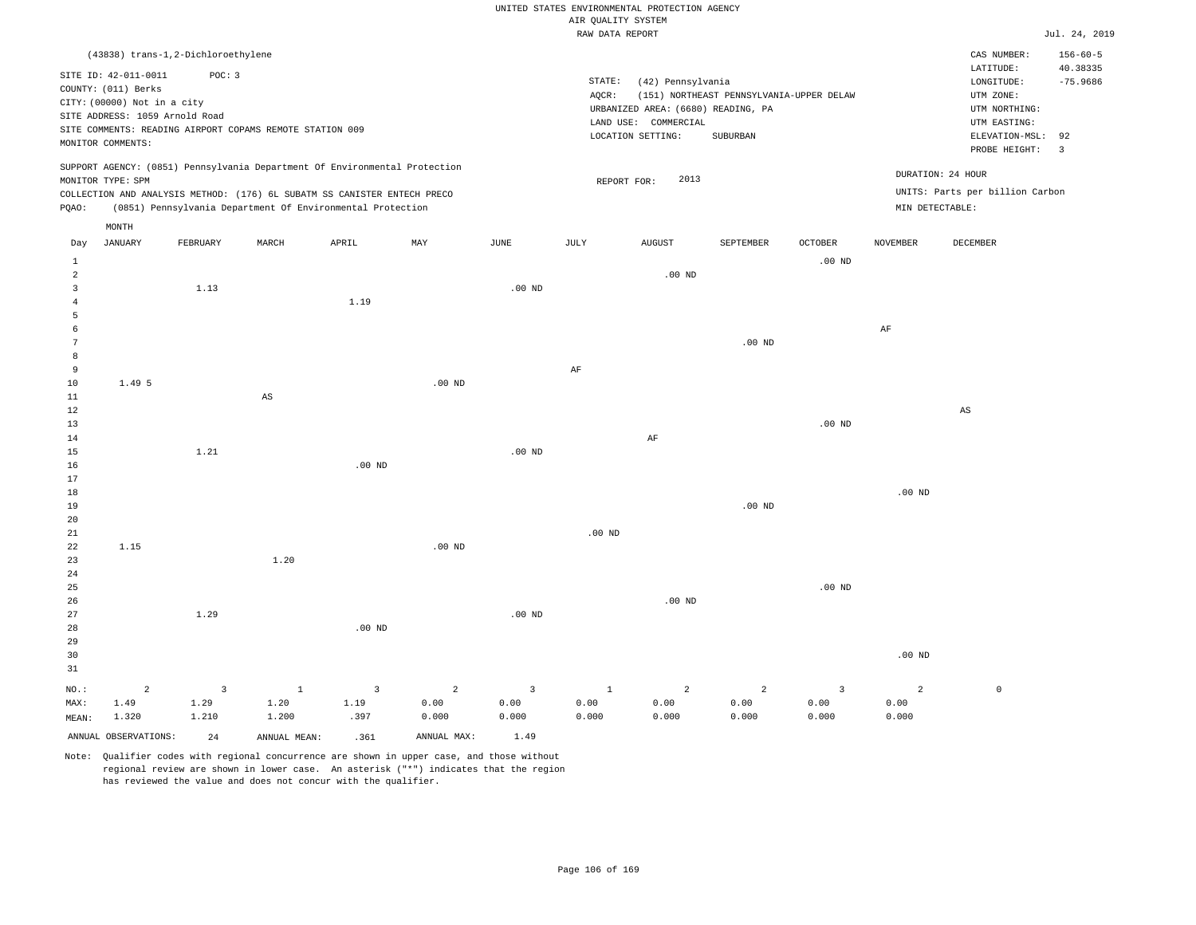RAW DATA REPORT JUL. 24, 2019 UNITED STATES ENVIRONMENTAL PROTECTION AGENCY AIR QUALITY SYSTEM

| PQAO:                            | (43838) trans-1,2-Dichloroethylene<br>SITE ID: 42-011-0011<br>COUNTY: (011) Berks<br>CITY: (00000) Not in a city<br>SITE ADDRESS: 1059 Arnold Road<br>MONITOR COMMENTS:<br>MONITOR TYPE: SPM | POC: 3                  | SITE COMMENTS: READING AIRPORT COPAMS REMOTE STATION 009<br>SUPPORT AGENCY: (0851) Pennsylvania Department Of Environmental Protection<br>COLLECTION AND ANALYSIS METHOD: (176) 6L SUBATM SS CANISTER ENTECH PRECO<br>(0851) Pennsylvania Department Of Environmental Protection |                   |             |                   | STATE:<br>AQCR:<br>REPORT FOR: | (42) Pennsylvania<br>URBANIZED AREA: (6680) READING, PA<br>LAND USE: COMMERCIAL<br>LOCATION SETTING:<br>2013 | (151) NORTHEAST PENNSYLVANIA-UPPER DELAW<br>SUBURBAN |                   | DURATION: 24 HOUR<br>MIN DETECTABLE: | CAS NUMBER:<br>LATITUDE:<br>LONGITUDE:<br>UTM ZONE:<br>UTM NORTHING:<br>UTM EASTING:<br>ELEVATION-MSL: 92<br>PROBE HEIGHT:<br>UNITS: Parts per billion Carbon | $156 - 60 - 5$<br>40.38335<br>$-75.9686$<br>$\overline{\mathbf{3}}$ |
|----------------------------------|----------------------------------------------------------------------------------------------------------------------------------------------------------------------------------------------|-------------------------|----------------------------------------------------------------------------------------------------------------------------------------------------------------------------------------------------------------------------------------------------------------------------------|-------------------|-------------|-------------------|--------------------------------|--------------------------------------------------------------------------------------------------------------|------------------------------------------------------|-------------------|--------------------------------------|---------------------------------------------------------------------------------------------------------------------------------------------------------------|---------------------------------------------------------------------|
|                                  | MONTH                                                                                                                                                                                        |                         |                                                                                                                                                                                                                                                                                  |                   |             |                   |                                |                                                                                                              |                                                      |                   |                                      |                                                                                                                                                               |                                                                     |
| Day                              | <b>JANUARY</b>                                                                                                                                                                               | FEBRUARY                | MARCH                                                                                                                                                                                                                                                                            | APRIL             | MAY         | <b>JUNE</b>       | $\mathtt{JULY}$                | <b>AUGUST</b>                                                                                                | SEPTEMBER                                            | <b>OCTOBER</b>    | <b>NOVEMBER</b>                      | DECEMBER                                                                                                                                                      |                                                                     |
| 1                                |                                                                                                                                                                                              |                         |                                                                                                                                                                                                                                                                                  |                   |             |                   |                                |                                                                                                              |                                                      | .00 <sub>ND</sub> |                                      |                                                                                                                                                               |                                                                     |
| $\overline{a}$<br>$\overline{3}$ |                                                                                                                                                                                              |                         |                                                                                                                                                                                                                                                                                  |                   |             | .00 <sub>ND</sub> |                                | $.00$ ND                                                                                                     |                                                      |                   |                                      |                                                                                                                                                               |                                                                     |
| $\overline{4}$                   |                                                                                                                                                                                              | 1.13                    |                                                                                                                                                                                                                                                                                  | 1.19              |             |                   |                                |                                                                                                              |                                                      |                   |                                      |                                                                                                                                                               |                                                                     |
| 5                                |                                                                                                                                                                                              |                         |                                                                                                                                                                                                                                                                                  |                   |             |                   |                                |                                                                                                              |                                                      |                   |                                      |                                                                                                                                                               |                                                                     |
| $\epsilon$                       |                                                                                                                                                                                              |                         |                                                                                                                                                                                                                                                                                  |                   |             |                   |                                |                                                                                                              |                                                      |                   | $\rm AF$                             |                                                                                                                                                               |                                                                     |
| $7\phantom{.0}$                  |                                                                                                                                                                                              |                         |                                                                                                                                                                                                                                                                                  |                   |             |                   |                                |                                                                                                              | $.00$ ND                                             |                   |                                      |                                                                                                                                                               |                                                                     |
| 8<br>9                           |                                                                                                                                                                                              |                         |                                                                                                                                                                                                                                                                                  |                   |             |                   | AF                             |                                                                                                              |                                                      |                   |                                      |                                                                                                                                                               |                                                                     |
| 10                               | 1.49 5                                                                                                                                                                                       |                         |                                                                                                                                                                                                                                                                                  |                   | $.00$ ND    |                   |                                |                                                                                                              |                                                      |                   |                                      |                                                                                                                                                               |                                                                     |
| 11                               |                                                                                                                                                                                              |                         | $\mathbb{A}\mathbb{S}$                                                                                                                                                                                                                                                           |                   |             |                   |                                |                                                                                                              |                                                      |                   |                                      |                                                                                                                                                               |                                                                     |
| 12                               |                                                                                                                                                                                              |                         |                                                                                                                                                                                                                                                                                  |                   |             |                   |                                |                                                                                                              |                                                      |                   |                                      | $_{\rm AS}$                                                                                                                                                   |                                                                     |
| 13<br>14                         |                                                                                                                                                                                              |                         |                                                                                                                                                                                                                                                                                  |                   |             |                   |                                | AF                                                                                                           |                                                      | .00 <sub>ND</sub> |                                      |                                                                                                                                                               |                                                                     |
| 15                               |                                                                                                                                                                                              | 1.21                    |                                                                                                                                                                                                                                                                                  |                   |             | .00 <sub>ND</sub> |                                |                                                                                                              |                                                      |                   |                                      |                                                                                                                                                               |                                                                     |
| 16                               |                                                                                                                                                                                              |                         |                                                                                                                                                                                                                                                                                  | $.00$ ND          |             |                   |                                |                                                                                                              |                                                      |                   |                                      |                                                                                                                                                               |                                                                     |
| 17                               |                                                                                                                                                                                              |                         |                                                                                                                                                                                                                                                                                  |                   |             |                   |                                |                                                                                                              |                                                      |                   |                                      |                                                                                                                                                               |                                                                     |
| $18\,$                           |                                                                                                                                                                                              |                         |                                                                                                                                                                                                                                                                                  |                   |             |                   |                                |                                                                                                              |                                                      |                   | $.00$ ND                             |                                                                                                                                                               |                                                                     |
| 19<br>20                         |                                                                                                                                                                                              |                         |                                                                                                                                                                                                                                                                                  |                   |             |                   |                                |                                                                                                              | $.00$ ND                                             |                   |                                      |                                                                                                                                                               |                                                                     |
| 21                               |                                                                                                                                                                                              |                         |                                                                                                                                                                                                                                                                                  |                   |             |                   | $.00$ ND                       |                                                                                                              |                                                      |                   |                                      |                                                                                                                                                               |                                                                     |
| 22                               | 1.15                                                                                                                                                                                         |                         |                                                                                                                                                                                                                                                                                  |                   | $.00$ ND    |                   |                                |                                                                                                              |                                                      |                   |                                      |                                                                                                                                                               |                                                                     |
| 23                               |                                                                                                                                                                                              |                         | 1.20                                                                                                                                                                                                                                                                             |                   |             |                   |                                |                                                                                                              |                                                      |                   |                                      |                                                                                                                                                               |                                                                     |
| 24<br>25                         |                                                                                                                                                                                              |                         |                                                                                                                                                                                                                                                                                  |                   |             |                   |                                |                                                                                                              |                                                      | .00 <sub>ND</sub> |                                      |                                                                                                                                                               |                                                                     |
| 26                               |                                                                                                                                                                                              |                         |                                                                                                                                                                                                                                                                                  |                   |             |                   |                                | $.00$ ND                                                                                                     |                                                      |                   |                                      |                                                                                                                                                               |                                                                     |
| 27                               |                                                                                                                                                                                              | 1.29                    |                                                                                                                                                                                                                                                                                  |                   |             | .00 <sub>ND</sub> |                                |                                                                                                              |                                                      |                   |                                      |                                                                                                                                                               |                                                                     |
| 28                               |                                                                                                                                                                                              |                         |                                                                                                                                                                                                                                                                                  | .00 <sub>ND</sub> |             |                   |                                |                                                                                                              |                                                      |                   |                                      |                                                                                                                                                               |                                                                     |
| 29<br>30                         |                                                                                                                                                                                              |                         |                                                                                                                                                                                                                                                                                  |                   |             |                   |                                |                                                                                                              |                                                      |                   | $.00$ ND                             |                                                                                                                                                               |                                                                     |
| 31                               |                                                                                                                                                                                              |                         |                                                                                                                                                                                                                                                                                  |                   |             |                   |                                |                                                                                                              |                                                      |                   |                                      |                                                                                                                                                               |                                                                     |
| $NO.$ :                          | $\overline{a}$                                                                                                                                                                               | $\overline{\mathbf{3}}$ | $1\,$                                                                                                                                                                                                                                                                            | 3                 | $\sqrt{2}$  | $\overline{3}$    | $1\,$                          | $\overline{a}$                                                                                               | $\overline{a}$                                       | $\overline{3}$    | $\overline{a}$                       | $\mathbb O$                                                                                                                                                   |                                                                     |
| MAX:                             | 1.49                                                                                                                                                                                         | 1.29                    | 1.20                                                                                                                                                                                                                                                                             | 1.19              | 0.00        | 0.00              | 0.00                           | 0.00                                                                                                         | 0.00                                                 | 0.00              | 0.00                                 |                                                                                                                                                               |                                                                     |
| MEAN:                            | 1.320                                                                                                                                                                                        | 1.210                   | 1.200                                                                                                                                                                                                                                                                            | .397              | 0.000       | 0.000             | 0.000                          | 0.000                                                                                                        | 0.000                                                | 0.000             | 0.000                                |                                                                                                                                                               |                                                                     |
|                                  | ANNUAL OBSERVATIONS:                                                                                                                                                                         | 24                      | ANNUAL MEAN:                                                                                                                                                                                                                                                                     | .361              | ANNUAL MAX: | 1.49              |                                |                                                                                                              |                                                      |                   |                                      |                                                                                                                                                               |                                                                     |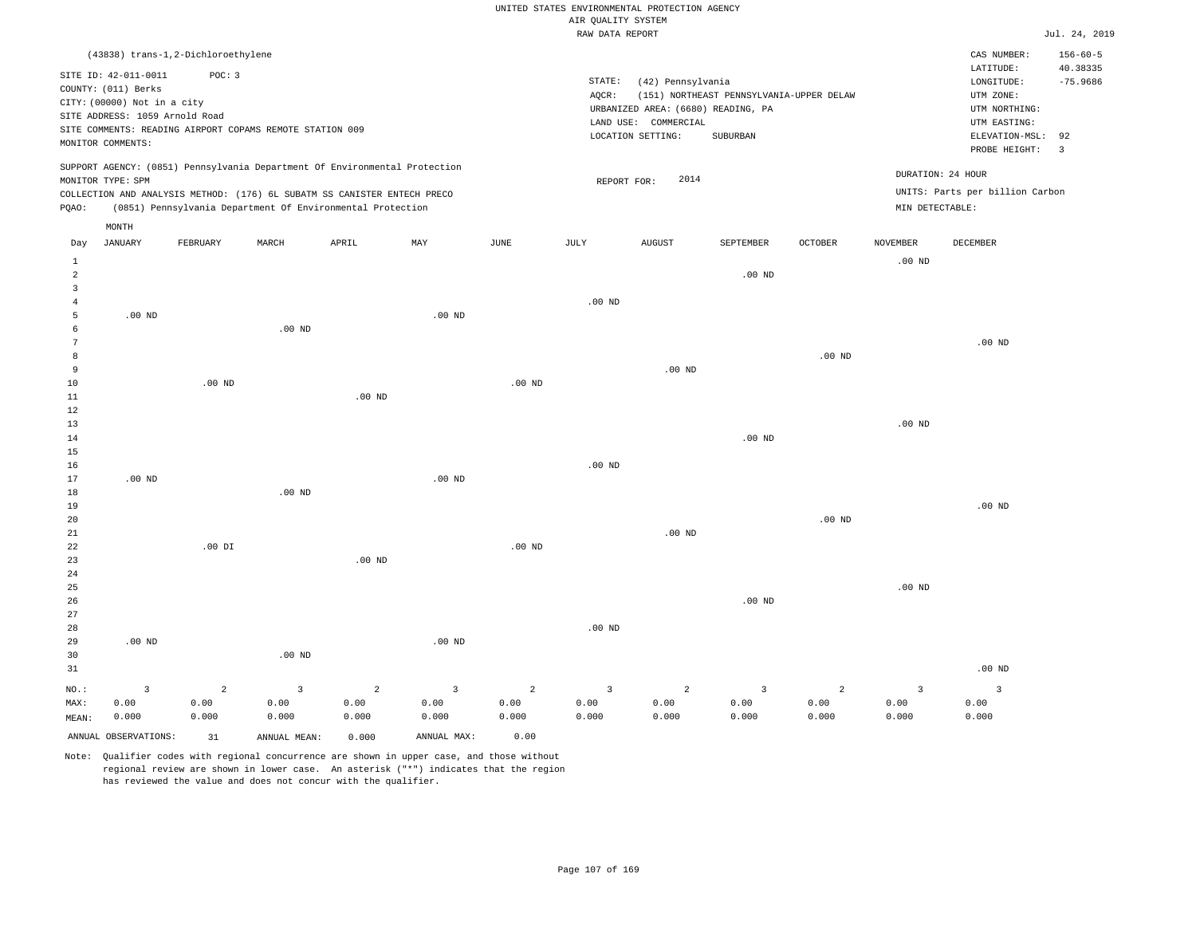|  |  |                    | UNITED STATES ENVIRONMENTAL PROTECTION AGENCY |  |
|--|--|--------------------|-----------------------------------------------|--|
|  |  | AIR OUALITY SYSTEM |                                               |  |
|  |  |                    |                                               |  |

|                                                                                                                                                                                                         |                         |                                    |                                                                            |                |                |                                                                                                                                                                                        | RAW DATA REPORT         |                |                  |                 |                                                                                                          |                   | Jul. 24, 2019                                  |
|---------------------------------------------------------------------------------------------------------------------------------------------------------------------------------------------------------|-------------------------|------------------------------------|----------------------------------------------------------------------------|----------------|----------------|----------------------------------------------------------------------------------------------------------------------------------------------------------------------------------------|-------------------------|----------------|------------------|-----------------|----------------------------------------------------------------------------------------------------------|-------------------|------------------------------------------------|
|                                                                                                                                                                                                         |                         | (43838) trans-1,2-Dichloroethylene |                                                                            |                |                |                                                                                                                                                                                        |                         |                |                  |                 |                                                                                                          | CAS NUMBER:       | $156 - 60 - 5$                                 |
| SITE ID: 42-011-0011<br>POC: 3<br>COUNTY: (011) Berks<br>CITY: (00000) Not in a city<br>SITE ADDRESS: 1059 Arnold Road<br>SITE COMMENTS: READING AIRPORT COPAMS REMOTE STATION 009<br>MONITOR COMMENTS: |                         |                                    |                                                                            |                |                | STATE:<br>(42) Pennsylvania<br>AOCR:<br>(151) NORTHEAST PENNSYLVANIA-UPPER DELAW<br>URBANIZED AREA: (6680) READING, PA<br>LAND USE: COMMERCIAL<br>LOCATION SETTING:<br><b>SUBURBAN</b> |                         |                |                  |                 | LATITUDE:<br>LONGITUDE:<br>UTM ZONE:<br>UTM NORTHING:<br>UTM EASTING:<br>ELEVATION-MSL:<br>PROBE HEIGHT: |                   | 40.38335<br>$-75.9686$<br>92<br>$\overline{3}$ |
|                                                                                                                                                                                                         |                         |                                    | SUPPORT AGENCY: (0851) Pennsylvania Department Of Environmental Protection |                |                |                                                                                                                                                                                        |                         |                |                  |                 |                                                                                                          | DURATION: 24 HOUR |                                                |
| MONITOR TYPE: SPM                                                                                                                                                                                       |                         |                                    |                                                                            |                |                | 2014<br>REPORT FOR:                                                                                                                                                                    |                         |                |                  |                 | UNITS: Parts per billion Carbon                                                                          |                   |                                                |
| COLLECTION AND ANALYSIS METHOD: (176) 6L SUBATM SS CANISTER ENTECH PRECO<br>PQAO:<br>(0851) Pennsylvania Department Of Environmental Protection                                                         |                         |                                    |                                                                            |                |                |                                                                                                                                                                                        |                         |                |                  | MIN DETECTABLE: |                                                                                                          |                   |                                                |
|                                                                                                                                                                                                         | MONTH                   |                                    |                                                                            |                |                |                                                                                                                                                                                        |                         |                |                  |                 |                                                                                                          |                   |                                                |
| Day                                                                                                                                                                                                     | <b>JANUARY</b>          | FEBRUARY                           | MARCH                                                                      | APRIL          | MAY            | JUNE                                                                                                                                                                                   | JULY                    | <b>AUGUST</b>  | <b>SEPTEMBER</b> | OCTOBER         | <b>NOVEMBER</b>                                                                                          | DECEMBER          |                                                |
| 1                                                                                                                                                                                                       |                         |                                    |                                                                            |                |                |                                                                                                                                                                                        |                         |                |                  |                 | $.00$ ND                                                                                                 |                   |                                                |
| $\overline{2}$<br>$\overline{3}$                                                                                                                                                                        |                         |                                    |                                                                            |                |                |                                                                                                                                                                                        |                         |                | $.00$ ND         |                 |                                                                                                          |                   |                                                |
| $\overline{4}$                                                                                                                                                                                          |                         |                                    |                                                                            |                |                |                                                                                                                                                                                        | $.00$ ND                |                |                  |                 |                                                                                                          |                   |                                                |
| - 5                                                                                                                                                                                                     | $.00$ ND                |                                    |                                                                            |                | $.00$ ND       |                                                                                                                                                                                        |                         |                |                  |                 |                                                                                                          |                   |                                                |
| 6                                                                                                                                                                                                       |                         |                                    | $.00$ ND                                                                   |                |                |                                                                                                                                                                                        |                         |                |                  |                 |                                                                                                          |                   |                                                |
| $7\phantom{.0}$                                                                                                                                                                                         |                         |                                    |                                                                            |                |                |                                                                                                                                                                                        |                         |                |                  |                 |                                                                                                          | $.00$ ND          |                                                |
| 8<br>$\overline{9}$                                                                                                                                                                                     |                         |                                    |                                                                            |                |                |                                                                                                                                                                                        |                         | $.00$ ND       |                  | $.00$ ND        |                                                                                                          |                   |                                                |
| 10                                                                                                                                                                                                      |                         | $.00$ ND                           |                                                                            |                |                | $.00$ ND                                                                                                                                                                               |                         |                |                  |                 |                                                                                                          |                   |                                                |
| 11                                                                                                                                                                                                      |                         |                                    |                                                                            | $.00$ ND       |                |                                                                                                                                                                                        |                         |                |                  |                 |                                                                                                          |                   |                                                |
| 12                                                                                                                                                                                                      |                         |                                    |                                                                            |                |                |                                                                                                                                                                                        |                         |                |                  |                 |                                                                                                          |                   |                                                |
| 13                                                                                                                                                                                                      |                         |                                    |                                                                            |                |                |                                                                                                                                                                                        |                         |                |                  |                 | .00 <sub>ND</sub>                                                                                        |                   |                                                |
| 14<br>15                                                                                                                                                                                                |                         |                                    |                                                                            |                |                |                                                                                                                                                                                        |                         |                | $.00$ ND         |                 |                                                                                                          |                   |                                                |
| 16                                                                                                                                                                                                      |                         |                                    |                                                                            |                |                |                                                                                                                                                                                        | .00 <sub>ND</sub>       |                |                  |                 |                                                                                                          |                   |                                                |
| 17                                                                                                                                                                                                      | $.00$ ND                |                                    |                                                                            |                | $.00$ ND       |                                                                                                                                                                                        |                         |                |                  |                 |                                                                                                          |                   |                                                |
| 18                                                                                                                                                                                                      |                         |                                    | $.00$ ND                                                                   |                |                |                                                                                                                                                                                        |                         |                |                  |                 |                                                                                                          |                   |                                                |
| 19<br>20                                                                                                                                                                                                |                         |                                    |                                                                            |                |                |                                                                                                                                                                                        |                         |                |                  | $.00$ ND        |                                                                                                          | $.00$ ND          |                                                |
| 21                                                                                                                                                                                                      |                         |                                    |                                                                            |                |                |                                                                                                                                                                                        |                         | $.00$ ND       |                  |                 |                                                                                                          |                   |                                                |
| 22                                                                                                                                                                                                      |                         | $.00$ DI                           |                                                                            |                |                | $.00$ ND                                                                                                                                                                               |                         |                |                  |                 |                                                                                                          |                   |                                                |
| 23                                                                                                                                                                                                      |                         |                                    |                                                                            | $.00$ ND       |                |                                                                                                                                                                                        |                         |                |                  |                 |                                                                                                          |                   |                                                |
| 24                                                                                                                                                                                                      |                         |                                    |                                                                            |                |                |                                                                                                                                                                                        |                         |                |                  |                 |                                                                                                          |                   |                                                |
| 25<br>26                                                                                                                                                                                                |                         |                                    |                                                                            |                |                |                                                                                                                                                                                        |                         |                | $.00$ ND         |                 | .00 <sub>ND</sub>                                                                                        |                   |                                                |
| 27                                                                                                                                                                                                      |                         |                                    |                                                                            |                |                |                                                                                                                                                                                        |                         |                |                  |                 |                                                                                                          |                   |                                                |
| 28                                                                                                                                                                                                      |                         |                                    |                                                                            |                |                |                                                                                                                                                                                        | $.00$ ND                |                |                  |                 |                                                                                                          |                   |                                                |
| 29                                                                                                                                                                                                      | $.00$ ND                |                                    |                                                                            |                | $.00$ ND       |                                                                                                                                                                                        |                         |                |                  |                 |                                                                                                          |                   |                                                |
| 30                                                                                                                                                                                                      |                         |                                    | $.00$ ND                                                                   |                |                |                                                                                                                                                                                        |                         |                |                  |                 |                                                                                                          |                   |                                                |
| 31                                                                                                                                                                                                      |                         |                                    |                                                                            |                |                |                                                                                                                                                                                        |                         |                |                  |                 |                                                                                                          | $.00$ ND          |                                                |
| NO.:                                                                                                                                                                                                    | $\overline{\mathbf{3}}$ | $\overline{a}$                     | 3                                                                          | $\overline{a}$ | $\overline{3}$ | $\overline{a}$                                                                                                                                                                         | $\overline{\mathbf{3}}$ | $\overline{a}$ | $\overline{3}$   | $\overline{a}$  | $\overline{3}$                                                                                           | $\overline{3}$    |                                                |
| MAX:<br>MEAN:                                                                                                                                                                                           | 0.00<br>0.000           | 0.00<br>0.000                      | 0.00<br>0.000                                                              | 0.00<br>0.000  | 0.00<br>0.000  | 0.00<br>0.000                                                                                                                                                                          | 0.00<br>0.000           | 0.00<br>0.000  | 0.00<br>0.000    | 0.00<br>0.000   | 0.00<br>0.000                                                                                            | 0.00<br>0.000     |                                                |
|                                                                                                                                                                                                         |                         |                                    |                                                                            |                |                | 0.00                                                                                                                                                                                   |                         |                |                  |                 |                                                                                                          |                   |                                                |
|                                                                                                                                                                                                         | ANNUAL OBSERVATIONS:    | 31                                 | ANNUAL MEAN:                                                               | 0.000          | ANNUAL MAX:    |                                                                                                                                                                                        |                         |                |                  |                 |                                                                                                          |                   |                                                |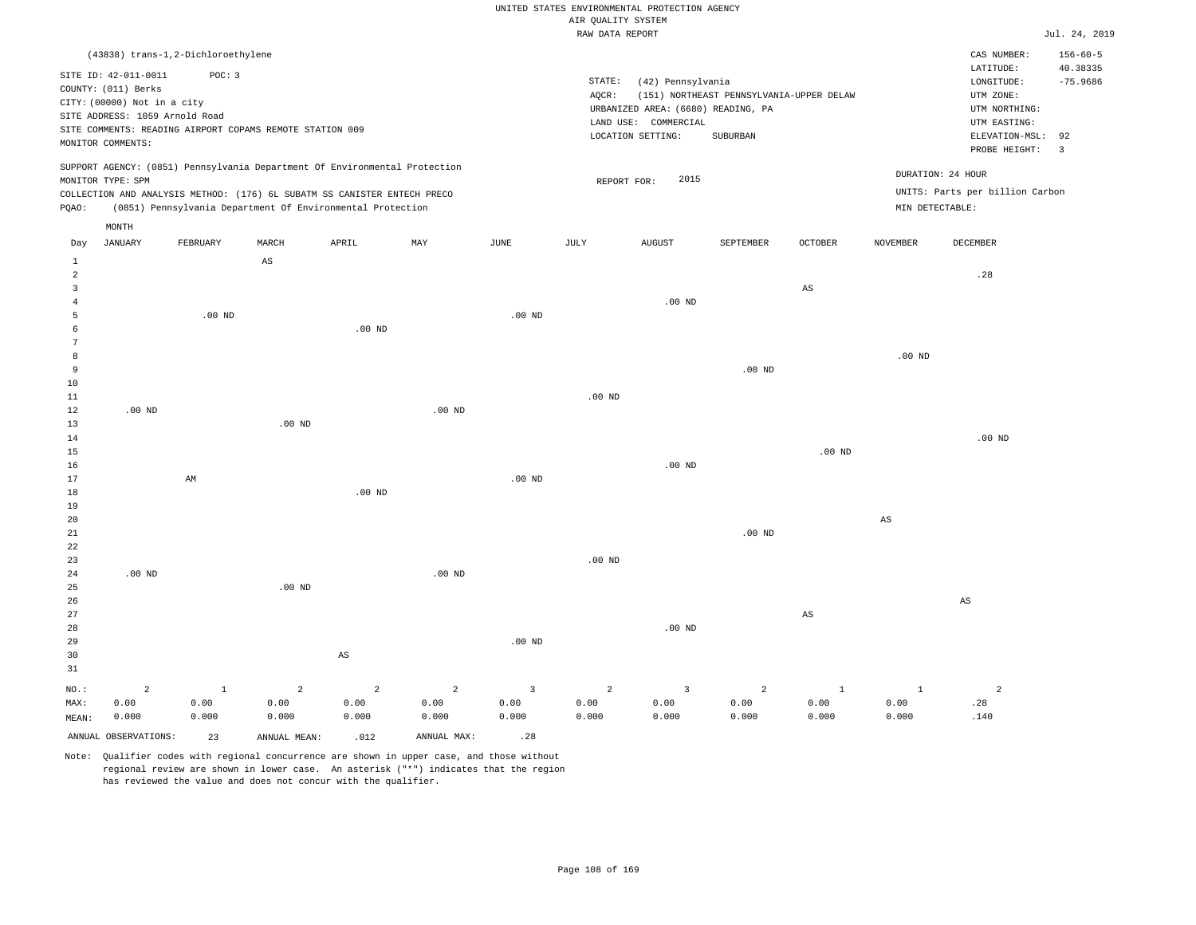|                                |                                |                                                          |                        |                                                                            |                   |                   | RAW DATA REPORT |                                    |                                          |                        |                   |                                 | Jul. 24, 2019           |
|--------------------------------|--------------------------------|----------------------------------------------------------|------------------------|----------------------------------------------------------------------------|-------------------|-------------------|-----------------|------------------------------------|------------------------------------------|------------------------|-------------------|---------------------------------|-------------------------|
|                                |                                | (43838) trans-1,2-Dichloroethylene                       |                        |                                                                            |                   |                   |                 |                                    |                                          |                        |                   | CAS NUMBER:                     | $156 - 60 - 5$          |
|                                | SITE ID: 42-011-0011           | POC: 3                                                   |                        |                                                                            |                   |                   |                 |                                    |                                          |                        |                   | LATITUDE:                       | 40.38335                |
|                                | COUNTY: (011) Berks            |                                                          |                        |                                                                            |                   |                   | STATE:          | (42) Pennsylvania                  |                                          |                        |                   | LONGITUDE:                      | $-75.9686$              |
|                                |                                |                                                          |                        |                                                                            |                   |                   | AQCR:           |                                    | (151) NORTHEAST PENNSYLVANIA-UPPER DELAW |                        |                   | UTM ZONE:                       |                         |
|                                | CITY: (00000) Not in a city    |                                                          |                        |                                                                            |                   |                   |                 | URBANIZED AREA: (6680) READING, PA |                                          |                        |                   | UTM NORTHING:                   |                         |
|                                | SITE ADDRESS: 1059 Arnold Road |                                                          |                        |                                                                            |                   |                   |                 | LAND USE: COMMERCIAL               |                                          |                        |                   | UTM EASTING:                    |                         |
|                                |                                | SITE COMMENTS: READING AIRPORT COPAMS REMOTE STATION 009 |                        |                                                                            |                   |                   |                 | LOCATION SETTING:                  | SUBURBAN                                 |                        |                   | ELEVATION-MSL:                  | 92                      |
|                                | MONITOR COMMENTS:              |                                                          |                        |                                                                            |                   |                   |                 |                                    |                                          |                        |                   | PROBE HEIGHT:                   | $\overline{\mathbf{3}}$ |
|                                |                                |                                                          |                        | SUPPORT AGENCY: (0851) Pennsylvania Department Of Environmental Protection |                   |                   |                 |                                    |                                          |                        |                   |                                 |                         |
|                                | MONITOR TYPE: SPM              |                                                          |                        |                                                                            |                   |                   | REPORT FOR:     | 2015                               |                                          |                        |                   | DURATION: 24 HOUR               |                         |
|                                |                                |                                                          |                        | COLLECTION AND ANALYSIS METHOD: (176) 6L SUBATM SS CANISTER ENTECH PRECO   |                   |                   |                 |                                    |                                          |                        |                   | UNITS: Parts per billion Carbon |                         |
| PQAO:                          |                                |                                                          |                        | (0851) Pennsylvania Department Of Environmental Protection                 |                   |                   |                 |                                    |                                          |                        | MIN DETECTABLE:   |                                 |                         |
|                                | MONTH                          |                                                          |                        |                                                                            |                   |                   |                 |                                    |                                          |                        |                   |                                 |                         |
| Day                            | JANUARY                        | FEBRUARY                                                 | MARCH                  | APRIL                                                                      | MAY               | $_{\rm JUNE}$     | JULY            | AUGUST                             | SEPTEMBER                                | <b>OCTOBER</b>         | <b>NOVEMBER</b>   | DECEMBER                        |                         |
| $\mathbf{1}$<br>$\overline{c}$ |                                |                                                          | $\mathbb{A}\mathbb{S}$ |                                                                            |                   |                   |                 |                                    |                                          |                        |                   | .28                             |                         |
| $\overline{3}$                 |                                |                                                          |                        |                                                                            |                   |                   |                 |                                    |                                          | $\mathbb{A}\mathbb{S}$ |                   |                                 |                         |
| $\overline{4}$                 |                                |                                                          |                        |                                                                            |                   |                   |                 | $.00$ ND                           |                                          |                        |                   |                                 |                         |
| 5                              |                                | .00 <sub>ND</sub>                                        |                        |                                                                            |                   | .00 <sub>ND</sub> |                 |                                    |                                          |                        |                   |                                 |                         |
| 6                              |                                |                                                          |                        | .00 <sub>ND</sub>                                                          |                   |                   |                 |                                    |                                          |                        |                   |                                 |                         |
| 7                              |                                |                                                          |                        |                                                                            |                   |                   |                 |                                    |                                          |                        |                   |                                 |                         |
| 8                              |                                |                                                          |                        |                                                                            |                   |                   |                 |                                    |                                          |                        | .00 <sub>ND</sub> |                                 |                         |
| 9<br>10                        |                                |                                                          |                        |                                                                            |                   |                   |                 |                                    | .00 <sub>ND</sub>                        |                        |                   |                                 |                         |
| 11                             |                                |                                                          |                        |                                                                            |                   |                   | $.00$ ND        |                                    |                                          |                        |                   |                                 |                         |
| 12                             | $.00$ ND                       |                                                          |                        |                                                                            | .00 <sub>ND</sub> |                   |                 |                                    |                                          |                        |                   |                                 |                         |
| 13                             |                                |                                                          | $.00$ ND               |                                                                            |                   |                   |                 |                                    |                                          |                        |                   |                                 |                         |
| 14                             |                                |                                                          |                        |                                                                            |                   |                   |                 |                                    |                                          |                        |                   | $.00$ ND                        |                         |
| 15                             |                                |                                                          |                        |                                                                            |                   |                   |                 |                                    |                                          | .00 <sub>ND</sub>      |                   |                                 |                         |
| 16                             |                                |                                                          |                        |                                                                            |                   |                   |                 | $.00$ ND                           |                                          |                        |                   |                                 |                         |
| 17                             |                                | AM                                                       |                        |                                                                            |                   | .00 <sub>ND</sub> |                 |                                    |                                          |                        |                   |                                 |                         |
| 18<br>19                       |                                |                                                          |                        | .00 <sub>ND</sub>                                                          |                   |                   |                 |                                    |                                          |                        |                   |                                 |                         |
| 20                             |                                |                                                          |                        |                                                                            |                   |                   |                 |                                    |                                          |                        | $_{\rm AS}$       |                                 |                         |
| 21                             |                                |                                                          |                        |                                                                            |                   |                   |                 |                                    | .00 <sub>ND</sub>                        |                        |                   |                                 |                         |
| 22                             |                                |                                                          |                        |                                                                            |                   |                   |                 |                                    |                                          |                        |                   |                                 |                         |
| 23                             |                                |                                                          |                        |                                                                            |                   |                   | $.00$ ND        |                                    |                                          |                        |                   |                                 |                         |
| 24                             | $.00$ ND                       |                                                          |                        |                                                                            | .00 <sub>ND</sub> |                   |                 |                                    |                                          |                        |                   |                                 |                         |
| 25                             |                                |                                                          | $.00$ ND               |                                                                            |                   |                   |                 |                                    |                                          |                        |                   |                                 |                         |
| 26<br>27                       |                                |                                                          |                        |                                                                            |                   |                   |                 |                                    |                                          | $\mathbb{A}\mathbb{S}$ |                   | $\mathbb{A}\mathbb{S}$          |                         |
| 28                             |                                |                                                          |                        |                                                                            |                   |                   |                 | $.00$ ND                           |                                          |                        |                   |                                 |                         |
| 29                             |                                |                                                          |                        |                                                                            |                   | .00 <sub>ND</sub> |                 |                                    |                                          |                        |                   |                                 |                         |
| 30                             |                                |                                                          |                        | $\mathbb{A}\mathbb{S}$                                                     |                   |                   |                 |                                    |                                          |                        |                   |                                 |                         |
| 31                             |                                |                                                          |                        |                                                                            |                   |                   |                 |                                    |                                          |                        |                   |                                 |                         |
| NO.:                           | $\overline{a}$                 | $\mathbf{1}$                                             | $\overline{a}$         | 2                                                                          | $\overline{a}$    | $\overline{3}$    | $\overline{a}$  | $\overline{\mathbf{3}}$            | $\overline{a}$                           | $\mathbf{1}$           | $\mathbf{1}$      | $\overline{a}$                  |                         |
| MAX:                           | 0.00                           | 0.00                                                     | 0.00                   | 0.00                                                                       | 0.00              | 0.00              | 0.00            | 0.00                               | 0.00                                     | 0.00                   | 0.00              | .28                             |                         |

|       | $NO.:$ 2             |       | $\begin{array}{ccccccccccccccccccccc} 1 & & & 2 & & & 2 & & & 2 & & & 3 & & & 2 & & 3 \end{array}$ |       |             |       |       |       |       |       |       |      |
|-------|----------------------|-------|----------------------------------------------------------------------------------------------------|-------|-------------|-------|-------|-------|-------|-------|-------|------|
| MAX:  | 0.00                 | 0.00  | 0.00                                                                                               | 0.00  | 0.00        | 0.00  | 0.00  | 0.00  | 0.00  | 0.00  | 0.00  | .28  |
| MEAN: | 0.000                | 0.000 | 0.000                                                                                              | 0.000 | 0.000       | 0.000 | 0.000 | 0.000 | 0.000 | 0.000 | 0.000 | .140 |
|       | ANNUAL OBSERVATIONS: | 23    | ANNUAL MEAN:                                                                                       | .012  | ANNUAL MAX: | .28   |       |       |       |       |       |      |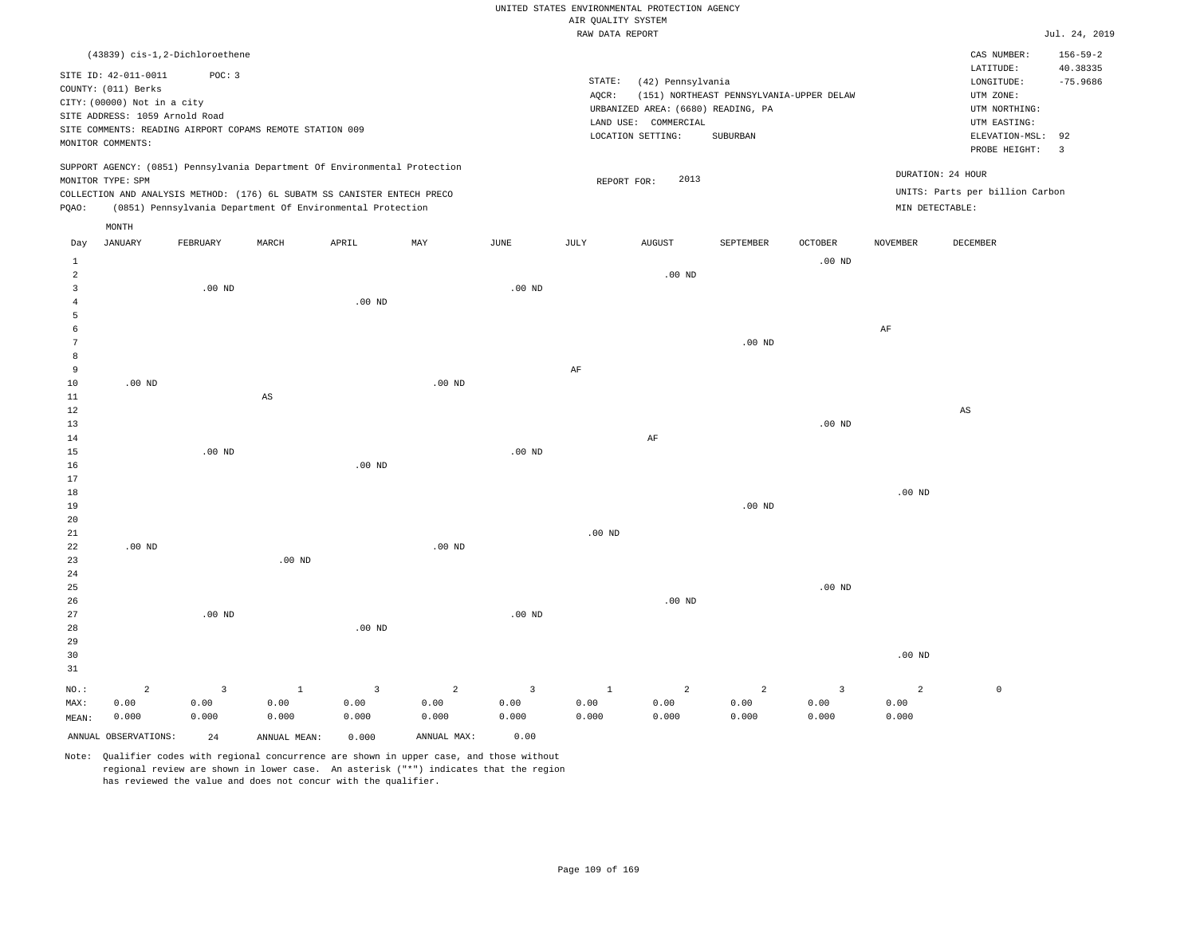|                                                                                                                                                                                      |                                                            |       |     |      | RAW DATA REPORT |                                                                       |                                          |                  |                 |                                                                     | Jul. 24, 2019                            |
|--------------------------------------------------------------------------------------------------------------------------------------------------------------------------------------|------------------------------------------------------------|-------|-----|------|-----------------|-----------------------------------------------------------------------|------------------------------------------|------------------|-----------------|---------------------------------------------------------------------|------------------------------------------|
| (43839) cis-1,2-Dichloroethene<br>SITE ID: 42-011-0011<br>COUNTY: (011) Berks                                                                                                        | POC: 3                                                     |       |     |      | STATE:<br>AQCR: | (42) Pennsylvania                                                     | (151) NORTHEAST PENNSYLVANIA-UPPER DELAW |                  |                 | CAS NUMBER:<br>LATITUDE:<br>LONGITUDE:<br>UTM ZONE:                 | $156 - 59 - 2$<br>40.38335<br>$-75.9686$ |
| CITY: (00000) Not in a city<br>SITE ADDRESS: 1059 Arnold Road<br>SITE COMMENTS: READING AIRPORT COPAMS REMOTE STATION 009<br>MONITOR COMMENTS:                                       |                                                            |       |     |      | LAND USE:       | URBANIZED AREA: (6680) READING, PA<br>COMMERCIAL<br>LOCATION SETTING: | SUBURBAN                                 |                  |                 | UTM NORTHING:<br>UTM EASTING:<br>ELEVATION-MSL: 92<br>PROBE HEIGHT: | 3                                        |
| SUPPORT AGENCY: (0851) Pennsylvania Department Of Environmental Protection<br>MONITOR TYPE: SPM<br>COLLECTION AND ANALYSIS METHOD: (176) 6L SUBATM SS CANISTER ENTECH PRECO<br>POAO: | (0851) Pennsylvania Department Of Environmental Protection |       |     |      |                 | 2013<br>REPORT FOR:                                                   |                                          |                  | MIN DETECTABLE: | DURATION: 24 HOUR<br>UNITS: Parts per billion Carbon                |                                          |
| MONTH<br>JANUARY<br>Day                                                                                                                                                              | FEBRUARY<br>MARCH                                          | APRIL | MAY | JUNE | JULY            | AUGUST                                                                | SEPTEMBER                                | OCTOBER<br>00 ND | <b>NOVEMBER</b> | DECEMBER                                                            |                                          |

| $\mathbf{1}$   |          |          |                        |          |          |          |           |           |          | $.00{\rm ~ND}$    |                   |                        |
|----------------|----------|----------|------------------------|----------|----------|----------|-----------|-----------|----------|-------------------|-------------------|------------------------|
| $\overline{a}$ |          |          |                        |          |          |          |           | .00 $ND$  |          |                   |                   |                        |
| 3              |          | $.00$ ND |                        |          |          | .00 $ND$ |           |           |          |                   |                   |                        |
| $\overline{4}$ |          |          |                        | .00 $ND$ |          |          |           |           |          |                   |                   |                        |
| 5              |          |          |                        |          |          |          |           |           |          |                   |                   |                        |
| 6              |          |          |                        |          |          |          |           |           |          |                   | $\rm{AF}$         |                        |
| 7              |          |          |                        |          |          |          |           |           | .00 $ND$ |                   |                   |                        |
| 8              |          |          |                        |          |          |          |           |           |          |                   |                   |                        |
| 9              |          |          |                        |          |          |          | $\rm{AF}$ |           |          |                   |                   |                        |
| 10             | $.00$ ND |          |                        |          | $.00$ ND |          |           |           |          |                   |                   |                        |
| 11             |          |          | $\mathbb{A}\mathbb{S}$ |          |          |          |           |           |          |                   |                   |                        |
| 12             |          |          |                        |          |          |          |           |           |          |                   |                   | $\mathbb{A}\mathbb{S}$ |
| 13             |          |          |                        |          |          |          |           |           |          | .00 $ND$          |                   |                        |
| 14             |          |          |                        |          |          |          |           | $\rm{AF}$ |          |                   |                   |                        |
| 15             |          | $.00$ ND |                        |          |          | .00 $ND$ |           |           |          |                   |                   |                        |
| 16             |          |          |                        | .00 $ND$ |          |          |           |           |          |                   |                   |                        |
| 17             |          |          |                        |          |          |          |           |           |          |                   |                   |                        |
| 18             |          |          |                        |          |          |          |           |           |          |                   | $.00~\mathrm{ND}$ |                        |
| 19<br>20       |          |          |                        |          |          |          |           |           | .00 $ND$ |                   |                   |                        |
| 21             |          |          |                        |          |          |          | .00 $ND$  |           |          |                   |                   |                        |
| 22             | .00 $ND$ |          |                        |          | .00 $ND$ |          |           |           |          |                   |                   |                        |
| 23             |          |          | $.00$ ND               |          |          |          |           |           |          |                   |                   |                        |
| $2\,4$         |          |          |                        |          |          |          |           |           |          |                   |                   |                        |
| 25             |          |          |                        |          |          |          |           |           |          | $.00~\mathrm{ND}$ |                   |                        |
| 26             |          |          |                        |          |          |          |           | .00 $ND$  |          |                   |                   |                        |
| $2\,7$         |          | $.00$ ND |                        |          |          | .00 $ND$ |           |           |          |                   |                   |                        |
| 28             |          |          |                        | .00 $ND$ |          |          |           |           |          |                   |                   |                        |
| 29             |          |          |                        |          |          |          |           |           |          |                   |                   |                        |

| 31    |                      |       |              |          |             |       |       |       |       |       |       |  |
|-------|----------------------|-------|--------------|----------|-------------|-------|-------|-------|-------|-------|-------|--|
| NO.:  |                      |       |              | $\sim$ 3 | $\sim$ 2    |       |       |       |       |       |       |  |
| MAX:  | 0.00                 | J.00  | 0.00         | 0.00     | 0.00        | 0.00  | 0.00  | 0.00  | 0.00  | 0.00  | 0.00  |  |
| MEAN: | 0.000                | 0.000 | 0.000        | 0.000    | 0.000       | 0.000 | 0.000 | 0.000 | 0.000 | 0.000 | 0.000 |  |
|       | ANNUAL OBSERVATIONS: | 24    | ANNUAL MEAN: | 0.000    | ANNUAL MAX: | 0.00  |       |       |       |       |       |  |

Note: Qualifier codes with regional concurrence are shown in upper case, and those without regional review are shown in lower case. An asterisk ("\*") indicates that the region has reviewed the value and does not concur with the qualifier.

30

.00 ND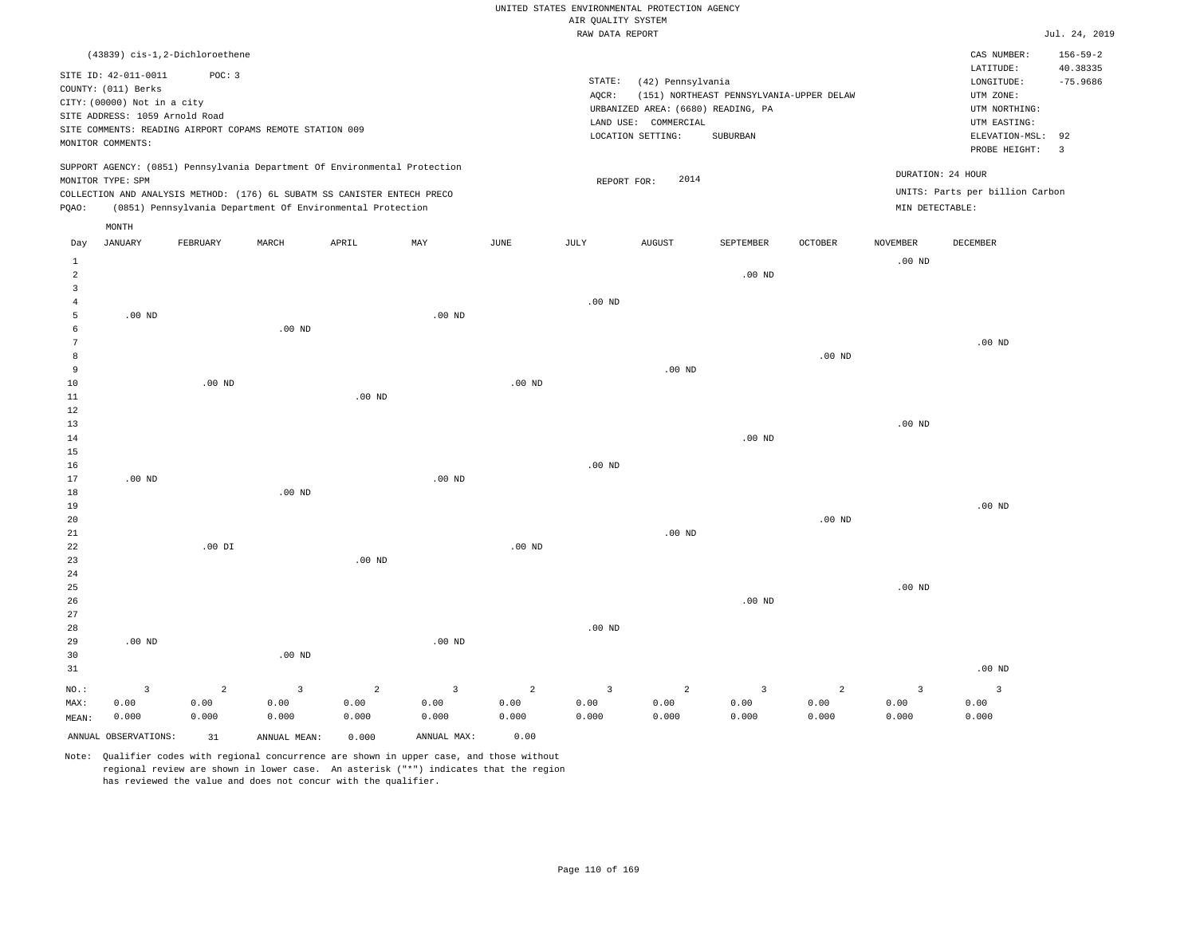|  |  |                    | UNITED STATES ENVIRONMENTAL PROTECTION AGENCY |  |
|--|--|--------------------|-----------------------------------------------|--|
|  |  | AIR OUALITY SYSTEM |                                               |  |

|                      |                                |                |                                                          |                                                                            |             |                | i guilliti uiuin.<br>RAW DATA REPORT |                                    |                                          |                |                         |                                 | Jul. 24, 2019        |
|----------------------|--------------------------------|----------------|----------------------------------------------------------|----------------------------------------------------------------------------|-------------|----------------|--------------------------------------|------------------------------------|------------------------------------------|----------------|-------------------------|---------------------------------|----------------------|
|                      | (43839) cis-1,2-Dichloroethene |                |                                                          |                                                                            |             |                |                                      |                                    |                                          |                |                         | CAS NUMBER:                     | $156 - 59 - 2$       |
|                      | SITE ID: 42-011-0011           | POC: 3         |                                                          |                                                                            |             |                |                                      |                                    |                                          |                |                         | LATITUDE:                       | 40.38335             |
|                      | COUNTY: (011) Berks            |                |                                                          |                                                                            |             |                | STATE:                               | (42) Pennsylvania                  |                                          |                |                         | LONGITUDE:                      | $-75.9686$           |
|                      | CITY: (00000) Not in a city    |                |                                                          |                                                                            |             |                | AQCR:                                |                                    | (151) NORTHEAST PENNSYLVANIA-UPPER DELAW |                |                         | UTM ZONE:                       |                      |
|                      | SITE ADDRESS: 1059 Arnold Road |                |                                                          |                                                                            |             |                |                                      | URBANIZED AREA: (6680) READING, PA |                                          |                |                         | UTM NORTHING:                   |                      |
|                      |                                |                | SITE COMMENTS: READING AIRPORT COPAMS REMOTE STATION 009 |                                                                            |             |                |                                      | LAND USE: COMMERCIAL               |                                          |                |                         | UTM EASTING:                    |                      |
|                      | MONITOR COMMENTS:              |                |                                                          |                                                                            |             |                |                                      | LOCATION SETTING:                  | SUBURBAN                                 |                |                         | ELEVATION-MSL:<br>PROBE HEIGHT: | 92<br>$\overline{3}$ |
|                      |                                |                |                                                          | SUPPORT AGENCY: (0851) Pennsylvania Department Of Environmental Protection |             |                |                                      |                                    |                                          |                |                         | DURATION: 24 HOUR               |                      |
|                      | MONITOR TYPE: SPM              |                |                                                          |                                                                            |             |                | REPORT FOR:                          | 2014                               |                                          |                |                         |                                 |                      |
|                      |                                |                |                                                          | COLLECTION AND ANALYSIS METHOD: (176) 6L SUBATM SS CANISTER ENTECH PRECO   |             |                |                                      |                                    |                                          |                |                         | UNITS: Parts per billion Carbon |                      |
| PQAO:                |                                |                |                                                          | (0851) Pennsylvania Department Of Environmental Protection                 |             |                |                                      |                                    |                                          |                | MIN DETECTABLE:         |                                 |                      |
|                      | MONTH                          |                |                                                          |                                                                            |             |                |                                      |                                    |                                          |                |                         |                                 |                      |
| Day                  | <b>JANUARY</b>                 | FEBRUARY       | MARCH                                                    | APRIL                                                                      | MAY         | $_{\rm JUNE}$  | <b>JULY</b>                          | <b>AUGUST</b>                      | SEPTEMBER                                | <b>OCTOBER</b> | <b>NOVEMBER</b>         | DECEMBER                        |                      |
| 1<br>$\overline{a}$  |                                |                |                                                          |                                                                            |             |                |                                      |                                    | $.00$ ND                                 |                | $.00$ ND                |                                 |                      |
| $\overline{3}$       |                                |                |                                                          |                                                                            |             |                |                                      |                                    |                                          |                |                         |                                 |                      |
| $\overline{4}$       |                                |                |                                                          |                                                                            |             |                | $.00$ ND                             |                                    |                                          |                |                         |                                 |                      |
| 5                    | $.00$ ND                       |                |                                                          |                                                                            | $.00$ ND    |                |                                      |                                    |                                          |                |                         |                                 |                      |
| 6                    |                                |                | $.00$ ND                                                 |                                                                            |             |                |                                      |                                    |                                          |                |                         |                                 |                      |
| $\overline{7}$       |                                |                |                                                          |                                                                            |             |                |                                      |                                    |                                          |                |                         | $.00$ ND                        |                      |
| 8                    |                                |                |                                                          |                                                                            |             |                |                                      |                                    |                                          | $.00$ ND       |                         |                                 |                      |
| $\overline{9}$       |                                |                |                                                          |                                                                            |             |                |                                      | $.00$ ND                           |                                          |                |                         |                                 |                      |
| 10                   |                                | $.00$ ND       |                                                          |                                                                            |             | $.00$ ND       |                                      |                                    |                                          |                |                         |                                 |                      |
| 11                   |                                |                |                                                          | $.00$ ND                                                                   |             |                |                                      |                                    |                                          |                |                         |                                 |                      |
| 12                   |                                |                |                                                          |                                                                            |             |                |                                      |                                    |                                          |                |                         |                                 |                      |
| 13                   |                                |                |                                                          |                                                                            |             |                |                                      |                                    |                                          |                | $.00$ ND                |                                 |                      |
| 14                   |                                |                |                                                          |                                                                            |             |                |                                      |                                    | $.00$ ND                                 |                |                         |                                 |                      |
| 15                   |                                |                |                                                          |                                                                            |             |                |                                      |                                    |                                          |                |                         |                                 |                      |
| 16                   |                                |                |                                                          |                                                                            |             |                | $.00$ ND                             |                                    |                                          |                |                         |                                 |                      |
| 17                   | $.00$ ND                       |                |                                                          |                                                                            | $.00$ ND    |                |                                      |                                    |                                          |                |                         |                                 |                      |
| 18                   |                                |                | $.00$ ND                                                 |                                                                            |             |                |                                      |                                    |                                          |                |                         | .00 <sub>ND</sub>               |                      |
| 19<br>20             |                                |                |                                                          |                                                                            |             |                |                                      |                                    |                                          | $.00$ ND       |                         |                                 |                      |
| 21                   |                                |                |                                                          |                                                                            |             |                |                                      | $.00$ ND                           |                                          |                |                         |                                 |                      |
| 22                   |                                | $.00$ DI       |                                                          |                                                                            |             | $.00$ ND       |                                      |                                    |                                          |                |                         |                                 |                      |
| 23                   |                                |                |                                                          | $.00$ ND                                                                   |             |                |                                      |                                    |                                          |                |                         |                                 |                      |
| 24                   |                                |                |                                                          |                                                                            |             |                |                                      |                                    |                                          |                |                         |                                 |                      |
| 25                   |                                |                |                                                          |                                                                            |             |                |                                      |                                    |                                          |                | $.00$ ND                |                                 |                      |
| 26                   |                                |                |                                                          |                                                                            |             |                |                                      |                                    | $.00$ ND                                 |                |                         |                                 |                      |
| 27                   |                                |                |                                                          |                                                                            |             |                |                                      |                                    |                                          |                |                         |                                 |                      |
| 28                   |                                |                |                                                          |                                                                            |             |                | $.00$ ND                             |                                    |                                          |                |                         |                                 |                      |
| 29                   | $.00$ ND                       |                |                                                          |                                                                            | $.00$ ND    |                |                                      |                                    |                                          |                |                         |                                 |                      |
| 30                   |                                |                | .00 <sub>ND</sub>                                        |                                                                            |             |                |                                      |                                    |                                          |                |                         |                                 |                      |
| 31                   |                                |                |                                                          |                                                                            |             |                |                                      |                                    |                                          |                |                         | $.00$ ND                        |                      |
| NO.:                 | $\overline{\mathbf{3}}$        | $\overline{a}$ | $\overline{3}$                                           | $\overline{a}$                                                             | 3           | $\overline{a}$ | $\overline{3}$                       | $\overline{2}$                     | $\overline{3}$                           | $\overline{a}$ | $\overline{\mathbf{3}}$ | $\overline{3}$                  |                      |
| MAX:                 | 0.00                           | 0.00           | 0.00                                                     | 0.00                                                                       | 0.00        | 0.00           | 0.00                                 | 0.00                               | 0.00                                     | 0.00           | 0.00                    | 0.00                            |                      |
| MEAN:                | 0.000                          | 0.000          | 0.000                                                    | 0.000                                                                      | 0.000       | 0.000          | 0.000                                | 0.000                              | 0.000                                    | 0.000          | 0.000                   | 0.000                           |                      |
| ANNUAL OBSERVATIONS: |                                | 31             | ANNUAL MEAN:                                             | 0.000                                                                      | ANNUAL MAX: | 0.00           |                                      |                                    |                                          |                |                         |                                 |                      |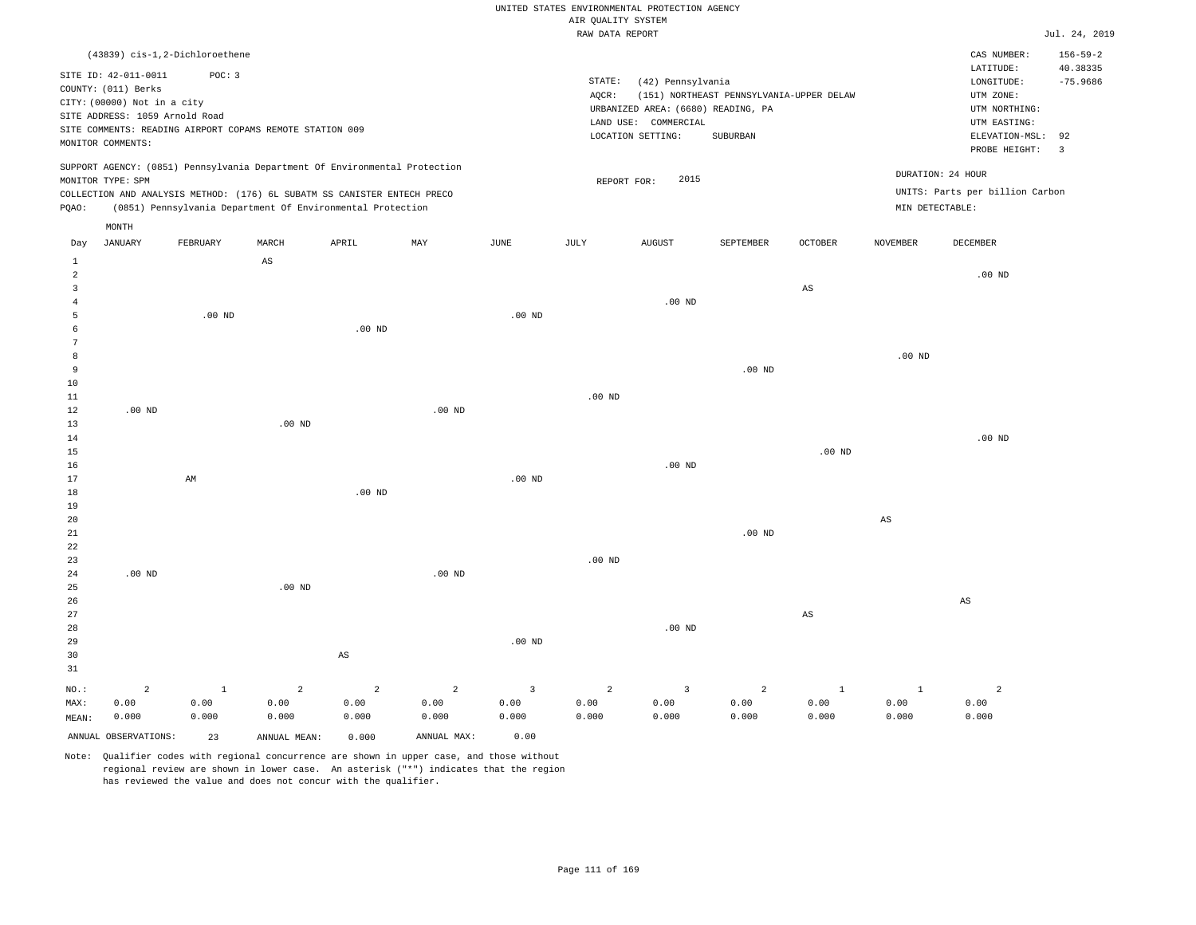|  | RAW DATA REPORT |  |
|--|-----------------|--|

|                |                                |              |                                                                            |                        |                   |                         | RAW DATA REPORT   |                                    |                                          |                        |                 |                                 | Jul. 24, 2019           |
|----------------|--------------------------------|--------------|----------------------------------------------------------------------------|------------------------|-------------------|-------------------------|-------------------|------------------------------------|------------------------------------------|------------------------|-----------------|---------------------------------|-------------------------|
|                | (43839) cis-1,2-Dichloroethene |              |                                                                            |                        |                   |                         |                   |                                    |                                          |                        |                 | CAS NUMBER:                     | $156 - 59 - 2$          |
|                |                                |              |                                                                            |                        |                   |                         |                   |                                    |                                          |                        |                 | LATITUDE:                       | 40.38335                |
|                | SITE ID: 42-011-0011           | POC: 3       |                                                                            |                        |                   |                         | STATE:            | (42) Pennsylvania                  |                                          |                        |                 | LONGITUDE:                      | $-75.9686$              |
|                | COUNTY: (011) Berks            |              |                                                                            |                        |                   |                         | AQCR:             |                                    | (151) NORTHEAST PENNSYLVANIA-UPPER DELAW |                        |                 | UTM ZONE:                       |                         |
|                | CITY: (00000) Not in a city    |              |                                                                            |                        |                   |                         |                   | URBANIZED AREA: (6680) READING, PA |                                          |                        |                 | UTM NORTHING:                   |                         |
|                | SITE ADDRESS: 1059 Arnold Road |              |                                                                            |                        |                   |                         |                   | LAND USE: COMMERCIAL               |                                          |                        |                 | UTM EASTING:                    |                         |
|                |                                |              | SITE COMMENTS: READING AIRPORT COPAMS REMOTE STATION 009                   |                        |                   |                         |                   | LOCATION SETTING:                  | SUBURBAN                                 |                        |                 | ELEVATION-MSL:                  | 92                      |
|                | MONITOR COMMENTS:              |              |                                                                            |                        |                   |                         |                   |                                    |                                          |                        |                 | PROBE HEIGHT:                   | $\overline{\mathbf{3}}$ |
|                |                                |              | SUPPORT AGENCY: (0851) Pennsylvania Department Of Environmental Protection |                        |                   |                         |                   |                                    |                                          |                        |                 |                                 |                         |
|                | MONITOR TYPE: SPM              |              |                                                                            |                        |                   |                         | REPORT FOR:       | 2015                               |                                          |                        |                 | DURATION: 24 HOUR               |                         |
|                |                                |              | COLLECTION AND ANALYSIS METHOD: (176) 6L SUBATM SS CANISTER ENTECH PRECO   |                        |                   |                         |                   |                                    |                                          |                        |                 | UNITS: Parts per billion Carbon |                         |
| PQAO:          |                                |              | (0851) Pennsylvania Department Of Environmental Protection                 |                        |                   |                         |                   |                                    |                                          |                        | MIN DETECTABLE: |                                 |                         |
|                | MONTH                          |              |                                                                            |                        |                   |                         |                   |                                    |                                          |                        |                 |                                 |                         |
| Day            | JANUARY                        | FEBRUARY     | MARCH                                                                      | APRIL                  | MAY               | JUNE                    | JULY              | AUGUST                             | SEPTEMBER                                | $\mathtt{OCTOBER}$     | <b>NOVEMBER</b> | DECEMBER                        |                         |
| $\mathbf 1$    |                                |              | $_{\rm AS}$                                                                |                        |                   |                         |                   |                                    |                                          |                        |                 |                                 |                         |
| $\overline{2}$ |                                |              |                                                                            |                        |                   |                         |                   |                                    |                                          |                        |                 | $.00$ ND                        |                         |
| 3              |                                |              |                                                                            |                        |                   |                         |                   |                                    |                                          | AS                     |                 |                                 |                         |
| 4              |                                |              |                                                                            |                        |                   |                         |                   | $.00$ ND                           |                                          |                        |                 |                                 |                         |
| 5              |                                | $.00$ ND     |                                                                            |                        |                   | $.00$ ND                |                   |                                    |                                          |                        |                 |                                 |                         |
| -6             |                                |              |                                                                            | $.00$ ND               |                   |                         |                   |                                    |                                          |                        |                 |                                 |                         |
| $\overline{7}$ |                                |              |                                                                            |                        |                   |                         |                   |                                    |                                          |                        |                 |                                 |                         |
| 8              |                                |              |                                                                            |                        |                   |                         |                   |                                    |                                          |                        | .00 $ND$        |                                 |                         |
| 9              |                                |              |                                                                            |                        |                   |                         |                   |                                    | $.00$ ND                                 |                        |                 |                                 |                         |
| 10             |                                |              |                                                                            |                        |                   |                         |                   |                                    |                                          |                        |                 |                                 |                         |
| $11\,$         |                                |              |                                                                            |                        |                   |                         | .00 <sub>ND</sub> |                                    |                                          |                        |                 |                                 |                         |
| 12             | .00 <sub>ND</sub>              |              |                                                                            |                        | .00 <sub>ND</sub> |                         |                   |                                    |                                          |                        |                 |                                 |                         |
| 13             |                                |              | $.00$ ND                                                                   |                        |                   |                         |                   |                                    |                                          |                        |                 |                                 |                         |
| 14             |                                |              |                                                                            |                        |                   |                         |                   |                                    |                                          |                        |                 | $.00$ ND                        |                         |
| 15             |                                |              |                                                                            |                        |                   |                         |                   |                                    |                                          | .00 <sub>ND</sub>      |                 |                                 |                         |
| 16             |                                |              |                                                                            |                        |                   |                         |                   | $.00$ ND                           |                                          |                        |                 |                                 |                         |
| 17             |                                | AM           |                                                                            |                        |                   | $.00$ ND                |                   |                                    |                                          |                        |                 |                                 |                         |
| 18             |                                |              |                                                                            | $.00$ ND               |                   |                         |                   |                                    |                                          |                        |                 |                                 |                         |
| 19             |                                |              |                                                                            |                        |                   |                         |                   |                                    |                                          |                        |                 |                                 |                         |
| 20             |                                |              |                                                                            |                        |                   |                         |                   |                                    |                                          |                        | $_{\rm AS}$     |                                 |                         |
| 21             |                                |              |                                                                            |                        |                   |                         |                   |                                    | $.00$ ND                                 |                        |                 |                                 |                         |
| 22             |                                |              |                                                                            |                        |                   |                         |                   |                                    |                                          |                        |                 |                                 |                         |
| 23             |                                |              |                                                                            |                        |                   |                         | .00 <sub>ND</sub> |                                    |                                          |                        |                 |                                 |                         |
| $2\,4$         | .00 <sub>ND</sub>              |              |                                                                            |                        | .00 <sub>ND</sub> |                         |                   |                                    |                                          |                        |                 |                                 |                         |
| 25             |                                |              | $.00$ ND                                                                   |                        |                   |                         |                   |                                    |                                          |                        |                 |                                 |                         |
| 26             |                                |              |                                                                            |                        |                   |                         |                   |                                    |                                          |                        |                 | $\mathbb{A}\mathbb{S}$          |                         |
| 27             |                                |              |                                                                            |                        |                   |                         |                   |                                    |                                          | $\mathbb{A}\mathbb{S}$ |                 |                                 |                         |
| 28             |                                |              |                                                                            |                        |                   |                         |                   | $.00$ ND                           |                                          |                        |                 |                                 |                         |
| 29             |                                |              |                                                                            |                        |                   | $.00$ ND                |                   |                                    |                                          |                        |                 |                                 |                         |
| 30             |                                |              |                                                                            | $\mathbb{A}\mathbb{S}$ |                   |                         |                   |                                    |                                          |                        |                 |                                 |                         |
| 31             |                                |              |                                                                            |                        |                   |                         |                   |                                    |                                          |                        |                 |                                 |                         |
| NO.:           | $\overline{a}$                 | $\mathbf{1}$ | $\overline{a}$                                                             | $\overline{a}$         | $\overline{a}$    | $\overline{\mathbf{3}}$ | $\overline{a}$    | $\overline{3}$                     | $\overline{a}$                           | $\mathbf{1}$           | $\mathbf{1}$    | $\overline{a}$                  |                         |
| MAX:           | 0.00                           | 0.00         | 0.00                                                                       | 0.00                   | 0.00              | 0.00                    | 0.00              | 0.00                               | 0.00                                     | 0.00                   | 0.00            | 0.00                            |                         |
|                | 0.000                          | 0.000        | 0.000                                                                      | 0.000                  | 0.000             | 0.000                   | 0.000             | 0.000                              | 0.000                                    | 0.000                  | 0.000           | 0.000                           |                         |
| MEAN:          |                                |              |                                                                            |                        |                   |                         |                   |                                    |                                          |                        |                 |                                 |                         |
|                | ANNUAL OBSERVATIONS:           | 23           | ANNUAL MEAN:                                                               | 0.000                  | ANNUAL MAX:       | 0.00                    |                   |                                    |                                          |                        |                 |                                 |                         |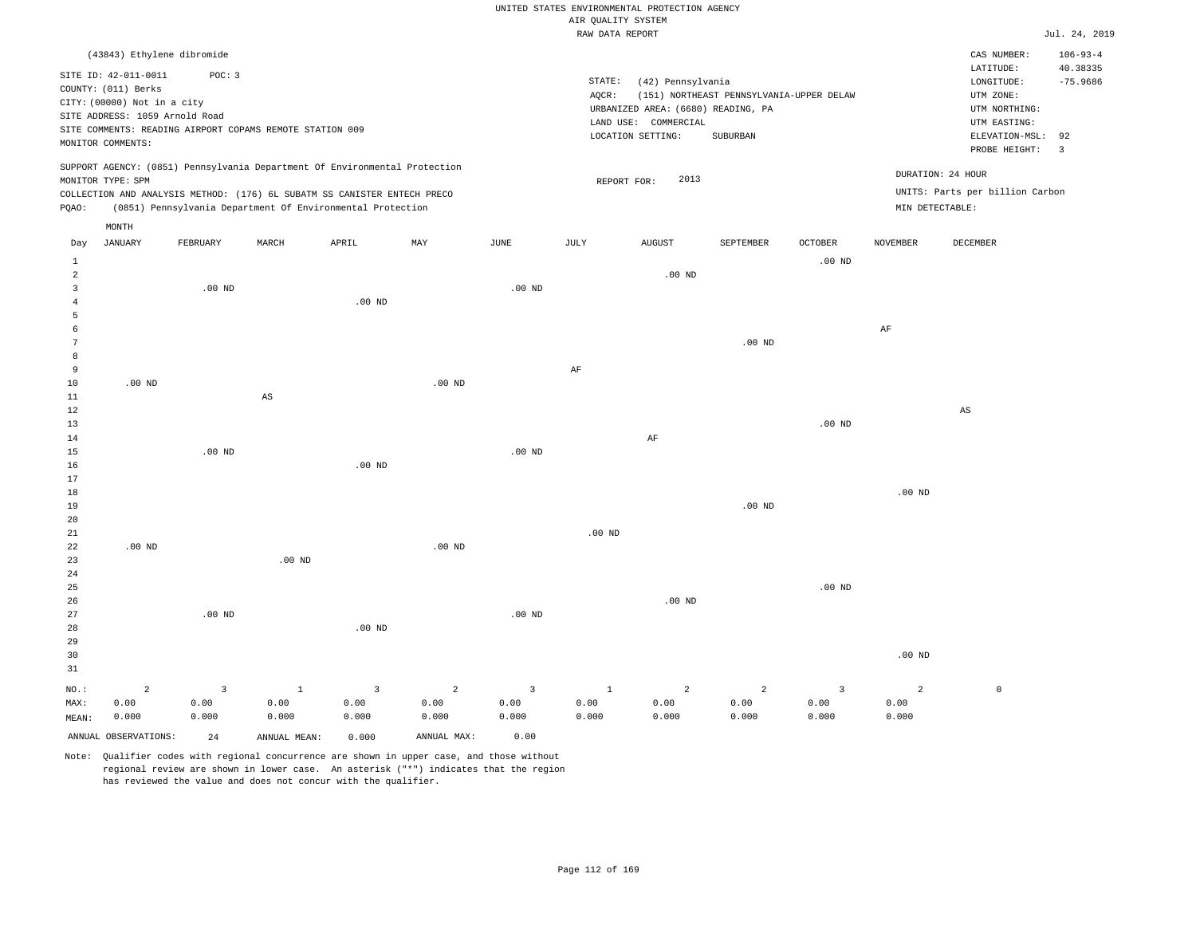### RAW DATA REPORT JUL. 24, 2019 UNITED STATES ENVIRONMENTAL PROTECTION AGENCY AIR QUALITY SYSTEM

|                | (43843) Ethylene dibromide<br>SITE ID: 42-011-0011<br>COUNTY: (011) Berks<br>CITY: (00000) Not in a city<br>SITE ADDRESS: 1059 Arnold Road<br>MONITOR COMMENTS: | POC: 3         | SITE COMMENTS: READING AIRPORT COPAMS REMOTE STATION 009<br>SUPPORT AGENCY: (0851) Pennsylvania Department Of Environmental Protection |                         |                |                | STATE:<br>AQCR:   | (42) Pennsylvania<br>URBANIZED AREA: (6680) READING, PA<br>LAND USE: COMMERCIAL<br>LOCATION SETTING: | (151) NORTHEAST PENNSYLVANIA-UPPER DELAW<br>SUBURBAN |                         |                   | CAS NUMBER:<br>LATITUDE:<br>LONGITUDE:<br>UTM ZONE:<br>UTM NORTHING:<br>UTM EASTING:<br>ELEVATION-MSL:<br>PROBE HEIGHT: | $106 - 93 - 4$<br>40.38335<br>$-75.9686$<br>92<br>$\overline{3}$ |
|----------------|-----------------------------------------------------------------------------------------------------------------------------------------------------------------|----------------|----------------------------------------------------------------------------------------------------------------------------------------|-------------------------|----------------|----------------|-------------------|------------------------------------------------------------------------------------------------------|------------------------------------------------------|-------------------------|-------------------|-------------------------------------------------------------------------------------------------------------------------|------------------------------------------------------------------|
|                | MONITOR TYPE: SPM                                                                                                                                               |                |                                                                                                                                        |                         |                |                | REPORT FOR:       | 2013                                                                                                 |                                                      |                         | DURATION: 24 HOUR |                                                                                                                         |                                                                  |
|                |                                                                                                                                                                 |                | COLLECTION AND ANALYSIS METHOD: (176) 6L SUBATM SS CANISTER ENTECH PRECO                                                               |                         |                |                |                   |                                                                                                      |                                                      |                         |                   | UNITS: Parts per billion Carbon                                                                                         |                                                                  |
| PQAO:          |                                                                                                                                                                 |                | (0851) Pennsylvania Department Of Environmental Protection                                                                             |                         |                |                |                   |                                                                                                      |                                                      |                         | MIN DETECTABLE:   |                                                                                                                         |                                                                  |
|                | MONTH                                                                                                                                                           |                |                                                                                                                                        |                         |                |                |                   |                                                                                                      |                                                      |                         |                   |                                                                                                                         |                                                                  |
| Day            | <b>JANUARY</b>                                                                                                                                                  | FEBRUARY       | MARCH                                                                                                                                  | APRIL                   | MAY            | <b>JUNE</b>    | JULY              | <b>AUGUST</b>                                                                                        | SEPTEMBER                                            | <b>OCTOBER</b>          | <b>NOVEMBER</b>   | DECEMBER                                                                                                                |                                                                  |
| $\mathbf{1}$   |                                                                                                                                                                 |                |                                                                                                                                        |                         |                |                |                   |                                                                                                      |                                                      | .00 <sub>ND</sub>       |                   |                                                                                                                         |                                                                  |
| $\overline{a}$ |                                                                                                                                                                 |                |                                                                                                                                        |                         |                |                |                   | .00 <sub>ND</sub>                                                                                    |                                                      |                         |                   |                                                                                                                         |                                                                  |
| $\overline{3}$ |                                                                                                                                                                 | $.00$ ND       |                                                                                                                                        |                         |                | $.00$ ND       |                   |                                                                                                      |                                                      |                         |                   |                                                                                                                         |                                                                  |
| $\overline{4}$ |                                                                                                                                                                 |                |                                                                                                                                        | $.00$ ND                |                |                |                   |                                                                                                      |                                                      |                         |                   |                                                                                                                         |                                                                  |
| 5              |                                                                                                                                                                 |                |                                                                                                                                        |                         |                |                |                   |                                                                                                      |                                                      |                         |                   |                                                                                                                         |                                                                  |
| 6<br>7         |                                                                                                                                                                 |                |                                                                                                                                        |                         |                |                |                   |                                                                                                      | .00 <sub>ND</sub>                                    |                         | $\rm{AF}$         |                                                                                                                         |                                                                  |
| 8              |                                                                                                                                                                 |                |                                                                                                                                        |                         |                |                |                   |                                                                                                      |                                                      |                         |                   |                                                                                                                         |                                                                  |
| 9              |                                                                                                                                                                 |                |                                                                                                                                        |                         |                |                | $\rm{AF}$         |                                                                                                      |                                                      |                         |                   |                                                                                                                         |                                                                  |
| $10$           | $.00$ ND                                                                                                                                                        |                |                                                                                                                                        |                         | $.00$ ND       |                |                   |                                                                                                      |                                                      |                         |                   |                                                                                                                         |                                                                  |
| 11             |                                                                                                                                                                 |                | $_{\rm AS}$                                                                                                                            |                         |                |                |                   |                                                                                                      |                                                      |                         |                   |                                                                                                                         |                                                                  |
| 12             |                                                                                                                                                                 |                |                                                                                                                                        |                         |                |                |                   |                                                                                                      |                                                      |                         |                   | $\mathbb{A}\mathbb{S}$                                                                                                  |                                                                  |
| 13             |                                                                                                                                                                 |                |                                                                                                                                        |                         |                |                |                   |                                                                                                      |                                                      | $.00$ ND                |                   |                                                                                                                         |                                                                  |
| 14             |                                                                                                                                                                 |                |                                                                                                                                        |                         |                |                |                   | AF                                                                                                   |                                                      |                         |                   |                                                                                                                         |                                                                  |
| 15             |                                                                                                                                                                 | $.00$ ND       |                                                                                                                                        |                         |                | $.00$ ND       |                   |                                                                                                      |                                                      |                         |                   |                                                                                                                         |                                                                  |
| 16<br>17       |                                                                                                                                                                 |                |                                                                                                                                        | $.00$ ND                |                |                |                   |                                                                                                      |                                                      |                         |                   |                                                                                                                         |                                                                  |
| 18             |                                                                                                                                                                 |                |                                                                                                                                        |                         |                |                |                   |                                                                                                      |                                                      |                         | $.00$ ND          |                                                                                                                         |                                                                  |
| 19             |                                                                                                                                                                 |                |                                                                                                                                        |                         |                |                |                   |                                                                                                      | .00 <sub>ND</sub>                                    |                         |                   |                                                                                                                         |                                                                  |
| 20             |                                                                                                                                                                 |                |                                                                                                                                        |                         |                |                |                   |                                                                                                      |                                                      |                         |                   |                                                                                                                         |                                                                  |
| 21             |                                                                                                                                                                 |                |                                                                                                                                        |                         |                |                | .00 <sub>ND</sub> |                                                                                                      |                                                      |                         |                   |                                                                                                                         |                                                                  |
| 22             | $.00$ ND                                                                                                                                                        |                |                                                                                                                                        |                         | $.00$ ND       |                |                   |                                                                                                      |                                                      |                         |                   |                                                                                                                         |                                                                  |
| 23             |                                                                                                                                                                 |                | $.00$ ND                                                                                                                               |                         |                |                |                   |                                                                                                      |                                                      |                         |                   |                                                                                                                         |                                                                  |
| 24             |                                                                                                                                                                 |                |                                                                                                                                        |                         |                |                |                   |                                                                                                      |                                                      |                         |                   |                                                                                                                         |                                                                  |
| 25             |                                                                                                                                                                 |                |                                                                                                                                        |                         |                |                |                   |                                                                                                      |                                                      | .00 <sub>ND</sub>       |                   |                                                                                                                         |                                                                  |
| 26<br>27       |                                                                                                                                                                 | $.00$ ND       |                                                                                                                                        |                         |                | $.00$ ND       |                   | $.00$ ND                                                                                             |                                                      |                         |                   |                                                                                                                         |                                                                  |
| 28             |                                                                                                                                                                 |                |                                                                                                                                        | .00 <sub>ND</sub>       |                |                |                   |                                                                                                      |                                                      |                         |                   |                                                                                                                         |                                                                  |
| 29             |                                                                                                                                                                 |                |                                                                                                                                        |                         |                |                |                   |                                                                                                      |                                                      |                         |                   |                                                                                                                         |                                                                  |
| 30             |                                                                                                                                                                 |                |                                                                                                                                        |                         |                |                |                   |                                                                                                      |                                                      |                         | $.00$ ND          |                                                                                                                         |                                                                  |
| 31             |                                                                                                                                                                 |                |                                                                                                                                        |                         |                |                |                   |                                                                                                      |                                                      |                         |                   |                                                                                                                         |                                                                  |
| NO.:           | $\overline{a}$                                                                                                                                                  | $\overline{3}$ | $\mathbf{1}$                                                                                                                           | $\overline{\mathbf{3}}$ | $\overline{a}$ | $\overline{3}$ | $\mathbf{1}$      | $\overline{a}$                                                                                       | $\overline{a}$                                       | $\overline{\mathbf{3}}$ | $\overline{2}$    | $\mathbb O$                                                                                                             |                                                                  |
| MAX:           | 0.00                                                                                                                                                            | 0.00           | 0.00                                                                                                                                   | 0.00                    | 0.00           | 0.00           | 0.00              | 0.00                                                                                                 | 0.00                                                 | 0.00                    | 0.00              |                                                                                                                         |                                                                  |
| MEAN:          | 0.000                                                                                                                                                           | 0.000          | 0.000                                                                                                                                  | 0.000                   | 0.000          | 0.000          | 0.000             | 0.000                                                                                                | 0.000                                                | 0.000                   | 0.000             |                                                                                                                         |                                                                  |
|                | ANNUAL OBSERVATIONS:                                                                                                                                            | 24             | ANNUAL MEAN:                                                                                                                           | 0.000                   | ANNUAL MAX:    | 0.00           |                   |                                                                                                      |                                                      |                         |                   |                                                                                                                         |                                                                  |
|                |                                                                                                                                                                 |                |                                                                                                                                        |                         |                |                |                   |                                                                                                      |                                                      |                         |                   |                                                                                                                         |                                                                  |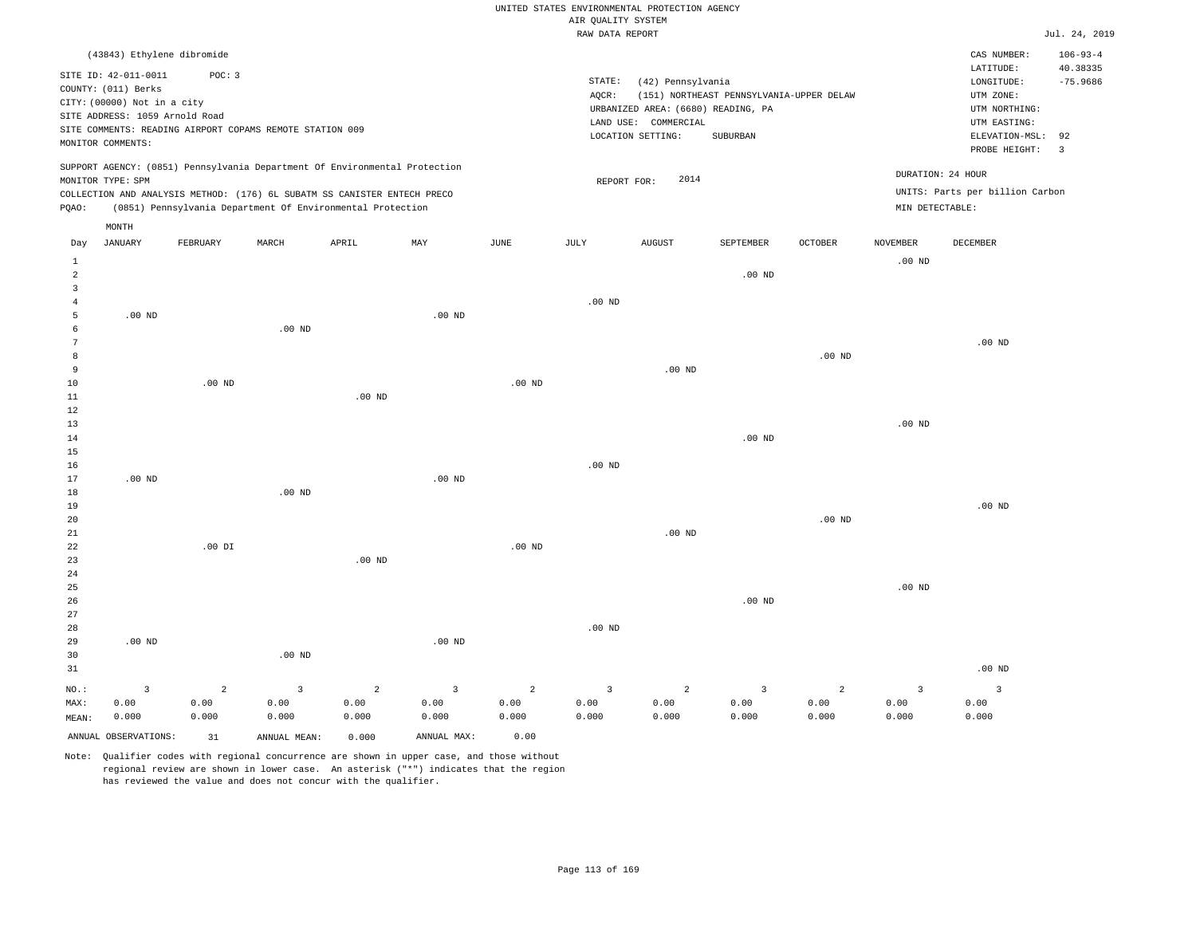|  | UNITED STATES ENVIRONMENTAL PROTECTION AGENCY |  |
|--|-----------------------------------------------|--|
|  | AIR OUALITY SYSTEM                            |  |
|  | naw nama nunong                               |  |

|                     |                                                                            |                        |                                                            |                        |                        |                        | RAW DATA REPORT        |                                    |                                          |                        |                        |                                 | Jul. 24, 2019  |
|---------------------|----------------------------------------------------------------------------|------------------------|------------------------------------------------------------|------------------------|------------------------|------------------------|------------------------|------------------------------------|------------------------------------------|------------------------|------------------------|---------------------------------|----------------|
|                     | (43843) Ethylene dibromide                                                 |                        |                                                            |                        |                        |                        |                        |                                    |                                          |                        |                        | CAS NUMBER:                     | $106 - 93 - 4$ |
|                     | SITE ID: 42-011-0011                                                       | POC: 3                 |                                                            |                        |                        |                        |                        |                                    |                                          |                        |                        | LATITUDE:                       | 40.38335       |
|                     | COUNTY: (011) Berks                                                        |                        |                                                            |                        |                        |                        | STATE:                 | (42) Pennsylvania                  |                                          |                        |                        | LONGITUDE:                      | $-75.9686$     |
|                     | CITY: (00000) Not in a city                                                |                        |                                                            |                        |                        |                        | AQCR:                  |                                    | (151) NORTHEAST PENNSYLVANIA-UPPER DELAW |                        |                        | UTM ZONE:                       |                |
|                     | SITE ADDRESS: 1059 Arnold Road                                             |                        |                                                            |                        |                        |                        |                        | URBANIZED AREA: (6680) READING, PA |                                          |                        |                        | UTM NORTHING:                   |                |
|                     | SITE COMMENTS: READING AIRPORT COPAMS REMOTE STATION 009                   |                        |                                                            |                        |                        |                        |                        | LAND USE: COMMERCIAL               |                                          |                        |                        | UTM EASTING:                    |                |
|                     | MONITOR COMMENTS:                                                          |                        |                                                            |                        |                        |                        |                        | LOCATION SETTING:                  | SUBURBAN                                 |                        |                        | ELEVATION-MSL:                  | 92             |
|                     |                                                                            |                        |                                                            |                        |                        |                        |                        |                                    |                                          |                        |                        | PROBE HEIGHT:                   | $\overline{3}$ |
|                     | SUPPORT AGENCY: (0851) Pennsylvania Department Of Environmental Protection |                        |                                                            |                        |                        |                        |                        | 2014                               |                                          |                        |                        | DURATION: 24 HOUR               |                |
|                     | MONITOR TYPE: SPM                                                          |                        |                                                            |                        |                        |                        | REPORT FOR:            |                                    |                                          |                        |                        | UNITS: Parts per billion Carbon |                |
| PQAO:               | COLLECTION AND ANALYSIS METHOD: (176) 6L SUBATM SS CANISTER ENTECH PRECO   |                        | (0851) Pennsylvania Department Of Environmental Protection |                        |                        |                        |                        |                                    |                                          |                        | MIN DETECTABLE:        |                                 |                |
|                     |                                                                            |                        |                                                            |                        |                        |                        |                        |                                    |                                          |                        |                        |                                 |                |
| Day                 | MONTH<br><b>JANUARY</b>                                                    | FEBRUARY               | MARCH                                                      | APRIL                  | MAY                    | <b>JUNE</b>            | JULY                   | <b>AUGUST</b>                      | SEPTEMBER                                | <b>OCTOBER</b>         | <b>NOVEMBER</b>        | <b>DECEMBER</b>                 |                |
|                     |                                                                            |                        |                                                            |                        |                        |                        |                        |                                    |                                          |                        |                        |                                 |                |
| $\mathbf{1}$        |                                                                            |                        |                                                            |                        |                        |                        |                        |                                    |                                          |                        | .00 <sub>ND</sub>      |                                 |                |
| $\overline{a}$      |                                                                            |                        |                                                            |                        |                        |                        |                        |                                    | .00 <sub>ND</sub>                        |                        |                        |                                 |                |
| 3<br>$\overline{4}$ |                                                                            |                        |                                                            |                        |                        |                        | .00 <sub>ND</sub>      |                                    |                                          |                        |                        |                                 |                |
| $\overline{5}$      | $.00$ ND                                                                   |                        |                                                            |                        | $.00$ ND               |                        |                        |                                    |                                          |                        |                        |                                 |                |
| 6                   |                                                                            |                        | $.00$ ND                                                   |                        |                        |                        |                        |                                    |                                          |                        |                        |                                 |                |
| $7\phantom{.0}$     |                                                                            |                        |                                                            |                        |                        |                        |                        |                                    |                                          |                        |                        | $.00$ ND                        |                |
| 8                   |                                                                            |                        |                                                            |                        |                        |                        |                        |                                    |                                          | $.00$ ND               |                        |                                 |                |
| 9                   |                                                                            |                        |                                                            |                        |                        |                        |                        | $.00$ ND                           |                                          |                        |                        |                                 |                |
| 10                  |                                                                            | $.00$ ND               |                                                            |                        |                        | $.00$ ND               |                        |                                    |                                          |                        |                        |                                 |                |
| 11                  |                                                                            |                        |                                                            | $.00$ ND               |                        |                        |                        |                                    |                                          |                        |                        |                                 |                |
| 12                  |                                                                            |                        |                                                            |                        |                        |                        |                        |                                    |                                          |                        |                        |                                 |                |
| 13                  |                                                                            |                        |                                                            |                        |                        |                        |                        |                                    |                                          |                        | $.00$ ND               |                                 |                |
| 14                  |                                                                            |                        |                                                            |                        |                        |                        |                        |                                    | .00 <sub>ND</sub>                        |                        |                        |                                 |                |
| 15                  |                                                                            |                        |                                                            |                        |                        |                        |                        |                                    |                                          |                        |                        |                                 |                |
| 16                  |                                                                            |                        |                                                            |                        |                        |                        | $.00$ ND               |                                    |                                          |                        |                        |                                 |                |
| 17                  | $.00$ ND                                                                   |                        |                                                            |                        | $.00$ ND               |                        |                        |                                    |                                          |                        |                        |                                 |                |
| 18                  |                                                                            |                        | .00 <sub>ND</sub>                                          |                        |                        |                        |                        |                                    |                                          |                        |                        |                                 |                |
| 19                  |                                                                            |                        |                                                            |                        |                        |                        |                        |                                    |                                          |                        |                        | $.00$ ND                        |                |
| 20                  |                                                                            |                        |                                                            |                        |                        |                        |                        |                                    |                                          | $.00$ ND               |                        |                                 |                |
| 21                  |                                                                            |                        |                                                            |                        |                        |                        |                        | $.00$ ND                           |                                          |                        |                        |                                 |                |
| 22                  |                                                                            | $.00$ DI               |                                                            |                        |                        | $.00$ ND               |                        |                                    |                                          |                        |                        |                                 |                |
| 23                  |                                                                            |                        |                                                            | $.00$ ND               |                        |                        |                        |                                    |                                          |                        |                        |                                 |                |
| 24<br>25            |                                                                            |                        |                                                            |                        |                        |                        |                        |                                    |                                          |                        | $.00$ ND               |                                 |                |
| 26                  |                                                                            |                        |                                                            |                        |                        |                        |                        |                                    | $.00$ ND                                 |                        |                        |                                 |                |
| 27                  |                                                                            |                        |                                                            |                        |                        |                        |                        |                                    |                                          |                        |                        |                                 |                |
| 28                  |                                                                            |                        |                                                            |                        |                        |                        | $.00$ ND               |                                    |                                          |                        |                        |                                 |                |
| 29                  | $.00$ ND                                                                   |                        |                                                            |                        | $.00$ ND               |                        |                        |                                    |                                          |                        |                        |                                 |                |
| 30                  |                                                                            |                        | $.00$ ND                                                   |                        |                        |                        |                        |                                    |                                          |                        |                        |                                 |                |
| 31                  |                                                                            |                        |                                                            |                        |                        |                        |                        |                                    |                                          |                        |                        | $.00$ ND                        |                |
|                     |                                                                            |                        |                                                            |                        |                        |                        |                        |                                    |                                          |                        |                        |                                 |                |
| $NO.$ :             | $\overline{\mathbf{3}}$<br>0.00                                            | $\overline{a}$<br>0.00 | $\overline{3}$<br>0.00                                     | $\overline{a}$<br>0.00 | $\overline{3}$<br>0.00 | $\overline{a}$<br>0.00 | $\overline{3}$<br>0.00 | $\overline{a}$<br>0.00             | $\overline{\mathbf{3}}$<br>0.00          | $\overline{a}$<br>0.00 | $\overline{3}$<br>0.00 | $\overline{\mathbf{3}}$<br>0.00 |                |
| MAX:                | 0.000                                                                      | 0.000                  | 0.000                                                      | 0.000                  | 0.000                  | 0.000                  | 0.000                  | 0.000                              | 0.000                                    | 0.000                  | 0.000                  | 0.000                           |                |
| MEAN:               |                                                                            |                        |                                                            |                        |                        |                        |                        |                                    |                                          |                        |                        |                                 |                |
|                     | ANNUAL OBSERVATIONS:                                                       | 31                     | ANNUAL MEAN:                                               | 0.000                  | ANNUAL MAX:            | 0.00                   |                        |                                    |                                          |                        |                        |                                 |                |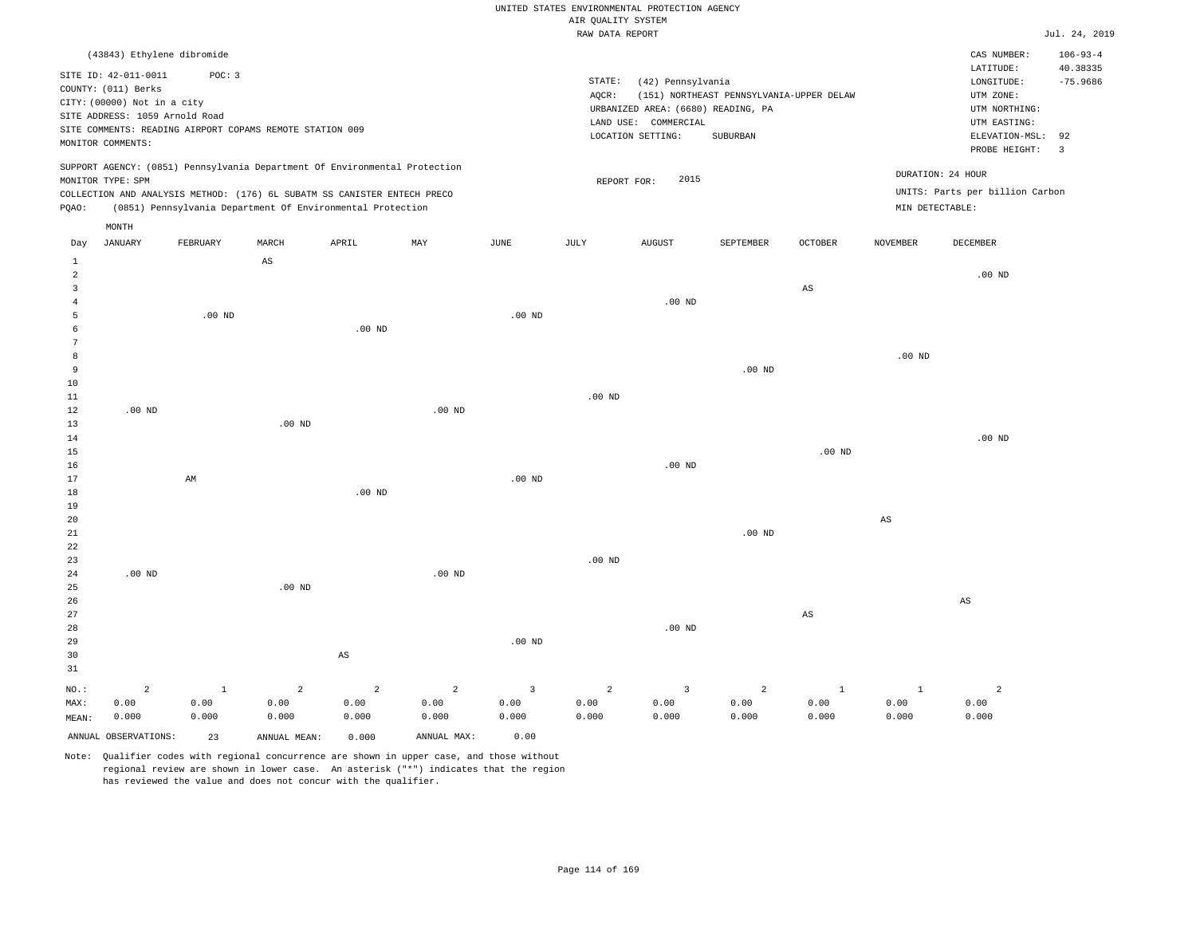|  | RAW DATA REPORT |  |
|--|-----------------|--|

|                     |                                                                            |                   |                                                            |                   |                |                | RAW DATA REPORT |                                    |                                          |                |                 |                                 | Jul. 24, 2019                 |
|---------------------|----------------------------------------------------------------------------|-------------------|------------------------------------------------------------|-------------------|----------------|----------------|-----------------|------------------------------------|------------------------------------------|----------------|-----------------|---------------------------------|-------------------------------|
|                     | (43843) Ethylene dibromide                                                 |                   |                                                            |                   |                |                |                 |                                    |                                          |                |                 | CAS NUMBER:                     | $106 - 93 - 4$                |
|                     | SITE ID: 42-011-0011                                                       | POC: 3            |                                                            |                   |                |                |                 |                                    |                                          |                |                 | LATITUDE:                       | 40.38335                      |
|                     | COUNTY: (011) Berks                                                        |                   |                                                            |                   |                |                | STATE:          | (42) Pennsylvania                  |                                          |                |                 | LONGITUDE:                      | $-75.9686$                    |
|                     | CITY: (00000) Not in a city                                                |                   |                                                            |                   |                |                | AQCR:           |                                    | (151) NORTHEAST PENNSYLVANIA-UPPER DELAW |                |                 | UTM ZONE:                       |                               |
|                     | SITE ADDRESS: 1059 Arnold Road                                             |                   |                                                            |                   |                |                |                 | URBANIZED AREA: (6680) READING, PA |                                          |                |                 | UTM NORTHING:                   |                               |
|                     | SITE COMMENTS: READING AIRPORT COPAMS REMOTE STATION 009                   |                   |                                                            |                   |                |                |                 | LAND USE: COMMERCIAL               |                                          |                |                 | UTM EASTING:                    |                               |
|                     | MONITOR COMMENTS:                                                          |                   |                                                            |                   |                |                |                 | LOCATION SETTING:                  | SUBURBAN                                 |                |                 | ELEVATION-MSL:<br>PROBE HEIGHT: | 92<br>$\overline{\mathbf{3}}$ |
|                     | SUPPORT AGENCY: (0851) Pennsylvania Department Of Environmental Protection |                   |                                                            |                   |                |                |                 |                                    |                                          |                |                 |                                 |                               |
|                     | MONITOR TYPE: SPM                                                          |                   |                                                            |                   |                |                | REPORT FOR:     | 2015                               |                                          |                |                 | DURATION: 24 HOUR               |                               |
|                     | COLLECTION AND ANALYSIS METHOD: (176) 6L SUBATM SS CANISTER ENTECH PRECO   |                   |                                                            |                   |                |                |                 |                                    |                                          |                |                 | UNITS: Parts per billion Carbon |                               |
| PQAO:               |                                                                            |                   | (0851) Pennsylvania Department Of Environmental Protection |                   |                |                |                 |                                    |                                          |                | MIN DETECTABLE: |                                 |                               |
|                     | MONTH                                                                      |                   |                                                            |                   |                |                |                 |                                    |                                          |                |                 |                                 |                               |
| Day                 | <b>JANUARY</b>                                                             | FEBRUARY          | MARCH                                                      | APRIL             | MAY            | $_{\rm JUNE}$  | <b>JULY</b>     | <b>AUGUST</b>                      | SEPTEMBER                                | <b>OCTOBER</b> | <b>NOVEMBER</b> | DECEMBER                        |                               |
| $\mathbf{1}$        |                                                                            |                   | $_{\rm AS}$                                                |                   |                |                |                 |                                    |                                          |                |                 |                                 |                               |
| $\overline{a}$      |                                                                            |                   |                                                            |                   |                |                |                 |                                    |                                          |                |                 | $.00$ ND                        |                               |
| 3                   |                                                                            |                   |                                                            |                   |                |                |                 | $.00$ ND                           |                                          | AS             |                 |                                 |                               |
| $\overline{4}$<br>5 |                                                                            | .00 <sub>ND</sub> |                                                            |                   |                | $.00$ ND       |                 |                                    |                                          |                |                 |                                 |                               |
| 6                   |                                                                            |                   |                                                            | $.00$ ND          |                |                |                 |                                    |                                          |                |                 |                                 |                               |
| 7                   |                                                                            |                   |                                                            |                   |                |                |                 |                                    |                                          |                |                 |                                 |                               |
| 8                   |                                                                            |                   |                                                            |                   |                |                |                 |                                    |                                          |                | $.00$ ND        |                                 |                               |
| 9                   |                                                                            |                   |                                                            |                   |                |                |                 |                                    | $.00$ ND                                 |                |                 |                                 |                               |
| 10                  |                                                                            |                   |                                                            |                   |                |                |                 |                                    |                                          |                |                 |                                 |                               |
| 11                  |                                                                            |                   |                                                            |                   |                |                | $.00$ ND        |                                    |                                          |                |                 |                                 |                               |
| 12                  | $.00$ ND                                                                   |                   |                                                            |                   | $.00$ ND       |                |                 |                                    |                                          |                |                 |                                 |                               |
| 13                  |                                                                            |                   | $.00$ ND                                                   |                   |                |                |                 |                                    |                                          |                |                 |                                 |                               |
| 14                  |                                                                            |                   |                                                            |                   |                |                |                 |                                    |                                          |                |                 | $.00$ ND                        |                               |
| 15                  |                                                                            |                   |                                                            |                   |                |                |                 |                                    |                                          | $.00$ ND       |                 |                                 |                               |
| 16                  |                                                                            |                   |                                                            |                   |                |                |                 | $.00$ ND                           |                                          |                |                 |                                 |                               |
| 17<br>18            |                                                                            | AM                |                                                            | .00 <sub>ND</sub> |                | $.00$ ND       |                 |                                    |                                          |                |                 |                                 |                               |
| 19                  |                                                                            |                   |                                                            |                   |                |                |                 |                                    |                                          |                |                 |                                 |                               |
| 20                  |                                                                            |                   |                                                            |                   |                |                |                 |                                    |                                          |                | AS              |                                 |                               |
| 21                  |                                                                            |                   |                                                            |                   |                |                |                 |                                    | .00 <sub>ND</sub>                        |                |                 |                                 |                               |
| 22                  |                                                                            |                   |                                                            |                   |                |                |                 |                                    |                                          |                |                 |                                 |                               |
| 23                  |                                                                            |                   |                                                            |                   |                |                | $.00$ ND        |                                    |                                          |                |                 |                                 |                               |
| 24                  | $.00$ ND                                                                   |                   |                                                            |                   | $.00$ ND       |                |                 |                                    |                                          |                |                 |                                 |                               |
| 25                  |                                                                            |                   | $.00$ ND                                                   |                   |                |                |                 |                                    |                                          |                |                 |                                 |                               |
| 26                  |                                                                            |                   |                                                            |                   |                |                |                 |                                    |                                          |                |                 | $\mathbb{A}\mathbb{S}$          |                               |
| 27                  |                                                                            |                   |                                                            |                   |                |                |                 |                                    |                                          | AS             |                 |                                 |                               |
| 28                  |                                                                            |                   |                                                            |                   |                |                |                 | $.00$ ND                           |                                          |                |                 |                                 |                               |
| 29                  |                                                                            |                   |                                                            |                   |                | $.00$ ND       |                 |                                    |                                          |                |                 |                                 |                               |
| 30                  |                                                                            |                   |                                                            | $_{\rm AS}$       |                |                |                 |                                    |                                          |                |                 |                                 |                               |
| 31                  |                                                                            |                   |                                                            |                   |                |                |                 |                                    |                                          |                |                 |                                 |                               |
| NO.:                | $\overline{a}$                                                             | $\mathbf{1}$      | $\overline{a}$                                             | $\overline{a}$    | $\overline{a}$ | $\overline{3}$ | $\overline{a}$  | $\overline{3}$                     | $\overline{a}$                           | $1\,$          | $\mathbf{1}$    | $\overline{a}$                  |                               |
| MAX:                | 0.00                                                                       | 0.00              | 0.00                                                       | 0.00              | 0.00           | 0.00           | 0.00            | 0.00                               | 0.00                                     | 0.00           | 0.00            | 0.00                            |                               |
| MEAN:               | 0.000                                                                      | 0.000             | 0.000                                                      | 0.000             | 0.000          | 0.000          | 0.000           | 0.000                              | 0.000                                    | 0.000          | 0.000           | 0.000                           |                               |
|                     | ANNUAL OBSERVATIONS:                                                       | 23                | ANNUAL MEAN:                                               | 0.000             | ANNUAL MAX:    | 0.00           |                 |                                    |                                          |                |                 |                                 |                               |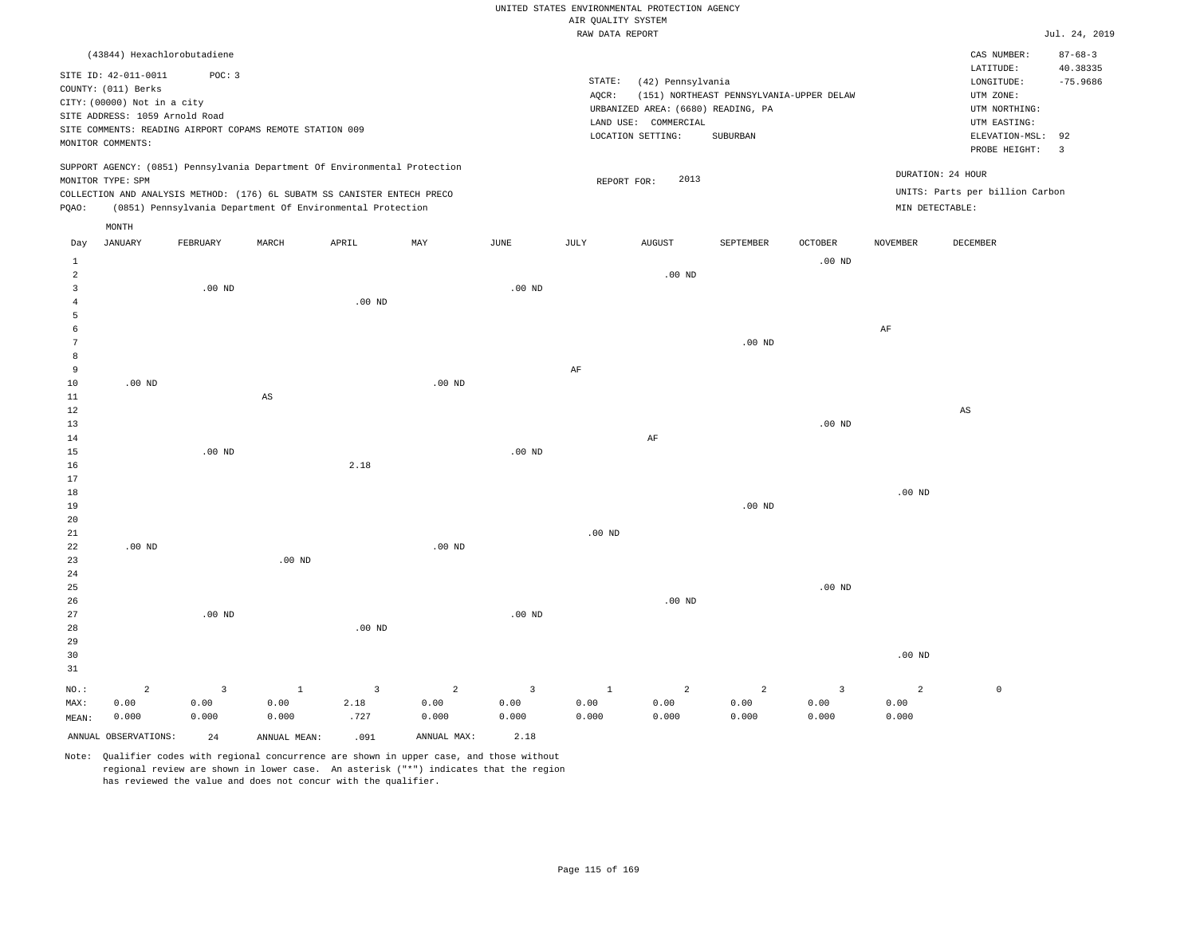|                                                                                                                                                                                                         | UNITED STATES ENVIRONMENTAL PROTECTION AGENCY                                                                                                                                      |                                                                      |
|---------------------------------------------------------------------------------------------------------------------------------------------------------------------------------------------------------|------------------------------------------------------------------------------------------------------------------------------------------------------------------------------------|----------------------------------------------------------------------|
|                                                                                                                                                                                                         | AIR OUALITY SYSTEM                                                                                                                                                                 |                                                                      |
|                                                                                                                                                                                                         | RAW DATA REPORT                                                                                                                                                                    |                                                                      |
| (43844) Hexachlorobutadiene                                                                                                                                                                             |                                                                                                                                                                                    | CAS                                                                  |
| SITE ID: 42-011-0011<br>POC: 3<br>COUNTY: (011) Berks<br>CITY: (00000) Not in a city<br>SITE ADDRESS: 1059 Arnold Road<br>SITE COMMENTS: READING AIRPORT COPAMS REMOTE STATION 009<br>MONITOR COMMENTS: | STATE:<br>(42) Pennsylvania<br>(151) NORTHEAST PENNSYLVANIA-UPPER DELAW<br>AOCR:<br>URBANIZED AREA: (6680) READING, PA<br>LAND USE:<br>COMMERCIAL<br>LOCATION SETTING:<br>SUBURBAN | LAT:<br>LON <sup>(</sup><br>UTM<br>UTM<br>UTM<br><b>ELEV</b><br>PROI |
| SUPPORT AGENCY: (0851) Pennsylvania Department Of Environmental Protection<br>MONITOR TYPE: SPM                                                                                                         | 2013<br>REPORT FOR:                                                                                                                                                                | DURATION: 24 HOUR                                                    |

Jul. 24, 2019

CAS NUMBER: 87-68-3

LONGITUDE: -75.9686 LATITUDE: 40.38335

PROBE HEIGHT: 3 ELEVATION-MSL: 92

UTM NORTHING: UTM EASTING:

UTM ZONE:

UNITS: Parts per billion Carbon

MONITOR TYPE: SPM COLLECTION AND ANALYSIS METHOD: (176) 6L SUBATM SS CANISTER ENTECH PRECO PQAO: (0851) Pennsylvania Department Of Environmental Protection MIN DETECTABLE:

|                | MONTH          |          |                        |          |          |          |                   |                |                   |                   |           |                        |
|----------------|----------------|----------|------------------------|----------|----------|----------|-------------------|----------------|-------------------|-------------------|-----------|------------------------|
| Day            | <b>JANUARY</b> | FEBRUARY | MARCH                  | APRIL    | MAY      | JUNE     | JULY              | ${\tt AUGUST}$ | SEPTEMBER         | OCTOBER           | NOVEMBER  | DECEMBER               |
| $\mathbf{1}$   |                |          |                        |          |          |          |                   |                |                   | .00 $ND$          |           |                        |
| $\overline{c}$ |                |          |                        |          |          |          |                   | $.00$ ND       |                   |                   |           |                        |
| 3              |                | .00 $ND$ |                        |          |          | $.00$ ND |                   |                |                   |                   |           |                        |
| $\overline{4}$ |                |          |                        | $.00$ ND |          |          |                   |                |                   |                   |           |                        |
| 5              |                |          |                        |          |          |          |                   |                |                   |                   |           |                        |
| 6              |                |          |                        |          |          |          |                   |                |                   |                   | $\rm{AF}$ |                        |
| 7              |                |          |                        |          |          |          |                   |                | .00 <sub>ND</sub> |                   |           |                        |
| 8              |                |          |                        |          |          |          |                   |                |                   |                   |           |                        |
| 9              |                |          |                        |          |          |          | AF                |                |                   |                   |           |                        |
| 10             | $.00$ ND       |          |                        |          | $.00$ ND |          |                   |                |                   |                   |           |                        |
| 11             |                |          | $\mathbb{A}\mathbb{S}$ |          |          |          |                   |                |                   |                   |           |                        |
| 12             |                |          |                        |          |          |          |                   |                |                   |                   |           | $\mathbb{A}\mathbb{S}$ |
| $13$           |                |          |                        |          |          |          |                   |                |                   | $.00~\mathrm{ND}$ |           |                        |
| 14             |                |          |                        |          |          |          |                   | $\rm AF$       |                   |                   |           |                        |
| $15\,$         |                | $.00$ ND |                        |          |          | .00 $ND$ |                   |                |                   |                   |           |                        |
| 16             |                |          |                        | 2.18     |          |          |                   |                |                   |                   |           |                        |
| 17<br>$1\,8$   |                |          |                        |          |          |          |                   |                |                   |                   | $.00$ ND  |                        |
| 19             |                |          |                        |          |          |          |                   |                | .00 $ND$          |                   |           |                        |
| 20             |                |          |                        |          |          |          |                   |                |                   |                   |           |                        |
| 21             |                |          |                        |          |          |          | $.00~\mathrm{ND}$ |                |                   |                   |           |                        |
| 22             | $.00$ ND       |          |                        |          | .00 $ND$ |          |                   |                |                   |                   |           |                        |
| 23             |                |          | .00 <sub>ND</sub>      |          |          |          |                   |                |                   |                   |           |                        |
| 24             |                |          |                        |          |          |          |                   |                |                   |                   |           |                        |
| 25             |                |          |                        |          |          |          |                   |                |                   | $.00$ ND          |           |                        |
| 26             |                |          |                        |          |          |          |                   | $.00$ ND       |                   |                   |           |                        |

|       |       |          |       |          |       |          |       | .     |       |       |          |  |
|-------|-------|----------|-------|----------|-------|----------|-------|-------|-------|-------|----------|--|
| 27    |       | $.00$ ND |       |          |       | $.00$ ND |       |       |       |       |          |  |
| 28    |       |          |       | $.00$ ND |       |          |       |       |       |       |          |  |
| 29    |       |          |       |          |       |          |       |       |       |       |          |  |
| 30    |       |          |       |          |       |          |       |       |       |       | $.00$ ND |  |
| 31    |       |          |       |          |       |          |       |       |       |       |          |  |
| NO.:  | 2     |          |       |          | 2     |          |       | 2     | 2     |       | 2        |  |
| MAX:  | 0.00  | 0.00     | 0.00  | 2.18     | 0.00  | 0.00     | 0.00  | 0.00  | 0.00  | 0.00  | 0.00     |  |
| MEAN: | 0.000 | 0.000    | 0.000 | .727     | 0.000 | 0.000    | 0.000 | 0.000 | 0.000 | 0.000 | 0.000    |  |

ANNUAL OBSERVATIONS: 24 ANNUAL MEAN: .091 ANNUAL MAX: 2.18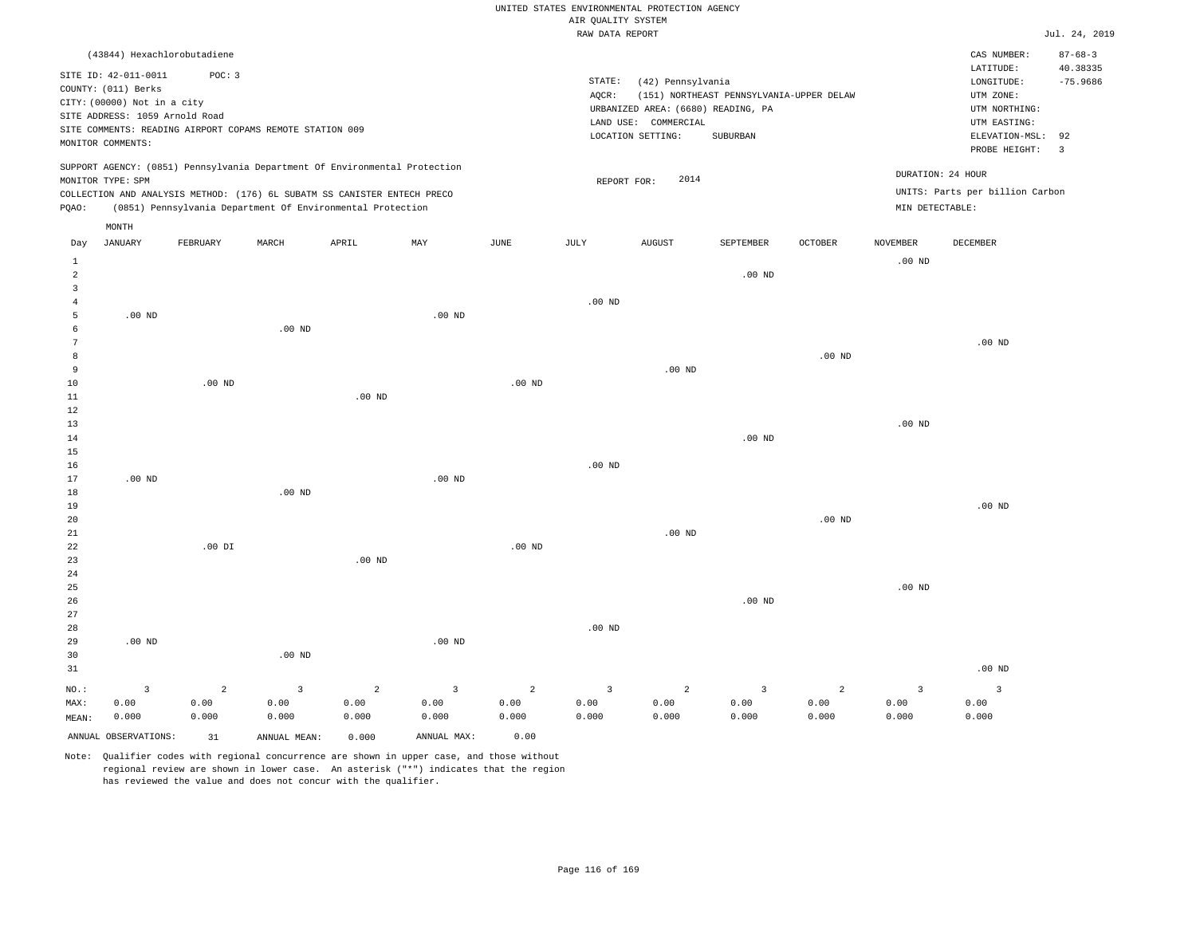|                   |                                |               |                                                                            |                |                         |                   |                    | UNITED STATES ENVIRONMENTAL PROTECTION AGENCY              |                                          |                   |                   |                                 |                |
|-------------------|--------------------------------|---------------|----------------------------------------------------------------------------|----------------|-------------------------|-------------------|--------------------|------------------------------------------------------------|------------------------------------------|-------------------|-------------------|---------------------------------|----------------|
|                   |                                |               |                                                                            |                |                         |                   | AIR OUALITY SYSTEM |                                                            |                                          |                   |                   |                                 |                |
|                   |                                |               |                                                                            |                |                         |                   | RAW DATA REPORT    |                                                            |                                          |                   |                   |                                 | Jul. 24, 2019  |
|                   | (43844) Hexachlorobutadiene    |               |                                                                            |                |                         |                   |                    |                                                            |                                          |                   |                   | CAS NUMBER:                     | $87 - 68 - 3$  |
|                   | SITE ID: 42-011-0011           | POC: 3        |                                                                            |                |                         |                   |                    |                                                            |                                          |                   |                   | LATITUDE:                       | 40.38335       |
|                   | COUNTY: (011) Berks            |               |                                                                            |                |                         |                   | STATE:             | (42) Pennsylvania                                          |                                          |                   |                   | LONGITUDE:                      | $-75.9686$     |
|                   | CITY: (00000) Not in a city    |               |                                                                            |                |                         |                   | AQCR:              |                                                            | (151) NORTHEAST PENNSYLVANIA-UPPER DELAW |                   |                   | UTM ZONE:                       |                |
|                   | SITE ADDRESS: 1059 Arnold Road |               |                                                                            |                |                         |                   |                    | URBANIZED AREA: (6680) READING, PA<br>LAND USE: COMMERCIAL |                                          |                   |                   | UTM NORTHING:<br>UTM EASTING:   |                |
|                   |                                |               | SITE COMMENTS: READING AIRPORT COPAMS REMOTE STATION 009                   |                |                         |                   |                    | LOCATION SETTING:                                          | SUBURBAN                                 |                   |                   | ELEVATION-MSL:                  | 92             |
|                   | MONITOR COMMENTS:              |               |                                                                            |                |                         |                   |                    |                                                            |                                          |                   |                   | PROBE HEIGHT:                   | $\overline{3}$ |
|                   |                                |               | SUPPORT AGENCY: (0851) Pennsylvania Department Of Environmental Protection |                |                         |                   |                    |                                                            |                                          |                   |                   |                                 |                |
|                   | MONITOR TYPE: SPM              |               |                                                                            |                |                         |                   | REPORT FOR:        | 2014                                                       |                                          |                   |                   | DURATION: 24 HOUR               |                |
|                   |                                |               | COLLECTION AND ANALYSIS METHOD: (176) 6L SUBATM SS CANISTER ENTECH PRECO   |                |                         |                   |                    |                                                            |                                          |                   |                   | UNITS: Parts per billion Carbon |                |
| PQAO:             |                                |               | (0851) Pennsylvania Department Of Environmental Protection                 |                |                         |                   |                    |                                                            |                                          |                   | MIN DETECTABLE:   |                                 |                |
|                   | MONTH                          |               |                                                                            |                |                         |                   |                    |                                                            |                                          |                   |                   |                                 |                |
| Day               | <b>JANUARY</b>                 | FEBRUARY      | MARCH                                                                      | APRIL          | MAY                     | <b>JUNE</b>       | JULY               | <b>AUGUST</b>                                              | SEPTEMBER                                | <b>OCTOBER</b>    | <b>NOVEMBER</b>   | DECEMBER                        |                |
| $\mathbf{1}$<br>2 |                                |               |                                                                            |                |                         |                   |                    |                                                            | $.00$ ND                                 |                   | $.00$ ND          |                                 |                |
| $\overline{3}$    |                                |               |                                                                            |                |                         |                   |                    |                                                            |                                          |                   |                   |                                 |                |
| 4                 |                                |               |                                                                            |                |                         |                   | .00 <sub>ND</sub>  |                                                            |                                          |                   |                   |                                 |                |
| 5                 | .00 <sub>ND</sub>              |               |                                                                            |                | .00 <sub>ND</sub>       |                   |                    |                                                            |                                          |                   |                   |                                 |                |
| 6                 |                                |               | .00 <sub>ND</sub>                                                          |                |                         |                   |                    |                                                            |                                          |                   |                   |                                 |                |
| 7                 |                                |               |                                                                            |                |                         |                   |                    |                                                            |                                          |                   |                   | $.00$ ND                        |                |
| 8                 |                                |               |                                                                            |                |                         |                   |                    |                                                            |                                          | .00 <sub>ND</sub> |                   |                                 |                |
| 9                 |                                |               |                                                                            |                |                         |                   |                    | .00 <sub>ND</sub>                                          |                                          |                   |                   |                                 |                |
| 10<br>$11\,$      |                                | $.00$ ND      |                                                                            | $.00$ ND       |                         | .00 <sub>ND</sub> |                    |                                                            |                                          |                   |                   |                                 |                |
| 12                |                                |               |                                                                            |                |                         |                   |                    |                                                            |                                          |                   |                   |                                 |                |
| 13                |                                |               |                                                                            |                |                         |                   |                    |                                                            |                                          |                   | .00 <sub>ND</sub> |                                 |                |
| 14                |                                |               |                                                                            |                |                         |                   |                    |                                                            | $.00$ ND                                 |                   |                   |                                 |                |
| 15                |                                |               |                                                                            |                |                         |                   |                    |                                                            |                                          |                   |                   |                                 |                |
| 16                |                                |               |                                                                            |                |                         |                   | $.00$ ND           |                                                            |                                          |                   |                   |                                 |                |
| 17                | $.00$ ND                       |               |                                                                            |                | $.00$ ND                |                   |                    |                                                            |                                          |                   |                   |                                 |                |
| 18                |                                |               | $.00$ ND                                                                   |                |                         |                   |                    |                                                            |                                          |                   |                   |                                 |                |
| 19                |                                |               |                                                                            |                |                         |                   |                    |                                                            |                                          | $.00$ ND          |                   | .00 <sub>ND</sub>               |                |
| 20<br>21          |                                |               |                                                                            |                |                         |                   |                    | $.00$ ND                                                   |                                          |                   |                   |                                 |                |
| 22                |                                | $.00$ DI      |                                                                            |                |                         | $.00$ ND          |                    |                                                            |                                          |                   |                   |                                 |                |
| 23                |                                |               |                                                                            | $.00$ ND       |                         |                   |                    |                                                            |                                          |                   |                   |                                 |                |
| 24                |                                |               |                                                                            |                |                         |                   |                    |                                                            |                                          |                   |                   |                                 |                |
| 25                |                                |               |                                                                            |                |                         |                   |                    |                                                            |                                          |                   | $.00$ ND          |                                 |                |
| 26                |                                |               |                                                                            |                |                         |                   |                    |                                                            | $.00$ ND                                 |                   |                   |                                 |                |
| 27                |                                |               |                                                                            |                |                         |                   |                    |                                                            |                                          |                   |                   |                                 |                |
| $2\,8$            |                                |               |                                                                            |                |                         |                   | .00 <sub>ND</sub>  |                                                            |                                          |                   |                   |                                 |                |
| 29<br>30          | .00 <sub>ND</sub>              |               | .00 <sub>ND</sub>                                                          |                | $.00$ ND                |                   |                    |                                                            |                                          |                   |                   |                                 |                |
| 31                |                                |               |                                                                            |                |                         |                   |                    |                                                            |                                          |                   |                   | $.00$ ND                        |                |
|                   |                                |               |                                                                            |                |                         |                   |                    |                                                            |                                          |                   |                   |                                 |                |
| $NO.$ :           | $\overline{\mathbf{3}}$        | 2             | $\overline{3}$                                                             | $\overline{a}$ | $\overline{\mathbf{3}}$ | $\overline{a}$    | $\overline{3}$     | $\overline{a}$                                             | $\overline{3}$                           | $\overline{a}$    | $\overline{3}$    | $\overline{3}$                  |                |
| MAX:<br>MEAN:     | 0.00<br>0.000                  | 0.00<br>0.000 | 0.00<br>0.000                                                              | 0.00<br>0.000  | 0.00<br>0.000           | 0.00<br>0.000     | 0.00<br>0.000      | 0.00<br>0.000                                              | 0.00<br>0.000                            | 0.00<br>0.000     | 0.00<br>0.000     | 0.00<br>0.000                   |                |
|                   |                                |               |                                                                            |                |                         |                   |                    |                                                            |                                          |                   |                   |                                 |                |
|                   | ANNUAL OBSERVATIONS:           | 31            | ANNUAL, MEAN:                                                              | 0.000          | ANNUAL MAX:             | 0.00              |                    |                                                            |                                          |                   |                   |                                 |                |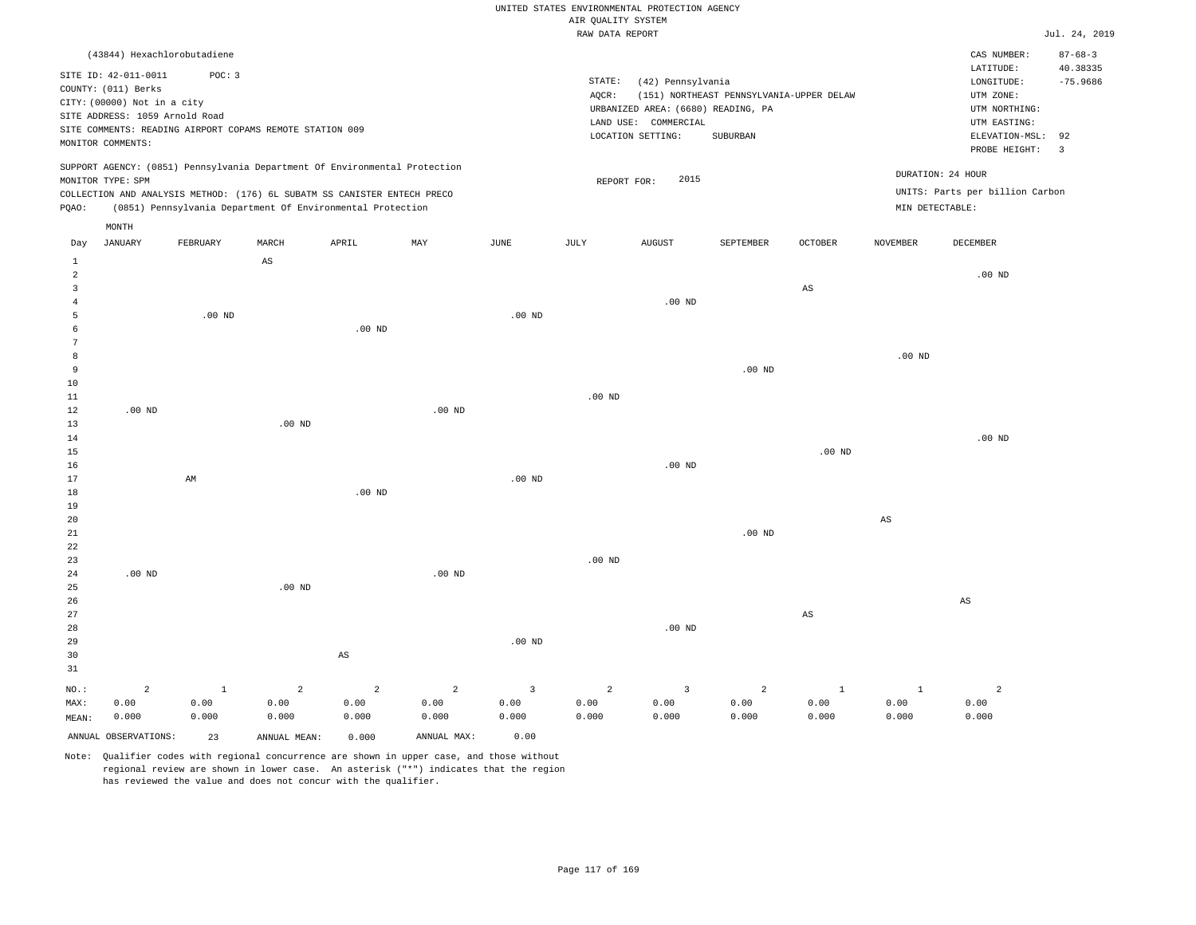|  | RAW DATA REPORT<br>$\sim$ $\sim$ |
|--|----------------------------------|

|                     |                                                                            |                   |                |                                                            |                |                   | RAW DATA REPORT    |                                    |                                          |                        |                   |                                 | Jul. 24, 2019  |
|---------------------|----------------------------------------------------------------------------|-------------------|----------------|------------------------------------------------------------|----------------|-------------------|--------------------|------------------------------------|------------------------------------------|------------------------|-------------------|---------------------------------|----------------|
|                     | (43844) Hexachlorobutadiene                                                |                   |                |                                                            |                |                   |                    |                                    |                                          |                        |                   | CAS NUMBER:                     | $87 - 68 - 3$  |
|                     | SITE ID: 42-011-0011                                                       | POC: 3            |                |                                                            |                |                   |                    |                                    |                                          |                        |                   | LATITUDE:                       | 40.38335       |
|                     | COUNTY: (011) Berks                                                        |                   |                |                                                            |                |                   | $\texttt{STATE}$ : | (42) Pennsylvania                  |                                          |                        |                   | LONGITUDE:                      | $-75.9686$     |
|                     | CITY: (00000) Not in a city                                                |                   |                |                                                            |                |                   | AQCR:              |                                    | (151) NORTHEAST PENNSYLVANIA-UPPER DELAW |                        |                   | UTM ZONE:                       |                |
|                     | SITE ADDRESS: 1059 Arnold Road                                             |                   |                |                                                            |                |                   |                    | URBANIZED AREA: (6680) READING, PA |                                          |                        |                   | UTM NORTHING:                   |                |
|                     | SITE COMMENTS: READING AIRPORT COPAMS REMOTE STATION 009                   |                   |                |                                                            |                |                   |                    | LAND USE: COMMERCIAL               |                                          |                        |                   | UTM EASTING:                    |                |
|                     | MONITOR COMMENTS:                                                          |                   |                |                                                            |                |                   |                    | LOCATION SETTING:                  | SUBURBAN                                 |                        |                   | ELEVATION-MSL:                  | 92             |
|                     |                                                                            |                   |                |                                                            |                |                   |                    |                                    |                                          |                        |                   | PROBE HEIGHT:                   | $\overline{3}$ |
|                     | SUPPORT AGENCY: (0851) Pennsylvania Department Of Environmental Protection |                   |                |                                                            |                |                   |                    |                                    |                                          |                        |                   | DURATION: 24 HOUR               |                |
|                     | MONITOR TYPE: SPM                                                          |                   |                |                                                            |                |                   | REPORT FOR:        | 2015                               |                                          |                        |                   | UNITS: Parts per billion Carbon |                |
| PQAO:               | COLLECTION AND ANALYSIS METHOD: (176) 6L SUBATM SS CANISTER ENTECH PRECO   |                   |                | (0851) Pennsylvania Department Of Environmental Protection |                |                   |                    |                                    |                                          |                        | MIN DETECTABLE:   |                                 |                |
|                     |                                                                            |                   |                |                                                            |                |                   |                    |                                    |                                          |                        |                   |                                 |                |
|                     | $\texttt{MONTH}$                                                           |                   |                |                                                            |                |                   |                    |                                    |                                          |                        |                   |                                 |                |
| Day                 | <b>JANUARY</b>                                                             | FEBRUARY          | MARCH          | APRIL                                                      | MAY            | JUNE              | JULY               | <b>AUGUST</b>                      | SEPTEMBER                                | <b>OCTOBER</b>         | <b>NOVEMBER</b>   | DECEMBER                        |                |
| $\mathbf{1}$        |                                                                            |                   | AS             |                                                            |                |                   |                    |                                    |                                          |                        |                   |                                 |                |
| $\overline{a}$      |                                                                            |                   |                |                                                            |                |                   |                    |                                    |                                          |                        |                   | $.00$ ND                        |                |
| $\overline{3}$      |                                                                            |                   |                |                                                            |                |                   |                    |                                    |                                          | $_{\rm AS}$            |                   |                                 |                |
| $\overline{4}$<br>5 |                                                                            |                   |                |                                                            |                |                   |                    | $.00$ ND                           |                                          |                        |                   |                                 |                |
| 6                   |                                                                            | .00 <sub>ND</sub> |                | $.00$ ND                                                   |                | $.00$ ND          |                    |                                    |                                          |                        |                   |                                 |                |
| 7                   |                                                                            |                   |                |                                                            |                |                   |                    |                                    |                                          |                        |                   |                                 |                |
| 8                   |                                                                            |                   |                |                                                            |                |                   |                    |                                    |                                          |                        | .00 <sub>ND</sub> |                                 |                |
| 9                   |                                                                            |                   |                |                                                            |                |                   |                    |                                    | $.00$ ND                                 |                        |                   |                                 |                |
| 10                  |                                                                            |                   |                |                                                            |                |                   |                    |                                    |                                          |                        |                   |                                 |                |
| $1\,1$              |                                                                            |                   |                |                                                            |                |                   | .00 <sub>ND</sub>  |                                    |                                          |                        |                   |                                 |                |
| 12                  | .00 <sub>ND</sub>                                                          |                   |                |                                                            | $.00$ ND       |                   |                    |                                    |                                          |                        |                   |                                 |                |
| 13                  |                                                                            |                   | $.00$ ND       |                                                            |                |                   |                    |                                    |                                          |                        |                   |                                 |                |
| 14                  |                                                                            |                   |                |                                                            |                |                   |                    |                                    |                                          |                        |                   | $.00$ ND                        |                |
| 15                  |                                                                            |                   |                |                                                            |                |                   |                    |                                    |                                          | .00 <sub>ND</sub>      |                   |                                 |                |
| 16<br>17            |                                                                            | AM                |                |                                                            |                | $.00$ ND          |                    | $.00$ ND                           |                                          |                        |                   |                                 |                |
| 18                  |                                                                            |                   |                | $.00$ ND                                                   |                |                   |                    |                                    |                                          |                        |                   |                                 |                |
| 19                  |                                                                            |                   |                |                                                            |                |                   |                    |                                    |                                          |                        |                   |                                 |                |
| 20                  |                                                                            |                   |                |                                                            |                |                   |                    |                                    |                                          |                        | $_{\rm AS}$       |                                 |                |
| $21\,$              |                                                                            |                   |                |                                                            |                |                   |                    |                                    | $.00$ ND                                 |                        |                   |                                 |                |
| 22                  |                                                                            |                   |                |                                                            |                |                   |                    |                                    |                                          |                        |                   |                                 |                |
| 23                  |                                                                            |                   |                |                                                            |                |                   | .00 <sub>ND</sub>  |                                    |                                          |                        |                   |                                 |                |
| 24                  | $.00$ ND                                                                   |                   |                |                                                            | $.00$ ND       |                   |                    |                                    |                                          |                        |                   |                                 |                |
| 25                  |                                                                            |                   | $.00$ ND       |                                                            |                |                   |                    |                                    |                                          |                        |                   |                                 |                |
| 26                  |                                                                            |                   |                |                                                            |                |                   |                    |                                    |                                          |                        |                   | $\mathbb{A}\mathbb{S}$          |                |
| 27                  |                                                                            |                   |                |                                                            |                |                   |                    |                                    |                                          | $\mathbb{A}\mathbb{S}$ |                   |                                 |                |
| 28                  |                                                                            |                   |                |                                                            |                |                   |                    | $.00$ ND                           |                                          |                        |                   |                                 |                |
| 29                  |                                                                            |                   |                |                                                            |                | .00 <sub>ND</sub> |                    |                                    |                                          |                        |                   |                                 |                |
| 30<br>31            |                                                                            |                   |                | AS                                                         |                |                   |                    |                                    |                                          |                        |                   |                                 |                |
|                     |                                                                            |                   |                |                                                            |                |                   |                    |                                    |                                          |                        |                   |                                 |                |
| NO.:                | $\overline{a}$                                                             | $\mathbf{1}$      | $\overline{a}$ | $\overline{2}$                                             | $\overline{a}$ | $\overline{3}$    | $\overline{a}$     | 3                                  | $\overline{a}$                           | $\mathbf{1}$           | $\mathbf{1}$      | $\overline{a}$                  |                |
| MAX:                | 0.00                                                                       | 0.00              | 0.00           | 0.00                                                       | 0.00           | 0.00              | 0.00               | 0.00                               | 0.00                                     | 0.00                   | 0.00              | 0.00<br>0.000                   |                |
| MEAN:               | 0.000                                                                      | 0.000             | 0.000          | 0.000                                                      | 0.000          | 0.000             | 0.000              | 0.000                              | 0.000                                    | 0.000                  | 0.000             |                                 |                |
|                     | ANNUAL OBSERVATIONS:                                                       | 23                | ANNUAL MEAN:   | 0.000                                                      | ANNUAL MAX:    | 0.00              |                    |                                    |                                          |                        |                   |                                 |                |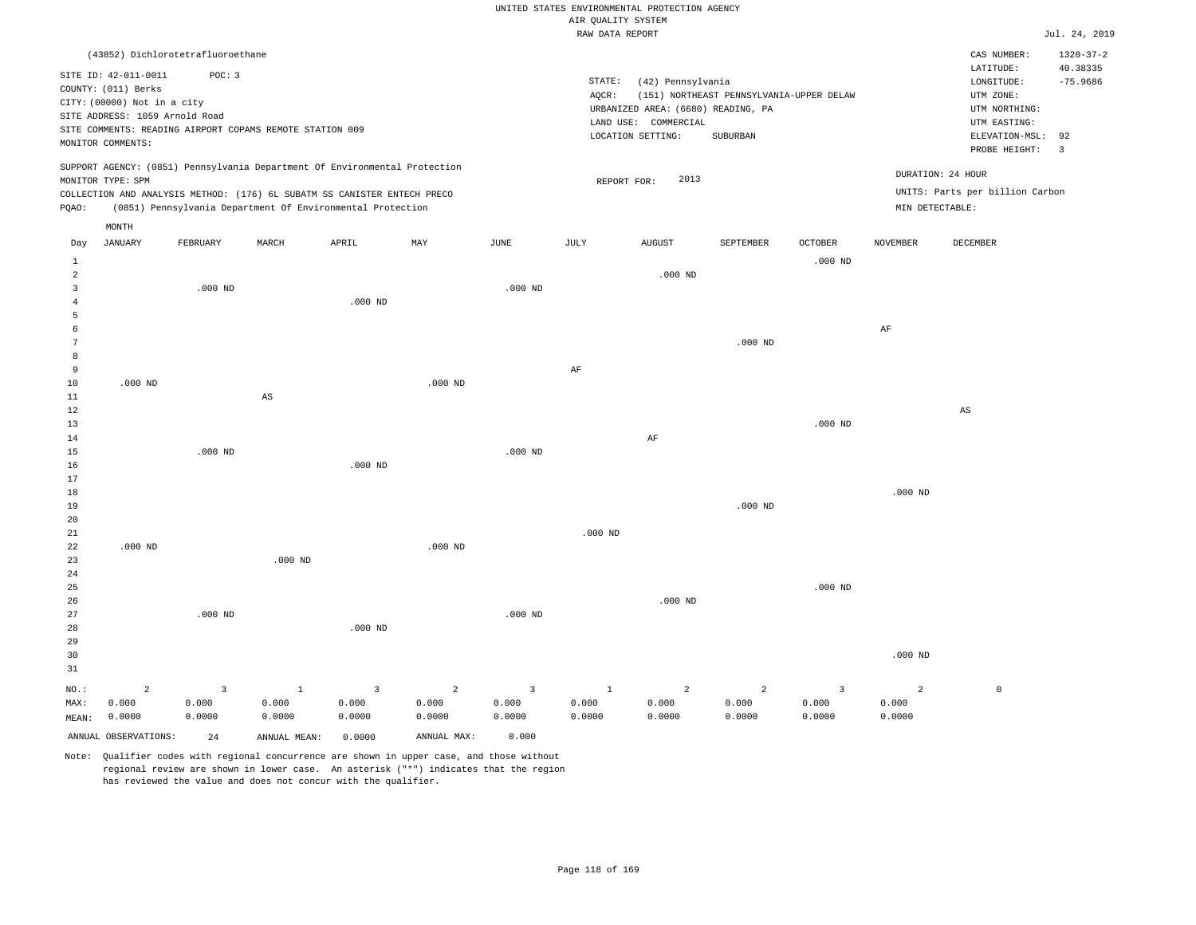|                                  |                                                                                                                                   |           |                                                                                                                                        |                |                |                | AIR QUALITY SYSTEM | UNITED STATES ENVIRONMENTAL PROTECTION AGENCY                                                        |                                                      |                |                 |                                                                                                          |                                                |
|----------------------------------|-----------------------------------------------------------------------------------------------------------------------------------|-----------|----------------------------------------------------------------------------------------------------------------------------------------|----------------|----------------|----------------|--------------------|------------------------------------------------------------------------------------------------------|------------------------------------------------------|----------------|-----------------|----------------------------------------------------------------------------------------------------------|------------------------------------------------|
|                                  |                                                                                                                                   |           |                                                                                                                                        |                |                |                | RAW DATA REPORT    |                                                                                                      |                                                      |                |                 |                                                                                                          | Jul. 24, 2019                                  |
|                                  | (43852) Dichlorotetrafluoroethane                                                                                                 |           |                                                                                                                                        |                |                |                |                    |                                                                                                      |                                                      |                |                 | CAS NUMBER:                                                                                              | $1320 - 37 - 2$                                |
|                                  | SITE ID: 42-011-0011<br>COUNTY: (011) Berks<br>CITY: (00000) Not in a city<br>SITE ADDRESS: 1059 Arnold Road<br>MONITOR COMMENTS: | POC: 3    | SITE COMMENTS: READING AIRPORT COPAMS REMOTE STATION 009                                                                               |                |                |                | STATE:<br>AQCR:    | (42) Pennsylvania<br>URBANIZED AREA: (6680) READING, PA<br>LAND USE: COMMERCIAL<br>LOCATION SETTING: | (151) NORTHEAST PENNSYLVANIA-UPPER DELAW<br>SUBURBAN |                |                 | LATITUDE:<br>LONGITUDE:<br>UTM ZONE:<br>UTM NORTHING:<br>UTM EASTING:<br>ELEVATION-MSL:<br>PROBE HEIGHT: | 40.38335<br>$-75.9686$<br>92<br>$\overline{3}$ |
|                                  |                                                                                                                                   |           | SUPPORT AGENCY: (0851) Pennsylvania Department Of Environmental Protection                                                             |                |                |                |                    |                                                                                                      |                                                      |                |                 | DURATION: 24 HOUR                                                                                        |                                                |
|                                  | MONITOR TYPE: SPM                                                                                                                 |           |                                                                                                                                        |                |                |                | REPORT FOR:        | 2013                                                                                                 |                                                      |                |                 | UNITS: Parts per billion Carbon                                                                          |                                                |
| PQAO:                            |                                                                                                                                   |           | COLLECTION AND ANALYSIS METHOD: (176) 6L SUBATM SS CANISTER ENTECH PRECO<br>(0851) Pennsylvania Department Of Environmental Protection |                |                |                |                    |                                                                                                      |                                                      |                | MIN DETECTABLE: |                                                                                                          |                                                |
|                                  | MONTH                                                                                                                             |           |                                                                                                                                        |                |                |                |                    |                                                                                                      |                                                      |                |                 |                                                                                                          |                                                |
| Day                              | <b>JANUARY</b>                                                                                                                    | FEBRUARY  | MARCH                                                                                                                                  | APRIL          | MAY            | <b>JUNE</b>    | JULY               | <b>AUGUST</b>                                                                                        | SEPTEMBER                                            | <b>OCTOBER</b> | <b>NOVEMBER</b> | <b>DECEMBER</b>                                                                                          |                                                |
| 1                                |                                                                                                                                   |           |                                                                                                                                        |                |                |                |                    |                                                                                                      |                                                      | $.000$ ND      |                 |                                                                                                          |                                                |
| $\overline{a}$<br>$\overline{3}$ |                                                                                                                                   | $.000$ ND |                                                                                                                                        |                |                | $.000$ ND      |                    | $.000$ ND                                                                                            |                                                      |                |                 |                                                                                                          |                                                |
| $\overline{4}$<br>5              |                                                                                                                                   |           |                                                                                                                                        | $.000$ ND      |                |                |                    |                                                                                                      |                                                      |                |                 |                                                                                                          |                                                |
| 6                                |                                                                                                                                   |           |                                                                                                                                        |                |                |                |                    |                                                                                                      |                                                      |                | AF              |                                                                                                          |                                                |
| $\overline{7}$                   |                                                                                                                                   |           |                                                                                                                                        |                |                |                |                    |                                                                                                      | $.000$ ND                                            |                |                 |                                                                                                          |                                                |
| 8<br>9                           |                                                                                                                                   |           |                                                                                                                                        |                |                |                | $\rm AF$           |                                                                                                      |                                                      |                |                 |                                                                                                          |                                                |
| $10$                             | $.000$ ND                                                                                                                         |           |                                                                                                                                        |                | $.000$ ND      |                |                    |                                                                                                      |                                                      |                |                 |                                                                                                          |                                                |
| 11                               |                                                                                                                                   |           | $_{\rm AS}$                                                                                                                            |                |                |                |                    |                                                                                                      |                                                      |                |                 |                                                                                                          |                                                |
| $1\,2$                           |                                                                                                                                   |           |                                                                                                                                        |                |                |                |                    |                                                                                                      |                                                      |                |                 | $\mathbb{A}\mathbb{S}$                                                                                   |                                                |
| 13                               |                                                                                                                                   |           |                                                                                                                                        |                |                |                |                    |                                                                                                      |                                                      | $.000$ ND      |                 |                                                                                                          |                                                |
| $1\,4$                           |                                                                                                                                   |           |                                                                                                                                        |                |                |                |                    | $\rm AF$                                                                                             |                                                      |                |                 |                                                                                                          |                                                |
| 15<br>16                         |                                                                                                                                   | $.000$ ND |                                                                                                                                        | $.000$ ND      |                | $.000$ ND      |                    |                                                                                                      |                                                      |                |                 |                                                                                                          |                                                |
| 17                               |                                                                                                                                   |           |                                                                                                                                        |                |                |                |                    |                                                                                                      |                                                      |                |                 |                                                                                                          |                                                |
| 18                               |                                                                                                                                   |           |                                                                                                                                        |                |                |                |                    |                                                                                                      |                                                      |                | $.000$ ND       |                                                                                                          |                                                |
| 19                               |                                                                                                                                   |           |                                                                                                                                        |                |                |                |                    |                                                                                                      | $.000$ ND                                            |                |                 |                                                                                                          |                                                |
| 20                               |                                                                                                                                   |           |                                                                                                                                        |                |                |                |                    |                                                                                                      |                                                      |                |                 |                                                                                                          |                                                |
| 21                               |                                                                                                                                   |           |                                                                                                                                        |                |                |                | $.000$ ND          |                                                                                                      |                                                      |                |                 |                                                                                                          |                                                |
| 22                               | $.000$ ND                                                                                                                         |           |                                                                                                                                        |                | $.000$ ND      |                |                    |                                                                                                      |                                                      |                |                 |                                                                                                          |                                                |
| 23<br>24                         |                                                                                                                                   |           | $.000$ ND                                                                                                                              |                |                |                |                    |                                                                                                      |                                                      |                |                 |                                                                                                          |                                                |
| 25                               |                                                                                                                                   |           |                                                                                                                                        |                |                |                |                    |                                                                                                      |                                                      | $.000$ ND      |                 |                                                                                                          |                                                |
| 26                               |                                                                                                                                   |           |                                                                                                                                        |                |                |                |                    | $.000$ ND                                                                                            |                                                      |                |                 |                                                                                                          |                                                |
| 27                               |                                                                                                                                   | $.000$ ND |                                                                                                                                        |                |                | $.000$ ND      |                    |                                                                                                      |                                                      |                |                 |                                                                                                          |                                                |
| 28                               |                                                                                                                                   |           |                                                                                                                                        | $.000$ ND      |                |                |                    |                                                                                                      |                                                      |                |                 |                                                                                                          |                                                |
| 29                               |                                                                                                                                   |           |                                                                                                                                        |                |                |                |                    |                                                                                                      |                                                      |                |                 |                                                                                                          |                                                |
| 30                               |                                                                                                                                   |           |                                                                                                                                        |                |                |                |                    |                                                                                                      |                                                      |                | $.000$ ND       |                                                                                                          |                                                |
| 31                               |                                                                                                                                   |           |                                                                                                                                        |                |                |                |                    |                                                                                                      |                                                      |                |                 |                                                                                                          |                                                |
| $NO.$ :                          | $\overline{a}$                                                                                                                    | 3         | $\mathbf{1}$                                                                                                                           | $\overline{3}$ | $\overline{c}$ | $\overline{3}$ | $\mathbf{1}$       | $\overline{a}$                                                                                       | $\overline{a}$                                       | $\overline{3}$ | $\overline{a}$  | $\mathbb O$                                                                                              |                                                |
| MAX:                             | 0.000                                                                                                                             | 0.000     | 0.000                                                                                                                                  | 0.000          | 0.000          | 0.000          | 0.000              | 0.000                                                                                                | 0.000                                                | 0.000          | 0.000           |                                                                                                          |                                                |
| MEAN:                            | 0.0000                                                                                                                            | 0.0000    | 0.0000                                                                                                                                 | 0.0000         | 0.0000         | 0.0000         | 0.0000             | 0.0000                                                                                               | 0.0000                                               | 0.0000         | 0.0000          |                                                                                                          |                                                |
|                                  | ANNUAL OBSERVATIONS:                                                                                                              | 24        | ANNUAL MEAN:                                                                                                                           | 0.0000         | ANNUAL MAX:    | 0.000          |                    |                                                                                                      |                                                      |                |                 |                                                                                                          |                                                |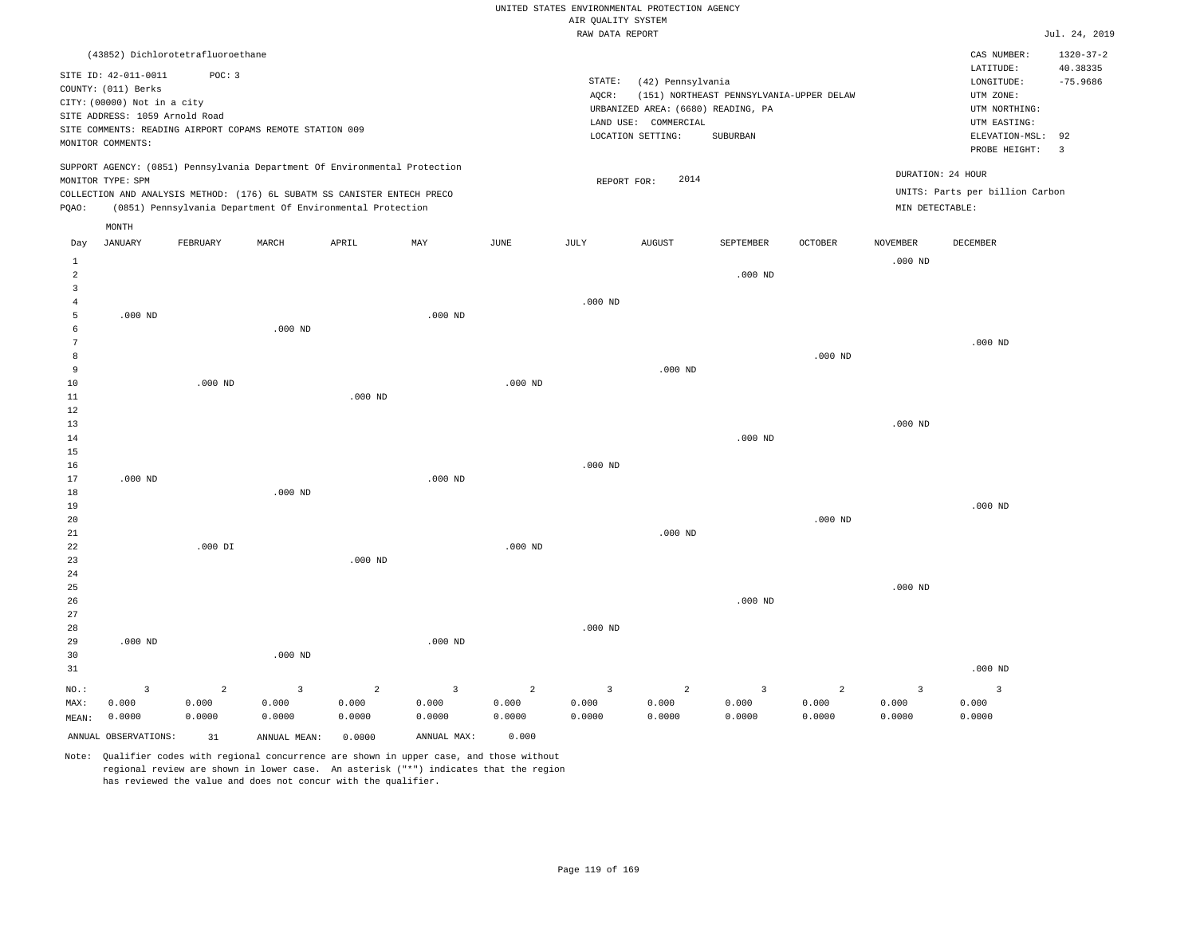|                                                |                                                                                                                                   |                                |                                                                            |                      |                                            |                                   | UNITED STATES ENVIRONMENTAL PROTECTION AGENCY |                                                                                                      |                                                      |                      |                                 |                                                                                                          |                                                         |
|------------------------------------------------|-----------------------------------------------------------------------------------------------------------------------------------|--------------------------------|----------------------------------------------------------------------------|----------------------|--------------------------------------------|-----------------------------------|-----------------------------------------------|------------------------------------------------------------------------------------------------------|------------------------------------------------------|----------------------|---------------------------------|----------------------------------------------------------------------------------------------------------|---------------------------------------------------------|
|                                                |                                                                                                                                   |                                |                                                                            |                      |                                            |                                   | AIR QUALITY SYSTEM<br>RAW DATA REPORT         |                                                                                                      |                                                      |                      |                                 |                                                                                                          | Jul. 24, 2019                                           |
|                                                | (43852) Dichlorotetrafluoroethane                                                                                                 |                                |                                                                            |                      |                                            |                                   |                                               |                                                                                                      |                                                      |                      |                                 | CAS NUMBER:                                                                                              | $1320 - 37 - 2$                                         |
|                                                | SITE ID: 42-011-0011<br>COUNTY: (011) Berks<br>CITY: (00000) Not in a city<br>SITE ADDRESS: 1059 Arnold Road<br>MONITOR COMMENTS: | POC: 3                         | SITE COMMENTS: READING AIRPORT COPAMS REMOTE STATION 009                   |                      |                                            |                                   | STATE:<br>AQCR:                               | (42) Pennsylvania<br>URBANIZED AREA: (6680) READING, PA<br>LAND USE: COMMERCIAL<br>LOCATION SETTING: | (151) NORTHEAST PENNSYLVANIA-UPPER DELAW<br>SUBURBAN |                      |                                 | LATITUDE:<br>LONGITUDE:<br>UTM ZONE:<br>UTM NORTHING:<br>UTM EASTING:<br>ELEVATION-MSL:<br>PROBE HEIGHT: | 40.38335<br>$-75.9686$<br>92<br>$\overline{\mathbf{3}}$ |
|                                                | MONITOR TYPE: SPM                                                                                                                 |                                | SUPPORT AGENCY: (0851) Pennsylvania Department Of Environmental Protection |                      |                                            |                                   | REPORT FOR:                                   | 2014                                                                                                 |                                                      |                      |                                 | DURATION: 24 HOUR                                                                                        |                                                         |
|                                                |                                                                                                                                   |                                | COLLECTION AND ANALYSIS METHOD: (176) 6L SUBATM SS CANISTER ENTECH PRECO   |                      |                                            |                                   |                                               |                                                                                                      |                                                      |                      |                                 | UNITS: Parts per billion Carbon                                                                          |                                                         |
| PQAO:                                          |                                                                                                                                   |                                | (0851) Pennsylvania Department Of Environmental Protection                 |                      |                                            |                                   |                                               |                                                                                                      |                                                      |                      | MIN DETECTABLE:                 |                                                                                                          |                                                         |
|                                                | MONTH                                                                                                                             |                                |                                                                            |                      |                                            |                                   |                                               |                                                                                                      |                                                      |                      |                                 |                                                                                                          |                                                         |
| Day                                            | <b>JANUARY</b>                                                                                                                    | FEBRUARY                       | MARCH                                                                      | APRIL                | MAY                                        | JUNE                              | JULY                                          | <b>AUGUST</b>                                                                                        | SEPTEMBER                                            | OCTOBER              | NOVEMBER                        | DECEMBER                                                                                                 |                                                         |
| 1<br>$\overline{a}$<br>$\overline{\mathbf{3}}$ |                                                                                                                                   |                                |                                                                            |                      |                                            |                                   |                                               |                                                                                                      | $.000$ ND                                            |                      | $.000$ ND                       |                                                                                                          |                                                         |
| $\overline{4}$<br>5<br>6                       | $.000$ ND                                                                                                                         |                                | $.000$ ND                                                                  |                      | $.000$ ND                                  |                                   | $.000$ ND                                     |                                                                                                      |                                                      |                      |                                 |                                                                                                          |                                                         |
| $\overline{7}$<br>8                            |                                                                                                                                   |                                |                                                                            |                      |                                            |                                   |                                               |                                                                                                      |                                                      | $.000$ ND            |                                 | $.000$ ND                                                                                                |                                                         |
| 9<br>10<br>$1\,1$                              |                                                                                                                                   | $.000$ ND                      |                                                                            | $.000$ ND            |                                            | $.000$ ND                         |                                               | $.000$ ND                                                                                            |                                                      |                      |                                 |                                                                                                          |                                                         |
| 12<br>13<br>14                                 |                                                                                                                                   |                                |                                                                            |                      |                                            |                                   |                                               |                                                                                                      | $.000$ ND                                            |                      | $.000$ ND                       |                                                                                                          |                                                         |
| 15<br>16<br>17                                 | $.000$ ND                                                                                                                         |                                |                                                                            |                      | $.000$ ND                                  |                                   | $.000$ ND                                     |                                                                                                      |                                                      |                      |                                 |                                                                                                          |                                                         |
| 18<br>19<br>20                                 |                                                                                                                                   |                                | $.000$ ND                                                                  |                      |                                            |                                   |                                               |                                                                                                      |                                                      | $.000$ ND            |                                 | $.000$ ND                                                                                                |                                                         |
| 21<br>22<br>23                                 |                                                                                                                                   | $.000$ DI                      |                                                                            | $.000$ ND            |                                            | $.000$ ND                         |                                               | $.000$ ND                                                                                            |                                                      |                      |                                 |                                                                                                          |                                                         |
| $2\sqrt{4}$<br>25<br>26<br>27                  |                                                                                                                                   |                                |                                                                            |                      |                                            |                                   |                                               |                                                                                                      | $.000$ ND                                            |                      | $.000$ ND                       |                                                                                                          |                                                         |
| 28<br>29<br>30                                 | $.000$ ND                                                                                                                         |                                | $.000$ ND                                                                  |                      | $.000$ ND                                  |                                   | $.000$ ND                                     |                                                                                                      |                                                      |                      |                                 |                                                                                                          |                                                         |
| 31                                             |                                                                                                                                   |                                |                                                                            |                      |                                            |                                   |                                               |                                                                                                      |                                                      |                      |                                 | $.000$ ND                                                                                                |                                                         |
| NO.:<br>MAX:<br>MEAN:                          | $\mathbf{3}$<br>0.000<br>0.0000                                                                                                   | $\mathbf 2$<br>0.000<br>0.0000 | $\overline{\mathbf{3}}$<br>0.000<br>0.0000                                 | 2<br>0.000<br>0.0000 | $\overline{\mathbf{3}}$<br>0.000<br>0.0000 | $\overline{2}$<br>0.000<br>0.0000 | $\overline{\mathbf{3}}$<br>0.000<br>0.0000    | 2<br>0.000<br>0.0000                                                                                 | $\overline{\mathbf{3}}$<br>0.000<br>0.0000           | 2<br>0.000<br>0.0000 | $\mathbf{3}$<br>0.000<br>0.0000 | $\overline{3}$<br>0.000<br>0.0000                                                                        |                                                         |
|                                                | ANNUAL OBSERVATIONS:                                                                                                              | 31                             | ANNUAL MEAN:                                                               | 0.0000               | ANNUAL MAX:                                | 0.000                             |                                               |                                                                                                      |                                                      |                      |                                 |                                                                                                          |                                                         |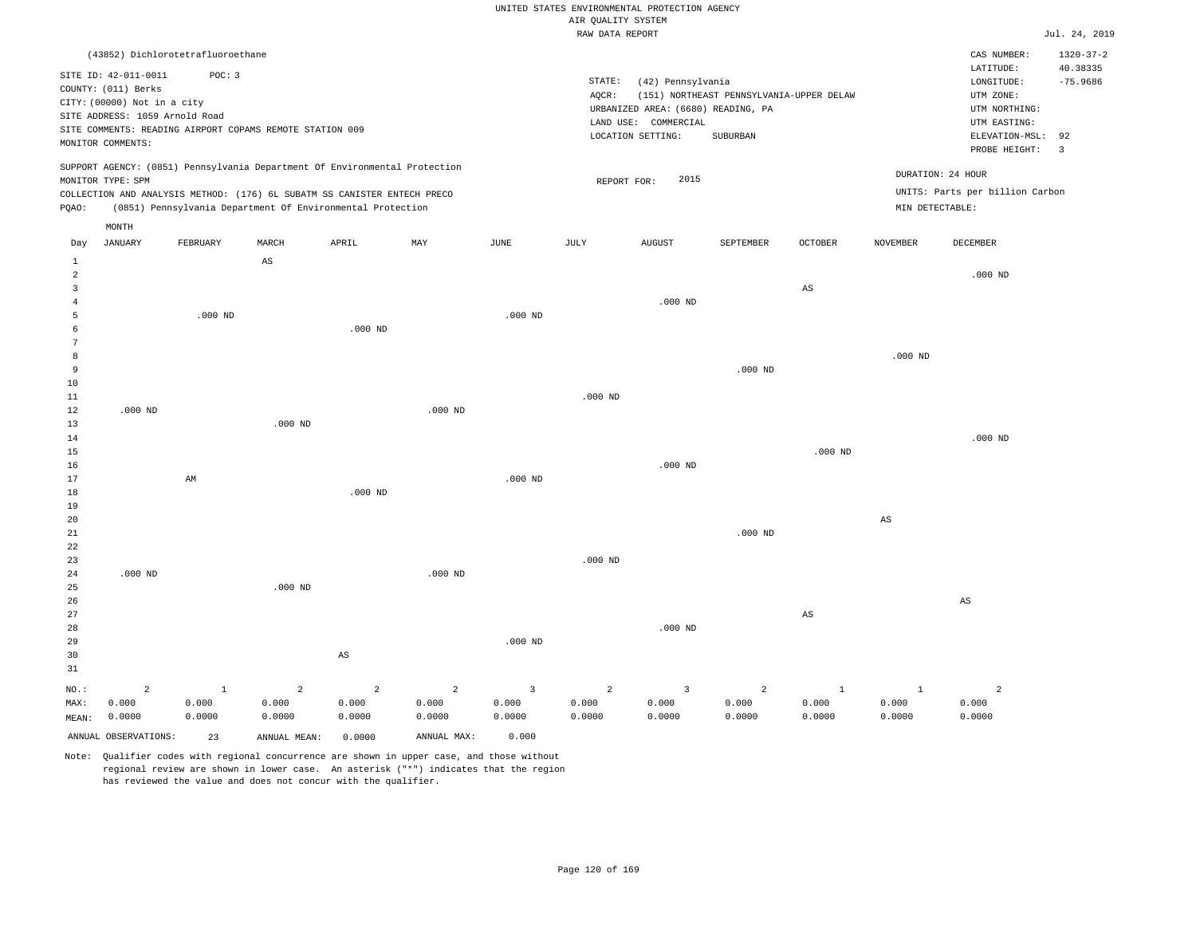|                     |                                             |              |                                                                            |                |                |                         | RAW DATA REPORT |                                                            |                                          |                        |                        |                                 | Jul. 24, 2019          |
|---------------------|---------------------------------------------|--------------|----------------------------------------------------------------------------|----------------|----------------|-------------------------|-----------------|------------------------------------------------------------|------------------------------------------|------------------------|------------------------|---------------------------------|------------------------|
|                     | (43852) Dichlorotetrafluoroethane           |              |                                                                            |                |                |                         |                 |                                                            |                                          |                        |                        | CAS NUMBER:                     | $1320 - 37 - 2$        |
|                     | SITE ID: 42-011-0011<br>COUNTY: (011) Berks | POC: 3       |                                                                            |                |                |                         | STATE:          | (42) Pennsylvania                                          |                                          |                        |                        | LATITUDE:<br>LONGITUDE:         | 40.38335<br>$-75.9686$ |
|                     | CITY: (00000) Not in a city                 |              |                                                                            |                |                |                         | AQCR:           |                                                            | (151) NORTHEAST PENNSYLVANIA-UPPER DELAW |                        |                        | UTM ZONE:                       |                        |
|                     | SITE ADDRESS: 1059 Arnold Road              |              |                                                                            |                |                |                         |                 | URBANIZED AREA: (6680) READING, PA<br>LAND USE: COMMERCIAL |                                          |                        |                        | UTM NORTHING:<br>UTM EASTING:   |                        |
|                     |                                             |              | SITE COMMENTS: READING AIRPORT COPAMS REMOTE STATION 009                   |                |                |                         |                 | LOCATION SETTING:                                          | SUBURBAN                                 |                        |                        | ELEVATION-MSL:                  | 92                     |
|                     | MONITOR COMMENTS:                           |              |                                                                            |                |                |                         |                 |                                                            |                                          |                        |                        | PROBE HEIGHT:                   | $\overline{3}$         |
|                     | MONITOR TYPE: SPM                           |              | SUPPORT AGENCY: (0851) Pennsylvania Department Of Environmental Protection |                |                |                         | REPORT FOR:     | 2015                                                       |                                          |                        | DURATION: 24 HOUR      |                                 |                        |
|                     |                                             |              | COLLECTION AND ANALYSIS METHOD: (176) 6L SUBATM SS CANISTER ENTECH PRECO   |                |                |                         |                 |                                                            |                                          |                        |                        | UNITS: Parts per billion Carbon |                        |
| PQAO:               |                                             |              | (0851) Pennsylvania Department Of Environmental Protection                 |                |                |                         |                 |                                                            |                                          |                        | MIN DETECTABLE:        |                                 |                        |
|                     | MONTH                                       |              |                                                                            |                |                |                         |                 |                                                            |                                          |                        |                        |                                 |                        |
| Day                 | <b>JANUARY</b>                              | FEBRUARY     | MARCH                                                                      | APRIL          | MAY            | JUNE                    | JULY            | <b>AUGUST</b>                                              | SEPTEMBER                                | OCTOBER                | <b>NOVEMBER</b>        | DECEMBER                        |                        |
| $\mathbf{1}$        |                                             |              | $\mathbb{A}\mathbb{S}$                                                     |                |                |                         |                 |                                                            |                                          |                        |                        |                                 |                        |
| $\overline{a}$      |                                             |              |                                                                            |                |                |                         |                 |                                                            |                                          |                        |                        | $.000$ ND                       |                        |
| 3                   |                                             |              |                                                                            |                |                |                         |                 |                                                            |                                          | $_{\rm AS}$            |                        |                                 |                        |
| $\overline{4}$<br>5 |                                             | $.000$ ND    |                                                                            |                |                | $.000$ ND               |                 | $.000$ ND                                                  |                                          |                        |                        |                                 |                        |
| 6                   |                                             |              |                                                                            | $.000$ ND      |                |                         |                 |                                                            |                                          |                        |                        |                                 |                        |
| 7                   |                                             |              |                                                                            |                |                |                         |                 |                                                            |                                          |                        |                        |                                 |                        |
| 8                   |                                             |              |                                                                            |                |                |                         |                 |                                                            |                                          |                        | $.000$ ND              |                                 |                        |
| 9                   |                                             |              |                                                                            |                |                |                         |                 |                                                            | $.000$ ND                                |                        |                        |                                 |                        |
| 10                  |                                             |              |                                                                            |                |                |                         |                 |                                                            |                                          |                        |                        |                                 |                        |
| 11<br>12            | $.000$ ND                                   |              |                                                                            |                | $.000$ ND      |                         | $.000$ ND       |                                                            |                                          |                        |                        |                                 |                        |
| 13                  |                                             |              | $.000$ ND                                                                  |                |                |                         |                 |                                                            |                                          |                        |                        |                                 |                        |
| 14                  |                                             |              |                                                                            |                |                |                         |                 |                                                            |                                          |                        |                        | $.000$ ND                       |                        |
| 15                  |                                             |              |                                                                            |                |                |                         |                 |                                                            |                                          | $.000$ ND              |                        |                                 |                        |
| 16                  |                                             |              |                                                                            |                |                |                         |                 | $.000$ ND                                                  |                                          |                        |                        |                                 |                        |
| 17                  |                                             | AM           |                                                                            |                |                | $.000$ ND               |                 |                                                            |                                          |                        |                        |                                 |                        |
| 18                  |                                             |              |                                                                            | $.000$ ND      |                |                         |                 |                                                            |                                          |                        |                        |                                 |                        |
| 19<br>20            |                                             |              |                                                                            |                |                |                         |                 |                                                            |                                          |                        | $\mathbb{A}\mathbb{S}$ |                                 |                        |
| 21                  |                                             |              |                                                                            |                |                |                         |                 |                                                            | $.000$ ND                                |                        |                        |                                 |                        |
| 22                  |                                             |              |                                                                            |                |                |                         |                 |                                                            |                                          |                        |                        |                                 |                        |
| 23                  |                                             |              |                                                                            |                |                |                         | $.000$ ND       |                                                            |                                          |                        |                        |                                 |                        |
| 24                  | $.000$ ND                                   |              |                                                                            |                | $.000$ ND      |                         |                 |                                                            |                                          |                        |                        |                                 |                        |
| 25                  |                                             |              | $.000$ ND                                                                  |                |                |                         |                 |                                                            |                                          |                        |                        |                                 |                        |
| 26<br>27            |                                             |              |                                                                            |                |                |                         |                 |                                                            |                                          | $\mathbb{A}\mathbb{S}$ |                        | $_{\rm AS}$                     |                        |
| 28                  |                                             |              |                                                                            |                |                |                         |                 | $.000$ ND                                                  |                                          |                        |                        |                                 |                        |
| 29                  |                                             |              |                                                                            |                |                | $.000$ ND               |                 |                                                            |                                          |                        |                        |                                 |                        |
| 30                  |                                             |              |                                                                            | AS             |                |                         |                 |                                                            |                                          |                        |                        |                                 |                        |
| 31                  |                                             |              |                                                                            |                |                |                         |                 |                                                            |                                          |                        |                        |                                 |                        |
| NO.:                | $\overline{a}$                              | $\mathbf{1}$ | $\overline{a}$                                                             | $\overline{2}$ | $\overline{2}$ | $\overline{\mathbf{3}}$ | $\overline{a}$  | 3                                                          | $\overline{a}$                           | $\mathbf{1}$           | $\mathbf{1}$           | $\overline{a}$                  |                        |
| MAX:                | 0.000                                       | 0.000        | 0.000                                                                      | 0.000          | 0.000          | 0.000                   | 0.000           | 0.000                                                      | 0.000                                    | 0.000                  | 0.000                  | 0.000                           |                        |
| MEAN:               | 0.0000                                      | 0.0000       | 0.0000                                                                     | 0.0000         | 0.0000         | 0.0000                  | 0.0000          | 0.0000                                                     | 0.0000                                   | 0.0000                 | 0.0000                 | 0.0000                          |                        |
|                     | ANNUAL OBSERVATIONS:                        | 23           | ANNUAL MEAN:                                                               | 0.0000         | ANNUAL MAX:    | 0.000                   |                 |                                                            |                                          |                        |                        |                                 |                        |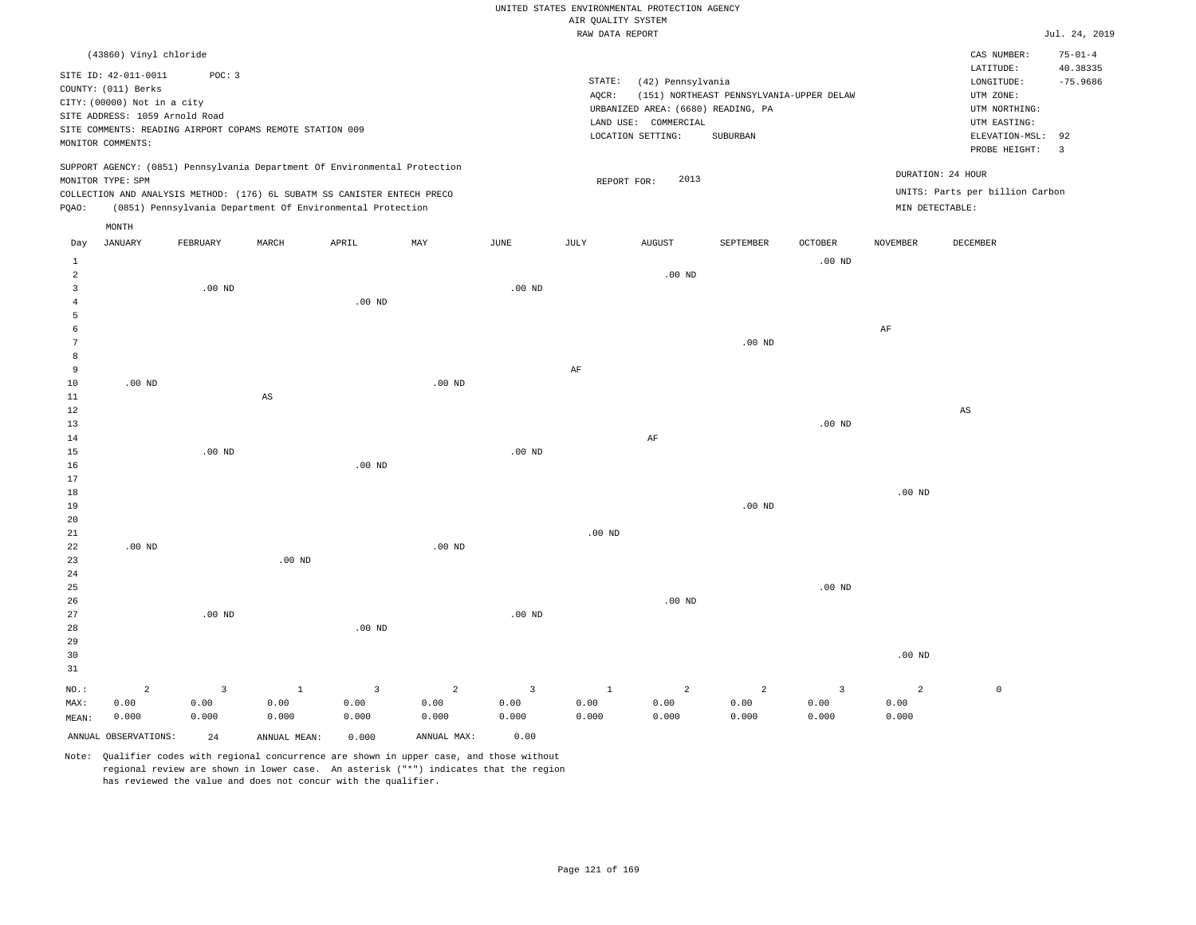|                         |                                |          |                                                                            |                   |                   |                   |                                       | UNITED STATES ENVIRONMENTAL PROTECTION AGENCY |                                          |                         |                   |                                 |                           |
|-------------------------|--------------------------------|----------|----------------------------------------------------------------------------|-------------------|-------------------|-------------------|---------------------------------------|-----------------------------------------------|------------------------------------------|-------------------------|-------------------|---------------------------------|---------------------------|
|                         |                                |          |                                                                            |                   |                   |                   | AIR QUALITY SYSTEM<br>RAW DATA REPORT |                                               |                                          |                         |                   |                                 | Jul. 24, 2019             |
|                         |                                |          |                                                                            |                   |                   |                   |                                       |                                               |                                          |                         |                   |                                 |                           |
|                         | (43860) Vinyl chloride         |          |                                                                            |                   |                   |                   |                                       |                                               |                                          |                         |                   | CAS NUMBER:<br>LATITUDE:        | $75 - 01 - 4$<br>40.38335 |
|                         | SITE ID: 42-011-0011           | POC: 3   |                                                                            |                   |                   |                   | STATE:                                | (42) Pennsylvania                             |                                          |                         |                   | LONGITUDE:                      | $-75.9686$                |
|                         | COUNTY: (011) Berks            |          |                                                                            |                   |                   |                   | AOCR:                                 |                                               | (151) NORTHEAST PENNSYLVANIA-UPPER DELAW |                         |                   | UTM ZONE:                       |                           |
|                         | CITY: (00000) Not in a city    |          |                                                                            |                   |                   |                   |                                       | URBANIZED AREA: (6680) READING, PA            |                                          |                         |                   | UTM NORTHING:                   |                           |
|                         | SITE ADDRESS: 1059 Arnold Road |          |                                                                            |                   |                   |                   |                                       | LAND USE: COMMERCIAL                          |                                          |                         |                   | UTM EASTING:                    |                           |
|                         |                                |          | SITE COMMENTS: READING AIRPORT COPAMS REMOTE STATION 009                   |                   |                   |                   |                                       | LOCATION SETTING:                             | SUBURBAN                                 |                         |                   | ELEVATION-MSL:                  | 92                        |
|                         | MONITOR COMMENTS:              |          |                                                                            |                   |                   |                   |                                       |                                               |                                          |                         |                   | PROBE HEIGHT:                   | $\overline{3}$            |
|                         |                                |          | SUPPORT AGENCY: (0851) Pennsylvania Department Of Environmental Protection |                   |                   |                   |                                       |                                               |                                          |                         |                   |                                 |                           |
|                         | MONITOR TYPE: SPM              |          |                                                                            |                   |                   |                   | REPORT FOR:                           | 2013                                          |                                          |                         |                   | DURATION: 24 HOUR               |                           |
|                         |                                |          | COLLECTION AND ANALYSIS METHOD: (176) 6L SUBATM SS CANISTER ENTECH PRECO   |                   |                   |                   |                                       |                                               |                                          |                         |                   | UNITS: Parts per billion Carbon |                           |
| PQAO:                   |                                |          | (0851) Pennsylvania Department Of Environmental Protection                 |                   |                   |                   |                                       |                                               |                                          |                         | MIN DETECTABLE:   |                                 |                           |
|                         | MONTH                          |          |                                                                            |                   |                   |                   |                                       |                                               |                                          |                         |                   |                                 |                           |
| Day                     | <b>JANUARY</b>                 | FEBRUARY | MARCH                                                                      | APRIL             | MAY               | JUNE              | JULY                                  | <b>AUGUST</b>                                 | SEPTEMBER                                | <b>OCTOBER</b>          | <b>NOVEMBER</b>   | DECEMBER                        |                           |
| $\mathbf{1}$            |                                |          |                                                                            |                   |                   |                   |                                       |                                               |                                          | .00 <sub>ND</sub>       |                   |                                 |                           |
| $\overline{a}$          |                                |          |                                                                            |                   |                   |                   |                                       | $.00$ ND                                      |                                          |                         |                   |                                 |                           |
| $\overline{\mathbf{3}}$ |                                | $.00$ ND |                                                                            |                   |                   | .00 <sub>ND</sub> |                                       |                                               |                                          |                         |                   |                                 |                           |
| $\overline{4}$          |                                |          |                                                                            | $.00$ ND          |                   |                   |                                       |                                               |                                          |                         |                   |                                 |                           |
| 5                       |                                |          |                                                                            |                   |                   |                   |                                       |                                               |                                          |                         |                   |                                 |                           |
| 6                       |                                |          |                                                                            |                   |                   |                   |                                       |                                               |                                          |                         | AF                |                                 |                           |
| 7                       |                                |          |                                                                            |                   |                   |                   |                                       |                                               | $.00$ ND                                 |                         |                   |                                 |                           |
| 8<br>$\overline{9}$     |                                |          |                                                                            |                   |                   |                   | AF                                    |                                               |                                          |                         |                   |                                 |                           |
| $10$                    | $.00$ ND                       |          |                                                                            |                   | .00 <sub>ND</sub> |                   |                                       |                                               |                                          |                         |                   |                                 |                           |
| 11                      |                                |          | AS                                                                         |                   |                   |                   |                                       |                                               |                                          |                         |                   |                                 |                           |
| 12                      |                                |          |                                                                            |                   |                   |                   |                                       |                                               |                                          |                         |                   | $\mathbb{A}\mathbb{S}$          |                           |
| 13                      |                                |          |                                                                            |                   |                   |                   |                                       |                                               |                                          | .00 <sub>ND</sub>       |                   |                                 |                           |
| 14                      |                                |          |                                                                            |                   |                   |                   |                                       | AF                                            |                                          |                         |                   |                                 |                           |
| 15                      |                                | $.00$ ND |                                                                            |                   |                   | $.00$ ND          |                                       |                                               |                                          |                         |                   |                                 |                           |
| 16                      |                                |          |                                                                            | $.00$ ND          |                   |                   |                                       |                                               |                                          |                         |                   |                                 |                           |
| 17                      |                                |          |                                                                            |                   |                   |                   |                                       |                                               |                                          |                         |                   |                                 |                           |
| 18                      |                                |          |                                                                            |                   |                   |                   |                                       |                                               |                                          |                         | .00 <sub>ND</sub> |                                 |                           |
| 19                      |                                |          |                                                                            |                   |                   |                   |                                       |                                               | $.00$ ND                                 |                         |                   |                                 |                           |
| 20                      |                                |          |                                                                            |                   |                   |                   |                                       |                                               |                                          |                         |                   |                                 |                           |
| 21<br>22                | $.00$ ND                       |          |                                                                            |                   | $.00$ ND          |                   | $.00$ ND                              |                                               |                                          |                         |                   |                                 |                           |
| 23                      |                                |          | .00 <sub>ND</sub>                                                          |                   |                   |                   |                                       |                                               |                                          |                         |                   |                                 |                           |
| 24                      |                                |          |                                                                            |                   |                   |                   |                                       |                                               |                                          |                         |                   |                                 |                           |
| 25                      |                                |          |                                                                            |                   |                   |                   |                                       |                                               |                                          | $.00$ ND                |                   |                                 |                           |
| 26                      |                                |          |                                                                            |                   |                   |                   |                                       | $.00$ ND                                      |                                          |                         |                   |                                 |                           |
| 27                      |                                | $.00$ ND |                                                                            |                   |                   | $.00$ ND          |                                       |                                               |                                          |                         |                   |                                 |                           |
| 28                      |                                |          |                                                                            | .00 <sub>ND</sub> |                   |                   |                                       |                                               |                                          |                         |                   |                                 |                           |
| 29                      |                                |          |                                                                            |                   |                   |                   |                                       |                                               |                                          |                         |                   |                                 |                           |
| 30                      |                                |          |                                                                            |                   |                   |                   |                                       |                                               |                                          |                         | $.00$ ND          |                                 |                           |
| 31                      |                                |          |                                                                            |                   |                   |                   |                                       |                                               |                                          |                         |                   |                                 |                           |
| NO.:                    | $\overline{a}$                 | 3        | $\mathbf{1}$                                                               | $\overline{3}$    | $\overline{c}$    | $\overline{3}$    | $\mathbf{1}$                          | $\overline{a}$                                | 2                                        | $\overline{\mathbf{3}}$ | $\overline{a}$    | $\mathbb O$                     |                           |
| MAX:                    | 0.00                           | 0.00     | 0.00                                                                       | 0.00              | 0.00              | 0.00              | 0.00                                  | 0.00                                          | 0.00                                     | 0.00                    | 0.00              |                                 |                           |
| MEAN:                   | 0.000                          | 0.000    | 0.000                                                                      | 0.000             | 0.000             | 0.000             | 0.000                                 | 0.000                                         | 0.000                                    | 0.000                   | 0.000             |                                 |                           |
|                         | ANNUAL OBSERVATIONS:           | 2.4      | ANNUAL MEAN:                                                               | 0.000             | ANNUAL MAX:       | 0.00              |                                       |                                               |                                          |                         |                   |                                 |                           |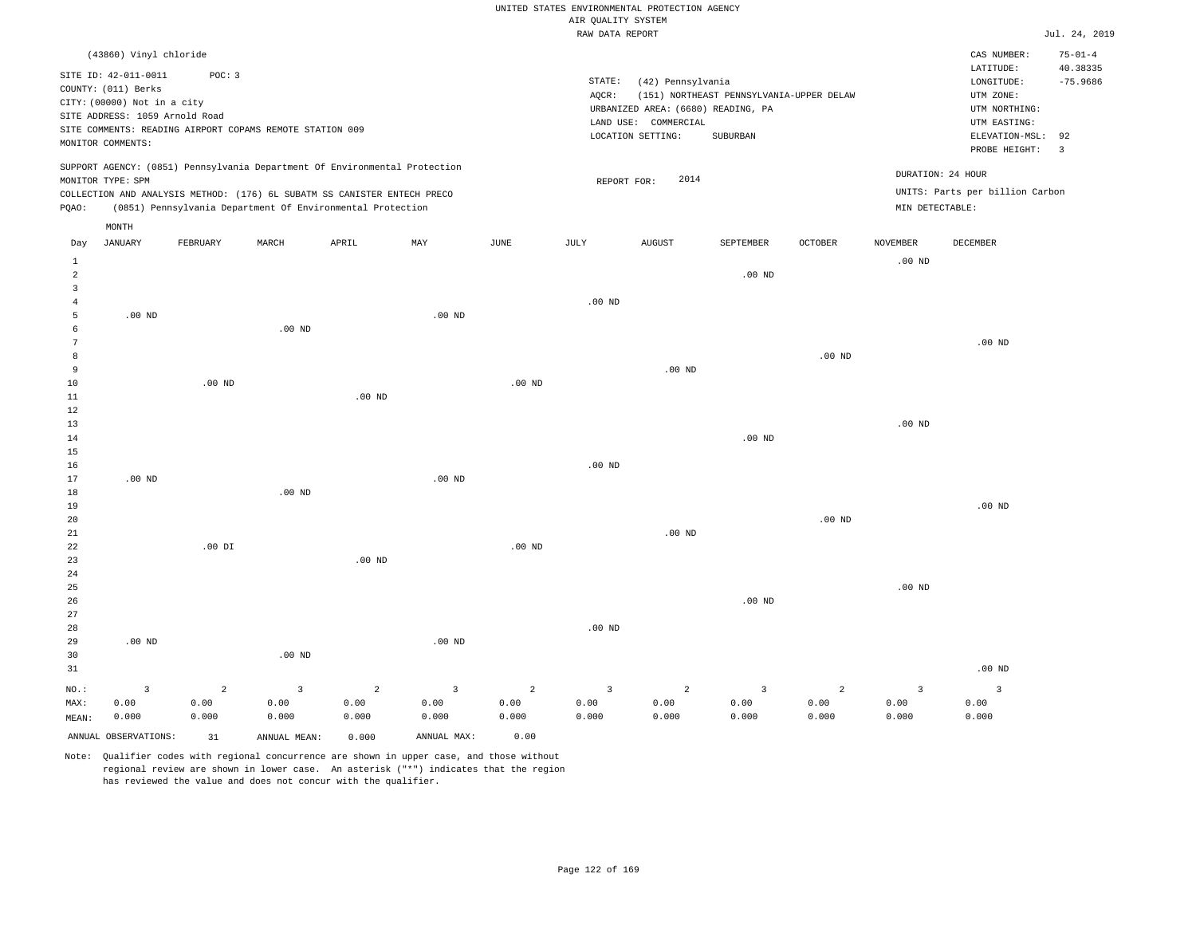|                                    |                                                                                                                                   |                        |                                                                                                                                                        |                        |                        |                        | AIR QUALITY SYSTEM     | UNITED STATES ENVIRONMENTAL PROTECTION AGENCY                                                        |                                                      |                   |                        |                                                                                                          |                                    |
|------------------------------------|-----------------------------------------------------------------------------------------------------------------------------------|------------------------|--------------------------------------------------------------------------------------------------------------------------------------------------------|------------------------|------------------------|------------------------|------------------------|------------------------------------------------------------------------------------------------------|------------------------------------------------------|-------------------|------------------------|----------------------------------------------------------------------------------------------------------|------------------------------------|
|                                    |                                                                                                                                   |                        |                                                                                                                                                        |                        |                        |                        | RAW DATA REPORT        |                                                                                                      |                                                      |                   |                        |                                                                                                          | Jul. 24, 2019                      |
|                                    | (43860) Vinyl chloride                                                                                                            |                        |                                                                                                                                                        |                        |                        |                        |                        |                                                                                                      |                                                      |                   |                        | CAS NUMBER:                                                                                              | $75 - 01 - 4$<br>40.38335          |
|                                    | SITE ID: 42-011-0011<br>COUNTY: (011) Berks<br>CITY: (00000) Not in a city<br>SITE ADDRESS: 1059 Arnold Road<br>MONITOR COMMENTS: | POC: 3                 | SITE COMMENTS: READING AIRPORT COPAMS REMOTE STATION 009                                                                                               |                        |                        |                        | STATE:<br>AQCR:        | (42) Pennsylvania<br>URBANIZED AREA: (6680) READING, PA<br>LAND USE: COMMERCIAL<br>LOCATION SETTING: | (151) NORTHEAST PENNSYLVANIA-UPPER DELAW<br>SUBURBAN |                   |                        | LATITUDE:<br>LONGITUDE:<br>UTM ZONE:<br>UTM NORTHING:<br>UTM EASTING:<br>ELEVATION-MSL:<br>PROBE HEIGHT: | $-75.9686$<br>92<br>$\overline{3}$ |
|                                    | MONITOR TYPE: SPM                                                                                                                 |                        | SUPPORT AGENCY: (0851) Pennsylvania Department Of Environmental Protection<br>COLLECTION AND ANALYSIS METHOD: (176) 6L SUBATM SS CANISTER ENTECH PRECO |                        |                        |                        | REPORT FOR:            | 2014                                                                                                 |                                                      |                   | DURATION: 24 HOUR      | UNITS: Parts per billion Carbon                                                                          |                                    |
| PQAO:                              |                                                                                                                                   |                        | (0851) Pennsylvania Department Of Environmental Protection                                                                                             |                        |                        |                        |                        |                                                                                                      |                                                      |                   | MIN DETECTABLE:        |                                                                                                          |                                    |
| Day                                | MONTH<br><b>JANUARY</b>                                                                                                           | FEBRUARY               | MARCH                                                                                                                                                  | APRIL                  | MAY                    | JUNE                   | <b>JULY</b>            | <b>AUGUST</b>                                                                                        | SEPTEMBER                                            | <b>OCTOBER</b>    | <b>NOVEMBER</b>        | DECEMBER                                                                                                 |                                    |
| $\mathbf{1}$<br>$\overline{a}$     |                                                                                                                                   |                        |                                                                                                                                                        |                        |                        |                        |                        |                                                                                                      | $.00$ ND                                             |                   | $.00$ ND               |                                                                                                          |                                    |
| $\overline{\mathbf{3}}$<br>$\,4\,$ |                                                                                                                                   |                        |                                                                                                                                                        |                        |                        |                        | $.00$ ND               |                                                                                                      |                                                      |                   |                        |                                                                                                          |                                    |
| $\overline{5}$<br>6                | .00 <sub>ND</sub>                                                                                                                 |                        | $.00$ ND                                                                                                                                               |                        | $.00$ ND               |                        |                        |                                                                                                      |                                                      |                   |                        |                                                                                                          |                                    |
| $7\phantom{.0}$<br>8               |                                                                                                                                   |                        |                                                                                                                                                        |                        |                        |                        |                        |                                                                                                      |                                                      |                   |                        | .00 <sub>ND</sub>                                                                                        |                                    |
| 9                                  |                                                                                                                                   |                        |                                                                                                                                                        |                        |                        |                        |                        | $.00$ ND                                                                                             |                                                      | $.00$ ND          |                        |                                                                                                          |                                    |
| 10<br>$1\,1$                       |                                                                                                                                   | $.00$ ND               |                                                                                                                                                        | .00 <sub>ND</sub>      |                        | $.00$ ND               |                        |                                                                                                      |                                                      |                   |                        |                                                                                                          |                                    |
| $1\,2$<br>13                       |                                                                                                                                   |                        |                                                                                                                                                        |                        |                        |                        |                        |                                                                                                      |                                                      |                   | $.00$ ND               |                                                                                                          |                                    |
| 14<br>$15$                         |                                                                                                                                   |                        |                                                                                                                                                        |                        |                        |                        |                        |                                                                                                      | .00 <sub>ND</sub>                                    |                   |                        |                                                                                                          |                                    |
| 16<br>17                           | $.00$ ND                                                                                                                          |                        |                                                                                                                                                        |                        | $.00$ ND               |                        | $.00$ ND               |                                                                                                      |                                                      |                   |                        |                                                                                                          |                                    |
| 18<br>19<br>20                     |                                                                                                                                   |                        | $.00$ ND                                                                                                                                               |                        |                        |                        |                        |                                                                                                      |                                                      | .00 <sub>ND</sub> |                        | .00 <sub>ND</sub>                                                                                        |                                    |
| 21<br>22                           |                                                                                                                                   | $.00$ DI               |                                                                                                                                                        |                        |                        | $.00$ ND               |                        | $.00$ ND                                                                                             |                                                      |                   |                        |                                                                                                          |                                    |
| 23<br>24                           |                                                                                                                                   |                        |                                                                                                                                                        | $.00$ ND               |                        |                        |                        |                                                                                                      |                                                      |                   |                        |                                                                                                          |                                    |
| 25<br>26                           |                                                                                                                                   |                        |                                                                                                                                                        |                        |                        |                        |                        |                                                                                                      | .00 <sub>ND</sub>                                    |                   | $.00$ ND               |                                                                                                          |                                    |
| 27<br>28                           |                                                                                                                                   |                        |                                                                                                                                                        |                        |                        |                        | $.00$ ND               |                                                                                                      |                                                      |                   |                        |                                                                                                          |                                    |
| 29<br>30                           | $.00$ ND                                                                                                                          |                        | $.00$ ND                                                                                                                                               |                        | .00 <sub>ND</sub>      |                        |                        |                                                                                                      |                                                      |                   |                        |                                                                                                          |                                    |
| 31                                 |                                                                                                                                   |                        |                                                                                                                                                        |                        |                        |                        |                        |                                                                                                      |                                                      |                   |                        | $.00$ ND                                                                                                 |                                    |
| NO.:<br>MAX:                       | $\overline{3}$<br>0.00                                                                                                            | $\overline{a}$<br>0.00 | $\overline{3}$<br>0.00                                                                                                                                 | $\overline{2}$<br>0.00 | $\overline{3}$<br>0.00 | $\overline{2}$<br>0.00 | $\overline{3}$<br>0.00 | 2<br>0.00                                                                                            | 3<br>0.00                                            | 2<br>0.00         | $\overline{3}$<br>0.00 | $\overline{3}$<br>0.00                                                                                   |                                    |
| MEAN:                              | 0.000<br>ANNUAL OBSERVATIONS:                                                                                                     | 0.000<br>31            | 0.000<br>ANNUAL MEAN:                                                                                                                                  | 0.000<br>0.000         | 0.000<br>ANNUAL MAX:   | 0.000<br>0.00          | 0.000                  | 0.000                                                                                                | 0.000                                                | 0.000             | 0.000                  | 0.000                                                                                                    |                                    |
|                                    |                                                                                                                                   |                        |                                                                                                                                                        |                        |                        |                        |                        |                                                                                                      |                                                      |                   |                        |                                                                                                          |                                    |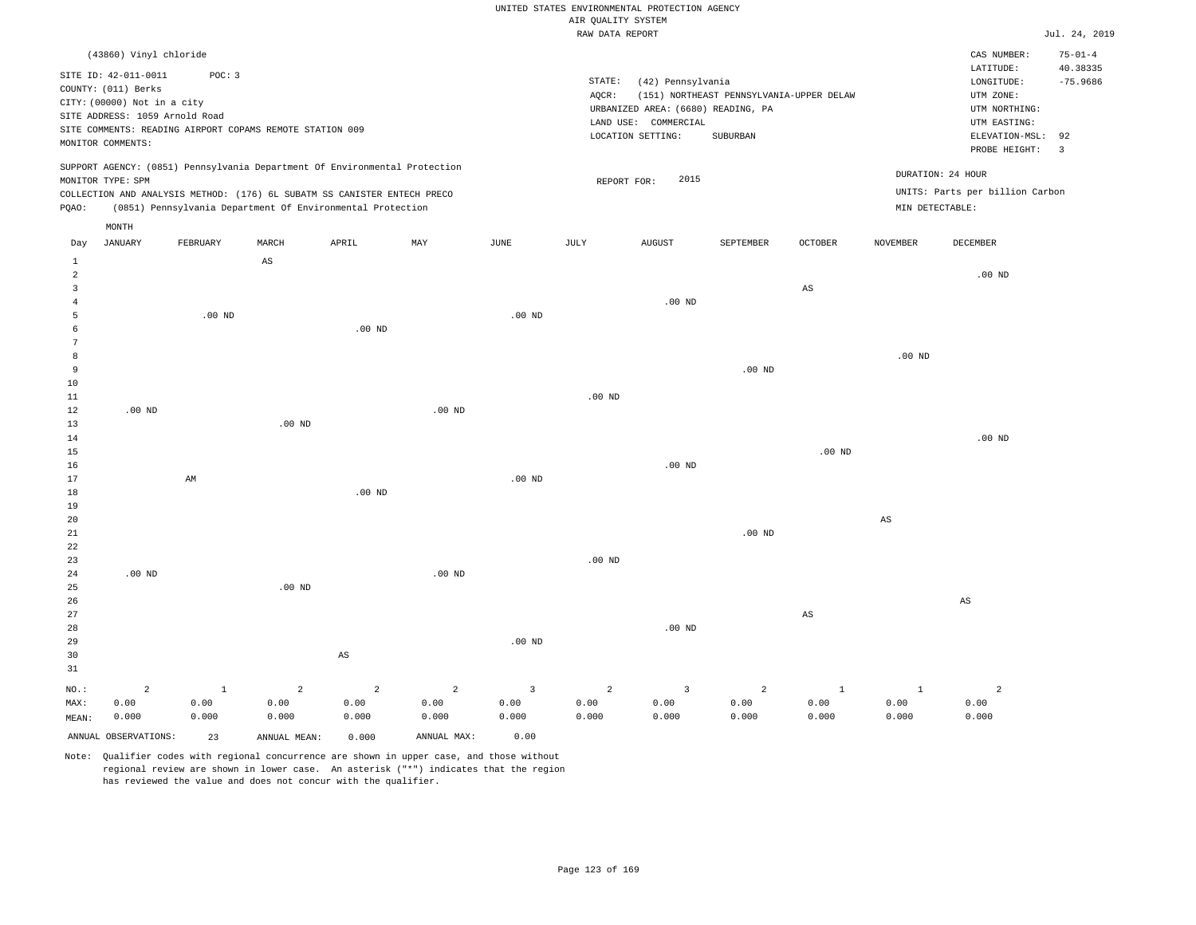|                                |                                |             |                                                          |                                                                            |                |          | RAW DATA REPORT |                                    |                                          |                        |                 |                                 | Jul. 24, 2019             |
|--------------------------------|--------------------------------|-------------|----------------------------------------------------------|----------------------------------------------------------------------------|----------------|----------|-----------------|------------------------------------|------------------------------------------|------------------------|-----------------|---------------------------------|---------------------------|
|                                | (43860) Vinyl chloride         |             |                                                          |                                                                            |                |          |                 |                                    |                                          |                        |                 | CAS NUMBER:                     | $75 - 01 - 4$<br>40.38335 |
|                                | SITE ID: 42-011-0011           | POC: 3      |                                                          |                                                                            |                |          | STATE:          | (42) Pennsylvania                  |                                          |                        |                 | LATITUDE:<br>LONGITUDE:         | $-75.9686$                |
|                                | COUNTY: (011) Berks            |             |                                                          |                                                                            |                |          | AQCR:           |                                    | (151) NORTHEAST PENNSYLVANIA-UPPER DELAW |                        |                 | UTM ZONE:                       |                           |
|                                | CITY: (00000) Not in a city    |             |                                                          |                                                                            |                |          |                 | URBANIZED AREA: (6680) READING, PA |                                          |                        |                 | UTM NORTHING:                   |                           |
|                                | SITE ADDRESS: 1059 Arnold Road |             |                                                          |                                                                            |                |          |                 | LAND USE: COMMERCIAL               |                                          |                        |                 | UTM EASTING:                    |                           |
|                                |                                |             | SITE COMMENTS: READING AIRPORT COPAMS REMOTE STATION 009 |                                                                            |                |          |                 | LOCATION SETTING:                  | SUBURBAN                                 |                        |                 | ELEVATION-MSL:                  | 92                        |
|                                | MONITOR COMMENTS:              |             |                                                          |                                                                            |                |          |                 |                                    |                                          |                        |                 | PROBE HEIGHT:                   | $\overline{3}$            |
|                                |                                |             |                                                          | SUPPORT AGENCY: (0851) Pennsylvania Department Of Environmental Protection |                |          |                 |                                    |                                          |                        |                 |                                 |                           |
|                                | MONITOR TYPE: SPM              |             |                                                          |                                                                            |                |          | REPORT FOR:     | 2015                               |                                          |                        |                 | DURATION: 24 HOUR               |                           |
|                                |                                |             |                                                          | COLLECTION AND ANALYSIS METHOD: (176) 6L SUBATM SS CANISTER ENTECH PRECO   |                |          |                 |                                    |                                          |                        |                 | UNITS: Parts per billion Carbon |                           |
| PQAO:                          |                                |             |                                                          | (0851) Pennsylvania Department Of Environmental Protection                 |                |          |                 |                                    |                                          |                        |                 | MIN DETECTABLE:                 |                           |
|                                | MONTH                          |             |                                                          |                                                                            |                |          |                 |                                    |                                          |                        |                 |                                 |                           |
| Day                            | <b>JANUARY</b>                 | FEBRUARY    | MARCH                                                    | APRIL                                                                      | MAY            | JUNE     | JULY            | <b>AUGUST</b>                      | SEPTEMBER                                | OCTOBER                | <b>NOVEMBER</b> | DECEMBER                        |                           |
| $\mathbf{1}$<br>$\overline{a}$ |                                |             | $\mathbb{A}\mathbb{S}$                                   |                                                                            |                |          |                 |                                    |                                          |                        |                 | $.00$ ND                        |                           |
| 3                              |                                |             |                                                          |                                                                            |                |          |                 |                                    |                                          | $\mathbb{A}\mathbb{S}$ |                 |                                 |                           |
| $\overline{4}$                 |                                |             |                                                          |                                                                            |                |          |                 | $.00$ ND                           |                                          |                        |                 |                                 |                           |
| 5                              |                                | $.00$ ND    |                                                          |                                                                            |                | $.00$ ND |                 |                                    |                                          |                        |                 |                                 |                           |
| 6                              |                                |             |                                                          | $.00$ ND                                                                   |                |          |                 |                                    |                                          |                        |                 |                                 |                           |
| 7                              |                                |             |                                                          |                                                                            |                |          |                 |                                    |                                          |                        |                 |                                 |                           |
| 8                              |                                |             |                                                          |                                                                            |                |          |                 |                                    |                                          |                        | $.00$ ND        |                                 |                           |
| 9                              |                                |             |                                                          |                                                                            |                |          |                 |                                    | .00 <sub>ND</sub>                        |                        |                 |                                 |                           |
| 10                             |                                |             |                                                          |                                                                            |                |          |                 |                                    |                                          |                        |                 |                                 |                           |
| 11                             |                                |             |                                                          |                                                                            |                |          | $.00$ ND        |                                    |                                          |                        |                 |                                 |                           |
| 12                             | $.00$ ND                       |             |                                                          |                                                                            | $.00$ ND       |          |                 |                                    |                                          |                        |                 |                                 |                           |
| 13                             |                                |             | .00 <sub>ND</sub>                                        |                                                                            |                |          |                 |                                    |                                          |                        |                 |                                 |                           |
| 14                             |                                |             |                                                          |                                                                            |                |          |                 |                                    |                                          |                        |                 | $.00$ ND                        |                           |
| 15                             |                                |             |                                                          |                                                                            |                |          |                 |                                    |                                          | $.00$ ND               |                 |                                 |                           |
| 16                             |                                |             |                                                          |                                                                            |                |          |                 | $.00$ ND                           |                                          |                        |                 |                                 |                           |
| 17                             |                                | AM          |                                                          |                                                                            |                | $.00$ ND |                 |                                    |                                          |                        |                 |                                 |                           |
| 18                             |                                |             |                                                          | .00 <sub>ND</sub>                                                          |                |          |                 |                                    |                                          |                        |                 |                                 |                           |
| 19                             |                                |             |                                                          |                                                                            |                |          |                 |                                    |                                          |                        |                 |                                 |                           |
| 20                             |                                |             |                                                          |                                                                            |                |          |                 |                                    |                                          |                        | $_{\rm AS}$     |                                 |                           |
| 21                             |                                |             |                                                          |                                                                            |                |          |                 |                                    | .00 <sub>ND</sub>                        |                        |                 |                                 |                           |
| 22                             |                                |             |                                                          |                                                                            |                |          |                 |                                    |                                          |                        |                 |                                 |                           |
| 23                             |                                |             |                                                          |                                                                            |                |          | $.00$ ND        |                                    |                                          |                        |                 |                                 |                           |
| 24<br>25                       | $.00$ ND                       |             | $.00$ ND                                                 |                                                                            | $.00$ ND       |          |                 |                                    |                                          |                        |                 |                                 |                           |
| 26                             |                                |             |                                                          |                                                                            |                |          |                 |                                    |                                          |                        |                 | AS                              |                           |
| 27                             |                                |             |                                                          |                                                                            |                |          |                 |                                    |                                          | AS                     |                 |                                 |                           |
| 28                             |                                |             |                                                          |                                                                            |                |          |                 | $.00$ ND                           |                                          |                        |                 |                                 |                           |
| 29                             |                                |             |                                                          |                                                                            |                | $.00$ ND |                 |                                    |                                          |                        |                 |                                 |                           |
| 30                             |                                |             |                                                          | $\mathbb{A}\mathbb{S}$                                                     |                |          |                 |                                    |                                          |                        |                 |                                 |                           |
| 31                             |                                |             |                                                          |                                                                            |                |          |                 |                                    |                                          |                        |                 |                                 |                           |
| NO.:                           | $\overline{2}$                 | $\mathbf 1$ | $\overline{2}$                                           | $\overline{a}$                                                             | $\overline{a}$ | 3        | $\overline{a}$  | $\overline{3}$                     | $\overline{a}$                           | <sup>1</sup>           | $\mathbf{1}$    | $\overline{a}$                  |                           |
| MAX:                           | 0.00                           | 0.00        | 0.00                                                     | 0.00                                                                       | 0.00           | 0.00     | 0.00            | 0.00                               | 0.00                                     | 0.00                   | 0.00            | 0.00                            |                           |
| MEAN:                          | 0.000                          | 0.000       | 0.000                                                    | 0.000                                                                      | 0.000          | 0.000    | 0.000           | 0.000                              | 0.000                                    | 0.000                  | 0.000           | 0.000                           |                           |
|                                | ANNUAL OBSERVATIONS:           | 23          | ANNUAL MEAN:                                             | 0.000                                                                      | ANNUAL MAX:    | 0.00     |                 |                                    |                                          |                        |                 |                                 |                           |
|                                |                                |             |                                                          |                                                                            |                |          |                 |                                    |                                          |                        |                 |                                 |                           |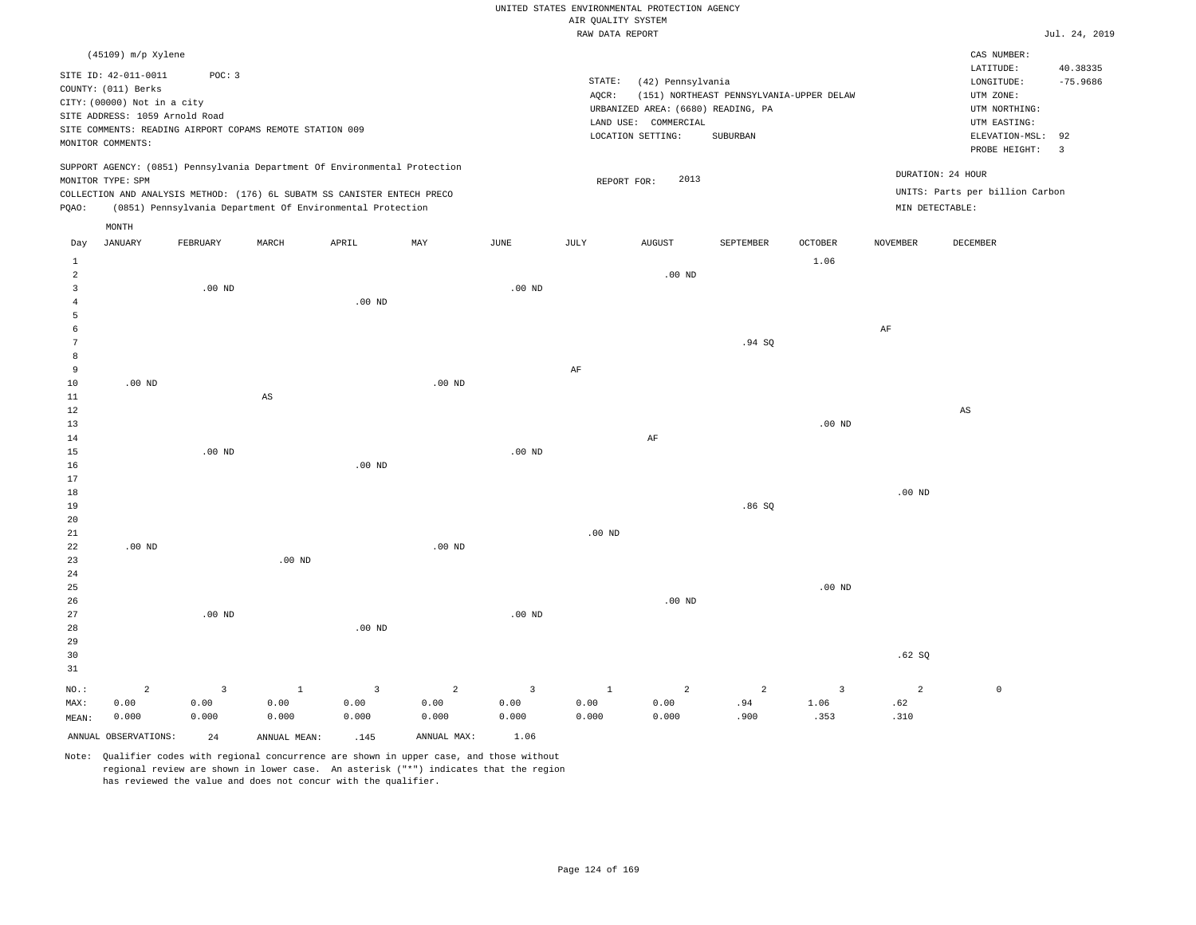|                                                          | hin vohilli olotim                                |                          |
|----------------------------------------------------------|---------------------------------------------------|--------------------------|
|                                                          | RAW DATA REPORT                                   | Jul. 24, 2019            |
| $(45109)$ m/p Xylene                                     |                                                   | CAS NUMBER:              |
| SITE ID: 42-011-0011<br>POC: 3                           |                                                   | 40.38335<br>LATITUDE:    |
|                                                          | STATE:<br>(42) Pennsylvania                       | $-75.9686$<br>LONGITUDE: |
| COUNTY: (011) Berks<br>CITY: (00000) Not in a city       | (151) NORTHEAST PENNSYLVANIA-UPPER DELAW<br>AOCR: | UTM ZONE:                |
| SITE ADDRESS: 1059 Arnold Road                           | URBANIZED AREA: (6680) READING, PA                | UTM NORTHING:            |
| SITE COMMENTS: READING AIRPORT COPAMS REMOTE STATION 009 | COMMERCIAL<br>LAND USE:                           | UTM EASTING:             |
| MONITOR COMMENTS:                                        | LOCATION SETTING:<br>SUBURBAN                     | ELEVATION-MSL: 92        |
|                                                          |                                                   | PROBE HEIGHT:            |

UNITS: Parts per billion Carbon

DURATION: 24 HOUR

REPORT FOR: 2013

SUPPORT AGENCY: (0851) Pennsylvania Department Of Environmental Protection MONITOR TYPE: SPM

COLLECTION AND ANALYSIS METHOD: (176) 6L SUBATM SS CANISTER ENTECH PRECO PQAO: (0851) Pennsylvania Department Of Environmental Protection MIN DETECTABLE:

|                 | MONTH                   |                         |                        |                         |                           |                         |              |                |                         |                         |                |          |
|-----------------|-------------------------|-------------------------|------------------------|-------------------------|---------------------------|-------------------------|--------------|----------------|-------------------------|-------------------------|----------------|----------|
| Day             | JANUARY                 | FEBRUARY                | MARCH                  | APRIL                   | $\ensuremath{\text{MAX}}$ | $_{\rm JUNE}$           | JULY         | <b>AUGUST</b>  | SEPTEMBER               | $\mathtt{OCTOBER}$      | NOVEMBER       | DECEMBER |
| 1               |                         |                         |                        |                         |                           |                         |              |                |                         | 1.06                    |                |          |
| $\overline{a}$  |                         |                         |                        |                         |                           |                         |              | $.00$ ND       |                         |                         |                |          |
| 3               |                         | $.00$ ND                |                        |                         |                           | $.00$ ND                |              |                |                         |                         |                |          |
| $\overline{4}$  |                         |                         |                        | $.00$ ND                |                           |                         |              |                |                         |                         |                |          |
| 5               |                         |                         |                        |                         |                           |                         |              |                |                         |                         |                |          |
| 6               |                         |                         |                        |                         |                           |                         |              |                |                         |                         | $\rm AF$       |          |
| $7\phantom{.0}$ |                         |                         |                        |                         |                           |                         |              |                | .94 SQ                  |                         |                |          |
| 8               |                         |                         |                        |                         |                           |                         |              |                |                         |                         |                |          |
| 9               |                         |                         |                        |                         |                           |                         | $\rm{AF}$    |                |                         |                         |                |          |
| 10              | $.00$ ND                |                         |                        |                         | $.00$ ND                  |                         |              |                |                         |                         |                |          |
| $11\,$          |                         |                         | $\mathbb{A}\mathbb{S}$ |                         |                           |                         |              |                |                         |                         |                |          |
| 12              |                         |                         |                        |                         |                           |                         |              |                |                         |                         |                | AS       |
| 13              |                         |                         |                        |                         |                           |                         |              |                |                         | $.00$ ND                |                |          |
| 14              |                         |                         |                        |                         |                           |                         |              | $\rm AF$       |                         |                         |                |          |
| 15              |                         | $.00$ ND                |                        |                         |                           | $.00$ ND                |              |                |                         |                         |                |          |
| 16              |                         |                         |                        | $.00$ ND                |                           |                         |              |                |                         |                         |                |          |
| 17              |                         |                         |                        |                         |                           |                         |              |                |                         |                         |                |          |
| 18              |                         |                         |                        |                         |                           |                         |              |                |                         |                         | $.00$ ND       |          |
| 19              |                         |                         |                        |                         |                           |                         |              |                | .86SQ                   |                         |                |          |
| 20              |                         |                         |                        |                         |                           |                         |              |                |                         |                         |                |          |
| 21              |                         |                         |                        |                         |                           |                         | $.00$ ND     |                |                         |                         |                |          |
| 22              | $.00$ ND                |                         |                        |                         | $.00$ ND                  |                         |              |                |                         |                         |                |          |
| 23              |                         |                         | $.00$ ND               |                         |                           |                         |              |                |                         |                         |                |          |
| 24<br>25        |                         |                         |                        |                         |                           |                         |              |                |                         | $.00$ ND                |                |          |
| 26              |                         |                         |                        |                         |                           |                         |              | $.00$ ND       |                         |                         |                |          |
| 27              |                         | $.00$ ND                |                        |                         |                           | $.00$ ND                |              |                |                         |                         |                |          |
| 28              |                         |                         |                        | $.00$ ND                |                           |                         |              |                |                         |                         |                |          |
| 29              |                         |                         |                        |                         |                           |                         |              |                |                         |                         |                |          |
| 30              |                         |                         |                        |                         |                           |                         |              |                |                         |                         | .62SQ          |          |
| 31              |                         |                         |                        |                         |                           |                         |              |                |                         |                         |                |          |
| $NO.$ :         | $\overline{\mathbf{c}}$ | $\overline{\mathbf{3}}$ | $\overline{1}$         | $\overline{\mathbf{3}}$ | $\overline{a}$            | $\overline{\mathbf{3}}$ | $\mathbf{1}$ | $\overline{a}$ | $\overline{\mathbf{c}}$ | $\overline{\mathbf{3}}$ | $\overline{a}$ | $\circ$  |
| MAX:            | 0.00                    | 0.00                    | 0.00                   | 0.00                    | 0.00                      | 0.00                    | 0.00         | 0.00           | .94                     | 1.06                    | .62            |          |
| MEAN:           | 0.000                   | 0.000                   | 0.000                  | 0.000                   | 0.000                     | 0.000                   | 0.000        | 0.000          | .900                    | .353                    | .310           |          |
|                 | ANNUAL OBSERVATIONS:    | 24                      | ANNUAL MEAN:           | .145                    | ANNUAL MAX:               | 1.06                    |              |                |                         |                         |                |          |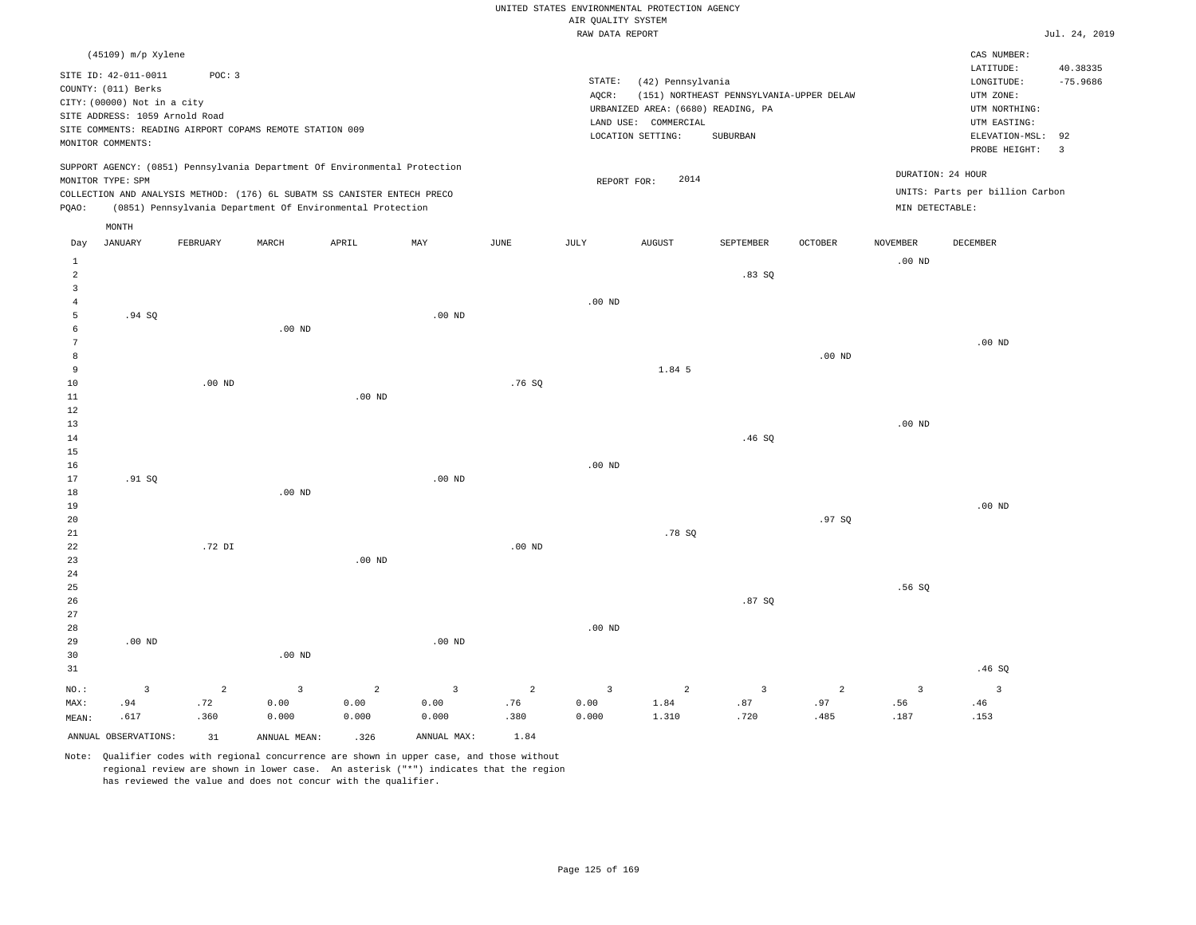|                 |                                            |                |                                                                            |                   |                   |                |                    | UNITED STATES ENVIRONMENTAL PROTECTION AGENCY |                                          |                |                   |                                 |                |
|-----------------|--------------------------------------------|----------------|----------------------------------------------------------------------------|-------------------|-------------------|----------------|--------------------|-----------------------------------------------|------------------------------------------|----------------|-------------------|---------------------------------|----------------|
|                 |                                            |                |                                                                            |                   |                   |                | AIR QUALITY SYSTEM |                                               |                                          |                |                   |                                 |                |
|                 |                                            |                |                                                                            |                   |                   |                | RAW DATA REPORT    |                                               |                                          |                |                   |                                 | Jul. 24, 2019  |
|                 | (45109) m/p Xylene<br>SITE ID: 42-011-0011 | POC: 3         |                                                                            |                   |                   |                |                    |                                               |                                          |                |                   | CAS NUMBER:<br>LATITUDE:        | 40.38335       |
|                 | COUNTY: (011) Berks                        |                |                                                                            |                   |                   |                | STATE:             | (42) Pennsylvania                             |                                          |                |                   | LONGITUDE:                      | $-75.9686$     |
|                 | CITY: (00000) Not in a city                |                |                                                                            |                   |                   |                | AQCR:              |                                               | (151) NORTHEAST PENNSYLVANIA-UPPER DELAW |                |                   | UTM ZONE:                       |                |
|                 | SITE ADDRESS: 1059 Arnold Road             |                |                                                                            |                   |                   |                |                    | URBANIZED AREA: (6680) READING, PA            |                                          |                |                   | UTM NORTHING:                   |                |
|                 |                                            |                | SITE COMMENTS: READING AIRPORT COPAMS REMOTE STATION 009                   |                   |                   |                |                    | LAND USE: COMMERCIAL<br>LOCATION SETTING:     | SUBURBAN                                 |                |                   | UTM EASTING:<br>ELEVATION-MSL:  | 92             |
|                 | MONITOR COMMENTS:                          |                |                                                                            |                   |                   |                |                    |                                               |                                          |                |                   | PROBE HEIGHT:                   | $\overline{3}$ |
|                 |                                            |                | SUPPORT AGENCY: (0851) Pennsylvania Department Of Environmental Protection |                   |                   |                |                    | 2014                                          |                                          |                |                   | DURATION: 24 HOUR               |                |
|                 | MONITOR TYPE: SPM                          |                | COLLECTION AND ANALYSIS METHOD: (176) 6L SUBATM SS CANISTER ENTECH PRECO   |                   |                   |                |                    | REPORT FOR:                                   |                                          |                |                   | UNITS: Parts per billion Carbon |                |
| PQAO:           |                                            |                | (0851) Pennsylvania Department Of Environmental Protection                 |                   |                   |                |                    |                                               |                                          |                | MIN DETECTABLE:   |                                 |                |
|                 | MONTH                                      |                |                                                                            |                   |                   |                |                    |                                               |                                          |                |                   |                                 |                |
| Day             | <b>JANUARY</b>                             | FEBRUARY       | MARCH                                                                      | APRIL             | MAY               | <b>JUNE</b>    | JULY               | <b>AUGUST</b>                                 | SEPTEMBER                                | <b>OCTOBER</b> | <b>NOVEMBER</b>   | <b>DECEMBER</b>                 |                |
| $\mathbf{1}$    |                                            |                |                                                                            |                   |                   |                |                    |                                               |                                          |                | .00 <sub>ND</sub> |                                 |                |
| 2               |                                            |                |                                                                            |                   |                   |                |                    |                                               | .83SQ                                    |                |                   |                                 |                |
| $\overline{3}$  |                                            |                |                                                                            |                   |                   |                |                    |                                               |                                          |                |                   |                                 |                |
| $\overline{4}$  |                                            |                |                                                                            |                   |                   |                | $.00$ ND           |                                               |                                          |                |                   |                                 |                |
| 5<br>6          | .94 SQ                                     |                | $.00$ ND                                                                   |                   | $.00$ ND          |                |                    |                                               |                                          |                |                   |                                 |                |
| $7\phantom{.0}$ |                                            |                |                                                                            |                   |                   |                |                    |                                               |                                          |                |                   | .00 <sub>ND</sub>               |                |
| 8               |                                            |                |                                                                            |                   |                   |                |                    |                                               |                                          | $.00$ ND       |                   |                                 |                |
| 9               |                                            |                |                                                                            |                   |                   |                |                    | 1.84 5                                        |                                          |                |                   |                                 |                |
| $10$            |                                            | $.00$ ND       |                                                                            |                   |                   | .76SQ          |                    |                                               |                                          |                |                   |                                 |                |
| $1\,1$          |                                            |                |                                                                            | .00 <sub>ND</sub> |                   |                |                    |                                               |                                          |                |                   |                                 |                |
| $1\,2$          |                                            |                |                                                                            |                   |                   |                |                    |                                               |                                          |                |                   |                                 |                |
| 13              |                                            |                |                                                                            |                   |                   |                |                    |                                               |                                          |                | .00 <sub>ND</sub> |                                 |                |
| $1\,4$          |                                            |                |                                                                            |                   |                   |                |                    |                                               | .46SQ                                    |                |                   |                                 |                |
| 15<br>16        |                                            |                |                                                                            |                   |                   |                | .00 <sub>ND</sub>  |                                               |                                          |                |                   |                                 |                |
| 17              | .91 S0                                     |                |                                                                            |                   | $.00$ ND          |                |                    |                                               |                                          |                |                   |                                 |                |
| 18              |                                            |                | $.00$ ND                                                                   |                   |                   |                |                    |                                               |                                          |                |                   |                                 |                |
| 19              |                                            |                |                                                                            |                   |                   |                |                    |                                               |                                          |                |                   | $.00$ ND                        |                |
| 20              |                                            |                |                                                                            |                   |                   |                |                    |                                               |                                          | .97S           |                   |                                 |                |
| 21              |                                            |                |                                                                            |                   |                   |                |                    | .78 SO                                        |                                          |                |                   |                                 |                |
| 22              |                                            | .72 DI         |                                                                            |                   |                   | $.00$ ND       |                    |                                               |                                          |                |                   |                                 |                |
| 23              |                                            |                |                                                                            | $.00$ ND          |                   |                |                    |                                               |                                          |                |                   |                                 |                |
| 24<br>25        |                                            |                |                                                                            |                   |                   |                |                    |                                               |                                          |                | .56SQ             |                                 |                |
| 26              |                                            |                |                                                                            |                   |                   |                |                    |                                               | .87SQ                                    |                |                   |                                 |                |
| 27              |                                            |                |                                                                            |                   |                   |                |                    |                                               |                                          |                |                   |                                 |                |
| 28              |                                            |                |                                                                            |                   |                   |                | $.00$ ND           |                                               |                                          |                |                   |                                 |                |
| 29              | .00 <sub>ND</sub>                          |                |                                                                            |                   | .00 <sub>ND</sub> |                |                    |                                               |                                          |                |                   |                                 |                |
| 30              |                                            |                | .00 <sub>ND</sub>                                                          |                   |                   |                |                    |                                               |                                          |                |                   |                                 |                |
| 31              |                                            |                |                                                                            |                   |                   |                |                    |                                               |                                          |                |                   | .46SQ                           |                |
| NO.:            | $\overline{3}$                             | $\overline{2}$ | $\overline{3}$                                                             | $\overline{a}$    | $\overline{3}$    | $\overline{2}$ | $\overline{3}$     | 2                                             | $\overline{3}$                           | $\overline{a}$ | $\overline{3}$    | $\overline{3}$                  |                |
| MAX:            | .94                                        | .72            | 0.00                                                                       | 0.00              | 0.00              | .76            | 0.00               | 1.84                                          | .87                                      | .97            | .56               | .46                             |                |
| MEAN:           | .617                                       | .360           | 0.000                                                                      | 0.000             | 0.000             | .380           | 0.000              | 1.310                                         | .720                                     | .485           | .187              | .153                            |                |
|                 | ANNUAL OBSERVATIONS:                       | 31             | ANNUAL MEAN:                                                               | .326              | ANNUAL MAX:       | 1.84           |                    |                                               |                                          |                |                   |                                 |                |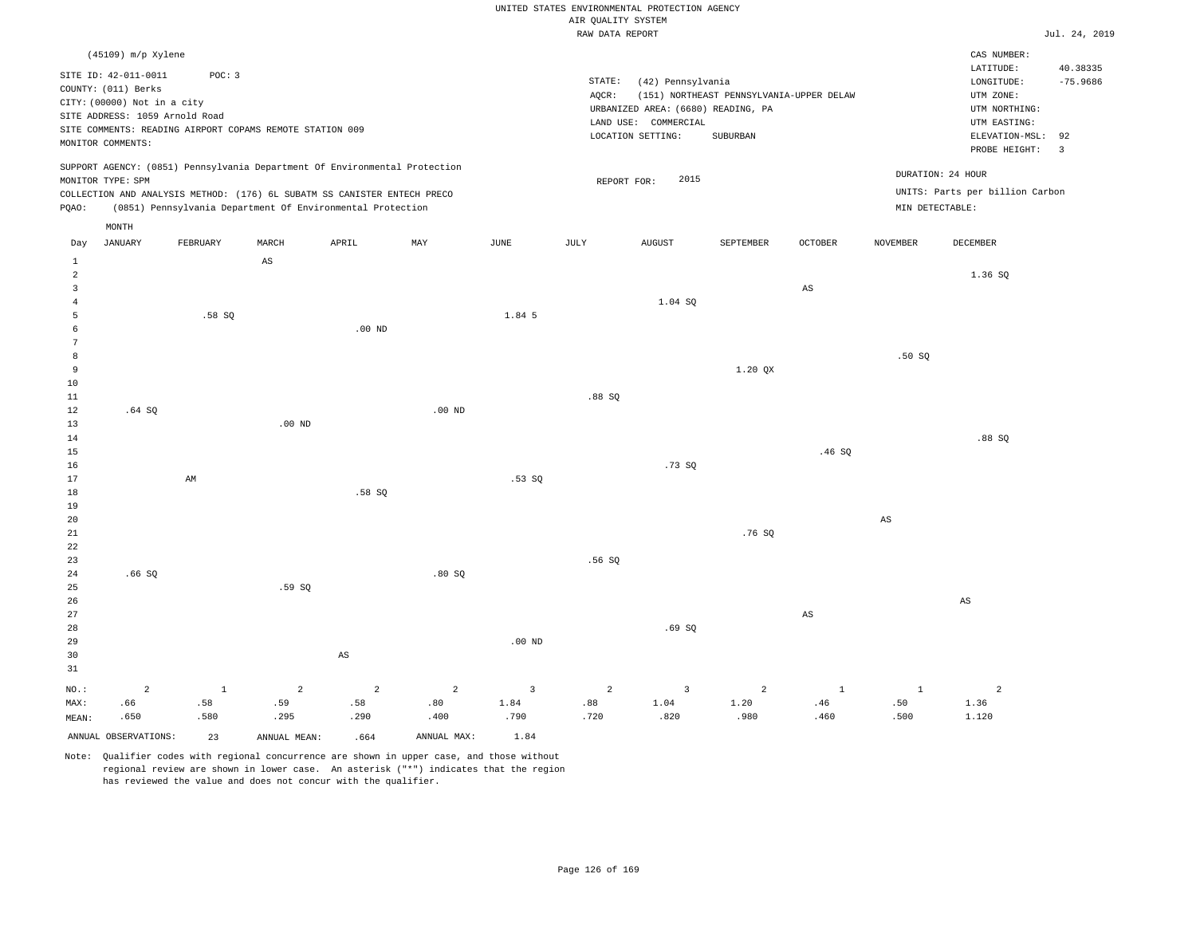|  |                    | UNITED STATES ENVIRONMENTAL PROTECTION AGENCY |  |
|--|--------------------|-----------------------------------------------|--|
|  | AIR OUALITY SYSTEM |                                               |  |

| Jul. 24, 2019 |  |
|---------------|--|

|                |                                |          |                                                                            |                |                |                         | RAW DATA REPORT |                                    |                                          |                        |                 |                                 | Jul. 24, 2019                 |
|----------------|--------------------------------|----------|----------------------------------------------------------------------------|----------------|----------------|-------------------------|-----------------|------------------------------------|------------------------------------------|------------------------|-----------------|---------------------------------|-------------------------------|
|                | (45109) m/p Xylene             |          |                                                                            |                |                |                         |                 |                                    |                                          |                        |                 | CAS NUMBER:                     |                               |
|                | SITE ID: 42-011-0011           | POC: 3   |                                                                            |                |                |                         |                 |                                    |                                          |                        |                 | LATITUDE:                       | 40.38335                      |
|                | COUNTY: (011) Berks            |          |                                                                            |                |                |                         | STATE:          | (42) Pennsylvania                  |                                          |                        |                 | LONGITUDE:                      | $-75.9686$                    |
|                | CITY: (00000) Not in a city    |          |                                                                            |                |                |                         | AQCR:           |                                    | (151) NORTHEAST PENNSYLVANIA-UPPER DELAW |                        |                 | UTM ZONE:                       |                               |
|                | SITE ADDRESS: 1059 Arnold Road |          |                                                                            |                |                |                         |                 | URBANIZED AREA: (6680) READING, PA |                                          |                        |                 | UTM NORTHING:                   |                               |
|                |                                |          | SITE COMMENTS: READING AIRPORT COPAMS REMOTE STATION 009                   |                |                |                         |                 | LAND USE: COMMERCIAL               |                                          |                        |                 | UTM EASTING:                    |                               |
|                | MONITOR COMMENTS:              |          |                                                                            |                |                |                         |                 | LOCATION SETTING:                  | SUBURBAN                                 |                        |                 | ELEVATION-MSL:<br>PROBE HEIGHT: | 92<br>$\overline{\mathbf{3}}$ |
|                |                                |          |                                                                            |                |                |                         |                 |                                    |                                          |                        |                 |                                 |                               |
|                | MONITOR TYPE: SPM              |          | SUPPORT AGENCY: (0851) Pennsylvania Department Of Environmental Protection |                |                |                         | REPORT FOR:     | 2015                               |                                          |                        |                 | DURATION: 24 HOUR               |                               |
|                |                                |          | COLLECTION AND ANALYSIS METHOD: (176) 6L SUBATM SS CANISTER ENTECH PRECO   |                |                |                         |                 |                                    |                                          |                        |                 | UNITS: Parts per billion Carbon |                               |
| PQAO:          |                                |          | (0851) Pennsylvania Department Of Environmental Protection                 |                |                |                         |                 |                                    |                                          |                        | MIN DETECTABLE: |                                 |                               |
|                | MONTH                          |          |                                                                            |                |                |                         |                 |                                    |                                          |                        |                 |                                 |                               |
| Day            | JANUARY                        | FEBRUARY | MARCH                                                                      | APRIL          | MAY            | JUNE                    | JULY            | <b>AUGUST</b>                      | SEPTEMBER                                | <b>OCTOBER</b>         | <b>NOVEMBER</b> | DECEMBER                        |                               |
| $\,1\,$        |                                |          | $\mathbb{A}\mathbb{S}$                                                     |                |                |                         |                 |                                    |                                          |                        |                 |                                 |                               |
| $\overline{a}$ |                                |          |                                                                            |                |                |                         |                 |                                    |                                          |                        |                 | 1.36 SQ                         |                               |
| 3              |                                |          |                                                                            |                |                |                         |                 |                                    |                                          | AS                     |                 |                                 |                               |
| 4              |                                |          |                                                                            |                |                |                         |                 | 1.04 SQ                            |                                          |                        |                 |                                 |                               |
| 5              |                                | .58SQ    |                                                                            |                |                | 1.84 5                  |                 |                                    |                                          |                        |                 |                                 |                               |
| 6              |                                |          |                                                                            | $.00$ ND       |                |                         |                 |                                    |                                          |                        |                 |                                 |                               |
| $\overline{7}$ |                                |          |                                                                            |                |                |                         |                 |                                    |                                          |                        |                 |                                 |                               |
| 8              |                                |          |                                                                            |                |                |                         |                 |                                    |                                          |                        | .50SQ           |                                 |                               |
| 9              |                                |          |                                                                            |                |                |                         |                 |                                    | 1.20 QX                                  |                        |                 |                                 |                               |
| 10             |                                |          |                                                                            |                |                |                         |                 |                                    |                                          |                        |                 |                                 |                               |
| $11\,$         |                                |          |                                                                            |                |                |                         | .88SQ           |                                    |                                          |                        |                 |                                 |                               |
| 12             | .64SQ                          |          |                                                                            |                | $.00$ ND       |                         |                 |                                    |                                          |                        |                 |                                 |                               |
| 13             |                                |          | $.00$ ND                                                                   |                |                |                         |                 |                                    |                                          |                        |                 |                                 |                               |
| 14             |                                |          |                                                                            |                |                |                         |                 |                                    |                                          |                        |                 | .88SQ                           |                               |
| 15<br>16       |                                |          |                                                                            |                |                |                         |                 | .73SQ                              |                                          | .46SQ                  |                 |                                 |                               |
| 17             |                                | AM       |                                                                            |                |                | .53SQ                   |                 |                                    |                                          |                        |                 |                                 |                               |
| 18             |                                |          |                                                                            | .58 SO         |                |                         |                 |                                    |                                          |                        |                 |                                 |                               |
| 19             |                                |          |                                                                            |                |                |                         |                 |                                    |                                          |                        |                 |                                 |                               |
| 20             |                                |          |                                                                            |                |                |                         |                 |                                    |                                          |                        | $_{\rm AS}$     |                                 |                               |
| 21             |                                |          |                                                                            |                |                |                         |                 |                                    | .76S                                     |                        |                 |                                 |                               |
| 22             |                                |          |                                                                            |                |                |                         |                 |                                    |                                          |                        |                 |                                 |                               |
| 23             |                                |          |                                                                            |                |                |                         | .56SQ           |                                    |                                          |                        |                 |                                 |                               |
| 24             | .66SQ                          |          |                                                                            |                | .80SQ          |                         |                 |                                    |                                          |                        |                 |                                 |                               |
| 25             |                                |          | .59SQ                                                                      |                |                |                         |                 |                                    |                                          |                        |                 |                                 |                               |
| 26             |                                |          |                                                                            |                |                |                         |                 |                                    |                                          |                        |                 | $\mathbb{A}\mathbb{S}$          |                               |
| 27             |                                |          |                                                                            |                |                |                         |                 |                                    |                                          | $\mathbb{A}\mathbb{S}$ |                 |                                 |                               |
| 28             |                                |          |                                                                            |                |                |                         |                 | .69SQ                              |                                          |                        |                 |                                 |                               |
| 29             |                                |          |                                                                            |                |                | $.00$ ND                |                 |                                    |                                          |                        |                 |                                 |                               |
| 30             |                                |          |                                                                            | $_{\rm AS}$    |                |                         |                 |                                    |                                          |                        |                 |                                 |                               |
| 31             |                                |          |                                                                            |                |                |                         |                 |                                    |                                          |                        |                 |                                 |                               |
| NO.:           | $\overline{a}$                 | $\,$ 1   | $\overline{c}$                                                             | $\overline{a}$ | $\overline{a}$ | $\overline{\mathbf{3}}$ | $\overline{a}$  | $\overline{\mathbf{3}}$            | $\overline{c}$                           | $\mathbf{1}$           | $\mathbf{1}$    | $\overline{a}$                  |                               |
| MAX:           | .66                            | .58      | .59                                                                        | .58            | .80            | 1.84                    | .88             | 1.04                               | 1.20                                     | .46                    | .50             | 1.36                            |                               |
| MEAN:          | .650                           | .580     | .295                                                                       | .290           | .400           | .790                    | .720            | .820                               | .980                                     | .460                   | .500            | 1.120                           |                               |
|                | ANNUAL OBSERVATIONS:           | 23       | ANNUAL MEAN:                                                               | .664           | ANNUAL MAX:    | 1.84                    |                 |                                    |                                          |                        |                 |                                 |                               |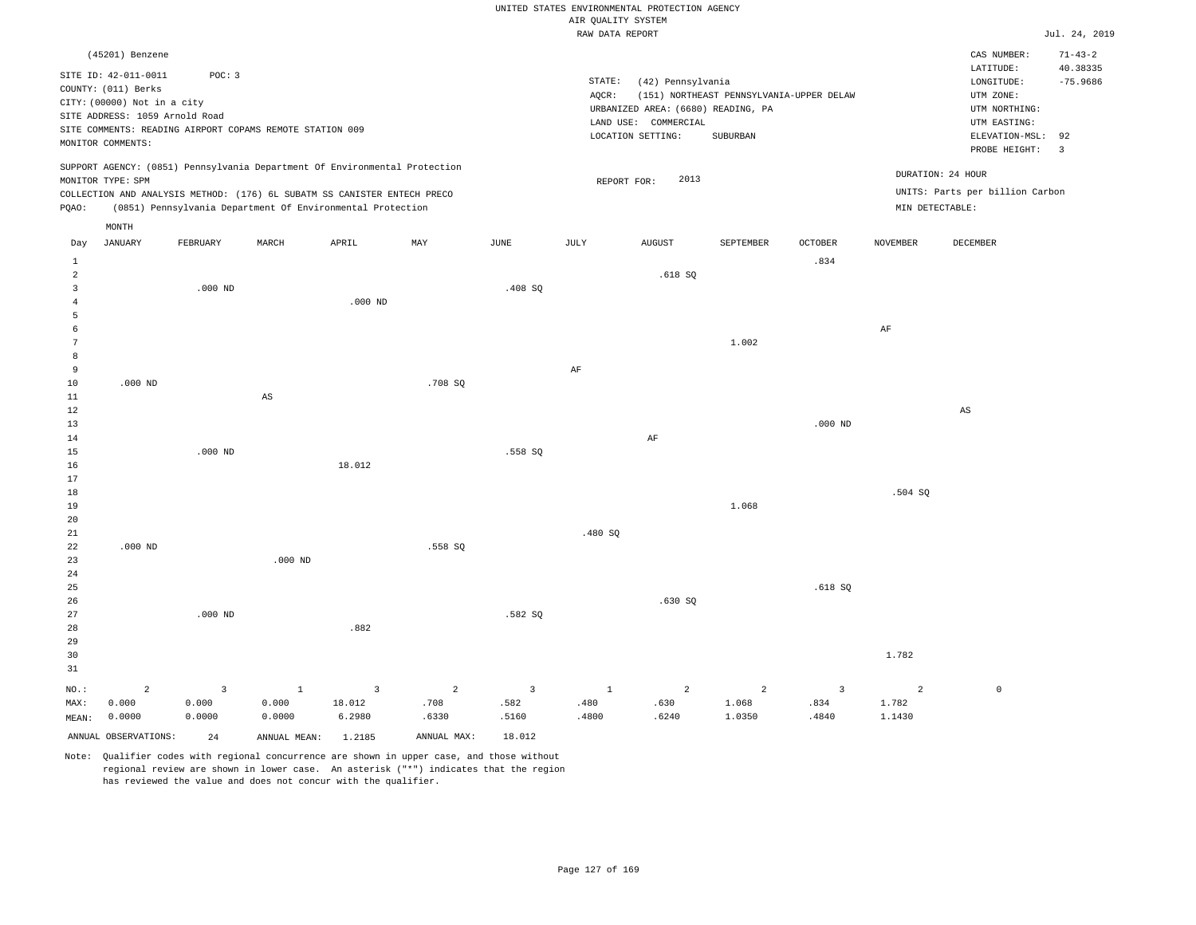|                     |                                |           |                                                                            |                |                |                |                    | UNITED STATES ENVIRONMENTAL PROTECTION AGENCY |                                          |                |                   |                                 |                |
|---------------------|--------------------------------|-----------|----------------------------------------------------------------------------|----------------|----------------|----------------|--------------------|-----------------------------------------------|------------------------------------------|----------------|-------------------|---------------------------------|----------------|
|                     |                                |           |                                                                            |                |                |                | AIR QUALITY SYSTEM |                                               |                                          |                |                   |                                 |                |
|                     |                                |           |                                                                            |                |                |                | RAW DATA REPORT    |                                               |                                          |                |                   |                                 | Jul. 24, 2019  |
|                     | (45201) Benzene                |           |                                                                            |                |                |                |                    |                                               |                                          |                |                   | CAS NUMBER:                     | $71 - 43 - 2$  |
|                     | SITE ID: 42-011-0011           | POC: 3    |                                                                            |                |                |                | STATE:             |                                               |                                          |                |                   | LATITUDE:                       | 40.38335       |
|                     | COUNTY: (011) Berks            |           |                                                                            |                |                |                |                    | (42) Pennsylvania                             | (151) NORTHEAST PENNSYLVANIA-UPPER DELAW |                |                   | LONGITUDE:                      | $-75.9686$     |
|                     | CITY: (00000) Not in a city    |           |                                                                            |                |                |                | AQCR:              | URBANIZED AREA: (6680) READING, PA            |                                          |                |                   | UTM ZONE:<br>UTM NORTHING:      |                |
|                     | SITE ADDRESS: 1059 Arnold Road |           |                                                                            |                |                |                |                    | LAND USE: COMMERCIAL                          |                                          |                |                   | UTM EASTING:                    |                |
|                     |                                |           | SITE COMMENTS: READING AIRPORT COPAMS REMOTE STATION 009                   |                |                |                |                    | LOCATION SETTING:                             | SUBURBAN                                 |                |                   | ELEVATION-MSL:                  | 92             |
|                     | MONITOR COMMENTS:              |           |                                                                            |                |                |                |                    |                                               |                                          |                |                   | PROBE HEIGHT:                   | $\overline{3}$ |
|                     |                                |           | SUPPORT AGENCY: (0851) Pennsylvania Department Of Environmental Protection |                |                |                |                    |                                               |                                          |                |                   |                                 |                |
|                     | MONITOR TYPE: SPM              |           |                                                                            |                |                |                | REPORT FOR:        | 2013                                          |                                          |                | DURATION: 24 HOUR |                                 |                |
|                     |                                |           | COLLECTION AND ANALYSIS METHOD: (176) 6L SUBATM SS CANISTER ENTECH PRECO   |                |                |                |                    |                                               |                                          |                |                   | UNITS: Parts per billion Carbon |                |
| PQAO:               |                                |           | (0851) Pennsylvania Department Of Environmental Protection                 |                |                |                |                    |                                               |                                          |                | MIN DETECTABLE:   |                                 |                |
|                     | MONTH                          |           |                                                                            |                |                |                |                    |                                               |                                          |                |                   |                                 |                |
| Day                 | <b>JANUARY</b>                 | FEBRUARY  | MARCH                                                                      | APRIL          | MAY            | JUNE           | JULY               | <b>AUGUST</b>                                 | SEPTEMBER                                | <b>OCTOBER</b> | <b>NOVEMBER</b>   | DECEMBER                        |                |
| 1                   |                                |           |                                                                            |                |                |                |                    |                                               |                                          | .834           |                   |                                 |                |
| $\overline{a}$      |                                |           |                                                                            |                |                |                |                    | .618SQ                                        |                                          |                |                   |                                 |                |
| $\overline{3}$      |                                | $.000$ ND |                                                                            |                |                | .408 SQ        |                    |                                               |                                          |                |                   |                                 |                |
| $\overline{4}$      |                                |           |                                                                            | $.000$ ND      |                |                |                    |                                               |                                          |                |                   |                                 |                |
| 5                   |                                |           |                                                                            |                |                |                |                    |                                               |                                          |                |                   |                                 |                |
| 6<br>$\overline{7}$ |                                |           |                                                                            |                |                |                |                    |                                               |                                          |                | AF                |                                 |                |
| 8                   |                                |           |                                                                            |                |                |                |                    |                                               | 1.002                                    |                |                   |                                 |                |
| 9                   |                                |           |                                                                            |                |                |                | AF                 |                                               |                                          |                |                   |                                 |                |
| $10$                | $.000$ ND                      |           |                                                                            |                | .708 SQ        |                |                    |                                               |                                          |                |                   |                                 |                |
| $1\,1$              |                                |           | $\mathbb{A}\mathbb{S}$                                                     |                |                |                |                    |                                               |                                          |                |                   |                                 |                |
| 12                  |                                |           |                                                                            |                |                |                |                    |                                               |                                          |                |                   | $\mathbb{A}\mathbb{S}$          |                |
| 13                  |                                |           |                                                                            |                |                |                |                    |                                               |                                          | $.000$ ND      |                   |                                 |                |
| 14                  |                                |           |                                                                            |                |                |                |                    | AF                                            |                                          |                |                   |                                 |                |
| 15                  |                                | $.000$ ND |                                                                            |                |                | .558 SQ        |                    |                                               |                                          |                |                   |                                 |                |
| 16                  |                                |           |                                                                            | 18.012         |                |                |                    |                                               |                                          |                |                   |                                 |                |
| 17                  |                                |           |                                                                            |                |                |                |                    |                                               |                                          |                |                   |                                 |                |
| $18$                |                                |           |                                                                            |                |                |                |                    |                                               |                                          |                | .504 SQ           |                                 |                |
| 19                  |                                |           |                                                                            |                |                |                |                    |                                               | 1.068                                    |                |                   |                                 |                |
| 20                  |                                |           |                                                                            |                |                |                |                    |                                               |                                          |                |                   |                                 |                |
| 21<br>22            | $.000$ ND                      |           |                                                                            |                | .558 SO        |                | .480 SQ            |                                               |                                          |                |                   |                                 |                |
| 23                  |                                |           | $.000$ ND                                                                  |                |                |                |                    |                                               |                                          |                |                   |                                 |                |
| 24                  |                                |           |                                                                            |                |                |                |                    |                                               |                                          |                |                   |                                 |                |
| 25                  |                                |           |                                                                            |                |                |                |                    |                                               |                                          | .618 SO        |                   |                                 |                |
| 26                  |                                |           |                                                                            |                |                |                |                    | .630SQ                                        |                                          |                |                   |                                 |                |
| 27                  |                                | $.000$ ND |                                                                            |                |                | .582 SO        |                    |                                               |                                          |                |                   |                                 |                |
| 28                  |                                |           |                                                                            | .882           |                |                |                    |                                               |                                          |                |                   |                                 |                |
| 29                  |                                |           |                                                                            |                |                |                |                    |                                               |                                          |                |                   |                                 |                |
| 30                  |                                |           |                                                                            |                |                |                |                    |                                               |                                          |                | 1.782             |                                 |                |
| 31                  |                                |           |                                                                            |                |                |                |                    |                                               |                                          |                |                   |                                 |                |
| NO.:                | $\overline{a}$                 | 3         | $\mathbf{1}$                                                               | $\overline{3}$ | $\overline{a}$ | $\overline{3}$ | <sup>1</sup>       | 2                                             | 2                                        | $\overline{3}$ | $\overline{a}$    | $\mathbb O$                     |                |
| MAX:                | 0.000                          | 0.000     | 0.000                                                                      | 18.012         | .708           | .582           | .480               | .630                                          | 1.068                                    | .834           | 1.782             |                                 |                |
| MEAN:               | 0.0000                         | 0.0000    | 0.0000                                                                     | 6.2980         | .6330          | .5160          | .4800              | .6240                                         | 1.0350                                   | .4840          | 1.1430            |                                 |                |
|                     | ANNUAL OBSERVATIONS:           | 2.4       | ANNUAL MEAN: 1.2185                                                        |                | ANNUAL MAX:    | 18.012         |                    |                                               |                                          |                |                   |                                 |                |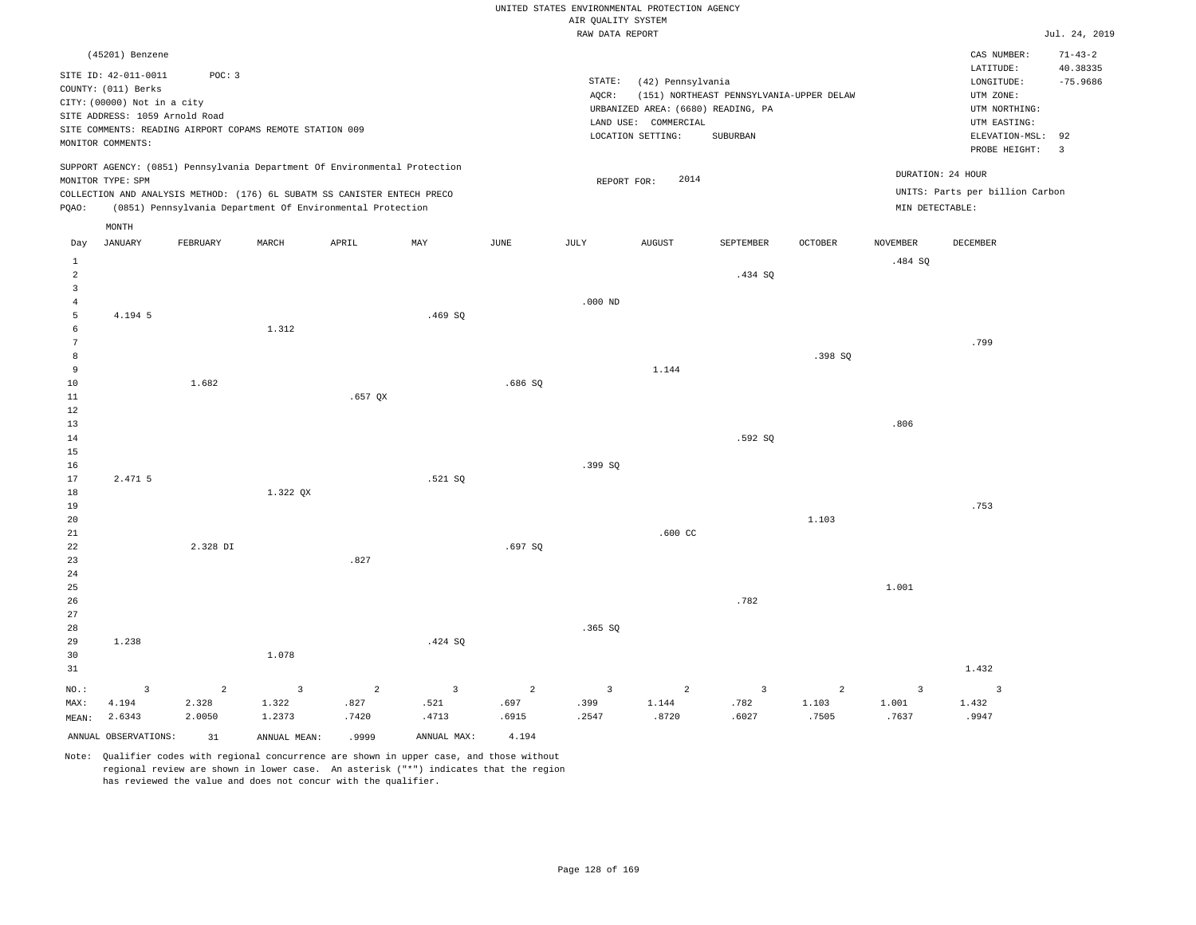|                      |                                                          |                |                |                                                                            |                |                | UNITED STATES ENVIRONMENTAL PROTECTION AGENCY |                      |                                          |                |                 |                                 |                         |
|----------------------|----------------------------------------------------------|----------------|----------------|----------------------------------------------------------------------------|----------------|----------------|-----------------------------------------------|----------------------|------------------------------------------|----------------|-----------------|---------------------------------|-------------------------|
|                      |                                                          |                |                |                                                                            |                |                | AIR QUALITY SYSTEM<br>RAW DATA REPORT         |                      |                                          |                |                 |                                 | Jul. 24, 2019           |
|                      |                                                          |                |                |                                                                            |                |                |                                               |                      |                                          |                |                 |                                 |                         |
|                      | (45201) Benzene                                          |                |                |                                                                            |                |                |                                               |                      |                                          |                |                 | CAS NUMBER:                     | $71 - 43 - 2$           |
|                      | SITE ID: 42-011-0011                                     | POC: 3         |                |                                                                            |                |                | STATE:                                        | (42) Pennsylvania    |                                          |                |                 | LATITUDE:<br>LONGITUDE:         | 40.38335<br>$-75.9686$  |
|                      | COUNTY: (011) Berks                                      |                |                |                                                                            |                |                | AQCR:                                         |                      | (151) NORTHEAST PENNSYLVANIA-UPPER DELAW |                |                 | UTM ZONE:                       |                         |
|                      | CITY: (00000) Not in a city                              |                |                |                                                                            |                |                | URBANIZED AREA: (6680) READING, PA            | UTM NORTHING:        |                                          |                |                 |                                 |                         |
|                      | SITE ADDRESS: 1059 Arnold Road                           |                |                |                                                                            |                |                |                                               | LAND USE: COMMERCIAL |                                          |                |                 | UTM EASTING:                    |                         |
|                      | SITE COMMENTS: READING AIRPORT COPAMS REMOTE STATION 009 |                |                |                                                                            |                |                |                                               | LOCATION SETTING:    | SUBURBAN                                 |                |                 | ELEVATION-MSL:                  | 92                      |
|                      | MONITOR COMMENTS:                                        |                |                |                                                                            |                |                |                                               |                      |                                          |                |                 | PROBE HEIGHT:                   | $\overline{\mathbf{3}}$ |
|                      |                                                          |                |                | SUPPORT AGENCY: (0851) Pennsylvania Department Of Environmental Protection |                |                |                                               |                      |                                          |                |                 | DURATION: 24 HOUR               |                         |
|                      | MONITOR TYPE: SPM                                        |                |                |                                                                            |                |                | REPORT FOR:                                   | 2014                 |                                          |                |                 |                                 |                         |
|                      |                                                          |                |                | COLLECTION AND ANALYSIS METHOD: (176) 6L SUBATM SS CANISTER ENTECH PRECO   |                |                |                                               |                      |                                          |                |                 | UNITS: Parts per billion Carbon |                         |
| PQAO:                |                                                          |                |                | (0851) Pennsylvania Department Of Environmental Protection                 |                |                |                                               |                      |                                          |                | MIN DETECTABLE: |                                 |                         |
|                      | MONTH                                                    |                |                |                                                                            |                |                |                                               |                      |                                          |                |                 |                                 |                         |
| Day                  | <b>JANUARY</b>                                           | FEBRUARY       | MARCH          | APRIL                                                                      | MAY            | <b>JUNE</b>    | JULY                                          | <b>AUGUST</b>        | SEPTEMBER                                | <b>OCTOBER</b> | <b>NOVEMBER</b> | DECEMBER                        |                         |
| $\mathbf{1}$         |                                                          |                |                |                                                                            |                |                |                                               |                      |                                          |                | .484 SQ         |                                 |                         |
| 2                    |                                                          |                |                |                                                                            |                |                |                                               |                      | .434 SO                                  |                |                 |                                 |                         |
| $\overline{3}$       |                                                          |                |                |                                                                            |                |                |                                               |                      |                                          |                |                 |                                 |                         |
| $\overline{4}$       |                                                          |                |                |                                                                            |                |                | $.000$ ND                                     |                      |                                          |                |                 |                                 |                         |
| 5                    | 4.194 5                                                  |                |                |                                                                            | .469SQ         |                |                                               |                      |                                          |                |                 |                                 |                         |
| 6<br>$7\phantom{.0}$ |                                                          |                | 1.312          |                                                                            |                |                |                                               |                      |                                          |                |                 |                                 |                         |
| 8                    |                                                          |                |                |                                                                            |                |                |                                               |                      |                                          | .398 SQ        |                 | .799                            |                         |
| 9                    |                                                          |                |                |                                                                            |                |                |                                               | 1.144                |                                          |                |                 |                                 |                         |
| 10                   |                                                          | 1.682          |                |                                                                            |                | .686 SO        |                                               |                      |                                          |                |                 |                                 |                         |
| 11                   |                                                          |                |                | $.657$ QX                                                                  |                |                |                                               |                      |                                          |                |                 |                                 |                         |
| 12                   |                                                          |                |                |                                                                            |                |                |                                               |                      |                                          |                |                 |                                 |                         |
| 13                   |                                                          |                |                |                                                                            |                |                |                                               |                      |                                          |                | .806            |                                 |                         |
| 14                   |                                                          |                |                |                                                                            |                |                |                                               |                      | .592 SO                                  |                |                 |                                 |                         |
| 15                   |                                                          |                |                |                                                                            |                |                |                                               |                      |                                          |                |                 |                                 |                         |
| 16                   |                                                          |                |                |                                                                            |                |                | .399SQ                                        |                      |                                          |                |                 |                                 |                         |
| 17                   | 2.471 5                                                  |                |                |                                                                            | .521 SQ        |                |                                               |                      |                                          |                |                 |                                 |                         |
| 18<br>19             |                                                          |                | 1.322 QX       |                                                                            |                |                |                                               |                      |                                          |                |                 | .753                            |                         |
| 20                   |                                                          |                |                |                                                                            |                |                |                                               |                      |                                          | 1.103          |                 |                                 |                         |
| 21                   |                                                          |                |                |                                                                            |                |                |                                               | $.600$ CC            |                                          |                |                 |                                 |                         |
| 22                   |                                                          | 2.328 DI       |                |                                                                            |                | .697SQ         |                                               |                      |                                          |                |                 |                                 |                         |
| 23                   |                                                          |                |                | .827                                                                       |                |                |                                               |                      |                                          |                |                 |                                 |                         |
| 24                   |                                                          |                |                |                                                                            |                |                |                                               |                      |                                          |                |                 |                                 |                         |
| 25                   |                                                          |                |                |                                                                            |                |                |                                               |                      |                                          |                | 1.001           |                                 |                         |
| 26                   |                                                          |                |                |                                                                            |                |                |                                               |                      | .782                                     |                |                 |                                 |                         |
| 27                   |                                                          |                |                |                                                                            |                |                |                                               |                      |                                          |                |                 |                                 |                         |
| 28                   |                                                          |                |                |                                                                            |                |                | .365SQ                                        |                      |                                          |                |                 |                                 |                         |
| 29<br>30             | 1.238                                                    |                | 1.078          |                                                                            | .424 SQ        |                |                                               |                      |                                          |                |                 |                                 |                         |
| 31                   |                                                          |                |                |                                                                            |                |                |                                               |                      |                                          |                |                 | 1.432                           |                         |
| NO.:                 | $\overline{3}$                                           | $\overline{a}$ | $\overline{3}$ | $\overline{a}$                                                             | $\overline{3}$ | $\overline{2}$ | $\overline{3}$                                | $\overline{a}$       | 3                                        | $\overline{a}$ | $\overline{3}$  | $\overline{3}$                  |                         |
| MAX:                 | 4.194                                                    | 2.328          | 1.322          | .827                                                                       | .521           | .697           | .399                                          | 1.144                | .782                                     | 1.103          | 1.001           | 1.432                           |                         |
| MEAN:                | 2.6343                                                   | 2.0050         | 1.2373         | .7420                                                                      | .4713          | .6915          | .2547                                         | .8720                | .6027                                    | .7505          | .7637           | .9947                           |                         |
|                      | ANNUAL OBSERVATIONS:                                     | 31             | ANNUAL MEAN:   | .9999                                                                      | ANNUAL MAX:    | 4.194          |                                               |                      |                                          |                |                 |                                 |                         |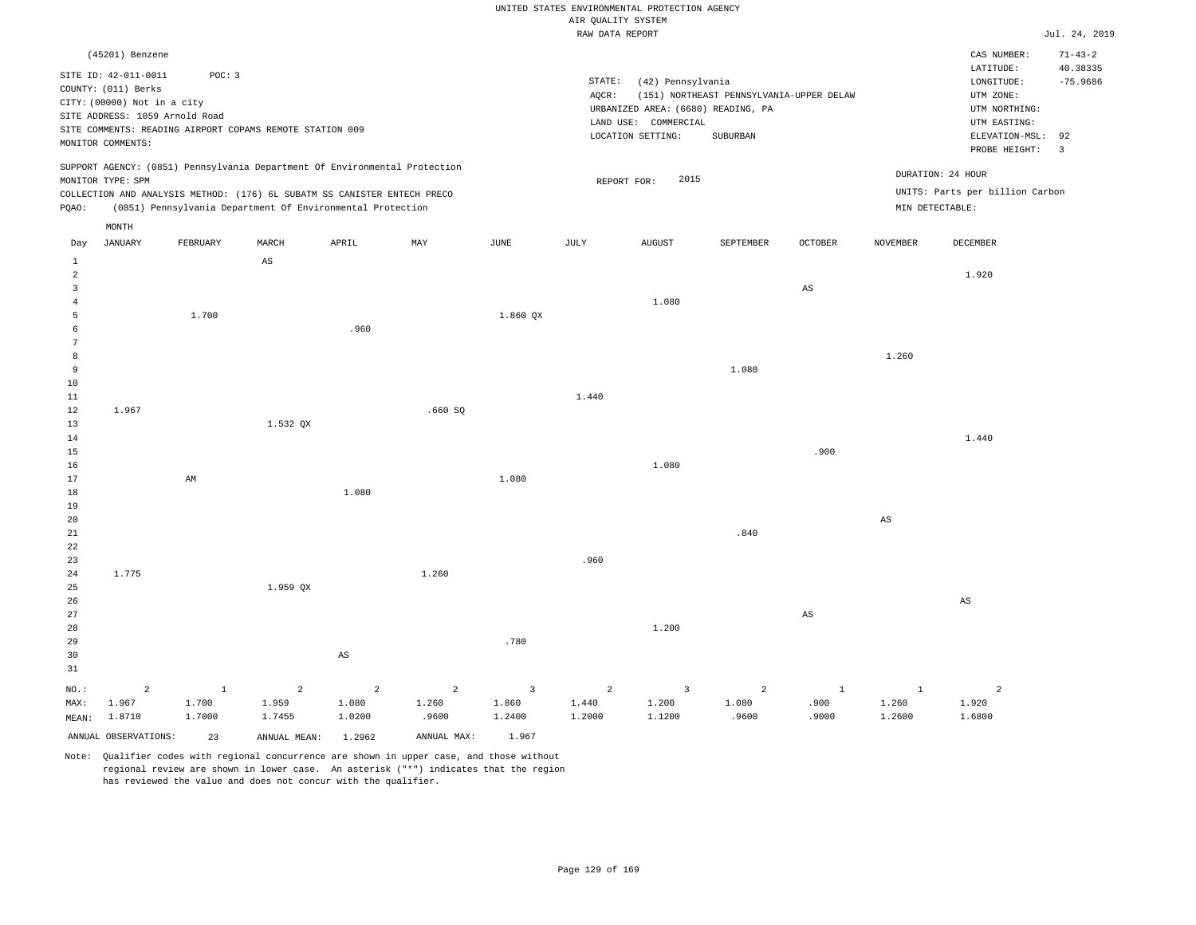|                                                                                                                                                                                                         | UNITED STATES ENVIRONMENTAL PROTECTION AGENCY                                                                                                                                      |
|---------------------------------------------------------------------------------------------------------------------------------------------------------------------------------------------------------|------------------------------------------------------------------------------------------------------------------------------------------------------------------------------------|
|                                                                                                                                                                                                         | AIR OUALITY SYSTEM                                                                                                                                                                 |
|                                                                                                                                                                                                         | RAW DATA REPORT                                                                                                                                                                    |
| (45201) Benzene                                                                                                                                                                                         |                                                                                                                                                                                    |
| SITE ID: 42-011-0011<br>POC: 3<br>COUNTY: (011) Berks<br>CITY: (00000) Not in a city<br>SITE ADDRESS: 1059 Arnold Road<br>SITE COMMENTS: READING AIRPORT COPAMS REMOTE STATION 009<br>MONITOR COMMENTS: | STATE:<br>(42) Pennsylvania<br>(151) NORTHEAST PENNSYLVANIA-UPPER DELAW<br>AOCR:<br>URBANIZED AREA: (6680) READING, PA<br>COMMERCIAL<br>LAND USE:<br>LOCATION SETTING:<br>SUBURBAN |

REPORT FOR: 2015

Jul. 24, 2019

CAS NUMBER: 71-43-2

LONGITUDE: -75.9686 LATITUDE: 40.38335

PROBE HEIGHT: 3 ELEVATION-MSL: 92

UTM NORTHING: UTM EASTING:

UTM ZONE:

UNITS: Parts per billion Carbon

DURATION: 24 HOUR

SUPPORT AGENCY: (0851) Pennsylvania Department Of Environmental Protection MONITOR TYPE: SPM

COLLECTION AND ANALYSIS METHOD: (176) 6L SUBATM SS CANISTER ENTECH PRECO PQAO: (0851) Pennsylvania Department Of Environmental Protection MIN DETECTABLE:

|                                                                                       | MONTH                             |                           |                                   |                                   |                                  |                                            |                                   |                                   |                                  |                               |                                 |                                   |
|---------------------------------------------------------------------------------------|-----------------------------------|---------------------------|-----------------------------------|-----------------------------------|----------------------------------|--------------------------------------------|-----------------------------------|-----------------------------------|----------------------------------|-------------------------------|---------------------------------|-----------------------------------|
| Day                                                                                   | <b>JANUARY</b>                    | FEBRUARY                  | MARCH                             | ${\tt APRIL}$                     | $\ensuremath{\text{MAX}}$        | $_{\rm JUNE}$                              | $\mathtt{JULY}$                   | AUGUST                            | SEPTEMBER                        | OCTOBER                       | NOVEMBER                        | DECEMBER                          |
| $\mathbf{1}$<br>$\overline{a}$<br>$\overline{\mathbf{3}}$<br>$\overline{4}$<br>5<br>6 |                                   | 1.700                     | $\mathbb{A}\mathbb{S}$            | .960                              |                                  | 1.860 QX                                   |                                   | 1.080                             |                                  | $\mathbb{A}\mathbb{S}$        |                                 | 1.920                             |
| $7\phantom{.0}$<br>8<br>9<br>$10$<br>$11\,$                                           |                                   |                           |                                   |                                   |                                  |                                            | 1.440                             |                                   | 1.080                            |                               | 1.260                           |                                   |
| 12<br>13<br>14<br>15<br>16                                                            | 1.967                             |                           | 1.532 QX                          |                                   | .660SQ                           |                                            |                                   | 1.080                             |                                  | .900                          |                                 | 1.440                             |
| 17<br>$1\,8$<br>19<br>$20\,$<br>$2\sqrt{1}$                                           |                                   | $\mathbb{A}\mathbb{M}$    |                                   | 1.080                             |                                  | 1.080                                      |                                   |                                   | .840                             |                               | AS                              |                                   |
| $2\sqrt{2}$<br>23<br>24<br>25<br>$26\,$                                               | 1.775                             |                           | 1.959 QX                          |                                   | 1.260                            |                                            | .960                              |                                   |                                  |                               |                                 | $\mathbb{A}\mathbb{S}$            |
| 27<br>28<br>29<br>30<br>31                                                            |                                   |                           |                                   | $\mathbb{A}\mathbb{S}$            |                                  | .780                                       |                                   | 1.200                             |                                  | $\mathbb{A}\mathbb{S}$        |                                 |                                   |
| NO.:<br>MAX:<br>MEAN:                                                                 | $\overline{a}$<br>1.967<br>1.8710 | $\,$ 1<br>1.700<br>1.7000 | $\overline{a}$<br>1.959<br>1.7455 | $\overline{a}$<br>1.080<br>1.0200 | $\overline{a}$<br>1.260<br>.9600 | $\overline{\mathbf{3}}$<br>1.860<br>1.2400 | $\overline{a}$<br>1.440<br>1.2000 | $\overline{3}$<br>1.200<br>1.1200 | $\overline{c}$<br>1.080<br>.9600 | $\mathbf{1}$<br>.900<br>.9000 | $\mathbf{1}$<br>1.260<br>1.2600 | $\overline{a}$<br>1.920<br>1.6800 |
|                                                                                       | ANNUAL OBSERVATIONS:              | 23                        | ANNUAL MEAN:                      | 1.2962                            | ANNUAL MAX:                      | 1.967                                      |                                   |                                   |                                  |                               |                                 |                                   |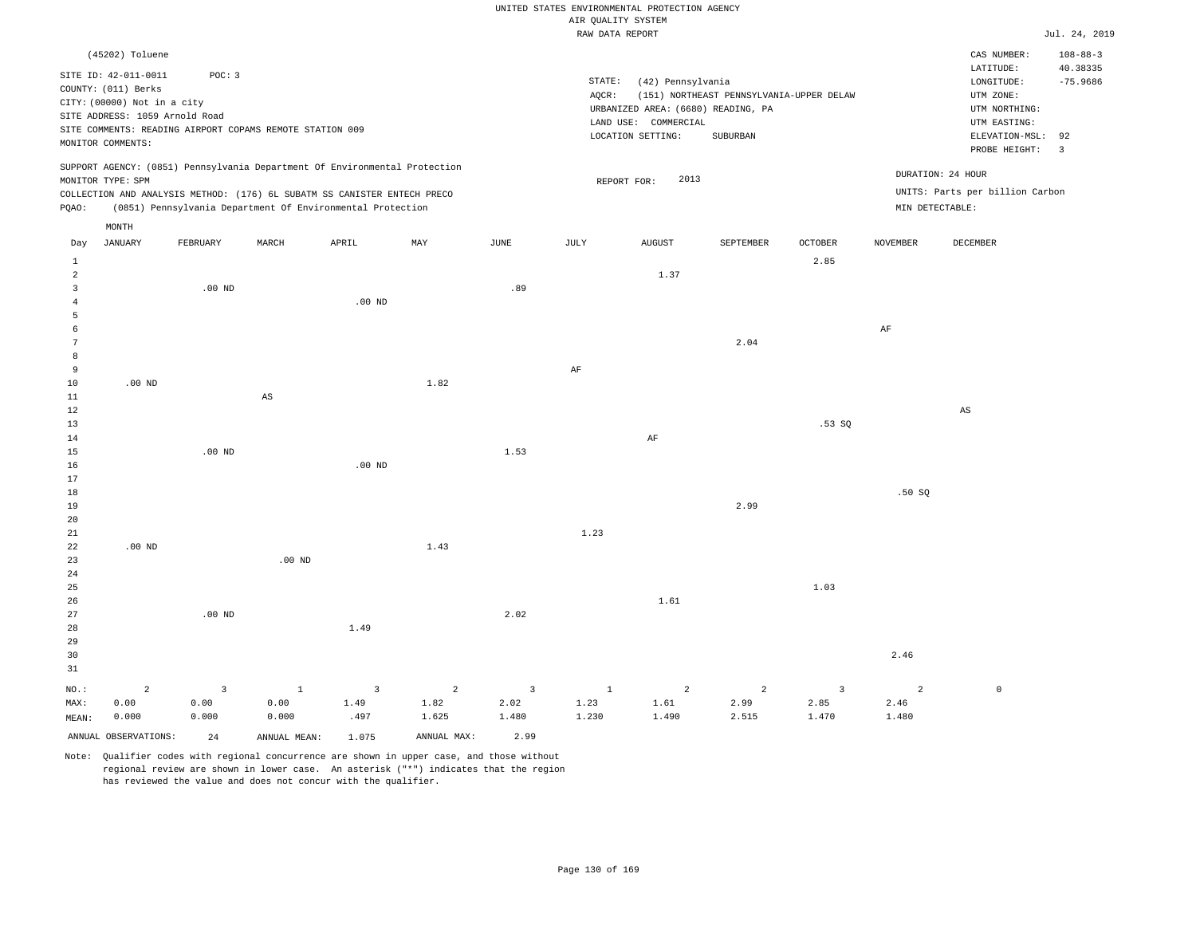|                         |                                                                                                                                                      |                                                                    |                   |                                                                                                                                        |                |                |                                       | UNITED STATES ENVIRONMENTAL PROTECTION AGENCY                                                        |                                                      |                |                 |                                                                                                                         |                                                                  |
|-------------------------|------------------------------------------------------------------------------------------------------------------------------------------------------|--------------------------------------------------------------------|-------------------|----------------------------------------------------------------------------------------------------------------------------------------|----------------|----------------|---------------------------------------|------------------------------------------------------------------------------------------------------|------------------------------------------------------|----------------|-----------------|-------------------------------------------------------------------------------------------------------------------------|------------------------------------------------------------------|
|                         |                                                                                                                                                      |                                                                    |                   |                                                                                                                                        |                |                | AIR QUALITY SYSTEM<br>RAW DATA REPORT |                                                                                                      |                                                      |                |                 |                                                                                                                         | Jul. 24, 2019                                                    |
|                         |                                                                                                                                                      |                                                                    |                   |                                                                                                                                        |                |                |                                       |                                                                                                      |                                                      |                |                 |                                                                                                                         |                                                                  |
|                         | (45202) Toluene<br>SITE ID: 42-011-0011<br>COUNTY: (011) Berks<br>CITY: (00000) Not in a city<br>SITE ADDRESS: 1059 Arnold Road<br>MONITOR COMMENTS: | POC: 3<br>SITE COMMENTS: READING AIRPORT COPAMS REMOTE STATION 009 |                   |                                                                                                                                        |                |                | STATE:<br>AQCR:                       | (42) Pennsylvania<br>URBANIZED AREA: (6680) READING, PA<br>LAND USE: COMMERCIAL<br>LOCATION SETTING: | (151) NORTHEAST PENNSYLVANIA-UPPER DELAW<br>SUBURBAN |                |                 | CAS NUMBER:<br>LATITUDE:<br>LONGITUDE:<br>UTM ZONE:<br>UTM NORTHING:<br>UTM EASTING:<br>ELEVATION-MSL:<br>PROBE HEIGHT: | $108 - 88 - 3$<br>40.38335<br>$-75.9686$<br>92<br>$\overline{3}$ |
|                         |                                                                                                                                                      |                                                                    |                   | SUPPORT AGENCY: (0851) Pennsylvania Department Of Environmental Protection                                                             |                |                |                                       |                                                                                                      |                                                      |                |                 |                                                                                                                         |                                                                  |
|                         | MONITOR TYPE: SPM                                                                                                                                    |                                                                    |                   |                                                                                                                                        |                |                |                                       | 2013<br>REPORT FOR:                                                                                  |                                                      |                |                 | DURATION: 24 HOUR                                                                                                       |                                                                  |
| PQAO:                   |                                                                                                                                                      |                                                                    |                   | COLLECTION AND ANALYSIS METHOD: (176) 6L SUBATM SS CANISTER ENTECH PRECO<br>(0851) Pennsylvania Department Of Environmental Protection |                |                |                                       |                                                                                                      |                                                      |                | MIN DETECTABLE: | UNITS: Parts per billion Carbon                                                                                         |                                                                  |
|                         | MONTH                                                                                                                                                |                                                                    |                   |                                                                                                                                        |                |                |                                       |                                                                                                      |                                                      |                |                 |                                                                                                                         |                                                                  |
| Day                     | <b>JANUARY</b>                                                                                                                                       | FEBRUARY                                                           | MARCH             | APRIL                                                                                                                                  | MAY            | JUNE           | JULY                                  | <b>AUGUST</b>                                                                                        | SEPTEMBER                                            | OCTOBER        | <b>NOVEMBER</b> | DECEMBER                                                                                                                |                                                                  |
| 1<br>$\overline{a}$     |                                                                                                                                                      |                                                                    |                   |                                                                                                                                        |                |                |                                       | 1.37                                                                                                 |                                                      | 2.85           |                 |                                                                                                                         |                                                                  |
| $\overline{\mathbf{3}}$ |                                                                                                                                                      | $.00$ ND                                                           |                   |                                                                                                                                        |                | .89            |                                       |                                                                                                      |                                                      |                |                 |                                                                                                                         |                                                                  |
| $\overline{4}$          |                                                                                                                                                      |                                                                    |                   | $.00$ ND                                                                                                                               |                |                |                                       |                                                                                                      |                                                      |                |                 |                                                                                                                         |                                                                  |
| 5<br>6                  |                                                                                                                                                      |                                                                    |                   |                                                                                                                                        |                |                |                                       |                                                                                                      |                                                      |                | $\rm{AF}$       |                                                                                                                         |                                                                  |
| $\overline{7}$          |                                                                                                                                                      |                                                                    |                   |                                                                                                                                        |                |                |                                       |                                                                                                      | 2.04                                                 |                |                 |                                                                                                                         |                                                                  |
| 8                       |                                                                                                                                                      |                                                                    |                   |                                                                                                                                        |                |                |                                       |                                                                                                      |                                                      |                |                 |                                                                                                                         |                                                                  |
| 9                       |                                                                                                                                                      |                                                                    |                   |                                                                                                                                        |                |                | AF                                    |                                                                                                      |                                                      |                |                 |                                                                                                                         |                                                                  |
| 10                      | $.00$ ND                                                                                                                                             |                                                                    |                   |                                                                                                                                        | 1.82           |                |                                       |                                                                                                      |                                                      |                |                 |                                                                                                                         |                                                                  |
| 11<br>12                |                                                                                                                                                      |                                                                    | $_{\rm AS}$       |                                                                                                                                        |                |                |                                       |                                                                                                      |                                                      |                |                 | AS                                                                                                                      |                                                                  |
| 13                      |                                                                                                                                                      |                                                                    |                   |                                                                                                                                        |                |                |                                       |                                                                                                      |                                                      | .53 SO         |                 |                                                                                                                         |                                                                  |
| 14                      |                                                                                                                                                      |                                                                    |                   |                                                                                                                                        |                |                |                                       | AF                                                                                                   |                                                      |                |                 |                                                                                                                         |                                                                  |
| 15                      |                                                                                                                                                      | $.00$ ND                                                           |                   |                                                                                                                                        |                | 1.53           |                                       |                                                                                                      |                                                      |                |                 |                                                                                                                         |                                                                  |
| 16                      |                                                                                                                                                      |                                                                    |                   | $.00$ ND                                                                                                                               |                |                |                                       |                                                                                                      |                                                      |                |                 |                                                                                                                         |                                                                  |
| 17<br>18                |                                                                                                                                                      |                                                                    |                   |                                                                                                                                        |                |                |                                       |                                                                                                      |                                                      |                | .50S            |                                                                                                                         |                                                                  |
| 19                      |                                                                                                                                                      |                                                                    |                   |                                                                                                                                        |                |                |                                       |                                                                                                      | 2.99                                                 |                |                 |                                                                                                                         |                                                                  |
| 20                      |                                                                                                                                                      |                                                                    |                   |                                                                                                                                        |                |                |                                       |                                                                                                      |                                                      |                |                 |                                                                                                                         |                                                                  |
| $21\,$                  |                                                                                                                                                      |                                                                    |                   |                                                                                                                                        |                |                | 1.23                                  |                                                                                                      |                                                      |                |                 |                                                                                                                         |                                                                  |
| 22                      | $.00$ ND                                                                                                                                             |                                                                    | .00 <sub>ND</sub> |                                                                                                                                        | 1.43           |                |                                       |                                                                                                      |                                                      |                |                 |                                                                                                                         |                                                                  |
| 23<br>24                |                                                                                                                                                      |                                                                    |                   |                                                                                                                                        |                |                |                                       |                                                                                                      |                                                      |                |                 |                                                                                                                         |                                                                  |
| 25                      |                                                                                                                                                      |                                                                    |                   |                                                                                                                                        |                |                |                                       |                                                                                                      |                                                      | 1.03           |                 |                                                                                                                         |                                                                  |
| 26                      |                                                                                                                                                      |                                                                    |                   |                                                                                                                                        |                |                |                                       | 1.61                                                                                                 |                                                      |                |                 |                                                                                                                         |                                                                  |
| 27                      |                                                                                                                                                      | $.00$ ND                                                           |                   |                                                                                                                                        |                | 2.02           |                                       |                                                                                                      |                                                      |                |                 |                                                                                                                         |                                                                  |
| 28<br>29                |                                                                                                                                                      |                                                                    |                   | 1.49                                                                                                                                   |                |                |                                       |                                                                                                      |                                                      |                |                 |                                                                                                                         |                                                                  |
| 30                      |                                                                                                                                                      |                                                                    |                   |                                                                                                                                        |                |                |                                       |                                                                                                      |                                                      |                | 2.46            |                                                                                                                         |                                                                  |
| 31                      |                                                                                                                                                      |                                                                    |                   |                                                                                                                                        |                |                |                                       |                                                                                                      |                                                      |                |                 |                                                                                                                         |                                                                  |
| NO.:                    | $\overline{a}$                                                                                                                                       | $\overline{3}$                                                     | $\,$ 1            | $\overline{\mathbf{3}}$                                                                                                                | $\overline{a}$ | $\overline{3}$ | $1\,$                                 | $\overline{a}$                                                                                       | $\overline{a}$                                       | $\overline{3}$ | $\overline{a}$  | $\mathbb O$                                                                                                             |                                                                  |
| MAX:                    | 0.00                                                                                                                                                 | 0.00                                                               | 0.00              | 1.49                                                                                                                                   | 1.82           | 2.02           | 1.23                                  | 1.61                                                                                                 | 2.99                                                 | 2.85           | 2.46            |                                                                                                                         |                                                                  |

ANNUAL OBSERVATIONS: 24 ANNUAL MEAN: 1.075 ANNUAL MAX: 2.99

.497

1.625

1.480

0.000

NO.: MAX: MEAN:

0.000

0.000

1.230

1.490

2.515

1.470

1.480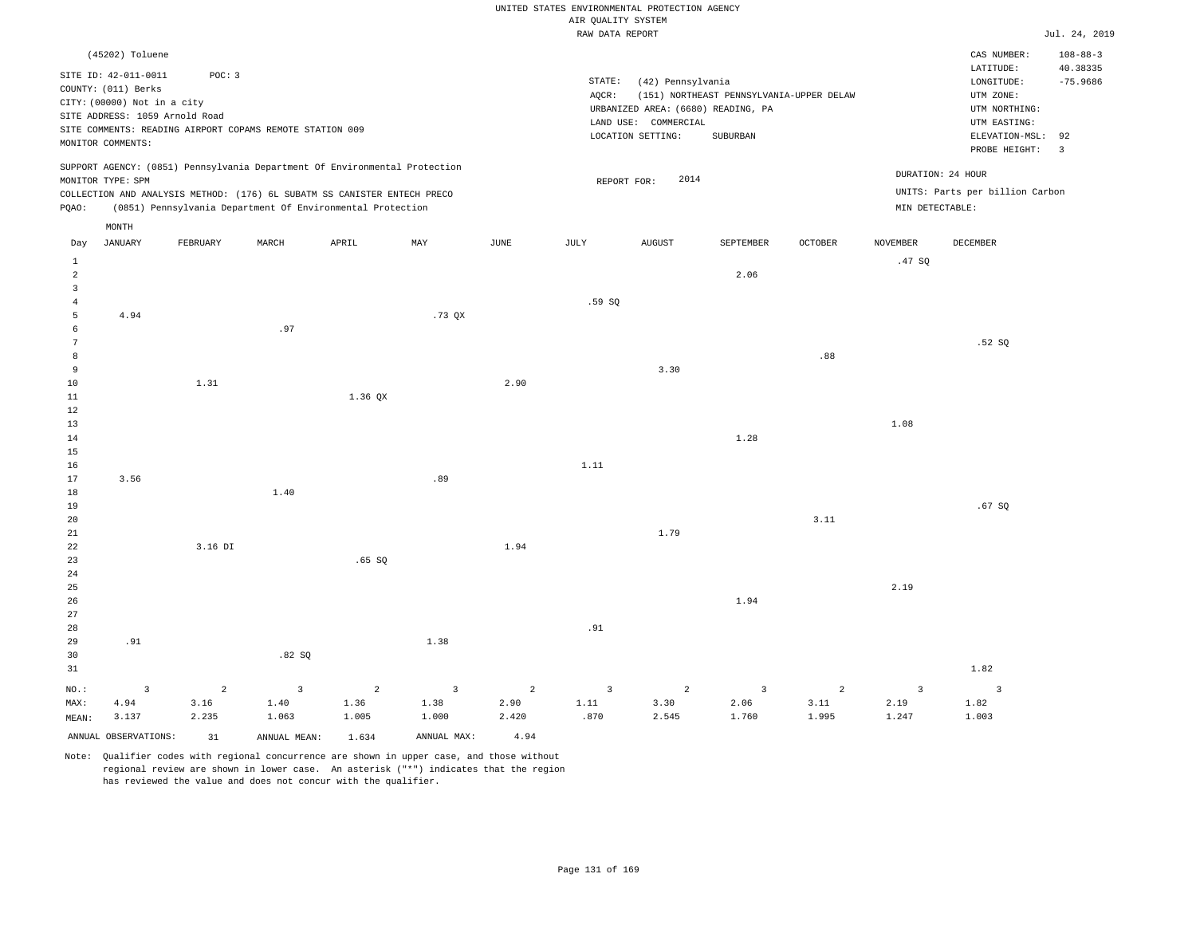|                                           |                                                                                                                                                      |                |                                                                                                                                                        |                |                           |                 | UNITED STATES ENVIRONMENTAL PROTECTION AGENCY<br>AIR QUALITY SYSTEM<br>RAW DATA REPORT |                                                                                                      |                                                      |                |                 |                                                                                                                         | Jul. 24, 2019                                                             |
|-------------------------------------------|------------------------------------------------------------------------------------------------------------------------------------------------------|----------------|--------------------------------------------------------------------------------------------------------------------------------------------------------|----------------|---------------------------|-----------------|----------------------------------------------------------------------------------------|------------------------------------------------------------------------------------------------------|------------------------------------------------------|----------------|-----------------|-------------------------------------------------------------------------------------------------------------------------|---------------------------------------------------------------------------|
|                                           |                                                                                                                                                      |                |                                                                                                                                                        |                |                           |                 |                                                                                        |                                                                                                      |                                                      |                |                 |                                                                                                                         |                                                                           |
|                                           | (45202) Toluene<br>SITE ID: 42-011-0011<br>COUNTY: (011) Berks<br>CITY: (00000) Not in a city<br>SITE ADDRESS: 1059 Arnold Road<br>MONITOR COMMENTS: | POC: 3         | SITE COMMENTS: READING AIRPORT COPAMS REMOTE STATION 009                                                                                               |                |                           |                 | STATE:<br>AQCR:                                                                        | (42) Pennsylvania<br>URBANIZED AREA: (6680) READING, PA<br>LAND USE: COMMERCIAL<br>LOCATION SETTING: | (151) NORTHEAST PENNSYLVANIA-UPPER DELAW<br>SUBURBAN |                |                 | CAS NUMBER:<br>LATITUDE:<br>LONGITUDE:<br>UTM ZONE:<br>UTM NORTHING:<br>UTM EASTING:<br>ELEVATION-MSL:<br>PROBE HEIGHT: | $108 - 88 - 3$<br>40.38335<br>$-75.9686$<br>92<br>$\overline{\mathbf{3}}$ |
|                                           | MONITOR TYPE: SPM                                                                                                                                    |                | SUPPORT AGENCY: (0851) Pennsylvania Department Of Environmental Protection<br>COLLECTION AND ANALYSIS METHOD: (176) 6L SUBATM SS CANISTER ENTECH PRECO |                |                           |                 | REPORT FOR:                                                                            | 2014                                                                                                 |                                                      |                |                 | DURATION: 24 HOUR<br>UNITS: Parts per billion Carbon                                                                    |                                                                           |
| PQAO:                                     |                                                                                                                                                      |                | (0851) Pennsylvania Department Of Environmental Protection                                                                                             |                |                           |                 |                                                                                        |                                                                                                      |                                                      |                | MIN DETECTABLE: |                                                                                                                         |                                                                           |
|                                           | MONTH                                                                                                                                                |                |                                                                                                                                                        |                |                           |                 |                                                                                        |                                                                                                      |                                                      |                |                 |                                                                                                                         |                                                                           |
| Day                                       | JANUARY                                                                                                                                              | FEBRUARY       | MARCH                                                                                                                                                  | APRIL          | $\ensuremath{\text{MAX}}$ | $\mathtt{JUNE}$ | JULY                                                                                   | <b>AUGUST</b>                                                                                        | SEPTEMBER                                            | OCTOBER        | <b>NOVEMBER</b> | DECEMBER                                                                                                                |                                                                           |
| $\mathbf{1}$                              |                                                                                                                                                      |                |                                                                                                                                                        |                |                           |                 |                                                                                        |                                                                                                      |                                                      |                | .47 SO          |                                                                                                                         |                                                                           |
| $\overline{a}$<br>$\overline{\mathbf{3}}$ |                                                                                                                                                      |                |                                                                                                                                                        |                |                           |                 |                                                                                        |                                                                                                      | 2.06                                                 |                |                 |                                                                                                                         |                                                                           |
| $\overline{4}$                            |                                                                                                                                                      |                |                                                                                                                                                        |                |                           |                 | .59SQ                                                                                  |                                                                                                      |                                                      |                |                 |                                                                                                                         |                                                                           |
| 5                                         | 4.94                                                                                                                                                 |                |                                                                                                                                                        |                | .73QX                     |                 |                                                                                        |                                                                                                      |                                                      |                |                 |                                                                                                                         |                                                                           |
| 6                                         |                                                                                                                                                      |                | .97                                                                                                                                                    |                |                           |                 |                                                                                        |                                                                                                      |                                                      |                |                 |                                                                                                                         |                                                                           |
| $7\phantom{.0}$                           |                                                                                                                                                      |                |                                                                                                                                                        |                |                           |                 |                                                                                        |                                                                                                      |                                                      |                |                 | .52S                                                                                                                    |                                                                           |
| 8                                         |                                                                                                                                                      |                |                                                                                                                                                        |                |                           |                 |                                                                                        |                                                                                                      |                                                      | .88            |                 |                                                                                                                         |                                                                           |
| 9                                         |                                                                                                                                                      |                |                                                                                                                                                        |                |                           |                 |                                                                                        | 3.30                                                                                                 |                                                      |                |                 |                                                                                                                         |                                                                           |
| $10$<br>$1\,1$                            |                                                                                                                                                      | 1.31           |                                                                                                                                                        | 1.36 QX        |                           | 2.90            |                                                                                        |                                                                                                      |                                                      |                |                 |                                                                                                                         |                                                                           |
| 12                                        |                                                                                                                                                      |                |                                                                                                                                                        |                |                           |                 |                                                                                        |                                                                                                      |                                                      |                |                 |                                                                                                                         |                                                                           |
| 13                                        |                                                                                                                                                      |                |                                                                                                                                                        |                |                           |                 |                                                                                        |                                                                                                      |                                                      |                | 1.08            |                                                                                                                         |                                                                           |
| 14                                        |                                                                                                                                                      |                |                                                                                                                                                        |                |                           |                 |                                                                                        |                                                                                                      | 1.28                                                 |                |                 |                                                                                                                         |                                                                           |
| $15$                                      |                                                                                                                                                      |                |                                                                                                                                                        |                |                           |                 |                                                                                        |                                                                                                      |                                                      |                |                 |                                                                                                                         |                                                                           |
| 16                                        |                                                                                                                                                      |                |                                                                                                                                                        |                |                           |                 | 1.11                                                                                   |                                                                                                      |                                                      |                |                 |                                                                                                                         |                                                                           |
| 17                                        | 3.56                                                                                                                                                 |                |                                                                                                                                                        |                | .89                       |                 |                                                                                        |                                                                                                      |                                                      |                |                 |                                                                                                                         |                                                                           |
| 18<br>19                                  |                                                                                                                                                      |                | 1.40                                                                                                                                                   |                |                           |                 |                                                                                        |                                                                                                      |                                                      |                |                 | .67SQ                                                                                                                   |                                                                           |
| 20                                        |                                                                                                                                                      |                |                                                                                                                                                        |                |                           |                 |                                                                                        |                                                                                                      |                                                      | 3.11           |                 |                                                                                                                         |                                                                           |
| 21                                        |                                                                                                                                                      |                |                                                                                                                                                        |                |                           |                 |                                                                                        | 1.79                                                                                                 |                                                      |                |                 |                                                                                                                         |                                                                           |
| 22                                        |                                                                                                                                                      | 3.16 DI        |                                                                                                                                                        |                |                           | 1.94            |                                                                                        |                                                                                                      |                                                      |                |                 |                                                                                                                         |                                                                           |
| 23                                        |                                                                                                                                                      |                |                                                                                                                                                        | .65SQ          |                           |                 |                                                                                        |                                                                                                      |                                                      |                |                 |                                                                                                                         |                                                                           |
| 24                                        |                                                                                                                                                      |                |                                                                                                                                                        |                |                           |                 |                                                                                        |                                                                                                      |                                                      |                |                 |                                                                                                                         |                                                                           |
| 25                                        |                                                                                                                                                      |                |                                                                                                                                                        |                |                           |                 |                                                                                        |                                                                                                      |                                                      |                | 2.19            |                                                                                                                         |                                                                           |
| 26<br>$2\,7$                              |                                                                                                                                                      |                |                                                                                                                                                        |                |                           |                 |                                                                                        |                                                                                                      | 1.94                                                 |                |                 |                                                                                                                         |                                                                           |
| 28                                        |                                                                                                                                                      |                |                                                                                                                                                        |                |                           |                 | .91                                                                                    |                                                                                                      |                                                      |                |                 |                                                                                                                         |                                                                           |
| 29                                        | .91                                                                                                                                                  |                |                                                                                                                                                        |                | 1.38                      |                 |                                                                                        |                                                                                                      |                                                      |                |                 |                                                                                                                         |                                                                           |
| 30                                        |                                                                                                                                                      |                | .82S                                                                                                                                                   |                |                           |                 |                                                                                        |                                                                                                      |                                                      |                |                 |                                                                                                                         |                                                                           |
| 31                                        |                                                                                                                                                      |                |                                                                                                                                                        |                |                           |                 |                                                                                        |                                                                                                      |                                                      |                |                 | 1.82                                                                                                                    |                                                                           |
| NO.:                                      | $\overline{3}$                                                                                                                                       | $\overline{a}$ | $\overline{3}$                                                                                                                                         | $\overline{c}$ | $\overline{\mathbf{3}}$   | $\overline{a}$  | $\overline{\mathbf{3}}$                                                                | $\overline{c}$                                                                                       | $\overline{\mathbf{3}}$                              | $\overline{a}$ | $\overline{3}$  | $\overline{3}$                                                                                                          |                                                                           |
| MAX:                                      | 4.94                                                                                                                                                 | 3.16           | 1.40                                                                                                                                                   | 1.36           | 1.38                      | 2.90            | 1.11                                                                                   | 3.30                                                                                                 | 2.06                                                 | 3.11           | 2.19            | 1.82                                                                                                                    |                                                                           |
| MEAN:                                     | 3.137                                                                                                                                                | 2.235          | 1.063                                                                                                                                                  | 1.005          | 1.000                     | 2.420           | .870                                                                                   | 2.545                                                                                                | 1.760                                                | 1.995          | 1.247           | 1.003                                                                                                                   |                                                                           |
|                                           | ANNUAL OBSERVATIONS:                                                                                                                                 | 31             | ANNUAL MEAN:                                                                                                                                           | 1.634          | ANNUAL MAX:               | 4.94            |                                                                                        |                                                                                                      |                                                      |                |                 |                                                                                                                         |                                                                           |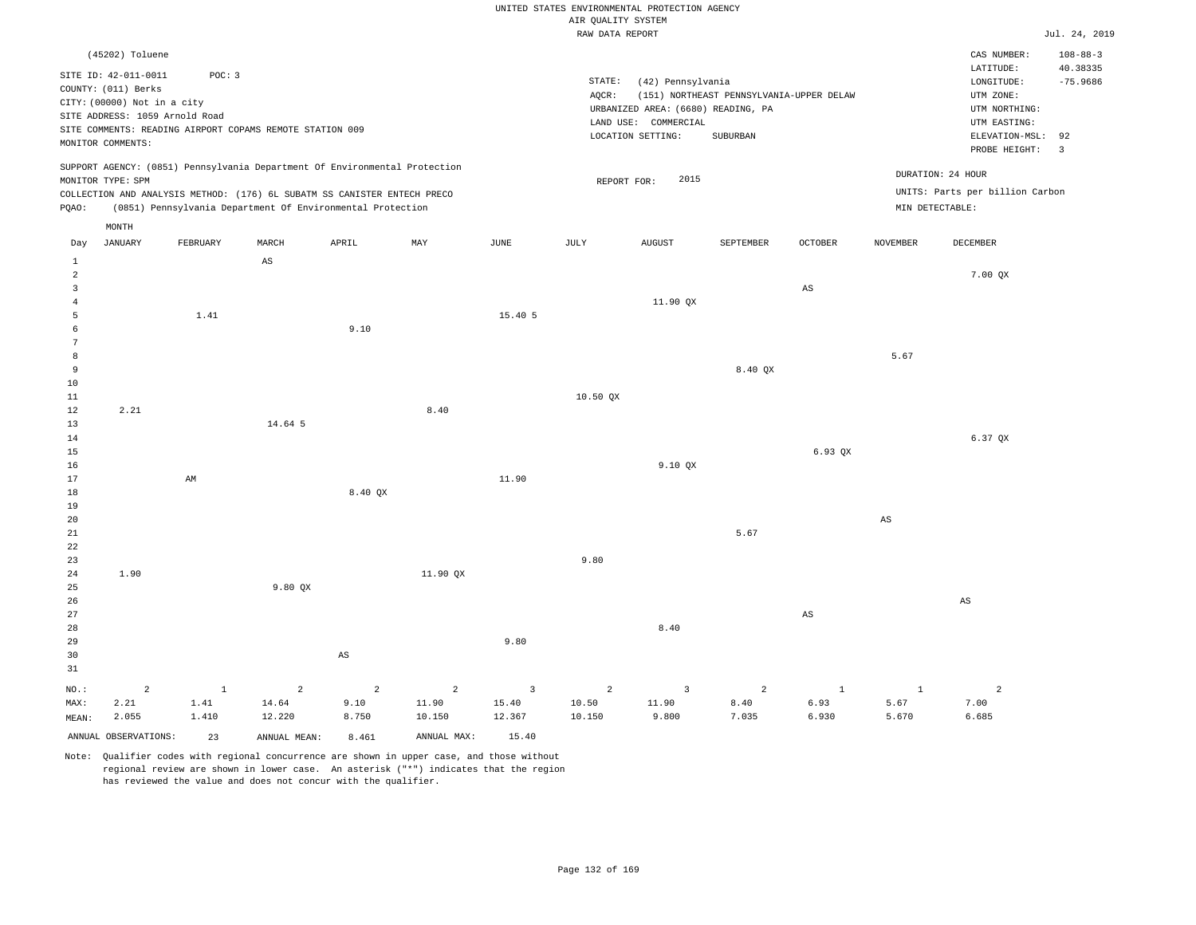|                                     |                                                                            |                                                                                                      |         |                                                                            |          |         | UNITED STATES ENVIRONMENTAL PROTECTION AGENCY<br>AIR QUALITY SYSTEM |                                                                                 |                                          |                        |                 |                                                                       |                                 |
|-------------------------------------|----------------------------------------------------------------------------|------------------------------------------------------------------------------------------------------|---------|----------------------------------------------------------------------------|----------|---------|---------------------------------------------------------------------|---------------------------------------------------------------------------------|------------------------------------------|------------------------|-----------------|-----------------------------------------------------------------------|---------------------------------|
|                                     | (45202) Toluene                                                            |                                                                                                      |         |                                                                            |          |         | RAW DATA REPORT                                                     |                                                                                 |                                          |                        |                 | CAS NUMBER:                                                           | Jul. 24, 2019<br>$108 - 88 - 3$ |
|                                     | SITE ID: 42-011-0011<br>COUNTY: (011) Berks<br>CITY: (00000) Not in a city | POC: 3<br>SITE ADDRESS: 1059 Arnold Road<br>SITE COMMENTS: READING AIRPORT COPAMS REMOTE STATION 009 |         |                                                                            |          |         | STATE:<br>AQCR:                                                     | (42) Pennsylvania<br>URBANIZED AREA: (6680) READING, PA<br>LAND USE: COMMERCIAL | (151) NORTHEAST PENNSYLVANIA-UPPER DELAW |                        |                 | LATITUDE:<br>LONGITUDE:<br>UTM ZONE:<br>UTM NORTHING:<br>UTM EASTING: | 40.38335<br>$-75.9686$          |
|                                     | MONITOR COMMENTS:                                                          |                                                                                                      |         |                                                                            |          |         |                                                                     | LOCATION SETTING:                                                               | SUBURBAN                                 |                        |                 | ELEVATION-MSL:<br>PROBE HEIGHT:                                       | 92<br>$\overline{\mathbf{3}}$   |
|                                     | MONITOR TYPE: SPM                                                          |                                                                                                      |         | SUPPORT AGENCY: (0851) Pennsylvania Department Of Environmental Protection |          |         | REPORT FOR:                                                         | 2015                                                                            |                                          |                        |                 | DURATION: 24 HOUR                                                     |                                 |
|                                     |                                                                            |                                                                                                      |         | COLLECTION AND ANALYSIS METHOD: (176) 6L SUBATM SS CANISTER ENTECH PRECO   |          |         |                                                                     |                                                                                 |                                          |                        |                 | UNITS: Parts per billion Carbon<br>MIN DETECTABLE:                    |                                 |
| PQAO:                               | MONTH                                                                      |                                                                                                      |         | (0851) Pennsylvania Department Of Environmental Protection                 |          |         |                                                                     |                                                                                 |                                          |                        |                 |                                                                       |                                 |
| Day                                 | <b>JANUARY</b>                                                             | FEBRUARY                                                                                             | MARCH   | APRIL                                                                      | MAX      | JUNE    | JULY                                                                | <b>AUGUST</b>                                                                   | SEPTEMBER                                | OCTOBER                | <b>NOVEMBER</b> | DECEMBER                                                              |                                 |
| $\mathbf{1}$<br>$\overline{a}$<br>3 |                                                                            |                                                                                                      | AS      |                                                                            |          |         |                                                                     |                                                                                 |                                          | $\mathbb{A}\mathbb{S}$ |                 | 7.00 QX                                                               |                                 |
| $\overline{A}$                      |                                                                            |                                                                                                      |         |                                                                            |          |         |                                                                     | 11.90 QX                                                                        |                                          |                        |                 |                                                                       |                                 |
| 5<br>6<br>7                         |                                                                            | 1.41                                                                                                 |         | 9.10                                                                       |          | 15.40 5 |                                                                     |                                                                                 |                                          |                        |                 |                                                                       |                                 |
| 8<br>9<br>10                        |                                                                            |                                                                                                      |         |                                                                            |          |         |                                                                     |                                                                                 | 8.40 QX                                  |                        | 5.67            |                                                                       |                                 |
| 11                                  |                                                                            |                                                                                                      |         |                                                                            |          |         | 10.50 QX                                                            |                                                                                 |                                          |                        |                 |                                                                       |                                 |
| 12<br>$13$                          | 2.21                                                                       |                                                                                                      | 14.64 5 |                                                                            | 8.40     |         |                                                                     |                                                                                 |                                          |                        |                 |                                                                       |                                 |
| 14<br>15<br>16                      |                                                                            |                                                                                                      |         |                                                                            |          |         |                                                                     | 9.10 QX                                                                         |                                          | 6.93 OX                |                 | 6.37 QX                                                               |                                 |
| 17<br>18                            |                                                                            | AM                                                                                                   |         | 8.40 QX                                                                    |          | 11.90   |                                                                     |                                                                                 |                                          |                        |                 |                                                                       |                                 |
| 19<br>20                            |                                                                            |                                                                                                      |         |                                                                            |          |         |                                                                     |                                                                                 |                                          |                        | $_{\rm AS}$     |                                                                       |                                 |
| 21<br>22<br>23                      |                                                                            |                                                                                                      |         |                                                                            |          |         | 9.80                                                                |                                                                                 | 5.67                                     |                        |                 |                                                                       |                                 |
| 24<br>25                            | 1.90                                                                       |                                                                                                      | 9.80 QX |                                                                            | 11.90 QX |         |                                                                     |                                                                                 |                                          |                        |                 |                                                                       |                                 |
| 26<br>27<br>28                      |                                                                            |                                                                                                      |         |                                                                            |          |         |                                                                     | 8.40                                                                            |                                          | $\mathbb{A}\mathbb{S}$ |                 | $\mathbb{A}\mathbb{S}$                                                |                                 |
| 29<br>30<br>31                      |                                                                            |                                                                                                      |         | AS                                                                         |          | 9.80    |                                                                     |                                                                                 |                                          |                        |                 |                                                                       |                                 |

|       |                         |       | NO.: $2$ 1 2 2 2 3 2 3 2 |       |             |        |        |       |       |       |       |       |
|-------|-------------------------|-------|--------------------------|-------|-------------|--------|--------|-------|-------|-------|-------|-------|
| MAX:  | 2.21 1.41               |       | 14.64                    | 9.10  | 11.90       | 15.40  | 10.50  | 11.90 | 8.40  | 6.93  | 5.67  | 7.00  |
| MEAN: | 2.055                   | 1.410 | 12.220                   | 8.750 | 10.150      | 12.367 | 10.150 | 9.800 | 7.035 | 6.930 | 5.670 | 6.685 |
|       | ANNUAL OBSERVATIONS: 23 |       | ANNUAL MEAN:             | 8.461 | ANNUAL MAX: | 15.40  |        |       |       |       |       |       |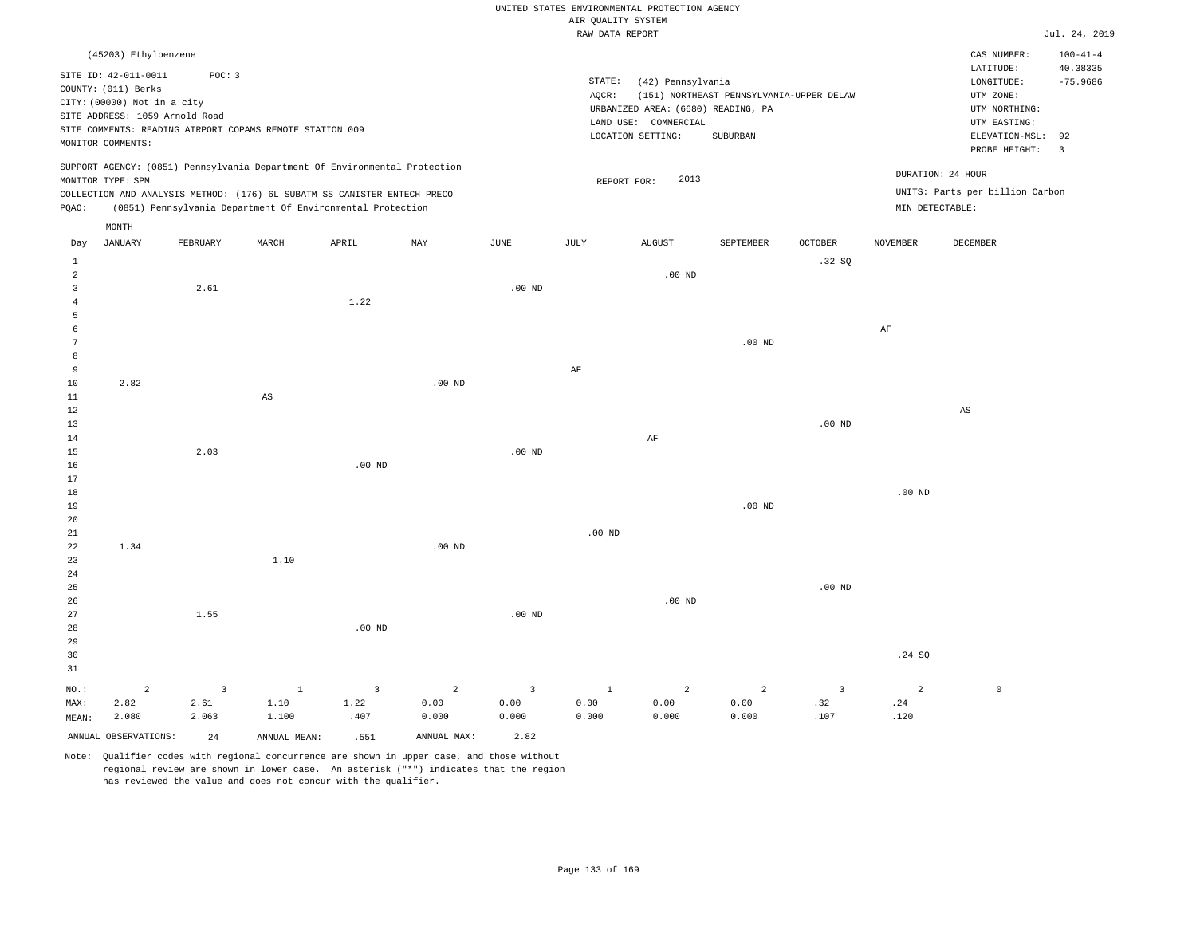|  |  |                    | UNITED STATES ENVIRONMENTAL PROTECTION AGENCY |  |
|--|--|--------------------|-----------------------------------------------|--|
|  |  | AIR OUALITY SYSTEM |                                               |  |

|                 |                                |                                 |                                                                            |                                 |                        |                        | RAW DATA REPORT      |                                    |                                          |                       |                       |                                    | Jul. 24, 2019  |
|-----------------|--------------------------------|---------------------------------|----------------------------------------------------------------------------|---------------------------------|------------------------|------------------------|----------------------|------------------------------------|------------------------------------------|-----------------------|-----------------------|------------------------------------|----------------|
|                 | (45203) Ethylbenzene           |                                 |                                                                            |                                 |                        |                        |                      |                                    |                                          |                       |                       | CAS NUMBER:                        | $100 - 41 - 4$ |
|                 | SITE ID: 42-011-0011           | POC: 3                          |                                                                            |                                 |                        |                        |                      |                                    |                                          |                       |                       | LATITUDE:                          | 40.38335       |
|                 | COUNTY: (011) Berks            |                                 |                                                                            |                                 |                        |                        | STATE:               | (42) Pennsylvania                  |                                          |                       |                       | LONGITUDE:                         | $-75.9686$     |
|                 | CITY: (00000) Not in a city    |                                 |                                                                            |                                 |                        |                        | $AQCR$ :             |                                    | (151) NORTHEAST PENNSYLVANIA-UPPER DELAW |                       |                       | UTM ZONE:                          |                |
|                 | SITE ADDRESS: 1059 Arnold Road |                                 |                                                                            |                                 |                        |                        |                      | URBANIZED AREA: (6680) READING, PA |                                          |                       |                       | UTM NORTHING:                      |                |
|                 |                                |                                 | SITE COMMENTS: READING AIRPORT COPAMS REMOTE STATION 009                   |                                 |                        |                        |                      | LAND USE: COMMERCIAL               |                                          |                       |                       | UTM EASTING:                       |                |
|                 | MONITOR COMMENTS:              |                                 |                                                                            |                                 |                        |                        |                      | LOCATION SETTING:                  | SUBURBAN                                 |                       |                       | ELEVATION-MSL: 92<br>PROBE HEIGHT: | 3              |
|                 |                                |                                 | SUPPORT AGENCY: (0851) Pennsylvania Department Of Environmental Protection |                                 |                        |                        |                      |                                    |                                          |                       |                       |                                    |                |
|                 | MONITOR TYPE: SPM              |                                 |                                                                            |                                 |                        |                        | REPORT FOR:          | 2013                               |                                          |                       |                       | DURATION: 24 HOUR                  |                |
|                 |                                |                                 | COLLECTION AND ANALYSIS METHOD: (176) 6L SUBATM SS CANISTER ENTECH PRECO   |                                 |                        |                        |                      |                                    |                                          |                       |                       | UNITS: Parts per billion Carbon    |                |
| PQAO:           |                                |                                 | (0851) Pennsylvania Department Of Environmental Protection                 |                                 |                        |                        |                      |                                    |                                          |                       | MIN DETECTABLE:       |                                    |                |
|                 | MONTH                          |                                 |                                                                            |                                 |                        |                        |                      |                                    |                                          |                       |                       |                                    |                |
| Day             | <b>JANUARY</b>                 | FEBRUARY                        | MARCH                                                                      | APRIL                           | MAY                    | JUNE                   | JULY                 | <b>AUGUST</b>                      | SEPTEMBER                                | <b>OCTOBER</b>        | <b>NOVEMBER</b>       | <b>DECEMBER</b>                    |                |
| $\mathbf{1}$    |                                |                                 |                                                                            |                                 |                        |                        |                      |                                    |                                          | .32S                  |                       |                                    |                |
| $\overline{2}$  |                                |                                 |                                                                            |                                 |                        |                        |                      | $.00$ ND                           |                                          |                       |                       |                                    |                |
| 3<br>$\bf{4}$   |                                | 2.61                            |                                                                            | 1.22                            |                        | .00 <sub>ND</sub>      |                      |                                    |                                          |                       |                       |                                    |                |
| 5               |                                |                                 |                                                                            |                                 |                        |                        |                      |                                    |                                          |                       |                       |                                    |                |
| 6               |                                |                                 |                                                                            |                                 |                        |                        |                      |                                    |                                          |                       | $\rm{AF}$             |                                    |                |
| 7               |                                |                                 |                                                                            |                                 |                        |                        |                      |                                    | $.00$ ND                                 |                       |                       |                                    |                |
| 8               |                                |                                 |                                                                            |                                 |                        |                        |                      |                                    |                                          |                       |                       |                                    |                |
| 9               |                                |                                 |                                                                            |                                 |                        |                        | $\rm AF$             |                                    |                                          |                       |                       |                                    |                |
| 10<br>$11\,$    | 2.82                           |                                 | $\mathbb{A}\mathbb{S}$                                                     |                                 | $.00$ ND               |                        |                      |                                    |                                          |                       |                       |                                    |                |
| 12              |                                |                                 |                                                                            |                                 |                        |                        |                      |                                    |                                          |                       |                       | AS                                 |                |
| 13              |                                |                                 |                                                                            |                                 |                        |                        |                      |                                    |                                          | .00 <sub>ND</sub>     |                       |                                    |                |
| 14              |                                |                                 |                                                                            |                                 |                        |                        |                      | $\rm{AF}$                          |                                          |                       |                       |                                    |                |
| 15              |                                | 2.03                            |                                                                            |                                 |                        | .00 <sub>ND</sub>      |                      |                                    |                                          |                       |                       |                                    |                |
| 16              |                                |                                 |                                                                            | .00 <sub>ND</sub>               |                        |                        |                      |                                    |                                          |                       |                       |                                    |                |
| 17              |                                |                                 |                                                                            |                                 |                        |                        |                      |                                    |                                          |                       |                       |                                    |                |
| 18<br>19        |                                |                                 |                                                                            |                                 |                        |                        |                      |                                    | $.00$ ND                                 |                       | .00 <sub>ND</sub>     |                                    |                |
| 20              |                                |                                 |                                                                            |                                 |                        |                        |                      |                                    |                                          |                       |                       |                                    |                |
| $21\,$          |                                |                                 |                                                                            |                                 |                        |                        | .00 <sub>ND</sub>    |                                    |                                          |                       |                       |                                    |                |
| 22              | 1.34                           |                                 |                                                                            |                                 | $.00$ ND               |                        |                      |                                    |                                          |                       |                       |                                    |                |
| 23              |                                |                                 | 1.10                                                                       |                                 |                        |                        |                      |                                    |                                          |                       |                       |                                    |                |
| 24              |                                |                                 |                                                                            |                                 |                        |                        |                      |                                    |                                          |                       |                       |                                    |                |
| 25              |                                |                                 |                                                                            |                                 |                        |                        |                      |                                    |                                          | $.00$ ND              |                       |                                    |                |
| 26              |                                |                                 |                                                                            |                                 |                        |                        |                      | $.00$ ND                           |                                          |                       |                       |                                    |                |
| 27              |                                | 1.55                            |                                                                            |                                 |                        | .00 <sub>ND</sub>      |                      |                                    |                                          |                       |                       |                                    |                |
| 28              |                                |                                 |                                                                            | $.00$ ND                        |                        |                        |                      |                                    |                                          |                       |                       |                                    |                |
| 29              |                                |                                 |                                                                            |                                 |                        |                        |                      |                                    |                                          |                       |                       |                                    |                |
| 30<br>31        |                                |                                 |                                                                            |                                 |                        |                        |                      |                                    |                                          |                       | .24 SQ                |                                    |                |
|                 |                                |                                 |                                                                            |                                 |                        |                        |                      |                                    |                                          |                       |                       |                                    |                |
| $NO.$ :<br>MAX: | $\overline{a}$<br>2.82         | $\overline{\mathbf{3}}$<br>2.61 | $\mathbf{1}$<br>1.10                                                       | $\overline{\mathbf{3}}$<br>1.22 | $\overline{a}$<br>0.00 | $\overline{3}$<br>0.00 | $\mathbf{1}$<br>0.00 | $\overline{c}$<br>0.00             | $\overline{a}$<br>0.00                   | $\overline{3}$<br>.32 | $\overline{a}$<br>.24 | $\mathbb O$                        |                |
| MEAN:           | 2.080                          | 2.063                           | 1.100                                                                      | .407                            | 0.000                  | 0.000                  | 0.000                | 0.000                              | 0.000                                    | .107                  | .120                  |                                    |                |
|                 | ANNUAL OBSERVATIONS:           | 24                              | ANNUAL MEAN:                                                               | .551                            | ANNUAL MAX:            | 2.82                   |                      |                                    |                                          |                       |                       |                                    |                |
|                 |                                |                                 |                                                                            |                                 |                        |                        |                      |                                    |                                          |                       |                       |                                    |                |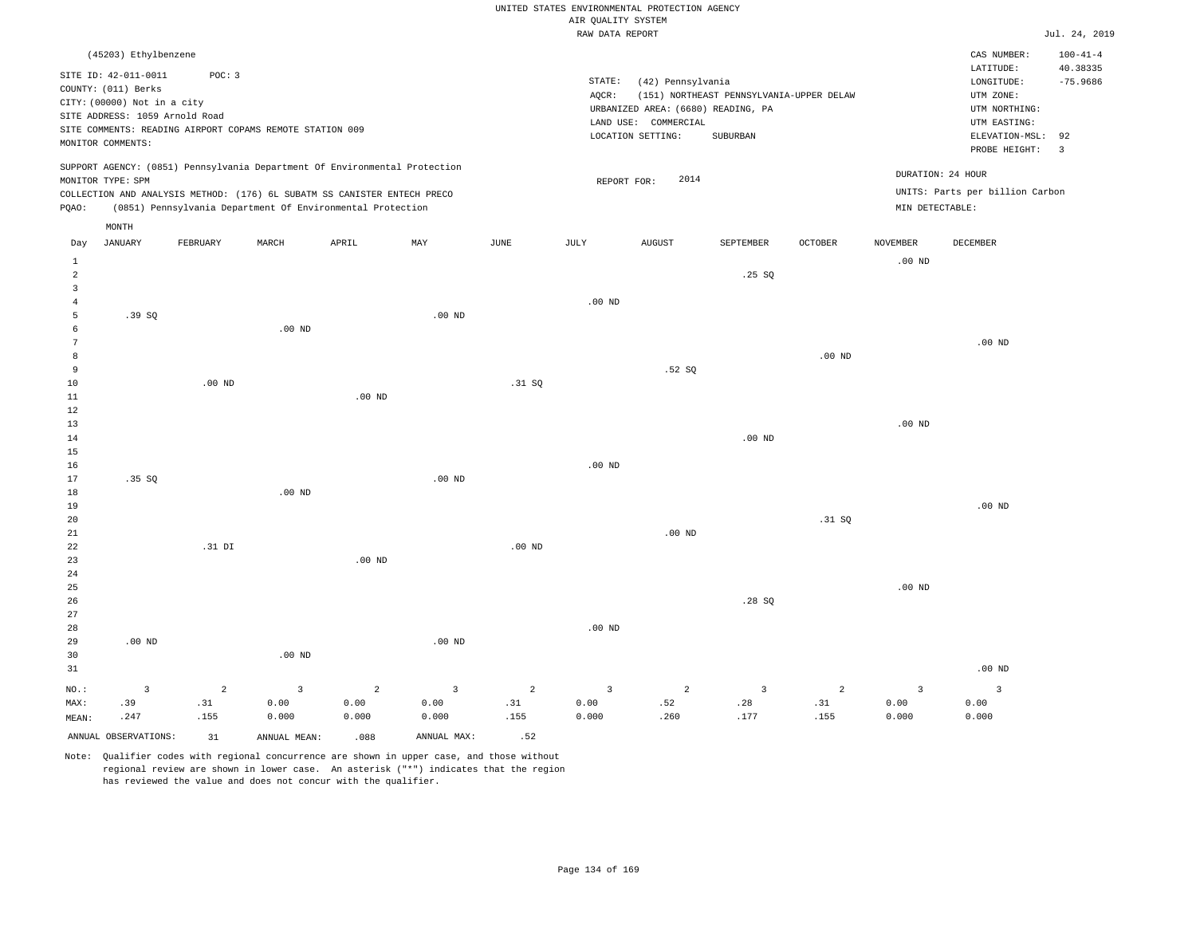|                                           |                                                                                                                                   |                       |                                                                                                                                        |                        |                        |                       | AIR QUALITY SYSTEM           | UNITED STATES ENVIRONMENTAL PROTECTION AGENCY                                                        |                                                      |          |                        |                                                                                             |                                             |
|-------------------------------------------|-----------------------------------------------------------------------------------------------------------------------------------|-----------------------|----------------------------------------------------------------------------------------------------------------------------------------|------------------------|------------------------|-----------------------|------------------------------|------------------------------------------------------------------------------------------------------|------------------------------------------------------|----------|------------------------|---------------------------------------------------------------------------------------------|---------------------------------------------|
|                                           |                                                                                                                                   |                       |                                                                                                                                        |                        |                        |                       | RAW DATA REPORT              |                                                                                                      |                                                      |          |                        |                                                                                             | Jul. 24, 2019                               |
|                                           | (45203) Ethylbenzene                                                                                                              |                       |                                                                                                                                        |                        |                        |                       |                              |                                                                                                      |                                                      |          |                        | CAS NUMBER:<br>LATITUDE:                                                                    | $100 - 41 - 4$<br>40.38335                  |
|                                           | SITE ID: 42-011-0011<br>COUNTY: (011) Berks<br>CITY: (00000) Not in a city<br>SITE ADDRESS: 1059 Arnold Road<br>MONITOR COMMENTS: | POC: 3                | SITE COMMENTS: READING AIRPORT COPAMS REMOTE STATION 009                                                                               |                        |                        |                       | $\texttt{STATE}{}:$<br>AQCR: | (42) Pennsylvania<br>URBANIZED AREA: (6680) READING, PA<br>LAND USE: COMMERCIAL<br>LOCATION SETTING: | (151) NORTHEAST PENNSYLVANIA-UPPER DELAW<br>SUBURBAN |          |                        | LONGITUDE:<br>UTM ZONE:<br>UTM NORTHING:<br>UTM EASTING:<br>ELEVATION-MSL:<br>PROBE HEIGHT: | $-75.9686$<br>92<br>$\overline{\mathbf{3}}$ |
|                                           | MONITOR TYPE: SPM                                                                                                                 |                       | SUPPORT AGENCY: (0851) Pennsylvania Department Of Environmental Protection                                                             |                        |                        |                       |                              | 2014<br>REPORT FOR:                                                                                  |                                                      |          |                        | DURATION: 24 HOUR                                                                           |                                             |
| PQAO:                                     |                                                                                                                                   |                       | COLLECTION AND ANALYSIS METHOD: (176) 6L SUBATM SS CANISTER ENTECH PRECO<br>(0851) Pennsylvania Department Of Environmental Protection |                        |                        |                       |                              |                                                                                                      |                                                      |          | MIN DETECTABLE:        | UNITS: Parts per billion Carbon                                                             |                                             |
|                                           | MONTH                                                                                                                             |                       |                                                                                                                                        |                        |                        |                       |                              |                                                                                                      |                                                      |          |                        |                                                                                             |                                             |
| Day                                       | JANUARY                                                                                                                           | FEBRUARY              | MARCH                                                                                                                                  | APRIL                  | MAY                    | JUNE                  | JULY                         | <b>AUGUST</b>                                                                                        | SEPTEMBER                                            | OCTOBER  | NOVEMBER               | DECEMBER                                                                                    |                                             |
| $\mathbf{1}$<br>$\sqrt{2}$                |                                                                                                                                   |                       |                                                                                                                                        |                        |                        |                       |                              |                                                                                                      | .25SQ                                                |          | .00 <sub>ND</sub>      |                                                                                             |                                             |
| $\overline{\mathbf{3}}$<br>$\overline{4}$ |                                                                                                                                   |                       |                                                                                                                                        |                        |                        |                       | $.00$ ND                     |                                                                                                      |                                                      |          |                        |                                                                                             |                                             |
| $\overline{5}$<br>6                       | .39SQ                                                                                                                             |                       | $.00$ ND                                                                                                                               |                        | $.00$ ND               |                       |                              |                                                                                                      |                                                      |          |                        |                                                                                             |                                             |
| $\overline{7}$<br>8                       |                                                                                                                                   |                       |                                                                                                                                        |                        |                        |                       |                              |                                                                                                      |                                                      | $.00$ ND |                        | $.00$ ND                                                                                    |                                             |
| 9<br>10                                   |                                                                                                                                   | $.00$ ND              |                                                                                                                                        |                        |                        | .31 SQ                |                              | .52S                                                                                                 |                                                      |          |                        |                                                                                             |                                             |
| $1\,1$<br>12                              |                                                                                                                                   |                       |                                                                                                                                        | $.00$ ND               |                        |                       |                              |                                                                                                      |                                                      |          |                        |                                                                                             |                                             |
| 13<br>14                                  |                                                                                                                                   |                       |                                                                                                                                        |                        |                        |                       |                              |                                                                                                      | .00 <sub>ND</sub>                                    |          | .00 <sub>ND</sub>      |                                                                                             |                                             |
| 15<br>16                                  |                                                                                                                                   |                       |                                                                                                                                        |                        |                        |                       | $.00$ ND                     |                                                                                                      |                                                      |          |                        |                                                                                             |                                             |
| 17<br>18                                  | .35SQ                                                                                                                             |                       | $.00$ ND                                                                                                                               |                        | $.00$ ND               |                       |                              |                                                                                                      |                                                      |          |                        |                                                                                             |                                             |
| 19<br>20                                  |                                                                                                                                   |                       |                                                                                                                                        |                        |                        |                       |                              |                                                                                                      |                                                      | .31 SQ   |                        | $.00$ ND                                                                                    |                                             |
| 21<br>22                                  |                                                                                                                                   | .31 DI                |                                                                                                                                        |                        |                        | $.00$ ND              |                              | $.00$ ND                                                                                             |                                                      |          |                        |                                                                                             |                                             |
| 23<br>$2\sqrt{4}$                         |                                                                                                                                   |                       |                                                                                                                                        | $.00$ ND               |                        |                       |                              |                                                                                                      |                                                      |          |                        |                                                                                             |                                             |
| 25<br>26                                  |                                                                                                                                   |                       |                                                                                                                                        |                        |                        |                       |                              |                                                                                                      | .28SQ                                                |          | $.00$ ND               |                                                                                             |                                             |
| 27<br>28                                  |                                                                                                                                   |                       |                                                                                                                                        |                        |                        |                       | .00 <sub>ND</sub>            |                                                                                                      |                                                      |          |                        |                                                                                             |                                             |
| 29<br>30                                  | .00 <sub>ND</sub>                                                                                                                 |                       | .00 <sub>ND</sub>                                                                                                                      |                        | $.00$ ND               |                       |                              |                                                                                                      |                                                      |          |                        |                                                                                             |                                             |
| 31                                        |                                                                                                                                   |                       |                                                                                                                                        |                        |                        |                       |                              |                                                                                                      |                                                      |          |                        | $.00$ ND                                                                                    |                                             |
| NO.:<br>MAX:                              | $\overline{3}$<br>.39                                                                                                             | $\overline{a}$<br>.31 | $\overline{3}$<br>0.00                                                                                                                 | $\overline{2}$<br>0.00 | $\overline{3}$<br>0.00 | $\overline{2}$<br>.31 | $\overline{3}$<br>0.00       | 2<br>.52                                                                                             | 3<br>.28                                             | 2<br>.31 | $\overline{3}$<br>0.00 | $\overline{3}$<br>0.00                                                                      |                                             |
| MEAN:                                     | .247                                                                                                                              | .155                  | 0.000                                                                                                                                  | 0.000                  | 0.000                  | .155                  | 0.000                        | .260                                                                                                 | .177                                                 | .155     | 0.000                  | 0.000                                                                                       |                                             |
|                                           | ANNUAL OBSERVATIONS:                                                                                                              | 31                    | ANNUAL MEAN:                                                                                                                           | .088                   | ANNUAL MAX:            | .52                   |                              |                                                                                                      |                                                      |          |                        |                                                                                             |                                             |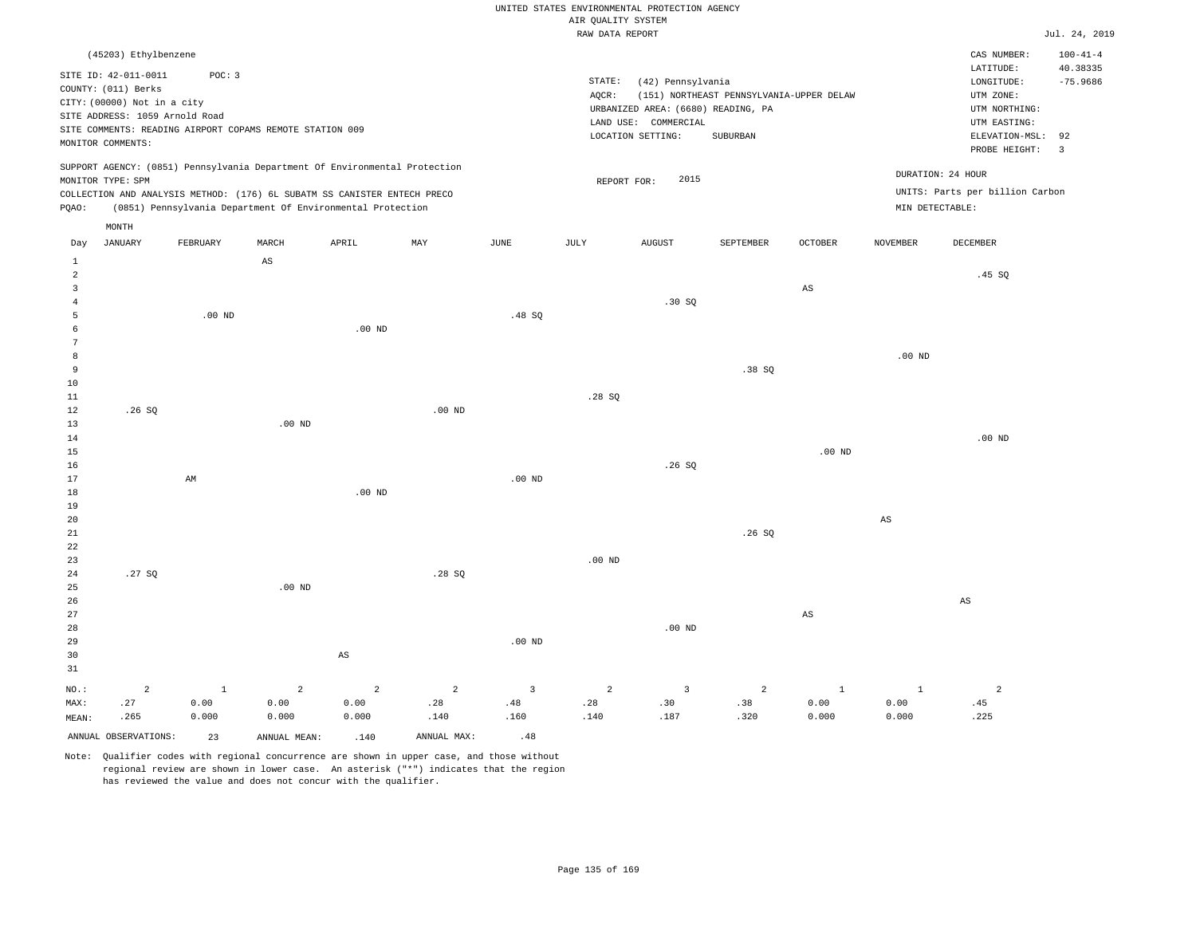### RAW DATA REPORT JUL. 24, 2019 UNITED STATES ENVIRONMENTAL PROTECTION AGENCY AIR QUALITY SYSTEM

| (45203) Ethylbenzene                                                                                                                                                                                                                                        |                                                                                                                                                                                 | $100 - 41 - 4$<br>CAS NUMBER:                                                                                                           |
|-------------------------------------------------------------------------------------------------------------------------------------------------------------------------------------------------------------------------------------------------------------|---------------------------------------------------------------------------------------------------------------------------------------------------------------------------------|-----------------------------------------------------------------------------------------------------------------------------------------|
| SITE ID: 42-011-0011<br>POC: 3<br>COUNTY: (011) Berks<br>CITY: (00000) Not in a city<br>SITE ADDRESS: 1059 Arnold Road<br>SITE COMMENTS: READING AIRPORT COPAMS REMOTE STATION 009<br>MONITOR COMMENTS:                                                     | STATE:<br>(42) Pennsylvania<br>(151) NORTHEAST PENNSYLVANIA-UPPER DELAW<br>AOCR:<br>URBANIZED AREA: (6680) READING, PA<br>LAND USE: COMMERCIAL<br>SUBURBAN<br>LOCATION SETTING: | 40.38335<br>LATITUDE:<br>$-75.9686$<br>LONGITUDE:<br>UTM ZONE:<br>UTM NORTHING:<br>UTM EASTING:<br>ELEVATION-MSL: 92<br>PROBE HEIGHT: 3 |
| SUPPORT AGENCY: (0851) Pennsylvania Department Of Environmental Protection<br>MONITOR TYPE: SPM<br>COLLECTION AND ANALYSIS METHOD: (176) 6L SUBATM SS CANISTER ENTECH PRECO<br>(0851) Pennsylvania Department Of Environmental Protection<br>POAO:<br>MONTH | 2015<br>REPORT FOR:                                                                                                                                                             | DURATION: 24 HOUR<br>UNITS: Parts per billion Carbon<br>MIN DETECTABLE:                                                                 |

| Day            | JANUARY              | FEBRUARY | MARCH                           | APRIL                           | MAY         | JUNE                          | JULY           | AUGUST                  | SEPTEMBER                   | OCTOBER                | NOVEMBER               | DECEMBER       |
|----------------|----------------------|----------|---------------------------------|---------------------------------|-------------|-------------------------------|----------------|-------------------------|-----------------------------|------------------------|------------------------|----------------|
| $\mathbf{1}$   |                      |          | $\mathbb{A}\mathbb{S}$          |                                 |             |                               |                |                         |                             |                        |                        |                |
| $\overline{a}$ |                      |          |                                 |                                 |             |                               |                |                         |                             |                        |                        | .45 SQ         |
| 3              |                      |          |                                 |                                 |             |                               |                |                         |                             | $\mathbb{A}\mathbb{S}$ |                        |                |
| $\overline{4}$ |                      |          |                                 |                                 |             |                               |                | .30 SQ                  |                             |                        |                        |                |
| 5              |                      | $.00$ ND |                                 |                                 |             | .48SQ                         |                |                         |                             |                        |                        |                |
| 6              |                      |          |                                 | $.00$ ND                        |             |                               |                |                         |                             |                        |                        |                |
| 7              |                      |          |                                 |                                 |             |                               |                |                         |                             |                        |                        |                |
| 8              |                      |          |                                 |                                 |             |                               |                |                         |                             |                        | $.00$ ND               |                |
| 9              |                      |          |                                 |                                 |             |                               |                |                         | .38 SQ                      |                        |                        |                |
| 10             |                      |          |                                 |                                 |             |                               |                |                         |                             |                        |                        |                |
| $11\,$         |                      |          |                                 |                                 |             |                               | .28 SQ         |                         |                             |                        |                        |                |
| $12\,$         | .26SQ                |          |                                 |                                 | $.00$ ND    |                               |                |                         |                             |                        |                        |                |
| 13             |                      |          | $.00$ ND                        |                                 |             |                               |                |                         |                             |                        |                        |                |
| $14\,$         |                      |          |                                 |                                 |             |                               |                |                         |                             |                        |                        | $.00$ ND       |
| $15\,$         |                      |          |                                 |                                 |             |                               |                |                         |                             | $.00$ ND               |                        |                |
| $16\,$         |                      |          |                                 |                                 |             |                               |                | .26SQ                   |                             |                        |                        |                |
| 17             |                      | AM       |                                 |                                 |             | $.00$ ND                      |                |                         |                             |                        |                        |                |
| $18\,$         |                      |          |                                 | .00 $ND$                        |             |                               |                |                         |                             |                        |                        |                |
| 19             |                      |          |                                 |                                 |             |                               |                |                         |                             |                        |                        |                |
| $20\,$         |                      |          |                                 |                                 |             |                               |                |                         |                             |                        | $\mathbb{A}\mathbb{S}$ |                |
| $2\sqrt{1}$    |                      |          |                                 |                                 |             |                               |                |                         | .26SQ                       |                        |                        |                |
| ${\bf 22}$     |                      |          |                                 |                                 |             |                               |                |                         |                             |                        |                        |                |
| 23             |                      |          |                                 |                                 |             |                               | .00 $ND$       |                         |                             |                        |                        |                |
| $2\sqrt{4}$    | .27 $SQ$             |          |                                 |                                 | .28SQ       |                               |                |                         |                             |                        |                        |                |
| 25             |                      |          | .00 <sub>ND</sub>               |                                 |             |                               |                |                         |                             |                        |                        |                |
| $26$           |                      |          |                                 |                                 |             |                               |                |                         |                             |                        |                        | AS             |
| $2\,7$         |                      |          |                                 |                                 |             |                               |                |                         |                             | $\mathbb{A}\mathbb{S}$ |                        |                |
| $28\,$         |                      |          |                                 |                                 |             |                               |                | $.00$ ND                |                             |                        |                        |                |
| 29             |                      |          |                                 |                                 |             | $.00$ ND                      |                |                         |                             |                        |                        |                |
| 30             |                      |          |                                 | $\mathbb{A}\mathbb{S}$          |             |                               |                |                         |                             |                        |                        |                |
| $3\sqrt{1}$    |                      |          |                                 |                                 |             |                               |                |                         |                             |                        |                        |                |
| $_{\rm NO.}$ : | $\,2$                | $\,$ 1   | $\overline{a}$                  | $\overline{a}$                  | $\sqrt{2}$  | $\mathsf 3$                   | $\overline{a}$ | $\overline{\mathbf{3}}$ | $\overline{a}$              | $\mathbf 1$            | $\mathbf{1}$           | $\overline{a}$ |
| MAX:           | .27                  | 0.00     | ${\bf 0}$ . ${\bf 0}$ ${\bf 0}$ | ${\bf 0}$ . ${\bf 0}$ ${\bf 0}$ | .28         | $\footnotesize{\textbf{.48}}$ | .28            | .30                     | $\boldsymbol{\mathsf{.38}}$ | 0.00                   | 0.00                   | .45            |
| MEAN:          | .265                 | 0.000    | 0.000                           | 0.000                           | .140        | .160                          | .140           | .187                    | .320                        | 0.000                  | 0.000                  | .225           |
|                | ANNUAL OBSERVATIONS: | 23       | ANNUAL MEAN:                    | .140                            | ANNUAL MAX: | .48                           |                |                         |                             |                        |                        |                |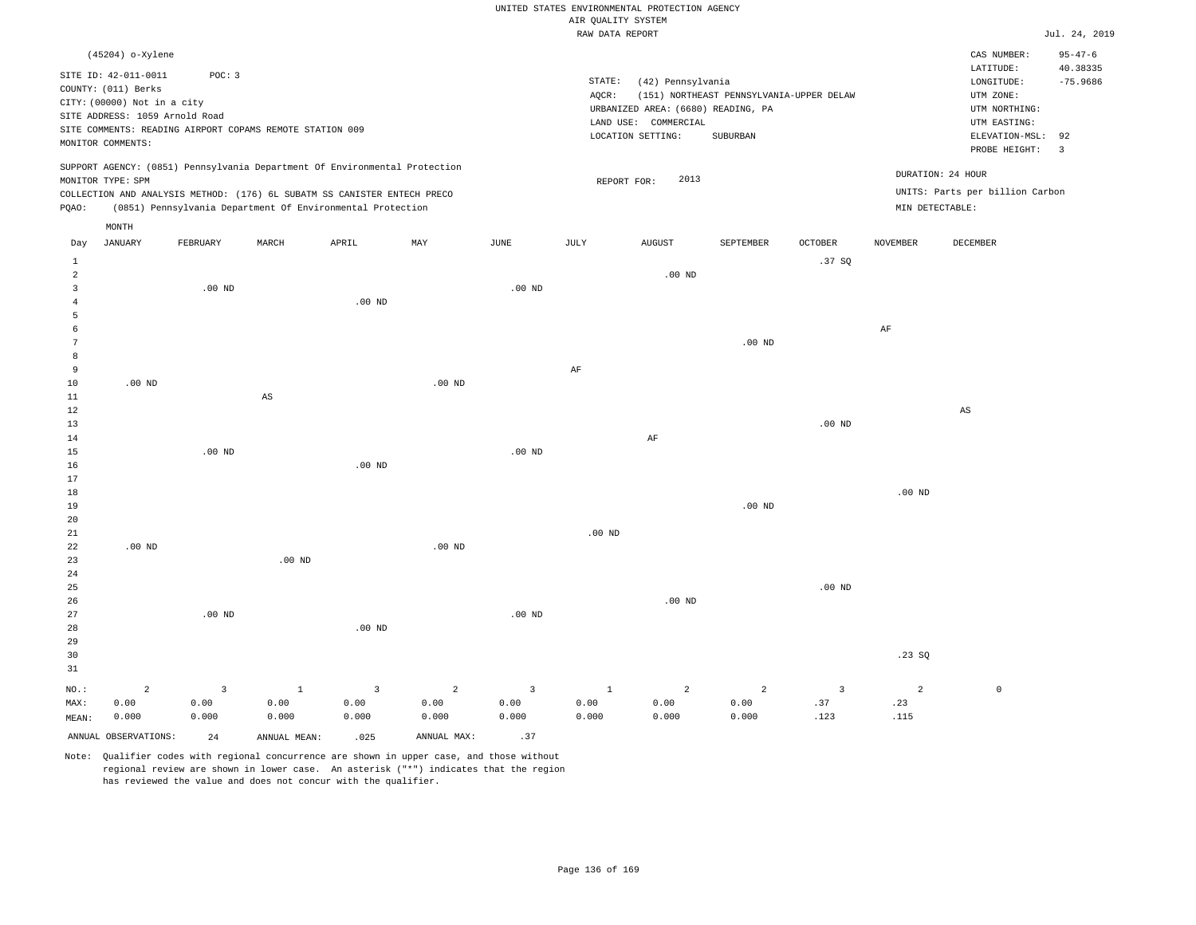|                 |                                          |          |                                                                            |                |                |                   |                                       | UNITED STATES ENVIRONMENTAL PROTECTION AGENCY |                                          |                         |                 |                                 |                               |
|-----------------|------------------------------------------|----------|----------------------------------------------------------------------------|----------------|----------------|-------------------|---------------------------------------|-----------------------------------------------|------------------------------------------|-------------------------|-----------------|---------------------------------|-------------------------------|
|                 |                                          |          |                                                                            |                |                |                   | AIR QUALITY SYSTEM<br>RAW DATA REPORT |                                               |                                          |                         |                 |                                 | Jul. 24, 2019                 |
|                 |                                          |          |                                                                            |                |                |                   |                                       |                                               |                                          |                         |                 |                                 |                               |
|                 | (45204) o-Xylene<br>SITE ID: 42-011-0011 | POC: 3   |                                                                            |                |                |                   |                                       |                                               |                                          |                         |                 | CAS NUMBER:<br>LATITUDE:        | $95 - 47 - 6$<br>40.38335     |
|                 | COUNTY: (011) Berks                      |          |                                                                            |                |                |                   | STATE:                                | (42) Pennsylvania                             |                                          |                         |                 | LONGITUDE:                      | $-75.9686$                    |
|                 | CITY: (00000) Not in a city              |          |                                                                            |                |                |                   | AQCR:                                 |                                               | (151) NORTHEAST PENNSYLVANIA-UPPER DELAW |                         |                 | UTM ZONE:                       |                               |
|                 | SITE ADDRESS: 1059 Arnold Road           |          |                                                                            |                |                |                   |                                       | URBANIZED AREA: (6680) READING, PA            |                                          |                         |                 | UTM NORTHING:                   |                               |
|                 |                                          |          | SITE COMMENTS: READING AIRPORT COPAMS REMOTE STATION 009                   |                |                |                   |                                       | LAND USE: COMMERCIAL                          |                                          |                         |                 | UTM EASTING:                    |                               |
|                 | MONITOR COMMENTS:                        |          |                                                                            |                |                |                   |                                       | LOCATION SETTING:                             | SUBURBAN                                 |                         |                 | ELEVATION-MSL:<br>PROBE HEIGHT: | 92<br>$\overline{\mathbf{3}}$ |
|                 |                                          |          | SUPPORT AGENCY: (0851) Pennsylvania Department Of Environmental Protection |                |                |                   |                                       |                                               |                                          |                         |                 | DURATION: 24 HOUR               |                               |
|                 | MONITOR TYPE: SPM                        |          |                                                                            |                |                |                   |                                       | 2013<br>REPORT FOR:                           |                                          |                         |                 |                                 |                               |
|                 |                                          |          | COLLECTION AND ANALYSIS METHOD: (176) 6L SUBATM SS CANISTER ENTECH PRECO   |                |                |                   |                                       |                                               |                                          |                         |                 | UNITS: Parts per billion Carbon |                               |
| PQAO:           |                                          |          | (0851) Pennsylvania Department Of Environmental Protection                 |                |                |                   |                                       |                                               |                                          |                         | MIN DETECTABLE: |                                 |                               |
| Day             | MONTH<br><b>JANUARY</b>                  | FEBRUARY | MARCH                                                                      | APRIL          | MAY            | JUNE              | JULY                                  | <b>AUGUST</b>                                 | SEPTEMBER                                | <b>OCTOBER</b>          | <b>NOVEMBER</b> | DECEMBER                        |                               |
| 1               |                                          |          |                                                                            |                |                |                   |                                       |                                               |                                          | .37S                    |                 |                                 |                               |
| $\overline{a}$  |                                          |          |                                                                            |                |                |                   |                                       | $.00$ ND                                      |                                          |                         |                 |                                 |                               |
| $\overline{3}$  |                                          | $.00$ ND |                                                                            |                |                | .00 <sub>ND</sub> |                                       |                                               |                                          |                         |                 |                                 |                               |
| $\overline{4}$  |                                          |          |                                                                            | $.00$ ND       |                |                   |                                       |                                               |                                          |                         |                 |                                 |                               |
| 5               |                                          |          |                                                                            |                |                |                   |                                       |                                               |                                          |                         |                 |                                 |                               |
| 6               |                                          |          |                                                                            |                |                |                   |                                       |                                               |                                          |                         | AF              |                                 |                               |
| $7\phantom{.0}$ |                                          |          |                                                                            |                |                |                   |                                       |                                               | .00 <sub>ND</sub>                        |                         |                 |                                 |                               |
| 8               |                                          |          |                                                                            |                |                |                   |                                       |                                               |                                          |                         |                 |                                 |                               |
| 9               |                                          |          |                                                                            |                |                |                   | AF                                    |                                               |                                          |                         |                 |                                 |                               |
| 10              | $.00$ ND                                 |          |                                                                            |                | $.00$ ND       |                   |                                       |                                               |                                          |                         |                 |                                 |                               |
| $1\,1$          |                                          |          | $\mathbb{A}\mathbb{S}$                                                     |                |                |                   |                                       |                                               |                                          |                         |                 |                                 |                               |
| $1\,2$          |                                          |          |                                                                            |                |                |                   |                                       |                                               |                                          |                         |                 | $\mathbb{A}\mathbb{S}$          |                               |
| 13              |                                          |          |                                                                            |                |                |                   |                                       |                                               |                                          | $.00$ ND                |                 |                                 |                               |
| 14              |                                          |          |                                                                            |                |                |                   |                                       | $\rm AF$                                      |                                          |                         |                 |                                 |                               |
| 15              |                                          | $.00$ ND |                                                                            |                |                | .00 <sub>ND</sub> |                                       |                                               |                                          |                         |                 |                                 |                               |
| 16<br>17        |                                          |          |                                                                            | $.00$ ND       |                |                   |                                       |                                               |                                          |                         |                 |                                 |                               |
| 18              |                                          |          |                                                                            |                |                |                   |                                       |                                               |                                          |                         | $.00$ ND        |                                 |                               |
| 19              |                                          |          |                                                                            |                |                |                   |                                       |                                               | .00 <sub>ND</sub>                        |                         |                 |                                 |                               |
| 20              |                                          |          |                                                                            |                |                |                   |                                       |                                               |                                          |                         |                 |                                 |                               |
| 21              |                                          |          |                                                                            |                |                |                   | $.00$ ND                              |                                               |                                          |                         |                 |                                 |                               |
| 22              | $.00$ ND                                 |          |                                                                            |                | $.00$ ND       |                   |                                       |                                               |                                          |                         |                 |                                 |                               |
| 23              |                                          |          | .00 <sub>ND</sub>                                                          |                |                |                   |                                       |                                               |                                          |                         |                 |                                 |                               |
| 24              |                                          |          |                                                                            |                |                |                   |                                       |                                               |                                          |                         |                 |                                 |                               |
| 25              |                                          |          |                                                                            |                |                |                   |                                       |                                               |                                          | .00 <sub>ND</sub>       |                 |                                 |                               |
| 26              |                                          |          |                                                                            |                |                |                   |                                       | $.00$ ND                                      |                                          |                         |                 |                                 |                               |
| 27              |                                          | $.00$ ND |                                                                            |                |                | $.00$ ND          |                                       |                                               |                                          |                         |                 |                                 |                               |
| 28              |                                          |          |                                                                            | $.00$ ND       |                |                   |                                       |                                               |                                          |                         |                 |                                 |                               |
| 29              |                                          |          |                                                                            |                |                |                   |                                       |                                               |                                          |                         |                 |                                 |                               |
| 30              |                                          |          |                                                                            |                |                |                   |                                       |                                               |                                          |                         | .23SQ           |                                 |                               |
| 31              |                                          |          |                                                                            |                |                |                   |                                       |                                               |                                          |                         |                 |                                 |                               |
| NO.:            | $\overline{a}$                           | 3        | $\mathbf{1}$                                                               | $\overline{3}$ | $\overline{c}$ | $\overline{3}$    | $\mathbf{1}$                          | $\overline{a}$                                | $\overline{2}$                           | $\overline{\mathbf{3}}$ | $\overline{a}$  | $\mathbb O$                     |                               |
| MAX:            | 0.00                                     | 0.00     | 0.00                                                                       | 0.00           | 0.00           | 0.00              | 0.00                                  | 0.00                                          | 0.00                                     | .37                     | .23             |                                 |                               |
| MEAN:           | 0.000                                    | 0.000    | 0.000                                                                      | 0.000          | 0.000          | 0.000             | 0.000                                 | 0.000                                         | 0.000                                    | .123                    | .115            |                                 |                               |
|                 | ANNUAL OBSERVATIONS:                     | 2.4      | ANNUAL MEAN:                                                               | .025           | ANNUAL MAX:    | .37               |                                       |                                               |                                          |                         |                 |                                 |                               |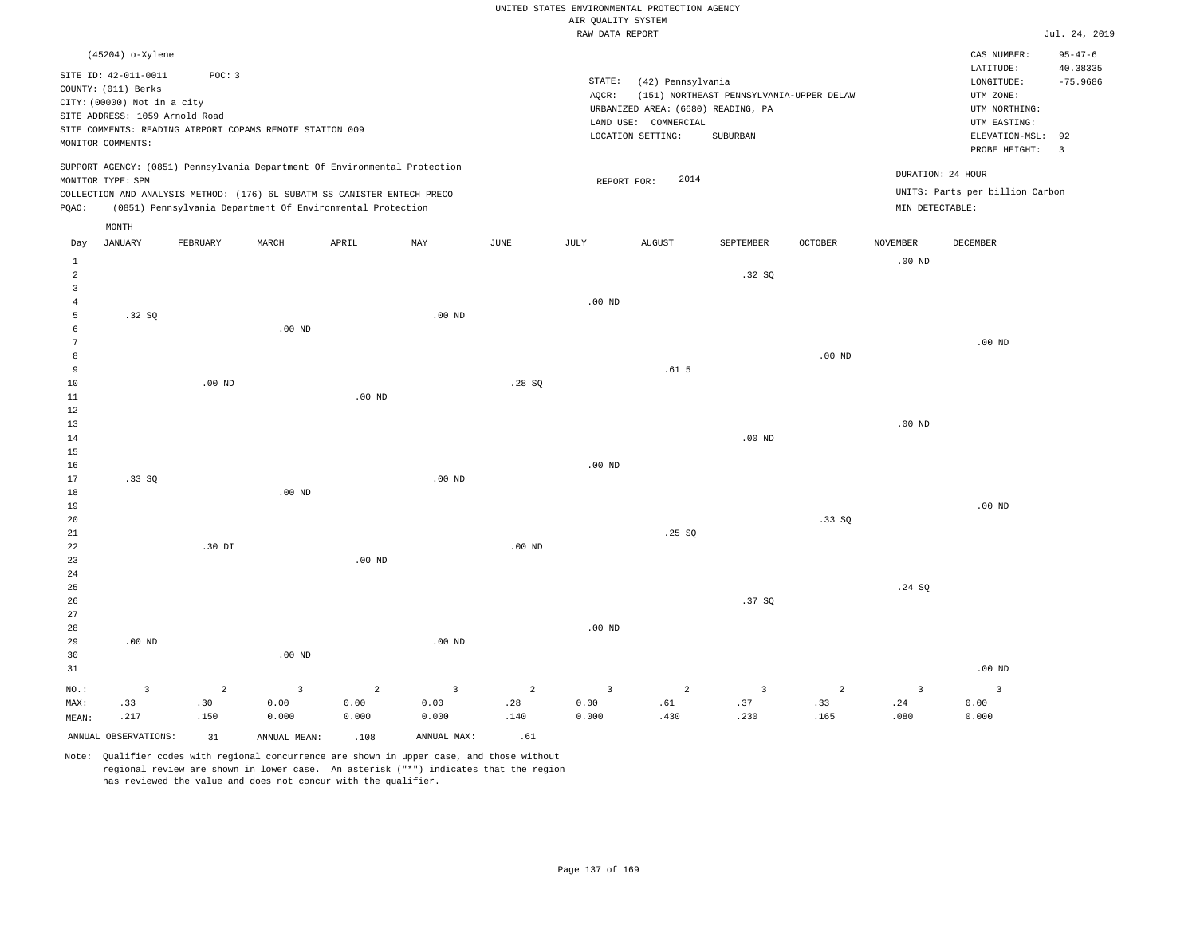|                                  |                                                                            |                |                                                                            |                   |                   |             |                    | UNITED STATES ENVIRONMENTAL PROTECTION AGENCY              |                                          |                   |                   |                                    |                           |
|----------------------------------|----------------------------------------------------------------------------|----------------|----------------------------------------------------------------------------|-------------------|-------------------|-------------|--------------------|------------------------------------------------------------|------------------------------------------|-------------------|-------------------|------------------------------------|---------------------------|
|                                  |                                                                            |                |                                                                            |                   |                   |             | AIR QUALITY SYSTEM |                                                            |                                          |                   |                   |                                    |                           |
|                                  |                                                                            |                |                                                                            |                   |                   |             | RAW DATA REPORT    |                                                            |                                          |                   |                   |                                    | Jul. 24, 2019             |
|                                  | (45204) o-Xylene                                                           | POC: 3         |                                                                            |                   |                   |             |                    |                                                            |                                          |                   |                   | CAS NUMBER:<br>LATITUDE:           | $95 - 47 - 6$<br>40.38335 |
|                                  | SITE ID: 42-011-0011<br>COUNTY: (011) Berks<br>CITY: (00000) Not in a city |                |                                                                            |                   |                   |             | STATE:<br>AOCR:    | (42) Pennsylvania                                          | (151) NORTHEAST PENNSYLVANIA-UPPER DELAW |                   |                   | $\texttt{LONGITUDE}:$<br>UTM ZONE: | $-75.9686$                |
|                                  | SITE ADDRESS: 1059 Arnold Road                                             |                |                                                                            |                   |                   |             |                    | URBANIZED AREA: (6680) READING, PA<br>LAND USE: COMMERCIAL |                                          |                   |                   | UTM NORTHING:<br>UTM EASTING:      |                           |
|                                  |                                                                            |                | SITE COMMENTS: READING AIRPORT COPAMS REMOTE STATION 009                   |                   |                   |             |                    | LOCATION SETTING:                                          | SUBURBAN                                 |                   |                   | ELEVATION-MSL:                     | 92                        |
|                                  | MONITOR COMMENTS:                                                          |                |                                                                            |                   |                   |             |                    |                                                            |                                          |                   |                   | PROBE HEIGHT:                      | $\overline{3}$            |
|                                  | MONITOR TYPE: SPM                                                          |                | SUPPORT AGENCY: (0851) Pennsylvania Department Of Environmental Protection |                   |                   |             | REPORT FOR:        | 2014                                                       |                                          |                   |                   | DURATION: 24 HOUR                  |                           |
|                                  |                                                                            |                | COLLECTION AND ANALYSIS METHOD: (176) 6L SUBATM SS CANISTER ENTECH PRECO   |                   |                   |             |                    |                                                            |                                          |                   |                   | UNITS: Parts per billion Carbon    |                           |
| PQAO:                            |                                                                            |                | (0851) Pennsylvania Department Of Environmental Protection                 |                   |                   |             |                    |                                                            |                                          |                   | MIN DETECTABLE:   |                                    |                           |
| Day                              | MONTH<br><b>JANUARY</b>                                                    | FEBRUARY       | MARCH                                                                      | APRIL             | MAY               | <b>JUNE</b> | JULY               | <b>AUGUST</b>                                              | SEPTEMBER                                | OCTOBER           | <b>NOVEMBER</b>   | DECEMBER                           |                           |
| $\mathbf{1}$                     |                                                                            |                |                                                                            |                   |                   |             |                    |                                                            |                                          |                   | $.00$ ND          |                                    |                           |
| $\overline{a}$<br>$\overline{3}$ |                                                                            |                |                                                                            |                   |                   |             |                    |                                                            | .32 SQ                                   |                   |                   |                                    |                           |
| $\overline{4}$                   |                                                                            |                |                                                                            |                   |                   |             | $.00$ ND           |                                                            |                                          |                   |                   |                                    |                           |
| 5                                | .32S                                                                       |                |                                                                            |                   | $.00$ ND          |             |                    |                                                            |                                          |                   |                   |                                    |                           |
| 6                                |                                                                            |                | $.00$ ND                                                                   |                   |                   |             |                    |                                                            |                                          |                   |                   |                                    |                           |
| $7\phantom{.0}$                  |                                                                            |                |                                                                            |                   |                   |             |                    |                                                            |                                          |                   |                   | $.00$ ND                           |                           |
| 8<br>9                           |                                                                            |                |                                                                            |                   |                   |             |                    | .61 <sub>5</sub>                                           |                                          | .00 <sub>ND</sub> |                   |                                    |                           |
| $10$                             |                                                                            | $.00$ ND       |                                                                            |                   |                   | .28SQ       |                    |                                                            |                                          |                   |                   |                                    |                           |
| $1\,1$                           |                                                                            |                |                                                                            | .00 <sub>ND</sub> |                   |             |                    |                                                            |                                          |                   |                   |                                    |                           |
| $1\,2$                           |                                                                            |                |                                                                            |                   |                   |             |                    |                                                            |                                          |                   |                   |                                    |                           |
| 13                               |                                                                            |                |                                                                            |                   |                   |             |                    |                                                            |                                          |                   | .00 <sub>ND</sub> |                                    |                           |
| 14<br>15                         |                                                                            |                |                                                                            |                   |                   |             |                    |                                                            | .00 <sub>ND</sub>                        |                   |                   |                                    |                           |
| 16                               |                                                                            |                |                                                                            |                   |                   |             | $.00$ ND           |                                                            |                                          |                   |                   |                                    |                           |
| 17                               | .33SQ                                                                      |                |                                                                            |                   | $.00$ ND          |             |                    |                                                            |                                          |                   |                   |                                    |                           |
| 18                               |                                                                            |                | $.00$ ND                                                                   |                   |                   |             |                    |                                                            |                                          |                   |                   |                                    |                           |
| 19                               |                                                                            |                |                                                                            |                   |                   |             |                    |                                                            |                                          |                   |                   | $.00$ ND                           |                           |
| 20<br>21                         |                                                                            |                |                                                                            |                   |                   |             |                    | .25S                                                       |                                          | .33S              |                   |                                    |                           |
| 22                               |                                                                            | $.30$ $DI$     |                                                                            |                   |                   | $.00$ ND    |                    |                                                            |                                          |                   |                   |                                    |                           |
| 23                               |                                                                            |                |                                                                            | .00 <sub>ND</sub> |                   |             |                    |                                                            |                                          |                   |                   |                                    |                           |
| 24                               |                                                                            |                |                                                                            |                   |                   |             |                    |                                                            |                                          |                   |                   |                                    |                           |
| 25                               |                                                                            |                |                                                                            |                   |                   |             |                    |                                                            |                                          |                   | .24SQ             |                                    |                           |
| 26                               |                                                                            |                |                                                                            |                   |                   |             |                    |                                                            | .37 SO                                   |                   |                   |                                    |                           |
| 27<br>28                         |                                                                            |                |                                                                            |                   |                   |             | $.00$ ND           |                                                            |                                          |                   |                   |                                    |                           |
| 29                               | $.00$ ND                                                                   |                |                                                                            |                   | .00 <sub>ND</sub> |             |                    |                                                            |                                          |                   |                   |                                    |                           |
| 30                               |                                                                            |                | .00 <sub>ND</sub>                                                          |                   |                   |             |                    |                                                            |                                          |                   |                   |                                    |                           |
| 31                               |                                                                            |                |                                                                            |                   |                   |             |                    |                                                            |                                          |                   |                   | .00 <sub>ND</sub>                  |                           |
| NO.:                             | $\overline{3}$                                                             | $\overline{a}$ | $\overline{3}$                                                             | 2                 | $\overline{3}$    | 2           | $\overline{3}$     | 2                                                          | 3                                        | 2                 | $\overline{3}$    | $\overline{3}$                     |                           |
| MAX:                             | .33                                                                        | .30            | 0.00                                                                       | 0.00              | 0.00              | .28         | 0.00               | .61                                                        | .37                                      | .33               | .24               | 0.00                               |                           |
| MEAN:                            | .217                                                                       | .150           | 0.000                                                                      | 0.000             | 0.000             | .140        | 0.000              | .430                                                       | .230                                     | .165              | .080              | 0.000                              |                           |
|                                  | ANNUAL OBSERVATIONS:                                                       | 31             | ANNUAL MEAN:                                                               | .108              | ANNUAL MAX:       | .61         |                    |                                                            |                                          |                   |                   |                                    |                           |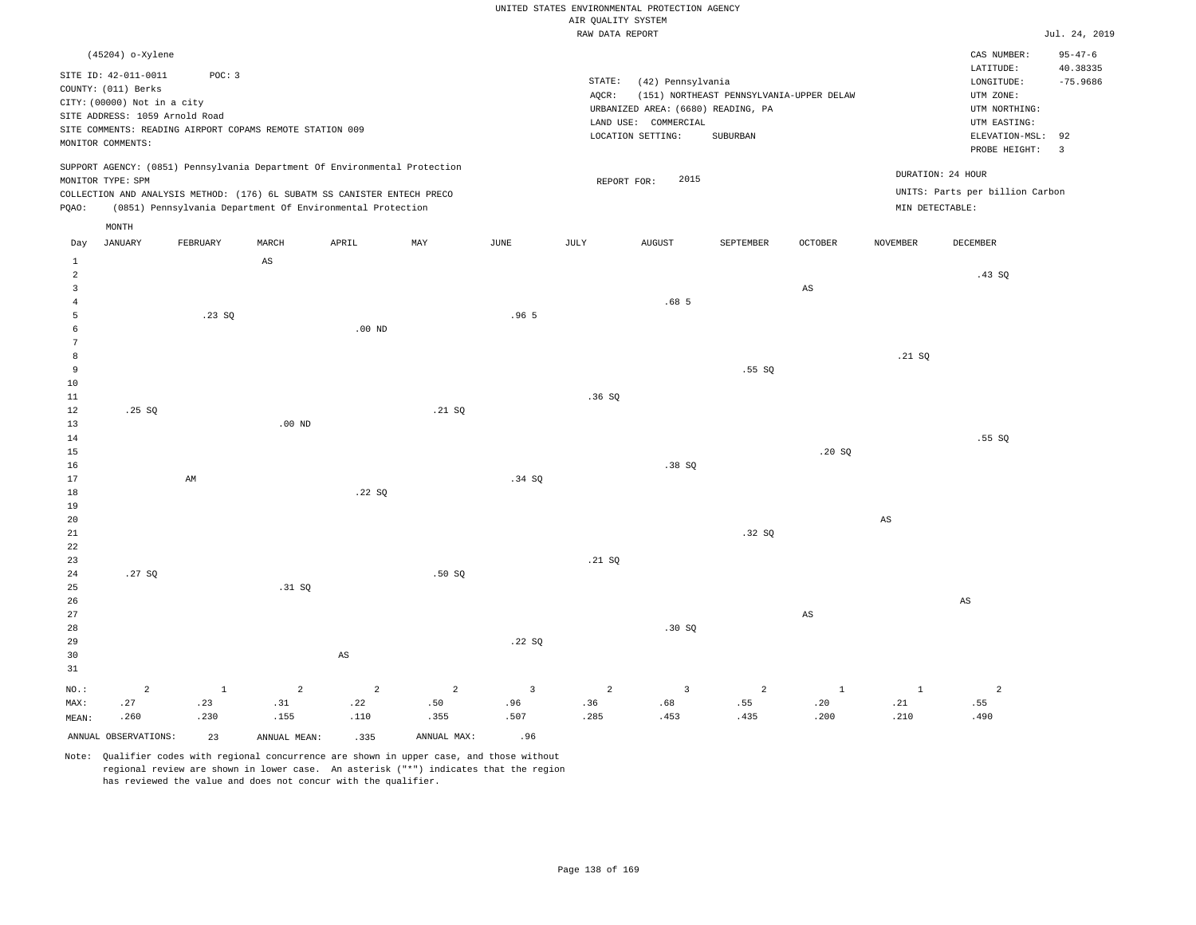| UNITED STATES ENVIRONMENTAL PROTECTION AGENCY |               |
|-----------------------------------------------|---------------|
| AIR OUALITY SYSTEM                            |               |
| RAW DATA REPORT                               | Jul. 24, 2019 |

|                                | (45204) o-Xylene<br>SITE ID: 42-011-0011<br>COUNTY: (011) Berks               | POC: 3              |                        |                                                                            |                |                         | STATE:         | (42) Pennsylvania                                          |                                          |                        |                        | CAS NUMBER:<br>LATITUDE:<br>LONGITUDE:     | $95 - 47 - 6$<br>40.38335<br>$-75.9686$ |
|--------------------------------|-------------------------------------------------------------------------------|---------------------|------------------------|----------------------------------------------------------------------------|----------------|-------------------------|----------------|------------------------------------------------------------|------------------------------------------|------------------------|------------------------|--------------------------------------------|-----------------------------------------|
|                                | CITY: (00000) Not in a city<br>SITE ADDRESS: 1059 Arnold Road                 |                     |                        |                                                                            |                |                         | AQCR:          | URBANIZED AREA: (6680) READING, PA<br>LAND USE: COMMERCIAL | (151) NORTHEAST PENNSYLVANIA-UPPER DELAW |                        |                        | UTM ZONE:<br>UTM NORTHING:<br>UTM EASTING: |                                         |
|                                | SITE COMMENTS: READING AIRPORT COPAMS REMOTE STATION 009<br>MONITOR COMMENTS: |                     |                        |                                                                            |                |                         |                | LOCATION SETTING:                                          | SUBURBAN                                 |                        |                        | ELEVATION-MSL:<br>PROBE HEIGHT:            | 92<br>$\overline{3}$                    |
|                                | MONITOR TYPE: SPM                                                             |                     |                        | SUPPORT AGENCY: (0851) Pennsylvania Department Of Environmental Protection |                |                         | REPORT FOR:    | 2015                                                       |                                          |                        |                        | DURATION: 24 HOUR                          |                                         |
|                                |                                                                               |                     |                        | COLLECTION AND ANALYSIS METHOD: (176) 6L SUBATM SS CANISTER ENTECH PRECO   |                |                         |                |                                                            |                                          |                        |                        | UNITS: Parts per billion Carbon            |                                         |
| PQAO:                          |                                                                               |                     |                        | (0851) Pennsylvania Department Of Environmental Protection                 |                |                         |                |                                                            |                                          |                        | MIN DETECTABLE:        |                                            |                                         |
|                                | MONTH                                                                         |                     |                        |                                                                            |                |                         |                |                                                            |                                          |                        |                        |                                            |                                         |
| Day                            | <b>JANUARY</b>                                                                | FEBRUARY            | MARCH                  | APRIL                                                                      | MAX            | JUNE                    | <b>JULY</b>    | <b>AUGUST</b>                                              | SEPTEMBER                                | <b>OCTOBER</b>         | <b>NOVEMBER</b>        | DECEMBER                                   |                                         |
| $\mathbf{1}$<br>$\overline{a}$ |                                                                               |                     | $\mathbb{A}\mathbb{S}$ |                                                                            |                |                         |                |                                                            |                                          |                        |                        | .43 SQ                                     |                                         |
| $\mathbf{3}$                   |                                                                               |                     |                        |                                                                            |                |                         |                |                                                            |                                          | $\mathbb{A}\mathbb{S}$ |                        |                                            |                                         |
| $\overline{4}$                 |                                                                               |                     |                        |                                                                            |                |                         |                | .68 <sub>5</sub>                                           |                                          |                        |                        |                                            |                                         |
| 5                              |                                                                               | .23SQ               |                        |                                                                            |                | .965                    |                |                                                            |                                          |                        |                        |                                            |                                         |
| 6                              |                                                                               |                     |                        | .00 <sub>ND</sub>                                                          |                |                         |                |                                                            |                                          |                        |                        |                                            |                                         |
| 7                              |                                                                               |                     |                        |                                                                            |                |                         |                |                                                            |                                          |                        |                        |                                            |                                         |
| 8                              |                                                                               |                     |                        |                                                                            |                |                         |                |                                                            |                                          |                        | .21 S0                 |                                            |                                         |
| 9<br>10                        |                                                                               |                     |                        |                                                                            |                |                         |                |                                                            | .55SQ                                    |                        |                        |                                            |                                         |
| 11                             |                                                                               |                     |                        |                                                                            |                |                         | .36SQ          |                                                            |                                          |                        |                        |                                            |                                         |
| 12                             | .25 SQ                                                                        |                     |                        |                                                                            | .21 SQ         |                         |                |                                                            |                                          |                        |                        |                                            |                                         |
| 13                             |                                                                               |                     | .00 <sub>ND</sub>      |                                                                            |                |                         |                |                                                            |                                          |                        |                        |                                            |                                         |
| 14                             |                                                                               |                     |                        |                                                                            |                |                         |                |                                                            |                                          |                        |                        | .55 SO                                     |                                         |
| 15                             |                                                                               |                     |                        |                                                                            |                |                         |                |                                                            |                                          | .20SQ                  |                        |                                            |                                         |
| 16<br>17                       |                                                                               | AM                  |                        |                                                                            |                | .34 SO                  |                | .38SQ                                                      |                                          |                        |                        |                                            |                                         |
| 18                             |                                                                               |                     |                        | .22SQ                                                                      |                |                         |                |                                                            |                                          |                        |                        |                                            |                                         |
| 19                             |                                                                               |                     |                        |                                                                            |                |                         |                |                                                            |                                          |                        |                        |                                            |                                         |
| 20                             |                                                                               |                     |                        |                                                                            |                |                         |                |                                                            |                                          |                        | $\mathbb{A}\mathbb{S}$ |                                            |                                         |
| 21                             |                                                                               |                     |                        |                                                                            |                |                         |                |                                                            | .32SQ                                    |                        |                        |                                            |                                         |
| 22                             |                                                                               |                     |                        |                                                                            |                |                         |                |                                                            |                                          |                        |                        |                                            |                                         |
| 23                             |                                                                               |                     |                        |                                                                            |                |                         | .21 SQ         |                                                            |                                          |                        |                        |                                            |                                         |
| 24<br>25                       | .27SQ                                                                         |                     | .31 SQ                 |                                                                            | .50S           |                         |                |                                                            |                                          |                        |                        |                                            |                                         |
| 26                             |                                                                               |                     |                        |                                                                            |                |                         |                |                                                            |                                          |                        |                        | $\mathbb{A}\mathbb{S}$                     |                                         |
| 27                             |                                                                               |                     |                        |                                                                            |                |                         |                |                                                            |                                          | $\mathbb{A}\mathbb{S}$ |                        |                                            |                                         |
| 28                             |                                                                               |                     |                        |                                                                            |                |                         |                | .30S                                                       |                                          |                        |                        |                                            |                                         |
| 29                             |                                                                               |                     |                        |                                                                            |                | .22SQ                   |                |                                                            |                                          |                        |                        |                                            |                                         |
| 30<br>31                       |                                                                               |                     |                        | $\mathbb{A}\mathbb{S}$                                                     |                |                         |                |                                                            |                                          |                        |                        |                                            |                                         |
|                                |                                                                               |                     |                        |                                                                            |                |                         |                |                                                            |                                          |                        |                        |                                            |                                         |
| NO.:                           | $\overline{a}$<br>.27                                                         | $\mathbf{1}$<br>.23 | $\overline{a}$         | 2                                                                          | $\overline{a}$ | $\overline{3}$          | $\overline{a}$ | $\overline{3}$<br>.68                                      | 2<br>.55                                 | $\mathbf 1$<br>.20     | $\mathbf{1}$           | $\overline{a}$<br>.55                      |                                         |
| MAX:<br>MEAN:                  | .260                                                                          | .230                | .31<br>.155            | .22<br>.110                                                                | .50<br>.355    | .96<br>.507             | .36<br>.285    | .453                                                       | .435                                     | .200                   | .21<br>.210            | .490                                       |                                         |
|                                | ANNUAL OBSERVATIONS:                                                          | 23                  | ANNUAL MEAN:           | .335                                                                       | ANNUAL MAX:    | .96                     |                |                                                            |                                          |                        |                        |                                            |                                         |
|                                |                                                                               | $\sim$ $\sim$       |                        |                                                                            |                | $\sim$ $\sim$<br>$\sim$ |                |                                                            |                                          |                        |                        |                                            |                                         |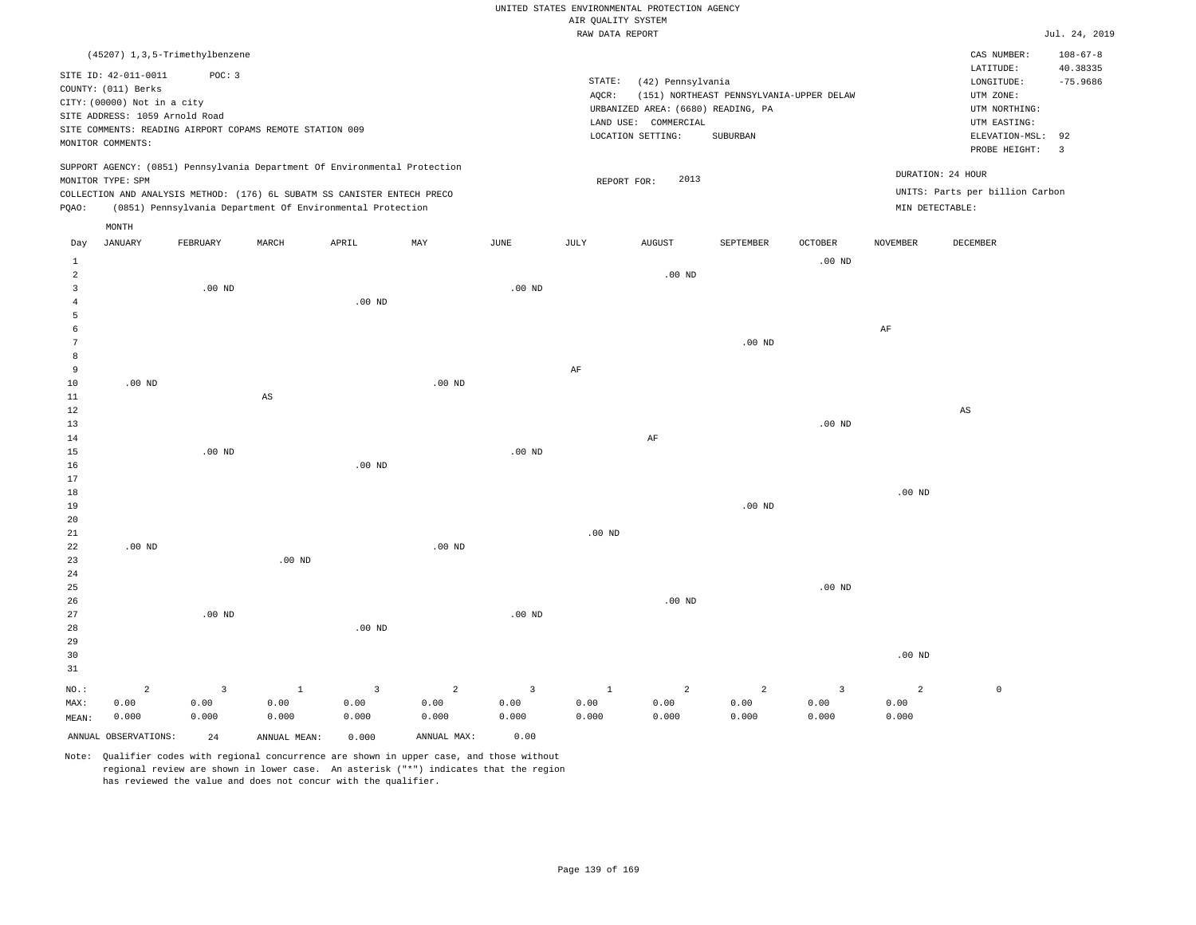|                |                                  |                |                                                                            |                   |                |                   | RAW DATA REPORT   |                                    |                                          |                   |                   |                                 | Jul. 24, 2019  |
|----------------|----------------------------------|----------------|----------------------------------------------------------------------------|-------------------|----------------|-------------------|-------------------|------------------------------------|------------------------------------------|-------------------|-------------------|---------------------------------|----------------|
|                | (45207) 1, 3, 5-Trimethylbenzene |                |                                                                            |                   |                |                   |                   |                                    |                                          |                   |                   | CAS NUMBER:                     | $108 - 67 - 8$ |
|                |                                  |                |                                                                            |                   |                |                   |                   |                                    |                                          |                   |                   | LATITUDE:                       | 40.38335       |
|                | SITE ID: 42-011-0011             | POC: 3         |                                                                            |                   |                |                   | STATE:            | (42) Pennsylvania                  |                                          |                   |                   | LONGITUDE:                      | $-75.9686$     |
|                | COUNTY: (011) Berks              |                |                                                                            |                   |                |                   | AQCR:             |                                    | (151) NORTHEAST PENNSYLVANIA-UPPER DELAW |                   |                   | UTM ZONE:                       |                |
|                | CITY: (00000) Not in a city      |                |                                                                            |                   |                |                   |                   | URBANIZED AREA: (6680) READING, PA |                                          |                   |                   | UTM NORTHING:                   |                |
|                | SITE ADDRESS: 1059 Arnold Road   |                |                                                                            |                   |                |                   |                   | LAND USE: COMMERCIAL               |                                          |                   |                   | UTM EASTING:                    |                |
|                |                                  |                | SITE COMMENTS: READING AIRPORT COPAMS REMOTE STATION 009                   |                   |                |                   |                   | LOCATION SETTING:                  | SUBURBAN                                 |                   |                   | ELEVATION-MSL: 92               |                |
|                | MONITOR COMMENTS:                |                |                                                                            |                   |                |                   |                   |                                    |                                          |                   |                   | PROBE HEIGHT:                   | $\overline{3}$ |
|                |                                  |                | SUPPORT AGENCY: (0851) Pennsylvania Department Of Environmental Protection |                   |                |                   |                   |                                    |                                          |                   |                   |                                 |                |
|                | MONITOR TYPE: SPM                |                |                                                                            |                   |                |                   | REPORT FOR:       | 2013                               |                                          |                   |                   | DURATION: 24 HOUR               |                |
|                |                                  |                | COLLECTION AND ANALYSIS METHOD: (176) 6L SUBATM SS CANISTER ENTECH PRECO   |                   |                |                   |                   |                                    |                                          |                   |                   | UNITS: Parts per billion Carbon |                |
| PQAO:          |                                  |                | (0851) Pennsylvania Department Of Environmental Protection                 |                   |                |                   |                   |                                    |                                          |                   | MIN DETECTABLE:   |                                 |                |
|                | MONTH                            |                |                                                                            |                   |                |                   |                   |                                    |                                          |                   |                   |                                 |                |
| Day            | JANUARY                          | FEBRUARY       | $\tt MARCH$                                                                | APRIL             | MAY            | JUNE              | JULY              | AUGUST                             | SEPTEMBER                                | <b>OCTOBER</b>    | NOVEMBER          | DECEMBER                        |                |
| <sup>1</sup>   |                                  |                |                                                                            |                   |                |                   |                   |                                    |                                          | .00 <sub>ND</sub> |                   |                                 |                |
| $\overline{a}$ |                                  |                |                                                                            |                   |                |                   |                   | $.00$ ND                           |                                          |                   |                   |                                 |                |
| $\overline{3}$ |                                  | $.00$ ND       |                                                                            |                   |                | .00 <sub>ND</sub> |                   |                                    |                                          |                   |                   |                                 |                |
| $\overline{4}$ |                                  |                |                                                                            | $.00$ ND          |                |                   |                   |                                    |                                          |                   |                   |                                 |                |
| 5              |                                  |                |                                                                            |                   |                |                   |                   |                                    |                                          |                   |                   |                                 |                |
| 6              |                                  |                |                                                                            |                   |                |                   |                   |                                    |                                          |                   | AF                |                                 |                |
| 7              |                                  |                |                                                                            |                   |                |                   |                   |                                    | $.00$ ND                                 |                   |                   |                                 |                |
| 8              |                                  |                |                                                                            |                   |                |                   |                   |                                    |                                          |                   |                   |                                 |                |
| $\mathbf{q}$   |                                  |                |                                                                            |                   |                |                   | AF                |                                    |                                          |                   |                   |                                 |                |
| 10             | .00 <sub>ND</sub>                |                |                                                                            |                   | $.00$ ND       |                   |                   |                                    |                                          |                   |                   |                                 |                |
| $11\,$         |                                  |                | $\mathbb{A}\mathbb{S}$                                                     |                   |                |                   |                   |                                    |                                          |                   |                   |                                 |                |
| 12             |                                  |                |                                                                            |                   |                |                   |                   |                                    |                                          |                   |                   | AS                              |                |
| 13             |                                  |                |                                                                            |                   |                |                   |                   |                                    |                                          | .00 <sub>ND</sub> |                   |                                 |                |
| 14             |                                  |                |                                                                            |                   |                |                   |                   | $\rm{AF}$                          |                                          |                   |                   |                                 |                |
| 15             |                                  | $.00$ ND       |                                                                            |                   |                | $.00$ ND          |                   |                                    |                                          |                   |                   |                                 |                |
| 16             |                                  |                |                                                                            | .00 <sub>ND</sub> |                |                   |                   |                                    |                                          |                   |                   |                                 |                |
| 17             |                                  |                |                                                                            |                   |                |                   |                   |                                    |                                          |                   |                   |                                 |                |
| 18             |                                  |                |                                                                            |                   |                |                   |                   |                                    |                                          |                   | .00 <sub>ND</sub> |                                 |                |
| 19             |                                  |                |                                                                            |                   |                |                   |                   |                                    | $.00$ ND                                 |                   |                   |                                 |                |
| 20<br>21       |                                  |                |                                                                            |                   |                |                   | .00 <sub>ND</sub> |                                    |                                          |                   |                   |                                 |                |
| 22             | $.00$ ND                         |                |                                                                            |                   | $.00$ ND       |                   |                   |                                    |                                          |                   |                   |                                 |                |
| 23             |                                  |                | $.00$ ND                                                                   |                   |                |                   |                   |                                    |                                          |                   |                   |                                 |                |
| 24             |                                  |                |                                                                            |                   |                |                   |                   |                                    |                                          |                   |                   |                                 |                |
| 25             |                                  |                |                                                                            |                   |                |                   |                   |                                    |                                          | .00 <sub>ND</sub> |                   |                                 |                |
| 26             |                                  |                |                                                                            |                   |                |                   |                   | .00 <sub>ND</sub>                  |                                          |                   |                   |                                 |                |
| 27             |                                  | $.00$ ND       |                                                                            |                   |                | $.00$ ND          |                   |                                    |                                          |                   |                   |                                 |                |
| 28             |                                  |                |                                                                            | .00 <sub>ND</sub> |                |                   |                   |                                    |                                          |                   |                   |                                 |                |
| 29             |                                  |                |                                                                            |                   |                |                   |                   |                                    |                                          |                   |                   |                                 |                |
| 30             |                                  |                |                                                                            |                   |                |                   |                   |                                    |                                          |                   | .00 <sub>ND</sub> |                                 |                |
| 31             |                                  |                |                                                                            |                   |                |                   |                   |                                    |                                          |                   |                   |                                 |                |
| NO.:           | $\overline{a}$                   | $\overline{3}$ | $\mathbf{1}$                                                               | $\overline{3}$    | $\overline{a}$ | $\overline{3}$    | $\mathbf{1}$      | $\overline{a}$                     | $\overline{a}$                           | $\overline{3}$    | $\overline{a}$    | $\mathsf{O}$                    |                |
| MAX:           | 0.00                             | 0.00           | 0.00                                                                       | 0.00              | 0.00           | 0.00              | 0.00              | 0.00                               | 0.00                                     | 0.00              | 0.00              |                                 |                |
| MEAN:          | 0.000                            | 0.000          | 0.000                                                                      | 0.000             | 0.000          | 0.000             | 0.000             | 0.000                              | 0.000                                    | 0.000             | 0.000             |                                 |                |
|                | ANNUAL OBSERVATIONS:             |                |                                                                            |                   | ANNUAL MAX:    | 0.00              |                   |                                    |                                          |                   |                   |                                 |                |
|                |                                  | 24             | ANNUAL MEAN:                                                               | 0.000             |                |                   |                   |                                    |                                          |                   |                   |                                 |                |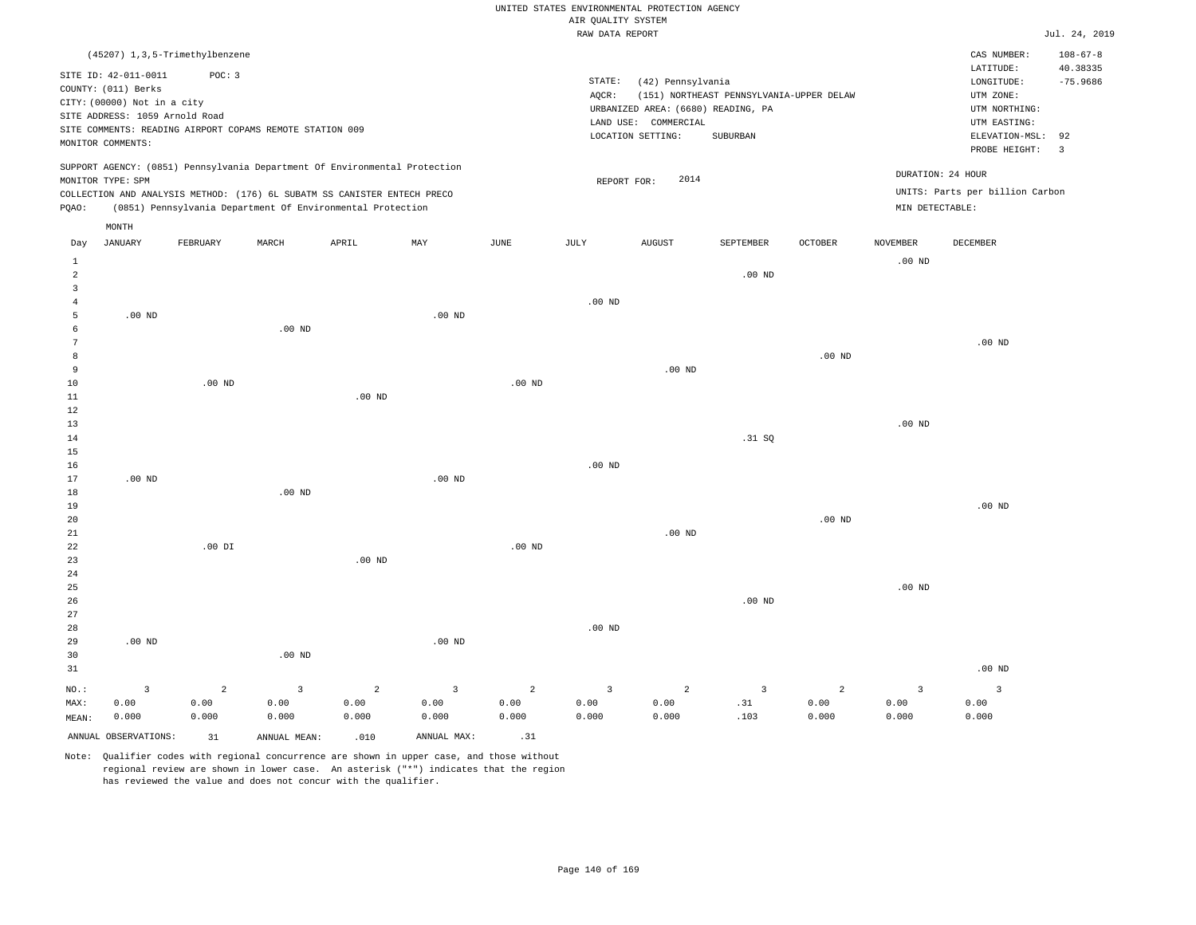|  |  |                    | UNITED STATES ENVIRONMENTAL PROTECTION AGENCY |  |
|--|--|--------------------|-----------------------------------------------|--|
|  |  | AIR OUALITY SYSTEM |                                               |  |

|                     |                                                                            |                        |                        |                                                            |                        |                        | RAW DATA REPORT      |                                    |                                          |                        |                   |                                 | Jul. 24, 2019  |
|---------------------|----------------------------------------------------------------------------|------------------------|------------------------|------------------------------------------------------------|------------------------|------------------------|----------------------|------------------------------------|------------------------------------------|------------------------|-------------------|---------------------------------|----------------|
|                     | (45207) 1,3,5-Trimethylbenzene                                             |                        |                        |                                                            |                        |                        |                      |                                    |                                          |                        |                   | CAS NUMBER:                     | $108 - 67 - 8$ |
|                     | SITE ID: 42-011-0011                                                       | POC: 3                 |                        |                                                            |                        |                        |                      |                                    |                                          |                        |                   | LATITUDE:                       | 40.38335       |
|                     | COUNTY: (011) Berks                                                        |                        |                        |                                                            |                        |                        | STATE:               | (42) Pennsylvania                  |                                          |                        |                   | $\texttt{LONGITUDE}$ :          | $-75.9686$     |
|                     | CITY: (00000) Not in a city                                                |                        |                        |                                                            |                        |                        | AQCR:                |                                    | (151) NORTHEAST PENNSYLVANIA-UPPER DELAW |                        |                   | UTM ZONE:                       |                |
|                     | SITE ADDRESS: 1059 Arnold Road                                             |                        |                        |                                                            |                        |                        |                      | URBANIZED AREA: (6680) READING, PA |                                          |                        |                   | UTM NORTHING:                   |                |
|                     | SITE COMMENTS: READING AIRPORT COPAMS REMOTE STATION 009                   |                        |                        |                                                            |                        |                        |                      | LAND USE: COMMERCIAL               |                                          |                        |                   | UTM EASTING:                    |                |
|                     | MONITOR COMMENTS:                                                          |                        |                        |                                                            |                        |                        |                      | LOCATION SETTING:                  | SUBURBAN                                 |                        |                   | ELEVATION-MSL:                  | 92             |
|                     |                                                                            |                        |                        |                                                            |                        |                        |                      |                                    |                                          |                        |                   | PROBE HEIGHT:                   | $\overline{3}$ |
|                     | SUPPORT AGENCY: (0851) Pennsylvania Department Of Environmental Protection |                        |                        |                                                            |                        |                        |                      |                                    |                                          |                        |                   | DURATION: 24 HOUR               |                |
|                     | MONITOR TYPE: SPM                                                          |                        |                        |                                                            |                        |                        | REPORT FOR:          | 2014                               |                                          |                        |                   | UNITS: Parts per billion Carbon |                |
| PQAO:               | COLLECTION AND ANALYSIS METHOD: (176) 6L SUBATM SS CANISTER ENTECH PRECO   |                        |                        | (0851) Pennsylvania Department Of Environmental Protection |                        |                        |                      |                                    |                                          |                        | MIN DETECTABLE:   |                                 |                |
|                     |                                                                            |                        |                        |                                                            |                        |                        |                      |                                    |                                          |                        |                   |                                 |                |
|                     | MONTH                                                                      |                        |                        |                                                            |                        |                        |                      |                                    |                                          |                        |                   |                                 |                |
| Day                 | <b>JANUARY</b>                                                             | FEBRUARY               | MARCH                  | APRIL                                                      | MAY                    | JUNE                   | JULY                 | <b>AUGUST</b>                      | SEPTEMBER                                | <b>OCTOBER</b>         | <b>NOVEMBER</b>   | DECEMBER                        |                |
| $\mathbf{1}$        |                                                                            |                        |                        |                                                            |                        |                        |                      |                                    |                                          |                        | $.00$ ND          |                                 |                |
| $\overline{a}$      |                                                                            |                        |                        |                                                            |                        |                        |                      |                                    | $.00$ ND                                 |                        |                   |                                 |                |
| $\overline{3}$      |                                                                            |                        |                        |                                                            |                        |                        |                      |                                    |                                          |                        |                   |                                 |                |
| $\overline{4}$<br>5 | $.00$ ND                                                                   |                        |                        |                                                            | $.00$ ND               |                        | .00 <sub>ND</sub>    |                                    |                                          |                        |                   |                                 |                |
| 6                   |                                                                            |                        | $.00$ ND               |                                                            |                        |                        |                      |                                    |                                          |                        |                   |                                 |                |
| 7                   |                                                                            |                        |                        |                                                            |                        |                        |                      |                                    |                                          |                        |                   | .00 <sub>ND</sub>               |                |
| 8                   |                                                                            |                        |                        |                                                            |                        |                        |                      |                                    |                                          | $.00$ ND               |                   |                                 |                |
| 9                   |                                                                            |                        |                        |                                                            |                        |                        |                      | $.00$ ND                           |                                          |                        |                   |                                 |                |
| 10                  |                                                                            | $.00$ ND               |                        |                                                            |                        | $.00$ ND               |                      |                                    |                                          |                        |                   |                                 |                |
| 11                  |                                                                            |                        |                        | $.00$ ND                                                   |                        |                        |                      |                                    |                                          |                        |                   |                                 |                |
| $1\,2$              |                                                                            |                        |                        |                                                            |                        |                        |                      |                                    |                                          |                        |                   |                                 |                |
| 13                  |                                                                            |                        |                        |                                                            |                        |                        |                      |                                    |                                          |                        | .00 <sub>ND</sub> |                                 |                |
| 14                  |                                                                            |                        |                        |                                                            |                        |                        |                      |                                    | .31 S0                                   |                        |                   |                                 |                |
| 15                  |                                                                            |                        |                        |                                                            |                        |                        |                      |                                    |                                          |                        |                   |                                 |                |
| 16<br>$17$          | $.00$ ND                                                                   |                        |                        |                                                            | $.00$ ND               |                        | $.00$ ND             |                                    |                                          |                        |                   |                                 |                |
| 18                  |                                                                            |                        | $.00$ ND               |                                                            |                        |                        |                      |                                    |                                          |                        |                   |                                 |                |
| 19                  |                                                                            |                        |                        |                                                            |                        |                        |                      |                                    |                                          |                        |                   | $.00$ ND                        |                |
| 20                  |                                                                            |                        |                        |                                                            |                        |                        |                      |                                    |                                          | $.00$ ND               |                   |                                 |                |
| 21                  |                                                                            |                        |                        |                                                            |                        |                        |                      | $.00$ ND                           |                                          |                        |                   |                                 |                |
| 22                  |                                                                            | $.00$ DI               |                        |                                                            |                        | .00 <sub>ND</sub>      |                      |                                    |                                          |                        |                   |                                 |                |
| 23                  |                                                                            |                        |                        | .00 <sub>ND</sub>                                          |                        |                        |                      |                                    |                                          |                        |                   |                                 |                |
| 24                  |                                                                            |                        |                        |                                                            |                        |                        |                      |                                    |                                          |                        |                   |                                 |                |
| 25                  |                                                                            |                        |                        |                                                            |                        |                        |                      |                                    |                                          |                        | $.00$ ND          |                                 |                |
| 26                  |                                                                            |                        |                        |                                                            |                        |                        |                      |                                    | $.00$ ND                                 |                        |                   |                                 |                |
| 27                  |                                                                            |                        |                        |                                                            |                        |                        |                      |                                    |                                          |                        |                   |                                 |                |
| 28<br>29            | $.00$ ND                                                                   |                        |                        |                                                            | $.00$ ND               |                        | $.00$ ND             |                                    |                                          |                        |                   |                                 |                |
| 30                  |                                                                            |                        | $.00$ ND               |                                                            |                        |                        |                      |                                    |                                          |                        |                   |                                 |                |
| 31                  |                                                                            |                        |                        |                                                            |                        |                        |                      |                                    |                                          |                        |                   | $.00$ ND                        |                |
|                     |                                                                            |                        |                        |                                                            |                        |                        |                      |                                    |                                          |                        |                   |                                 |                |
| NO.:<br>MAX:        | $\overline{3}$<br>0.00                                                     | $\overline{a}$<br>0.00 | $\overline{3}$<br>0.00 | $\overline{a}$<br>0.00                                     | $\overline{3}$<br>0.00 | $\overline{a}$<br>0.00 | $\mathbf{3}$<br>0.00 | $\overline{a}$<br>0.00             | $\overline{\mathbf{3}}$<br>.31           | $\overline{a}$<br>0.00 | 3<br>0.00         | $\overline{\mathbf{3}}$<br>0.00 |                |
| MEAN:               | 0.000                                                                      | 0.000                  | 0.000                  | 0.000                                                      | 0.000                  | 0.000                  | 0.000                | 0.000                              | .103                                     | 0.000                  | 0.000             | 0.000                           |                |
|                     |                                                                            |                        |                        |                                                            |                        |                        |                      |                                    |                                          |                        |                   |                                 |                |
|                     | ANNUAL OBSERVATIONS:                                                       | 31                     | ANNUAL MEAN:           | .010                                                       | ANNUAL MAX:            | .31                    |                      |                                    |                                          |                        |                   |                                 |                |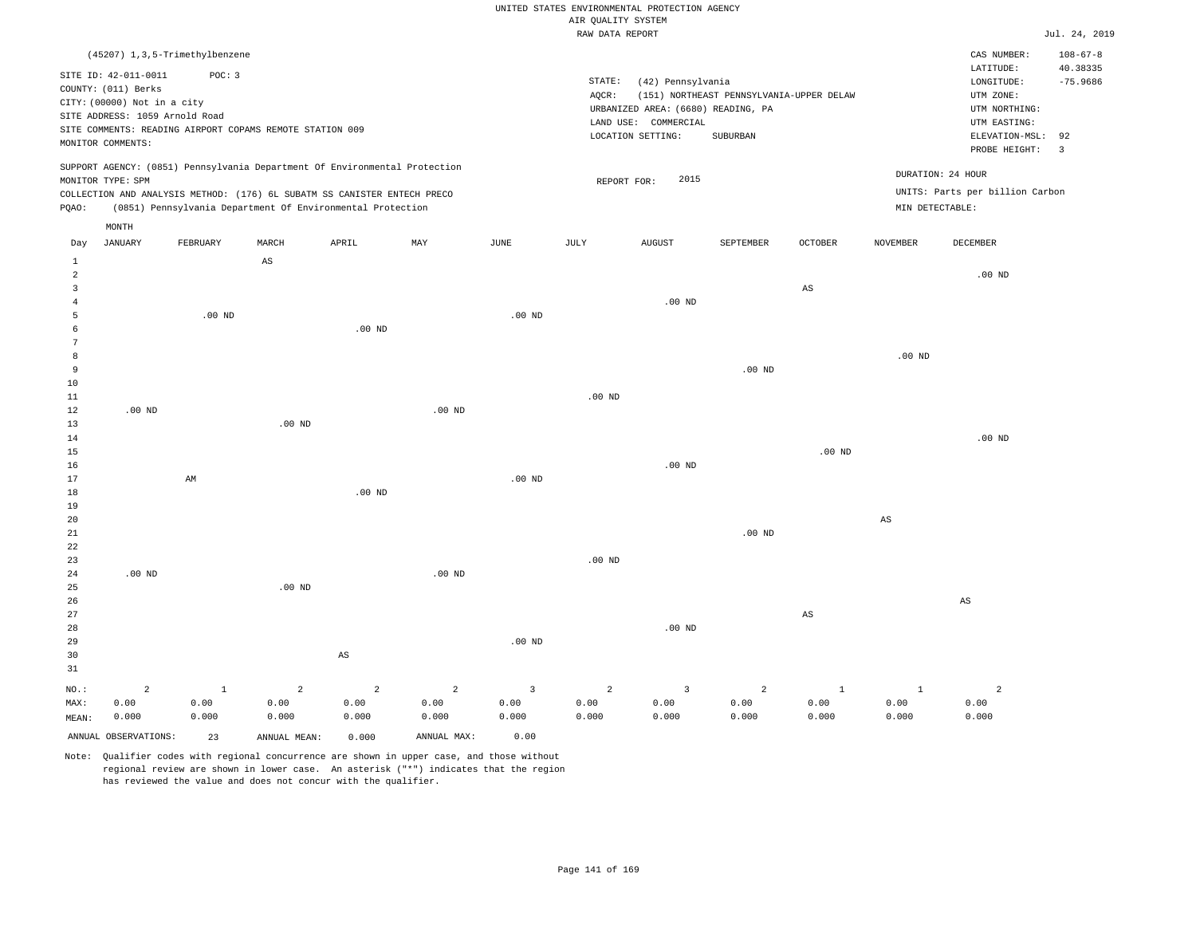|  | RAW DATA REPORT |  |
|--|-----------------|--|

|                |                                                                            |                   |                                                            |                        |                |                | RAW DATA REPORT   |                                    |                                          |              |                        |                                 | Jul. 24, 2019  |
|----------------|----------------------------------------------------------------------------|-------------------|------------------------------------------------------------|------------------------|----------------|----------------|-------------------|------------------------------------|------------------------------------------|--------------|------------------------|---------------------------------|----------------|
|                | (45207) 1,3,5-Trimethylbenzene                                             |                   |                                                            |                        |                |                |                   |                                    |                                          |              |                        | CAS NUMBER:                     | $108 - 67 - 8$ |
|                |                                                                            |                   |                                                            |                        |                |                |                   |                                    |                                          |              |                        | LATITUDE:                       | 40.38335       |
|                | SITE ID: 42-011-0011                                                       | POC: 3            |                                                            |                        |                |                | STATE:            | (42) Pennsylvania                  |                                          |              |                        | LONGITUDE:                      | $-75.9686$     |
|                | COUNTY: (011) Berks<br>CITY: (00000) Not in a city                         |                   |                                                            |                        |                |                | AOCR:             |                                    | (151) NORTHEAST PENNSYLVANIA-UPPER DELAW |              |                        | UTM ZONE:                       |                |
|                | SITE ADDRESS: 1059 Arnold Road                                             |                   |                                                            |                        |                |                |                   | URBANIZED AREA: (6680) READING, PA |                                          |              |                        | UTM NORTHING:                   |                |
|                | SITE COMMENTS: READING AIRPORT COPAMS REMOTE STATION 009                   |                   |                                                            |                        |                |                |                   | LAND USE: COMMERCIAL               |                                          |              |                        | UTM EASTING:                    |                |
|                | MONITOR COMMENTS:                                                          |                   |                                                            |                        |                |                |                   | LOCATION SETTING:                  | <b>SUBURBAN</b>                          |              |                        | ELEVATION-MSL:                  | 92             |
|                |                                                                            |                   |                                                            |                        |                |                |                   |                                    |                                          |              |                        | PROBE HEIGHT:                   | $\overline{3}$ |
|                | SUPPORT AGENCY: (0851) Pennsylvania Department Of Environmental Protection |                   |                                                            |                        |                |                |                   |                                    |                                          |              |                        | DURATION: 24 HOUR               |                |
|                | MONITOR TYPE: SPM                                                          |                   |                                                            |                        |                |                | REPORT FOR:       | 2015                               |                                          |              |                        | UNITS: Parts per billion Carbon |                |
| PQAO:          | COLLECTION AND ANALYSIS METHOD: (176) 6L SUBATM SS CANISTER ENTECH PRECO   |                   | (0851) Pennsylvania Department Of Environmental Protection |                        |                |                |                   |                                    |                                          |              |                        | MIN DETECTABLE:                 |                |
|                |                                                                            |                   |                                                            |                        |                |                |                   |                                    |                                          |              |                        |                                 |                |
| Day            | MONTH<br><b>JANUARY</b>                                                    | FEBRUARY          | MARCH                                                      | APRIL                  | MAY            | JUNE           | JULY              | <b>AUGUST</b>                      | SEPTEMBER                                | OCTOBER      | <b>NOVEMBER</b>        | DECEMBER                        |                |
|                |                                                                            |                   |                                                            |                        |                |                |                   |                                    |                                          |              |                        |                                 |                |
| 1<br>2         |                                                                            |                   | $\mathbb{A}\mathbb{S}$                                     |                        |                |                |                   |                                    |                                          |              |                        | $.00$ ND                        |                |
| $\overline{3}$ |                                                                            |                   |                                                            |                        |                |                |                   |                                    |                                          | $_{\rm AS}$  |                        |                                 |                |
| $\overline{4}$ |                                                                            |                   |                                                            |                        |                |                |                   | $.00$ ND                           |                                          |              |                        |                                 |                |
| 5              |                                                                            | .00 <sub>ND</sub> |                                                            |                        |                | $.00$ ND       |                   |                                    |                                          |              |                        |                                 |                |
| 6              |                                                                            |                   |                                                            | $.00$ ND               |                |                |                   |                                    |                                          |              |                        |                                 |                |
| $\overline{7}$ |                                                                            |                   |                                                            |                        |                |                |                   |                                    |                                          |              |                        |                                 |                |
| 8              |                                                                            |                   |                                                            |                        |                |                |                   |                                    |                                          |              | $.00$ ND               |                                 |                |
| 9              |                                                                            |                   |                                                            |                        |                |                |                   |                                    | $.00$ ND                                 |              |                        |                                 |                |
| 10             |                                                                            |                   |                                                            |                        |                |                |                   |                                    |                                          |              |                        |                                 |                |
| 11             |                                                                            |                   |                                                            |                        |                |                | .00 <sub>ND</sub> |                                    |                                          |              |                        |                                 |                |
| $1\,2$         | $.00$ ND                                                                   |                   |                                                            |                        | $.00$ ND       |                |                   |                                    |                                          |              |                        |                                 |                |
| 13             |                                                                            |                   | $.00$ ND                                                   |                        |                |                |                   |                                    |                                          |              |                        |                                 |                |
| 14             |                                                                            |                   |                                                            |                        |                |                |                   |                                    |                                          |              |                        | $.00$ ND                        |                |
| 15             |                                                                            |                   |                                                            |                        |                |                |                   |                                    |                                          | $.00$ ND     |                        |                                 |                |
| 16             |                                                                            |                   |                                                            |                        |                |                |                   | $.00$ ND                           |                                          |              |                        |                                 |                |
| 17             |                                                                            | AM                |                                                            |                        |                | $.00$ ND       |                   |                                    |                                          |              |                        |                                 |                |
| 18<br>19       |                                                                            |                   |                                                            | .00 <sub>ND</sub>      |                |                |                   |                                    |                                          |              |                        |                                 |                |
| 20             |                                                                            |                   |                                                            |                        |                |                |                   |                                    |                                          |              | $\mathbb{A}\mathbb{S}$ |                                 |                |
| 21             |                                                                            |                   |                                                            |                        |                |                |                   |                                    | $.00$ ND                                 |              |                        |                                 |                |
| 22             |                                                                            |                   |                                                            |                        |                |                |                   |                                    |                                          |              |                        |                                 |                |
| 23             |                                                                            |                   |                                                            |                        |                |                | $.00$ ND          |                                    |                                          |              |                        |                                 |                |
| 24             | $.00$ ND                                                                   |                   |                                                            |                        | $.00$ ND       |                |                   |                                    |                                          |              |                        |                                 |                |
| 25             |                                                                            |                   | $.00$ ND                                                   |                        |                |                |                   |                                    |                                          |              |                        |                                 |                |
| 26             |                                                                            |                   |                                                            |                        |                |                |                   |                                    |                                          |              |                        | $\mathbb{A}\mathbb{S}$          |                |
| 27             |                                                                            |                   |                                                            |                        |                |                |                   |                                    |                                          | $_{\rm AS}$  |                        |                                 |                |
| 28             |                                                                            |                   |                                                            |                        |                |                |                   | $.00$ ND                           |                                          |              |                        |                                 |                |
| 29             |                                                                            |                   |                                                            |                        |                | $.00$ ND       |                   |                                    |                                          |              |                        |                                 |                |
| 30             |                                                                            |                   |                                                            | $\mathbb{A}\mathbb{S}$ |                |                |                   |                                    |                                          |              |                        |                                 |                |
| 31             |                                                                            |                   |                                                            |                        |                |                |                   |                                    |                                          |              |                        |                                 |                |
| NO.:           | $\overline{2}$                                                             | $\mathbf{1}$      | 2                                                          | $\overline{a}$         | $\overline{2}$ | $\overline{3}$ | $\overline{a}$    | $\overline{3}$                     | $\overline{a}$                           | $\mathbf{1}$ | $\mathbf{1}$           | $\overline{a}$                  |                |
| MAX:           | 0.00                                                                       | 0.00              | 0.00                                                       | 0.00                   | 0.00           | 0.00           | 0.00              | 0.00                               | 0.00                                     | 0.00         | 0.00                   | 0.00                            |                |
| MEAN:          | 0.000                                                                      | 0.000             | 0.000                                                      | 0.000                  | 0.000          | 0.000          | 0.000             | 0.000                              | 0.000                                    | 0.000        | 0.000                  | 0.000                           |                |
|                | ANNUAL OBSERVATIONS:                                                       | 23                | ANNUAL MEAN:                                               | 0.000                  | ANNUAL MAX:    | 0.00           |                   |                                    |                                          |              |                        |                                 |                |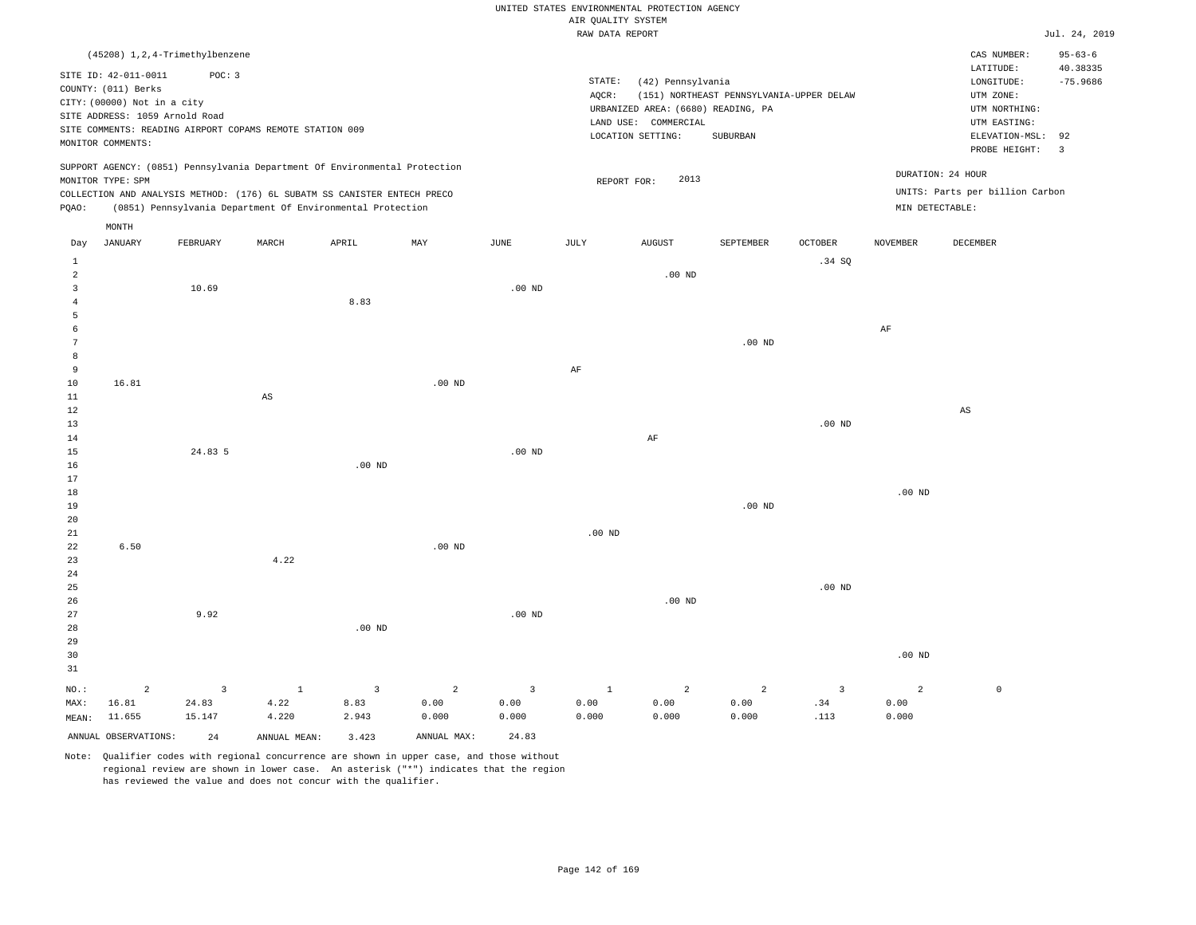|  | RAW DATA REPORT |  |
|--|-----------------|--|

|                 |                                  |                |                                                                            |              |                |                   | RAW DATA REPORT   |                                    |                                          |                         |                   |                                 | Jul. 24, 2019           |
|-----------------|----------------------------------|----------------|----------------------------------------------------------------------------|--------------|----------------|-------------------|-------------------|------------------------------------|------------------------------------------|-------------------------|-------------------|---------------------------------|-------------------------|
|                 | (45208) 1, 2, 4-Trimethylbenzene |                |                                                                            |              |                |                   |                   |                                    |                                          |                         |                   | CAS NUMBER:                     | $95 - 63 - 6$           |
|                 |                                  |                |                                                                            |              |                |                   |                   |                                    |                                          |                         |                   | LATITUDE:                       | 40.38335                |
|                 | SITE ID: 42-011-0011             | POC: 3         |                                                                            |              |                |                   | STATE:            | (42) Pennsylvania                  |                                          |                         |                   | LONGITUDE:                      | $-75.9686$              |
|                 | COUNTY: (011) Berks              |                |                                                                            |              |                |                   | AQCR:             |                                    | (151) NORTHEAST PENNSYLVANIA-UPPER DELAW |                         |                   | UTM ZONE:                       |                         |
|                 | CITY: (00000) Not in a city      |                |                                                                            |              |                |                   |                   | URBANIZED AREA: (6680) READING, PA |                                          |                         |                   | UTM NORTHING:                   |                         |
|                 | SITE ADDRESS: 1059 Arnold Road   |                |                                                                            |              |                |                   |                   | LAND USE: COMMERCIAL               |                                          |                         |                   | UTM EASTING:                    |                         |
|                 |                                  |                | SITE COMMENTS: READING AIRPORT COPAMS REMOTE STATION 009                   |              |                |                   |                   | LOCATION SETTING:                  | SUBURBAN                                 |                         |                   | ELEVATION-MSL:                  | 92                      |
|                 | MONITOR COMMENTS:                |                |                                                                            |              |                |                   |                   |                                    |                                          |                         |                   | PROBE HEIGHT:                   | $\overline{\mathbf{3}}$ |
|                 |                                  |                | SUPPORT AGENCY: (0851) Pennsylvania Department Of Environmental Protection |              |                |                   |                   |                                    |                                          |                         |                   |                                 |                         |
|                 | MONITOR TYPE: SPM                |                |                                                                            |              |                |                   | REPORT FOR:       | 2013                               |                                          |                         |                   | DURATION: 24 HOUR               |                         |
|                 |                                  |                | COLLECTION AND ANALYSIS METHOD: (176) 6L SUBATM SS CANISTER ENTECH PRECO   |              |                |                   |                   |                                    |                                          |                         |                   | UNITS: Parts per billion Carbon |                         |
| PQAO:           |                                  |                | (0851) Pennsylvania Department Of Environmental Protection                 |              |                |                   |                   |                                    |                                          |                         | MIN DETECTABLE:   |                                 |                         |
|                 | MONTH                            |                |                                                                            |              |                |                   |                   |                                    |                                          |                         |                   |                                 |                         |
| Day             | <b>JANUARY</b>                   | FEBRUARY       | MARCH                                                                      | APRIL        | MAY            | JUNE              | JULY              | <b>AUGUST</b>                      | SEPTEMBER                                | OCTOBER                 | <b>NOVEMBER</b>   | DECEMBER                        |                         |
| <b>1</b>        |                                  |                |                                                                            |              |                |                   |                   |                                    |                                          | .34S                    |                   |                                 |                         |
| $\overline{a}$  |                                  |                |                                                                            |              |                |                   |                   | $.00$ ND                           |                                          |                         |                   |                                 |                         |
| $\overline{3}$  |                                  | 10.69          |                                                                            |              |                | $.00$ ND          |                   |                                    |                                          |                         |                   |                                 |                         |
| $\overline{4}$  |                                  |                |                                                                            | 8.83         |                |                   |                   |                                    |                                          |                         |                   |                                 |                         |
| 5               |                                  |                |                                                                            |              |                |                   |                   |                                    |                                          |                         |                   |                                 |                         |
| 6               |                                  |                |                                                                            |              |                |                   |                   |                                    |                                          |                         | $\rm{AF}$         |                                 |                         |
| $7\phantom{.0}$ |                                  |                |                                                                            |              |                |                   |                   |                                    | $.00$ ND                                 |                         |                   |                                 |                         |
| 8               |                                  |                |                                                                            |              |                |                   |                   |                                    |                                          |                         |                   |                                 |                         |
| 9               |                                  |                |                                                                            |              |                |                   | $\rm AF$          |                                    |                                          |                         |                   |                                 |                         |
| 10              | 16.81                            |                |                                                                            |              | $.00$ ND       |                   |                   |                                    |                                          |                         |                   |                                 |                         |
| 11              |                                  |                | AS                                                                         |              |                |                   |                   |                                    |                                          |                         |                   |                                 |                         |
| 12              |                                  |                |                                                                            |              |                |                   |                   |                                    |                                          |                         |                   | AS                              |                         |
| 13              |                                  |                |                                                                            |              |                |                   |                   |                                    |                                          | $.00$ ND                |                   |                                 |                         |
| 14              |                                  |                |                                                                            |              |                |                   |                   | AF                                 |                                          |                         |                   |                                 |                         |
| 15              |                                  | 24.83 5        |                                                                            |              |                | .00 <sub>ND</sub> |                   |                                    |                                          |                         |                   |                                 |                         |
| 16              |                                  |                |                                                                            | $.00$ ND     |                |                   |                   |                                    |                                          |                         |                   |                                 |                         |
| 17              |                                  |                |                                                                            |              |                |                   |                   |                                    |                                          |                         |                   |                                 |                         |
| 18              |                                  |                |                                                                            |              |                |                   |                   |                                    |                                          |                         | .00 <sub>ND</sub> |                                 |                         |
| 19              |                                  |                |                                                                            |              |                |                   |                   |                                    | $.00$ ND                                 |                         |                   |                                 |                         |
| 20              |                                  |                |                                                                            |              |                |                   |                   |                                    |                                          |                         |                   |                                 |                         |
| 21              |                                  |                |                                                                            |              |                |                   | .00 <sub>ND</sub> |                                    |                                          |                         |                   |                                 |                         |
| 22              | 6.50                             |                |                                                                            |              | $.00$ ND       |                   |                   |                                    |                                          |                         |                   |                                 |                         |
| 23              |                                  |                | 4.22                                                                       |              |                |                   |                   |                                    |                                          |                         |                   |                                 |                         |
| 24              |                                  |                |                                                                            |              |                |                   |                   |                                    |                                          |                         |                   |                                 |                         |
| 25              |                                  |                |                                                                            |              |                |                   |                   |                                    |                                          | $.00$ ND                |                   |                                 |                         |
| 26              |                                  | 9.92           |                                                                            |              |                | .00 <sub>ND</sub> |                   | $.00$ ND                           |                                          |                         |                   |                                 |                         |
| 27<br>28        |                                  |                |                                                                            | $.00$ ND     |                |                   |                   |                                    |                                          |                         |                   |                                 |                         |
|                 |                                  |                |                                                                            |              |                |                   |                   |                                    |                                          |                         |                   |                                 |                         |
| 29              |                                  |                |                                                                            |              |                |                   |                   |                                    |                                          |                         |                   |                                 |                         |
| 30<br>31        |                                  |                |                                                                            |              |                |                   |                   |                                    |                                          |                         | .00 <sub>ND</sub> |                                 |                         |
|                 |                                  |                |                                                                            |              |                |                   |                   |                                    |                                          |                         |                   |                                 |                         |
| NO.:            | $\overline{c}$                   | $\overline{3}$ | $\mathbf{1}$                                                               | $\mathbf{3}$ | $\overline{c}$ | $\overline{3}$    | $\mathbf{1}$      | $\overline{a}$                     | $\overline{a}$                           | $\overline{\mathbf{3}}$ | $\overline{a}$    | $\mathbb O$                     |                         |
| MAX:            | 16.81                            | 24.83          | 4.22                                                                       | 8.83         | 0.00           | 0.00              | 0.00              | 0.00                               | 0.00                                     | .34                     | 0.00              |                                 |                         |
| MEAN:           | 11.655                           | 15.147         | 4.220                                                                      | 2.943        | 0.000          | 0.000             | 0.000             | 0.000                              | 0.000                                    | .113                    | 0.000             |                                 |                         |
|                 | ANNUAL OBSERVATIONS:             | 24             | ANNUAL MEAN:                                                               | 3.423        | ANNUAL MAX:    | 24.83             |                   |                                    |                                          |                         |                   |                                 |                         |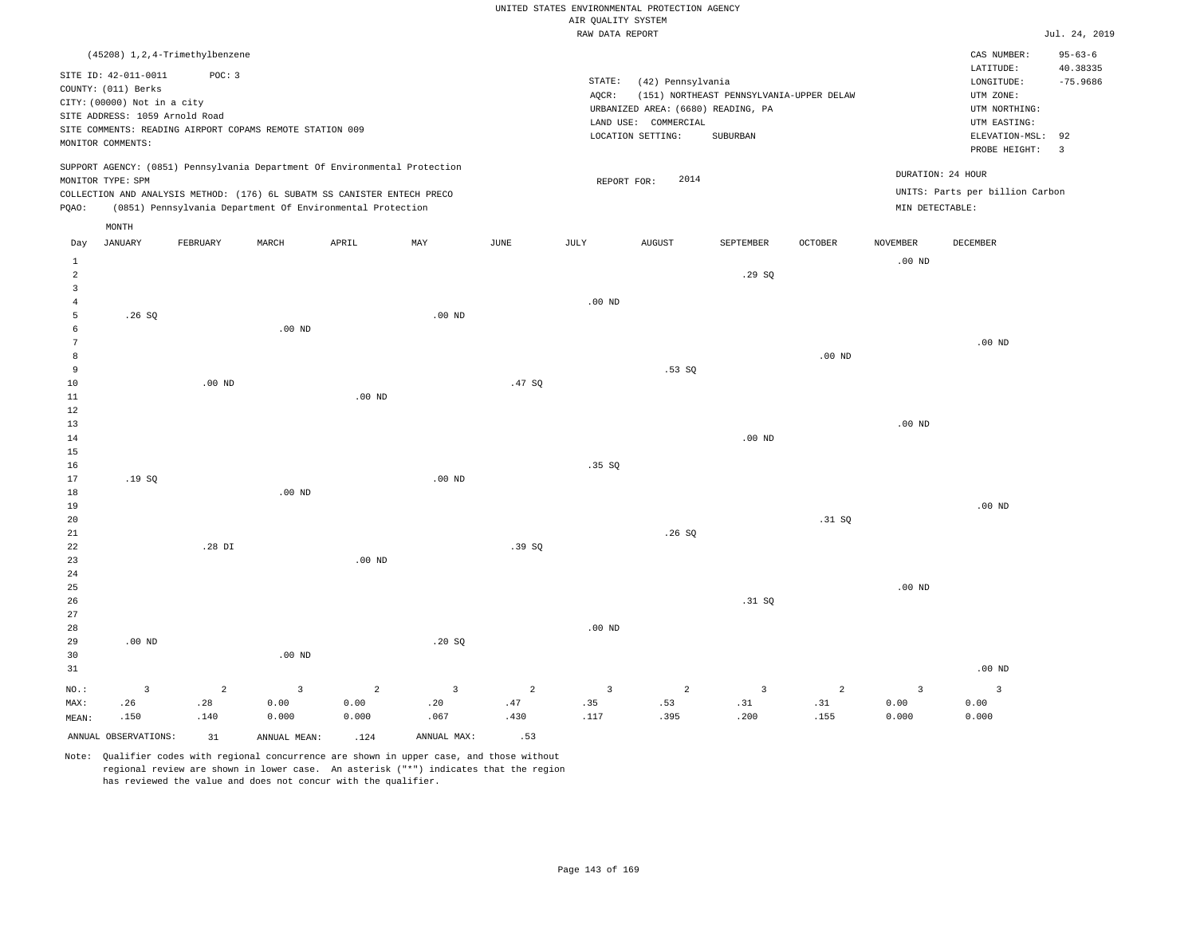|                                       |                                                                                                                                   |                                            |                                                          |                                                                                                                                        |                                        |                               | AIR OUALITY SYSTEM            | UNITED STATES ENVIRONMENTAL PROTECTION AGENCY                                                        |                                                      |                               |                                 |                                                                                                                         | Jul. 24, 2019                                                   |
|---------------------------------------|-----------------------------------------------------------------------------------------------------------------------------------|--------------------------------------------|----------------------------------------------------------|----------------------------------------------------------------------------------------------------------------------------------------|----------------------------------------|-------------------------------|-------------------------------|------------------------------------------------------------------------------------------------------|------------------------------------------------------|-------------------------------|---------------------------------|-------------------------------------------------------------------------------------------------------------------------|-----------------------------------------------------------------|
|                                       |                                                                                                                                   |                                            |                                                          |                                                                                                                                        |                                        |                               | RAW DATA REPORT               |                                                                                                      |                                                      |                               |                                 |                                                                                                                         |                                                                 |
|                                       | SITE ID: 42-011-0011<br>COUNTY: (011) Berks<br>CITY: (00000) Not in a city<br>SITE ADDRESS: 1059 Arnold Road<br>MONITOR COMMENTS: | (45208) 1, 2, 4-Trimethylbenzene<br>POC: 3 | SITE COMMENTS: READING AIRPORT COPAMS REMOTE STATION 009 |                                                                                                                                        |                                        |                               | STATE:<br>AOCR:               | (42) Pennsylvania<br>URBANIZED AREA: (6680) READING, PA<br>LAND USE: COMMERCIAL<br>LOCATION SETTING: | (151) NORTHEAST PENNSYLVANIA-UPPER DELAW<br>SUBURBAN |                               |                                 | CAS NUMBER:<br>LATITUDE:<br>LONGITUDE:<br>UTM ZONE:<br>UTM NORTHING:<br>UTM EASTING:<br>ELEVATION-MSL:<br>PROBE HEIGHT: | $95 - 63 - 6$<br>40.38335<br>$-75.9686$<br>92<br>$\overline{3}$ |
|                                       |                                                                                                                                   |                                            |                                                          | SUPPORT AGENCY: (0851) Pennsylvania Department Of Environmental Protection                                                             |                                        |                               |                               |                                                                                                      |                                                      |                               |                                 | DURATION: 24 HOUR                                                                                                       |                                                                 |
| PQAO:                                 | MONITOR TYPE: SPM                                                                                                                 |                                            |                                                          | COLLECTION AND ANALYSIS METHOD: (176) 6L SUBATM SS CANISTER ENTECH PRECO<br>(0851) Pennsylvania Department Of Environmental Protection |                                        |                               | REPORT FOR:                   | 2014                                                                                                 |                                                      |                               | MIN DETECTABLE:                 | UNITS: Parts per billion Carbon                                                                                         |                                                                 |
|                                       | MONTH<br><b>JANUARY</b>                                                                                                           |                                            |                                                          |                                                                                                                                        |                                        | JUNE                          |                               |                                                                                                      |                                                      |                               | NOVEMBER                        |                                                                                                                         |                                                                 |
| Day<br>$\mathbf{1}$<br>$\overline{a}$ |                                                                                                                                   | FEBRUARY                                   | MARCH                                                    | APRIL                                                                                                                                  | MAY                                    |                               | JULY                          | <b>AUGUST</b>                                                                                        | SEPTEMBER<br>.29SQ                                   | OCTOBER                       | $.00$ ND                        | DECEMBER                                                                                                                |                                                                 |
| $\overline{3}$<br>$\overline{4}$<br>5 | .26SQ                                                                                                                             |                                            |                                                          |                                                                                                                                        | $.00$ ND                               |                               | $.00$ ND                      |                                                                                                      |                                                      |                               |                                 |                                                                                                                         |                                                                 |
| 6<br>$7\phantom{.0}$<br>8             |                                                                                                                                   |                                            | $.00$ ND                                                 |                                                                                                                                        |                                        |                               |                               |                                                                                                      |                                                      | .00 <sub>ND</sub>             |                                 | $.00$ ND                                                                                                                |                                                                 |
| 9<br>10<br>$1\,1$                     |                                                                                                                                   | $.00$ ND                                   |                                                          | $.00$ ND                                                                                                                               |                                        | .47 SQ                        |                               | .53S                                                                                                 |                                                      |                               |                                 |                                                                                                                         |                                                                 |
| $1\,2$<br>13<br>14<br>15              |                                                                                                                                   |                                            |                                                          |                                                                                                                                        |                                        |                               |                               |                                                                                                      | $.00$ ND                                             |                               | .00 <sub>ND</sub>               |                                                                                                                         |                                                                 |
| 16<br>17<br>18                        | .19SQ                                                                                                                             |                                            | $.00$ ND                                                 |                                                                                                                                        | .00 <sub>ND</sub>                      |                               | .35S                          |                                                                                                      |                                                      |                               |                                 |                                                                                                                         |                                                                 |
| 19<br>$20$<br>21                      |                                                                                                                                   |                                            |                                                          |                                                                                                                                        |                                        |                               |                               | .26S                                                                                                 |                                                      | .31 SQ                        |                                 | $.00$ ND                                                                                                                |                                                                 |
| 22<br>23<br>$2\sqrt{4}$               |                                                                                                                                   | .28 DI                                     |                                                          | $.00$ ND                                                                                                                               |                                        | .39SQ                         |                               |                                                                                                      |                                                      |                               |                                 |                                                                                                                         |                                                                 |
| 25<br>26<br>27                        |                                                                                                                                   |                                            |                                                          |                                                                                                                                        |                                        |                               |                               |                                                                                                      | .31 S0                                               |                               | $.00$ ND                        |                                                                                                                         |                                                                 |
| 28<br>29<br>30<br>31                  | $.00$ ND                                                                                                                          |                                            | $.00$ ND                                                 |                                                                                                                                        | .20S                                   |                               | $.00$ ND                      |                                                                                                      |                                                      |                               |                                 | $.00$ ND                                                                                                                |                                                                 |
| NO.:<br>MAX:<br>MEAN:                 | $\overline{3}$<br>.26<br>.150                                                                                                     | $\overline{a}$<br>.28<br>.140              | $\overline{3}$<br>0.00<br>0.000                          | $\overline{a}$<br>0.00<br>0.000                                                                                                        | $\overline{\mathbf{3}}$<br>.20<br>.067 | $\overline{a}$<br>.47<br>.430 | $\overline{3}$<br>.35<br>.117 | 2<br>.53<br>.395                                                                                     | $\overline{3}$<br>.31<br>.200                        | $\overline{a}$<br>.31<br>.155 | $\overline{3}$<br>0.00<br>0.000 | $\overline{3}$<br>0.00<br>0.000                                                                                         |                                                                 |
|                                       | ANNUAL OBSERVATIONS:                                                                                                              | 31                                         | ANNUAL MEAN:                                             | .124                                                                                                                                   | ANNUAL MAX:                            | .53                           |                               |                                                                                                      |                                                      |                               |                                 |                                                                                                                         |                                                                 |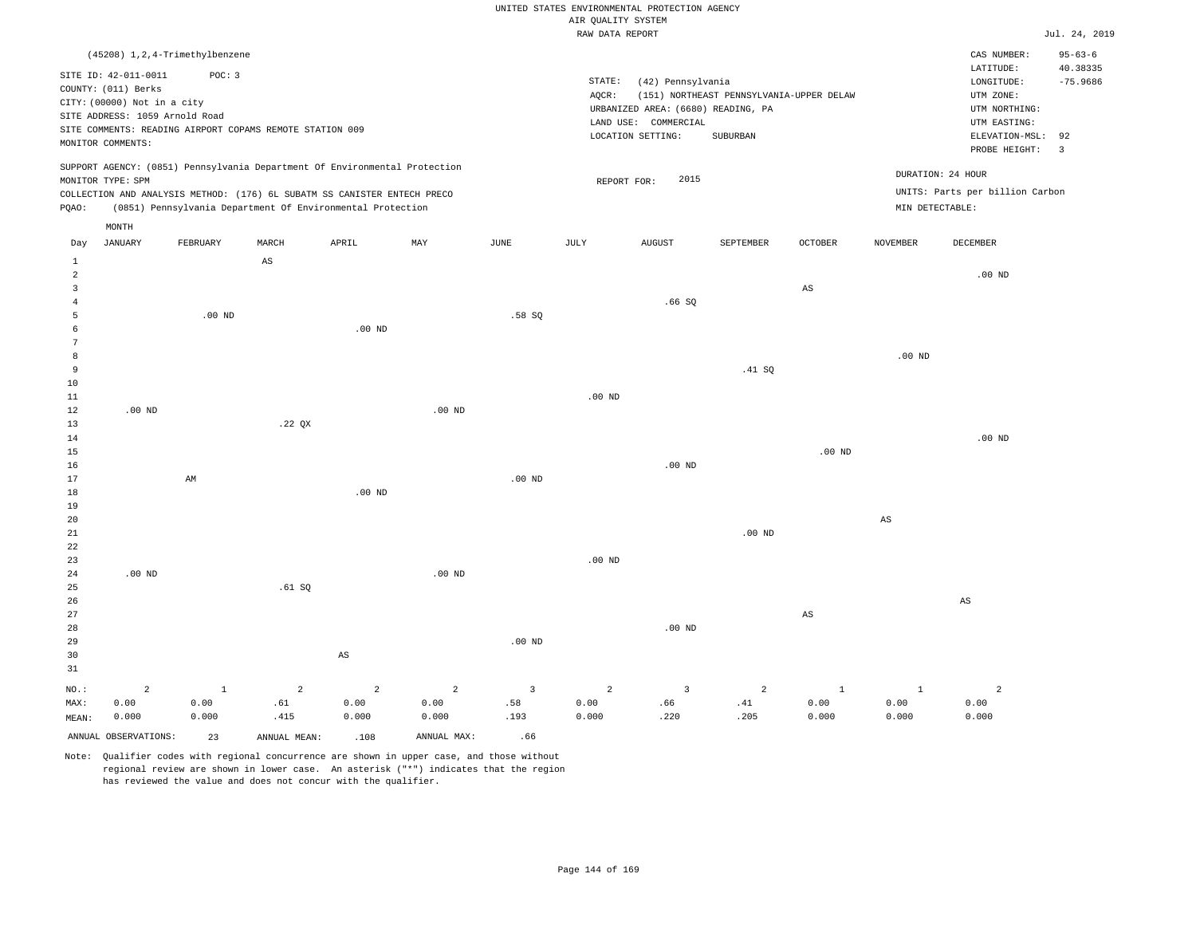|  | RAW DATA REPORT |  |
|--|-----------------|--|

|                |                                                                            |             |                                                            |                |                |                   | RAW DATA REPORT |                                    |                                          |                        |                        |                                 | Jul. 24, 2019  |
|----------------|----------------------------------------------------------------------------|-------------|------------------------------------------------------------|----------------|----------------|-------------------|-----------------|------------------------------------|------------------------------------------|------------------------|------------------------|---------------------------------|----------------|
|                | (45208) 1, 2, 4-Trimethylbenzene                                           |             |                                                            |                |                |                   |                 |                                    |                                          |                        |                        | CAS NUMBER:                     | $95 - 63 - 6$  |
|                |                                                                            |             |                                                            |                |                |                   |                 |                                    |                                          |                        |                        | LATITUDE:                       | 40.38335       |
|                | SITE ID: 42-011-0011                                                       | POC: 3      |                                                            |                |                |                   | STATE:          | (42) Pennsylvania                  |                                          |                        |                        | LONGITUDE:                      | $-75.9686$     |
|                | COUNTY: (011) Berks                                                        |             |                                                            |                |                |                   | AQCR:           |                                    | (151) NORTHEAST PENNSYLVANIA-UPPER DELAW |                        |                        | UTM ZONE:                       |                |
|                | CITY: (00000) Not in a city                                                |             |                                                            |                |                |                   |                 | URBANIZED AREA: (6680) READING, PA |                                          |                        |                        | UTM NORTHING:                   |                |
|                | SITE ADDRESS: 1059 Arnold Road                                             |             |                                                            |                |                |                   |                 | LAND USE: COMMERCIAL               |                                          |                        |                        | UTM EASTING:                    |                |
|                | SITE COMMENTS: READING AIRPORT COPAMS REMOTE STATION 009                   |             |                                                            |                |                |                   |                 | LOCATION SETTING:                  | SUBURBAN                                 |                        |                        | ELEVATION-MSL:                  | 92             |
|                | MONITOR COMMENTS:                                                          |             |                                                            |                |                |                   |                 |                                    |                                          |                        |                        | PROBE HEIGHT:                   | $\overline{3}$ |
|                | SUPPORT AGENCY: (0851) Pennsylvania Department Of Environmental Protection |             |                                                            |                |                |                   |                 |                                    |                                          |                        |                        | DURATION: 24 HOUR               |                |
|                | MONITOR TYPE: SPM                                                          |             |                                                            |                |                |                   | REPORT FOR:     | 2015                               |                                          |                        |                        |                                 |                |
|                | COLLECTION AND ANALYSIS METHOD: (176) 6L SUBATM SS CANISTER ENTECH PRECO   |             |                                                            |                |                |                   |                 |                                    |                                          |                        |                        | UNITS: Parts per billion Carbon |                |
| PQAO:          |                                                                            |             | (0851) Pennsylvania Department Of Environmental Protection |                |                |                   |                 |                                    |                                          |                        | MIN DETECTABLE:        |                                 |                |
|                | MONTH                                                                      |             |                                                            |                |                |                   |                 |                                    |                                          |                        |                        |                                 |                |
| Day            | <b>JANUARY</b>                                                             | FEBRUARY    | MARCH                                                      | APRIL          | MAY            | $_{\rm JUNE}$     | JULY            | <b>AUGUST</b>                      | SEPTEMBER                                | OCTOBER                | <b>NOVEMBER</b>        | DECEMBER                        |                |
| 1              |                                                                            |             | $\mathbb{A}\mathbb{S}$                                     |                |                |                   |                 |                                    |                                          |                        |                        |                                 |                |
| $\overline{a}$ |                                                                            |             |                                                            |                |                |                   |                 |                                    |                                          |                        |                        | .00 <sub>ND</sub>               |                |
| $\overline{3}$ |                                                                            |             |                                                            |                |                |                   |                 |                                    |                                          | $\mathbb{A}\mathbb{S}$ |                        |                                 |                |
| $\overline{4}$ |                                                                            |             |                                                            |                |                |                   |                 | .66SQ                              |                                          |                        |                        |                                 |                |
| 5              |                                                                            | $.00$ ND    |                                                            |                |                | .58 SO            |                 |                                    |                                          |                        |                        |                                 |                |
| 6              |                                                                            |             |                                                            | $.00$ ND       |                |                   |                 |                                    |                                          |                        |                        |                                 |                |
| 7              |                                                                            |             |                                                            |                |                |                   |                 |                                    |                                          |                        |                        |                                 |                |
| 8              |                                                                            |             |                                                            |                |                |                   |                 |                                    |                                          |                        | $.00$ ND               |                                 |                |
| 9              |                                                                            |             |                                                            |                |                |                   |                 |                                    | .41 SQ                                   |                        |                        |                                 |                |
| 10             |                                                                            |             |                                                            |                |                |                   |                 |                                    |                                          |                        |                        |                                 |                |
| 11             |                                                                            |             |                                                            |                |                |                   | $.00$ ND        |                                    |                                          |                        |                        |                                 |                |
| 12             | .00 <sub>ND</sub>                                                          |             |                                                            |                | $.00$ ND       |                   |                 |                                    |                                          |                        |                        |                                 |                |
| 13             |                                                                            |             | .22 QX                                                     |                |                |                   |                 |                                    |                                          |                        |                        |                                 |                |
| 14             |                                                                            |             |                                                            |                |                |                   |                 |                                    |                                          |                        |                        | $.00$ ND                        |                |
| 15             |                                                                            |             |                                                            |                |                |                   |                 |                                    |                                          | $.00$ ND               |                        |                                 |                |
| 16             |                                                                            |             |                                                            |                |                |                   |                 | $.00$ ND                           |                                          |                        |                        |                                 |                |
| 17             |                                                                            | AM          |                                                            |                |                | .00 <sub>ND</sub> |                 |                                    |                                          |                        |                        |                                 |                |
| 18             |                                                                            |             |                                                            | $.00$ ND       |                |                   |                 |                                    |                                          |                        |                        |                                 |                |
| 19             |                                                                            |             |                                                            |                |                |                   |                 |                                    |                                          |                        |                        |                                 |                |
| 20             |                                                                            |             |                                                            |                |                |                   |                 |                                    |                                          |                        | $\mathbb{A}\mathbb{S}$ |                                 |                |
| 21             |                                                                            |             |                                                            |                |                |                   |                 |                                    | .00 <sub>ND</sub>                        |                        |                        |                                 |                |
| 22             |                                                                            |             |                                                            |                |                |                   |                 |                                    |                                          |                        |                        |                                 |                |
| 23             |                                                                            |             |                                                            |                |                |                   | $.00$ ND        |                                    |                                          |                        |                        |                                 |                |
| 24<br>25       | $.00$ ND                                                                   |             |                                                            |                | $.00$ ND       |                   |                 |                                    |                                          |                        |                        |                                 |                |
|                |                                                                            |             | .61 S0                                                     |                |                |                   |                 |                                    |                                          |                        |                        |                                 |                |
| 26<br>27       |                                                                            |             |                                                            |                |                |                   |                 |                                    |                                          | $\mathbb{A}\mathbb{S}$ |                        | AS                              |                |
| 28             |                                                                            |             |                                                            |                |                |                   |                 | $.00$ ND                           |                                          |                        |                        |                                 |                |
| 29             |                                                                            |             |                                                            |                |                | .00 <sub>ND</sub> |                 |                                    |                                          |                        |                        |                                 |                |
| 30             |                                                                            |             |                                                            | $_{\rm AS}$    |                |                   |                 |                                    |                                          |                        |                        |                                 |                |
| 31             |                                                                            |             |                                                            |                |                |                   |                 |                                    |                                          |                        |                        |                                 |                |
|                |                                                                            |             |                                                            |                |                |                   |                 |                                    |                                          |                        |                        |                                 |                |
| NO.:           | $\overline{a}$                                                             | $\mathbf 1$ | $\overline{a}$                                             | $\overline{a}$ | $\overline{a}$ | $\overline{3}$    | $\overline{a}$  | $\overline{\mathbf{3}}$            | 2                                        | $\mathbf{1}$           | $1\,$                  | $\overline{a}$                  |                |
| MAX:           | 0.00                                                                       | 0.00        | .61                                                        | 0.00           | 0.00           | .58               | 0.00            | .66                                | .41                                      | 0.00                   | 0.00                   | 0.00                            |                |
| MEAN:          | 0.000                                                                      | 0.000       | .415                                                       | 0.000          | 0.000          | .193              | 0.000           | .220                               | .205                                     | 0.000                  | 0.000                  | 0.000                           |                |
|                | ANNUAL OBSERVATIONS:                                                       | 23          | ANNUAL MEAN:                                               | .108           | ANNUAL MAX:    | .66               |                 |                                    |                                          |                        |                        |                                 |                |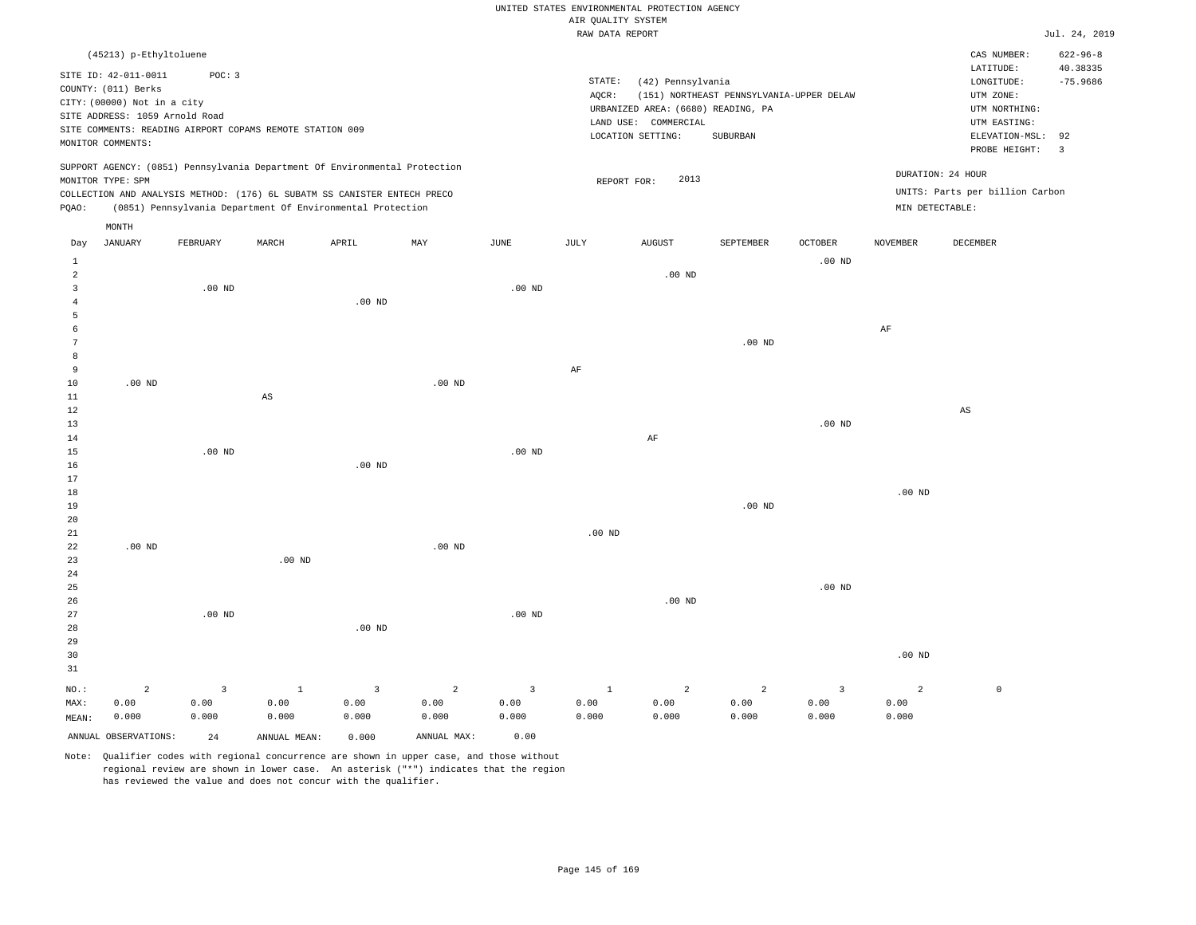| AIR QUALITY SYSTEM<br>Jul. 24, 2019<br>RAW DATA REPORT<br>$622 - 96 - 8$<br>CAS NUMBER:<br>(45213) p-Ethyltoluene<br>LATITUDE:<br>40.38335<br>SITE ID: 42-011-0011<br>POC: 3<br>STATE:<br>$-75.9686$<br>(42) Pennsylvania<br>$\texttt{LONGITUDE}$ :<br>COUNTY: (011) Berks<br>(151) NORTHEAST PENNSYLVANIA-UPPER DELAW<br>UTM ZONE:<br>AQCR:<br>CITY: (00000) Not in a city<br>URBANIZED AREA: (6680) READING, PA<br>UTM NORTHING:<br>SITE ADDRESS: 1059 Arnold Road<br>LAND USE: COMMERCIAL<br>UTM EASTING:<br>SITE COMMENTS: READING AIRPORT COPAMS REMOTE STATION 009<br>ELEVATION-MSL:<br>LOCATION SETTING:<br>SUBURBAN<br>92<br>MONITOR COMMENTS:<br>PROBE HEIGHT:<br>$\overline{\mathbf{3}}$<br>SUPPORT AGENCY: (0851) Pennsylvania Department Of Environmental Protection<br>DURATION: 24 HOUR<br>2013<br>MONITOR TYPE: SPM<br>REPORT FOR:<br>UNITS: Parts per billion Carbon<br>COLLECTION AND ANALYSIS METHOD: (176) 6L SUBATM SS CANISTER ENTECH PRECO<br>(0851) Pennsylvania Department Of Environmental Protection<br>MIN DETECTABLE:<br>PQAO:<br>MONTH<br><b>JANUARY</b><br>FEBRUARY<br>MARCH<br>APRIL<br>MAY<br>$_{\rm JUNE}$<br><b>JULY</b><br><b>AUGUST</b><br>SEPTEMBER<br><b>OCTOBER</b><br><b>NOVEMBER</b><br>DECEMBER<br>Day<br>$.00$ ND<br>1<br>$\overline{a}$<br>$.00$ ND<br>$.00$ ND<br>.00 <sub>ND</sub><br>3<br>$.00$ ND<br>$\overline{4}$<br>5<br>6<br>$\rm{AF}$<br>7<br>$.00$ ND<br>8<br>9<br>AF<br>$.00$ ND<br>$10$<br>$.00$ ND<br>11<br>$\mathbb{A}\mathbb{S}$<br>12<br>AS<br>13<br>$.00$ ND<br>$\rm{AF}$<br>$1\,4$<br>15<br>$.00$ ND<br>$.00$ ND<br>$.00$ ND<br>16<br>17<br>$.00$ ND<br>18<br>$.00$ ND<br>19<br>20<br>$.00$ ND<br>21<br>$.00$ ND<br>22<br>$.00$ ND<br>23<br>$.00$ ND<br>24<br>.00 <sub>ND</sub><br>25<br>$.00$ ND<br>26<br>.00 <sub>ND</sub><br>27<br>$.00$ ND<br>28<br>$.00$ ND<br>29<br>30<br>.00 <sub>ND</sub><br>31<br>$\overline{3}$<br>$\overline{a}$<br>$\overline{3}$<br>$\overline{2}$<br>$\mathbb O$<br>NO.:<br>$\overline{2}$<br>$\overline{\mathbf{3}}$<br>$\mathbf{1}$<br>2<br>$\overline{3}$<br><sup>1</sup><br>2<br>0.00<br>0.00<br>0.00<br>0.00<br>0.00<br>0.00<br>0.00<br>0.00<br>0.00<br>0.00<br>MAX:<br>0.00<br>0.000<br>0.000<br>0.000<br>0.000<br>0.000<br>0.000<br>0.000<br>0.000<br>0.000<br>0.000<br>0.000<br>MEAN: |  |  |  |  | UNITED STATES ENVIRONMENTAL PROTECTION AGENCY |  |  |  |
|-------------------------------------------------------------------------------------------------------------------------------------------------------------------------------------------------------------------------------------------------------------------------------------------------------------------------------------------------------------------------------------------------------------------------------------------------------------------------------------------------------------------------------------------------------------------------------------------------------------------------------------------------------------------------------------------------------------------------------------------------------------------------------------------------------------------------------------------------------------------------------------------------------------------------------------------------------------------------------------------------------------------------------------------------------------------------------------------------------------------------------------------------------------------------------------------------------------------------------------------------------------------------------------------------------------------------------------------------------------------------------------------------------------------------------------------------------------------------------------------------------------------------------------------------------------------------------------------------------------------------------------------------------------------------------------------------------------------------------------------------------------------------------------------------------------------------------------------------------------------------------------------------------------------------------------------------------------------------------------------------------------------------------------------------------------------------------------------------------------------------------------------------------------------------------------------------------------------------------------------------------------------------------------------|--|--|--|--|-----------------------------------------------|--|--|--|
|                                                                                                                                                                                                                                                                                                                                                                                                                                                                                                                                                                                                                                                                                                                                                                                                                                                                                                                                                                                                                                                                                                                                                                                                                                                                                                                                                                                                                                                                                                                                                                                                                                                                                                                                                                                                                                                                                                                                                                                                                                                                                                                                                                                                                                                                                           |  |  |  |  |                                               |  |  |  |
|                                                                                                                                                                                                                                                                                                                                                                                                                                                                                                                                                                                                                                                                                                                                                                                                                                                                                                                                                                                                                                                                                                                                                                                                                                                                                                                                                                                                                                                                                                                                                                                                                                                                                                                                                                                                                                                                                                                                                                                                                                                                                                                                                                                                                                                                                           |  |  |  |  |                                               |  |  |  |
|                                                                                                                                                                                                                                                                                                                                                                                                                                                                                                                                                                                                                                                                                                                                                                                                                                                                                                                                                                                                                                                                                                                                                                                                                                                                                                                                                                                                                                                                                                                                                                                                                                                                                                                                                                                                                                                                                                                                                                                                                                                                                                                                                                                                                                                                                           |  |  |  |  |                                               |  |  |  |
|                                                                                                                                                                                                                                                                                                                                                                                                                                                                                                                                                                                                                                                                                                                                                                                                                                                                                                                                                                                                                                                                                                                                                                                                                                                                                                                                                                                                                                                                                                                                                                                                                                                                                                                                                                                                                                                                                                                                                                                                                                                                                                                                                                                                                                                                                           |  |  |  |  |                                               |  |  |  |
|                                                                                                                                                                                                                                                                                                                                                                                                                                                                                                                                                                                                                                                                                                                                                                                                                                                                                                                                                                                                                                                                                                                                                                                                                                                                                                                                                                                                                                                                                                                                                                                                                                                                                                                                                                                                                                                                                                                                                                                                                                                                                                                                                                                                                                                                                           |  |  |  |  |                                               |  |  |  |
|                                                                                                                                                                                                                                                                                                                                                                                                                                                                                                                                                                                                                                                                                                                                                                                                                                                                                                                                                                                                                                                                                                                                                                                                                                                                                                                                                                                                                                                                                                                                                                                                                                                                                                                                                                                                                                                                                                                                                                                                                                                                                                                                                                                                                                                                                           |  |  |  |  |                                               |  |  |  |
|                                                                                                                                                                                                                                                                                                                                                                                                                                                                                                                                                                                                                                                                                                                                                                                                                                                                                                                                                                                                                                                                                                                                                                                                                                                                                                                                                                                                                                                                                                                                                                                                                                                                                                                                                                                                                                                                                                                                                                                                                                                                                                                                                                                                                                                                                           |  |  |  |  |                                               |  |  |  |
|                                                                                                                                                                                                                                                                                                                                                                                                                                                                                                                                                                                                                                                                                                                                                                                                                                                                                                                                                                                                                                                                                                                                                                                                                                                                                                                                                                                                                                                                                                                                                                                                                                                                                                                                                                                                                                                                                                                                                                                                                                                                                                                                                                                                                                                                                           |  |  |  |  |                                               |  |  |  |
|                                                                                                                                                                                                                                                                                                                                                                                                                                                                                                                                                                                                                                                                                                                                                                                                                                                                                                                                                                                                                                                                                                                                                                                                                                                                                                                                                                                                                                                                                                                                                                                                                                                                                                                                                                                                                                                                                                                                                                                                                                                                                                                                                                                                                                                                                           |  |  |  |  |                                               |  |  |  |
|                                                                                                                                                                                                                                                                                                                                                                                                                                                                                                                                                                                                                                                                                                                                                                                                                                                                                                                                                                                                                                                                                                                                                                                                                                                                                                                                                                                                                                                                                                                                                                                                                                                                                                                                                                                                                                                                                                                                                                                                                                                                                                                                                                                                                                                                                           |  |  |  |  |                                               |  |  |  |
|                                                                                                                                                                                                                                                                                                                                                                                                                                                                                                                                                                                                                                                                                                                                                                                                                                                                                                                                                                                                                                                                                                                                                                                                                                                                                                                                                                                                                                                                                                                                                                                                                                                                                                                                                                                                                                                                                                                                                                                                                                                                                                                                                                                                                                                                                           |  |  |  |  |                                               |  |  |  |
|                                                                                                                                                                                                                                                                                                                                                                                                                                                                                                                                                                                                                                                                                                                                                                                                                                                                                                                                                                                                                                                                                                                                                                                                                                                                                                                                                                                                                                                                                                                                                                                                                                                                                                                                                                                                                                                                                                                                                                                                                                                                                                                                                                                                                                                                                           |  |  |  |  |                                               |  |  |  |
|                                                                                                                                                                                                                                                                                                                                                                                                                                                                                                                                                                                                                                                                                                                                                                                                                                                                                                                                                                                                                                                                                                                                                                                                                                                                                                                                                                                                                                                                                                                                                                                                                                                                                                                                                                                                                                                                                                                                                                                                                                                                                                                                                                                                                                                                                           |  |  |  |  |                                               |  |  |  |
|                                                                                                                                                                                                                                                                                                                                                                                                                                                                                                                                                                                                                                                                                                                                                                                                                                                                                                                                                                                                                                                                                                                                                                                                                                                                                                                                                                                                                                                                                                                                                                                                                                                                                                                                                                                                                                                                                                                                                                                                                                                                                                                                                                                                                                                                                           |  |  |  |  |                                               |  |  |  |
|                                                                                                                                                                                                                                                                                                                                                                                                                                                                                                                                                                                                                                                                                                                                                                                                                                                                                                                                                                                                                                                                                                                                                                                                                                                                                                                                                                                                                                                                                                                                                                                                                                                                                                                                                                                                                                                                                                                                                                                                                                                                                                                                                                                                                                                                                           |  |  |  |  |                                               |  |  |  |
|                                                                                                                                                                                                                                                                                                                                                                                                                                                                                                                                                                                                                                                                                                                                                                                                                                                                                                                                                                                                                                                                                                                                                                                                                                                                                                                                                                                                                                                                                                                                                                                                                                                                                                                                                                                                                                                                                                                                                                                                                                                                                                                                                                                                                                                                                           |  |  |  |  |                                               |  |  |  |
|                                                                                                                                                                                                                                                                                                                                                                                                                                                                                                                                                                                                                                                                                                                                                                                                                                                                                                                                                                                                                                                                                                                                                                                                                                                                                                                                                                                                                                                                                                                                                                                                                                                                                                                                                                                                                                                                                                                                                                                                                                                                                                                                                                                                                                                                                           |  |  |  |  |                                               |  |  |  |
|                                                                                                                                                                                                                                                                                                                                                                                                                                                                                                                                                                                                                                                                                                                                                                                                                                                                                                                                                                                                                                                                                                                                                                                                                                                                                                                                                                                                                                                                                                                                                                                                                                                                                                                                                                                                                                                                                                                                                                                                                                                                                                                                                                                                                                                                                           |  |  |  |  |                                               |  |  |  |
|                                                                                                                                                                                                                                                                                                                                                                                                                                                                                                                                                                                                                                                                                                                                                                                                                                                                                                                                                                                                                                                                                                                                                                                                                                                                                                                                                                                                                                                                                                                                                                                                                                                                                                                                                                                                                                                                                                                                                                                                                                                                                                                                                                                                                                                                                           |  |  |  |  |                                               |  |  |  |
|                                                                                                                                                                                                                                                                                                                                                                                                                                                                                                                                                                                                                                                                                                                                                                                                                                                                                                                                                                                                                                                                                                                                                                                                                                                                                                                                                                                                                                                                                                                                                                                                                                                                                                                                                                                                                                                                                                                                                                                                                                                                                                                                                                                                                                                                                           |  |  |  |  |                                               |  |  |  |
|                                                                                                                                                                                                                                                                                                                                                                                                                                                                                                                                                                                                                                                                                                                                                                                                                                                                                                                                                                                                                                                                                                                                                                                                                                                                                                                                                                                                                                                                                                                                                                                                                                                                                                                                                                                                                                                                                                                                                                                                                                                                                                                                                                                                                                                                                           |  |  |  |  |                                               |  |  |  |
|                                                                                                                                                                                                                                                                                                                                                                                                                                                                                                                                                                                                                                                                                                                                                                                                                                                                                                                                                                                                                                                                                                                                                                                                                                                                                                                                                                                                                                                                                                                                                                                                                                                                                                                                                                                                                                                                                                                                                                                                                                                                                                                                                                                                                                                                                           |  |  |  |  |                                               |  |  |  |
|                                                                                                                                                                                                                                                                                                                                                                                                                                                                                                                                                                                                                                                                                                                                                                                                                                                                                                                                                                                                                                                                                                                                                                                                                                                                                                                                                                                                                                                                                                                                                                                                                                                                                                                                                                                                                                                                                                                                                                                                                                                                                                                                                                                                                                                                                           |  |  |  |  |                                               |  |  |  |
|                                                                                                                                                                                                                                                                                                                                                                                                                                                                                                                                                                                                                                                                                                                                                                                                                                                                                                                                                                                                                                                                                                                                                                                                                                                                                                                                                                                                                                                                                                                                                                                                                                                                                                                                                                                                                                                                                                                                                                                                                                                                                                                                                                                                                                                                                           |  |  |  |  |                                               |  |  |  |
|                                                                                                                                                                                                                                                                                                                                                                                                                                                                                                                                                                                                                                                                                                                                                                                                                                                                                                                                                                                                                                                                                                                                                                                                                                                                                                                                                                                                                                                                                                                                                                                                                                                                                                                                                                                                                                                                                                                                                                                                                                                                                                                                                                                                                                                                                           |  |  |  |  |                                               |  |  |  |
|                                                                                                                                                                                                                                                                                                                                                                                                                                                                                                                                                                                                                                                                                                                                                                                                                                                                                                                                                                                                                                                                                                                                                                                                                                                                                                                                                                                                                                                                                                                                                                                                                                                                                                                                                                                                                                                                                                                                                                                                                                                                                                                                                                                                                                                                                           |  |  |  |  |                                               |  |  |  |
|                                                                                                                                                                                                                                                                                                                                                                                                                                                                                                                                                                                                                                                                                                                                                                                                                                                                                                                                                                                                                                                                                                                                                                                                                                                                                                                                                                                                                                                                                                                                                                                                                                                                                                                                                                                                                                                                                                                                                                                                                                                                                                                                                                                                                                                                                           |  |  |  |  |                                               |  |  |  |
|                                                                                                                                                                                                                                                                                                                                                                                                                                                                                                                                                                                                                                                                                                                                                                                                                                                                                                                                                                                                                                                                                                                                                                                                                                                                                                                                                                                                                                                                                                                                                                                                                                                                                                                                                                                                                                                                                                                                                                                                                                                                                                                                                                                                                                                                                           |  |  |  |  |                                               |  |  |  |
|                                                                                                                                                                                                                                                                                                                                                                                                                                                                                                                                                                                                                                                                                                                                                                                                                                                                                                                                                                                                                                                                                                                                                                                                                                                                                                                                                                                                                                                                                                                                                                                                                                                                                                                                                                                                                                                                                                                                                                                                                                                                                                                                                                                                                                                                                           |  |  |  |  |                                               |  |  |  |
|                                                                                                                                                                                                                                                                                                                                                                                                                                                                                                                                                                                                                                                                                                                                                                                                                                                                                                                                                                                                                                                                                                                                                                                                                                                                                                                                                                                                                                                                                                                                                                                                                                                                                                                                                                                                                                                                                                                                                                                                                                                                                                                                                                                                                                                                                           |  |  |  |  |                                               |  |  |  |
|                                                                                                                                                                                                                                                                                                                                                                                                                                                                                                                                                                                                                                                                                                                                                                                                                                                                                                                                                                                                                                                                                                                                                                                                                                                                                                                                                                                                                                                                                                                                                                                                                                                                                                                                                                                                                                                                                                                                                                                                                                                                                                                                                                                                                                                                                           |  |  |  |  |                                               |  |  |  |
|                                                                                                                                                                                                                                                                                                                                                                                                                                                                                                                                                                                                                                                                                                                                                                                                                                                                                                                                                                                                                                                                                                                                                                                                                                                                                                                                                                                                                                                                                                                                                                                                                                                                                                                                                                                                                                                                                                                                                                                                                                                                                                                                                                                                                                                                                           |  |  |  |  |                                               |  |  |  |
|                                                                                                                                                                                                                                                                                                                                                                                                                                                                                                                                                                                                                                                                                                                                                                                                                                                                                                                                                                                                                                                                                                                                                                                                                                                                                                                                                                                                                                                                                                                                                                                                                                                                                                                                                                                                                                                                                                                                                                                                                                                                                                                                                                                                                                                                                           |  |  |  |  |                                               |  |  |  |
|                                                                                                                                                                                                                                                                                                                                                                                                                                                                                                                                                                                                                                                                                                                                                                                                                                                                                                                                                                                                                                                                                                                                                                                                                                                                                                                                                                                                                                                                                                                                                                                                                                                                                                                                                                                                                                                                                                                                                                                                                                                                                                                                                                                                                                                                                           |  |  |  |  |                                               |  |  |  |
|                                                                                                                                                                                                                                                                                                                                                                                                                                                                                                                                                                                                                                                                                                                                                                                                                                                                                                                                                                                                                                                                                                                                                                                                                                                                                                                                                                                                                                                                                                                                                                                                                                                                                                                                                                                                                                                                                                                                                                                                                                                                                                                                                                                                                                                                                           |  |  |  |  |                                               |  |  |  |
|                                                                                                                                                                                                                                                                                                                                                                                                                                                                                                                                                                                                                                                                                                                                                                                                                                                                                                                                                                                                                                                                                                                                                                                                                                                                                                                                                                                                                                                                                                                                                                                                                                                                                                                                                                                                                                                                                                                                                                                                                                                                                                                                                                                                                                                                                           |  |  |  |  |                                               |  |  |  |
|                                                                                                                                                                                                                                                                                                                                                                                                                                                                                                                                                                                                                                                                                                                                                                                                                                                                                                                                                                                                                                                                                                                                                                                                                                                                                                                                                                                                                                                                                                                                                                                                                                                                                                                                                                                                                                                                                                                                                                                                                                                                                                                                                                                                                                                                                           |  |  |  |  |                                               |  |  |  |
|                                                                                                                                                                                                                                                                                                                                                                                                                                                                                                                                                                                                                                                                                                                                                                                                                                                                                                                                                                                                                                                                                                                                                                                                                                                                                                                                                                                                                                                                                                                                                                                                                                                                                                                                                                                                                                                                                                                                                                                                                                                                                                                                                                                                                                                                                           |  |  |  |  |                                               |  |  |  |
|                                                                                                                                                                                                                                                                                                                                                                                                                                                                                                                                                                                                                                                                                                                                                                                                                                                                                                                                                                                                                                                                                                                                                                                                                                                                                                                                                                                                                                                                                                                                                                                                                                                                                                                                                                                                                                                                                                                                                                                                                                                                                                                                                                                                                                                                                           |  |  |  |  |                                               |  |  |  |
|                                                                                                                                                                                                                                                                                                                                                                                                                                                                                                                                                                                                                                                                                                                                                                                                                                                                                                                                                                                                                                                                                                                                                                                                                                                                                                                                                                                                                                                                                                                                                                                                                                                                                                                                                                                                                                                                                                                                                                                                                                                                                                                                                                                                                                                                                           |  |  |  |  |                                               |  |  |  |
|                                                                                                                                                                                                                                                                                                                                                                                                                                                                                                                                                                                                                                                                                                                                                                                                                                                                                                                                                                                                                                                                                                                                                                                                                                                                                                                                                                                                                                                                                                                                                                                                                                                                                                                                                                                                                                                                                                                                                                                                                                                                                                                                                                                                                                                                                           |  |  |  |  |                                               |  |  |  |
|                                                                                                                                                                                                                                                                                                                                                                                                                                                                                                                                                                                                                                                                                                                                                                                                                                                                                                                                                                                                                                                                                                                                                                                                                                                                                                                                                                                                                                                                                                                                                                                                                                                                                                                                                                                                                                                                                                                                                                                                                                                                                                                                                                                                                                                                                           |  |  |  |  |                                               |  |  |  |
|                                                                                                                                                                                                                                                                                                                                                                                                                                                                                                                                                                                                                                                                                                                                                                                                                                                                                                                                                                                                                                                                                                                                                                                                                                                                                                                                                                                                                                                                                                                                                                                                                                                                                                                                                                                                                                                                                                                                                                                                                                                                                                                                                                                                                                                                                           |  |  |  |  |                                               |  |  |  |
|                                                                                                                                                                                                                                                                                                                                                                                                                                                                                                                                                                                                                                                                                                                                                                                                                                                                                                                                                                                                                                                                                                                                                                                                                                                                                                                                                                                                                                                                                                                                                                                                                                                                                                                                                                                                                                                                                                                                                                                                                                                                                                                                                                                                                                                                                           |  |  |  |  |                                               |  |  |  |

ANNUAL OBSERVATIONS: 24 ANNUAL MEAN: 0.000 ANNUAL MAX: 0.00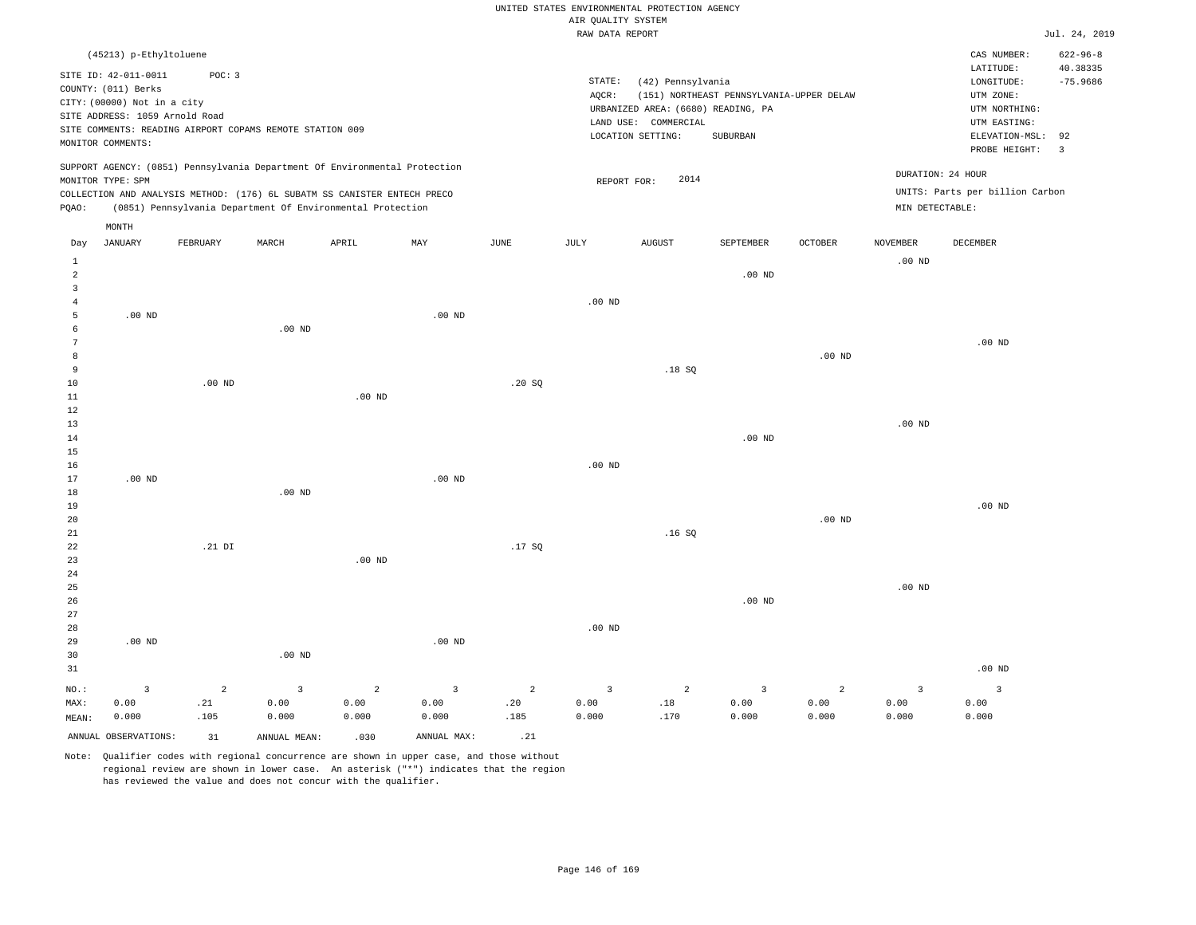|                                  |                                                    |                       |                                                                            |                        |                           |                 |                    | UNITED STATES ENVIRONMENTAL PROTECTION AGENCY |                                          |                   |                   |                                 |                               |
|----------------------------------|----------------------------------------------------|-----------------------|----------------------------------------------------------------------------|------------------------|---------------------------|-----------------|--------------------|-----------------------------------------------|------------------------------------------|-------------------|-------------------|---------------------------------|-------------------------------|
|                                  |                                                    |                       |                                                                            |                        |                           |                 | AIR QUALITY SYSTEM |                                               |                                          |                   |                   |                                 |                               |
|                                  |                                                    |                       |                                                                            |                        |                           |                 | RAW DATA REPORT    |                                               |                                          |                   |                   |                                 | Jul. 24, 2019                 |
|                                  | (45213) p-Ethyltoluene                             |                       |                                                                            |                        |                           |                 |                    |                                               |                                          |                   |                   | CAS NUMBER:<br>LATITUDE:        | $622 - 96 - 8$<br>40.38335    |
|                                  | SITE ID: 42-011-0011                               | POC: 3                |                                                                            |                        |                           |                 | STATE:             | (42) Pennsylvania                             |                                          |                   |                   | LONGITUDE:                      | $-75.9686$                    |
|                                  | COUNTY: (011) Berks<br>CITY: (00000) Not in a city |                       |                                                                            |                        |                           |                 | AQCR:              |                                               | (151) NORTHEAST PENNSYLVANIA-UPPER DELAW |                   |                   | UTM ZONE:                       |                               |
|                                  | SITE ADDRESS: 1059 Arnold Road                     |                       |                                                                            |                        |                           |                 |                    | URBANIZED AREA: (6680) READING, PA            |                                          |                   |                   | UTM NORTHING:                   |                               |
|                                  |                                                    |                       | SITE COMMENTS: READING AIRPORT COPAMS REMOTE STATION 009                   |                        |                           |                 |                    | LAND USE: COMMERCIAL                          |                                          |                   |                   | UTM EASTING:                    |                               |
|                                  | MONITOR COMMENTS:                                  |                       |                                                                            |                        |                           |                 |                    | LOCATION SETTING:                             | SUBURBAN                                 |                   |                   | ELEVATION-MSL:<br>PROBE HEIGHT: | 92<br>$\overline{\mathbf{3}}$ |
|                                  | MONITOR TYPE: SPM                                  |                       | SUPPORT AGENCY: (0851) Pennsylvania Department Of Environmental Protection |                        |                           |                 | REPORT FOR:        | 2014                                          |                                          |                   |                   | DURATION: 24 HOUR               |                               |
|                                  |                                                    |                       | COLLECTION AND ANALYSIS METHOD: (176) 6L SUBATM SS CANISTER ENTECH PRECO   |                        |                           |                 |                    |                                               |                                          |                   |                   | UNITS: Parts per billion Carbon |                               |
| PQAO:                            |                                                    |                       | (0851) Pennsylvania Department Of Environmental Protection                 |                        |                           |                 |                    |                                               |                                          |                   | MIN DETECTABLE:   |                                 |                               |
| Day                              | MONTH<br>JANUARY                                   | FEBRUARY              | MARCH                                                                      | APRIL                  | $\ensuremath{\text{MAX}}$ | $\mathtt{JUNE}$ | JULY               | <b>AUGUST</b>                                 | SEPTEMBER                                | OCTOBER           | <b>NOVEMBER</b>   | DECEMBER                        |                               |
|                                  |                                                    |                       |                                                                            |                        |                           |                 |                    |                                               |                                          |                   |                   |                                 |                               |
| $\mathbf{1}$                     |                                                    |                       |                                                                            |                        |                           |                 |                    |                                               |                                          |                   | $.00$ ND          |                                 |                               |
| $\overline{a}$<br>$\overline{3}$ |                                                    |                       |                                                                            |                        |                           |                 |                    |                                               | .00 <sub>ND</sub>                        |                   |                   |                                 |                               |
| $\overline{4}$                   |                                                    |                       |                                                                            |                        |                           |                 | $.00$ ND           |                                               |                                          |                   |                   |                                 |                               |
| 5                                | $.00$ ND                                           |                       |                                                                            |                        | $.00$ ND                  |                 |                    |                                               |                                          |                   |                   |                                 |                               |
| 6                                |                                                    |                       | $.00$ ND                                                                   |                        |                           |                 |                    |                                               |                                          |                   |                   |                                 |                               |
| $\overline{7}$                   |                                                    |                       |                                                                            |                        |                           |                 |                    |                                               |                                          |                   |                   | $.00$ ND                        |                               |
| 8                                |                                                    |                       |                                                                            |                        |                           |                 |                    |                                               |                                          | .00 <sub>ND</sub> |                   |                                 |                               |
| 9                                |                                                    |                       |                                                                            |                        |                           |                 |                    | .18S                                          |                                          |                   |                   |                                 |                               |
| 10                               |                                                    | $.00$ ND              |                                                                            |                        |                           | .20SQ           |                    |                                               |                                          |                   |                   |                                 |                               |
| $1\,1$                           |                                                    |                       |                                                                            | $.00$ ND               |                           |                 |                    |                                               |                                          |                   |                   |                                 |                               |
| 12                               |                                                    |                       |                                                                            |                        |                           |                 |                    |                                               |                                          |                   |                   |                                 |                               |
| $13$                             |                                                    |                       |                                                                            |                        |                           |                 |                    |                                               |                                          |                   | .00 <sub>ND</sub> |                                 |                               |
| 14                               |                                                    |                       |                                                                            |                        |                           |                 |                    |                                               | $.00$ ND                                 |                   |                   |                                 |                               |
| $15$<br>16                       |                                                    |                       |                                                                            |                        |                           |                 | $.00$ ND           |                                               |                                          |                   |                   |                                 |                               |
| 17                               | $.00$ ND                                           |                       |                                                                            |                        | $.00$ ND                  |                 |                    |                                               |                                          |                   |                   |                                 |                               |
| 18                               |                                                    |                       | $.00$ ND                                                                   |                        |                           |                 |                    |                                               |                                          |                   |                   |                                 |                               |
| 19                               |                                                    |                       |                                                                            |                        |                           |                 |                    |                                               |                                          |                   |                   | .00 <sub>ND</sub>               |                               |
| 20                               |                                                    |                       |                                                                            |                        |                           |                 |                    |                                               |                                          | .00 <sub>ND</sub> |                   |                                 |                               |
| 21                               |                                                    |                       |                                                                            |                        |                           |                 |                    | .16S                                          |                                          |                   |                   |                                 |                               |
| 22                               |                                                    | .21 DI                |                                                                            |                        |                           | .17SQ           |                    |                                               |                                          |                   |                   |                                 |                               |
| 23                               |                                                    |                       |                                                                            | .00 <sub>ND</sub>      |                           |                 |                    |                                               |                                          |                   |                   |                                 |                               |
| 24                               |                                                    |                       |                                                                            |                        |                           |                 |                    |                                               |                                          |                   |                   |                                 |                               |
| 25                               |                                                    |                       |                                                                            |                        |                           |                 |                    |                                               |                                          |                   | $.00$ ND          |                                 |                               |
| 26                               |                                                    |                       |                                                                            |                        |                           |                 |                    |                                               | .00 <sub>ND</sub>                        |                   |                   |                                 |                               |
| 27                               |                                                    |                       |                                                                            |                        |                           |                 |                    |                                               |                                          |                   |                   |                                 |                               |
| 28                               |                                                    |                       |                                                                            |                        |                           |                 | $.00$ ND           |                                               |                                          |                   |                   |                                 |                               |
| 29                               | $.00$ ND                                           |                       |                                                                            |                        | $.00$ ND                  |                 |                    |                                               |                                          |                   |                   |                                 |                               |
| 30<br>31                         |                                                    |                       | $.00$ ND                                                                   |                        |                           |                 |                    |                                               |                                          |                   |                   | $.00$ ND                        |                               |
|                                  |                                                    |                       |                                                                            |                        |                           |                 |                    |                                               |                                          |                   |                   |                                 |                               |
| NO.:                             | $\overline{3}$                                     | $\overline{a}$<br>.21 | $\overline{3}$                                                             | $\overline{2}$<br>0.00 | $\overline{3}$<br>0.00    | 2<br>.20        | $\overline{3}$     | 2<br>.18                                      | $\overline{3}$<br>0.00                   | 2<br>0.00         | $\overline{3}$    | $\overline{3}$<br>0.00          |                               |
| MAX:<br>MEAN:                    | 0.00<br>0.000                                      | .105                  | 0.00<br>0.000                                                              | 0.000                  | 0.000                     | .185            | 0.00<br>0.000      | .170                                          | 0.000                                    | 0.000             | 0.00<br>0.000     | 0.000                           |                               |
|                                  |                                                    |                       |                                                                            |                        |                           |                 |                    |                                               |                                          |                   |                   |                                 |                               |
|                                  | ANNUAL OBSERVATIONS:                               | 31                    | ANNUAL MEAN:                                                               | .030                   | ANNUAL MAX:               | .21             |                    |                                               |                                          |                   |                   |                                 |                               |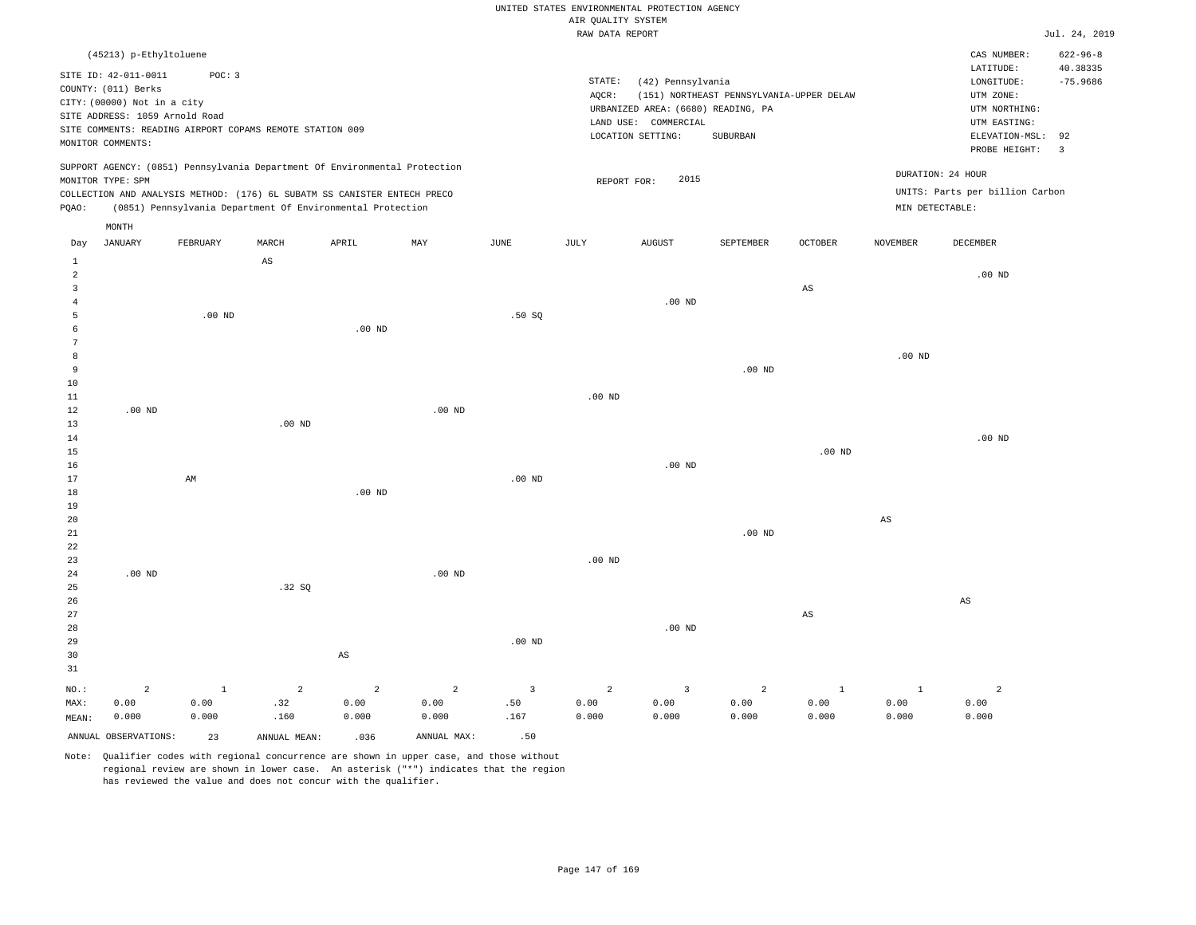|  | RAW DATA REPORT |  |
|--|-----------------|--|

|                 |                                                          |              |                |                                                                            |                   |                   | RAW DATA REPORT |                                    |                                          |                        |                        |                                 | Jul. 24, 2019  |
|-----------------|----------------------------------------------------------|--------------|----------------|----------------------------------------------------------------------------|-------------------|-------------------|-----------------|------------------------------------|------------------------------------------|------------------------|------------------------|---------------------------------|----------------|
|                 | (45213) p-Ethyltoluene                                   |              |                |                                                                            |                   |                   |                 |                                    |                                          |                        |                        | CAS NUMBER:                     | $622 - 96 - 8$ |
|                 |                                                          |              |                |                                                                            |                   |                   |                 |                                    |                                          |                        |                        | LATITUDE:                       | 40.38335       |
|                 | SITE ID: 42-011-0011                                     | POC: 3       |                |                                                                            |                   |                   | STATE:          | (42) Pennsylvania                  |                                          |                        |                        | $\texttt{LONGITUDE}$ :          | $-75.9686$     |
|                 | COUNTY: (011) Berks                                      |              |                |                                                                            |                   |                   | AQCR:           |                                    | (151) NORTHEAST PENNSYLVANIA-UPPER DELAW |                        |                        | UTM ZONE:                       |                |
|                 | CITY: (00000) Not in a city                              |              |                |                                                                            |                   |                   |                 | URBANIZED AREA: (6680) READING, PA |                                          |                        |                        | UTM NORTHING:                   |                |
|                 | SITE ADDRESS: 1059 Arnold Road                           |              |                |                                                                            |                   |                   |                 | LAND USE: COMMERCIAL               |                                          |                        |                        | UTM EASTING:                    |                |
|                 | SITE COMMENTS: READING AIRPORT COPAMS REMOTE STATION 009 |              |                |                                                                            |                   |                   |                 | LOCATION SETTING:                  | SUBURBAN                                 |                        |                        | ELEVATION-MSL:                  | 92             |
|                 | MONITOR COMMENTS:                                        |              |                |                                                                            |                   |                   |                 |                                    |                                          |                        |                        | PROBE HEIGHT:                   | $\overline{3}$ |
|                 |                                                          |              |                | SUPPORT AGENCY: (0851) Pennsylvania Department Of Environmental Protection |                   |                   |                 |                                    |                                          |                        |                        | DURATION: 24 HOUR               |                |
|                 | MONITOR TYPE: SPM                                        |              |                |                                                                            |                   |                   | REPORT FOR:     | 2015                               |                                          |                        |                        |                                 |                |
|                 |                                                          |              |                | COLLECTION AND ANALYSIS METHOD: (176) 6L SUBATM SS CANISTER ENTECH PRECO   |                   |                   |                 |                                    |                                          |                        |                        | UNITS: Parts per billion Carbon |                |
| PQAO:           |                                                          |              |                | (0851) Pennsylvania Department Of Environmental Protection                 |                   |                   |                 |                                    |                                          |                        | MIN DETECTABLE:        |                                 |                |
|                 | MONTH                                                    |              |                |                                                                            |                   |                   |                 |                                    |                                          |                        |                        |                                 |                |
| Day             | <b>JANUARY</b>                                           | FEBRUARY     | MARCH          | APRIL                                                                      | MAY               | JUNE              | JULY            | <b>AUGUST</b>                      | SEPTEMBER                                | <b>OCTOBER</b>         | <b>NOVEMBER</b>        | DECEMBER                        |                |
| 1               |                                                          |              | AS             |                                                                            |                   |                   |                 |                                    |                                          |                        |                        |                                 |                |
| $\overline{a}$  |                                                          |              |                |                                                                            |                   |                   |                 |                                    |                                          |                        |                        | $.00$ ND                        |                |
| 3               |                                                          |              |                |                                                                            |                   |                   |                 |                                    |                                          | $_{\rm AS}$            |                        |                                 |                |
| $\overline{4}$  |                                                          |              |                |                                                                            |                   |                   |                 | $.00$ ND                           |                                          |                        |                        |                                 |                |
| 5               |                                                          | $.00$ ND     |                |                                                                            |                   | .50SQ             |                 |                                    |                                          |                        |                        |                                 |                |
| 6               |                                                          |              |                | $.00$ ND                                                                   |                   |                   |                 |                                    |                                          |                        |                        |                                 |                |
| $7\phantom{.0}$ |                                                          |              |                |                                                                            |                   |                   |                 |                                    |                                          |                        |                        |                                 |                |
| 8<br>9          |                                                          |              |                |                                                                            |                   |                   |                 |                                    |                                          |                        | .00 <sub>ND</sub>      |                                 |                |
| 10              |                                                          |              |                |                                                                            |                   |                   |                 |                                    | $.00$ ND                                 |                        |                        |                                 |                |
| 11              |                                                          |              |                |                                                                            |                   |                   | $.00$ ND        |                                    |                                          |                        |                        |                                 |                |
| 12              | $.00$ ND                                                 |              |                |                                                                            | $.00$ ND          |                   |                 |                                    |                                          |                        |                        |                                 |                |
| 13              |                                                          |              | $.00$ ND       |                                                                            |                   |                   |                 |                                    |                                          |                        |                        |                                 |                |
| 14              |                                                          |              |                |                                                                            |                   |                   |                 |                                    |                                          |                        |                        | $.00$ ND                        |                |
| 15              |                                                          |              |                |                                                                            |                   |                   |                 |                                    |                                          | $.00$ ND               |                        |                                 |                |
| 16              |                                                          |              |                |                                                                            |                   |                   |                 | $.00$ ND                           |                                          |                        |                        |                                 |                |
| $17\,$          |                                                          | AM           |                |                                                                            |                   | .00 <sub>ND</sub> |                 |                                    |                                          |                        |                        |                                 |                |
| 18              |                                                          |              |                | .00 <sub>ND</sub>                                                          |                   |                   |                 |                                    |                                          |                        |                        |                                 |                |
| 19              |                                                          |              |                |                                                                            |                   |                   |                 |                                    |                                          |                        |                        |                                 |                |
| 20              |                                                          |              |                |                                                                            |                   |                   |                 |                                    |                                          |                        | $\mathbb{A}\mathbb{S}$ |                                 |                |
| 21              |                                                          |              |                |                                                                            |                   |                   |                 |                                    | .00 <sub>ND</sub>                        |                        |                        |                                 |                |
| 22              |                                                          |              |                |                                                                            |                   |                   |                 |                                    |                                          |                        |                        |                                 |                |
| 23              |                                                          |              |                |                                                                            |                   |                   | $.00$ ND        |                                    |                                          |                        |                        |                                 |                |
| 24              | $.00$ ND                                                 |              |                |                                                                            | .00 <sub>ND</sub> |                   |                 |                                    |                                          |                        |                        |                                 |                |
| 25              |                                                          |              | .32SQ          |                                                                            |                   |                   |                 |                                    |                                          |                        |                        |                                 |                |
| 26              |                                                          |              |                |                                                                            |                   |                   |                 |                                    |                                          |                        |                        | $\mathbb{A}\mathbb{S}$          |                |
| 27              |                                                          |              |                |                                                                            |                   |                   |                 |                                    |                                          | $\mathbb{A}\mathbb{S}$ |                        |                                 |                |
| 28              |                                                          |              |                |                                                                            |                   |                   |                 | $.00$ ND                           |                                          |                        |                        |                                 |                |
| 29              |                                                          |              |                |                                                                            |                   | .00 <sub>ND</sub> |                 |                                    |                                          |                        |                        |                                 |                |
| 30              |                                                          |              |                | $_{\rm AS}$                                                                |                   |                   |                 |                                    |                                          |                        |                        |                                 |                |
| 31              |                                                          |              |                |                                                                            |                   |                   |                 |                                    |                                          |                        |                        |                                 |                |
| NO.:            | $\overline{2}$                                           | $\mathbf{1}$ | $\overline{2}$ | $\overline{a}$                                                             | $\overline{2}$    | $\overline{3}$    | $\overline{a}$  | $\overline{3}$                     | $\overline{2}$                           | $\mathbf{1}$           | $\mathbf{1}$           | $\overline{a}$                  |                |
| MAX:            | 0.00                                                     | 0.00         | .32            | 0.00                                                                       | 0.00              | .50               | 0.00            | 0.00                               | 0.00                                     | 0.00                   | 0.00                   | 0.00                            |                |
| MEAN:           | 0.000                                                    | 0.000        | .160           | 0.000                                                                      | 0.000             | .167              | 0.000           | 0.000                              | 0.000                                    | 0.000                  | 0.000                  | 0.000                           |                |
|                 | ANNUAL OBSERVATIONS:                                     | 23           | ANNUAL MEAN:   | .036                                                                       | ANNUAL MAX:       | .50               |                 |                                    |                                          |                        |                        |                                 |                |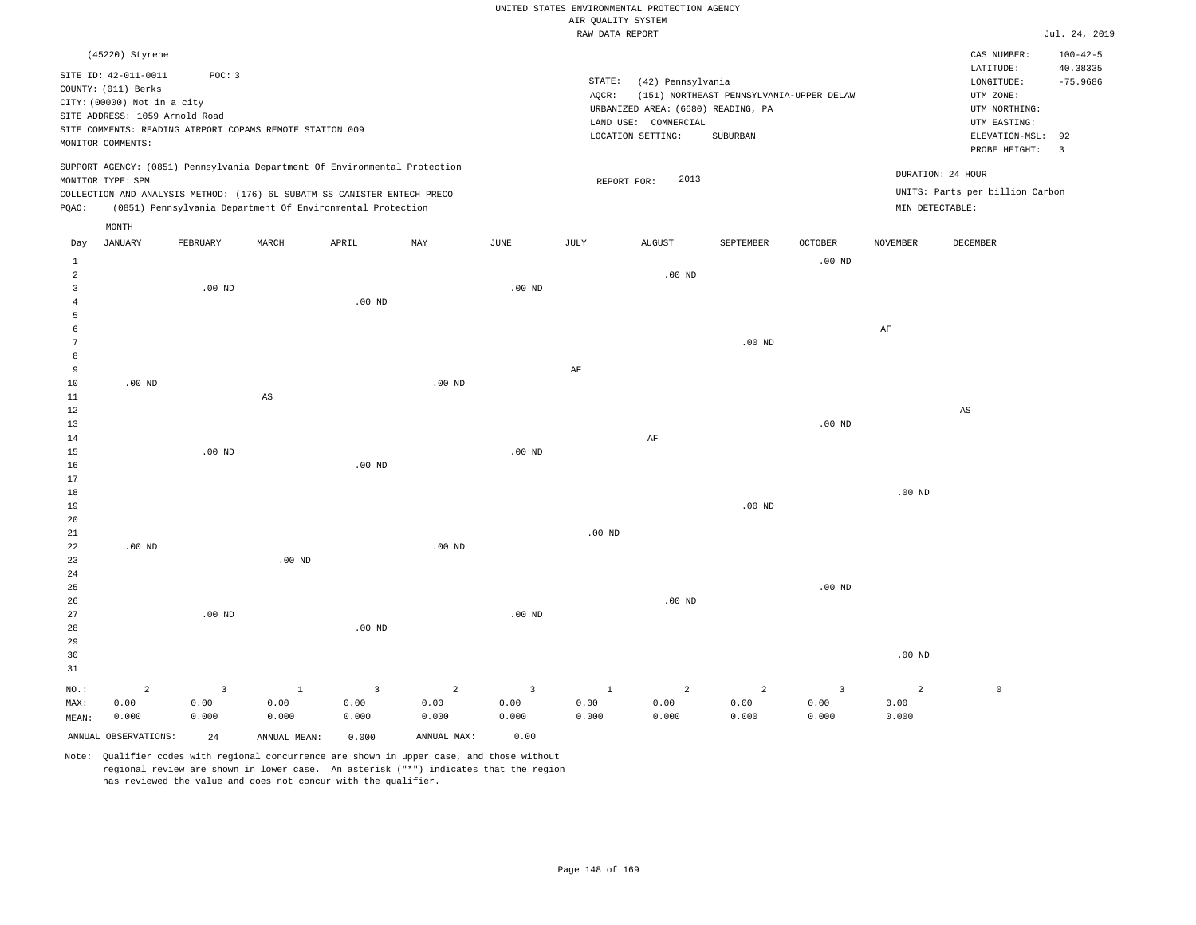|                |                                |                   |                                                                            |                   |                |                   |                    | UNITED STATES ENVIRONMENTAL PROTECTION AGENCY |                                          |                   |                   |                                 |                |
|----------------|--------------------------------|-------------------|----------------------------------------------------------------------------|-------------------|----------------|-------------------|--------------------|-----------------------------------------------|------------------------------------------|-------------------|-------------------|---------------------------------|----------------|
|                |                                |                   |                                                                            |                   |                |                   | AIR QUALITY SYSTEM |                                               |                                          |                   |                   |                                 |                |
|                |                                |                   |                                                                            |                   |                |                   | RAW DATA REPORT    |                                               |                                          |                   |                   |                                 | Jul. 24, 2019  |
|                | (45220) Styrene                |                   |                                                                            |                   |                |                   |                    |                                               |                                          |                   |                   | CAS NUMBER:                     | $100 - 42 - 5$ |
|                | SITE ID: 42-011-0011           | POC: 3            |                                                                            |                   |                |                   |                    |                                               |                                          |                   |                   | LATITUDE:                       | 40.38335       |
|                | COUNTY: (011) Berks            |                   |                                                                            |                   |                |                   | STATE:             | (42) Pennsylvania                             |                                          |                   |                   | LONGITUDE:                      | $-75.9686$     |
|                | CITY: (00000) Not in a city    |                   |                                                                            |                   |                |                   | AQCR:              |                                               | (151) NORTHEAST PENNSYLVANIA-UPPER DELAW |                   |                   | UTM ZONE:                       |                |
|                | SITE ADDRESS: 1059 Arnold Road |                   |                                                                            |                   |                |                   |                    | URBANIZED AREA: (6680) READING, PA            |                                          |                   |                   | UTM NORTHING:                   |                |
|                |                                |                   | SITE COMMENTS: READING AIRPORT COPAMS REMOTE STATION 009                   |                   |                |                   |                    | LAND USE: COMMERCIAL                          |                                          |                   |                   | UTM EASTING:                    |                |
|                | MONITOR COMMENTS:              |                   |                                                                            |                   |                |                   |                    | LOCATION SETTING:                             | SUBURBAN                                 |                   |                   | ELEVATION-MSL:<br>PROBE HEIGHT: | 92<br>3        |
|                |                                |                   | SUPPORT AGENCY: (0851) Pennsylvania Department Of Environmental Protection |                   |                |                   |                    |                                               |                                          |                   | DURATION: 24 HOUR |                                 |                |
|                | MONITOR TYPE: SPM              |                   |                                                                            |                   |                |                   |                    | 2013<br>REPORT FOR:                           |                                          |                   |                   |                                 |                |
|                |                                |                   | COLLECTION AND ANALYSIS METHOD: (176) 6L SUBATM SS CANISTER ENTECH PRECO   |                   |                |                   |                    |                                               |                                          |                   |                   | UNITS: Parts per billion Carbon |                |
| PQAO:          |                                |                   | (0851) Pennsylvania Department Of Environmental Protection                 |                   |                |                   |                    |                                               |                                          |                   | MIN DETECTABLE:   |                                 |                |
| Day            | MONTH<br><b>JANUARY</b>        | FEBRUARY          | MARCH                                                                      | APRIL             | MAY            | JUNE              | JULY               | <b>AUGUST</b>                                 | SEPTEMBER                                | OCTOBER           | <b>NOVEMBER</b>   | DECEMBER                        |                |
| $\mathbf{1}$   |                                |                   |                                                                            |                   |                |                   |                    |                                               |                                          | $.00$ ND          |                   |                                 |                |
| $\overline{a}$ |                                |                   |                                                                            |                   |                |                   |                    | $.00$ ND                                      |                                          |                   |                   |                                 |                |
| $\overline{3}$ |                                | $.00$ ND          |                                                                            |                   |                | $.00$ ND          |                    |                                               |                                          |                   |                   |                                 |                |
| 4              |                                |                   |                                                                            | $.00$ ND          |                |                   |                    |                                               |                                          |                   |                   |                                 |                |
| 5              |                                |                   |                                                                            |                   |                |                   |                    |                                               |                                          |                   |                   |                                 |                |
| 6              |                                |                   |                                                                            |                   |                |                   |                    |                                               |                                          |                   | $\rm{AF}$         |                                 |                |
| 7              |                                |                   |                                                                            |                   |                |                   |                    |                                               | $.00$ ND                                 |                   |                   |                                 |                |
| 8              |                                |                   |                                                                            |                   |                |                   |                    |                                               |                                          |                   |                   |                                 |                |
| $\overline{9}$ |                                |                   |                                                                            |                   |                |                   | $\rm AF$           |                                               |                                          |                   |                   |                                 |                |
| $10$           | $.00$ ND                       |                   |                                                                            |                   | $.00$ ND       |                   |                    |                                               |                                          |                   |                   |                                 |                |
| 11<br>$12$     |                                |                   | AS                                                                         |                   |                |                   |                    |                                               |                                          |                   |                   | $\mathbb{A}\mathbb{S}$          |                |
| 13             |                                |                   |                                                                            |                   |                |                   |                    |                                               |                                          | $.00$ ND          |                   |                                 |                |
| 14             |                                |                   |                                                                            |                   |                |                   |                    | AF                                            |                                          |                   |                   |                                 |                |
| $15$           |                                | .00 <sub>ND</sub> |                                                                            |                   |                | .00 <sub>ND</sub> |                    |                                               |                                          |                   |                   |                                 |                |
| 16             |                                |                   |                                                                            | $.00$ ND          |                |                   |                    |                                               |                                          |                   |                   |                                 |                |
| 17             |                                |                   |                                                                            |                   |                |                   |                    |                                               |                                          |                   |                   |                                 |                |
| 18             |                                |                   |                                                                            |                   |                |                   |                    |                                               |                                          |                   | $.00$ ND          |                                 |                |
| 19             |                                |                   |                                                                            |                   |                |                   |                    |                                               | $.00$ ND                                 |                   |                   |                                 |                |
| 20             |                                |                   |                                                                            |                   |                |                   |                    |                                               |                                          |                   |                   |                                 |                |
| 21             |                                |                   |                                                                            |                   |                |                   | .00 <sub>ND</sub>  |                                               |                                          |                   |                   |                                 |                |
| 22             | $.00$ ND                       |                   |                                                                            |                   | $.00$ ND       |                   |                    |                                               |                                          |                   |                   |                                 |                |
| 23<br>24       |                                |                   | .00 <sub>ND</sub>                                                          |                   |                |                   |                    |                                               |                                          |                   |                   |                                 |                |
| 25             |                                |                   |                                                                            |                   |                |                   |                    |                                               |                                          | .00 <sub>ND</sub> |                   |                                 |                |
| 26             |                                |                   |                                                                            |                   |                |                   |                    | $.00$ ND                                      |                                          |                   |                   |                                 |                |
| 27             |                                | $.00$ ND          |                                                                            |                   |                | .00 <sub>ND</sub> |                    |                                               |                                          |                   |                   |                                 |                |
| 28             |                                |                   |                                                                            | .00 <sub>ND</sub> |                |                   |                    |                                               |                                          |                   |                   |                                 |                |
| 29             |                                |                   |                                                                            |                   |                |                   |                    |                                               |                                          |                   |                   |                                 |                |
| 30             |                                |                   |                                                                            |                   |                |                   |                    |                                               |                                          |                   | .00 <sub>ND</sub> |                                 |                |
| 31             |                                |                   |                                                                            |                   |                |                   |                    |                                               |                                          |                   |                   |                                 |                |
| NO.:           | $\overline{a}$                 | $\overline{3}$    | $\mathbf{1}$                                                               | $\overline{3}$    | $\overline{a}$ | $\overline{3}$    | $\mathbf{1}$       | $\overline{a}$                                | $\overline{a}$                           | $\overline{3}$    | $\overline{a}$    | $\mathbb O$                     |                |
| MAX:           | 0.00                           | 0.00              | 0.00                                                                       | 0.00              | 0.00           | 0.00              | 0.00               | 0.00                                          | 0.00                                     | 0.00              | 0.00              |                                 |                |
| MEAN:          | 0.000                          | 0.000             | 0.000                                                                      | 0.000             | 0.000          | 0.000             | 0.000              | 0.000                                         | 0.000                                    | 0.000             | 0.000             |                                 |                |
|                | ANNUAL OBSERVATIONS:           | 2.4               | ANNUAL, MEAN:                                                              | 0.000             | ANNUAL MAX:    | 0.00              |                    |                                               |                                          |                   |                   |                                 |                |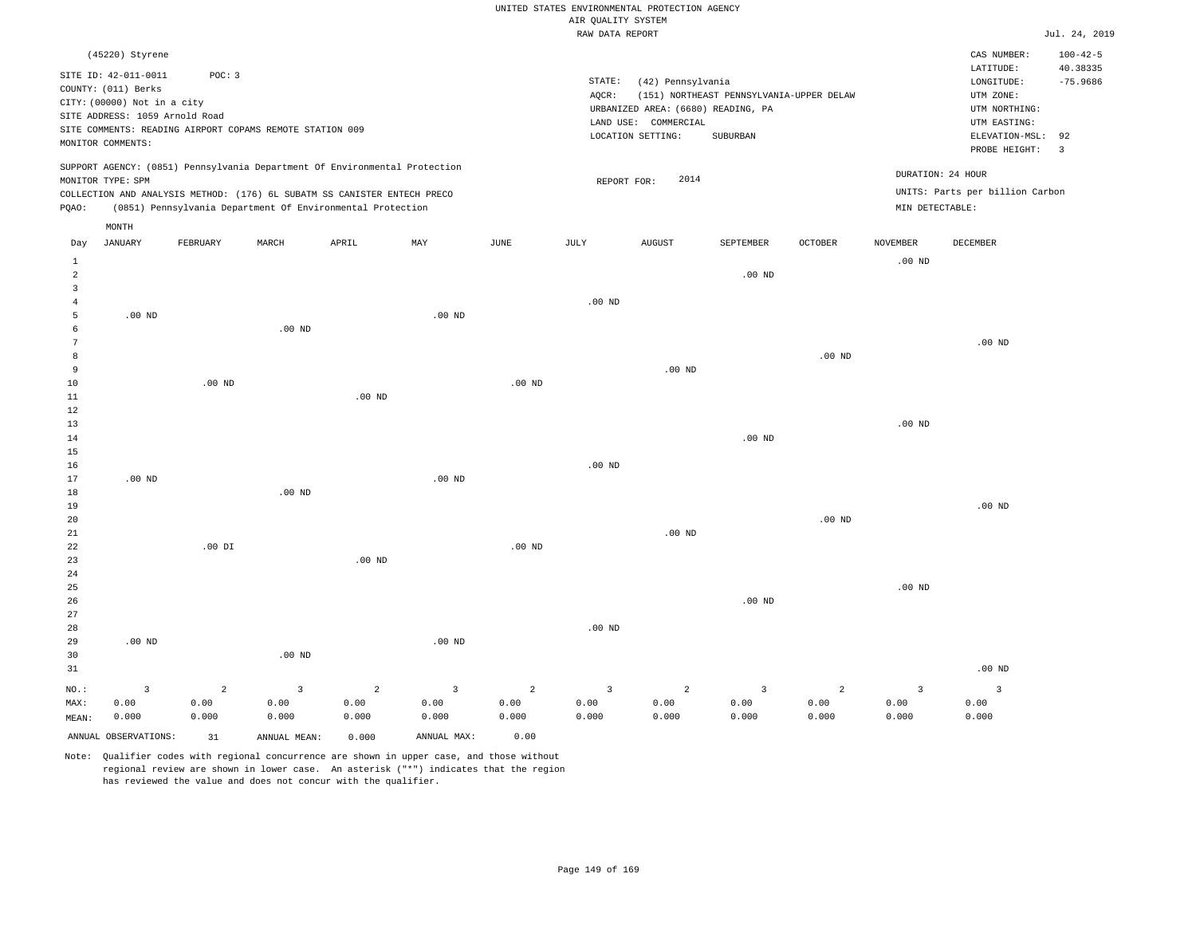|                                           |                                                    |                |                                                                                                                                        |                   |                         |                   |                    | UNITED STATES ENVIRONMENTAL PROTECTION AGENCY |                                          |                   |                 |                                 |                               |
|-------------------------------------------|----------------------------------------------------|----------------|----------------------------------------------------------------------------------------------------------------------------------------|-------------------|-------------------------|-------------------|--------------------|-----------------------------------------------|------------------------------------------|-------------------|-----------------|---------------------------------|-------------------------------|
|                                           |                                                    |                |                                                                                                                                        |                   |                         |                   | AIR QUALITY SYSTEM |                                               |                                          |                   |                 |                                 |                               |
|                                           |                                                    |                |                                                                                                                                        |                   |                         |                   | RAW DATA REPORT    |                                               |                                          |                   |                 |                                 | Jul. 24, 2019                 |
|                                           | (45220) Styrene                                    |                |                                                                                                                                        |                   |                         |                   |                    |                                               |                                          |                   |                 | CAS NUMBER:<br>LATITUDE:        | $100 - 42 - 5$<br>40.38335    |
|                                           | SITE ID: 42-011-0011                               | POC: 3         |                                                                                                                                        |                   |                         |                   | STATE:             | (42) Pennsylvania                             |                                          |                   |                 | LONGITUDE:                      | $-75.9686$                    |
|                                           | COUNTY: (011) Berks<br>CITY: (00000) Not in a city |                |                                                                                                                                        |                   |                         |                   | AQCR:              |                                               | (151) NORTHEAST PENNSYLVANIA-UPPER DELAW |                   |                 | UTM ZONE:                       |                               |
|                                           | SITE ADDRESS: 1059 Arnold Road                     |                |                                                                                                                                        |                   |                         |                   |                    | URBANIZED AREA: (6680) READING, PA            |                                          |                   |                 | UTM NORTHING:                   |                               |
|                                           |                                                    |                | SITE COMMENTS: READING AIRPORT COPAMS REMOTE STATION 009                                                                               |                   |                         |                   |                    | LAND USE: COMMERCIAL                          |                                          |                   |                 | UTM EASTING:                    |                               |
|                                           | MONITOR COMMENTS:                                  |                |                                                                                                                                        |                   |                         |                   |                    | LOCATION SETTING:                             | SUBURBAN                                 |                   |                 | ELEVATION-MSL:<br>PROBE HEIGHT: | 92<br>$\overline{\mathbf{3}}$ |
|                                           |                                                    |                | SUPPORT AGENCY: (0851) Pennsylvania Department Of Environmental Protection                                                             |                   |                         |                   |                    |                                               |                                          |                   |                 | DURATION: 24 HOUR               |                               |
|                                           | MONITOR TYPE: SPM                                  |                |                                                                                                                                        |                   |                         |                   | REPORT FOR:        | 2014                                          |                                          |                   |                 |                                 |                               |
| PQAO:                                     |                                                    |                | COLLECTION AND ANALYSIS METHOD: (176) 6L SUBATM SS CANISTER ENTECH PRECO<br>(0851) Pennsylvania Department Of Environmental Protection |                   |                         |                   |                    |                                               |                                          |                   | MIN DETECTABLE: | UNITS: Parts per billion Carbon |                               |
|                                           | MONTH                                              |                |                                                                                                                                        |                   |                         |                   |                    |                                               |                                          |                   |                 |                                 |                               |
| Day                                       | <b>JANUARY</b>                                     | FEBRUARY       | MARCH                                                                                                                                  | APRIL             | MAY                     | <b>JUNE</b>       | JULY               | <b>AUGUST</b>                                 | <b>SEPTEMBER</b>                         | <b>OCTOBER</b>    | <b>NOVEMBER</b> | <b>DECEMBER</b>                 |                               |
| 1                                         |                                                    |                |                                                                                                                                        |                   |                         |                   |                    |                                               |                                          |                   | $.00$ ND        |                                 |                               |
| $\overline{a}$                            |                                                    |                |                                                                                                                                        |                   |                         |                   |                    |                                               | .00 <sub>ND</sub>                        |                   |                 |                                 |                               |
| $\overline{\mathbf{3}}$<br>$\overline{4}$ |                                                    |                |                                                                                                                                        |                   |                         |                   | $.00$ ND           |                                               |                                          |                   |                 |                                 |                               |
| 5                                         | $.00$ ND                                           |                |                                                                                                                                        |                   | $.00$ ND                |                   |                    |                                               |                                          |                   |                 |                                 |                               |
| 6                                         |                                                    |                | $.00$ ND                                                                                                                               |                   |                         |                   |                    |                                               |                                          |                   |                 |                                 |                               |
| $7\phantom{.0}$                           |                                                    |                |                                                                                                                                        |                   |                         |                   |                    |                                               |                                          |                   |                 | .00 <sub>ND</sub>               |                               |
| 8                                         |                                                    |                |                                                                                                                                        |                   |                         |                   |                    |                                               |                                          | $.00$ ND          |                 |                                 |                               |
| 9                                         |                                                    |                |                                                                                                                                        |                   |                         |                   |                    | .00 <sub>ND</sub>                             |                                          |                   |                 |                                 |                               |
| $10$                                      |                                                    | $.00$ ND       |                                                                                                                                        |                   |                         | $.00$ ND          |                    |                                               |                                          |                   |                 |                                 |                               |
| 11                                        |                                                    |                |                                                                                                                                        | $.00$ ND          |                         |                   |                    |                                               |                                          |                   |                 |                                 |                               |
| $1\,2$<br>13                              |                                                    |                |                                                                                                                                        |                   |                         |                   |                    |                                               |                                          |                   |                 |                                 |                               |
| 14                                        |                                                    |                |                                                                                                                                        |                   |                         |                   |                    |                                               | .00 <sub>ND</sub>                        |                   | $.00$ ND        |                                 |                               |
| 15                                        |                                                    |                |                                                                                                                                        |                   |                         |                   |                    |                                               |                                          |                   |                 |                                 |                               |
| 16                                        |                                                    |                |                                                                                                                                        |                   |                         |                   | $.00$ ND           |                                               |                                          |                   |                 |                                 |                               |
| 17                                        | .00 <sub>ND</sub>                                  |                |                                                                                                                                        |                   | $.00$ ND                |                   |                    |                                               |                                          |                   |                 |                                 |                               |
| 18                                        |                                                    |                | $.00$ ND                                                                                                                               |                   |                         |                   |                    |                                               |                                          |                   |                 |                                 |                               |
| 19                                        |                                                    |                |                                                                                                                                        |                   |                         |                   |                    |                                               |                                          |                   |                 | $.00$ ND                        |                               |
| 20                                        |                                                    |                |                                                                                                                                        |                   |                         |                   |                    |                                               |                                          | .00 <sub>ND</sub> |                 |                                 |                               |
| 21                                        |                                                    |                |                                                                                                                                        |                   |                         |                   |                    | $.00$ ND                                      |                                          |                   |                 |                                 |                               |
| 22                                        |                                                    | $.00$ DI       |                                                                                                                                        |                   |                         | .00 <sub>ND</sub> |                    |                                               |                                          |                   |                 |                                 |                               |
| 23<br>24                                  |                                                    |                |                                                                                                                                        | .00 <sub>ND</sub> |                         |                   |                    |                                               |                                          |                   |                 |                                 |                               |
| 25                                        |                                                    |                |                                                                                                                                        |                   |                         |                   |                    |                                               |                                          |                   | $.00$ ND        |                                 |                               |
| 26                                        |                                                    |                |                                                                                                                                        |                   |                         |                   |                    |                                               | $.00$ ND                                 |                   |                 |                                 |                               |
| 27                                        |                                                    |                |                                                                                                                                        |                   |                         |                   |                    |                                               |                                          |                   |                 |                                 |                               |
| 28                                        |                                                    |                |                                                                                                                                        |                   |                         |                   | $.00$ ND           |                                               |                                          |                   |                 |                                 |                               |
| 29                                        | .00 <sub>ND</sub>                                  |                |                                                                                                                                        |                   | $.00$ ND                |                   |                    |                                               |                                          |                   |                 |                                 |                               |
| 30                                        |                                                    |                | .00 <sub>ND</sub>                                                                                                                      |                   |                         |                   |                    |                                               |                                          |                   |                 |                                 |                               |
| 31                                        |                                                    |                |                                                                                                                                        |                   |                         |                   |                    |                                               |                                          |                   |                 | $.00$ ND                        |                               |
| NO.:                                      | $\overline{3}$                                     | $\overline{a}$ | $\overline{3}$                                                                                                                         | $\overline{c}$    | $\overline{\mathbf{3}}$ | $\overline{a}$    | $\overline{3}$     | $\overline{a}$                                | $\overline{\mathbf{3}}$                  | $\overline{a}$    | 3               | $\overline{3}$                  |                               |
| MAX:                                      | 0.00                                               | 0.00           | 0.00                                                                                                                                   | 0.00              | 0.00                    | 0.00              | 0.00               | 0.00                                          | 0.00                                     | 0.00              | 0.00            | 0.00                            |                               |
| MEAN:                                     | 0.000                                              | 0.000          | 0.000                                                                                                                                  | 0.000             | 0.000                   | 0.000             | 0.000              | 0.000                                         | 0.000                                    | 0.000             | 0.000           | 0.000                           |                               |
|                                           | ANNUAL OBSERVATIONS:                               | 31             | ANNUAL MEAN:                                                                                                                           | 0.000             | ANNUAL MAX:             | 0.00              |                    |                                               |                                          |                   |                 |                                 |                               |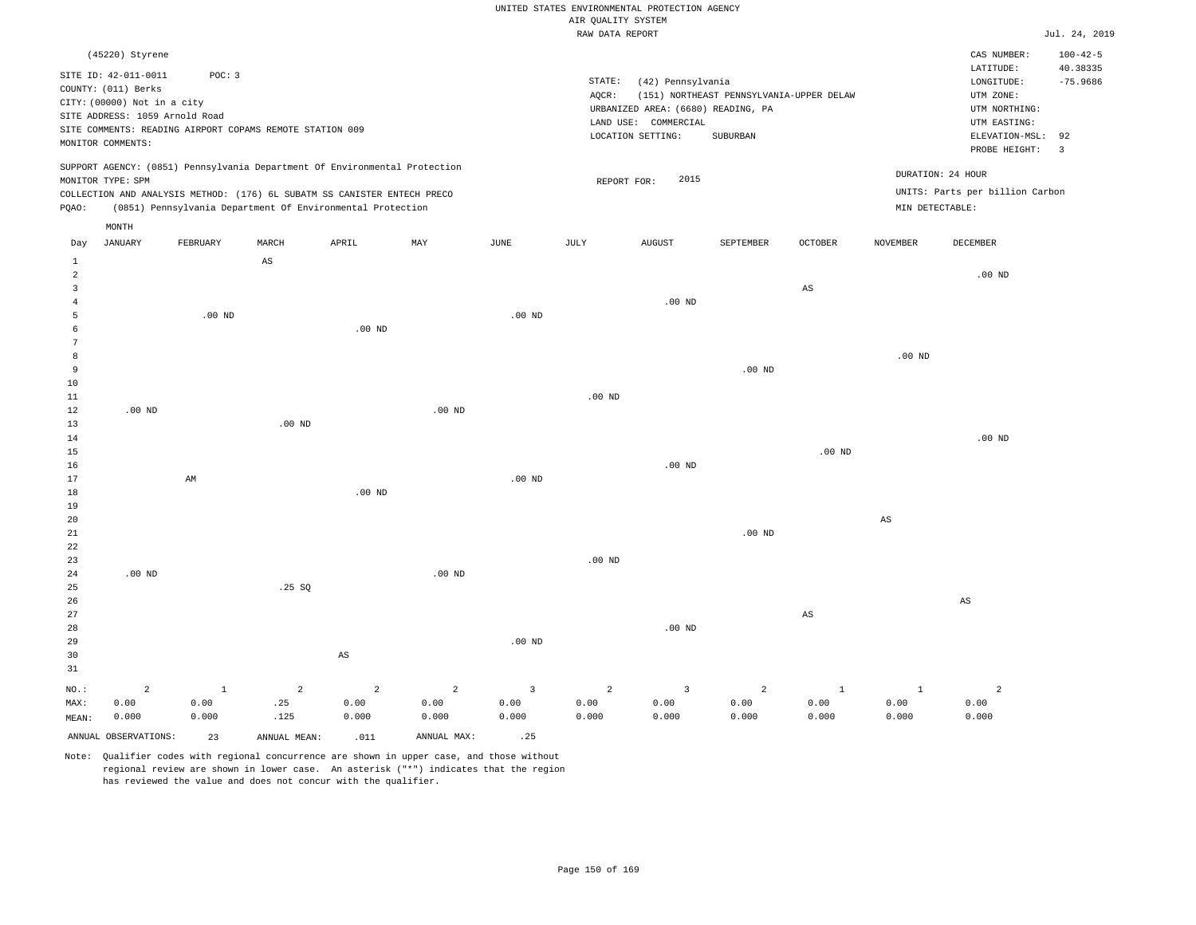#### RAW DATA REPORT JUL. 24, 2019 UNITED STATES ENVIRONMENTAL PROTECTION AGENCY AIR QUALITY SYSTEM

|                | (45220) Styrene                |                                                          |                   |                                                                            |          |          |             |                      |                                          |          |                 | CAS NUMBER:                     | $100 - 42 - 5$ |
|----------------|--------------------------------|----------------------------------------------------------|-------------------|----------------------------------------------------------------------------|----------|----------|-------------|----------------------|------------------------------------------|----------|-----------------|---------------------------------|----------------|
|                | SITE ID: 42-011-0011           | POC: 3                                                   |                   |                                                                            |          |          |             |                      |                                          |          |                 | LATITUDE:                       | 40.38335       |
|                | COUNTY: (011) Berks            |                                                          |                   |                                                                            |          |          | STATE:      | (42) Pennsylvania    |                                          |          |                 | LONGITUDE:                      | $-75.9686$     |
|                | CITY: (00000) Not in a city    |                                                          |                   |                                                                            |          |          | AOCR:       |                      | (151) NORTHEAST PENNSYLVANIA-UPPER DELAW |          |                 | UTM ZONE:                       |                |
|                | SITE ADDRESS: 1059 Arnold Road |                                                          |                   |                                                                            |          |          |             |                      | URBANIZED AREA: (6680) READING, PA       |          |                 | UTM NORTHING:                   |                |
|                |                                | SITE COMMENTS: READING AIRPORT COPAMS REMOTE STATION 009 |                   |                                                                            |          |          |             | LAND USE: COMMERCIAL |                                          |          |                 | UTM EASTING:                    |                |
|                | MONITOR COMMENTS:              |                                                          |                   |                                                                            |          |          |             | LOCATION SETTING:    | SUBURBAN                                 |          |                 | ELEVATION-MSL: 92               |                |
|                |                                |                                                          |                   |                                                                            |          |          |             |                      |                                          |          |                 | PROBE HEIGHT: 3                 |                |
|                |                                |                                                          |                   | SUPPORT AGENCY: (0851) Pennsylvania Department Of Environmental Protection |          |          |             |                      |                                          |          |                 | DURATION: 24 HOUR               |                |
|                | MONITOR TYPE: SPM              |                                                          |                   |                                                                            |          |          | REPORT FOR: | 2015                 |                                          |          |                 |                                 |                |
|                |                                |                                                          |                   | COLLECTION AND ANALYSIS METHOD: (176) 6L SUBATM SS CANISTER ENTECH PRECO   |          |          |             |                      |                                          |          |                 | UNITS: Parts per billion Carbon |                |
| PQAO:          |                                |                                                          |                   | (0851) Pennsylvania Department Of Environmental Protection                 |          |          |             |                      |                                          |          | MIN DETECTABLE: |                                 |                |
|                | MONTH                          |                                                          |                   |                                                                            |          |          |             |                      |                                          |          |                 |                                 |                |
| Day            | JANUARY                        | FEBRUARY                                                 | MARCH             | APRIL                                                                      | MAY      | JUNE     | JULY        | <b>AUGUST</b>        | SEPTEMBER                                | OCTOBER  | <b>NOVEMBER</b> | <b>DECEMBER</b>                 |                |
| $\overline{1}$ |                                |                                                          | AS                |                                                                            |          |          |             |                      |                                          |          |                 |                                 |                |
| $\overline{a}$ |                                |                                                          |                   |                                                                            |          |          |             |                      |                                          |          |                 | $.00$ ND                        |                |
| 3              |                                |                                                          |                   |                                                                            |          |          |             |                      |                                          | AS       |                 |                                 |                |
|                |                                |                                                          |                   |                                                                            |          |          |             | $.00$ ND             |                                          |          |                 |                                 |                |
| 5              |                                | $.00$ ND                                                 |                   |                                                                            |          | $.00$ ND |             |                      |                                          |          |                 |                                 |                |
| $\epsilon$     |                                |                                                          |                   | $.00$ ND                                                                   |          |          |             |                      |                                          |          |                 |                                 |                |
|                |                                |                                                          |                   |                                                                            |          |          |             |                      |                                          |          |                 |                                 |                |
| 8              |                                |                                                          |                   |                                                                            |          |          |             |                      |                                          |          | $.00$ ND        |                                 |                |
| 9              |                                |                                                          |                   |                                                                            |          |          |             |                      | $.00$ ND                                 |          |                 |                                 |                |
| 10             |                                |                                                          |                   |                                                                            |          |          |             |                      |                                          |          |                 |                                 |                |
| 11             |                                |                                                          |                   |                                                                            |          |          | $.00$ ND    |                      |                                          |          |                 |                                 |                |
| 12             | $.00$ ND                       |                                                          |                   |                                                                            | $.00$ ND |          |             |                      |                                          |          |                 |                                 |                |
| 13             |                                |                                                          | .00 <sub>ND</sub> |                                                                            |          |          |             |                      |                                          |          |                 |                                 |                |
| 14             |                                |                                                          |                   |                                                                            |          |          |             |                      |                                          |          |                 | $.00$ ND                        |                |
| 15             |                                |                                                          |                   |                                                                            |          |          |             |                      |                                          | $.00$ ND |                 |                                 |                |
| 16             |                                |                                                          |                   |                                                                            |          |          |             | $.00$ ND             |                                          |          |                 |                                 |                |
| 17             |                                | AM                                                       |                   |                                                                            |          | $.00$ ND |             |                      |                                          |          |                 |                                 |                |
| 18             |                                |                                                          |                   | $.00$ ND                                                                   |          |          |             |                      |                                          |          |                 |                                 |                |

20 21 22 23 24 .00 ND .00 ND .00 ND .00 ND AS

| 25      |       |       | .25SQ |       |                |          |       |          |       |       |       |       |  |
|---------|-------|-------|-------|-------|----------------|----------|-------|----------|-------|-------|-------|-------|--|
| 26      |       |       |       |       |                |          |       |          |       |       |       | AS    |  |
| 27      |       |       |       |       |                |          |       |          |       | AS    |       |       |  |
| 28      |       |       |       |       |                |          |       | $.00$ ND |       |       |       |       |  |
| 29      |       |       |       |       |                | $.00$ ND |       |          |       |       |       |       |  |
| 30      |       |       |       | AS    |                |          |       |          |       |       |       |       |  |
| 31      |       |       |       |       |                |          |       |          |       |       |       |       |  |
| $NO.$ : | 2     |       | 2     | 2     | $\overline{a}$ |          | 2     | 3        | 2     |       |       | 2     |  |
| MAX:    | 0.00  | 0.00  | .25   | 0.00  | 0.00           | 0.00     | 0.00  | 0.00     | 0.00  | 0.00  | 0.00  | 0.00  |  |
| MEAN:   | 0.000 | 0.000 | .125  | 0.000 | 0.000          | 0.000    | 0.000 | 0.000    | 0.000 | 0.000 | 0.000 | 0.000 |  |
|         |       |       |       |       |                |          |       |          |       |       |       |       |  |

ANNUAL OBSERVATIONS: 23 ANNUAL MEAN: .011 ANNUAL MAX: .25

19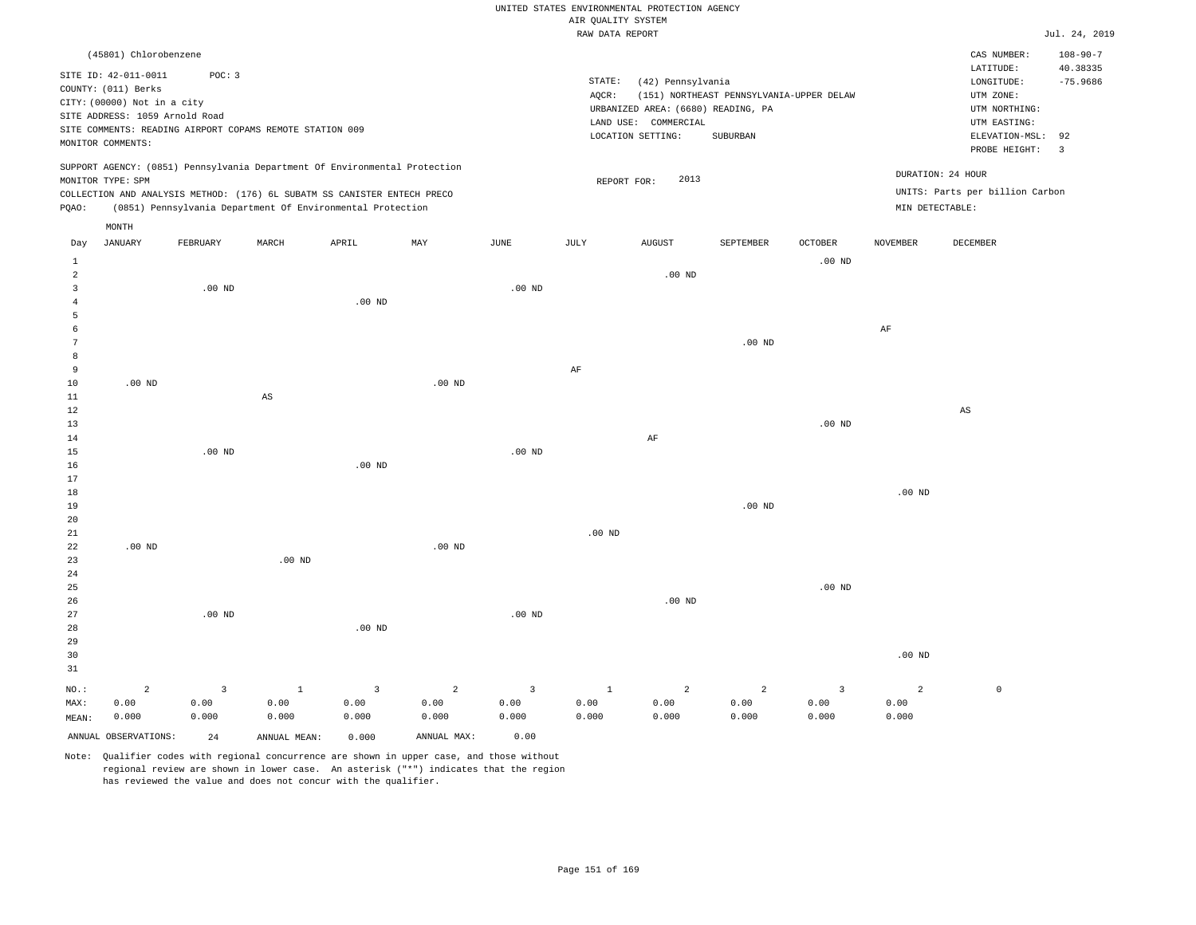|          |                                                                                                                                   |                                                                    |       |                                                                                                                                                                                                                      |                   |          |                 | UNITED STATES ENVIRONMENTAL PROTECTION AGENCY                                                        |                                                      |                |                 |                                                                                                |                                   |
|----------|-----------------------------------------------------------------------------------------------------------------------------------|--------------------------------------------------------------------|-------|----------------------------------------------------------------------------------------------------------------------------------------------------------------------------------------------------------------------|-------------------|----------|-----------------|------------------------------------------------------------------------------------------------------|------------------------------------------------------|----------------|-----------------|------------------------------------------------------------------------------------------------|-----------------------------------|
|          |                                                                                                                                   |                                                                    |       |                                                                                                                                                                                                                      |                   |          |                 | AIR QUALITY SYSTEM                                                                                   |                                                      |                |                 |                                                                                                |                                   |
|          |                                                                                                                                   |                                                                    |       |                                                                                                                                                                                                                      |                   |          |                 | RAW DATA REPORT                                                                                      |                                                      |                |                 |                                                                                                | Jul.                              |
|          | (45801) Chlorobenzene                                                                                                             |                                                                    |       |                                                                                                                                                                                                                      |                   |          |                 |                                                                                                      |                                                      |                |                 | CAS NUMBER:<br>LATITUDE:                                                                       | 101<br>40                         |
|          | SITE ID: 42-011-0011<br>COUNTY: (011) Berks<br>CITY: (00000) Not in a city<br>SITE ADDRESS: 1059 Arnold Road<br>MONITOR COMMENTS: | POC: 3<br>SITE COMMENTS: READING AIRPORT COPAMS REMOTE STATION 009 |       |                                                                                                                                                                                                                      |                   |          | STATE:<br>AOCR: | (42) Pennsylvania<br>URBANIZED AREA: (6680) READING, PA<br>LAND USE: COMMERCIAL<br>LOCATION SETTING: | (151) NORTHEAST PENNSYLVANIA-UPPER DELAW<br>SUBURBAN |                |                 | LONGITUDE:<br>UTM ZONE:<br>UTM NORTHING:<br>UTM EASTING:<br>ELEVATION-MSL: 92<br>PROBE HEIGHT: | $-7!$<br>$\overline{\phantom{a}}$ |
| PQAO:    | MONITOR TYPE: SPM                                                                                                                 |                                                                    |       | SUPPORT AGENCY: (0851) Pennsylvania Department Of Environmental Protection<br>COLLECTION AND ANALYSIS METHOD: (176) 6L SUBATM SS CANISTER ENTECH PRECO<br>(0851) Pennsylvania Department Of Environmental Protection |                   |          |                 | 2013<br>REPORT FOR:                                                                                  |                                                      |                |                 | DURATION: 24 HOUR<br>UNITS: Parts per billion Carbon<br>MIN DETECTABLE:                        |                                   |
|          | MONTH                                                                                                                             |                                                                    |       |                                                                                                                                                                                                                      |                   |          |                 |                                                                                                      |                                                      |                |                 |                                                                                                |                                   |
| Day      | <b>JANUARY</b>                                                                                                                    | FEBRUARY                                                           | MARCH | APRIL                                                                                                                                                                                                                | MAY               | JUNE     | JULY            | AUGUST                                                                                               | SEPTEMBER                                            | <b>OCTOBER</b> | <b>NOVEMBER</b> | <b>DECEMBER</b>                                                                                |                                   |
| 1        |                                                                                                                                   |                                                                    |       |                                                                                                                                                                                                                      |                   |          |                 |                                                                                                      |                                                      | $.00$ ND       |                 |                                                                                                |                                   |
| 2        |                                                                                                                                   |                                                                    |       |                                                                                                                                                                                                                      |                   |          |                 | $.00$ ND                                                                                             |                                                      |                |                 |                                                                                                |                                   |
| 3        |                                                                                                                                   | $.00$ ND                                                           |       |                                                                                                                                                                                                                      |                   | $.00$ ND |                 |                                                                                                      |                                                      |                |                 |                                                                                                |                                   |
|          |                                                                                                                                   |                                                                    |       | $.00$ ND                                                                                                                                                                                                             |                   |          |                 |                                                                                                      |                                                      |                |                 |                                                                                                |                                   |
|          |                                                                                                                                   |                                                                    |       |                                                                                                                                                                                                                      |                   |          |                 |                                                                                                      |                                                      |                |                 |                                                                                                |                                   |
|          |                                                                                                                                   |                                                                    |       |                                                                                                                                                                                                                      |                   |          |                 |                                                                                                      |                                                      |                | AF              |                                                                                                |                                   |
|          |                                                                                                                                   |                                                                    |       |                                                                                                                                                                                                                      |                   |          |                 |                                                                                                      | .00 <sub>ND</sub>                                    |                |                 |                                                                                                |                                   |
| 8        |                                                                                                                                   |                                                                    |       |                                                                                                                                                                                                                      |                   |          |                 |                                                                                                      |                                                      |                |                 |                                                                                                |                                   |
| 9        |                                                                                                                                   |                                                                    |       |                                                                                                                                                                                                                      |                   |          | AF              |                                                                                                      |                                                      |                |                 |                                                                                                |                                   |
| 10<br>11 | .00 <sub>ND</sub>                                                                                                                 |                                                                    | AS    |                                                                                                                                                                                                                      | .00 <sub>ND</sub> |          |                 |                                                                                                      |                                                      |                |                 |                                                                                                |                                   |
| 12       |                                                                                                                                   |                                                                    |       |                                                                                                                                                                                                                      |                   |          |                 |                                                                                                      |                                                      |                |                 | AS                                                                                             |                                   |
| 13       |                                                                                                                                   |                                                                    |       |                                                                                                                                                                                                                      |                   |          |                 |                                                                                                      |                                                      | $.00$ ND       |                 |                                                                                                |                                   |
| 14       |                                                                                                                                   |                                                                    |       |                                                                                                                                                                                                                      |                   |          |                 | AF                                                                                                   |                                                      |                |                 |                                                                                                |                                   |

Jul. 24, 2019

 $108 - 90 - 7$ 

 $-75.9686$ LATITUDE: 40.38335

| 15 | .00 $ND$ |          | $.00$ ND |                   |          |          |
|----|----------|----------|----------|-------------------|----------|----------|
| 16 |          | .00 $ND$ |          |                   |          |          |
| 17 |          |          |          |                   |          |          |
| 18 |          |          |          |                   |          | $.00$ ND |
| 19 |          |          |          |                   | $.00$ ND |          |
| 20 |          |          |          |                   |          |          |
| 21 |          |          |          | .00 <sub>ND</sub> |          |          |
| 22 | $.00$ ND | $.00$ ND |          |                   |          |          |

| 24<br>25<br>26<br>27<br>28 |                    | $.00$ ND           |               | $.00$ ND                        |                                 | $.00$ ND                        |               | $.00$ ND                        |                    | $.00$ ND           |                    |         |
|----------------------------|--------------------|--------------------|---------------|---------------------------------|---------------------------------|---------------------------------|---------------|---------------------------------|--------------------|--------------------|--------------------|---------|
| 29<br>30<br>31             |                    |                    |               |                                 |                                 |                                 |               |                                 |                    |                    | $.00$ ND           |         |
| NO.:<br>MAX:<br>MEAN:      | 2<br>0.00<br>0.000 | 3<br>0.00<br>0.000 | 0.00<br>0.000 | $\overline{3}$<br>0.00<br>0.000 | $\overline{a}$<br>0.00<br>0.000 | $\overline{3}$<br>0.00<br>0.000 | 0.00<br>0.000 | $\overline{a}$<br>0.00<br>0.000 | 2<br>0.00<br>0.000 | 3<br>0.00<br>0.000 | 2<br>0.00<br>0.000 | $\circ$ |

ANNUAL OBSERVATIONS: 24 ANNUAL MEAN: 0.000 ANNUAL MAX: 0.00

.00 ND

23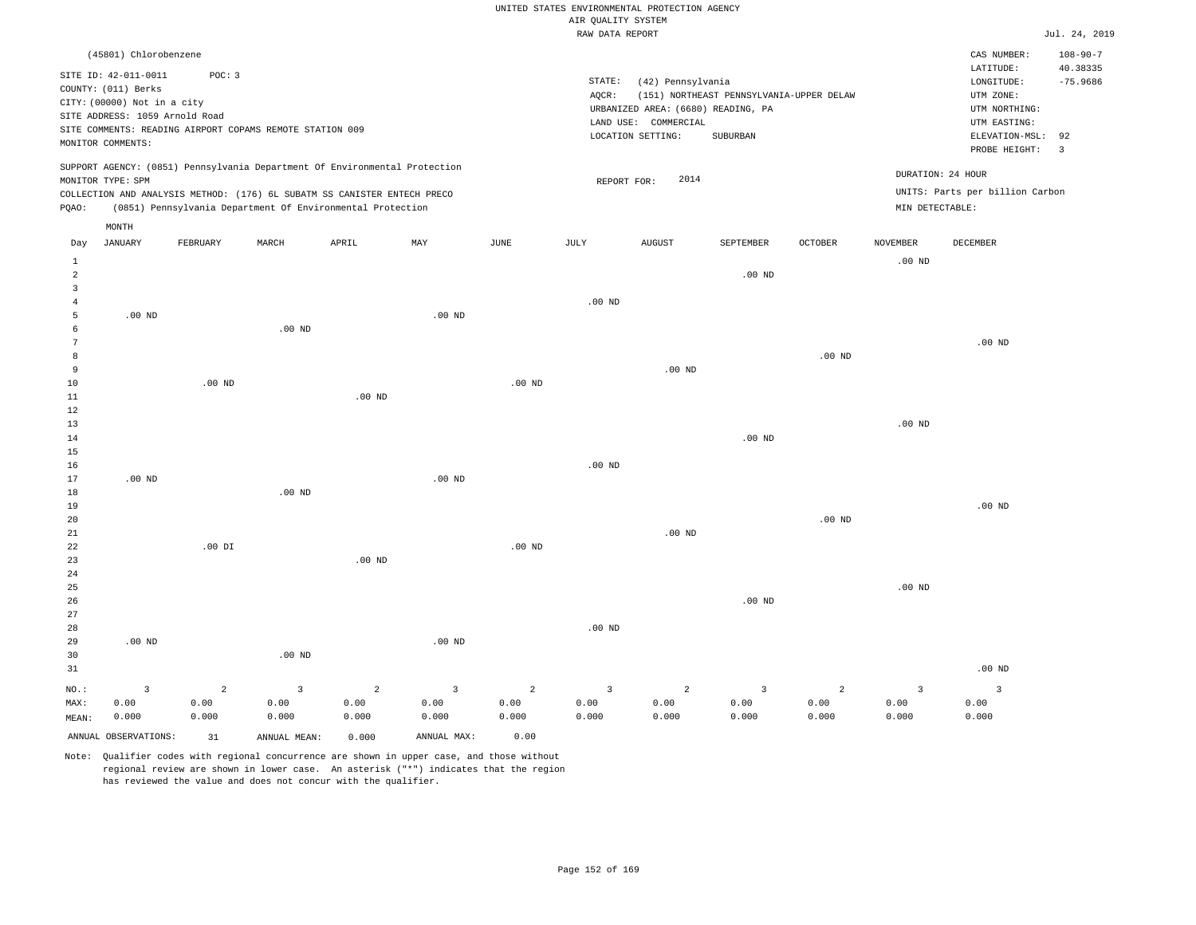|                                  |                                                                      |                                 |                                                                                                                                        |                                 |                                          |                                 |                                       | UNITED STATES ENVIRONMENTAL PROTECTION AGENCY              |                                          |                                 |                                 |                                            |                                          |
|----------------------------------|----------------------------------------------------------------------|---------------------------------|----------------------------------------------------------------------------------------------------------------------------------------|---------------------------------|------------------------------------------|---------------------------------|---------------------------------------|------------------------------------------------------------|------------------------------------------|---------------------------------|---------------------------------|--------------------------------------------|------------------------------------------|
|                                  |                                                                      |                                 |                                                                                                                                        |                                 |                                          |                                 | AIR OUALITY SYSTEM<br>RAW DATA REPORT |                                                            |                                          |                                 |                                 |                                            | Jul. 24, 2019                            |
|                                  |                                                                      |                                 |                                                                                                                                        |                                 |                                          |                                 |                                       |                                                            |                                          |                                 |                                 |                                            |                                          |
|                                  | (45801) Chlorobenzene<br>SITE ID: 42-011-0011<br>COUNTY: (011) Berks | POC: 3                          |                                                                                                                                        |                                 |                                          |                                 | STATE:                                | (42) Pennsylvania                                          |                                          |                                 |                                 | CAS NUMBER:<br>LATITUDE:<br>LONGITUDE:     | $108 - 90 - 7$<br>40.38335<br>$-75.9686$ |
|                                  | CITY: (00000) Not in a city<br>SITE ADDRESS: 1059 Arnold Road        |                                 |                                                                                                                                        |                                 |                                          |                                 | AQCR:                                 | URBANIZED AREA: (6680) READING, PA<br>LAND USE: COMMERCIAL | (151) NORTHEAST PENNSYLVANIA-UPPER DELAW |                                 |                                 | UTM ZONE:<br>UTM NORTHING:<br>UTM EASTING: |                                          |
|                                  | MONITOR COMMENTS:                                                    |                                 | SITE COMMENTS: READING AIRPORT COPAMS REMOTE STATION 009                                                                               |                                 |                                          |                                 |                                       | LOCATION SETTING:                                          | SUBURBAN                                 |                                 |                                 | ELEVATION-MSL:<br>PROBE HEIGHT:            | 92<br>$\overline{\mathbf{3}}$            |
|                                  | MONITOR TYPE: SPM                                                    |                                 | SUPPORT AGENCY: (0851) Pennsylvania Department Of Environmental Protection                                                             |                                 |                                          |                                 | REPORT FOR:                           | 2014                                                       |                                          |                                 |                                 | DURATION: 24 HOUR                          |                                          |
| PQAO:                            |                                                                      |                                 | COLLECTION AND ANALYSIS METHOD: (176) 6L SUBATM SS CANISTER ENTECH PRECO<br>(0851) Pennsylvania Department Of Environmental Protection |                                 |                                          |                                 |                                       |                                                            |                                          |                                 | MIN DETECTABLE:                 | UNITS: Parts per billion Carbon            |                                          |
|                                  | MONTH                                                                |                                 |                                                                                                                                        |                                 |                                          |                                 |                                       |                                                            |                                          |                                 |                                 |                                            |                                          |
| Day<br>$\mathbf{1}$              | <b>JANUARY</b>                                                       | FEBRUARY                        | MARCH                                                                                                                                  | APRIL                           | MAY                                      | <b>JUNE</b>                     | <b>JULY</b>                           | <b>AUGUST</b>                                              | SEPTEMBER                                | <b>OCTOBER</b>                  | <b>NOVEMBER</b><br>$.00$ ND     | DECEMBER                                   |                                          |
| $\overline{a}$<br>$\overline{3}$ |                                                                      |                                 |                                                                                                                                        |                                 |                                          |                                 |                                       |                                                            | $.00$ ND                                 |                                 |                                 |                                            |                                          |
| $\overline{4}$<br>5              | $.00$ ND                                                             |                                 |                                                                                                                                        |                                 | .00 <sub>ND</sub>                        |                                 | .00 <sub>ND</sub>                     |                                                            |                                          |                                 |                                 |                                            |                                          |
| 6<br>7                           |                                                                      |                                 | .00 <sub>ND</sub>                                                                                                                      |                                 |                                          |                                 |                                       |                                                            |                                          |                                 |                                 | $.00$ ND                                   |                                          |
| 8<br>9                           |                                                                      |                                 |                                                                                                                                        |                                 |                                          |                                 |                                       | $.00$ ND                                                   |                                          | $.00$ ND                        |                                 |                                            |                                          |
| 10<br>$11\,$                     |                                                                      | $.00$ ND                        |                                                                                                                                        | $.00$ ND                        |                                          | .00 <sub>ND</sub>               |                                       |                                                            |                                          |                                 |                                 |                                            |                                          |
| 12<br>13                         |                                                                      |                                 |                                                                                                                                        |                                 |                                          |                                 |                                       |                                                            |                                          |                                 | .00 <sub>ND</sub>               |                                            |                                          |
| 14<br>15                         |                                                                      |                                 |                                                                                                                                        |                                 |                                          |                                 |                                       |                                                            | $.00$ ND                                 |                                 |                                 |                                            |                                          |
| 16<br>17                         | $.00$ ND                                                             |                                 |                                                                                                                                        |                                 | $.00$ ND                                 |                                 | .00 <sub>ND</sub>                     |                                                            |                                          |                                 |                                 |                                            |                                          |
| $18\,$<br>19                     |                                                                      |                                 | $.00$ ND                                                                                                                               |                                 |                                          |                                 |                                       |                                                            |                                          |                                 |                                 | $.00$ ND                                   |                                          |
| 20<br>21                         |                                                                      |                                 |                                                                                                                                        |                                 |                                          |                                 |                                       | $.00$ ND                                                   |                                          | .00 <sub>ND</sub>               |                                 |                                            |                                          |
| 22<br>23                         |                                                                      | $.00$ DI                        |                                                                                                                                        | $.00$ ND                        |                                          | $.00$ ND                        |                                       |                                                            |                                          |                                 |                                 |                                            |                                          |
| 24<br>25                         |                                                                      |                                 |                                                                                                                                        |                                 |                                          |                                 |                                       |                                                            |                                          |                                 | .00 <sub>ND</sub>               |                                            |                                          |
| 26<br>27                         |                                                                      |                                 |                                                                                                                                        |                                 |                                          |                                 |                                       |                                                            | $.00$ ND                                 |                                 |                                 |                                            |                                          |
| 28<br>29                         | $.00$ ND                                                             |                                 |                                                                                                                                        |                                 | $.00$ ND                                 |                                 | $.00$ ND                              |                                                            |                                          |                                 |                                 |                                            |                                          |
| 30<br>31                         |                                                                      |                                 | $.00$ ND                                                                                                                               |                                 |                                          |                                 |                                       |                                                            |                                          |                                 |                                 | $.00$ ND                                   |                                          |
| NO.:<br>MAX:<br>MEAN:            | $\overline{3}$<br>0.00<br>0.000                                      | $\overline{a}$<br>0.00<br>0.000 | $\overline{3}$<br>0.00<br>0.000                                                                                                        | $\overline{2}$<br>0.00<br>0.000 | $\overline{\mathbf{3}}$<br>0.00<br>0.000 | $\overline{a}$<br>0.00<br>0.000 | $\overline{3}$<br>0.00<br>0.000       | $\overline{a}$<br>0.00<br>0.000                            | $\overline{3}$<br>0.00<br>0.000          | $\overline{a}$<br>0.00<br>0.000 | $\overline{3}$<br>0.00<br>0.000 | $\overline{\mathbf{3}}$<br>0.00<br>0.000   |                                          |
|                                  | ANNUAL OBSERVATIONS:                                                 | 31                              | ANNUAL, MEAN:                                                                                                                          | 0.000                           | ANNUAL MAX:                              | 0.00                            |                                       |                                                            |                                          |                                 |                                 |                                            |                                          |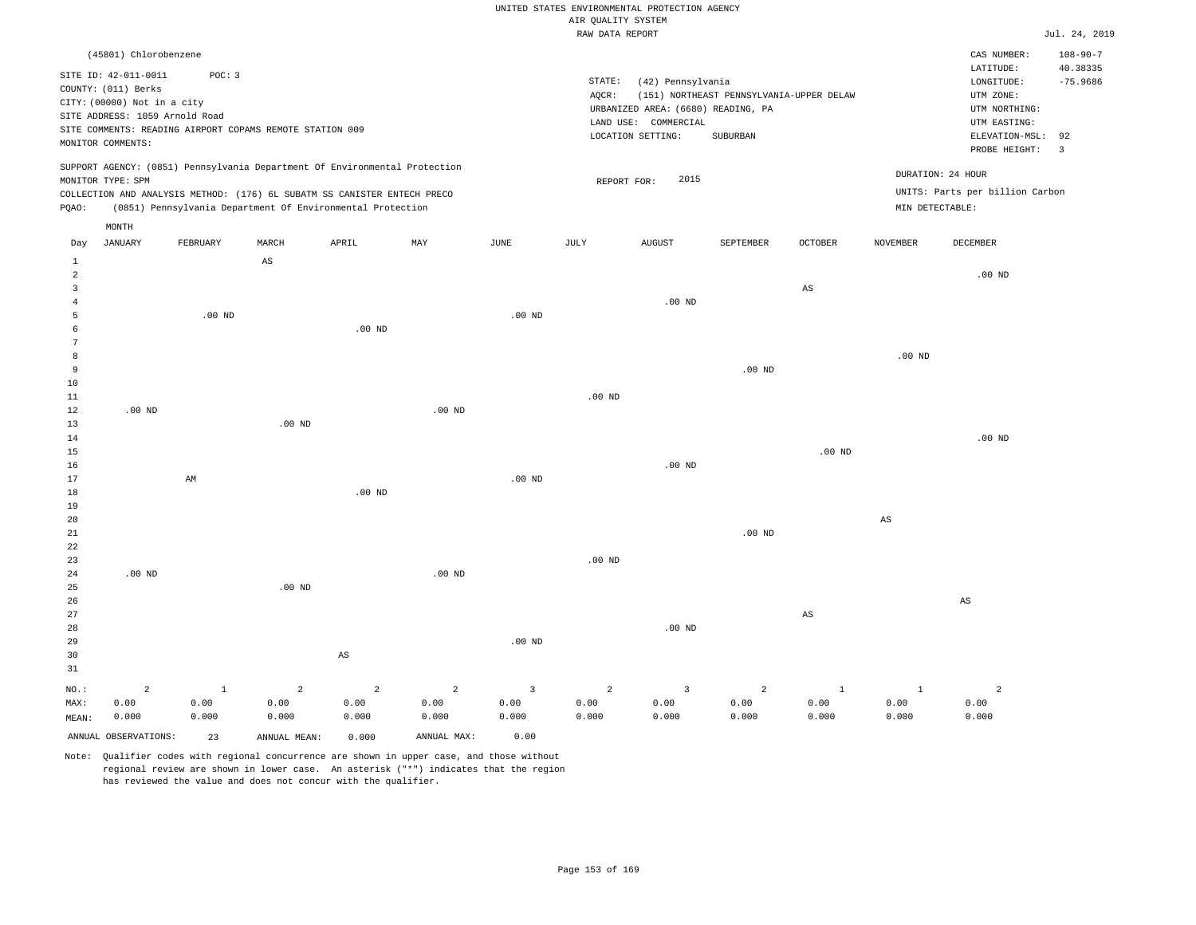|                     |                                |          |                                                          |                                                                            |                |                   | RAW DATA REPORT   |                                    |                                          |                        |                        |                                 | Jul. 24, 2019          |
|---------------------|--------------------------------|----------|----------------------------------------------------------|----------------------------------------------------------------------------|----------------|-------------------|-------------------|------------------------------------|------------------------------------------|------------------------|------------------------|---------------------------------|------------------------|
|                     | (45801) Chlorobenzene          |          |                                                          |                                                                            |                |                   |                   |                                    |                                          |                        |                        | CAS NUMBER:                     | $108 - 90 - 7$         |
|                     | SITE ID: 42-011-0011           | POC: 3   |                                                          |                                                                            |                |                   | STATE:            |                                    |                                          |                        |                        | LATITUDE:                       | 40.38335<br>$-75.9686$ |
|                     | COUNTY: (011) Berks            |          |                                                          |                                                                            |                |                   | AQCR:             | (42) Pennsylvania                  | (151) NORTHEAST PENNSYLVANIA-UPPER DELAW |                        |                        | LONGITUDE:<br>UTM ZONE:         |                        |
|                     | CITY: (00000) Not in a city    |          |                                                          |                                                                            |                |                   |                   | URBANIZED AREA: (6680) READING, PA |                                          |                        |                        | UTM NORTHING:                   |                        |
|                     | SITE ADDRESS: 1059 Arnold Road |          |                                                          |                                                                            |                |                   |                   | LAND USE: COMMERCIAL               |                                          |                        |                        | UTM EASTING:                    |                        |
|                     |                                |          | SITE COMMENTS: READING AIRPORT COPAMS REMOTE STATION 009 |                                                                            |                |                   |                   | LOCATION SETTING:                  | SUBURBAN                                 |                        |                        | ELEVATION-MSL:                  | 92                     |
|                     | MONITOR COMMENTS:              |          |                                                          |                                                                            |                |                   |                   |                                    |                                          |                        |                        | PROBE HEIGHT:                   | $\overline{3}$         |
|                     |                                |          |                                                          | SUPPORT AGENCY: (0851) Pennsylvania Department Of Environmental Protection |                |                   |                   |                                    |                                          |                        |                        | DURATION: 24 HOUR               |                        |
|                     | MONITOR TYPE: SPM              |          |                                                          |                                                                            |                |                   | REPORT FOR:       | 2015                               |                                          |                        |                        | UNITS: Parts per billion Carbon |                        |
|                     |                                |          |                                                          | COLLECTION AND ANALYSIS METHOD: (176) 6L SUBATM SS CANISTER ENTECH PRECO   |                |                   |                   |                                    |                                          |                        |                        |                                 |                        |
| PQAO:               |                                |          |                                                          | (0851) Pennsylvania Department Of Environmental Protection                 |                |                   |                   |                                    |                                          |                        |                        | MIN DETECTABLE:                 |                        |
|                     | MONTH                          |          |                                                          |                                                                            |                |                   |                   |                                    |                                          |                        |                        |                                 |                        |
| Day<br>$\mathbf{1}$ | <b>JANUARY</b>                 | FEBRUARY | MARCH<br>AS                                              | APRIL                                                                      | MAY            | JUNE              | JULY              | AUGUST                             | SEPTEMBER                                | OCTOBER                | NOVEMBER               | DECEMBER                        |                        |
| $\overline{a}$      |                                |          |                                                          |                                                                            |                |                   |                   |                                    |                                          |                        |                        | $.00$ ND                        |                        |
| $\mathbf{3}$        |                                |          |                                                          |                                                                            |                |                   |                   |                                    |                                          | $\mathbb{A}\mathbb{S}$ |                        |                                 |                        |
| $\overline{4}$      |                                |          |                                                          |                                                                            |                |                   |                   | $.00$ ND                           |                                          |                        |                        |                                 |                        |
| 5                   |                                | $.00$ ND |                                                          |                                                                            |                | $.00$ ND          |                   |                                    |                                          |                        |                        |                                 |                        |
| 6                   |                                |          |                                                          | .00 <sub>ND</sub>                                                          |                |                   |                   |                                    |                                          |                        |                        |                                 |                        |
| 7                   |                                |          |                                                          |                                                                            |                |                   |                   |                                    |                                          |                        |                        |                                 |                        |
| 8                   |                                |          |                                                          |                                                                            |                |                   |                   |                                    |                                          |                        | $.00$ ND               |                                 |                        |
| 9                   |                                |          |                                                          |                                                                            |                |                   |                   |                                    | $.00$ ND                                 |                        |                        |                                 |                        |
| 10                  |                                |          |                                                          |                                                                            |                |                   |                   |                                    |                                          |                        |                        |                                 |                        |
| 11                  |                                |          |                                                          |                                                                            |                |                   | $.00$ ND          |                                    |                                          |                        |                        |                                 |                        |
| 12                  | .00 <sub>ND</sub>              |          |                                                          |                                                                            | $.00$ ND       |                   |                   |                                    |                                          |                        |                        |                                 |                        |
| 13                  |                                |          | $.00$ ND                                                 |                                                                            |                |                   |                   |                                    |                                          |                        |                        |                                 |                        |
| 14                  |                                |          |                                                          |                                                                            |                |                   |                   |                                    |                                          |                        |                        | $.00$ ND                        |                        |
| 15                  |                                |          |                                                          |                                                                            |                |                   |                   |                                    |                                          | .00 <sub>ND</sub>      |                        |                                 |                        |
| 16                  |                                |          |                                                          |                                                                            |                |                   |                   | $.00$ ND                           |                                          |                        |                        |                                 |                        |
| 17<br>18            |                                | AM       |                                                          | $.00$ ND                                                                   |                | .00 <sub>ND</sub> |                   |                                    |                                          |                        |                        |                                 |                        |
| 19                  |                                |          |                                                          |                                                                            |                |                   |                   |                                    |                                          |                        |                        |                                 |                        |
| 20                  |                                |          |                                                          |                                                                            |                |                   |                   |                                    |                                          |                        | $\mathbb{A}\mathbb{S}$ |                                 |                        |
| 21                  |                                |          |                                                          |                                                                            |                |                   |                   |                                    | $.00$ ND                                 |                        |                        |                                 |                        |
| 22                  |                                |          |                                                          |                                                                            |                |                   |                   |                                    |                                          |                        |                        |                                 |                        |
| 23                  |                                |          |                                                          |                                                                            |                |                   | .00 <sub>ND</sub> |                                    |                                          |                        |                        |                                 |                        |
| 24                  | $.00$ ND                       |          |                                                          |                                                                            | $.00$ ND       |                   |                   |                                    |                                          |                        |                        |                                 |                        |
| 25                  |                                |          | $.00$ ND                                                 |                                                                            |                |                   |                   |                                    |                                          |                        |                        |                                 |                        |
| 26                  |                                |          |                                                          |                                                                            |                |                   |                   |                                    |                                          |                        |                        | $\mathbb{A}\mathbb{S}$          |                        |
| 27                  |                                |          |                                                          |                                                                            |                |                   |                   |                                    |                                          | $_{\rm AS}$            |                        |                                 |                        |
| 28                  |                                |          |                                                          |                                                                            |                |                   |                   | $.00$ ND                           |                                          |                        |                        |                                 |                        |
| 29                  |                                |          |                                                          |                                                                            |                | $.00$ ND          |                   |                                    |                                          |                        |                        |                                 |                        |
| 30                  |                                |          |                                                          | AS                                                                         |                |                   |                   |                                    |                                          |                        |                        |                                 |                        |
| 31                  |                                |          |                                                          |                                                                            |                |                   |                   |                                    |                                          |                        |                        |                                 |                        |
| $NO.$ :             | $\overline{a}$                 | $\,1\,$  | $\overline{a}$                                           | $\overline{a}$                                                             | $\overline{a}$ | $\overline{3}$    | $\overline{a}$    | $\overline{\mathbf{3}}$            | $\overline{c}$                           | $\mathbf{1}$           | $\mathbf{1}$           | $\overline{a}$                  |                        |
| MAX:                | 0.00                           | 0.00     | 0.00                                                     | 0.00                                                                       | 0.00           | 0.00              | 0.00              | 0.00                               | 0.00                                     | 0.00                   | 0.00                   | 0.00                            |                        |
| MEAN:               | 0.000                          | 0.000    | 0.000                                                    | 0.000                                                                      | 0.000          | 0.000             | 0.000             | 0.000                              | 0.000                                    | 0.000                  | 0.000                  | 0.000                           |                        |
|                     | ANNUAL OBSERVATIONS:           | 23       | ANNUAL MEAN:                                             | 0.000                                                                      | ANNUAL MAX:    | 0.00              |                   |                                    |                                          |                        |                        |                                 |                        |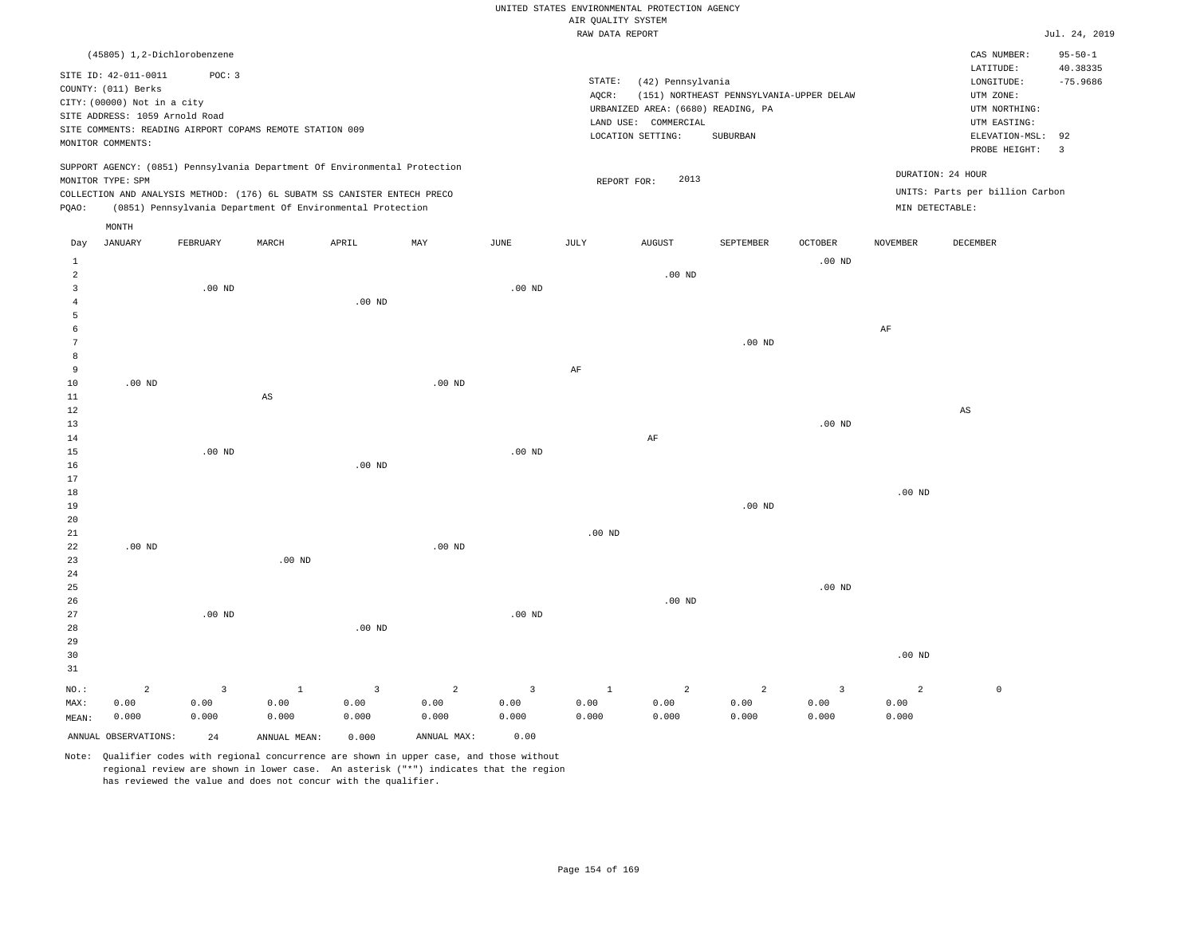|                     |                                |                                                          |                        |                                                                            |                   |                       |                    | UNITED STATES ENVIRONMENTAL PROTECTION AGENCY |                                          |                   |                   |                                 |                               |
|---------------------|--------------------------------|----------------------------------------------------------|------------------------|----------------------------------------------------------------------------|-------------------|-----------------------|--------------------|-----------------------------------------------|------------------------------------------|-------------------|-------------------|---------------------------------|-------------------------------|
|                     |                                |                                                          |                        |                                                                            |                   |                       | AIR QUALITY SYSTEM |                                               |                                          |                   |                   |                                 |                               |
|                     |                                |                                                          |                        |                                                                            |                   |                       | RAW DATA REPORT    |                                               |                                          |                   |                   |                                 | Jul. 24, 2019                 |
|                     |                                | (45805) 1,2-Dichlorobenzene                              |                        |                                                                            |                   |                       |                    |                                               |                                          |                   |                   | CAS NUMBER:                     | $95 - 50 - 1$                 |
|                     | SITE ID: 42-011-0011           | POC: 3                                                   |                        |                                                                            |                   |                       |                    |                                               |                                          |                   |                   | LATITUDE:                       | 40.38335                      |
|                     | COUNTY: (011) Berks            |                                                          |                        |                                                                            |                   |                       | $\texttt{STATE}$ : | (42) Pennsylvania                             |                                          |                   |                   | LONGITUDE:                      | $-75.9686$                    |
|                     | CITY: (00000) Not in a city    |                                                          |                        |                                                                            |                   |                       | AQCR:              |                                               | (151) NORTHEAST PENNSYLVANIA-UPPER DELAW |                   |                   | UTM ZONE:                       |                               |
|                     | SITE ADDRESS: 1059 Arnold Road |                                                          |                        |                                                                            |                   |                       |                    | URBANIZED AREA: (6680) READING, PA            |                                          |                   |                   | UTM NORTHING:                   |                               |
|                     |                                | SITE COMMENTS: READING AIRPORT COPAMS REMOTE STATION 009 |                        |                                                                            |                   |                       |                    | LAND USE: COMMERCIAL                          |                                          |                   |                   | UTM EASTING:                    |                               |
|                     | MONITOR COMMENTS:              |                                                          |                        |                                                                            |                   |                       |                    | LOCATION SETTING:                             | <b>SUBURBAN</b>                          |                   |                   | ELEVATION-MSL:<br>PROBE HEIGHT: | 92<br>$\overline{\mathbf{3}}$ |
|                     |                                |                                                          |                        | SUPPORT AGENCY: (0851) Pennsylvania Department Of Environmental Protection |                   |                       |                    |                                               |                                          |                   |                   |                                 |                               |
|                     | MONITOR TYPE: SPM              |                                                          |                        |                                                                            |                   |                       |                    | 2013<br>REPORT FOR:                           |                                          |                   |                   | DURATION: 24 HOUR               |                               |
|                     |                                |                                                          |                        | COLLECTION AND ANALYSIS METHOD: (176) 6L SUBATM SS CANISTER ENTECH PRECO   |                   |                       |                    |                                               |                                          |                   |                   | UNITS: Parts per billion Carbon |                               |
| PQAO:               |                                |                                                          |                        | (0851) Pennsylvania Department Of Environmental Protection                 |                   |                       |                    |                                               |                                          |                   | MIN DETECTABLE:   |                                 |                               |
|                     | MONTH                          |                                                          |                        |                                                                            |                   |                       |                    |                                               |                                          |                   |                   |                                 |                               |
| Day                 | <b>JANUARY</b>                 | FEBRUARY                                                 | MARCH                  | APRIL                                                                      | MAY               | $\operatorname{JUNE}$ | JULY               | ${\tt AUGUST}$                                | SEPTEMBER                                | <b>OCTOBER</b>    | <b>NOVEMBER</b>   | DECEMBER                        |                               |
| $1\,$               |                                |                                                          |                        |                                                                            |                   |                       |                    |                                               |                                          | .00 <sub>ND</sub> |                   |                                 |                               |
| 2                   |                                |                                                          |                        |                                                                            |                   |                       |                    | .00 <sub>ND</sub>                             |                                          |                   |                   |                                 |                               |
| $\overline{3}$      |                                | $.00$ ND                                                 |                        |                                                                            |                   | $.00$ ND              |                    |                                               |                                          |                   |                   |                                 |                               |
| $\overline{4}$<br>5 |                                |                                                          |                        | $.00$ ND                                                                   |                   |                       |                    |                                               |                                          |                   |                   |                                 |                               |
| 6                   |                                |                                                          |                        |                                                                            |                   |                       |                    |                                               |                                          |                   | $\rm{AF}$         |                                 |                               |
| $\overline{7}$      |                                |                                                          |                        |                                                                            |                   |                       |                    |                                               | $.00$ ND                                 |                   |                   |                                 |                               |
| 8                   |                                |                                                          |                        |                                                                            |                   |                       |                    |                                               |                                          |                   |                   |                                 |                               |
| 9                   |                                |                                                          |                        |                                                                            |                   |                       | AF                 |                                               |                                          |                   |                   |                                 |                               |
| 10                  | $.00$ ND                       |                                                          |                        |                                                                            | $.00$ ND          |                       |                    |                                               |                                          |                   |                   |                                 |                               |
| 11                  |                                |                                                          | $\mathbb{A}\mathbb{S}$ |                                                                            |                   |                       |                    |                                               |                                          |                   |                   |                                 |                               |
| $1\,2$              |                                |                                                          |                        |                                                                            |                   |                       |                    |                                               |                                          |                   |                   | AS                              |                               |
| 13                  |                                |                                                          |                        |                                                                            |                   |                       |                    |                                               |                                          | .00 <sub>ND</sub> |                   |                                 |                               |
| 14                  |                                |                                                          |                        |                                                                            |                   |                       |                    | $\rm{AF}$                                     |                                          |                   |                   |                                 |                               |
| 15                  |                                | .00 <sub>ND</sub>                                        |                        |                                                                            |                   | .00 <sub>ND</sub>     |                    |                                               |                                          |                   |                   |                                 |                               |
| 16                  |                                |                                                          |                        | $.00$ ND                                                                   |                   |                       |                    |                                               |                                          |                   |                   |                                 |                               |
| 17                  |                                |                                                          |                        |                                                                            |                   |                       |                    |                                               |                                          |                   |                   |                                 |                               |
| 18                  |                                |                                                          |                        |                                                                            |                   |                       |                    |                                               |                                          |                   | $.00$ ND          |                                 |                               |
| 19                  |                                |                                                          |                        |                                                                            |                   |                       |                    |                                               | $.00$ ND                                 |                   |                   |                                 |                               |
| 20                  |                                |                                                          |                        |                                                                            |                   |                       |                    |                                               |                                          |                   |                   |                                 |                               |
| 21                  |                                |                                                          |                        |                                                                            |                   |                       | $.00$ ND           |                                               |                                          |                   |                   |                                 |                               |
| 22                  | $.00$ ND                       |                                                          |                        |                                                                            | .00 <sub>ND</sub> |                       |                    |                                               |                                          |                   |                   |                                 |                               |
| 23                  |                                |                                                          | $.00$ ND               |                                                                            |                   |                       |                    |                                               |                                          |                   |                   |                                 |                               |
| 24                  |                                |                                                          |                        |                                                                            |                   |                       |                    |                                               |                                          |                   |                   |                                 |                               |
| 25                  |                                |                                                          |                        |                                                                            |                   |                       |                    |                                               |                                          | $.00$ ND          |                   |                                 |                               |
| 26                  |                                |                                                          |                        |                                                                            |                   |                       |                    | $.00$ ND                                      |                                          |                   |                   |                                 |                               |
| 27                  |                                | $.00$ ND                                                 |                        |                                                                            |                   | .00 <sub>ND</sub>     |                    |                                               |                                          |                   |                   |                                 |                               |
| 28                  |                                |                                                          |                        | $.00$ ND                                                                   |                   |                       |                    |                                               |                                          |                   |                   |                                 |                               |
| 29                  |                                |                                                          |                        |                                                                            |                   |                       |                    |                                               |                                          |                   |                   |                                 |                               |
| 30<br>31            |                                |                                                          |                        |                                                                            |                   |                       |                    |                                               |                                          |                   | .00 <sub>ND</sub> |                                 |                               |
|                     |                                |                                                          |                        |                                                                            |                   |                       |                    |                                               |                                          |                   |                   |                                 |                               |
| NO.:                | $\overline{a}$                 | $\overline{\mathbf{3}}$                                  | $\mathbf{1}$           | 3                                                                          | $\overline{c}$    | $\overline{3}$        | $\mathbf{1}$       | $\overline{a}$                                | $\overline{a}$                           | $\overline{3}$    | $\overline{a}$    | $\mathbb O$                     |                               |
| MAX:                | 0.00                           | 0.00                                                     | 0.00                   | 0.00                                                                       | 0.00              | 0.00                  | 0.00               | 0.00                                          | 0.00                                     | 0.00              | 0.00              |                                 |                               |
| MEAN:               | 0.000                          | 0.000                                                    | 0.000                  | 0.000                                                                      | 0.000             | 0.000                 | 0.000              | 0.000                                         | 0.000                                    | 0.000             | 0.000             |                                 |                               |

ANNUAL OBSERVATIONS: 24 ANNUAL MEAN: 0.000 ANNUAL MAX: 0.00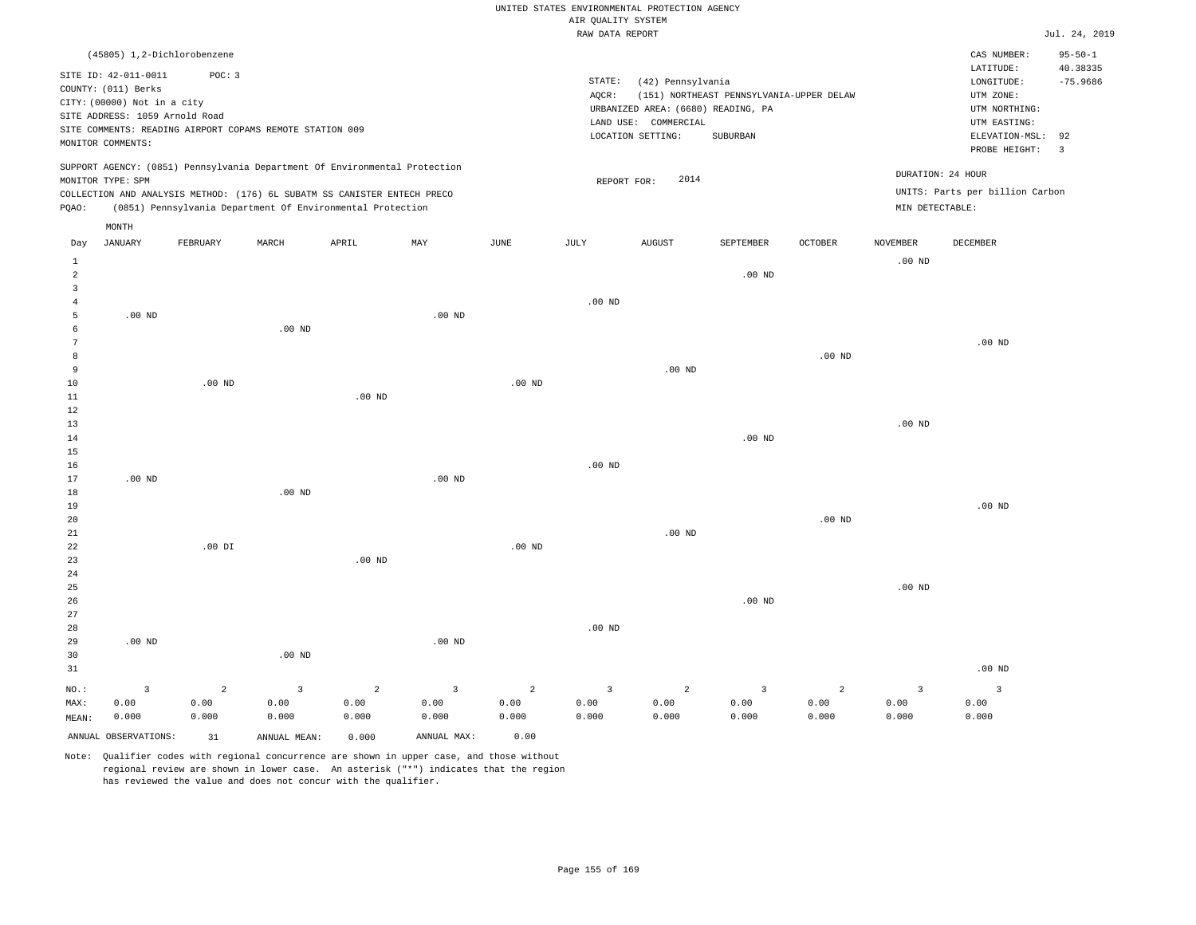|                      |                                                                                                                                                                  |               |                                                          |                                                                                                                                        |                         |                | AIR OUALITY SYSTEM<br>RAW DATA REPORT | UNITED STATES ENVIRONMENTAL PROTECTION AGENCY                                                        |                                                      |                   |                   |                                                                                                                         | Jul. 24, 2019                                                   |
|----------------------|------------------------------------------------------------------------------------------------------------------------------------------------------------------|---------------|----------------------------------------------------------|----------------------------------------------------------------------------------------------------------------------------------------|-------------------------|----------------|---------------------------------------|------------------------------------------------------------------------------------------------------|------------------------------------------------------|-------------------|-------------------|-------------------------------------------------------------------------------------------------------------------------|-----------------------------------------------------------------|
|                      |                                                                                                                                                                  |               |                                                          |                                                                                                                                        |                         |                |                                       |                                                                                                      |                                                      |                   |                   |                                                                                                                         |                                                                 |
|                      | (45805) 1,2-Dichlorobenzene<br>SITE ID: 42-011-0011<br>COUNTY: (011) Berks<br>CITY: (00000) Not in a city<br>SITE ADDRESS: 1059 Arnold Road<br>MONITOR COMMENTS: | POC: 3        | SITE COMMENTS: READING AIRPORT COPAMS REMOTE STATION 009 |                                                                                                                                        |                         |                | STATE:<br>AOCR:                       | (42) Pennsylvania<br>URBANIZED AREA: (6680) READING, PA<br>LAND USE: COMMERCIAL<br>LOCATION SETTING: | (151) NORTHEAST PENNSYLVANIA-UPPER DELAW<br>SUBURBAN |                   |                   | CAS NUMBER:<br>LATITUDE:<br>LONGITUDE:<br>UTM ZONE:<br>UTM NORTHING:<br>UTM EASTING:<br>ELEVATION-MSL:<br>PROBE HEIGHT: | $95 - 50 - 1$<br>40.38335<br>$-75.9686$<br>92<br>$\overline{3}$ |
|                      |                                                                                                                                                                  |               |                                                          | SUPPORT AGENCY: (0851) Pennsylvania Department Of Environmental Protection                                                             |                         |                |                                       |                                                                                                      |                                                      |                   | DURATION: 24 HOUR |                                                                                                                         |                                                                 |
|                      | MONITOR TYPE: SPM                                                                                                                                                |               |                                                          |                                                                                                                                        |                         |                | REPORT FOR:                           | 2014                                                                                                 |                                                      |                   |                   | UNITS: Parts per billion Carbon                                                                                         |                                                                 |
| PQAO:                |                                                                                                                                                                  |               |                                                          | COLLECTION AND ANALYSIS METHOD: (176) 6L SUBATM SS CANISTER ENTECH PRECO<br>(0851) Pennsylvania Department Of Environmental Protection |                         |                |                                       |                                                                                                      |                                                      |                   | MIN DETECTABLE:   |                                                                                                                         |                                                                 |
|                      | MONTH                                                                                                                                                            |               |                                                          |                                                                                                                                        |                         |                |                                       |                                                                                                      |                                                      |                   |                   |                                                                                                                         |                                                                 |
| Day                  | <b>JANUARY</b>                                                                                                                                                   | FEBRUARY      | MARCH                                                    | APRIL                                                                                                                                  | MAY                     | JUNE           | JULY                                  | <b>AUGUST</b>                                                                                        | SEPTEMBER                                            | OCTOBER           | NOVEMBER          | DECEMBER                                                                                                                |                                                                 |
| 1                    |                                                                                                                                                                  |               |                                                          |                                                                                                                                        |                         |                |                                       |                                                                                                      |                                                      |                   | $.00$ ND          |                                                                                                                         |                                                                 |
| $\overline{a}$       |                                                                                                                                                                  |               |                                                          |                                                                                                                                        |                         |                |                                       |                                                                                                      | .00 <sub>ND</sub>                                    |                   |                   |                                                                                                                         |                                                                 |
| $\overline{3}$       |                                                                                                                                                                  |               |                                                          |                                                                                                                                        |                         |                |                                       |                                                                                                      |                                                      |                   |                   |                                                                                                                         |                                                                 |
| $\overline{4}$       |                                                                                                                                                                  |               |                                                          |                                                                                                                                        |                         |                | $.00$ ND                              |                                                                                                      |                                                      |                   |                   |                                                                                                                         |                                                                 |
| 5                    | $.00$ ND                                                                                                                                                         |               |                                                          |                                                                                                                                        | $.00$ ND                |                |                                       |                                                                                                      |                                                      |                   |                   |                                                                                                                         |                                                                 |
| 6<br>$7\phantom{.0}$ |                                                                                                                                                                  |               | $.00$ ND                                                 |                                                                                                                                        |                         |                |                                       |                                                                                                      |                                                      |                   |                   | $.00$ ND                                                                                                                |                                                                 |
| 8                    |                                                                                                                                                                  |               |                                                          |                                                                                                                                        |                         |                |                                       |                                                                                                      |                                                      | .00 <sub>ND</sub> |                   |                                                                                                                         |                                                                 |
| 9                    |                                                                                                                                                                  |               |                                                          |                                                                                                                                        |                         |                |                                       | .00 <sub>ND</sub>                                                                                    |                                                      |                   |                   |                                                                                                                         |                                                                 |
| 10                   |                                                                                                                                                                  | $.00$ ND      |                                                          |                                                                                                                                        |                         | $.00$ ND       |                                       |                                                                                                      |                                                      |                   |                   |                                                                                                                         |                                                                 |
| $1\,1$               |                                                                                                                                                                  |               |                                                          | $.00$ ND                                                                                                                               |                         |                |                                       |                                                                                                      |                                                      |                   |                   |                                                                                                                         |                                                                 |
| $1\,2$               |                                                                                                                                                                  |               |                                                          |                                                                                                                                        |                         |                |                                       |                                                                                                      |                                                      |                   |                   |                                                                                                                         |                                                                 |
| 13                   |                                                                                                                                                                  |               |                                                          |                                                                                                                                        |                         |                |                                       |                                                                                                      |                                                      |                   | .00 <sub>ND</sub> |                                                                                                                         |                                                                 |
| 14<br>15             |                                                                                                                                                                  |               |                                                          |                                                                                                                                        |                         |                |                                       |                                                                                                      | $.00$ ND                                             |                   |                   |                                                                                                                         |                                                                 |
| 16                   |                                                                                                                                                                  |               |                                                          |                                                                                                                                        |                         |                | $.00$ ND                              |                                                                                                      |                                                      |                   |                   |                                                                                                                         |                                                                 |
| 17                   | $.00$ ND                                                                                                                                                         |               |                                                          |                                                                                                                                        | .00 <sub>ND</sub>       |                |                                       |                                                                                                      |                                                      |                   |                   |                                                                                                                         |                                                                 |
| 18                   |                                                                                                                                                                  |               | $.00$ ND                                                 |                                                                                                                                        |                         |                |                                       |                                                                                                      |                                                      |                   |                   |                                                                                                                         |                                                                 |
| 19                   |                                                                                                                                                                  |               |                                                          |                                                                                                                                        |                         |                |                                       |                                                                                                      |                                                      |                   |                   | $.00$ ND                                                                                                                |                                                                 |
| 20                   |                                                                                                                                                                  |               |                                                          |                                                                                                                                        |                         |                |                                       |                                                                                                      |                                                      | .00 <sub>ND</sub> |                   |                                                                                                                         |                                                                 |
| 21                   |                                                                                                                                                                  |               |                                                          |                                                                                                                                        |                         |                |                                       | $.00$ ND                                                                                             |                                                      |                   |                   |                                                                                                                         |                                                                 |
| 22<br>23             |                                                                                                                                                                  | $.00$ DI      |                                                          | $.00$ ND                                                                                                                               |                         | $.00$ ND       |                                       |                                                                                                      |                                                      |                   |                   |                                                                                                                         |                                                                 |
| $2\sqrt{4}$          |                                                                                                                                                                  |               |                                                          |                                                                                                                                        |                         |                |                                       |                                                                                                      |                                                      |                   |                   |                                                                                                                         |                                                                 |
| 25                   |                                                                                                                                                                  |               |                                                          |                                                                                                                                        |                         |                |                                       |                                                                                                      |                                                      |                   | $.00$ ND          |                                                                                                                         |                                                                 |
| 26                   |                                                                                                                                                                  |               |                                                          |                                                                                                                                        |                         |                |                                       |                                                                                                      | $.00$ ND                                             |                   |                   |                                                                                                                         |                                                                 |
| 27                   |                                                                                                                                                                  |               |                                                          |                                                                                                                                        |                         |                |                                       |                                                                                                      |                                                      |                   |                   |                                                                                                                         |                                                                 |
| 28                   |                                                                                                                                                                  |               |                                                          |                                                                                                                                        |                         |                | $.00$ ND                              |                                                                                                      |                                                      |                   |                   |                                                                                                                         |                                                                 |
| 29                   | $.00$ ND                                                                                                                                                         |               |                                                          |                                                                                                                                        | $.00$ ND                |                |                                       |                                                                                                      |                                                      |                   |                   |                                                                                                                         |                                                                 |
| 30<br>31             |                                                                                                                                                                  |               | $.00$ ND                                                 |                                                                                                                                        |                         |                |                                       |                                                                                                      |                                                      |                   |                   | $.00$ ND                                                                                                                |                                                                 |
|                      |                                                                                                                                                                  |               |                                                          |                                                                                                                                        |                         |                |                                       |                                                                                                      |                                                      |                   |                   |                                                                                                                         |                                                                 |
| NO.:                 | $\overline{3}$                                                                                                                                                   | $\mathbf{2}$  | $\overline{3}$                                           | $\overline{a}$                                                                                                                         | $\overline{\mathbf{3}}$ | $\overline{a}$ | $\overline{3}$                        | $\overline{a}$                                                                                       | $\overline{\mathbf{3}}$                              | $\overline{a}$    | $\overline{3}$    | $\overline{3}$                                                                                                          |                                                                 |
| MAX:<br>MEAN:        | 0.00<br>0.000                                                                                                                                                    | 0.00<br>0.000 | 0.00<br>0.000                                            | 0.00<br>0.000                                                                                                                          | 0.00<br>0.000           | 0.00<br>0.000  | 0.00<br>0.000                         | 0.00<br>0.000                                                                                        | 0.00<br>0.000                                        | 0.00<br>0.000     | 0.00<br>0.000     | 0.00<br>0.000                                                                                                           |                                                                 |
|                      |                                                                                                                                                                  |               |                                                          |                                                                                                                                        |                         |                |                                       |                                                                                                      |                                                      |                   |                   |                                                                                                                         |                                                                 |
|                      | ANNUAL OBSERVATIONS:                                                                                                                                             | 31            | ANNUAL MEAN:                                             | 0.000                                                                                                                                  | ANNUAL MAX:             | 0.00           |                                       |                                                                                                      |                                                      |                   |                   |                                                                                                                         |                                                                 |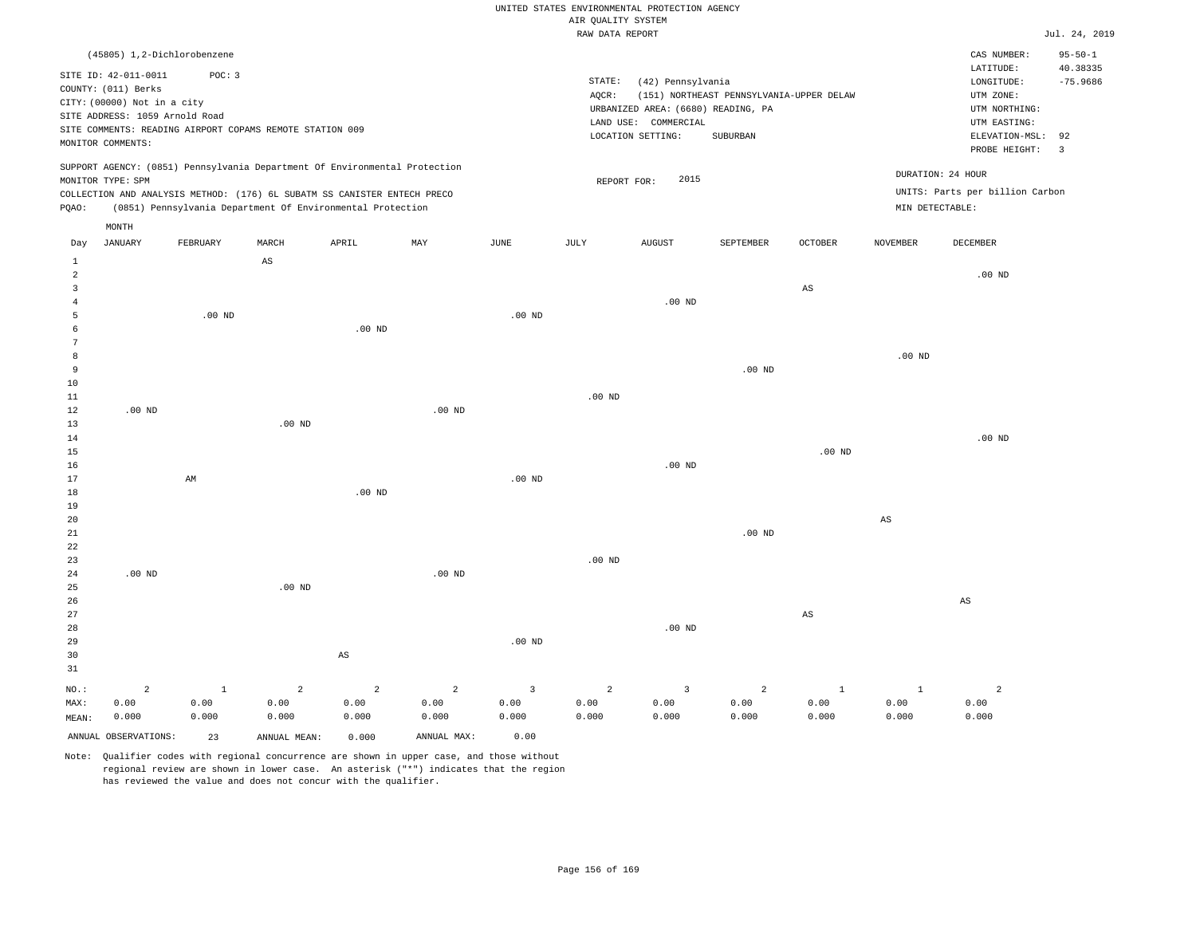## UNITED STATES ENVIRONMENTAL PROTECTION AGENCY ATE OUNT TTY SYSTEM

|                         |                                |                   |                                                                            |                        |                |                         | AIR QUALITY SYSTEM<br>RAW DATA REPORT |                                    |                                          |                   |                        |                                 | Jul. 24, 2019  |
|-------------------------|--------------------------------|-------------------|----------------------------------------------------------------------------|------------------------|----------------|-------------------------|---------------------------------------|------------------------------------|------------------------------------------|-------------------|------------------------|---------------------------------|----------------|
|                         |                                |                   |                                                                            |                        |                |                         |                                       |                                    |                                          |                   |                        |                                 | $95 - 50 - 1$  |
|                         | (45805) 1,2-Dichlorobenzene    |                   |                                                                            |                        |                |                         |                                       |                                    |                                          |                   |                        | CAS NUMBER:<br>LATITUDE:        | 40.38335       |
|                         | SITE ID: 42-011-0011           | POC: 3            |                                                                            |                        |                |                         | STATE:                                | (42) Pennsylvania                  |                                          |                   |                        | LONGITUDE:                      | $-75.9686$     |
|                         | COUNTY: (011) Berks            |                   |                                                                            |                        |                |                         | AQCR:                                 |                                    | (151) NORTHEAST PENNSYLVANIA-UPPER DELAW |                   |                        | UTM ZONE:                       |                |
|                         | CITY: (00000) Not in a city    |                   |                                                                            |                        |                |                         |                                       | URBANIZED AREA: (6680) READING, PA |                                          |                   |                        | UTM NORTHING:                   |                |
|                         | SITE ADDRESS: 1059 Arnold Road |                   |                                                                            |                        |                |                         |                                       | LAND USE: COMMERCIAL               |                                          |                   |                        | UTM EASTING:                    |                |
|                         |                                |                   | SITE COMMENTS: READING AIRPORT COPAMS REMOTE STATION 009                   |                        |                |                         |                                       | LOCATION SETTING:                  | SUBURBAN                                 |                   |                        | ELEVATION-MSL:                  | 92             |
|                         | MONITOR COMMENTS:              |                   |                                                                            |                        |                |                         |                                       |                                    |                                          |                   |                        | PROBE HEIGHT:                   | $\overline{3}$ |
|                         |                                |                   | SUPPORT AGENCY: (0851) Pennsylvania Department Of Environmental Protection |                        |                |                         |                                       |                                    |                                          |                   |                        | DURATION: 24 HOUR               |                |
|                         | MONITOR TYPE: SPM              |                   |                                                                            |                        |                |                         | REPORT FOR:                           | 2015                               |                                          |                   |                        |                                 |                |
|                         |                                |                   | COLLECTION AND ANALYSIS METHOD: (176) 6L SUBATM SS CANISTER ENTECH PRECO   |                        |                |                         |                                       |                                    |                                          |                   |                        | UNITS: Parts per billion Carbon |                |
| PQAO:                   |                                |                   | (0851) Pennsylvania Department Of Environmental Protection                 |                        |                |                         |                                       |                                    |                                          |                   | MIN DETECTABLE:        |                                 |                |
|                         | MONTH                          |                   |                                                                            |                        |                |                         |                                       |                                    |                                          |                   |                        |                                 |                |
| Day                     | JANUARY                        | FEBRUARY          | MARCH                                                                      | APRIL                  | $_{\rm MAY}$   | JUNE                    | JULY                                  | <b>AUGUST</b>                      | SEPTEMBER                                | OCTOBER           | NOVEMBER               | DECEMBER                        |                |
| 1                       |                                |                   | AS                                                                         |                        |                |                         |                                       |                                    |                                          |                   |                        |                                 |                |
| $\overline{a}$          |                                |                   |                                                                            |                        |                |                         |                                       |                                    |                                          |                   |                        | $.00$ ND                        |                |
| $\overline{\mathbf{3}}$ |                                |                   |                                                                            |                        |                |                         |                                       |                                    |                                          | $_{\rm AS}$       |                        |                                 |                |
| $\overline{4}$          |                                |                   |                                                                            |                        |                |                         |                                       | $.00$ ND                           |                                          |                   |                        |                                 |                |
| 5                       |                                | .00 <sub>ND</sub> |                                                                            |                        |                | $.00$ ND                |                                       |                                    |                                          |                   |                        |                                 |                |
| 6                       |                                |                   |                                                                            | $.00$ ND               |                |                         |                                       |                                    |                                          |                   |                        |                                 |                |
| 7                       |                                |                   |                                                                            |                        |                |                         |                                       |                                    |                                          |                   |                        |                                 |                |
| 8                       |                                |                   |                                                                            |                        |                |                         |                                       |                                    |                                          |                   | $.00$ ND               |                                 |                |
| 9                       |                                |                   |                                                                            |                        |                |                         |                                       |                                    | .00 <sub>ND</sub>                        |                   |                        |                                 |                |
| 10                      |                                |                   |                                                                            |                        |                |                         |                                       |                                    |                                          |                   |                        |                                 |                |
| 11<br>12                | $.00$ ND                       |                   |                                                                            |                        | $.00$ ND       |                         | $.00$ ND                              |                                    |                                          |                   |                        |                                 |                |
| 13                      |                                |                   | .00 <sub>ND</sub>                                                          |                        |                |                         |                                       |                                    |                                          |                   |                        |                                 |                |
| 14                      |                                |                   |                                                                            |                        |                |                         |                                       |                                    |                                          |                   |                        | $.00$ ND                        |                |
| 15                      |                                |                   |                                                                            |                        |                |                         |                                       |                                    |                                          | .00 <sub>ND</sub> |                        |                                 |                |
| 16                      |                                |                   |                                                                            |                        |                |                         |                                       | $.00$ ND                           |                                          |                   |                        |                                 |                |
| 17                      |                                | AM                |                                                                            |                        |                | $.00$ ND                |                                       |                                    |                                          |                   |                        |                                 |                |
| 18                      |                                |                   |                                                                            | $.00$ ND               |                |                         |                                       |                                    |                                          |                   |                        |                                 |                |
| 19                      |                                |                   |                                                                            |                        |                |                         |                                       |                                    |                                          |                   |                        |                                 |                |
| 20                      |                                |                   |                                                                            |                        |                |                         |                                       |                                    |                                          |                   | $\mathbb{A}\mathbb{S}$ |                                 |                |
| 21                      |                                |                   |                                                                            |                        |                |                         |                                       |                                    | $.00$ ND                                 |                   |                        |                                 |                |
| 22                      |                                |                   |                                                                            |                        |                |                         |                                       |                                    |                                          |                   |                        |                                 |                |
| 23                      |                                |                   |                                                                            |                        |                |                         | $.00$ ND                              |                                    |                                          |                   |                        |                                 |                |
| 24                      | $.00$ ND                       |                   |                                                                            |                        | $.00$ ND       |                         |                                       |                                    |                                          |                   |                        |                                 |                |
| 25                      |                                |                   | $.00$ ND                                                                   |                        |                |                         |                                       |                                    |                                          |                   |                        |                                 |                |
| 26                      |                                |                   |                                                                            |                        |                |                         |                                       |                                    |                                          |                   |                        | AS                              |                |
| 27                      |                                |                   |                                                                            |                        |                |                         |                                       |                                    |                                          | $_{\rm AS}$       |                        |                                 |                |
| 28                      |                                |                   |                                                                            |                        |                |                         |                                       | .00 <sub>ND</sub>                  |                                          |                   |                        |                                 |                |
| 29                      |                                |                   |                                                                            |                        |                | $.00$ ND                |                                       |                                    |                                          |                   |                        |                                 |                |
| 30                      |                                |                   |                                                                            | $\mathbb{A}\mathbb{S}$ |                |                         |                                       |                                    |                                          |                   |                        |                                 |                |
| 31                      |                                |                   |                                                                            |                        |                |                         |                                       |                                    |                                          |                   |                        |                                 |                |
| NO.:                    | $\overline{a}$                 | $\mathbf{1}$      | $\overline{a}$                                                             | $\overline{a}$         | $\overline{a}$ | $\overline{\mathbf{3}}$ | $\overline{a}$                        | $\overline{3}$                     | $\overline{c}$                           | $\mathbf{1}$      | $\mathbf{1}$           | $\overline{a}$                  |                |
| MAX:                    | 0.00                           | 0.00              | 0.00                                                                       | 0.00                   | 0.00           | 0.00                    | 0.00                                  | 0.00                               | 0.00                                     | 0.00              | 0.00                   | 0.00                            |                |
| MEAN:                   | 0.000                          | 0.000             | 0.000                                                                      | 0.000                  | 0.000          | 0.000                   | 0.000                                 | 0.000                              | 0.000                                    | 0.000             | 0.000                  | 0.000                           |                |
|                         | ANNUAL OBSERVATIONS:           | 23                | ANNUAL MEAN:                                                               | 0.000                  | ANNUAL MAX:    | 0.00                    |                                       |                                    |                                          |                   |                        |                                 |                |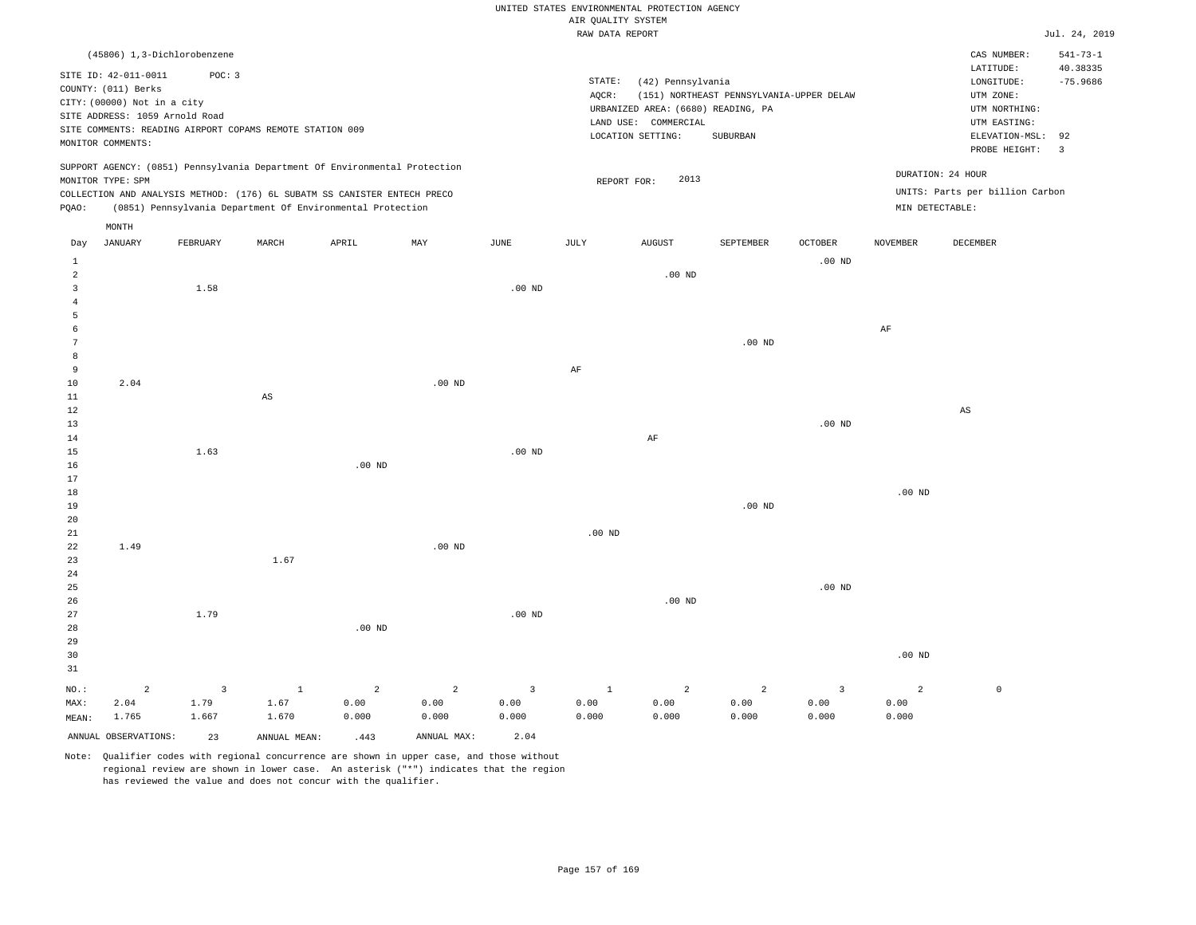|                |                                                                                                                                   |          |                                                                            |                   |                   |                | AIR QUALITY SYSTEM | UNITED STATES ENVIRONMENTAL PROTECTION AGENCY                                                        |                                                      |                   |                 |                                                                                                          |                                                |
|----------------|-----------------------------------------------------------------------------------------------------------------------------------|----------|----------------------------------------------------------------------------|-------------------|-------------------|----------------|--------------------|------------------------------------------------------------------------------------------------------|------------------------------------------------------|-------------------|-----------------|----------------------------------------------------------------------------------------------------------|------------------------------------------------|
|                |                                                                                                                                   |          |                                                                            |                   |                   |                | RAW DATA REPORT    |                                                                                                      |                                                      |                   |                 |                                                                                                          | Jul. 24, 2019                                  |
|                | (45806) 1,3-Dichlorobenzene                                                                                                       |          |                                                                            |                   |                   |                |                    |                                                                                                      |                                                      |                   |                 | CAS NUMBER:                                                                                              | $541 - 73 - 1$                                 |
|                | SITE ID: 42-011-0011<br>COUNTY: (011) Berks<br>CITY: (00000) Not in a city<br>SITE ADDRESS: 1059 Arnold Road<br>MONITOR COMMENTS: | POC: 3   | SITE COMMENTS: READING AIRPORT COPAMS REMOTE STATION 009                   |                   |                   |                | STATE:<br>AQCR:    | (42) Pennsylvania<br>URBANIZED AREA: (6680) READING, PA<br>LAND USE: COMMERCIAL<br>LOCATION SETTING: | (151) NORTHEAST PENNSYLVANIA-UPPER DELAW<br>SUBURBAN |                   |                 | LATITUDE:<br>LONGITUDE:<br>UTM ZONE:<br>UTM NORTHING:<br>UTM EASTING:<br>ELEVATION-MSL:<br>PROBE HEIGHT: | 40.38335<br>$-75.9686$<br>92<br>$\overline{3}$ |
|                |                                                                                                                                   |          | SUPPORT AGENCY: (0851) Pennsylvania Department Of Environmental Protection |                   |                   |                |                    |                                                                                                      |                                                      |                   |                 | DURATION: 24 HOUR                                                                                        |                                                |
|                | MONITOR TYPE: SPM                                                                                                                 |          |                                                                            |                   |                   |                | REPORT FOR:        | 2013                                                                                                 |                                                      |                   |                 |                                                                                                          |                                                |
|                |                                                                                                                                   |          | COLLECTION AND ANALYSIS METHOD: (176) 6L SUBATM SS CANISTER ENTECH PRECO   |                   |                   |                |                    |                                                                                                      |                                                      |                   | MIN DETECTABLE: | UNITS: Parts per billion Carbon                                                                          |                                                |
| PQAO:          |                                                                                                                                   |          | (0851) Pennsylvania Department Of Environmental Protection                 |                   |                   |                |                    |                                                                                                      |                                                      |                   |                 |                                                                                                          |                                                |
|                | MONTH                                                                                                                             |          |                                                                            |                   |                   |                |                    |                                                                                                      |                                                      |                   |                 |                                                                                                          |                                                |
| $_{\rm Day}$   | <b>JANUARY</b>                                                                                                                    | FEBRUARY | MARCH                                                                      | APRIL             | MAY               | JUNE           | JULY               | <b>AUGUST</b>                                                                                        | SEPTEMBER                                            | OCTOBER           | NOVEMBER        | DECEMBER                                                                                                 |                                                |
| $\mathbf{1}$   |                                                                                                                                   |          |                                                                            |                   |                   |                |                    |                                                                                                      |                                                      | $.00$ ND          |                 |                                                                                                          |                                                |
| $\overline{a}$ |                                                                                                                                   |          |                                                                            |                   |                   |                |                    | $.00$ ND                                                                                             |                                                      |                   |                 |                                                                                                          |                                                |
| $\overline{3}$ |                                                                                                                                   | 1.58     |                                                                            |                   |                   | $.00$ ND       |                    |                                                                                                      |                                                      |                   |                 |                                                                                                          |                                                |
| $\overline{4}$ |                                                                                                                                   |          |                                                                            |                   |                   |                |                    |                                                                                                      |                                                      |                   |                 |                                                                                                          |                                                |
| 5<br>6         |                                                                                                                                   |          |                                                                            |                   |                   |                |                    |                                                                                                      |                                                      |                   |                 |                                                                                                          |                                                |
| $\overline{7}$ |                                                                                                                                   |          |                                                                            |                   |                   |                |                    |                                                                                                      | .00 <sub>ND</sub>                                    |                   | $\rm AF$        |                                                                                                          |                                                |
| 8              |                                                                                                                                   |          |                                                                            |                   |                   |                |                    |                                                                                                      |                                                      |                   |                 |                                                                                                          |                                                |
| 9              |                                                                                                                                   |          |                                                                            |                   |                   |                | $\rm AF$           |                                                                                                      |                                                      |                   |                 |                                                                                                          |                                                |
| 10             | 2.04                                                                                                                              |          |                                                                            |                   | $.00$ ND          |                |                    |                                                                                                      |                                                      |                   |                 |                                                                                                          |                                                |
| $1\,1$         |                                                                                                                                   |          | $\mathbb{A}\mathbb{S}$                                                     |                   |                   |                |                    |                                                                                                      |                                                      |                   |                 |                                                                                                          |                                                |
| 12             |                                                                                                                                   |          |                                                                            |                   |                   |                |                    |                                                                                                      |                                                      |                   |                 | AS                                                                                                       |                                                |
| 13             |                                                                                                                                   |          |                                                                            |                   |                   |                |                    |                                                                                                      |                                                      | .00 <sub>ND</sub> |                 |                                                                                                          |                                                |
| $1\,4$         |                                                                                                                                   |          |                                                                            |                   |                   |                |                    | $\rm AF$                                                                                             |                                                      |                   |                 |                                                                                                          |                                                |
| 15             |                                                                                                                                   | 1.63     |                                                                            |                   |                   | $.00$ ND       |                    |                                                                                                      |                                                      |                   |                 |                                                                                                          |                                                |
| 16             |                                                                                                                                   |          |                                                                            | $.00$ ND          |                   |                |                    |                                                                                                      |                                                      |                   |                 |                                                                                                          |                                                |
| 17             |                                                                                                                                   |          |                                                                            |                   |                   |                |                    |                                                                                                      |                                                      |                   | $.00$ ND        |                                                                                                          |                                                |
| 18<br>19       |                                                                                                                                   |          |                                                                            |                   |                   |                |                    |                                                                                                      | $.00$ ND                                             |                   |                 |                                                                                                          |                                                |
| 20             |                                                                                                                                   |          |                                                                            |                   |                   |                |                    |                                                                                                      |                                                      |                   |                 |                                                                                                          |                                                |
| 21             |                                                                                                                                   |          |                                                                            |                   |                   |                | $.00$ ND           |                                                                                                      |                                                      |                   |                 |                                                                                                          |                                                |
| 22             | 1.49                                                                                                                              |          |                                                                            |                   | .00 <sub>ND</sub> |                |                    |                                                                                                      |                                                      |                   |                 |                                                                                                          |                                                |
| 23             |                                                                                                                                   |          | 1.67                                                                       |                   |                   |                |                    |                                                                                                      |                                                      |                   |                 |                                                                                                          |                                                |
| 24             |                                                                                                                                   |          |                                                                            |                   |                   |                |                    |                                                                                                      |                                                      |                   |                 |                                                                                                          |                                                |
| 25             |                                                                                                                                   |          |                                                                            |                   |                   |                |                    |                                                                                                      |                                                      | $.00$ ND          |                 |                                                                                                          |                                                |
| 26             |                                                                                                                                   |          |                                                                            |                   |                   |                |                    | $.00$ ND                                                                                             |                                                      |                   |                 |                                                                                                          |                                                |
| 27             |                                                                                                                                   | 1.79     |                                                                            |                   |                   | $.00$ ND       |                    |                                                                                                      |                                                      |                   |                 |                                                                                                          |                                                |
| 28             |                                                                                                                                   |          |                                                                            | .00 <sub>ND</sub> |                   |                |                    |                                                                                                      |                                                      |                   |                 |                                                                                                          |                                                |
| 29<br>30       |                                                                                                                                   |          |                                                                            |                   |                   |                |                    |                                                                                                      |                                                      |                   | $.00$ ND        |                                                                                                          |                                                |
| 31             |                                                                                                                                   |          |                                                                            |                   |                   |                |                    |                                                                                                      |                                                      |                   |                 |                                                                                                          |                                                |
|                |                                                                                                                                   |          |                                                                            |                   |                   |                |                    |                                                                                                      |                                                      |                   |                 |                                                                                                          |                                                |
| NO.:           | $\overline{a}$                                                                                                                    | 3        | $\mathbf{1}$                                                               | 2                 | $\overline{a}$    | $\overline{3}$ | $\mathbf{1}$       | 2                                                                                                    | 2                                                    | $\overline{3}$    | $\overline{a}$  | $\mathbb O$                                                                                              |                                                |
| MAX:           | 2.04                                                                                                                              | 1.79     | 1.67                                                                       | 0.00              | 0.00              | 0.00           | 0.00               | 0.00                                                                                                 | 0.00                                                 | 0.00              | 0.00            |                                                                                                          |                                                |
| MEAN:          | 1.765                                                                                                                             | 1.667    | 1.670                                                                      | 0.000             | 0.000             | 0.000          | 0.000              | 0.000                                                                                                | 0.000                                                | 0.000             | 0.000           |                                                                                                          |                                                |
|                | ANNUAL OBSERVATIONS:                                                                                                              | 23       | ANNUAL MEAN:                                                               | .443              | ANNUAL MAX:       | 2.04           |                    |                                                                                                      |                                                      |                   |                 |                                                                                                          |                                                |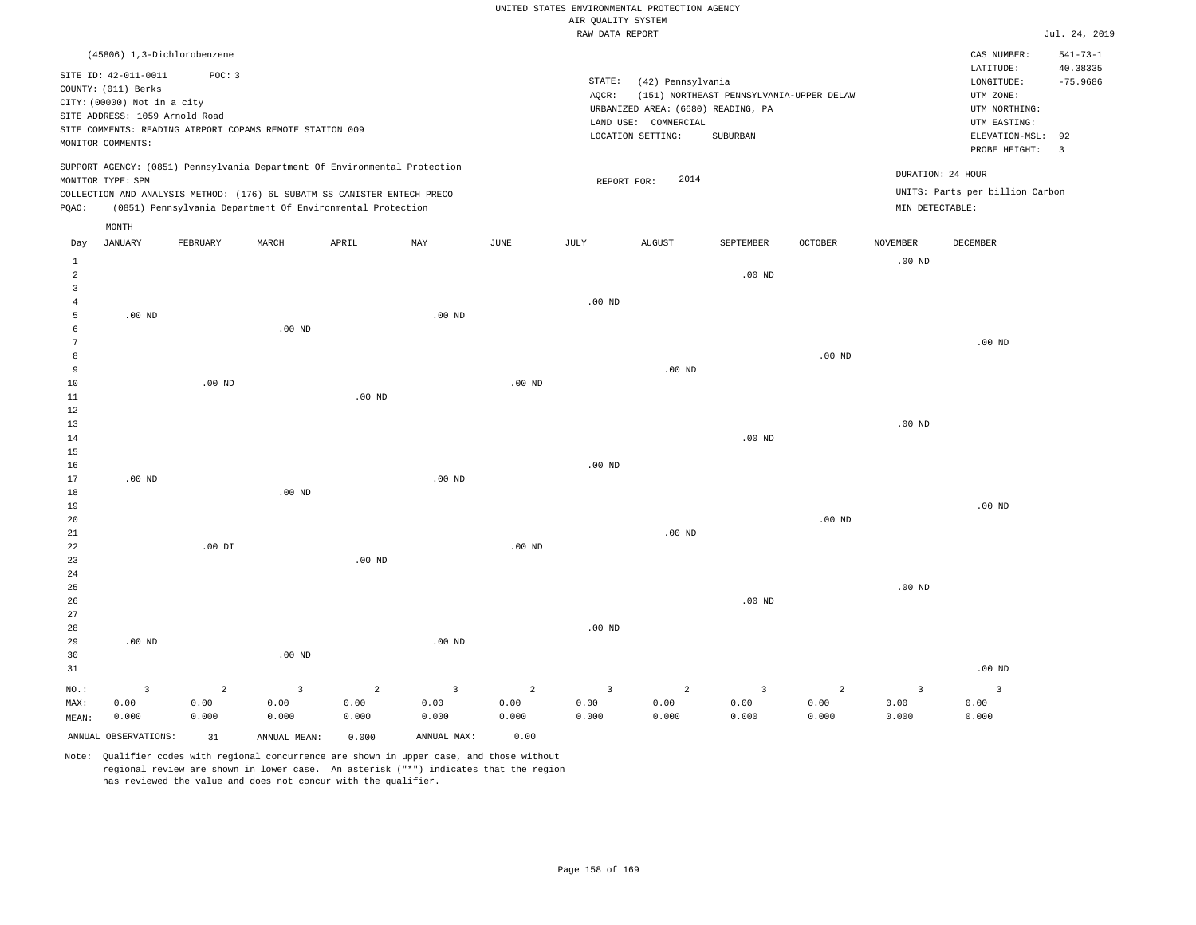|                                     |                                                                                                                                   |                                                                                                                                                                                                                      |                                          |                    |                                 |                                 |                                       | UNITED STATES ENVIRONMENTAL PROTECTION AGENCY                                                        |                                                      |                                 |                                 |                                                                                                          |                                                |
|-------------------------------------|-----------------------------------------------------------------------------------------------------------------------------------|----------------------------------------------------------------------------------------------------------------------------------------------------------------------------------------------------------------------|------------------------------------------|--------------------|---------------------------------|---------------------------------|---------------------------------------|------------------------------------------------------------------------------------------------------|------------------------------------------------------|---------------------------------|---------------------------------|----------------------------------------------------------------------------------------------------------|------------------------------------------------|
|                                     |                                                                                                                                   |                                                                                                                                                                                                                      |                                          |                    |                                 |                                 | AIR OUALITY SYSTEM<br>RAW DATA REPORT |                                                                                                      |                                                      |                                 |                                 |                                                                                                          | Jul. 24, 2019                                  |
|                                     |                                                                                                                                   | (45806) 1,3-Dichlorobenzene                                                                                                                                                                                          |                                          |                    |                                 |                                 |                                       |                                                                                                      |                                                      |                                 |                                 | CAS NUMBER:                                                                                              | $541 - 73 - 1$                                 |
|                                     | SITE ID: 42-011-0011<br>COUNTY: (011) Berks<br>CITY: (00000) Not in a city<br>SITE ADDRESS: 1059 Arnold Road<br>MONITOR COMMENTS: | POC: 3<br>SITE COMMENTS: READING AIRPORT COPAMS REMOTE STATION 009                                                                                                                                                   |                                          |                    |                                 |                                 | STATE:<br>AQCR:                       | (42) Pennsylvania<br>URBANIZED AREA: (6680) READING, PA<br>LAND USE: COMMERCIAL<br>LOCATION SETTING: | (151) NORTHEAST PENNSYLVANIA-UPPER DELAW<br>SUBURBAN |                                 |                                 | LATITUDE:<br>LONGITUDE:<br>UTM ZONE:<br>UTM NORTHING:<br>UTM EASTING:<br>ELEVATION-MSL:<br>PROBE HEIGHT: | 40.38335<br>$-75.9686$<br>92<br>$\overline{3}$ |
| PQAO:                               | MONITOR TYPE: SPM                                                                                                                 | SUPPORT AGENCY: (0851) Pennsylvania Department Of Environmental Protection<br>COLLECTION AND ANALYSIS METHOD: (176) 6L SUBATM SS CANISTER ENTECH PRECO<br>(0851) Pennsylvania Department Of Environmental Protection |                                          |                    |                                 |                                 | REPORT FOR:                           | 2014                                                                                                 |                                                      |                                 | MIN DETECTABLE:                 | DURATION: 24 HOUR<br>UNITS: Parts per billion Carbon                                                     |                                                |
|                                     | MONTH                                                                                                                             |                                                                                                                                                                                                                      |                                          |                    |                                 |                                 |                                       |                                                                                                      |                                                      |                                 |                                 |                                                                                                          |                                                |
| Day                                 | <b>JANUARY</b>                                                                                                                    | FEBRUARY                                                                                                                                                                                                             | MARCH                                    | APRIL              | MAY                             | JUNE                            | JULY                                  | <b>AUGUST</b>                                                                                        | SEPTEMBER                                            | OCTOBER                         | <b>NOVEMBER</b>                 | DECEMBER                                                                                                 |                                                |
| $\mathbf{1}$<br>$\overline{a}$<br>3 |                                                                                                                                   |                                                                                                                                                                                                                      |                                          |                    |                                 |                                 |                                       |                                                                                                      | $.00$ ND                                             |                                 | $.00$ ND                        |                                                                                                          |                                                |
| $\overline{4}$<br>5<br>6            | .00 <sub>ND</sub>                                                                                                                 |                                                                                                                                                                                                                      | .00 <sub>ND</sub>                        |                    | $.00$ ND                        |                                 | $.00$ ND                              |                                                                                                      |                                                      |                                 |                                 |                                                                                                          |                                                |
| $\overline{7}$<br>8<br>9            |                                                                                                                                   |                                                                                                                                                                                                                      |                                          |                    |                                 |                                 |                                       | $.00$ ND                                                                                             |                                                      | $.00$ ND                        |                                 | $.00$ ND                                                                                                 |                                                |
| 10<br>11                            |                                                                                                                                   | $.00$ ND                                                                                                                                                                                                             |                                          | $.00$ ND           |                                 | $.00$ ND                        |                                       |                                                                                                      |                                                      |                                 |                                 |                                                                                                          |                                                |
| 12<br>13<br>14<br>15                |                                                                                                                                   |                                                                                                                                                                                                                      |                                          |                    |                                 |                                 |                                       |                                                                                                      | $.00$ ND                                             |                                 | .00 <sub>ND</sub>               |                                                                                                          |                                                |
| 16<br>17<br>18                      | .00 <sub>ND</sub>                                                                                                                 |                                                                                                                                                                                                                      | $.00$ ND                                 |                    | $.00$ ND                        |                                 | $.00$ ND                              |                                                                                                      |                                                      |                                 |                                 |                                                                                                          |                                                |
| 19<br>20<br>$21\,$                  |                                                                                                                                   |                                                                                                                                                                                                                      |                                          |                    |                                 |                                 |                                       | $.00$ ND                                                                                             |                                                      | $.00$ ND                        |                                 | $.00$ ND                                                                                                 |                                                |
| 22<br>23<br>24                      |                                                                                                                                   | $.00$ DI                                                                                                                                                                                                             |                                          | $.00$ ND           |                                 | $.00$ ND                        |                                       |                                                                                                      |                                                      |                                 |                                 |                                                                                                          |                                                |
| 25<br>26<br>27                      |                                                                                                                                   |                                                                                                                                                                                                                      |                                          |                    |                                 |                                 |                                       |                                                                                                      | $.00$ ND                                             |                                 | $.00$ ND                        |                                                                                                          |                                                |
| 28<br>29<br>30                      | $.00$ ND                                                                                                                          |                                                                                                                                                                                                                      | $.00$ ND                                 |                    | $.00$ ND                        |                                 | $.00$ ND                              |                                                                                                      |                                                      |                                 |                                 |                                                                                                          |                                                |
| 31                                  |                                                                                                                                   |                                                                                                                                                                                                                      |                                          |                    |                                 |                                 |                                       |                                                                                                      |                                                      |                                 |                                 | .00 <sub>ND</sub>                                                                                        |                                                |
| NO.:<br>MAX:<br>MEAN:               | 3<br>0.00<br>0.000                                                                                                                | $\overline{a}$<br>0.00<br>0.000                                                                                                                                                                                      | $\overline{\mathbf{3}}$<br>0.00<br>0.000 | 2<br>0.00<br>0.000 | $\overline{3}$<br>0.00<br>0.000 | $\overline{c}$<br>0.00<br>0.000 | $\overline{3}$<br>0.00<br>0.000       | $\overline{a}$<br>0.00<br>0.000                                                                      | 3<br>0.00<br>0.000                                   | $\overline{a}$<br>0.00<br>0.000 | $\overline{3}$<br>0.00<br>0.000 | $\overline{3}$<br>0.00<br>0.000                                                                          |                                                |

ANNUAL OBSERVATIONS: 31 ANNUAL MEAN: 0.000 ANNUAL MAX: 0.00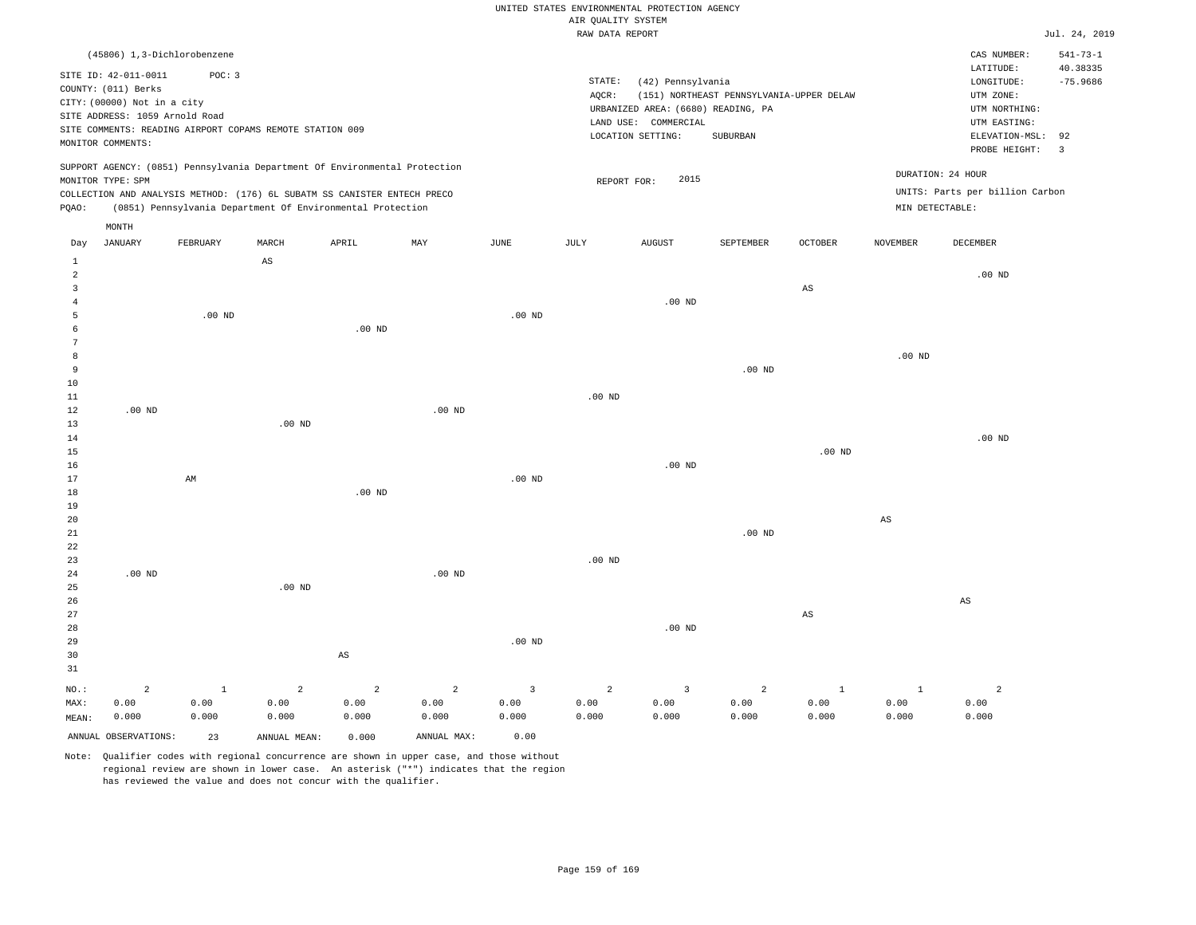|  | RAW DATA REPORT |  |
|--|-----------------|--|

|                |                                                          |              |                |                                                                            |                        |                        | RAW DATA REPORT        |                                    |                                          |                        |                      |                                 | Jul. 24, 2019  |
|----------------|----------------------------------------------------------|--------------|----------------|----------------------------------------------------------------------------|------------------------|------------------------|------------------------|------------------------------------|------------------------------------------|------------------------|----------------------|---------------------------------|----------------|
|                | (45806) 1,3-Dichlorobenzene                              |              |                |                                                                            |                        |                        |                        |                                    |                                          |                        |                      | CAS NUMBER:                     | $541 - 73 - 1$ |
|                |                                                          |              |                |                                                                            |                        |                        |                        |                                    |                                          |                        |                      | LATITUDE:                       | 40.38335       |
|                | SITE ID: 42-011-0011                                     | POC: 3       |                |                                                                            |                        |                        | STATE:                 | (42) Pennsylvania                  |                                          |                        |                      | LONGITUDE:                      | $-75.9686$     |
|                | COUNTY: (011) Berks                                      |              |                |                                                                            |                        |                        | AQCR:                  |                                    | (151) NORTHEAST PENNSYLVANIA-UPPER DELAW |                        |                      | UTM ZONE:                       |                |
|                | CITY: (00000) Not in a city                              |              |                |                                                                            |                        |                        |                        | URBANIZED AREA: (6680) READING, PA |                                          |                        |                      | UTM NORTHING:                   |                |
|                | SITE ADDRESS: 1059 Arnold Road                           |              |                |                                                                            |                        |                        |                        | LAND USE: COMMERCIAL               |                                          |                        |                      | UTM EASTING:                    |                |
|                | SITE COMMENTS: READING AIRPORT COPAMS REMOTE STATION 009 |              |                |                                                                            |                        |                        |                        | LOCATION SETTING:                  | SUBURBAN                                 |                        |                      | ELEVATION-MSL:                  | 92             |
|                | MONITOR COMMENTS:                                        |              |                |                                                                            |                        |                        |                        |                                    |                                          |                        |                      | PROBE HEIGHT:                   | $\overline{3}$ |
|                |                                                          |              |                | SUPPORT AGENCY: (0851) Pennsylvania Department Of Environmental Protection |                        |                        |                        |                                    |                                          |                        |                      | DURATION: 24 HOUR               |                |
|                | MONITOR TYPE: SPM                                        |              |                |                                                                            |                        |                        | REPORT FOR:            | 2015                               |                                          |                        |                      |                                 |                |
|                |                                                          |              |                | COLLECTION AND ANALYSIS METHOD: (176) 6L SUBATM SS CANISTER ENTECH PRECO   |                        |                        |                        |                                    |                                          |                        |                      | UNITS: Parts per billion Carbon |                |
| PQAO:          |                                                          |              |                | (0851) Pennsylvania Department Of Environmental Protection                 |                        |                        |                        |                                    |                                          |                        |                      | MIN DETECTABLE:                 |                |
|                | MONTH                                                    |              |                |                                                                            |                        |                        |                        |                                    |                                          |                        |                      |                                 |                |
| Day            | <b>JANUARY</b>                                           | FEBRUARY     | MARCH          | APRIL                                                                      | MAY                    | JUNE                   | JULY                   | <b>AUGUST</b>                      | <b>SEPTEMBER</b>                         | <b>OCTOBER</b>         | <b>NOVEMBER</b>      | DECEMBER                        |                |
| $\mathbf{1}$   |                                                          |              | AS             |                                                                            |                        |                        |                        |                                    |                                          |                        |                      |                                 |                |
| $\overline{a}$ |                                                          |              |                |                                                                            |                        |                        |                        |                                    |                                          |                        |                      | $.00$ ND                        |                |
| $\mathbf{3}$   |                                                          |              |                |                                                                            |                        |                        |                        |                                    |                                          | $\mathbb{A}\mathbb{S}$ |                      |                                 |                |
| $\overline{4}$ |                                                          |              |                |                                                                            |                        |                        |                        | $.00$ ND                           |                                          |                        |                      |                                 |                |
| 5              |                                                          | $.00$ ND     |                |                                                                            |                        | $.00$ ND               |                        |                                    |                                          |                        |                      |                                 |                |
| 6              |                                                          |              |                | $.00$ ND                                                                   |                        |                        |                        |                                    |                                          |                        |                      |                                 |                |
| 7              |                                                          |              |                |                                                                            |                        |                        |                        |                                    |                                          |                        |                      |                                 |                |
| 8              |                                                          |              |                |                                                                            |                        |                        |                        |                                    |                                          |                        | $.00$ ND             |                                 |                |
| 9<br>10        |                                                          |              |                |                                                                            |                        |                        |                        |                                    | .00 <sub>ND</sub>                        |                        |                      |                                 |                |
|                |                                                          |              |                |                                                                            |                        |                        |                        |                                    |                                          |                        |                      |                                 |                |
| 11<br>12       | $.00$ ND                                                 |              |                |                                                                            | .00 <sub>ND</sub>      |                        | .00 <sub>ND</sub>      |                                    |                                          |                        |                      |                                 |                |
| 13             |                                                          |              | $.00$ ND       |                                                                            |                        |                        |                        |                                    |                                          |                        |                      |                                 |                |
| 14             |                                                          |              |                |                                                                            |                        |                        |                        |                                    |                                          |                        |                      | $.00$ ND                        |                |
| 15             |                                                          |              |                |                                                                            |                        |                        |                        |                                    |                                          | $.00$ ND               |                      |                                 |                |
| 16             |                                                          |              |                |                                                                            |                        |                        |                        | $.00$ ND                           |                                          |                        |                      |                                 |                |
| 17             |                                                          | AM           |                |                                                                            |                        | $.00$ ND               |                        |                                    |                                          |                        |                      |                                 |                |
| 18             |                                                          |              |                | $.00$ ND                                                                   |                        |                        |                        |                                    |                                          |                        |                      |                                 |                |
| 19             |                                                          |              |                |                                                                            |                        |                        |                        |                                    |                                          |                        |                      |                                 |                |
| 20             |                                                          |              |                |                                                                            |                        |                        |                        |                                    |                                          |                        | $_{\rm AS}$          |                                 |                |
| 21             |                                                          |              |                |                                                                            |                        |                        |                        |                                    | $.00$ ND                                 |                        |                      |                                 |                |
| 22             |                                                          |              |                |                                                                            |                        |                        |                        |                                    |                                          |                        |                      |                                 |                |
| 23             |                                                          |              |                |                                                                            |                        |                        | .00 <sub>ND</sub>      |                                    |                                          |                        |                      |                                 |                |
| 24             | $.00$ ND                                                 |              |                |                                                                            | $.00$ ND               |                        |                        |                                    |                                          |                        |                      |                                 |                |
| 25             |                                                          |              | $.00$ ND       |                                                                            |                        |                        |                        |                                    |                                          |                        |                      |                                 |                |
| 26             |                                                          |              |                |                                                                            |                        |                        |                        |                                    |                                          |                        |                      | AS                              |                |
| 27             |                                                          |              |                |                                                                            |                        |                        |                        |                                    |                                          | $_{\rm AS}$            |                      |                                 |                |
| 28             |                                                          |              |                |                                                                            |                        |                        |                        | $.00$ ND                           |                                          |                        |                      |                                 |                |
| 29             |                                                          |              |                |                                                                            |                        | $.00$ ND               |                        |                                    |                                          |                        |                      |                                 |                |
| 30             |                                                          |              |                | $\mathbb{A}\mathbb{S}$                                                     |                        |                        |                        |                                    |                                          |                        |                      |                                 |                |
| 31             |                                                          |              |                |                                                                            |                        |                        |                        |                                    |                                          |                        |                      |                                 |                |
|                |                                                          | $\mathbf{1}$ | $\overline{a}$ |                                                                            |                        |                        |                        |                                    |                                          |                        |                      |                                 |                |
| NO.:<br>MAX:   | $\overline{a}$<br>0.00                                   | 0.00         | 0.00           | $\overline{2}$<br>0.00                                                     | $\overline{a}$<br>0.00 | $\overline{3}$<br>0.00 | $\overline{a}$<br>0.00 | $\overline{3}$<br>0.00             | $\overline{a}$<br>0.00                   | $\mathbf{1}$<br>0.00   | <sup>1</sup><br>0.00 | $\overline{c}$<br>0.00          |                |
|                |                                                          |              |                |                                                                            |                        |                        |                        |                                    |                                          | 0.000                  |                      | 0.000                           |                |
| MEAN:          | 0.000                                                    | 0.000        | 0.000          | 0.000                                                                      | 0.000                  | 0.000                  | 0.000                  | 0.000                              | 0.000                                    |                        | 0.000                |                                 |                |
|                | ANNUAL OBSERVATIONS:                                     | 23           | ANNUAL MEAN:   | 0.000                                                                      | ANNUAL MAX:            | 0.00                   |                        |                                    |                                          |                        |                      |                                 |                |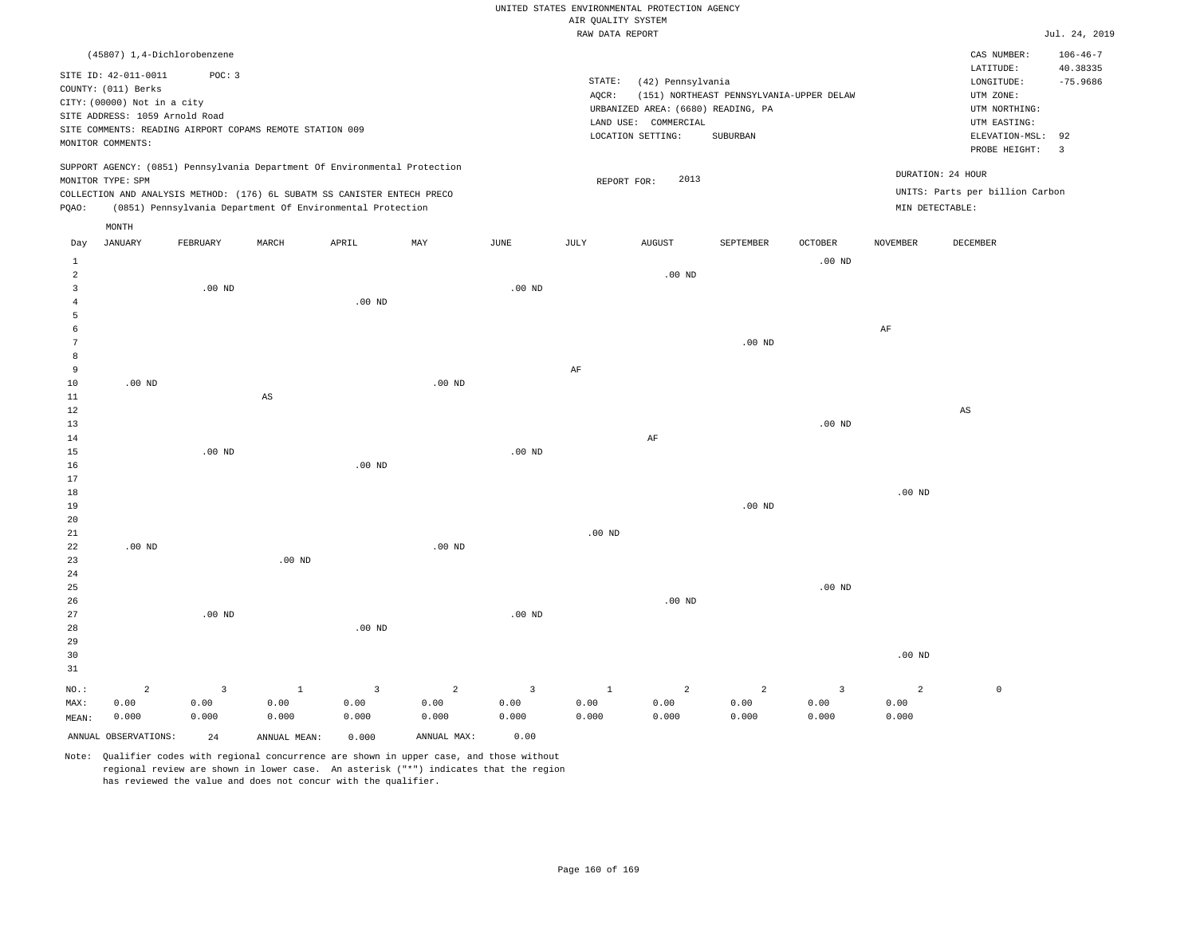|                                |                                                                                                                                   |                                                                    |                        |                                                                                                                                        |          |             |                    | RAW DATA REPORT                                                                                      |                                                      |                   |                   |                                                                                             | Jul. 24, 2019                               |
|--------------------------------|-----------------------------------------------------------------------------------------------------------------------------------|--------------------------------------------------------------------|------------------------|----------------------------------------------------------------------------------------------------------------------------------------|----------|-------------|--------------------|------------------------------------------------------------------------------------------------------|------------------------------------------------------|-------------------|-------------------|---------------------------------------------------------------------------------------------|---------------------------------------------|
|                                |                                                                                                                                   | (45807) 1,4-Dichlorobenzene                                        |                        |                                                                                                                                        |          |             |                    |                                                                                                      |                                                      |                   |                   | CAS NUMBER:<br>LATITUDE:                                                                    | $106 - 46 - 7$<br>40.38335                  |
|                                | SITE ID: 42-011-0011<br>COUNTY: (011) Berks<br>CITY: (00000) Not in a city<br>SITE ADDRESS: 1059 Arnold Road<br>MONITOR COMMENTS: | POC: 3<br>SITE COMMENTS: READING AIRPORT COPAMS REMOTE STATION 009 |                        |                                                                                                                                        |          |             | STATE:<br>$AQCR$ : | (42) Pennsylvania<br>URBANIZED AREA: (6680) READING, PA<br>LAND USE: COMMERCIAL<br>LOCATION SETTING: | (151) NORTHEAST PENNSYLVANIA-UPPER DELAW<br>SUBURBAN |                   |                   | LONGITUDE:<br>UTM ZONE:<br>UTM NORTHING:<br>UTM EASTING:<br>ELEVATION-MSL:<br>PROBE HEIGHT: | $-75.9686$<br>92<br>$\overline{\mathbf{3}}$ |
|                                | MONITOR TYPE: SPM                                                                                                                 |                                                                    |                        | SUPPORT AGENCY: (0851) Pennsylvania Department Of Environmental Protection                                                             |          |             |                    | 2013<br>REPORT FOR:                                                                                  |                                                      |                   | DURATION: 24 HOUR |                                                                                             |                                             |
| POAO:                          |                                                                                                                                   |                                                                    |                        | COLLECTION AND ANALYSIS METHOD: (176) 6L SUBATM SS CANISTER ENTECH PRECO<br>(0851) Pennsylvania Department Of Environmental Protection |          |             |                    |                                                                                                      |                                                      |                   | MIN DETECTABLE:   | UNITS: Parts per billion Carbon                                                             |                                             |
|                                | MONTH                                                                                                                             |                                                                    |                        |                                                                                                                                        |          |             |                    |                                                                                                      |                                                      |                   |                   |                                                                                             |                                             |
| Day                            | JANUARY                                                                                                                           | FEBRUARY                                                           | MARCH                  | APRIL                                                                                                                                  | MAY      | <b>JUNE</b> | JULY               | <b>AUGUST</b>                                                                                        | SEPTEMBER                                            | <b>OCTOBER</b>    | <b>NOVEMBER</b>   | <b>DECEMBER</b>                                                                             |                                             |
| $\mathbf{1}$<br>$\overline{a}$ |                                                                                                                                   |                                                                    |                        |                                                                                                                                        |          |             |                    | $.00$ ND                                                                                             |                                                      | $.00$ ND          |                   |                                                                                             |                                             |
| $\overline{3}$                 |                                                                                                                                   | $.00$ ND                                                           |                        |                                                                                                                                        |          | $.00$ ND    |                    |                                                                                                      |                                                      |                   |                   |                                                                                             |                                             |
| $\overline{4}$<br>5            |                                                                                                                                   |                                                                    |                        | $.00$ ND                                                                                                                               |          |             |                    |                                                                                                      |                                                      |                   |                   |                                                                                             |                                             |
| -6                             |                                                                                                                                   |                                                                    |                        |                                                                                                                                        |          |             |                    |                                                                                                      |                                                      |                   | AF                |                                                                                             |                                             |
| $7\phantom{.0}$<br>8           |                                                                                                                                   |                                                                    |                        |                                                                                                                                        |          |             |                    |                                                                                                      | $.00$ ND                                             |                   |                   |                                                                                             |                                             |
| 9                              |                                                                                                                                   |                                                                    |                        |                                                                                                                                        |          |             | AF                 |                                                                                                      |                                                      |                   |                   |                                                                                             |                                             |
| 10                             | $.00$ ND                                                                                                                          |                                                                    |                        |                                                                                                                                        | $.00$ ND |             |                    |                                                                                                      |                                                      |                   |                   |                                                                                             |                                             |
| 11<br>12                       |                                                                                                                                   |                                                                    | $\mathbb{A}\mathbb{S}$ |                                                                                                                                        |          |             |                    |                                                                                                      |                                                      |                   |                   | AS                                                                                          |                                             |
| 13                             |                                                                                                                                   |                                                                    |                        |                                                                                                                                        |          |             |                    |                                                                                                      |                                                      | $.00$ ND          |                   |                                                                                             |                                             |
| 14<br>15                       |                                                                                                                                   | $.00$ ND                                                           |                        |                                                                                                                                        |          | $.00$ ND    |                    | AF                                                                                                   |                                                      |                   |                   |                                                                                             |                                             |
| 16                             |                                                                                                                                   |                                                                    |                        | $.00$ ND                                                                                                                               |          |             |                    |                                                                                                      |                                                      |                   |                   |                                                                                             |                                             |
| 17<br>18                       |                                                                                                                                   |                                                                    |                        |                                                                                                                                        |          |             |                    |                                                                                                      |                                                      |                   | .00 <sub>ND</sub> |                                                                                             |                                             |
| 19                             |                                                                                                                                   |                                                                    |                        |                                                                                                                                        |          |             |                    |                                                                                                      | $.00$ ND                                             |                   |                   |                                                                                             |                                             |
| 20                             |                                                                                                                                   |                                                                    |                        |                                                                                                                                        |          |             |                    |                                                                                                      |                                                      |                   |                   |                                                                                             |                                             |
| 21<br>22                       | $.00$ ND                                                                                                                          |                                                                    |                        |                                                                                                                                        | $.00$ ND |             | .00 <sub>ND</sub>  |                                                                                                      |                                                      |                   |                   |                                                                                             |                                             |
| 23                             |                                                                                                                                   |                                                                    | $.00$ ND               |                                                                                                                                        |          |             |                    |                                                                                                      |                                                      |                   |                   |                                                                                             |                                             |
| 24<br>25                       |                                                                                                                                   |                                                                    |                        |                                                                                                                                        |          |             |                    |                                                                                                      |                                                      | .00 <sub>ND</sub> |                   |                                                                                             |                                             |
| 26                             |                                                                                                                                   |                                                                    |                        |                                                                                                                                        |          |             |                    | $.00$ ND                                                                                             |                                                      |                   |                   |                                                                                             |                                             |
| 27                             |                                                                                                                                   | $.00$ ND                                                           |                        |                                                                                                                                        |          | $.00$ ND    |                    |                                                                                                      |                                                      |                   |                   |                                                                                             |                                             |
| 28<br>29                       |                                                                                                                                   |                                                                    |                        | $.00$ ND                                                                                                                               |          |             |                    |                                                                                                      |                                                      |                   |                   |                                                                                             |                                             |
| 30                             |                                                                                                                                   |                                                                    |                        |                                                                                                                                        |          |             |                    |                                                                                                      |                                                      |                   | $.00$ ND          |                                                                                             |                                             |
| 31                             |                                                                                                                                   |                                                                    |                        |                                                                                                                                        |          |             |                    |                                                                                                      |                                                      |                   |                   |                                                                                             |                                             |

NO.: MAX: MEAN: 2 0.00 0.000 3 0.00 0.000 1 0.00 0.000 3 0.00 0.000 2 0.00 0.000 3 0.00 0.000 1 0.00 0.000 2 0.00 0.000 2 0.00 0.000 3 0.00 0.000 2 0.00 0.000  $\mathbf 0$ ANNUAL OBSERVATIONS: 24 ANNUAL MEAN: 0.000 ANNUAL MAX: 0.00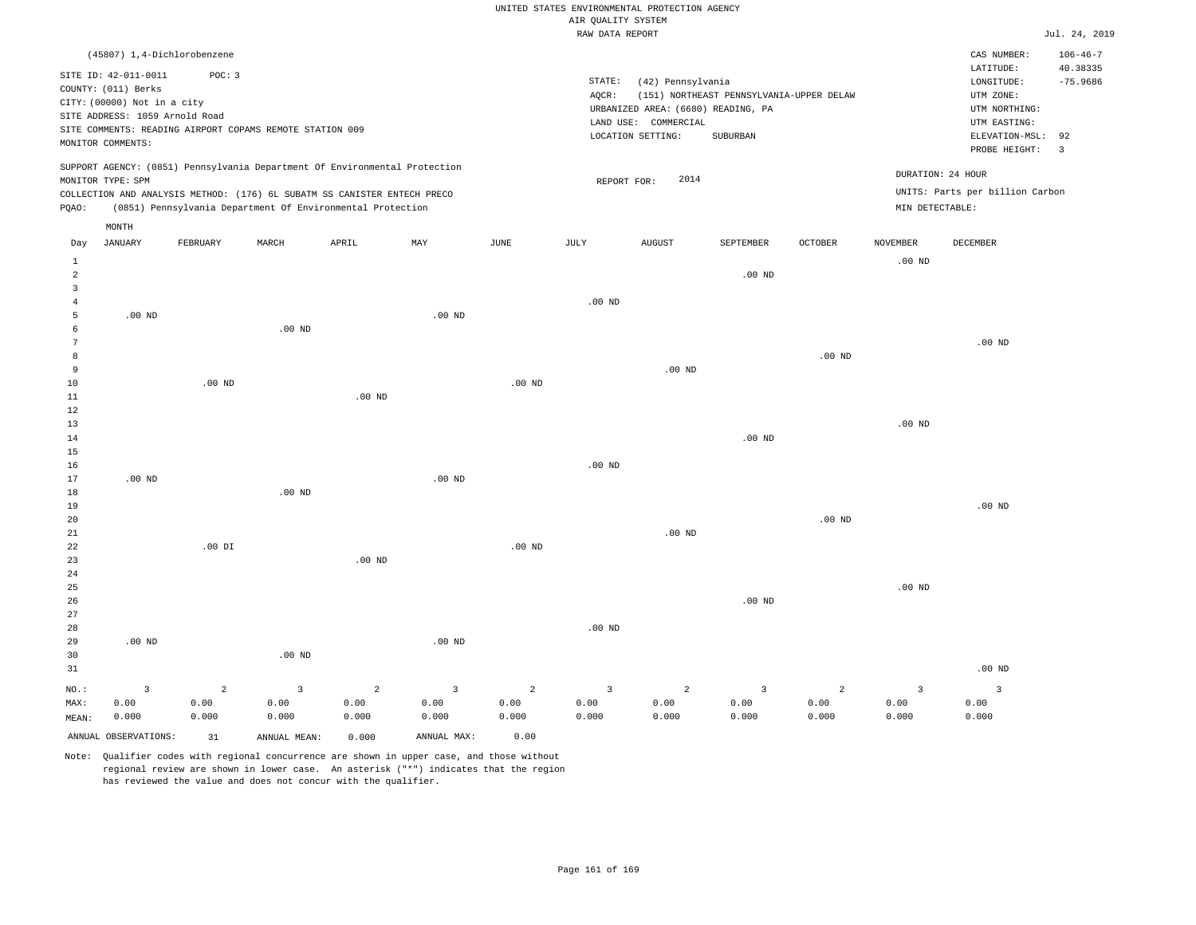| AIR OUALITY SYSTEM |  |
|--------------------|--|

|                 |                                                                            |                |                                                            |                |                |                   | RAW DATA REPORT   |                                    |                                          |                |                 |                                 | Jul. 24, 2019  |
|-----------------|----------------------------------------------------------------------------|----------------|------------------------------------------------------------|----------------|----------------|-------------------|-------------------|------------------------------------|------------------------------------------|----------------|-----------------|---------------------------------|----------------|
|                 | (45807) 1,4-Dichlorobenzene                                                |                |                                                            |                |                |                   |                   |                                    |                                          |                |                 | CAS NUMBER:                     | $106 - 46 - 7$ |
|                 | SITE ID: 42-011-0011                                                       | POC: 3         |                                                            |                |                |                   |                   |                                    |                                          |                |                 | LATITUDE:                       | 40.38335       |
|                 | COUNTY: (011) Berks                                                        |                |                                                            |                |                |                   | STATE:            | (42) Pennsylvania                  |                                          |                |                 | LONGITUDE:                      | $-75.9686$     |
|                 | CITY: (00000) Not in a city                                                |                |                                                            |                |                |                   | AQCR:             |                                    | (151) NORTHEAST PENNSYLVANIA-UPPER DELAW |                |                 | UTM ZONE:                       |                |
|                 | SITE ADDRESS: 1059 Arnold Road                                             |                |                                                            |                |                |                   |                   | URBANIZED AREA: (6680) READING, PA |                                          |                |                 | UTM NORTHING:                   |                |
|                 | SITE COMMENTS: READING AIRPORT COPAMS REMOTE STATION 009                   |                |                                                            |                |                |                   |                   | LAND USE: COMMERCIAL               |                                          |                |                 | UTM EASTING:                    |                |
|                 | MONITOR COMMENTS:                                                          |                |                                                            |                |                |                   |                   | LOCATION SETTING:                  | SUBURBAN                                 |                |                 | ELEVATION-MSL:                  | 92             |
|                 |                                                                            |                |                                                            |                |                |                   |                   |                                    |                                          |                |                 | PROBE HEIGHT:                   | $\overline{3}$ |
|                 | SUPPORT AGENCY: (0851) Pennsylvania Department Of Environmental Protection |                |                                                            |                |                |                   |                   |                                    |                                          |                |                 | DURATION: 24 HOUR               |                |
|                 | MONITOR TYPE: SPM                                                          |                |                                                            |                |                |                   | REPORT FOR:       | 2014                               |                                          |                |                 | UNITS: Parts per billion Carbon |                |
| PQAO:           | COLLECTION AND ANALYSIS METHOD: (176) 6L SUBATM SS CANISTER ENTECH PRECO   |                | (0851) Pennsylvania Department Of Environmental Protection |                |                |                   |                   |                                    |                                          |                | MIN DETECTABLE: |                                 |                |
|                 |                                                                            |                |                                                            |                |                |                   |                   |                                    |                                          |                |                 |                                 |                |
|                 | MONTH                                                                      |                |                                                            |                |                |                   |                   |                                    |                                          |                |                 |                                 |                |
| Day             | <b>JANUARY</b>                                                             | FEBRUARY       | MARCH                                                      | APRIL          | MAY            | JUNE              | JULY              | <b>AUGUST</b>                      | SEPTEMBER                                | <b>OCTOBER</b> | <b>NOVEMBER</b> | DECEMBER                        |                |
| $\mathbf{1}$    |                                                                            |                |                                                            |                |                |                   |                   |                                    |                                          |                | $.00$ ND        |                                 |                |
| 2               |                                                                            |                |                                                            |                |                |                   |                   |                                    | $.00$ ND                                 |                |                 |                                 |                |
| $\overline{3}$  |                                                                            |                |                                                            |                |                |                   |                   |                                    |                                          |                |                 |                                 |                |
| $\overline{4}$  |                                                                            |                |                                                            |                |                |                   | .00 <sub>ND</sub> |                                    |                                          |                |                 |                                 |                |
| 5<br>6          | $.00$ ND                                                                   |                | $.00$ ND                                                   |                | $.00$ ND       |                   |                   |                                    |                                          |                |                 |                                 |                |
| $7\phantom{.0}$ |                                                                            |                |                                                            |                |                |                   |                   |                                    |                                          |                |                 | .00 <sub>ND</sub>               |                |
| 8               |                                                                            |                |                                                            |                |                |                   |                   |                                    |                                          | $.00$ ND       |                 |                                 |                |
| 9               |                                                                            |                |                                                            |                |                |                   |                   | $.00$ ND                           |                                          |                |                 |                                 |                |
| 10              |                                                                            | $.00$ ND       |                                                            |                |                | $.00$ ND          |                   |                                    |                                          |                |                 |                                 |                |
| 11              |                                                                            |                |                                                            | $.00$ ND       |                |                   |                   |                                    |                                          |                |                 |                                 |                |
| 12              |                                                                            |                |                                                            |                |                |                   |                   |                                    |                                          |                |                 |                                 |                |
| 13              |                                                                            |                |                                                            |                |                |                   |                   |                                    |                                          |                | $.00$ ND        |                                 |                |
| 14              |                                                                            |                |                                                            |                |                |                   |                   |                                    | $.00$ ND                                 |                |                 |                                 |                |
| 15              |                                                                            |                |                                                            |                |                |                   |                   |                                    |                                          |                |                 |                                 |                |
| 16              |                                                                            |                |                                                            |                | $.00$ ND       |                   | $.00$ ND          |                                    |                                          |                |                 |                                 |                |
| 17<br>18        | $.00$ ND                                                                   |                | $.00$ ND                                                   |                |                |                   |                   |                                    |                                          |                |                 |                                 |                |
| 19              |                                                                            |                |                                                            |                |                |                   |                   |                                    |                                          |                |                 | $.00$ ND                        |                |
| 20              |                                                                            |                |                                                            |                |                |                   |                   |                                    |                                          | $.00$ ND       |                 |                                 |                |
| 21              |                                                                            |                |                                                            |                |                |                   |                   | $.00$ ND                           |                                          |                |                 |                                 |                |
| 22              |                                                                            | $.00$ DI       |                                                            |                |                | .00 <sub>ND</sub> |                   |                                    |                                          |                |                 |                                 |                |
| 23              |                                                                            |                |                                                            | $.00$ ND       |                |                   |                   |                                    |                                          |                |                 |                                 |                |
| 24              |                                                                            |                |                                                            |                |                |                   |                   |                                    |                                          |                |                 |                                 |                |
| 25              |                                                                            |                |                                                            |                |                |                   |                   |                                    |                                          |                | $.00$ ND        |                                 |                |
| 26              |                                                                            |                |                                                            |                |                |                   |                   |                                    | $.00$ ND                                 |                |                 |                                 |                |
| 27              |                                                                            |                |                                                            |                |                |                   |                   |                                    |                                          |                |                 |                                 |                |
| 28<br>29        | $.00$ ND                                                                   |                |                                                            |                | $.00$ ND       |                   | $.00$ ND          |                                    |                                          |                |                 |                                 |                |
| 30              |                                                                            |                | $.00$ ND                                                   |                |                |                   |                   |                                    |                                          |                |                 |                                 |                |
| 31              |                                                                            |                |                                                            |                |                |                   |                   |                                    |                                          |                |                 | .00 <sub>ND</sub>               |                |
|                 |                                                                            |                |                                                            |                |                |                   |                   |                                    |                                          |                |                 |                                 |                |
| NO.:            | $\overline{\mathbf{3}}$                                                    | $\overline{a}$ | 3                                                          | $\overline{a}$ | $\overline{3}$ | $\overline{a}$    | $\overline{3}$    | $\overline{a}$                     | $\overline{\mathbf{3}}$                  | $\overline{a}$ | 3               | $\overline{3}$                  |                |
| MAX:            | 0.00<br>0.000                                                              | 0.00<br>0.000  | 0.00<br>0.000                                              | 0.00<br>0.000  | 0.00<br>0.000  | 0.00<br>0.000     | 0.00<br>0.000     | 0.00<br>0.000                      | 0.00<br>0.000                            | 0.00<br>0.000  | 0.00<br>0.000   | 0.00<br>0.000                   |                |
| MEAN:           |                                                                            |                |                                                            |                |                |                   |                   |                                    |                                          |                |                 |                                 |                |
|                 | ANNUAL OBSERVATIONS:                                                       | 31             | ANNUAL MEAN:                                               | 0.000          | ANNUAL MAX:    | 0.00              |                   |                                    |                                          |                |                 |                                 |                |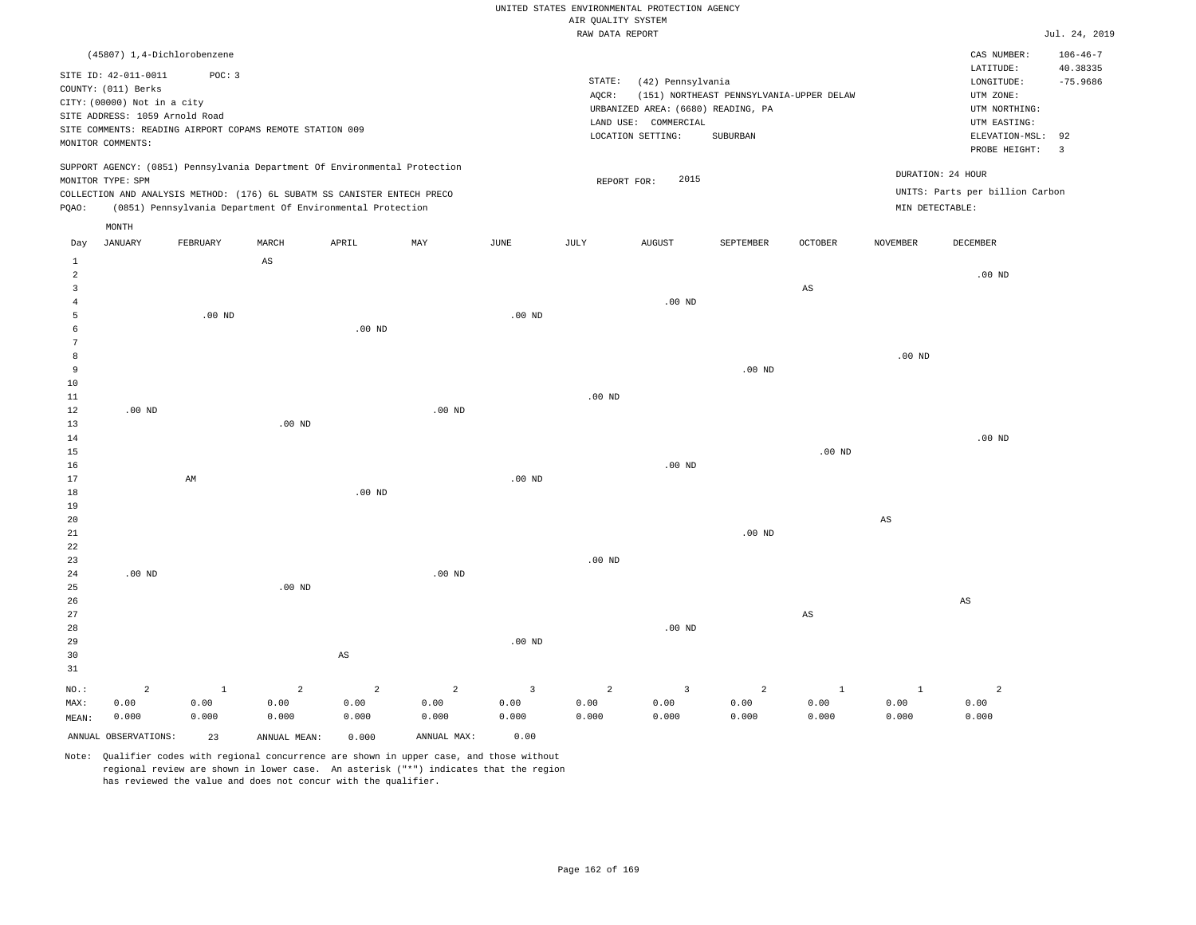#### RAW DATA REPORT JUL. 24, 2019 UNITED STATES ENVIRONMENTAL PROTECTION AGENCY AIR QUALITY SYSTEM

|          |                                                                                                                                   | (45807) 1,4-Dichlorobenzene                                                                                                            |             |       |                                                                            |      |                              |                                                                                            |                                                      |                |          | CAS NUMBER:                                                                                                   | $106 - 46 - 7$         |
|----------|-----------------------------------------------------------------------------------------------------------------------------------|----------------------------------------------------------------------------------------------------------------------------------------|-------------|-------|----------------------------------------------------------------------------|------|------------------------------|--------------------------------------------------------------------------------------------|------------------------------------------------------|----------------|----------|---------------------------------------------------------------------------------------------------------------|------------------------|
|          | SITE ID: 42-011-0011<br>COUNTY: (011) Berks<br>CITY: (00000) Not in a city<br>SITE ADDRESS: 1059 Arnold Road<br>MONITOR COMMENTS: | POC: 3<br>SITE COMMENTS: READING AIRPORT COPAMS REMOTE STATION 009                                                                     |             |       |                                                                            |      | STATE:<br>AQCR:<br>LAND USE: | (42) Pennsylvania<br>URBANIZED AREA: (6680) READING, PA<br>COMMERCIAL<br>LOCATION SETTING: | (151) NORTHEAST PENNSYLVANIA-UPPER DELAW<br>SUBURBAN |                |          | LATITUDE:<br>LONGITUDE:<br>UTM ZONE:<br>UTM NORTHING:<br>UTM EASTING:<br>ELEVATION-MSL: 92<br>PROBE HEIGHT: 3 | 40.38335<br>$-75.9686$ |
| POAO:    | MONITOR TYPE: SPM                                                                                                                 | COLLECTION AND ANALYSIS METHOD: (176) 6L SUBATM SS CANISTER ENTECH PRECO<br>(0851) Pennsylvania Department Of Environmental Protection |             |       | SUPPORT AGENCY: (0851) Pennsylvania Department Of Environmental Protection |      |                              | 2015<br>REPORT FOR:                                                                        |                                                      |                |          | DURATION: 24 HOUR<br>UNITS: Parts per billion Carbon<br>MIN DETECTABLE:                                       |                        |
| Day<br>2 | MONTH<br>JANUARY                                                                                                                  | FEBRUARY                                                                                                                               | MARCH<br>AS | APRIL | MAY                                                                        | JUNE | JULY                         | <b>AUGUST</b>                                                                              | SEPTEMBER                                            | <b>OCTOBER</b> | NOVEMBER | DECEMBER<br>$.00$ ND                                                                                          |                        |

.00 ND

.00 ND

.00 ND

AS

.00 ND

.00 ND

.00 ND

AS

2 0.00 0.000

| 16             |                         |              |                |                |                |          |                | .00 $ND$       |                |              |                        |
|----------------|-------------------------|--------------|----------------|----------------|----------------|----------|----------------|----------------|----------------|--------------|------------------------|
| 17             |                         | AM           |                |                |                | .00 $ND$ |                |                |                |              |                        |
| 18             |                         |              |                | $.00$ ND       |                |          |                |                |                |              |                        |
| 19             |                         |              |                |                |                |          |                |                |                |              |                        |
| 20             |                         |              |                |                |                |          |                |                |                |              | $\mathbb{A}\mathbb{S}$ |
| $21\,$         |                         |              |                |                |                |          |                |                | $.00$ ND       |              |                        |
| $2\sqrt{2}$    |                         |              |                |                |                |          |                |                |                |              |                        |
| 23             |                         |              |                |                |                |          | .00 $ND$       |                |                |              |                        |
| $2\sqrt{4}$    | $.00$ ND                |              |                |                | .00 $ND$       |          |                |                |                |              |                        |
| 25             |                         |              | $.00$ ND       |                |                |          |                |                |                |              |                        |
| 26             |                         |              |                |                |                |          |                |                |                |              |                        |
| 27             |                         |              |                |                |                |          |                |                |                | AS           |                        |
| 28             |                         |              |                |                |                |          |                | .00 $ND$       |                |              |                        |
| 29             |                         |              |                |                |                | .00 $ND$ |                |                |                |              |                        |
| 30             |                         |              |                | AS             |                |          |                |                |                |              |                        |
| 31             |                         |              |                |                |                |          |                |                |                |              |                        |
| $_{\rm NO.}$ : | $\overline{\mathbf{c}}$ | $\mathbf{1}$ | $\overline{a}$ | $\overline{a}$ | $\overline{a}$ | 3        | $\overline{a}$ | $\overline{3}$ | $\overline{a}$ | $\mathbf{1}$ | $\mathbf{1}$           |
| MAX:           | 0.00                    | 0.00         | 0.00           | 0.00           | 0.00           | 0.00     | 0.00           | 0.00           | 0.00           | 0.00         | 0.00                   |
| MEAN:          | 0.000                   | 0.000        | 0.000          | 0.000          | 0.000          | 0.000    | 0.000          | 0.000          | 0.000          | 0.000        | 0.000                  |

.00 ND

Note: Qualifier codes with regional concurrence are shown in upper case, and those without regional review are shown in lower case. An asterisk ("\*") indicates that the region has reviewed the value and does not concur with the qualifier.

ANNUAL OBSERVATIONS: 23 ANNUAL MEAN: 0.000 ANNUAL MAX: 0.00

.00 ND

.00 ND

.00 ND

.00 ND

.00 ND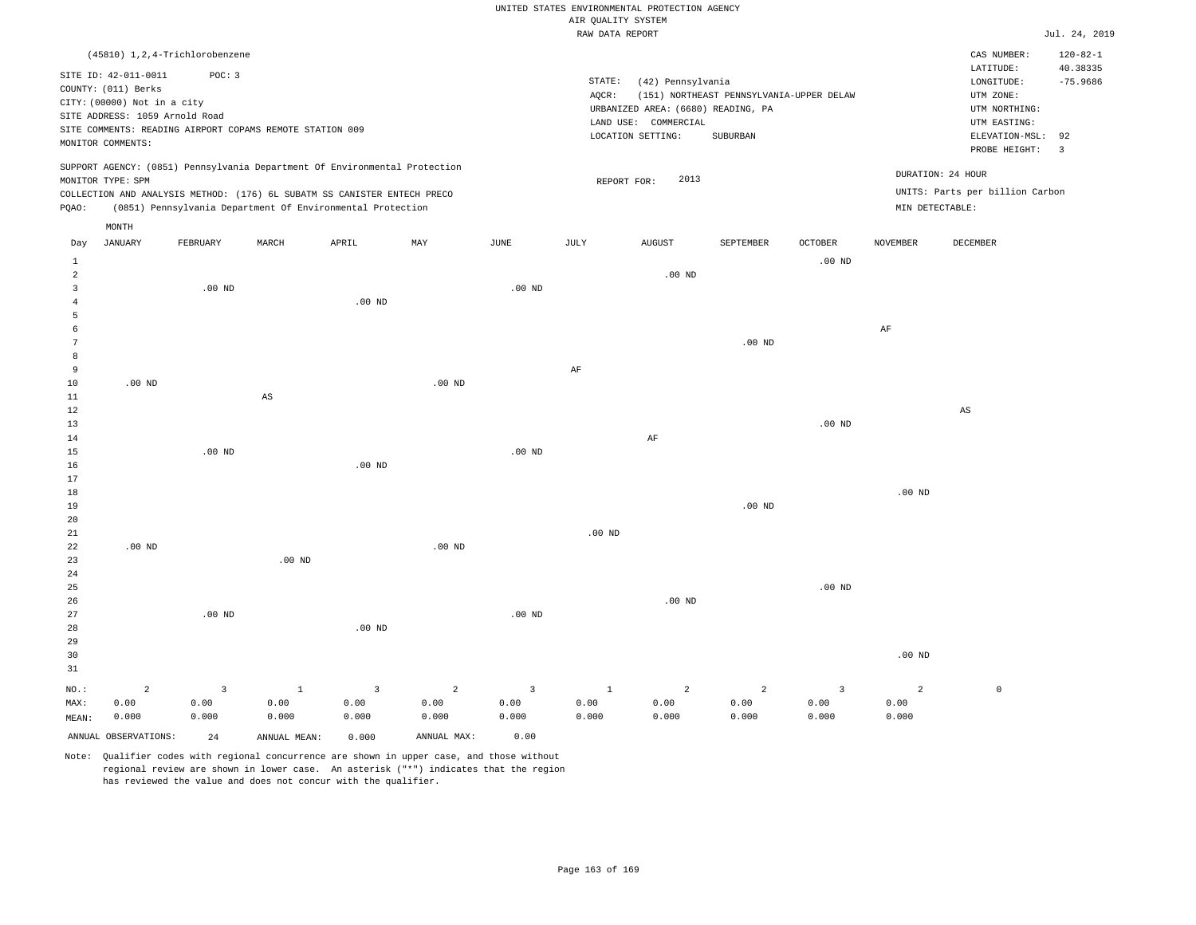|                |                                  |                |                                                                            |                         |                |                         | RAW DATA REPORT |                                    |                                          |                   |                   |                                 | Jul. 24, 2019  |
|----------------|----------------------------------|----------------|----------------------------------------------------------------------------|-------------------------|----------------|-------------------------|-----------------|------------------------------------|------------------------------------------|-------------------|-------------------|---------------------------------|----------------|
|                | (45810) 1, 2, 4-Trichlorobenzene |                |                                                                            |                         |                |                         |                 |                                    |                                          |                   |                   | CAS NUMBER:                     | $120 - 82 - 1$ |
|                |                                  |                |                                                                            |                         |                |                         |                 |                                    |                                          |                   |                   | LATITUDE:                       | 40.38335       |
|                | SITE ID: 42-011-0011             | POC: 3         |                                                                            |                         |                |                         | STATE:          | (42) Pennsylvania                  |                                          |                   |                   | LONGITUDE:                      | $-75.9686$     |
|                | COUNTY: (011) Berks              |                |                                                                            |                         |                |                         | AQCR:           |                                    | (151) NORTHEAST PENNSYLVANIA-UPPER DELAW |                   |                   | UTM ZONE:                       |                |
|                | CITY: (00000) Not in a city      |                |                                                                            |                         |                |                         |                 | URBANIZED AREA: (6680) READING, PA |                                          |                   |                   | UTM NORTHING:                   |                |
|                | SITE ADDRESS: 1059 Arnold Road   |                |                                                                            |                         |                |                         | LAND USE:       | COMMERCIAL                         |                                          |                   |                   | UTM EASTING:                    |                |
|                |                                  |                | SITE COMMENTS: READING AIRPORT COPAMS REMOTE STATION 009                   |                         |                |                         |                 | LOCATION SETTING:                  | SUBURBAN                                 |                   |                   | ELEVATION-MSL: 92               |                |
|                | MONITOR COMMENTS:                |                |                                                                            |                         |                |                         |                 |                                    |                                          |                   |                   | PROBE HEIGHT:                   | $\overline{3}$ |
|                |                                  |                | SUPPORT AGENCY: (0851) Pennsylvania Department Of Environmental Protection |                         |                |                         |                 |                                    |                                          |                   |                   |                                 |                |
|                | MONITOR TYPE: SPM                |                |                                                                            |                         |                |                         | REPORT FOR:     | 2013                               |                                          |                   |                   | DURATION: 24 HOUR               |                |
|                |                                  |                | COLLECTION AND ANALYSIS METHOD: (176) 6L SUBATM SS CANISTER ENTECH PRECO   |                         |                |                         |                 |                                    |                                          |                   |                   | UNITS: Parts per billion Carbon |                |
| PQAO:          |                                  |                | (0851) Pennsylvania Department Of Environmental Protection                 |                         |                |                         |                 |                                    |                                          |                   | MIN DETECTABLE:   |                                 |                |
|                | MONTH                            |                |                                                                            |                         |                |                         |                 |                                    |                                          |                   |                   |                                 |                |
| Day            | JANUARY                          | FEBRUARY       | MARCH                                                                      | APRIL                   | MAY            | JUNE                    | JULY            | AUGUST                             | SEPTEMBER                                | OCTOBER           | <b>NOVEMBER</b>   | DECEMBER                        |                |
| $\mathbf{1}$   |                                  |                |                                                                            |                         |                |                         |                 |                                    |                                          | .00 <sub>ND</sub> |                   |                                 |                |
| $\overline{a}$ |                                  |                |                                                                            |                         |                |                         |                 | $.00$ ND                           |                                          |                   |                   |                                 |                |
| 3              |                                  | $.00$ ND       |                                                                            |                         |                | $.00$ ND                |                 |                                    |                                          |                   |                   |                                 |                |
| $\overline{4}$ |                                  |                |                                                                            | $.00$ ND                |                |                         |                 |                                    |                                          |                   |                   |                                 |                |
| 5              |                                  |                |                                                                            |                         |                |                         |                 |                                    |                                          |                   |                   |                                 |                |
| 6              |                                  |                |                                                                            |                         |                |                         |                 |                                    |                                          |                   | $\rm AF$          |                                 |                |
| 7              |                                  |                |                                                                            |                         |                |                         |                 |                                    | $.00$ ND                                 |                   |                   |                                 |                |
| 8              |                                  |                |                                                                            |                         |                |                         |                 |                                    |                                          |                   |                   |                                 |                |
| $\overline{9}$ |                                  |                |                                                                            |                         |                |                         | $\rm{AF}$       |                                    |                                          |                   |                   |                                 |                |
| 10             | .00 <sub>ND</sub>                |                |                                                                            |                         | $.00$ ND       |                         |                 |                                    |                                          |                   |                   |                                 |                |
| $11\,$         |                                  |                | $\mathbb{A}\mathbb{S}$                                                     |                         |                |                         |                 |                                    |                                          |                   |                   |                                 |                |
| 12             |                                  |                |                                                                            |                         |                |                         |                 |                                    |                                          |                   |                   | $\mathbb{A}\mathbb{S}$          |                |
| 13             |                                  |                |                                                                            |                         |                |                         |                 |                                    |                                          | $.00$ ND          |                   |                                 |                |
| 14             |                                  |                |                                                                            |                         |                |                         |                 | $\rm{AF}$                          |                                          |                   |                   |                                 |                |
| 15             |                                  | $.00$ ND       |                                                                            |                         |                | $.00$ ND                |                 |                                    |                                          |                   |                   |                                 |                |
| 16             |                                  |                |                                                                            | $.00$ ND                |                |                         |                 |                                    |                                          |                   |                   |                                 |                |
| 17<br>18       |                                  |                |                                                                            |                         |                |                         |                 |                                    |                                          |                   | .00 <sub>ND</sub> |                                 |                |
| 19             |                                  |                |                                                                            |                         |                |                         |                 |                                    | $.00$ ND                                 |                   |                   |                                 |                |
| 20             |                                  |                |                                                                            |                         |                |                         |                 |                                    |                                          |                   |                   |                                 |                |
| $21\,$         |                                  |                |                                                                            |                         |                |                         | $.00$ ND        |                                    |                                          |                   |                   |                                 |                |
| 22             | $.00$ ND                         |                |                                                                            |                         | $.00$ ND       |                         |                 |                                    |                                          |                   |                   |                                 |                |
| 23             |                                  |                | $.00$ ND                                                                   |                         |                |                         |                 |                                    |                                          |                   |                   |                                 |                |
| 24             |                                  |                |                                                                            |                         |                |                         |                 |                                    |                                          |                   |                   |                                 |                |
| 25             |                                  |                |                                                                            |                         |                |                         |                 |                                    |                                          | .00 <sub>ND</sub> |                   |                                 |                |
| 26             |                                  |                |                                                                            |                         |                |                         |                 | $.00$ ND                           |                                          |                   |                   |                                 |                |
| 27             |                                  | $.00$ ND       |                                                                            |                         |                | $.00$ ND                |                 |                                    |                                          |                   |                   |                                 |                |
| 28             |                                  |                |                                                                            | $.00$ ND                |                |                         |                 |                                    |                                          |                   |                   |                                 |                |
| 29             |                                  |                |                                                                            |                         |                |                         |                 |                                    |                                          |                   |                   |                                 |                |
| 30             |                                  |                |                                                                            |                         |                |                         |                 |                                    |                                          |                   | $.00$ ND          |                                 |                |
| 31             |                                  |                |                                                                            |                         |                |                         |                 |                                    |                                          |                   |                   |                                 |                |
| $NO.$ :        | $\overline{a}$                   | $\overline{3}$ | $\mathbf{1}$                                                               | $\overline{\mathbf{3}}$ | $\overline{a}$ | $\overline{\mathbf{3}}$ | $\mathbf{1}$    | $\overline{a}$                     | $\overline{a}$                           | $\overline{3}$    | $\overline{a}$    | $\circ$                         |                |
| MAX:           | 0.00                             | 0.00           | 0.00                                                                       | 0.00                    | 0.00           | 0.00                    | 0.00            | 0.00                               | 0.00                                     | 0.00              | 0.00              |                                 |                |
| MEAN:          | 0.000                            | 0.000          | 0.000                                                                      | 0.000                   | 0.000          | 0.000                   | 0.000           | 0.000                              | 0.000                                    | 0.000             | 0.000             |                                 |                |
|                | ANNUAL OBSERVATIONS:             | 24             | ANNUAL MEAN:                                                               | 0.000                   | ANNUAL MAX:    | 0.00                    |                 |                                    |                                          |                   |                   |                                 |                |
|                |                                  |                |                                                                            |                         |                |                         |                 |                                    |                                          |                   |                   |                                 |                |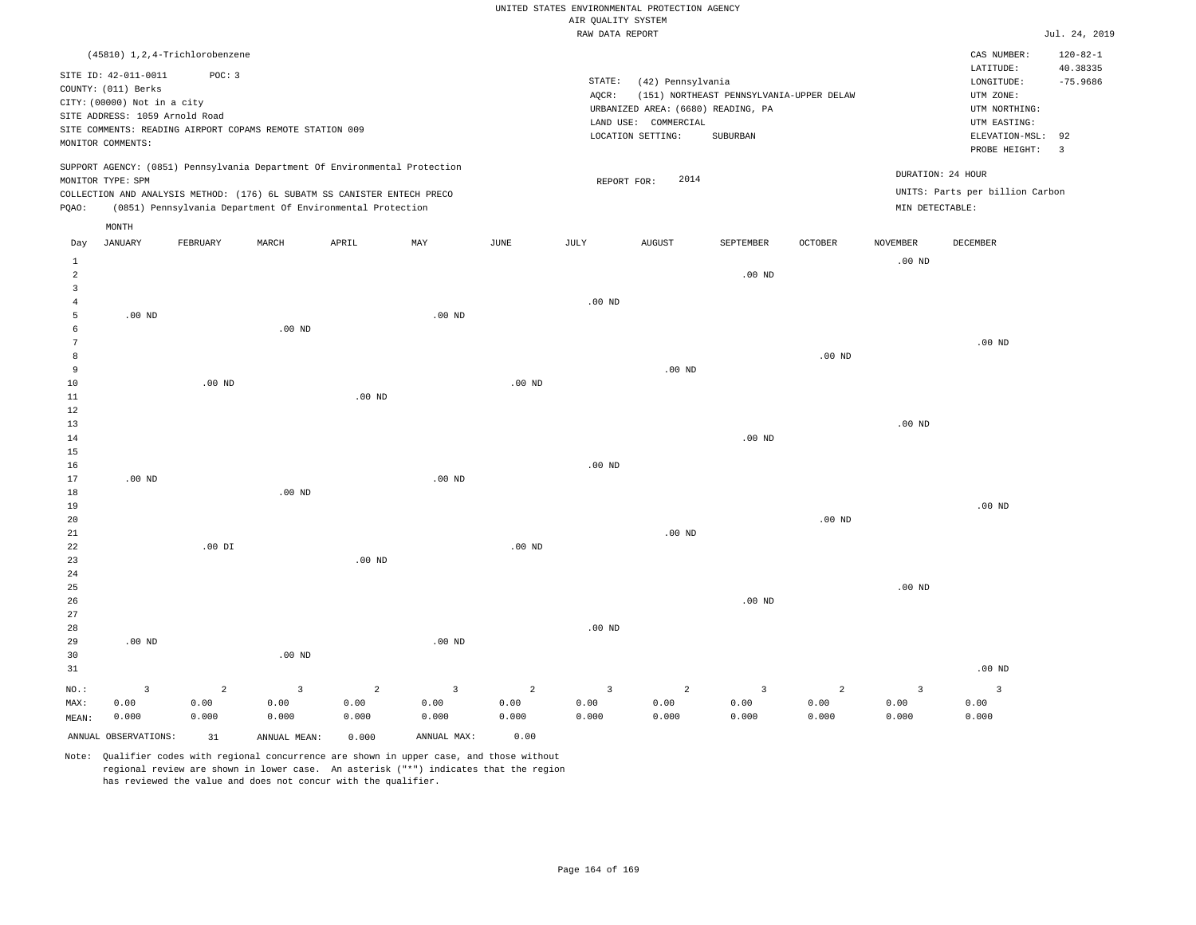|  |  |                    | UNITED STATES ENVIRONMENTAL PROTECTION AGENCY |  |
|--|--|--------------------|-----------------------------------------------|--|
|  |  | AIR OUALITY SYSTEM |                                               |  |

|                |                                                                            |                   |                                                            |                   |                   |                   | RAW DATA REPORT    |                                    |                                          |                |                   |                                 | Jul. 24, 2019  |
|----------------|----------------------------------------------------------------------------|-------------------|------------------------------------------------------------|-------------------|-------------------|-------------------|--------------------|------------------------------------|------------------------------------------|----------------|-------------------|---------------------------------|----------------|
|                | (45810) 1,2,4-Trichlorobenzene                                             |                   |                                                            |                   |                   |                   |                    |                                    |                                          |                |                   | CAS NUMBER:                     | $120 - 82 - 1$ |
|                | SITE ID: 42-011-0011                                                       | POC: 3            |                                                            |                   |                   |                   |                    |                                    |                                          |                |                   | LATITUDE:                       | 40.38335       |
|                | COUNTY: (011) Berks                                                        |                   |                                                            |                   |                   |                   | $\texttt{STATE}$ : | (42) Pennsylvania                  |                                          |                |                   | LONGITUDE:                      | $-75.9686$     |
|                | CITY: (00000) Not in a city                                                |                   |                                                            |                   |                   |                   | AQCR:              |                                    | (151) NORTHEAST PENNSYLVANIA-UPPER DELAW |                |                   | UTM ZONE:                       |                |
|                | SITE ADDRESS: 1059 Arnold Road                                             |                   |                                                            |                   |                   |                   |                    | URBANIZED AREA: (6680) READING, PA |                                          |                |                   | UTM NORTHING:                   |                |
|                | SITE COMMENTS: READING AIRPORT COPAMS REMOTE STATION 009                   |                   |                                                            |                   |                   |                   |                    | LAND USE: COMMERCIAL               |                                          |                |                   | UTM EASTING:                    |                |
|                | MONITOR COMMENTS:                                                          |                   |                                                            |                   |                   |                   |                    | LOCATION SETTING:                  | SUBURBAN                                 |                |                   | ELEVATION-MSL:                  | 92             |
|                |                                                                            |                   |                                                            |                   |                   |                   |                    |                                    |                                          |                |                   | PROBE HEIGHT:                   | $\overline{3}$ |
|                | SUPPORT AGENCY: (0851) Pennsylvania Department Of Environmental Protection |                   |                                                            |                   |                   |                   |                    |                                    |                                          |                |                   | DURATION: 24 HOUR               |                |
|                | MONITOR TYPE: SPM                                                          |                   |                                                            |                   |                   |                   | REPORT FOR:        | 2014                               |                                          |                |                   | UNITS: Parts per billion Carbon |                |
|                | COLLECTION AND ANALYSIS METHOD: (176) 6L SUBATM SS CANISTER ENTECH PRECO   |                   | (0851) Pennsylvania Department Of Environmental Protection |                   |                   |                   |                    |                                    |                                          |                | MIN DETECTABLE:   |                                 |                |
| PQAO:          |                                                                            |                   |                                                            |                   |                   |                   |                    |                                    |                                          |                |                   |                                 |                |
|                | $\texttt{MONTH}$                                                           |                   |                                                            |                   |                   |                   |                    |                                    |                                          |                |                   |                                 |                |
| Day            | <b>JANUARY</b>                                                             | FEBRUARY          | MARCH                                                      | APRIL             | MAY               | JUNE              | JULY               | <b>AUGUST</b>                      | SEPTEMBER                                | <b>OCTOBER</b> | <b>NOVEMBER</b>   | DECEMBER                        |                |
| $\mathbf{1}$   |                                                                            |                   |                                                            |                   |                   |                   |                    |                                    |                                          |                | $.00$ ND          |                                 |                |
| $\overline{a}$ |                                                                            |                   |                                                            |                   |                   |                   |                    |                                    | $.00$ ND                                 |                |                   |                                 |                |
| $\overline{3}$ |                                                                            |                   |                                                            |                   |                   |                   |                    |                                    |                                          |                |                   |                                 |                |
| $\overline{4}$ |                                                                            |                   |                                                            |                   |                   |                   | $.00$ ND           |                                    |                                          |                |                   |                                 |                |
| 5              | $.00$ ND                                                                   |                   |                                                            |                   | $.00$ ND          |                   |                    |                                    |                                          |                |                   |                                 |                |
| 6              |                                                                            |                   | $.00$ ND                                                   |                   |                   |                   |                    |                                    |                                          |                |                   |                                 |                |
| 7<br>8         |                                                                            |                   |                                                            |                   |                   |                   |                    |                                    |                                          | $.00$ ND       |                   | $.00$ ND                        |                |
| 9              |                                                                            |                   |                                                            |                   |                   |                   |                    | $.00$ ND                           |                                          |                |                   |                                 |                |
| 10             |                                                                            | .00 <sub>ND</sub> |                                                            |                   |                   | .00 <sub>ND</sub> |                    |                                    |                                          |                |                   |                                 |                |
| $1\,1$         |                                                                            |                   |                                                            | $.00$ ND          |                   |                   |                    |                                    |                                          |                |                   |                                 |                |
| 12             |                                                                            |                   |                                                            |                   |                   |                   |                    |                                    |                                          |                |                   |                                 |                |
| 13             |                                                                            |                   |                                                            |                   |                   |                   |                    |                                    |                                          |                | .00 <sub>ND</sub> |                                 |                |
| 14             |                                                                            |                   |                                                            |                   |                   |                   |                    |                                    | $.00$ ND                                 |                |                   |                                 |                |
| 15             |                                                                            |                   |                                                            |                   |                   |                   |                    |                                    |                                          |                |                   |                                 |                |
| 16             |                                                                            |                   |                                                            |                   |                   |                   | $.00$ ND           |                                    |                                          |                |                   |                                 |                |
| 17             | $.00$ ND                                                                   |                   |                                                            |                   | $.00$ ND          |                   |                    |                                    |                                          |                |                   |                                 |                |
| 18             |                                                                            |                   | .00 <sub>ND</sub>                                          |                   |                   |                   |                    |                                    |                                          |                |                   |                                 |                |
| 19<br>20       |                                                                            |                   |                                                            |                   |                   |                   |                    |                                    |                                          | $.00$ ND       |                   | $.00$ ND                        |                |
| 21             |                                                                            |                   |                                                            |                   |                   |                   |                    | $.00$ ND                           |                                          |                |                   |                                 |                |
| 22             |                                                                            | $.00$ DI          |                                                            |                   |                   | $.00$ ND          |                    |                                    |                                          |                |                   |                                 |                |
| 23             |                                                                            |                   |                                                            | .00 <sub>ND</sub> |                   |                   |                    |                                    |                                          |                |                   |                                 |                |
| 24             |                                                                            |                   |                                                            |                   |                   |                   |                    |                                    |                                          |                |                   |                                 |                |
| 25             |                                                                            |                   |                                                            |                   |                   |                   |                    |                                    |                                          |                | .00 <sub>ND</sub> |                                 |                |
| 26             |                                                                            |                   |                                                            |                   |                   |                   |                    |                                    | $.00$ ND                                 |                |                   |                                 |                |
| 27             |                                                                            |                   |                                                            |                   |                   |                   |                    |                                    |                                          |                |                   |                                 |                |
| 28             |                                                                            |                   |                                                            |                   |                   |                   | $.00$ ND           |                                    |                                          |                |                   |                                 |                |
| 29             | .00 <sub>ND</sub>                                                          |                   |                                                            |                   | .00 <sub>ND</sub> |                   |                    |                                    |                                          |                |                   |                                 |                |
| 30             |                                                                            |                   | $.00$ ND                                                   |                   |                   |                   |                    |                                    |                                          |                |                   |                                 |                |
| 31             |                                                                            |                   |                                                            |                   |                   |                   |                    |                                    |                                          |                |                   | $.00$ ND                        |                |
| NO.:           | $\overline{3}$                                                             | $\overline{a}$    | $\overline{3}$                                             | $\overline{2}$    | $\overline{3}$    | 2                 | $\overline{3}$     | $\overline{a}$                     | $\overline{3}$                           | $\overline{a}$ | $\overline{3}$    | $\overline{3}$                  |                |
| MAX:           | 0.00                                                                       | 0.00              | 0.00                                                       | 0.00              | 0.00              | 0.00              | 0.00               | 0.00                               | 0.00                                     | 0.00           | 0.00              | 0.00                            |                |
| MEAN:          | 0.000                                                                      | 0.000             | 0.000                                                      | 0.000             | 0.000             | 0.000             | 0.000              | 0.000                              | 0.000                                    | 0.000          | 0.000             | 0.000                           |                |
|                | ANNUAL OBSERVATIONS:                                                       | 31                | ANNUAL MEAN:                                               | 0.000             | ANNUAL MAX:       | 0.00              |                    |                                    |                                          |                |                   |                                 |                |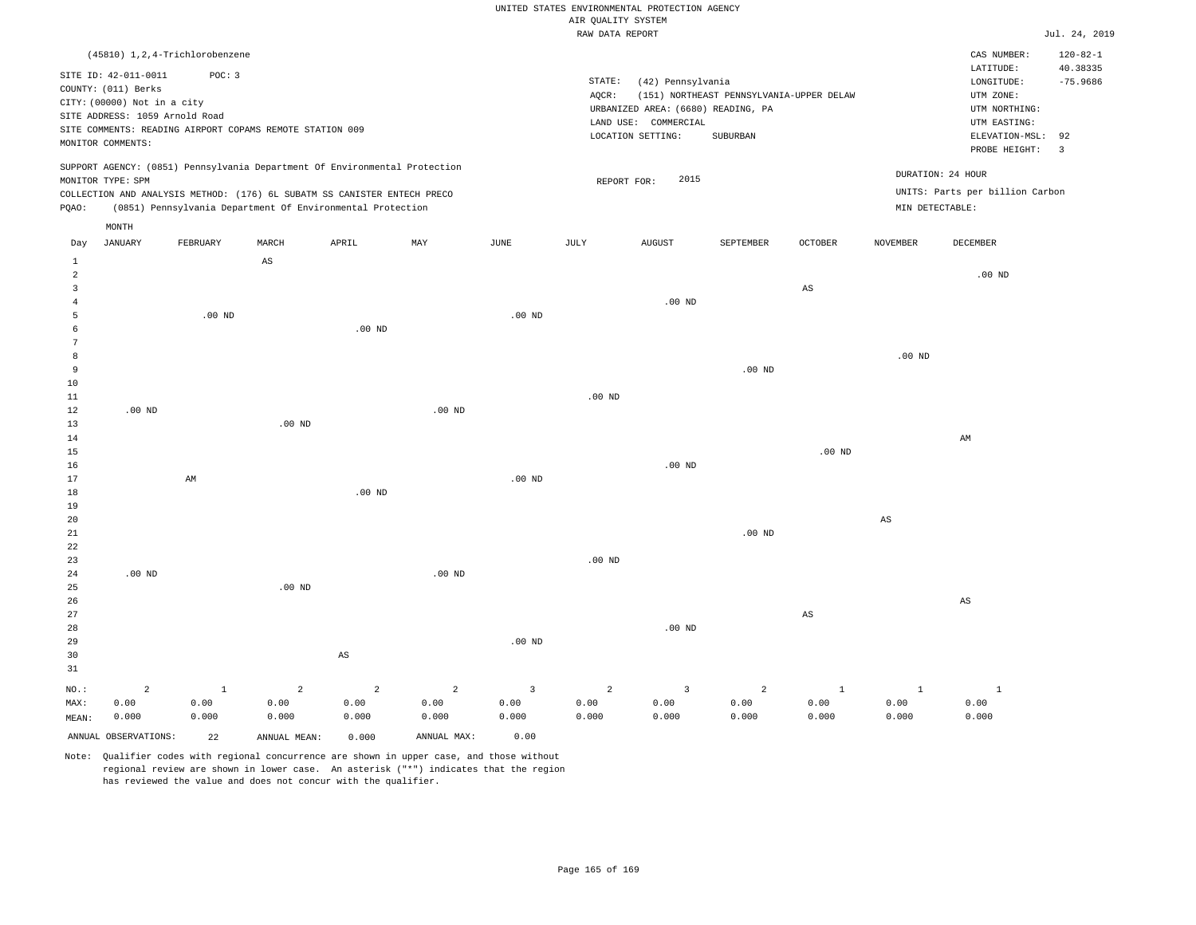|                      |                                  |                   |                                                                                                                                        |                |                   |                | RAW DATA REPORT |                                    |                                          |                |                   |                                 | Jul. 24, 2019          |
|----------------------|----------------------------------|-------------------|----------------------------------------------------------------------------------------------------------------------------------------|----------------|-------------------|----------------|-----------------|------------------------------------|------------------------------------------|----------------|-------------------|---------------------------------|------------------------|
|                      | (45810) 1, 2, 4-Trichlorobenzene |                   |                                                                                                                                        |                |                   |                |                 |                                    |                                          |                |                   | CAS NUMBER:                     | $120 - 82 - 1$         |
|                      | SITE ID: 42-011-0011             | POC: 3            |                                                                                                                                        |                |                   |                | STATE:          | (42) Pennsylvania                  |                                          |                |                   | LATITUDE:<br>LONGITUDE:         | 40.38335<br>$-75.9686$ |
|                      | COUNTY: (011) Berks              |                   |                                                                                                                                        |                |                   |                | AQCR:           |                                    | (151) NORTHEAST PENNSYLVANIA-UPPER DELAW |                |                   | UTM ZONE:                       |                        |
|                      | CITY: (00000) Not in a city      |                   |                                                                                                                                        |                |                   |                |                 | URBANIZED AREA: (6680) READING, PA |                                          |                |                   | UTM NORTHING:                   |                        |
|                      | SITE ADDRESS: 1059 Arnold Road   |                   |                                                                                                                                        |                |                   |                |                 | LAND USE: COMMERCIAL               |                                          |                |                   | UTM EASTING:                    |                        |
|                      |                                  |                   | SITE COMMENTS: READING AIRPORT COPAMS REMOTE STATION 009                                                                               |                |                   |                |                 | LOCATION SETTING:                  | SUBURBAN                                 |                |                   | ELEVATION-MSL:                  | 92                     |
|                      | MONITOR COMMENTS:                |                   |                                                                                                                                        |                |                   |                |                 |                                    |                                          |                |                   | PROBE HEIGHT:                   | $\overline{3}$         |
|                      |                                  |                   | SUPPORT AGENCY: (0851) Pennsylvania Department Of Environmental Protection                                                             |                |                   |                |                 | 2015                               |                                          |                |                   | DURATION: 24 HOUR               |                        |
|                      | MONITOR TYPE: SPM                |                   |                                                                                                                                        |                |                   |                | REPORT FOR:     |                                    |                                          |                |                   | UNITS: Parts per billion Carbon |                        |
| PQAO:                |                                  |                   | COLLECTION AND ANALYSIS METHOD: (176) 6L SUBATM SS CANISTER ENTECH PRECO<br>(0851) Pennsylvania Department Of Environmental Protection |                |                   |                |                 |                                    |                                          |                | MIN DETECTABLE:   |                                 |                        |
|                      | MONTH                            |                   |                                                                                                                                        |                |                   |                |                 |                                    |                                          |                |                   |                                 |                        |
| Day                  | <b>JANUARY</b>                   | FEBRUARY          | MARCH                                                                                                                                  | APRIL          | MAY               | JUNE           | JULY            | <b>AUGUST</b>                      | SEPTEMBER                                | <b>OCTOBER</b> | <b>NOVEMBER</b>   | <b>DECEMBER</b>                 |                        |
| 1                    |                                  |                   | AS                                                                                                                                     |                |                   |                |                 |                                    |                                          |                |                   |                                 |                        |
| $\overline{a}$       |                                  |                   |                                                                                                                                        |                |                   |                |                 |                                    |                                          |                |                   | $.00$ ND                        |                        |
| $\overline{3}$       |                                  |                   |                                                                                                                                        |                |                   |                |                 |                                    |                                          | $_{\rm AS}$    |                   |                                 |                        |
| $\overline{4}$       |                                  |                   |                                                                                                                                        |                |                   |                |                 | $.00$ ND                           |                                          |                |                   |                                 |                        |
| 5                    |                                  | .00 <sub>ND</sub> |                                                                                                                                        |                |                   | $.00$ ND       |                 |                                    |                                          |                |                   |                                 |                        |
| 6                    |                                  |                   |                                                                                                                                        | $.00$ ND       |                   |                |                 |                                    |                                          |                |                   |                                 |                        |
| 7                    |                                  |                   |                                                                                                                                        |                |                   |                |                 |                                    |                                          |                |                   |                                 |                        |
| 8                    |                                  |                   |                                                                                                                                        |                |                   |                |                 |                                    |                                          |                | .00 <sub>ND</sub> |                                 |                        |
| $\overline{9}$<br>10 |                                  |                   |                                                                                                                                        |                |                   |                |                 |                                    | $.00$ ND                                 |                |                   |                                 |                        |
| $11\,$               |                                  |                   |                                                                                                                                        |                |                   |                | $.00$ ND        |                                    |                                          |                |                   |                                 |                        |
| 12                   | $.00$ ND                         |                   |                                                                                                                                        |                | .00 <sub>ND</sub> |                |                 |                                    |                                          |                |                   |                                 |                        |
| 13                   |                                  |                   | $.00$ ND                                                                                                                               |                |                   |                |                 |                                    |                                          |                |                   |                                 |                        |
| 14                   |                                  |                   |                                                                                                                                        |                |                   |                |                 |                                    |                                          |                |                   | AM                              |                        |
| 15                   |                                  |                   |                                                                                                                                        |                |                   |                |                 |                                    |                                          | $.00$ ND       |                   |                                 |                        |
| 16                   |                                  |                   |                                                                                                                                        |                |                   |                |                 | $.00$ ND                           |                                          |                |                   |                                 |                        |
| 17                   |                                  | AM                |                                                                                                                                        |                |                   | $.00$ ND       |                 |                                    |                                          |                |                   |                                 |                        |
| 18                   |                                  |                   |                                                                                                                                        | $.00$ ND       |                   |                |                 |                                    |                                          |                |                   |                                 |                        |
| 19                   |                                  |                   |                                                                                                                                        |                |                   |                |                 |                                    |                                          |                |                   |                                 |                        |
| 20                   |                                  |                   |                                                                                                                                        |                |                   |                |                 |                                    |                                          |                | AS                |                                 |                        |
| $21\,$               |                                  |                   |                                                                                                                                        |                |                   |                |                 |                                    | $.00$ ND                                 |                |                   |                                 |                        |
| 22                   |                                  |                   |                                                                                                                                        |                |                   |                |                 |                                    |                                          |                |                   |                                 |                        |
| 23                   |                                  |                   |                                                                                                                                        |                |                   |                | $.00$ ND        |                                    |                                          |                |                   |                                 |                        |
| 24<br>25             | $.00$ ND                         |                   | $.00$ ND                                                                                                                               |                | $.00$ ND          |                |                 |                                    |                                          |                |                   |                                 |                        |
| 26                   |                                  |                   |                                                                                                                                        |                |                   |                |                 |                                    |                                          |                |                   | AS                              |                        |
| 27                   |                                  |                   |                                                                                                                                        |                |                   |                |                 |                                    |                                          | $_{\rm AS}$    |                   |                                 |                        |
| 28                   |                                  |                   |                                                                                                                                        |                |                   |                |                 | $.00$ ND                           |                                          |                |                   |                                 |                        |
| 29                   |                                  |                   |                                                                                                                                        |                |                   | $.00$ ND       |                 |                                    |                                          |                |                   |                                 |                        |
| 30                   |                                  |                   |                                                                                                                                        | AS             |                   |                |                 |                                    |                                          |                |                   |                                 |                        |
| 31                   |                                  |                   |                                                                                                                                        |                |                   |                |                 |                                    |                                          |                |                   |                                 |                        |
| $NO.$ :              | $\overline{a}$                   | $1\,$             | $\overline{a}$                                                                                                                         | $\overline{2}$ | $\overline{a}$    | $\overline{3}$ | $\overline{a}$  | $\overline{3}$                     | 2                                        | $\mathbf{1}$   | $\mathbf{1}$      | $\mathbf{1}$                    |                        |
| MAX:                 | 0.00                             | 0.00              | 0.00                                                                                                                                   | 0.00           | 0.00              | 0.00           | 0.00            | 0.00                               | 0.00                                     | 0.00           | 0.00              | 0.00                            |                        |
| MEAN:                | 0.000                            | 0.000             | 0.000                                                                                                                                  | 0.000          | 0.000             | 0.000          | 0.000           | 0.000                              | 0.000                                    | 0.000          | 0.000             | 0.000                           |                        |
|                      |                                  |                   |                                                                                                                                        |                |                   |                |                 |                                    |                                          |                |                   |                                 |                        |
|                      | ANNUAL OBSERVATIONS:             | 22                | ANNUAL MEAN:                                                                                                                           | 0.000          | ANNUAL MAX:       | 0.00           |                 |                                    |                                          |                |                   |                                 |                        |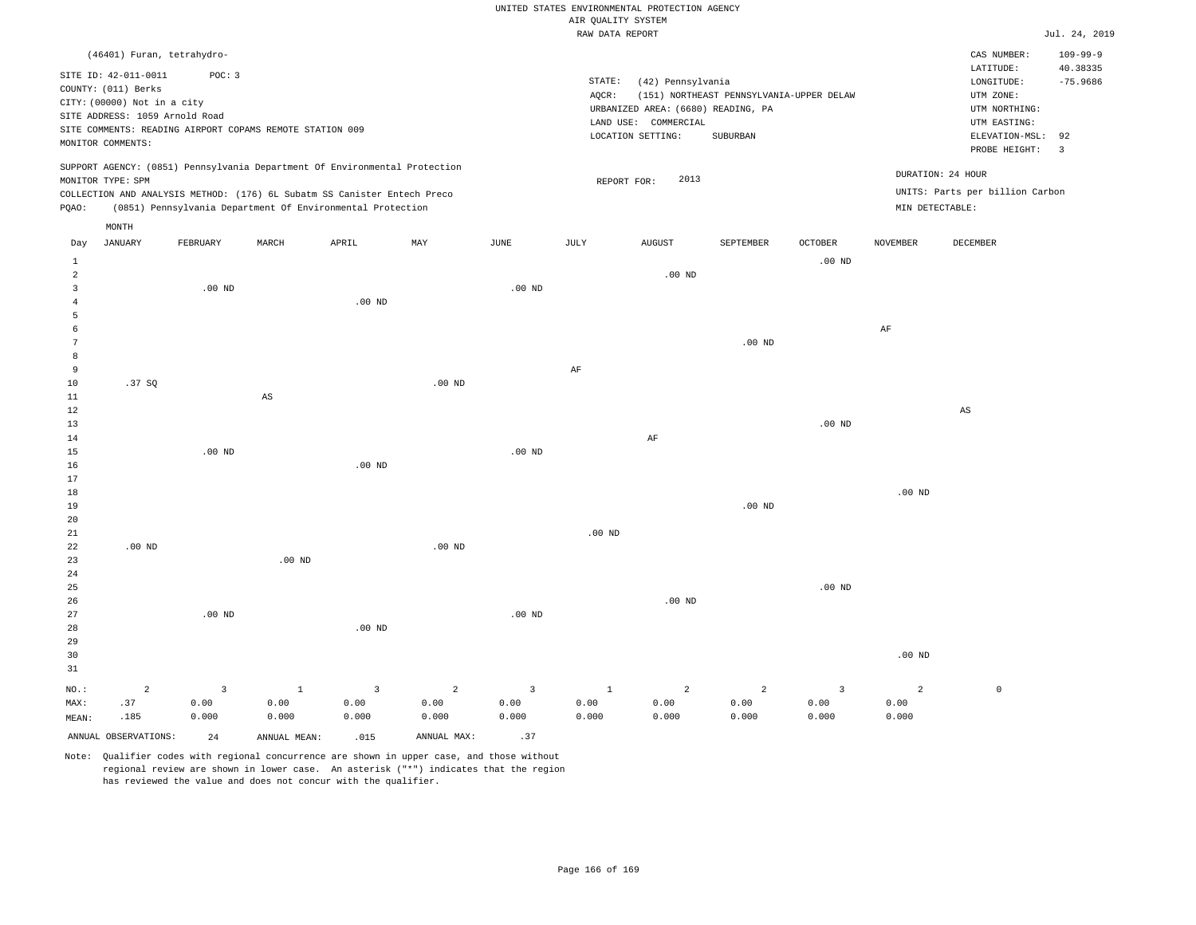|                                |                                |                                                          |                        |                                                                            |                |                         | RAW DATA REPORT |                                    |                                          |                   |                 |                                 | Jul. 24, 2019           |
|--------------------------------|--------------------------------|----------------------------------------------------------|------------------------|----------------------------------------------------------------------------|----------------|-------------------------|-----------------|------------------------------------|------------------------------------------|-------------------|-----------------|---------------------------------|-------------------------|
|                                | (46401) Furan, tetrahydro-     |                                                          |                        |                                                                            |                |                         |                 |                                    |                                          |                   |                 | CAS NUMBER:                     | $109 - 99 - 9$          |
|                                | SITE ID: 42-011-0011           | POC: 3                                                   |                        |                                                                            |                |                         |                 |                                    |                                          |                   |                 | LATITUDE:                       | 40.38335                |
|                                |                                |                                                          |                        |                                                                            |                |                         | STATE:          | (42) Pennsylvania                  |                                          |                   |                 | LONGITUDE:                      | $-75.9686$              |
|                                | COUNTY: (011) Berks            |                                                          |                        |                                                                            |                |                         | AOCR:           |                                    | (151) NORTHEAST PENNSYLVANIA-UPPER DELAW |                   |                 | UTM ZONE:                       |                         |
|                                | CITY: (00000) Not in a city    |                                                          |                        |                                                                            |                |                         |                 | URBANIZED AREA: (6680) READING, PA |                                          |                   |                 | UTM NORTHING:                   |                         |
|                                | SITE ADDRESS: 1059 Arnold Road |                                                          |                        |                                                                            |                |                         |                 | LAND USE: COMMERCIAL               |                                          |                   |                 | UTM EASTING:                    |                         |
|                                |                                | SITE COMMENTS: READING AIRPORT COPAMS REMOTE STATION 009 |                        |                                                                            |                |                         |                 | LOCATION SETTING:                  | SUBURBAN                                 |                   |                 | ELEVATION-MSL:                  | 92                      |
|                                | MONITOR COMMENTS:              |                                                          |                        |                                                                            |                |                         |                 |                                    |                                          |                   |                 | PROBE HEIGHT:                   | $\overline{\mathbf{3}}$ |
|                                |                                |                                                          |                        |                                                                            |                |                         |                 |                                    |                                          |                   |                 |                                 |                         |
|                                | MONITOR TYPE: SPM              |                                                          |                        | SUPPORT AGENCY: (0851) Pennsylvania Department Of Environmental Protection |                |                         | REPORT FOR:     | 2013                               |                                          |                   |                 | DURATION: 24 HOUR               |                         |
|                                |                                |                                                          |                        | COLLECTION AND ANALYSIS METHOD: (176) 6L Subatm SS Canister Entech Preco   |                |                         |                 |                                    |                                          |                   |                 | UNITS: Parts per billion Carbon |                         |
| PQAO:                          |                                |                                                          |                        | (0851) Pennsylvania Department Of Environmental Protection                 |                |                         |                 |                                    |                                          |                   |                 | MIN DETECTABLE:                 |                         |
|                                |                                |                                                          |                        |                                                                            |                |                         |                 |                                    |                                          |                   |                 |                                 |                         |
| Day                            | MONTH<br><b>JANUARY</b>        | FEBRUARY                                                 | MARCH                  | APRIL                                                                      | MAY            | JUNE                    | JULY            | <b>AUGUST</b>                      | SEPTEMBER                                | <b>OCTOBER</b>    | <b>NOVEMBER</b> | DECEMBER                        |                         |
|                                |                                |                                                          |                        |                                                                            |                |                         |                 |                                    |                                          |                   |                 |                                 |                         |
| $\mathbf{1}$<br>$\overline{a}$ |                                |                                                          |                        |                                                                            |                |                         |                 | $.00$ ND                           |                                          | .00 <sub>ND</sub> |                 |                                 |                         |
| 3                              |                                | $.00$ ND                                                 |                        |                                                                            |                | $.00$ ND                |                 |                                    |                                          |                   |                 |                                 |                         |
| $\overline{4}$                 |                                |                                                          |                        | $.00$ ND                                                                   |                |                         |                 |                                    |                                          |                   |                 |                                 |                         |
| 5                              |                                |                                                          |                        |                                                                            |                |                         |                 |                                    |                                          |                   |                 |                                 |                         |
| 6                              |                                |                                                          |                        |                                                                            |                |                         |                 |                                    |                                          |                   | $\rm AF$        |                                 |                         |
| 7                              |                                |                                                          |                        |                                                                            |                |                         |                 |                                    | .00 <sub>ND</sub>                        |                   |                 |                                 |                         |
| 8                              |                                |                                                          |                        |                                                                            |                |                         |                 |                                    |                                          |                   |                 |                                 |                         |
| 9                              |                                |                                                          |                        |                                                                            |                |                         | AF              |                                    |                                          |                   |                 |                                 |                         |
| 10                             | .37SQ                          |                                                          |                        |                                                                            | $.00$ ND       |                         |                 |                                    |                                          |                   |                 |                                 |                         |
| 11                             |                                |                                                          | $\mathbb{A}\mathbb{S}$ |                                                                            |                |                         |                 |                                    |                                          |                   |                 |                                 |                         |
| 12                             |                                |                                                          |                        |                                                                            |                |                         |                 |                                    |                                          |                   |                 | $\mathbb{A}\mathbb{S}$          |                         |
| 13                             |                                |                                                          |                        |                                                                            |                |                         |                 |                                    |                                          | .00 <sub>ND</sub> |                 |                                 |                         |
| 14                             |                                |                                                          |                        |                                                                            |                |                         |                 | $\rm AF$                           |                                          |                   |                 |                                 |                         |
| 15                             |                                | $.00$ ND                                                 |                        |                                                                            |                | $.00$ ND                |                 |                                    |                                          |                   |                 |                                 |                         |
| 16                             |                                |                                                          |                        | $.00$ ND                                                                   |                |                         |                 |                                    |                                          |                   |                 |                                 |                         |
| 17                             |                                |                                                          |                        |                                                                            |                |                         |                 |                                    |                                          |                   |                 |                                 |                         |
| 18                             |                                |                                                          |                        |                                                                            |                |                         |                 |                                    |                                          |                   | $.00$ ND        |                                 |                         |
| 19                             |                                |                                                          |                        |                                                                            |                |                         |                 |                                    | .00 <sub>ND</sub>                        |                   |                 |                                 |                         |
| 20                             |                                |                                                          |                        |                                                                            |                |                         |                 |                                    |                                          |                   |                 |                                 |                         |
| 21                             |                                |                                                          |                        |                                                                            |                |                         | $.00$ ND        |                                    |                                          |                   |                 |                                 |                         |
| 22                             | $.00$ ND                       |                                                          |                        |                                                                            | $.00$ ND       |                         |                 |                                    |                                          |                   |                 |                                 |                         |
| 23                             |                                |                                                          | $.00$ ND               |                                                                            |                |                         |                 |                                    |                                          |                   |                 |                                 |                         |
| 24                             |                                |                                                          |                        |                                                                            |                |                         |                 |                                    |                                          |                   |                 |                                 |                         |
| 25                             |                                |                                                          |                        |                                                                            |                |                         |                 |                                    |                                          | .00 <sub>ND</sub> |                 |                                 |                         |
| 26                             |                                |                                                          |                        |                                                                            |                |                         |                 | $.00$ ND                           |                                          |                   |                 |                                 |                         |
| 27                             |                                | $.00$ ND                                                 |                        |                                                                            |                | $.00$ ND                |                 |                                    |                                          |                   |                 |                                 |                         |
| 28                             |                                |                                                          |                        | $.00$ ND                                                                   |                |                         |                 |                                    |                                          |                   |                 |                                 |                         |
| 29                             |                                |                                                          |                        |                                                                            |                |                         |                 |                                    |                                          |                   |                 |                                 |                         |
| 30                             |                                |                                                          |                        |                                                                            |                |                         |                 |                                    |                                          |                   | $.00$ ND        |                                 |                         |
| 31                             |                                |                                                          |                        |                                                                            |                |                         |                 |                                    |                                          |                   |                 |                                 |                         |
| NO.:                           | $\overline{a}$                 | $\overline{3}$                                           | $1\,$                  | $\overline{3}$                                                             | $\overline{a}$ | $\overline{\mathbf{3}}$ | $\mathbf{1}$    | $\overline{a}$                     | $\overline{c}$                           | $\overline{3}$    | $\overline{a}$  | $\mathbb O$                     |                         |
| MAX:                           | .37                            | 0.00                                                     | 0.00                   | 0.00                                                                       | 0.00           | 0.00                    | 0.00            | 0.00                               | 0.00                                     | 0.00              | 0.00            |                                 |                         |

Note: Qualifier codes with regional concurrence are shown in upper case, and those without regional review are shown in lower case. An asterisk ("\*") indicates that the region has reviewed the value and does not concur with the qualifier.

ANNUAL OBSERVATIONS:  $24$  ANNUAL MEAN: .015 ANNUAL MAX: .37

0.000

0.000

0.000

0.000

MEAN:

.185

0.000

0.000 0.000

0.000

0.000

0.000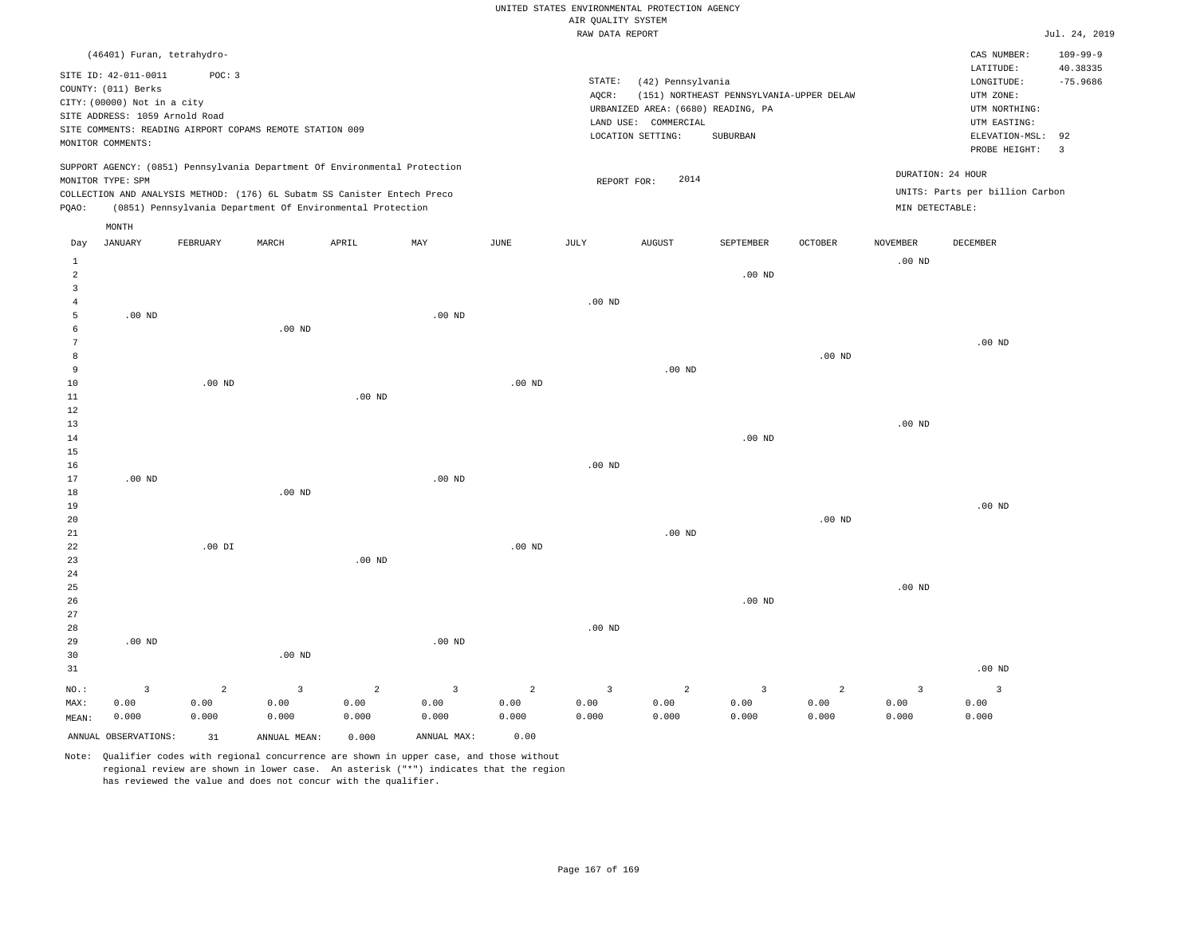|                |                                |                                                                            |                   |                   |                         |                   |                    | UNITED STATES ENVIRONMENTAL PROTECTION AGENCY |                                          |                   |                   |                                 |                |
|----------------|--------------------------------|----------------------------------------------------------------------------|-------------------|-------------------|-------------------------|-------------------|--------------------|-----------------------------------------------|------------------------------------------|-------------------|-------------------|---------------------------------|----------------|
|                |                                |                                                                            |                   |                   |                         |                   | AIR OUALITY SYSTEM |                                               |                                          |                   |                   |                                 |                |
|                |                                |                                                                            |                   |                   |                         |                   | RAW DATA REPORT    |                                               |                                          |                   |                   |                                 | Jul. 24, 2019  |
|                | (46401) Furan, tetrahydro-     |                                                                            |                   |                   |                         |                   |                    |                                               |                                          |                   |                   | CAS NUMBER:                     | $109 - 99 - 9$ |
|                | SITE ID: 42-011-0011           | POC: 3                                                                     |                   |                   |                         |                   |                    |                                               |                                          |                   |                   | LATITUDE:                       | 40.38335       |
|                | COUNTY: (011) Berks            |                                                                            |                   |                   |                         |                   | STATE:             | (42) Pennsylvania                             |                                          |                   |                   | LONGITUDE:                      | $-75.9686$     |
|                | CITY: (00000) Not in a city    |                                                                            |                   |                   |                         |                   | AQCR:              |                                               | (151) NORTHEAST PENNSYLVANIA-UPPER DELAW |                   |                   | UTM ZONE:                       |                |
|                | SITE ADDRESS: 1059 Arnold Road |                                                                            |                   |                   |                         |                   |                    | URBANIZED AREA: (6680) READING, PA            |                                          |                   |                   | UTM NORTHING:                   |                |
|                |                                | SITE COMMENTS: READING AIRPORT COPAMS REMOTE STATION 009                   |                   |                   |                         |                   |                    | LAND USE: COMMERCIAL                          |                                          |                   |                   | UTM EASTING:                    | 92             |
|                | MONITOR COMMENTS:              |                                                                            |                   |                   |                         |                   |                    | LOCATION SETTING:                             | SUBURBAN                                 |                   |                   | ELEVATION-MSL:<br>PROBE HEIGHT: | $\overline{3}$ |
|                |                                | SUPPORT AGENCY: (0851) Pennsylvania Department Of Environmental Protection |                   |                   |                         |                   |                    |                                               |                                          |                   |                   |                                 |                |
|                | MONITOR TYPE: SPM              |                                                                            |                   |                   |                         |                   | REPORT FOR:        | 2014                                          |                                          |                   |                   | DURATION: 24 HOUR               |                |
|                |                                | COLLECTION AND ANALYSIS METHOD: (176) 6L Subatm SS Canister Entech Preco   |                   |                   |                         |                   |                    |                                               |                                          |                   |                   | UNITS: Parts per billion Carbon |                |
| PQAO:          |                                | (0851) Pennsylvania Department Of Environmental Protection                 |                   |                   |                         |                   |                    |                                               |                                          |                   | MIN DETECTABLE:   |                                 |                |
| Day            | MONTH<br><b>JANUARY</b>        | FEBRUARY                                                                   | MARCH             | APRIL             | MAY                     | JUNE              | JULY               | <b>AUGUST</b>                                 | SEPTEMBER                                | <b>OCTOBER</b>    | <b>NOVEMBER</b>   | DECEMBER                        |                |
| $\mathbf{1}$   |                                |                                                                            |                   |                   |                         |                   |                    |                                               |                                          |                   | .00 <sub>ND</sub> |                                 |                |
| $\overline{2}$ |                                |                                                                            |                   |                   |                         |                   |                    |                                               | $.00$ ND                                 |                   |                   |                                 |                |
| 3              |                                |                                                                            |                   |                   |                         |                   |                    |                                               |                                          |                   |                   |                                 |                |
| $\overline{4}$ |                                |                                                                            |                   |                   |                         |                   | .00 <sub>ND</sub>  |                                               |                                          |                   |                   |                                 |                |
| 5              | $.00$ ND                       |                                                                            |                   |                   | $.00$ ND                |                   |                    |                                               |                                          |                   |                   |                                 |                |
| 6              |                                |                                                                            | .00 <sub>ND</sub> |                   |                         |                   |                    |                                               |                                          |                   |                   |                                 |                |
| $\overline{7}$ |                                |                                                                            |                   |                   |                         |                   |                    |                                               |                                          |                   |                   | .00 <sub>ND</sub>               |                |
| 8              |                                |                                                                            |                   |                   |                         |                   |                    |                                               |                                          | $.00$ ND          |                   |                                 |                |
| 9              |                                |                                                                            |                   |                   |                         |                   |                    | $.00$ ND                                      |                                          |                   |                   |                                 |                |
| 10             |                                | $.00$ ND                                                                   |                   |                   |                         | .00 <sub>ND</sub> |                    |                                               |                                          |                   |                   |                                 |                |
| 11             |                                |                                                                            |                   | .00 <sub>ND</sub> |                         |                   |                    |                                               |                                          |                   |                   |                                 |                |
| 12             |                                |                                                                            |                   |                   |                         |                   |                    |                                               |                                          |                   |                   |                                 |                |
| 13             |                                |                                                                            |                   |                   |                         |                   |                    |                                               |                                          |                   | $.00$ ND          |                                 |                |
| 14             |                                |                                                                            |                   |                   |                         |                   |                    |                                               | $.00$ ND                                 |                   |                   |                                 |                |
| 15<br>16       |                                |                                                                            |                   |                   |                         |                   | .00 <sub>ND</sub>  |                                               |                                          |                   |                   |                                 |                |
| 17             | $.00$ ND                       |                                                                            |                   |                   | .00 <sub>ND</sub>       |                   |                    |                                               |                                          |                   |                   |                                 |                |
| 18             |                                |                                                                            | $.00$ ND          |                   |                         |                   |                    |                                               |                                          |                   |                   |                                 |                |
| 19             |                                |                                                                            |                   |                   |                         |                   |                    |                                               |                                          |                   |                   | $.00$ ND                        |                |
| 20             |                                |                                                                            |                   |                   |                         |                   |                    |                                               |                                          | .00 <sub>ND</sub> |                   |                                 |                |
| 21             |                                |                                                                            |                   |                   |                         |                   |                    | $.00$ ND                                      |                                          |                   |                   |                                 |                |
| 22             |                                | $.00$ DI                                                                   |                   |                   |                         | $.00$ ND          |                    |                                               |                                          |                   |                   |                                 |                |
| 23             |                                |                                                                            |                   | .00 <sub>ND</sub> |                         |                   |                    |                                               |                                          |                   |                   |                                 |                |
| 24             |                                |                                                                            |                   |                   |                         |                   |                    |                                               |                                          |                   |                   |                                 |                |
| 25             |                                |                                                                            |                   |                   |                         |                   |                    |                                               |                                          |                   | .00 <sub>ND</sub> |                                 |                |
| 26             |                                |                                                                            |                   |                   |                         |                   |                    |                                               | $.00$ ND                                 |                   |                   |                                 |                |
| 27             |                                |                                                                            |                   |                   |                         |                   |                    |                                               |                                          |                   |                   |                                 |                |
| 28             |                                |                                                                            |                   |                   |                         |                   | .00 <sub>ND</sub>  |                                               |                                          |                   |                   |                                 |                |
| 29             | .00 <sub>ND</sub>              |                                                                            |                   |                   | .00 <sub>ND</sub>       |                   |                    |                                               |                                          |                   |                   |                                 |                |
| 30             |                                |                                                                            | $.00$ ND          |                   |                         |                   |                    |                                               |                                          |                   |                   |                                 |                |
| 31             |                                |                                                                            |                   |                   |                         |                   |                    |                                               |                                          |                   |                   | .00 <sub>ND</sub>               |                |
| NO.:           | 3                              | $\overline{2}$                                                             | $\overline{3}$    | $\overline{2}$    | $\overline{\mathbf{3}}$ | $\overline{2}$    | $\overline{3}$     | 2                                             | 3                                        | 2                 | $\overline{3}$    | 3                               |                |
| MAX:           | 0.00                           | 0.00                                                                       | 0.00              | 0.00              | 0.00                    | 0.00              | 0.00               | 0.00                                          | 0.00                                     | 0.00              | 0.00              | 0.00                            |                |
| MEAN:          | 0.000                          | 0.000                                                                      | 0.000             | 0.000             | 0.000                   | 0.000             | 0.000              | 0.000                                         | 0.000                                    | 0.000             | 0.000             | 0.000                           |                |

ANNUAL OBSERVATIONS: 31 ANNUAL MEAN: 0.000 ANNUAL MAX: 0.00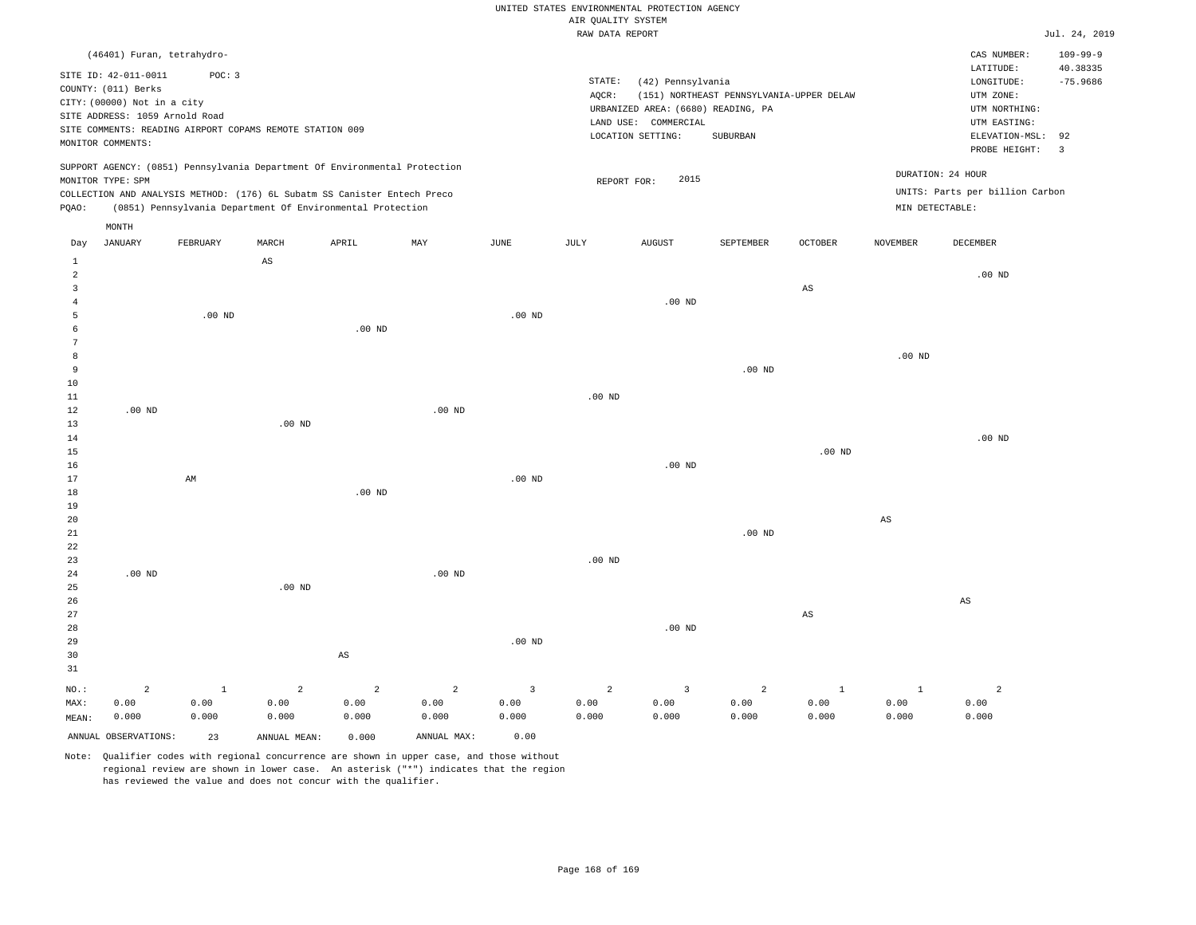|  | RAW DATA REPORT |  |
|--|-----------------|--|

|                     |                                                          |              |                   |                                                                            |             |                   | RAW DATA REPORT   |                                    |                                          |                   |                   |                                 | Jul. 24, 2019  |
|---------------------|----------------------------------------------------------|--------------|-------------------|----------------------------------------------------------------------------|-------------|-------------------|-------------------|------------------------------------|------------------------------------------|-------------------|-------------------|---------------------------------|----------------|
|                     | (46401) Furan, tetrahydro-                               |              |                   |                                                                            |             |                   |                   |                                    |                                          |                   |                   | CAS NUMBER:                     | $109 - 99 - 9$ |
|                     |                                                          |              |                   |                                                                            |             |                   |                   |                                    |                                          |                   |                   | LATITUDE:                       | 40.38335       |
|                     | SITE ID: 42-011-0011                                     | POC: 3       |                   |                                                                            |             |                   | STATE:            | (42) Pennsylvania                  |                                          |                   |                   | LONGITUDE:                      | $-75.9686$     |
|                     | COUNTY: (011) Berks                                      |              |                   |                                                                            |             |                   | AQCR:             |                                    | (151) NORTHEAST PENNSYLVANIA-UPPER DELAW |                   |                   | UTM ZONE:                       |                |
|                     | CITY: (00000) Not in a city                              |              |                   |                                                                            |             |                   |                   | URBANIZED AREA: (6680) READING, PA |                                          |                   |                   | UTM NORTHING:                   |                |
|                     | SITE ADDRESS: 1059 Arnold Road                           |              |                   |                                                                            |             |                   |                   | LAND USE: COMMERCIAL               |                                          |                   |                   | UTM EASTING:                    |                |
|                     | SITE COMMENTS: READING AIRPORT COPAMS REMOTE STATION 009 |              |                   |                                                                            |             |                   |                   | LOCATION SETTING:                  | SUBURBAN                                 |                   |                   | ELEVATION-MSL:                  | 92             |
|                     | MONITOR COMMENTS:                                        |              |                   |                                                                            |             |                   |                   |                                    |                                          |                   |                   | PROBE HEIGHT:                   | $\overline{3}$ |
|                     |                                                          |              |                   | SUPPORT AGENCY: (0851) Pennsylvania Department Of Environmental Protection |             |                   |                   |                                    |                                          |                   |                   | DURATION: 24 HOUR               |                |
|                     | MONITOR TYPE: SPM                                        |              |                   |                                                                            |             |                   | REPORT FOR:       | 2015                               |                                          |                   |                   |                                 |                |
|                     |                                                          |              |                   | COLLECTION AND ANALYSIS METHOD: (176) 6L Subatm SS Canister Entech Preco   |             |                   |                   |                                    |                                          |                   |                   | UNITS: Parts per billion Carbon |                |
| PQAO:               |                                                          |              |                   | (0851) Pennsylvania Department Of Environmental Protection                 |             |                   |                   |                                    |                                          |                   | MIN DETECTABLE:   |                                 |                |
|                     | MONTH                                                    |              |                   |                                                                            |             |                   |                   |                                    |                                          |                   |                   |                                 |                |
| Day                 | <b>JANUARY</b>                                           | FEBRUARY     | MARCH             | APRIL                                                                      | MAY         | JUNE              | JULY              | <b>AUGUST</b>                      | SEPTEMBER                                | OCTOBER           | <b>NOVEMBER</b>   | DECEMBER                        |                |
| 1<br>$\overline{a}$ |                                                          |              | $_{\rm AS}$       |                                                                            |             |                   |                   |                                    |                                          |                   |                   | $.00$ ND                        |                |
| $\overline{3}$      |                                                          |              |                   |                                                                            |             |                   |                   |                                    |                                          | AS                |                   |                                 |                |
| $\overline{4}$      |                                                          |              |                   |                                                                            |             |                   |                   | $.00$ ND                           |                                          |                   |                   |                                 |                |
| 5                   |                                                          | $.00$ ND     |                   |                                                                            |             | .00 <sub>ND</sub> |                   |                                    |                                          |                   |                   |                                 |                |
| 6                   |                                                          |              |                   | $.00$ ND                                                                   |             |                   |                   |                                    |                                          |                   |                   |                                 |                |
| $7\phantom{.0}$     |                                                          |              |                   |                                                                            |             |                   |                   |                                    |                                          |                   |                   |                                 |                |
| 8                   |                                                          |              |                   |                                                                            |             |                   |                   |                                    |                                          |                   | .00 <sub>ND</sub> |                                 |                |
| 9                   |                                                          |              |                   |                                                                            |             |                   |                   |                                    | $.00$ ND                                 |                   |                   |                                 |                |
| 10                  |                                                          |              |                   |                                                                            |             |                   |                   |                                    |                                          |                   |                   |                                 |                |
| 11                  |                                                          |              |                   |                                                                            |             |                   | .00 <sub>ND</sub> |                                    |                                          |                   |                   |                                 |                |
| 12                  | $.00$ ND                                                 |              |                   |                                                                            | $.00$ ND    |                   |                   |                                    |                                          |                   |                   |                                 |                |
| 13                  |                                                          |              | .00 <sub>ND</sub> |                                                                            |             |                   |                   |                                    |                                          |                   |                   |                                 |                |
| 14                  |                                                          |              |                   |                                                                            |             |                   |                   |                                    |                                          |                   |                   | $.00$ ND                        |                |
| 15                  |                                                          |              |                   |                                                                            |             |                   |                   |                                    |                                          | .00 <sub>ND</sub> |                   |                                 |                |
| 16                  |                                                          |              |                   |                                                                            |             |                   |                   | $.00$ ND                           |                                          |                   |                   |                                 |                |
| 17                  |                                                          | AM           |                   |                                                                            |             | $.00$ ND          |                   |                                    |                                          |                   |                   |                                 |                |
| 18                  |                                                          |              |                   | $.00$ ND                                                                   |             |                   |                   |                                    |                                          |                   |                   |                                 |                |
| 19                  |                                                          |              |                   |                                                                            |             |                   |                   |                                    |                                          |                   |                   |                                 |                |
| 20                  |                                                          |              |                   |                                                                            |             |                   |                   |                                    |                                          |                   | $_{\rm AS}$       |                                 |                |
| 21                  |                                                          |              |                   |                                                                            |             |                   |                   |                                    | $.00$ ND                                 |                   |                   |                                 |                |
| 22                  |                                                          |              |                   |                                                                            |             |                   |                   |                                    |                                          |                   |                   |                                 |                |
| 23                  |                                                          |              |                   |                                                                            |             |                   | .00 <sub>ND</sub> |                                    |                                          |                   |                   |                                 |                |
| 24                  | $.00$ ND                                                 |              |                   |                                                                            | $.00$ ND    |                   |                   |                                    |                                          |                   |                   |                                 |                |
| 25                  |                                                          |              | $.00$ ND          |                                                                            |             |                   |                   |                                    |                                          |                   |                   |                                 |                |
| 26                  |                                                          |              |                   |                                                                            |             |                   |                   |                                    |                                          |                   |                   | $\mathbb{A}\mathbb{S}$          |                |
| 27                  |                                                          |              |                   |                                                                            |             |                   |                   |                                    |                                          | AS                |                   |                                 |                |
| 28                  |                                                          |              |                   |                                                                            |             |                   |                   | $.00$ ND                           |                                          |                   |                   |                                 |                |
| 29                  |                                                          |              |                   |                                                                            |             | .00 <sub>ND</sub> |                   |                                    |                                          |                   |                   |                                 |                |
| 30                  |                                                          |              |                   | $\mathbb{A}\mathbb{S}$                                                     |             |                   |                   |                                    |                                          |                   |                   |                                 |                |
| 31                  |                                                          |              |                   |                                                                            |             |                   |                   |                                    |                                          |                   |                   |                                 |                |
| NO.:                | $\overline{a}$                                           | $\mathbf{1}$ | $\overline{a}$    | $\overline{2}$                                                             | 2           | $\overline{3}$    | $\overline{a}$    | $\overline{\mathbf{3}}$            | 2                                        | $\mathbf{1}$      | <sup>1</sup>      | $\overline{c}$                  |                |
| MAX:                | 0.00                                                     | 0.00         | 0.00              | 0.00                                                                       | 0.00        | 0.00              | 0.00              | 0.00                               | 0.00                                     | 0.00              | 0.00              | 0.00                            |                |
| MEAN:               | 0.000                                                    | 0.000        | 0.000             | 0.000                                                                      | 0.000       | 0.000             | 0.000             | 0.000                              | 0.000                                    | 0.000             | 0.000             | 0.000                           |                |
|                     | ANNUAL OBSERVATIONS:                                     | 23           | ANNUAL MEAN:      | 0.000                                                                      | ANNUAL MAX: | 0.00              |                   |                                    |                                          |                   |                   |                                 |                |